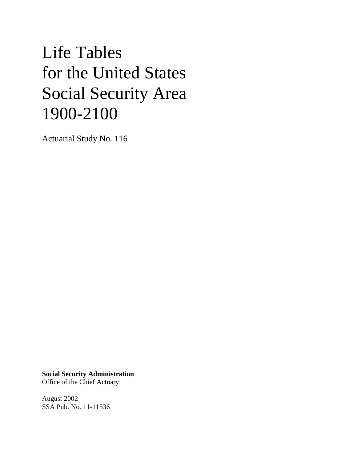# Life Tables for the United States Social Security Area 1900-2100

Actuarial Study No. 116

**Social Security Administration** Office of the Chief Actuary

August 2002 SSA Pub. No. 11-11536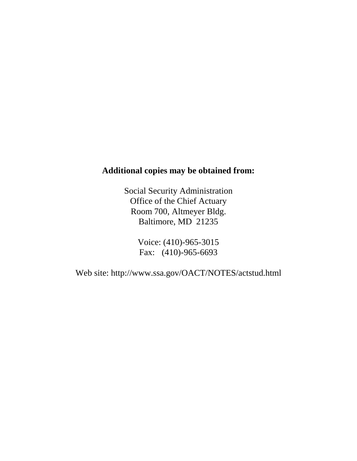## **Additional copies may be obtained from:**

Social Security Administration Office of the Chief Actuary Room 700, Altmeyer Bldg. Baltimore, MD 21235

> Voice: (410)-965-3015 Fax: (410)-965-6693

Web site: http://www.ssa.gov/OACT/NOTES/actstud.html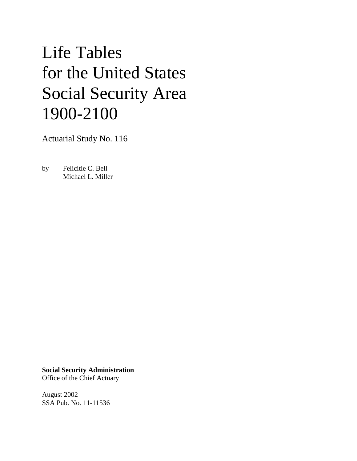# Life Tables for the United States Social Security Area 1900-2100

Actuarial Study No. 116

by Felicitie C. Bell Michael L. Miller

**Social Security Administration** Office of the Chief Actuary

August 2002 SSA Pub. No. 11-11536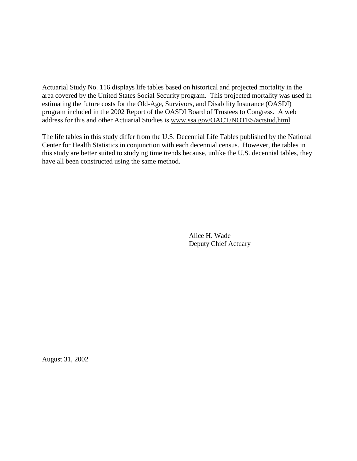Actuarial Study No. 116 displays life tables based on historical and projected mortality in the area covered by the United States Social Security program. This projected mortality was used in estimating the future costs for the Old-Age, Survivors, and Disability Insurance (OASDI) program included in the 2002 Report of the OASDI Board of Trustees to Congress. A web address for this and other Actuarial Studies is www.ssa.gov/OACT/NOTES/actstud.html .

The life tables in this study differ from the U.S. Decennial Life Tables published by the National Center for Health Statistics in conjunction with each decennial census. However, the tables in this study are better suited to studying time trends because, unlike the U.S. decennial tables, they have all been constructed using the same method.

> Alice H. Wade Deputy Chief Actuary

August 31, 2002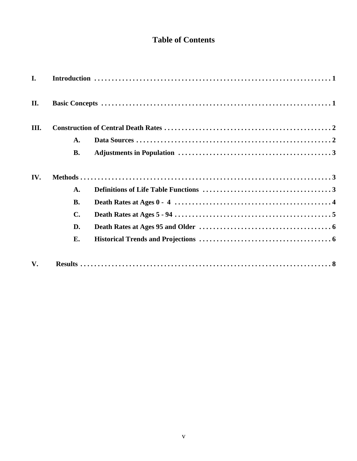## **Table of Contents**

| $\mathbf{I}$ . |                |  |
|----------------|----------------|--|
| II.            |                |  |
| Ш.             |                |  |
|                | $\mathbf{A}$ . |  |
|                | <b>B.</b>      |  |
| IV.            |                |  |
|                | $\mathbf{A}$ . |  |
|                | <b>B.</b>      |  |
|                | $\mathbf{C}$ . |  |
|                | D.             |  |
|                | E.             |  |
| $V_{\bullet}$  |                |  |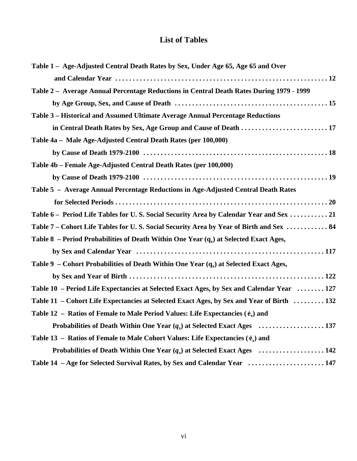## **List of Tables**

| Table 1 – Age-Adjusted Central Death Rates by Sex, Under Age 65, Age 65 and Over          |
|-------------------------------------------------------------------------------------------|
|                                                                                           |
| Table 2 - Average Annual Percentage Reductions in Central Death Rates During 1979 - 1999  |
|                                                                                           |
| Table 3 - Historical and Assumed Ultimate Average Annual Percentage Reductions            |
| in Central Death Rates by Sex, Age Group and Cause of Death  17                           |
| Table 4a - Male Age-Adjusted Central Death Rates (per 100,000)                            |
|                                                                                           |
| Table 4b - Female Age-Adjusted Central Death Rates (per 100,000)                          |
|                                                                                           |
| Table 5 - Average Annual Percentage Reductions in Age-Adjusted Central Death Rates        |
|                                                                                           |
| Table 6 - Period Life Tables for U.S. Social Security Area by Calendar Year and Sex 21    |
| Table 7 – Cohort Life Tables for U.S. Social Security Area by Year of Birth and Sex  84   |
| Table 8 – Period Probabilities of Death Within One Year $(q_x)$ at Selected Exact Ages,   |
|                                                                                           |
| Table 9 – Cohort Probabilities of Death Within One Year $(q_x)$ at Selected Exact Ages,   |
|                                                                                           |
| Table 10 - Period Life Expectancies at Selected Exact Ages, by Sex and Calendar Year  127 |
| Table 11 – Cohort Life Expectancies at Selected Exact Ages, by Sex and Year of Birth  132 |
| Table 12 – Ratios of Female to Male Period Values: Life Expectancies $(\hat{e}_x)$ and    |
|                                                                                           |
| Table 13 – Ratios of Female to Male Cohort Values: Life Expectancies $(\hat{e}_x)$ and    |
|                                                                                           |
| Table 14 - Age for Selected Survival Rates, by Sex and Calendar Year  147                 |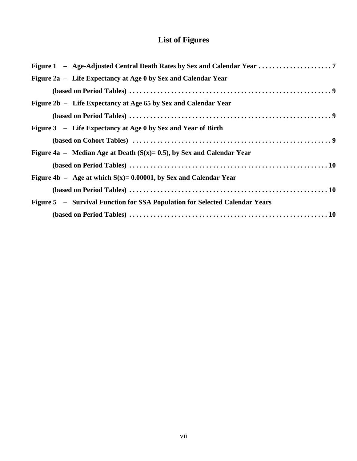# **List of Figures**

| Figure 2a – Life Expectancy at Age 0 by Sex and Calendar Year               |
|-----------------------------------------------------------------------------|
|                                                                             |
| Figure 2b – Life Expectancy at Age 65 by Sex and Calendar Year              |
|                                                                             |
| Figure 3 – Life Expectancy at Age 0 by Sex and Year of Birth                |
|                                                                             |
| Figure 4a – Median Age at Death $(S(x)=0.5)$ , by Sex and Calendar Year     |
|                                                                             |
| Figure 4b – Age at which $S(x) = 0.00001$ , by Sex and Calendar Year        |
|                                                                             |
| Figure 5 - Survival Function for SSA Population for Selected Calendar Years |
|                                                                             |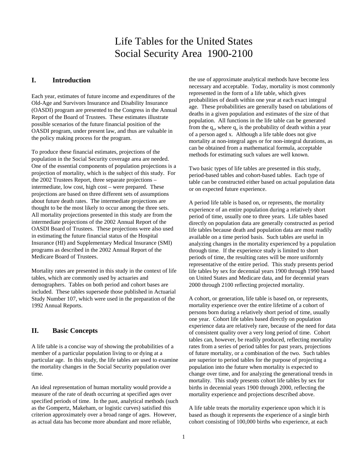# Life Tables for the United States Social Security Area 1900-2100

#### **I. Introduction**

Each year, estimates of future income and expenditures of the Old-Age and Survivors Insurance and Disability Insurance (OASDI) program are presented to the Congress in the Annual Report of the Board of Trustees. These estimates illustrate possible scenarios of the future financial position of the OASDI program, under present law, and thus are valuable in the policy making process for the program.

To produce these financial estimates, projections of the population in the Social Security coverage area are needed. One of the essential components of population projections is a projection of mortality, which is the subject of this study. For the 2002 Trustees Report, three separate projections – intermediate, low cost, high cost – were prepared. These projections are based on three different sets of assumptions about future death rates. The intermediate projections are thought to be the most likely to occur among the three sets. All mortality projections presented in this study are from the intermediate projections of the 2002 Annual Report of the OASDI Board of Trustees. These projections were also used in estimating the future financial status of the Hospital Insurance (HI) and Supplementary Medical Insurance (SMI) programs as described in the 2002 Annual Report of the Medicare Board of Trustees.

Mortality rates are presented in this study in the context of life tables, which are commonly used by actuaries and demographers. Tables on both period and cohort bases are included. These tables supersede those published in Actuarial Study Number 107, which were used in the preparation of the 1992 Annual Reports.

#### **II. Basic Concepts**

A life table is a concise way of showing the probabilities of a member of a particular population living to or dying at a particular age. In this study, the life tables are used to examine the mortality changes in the Social Security population over time.

An ideal representation of human mortality would provide a measure of the rate of death occurring at specified ages over specified periods of time. In the past, analytical methods (such as the Gompertz, Makeham, or logistic curves) satisfied this criterion approximately over a broad range of ages. However, as actual data has become more abundant and more reliable,

the use of approximate analytical methods have become less necessary and acceptable. Today, mortality is most commonly represented in the form of a life table, which gives probabilities of death within one year at each exact integral age. These probabilities are generally based on tabulations of deaths in a given population and estimates of the size of that population. All functions in the life table can be generated from the  $q_x$ , where  $q_x$  is the probability of death within a year of a person aged x. Although a life table does not give mortality at non-integral ages or for non-integral durations, as can be obtained from a mathematical formula, acceptable methods for estimating such values are well known.

Two basic types of life tables are presented in this study, period-based tables and cohort-based tables. Each type of table can be constructed either based on actual population data or on expected future experience.

A period life table is based on, or represents, the mortality experience of an entire population during a relatively short period of time, usually one to three years. Life tables based directly on population data are generally constructed as period life tables because death and population data are most readily available on a time period basis. Such tables are useful in analyzing changes in the mortality experienced by a population through time. If the experience study is limited to short periods of time, the resulting rates will be more uniformly representative of the entire period. This study presents period life tables by sex for decennial years 1900 through 1990 based on United States and Medicare data, and for decennial years 2000 through 2100 reflecting projected mortality.

A cohort, or generation, life table is based on, or represents, mortality experience over the entire lifetime of a cohort of persons born during a relatively short period of time, usually one year. Cohort life tables based directly on population experience data are relatively rare, because of the need for data of consistent quality over a very long period of time. Cohort tables can, however, be readily produced, reflecting mortality rates from a series of period tables for past years, projections of future mortality, or a combination of the two. Such tables are superior to period tables for the purpose of projecting a population into the future when mortality is expected to change over time, and for analyzing the generational trends in mortality. This study presents cohort life tables by sex for births in decennial years 1900 through 2000, reflecting the mortality experience and projections described above.

A life table treats the mortality experience upon which it is based as though it represents the experience of a single birth cohort consisting of 100,000 births who experience, at each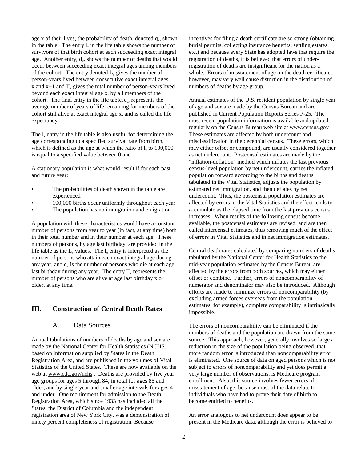age x of their lives, the probability of death, denoted  $q<sub>x</sub>$ , shown in the table. The entry  $l_x$  in the life table shows the number of survivors of that birth cohort at each succeeding exact integral age. Another entry,  $d<sub>x</sub>$ , shows the number of deaths that would occur between succeeding exact integral ages among members of the cohort. The entry denoted  $L<sub>x</sub>$  gives the number of person-years lived between consecutive exact integral ages x and  $x+1$  and  $T<sub>x</sub>$  gives the total number of person-years lived beyond each exact integral age x, by all members of the cohort. The final entry in the life table,  $\dot{e}$ , represents the average number of years of life remaining for members of the cohort still alive at exact integral age x, and is called the life expectancy.

The  $l_x$  entry in the life table is also useful for determining the age corresponding to a specified survival rate from birth, which is defined as the age at which the ratio of  $l_x$  to 100,000 is equal to a specified value between 0 and 1.

A stationary population is what would result if for each past and future year:

- **•** The probabilities of death shown in the table are experienced
- **•** 100,000 births occur uniformly throughout each year
- **•** The population has no immigration and emigration

A population with these characteristics would have a constant number of persons from year to year (in fact, at any time) both in their total number and in their number at each age. These numbers of persons, by age last birthday, are provided in the life table as the  $L_x$  values. The  $l_x$  entry is interpreted as the number of persons who attain each exact integral age during any year, and  $d_x$  is the number of persons who die at each age last birthday during any year. The entry  $T<sub>x</sub>$  represents the number of persons who are alive at age last birthday x or older, at any time.

#### **III. Construction of Central Death Rates**

#### A. Data Sources

Annual tabulations of numbers of deaths by age and sex are made by the National Center for Health Statistics (NCHS) based on information supplied by States in the Death Registration Area, and are published in the volumes of Vital Statistics of the United States. These are now available on the web at www.cdc.gov/nchs . Deaths are provided by five year age groups for ages 5 through 84, in total for ages 85 and older, and by single-year and smaller age intervals for ages 4 and under. One requirement for admission to the Death Registration Area, which since 1933 has included all the States, the District of Columbia and the independent registration area of New York City, was a demonstration of ninety percent completeness of registration. Because

incentives for filing a death certificate are so strong (obtaining burial permits, collecting insurance benefits, settling estates, etc.) and because every State has adopted laws that require the registration of deaths, it is believed that errors of underregistration of deaths are insignificant for the nation as a whole. Errors of misstatement of age on the death certificate, however, may very well cause distortion in the distribution of numbers of deaths by age group.

Annual estimates of the U.S. resident population by single year of age and sex are made by the Census Bureau and are published in Current Population Reports Series P-25. The most recent population information is available and updated regularly on the Census Bureau web site at www.census.gov . These estimates are affected by both undercount and misclassification in the decennial census. These errors, which may either offset or compound, are usually considered together as net undercount. Postcensal estimates are made by the "inflation-deflation" method which inflates the last previous census-level population by net undercount, carries the inflated population forward according to the births and deaths tabulated in the Vital Statistics, adjusts the population by estimated net immigration, and then deflates by net undercount. Thus, the postcensal population estimates are affected by errors in the Vital Statistics and the effect tends to accumulate as the elapsed time from the last previous census increases. When results of the following census become available, the postcensal estimates are revised, and are then called intercensal estimates, thus removing much of the effect of errors in Vital Statistics and in net immigration estimates.

Central death rates calculated by comparing numbers of deaths tabulated by the National Center for Health Statistics to the mid-year population estimated by the Census Bureau are affected by the errors from both sources, which may either offset or combine. Further, errors of noncomparability of numerator and denominator may also be introduced. Although efforts are made to minimize errors of noncomparability (by excluding armed forces overseas from the population estimates, for example), complete comparability is intrinsically impossible.

The errors of noncomparability can be eliminated if the numbers of deaths and the population are drawn from the same source. This approach, however, generally involves so large a reduction in the size of the population being observed, that more random error is introduced than noncomparability error is eliminated. One source of data on aged persons which is not subject to errors of noncomparability and yet does permit a very large number of observations, is Medicare program enrollment. Also, this source involves fewer errors of misstatement of age, because most of the data relate to individuals who have had to prove their date of birth to become entitled to benefits.

An error analogous to net undercount does appear to be present in the Medicare data, although the error is believed to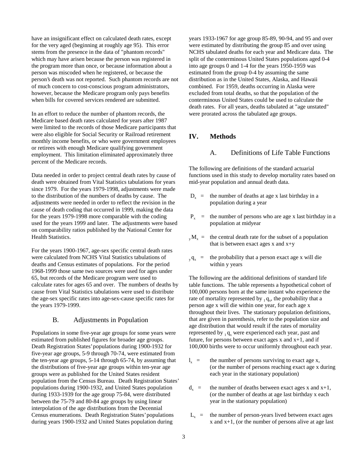have an insignificant effect on calculated death rates, except for the very aged (beginning at roughly age 95). This error stems from the presence in the data of "phantom records" which may have arisen because the person was registered in the program more than once, or because information about a person was miscoded when he registered, or because the person's death was not reported. Such phantom records are not of much concern to cost-conscious program administrators, however, because the Medicare program only pays benefits when bills for covered services rendered are submitted.

In an effort to reduce the number of phantom records, the Medicare based death rates calculated for years after 1987 were limited to the records of those Medicare participants that were also eligible for Social Security or Railroad retirement monthly income benefits, or who were government employees or retirees with enough Medicare qualifying government employment. This limitation eliminated approximately three percent of the Medicare records.

Data needed in order to project central death rates by cause of death were obtained from Vital Statistics tabulations for years since 1979. For the years 1979-1998, adjustments were made to the distribution of the numbers of deaths by cause. The adjustments were needed in order to reflect the revision in the cause of death coding that occurred in 1999, making the data for the years 1979-1998 more comparable with the coding used for the years 1999 and later. The adjustments were based on comparability ratios published by the National Center for Health Statistics.

For the years 1900-1967, age-sex specific central death rates were calculated from NCHS Vital Statistics tabulations of deaths and Census estimates of populations. For the period 1968-1999 those same two sources were used for ages under 65, but records of the Medicare program were used to calculate rates for ages 65 and over. The numbers of deaths by cause from Vital Statistics tabulations were used to distribute the age-sex specific rates into age-sex-cause specific rates for the years 1979-1999.

#### B. Adjustments in Population

Populations in some five-year age groups for some years were estimated from published figures for broader age groups. Death Registration States' populations during 1900-1932 for five-year age groups, 5-9 through 70-74, were estimated from the ten-year age groups, 5-14 through 65-74, by assuming that the distributions of five-year age groups within ten-year age groups were as published for the United States resident population from the Census Bureau. Death Registration States' populations during 1900-1932, and United States population during 1933-1939 for the age group 75-84, were distributed between the 75-79 and 80-84 age groups by using linear interpolation of the age distributions from the Decennial Census enumerations. Death Registration States' populations during years 1900-1932 and United States population during

years 1933-1967 for age group 85-89, 90-94, and 95 and over were estimated by distributing the group 85 and over using NCHS tabulated deaths for each year and Medicare data. The split of the conterminous United States populations aged 0-4 into age groups 0 and 1-4 for the years 1950-1959 was estimated from the group 0-4 by assuming the same distribution as in the United States, Alaska, and Hawaii combined. For 1959, deaths occurring in Alaska were excluded from total deaths, so that the population of the conterminous United States could be used to calculate the death rates. For all years, deaths tabulated at "age unstated" were prorated across the tabulated age groups.

#### **IV. Methods**

#### A. Definitions of Life Table Functions

The following are definitions of the standard actuarial functions used in this study to develop mortality rates based on mid-year population and annual death data.

- $D<sub>x</sub>$  = the number of deaths at age x last birthday in a population during a year
- $P<sub>x</sub>$  = the number of persons who are age x last birthday in a population at midyear
- $_{\rm v}$ M<sub>x</sub> = the central death rate for the subset of a population that is between exact ages  $x$  and  $x+y$
- $y_{y} =$  the probability that a person exact age x will die within y years

The following are the additional definitions of standard life table functions. The table represents a hypothetical cohort of 100,000 persons born at the same instant who experience the rate of mortality represented by  $_1 q_x$ , the probability that a person age x will die within one year, for each age x throughout their lives. The stationary population definitions, that are given in parenthesis, refer to the population size and age distribution that would result if the rates of mortality represented by  $_1 q_x$  were experienced each year, past and future, for persons between exact ages  $x$  and  $x+1$ , and if 100,000 births were to occur uniformly throughout each year.

- $l_x$  = the number of persons surviving to exact age x, (or the number of persons reaching exact age x during each year in the stationary population)
- $d_x$  = the number of deaths between exact ages x and x+1, (or the number of deaths at age last birthday x each year in the stationary population)
- $L<sub>x</sub>$  = the number of person-years lived between exact ages x and x+1, (or the number of persons alive at age last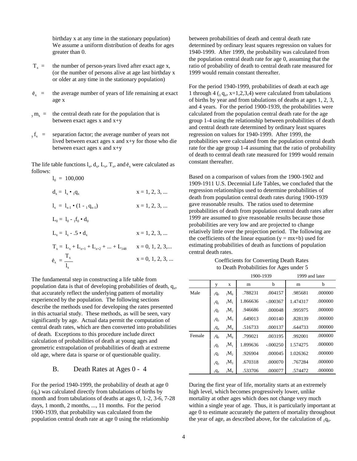birthday x at any time in the stationary population) We assume a uniform distribution of deaths for ages greater than 0.

- $T_x$  = the number of person-years lived after exact age x, (or the number of persons alive at age last birthday x or older at any time in the stationary population)
- $\dot{e}_x$  = the average number of years of life remaining at exact age x
- $y_m$  = the central death rate for the population that is between exact ages x and x+y
- $y_r$  = separation factor; the average number of years not lived between exact ages x and x+y for those who die between exact ages x and x+y

The life table functions  $l_x$ ,  $d_x$ ,  $L_x$ ,  $T_x$ , and  $\dot{e}_x$  were calculated as follows:

> $l_0 = 100,000$  $d_x = 1, 2, 3, ...$ <br> $x = 1, 2, 3, ...$  $l_{\rm v} = l_{\rm v,1} \bullet (1 - {}_{1} q_{\rm v,1})$   $x = 1, 2, 3, ...$  $L_0 = 1_0 - 1_0 \cdot d_0$  $L_x = 1, 2, 3, ...$ <br> $X = 1, 2, 3, ...$  $T_x = L_x + L_{x+1} + L_{x+2} + ... + L_{148}$   $x = 0, 1, 2, 3,...$ <sup>e</sup>x = Tx x = 0, 1, 2, 3, ... lx

The fundamental step in constructing a life table from population data is that of developing probabilities of death,  $q_{xy}$ , that accurately reflect the underlying pattern of mortality experienced by the population. The following sections describe the methods used for developing the rates presented in this actuarial study. These methods, as will be seen, vary significantly by age. Actual data permit the computation of central death rates, which are then converted into probabilities of death. Exceptions to this procedure include direct calculation of probabilities of death at young ages and geometric extrapolation of probabilities of death at extreme old age, where data is sparse or of questionable quality.

#### B. Death Rates at Ages 0 - 4

For the period 1940-1999, the probability of death at age 0  $(q_0)$  was calculated directly from tabulations of births by month and from tabulations of deaths at ages 0, 1-2, 3-6, 7-28 days, 1 month, 2 months, ..., 11 months. For the period 1900-1939, that probability was calculated from the population central death rate at age 0 using the relationship

between probabilities of death and central death rate determined by ordinary least squares regression on values for 1940-1999. After 1999, the probability was calculated from the population central death rate for age 0, assuming that the ratio of probability of death to central death rate measured for 1999 would remain constant thereafter.

For the period 1940-1999, probabilities of death at each age 1 through 4  $\left(1 \right)$  q<sub>x</sub>, x=1,2,3,4) were calculated from tabulations of births by year and from tabulations of deaths at ages 1, 2, 3, and 4 years. For the period 1900-1939, the probabilities were calculated from the population central death rate for the age group 1-4 using the relationship between probabilities of death and central death rate determined by ordinary least squares regression on values for 1940-1999. After 1999, the probabilities were calculated from the population central death rate for the age group 1-4 assuming that the ratio of probability of death to central death rate measured for 1999 would remain constant thereafter.

Based on a comparison of values from the 1900-1902 and 1909-1911 U.S. Decennial Life Tables, we concluded that the regression relationships used to determine probabilities of death from population central death rates during 1900-1939 gave reasonable results. The ratios used to determine probabilities of death from population central death rates after 1999 are assumed to give reasonable results because those probabilities are very low and are projected to change relatively little over the projection period. The following are the coefficients of the linear equation  $(y = mx+b)$  used for estimating probabilities of death as functions of population central death rates.

Coefficients for Converting Death Rates to Death Probabilities for Ages under 5

|        |                     |                     | 1900-1939 |            | 1999 and later |         |
|--------|---------------------|---------------------|-----------|------------|----------------|---------|
|        | y                   | X                   | m         | b          | m              | b       |
| Male   | $_1q_0$             | $_{1}M_{0}$         | .788231   | .004157    | .985681        | .000000 |
|        | $_1q_1$             | $_{1}M_{1}$         | 1.866636  | $-.000367$ | 1.474317       | .000000 |
|        | $1q_2$              | $_1M_2$             | .946686   | .000048    | .995975        | .000000 |
|        | $1q_3$              | $_1M_3$             | .649013   | .000140    | .828139        | .000000 |
|        | $1\overline{q}_4$   | $_1$ M <sub>4</sub> | .516733   | .000137    | .644733        | .000000 |
| Female | $1q_0$              | $_1$ M <sub>0</sub> | .799021   | .003195    | .992001        | .000000 |
|        | $_1q_1$             | $_{1}M_{1}$         | 1.899636  | $-.000250$ | 1.574275       | .000000 |
|        | $_1$ q <sub>2</sub> | $_1M_2$             | .926904   | .000045    | 1.026362       | .000000 |
|        | 193                 | $_1M_3$             | .670318   | .000070    | .767284        | .000000 |
|        | 1q <sub>4</sub>     | $_1$ M <sub>4</sub> | .533706   | .000077    | .574472        | .000000 |

During the first year of life, mortality starts at an extremely high level, which becomes progressively lower, unlike mortality at other ages which does not change very much within a single year of age. Thus, it is particularly important at age 0 to estimate accurately the pattern of mortality throughout the year of age, as described above, for the calculation of  $_1q_0$ .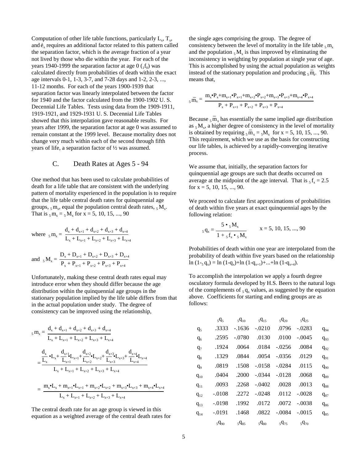Computation of other life table functions, particularly  $L_x$ ,  $T_x$ , and  $\mathfrak{e}_x$  requires an additional factor related to this pattern called the separation factor, which is the average fraction of a year not lived by those who die within the year. For each of the years 1940-1999 the separation factor at age  $0 \binom{1}{10}$  was calculated directly from probabilities of death within the exact age intervals 0-1, 1-3, 3-7, and 7-28 days and 1-2, 2-3, ..., 11-12 months. For each of the years 1900-1939 that separation factor was linearly interpolated between the factor for 1940 and the factor calculated from the 1900-1902 U. S. Decennial Life Tables. Tests using data from the 1909-1911, 1919-1921, and 1929-1931 U. S. Decennial Life Tables showed that this interpolation gave reasonable results. For years after 1999, the separation factor at age 0 was assumed to remain constant at the 1999 level. Because mortality does not change very much within each of the second through fifth years of life, a separation factor of ½ was assumed.

#### C. Death Rates at Ages 5 - 94

One method that has been used to calculate probabilities of death for a life table that are consistent with the underlying pattern of mortality experienced in the population is to require that the life table central death rates for quinquennial age groups,  $5 \text{ m}$ , equal the population central death rates,  $5 \text{ M}$ . That is  $5 m_x = 5 M_x$  for  $x = 5, 10, 15, ..., 90$ 

where 
$$
_{5}m_{x} = \frac{d_{x} + d_{x+1} + d_{x+2} + d_{x+3} + d_{x+4}}{L_{x} + L_{x+1} + L_{x+2} + L_{x+3} + L_{x+4}}
$$

and 
$$
_{5}M_{x} = \frac{D_{x} + D_{x+1} + D_{x+2} + D_{x+3} + D_{x+4}}{P_{x} + P_{x+1} + P_{x+2} + P_{x+3} + P_{x+4}}
$$

Unfortunately, making these central death rates equal may introduce error when they should differ because the age distribution within the quinquennial age groups in the stationary population implied by the life table differs from that in the actual population under study. The degree of consistency can be improved using the relationship,

$$
_{5} m_{x} = \frac{d_{x} + d_{x+1} + d_{x+2} + d_{x+3} + d_{x+4}}{L_{x} + L_{x+1} + L_{x+2} + L_{x+3} + L_{x+4}}
$$
  
= 
$$
\frac{\frac{d_{x}}{L_{x}} \cdot L_{x} + \frac{d_{x+1}}{L_{x+1}} L_{x+1} + \frac{d_{x+2}}{L_{x+2}} \cdot L_{x+2} + \frac{d_{x+3}}{L_{x+3}} \cdot L_{x+3} + \frac{d_{x+4}}{L_{x+4}}}{L_{x} + L_{x+1} + L_{x+2} + L_{x+3} + L_{x+4}}
$$

$$
=\frac{m_x\bullet L_x+m_{x+1}\bullet L_{x+1}+m_{x+2}\bullet L_{x+2}+m_{x+3}\bullet L_{x+3}+m_{x+4}\bullet L_{x+4}}{L_x+L_{x+1}+L_{x+2}+L_{x+3}+L_{x+4}}
$$

The central death rate for an age group is viewed in this equation as a weighted average of the central death rates for the single ages comprising the group. The degree of consistency between the level of mortality in the life table  $\zeta$  m<sub>x</sub> and the population  $5 M_x$  is thus improved by eliminating the inconsistency in weighting by population at single year of age. This is accomplished by using the actual population as weights instead of the stationary population and producing  $_5$  m<sub>x</sub>. This means that,

$$
_{_5}\overline{m}_{x}=\frac{m_{x}^{\bullet}P_{x}^{}+m_{x+1}^{\bullet}P_{x+1}^{}+m_{x+2}^{\bullet}P_{x+2}^{}+m_{x+3}^{\bullet}P_{x+3}^{}+m_{x+4}^{\bullet}P_{x+4}}{P_{x}^{}+P_{x+1}^{}+P_{x+2}^{}+P_{x+3}^{}+P_{x+4}}
$$

Because  $_5$  m \_  $x<sub>x</sub>$  has essentially the same implied age distribution as  $_5$ M<sub>x</sub>, a higher degree of consistency in the level of mortality is obtained by requiring  $_5\overline{m}_x = _5M_x$  for  $x = 5, 10, 15, ..., 90$ . This requirement, which we use as the basis for constructing our life tables, is achieved by a rapidly-converging iterative process.

We assume that, initially, the separation factors for quinquennial age groups are such that deaths occurred on average at the midpoint of the age interval. That is  $_5 f_x = 2.5$ for  $x = 5, 10, 15, \ldots, 90$ .

We proceed to calculate first approximations of probabilities of death within five years at exact quinquennial ages by the following relation:

$$
{}_{5}\mathbf{q}_{x} = \frac{5 \bullet {}_{5}\mathbf{M}_{x}}{1 + {}_{5}\mathbf{f}_{x} \bullet {}_{5}\mathbf{M}_{x}} \qquad x = 5, 10, 15, ..., 90
$$

Probabilities of death within one year are interpolated from the probability of death within five years based on the relationship  $\ln (1 - g_x) = \ln (1 - g_x) + \ln (1 - g_{x+1}) + \ldots + \ln (1 - g_{x+4}).$ 

To accomplish the interpolation we apply a fourth degree osculatory formula developed by H.S. Beers to the natural logs of the complements of  $_5 q_x$  values, as suggested by the equation above. Coefficients for starting and ending groups are as follows:

|                | $5q_5$    | $5q_{10}$ | $5q_{15}$ | $5q_{20}$ | $5q_{25}$ |          |
|----------------|-----------|-----------|-----------|-----------|-----------|----------|
| q <sub>5</sub> | .3333     | $-1636$   | $-.0210$  | .0796     | $-.0283$  | $q_{94}$ |
| q <sub>6</sub> | .2595     | $-.0780$  | .0130     | .0100     | $-.0045$  | $q_{93}$ |
| q <sub>7</sub> | .1924     | .0064     | .0184     | $-.0256$  | .0084     | $q_{92}$ |
| $q_8$          | .1329     | .0844     | .0054     | $-.0356$  | .0129     | $q_{91}$ |
| q <sub>9</sub> | .0819     | .1508     | $-.0158$  | $-.0284$  | .0115     | $q_{90}$ |
| $q_{10}$       | .0404     | .2000     | $-.0344$  | $-.0128$  | .0068     | $q_{89}$ |
| $q_{11}$       | .0093     | .2268     | $-.0402$  | .0028     | .0013     | $q_{88}$ |
| $q_{12}$       | $-.0108$  | .2272     | $-.0248$  | .0112     | $-.0028$  | $q_{87}$ |
| $q_{13}$       | $-.0198$  | .1992     | .0172     | .0072     | $-.0038$  | $q_{86}$ |
| $q_{14}$       | $-.0191$  | .1468     | .0822     | $-.0084$  | $-.0015$  | $q_{85}$ |
|                | $5q_{90}$ | $5q_{85}$ | $5q_{80}$ | $5q_{75}$ | $5q_{70}$ |          |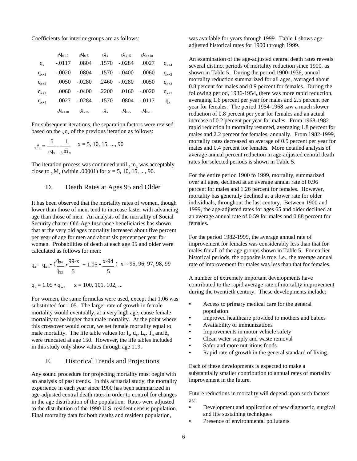Coefficients for interior groups are as follows:

|           | $5q_{x-10}$ |                                               | $5q_{x-5}$ $5q_x$ $5q_{x+5}$ $5q_{x+10}$ |                        |       |           |
|-----------|-------------|-----------------------------------------------|------------------------------------------|------------------------|-------|-----------|
| $q_{x}$   |             | $-0.0117$ $0.0804$ $0.1570$ $0.0284$ $0.0027$ |                                          |                        |       | $q_{x+4}$ |
| $q_{x+1}$ |             | -.0020 .0804 .1570 -.0400                     |                                          |                        | .0060 | $q_{x+3}$ |
| $q_{x+2}$ |             | .0050 .0280 .2460 .0280 .0050                 |                                          |                        |       | $q_{x+2}$ |
| $q_{x+3}$ |             | .0060 -.0400 .2200 .0160 -.0020               |                                          |                        |       | $q_{x+1}$ |
| $q_{x+4}$ |             | .0027 - 0284 .1570 .0804 - 0117               |                                          |                        |       | $q_{x}$   |
|           |             | $5q_{x+10}$ $5q_{x+5}$ $5q_x$                 |                                          | $5q_{x-5}$ $5q_{x-10}$ |       |           |

For subsequent iterations, the separation factors were revised based on the  $_5 q_x$  of the previous iteration as follows:

$$
{}_{5}f_{x} = \frac{5}{s \cdot q_{x}} - \frac{1}{s \cdot \overline{m}} \qquad x = 5, 10, 15, ..., 90
$$

The iteration process was continued until  $_5$ m \_ x was acceptably close to  $5 M_x$  (within .00001) for x = 5, 10, 15, ..., 90.

#### D. Death Rates at Ages 95 and Older

It has been observed that the mortality rates of women, though lower than those of men, tend to increase faster with advancing age than those of men. An analysis of the mortality of Social Security charter Old-Age Insurance beneficiaries has shown that at the very old ages mortality increased about five percent per year of age for men and about six percent per year for women. Probabilities of death at each age 95 and older were calculated as follows for men:

$$
q_x = q_{x-1} \cdot \left( \frac{q_{94}}{q_{93}} \cdot \frac{99-x}{5} + 1.05 \cdot \frac{x \cdot 94}{5} \right)
$$
  $x = 95, 96, 97, 98, 99$ 

$$
q_{x} = 1.05 \cdot q_{x-1} \qquad x = 100, 101, 102, ...
$$

For women, the same formulas were used, except that 1.06 was substituted for 1.05. The larger rate of growth in female mortality would eventually, at a very high age, cause female mortality to be higher than male mortality. At the point where this crossover would occur, we set female mortality equal to male mortality. The life table values for  $l_x$ ,  $d_x$ ,  $L_x$ ,  $T_x$  and  $\dot{e}_x$ were truncated at age 150. However, the life tables included in this study only show values through age 119.

#### E. Historical Trends and Projections

Any sound procedure for projecting mortality must begin with an analysis of past trends. In this actuarial study, the mortality experience in each year since 1900 has been summarized in age-adjusted central death rates in order to control for changes in the age distribution of the population. Rates were adjusted to the distribution of the 1990 U.S. resident census population. Final mortality data for both deaths and resident population,

was available for years through 1999. Table 1 shows ageadjusted historical rates for 1900 through 1999.

An examination of the age-adjusted central death rates reveals several distinct periods of mortality reduction since 1900, as shown in Table 5. During the period 1900-1936, annual mortality reduction summarized for all ages, averaged about 0.8 percent for males and 0.9 percent for females. During the following period, 1936-1954, there was more rapid reduction, averaging 1.6 percent per year for males and 2.5 percent per year for females. The period 1954-1968 saw a much slower reduction of 0.8 percent per year for females and an actual increase of 0.2 percent per year for males. From 1968-1982 rapid reduction in mortality resumed, averaging 1.8 percent for males and 2.2 percent for females, annually. From 1982-1999, mortality rates decreased an average of 0.9 percent per year for males and 0.4 percent for females. More detailed analysis of average annual percent reduction in age-adjusted central death rates for selected periods is shown in Table 5.

For the entire period 1900 to 1999, mortality, summarized over all ages, declined at an average annual rate of 0.96 percent for males and 1.26 percent for females. However, mortality has generally declined at a slower rate for older individuals, throughout the last century. Between 1900 and 1999, the age-adjusted rates for ages 65 and older declined at an average annual rate of 0.59 for males and 0.88 percent for females.

For the period 1982-1999, the average annual rate of improvement for females was considerably less than that for males for all of the age groups shown in Table 5. For earlier historical periods, the opposite is true, i.e., the average annual rate of improvement for males was less than that for females.

A number of extremely important developments have contributed to the rapid average rate of mortality improvement during the twentieth century. These developments include:

- **•** Access to primary medical care for the general population
- **•** Improved healthcare provided to mothers and babies
- **•** Availability of immunizations
- **•** Improvements in motor vehicle safety
- **•** Clean water supply and waste removal
- **•** Safer and more nutritious foods
- **•** Rapid rate of growth in the general standard of living.

Each of these developments is expected to make a substantially smaller contribution to annual rates of mortality improvement in the future.

Future reductions in mortality will depend upon such factors as:

- **•** Development and application of new diagnostic, surgical and life sustaining techniques
- **•** Presence of environmental pollutants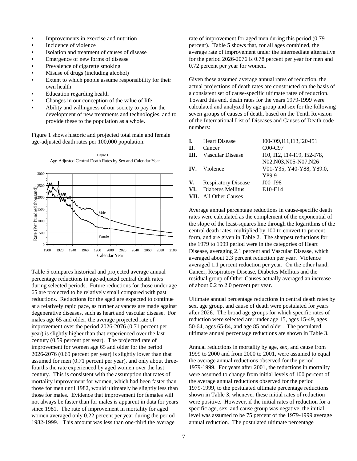- **•** Improvements in exercise and nutrition
- **•** Incidence of violence
- **•** Isolation and treatment of causes of disease
- **•** Emergence of new forms of disease
- **•** Prevalence of cigarette smoking
- **•** Misuse of drugs (including alcohol)
- **•** Extent to which people assume responsibility for their own health
- **•** Education regarding health
- **•** Changes in our conception of the value of life
- **•** Ability and willingness of our society to pay for the development of new treatments and technologies, and to provide these to the population as a whole.

Figure 1 shows historic and projected total male and female age-adjusted death rates per 100,000 population.



Table 5 compares historical and projected average annual percentage reductions in age-adjusted central death rates during selected periods. Future reductions for those under age 65 are projected to be relatively small compared with past reductions. Reductions for the aged are expected to continue at a relatively rapid pace, as further advances are made against degenerative diseases, such as heart and vascular disease. For males age 65 and older, the average projected rate of improvement over the period 2026-2076 (0.71 percent per year) is slightly higher than that experienced over the last century (0.59 percent per year). The projected rate of improvement for women age 65 and older for the period 2026-2076 (0.69 percent per year) is slightly lower than that assumed for men (0.71 percent per year), and only about threefourths the rate experienced by aged women over the last century. This is consistent with the assumption that rates of mortality improvement for women, which had been faster than those for men until 1982, would ultimately be slightly less than those for males. Evidence that improvement for females will not always be faster than for males is apparent in data for years since 1981. The rate of improvement in mortality for aged women averaged only 0.22 percent per year during the period 1982-1999. This amount was less than one-third the average

rate of improvement for aged men during this period (0.79 percent). Table 5 shows that, for all ages combined, the average rate of improvement under the intermediate alternative for the period 2026-2076 is 0.78 percent per year for men and 0.72 percent per year for women.

Given these assumed average annual rates of reduction, the actual projections of death rates are constructed on the basis of a consistent set of cause-specific ultimate rates of reduction. Toward this end, death rates for the years 1979-1999 were calculated and analyzed by age group and sex for the following seven groups of causes of death, based on the Tenth Revision of the International List of Diseases and Causes of Death code numbers:

| I.   | <b>Heart Disease</b>         | 100-109, 111, 113, 120-151  |
|------|------------------------------|-----------------------------|
| П.   | Cancer                       | $COO-C97$                   |
| III. | Vascular Disease             | I10, I12, I14-I19, I52-I78, |
|      |                              | N02, N03, N05-N07, N26      |
|      | <b>IV.</b> Violence          | V01-Y35, Y40-Y88, Y89.0,    |
|      |                              | Y89.9                       |
|      | V. Respiratory Disease       | $JO0 - J98$                 |
|      | VI. Diabetes Mellitus        | E10-E14                     |
|      | <b>VII.</b> All Other Causes |                             |

Average annual percentage reductions in cause-specific death rates were calculated as the complement of the exponential of the slope of the least-squares line through the logarithms of the central death rates, multiplied by 100 to convert to percent form, and are given in Table 2. The sharpest reductions for the 1979 to 1999 period were in the categories of Heart Disease, averaging 2.1 percent and Vascular Disease, which averaged about 2.3 percent reduction per year. Violence averaged 1.1 percent reduction per year. On the other hand, Cancer, Respiratory Disease, Diabetes Mellitus and the residual group of Other Causes actually averaged an increase of about 0.2 to 2.0 percent per year.

Ultimate annual percentage reductions in central death rates by sex, age group, and cause of death were postulated for years after 2026. The broad age groups for which specific rates of reduction were selected are: under age 15, ages 15-49, ages 50-64, ages 65-84, and age 85 and older. The postulated ultimate annual percentage reductions are shown in Table 3.

Annual reductions in mortality by age, sex, and cause from 1999 to 2000 and from 2000 to 2001, were assumed to equal the average annual reductions observed for the period 1979-1999. For years after 2001, the reductions in mortality were assumed to change from initial levels of 100 percent of the average annual reductions observed for the period 1979-1999, to the postulated ultimate percentage reductions shown in Table 3, whenever these initial rates of reduction were positive. However, if the initial rates of reduction for a specific age, sex, and cause group was negative, the initial level was assumed to be 75 percent of the 1979-1999 average annual reduction. The postulated ultimate percentage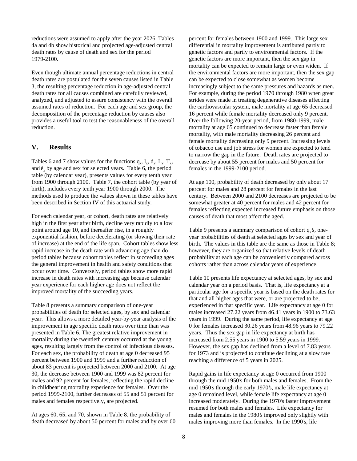reductions were assumed to apply after the year 2026. Tables 4a and 4b show historical and projected age-adjusted central death rates by cause of death and sex for the period 1979-2100.

Even though ultimate annual percentage reductions in central death rates are postulated for the seven causes listed in Table 3, the resulting percentage reduction in age-adjusted central death rates for all causes combined are carefully reviewed, analyzed, and adjusted to assure consistency with the overall assumed rates of reduction. For each age and sex group, the decomposition of the percentage reduction by causes also provides a useful tool to test the reasonableness of the overall reduction.

#### **V. Results**

Tables 6 and 7 show values for the functions  $q_x$ ,  $l_x$ ,  $d_x$ ,  $L_x$ ,  $T_x$ , and  $\hat{e}_x$  by age and sex for selected years. Table 6, the period table (by calendar year), presents values for every tenth year from 1900 through 2100. Table 7, the cohort table (by year of birth), includes every tenth year 1900 through 2000. The methods used to produce the values shown in these tables have been described in Section IV of this actuarial study.

For each calendar year, or cohort, death rates are relatively high in the first year after birth, decline very rapidly to a low point around age 10, and thereafter rise, in a roughly exponential fashion, before decelerating (or slowing their rate of increase) at the end of the life span. Cohort tables show less rapid increase in the death rate with advancing age than do period tables because cohort tables reflect in succeeding ages the general improvement in health and safety conditions that occur over time. Conversely, period tables show more rapid increase in death rates with increasing age because calendar year experience for each higher age does not reflect the improved mortality of the succeeding years.

Table 8 presents a summary comparison of one-year probabilities of death for selected ages, by sex and calendar year. This allows a more detailed year-by-year analysis of the improvement in age specific death rates over time than was presented in Table 6. The greatest relative improvement in mortality during the twentieth century occurred at the young ages, resulting largely from the control of infectious diseases. For each sex, the probability of death at age 0 decreased 95 percent between 1900 and 1999 and a further reduction of about 83 percent is projected between 2000 and 2100. At age 30, the decrease between 1900 and 1999 was 82 percent for males and 92 percent for females, reflecting the rapid decline in childbearing mortality experience for females. Over the period 1999-2100, further decreases of 55 and 51 percent for males and females respectively, are projected.

At ages 60, 65, and 70, shown in Table 8, the probability of death decreased by about 50 percent for males and by over 60 percent for females between 1900 and 1999. This large sex differential in mortality improvement is attributed partly to genetic factors and partly to environmental factors. If the genetic factors are more important, then the sex gap in mortality can be expected to remain large or even widen. If the environmental factors are more important, then the sex gap can be expected to close somewhat as women become increasingly subject to the same pressures and hazards as men. For example, during the period 1970 through 1980 when great strides were made in treating degenerative diseases affecting the cardiovascular system, male mortality at age 65 decreased 16 percent while female mortality decreased only 9 percent. Over the following 20-year period, from 1980-1999, male mortality at age 65 continued to decrease faster than female mortality, with male mortality decreasing 26 percent and female mortality decreasing only 9 percent. Increasing levels of tobacco use and job stress for women are expected to tend to narrow the gap in the future. Death rates are projected to decrease by about 55 percent for males and 50 percent for females in the 1999-2100 period.

At age 100, probability of death decreased by only about 17 percent for males and 28 percent for females in the last century. Between 2000 and 2100 decreases are projected to be somewhat greater at 40 percent for males and 42 percent for females reflecting expected increased future emphasis on those causes of death that most affect the aged.

Table 9 presents a summary comparison of cohort  $q_x$ 's, oneyear probabilities of death at selected ages by sex and year of birth. The values in this table are the same as those in Table 8; however, they are organized so that relative levels of death probability at each age can be conveniently compared across cohorts rather than across calendar years of experience.

Table 10 presents life expectancy at selected ages, by sex and calendar year on a period basis. That is, life expectancy at a particular age for a specific year is based on the death rates for that and all higher ages that were, or are projected to be, experienced in that specific year. Life expectancy at age 0 for males increased 27.22 years from 46.41 years in 1900 to 73.63 years in 1999. During the same period, life expectancy at age 0 for females increased 30.26 years from 48.96 years to 79.22 years. Thus the sex gap in life expectancy at birth has increased from 2.55 years in 1900 to 5.59 years in 1999. However, the sex gap has declined from a level of 7.83 years for 1973 and is projected to continue declining at a slow rate reaching a difference of 5 years in 2025.

Rapid gains in life expectancy at age 0 occurred from 1900 through the mid 1950's for both males and females. From the mid 1950's through the early 1970's, male life expectancy at age 0 remained level, while female life expectancy at age 0 increased moderately. During the 1970's faster improvement resumed for both males and females. Life expectancy for males and females in the 1980's improved only slightly with males improving more than females. In the 1990's, life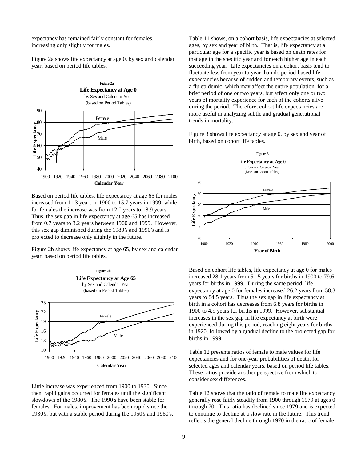expectancy has remained fairly constant for females, increasing only slightly for males.

Figure 2a shows life expectancy at age 0, by sex and calendar year, based on period life tables.



Based on period life tables, life expectancy at age 65 for males increased from 11.3 years in 1900 to 15.7 years in 1999, while for females the increase was from 12.0 years to 18.9 years. Thus, the sex gap in life expectancy at age 65 has increased from 0.7 years to 3.2 years between 1900 and 1999. However, this sex gap diminished during the 1980's and 1990's and is projected to decrease only slightly in the future.

Figure 2b shows life expectancy at age 65, by sex and calendar year, based on period life tables.



Little increase was experienced from 1900 to 1930. Since then, rapid gains occurred for females until the significant slowdown of the 1980's. The 1990's have been stable for females. For males, improvement has been rapid since the 1930's, but with a stable period during the 1950's and 1960's. Table 11 shows, on a cohort basis, life expectancies at selected ages, by sex and year of birth. That is, life expectancy at a particular age for a specific year is based on death rates for that age in the specific year and for each higher age in each succeeding year. Life expectancies on a cohort basis tend to fluctuate less from year to year than do period-based life expectancies because of sudden and temporary events, such as a flu epidemic, which may affect the entire population, for a brief period of one or two years, but affect only one or two years of mortality experience for each of the cohorts alive during the period. Therefore, cohort life expectancies are more useful in analyzing subtle and gradual generational trends in mortality.

Figure 3 shows life expectancy at age 0, by sex and year of birth, based on cohort life tables.



Based on cohort life tables, life expectancy at age 0 for males increased 28.1 years from 51.5 years for births in 1900 to 79.6 years for births in 1999. During the same period, life expectancy at age 0 for females increased 26.2 years from 58.3 years to 84.5 years. Thus the sex gap in life expectancy at birth in a cohort has decreases from 6.8 years for births in 1900 to 4.9 years for births in 1999. However, substantial increases in the sex gap in life expectancy at birth were experienced during this period, reaching eight years for births in 1920, followed by a gradual decline to the projected gap for births in 1999.

Table 12 presents ratios of female to male values for life expectancies and for one-year probabilities of death, for selected ages and calendar years, based on period life tables. These ratios provide another perspective from which to consider sex differences.

Table 12 shows that the ratio of female to male life expectancy generally rose fairly steadily from 1900 through 1979 at ages 0 through 70. This ratio has declined since 1979 and is expected to continue to decline at a slow rate in the future. This trend reflects the general decline through 1970 in the ratio of female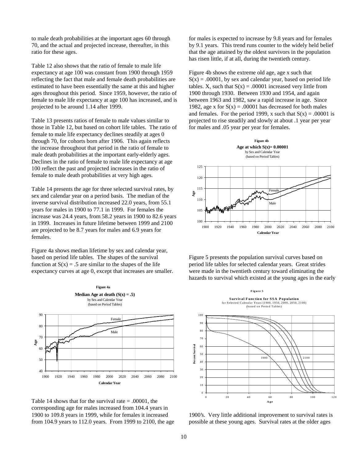to male death probabilities at the important ages 60 through 70, and the actual and projected increase, thereafter, in this ratio for these ages.

Table 12 also shows that the ratio of female to male life expectancy at age 100 was constant from 1900 through 1959 reflecting the fact that male and female death probabilities are estimated to have been essentially the same at this and higher ages throughout this period. Since 1959, however, the ratio of female to male life expectancy at age 100 has increased, and is projected to be around 1.14 after 1999.

Table 13 presents ratios of female to male values similar to those in Table 12, but based on cohort life tables. The ratio of female to male life expectancy declines steadily at ages 0 through 70, for cohorts born after 1906. This again reflects the increase throughout that period in the ratio of female to male death probabilities at the important early-elderly ages. Declines in the ratio of female to male life expectancy at age 100 reflect the past and projected increases in the ratio of female to male death probabilities at very high ages.

Table 14 presents the age for three selected survival rates, by sex and calendar year on a period basis. The median of the inverse survival distribution increased 22.0 years, from 55.1 years for males in 1900 to 77.1 in 1999. For females the increase was 24.4 years, from 58.2 years in 1900 to 82.6 years in 1999. Increases in future lifetime between 1999 and 2100 are projected to be 8.7 years for males and 6.9 years for females.

Figure 4a shows median lifetime by sex and calendar year, based on period life tables. The shapes of the survival function at  $S(x) = .5$  are similar to the shapes of the life expectancy curves at age 0, except that increases are smaller.



Table 14 shows that for the survival rate  $= .00001$ , the corresponding age for males increased from 104.4 years in 1900 to 109.8 years in 1999, while for females it increased from 104.9 years to 112.0 years. From 1999 to 2100, the age for males is expected to increase by 9.8 years and for females by 9.1 years. This trend runs counter to the widely held belief that the age attained by the oldest survivors in the population has risen little, if at all, during the twentieth century.

Figure 4b shows the extreme old age, age x such that  $S(x) = .00001$ , by sex and calendar year, based on period life tables. X, such that  $S(x) = .00001$  increased very little from 1900 through 1930. Between 1930 and 1954, and again between 1963 and 1982, saw a rapid increase in age. Since 1982, age x for  $S(x) = .00001$  has decreased for both males and females. For the period 1999, x such that  $S(x) = .00001$  is projected to rise steadily and slowly at about .1 year per year for males and .05 year per year for females.



Figure 5 presents the population survival curves based on period life tables for selected calendar years. Great strides were made in the twentieth century toward eliminating the hazards to survival which existed at the young ages in the early



1900's. Very little additional improvement to survival rates is possible at these young ages. Survival rates at the older ages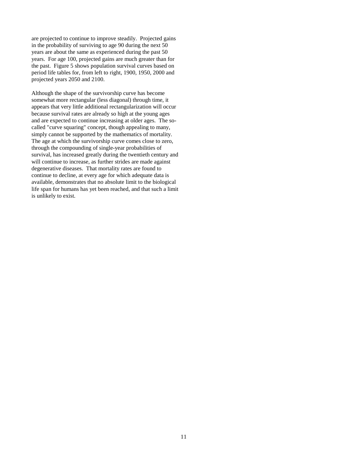are projected to continue to improve steadily. Projected gains in the probability of surviving to age 90 during the next 50 years are about the same as experienced during the past 50 years. For age 100, projected gains are much greater than for the past. Figure 5 shows population survival curves based on period life tables for, from left to right, 1900, 1950, 2000 and projected years 2050 and 2100.

Although the shape of the survivorship curve has become somewhat more rectangular (less diagonal) through time, it appears that very little additional rectangularization will occur because survival rates are already so high at the young ages and are expected to continue increasing at older ages. The socalled "curve squaring" concept, though appealing to many, simply cannot be supported by the mathematics of mortality. The age at which the survivorship curve comes close to zero, through the compounding of single-year probabilities of survival, has increased greatly during the twentieth century and will continue to increase, as further strides are made against degenerative diseases. That mortality rates are found to continue to decline, at every age for which adequate data is available, demonstrates that no absolute limit to the biological life span for humans has yet been reached, and that such a limit is unlikely to exist.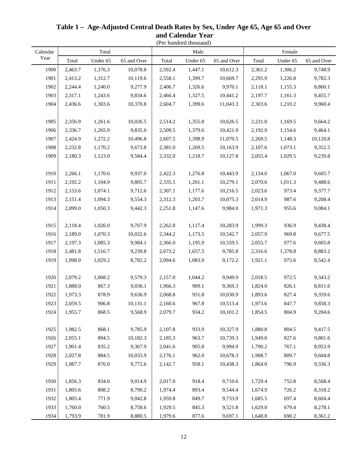|          |         |          |             |         | (Per hundred thousand) |             |         |          |             |  |
|----------|---------|----------|-------------|---------|------------------------|-------------|---------|----------|-------------|--|
| Calendar |         | Total    |             |         | Male                   |             |         | Female   |             |  |
| Year     | Total   | Under 65 | 65 and Over | Total   | Under 65               | 65 and Over | Total   | Under 65 | 65 and Over |  |
| 1900     | 2,463.7 | 1,376.3  | 10,078.8    | 2,592.4 | 1,447.1                | 10,612.3    | 2,361.2 | 1,306.2  | 9,748.9     |  |
| 1901     | 2,413.2 | 1,312.7  | 10,119.6    | 2,558.1 | 1,399.7                | 10,669.7    | 2,295.9 | 1,226.8  | 9,782.3     |  |
| 1902     | 2,244.4 | 1,240.0  | 9,277.9     | 2,406.7 | 1,326.6                | 9,970.1     | 2,118.1 | 1,155.3  | 8,860.1     |  |
| 1903     | 2,317.1 | 1,243.6  | 9,834.6     | 2,466.4 | 1,327.5                | 10,441.2    | 2,197.7 | 1,161.3  | 9,455.7     |  |
| 1904     | 2,436.6 | 1,303.6  | 10,370.8    | 2,604.7 | 1,399.6                | 11,043.3    | 2,303.6 | 1,210.2  | 9,960.4     |  |
|          |         |          |             |         |                        |             |         |          |             |  |
| 1905     | 2,356.9 | 1,261.6  | 10,026.5    | 2,514.2 | 1,355.8                | 10,626.5    | 2,231.0 | 1,169.5  | 9,664.2     |  |
| 1906     | 2,336.7 | 1,265.9  | 9,835.0     | 2,509.5 | 1,379.6                | 10,421.9    | 2,192.9 | 1,154.6  | 9,464.1     |  |
| 1907     | 2,424.9 | 1,272.2  | 10,496.8    | 2,607.5 | 1,398.9                | 11,070.5    | 2,269.5 | 1,148.3  | 10,120.8    |  |
| 1908     | 2,232.8 | 1,170.2  | 9,673.8     | 2,381.0 | 1,269.5                | 10,163.9    | 2,107.6 | 1,073.1  | 9,352.5     |  |
| 1909     | 2,180.3 | 1,123.0  | 9,584.4     | 2,332.0 | 1,218.7                | 10,127.8    | 2,055.4 | 1,029.5  | 9,239.8     |  |
|          |         |          |             |         |                        |             |         |          |             |  |
| 1910     | 2,266.1 | 1,170.6  | 9,937.0     | 2,422.3 | 1,276.8                | 10,443.9    | 2,134.0 | 1,067.0  | 9,605.7     |  |
| 1911     | 2,192.2 | 1,104.9  | 9,805.7     | 2,335.5 | 1,201.1                | 10,279.1    | 2,070.6 | 1,011.3  | 9,488.6     |  |
| 1912     | 2,153.6 | 1,074.1  | 9,712.6     | 2,307.1 | 1,177.6                | 10,216.5    | 2,023.6 | 973.4    | 9,377.7     |  |
| 1913     | 2,151.4 | 1,094.3  | 9,554.3     | 2,312.3 | 1,203.7                | 10,075.3    | 2,014.9 | 987.6    | 9,208.4     |  |
| 1914     | 2,099.0 | 1,050.3  | 9,442.3     | 2,251.8 | 1,147.6                | 9,984.0     | 1,971.3 | 955.6    | 9,084.1     |  |
|          |         |          |             |         |                        |             |         |          |             |  |
| 1915     | 2,118.4 | 1,026.0  | 9,767.9     | 2,262.8 | 1,117.4                | 10,283.9    | 1,999.3 | 936.9    | 9,438.4     |  |
| 1916     | 2,189.0 | 1,070.3  | 10,022.6    | 2,344.2 | 1,173.5                | 10,542.7    | 2,057.9 | 969.8    | 9,677.5     |  |
| 1917     | 2,197.3 | 1,085.3  | 9,984.1     | 2,366.0 | 1,195.9                | 10,559.5    | 2,055.7 | 977.6    | 9,605.8     |  |
| 1918     | 2,481.8 | 1,516.7  | 9,239.8     | 2,673.2 | 1,657.5                | 9,785.8     | 2,316.6 | 1,378.8  | 8,883.2     |  |
| 1919     | 1,998.0 | 1,029.2  | 8,782.2     | 2,094.6 | 1,083.9                | 9,172.2     | 1,921.1 | 975.6    | 8,542.4     |  |
|          |         |          |             |         |                        |             |         |          |             |  |
| 1920     | 2,079.2 | 1,008.2  | 9,579.3     | 2,157.0 | 1,044.2                | 9,949.9     | 2,018.5 | 972.5    | 9,343.2     |  |
| 1921     | 1,888.0 | 867.3    | 9,036.1     | 1,966.3 | 909.1                  | 9,369.3     | 1,824.0 | 826.1    | 8,811.6     |  |
| 1922     | 1,973.3 | 878.9    | 9,636.9     | 2,068.8 | 931.8                  | 10,030.9    | 1,893.6 | 827.4    | 9,359.6     |  |
| 1923     | 2,059.5 | 906.8    | 10,131.1    | 2,160.6 | 967.8                  | 10,513.4    | 1,973.6 | 847.7    | 9,858.3     |  |
| 1924     | 1,955.7 | 868.5    | 9,568.9     | 2,079.7 | 934.2                  | 10,101.2    | 1,854.5 | 804.9    | 9,204.6     |  |
|          |         |          |             |         |                        |             |         |          |             |  |
| 1925     | 1,982.5 | 868.1    | 9,785.9     | 2,107.8 | 933.9                  | 10,327.9    | 1,880.8 | 804.5    | 9,417.5     |  |
| 1926     | 2,055.1 | 894.5    | 10,182.3    | 2,185.3 | 963.7                  | 10,739.3    | 1,949.0 | 827.6    | 9,801.6     |  |
| 1927     | 1,901.4 | 835.2    | 9,367.9     | 2,041.6 | 905.8                  | 9,994.9     | 1,790.2 | 767.1    | 8,953.9     |  |
| 1928     | 2,027.8 | 884.5    | 10,033.9    | 2,176.1 | 962.0                  | 10,678.3    | 1,908.7 | 809.7    | 9,604.8     |  |
| 1929     | 1,987.7 | 876.0    | 9,772.6     | 2,142.7 | 958.1                  | 10,438.3    | 1,864.0 | 796.9    | 9,336.3     |  |
|          |         |          |             |         |                        |             |         |          |             |  |
| 1930     | 1,856.3 | 834.0    | 9,014.9     | 2,017.0 | 918.4                  | 9,710.6     | 1,729.4 | 752.8    | 8,568.4     |  |
| 1931     | 1,805.6 | 808.2    | 8,790.2     | 1,974.4 | 893.4                  | 9,544.4     | 1,674.9 | 726.2    | 8,318.2     |  |
| 1932     | 1,805.4 | 771.9    | 9,042.8     | 1,959.8 | 849.7                  | 9,733.9     | 1,685.5 | 697.4    | 8,604.4     |  |
| 1933     | 1,760.0 | 760.5    | 8,758.6     | 1,929.5 | 845.3                  | 9,521.8     | 1,629.0 | 679.4    | 8,278.1     |  |
| 1934     | 1,793.9 | 781.9    | 8,880.5     | 1,979.6 | 877.6                  | 9,697.1     | 1,648.8 | 690.2    | 8,361.2     |  |

## **Table 1 – Age-Adjusted Central Death Rates by Sex, Under Age 65, Age 65 and Over and Calendar Year**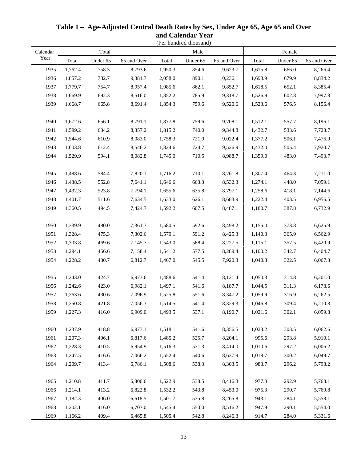|          |         |          |             |         | (Per hundred thousand) |             |         |          |             |
|----------|---------|----------|-------------|---------|------------------------|-------------|---------|----------|-------------|
| Calendar |         | Total    |             |         | Male                   |             |         | Female   |             |
| Year     | Total   | Under 65 | 65 and Over | Total   | Under 65               | 65 and Over | Total   | Under 65 | 65 and Over |
| 1935     | 1,762.4 | 758.3    | 8,793.6     | 1,950.3 | 854.6                  | 9,623.7     | 1,615.8 | 666.0    | 8,266.4     |
| 1936     | 1,857.2 | 782.7    | 9,381.7     | 2,058.0 | 890.1                  | 10,236.1    | 1,698.9 | 679.9    | 8,834.2     |
| 1937     | 1,779.7 | 754.7    | 8,957.4     | 1,985.6 | 862.1                  | 9,852.7     | 1,618.5 | 652.1    | 8,385.4     |
| 1938     | 1,669.9 | 692.3    | 8,516.0     | 1,852.2 | 785.9                  | 9,318.7     | 1,526.9 | 602.8    | 7,997.8     |
| 1939     | 1,668.7 | 665.8    | 8,691.4     | 1,854.3 | 759.6                  | 9,520.6     | 1,523.6 | 576.5    | 8,156.4     |
|          |         |          |             |         |                        |             |         |          |             |
| 1940     | 1,672.6 | 656.1    | 8,791.1     | 1,877.8 | 759.6                  | 9,708.1     | 1,512.1 | 557.7    | 8,196.1     |
| 1941     | 1,599.2 | 634.2    | 8,357.2     | 1,815.2 | 740.0                  | 9,344.8     | 1,432.7 | 533.6    | 7,728.7     |
| 1942     | 1,544.6 | 610.9    | 8,083.0     | 1,758.3 | 721.0                  | 9,022.4     | 1,377.2 | 506.1    | 7,476.9     |
| 1943     | 1,603.8 | 612.4    | 8,546.2     | 1,824.6 | 724.7                  | 9,526.9     | 1,432.0 | 505.4    | 7,920.7     |
| 1944     | 1,529.9 | 594.1    | 8,082.8     | 1,745.0 | 710.5                  | 8,988.7     | 1,359.0 | 483.0    | 7,493.7     |
|          |         |          |             |         |                        |             |         |          |             |
| 1945     | 1,488.6 | 584.4    | 7,820.1     | 1,716.2 | 710.1                  | 8,761.8     | 1,307.4 | 464.3    | 7,211.0     |
| 1946     | 1,438.5 | 552.8    | 7,641.1     | 1,646.6 | 663.3                  | 8,532.3     | 1,274.1 | 448.0    | 7,059.1     |
| 1947     | 1,432.3 | 523.8    | 7,794.1     | 1,655.6 | 635.8                  | 8,797.1     | 1,258.6 | 418.1    | 7,144.6     |
| 1948     | 1,401.7 | 511.6    | 7,634.5     | 1,633.0 | 626.1                  | 8,683.9     | 1,222.4 | 403.5    | 6,956.5     |
| 1949     | 1,360.5 | 494.5    | 7,424.7     | 1,592.2 | 607.5                  | 8,487.1     | 1,180.7 | 387.8    | 6,732.9     |
|          |         |          |             |         |                        |             |         |          |             |
| 1950     | 1,339.9 | 480.0    | 7,361.7     | 1,580.5 | 592.6                  | 8,498.2     | 1,155.0 | 373.8    | 6,625.9     |
| 1951     | 1,328.4 | 475.3    | 7,302.6     | 1,570.1 | 591.2                  | 8,425.3     | 1,140.3 | 365.9    | 6,562.9     |
| 1952     | 1,303.8 | 469.6    | 7,145.7     | 1,543.0 | 588.4                  | 8,227.5     | 1,115.1 | 357.5    | 6,420.9     |
| 1953     | 1,294.1 | 456.6    | 7,158.4     | 1,541.2 | 577.5                  | 8,289.4     | 1,100.2 | 342.7    | 6,404.7     |
| 1954     | 1,228.2 | 430.7    | 6,812.7     | 1,467.0 | 545.5                  | 7,920.3     | 1,040.3 | 322.5    | 6,067.3     |
|          |         |          |             |         |                        |             |         |          |             |
| 1955     | 1,243.0 | 424.7    | 6,973.6     | 1,488.6 | 541.4                  | 8,121.4     | 1,050.3 | 314.8    | 6,201.0     |
| 1956     | 1,242.6 | 423.0    | 6,982.1     | 1,497.1 | 541.6                  | 8,187.7     | 1,044.5 | 311.3    | 6,178.6     |
| 1957     | 1,263.6 | 430.6    | 7,096.9     | 1,525.8 | 551.6                  | 8,347.2     | 1,059.9 | 316.9    | 6,262.5     |
| 1958     | 1,250.8 | 421.8    | 7,056.3     | 1,514.5 | 541.4                  | 8,329.3     | 1,046.8 | 309.4    | 6,210.8     |
| 1959     | 1,227.3 | 416.0    | 6,909.0     | 1,493.5 | 537.1                  | 8,190.7     | 1,021.6 | 302.1    | 6,059.8     |
|          |         |          |             |         |                        |             |         |          |             |
| 1960     | 1,237.9 | 418.8    | 6,973.1     | 1,518.1 | 541.6                  | 8,356.5     | 1,023.2 | 303.5    | 6,062.6     |
| 1961     | 1,207.3 | 406.1    | 6,817.6     | 1,485.2 | 525.7                  | 8,204.1     | 995.6   | 293.8    | 5,910.1     |
| 1962     | 1,228.3 | 410.5    | 6,954.9     | 1,516.3 | 531.3                  | 8,414.0     | 1,010.6 | 297.2    | 6,006.2     |
| 1963     | 1,247.5 | 416.6    | 7,066.2     | 1,552.4 | 540.6                  | 8,637.9     | 1,018.7 | 300.2    | 6,049.7     |
| 1964     | 1,209.7 | 413.4    | 6,786.1     | 1,508.6 | 538.3                  | 8,303.5     | 983.7   | 296.2    | 5,798.2     |
|          |         |          |             |         |                        |             |         |          |             |
| 1965     | 1,210.8 | 411.7    | 6,806.6     | 1,522.9 | 538.5                  | 8,416.3     | 977.0   | 292.9    | 5,768.1     |
| 1966     | 1,214.1 | 413.2    | 6,822.8     | 1,532.2 | 543.8                  | 8,453.0     | 975.3   | 290.7    | 5,769.8     |
| 1967     | 1,182.3 | 406.0    | 6,618.5     | 1,501.7 | 535.8                  | 8,265.8     | 943.1   | 284.1    | 5,558.1     |
| 1968     | 1,202.1 | 416.0    | 6,707.0     | 1,545.4 | 550.0                  | 8,516.2     | 947.9   | 290.1    | 5,554.0     |
| 1969     | 1,166.2 | 409.4    | 6,465.8     | 1,505.4 | 542.8                  | 8,246.3     | 914.7   | 284.0    | 5,331.6     |

## **Table 1 – Age-Adjusted Central Death Rates by Sex, Under Age 65, Age 65 and Over and Calendar Year**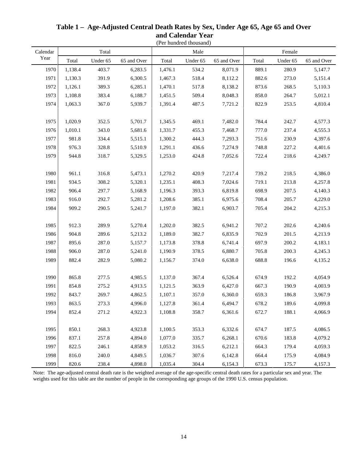| Calendar |         | Total    |             |         | Male     |             | Female |          |             |  |
|----------|---------|----------|-------------|---------|----------|-------------|--------|----------|-------------|--|
| Year     | Total   | Under 65 | 65 and Over | Total   | Under 65 | 65 and Over | Total  | Under 65 | 65 and Over |  |
| 1970     | 1,138.4 | 403.7    | 6,283.5     | 1,476.1 | 534.2    | 8,071.9     | 889.1  | 280.9    | 5,147.7     |  |
| 1971     | 1,130.3 | 391.9    | 6,300.5     | 1,467.3 | 518.4    | 8,112.2     | 882.6  | 273.0    | 5,151.4     |  |
| 1972     | 1,126.1 | 389.3    | 6,285.1     | 1,470.1 | 517.8    | 8,138.2     | 873.6  | 268.5    | 5,110.3     |  |
| 1973     | 1,108.8 | 383.4    | 6,188.7     | 1,451.5 | 509.4    | 8,048.3     | 858.0  | 264.7    | 5,012.1     |  |
| 1974     | 1,063.3 | 367.0    | 5,939.7     | 1,391.4 | 487.5    | 7,721.2     | 822.9  | 253.5    | 4,810.4     |  |
|          |         |          |             |         |          |             |        |          |             |  |
| 1975     | 1,020.9 | 352.5    | 5,701.7     | 1,345.5 | 469.1    | 7,482.0     | 784.4  | 242.7    | 4,577.3     |  |
| 1976     | 1,010.1 | 343.0    | 5,681.6     | 1,331.7 | 455.3    | 7,468.7     | 777.0  | 237.4    | 4,555.3     |  |
| 1977     | 981.8   | 334.4    | 5,515.1     | 1,300.2 | 444.3    | 7,293.3     | 751.6  | 230.9    | 4,397.6     |  |
| 1978     | 976.3   | 328.8    | 5,510.9     | 1,291.1 | 436.6    | 7,274.9     | 748.8  | 227.2    | 4,401.6     |  |
| 1979     | 944.8   | 318.7    | 5,329.5     | 1,253.0 | 424.8    | 7,052.6     | 722.4  | 218.6    | 4,249.7     |  |
|          |         |          |             |         |          |             |        |          |             |  |
| 1980     | 961.1   | 316.8    | 5,473.1     | 1,270.2 | 420.9    | 7,217.4     | 739.2  | 218.5    | 4,386.0     |  |
| 1981     | 934.5   | 308.2    | 5,320.1     | 1,235.1 | 408.3    | 7,024.6     | 719.1  | 213.8    | 4,257.8     |  |
| 1982     | 906.4   | 297.7    | 5,168.9     | 1,196.3 | 393.3    | 6,819.8     | 698.9  | 207.5    | 4,140.3     |  |
| 1983     | 916.0   | 292.7    | 5,281.2     | 1,208.6 | 385.1    | 6,975.6     | 708.4  | 205.7    | 4,229.0     |  |
| 1984     | 909.2   | 290.5    | 5,241.7     | 1,197.0 | 382.1    | 6,903.7     | 705.4  | 204.2    | 4,215.3     |  |
|          |         |          |             |         |          |             |        |          |             |  |
| 1985     | 912.3   | 289.9    | 5,270.4     | 1,202.0 | 382.5    | 6,941.2     | 707.2  | 202.6    | 4,240.6     |  |
| 1986     | 904.8   | 289.6    | 5,213.2     | 1,189.0 | 382.7    | 6,835.9     | 702.9  | 201.5    | 4,213.9     |  |
| 1987     | 895.6   | 287.0    | 5,157.7     | 1,173.8 | 378.8    | 6,741.4     | 697.9  | 200.2    | 4,183.1     |  |
| 1988     | 906.0   | 287.0    | 5,241.0     | 1,190.9 | 378.5    | 6,880.7     | 705.8  | 200.3    | 4,245.3     |  |
| 1989     | 882.4   | 282.9    | 5,080.2     | 1,156.7 | 374.0    | 6,638.0     | 688.8  | 196.6    | 4,135.2     |  |
|          |         |          |             |         |          |             |        |          |             |  |
| 1990     | 865.8   | 277.5    | 4,985.5     | 1,137.0 | 367.4    | 6,526.4     | 674.9  | 192.2    | 4,054.9     |  |
| 1991     | 854.8   | 275.2    | 4,913.5     | 1,121.5 | 363.9    | 6,427.0     | 667.3  | 190.9    | 4,003.9     |  |
| 1992     | 843.7   | 269.7    | 4,862.5     | 1,107.1 | 357.0    | 6,360.0     | 659.3  | 186.8    | 3,967.9     |  |
| 1993     | 863.5   | 273.3    | 4,996.0     | 1,127.8 | 361.4    | 6,494.7     | 678.2  | 189.6    | 4,099.8     |  |
| 1994     | 852.4   | 271.2    | 4,922.3     | 1,108.8 | 358.7    | 6,361.6     | 672.7  | 188.1    | 4,066.9     |  |
|          |         |          |             |         |          |             |        |          |             |  |
| 1995     | 850.1   | 268.3    | 4,923.8     | 1,100.5 | 353.3    | 6,332.6     | 674.7  | 187.5    | 4,086.5     |  |
| 1996     | 837.1   | 257.8    | 4,894.0     | 1,077.0 | 335.7    | 6,268.1     | 670.6  | 183.8    | 4,079.2     |  |
| 1997     | 822.5   | 246.1    | 4,858.9     | 1,053.2 | 316.5    | 6,212.1     | 664.3  | 179.4    | 4,059.3     |  |
| 1998     | 816.0   | 240.0    | 4,849.5     | 1,036.7 | 307.6    | 6,142.8     | 664.4  | 175.9    | 4,084.9     |  |
| 1999     | 820.6   | 238.4    | 4,898.0     | 1,035.4 | 304.4    | 6,154.3     | 673.3  | 175.7    | 4,157.3     |  |

#### **Table 1 – Age-Adjusted Central Death Rates by Sex, Under Age 65, Age 65 and Over and Calendar Year** (Per hundred thousand)

Note: The age-adjusted central death rate is the weighted average of the age-specific central death rates for a particular sex and year. The weights used for this table are the number of people in the corresponding age groups of the 1990 U.S. census population.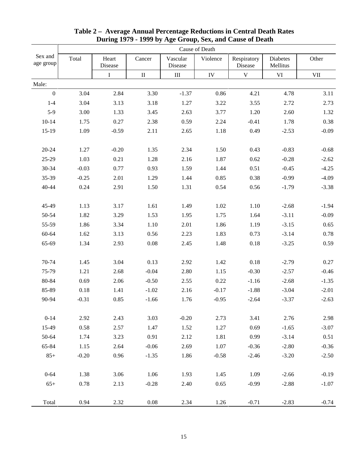|                      | Cause of Death |                  |          |                     |            |                        |                      |            |  |  |  |  |
|----------------------|----------------|------------------|----------|---------------------|------------|------------------------|----------------------|------------|--|--|--|--|
| Sex and<br>age group | Total          | Heart<br>Disease | Cancer   | Vascular<br>Disease | Violence   | Respiratory<br>Disease | Diabetes<br>Mellitus | Other      |  |  |  |  |
|                      |                | I                | $\rm II$ | Ш                   | ${\rm IV}$ | $\mathbf V$            | VI                   | <b>VII</b> |  |  |  |  |
| Male:                |                |                  |          |                     |            |                        |                      |            |  |  |  |  |
| $\boldsymbol{0}$     | 3.04           | 2.84             | 3.30     | $-1.37$             | 0.86       | 4.21                   | 4.78                 | 3.11       |  |  |  |  |
| $1-4$                | 3.04           | 3.13             | 3.18     | 1.27                | 3.22       | 3.55                   | 2.72                 | 2.73       |  |  |  |  |
| $5-9$                | 3.00           | 1.33             | 3.45     | 2.63                | 3.77       | 1.20                   | 2.60                 | 1.32       |  |  |  |  |
| $10 - 14$            | 1.75           | 0.27             | 2.38     | 0.59                | 2.24       | $-0.41$                | 1.78                 | 0.38       |  |  |  |  |
| 15-19                | 1.09           | $-0.59$          | 2.11     | 2.65                | 1.18       | 0.49                   | $-2.53$              | $-0.09$    |  |  |  |  |
| $20 - 24$            | 1.27           | $-0.20$          | 1.35     | 2.34                | 1.50       | 0.43                   | $-0.83$              | $-0.68$    |  |  |  |  |
| 25-29                | 1.03           | 0.21             | 1.28     | 2.16                | 1.87       | 0.62                   | $-0.28$              | $-2.62$    |  |  |  |  |
| 30-34                | $-0.03$        | 0.77             | 0.93     | 1.59                | 1.44       | 0.51                   | $-0.45$              | $-4.25$    |  |  |  |  |
| 35-39                | $-0.25$        | 2.01             | 1.29     | 1.44                | 0.85       | 0.38                   | $-0.99$              | $-4.09$    |  |  |  |  |
| 40-44                | 0.24           | 2.91             | 1.50     | 1.31                | 0.54       | 0.56                   | $-1.79$              | $-3.38$    |  |  |  |  |
| 45-49                | 1.13           | 3.17             | 1.61     | 1.49                | 1.02       | 1.10                   | $-2.68$              | $-1.94$    |  |  |  |  |
| 50-54                | 1.82           | 3.29             | 1.53     | 1.95                | 1.75       | 1.64                   | $-3.11$              | $-0.09$    |  |  |  |  |
| 55-59                | 1.86           | 3.34             | 1.10     | 2.01                | 1.86       | 1.19                   | $-3.15$              | 0.65       |  |  |  |  |
| 60-64                | 1.62           | 3.13             | 0.56     | 2.23                | 1.83       | 0.73                   | $-3.14$              | 0.78       |  |  |  |  |
| 65-69                | 1.34           | 2.93             | 0.08     | 2.45                | 1.48       | 0.18                   | $-3.25$              | 0.59       |  |  |  |  |
| 70-74                | 1.45           | 3.04             | 0.13     | 2.92                | 1.42       | 0.18                   | $-2.79$              | 0.27       |  |  |  |  |
| 75-79                | 1.21           | 2.68             | $-0.04$  | 2.80                | 1.15       | $-0.30$                | $-2.57$              | $-0.46$    |  |  |  |  |
| 80-84                | 0.69           | 2.06             | $-0.50$  | 2.55                | 0.22       | $-1.16$                | $-2.68$              | $-1.35$    |  |  |  |  |
| 85-89                | 0.18           | 1.41             | $-1.02$  | 2.16                | $-0.17$    | $-1.88$                | $-3.04$              | $-2.01$    |  |  |  |  |
| 90-94                | $-0.31$        | 0.85             | $-1.66$  | 1.76                | $-0.95$    | $-2.64$                | $-3.37$              | $-2.63$    |  |  |  |  |
| $0 - 14$             | 2.92           | 2.43             | 3.03     | $-0.20$             | 2.73       | 3.41                   | 2.76                 | 2.98       |  |  |  |  |
| 15-49                | 0.58           | 2.57             | 1.47     | 1.52                | 1.27       | 0.69                   | $-1.65$              | $-3.07$    |  |  |  |  |
| 50-64                | 1.74           | 3.23             | 0.91     | 2.12                | 1.81       | 0.99                   | $-3.14$              | 0.51       |  |  |  |  |
| 65-84                | 1.15           | 2.64             | $-0.06$  | 2.69                | 1.07       | $-0.36$                | $-2.80$              | $-0.36$    |  |  |  |  |
| $85+$                | $-0.20$        | 0.96             | $-1.35$  | 1.86                | $-0.58$    | $-2.46$                | $-3.20$              | $-2.50$    |  |  |  |  |
| $0 - 64$             | 1.38           | 3.06             | 1.06     | 1.93                | 1.45       | 1.09                   | $-2.66$              | $-0.19$    |  |  |  |  |
| $65+$                | 0.78           | 2.13             | $-0.28$  | 2.40                | 0.65       | $-0.99$                | $-2.88$              | $-1.07$    |  |  |  |  |
| Total                | 0.94           | 2.32             | $0.08\,$ | 2.34                | 1.26       | $-0.71$                | $-2.83$              | $-0.74$    |  |  |  |  |

#### **Table 2 – Average Annual Percentage Reductions in Central Death Rates During 1979 - 1999 by Age Group, Sex, and Cause of Death**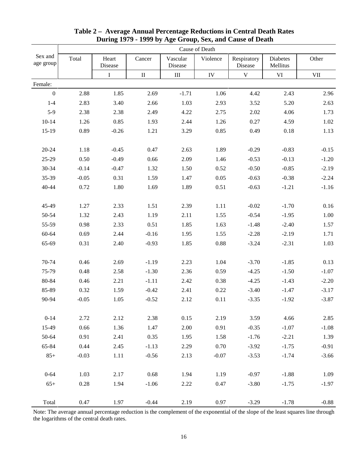|                      | Cause of Death |                  |          |                     |            |                        |                      |         |  |  |  |  |
|----------------------|----------------|------------------|----------|---------------------|------------|------------------------|----------------------|---------|--|--|--|--|
| Sex and<br>age group | Total          | Heart<br>Disease | Cancer   | Vascular<br>Disease | Violence   | Respiratory<br>Disease | Diabetes<br>Mellitus | Other   |  |  |  |  |
|                      |                | I                | $\rm II$ | III                 | ${\rm IV}$ | $\mathbf V$            | VI                   | VII     |  |  |  |  |
| Female:              |                |                  |          |                     |            |                        |                      |         |  |  |  |  |
| $\boldsymbol{0}$     | 2.88           | 1.85             | 2.69     | $-1.71$             | 1.06       | 4.42                   | 2.43                 | 2.96    |  |  |  |  |
| $1-4$                | 2.83           | 3.40             | 2.66     | 1.03                | 2.93       | 3.52                   | 5.20                 | 2.63    |  |  |  |  |
| $5-9$                | 2.38           | 2.38             | 2.49     | 4.22                | 2.75       | 2.02                   | 4.06                 | 1.73    |  |  |  |  |
| $10 - 14$            | 1.26           | 0.85             | 1.93     | 2.44                | 1.26       | 0.27                   | 4.59                 | 1.02    |  |  |  |  |
| $15-19$              | 0.89           | $-0.26$          | 1.21     | 3.29                | 0.85       | 0.49                   | 0.18                 | 1.13    |  |  |  |  |
| $20 - 24$            | 1.18           | $-0.45$          | 0.47     | 2.63                | 1.89       | $-0.29$                | $-0.83$              | $-0.15$ |  |  |  |  |
| 25-29                | 0.50           | $-0.49$          | 0.66     | 2.09                | 1.46       | $-0.53$                | $-0.13$              | $-1.20$ |  |  |  |  |
| 30-34                | $-0.14$        | $-0.47$          | 1.32     | 1.50                | 0.52       | $-0.50$                | $-0.85$              | $-2.19$ |  |  |  |  |
| 35-39                | $-0.05$        | 0.31             | 1.59     | 1.47                | 0.05       | $-0.63$                | $-0.38$              | $-2.24$ |  |  |  |  |
| 40-44                | 0.72           | 1.80             | 1.69     | 1.89                | 0.51       | $-0.63$                | $-1.21$              | $-1.16$ |  |  |  |  |
| 45-49                | 1.27           | 2.33             | 1.51     | 2.39                | 1.11       | $-0.02$                | $-1.70$              | 0.16    |  |  |  |  |
| 50-54                | 1.32           | 2.43             | 1.19     | 2.11                | 1.55       | $-0.54$                | $-1.95$              | 1.00    |  |  |  |  |
| 55-59                | 0.98           | 2.33             | 0.51     | 1.85                | 1.63       | $-1.48$                | $-2.40$              | 1.57    |  |  |  |  |
| 60-64                | 0.69           | 2.44             | $-0.16$  | 1.95                | 1.55       | $-2.28$                | $-2.19$              | 1.71    |  |  |  |  |
| 65-69                | 0.31           | 2.40             | $-0.93$  | 1.85                | 0.88       | $-3.24$                | $-2.31$              | 1.03    |  |  |  |  |
| 70-74                | 0.46           | 2.69             | $-1.19$  | 2.23                | 1.04       | $-3.70$                | $-1.85$              | 0.13    |  |  |  |  |
| 75-79                | 0.48           | 2.58             | $-1.30$  | 2.36                | 0.59       | $-4.25$                | $-1.50$              | $-1.07$ |  |  |  |  |
| 80-84                | 0.46           | 2.21             | $-1.11$  | 2.42                | 0.38       | $-4.25$                | $-1.43$              | $-2.20$ |  |  |  |  |
| 85-89                | 0.32           | 1.59             | $-0.42$  | 2.41                | 0.22       | $-3.40$                | $-1.47$              | $-3.17$ |  |  |  |  |
| 90-94                | $-0.05$        | 1.05             | $-0.52$  | 2.12                | 0.11       | $-3.35$                | $-1.92$              | $-3.87$ |  |  |  |  |
| $0 - 14$             | 2.72           | 2.12             | 2.38     | 0.15                | 2.19       | 3.59                   | 4.66                 | 2.85    |  |  |  |  |
| 15-49                | 0.66           | 1.36             | 1.47     | 2.00                | 0.91       | $-0.35$                | $-1.07$              | $-1.08$ |  |  |  |  |
| 50-64                | 0.91           | 2.41             | 0.35     | 1.95                | 1.58       | $-1.76$                | $-2.21$              | 1.39    |  |  |  |  |
| 65-84                | 0.44           | 2.45             | $-1.13$  | 2.29                | 0.70       | $-3.92$                | $-1.75$              | $-0.91$ |  |  |  |  |
| $85+$                | $-0.03$        | 1.11             | $-0.56$  | 2.13                | $-0.07$    | $-3.53$                | $-1.74$              | $-3.66$ |  |  |  |  |
| $0 - 64$             | 1.03           | 2.17             | 0.68     | 1.94                | 1.19       | $-0.97$                | $-1.88$              | 1.09    |  |  |  |  |
| $65+$                | 0.28           | 1.94             | $-1.06$  | 2.22                | 0.47       | $-3.80$                | $-1.75$              | $-1.97$ |  |  |  |  |
| Total                | 0.47           | 1.97             | $-0.44$  | 2.19                | 0.97       | $-3.29$                | $-1.78$              | $-0.88$ |  |  |  |  |

### **Table 2 – Average Annual Percentage Reductions in Central Death Rates During 1979 - 1999 by Age Group, Sex, and Cause of Death**

Note: The average annual percentage reduction is the complement of the exponential of the slope of the least squares line through the logarithms of the central death rates.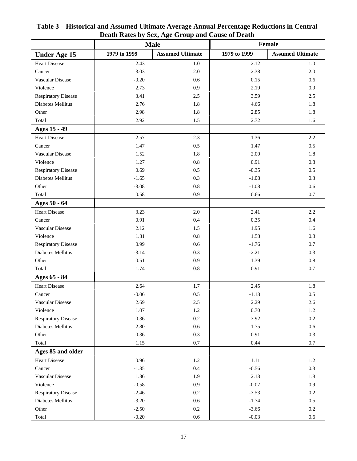|                            |              | Death Kates by Dexy Lige Group and Cause of Death<br><b>Male</b> |              | Female                  |
|----------------------------|--------------|------------------------------------------------------------------|--------------|-------------------------|
| <b>Under Age 15</b>        | 1979 to 1999 | <b>Assumed Ultimate</b>                                          | 1979 to 1999 | <b>Assumed Ultimate</b> |
| Heart Disease              | 2.43         | 1.0                                                              | 2.12         | 1.0                     |
| Cancer                     | 3.03         | $2.0\,$                                                          | 2.38         | $2.0\,$                 |
| Vascular Disease           | $-0.20$      | 0.6                                                              | 0.15         | 0.6                     |
| Violence                   | 2.73         | 0.9                                                              | 2.19         | 0.9                     |
| <b>Respiratory Disease</b> | 3.41         | 2.5                                                              | 3.59         | 2.5                     |
| Diabetes Mellitus          | 2.76         | 1.8                                                              | 4.66         | 1.8                     |
| Other                      | 2.98         | $1.8\,$                                                          | 2.85         | $1.8\,$                 |
| Total                      | 2.92         | 1.5                                                              | 2.72         | $1.6\,$                 |
| Ages 15 - 49               |              |                                                                  |              |                         |
| <b>Heart Disease</b>       | 2.57         | 2.3                                                              | 1.36         | 2.2                     |
| Cancer                     | 1.47         | 0.5                                                              | 1.47         | 0.5                     |
| Vascular Disease           | 1.52         | 1.8                                                              | 2.00         | 1.8                     |
| Violence                   | 1.27         | $0.8\,$                                                          | 0.91         | $\rm 0.8$               |
| <b>Respiratory Disease</b> | 0.69         | 0.5                                                              | $-0.35$      | 0.5                     |
| Diabetes Mellitus          | $-1.65$      | 0.3                                                              | $-1.08$      | 0.3                     |
| Other                      | $-3.08$      | $\rm 0.8$                                                        | $-1.08$      | $0.6\,$                 |
| Total                      | 0.58         | 0.9                                                              | 0.66         | 0.7                     |
| Ages 50 - 64               |              |                                                                  |              |                         |
| <b>Heart Disease</b>       | 3.23         | $2.0\,$                                                          | 2.41         | $2.2\,$                 |
| Cancer                     | 0.91         | 0.4                                                              | 0.35         | 0.4                     |
| Vascular Disease           | 2.12         | 1.5                                                              | 1.95         | 1.6                     |
| Violence                   | 1.81         | $0.8\,$                                                          | 1.58         | $0.8\,$                 |
| Respiratory Disease        | 0.99         | 0.6                                                              | $-1.76$      | $0.7\,$                 |
| Diabetes Mellitus          | $-3.14$      | 0.3                                                              | $-2.21$      | 0.3                     |
| Other                      | 0.51         | 0.9                                                              | 1.39         | $0.8\,$                 |
| Total                      | 1.74         | $0.8\,$                                                          | 0.91         | 0.7                     |
| Ages 65 - 84               |              |                                                                  |              |                         |
| <b>Heart Disease</b>       | 2.64         | 1.7                                                              | 2.45         | 1.8                     |
| Cancer                     | $-0.06$      | $0.5\,$                                                          | $-1.13$      | 0.5                     |
| Vascular Disease           | 2.69         | $2.5\,$                                                          | 2.29         | 2.6                     |
| Violence                   | 1.07         | $1.2\,$                                                          | 0.70         | $1.2\,$                 |
| <b>Respiratory Disease</b> | $-0.36$      | $0.2\,$                                                          | $-3.92$      | $0.2\,$                 |
| Diabetes Mellitus          | $-2.80$      | $0.6\,$                                                          | $-1.75$      | 0.6                     |
| Other                      | $-0.36$      | 0.3                                                              | $-0.91$      | $0.3\,$                 |
| Total                      | 1.15         | 0.7                                                              | 0.44         | 0.7                     |
| Ages 85 and older          |              |                                                                  |              |                         |
| <b>Heart Disease</b>       | 0.96         | $1.2\,$                                                          | $1.11\,$     | 1.2                     |
| Cancer                     | $-1.35$      | $0.4\,$                                                          | $-0.56$      | $0.3\,$                 |
| Vascular Disease           | 1.86         | 1.9                                                              | 2.13         | 1.8                     |
| Violence                   | $-0.58$      | 0.9                                                              | $-0.07$      | 0.9                     |
| <b>Respiratory Disease</b> | $-2.46$      | $0.2\,$                                                          | $-3.53$      | $0.2\,$                 |
| Diabetes Mellitus          | $-3.20$      | $0.6\,$                                                          | $-1.74$      | 0.5                     |
| Other                      | $-2.50$      | $0.2\,$                                                          | $-3.66$      | $0.2\,$                 |
| Total                      | $-0.20$      | $0.6\,$                                                          | $-0.03$      | $0.6\,$                 |

**Table 3 – Historical and Assumed Ultimate Average Annual Percentage Reductions in Central Death Rates by Sex, Age Group and Cause of Death**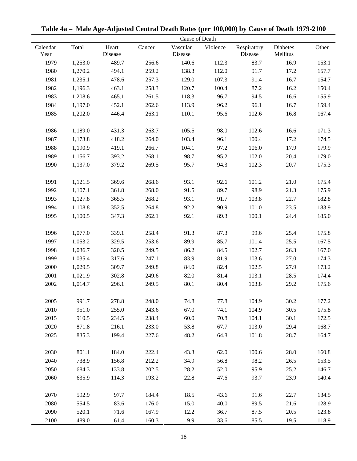| Cause of Death   |         |                  |        |                     |          |                        |                      |       |  |
|------------------|---------|------------------|--------|---------------------|----------|------------------------|----------------------|-------|--|
| Calendar<br>Year | Total   | Heart<br>Disease | Cancer | Vascular<br>Disease | Violence | Respiratory<br>Disease | Diabetes<br>Mellitus | Other |  |
| 1979             | 1,253.0 | 489.7            | 256.6  | 140.6               | 112.3    | 83.7                   | 16.9                 | 153.1 |  |
| 1980             | 1,270.2 | 494.1            | 259.2  | 138.3               | 112.0    | 91.7                   | 17.2                 | 157.7 |  |
| 1981             | 1,235.1 | 478.6            | 257.3  | 129.0               | 107.3    | 91.4                   | 16.7                 | 154.7 |  |
| 1982             | 1,196.3 | 463.1            | 258.3  | 120.7               | 100.4    | 87.2                   | 16.2                 | 150.4 |  |
| 1983             | 1,208.6 | 465.1            | 261.5  | 118.3               | 96.7     | 94.5                   | 16.6                 | 155.9 |  |
| 1984             | 1,197.0 | 452.1            | 262.6  | 113.9               | 96.2     | 96.1                   | 16.7                 | 159.4 |  |
| 1985             | 1,202.0 | 446.4            | 263.1  | 110.1               | 95.6     | 102.6                  | 16.8                 | 167.4 |  |
|                  |         |                  |        |                     |          |                        |                      |       |  |
| 1986             | 1,189.0 | 431.3            | 263.7  | 105.5               | 98.0     | 102.6                  | 16.6                 | 171.3 |  |
| 1987             | 1,173.8 | 418.2            | 264.0  | 103.4               | 96.1     | 100.4                  | 17.2                 | 174.5 |  |
| 1988             | 1,190.9 | 419.1            | 266.7  | 104.1               | 97.2     | 106.0                  | 17.9                 | 179.9 |  |
| 1989             | 1,156.7 | 393.2            | 268.1  | 98.7                | 95.2     | 102.0                  | 20.4                 | 179.0 |  |
| 1990             | 1,137.0 | 379.2            | 269.5  | 95.7                | 94.3     | 102.3                  | 20.7                 | 175.3 |  |
|                  |         |                  |        |                     |          |                        |                      |       |  |
| 1991             | 1,121.5 | 369.6            | 268.6  | 93.1                | 92.6     | 101.2                  | 21.0                 | 175.4 |  |
| 1992             | 1,107.1 | 361.8            | 268.0  | 91.5                | 89.7     | 98.9                   | 21.3                 | 175.9 |  |
| 1993             | 1,127.8 | 365.5            | 268.2  | 93.1                | 91.7     | 103.8                  | 22.7                 | 182.8 |  |
| 1994             | 1,108.8 | 352.5            | 264.8  | 92.2                | 90.9     | 101.0                  | 23.5                 | 183.9 |  |
| 1995             | 1,100.5 | 347.3            | 262.1  | 92.1                | 89.3     | 100.1                  | 24.4                 | 185.0 |  |
|                  |         |                  |        |                     |          |                        |                      |       |  |
| 1996             | 1,077.0 | 339.1            | 258.4  | 91.3                | 87.3     | 99.6                   | 25.4                 | 175.8 |  |
| 1997             | 1,053.2 | 329.5            | 253.6  | 89.9                | 85.7     | 101.4                  | 25.5                 | 167.5 |  |
| 1998             | 1,036.7 | 320.5            | 249.5  | 86.2                | 84.5     | 102.7                  | 26.3                 | 167.0 |  |
| 1999             | 1,035.4 | 317.6            | 247.1  | 83.9                | 81.9     | 103.6                  | 27.0                 | 174.3 |  |
| 2000             | 1,029.5 | 309.7            | 249.8  | 84.0                | 82.4     | 102.5                  | 27.9                 | 173.2 |  |
| 2001             | 1,021.9 | 302.8            | 249.6  | 82.0                | 81.4     | 103.1                  | 28.5                 | 174.4 |  |
| 2002             | 1,014.7 | 296.1            | 249.5  | 80.1                | 80.4     | 103.8                  | 29.2                 | 175.6 |  |
|                  |         |                  |        |                     |          |                        |                      |       |  |
| 2005             | 991.7   | 278.8            | 248.0  | 74.8                | 77.8     | 104.9                  | 30.2                 | 177.2 |  |
| 2010             | 951.0   | 255.0            | 243.6  | 67.0                | 74.1     | 104.9                  | 30.5                 | 175.8 |  |
| 2015             | 910.5   | 234.5            | 238.4  | 60.0                | 70.8     | 104.1                  | 30.1                 | 172.5 |  |
| 2020             | 871.8   | 216.1            | 233.0  | 53.8                | 67.7     | 103.0                  | 29.4                 | 168.7 |  |
| 2025             | 835.3   | 199.4            | 227.6  | 48.2                | 64.8     | 101.8                  | 28.7                 | 164.7 |  |
|                  |         |                  |        |                     |          |                        |                      |       |  |
| 2030             | 801.1   | 184.0            | 222.4  | 43.3                | 62.0     | 100.6                  | 28.0                 | 160.8 |  |
| 2040             | 738.9   | 156.8            | 212.2  | 34.9                | 56.8     | 98.2                   | 26.5                 | 153.5 |  |
| 2050             | 684.3   | 133.8            | 202.5  | 28.2                | 52.0     | 95.9                   | 25.2                 | 146.7 |  |
| 2060             | 635.9   | 114.3            | 193.2  | 22.8                | 47.6     | 93.7                   | 23.9                 | 140.4 |  |
|                  |         |                  |        |                     |          |                        |                      |       |  |
| 2070             | 592.9   | 97.7             | 184.4  | 18.5                | 43.6     | 91.6                   | 22.7                 | 134.5 |  |
| 2080             | 554.5   | 83.6             | 176.0  | 15.0                | 40.0     | 89.5                   | 21.6                 | 128.9 |  |
| 2090             | 520.1   | 71.6             | 167.9  | 12.2                | 36.7     | 87.5                   | 20.5                 | 123.8 |  |
| 2100             | 489.0   | 61.4             | 160.3  | 9.9                 | 33.6     | 85.5                   | 19.5                 | 118.9 |  |

**Table 4a – Male Age-Adjusted Central Death Rates (per 100,000) by Cause of Death 1979-2100**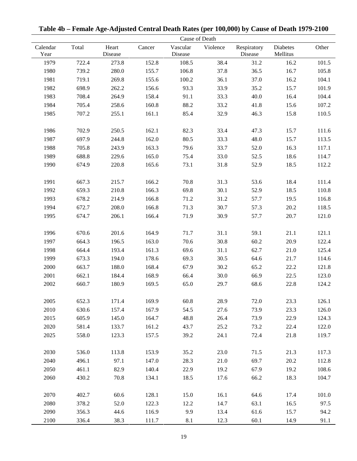| Cause of Death   |       |                  |        |                     |          |                        |                      |       |
|------------------|-------|------------------|--------|---------------------|----------|------------------------|----------------------|-------|
| Calendar<br>Year | Total | Heart<br>Disease | Cancer | Vascular<br>Disease | Violence | Respiratory<br>Disease | Diabetes<br>Mellitus | Other |
| 1979             | 722.4 | 273.8            | 152.8  | 108.5               | 38.4     | 31.2                   | 16.2                 | 101.5 |
| 1980             | 739.2 | 280.0            | 155.7  | 106.8               | 37.8     | 36.5                   | 16.7                 | 105.8 |
| 1981             | 719.1 | 269.8            | 155.6  | 100.2               | 36.1     | 37.0                   | 16.2                 | 104.1 |
| 1982             | 698.9 | 262.2            | 156.6  | 93.3                | 33.9     | 35.2                   | 15.7                 | 101.9 |
| 1983             | 708.4 | 264.9            | 158.4  | 91.1                | 33.3     | 40.0                   | 16.4                 | 104.4 |
| 1984             | 705.4 | 258.6            | 160.8  | 88.2                | 33.2     | 41.8                   | 15.6                 | 107.2 |
| 1985             | 707.2 | 255.1            | 161.1  | 85.4                | 32.9     | 46.3                   | 15.8                 | 110.5 |
| 1986             | 702.9 | 250.5            | 162.1  | 82.3                | 33.4     | 47.3                   | 15.7                 | 111.6 |
| 1987             | 697.9 | 244.8            | 162.0  | 80.5                | 33.3     | 48.0                   | 15.7                 | 113.5 |
| 1988             | 705.8 | 243.9            | 163.3  | 79.6                | 33.7     | 52.0                   | 16.3                 | 117.1 |
| 1989             | 688.8 | 229.6            | 165.0  | 75.4                | 33.0     | 52.5                   | 18.6                 | 114.7 |
| 1990             | 674.9 | 220.8            | 165.6  | 73.1                | 31.8     | 52.9                   | 18.5                 | 112.2 |
| 1991             | 667.3 | 215.7            | 166.2  | 70.8                | 31.3     | 53.6                   | 18.4                 | 111.4 |
| 1992             | 659.3 | 210.8            | 166.3  | 69.8                | 30.1     | 52.9                   | 18.5                 | 110.8 |
| 1993             | 678.2 | 214.9            | 166.8  | 71.2                | 31.2     | 57.7                   | 19.5                 | 116.8 |
| 1994             | 672.7 | 208.0            | 166.8  | 71.3                | 30.7     | 57.3                   | 20.2                 | 118.5 |
| 1995             | 674.7 | 206.1            | 166.4  | 71.9                | 30.9     | 57.7                   | 20.7                 | 121.0 |
| 1996             | 670.6 | 201.6            | 164.9  | 71.7                | 31.1     | 59.1                   | 21.1                 | 121.1 |
| 1997             | 664.3 | 196.5            | 163.0  | 70.6                | 30.8     | 60.2                   | 20.9                 | 122.4 |
| 1998             | 664.4 | 193.4            | 161.3  | 69.6                | 31.1     | 62.7                   | 21.0                 | 125.4 |
| 1999             | 673.3 | 194.0            | 178.6  | 69.3                | 30.5     | 64.6                   | 21.7                 | 114.6 |
| 2000             | 663.7 | 188.0            | 168.4  | 67.9                | 30.2     | 65.2                   | 22.2                 | 121.8 |
| 2001             | 662.1 | 184.4            | 168.9  | 66.4                | 30.0     | 66.9                   | 22.5                 | 123.0 |
| 2002             | 660.7 | 180.9            | 169.5  | 65.0                | 29.7     | 68.6                   | 22.8                 | 124.2 |
| 2005             | 652.3 | 171.4            | 169.9  | 60.8                | 28.9     | 72.0                   | 23.3                 | 126.1 |
| 2010             | 630.6 | 157.4            | 167.9  | 54.5                | 27.6     | 73.9                   | 23.3                 | 126.0 |
| 2015             | 605.9 | 145.0            | 164.7  | 48.8                | 26.4     | 73.9                   | 22.9                 | 124.3 |
| 2020             | 581.4 | 133.7            | 161.2  | 43.7                | 25.2     | 73.2                   | 22.4                 | 122.0 |
| 2025             | 558.0 | 123.3            | 157.5  | 39.2                | 24.1     | 72.4                   | 21.8                 | 119.7 |
| 2030             | 536.0 | 113.8            | 153.9  | 35.2                | 23.0     | 71.5                   | 21.3                 | 117.3 |
| 2040             | 496.1 | 97.1             | 147.0  | 28.3                | 21.0     | 69.7                   | 20.2                 | 112.8 |
| 2050             | 461.1 | 82.9             | 140.4  | 22.9                | 19.2     | 67.9                   | 19.2                 | 108.6 |
| 2060             | 430.2 | 70.8             | 134.1  | 18.5                | 17.6     | 66.2                   | 18.3                 | 104.7 |
| 2070             | 402.7 | 60.6             | 128.1  | 15.0                | 16.1     | 64.6                   | 17.4                 | 101.0 |
| 2080             | 378.2 | 52.0             | 122.3  | 12.2                | 14.7     | 63.1                   | 16.5                 | 97.5  |
| 2090             | 356.3 | 44.6             | 116.9  | 9.9                 | 13.4     | 61.6                   | 15.7                 | 94.2  |
| 2100             | 336.4 | 38.3             | 111.7  | 8.1                 | 12.3     | 60.1                   | 14.9                 | 91.1  |

**Table 4b – Female Age-Adjusted Central Death Rates (per 100,000) by Cause of Death 1979-2100**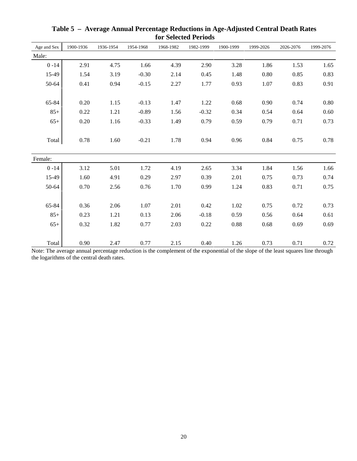| Age and Sex | 1900-1936 | 1936-1954 | 1954-1968 | 1968-1982 | 1982-1999 | 1900-1999 | 1999-2026 | 2026-2076 | 1999-2076 |
|-------------|-----------|-----------|-----------|-----------|-----------|-----------|-----------|-----------|-----------|
| Male:       |           |           |           |           |           |           |           |           |           |
| $0 - 14$    | 2.91      | 4.75      | 1.66      | 4.39      | 2.90      | 3.28      | 1.86      | 1.53      | 1.65      |
| 15-49       | 1.54      | 3.19      | $-0.30$   | 2.14      | 0.45      | 1.48      | $0.80\,$  | 0.85      | 0.83      |
| 50-64       | 0.41      | 0.94      | $-0.15$   | 2.27      | 1.77      | 0.93      | 1.07      | 0.83      | 0.91      |
|             |           |           |           |           |           |           |           |           |           |
| 65-84       | 0.20      | 1.15      | $-0.13$   | 1.47      | 1.22      | 0.68      | 0.90      | 0.74      | 0.80      |
| $85+$       | 0.22      | 1.21      | $-0.89$   | 1.56      | $-0.32$   | 0.34      | 0.54      | 0.64      | 0.60      |
| $65+$       | 0.20      | 1.16      | $-0.33$   | 1.49      | 0.79      | 0.59      | 0.79      | 0.71      | 0.73      |
|             |           |           |           |           |           |           |           |           |           |
| Total       | 0.78      | 1.60      | $-0.21$   | 1.78      | 0.94      | 0.96      | 0.84      | 0.75      | 0.78      |
|             |           |           |           |           |           |           |           |           |           |
| Female:     |           |           |           |           |           |           |           |           |           |
| $0 - 14$    | 3.12      | 5.01      | 1.72      | 4.19      | 2.65      | 3.34      | 1.84      | 1.56      | 1.66      |
| 15-49       | 1.60      | 4.91      | 0.29      | 2.97      | 0.39      | 2.01      | 0.75      | 0.73      | 0.74      |
| 50-64       | 0.70      | 2.56      | 0.76      | 1.70      | 0.99      | 1.24      | 0.83      | 0.71      | 0.75      |
|             |           |           |           |           |           |           |           |           |           |
| 65-84       | 0.36      | 2.06      | 1.07      | 2.01      | 0.42      | 1.02      | 0.75      | 0.72      | 0.73      |
| $85+$       | 0.23      | 1.21      | 0.13      | 2.06      | $-0.18$   | 0.59      | 0.56      | 0.64      | 0.61      |
| $65+$       | 0.32      | 1.82      | 0.77      | 2.03      | 0.22      | 0.88      | 0.68      | 0.69      | 0.69      |
|             |           |           |           |           |           |           |           |           |           |
| Total       | 0.90      | 2.47      | 0.77      | 2.15      | 0.40      | 1.26      | 0.73      | 0.71      | 0.72      |

**Table 5 – Average Annual Percentage Reductions in Age-Adjusted Central Death Rates for Selected Periods**

Note: The average annual percentage reduction is the complement of the exponential of the slope of the least squares line through the logarithms of the central death rates.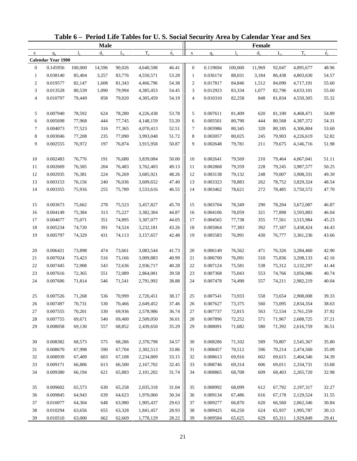| <b>Male</b><br>Female<br>$\overset{\circ}{e}_{x}$<br>$\dot{e}_x$<br>$T_{x}$<br>$T_{x}$<br>$d_{\rm v}$<br>$L_{\rm v}$<br>$d_{\rm v}$<br>$L_{\rm v}$<br>$l_{\rm v}$<br>$q_{x}$<br>$\mathbf X$<br>$\mathbf X$<br>$q_{x}$<br><b>Calendar Year 1900</b><br>46.41<br>0.145956<br>100,000<br>90,026<br>4,640,598<br>0.119694<br>100,000<br>11,969<br>92,047<br>4,895,677<br>$\overline{0}$<br>14,596<br>$\mathbf{0}$<br>48.96<br>53.28<br>0.038140<br>88,031<br>3,184<br>54.57<br>$\mathbf{1}$<br>85,404<br>3,257<br>83,776<br>4,550,571<br>$\mathbf{1}$<br>0.036174<br>86,438<br>4,803,630<br>$\overline{c}$<br>0.019577<br>1,608<br>54.38<br>$\overline{c}$<br>55.60<br>82,147<br>81,343<br>4,466,796<br>0.017817<br>84,846<br>1,512<br>84,090<br>4,717,191<br>54.45<br>3<br>0.013528<br>80,539<br>1,090<br>79,994<br>3<br>0.012923<br>83,334<br>1,077<br>82,796<br>4,633,101<br>55.60<br>4,385,453<br>54.19<br>$\overline{4}$<br>0.010797<br>79,449<br>858<br>4,305,459<br>$\overline{4}$<br>0.010310<br>82,258<br>848<br>81,834<br>4,550,305<br>55.32<br>79,020<br>0.007940<br>5<br>0.007611<br>5<br>78,592<br>624<br>78,280<br>53.78<br>81,409<br>620<br>81,100<br>4,468,471<br>54.89<br>4,226,438<br>53.20<br>6<br>0.005698<br>77,968<br>444<br>77,745<br>4,148,159<br>6<br>0.005501<br>80,790<br>444<br>4,387,372<br>54.31<br>80,568<br>52.51<br>$\tau$<br>0.004073<br>77,523<br>316<br>77,365<br>4,070,413<br>7<br>0.003986<br>80,345<br>320<br>80,185<br>4,306,804<br>53.60<br>51.72<br>8<br>8<br>0.003046<br>77,208<br>235<br>77,090<br>0.003057<br>80,025<br>52.82<br>3,993,048<br>245<br>79,903<br>4,226,619<br>50.87<br>9<br>9<br>0.002555<br>76,972<br>197<br>76,874<br>0.002648<br>79,781<br>211<br>79,675<br>4,146,716<br>51.98<br>3,915,958<br>0.002483<br>50.00<br>76,776<br>76,680<br>3,839,084<br>10<br>0.002641<br>79,569<br>210<br>4,067,041<br>51.11<br>10<br>191<br>79,464<br>49.13<br>11<br>0.002669<br>204<br>228<br>50.25<br>76,585<br>76,483<br>3,762,403<br>11<br>0.002868<br>79,359<br>79,245<br>3,987,577<br>48.26<br>12<br>0.002935<br>76,381<br>224<br>76,269<br>12<br>0.003138<br>79,132<br>248<br>79,007<br>3,908,331<br>49.39<br>3,685,921<br>47.40<br>13<br>0.003153<br>76,156<br>240<br>76,036<br>3,609,652<br>13<br>0.003323<br>78,883<br>262<br>78,752<br>3,829,324<br>48.54<br>46.55<br>14<br>0.003355<br>75,916<br>0.003462<br>272<br>78,485<br>47.70<br>255<br>75,789<br>3,533,616<br>14<br>78,621<br>3,750,572<br>0.003673<br>45.70<br>15<br>75,662<br>278<br>75,523<br>3,457,827<br>15<br>0.003704<br>78,349<br>290<br>78,204<br>3,672,087<br>46.87<br>44.87<br>0.004149<br>75,384<br>313<br>16<br>0.004106<br>46.04<br>16<br>75,227<br>3,382,304<br>78,059<br>321<br>77,898<br>3,593,883<br>44.05<br>17<br>0.004677<br>75,071<br>351<br>74,895<br>3,307,077<br>17<br>0.004565<br>77,738<br>3,515,984<br>45.23<br>355<br>77,561<br>43.26<br>18<br>0.005234<br>74,720<br>391<br>74,524<br>18<br>0.005064<br>77,383<br>392<br>77,187<br>3,438,424<br>44.43<br>3,232,181<br>19<br>42.48<br>0.005797<br>74,329<br>431<br>3,157,657<br>19<br>0.005583<br>76,991<br>430<br>76,777<br>3,361,236<br>43.66<br>74,113<br>41.73<br>0.006149<br>20<br>0.006421<br>73,898<br>73,661<br>3,083,544<br>20<br>3,284,460<br>42.90<br>474<br>76,562<br>471<br>76,326<br>40.99<br>42.16<br>21<br>0.007024<br>73,423<br>516<br>73,166<br>3,009,883<br>21<br>0.006700<br>76,091<br>510<br>75,836<br>3,208,133<br>40.28<br>22<br>0.007445<br>72,908<br>22<br>0.007124<br>75,581<br>41.44<br>543<br>72,636<br>2,936,717<br>538<br>75,312<br>3,132,297<br>23<br>0.007616<br>72,365<br>39.58<br>23<br>0.007368<br>75,043<br>40.74<br>551<br>72,089<br>2,864,081<br>553<br>74,766<br>3,056,986<br>38.88<br>40.04<br>24<br>0.007606<br>71,814<br>546<br>2,791,992<br>24<br>0.007478<br>74,490<br>557<br>74,211<br>2,982,219<br>71,541<br>38.17<br>0.007526<br>71,268<br>70,999<br>2,720,451<br>0.007541<br>73,933<br>73,654<br>2,908,008<br>536<br>558<br>39.33<br>25<br>25<br>0.007497<br>37.46<br>0.007627<br>38.63<br>26<br>70,731<br>530<br>70,466<br>2,649,452<br>26<br>73,375<br>560<br>73,095<br>2,834,354<br>36.74<br>27<br>0.007555<br>70,201<br>530<br>69,936<br>27<br>0.007737<br>72,815<br>72,534<br>2,761,259<br>37.92<br>2,578,986<br>563<br>28<br>0.007755<br>69,671<br>540<br>69,400<br>2,509,050<br>36.01<br>0.007896<br>72,252<br>571<br>71,967<br>2,688,725<br>37.21<br>28<br>35.29<br>29<br>0.008058<br>69,130<br>0.008091<br>71,682<br>580<br>36.51<br>557<br>68,852<br>2,439,650<br>29<br>71,392<br>2,616,759<br>30<br>0.008382<br>68,573<br>68,286<br>34.57<br>30<br>0.008286<br>71,102<br>35.80<br>575<br>2,370,798<br>589<br>70,807<br>2,545,367<br>33.86<br>31<br>0.008670<br>67,998<br>67,704<br>70,512<br>35.09<br>590<br>2,302,513<br>31<br>0.008457<br>596<br>70,214<br>2,474,560<br>32<br>0.008939<br>67,409<br>67,108<br>33.15<br>69,916<br>34.39<br>603<br>2,234,809<br>32<br>0.008613<br>602<br>69,615<br>2,404,346<br>33<br>0.009171<br>66,806<br>613<br>32.45<br>0.008746<br>69,314<br>69,011<br>33.68<br>66,500<br>2,167,702<br>33<br>606<br>2,334,731<br>34<br>0.009380<br>66,194<br>621<br>31.74<br>0.008865<br>609<br>32.98<br>65,883<br>2,101,202<br>34<br>68,708<br>68,403<br>2,265,720<br>35<br>0.009602<br>65,573<br>65,258<br>31.04<br>0.008992<br>68,099<br>2,197,317<br>32.27<br>630<br>2,035,318<br>35<br>612<br>67,792<br>36<br>0.009845<br>64,943<br>639<br>64,623<br>1,970,060<br>30.34<br>67,486<br>31.55<br>36<br>0.009134<br>616<br>67,178<br>2,129,524<br>37<br>0.010077<br>64,304<br>29.63<br>66,870<br>620<br>30.84<br>648<br>63,980<br>1,905,437<br>37<br>0.009277<br>66,560<br>2,062,346<br>38<br>0.010294<br>28.93<br>0.009425<br>624<br>30.13<br>63,656<br>655<br>63,328<br>1,841,457<br>38<br>66,250<br>65,937<br>1,995,787<br>28.22<br>0.010510<br>63,000<br>39<br>39<br>662<br>62,669<br>1,778,129<br>0.009584<br>65,625<br>629<br>65,311<br>1,929,849<br>29.41 |  |  | Table 6 - Period Life Tables for U.S. Social Security Area by Calendar Year and Sex |  |  |  |  |
|-------------------------------------------------------------------------------------------------------------------------------------------------------------------------------------------------------------------------------------------------------------------------------------------------------------------------------------------------------------------------------------------------------------------------------------------------------------------------------------------------------------------------------------------------------------------------------------------------------------------------------------------------------------------------------------------------------------------------------------------------------------------------------------------------------------------------------------------------------------------------------------------------------------------------------------------------------------------------------------------------------------------------------------------------------------------------------------------------------------------------------------------------------------------------------------------------------------------------------------------------------------------------------------------------------------------------------------------------------------------------------------------------------------------------------------------------------------------------------------------------------------------------------------------------------------------------------------------------------------------------------------------------------------------------------------------------------------------------------------------------------------------------------------------------------------------------------------------------------------------------------------------------------------------------------------------------------------------------------------------------------------------------------------------------------------------------------------------------------------------------------------------------------------------------------------------------------------------------------------------------------------------------------------------------------------------------------------------------------------------------------------------------------------------------------------------------------------------------------------------------------------------------------------------------------------------------------------------------------------------------------------------------------------------------------------------------------------------------------------------------------------------------------------------------------------------------------------------------------------------------------------------------------------------------------------------------------------------------------------------------------------------------------------------------------------------------------------------------------------------------------------------------------------------------------------------------------------------------------------------------------------------------------------------------------------------------------------------------------------------------------------------------------------------------------------------------------------------------------------------------------------------------------------------------------------------------------------------------------------------------------------------------------------------------------------------------------------------------------------------------------------------------------------------------------------------------------------------------------------------------------------------------------------------------------------------------------------------------------------------------------------------------------------------------------------------------------------------------------------------------------------------------------------------------------------------------------------------------------------------------------------------------------------------------------------------------------------------------------------------------------------------------------------------------------------------------------------------------------------------------------------------------------------------------------------------------------------------------------------------------------------------------------------------------------------------------------------------------------------------------------------------------------------------------------------------------------------------------------------------------------------------------------------------------------------------------------------------------------------------------------------------------------------------------------------------------------------------------------------------------------------------------------------------------------------------------------------------------------------------------------------------------------------------------------------------------------------------------------------------------------------------------------------------------------------------------------------------------------------------------------------------------------------------------------------------------------------------------------------------------------------------------------------------------------------------------------------------------------------------------------------------------------------------------------------------------------------------------------------------------------------------------------------------------------------------|--|--|-------------------------------------------------------------------------------------|--|--|--|--|
|                                                                                                                                                                                                                                                                                                                                                                                                                                                                                                                                                                                                                                                                                                                                                                                                                                                                                                                                                                                                                                                                                                                                                                                                                                                                                                                                                                                                                                                                                                                                                                                                                                                                                                                                                                                                                                                                                                                                                                                                                                                                                                                                                                                                                                                                                                                                                                                                                                                                                                                                                                                                                                                                                                                                                                                                                                                                                                                                                                                                                                                                                                                                                                                                                                                                                                                                                                                                                                                                                                                                                                                                                                                                                                                                                                                                                                                                                                                                                                                                                                                                                                                                                                                                                                                                                                                                                                                                                                                                                                                                                                                                                                                                                                                                                                                                                                                                                                                                                                                                                                                                                                                                                                                                                                                                                                                                                                                                                                                                                                                                                                                                                                                                                                                                                                                                                                                                                                                                           |  |  |                                                                                     |  |  |  |  |
|                                                                                                                                                                                                                                                                                                                                                                                                                                                                                                                                                                                                                                                                                                                                                                                                                                                                                                                                                                                                                                                                                                                                                                                                                                                                                                                                                                                                                                                                                                                                                                                                                                                                                                                                                                                                                                                                                                                                                                                                                                                                                                                                                                                                                                                                                                                                                                                                                                                                                                                                                                                                                                                                                                                                                                                                                                                                                                                                                                                                                                                                                                                                                                                                                                                                                                                                                                                                                                                                                                                                                                                                                                                                                                                                                                                                                                                                                                                                                                                                                                                                                                                                                                                                                                                                                                                                                                                                                                                                                                                                                                                                                                                                                                                                                                                                                                                                                                                                                                                                                                                                                                                                                                                                                                                                                                                                                                                                                                                                                                                                                                                                                                                                                                                                                                                                                                                                                                                                           |  |  |                                                                                     |  |  |  |  |
|                                                                                                                                                                                                                                                                                                                                                                                                                                                                                                                                                                                                                                                                                                                                                                                                                                                                                                                                                                                                                                                                                                                                                                                                                                                                                                                                                                                                                                                                                                                                                                                                                                                                                                                                                                                                                                                                                                                                                                                                                                                                                                                                                                                                                                                                                                                                                                                                                                                                                                                                                                                                                                                                                                                                                                                                                                                                                                                                                                                                                                                                                                                                                                                                                                                                                                                                                                                                                                                                                                                                                                                                                                                                                                                                                                                                                                                                                                                                                                                                                                                                                                                                                                                                                                                                                                                                                                                                                                                                                                                                                                                                                                                                                                                                                                                                                                                                                                                                                                                                                                                                                                                                                                                                                                                                                                                                                                                                                                                                                                                                                                                                                                                                                                                                                                                                                                                                                                                                           |  |  |                                                                                     |  |  |  |  |
|                                                                                                                                                                                                                                                                                                                                                                                                                                                                                                                                                                                                                                                                                                                                                                                                                                                                                                                                                                                                                                                                                                                                                                                                                                                                                                                                                                                                                                                                                                                                                                                                                                                                                                                                                                                                                                                                                                                                                                                                                                                                                                                                                                                                                                                                                                                                                                                                                                                                                                                                                                                                                                                                                                                                                                                                                                                                                                                                                                                                                                                                                                                                                                                                                                                                                                                                                                                                                                                                                                                                                                                                                                                                                                                                                                                                                                                                                                                                                                                                                                                                                                                                                                                                                                                                                                                                                                                                                                                                                                                                                                                                                                                                                                                                                                                                                                                                                                                                                                                                                                                                                                                                                                                                                                                                                                                                                                                                                                                                                                                                                                                                                                                                                                                                                                                                                                                                                                                                           |  |  |                                                                                     |  |  |  |  |
|                                                                                                                                                                                                                                                                                                                                                                                                                                                                                                                                                                                                                                                                                                                                                                                                                                                                                                                                                                                                                                                                                                                                                                                                                                                                                                                                                                                                                                                                                                                                                                                                                                                                                                                                                                                                                                                                                                                                                                                                                                                                                                                                                                                                                                                                                                                                                                                                                                                                                                                                                                                                                                                                                                                                                                                                                                                                                                                                                                                                                                                                                                                                                                                                                                                                                                                                                                                                                                                                                                                                                                                                                                                                                                                                                                                                                                                                                                                                                                                                                                                                                                                                                                                                                                                                                                                                                                                                                                                                                                                                                                                                                                                                                                                                                                                                                                                                                                                                                                                                                                                                                                                                                                                                                                                                                                                                                                                                                                                                                                                                                                                                                                                                                                                                                                                                                                                                                                                                           |  |  |                                                                                     |  |  |  |  |
|                                                                                                                                                                                                                                                                                                                                                                                                                                                                                                                                                                                                                                                                                                                                                                                                                                                                                                                                                                                                                                                                                                                                                                                                                                                                                                                                                                                                                                                                                                                                                                                                                                                                                                                                                                                                                                                                                                                                                                                                                                                                                                                                                                                                                                                                                                                                                                                                                                                                                                                                                                                                                                                                                                                                                                                                                                                                                                                                                                                                                                                                                                                                                                                                                                                                                                                                                                                                                                                                                                                                                                                                                                                                                                                                                                                                                                                                                                                                                                                                                                                                                                                                                                                                                                                                                                                                                                                                                                                                                                                                                                                                                                                                                                                                                                                                                                                                                                                                                                                                                                                                                                                                                                                                                                                                                                                                                                                                                                                                                                                                                                                                                                                                                                                                                                                                                                                                                                                                           |  |  |                                                                                     |  |  |  |  |
|                                                                                                                                                                                                                                                                                                                                                                                                                                                                                                                                                                                                                                                                                                                                                                                                                                                                                                                                                                                                                                                                                                                                                                                                                                                                                                                                                                                                                                                                                                                                                                                                                                                                                                                                                                                                                                                                                                                                                                                                                                                                                                                                                                                                                                                                                                                                                                                                                                                                                                                                                                                                                                                                                                                                                                                                                                                                                                                                                                                                                                                                                                                                                                                                                                                                                                                                                                                                                                                                                                                                                                                                                                                                                                                                                                                                                                                                                                                                                                                                                                                                                                                                                                                                                                                                                                                                                                                                                                                                                                                                                                                                                                                                                                                                                                                                                                                                                                                                                                                                                                                                                                                                                                                                                                                                                                                                                                                                                                                                                                                                                                                                                                                                                                                                                                                                                                                                                                                                           |  |  |                                                                                     |  |  |  |  |
|                                                                                                                                                                                                                                                                                                                                                                                                                                                                                                                                                                                                                                                                                                                                                                                                                                                                                                                                                                                                                                                                                                                                                                                                                                                                                                                                                                                                                                                                                                                                                                                                                                                                                                                                                                                                                                                                                                                                                                                                                                                                                                                                                                                                                                                                                                                                                                                                                                                                                                                                                                                                                                                                                                                                                                                                                                                                                                                                                                                                                                                                                                                                                                                                                                                                                                                                                                                                                                                                                                                                                                                                                                                                                                                                                                                                                                                                                                                                                                                                                                                                                                                                                                                                                                                                                                                                                                                                                                                                                                                                                                                                                                                                                                                                                                                                                                                                                                                                                                                                                                                                                                                                                                                                                                                                                                                                                                                                                                                                                                                                                                                                                                                                                                                                                                                                                                                                                                                                           |  |  |                                                                                     |  |  |  |  |
|                                                                                                                                                                                                                                                                                                                                                                                                                                                                                                                                                                                                                                                                                                                                                                                                                                                                                                                                                                                                                                                                                                                                                                                                                                                                                                                                                                                                                                                                                                                                                                                                                                                                                                                                                                                                                                                                                                                                                                                                                                                                                                                                                                                                                                                                                                                                                                                                                                                                                                                                                                                                                                                                                                                                                                                                                                                                                                                                                                                                                                                                                                                                                                                                                                                                                                                                                                                                                                                                                                                                                                                                                                                                                                                                                                                                                                                                                                                                                                                                                                                                                                                                                                                                                                                                                                                                                                                                                                                                                                                                                                                                                                                                                                                                                                                                                                                                                                                                                                                                                                                                                                                                                                                                                                                                                                                                                                                                                                                                                                                                                                                                                                                                                                                                                                                                                                                                                                                                           |  |  |                                                                                     |  |  |  |  |
|                                                                                                                                                                                                                                                                                                                                                                                                                                                                                                                                                                                                                                                                                                                                                                                                                                                                                                                                                                                                                                                                                                                                                                                                                                                                                                                                                                                                                                                                                                                                                                                                                                                                                                                                                                                                                                                                                                                                                                                                                                                                                                                                                                                                                                                                                                                                                                                                                                                                                                                                                                                                                                                                                                                                                                                                                                                                                                                                                                                                                                                                                                                                                                                                                                                                                                                                                                                                                                                                                                                                                                                                                                                                                                                                                                                                                                                                                                                                                                                                                                                                                                                                                                                                                                                                                                                                                                                                                                                                                                                                                                                                                                                                                                                                                                                                                                                                                                                                                                                                                                                                                                                                                                                                                                                                                                                                                                                                                                                                                                                                                                                                                                                                                                                                                                                                                                                                                                                                           |  |  |                                                                                     |  |  |  |  |
|                                                                                                                                                                                                                                                                                                                                                                                                                                                                                                                                                                                                                                                                                                                                                                                                                                                                                                                                                                                                                                                                                                                                                                                                                                                                                                                                                                                                                                                                                                                                                                                                                                                                                                                                                                                                                                                                                                                                                                                                                                                                                                                                                                                                                                                                                                                                                                                                                                                                                                                                                                                                                                                                                                                                                                                                                                                                                                                                                                                                                                                                                                                                                                                                                                                                                                                                                                                                                                                                                                                                                                                                                                                                                                                                                                                                                                                                                                                                                                                                                                                                                                                                                                                                                                                                                                                                                                                                                                                                                                                                                                                                                                                                                                                                                                                                                                                                                                                                                                                                                                                                                                                                                                                                                                                                                                                                                                                                                                                                                                                                                                                                                                                                                                                                                                                                                                                                                                                                           |  |  |                                                                                     |  |  |  |  |
|                                                                                                                                                                                                                                                                                                                                                                                                                                                                                                                                                                                                                                                                                                                                                                                                                                                                                                                                                                                                                                                                                                                                                                                                                                                                                                                                                                                                                                                                                                                                                                                                                                                                                                                                                                                                                                                                                                                                                                                                                                                                                                                                                                                                                                                                                                                                                                                                                                                                                                                                                                                                                                                                                                                                                                                                                                                                                                                                                                                                                                                                                                                                                                                                                                                                                                                                                                                                                                                                                                                                                                                                                                                                                                                                                                                                                                                                                                                                                                                                                                                                                                                                                                                                                                                                                                                                                                                                                                                                                                                                                                                                                                                                                                                                                                                                                                                                                                                                                                                                                                                                                                                                                                                                                                                                                                                                                                                                                                                                                                                                                                                                                                                                                                                                                                                                                                                                                                                                           |  |  |                                                                                     |  |  |  |  |
|                                                                                                                                                                                                                                                                                                                                                                                                                                                                                                                                                                                                                                                                                                                                                                                                                                                                                                                                                                                                                                                                                                                                                                                                                                                                                                                                                                                                                                                                                                                                                                                                                                                                                                                                                                                                                                                                                                                                                                                                                                                                                                                                                                                                                                                                                                                                                                                                                                                                                                                                                                                                                                                                                                                                                                                                                                                                                                                                                                                                                                                                                                                                                                                                                                                                                                                                                                                                                                                                                                                                                                                                                                                                                                                                                                                                                                                                                                                                                                                                                                                                                                                                                                                                                                                                                                                                                                                                                                                                                                                                                                                                                                                                                                                                                                                                                                                                                                                                                                                                                                                                                                                                                                                                                                                                                                                                                                                                                                                                                                                                                                                                                                                                                                                                                                                                                                                                                                                                           |  |  |                                                                                     |  |  |  |  |
|                                                                                                                                                                                                                                                                                                                                                                                                                                                                                                                                                                                                                                                                                                                                                                                                                                                                                                                                                                                                                                                                                                                                                                                                                                                                                                                                                                                                                                                                                                                                                                                                                                                                                                                                                                                                                                                                                                                                                                                                                                                                                                                                                                                                                                                                                                                                                                                                                                                                                                                                                                                                                                                                                                                                                                                                                                                                                                                                                                                                                                                                                                                                                                                                                                                                                                                                                                                                                                                                                                                                                                                                                                                                                                                                                                                                                                                                                                                                                                                                                                                                                                                                                                                                                                                                                                                                                                                                                                                                                                                                                                                                                                                                                                                                                                                                                                                                                                                                                                                                                                                                                                                                                                                                                                                                                                                                                                                                                                                                                                                                                                                                                                                                                                                                                                                                                                                                                                                                           |  |  |                                                                                     |  |  |  |  |
|                                                                                                                                                                                                                                                                                                                                                                                                                                                                                                                                                                                                                                                                                                                                                                                                                                                                                                                                                                                                                                                                                                                                                                                                                                                                                                                                                                                                                                                                                                                                                                                                                                                                                                                                                                                                                                                                                                                                                                                                                                                                                                                                                                                                                                                                                                                                                                                                                                                                                                                                                                                                                                                                                                                                                                                                                                                                                                                                                                                                                                                                                                                                                                                                                                                                                                                                                                                                                                                                                                                                                                                                                                                                                                                                                                                                                                                                                                                                                                                                                                                                                                                                                                                                                                                                                                                                                                                                                                                                                                                                                                                                                                                                                                                                                                                                                                                                                                                                                                                                                                                                                                                                                                                                                                                                                                                                                                                                                                                                                                                                                                                                                                                                                                                                                                                                                                                                                                                                           |  |  |                                                                                     |  |  |  |  |
|                                                                                                                                                                                                                                                                                                                                                                                                                                                                                                                                                                                                                                                                                                                                                                                                                                                                                                                                                                                                                                                                                                                                                                                                                                                                                                                                                                                                                                                                                                                                                                                                                                                                                                                                                                                                                                                                                                                                                                                                                                                                                                                                                                                                                                                                                                                                                                                                                                                                                                                                                                                                                                                                                                                                                                                                                                                                                                                                                                                                                                                                                                                                                                                                                                                                                                                                                                                                                                                                                                                                                                                                                                                                                                                                                                                                                                                                                                                                                                                                                                                                                                                                                                                                                                                                                                                                                                                                                                                                                                                                                                                                                                                                                                                                                                                                                                                                                                                                                                                                                                                                                                                                                                                                                                                                                                                                                                                                                                                                                                                                                                                                                                                                                                                                                                                                                                                                                                                                           |  |  |                                                                                     |  |  |  |  |
|                                                                                                                                                                                                                                                                                                                                                                                                                                                                                                                                                                                                                                                                                                                                                                                                                                                                                                                                                                                                                                                                                                                                                                                                                                                                                                                                                                                                                                                                                                                                                                                                                                                                                                                                                                                                                                                                                                                                                                                                                                                                                                                                                                                                                                                                                                                                                                                                                                                                                                                                                                                                                                                                                                                                                                                                                                                                                                                                                                                                                                                                                                                                                                                                                                                                                                                                                                                                                                                                                                                                                                                                                                                                                                                                                                                                                                                                                                                                                                                                                                                                                                                                                                                                                                                                                                                                                                                                                                                                                                                                                                                                                                                                                                                                                                                                                                                                                                                                                                                                                                                                                                                                                                                                                                                                                                                                                                                                                                                                                                                                                                                                                                                                                                                                                                                                                                                                                                                                           |  |  |                                                                                     |  |  |  |  |
|                                                                                                                                                                                                                                                                                                                                                                                                                                                                                                                                                                                                                                                                                                                                                                                                                                                                                                                                                                                                                                                                                                                                                                                                                                                                                                                                                                                                                                                                                                                                                                                                                                                                                                                                                                                                                                                                                                                                                                                                                                                                                                                                                                                                                                                                                                                                                                                                                                                                                                                                                                                                                                                                                                                                                                                                                                                                                                                                                                                                                                                                                                                                                                                                                                                                                                                                                                                                                                                                                                                                                                                                                                                                                                                                                                                                                                                                                                                                                                                                                                                                                                                                                                                                                                                                                                                                                                                                                                                                                                                                                                                                                                                                                                                                                                                                                                                                                                                                                                                                                                                                                                                                                                                                                                                                                                                                                                                                                                                                                                                                                                                                                                                                                                                                                                                                                                                                                                                                           |  |  |                                                                                     |  |  |  |  |
|                                                                                                                                                                                                                                                                                                                                                                                                                                                                                                                                                                                                                                                                                                                                                                                                                                                                                                                                                                                                                                                                                                                                                                                                                                                                                                                                                                                                                                                                                                                                                                                                                                                                                                                                                                                                                                                                                                                                                                                                                                                                                                                                                                                                                                                                                                                                                                                                                                                                                                                                                                                                                                                                                                                                                                                                                                                                                                                                                                                                                                                                                                                                                                                                                                                                                                                                                                                                                                                                                                                                                                                                                                                                                                                                                                                                                                                                                                                                                                                                                                                                                                                                                                                                                                                                                                                                                                                                                                                                                                                                                                                                                                                                                                                                                                                                                                                                                                                                                                                                                                                                                                                                                                                                                                                                                                                                                                                                                                                                                                                                                                                                                                                                                                                                                                                                                                                                                                                                           |  |  |                                                                                     |  |  |  |  |
|                                                                                                                                                                                                                                                                                                                                                                                                                                                                                                                                                                                                                                                                                                                                                                                                                                                                                                                                                                                                                                                                                                                                                                                                                                                                                                                                                                                                                                                                                                                                                                                                                                                                                                                                                                                                                                                                                                                                                                                                                                                                                                                                                                                                                                                                                                                                                                                                                                                                                                                                                                                                                                                                                                                                                                                                                                                                                                                                                                                                                                                                                                                                                                                                                                                                                                                                                                                                                                                                                                                                                                                                                                                                                                                                                                                                                                                                                                                                                                                                                                                                                                                                                                                                                                                                                                                                                                                                                                                                                                                                                                                                                                                                                                                                                                                                                                                                                                                                                                                                                                                                                                                                                                                                                                                                                                                                                                                                                                                                                                                                                                                                                                                                                                                                                                                                                                                                                                                                           |  |  |                                                                                     |  |  |  |  |
|                                                                                                                                                                                                                                                                                                                                                                                                                                                                                                                                                                                                                                                                                                                                                                                                                                                                                                                                                                                                                                                                                                                                                                                                                                                                                                                                                                                                                                                                                                                                                                                                                                                                                                                                                                                                                                                                                                                                                                                                                                                                                                                                                                                                                                                                                                                                                                                                                                                                                                                                                                                                                                                                                                                                                                                                                                                                                                                                                                                                                                                                                                                                                                                                                                                                                                                                                                                                                                                                                                                                                                                                                                                                                                                                                                                                                                                                                                                                                                                                                                                                                                                                                                                                                                                                                                                                                                                                                                                                                                                                                                                                                                                                                                                                                                                                                                                                                                                                                                                                                                                                                                                                                                                                                                                                                                                                                                                                                                                                                                                                                                                                                                                                                                                                                                                                                                                                                                                                           |  |  |                                                                                     |  |  |  |  |
|                                                                                                                                                                                                                                                                                                                                                                                                                                                                                                                                                                                                                                                                                                                                                                                                                                                                                                                                                                                                                                                                                                                                                                                                                                                                                                                                                                                                                                                                                                                                                                                                                                                                                                                                                                                                                                                                                                                                                                                                                                                                                                                                                                                                                                                                                                                                                                                                                                                                                                                                                                                                                                                                                                                                                                                                                                                                                                                                                                                                                                                                                                                                                                                                                                                                                                                                                                                                                                                                                                                                                                                                                                                                                                                                                                                                                                                                                                                                                                                                                                                                                                                                                                                                                                                                                                                                                                                                                                                                                                                                                                                                                                                                                                                                                                                                                                                                                                                                                                                                                                                                                                                                                                                                                                                                                                                                                                                                                                                                                                                                                                                                                                                                                                                                                                                                                                                                                                                                           |  |  |                                                                                     |  |  |  |  |
|                                                                                                                                                                                                                                                                                                                                                                                                                                                                                                                                                                                                                                                                                                                                                                                                                                                                                                                                                                                                                                                                                                                                                                                                                                                                                                                                                                                                                                                                                                                                                                                                                                                                                                                                                                                                                                                                                                                                                                                                                                                                                                                                                                                                                                                                                                                                                                                                                                                                                                                                                                                                                                                                                                                                                                                                                                                                                                                                                                                                                                                                                                                                                                                                                                                                                                                                                                                                                                                                                                                                                                                                                                                                                                                                                                                                                                                                                                                                                                                                                                                                                                                                                                                                                                                                                                                                                                                                                                                                                                                                                                                                                                                                                                                                                                                                                                                                                                                                                                                                                                                                                                                                                                                                                                                                                                                                                                                                                                                                                                                                                                                                                                                                                                                                                                                                                                                                                                                                           |  |  |                                                                                     |  |  |  |  |
|                                                                                                                                                                                                                                                                                                                                                                                                                                                                                                                                                                                                                                                                                                                                                                                                                                                                                                                                                                                                                                                                                                                                                                                                                                                                                                                                                                                                                                                                                                                                                                                                                                                                                                                                                                                                                                                                                                                                                                                                                                                                                                                                                                                                                                                                                                                                                                                                                                                                                                                                                                                                                                                                                                                                                                                                                                                                                                                                                                                                                                                                                                                                                                                                                                                                                                                                                                                                                                                                                                                                                                                                                                                                                                                                                                                                                                                                                                                                                                                                                                                                                                                                                                                                                                                                                                                                                                                                                                                                                                                                                                                                                                                                                                                                                                                                                                                                                                                                                                                                                                                                                                                                                                                                                                                                                                                                                                                                                                                                                                                                                                                                                                                                                                                                                                                                                                                                                                                                           |  |  |                                                                                     |  |  |  |  |
|                                                                                                                                                                                                                                                                                                                                                                                                                                                                                                                                                                                                                                                                                                                                                                                                                                                                                                                                                                                                                                                                                                                                                                                                                                                                                                                                                                                                                                                                                                                                                                                                                                                                                                                                                                                                                                                                                                                                                                                                                                                                                                                                                                                                                                                                                                                                                                                                                                                                                                                                                                                                                                                                                                                                                                                                                                                                                                                                                                                                                                                                                                                                                                                                                                                                                                                                                                                                                                                                                                                                                                                                                                                                                                                                                                                                                                                                                                                                                                                                                                                                                                                                                                                                                                                                                                                                                                                                                                                                                                                                                                                                                                                                                                                                                                                                                                                                                                                                                                                                                                                                                                                                                                                                                                                                                                                                                                                                                                                                                                                                                                                                                                                                                                                                                                                                                                                                                                                                           |  |  |                                                                                     |  |  |  |  |
|                                                                                                                                                                                                                                                                                                                                                                                                                                                                                                                                                                                                                                                                                                                                                                                                                                                                                                                                                                                                                                                                                                                                                                                                                                                                                                                                                                                                                                                                                                                                                                                                                                                                                                                                                                                                                                                                                                                                                                                                                                                                                                                                                                                                                                                                                                                                                                                                                                                                                                                                                                                                                                                                                                                                                                                                                                                                                                                                                                                                                                                                                                                                                                                                                                                                                                                                                                                                                                                                                                                                                                                                                                                                                                                                                                                                                                                                                                                                                                                                                                                                                                                                                                                                                                                                                                                                                                                                                                                                                                                                                                                                                                                                                                                                                                                                                                                                                                                                                                                                                                                                                                                                                                                                                                                                                                                                                                                                                                                                                                                                                                                                                                                                                                                                                                                                                                                                                                                                           |  |  |                                                                                     |  |  |  |  |
|                                                                                                                                                                                                                                                                                                                                                                                                                                                                                                                                                                                                                                                                                                                                                                                                                                                                                                                                                                                                                                                                                                                                                                                                                                                                                                                                                                                                                                                                                                                                                                                                                                                                                                                                                                                                                                                                                                                                                                                                                                                                                                                                                                                                                                                                                                                                                                                                                                                                                                                                                                                                                                                                                                                                                                                                                                                                                                                                                                                                                                                                                                                                                                                                                                                                                                                                                                                                                                                                                                                                                                                                                                                                                                                                                                                                                                                                                                                                                                                                                                                                                                                                                                                                                                                                                                                                                                                                                                                                                                                                                                                                                                                                                                                                                                                                                                                                                                                                                                                                                                                                                                                                                                                                                                                                                                                                                                                                                                                                                                                                                                                                                                                                                                                                                                                                                                                                                                                                           |  |  |                                                                                     |  |  |  |  |
|                                                                                                                                                                                                                                                                                                                                                                                                                                                                                                                                                                                                                                                                                                                                                                                                                                                                                                                                                                                                                                                                                                                                                                                                                                                                                                                                                                                                                                                                                                                                                                                                                                                                                                                                                                                                                                                                                                                                                                                                                                                                                                                                                                                                                                                                                                                                                                                                                                                                                                                                                                                                                                                                                                                                                                                                                                                                                                                                                                                                                                                                                                                                                                                                                                                                                                                                                                                                                                                                                                                                                                                                                                                                                                                                                                                                                                                                                                                                                                                                                                                                                                                                                                                                                                                                                                                                                                                                                                                                                                                                                                                                                                                                                                                                                                                                                                                                                                                                                                                                                                                                                                                                                                                                                                                                                                                                                                                                                                                                                                                                                                                                                                                                                                                                                                                                                                                                                                                                           |  |  |                                                                                     |  |  |  |  |
|                                                                                                                                                                                                                                                                                                                                                                                                                                                                                                                                                                                                                                                                                                                                                                                                                                                                                                                                                                                                                                                                                                                                                                                                                                                                                                                                                                                                                                                                                                                                                                                                                                                                                                                                                                                                                                                                                                                                                                                                                                                                                                                                                                                                                                                                                                                                                                                                                                                                                                                                                                                                                                                                                                                                                                                                                                                                                                                                                                                                                                                                                                                                                                                                                                                                                                                                                                                                                                                                                                                                                                                                                                                                                                                                                                                                                                                                                                                                                                                                                                                                                                                                                                                                                                                                                                                                                                                                                                                                                                                                                                                                                                                                                                                                                                                                                                                                                                                                                                                                                                                                                                                                                                                                                                                                                                                                                                                                                                                                                                                                                                                                                                                                                                                                                                                                                                                                                                                                           |  |  |                                                                                     |  |  |  |  |
|                                                                                                                                                                                                                                                                                                                                                                                                                                                                                                                                                                                                                                                                                                                                                                                                                                                                                                                                                                                                                                                                                                                                                                                                                                                                                                                                                                                                                                                                                                                                                                                                                                                                                                                                                                                                                                                                                                                                                                                                                                                                                                                                                                                                                                                                                                                                                                                                                                                                                                                                                                                                                                                                                                                                                                                                                                                                                                                                                                                                                                                                                                                                                                                                                                                                                                                                                                                                                                                                                                                                                                                                                                                                                                                                                                                                                                                                                                                                                                                                                                                                                                                                                                                                                                                                                                                                                                                                                                                                                                                                                                                                                                                                                                                                                                                                                                                                                                                                                                                                                                                                                                                                                                                                                                                                                                                                                                                                                                                                                                                                                                                                                                                                                                                                                                                                                                                                                                                                           |  |  |                                                                                     |  |  |  |  |
|                                                                                                                                                                                                                                                                                                                                                                                                                                                                                                                                                                                                                                                                                                                                                                                                                                                                                                                                                                                                                                                                                                                                                                                                                                                                                                                                                                                                                                                                                                                                                                                                                                                                                                                                                                                                                                                                                                                                                                                                                                                                                                                                                                                                                                                                                                                                                                                                                                                                                                                                                                                                                                                                                                                                                                                                                                                                                                                                                                                                                                                                                                                                                                                                                                                                                                                                                                                                                                                                                                                                                                                                                                                                                                                                                                                                                                                                                                                                                                                                                                                                                                                                                                                                                                                                                                                                                                                                                                                                                                                                                                                                                                                                                                                                                                                                                                                                                                                                                                                                                                                                                                                                                                                                                                                                                                                                                                                                                                                                                                                                                                                                                                                                                                                                                                                                                                                                                                                                           |  |  |                                                                                     |  |  |  |  |
|                                                                                                                                                                                                                                                                                                                                                                                                                                                                                                                                                                                                                                                                                                                                                                                                                                                                                                                                                                                                                                                                                                                                                                                                                                                                                                                                                                                                                                                                                                                                                                                                                                                                                                                                                                                                                                                                                                                                                                                                                                                                                                                                                                                                                                                                                                                                                                                                                                                                                                                                                                                                                                                                                                                                                                                                                                                                                                                                                                                                                                                                                                                                                                                                                                                                                                                                                                                                                                                                                                                                                                                                                                                                                                                                                                                                                                                                                                                                                                                                                                                                                                                                                                                                                                                                                                                                                                                                                                                                                                                                                                                                                                                                                                                                                                                                                                                                                                                                                                                                                                                                                                                                                                                                                                                                                                                                                                                                                                                                                                                                                                                                                                                                                                                                                                                                                                                                                                                                           |  |  |                                                                                     |  |  |  |  |
|                                                                                                                                                                                                                                                                                                                                                                                                                                                                                                                                                                                                                                                                                                                                                                                                                                                                                                                                                                                                                                                                                                                                                                                                                                                                                                                                                                                                                                                                                                                                                                                                                                                                                                                                                                                                                                                                                                                                                                                                                                                                                                                                                                                                                                                                                                                                                                                                                                                                                                                                                                                                                                                                                                                                                                                                                                                                                                                                                                                                                                                                                                                                                                                                                                                                                                                                                                                                                                                                                                                                                                                                                                                                                                                                                                                                                                                                                                                                                                                                                                                                                                                                                                                                                                                                                                                                                                                                                                                                                                                                                                                                                                                                                                                                                                                                                                                                                                                                                                                                                                                                                                                                                                                                                                                                                                                                                                                                                                                                                                                                                                                                                                                                                                                                                                                                                                                                                                                                           |  |  |                                                                                     |  |  |  |  |
|                                                                                                                                                                                                                                                                                                                                                                                                                                                                                                                                                                                                                                                                                                                                                                                                                                                                                                                                                                                                                                                                                                                                                                                                                                                                                                                                                                                                                                                                                                                                                                                                                                                                                                                                                                                                                                                                                                                                                                                                                                                                                                                                                                                                                                                                                                                                                                                                                                                                                                                                                                                                                                                                                                                                                                                                                                                                                                                                                                                                                                                                                                                                                                                                                                                                                                                                                                                                                                                                                                                                                                                                                                                                                                                                                                                                                                                                                                                                                                                                                                                                                                                                                                                                                                                                                                                                                                                                                                                                                                                                                                                                                                                                                                                                                                                                                                                                                                                                                                                                                                                                                                                                                                                                                                                                                                                                                                                                                                                                                                                                                                                                                                                                                                                                                                                                                                                                                                                                           |  |  |                                                                                     |  |  |  |  |
|                                                                                                                                                                                                                                                                                                                                                                                                                                                                                                                                                                                                                                                                                                                                                                                                                                                                                                                                                                                                                                                                                                                                                                                                                                                                                                                                                                                                                                                                                                                                                                                                                                                                                                                                                                                                                                                                                                                                                                                                                                                                                                                                                                                                                                                                                                                                                                                                                                                                                                                                                                                                                                                                                                                                                                                                                                                                                                                                                                                                                                                                                                                                                                                                                                                                                                                                                                                                                                                                                                                                                                                                                                                                                                                                                                                                                                                                                                                                                                                                                                                                                                                                                                                                                                                                                                                                                                                                                                                                                                                                                                                                                                                                                                                                                                                                                                                                                                                                                                                                                                                                                                                                                                                                                                                                                                                                                                                                                                                                                                                                                                                                                                                                                                                                                                                                                                                                                                                                           |  |  |                                                                                     |  |  |  |  |
|                                                                                                                                                                                                                                                                                                                                                                                                                                                                                                                                                                                                                                                                                                                                                                                                                                                                                                                                                                                                                                                                                                                                                                                                                                                                                                                                                                                                                                                                                                                                                                                                                                                                                                                                                                                                                                                                                                                                                                                                                                                                                                                                                                                                                                                                                                                                                                                                                                                                                                                                                                                                                                                                                                                                                                                                                                                                                                                                                                                                                                                                                                                                                                                                                                                                                                                                                                                                                                                                                                                                                                                                                                                                                                                                                                                                                                                                                                                                                                                                                                                                                                                                                                                                                                                                                                                                                                                                                                                                                                                                                                                                                                                                                                                                                                                                                                                                                                                                                                                                                                                                                                                                                                                                                                                                                                                                                                                                                                                                                                                                                                                                                                                                                                                                                                                                                                                                                                                                           |  |  |                                                                                     |  |  |  |  |
|                                                                                                                                                                                                                                                                                                                                                                                                                                                                                                                                                                                                                                                                                                                                                                                                                                                                                                                                                                                                                                                                                                                                                                                                                                                                                                                                                                                                                                                                                                                                                                                                                                                                                                                                                                                                                                                                                                                                                                                                                                                                                                                                                                                                                                                                                                                                                                                                                                                                                                                                                                                                                                                                                                                                                                                                                                                                                                                                                                                                                                                                                                                                                                                                                                                                                                                                                                                                                                                                                                                                                                                                                                                                                                                                                                                                                                                                                                                                                                                                                                                                                                                                                                                                                                                                                                                                                                                                                                                                                                                                                                                                                                                                                                                                                                                                                                                                                                                                                                                                                                                                                                                                                                                                                                                                                                                                                                                                                                                                                                                                                                                                                                                                                                                                                                                                                                                                                                                                           |  |  |                                                                                     |  |  |  |  |
|                                                                                                                                                                                                                                                                                                                                                                                                                                                                                                                                                                                                                                                                                                                                                                                                                                                                                                                                                                                                                                                                                                                                                                                                                                                                                                                                                                                                                                                                                                                                                                                                                                                                                                                                                                                                                                                                                                                                                                                                                                                                                                                                                                                                                                                                                                                                                                                                                                                                                                                                                                                                                                                                                                                                                                                                                                                                                                                                                                                                                                                                                                                                                                                                                                                                                                                                                                                                                                                                                                                                                                                                                                                                                                                                                                                                                                                                                                                                                                                                                                                                                                                                                                                                                                                                                                                                                                                                                                                                                                                                                                                                                                                                                                                                                                                                                                                                                                                                                                                                                                                                                                                                                                                                                                                                                                                                                                                                                                                                                                                                                                                                                                                                                                                                                                                                                                                                                                                                           |  |  |                                                                                     |  |  |  |  |
|                                                                                                                                                                                                                                                                                                                                                                                                                                                                                                                                                                                                                                                                                                                                                                                                                                                                                                                                                                                                                                                                                                                                                                                                                                                                                                                                                                                                                                                                                                                                                                                                                                                                                                                                                                                                                                                                                                                                                                                                                                                                                                                                                                                                                                                                                                                                                                                                                                                                                                                                                                                                                                                                                                                                                                                                                                                                                                                                                                                                                                                                                                                                                                                                                                                                                                                                                                                                                                                                                                                                                                                                                                                                                                                                                                                                                                                                                                                                                                                                                                                                                                                                                                                                                                                                                                                                                                                                                                                                                                                                                                                                                                                                                                                                                                                                                                                                                                                                                                                                                                                                                                                                                                                                                                                                                                                                                                                                                                                                                                                                                                                                                                                                                                                                                                                                                                                                                                                                           |  |  |                                                                                     |  |  |  |  |
|                                                                                                                                                                                                                                                                                                                                                                                                                                                                                                                                                                                                                                                                                                                                                                                                                                                                                                                                                                                                                                                                                                                                                                                                                                                                                                                                                                                                                                                                                                                                                                                                                                                                                                                                                                                                                                                                                                                                                                                                                                                                                                                                                                                                                                                                                                                                                                                                                                                                                                                                                                                                                                                                                                                                                                                                                                                                                                                                                                                                                                                                                                                                                                                                                                                                                                                                                                                                                                                                                                                                                                                                                                                                                                                                                                                                                                                                                                                                                                                                                                                                                                                                                                                                                                                                                                                                                                                                                                                                                                                                                                                                                                                                                                                                                                                                                                                                                                                                                                                                                                                                                                                                                                                                                                                                                                                                                                                                                                                                                                                                                                                                                                                                                                                                                                                                                                                                                                                                           |  |  |                                                                                     |  |  |  |  |
|                                                                                                                                                                                                                                                                                                                                                                                                                                                                                                                                                                                                                                                                                                                                                                                                                                                                                                                                                                                                                                                                                                                                                                                                                                                                                                                                                                                                                                                                                                                                                                                                                                                                                                                                                                                                                                                                                                                                                                                                                                                                                                                                                                                                                                                                                                                                                                                                                                                                                                                                                                                                                                                                                                                                                                                                                                                                                                                                                                                                                                                                                                                                                                                                                                                                                                                                                                                                                                                                                                                                                                                                                                                                                                                                                                                                                                                                                                                                                                                                                                                                                                                                                                                                                                                                                                                                                                                                                                                                                                                                                                                                                                                                                                                                                                                                                                                                                                                                                                                                                                                                                                                                                                                                                                                                                                                                                                                                                                                                                                                                                                                                                                                                                                                                                                                                                                                                                                                                           |  |  |                                                                                     |  |  |  |  |
|                                                                                                                                                                                                                                                                                                                                                                                                                                                                                                                                                                                                                                                                                                                                                                                                                                                                                                                                                                                                                                                                                                                                                                                                                                                                                                                                                                                                                                                                                                                                                                                                                                                                                                                                                                                                                                                                                                                                                                                                                                                                                                                                                                                                                                                                                                                                                                                                                                                                                                                                                                                                                                                                                                                                                                                                                                                                                                                                                                                                                                                                                                                                                                                                                                                                                                                                                                                                                                                                                                                                                                                                                                                                                                                                                                                                                                                                                                                                                                                                                                                                                                                                                                                                                                                                                                                                                                                                                                                                                                                                                                                                                                                                                                                                                                                                                                                                                                                                                                                                                                                                                                                                                                                                                                                                                                                                                                                                                                                                                                                                                                                                                                                                                                                                                                                                                                                                                                                                           |  |  |                                                                                     |  |  |  |  |
|                                                                                                                                                                                                                                                                                                                                                                                                                                                                                                                                                                                                                                                                                                                                                                                                                                                                                                                                                                                                                                                                                                                                                                                                                                                                                                                                                                                                                                                                                                                                                                                                                                                                                                                                                                                                                                                                                                                                                                                                                                                                                                                                                                                                                                                                                                                                                                                                                                                                                                                                                                                                                                                                                                                                                                                                                                                                                                                                                                                                                                                                                                                                                                                                                                                                                                                                                                                                                                                                                                                                                                                                                                                                                                                                                                                                                                                                                                                                                                                                                                                                                                                                                                                                                                                                                                                                                                                                                                                                                                                                                                                                                                                                                                                                                                                                                                                                                                                                                                                                                                                                                                                                                                                                                                                                                                                                                                                                                                                                                                                                                                                                                                                                                                                                                                                                                                                                                                                                           |  |  |                                                                                     |  |  |  |  |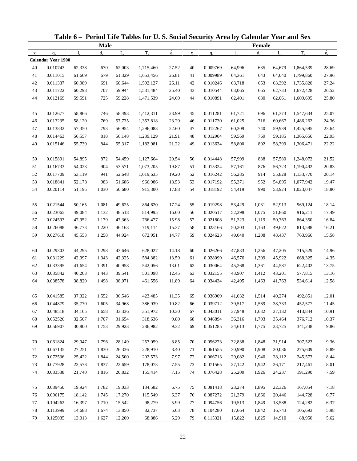|             |                           |        |             |             | Table 6 - Period Life Tables for U.S. Social Security Area by Calendar Year and Sex |                          |             |          |             |         |             |           |             |
|-------------|---------------------------|--------|-------------|-------------|-------------------------------------------------------------------------------------|--------------------------|-------------|----------|-------------|---------|-------------|-----------|-------------|
|             |                           |        | <b>Male</b> |             |                                                                                     |                          |             |          |             | Female  |             |           |             |
| $\mathbf X$ | $q_{x}$                   | 1.     | $d_{\rm v}$ | $L_{\rm v}$ | $T_{x}$                                                                             | $\overset{\circ}{e}_{x}$ | $\mathbf X$ | $q_{x}$  | $l_{\rm v}$ | $d_{x}$ | $L_{\rm v}$ | $T_{x}$   | $\dot{e}_x$ |
|             | <b>Calendar Year 1900</b> |        |             |             |                                                                                     |                          |             |          |             |         |             |           |             |
| 40          | 0.010743                  | 62,338 | 670         | 62,003      | 1,715,460                                                                           | 27.52                    | 40          | 0.009769 | 64,996      | 635     | 64,679      | 1,864,539 | 28.69       |
| 41          | 0.011015                  | 61,669 | 679         | 61,329      | 1,653,456                                                                           | 26.81                    | 41          | 0.009989 | 64,361      | 643     | 64,040      | 1,799,860 | 27.96       |
| 42          | 0.011337                  | 60,989 | 691         | 60,644      | 1,592,127                                                                           | 26.11                    | 42          | 0.010246 | 63,718      | 653     | 63,392      | 1,735,820 | 27.24       |
| 43          | 0.011722                  | 60,298 | 707         | 59,944      | 1,531,484                                                                           | 25.40                    | 43          | 0.010544 | 63,065      | 665     | 62,733      | 1,672,428 | 26.52       |
| 44          | 0.012169                  | 59,591 | 725         | 59,228      | 1,471,539                                                                           | 24.69                    | 44          | 0.010891 | 62,401      | 680     | 62,061      | 1,609,695 | 25.80       |
| 45          | 0.012677                  | 58,866 | 746         | 58,493      | 1,412,311                                                                           | 23.99                    | 45          | 0.011281 | 61,721      | 696     | 61,373      | 1,547,634 | 25.07       |
| 46          | 0.013235                  | 58,120 | 769         | 57,735      | 1,353,818                                                                           | 23.29                    | 46          | 0.011730 | 61,025      | 716     | 60,667      | 1,486,262 | 24.36       |
| 47          | 0.013832                  | 57,350 | 793         | 56,954      | 1,296,083                                                                           | 22.60                    | 47          | 0.012267 | 60,309      | 740     | 59,939      | 1,425,595 | 23.64       |
| 48          | 0.014463                  | 56,557 | 818         | 56,148      | 1,239,129                                                                           | 21.91                    | 48          | 0.012904 | 59,569      | 769     | 59,185      | 1,365,656 | 22.93       |
| 49          | 0.015146                  | 55,739 | 844         | 55,317      | 1,182,981                                                                           | 21.22                    | 49          | 0.013634 | 58,800      | 802     | 58,399      | 1,306,471 | 22.22       |
| 50          | 0.015891                  | 54,895 | 872         | 54,459      | 1,127,664                                                                           | 20.54                    | 50          | 0.014448 | 57,999      | 838     | 57,580      | 1,248,072 | 21.52       |
| 51          | 0.016733                  | 54,023 | 904         | 53,571      | 1,073,205                                                                           | 19.87                    | 51          | 0.015324 | 57,161      | 876     | 56,723      | 1,190,492 | 20.83       |
| 52          | 0.017709                  | 53,119 | 941         | 52,648      | 1,019,635                                                                           | 19.20                    | 52          | 0.016242 | 56,285      | 914     | 55,828      | 1,133,770 | 20.14       |
| 53          | 0.018841                  | 52,178 | 983         | 51,686      | 966,986                                                                             | 18.53                    | 53          | 0.017192 | 55,371      | 952     | 54,895      | 1,077,942 | 19.47       |
| 54          | 0.020114                  | 51,195 | 1,030       | 50,680      | 915,300                                                                             | 17.88                    | 54          | 0.018192 | 54,419      | 990     | 53,924      | 1,023,047 | 18.80       |
| 55          | 0.021544                  | 50,165 | 1,081       | 49,625      | 864,620                                                                             | 17.24                    | 55          | 0.019298 | 53,429      | 1,031   | 52,913      | 969,124   | 18.14       |
| 56          | 0.023065                  | 49,084 | 1,132       | 48,518      | 814,995                                                                             | 16.60                    | 56          | 0.020517 | 52,398      | 1,075   | 51,860      | 916,211   | 17.49       |
| 57          | 0.024593                  | 47,952 | 1,179       | 47,363      | 766,477                                                                             | 15.98                    | 57          | 0.021808 | 51,323      | 1,119   | 50,763      | 864,350   | 16.84       |
| 58          | 0.026088                  | 46,773 | 1,220       | 46,163      | 719,114                                                                             | 15.37                    | 58          | 0.023166 | 50,203      | 1,163   | 49,622      | 813,588   | 16.21       |
| 59          | 0.027618                  | 45,553 | 1,258       | 44,924      | 672,951                                                                             | 14.77                    | 59          | 0.024623 | 49,040      | 1,208   | 48,437      | 763,966   | 15.58       |
| 60          | 0.029303                  | 44,295 | 1,298       | 43,646      | 628,027                                                                             | 14.18                    | 60          | 0.026266 | 47,833      | 1,256   | 47,205      | 715,529   | 14.96       |
| 61          | 0.031229                  | 42,997 | 1,343       | 42,325      | 584,382                                                                             | 13.59                    | 61          | 0.028099 | 46,576      | 1,309   | 45,922      | 668,325   | 14.35       |
| 62          | 0.033395                  | 41,654 | 1,391       | 40,958      | 542,056                                                                             | 13.01                    | 62          | 0.030064 | 45,268      | 1,361   | 44,587      | 622,402   | 13.75       |
| 63          | 0.035842                  | 40,263 | 1,443       | 39,541      | 501,098                                                                             | 12.45                    | 63          | 0.032155 | 43,907      | 1,412   | 43,201      | 577,815   | 13.16       |
| 64          | 0.038578                  | 38,820 | 1,498       | 38,071      | 461,556                                                                             | 11.89                    | 64          | 0.034434 | 42,495      | 1,463   | 41,763      | 534,614   | 12.58       |
| 65          | 0.041585                  | 37,322 | 1,552       | 36,546      | 423,485                                                                             | 11.35                    | 65          | 0.036909 | 41,032      | 1,514   | 40,274      | 492,851   | 12.01       |
| 66          | 0.044879                  | 35,770 | 1,605       | 34,968      | 386,939                                                                             | 10.82                    | 66          | 0.039712 | 39,517      | 1,569   | 38,733      | 452,577   | 11.45       |
| 67          | 0.048518                  | 34,165 | 1,658       | 33,336      | 351,972                                                                             | 10.30                    | 67          | 0.043011 | 37,948      | 1,632   | 37,132      | 413,844   | 10.91       |
| 68          | 0.052526                  | 32,507 | 1,707       | 31,654      | 318,636                                                                             | 9.80                     | 68          | 0.046894 | 36,316      | 1,703   | 35,464      | 376,712   | 10.37       |
| 69          | 0.056907                  | 30,800 | 1,753       | 29,923      | 286,982                                                                             | 9.32                     | 69          | 0.051285 | 34,613      | 1,775   | 33,725      | 341,248   | 9.86        |
| 70          | 0.061824                  | 29,047 | 1,796       | 28,149      | 257,059                                                                             | 8.85                     | 70          | 0.056273 | 32,838      | 1,848   | 31,914      | 307,523   | 9.36        |
| 71          | 0.067135                  | 27,251 | 1,830       | 26,336      | 228,910                                                                             | 8.40                     | 71          | 0.061555 | 30,990      | 1,908   | 30,036      | 275,609   | 8.89        |
| 72          | 0.072536                  | 25,422 | 1,844       | 24,500      | 202,573                                                                             | 7.97                     | 72          | 0.066713 | 29,082      | 1,940   | 28,112      | 245,573   | 8.44        |
| 73          | 0.077928                  | 23,578 | 1,837       | 22,659      | 178,073                                                                             | 7.55                     | 73          | 0.071565 | 27,142      | 1,942   | 26,171      | 217,461   | 8.01        |
| 74          | 0.083538                  | 21,740 | 1,816       | 20,832      | 155,414                                                                             | 7.15                     | 74          | 0.076428 | 25,200      | 1,926   | 24,237      | 191,290   | 7.59        |
|             |                           |        |             |             |                                                                                     |                          |             |          |             |         |             |           |             |
| 75          | 0.089450                  | 19,924 | 1,782       | 19,033      | 134,582                                                                             | 6.75                     | 75          | 0.081418 | 23,274      | 1,895   | 22,326      | 167,054   | 7.18        |
| 76          | 0.096175                  | 18,142 | 1,745       | 17,270      | 115,549                                                                             | 6.37                     | 76          | 0.087272 | 21,379      | 1,866   | 20,446      | 144,728   | 6.77        |
| 77          | 0.104262                  | 16,397 | 1,710       | 15,542      | 98,279                                                                              | 5.99                     | 77          | 0.094756 | 19,513      | 1,849   | 18,588      | 124,282   | 6.37        |
| 78          | 0.113999                  | 14,688 | 1,674       | 13,850      | 82,737                                                                              | 5.63                     | 78          | 0.104280 | 17,664      | 1,842   | 16,743      | 105,693   | 5.98        |
| 79          | 0.125035                  | 13,013 | 1,627       | 12,200      | 68,886                                                                              | 5.29                     | 79          | 0.115321 | 15,822      | 1,825   | 14,910      | 88,950    | 5.62        |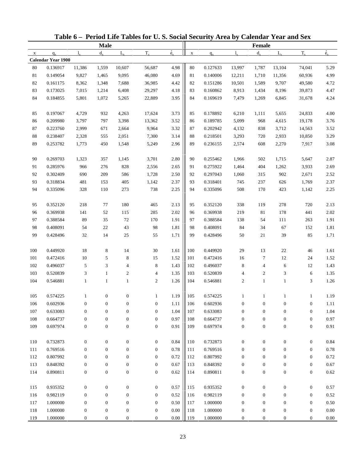|              |                    |                  |                  |                  | Table 6 - Period Life Tables for U.S. Social Security Area by Calendar Year and Sex |                          |             |          |                  |                  |                  |                  |             |
|--------------|--------------------|------------------|------------------|------------------|-------------------------------------------------------------------------------------|--------------------------|-------------|----------|------------------|------------------|------------------|------------------|-------------|
|              |                    |                  | <b>Male</b>      |                  |                                                                                     |                          |             |          |                  | Female           |                  |                  |             |
| $\mathbf{x}$ | $q_{x}$            | $1_{\rm v}$      | $d_{\rm v}$      | $L_{\rm v}$      | $T_{x}$                                                                             | $\overset{\circ}{e}_{x}$ | $\mathbf X$ | $q_{x}$  | $l_{\rm v}$      | $d_{x}$          | $L_{\rm v}$      | $T_{x}$          | $\dot{e}_x$ |
|              | Calendar Year 1900 |                  |                  |                  |                                                                                     |                          |             |          |                  |                  |                  |                  |             |
| 80           | 0.136917           | 11,386           | 1,559            | 10,607           | 56,687                                                                              | 4.98                     | $80\,$      | 0.127633 | 13,997           | 1,787            | 13,104           | 74,041           | 5.29        |
| 81           | 0.149054           | 9,827            | 1,465            | 9,095            | 46,080                                                                              | 4.69                     | 81          | 0.140006 | 12,211           | 1,710            | 11,356           | 60,936           | 4.99        |
| 82           | 0.161175           | 8,362            | 1,348            | 7,688            | 36,985                                                                              | 4.42                     | 82          | 0.151286 | 10,501           | 1,589            | 9,707            | 49,580           | 4.72        |
| 83           | 0.173025           | 7,015            | 1,214            | 6,408            | 29,297                                                                              | 4.18                     | 83          | 0.160862 | 8,913            | 1,434            | 8,196            | 39,873           | 4.47        |
| 84           | 0.184855           | 5,801            | 1,072            | 5,265            | 22,889                                                                              | 3.95                     | 84          | 0.169619 | 7,479            | 1,269            | 6,845            | 31,678           | 4.24        |
| 85           | 0.197067           | 4,729            | 932              | 4,263            | 17,624                                                                              | 3.73                     | 85          | 0.178892 | 6,210            | 1,111            | 5,655            | 24,833           | 4.00        |
| 86           | 0.209980           | 3,797            | 797              | 3,398            | 13,362                                                                              | 3.52                     | 86          | 0.189785 | 5,099            | 968              | 4,615            | 19,178           | 3.76        |
| 87           | 0.223760           | 2,999            | 671              | 2,664            | 9,964                                                                               | 3.32                     | 87          | 0.202942 | 4,132            | 838              | 3,712            | 14,563           | 3.52        |
| $88\,$       | 0.238407           | 2,328            | 555              | 2,051            | 7,300                                                                               | 3.14                     | 88          | 0.218501 | 3,293            | 720              | 2,933            | 10,850           | 3.29        |
| 89           | 0.253782           | 1,773            | 450              | 1,548            | 5,249                                                                               | 2.96                     | 89          | 0.236155 | 2,574            | 608              | 2,270            | 7,917            | 3.08        |
| 90           | 0.269703           | 1,323            | 357              | 1,145            | 3,701                                                                               | 2.80                     | 90          | 0.255462 | 1,966            | 502              | 1,715            | 5,647            | 2.87        |
| 91           | 0.285976           | 966              | 276              | 828              | 2,556                                                                               | 2.65                     | 91          | 0.275922 | 1,464            | 404              | 1,262            | 3,933            | 2.69        |
| 92           | 0.302409           | 690              | 209              | 586              | 1,728                                                                               | 2.50                     | 92          | 0.297043 | 1,060            | 315              | 902              | 2,671            | 2.52        |
| 93           | 0.318834           | 481              | 153              | 405              | 1,142                                                                               | 2.37                     | 93          | 0.318401 | 745              | 237              | 626              | 1,769            | 2.37        |
| 94           | 0.335096           | 328              | 110              | 273              | 738                                                                                 | 2.25                     | 94          | 0.335096 | 508              | 170              | 423              | 1,142            | 2.25        |
| 95           | 0.352120           | 218              | 77               | 180              | 465                                                                                 | 2.13                     | 95          | 0.352120 | 338              | 119              | 278              | 720              | 2.13        |
| 96           | 0.369938           | 141              | 52               | 115              | 285                                                                                 | 2.02                     | 96          | 0.369938 | 219              | 81               | 178              | 441              | 2.02        |
| 97           | 0.388584           | 89               | 35               | 72               | 170                                                                                 | 1.91                     | 97          | 0.388584 | 138              | 54               | 111              | 263              | 1.91        |
| 98           | 0.408091           | 54               | 22               | 43               | 98                                                                                  | 1.81                     | 98          | 0.408091 | 84               | 34               | 67               | 152              | 1.81        |
| 99           | 0.428496           | 32               | 14               | 25               | 55                                                                                  | 1.71                     | 99          | 0.428496 | 50               | 21               | 39               | 85               | 1.71        |
| 100          | 0.449920           | $18\,$           | 8                | 14               | 30                                                                                  | 1.61                     | 100         | 0.449920 | 29               | 13               | $22\,$           | 46               | 1.61        |
| 101          | 0.472416           | $10\,$           | 5                | 8                | 15                                                                                  | 1.52                     | 101         | 0.472416 | 16               | 7                | 12               | 24               | 1.52        |
| 102          | 0.496037           | 5                | 3                | 4                | 8                                                                                   | 1.43                     | 102         | 0.496037 | 8                | $\overline{4}$   | 6                | 12               | 1.43        |
| 103          | 0.520839           | $\mathfrak{Z}$   | $\mathbf{1}$     | 2                | $\overline{4}$                                                                      | 1.35                     | 103         | 0.520839 | 4                | 2                | 3                | 6                | 1.35        |
| 104          | 0.546881           | $\mathbf{1}$     | $\mathbf{1}$     | $\mathbf{1}$     | 2                                                                                   | 1.26                     | 104         | 0.546881 | $\boldsymbol{2}$ | $\mathbf{1}$     | $\mathbf{1}$     | 3                | 1.26        |
|              |                    |                  |                  |                  |                                                                                     |                          |             |          |                  |                  |                  |                  |             |
| 105          | 0.574225           |                  | $\boldsymbol{0}$ | 0                | 1                                                                                   | 1.19                     | 105         | 0.574225 |                  |                  |                  | $\perp$          | 1.19        |
| 106          | 0.602936           | $\boldsymbol{0}$ | $\boldsymbol{0}$ | $\boldsymbol{0}$ | $\boldsymbol{0}$                                                                    | 1.11                     | 106         | 0.602936 | $\boldsymbol{0}$ | $\boldsymbol{0}$ | 0                | $\boldsymbol{0}$ | 1.11        |
| 107          | 0.633083           | $\boldsymbol{0}$ | $\boldsymbol{0}$ | $\boldsymbol{0}$ | $\boldsymbol{0}$                                                                    | 1.04                     | 107         | 0.633083 | $\boldsymbol{0}$ | $\boldsymbol{0}$ | $\boldsymbol{0}$ | $\boldsymbol{0}$ | 1.04        |
| 108          | 0.664737           | $\boldsymbol{0}$ | $\boldsymbol{0}$ | $\boldsymbol{0}$ | $\boldsymbol{0}$                                                                    | 0.97                     | 108         | 0.664737 | $\boldsymbol{0}$ | $\boldsymbol{0}$ | $\boldsymbol{0}$ | $\boldsymbol{0}$ | 0.97        |
| 109          | 0.697974           | $\boldsymbol{0}$ | $\boldsymbol{0}$ | $\boldsymbol{0}$ | $\mathbf{0}$                                                                        | 0.91                     | 109         | 0.697974 | $\boldsymbol{0}$ | $\boldsymbol{0}$ | $\boldsymbol{0}$ | $\boldsymbol{0}$ | 0.91        |
| 110          | 0.732873           | $\boldsymbol{0}$ | $\boldsymbol{0}$ | $\boldsymbol{0}$ | $\boldsymbol{0}$                                                                    | 0.84                     | 110         | 0.732873 | $\boldsymbol{0}$ | $\boldsymbol{0}$ | $\boldsymbol{0}$ | $\boldsymbol{0}$ | 0.84        |
| 111          | 0.769516           | $\boldsymbol{0}$ | $\boldsymbol{0}$ | $\boldsymbol{0}$ | $\boldsymbol{0}$                                                                    | 0.78                     | 111         | 0.769516 | $\boldsymbol{0}$ | $\boldsymbol{0}$ | $\boldsymbol{0}$ | $\boldsymbol{0}$ | 0.78        |
| 112          | 0.807992           | $\boldsymbol{0}$ | $\boldsymbol{0}$ | $\boldsymbol{0}$ | $\boldsymbol{0}$                                                                    | 0.72                     | 112         | 0.807992 | $\boldsymbol{0}$ | $\boldsymbol{0}$ | $\boldsymbol{0}$ | $\boldsymbol{0}$ | 0.72        |
| 113          | 0.848392           | $\boldsymbol{0}$ | $\boldsymbol{0}$ | $\boldsymbol{0}$ | $\boldsymbol{0}$                                                                    | 0.67                     | 113         | 0.848392 | $\boldsymbol{0}$ | $\boldsymbol{0}$ | $\boldsymbol{0}$ | $\boldsymbol{0}$ | 0.67        |
| 114          | 0.890811           | $\boldsymbol{0}$ | $\boldsymbol{0}$ | $\boldsymbol{0}$ | $\boldsymbol{0}$                                                                    | 0.62                     | 114         | 0.890811 | $\boldsymbol{0}$ | $\boldsymbol{0}$ | $\boldsymbol{0}$ | $\boldsymbol{0}$ | 0.62        |
| 115          | 0.935352           | $\boldsymbol{0}$ | $\boldsymbol{0}$ | $\boldsymbol{0}$ | $\boldsymbol{0}$                                                                    | 0.57                     | 115         | 0.935352 | $\boldsymbol{0}$ | $\boldsymbol{0}$ | $\boldsymbol{0}$ | $\boldsymbol{0}$ | 0.57        |
| 116          | 0.982119           | $\boldsymbol{0}$ | $\mathbf{0}$     | $\boldsymbol{0}$ | $\mathbf{0}$                                                                        | 0.52                     | 116         | 0.982119 | $\boldsymbol{0}$ | $\boldsymbol{0}$ | $\boldsymbol{0}$ | $\boldsymbol{0}$ | 0.52        |
| 117          | 1.000000           | $\boldsymbol{0}$ | $\mathbf{0}$     | $\boldsymbol{0}$ | $\boldsymbol{0}$                                                                    | 0.50                     | 117         | 1.000000 | $\boldsymbol{0}$ | $\boldsymbol{0}$ | $\boldsymbol{0}$ | $\boldsymbol{0}$ | 0.50        |
| 118          | 1.000000           | $\boldsymbol{0}$ | $\boldsymbol{0}$ | $\boldsymbol{0}$ | $\boldsymbol{0}$                                                                    | $0.00\,$                 | 118         | 1.000000 | $\boldsymbol{0}$ | $\boldsymbol{0}$ | $\boldsymbol{0}$ | $\boldsymbol{0}$ | $0.00\,$    |
| 119          | 1.000000           | $\boldsymbol{0}$ | $\mathbf{0}$     | $\boldsymbol{0}$ | $\mathbf{0}$                                                                        | $0.00\,$                 | 119         | 1.000000 | $\boldsymbol{0}$ | $\mathbf{0}$     | $\mathbf{0}$     | $\boldsymbol{0}$ | 0.00        |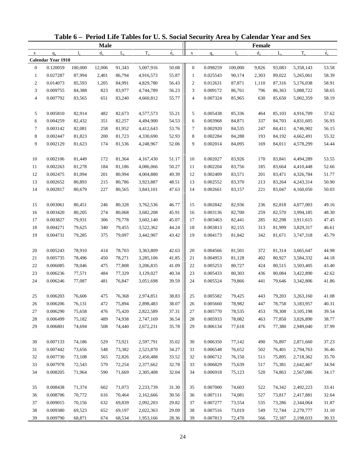| <b>Male</b><br>Female<br>$\dot{e}_x$<br>$\dot{e}_x$<br>$T_{x}$<br>$T_{x}$<br>$d_{\rm v}$<br>$L_{\rm v}$<br>$d_{x}$<br>$L_{\rm v}$<br>$\mathbf X$<br>$l_{\rm x}$<br>$q_{x}$<br>1.<br>$q_{x}$<br>$\mathbf X$<br>Calendar Year 1910<br>0.120059<br>100,000<br>12,006<br>91,343<br>5,007,916<br>50.08<br>$\boldsymbol{0}$<br>0.098259<br>100,000<br>93,083<br>5,358,143<br>$\mathbf{0}$<br>9,826<br>53.58<br>55.87<br>87,994<br>2,401<br>2,303<br>58.39<br>$\mathbf{1}$<br>0.027287<br>86,794<br>4,916,573<br>$\mathbf{1}$<br>0.025543<br>90,174<br>89,022<br>5,265,061<br>$\boldsymbol{2}$<br>0.014073<br>56.43<br>$\overline{c}$<br>58.91<br>85,593<br>1,205<br>84,991<br>4,829,780<br>0.012631<br>87,871<br>1,110<br>87,316<br>5,176,038<br>56.23<br>3<br>0.009755<br>84,388<br>823<br>83,977<br>3<br>0.009172<br>86,761<br>796<br>86,363<br>5,088,722<br>58.65<br>4,744,789<br>55.77<br>$\overline{4}$<br>0.007792<br>83,565<br>651<br>83,240<br>$\overline{4}$<br>0.007324<br>85,965<br>630<br>85,650<br>5,002,359<br>58.19<br>4,660,812<br>0.005810<br>5<br>5<br>82,914<br>482<br>82,673<br>55.21<br>0.005438<br>464<br>85,103<br>4,916,709<br>57.62<br>4,577,573<br>85,336<br>54.53<br>6<br>0.004259<br>82,432<br>351<br>82,257<br>6<br>0.003968<br>84,871<br>337<br>84,703<br>4,831,605<br>56.93<br>4,494,900<br>53.76<br>7<br>0.003142<br>82,081<br>258<br>81,952<br>4,412,643<br>7<br>0.002920<br>84,535<br>247<br>84,411<br>4,746,902<br>56.15<br>$\,8\,$<br>52.93<br>8<br>0.002447<br>81,823<br>200<br>81,723<br>0.002284<br>84,288<br>84,192<br>55.32<br>4,330,690<br>193<br>4,662,491<br>9<br>9<br>0.002129<br>81,623<br>81,536<br>52.06<br>0.002014<br>84,095<br>169<br>84,011<br>4,578,299<br>54.44<br>174<br>4,248,967<br>0.002106<br>81,449<br>81,364<br>4,167,430<br>51.17<br>10<br>0.002027<br>83,926<br>4,494,289<br>53.55<br>10<br>172<br>170<br>83,841<br>11<br>0.002263<br>184<br>50.27<br>0.002204<br>81,278<br>81,186<br>4,086,066<br>11<br>83,756<br>185<br>83,664<br>4,410,448<br>52.66<br>49.39<br>12<br>0.002475<br>81,094<br>201<br>80,994<br>4,004,880<br>12<br>0.002409<br>83,571<br>201<br>4,326,784<br>51.77<br>83,471<br>13<br>0.002652<br>80,893<br>80,786<br>48.51<br>13<br>0.002552<br>83,370<br>213<br>83,264<br>4,243,314<br>50.90<br>215<br>3,923,887<br>47.63<br>14<br>0.002817<br>80,679<br>227<br>0.002661<br>83,157<br>221<br>83,047<br>4,160,050<br>50.03<br>80,565<br>3,843,101<br>14<br>0.003061<br>15<br>80,451<br>246<br>80,328<br>3,762,536<br>46.77<br>15<br>0.002842<br>82,936<br>236<br>82,818<br>4,077,003<br>49.16<br>45.91<br>16<br>0.003420<br>80,205<br>274<br>80,068<br>16<br>0.003136<br>82,700<br>82,570<br>48.30<br>3,682,208<br>259<br>3,994,185<br>45.07<br>17<br>0.003827<br>79,931<br>306<br>79,778<br>17<br>0.003463<br>82,441<br>285<br>82,298<br>3,911,615<br>47.45<br>3,602,140<br>18<br>44.24<br>0.004271<br>79,625<br>340<br>18<br>0.003813<br>82,155<br>313<br>81,999<br>3,829,317<br>46.61<br>79,455<br>3,522,362<br>19<br>43.42<br>0.004731<br>79,285<br>79,097<br>3,442,907<br>19<br>0.004173<br>81,842<br>342<br>81,671<br>3,747,318<br>45.79<br>375<br>0.005243<br>42.63<br>20<br>78,910<br>78,703<br>3,363,809<br>20<br>0.004566<br>372<br>3,665,647<br>44.98<br>414<br>81,501<br>81,314<br>41.85<br>44.18<br>21<br>0.005735<br>78,496<br>450<br>78,271<br>3,285,106<br>21<br>0.004953<br>81,128<br>402<br>80,927<br>3,584,332<br>22<br>0.006085<br>78,046<br>41.09<br>22<br>0.005253<br>424<br>43.40<br>475<br>77,808<br>3,206,835<br>80,727<br>80,515<br>3,503,405<br>23<br>40.34<br>0.006236<br>77,571<br>23<br>0.005433<br>80,303<br>80,084<br>42.62<br>484<br>77,329<br>3,129,027<br>436<br>3,422,890<br>39.59<br>24<br>0.006246<br>77,087<br>481<br>76,847<br>3,051,698<br>24<br>0.005524<br>79,866<br>441<br>79,646<br>3,342,806<br>41.86<br>38.83<br>76,606<br>0.006203<br>475<br>76,368<br>2,974,851<br>0.005582<br>79,425<br>79,203<br>3,263,160<br>443<br>41.08<br>25<br>25<br>38.07<br>0.006206<br>75,894<br>76,131<br>472<br>2,898,483<br>26<br>0.005660<br>78,982<br>447<br>78,758<br>3,183,957<br>40.31<br>26<br>27<br>0.006290<br>75,658<br>476<br>75,420<br>37.31<br>0.005770<br>78,535<br>453<br>78,308<br>39.54<br>2,822,589<br>27<br>3,105,198<br>28<br>0.006499<br>75,182<br>489<br>74,938<br>36.54<br>0.005933<br>78,082<br>463<br>77,850<br>3,026,890<br>38.77<br>2,747,169<br>28<br>35.78<br>29<br>0.006801<br>0.006134<br>37.99<br>74,694<br>508<br>74,440<br>2,672,231<br>29<br>77,618<br>476<br>77,380<br>2,949,040<br>0.007133<br>74,186<br>73,921<br>35.02<br>0.006350<br>2,871,660<br>37.23<br>30<br>529<br>2,597,791<br>30<br>77,142<br>490<br>76,897<br>34.27<br>0.007442<br>73,656<br>0.006548<br>76,652<br>36.46<br>31<br>548<br>73,382<br>2,523,870<br>31<br>502<br>76,401<br>2,794,763<br>0.007730<br>73,108<br>33.52<br>76,150<br>35.70<br>32<br>565<br>72,826<br>2,450,488<br>32<br>0.006712<br>511<br>75,895<br>2,718,362<br>33<br>0.007978<br>72,543<br>32.78<br>0.006829<br>34.94<br>579<br>72,254<br>2,377,662<br>33<br>75,639<br>517<br>75,381<br>2,642,467<br>34<br>0.008205<br>32.04<br>0.006918<br>71,964<br>590<br>71,669<br>2,305,408<br>34<br>75,123<br>520<br>74,863<br>2,567,086<br>34.17<br>0.008438<br>71,374<br>71,073<br>31.30<br>0.007000<br>2,492,223<br>33.41<br>35<br>602<br>2,233,739<br>35<br>74,603<br>522<br>74,342<br>0.008706<br>70,772<br>30.56<br>0.007111<br>74,081<br>527<br>32.64<br>36<br>616<br>70,464<br>2,162,666<br>36<br>73,817<br>2,417,881<br>37<br>0.009015<br>29.82<br>0.007277<br>70,156<br>632<br>69,839<br>2,092,203<br>37<br>73,554<br>535<br>73,286<br>2,344,064<br>31.87<br>38<br>0.009380<br>29.09<br>38<br>0.007516<br>73,019<br>2,270,777<br>31.10<br>69,523<br>652<br>69,197<br>2,022,363<br>549<br>72,744<br>28.36<br>0.009790<br>39<br>39<br>68,871<br>674<br>68,534<br>1,953,166<br>0.007813<br>72,470<br>72,187<br>2,198,033<br>30.33<br>566 |  |  | Table 6 - Period Life Tables for U.S. Social Security Area by Calendar Year and Sex |  |  |  |  |
|-------------------------------------------------------------------------------------------------------------------------------------------------------------------------------------------------------------------------------------------------------------------------------------------------------------------------------------------------------------------------------------------------------------------------------------------------------------------------------------------------------------------------------------------------------------------------------------------------------------------------------------------------------------------------------------------------------------------------------------------------------------------------------------------------------------------------------------------------------------------------------------------------------------------------------------------------------------------------------------------------------------------------------------------------------------------------------------------------------------------------------------------------------------------------------------------------------------------------------------------------------------------------------------------------------------------------------------------------------------------------------------------------------------------------------------------------------------------------------------------------------------------------------------------------------------------------------------------------------------------------------------------------------------------------------------------------------------------------------------------------------------------------------------------------------------------------------------------------------------------------------------------------------------------------------------------------------------------------------------------------------------------------------------------------------------------------------------------------------------------------------------------------------------------------------------------------------------------------------------------------------------------------------------------------------------------------------------------------------------------------------------------------------------------------------------------------------------------------------------------------------------------------------------------------------------------------------------------------------------------------------------------------------------------------------------------------------------------------------------------------------------------------------------------------------------------------------------------------------------------------------------------------------------------------------------------------------------------------------------------------------------------------------------------------------------------------------------------------------------------------------------------------------------------------------------------------------------------------------------------------------------------------------------------------------------------------------------------------------------------------------------------------------------------------------------------------------------------------------------------------------------------------------------------------------------------------------------------------------------------------------------------------------------------------------------------------------------------------------------------------------------------------------------------------------------------------------------------------------------------------------------------------------------------------------------------------------------------------------------------------------------------------------------------------------------------------------------------------------------------------------------------------------------------------------------------------------------------------------------------------------------------------------------------------------------------------------------------------------------------------------------------------------------------------------------------------------------------------------------------------------------------------------------------------------------------------------------------------------------------------------------------------------------------------------------------------------------------------------------------------------------------------------------------------------------------------------------------------------------------------------------------------------------------------------------------------------------------------------------------------------------------------------------------------------------------------------------------------------------------------------------------------------------------------------------------------------------------------------------------------------------------------------------------------------------------------------------------------------------------------------------------------------------------------------------------------------------------------------------------------------------------------------------------------------------------------------------------------------------------------------------------------------------------------------------------------------------------------------------------------------------------------------------------------------------------------------------------------------------------------------------------------------------------------|--|--|-------------------------------------------------------------------------------------|--|--|--|--|
|                                                                                                                                                                                                                                                                                                                                                                                                                                                                                                                                                                                                                                                                                                                                                                                                                                                                                                                                                                                                                                                                                                                                                                                                                                                                                                                                                                                                                                                                                                                                                                                                                                                                                                                                                                                                                                                                                                                                                                                                                                                                                                                                                                                                                                                                                                                                                                                                                                                                                                                                                                                                                                                                                                                                                                                                                                                                                                                                                                                                                                                                                                                                                                                                                                                                                                                                                                                                                                                                                                                                                                                                                                                                                                                                                                                                                                                                                                                                                                                                                                                                                                                                                                                                                                                                                                                                                                                                                                                                                                                                                                                                                                                                                                                                                                                                                                                                                                                                                                                                                                                                                                                                                                                                                                                                                                                                                                                                                                                                                                                                                                                                                                                                                                                                                                                                                                                                                                                         |  |  |                                                                                     |  |  |  |  |
|                                                                                                                                                                                                                                                                                                                                                                                                                                                                                                                                                                                                                                                                                                                                                                                                                                                                                                                                                                                                                                                                                                                                                                                                                                                                                                                                                                                                                                                                                                                                                                                                                                                                                                                                                                                                                                                                                                                                                                                                                                                                                                                                                                                                                                                                                                                                                                                                                                                                                                                                                                                                                                                                                                                                                                                                                                                                                                                                                                                                                                                                                                                                                                                                                                                                                                                                                                                                                                                                                                                                                                                                                                                                                                                                                                                                                                                                                                                                                                                                                                                                                                                                                                                                                                                                                                                                                                                                                                                                                                                                                                                                                                                                                                                                                                                                                                                                                                                                                                                                                                                                                                                                                                                                                                                                                                                                                                                                                                                                                                                                                                                                                                                                                                                                                                                                                                                                                                                         |  |  |                                                                                     |  |  |  |  |
|                                                                                                                                                                                                                                                                                                                                                                                                                                                                                                                                                                                                                                                                                                                                                                                                                                                                                                                                                                                                                                                                                                                                                                                                                                                                                                                                                                                                                                                                                                                                                                                                                                                                                                                                                                                                                                                                                                                                                                                                                                                                                                                                                                                                                                                                                                                                                                                                                                                                                                                                                                                                                                                                                                                                                                                                                                                                                                                                                                                                                                                                                                                                                                                                                                                                                                                                                                                                                                                                                                                                                                                                                                                                                                                                                                                                                                                                                                                                                                                                                                                                                                                                                                                                                                                                                                                                                                                                                                                                                                                                                                                                                                                                                                                                                                                                                                                                                                                                                                                                                                                                                                                                                                                                                                                                                                                                                                                                                                                                                                                                                                                                                                                                                                                                                                                                                                                                                                                         |  |  |                                                                                     |  |  |  |  |
|                                                                                                                                                                                                                                                                                                                                                                                                                                                                                                                                                                                                                                                                                                                                                                                                                                                                                                                                                                                                                                                                                                                                                                                                                                                                                                                                                                                                                                                                                                                                                                                                                                                                                                                                                                                                                                                                                                                                                                                                                                                                                                                                                                                                                                                                                                                                                                                                                                                                                                                                                                                                                                                                                                                                                                                                                                                                                                                                                                                                                                                                                                                                                                                                                                                                                                                                                                                                                                                                                                                                                                                                                                                                                                                                                                                                                                                                                                                                                                                                                                                                                                                                                                                                                                                                                                                                                                                                                                                                                                                                                                                                                                                                                                                                                                                                                                                                                                                                                                                                                                                                                                                                                                                                                                                                                                                                                                                                                                                                                                                                                                                                                                                                                                                                                                                                                                                                                                                         |  |  |                                                                                     |  |  |  |  |
|                                                                                                                                                                                                                                                                                                                                                                                                                                                                                                                                                                                                                                                                                                                                                                                                                                                                                                                                                                                                                                                                                                                                                                                                                                                                                                                                                                                                                                                                                                                                                                                                                                                                                                                                                                                                                                                                                                                                                                                                                                                                                                                                                                                                                                                                                                                                                                                                                                                                                                                                                                                                                                                                                                                                                                                                                                                                                                                                                                                                                                                                                                                                                                                                                                                                                                                                                                                                                                                                                                                                                                                                                                                                                                                                                                                                                                                                                                                                                                                                                                                                                                                                                                                                                                                                                                                                                                                                                                                                                                                                                                                                                                                                                                                                                                                                                                                                                                                                                                                                                                                                                                                                                                                                                                                                                                                                                                                                                                                                                                                                                                                                                                                                                                                                                                                                                                                                                                                         |  |  |                                                                                     |  |  |  |  |
|                                                                                                                                                                                                                                                                                                                                                                                                                                                                                                                                                                                                                                                                                                                                                                                                                                                                                                                                                                                                                                                                                                                                                                                                                                                                                                                                                                                                                                                                                                                                                                                                                                                                                                                                                                                                                                                                                                                                                                                                                                                                                                                                                                                                                                                                                                                                                                                                                                                                                                                                                                                                                                                                                                                                                                                                                                                                                                                                                                                                                                                                                                                                                                                                                                                                                                                                                                                                                                                                                                                                                                                                                                                                                                                                                                                                                                                                                                                                                                                                                                                                                                                                                                                                                                                                                                                                                                                                                                                                                                                                                                                                                                                                                                                                                                                                                                                                                                                                                                                                                                                                                                                                                                                                                                                                                                                                                                                                                                                                                                                                                                                                                                                                                                                                                                                                                                                                                                                         |  |  |                                                                                     |  |  |  |  |
|                                                                                                                                                                                                                                                                                                                                                                                                                                                                                                                                                                                                                                                                                                                                                                                                                                                                                                                                                                                                                                                                                                                                                                                                                                                                                                                                                                                                                                                                                                                                                                                                                                                                                                                                                                                                                                                                                                                                                                                                                                                                                                                                                                                                                                                                                                                                                                                                                                                                                                                                                                                                                                                                                                                                                                                                                                                                                                                                                                                                                                                                                                                                                                                                                                                                                                                                                                                                                                                                                                                                                                                                                                                                                                                                                                                                                                                                                                                                                                                                                                                                                                                                                                                                                                                                                                                                                                                                                                                                                                                                                                                                                                                                                                                                                                                                                                                                                                                                                                                                                                                                                                                                                                                                                                                                                                                                                                                                                                                                                                                                                                                                                                                                                                                                                                                                                                                                                                                         |  |  |                                                                                     |  |  |  |  |
|                                                                                                                                                                                                                                                                                                                                                                                                                                                                                                                                                                                                                                                                                                                                                                                                                                                                                                                                                                                                                                                                                                                                                                                                                                                                                                                                                                                                                                                                                                                                                                                                                                                                                                                                                                                                                                                                                                                                                                                                                                                                                                                                                                                                                                                                                                                                                                                                                                                                                                                                                                                                                                                                                                                                                                                                                                                                                                                                                                                                                                                                                                                                                                                                                                                                                                                                                                                                                                                                                                                                                                                                                                                                                                                                                                                                                                                                                                                                                                                                                                                                                                                                                                                                                                                                                                                                                                                                                                                                                                                                                                                                                                                                                                                                                                                                                                                                                                                                                                                                                                                                                                                                                                                                                                                                                                                                                                                                                                                                                                                                                                                                                                                                                                                                                                                                                                                                                                                         |  |  |                                                                                     |  |  |  |  |
|                                                                                                                                                                                                                                                                                                                                                                                                                                                                                                                                                                                                                                                                                                                                                                                                                                                                                                                                                                                                                                                                                                                                                                                                                                                                                                                                                                                                                                                                                                                                                                                                                                                                                                                                                                                                                                                                                                                                                                                                                                                                                                                                                                                                                                                                                                                                                                                                                                                                                                                                                                                                                                                                                                                                                                                                                                                                                                                                                                                                                                                                                                                                                                                                                                                                                                                                                                                                                                                                                                                                                                                                                                                                                                                                                                                                                                                                                                                                                                                                                                                                                                                                                                                                                                                                                                                                                                                                                                                                                                                                                                                                                                                                                                                                                                                                                                                                                                                                                                                                                                                                                                                                                                                                                                                                                                                                                                                                                                                                                                                                                                                                                                                                                                                                                                                                                                                                                                                         |  |  |                                                                                     |  |  |  |  |
|                                                                                                                                                                                                                                                                                                                                                                                                                                                                                                                                                                                                                                                                                                                                                                                                                                                                                                                                                                                                                                                                                                                                                                                                                                                                                                                                                                                                                                                                                                                                                                                                                                                                                                                                                                                                                                                                                                                                                                                                                                                                                                                                                                                                                                                                                                                                                                                                                                                                                                                                                                                                                                                                                                                                                                                                                                                                                                                                                                                                                                                                                                                                                                                                                                                                                                                                                                                                                                                                                                                                                                                                                                                                                                                                                                                                                                                                                                                                                                                                                                                                                                                                                                                                                                                                                                                                                                                                                                                                                                                                                                                                                                                                                                                                                                                                                                                                                                                                                                                                                                                                                                                                                                                                                                                                                                                                                                                                                                                                                                                                                                                                                                                                                                                                                                                                                                                                                                                         |  |  |                                                                                     |  |  |  |  |
|                                                                                                                                                                                                                                                                                                                                                                                                                                                                                                                                                                                                                                                                                                                                                                                                                                                                                                                                                                                                                                                                                                                                                                                                                                                                                                                                                                                                                                                                                                                                                                                                                                                                                                                                                                                                                                                                                                                                                                                                                                                                                                                                                                                                                                                                                                                                                                                                                                                                                                                                                                                                                                                                                                                                                                                                                                                                                                                                                                                                                                                                                                                                                                                                                                                                                                                                                                                                                                                                                                                                                                                                                                                                                                                                                                                                                                                                                                                                                                                                                                                                                                                                                                                                                                                                                                                                                                                                                                                                                                                                                                                                                                                                                                                                                                                                                                                                                                                                                                                                                                                                                                                                                                                                                                                                                                                                                                                                                                                                                                                                                                                                                                                                                                                                                                                                                                                                                                                         |  |  |                                                                                     |  |  |  |  |
|                                                                                                                                                                                                                                                                                                                                                                                                                                                                                                                                                                                                                                                                                                                                                                                                                                                                                                                                                                                                                                                                                                                                                                                                                                                                                                                                                                                                                                                                                                                                                                                                                                                                                                                                                                                                                                                                                                                                                                                                                                                                                                                                                                                                                                                                                                                                                                                                                                                                                                                                                                                                                                                                                                                                                                                                                                                                                                                                                                                                                                                                                                                                                                                                                                                                                                                                                                                                                                                                                                                                                                                                                                                                                                                                                                                                                                                                                                                                                                                                                                                                                                                                                                                                                                                                                                                                                                                                                                                                                                                                                                                                                                                                                                                                                                                                                                                                                                                                                                                                                                                                                                                                                                                                                                                                                                                                                                                                                                                                                                                                                                                                                                                                                                                                                                                                                                                                                                                         |  |  |                                                                                     |  |  |  |  |
|                                                                                                                                                                                                                                                                                                                                                                                                                                                                                                                                                                                                                                                                                                                                                                                                                                                                                                                                                                                                                                                                                                                                                                                                                                                                                                                                                                                                                                                                                                                                                                                                                                                                                                                                                                                                                                                                                                                                                                                                                                                                                                                                                                                                                                                                                                                                                                                                                                                                                                                                                                                                                                                                                                                                                                                                                                                                                                                                                                                                                                                                                                                                                                                                                                                                                                                                                                                                                                                                                                                                                                                                                                                                                                                                                                                                                                                                                                                                                                                                                                                                                                                                                                                                                                                                                                                                                                                                                                                                                                                                                                                                                                                                                                                                                                                                                                                                                                                                                                                                                                                                                                                                                                                                                                                                                                                                                                                                                                                                                                                                                                                                                                                                                                                                                                                                                                                                                                                         |  |  |                                                                                     |  |  |  |  |
|                                                                                                                                                                                                                                                                                                                                                                                                                                                                                                                                                                                                                                                                                                                                                                                                                                                                                                                                                                                                                                                                                                                                                                                                                                                                                                                                                                                                                                                                                                                                                                                                                                                                                                                                                                                                                                                                                                                                                                                                                                                                                                                                                                                                                                                                                                                                                                                                                                                                                                                                                                                                                                                                                                                                                                                                                                                                                                                                                                                                                                                                                                                                                                                                                                                                                                                                                                                                                                                                                                                                                                                                                                                                                                                                                                                                                                                                                                                                                                                                                                                                                                                                                                                                                                                                                                                                                                                                                                                                                                                                                                                                                                                                                                                                                                                                                                                                                                                                                                                                                                                                                                                                                                                                                                                                                                                                                                                                                                                                                                                                                                                                                                                                                                                                                                                                                                                                                                                         |  |  |                                                                                     |  |  |  |  |
|                                                                                                                                                                                                                                                                                                                                                                                                                                                                                                                                                                                                                                                                                                                                                                                                                                                                                                                                                                                                                                                                                                                                                                                                                                                                                                                                                                                                                                                                                                                                                                                                                                                                                                                                                                                                                                                                                                                                                                                                                                                                                                                                                                                                                                                                                                                                                                                                                                                                                                                                                                                                                                                                                                                                                                                                                                                                                                                                                                                                                                                                                                                                                                                                                                                                                                                                                                                                                                                                                                                                                                                                                                                                                                                                                                                                                                                                                                                                                                                                                                                                                                                                                                                                                                                                                                                                                                                                                                                                                                                                                                                                                                                                                                                                                                                                                                                                                                                                                                                                                                                                                                                                                                                                                                                                                                                                                                                                                                                                                                                                                                                                                                                                                                                                                                                                                                                                                                                         |  |  |                                                                                     |  |  |  |  |
|                                                                                                                                                                                                                                                                                                                                                                                                                                                                                                                                                                                                                                                                                                                                                                                                                                                                                                                                                                                                                                                                                                                                                                                                                                                                                                                                                                                                                                                                                                                                                                                                                                                                                                                                                                                                                                                                                                                                                                                                                                                                                                                                                                                                                                                                                                                                                                                                                                                                                                                                                                                                                                                                                                                                                                                                                                                                                                                                                                                                                                                                                                                                                                                                                                                                                                                                                                                                                                                                                                                                                                                                                                                                                                                                                                                                                                                                                                                                                                                                                                                                                                                                                                                                                                                                                                                                                                                                                                                                                                                                                                                                                                                                                                                                                                                                                                                                                                                                                                                                                                                                                                                                                                                                                                                                                                                                                                                                                                                                                                                                                                                                                                                                                                                                                                                                                                                                                                                         |  |  |                                                                                     |  |  |  |  |
|                                                                                                                                                                                                                                                                                                                                                                                                                                                                                                                                                                                                                                                                                                                                                                                                                                                                                                                                                                                                                                                                                                                                                                                                                                                                                                                                                                                                                                                                                                                                                                                                                                                                                                                                                                                                                                                                                                                                                                                                                                                                                                                                                                                                                                                                                                                                                                                                                                                                                                                                                                                                                                                                                                                                                                                                                                                                                                                                                                                                                                                                                                                                                                                                                                                                                                                                                                                                                                                                                                                                                                                                                                                                                                                                                                                                                                                                                                                                                                                                                                                                                                                                                                                                                                                                                                                                                                                                                                                                                                                                                                                                                                                                                                                                                                                                                                                                                                                                                                                                                                                                                                                                                                                                                                                                                                                                                                                                                                                                                                                                                                                                                                                                                                                                                                                                                                                                                                                         |  |  |                                                                                     |  |  |  |  |
|                                                                                                                                                                                                                                                                                                                                                                                                                                                                                                                                                                                                                                                                                                                                                                                                                                                                                                                                                                                                                                                                                                                                                                                                                                                                                                                                                                                                                                                                                                                                                                                                                                                                                                                                                                                                                                                                                                                                                                                                                                                                                                                                                                                                                                                                                                                                                                                                                                                                                                                                                                                                                                                                                                                                                                                                                                                                                                                                                                                                                                                                                                                                                                                                                                                                                                                                                                                                                                                                                                                                                                                                                                                                                                                                                                                                                                                                                                                                                                                                                                                                                                                                                                                                                                                                                                                                                                                                                                                                                                                                                                                                                                                                                                                                                                                                                                                                                                                                                                                                                                                                                                                                                                                                                                                                                                                                                                                                                                                                                                                                                                                                                                                                                                                                                                                                                                                                                                                         |  |  |                                                                                     |  |  |  |  |
|                                                                                                                                                                                                                                                                                                                                                                                                                                                                                                                                                                                                                                                                                                                                                                                                                                                                                                                                                                                                                                                                                                                                                                                                                                                                                                                                                                                                                                                                                                                                                                                                                                                                                                                                                                                                                                                                                                                                                                                                                                                                                                                                                                                                                                                                                                                                                                                                                                                                                                                                                                                                                                                                                                                                                                                                                                                                                                                                                                                                                                                                                                                                                                                                                                                                                                                                                                                                                                                                                                                                                                                                                                                                                                                                                                                                                                                                                                                                                                                                                                                                                                                                                                                                                                                                                                                                                                                                                                                                                                                                                                                                                                                                                                                                                                                                                                                                                                                                                                                                                                                                                                                                                                                                                                                                                                                                                                                                                                                                                                                                                                                                                                                                                                                                                                                                                                                                                                                         |  |  |                                                                                     |  |  |  |  |
|                                                                                                                                                                                                                                                                                                                                                                                                                                                                                                                                                                                                                                                                                                                                                                                                                                                                                                                                                                                                                                                                                                                                                                                                                                                                                                                                                                                                                                                                                                                                                                                                                                                                                                                                                                                                                                                                                                                                                                                                                                                                                                                                                                                                                                                                                                                                                                                                                                                                                                                                                                                                                                                                                                                                                                                                                                                                                                                                                                                                                                                                                                                                                                                                                                                                                                                                                                                                                                                                                                                                                                                                                                                                                                                                                                                                                                                                                                                                                                                                                                                                                                                                                                                                                                                                                                                                                                                                                                                                                                                                                                                                                                                                                                                                                                                                                                                                                                                                                                                                                                                                                                                                                                                                                                                                                                                                                                                                                                                                                                                                                                                                                                                                                                                                                                                                                                                                                                                         |  |  |                                                                                     |  |  |  |  |
|                                                                                                                                                                                                                                                                                                                                                                                                                                                                                                                                                                                                                                                                                                                                                                                                                                                                                                                                                                                                                                                                                                                                                                                                                                                                                                                                                                                                                                                                                                                                                                                                                                                                                                                                                                                                                                                                                                                                                                                                                                                                                                                                                                                                                                                                                                                                                                                                                                                                                                                                                                                                                                                                                                                                                                                                                                                                                                                                                                                                                                                                                                                                                                                                                                                                                                                                                                                                                                                                                                                                                                                                                                                                                                                                                                                                                                                                                                                                                                                                                                                                                                                                                                                                                                                                                                                                                                                                                                                                                                                                                                                                                                                                                                                                                                                                                                                                                                                                                                                                                                                                                                                                                                                                                                                                                                                                                                                                                                                                                                                                                                                                                                                                                                                                                                                                                                                                                                                         |  |  |                                                                                     |  |  |  |  |
|                                                                                                                                                                                                                                                                                                                                                                                                                                                                                                                                                                                                                                                                                                                                                                                                                                                                                                                                                                                                                                                                                                                                                                                                                                                                                                                                                                                                                                                                                                                                                                                                                                                                                                                                                                                                                                                                                                                                                                                                                                                                                                                                                                                                                                                                                                                                                                                                                                                                                                                                                                                                                                                                                                                                                                                                                                                                                                                                                                                                                                                                                                                                                                                                                                                                                                                                                                                                                                                                                                                                                                                                                                                                                                                                                                                                                                                                                                                                                                                                                                                                                                                                                                                                                                                                                                                                                                                                                                                                                                                                                                                                                                                                                                                                                                                                                                                                                                                                                                                                                                                                                                                                                                                                                                                                                                                                                                                                                                                                                                                                                                                                                                                                                                                                                                                                                                                                                                                         |  |  |                                                                                     |  |  |  |  |
|                                                                                                                                                                                                                                                                                                                                                                                                                                                                                                                                                                                                                                                                                                                                                                                                                                                                                                                                                                                                                                                                                                                                                                                                                                                                                                                                                                                                                                                                                                                                                                                                                                                                                                                                                                                                                                                                                                                                                                                                                                                                                                                                                                                                                                                                                                                                                                                                                                                                                                                                                                                                                                                                                                                                                                                                                                                                                                                                                                                                                                                                                                                                                                                                                                                                                                                                                                                                                                                                                                                                                                                                                                                                                                                                                                                                                                                                                                                                                                                                                                                                                                                                                                                                                                                                                                                                                                                                                                                                                                                                                                                                                                                                                                                                                                                                                                                                                                                                                                                                                                                                                                                                                                                                                                                                                                                                                                                                                                                                                                                                                                                                                                                                                                                                                                                                                                                                                                                         |  |  |                                                                                     |  |  |  |  |
|                                                                                                                                                                                                                                                                                                                                                                                                                                                                                                                                                                                                                                                                                                                                                                                                                                                                                                                                                                                                                                                                                                                                                                                                                                                                                                                                                                                                                                                                                                                                                                                                                                                                                                                                                                                                                                                                                                                                                                                                                                                                                                                                                                                                                                                                                                                                                                                                                                                                                                                                                                                                                                                                                                                                                                                                                                                                                                                                                                                                                                                                                                                                                                                                                                                                                                                                                                                                                                                                                                                                                                                                                                                                                                                                                                                                                                                                                                                                                                                                                                                                                                                                                                                                                                                                                                                                                                                                                                                                                                                                                                                                                                                                                                                                                                                                                                                                                                                                                                                                                                                                                                                                                                                                                                                                                                                                                                                                                                                                                                                                                                                                                                                                                                                                                                                                                                                                                                                         |  |  |                                                                                     |  |  |  |  |
|                                                                                                                                                                                                                                                                                                                                                                                                                                                                                                                                                                                                                                                                                                                                                                                                                                                                                                                                                                                                                                                                                                                                                                                                                                                                                                                                                                                                                                                                                                                                                                                                                                                                                                                                                                                                                                                                                                                                                                                                                                                                                                                                                                                                                                                                                                                                                                                                                                                                                                                                                                                                                                                                                                                                                                                                                                                                                                                                                                                                                                                                                                                                                                                                                                                                                                                                                                                                                                                                                                                                                                                                                                                                                                                                                                                                                                                                                                                                                                                                                                                                                                                                                                                                                                                                                                                                                                                                                                                                                                                                                                                                                                                                                                                                                                                                                                                                                                                                                                                                                                                                                                                                                                                                                                                                                                                                                                                                                                                                                                                                                                                                                                                                                                                                                                                                                                                                                                                         |  |  |                                                                                     |  |  |  |  |
|                                                                                                                                                                                                                                                                                                                                                                                                                                                                                                                                                                                                                                                                                                                                                                                                                                                                                                                                                                                                                                                                                                                                                                                                                                                                                                                                                                                                                                                                                                                                                                                                                                                                                                                                                                                                                                                                                                                                                                                                                                                                                                                                                                                                                                                                                                                                                                                                                                                                                                                                                                                                                                                                                                                                                                                                                                                                                                                                                                                                                                                                                                                                                                                                                                                                                                                                                                                                                                                                                                                                                                                                                                                                                                                                                                                                                                                                                                                                                                                                                                                                                                                                                                                                                                                                                                                                                                                                                                                                                                                                                                                                                                                                                                                                                                                                                                                                                                                                                                                                                                                                                                                                                                                                                                                                                                                                                                                                                                                                                                                                                                                                                                                                                                                                                                                                                                                                                                                         |  |  |                                                                                     |  |  |  |  |
|                                                                                                                                                                                                                                                                                                                                                                                                                                                                                                                                                                                                                                                                                                                                                                                                                                                                                                                                                                                                                                                                                                                                                                                                                                                                                                                                                                                                                                                                                                                                                                                                                                                                                                                                                                                                                                                                                                                                                                                                                                                                                                                                                                                                                                                                                                                                                                                                                                                                                                                                                                                                                                                                                                                                                                                                                                                                                                                                                                                                                                                                                                                                                                                                                                                                                                                                                                                                                                                                                                                                                                                                                                                                                                                                                                                                                                                                                                                                                                                                                                                                                                                                                                                                                                                                                                                                                                                                                                                                                                                                                                                                                                                                                                                                                                                                                                                                                                                                                                                                                                                                                                                                                                                                                                                                                                                                                                                                                                                                                                                                                                                                                                                                                                                                                                                                                                                                                                                         |  |  |                                                                                     |  |  |  |  |
|                                                                                                                                                                                                                                                                                                                                                                                                                                                                                                                                                                                                                                                                                                                                                                                                                                                                                                                                                                                                                                                                                                                                                                                                                                                                                                                                                                                                                                                                                                                                                                                                                                                                                                                                                                                                                                                                                                                                                                                                                                                                                                                                                                                                                                                                                                                                                                                                                                                                                                                                                                                                                                                                                                                                                                                                                                                                                                                                                                                                                                                                                                                                                                                                                                                                                                                                                                                                                                                                                                                                                                                                                                                                                                                                                                                                                                                                                                                                                                                                                                                                                                                                                                                                                                                                                                                                                                                                                                                                                                                                                                                                                                                                                                                                                                                                                                                                                                                                                                                                                                                                                                                                                                                                                                                                                                                                                                                                                                                                                                                                                                                                                                                                                                                                                                                                                                                                                                                         |  |  |                                                                                     |  |  |  |  |
|                                                                                                                                                                                                                                                                                                                                                                                                                                                                                                                                                                                                                                                                                                                                                                                                                                                                                                                                                                                                                                                                                                                                                                                                                                                                                                                                                                                                                                                                                                                                                                                                                                                                                                                                                                                                                                                                                                                                                                                                                                                                                                                                                                                                                                                                                                                                                                                                                                                                                                                                                                                                                                                                                                                                                                                                                                                                                                                                                                                                                                                                                                                                                                                                                                                                                                                                                                                                                                                                                                                                                                                                                                                                                                                                                                                                                                                                                                                                                                                                                                                                                                                                                                                                                                                                                                                                                                                                                                                                                                                                                                                                                                                                                                                                                                                                                                                                                                                                                                                                                                                                                                                                                                                                                                                                                                                                                                                                                                                                                                                                                                                                                                                                                                                                                                                                                                                                                                                         |  |  |                                                                                     |  |  |  |  |
|                                                                                                                                                                                                                                                                                                                                                                                                                                                                                                                                                                                                                                                                                                                                                                                                                                                                                                                                                                                                                                                                                                                                                                                                                                                                                                                                                                                                                                                                                                                                                                                                                                                                                                                                                                                                                                                                                                                                                                                                                                                                                                                                                                                                                                                                                                                                                                                                                                                                                                                                                                                                                                                                                                                                                                                                                                                                                                                                                                                                                                                                                                                                                                                                                                                                                                                                                                                                                                                                                                                                                                                                                                                                                                                                                                                                                                                                                                                                                                                                                                                                                                                                                                                                                                                                                                                                                                                                                                                                                                                                                                                                                                                                                                                                                                                                                                                                                                                                                                                                                                                                                                                                                                                                                                                                                                                                                                                                                                                                                                                                                                                                                                                                                                                                                                                                                                                                                                                         |  |  |                                                                                     |  |  |  |  |
|                                                                                                                                                                                                                                                                                                                                                                                                                                                                                                                                                                                                                                                                                                                                                                                                                                                                                                                                                                                                                                                                                                                                                                                                                                                                                                                                                                                                                                                                                                                                                                                                                                                                                                                                                                                                                                                                                                                                                                                                                                                                                                                                                                                                                                                                                                                                                                                                                                                                                                                                                                                                                                                                                                                                                                                                                                                                                                                                                                                                                                                                                                                                                                                                                                                                                                                                                                                                                                                                                                                                                                                                                                                                                                                                                                                                                                                                                                                                                                                                                                                                                                                                                                                                                                                                                                                                                                                                                                                                                                                                                                                                                                                                                                                                                                                                                                                                                                                                                                                                                                                                                                                                                                                                                                                                                                                                                                                                                                                                                                                                                                                                                                                                                                                                                                                                                                                                                                                         |  |  |                                                                                     |  |  |  |  |
|                                                                                                                                                                                                                                                                                                                                                                                                                                                                                                                                                                                                                                                                                                                                                                                                                                                                                                                                                                                                                                                                                                                                                                                                                                                                                                                                                                                                                                                                                                                                                                                                                                                                                                                                                                                                                                                                                                                                                                                                                                                                                                                                                                                                                                                                                                                                                                                                                                                                                                                                                                                                                                                                                                                                                                                                                                                                                                                                                                                                                                                                                                                                                                                                                                                                                                                                                                                                                                                                                                                                                                                                                                                                                                                                                                                                                                                                                                                                                                                                                                                                                                                                                                                                                                                                                                                                                                                                                                                                                                                                                                                                                                                                                                                                                                                                                                                                                                                                                                                                                                                                                                                                                                                                                                                                                                                                                                                                                                                                                                                                                                                                                                                                                                                                                                                                                                                                                                                         |  |  |                                                                                     |  |  |  |  |
|                                                                                                                                                                                                                                                                                                                                                                                                                                                                                                                                                                                                                                                                                                                                                                                                                                                                                                                                                                                                                                                                                                                                                                                                                                                                                                                                                                                                                                                                                                                                                                                                                                                                                                                                                                                                                                                                                                                                                                                                                                                                                                                                                                                                                                                                                                                                                                                                                                                                                                                                                                                                                                                                                                                                                                                                                                                                                                                                                                                                                                                                                                                                                                                                                                                                                                                                                                                                                                                                                                                                                                                                                                                                                                                                                                                                                                                                                                                                                                                                                                                                                                                                                                                                                                                                                                                                                                                                                                                                                                                                                                                                                                                                                                                                                                                                                                                                                                                                                                                                                                                                                                                                                                                                                                                                                                                                                                                                                                                                                                                                                                                                                                                                                                                                                                                                                                                                                                                         |  |  |                                                                                     |  |  |  |  |
|                                                                                                                                                                                                                                                                                                                                                                                                                                                                                                                                                                                                                                                                                                                                                                                                                                                                                                                                                                                                                                                                                                                                                                                                                                                                                                                                                                                                                                                                                                                                                                                                                                                                                                                                                                                                                                                                                                                                                                                                                                                                                                                                                                                                                                                                                                                                                                                                                                                                                                                                                                                                                                                                                                                                                                                                                                                                                                                                                                                                                                                                                                                                                                                                                                                                                                                                                                                                                                                                                                                                                                                                                                                                                                                                                                                                                                                                                                                                                                                                                                                                                                                                                                                                                                                                                                                                                                                                                                                                                                                                                                                                                                                                                                                                                                                                                                                                                                                                                                                                                                                                                                                                                                                                                                                                                                                                                                                                                                                                                                                                                                                                                                                                                                                                                                                                                                                                                                                         |  |  |                                                                                     |  |  |  |  |
|                                                                                                                                                                                                                                                                                                                                                                                                                                                                                                                                                                                                                                                                                                                                                                                                                                                                                                                                                                                                                                                                                                                                                                                                                                                                                                                                                                                                                                                                                                                                                                                                                                                                                                                                                                                                                                                                                                                                                                                                                                                                                                                                                                                                                                                                                                                                                                                                                                                                                                                                                                                                                                                                                                                                                                                                                                                                                                                                                                                                                                                                                                                                                                                                                                                                                                                                                                                                                                                                                                                                                                                                                                                                                                                                                                                                                                                                                                                                                                                                                                                                                                                                                                                                                                                                                                                                                                                                                                                                                                                                                                                                                                                                                                                                                                                                                                                                                                                                                                                                                                                                                                                                                                                                                                                                                                                                                                                                                                                                                                                                                                                                                                                                                                                                                                                                                                                                                                                         |  |  |                                                                                     |  |  |  |  |
|                                                                                                                                                                                                                                                                                                                                                                                                                                                                                                                                                                                                                                                                                                                                                                                                                                                                                                                                                                                                                                                                                                                                                                                                                                                                                                                                                                                                                                                                                                                                                                                                                                                                                                                                                                                                                                                                                                                                                                                                                                                                                                                                                                                                                                                                                                                                                                                                                                                                                                                                                                                                                                                                                                                                                                                                                                                                                                                                                                                                                                                                                                                                                                                                                                                                                                                                                                                                                                                                                                                                                                                                                                                                                                                                                                                                                                                                                                                                                                                                                                                                                                                                                                                                                                                                                                                                                                                                                                                                                                                                                                                                                                                                                                                                                                                                                                                                                                                                                                                                                                                                                                                                                                                                                                                                                                                                                                                                                                                                                                                                                                                                                                                                                                                                                                                                                                                                                                                         |  |  |                                                                                     |  |  |  |  |
|                                                                                                                                                                                                                                                                                                                                                                                                                                                                                                                                                                                                                                                                                                                                                                                                                                                                                                                                                                                                                                                                                                                                                                                                                                                                                                                                                                                                                                                                                                                                                                                                                                                                                                                                                                                                                                                                                                                                                                                                                                                                                                                                                                                                                                                                                                                                                                                                                                                                                                                                                                                                                                                                                                                                                                                                                                                                                                                                                                                                                                                                                                                                                                                                                                                                                                                                                                                                                                                                                                                                                                                                                                                                                                                                                                                                                                                                                                                                                                                                                                                                                                                                                                                                                                                                                                                                                                                                                                                                                                                                                                                                                                                                                                                                                                                                                                                                                                                                                                                                                                                                                                                                                                                                                                                                                                                                                                                                                                                                                                                                                                                                                                                                                                                                                                                                                                                                                                                         |  |  |                                                                                     |  |  |  |  |
|                                                                                                                                                                                                                                                                                                                                                                                                                                                                                                                                                                                                                                                                                                                                                                                                                                                                                                                                                                                                                                                                                                                                                                                                                                                                                                                                                                                                                                                                                                                                                                                                                                                                                                                                                                                                                                                                                                                                                                                                                                                                                                                                                                                                                                                                                                                                                                                                                                                                                                                                                                                                                                                                                                                                                                                                                                                                                                                                                                                                                                                                                                                                                                                                                                                                                                                                                                                                                                                                                                                                                                                                                                                                                                                                                                                                                                                                                                                                                                                                                                                                                                                                                                                                                                                                                                                                                                                                                                                                                                                                                                                                                                                                                                                                                                                                                                                                                                                                                                                                                                                                                                                                                                                                                                                                                                                                                                                                                                                                                                                                                                                                                                                                                                                                                                                                                                                                                                                         |  |  |                                                                                     |  |  |  |  |
|                                                                                                                                                                                                                                                                                                                                                                                                                                                                                                                                                                                                                                                                                                                                                                                                                                                                                                                                                                                                                                                                                                                                                                                                                                                                                                                                                                                                                                                                                                                                                                                                                                                                                                                                                                                                                                                                                                                                                                                                                                                                                                                                                                                                                                                                                                                                                                                                                                                                                                                                                                                                                                                                                                                                                                                                                                                                                                                                                                                                                                                                                                                                                                                                                                                                                                                                                                                                                                                                                                                                                                                                                                                                                                                                                                                                                                                                                                                                                                                                                                                                                                                                                                                                                                                                                                                                                                                                                                                                                                                                                                                                                                                                                                                                                                                                                                                                                                                                                                                                                                                                                                                                                                                                                                                                                                                                                                                                                                                                                                                                                                                                                                                                                                                                                                                                                                                                                                                         |  |  |                                                                                     |  |  |  |  |
|                                                                                                                                                                                                                                                                                                                                                                                                                                                                                                                                                                                                                                                                                                                                                                                                                                                                                                                                                                                                                                                                                                                                                                                                                                                                                                                                                                                                                                                                                                                                                                                                                                                                                                                                                                                                                                                                                                                                                                                                                                                                                                                                                                                                                                                                                                                                                                                                                                                                                                                                                                                                                                                                                                                                                                                                                                                                                                                                                                                                                                                                                                                                                                                                                                                                                                                                                                                                                                                                                                                                                                                                                                                                                                                                                                                                                                                                                                                                                                                                                                                                                                                                                                                                                                                                                                                                                                                                                                                                                                                                                                                                                                                                                                                                                                                                                                                                                                                                                                                                                                                                                                                                                                                                                                                                                                                                                                                                                                                                                                                                                                                                                                                                                                                                                                                                                                                                                                                         |  |  |                                                                                     |  |  |  |  |
|                                                                                                                                                                                                                                                                                                                                                                                                                                                                                                                                                                                                                                                                                                                                                                                                                                                                                                                                                                                                                                                                                                                                                                                                                                                                                                                                                                                                                                                                                                                                                                                                                                                                                                                                                                                                                                                                                                                                                                                                                                                                                                                                                                                                                                                                                                                                                                                                                                                                                                                                                                                                                                                                                                                                                                                                                                                                                                                                                                                                                                                                                                                                                                                                                                                                                                                                                                                                                                                                                                                                                                                                                                                                                                                                                                                                                                                                                                                                                                                                                                                                                                                                                                                                                                                                                                                                                                                                                                                                                                                                                                                                                                                                                                                                                                                                                                                                                                                                                                                                                                                                                                                                                                                                                                                                                                                                                                                                                                                                                                                                                                                                                                                                                                                                                                                                                                                                                                                         |  |  |                                                                                     |  |  |  |  |
|                                                                                                                                                                                                                                                                                                                                                                                                                                                                                                                                                                                                                                                                                                                                                                                                                                                                                                                                                                                                                                                                                                                                                                                                                                                                                                                                                                                                                                                                                                                                                                                                                                                                                                                                                                                                                                                                                                                                                                                                                                                                                                                                                                                                                                                                                                                                                                                                                                                                                                                                                                                                                                                                                                                                                                                                                                                                                                                                                                                                                                                                                                                                                                                                                                                                                                                                                                                                                                                                                                                                                                                                                                                                                                                                                                                                                                                                                                                                                                                                                                                                                                                                                                                                                                                                                                                                                                                                                                                                                                                                                                                                                                                                                                                                                                                                                                                                                                                                                                                                                                                                                                                                                                                                                                                                                                                                                                                                                                                                                                                                                                                                                                                                                                                                                                                                                                                                                                                         |  |  |                                                                                     |  |  |  |  |
|                                                                                                                                                                                                                                                                                                                                                                                                                                                                                                                                                                                                                                                                                                                                                                                                                                                                                                                                                                                                                                                                                                                                                                                                                                                                                                                                                                                                                                                                                                                                                                                                                                                                                                                                                                                                                                                                                                                                                                                                                                                                                                                                                                                                                                                                                                                                                                                                                                                                                                                                                                                                                                                                                                                                                                                                                                                                                                                                                                                                                                                                                                                                                                                                                                                                                                                                                                                                                                                                                                                                                                                                                                                                                                                                                                                                                                                                                                                                                                                                                                                                                                                                                                                                                                                                                                                                                                                                                                                                                                                                                                                                                                                                                                                                                                                                                                                                                                                                                                                                                                                                                                                                                                                                                                                                                                                                                                                                                                                                                                                                                                                                                                                                                                                                                                                                                                                                                                                         |  |  |                                                                                     |  |  |  |  |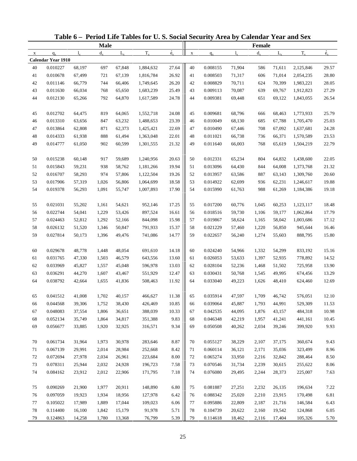|             |                           |        |             |             | Table 6 - Period Life Tables for U.S. Social Security Area by Calendar Year and Sex |                          |             |          |             |             |             |           |             |
|-------------|---------------------------|--------|-------------|-------------|-------------------------------------------------------------------------------------|--------------------------|-------------|----------|-------------|-------------|-------------|-----------|-------------|
|             |                           |        | <b>Male</b> |             |                                                                                     |                          |             |          |             | Female      |             |           |             |
| $\mathbf X$ | $q_{x}$                   | 1.     | $d_{\rm v}$ | $L_{\rm v}$ | $T_{x}$                                                                             | $\overset{\circ}{e}_{x}$ | $\mathbf X$ | $q_{x}$  | $l_{\rm v}$ | $d_{\rm v}$ | $L_{\rm v}$ | $T_{x}$   | $\dot{e}_x$ |
|             | <b>Calendar Year 1910</b> |        |             |             |                                                                                     |                          |             |          |             |             |             |           |             |
| 40          | 0.010227                  | 68,197 | 697         | 67,848      | 1,884,632                                                                           | 27.64                    | 40          | 0.008155 | 71,904      | 586         | 71,611      | 2,125,846 | 29.57       |
| 41          | 0.010678                  | 67,499 | 721         | 67,139      | 1,816,784                                                                           | 26.92                    | 41          | 0.008503 | 71,317      | 606         | 71,014      | 2,054,235 | 28.80       |
| 42          | 0.011146                  | 66,779 | 744         | 66,406      | 1,749,645                                                                           | 26.20                    | 42          | 0.008829 | 70,711      | 624         | 70,399      | 1,983,221 | 28.05       |
| 43          | 0.011630                  | 66,034 | 768         | 65,650      | 1,683,239                                                                           | 25.49                    | 43          | 0.009113 | 70,087      | 639         | 69,767      | 1,912,823 | 27.29       |
| 44          | 0.012130                  | 65,266 | 792         | 64,870      | 1,617,589                                                                           | 24.78                    | 44          | 0.009381 | 69,448      | 651         | 69,122      | 1,843,055 | 26.54       |
| 45          | 0.012702                  | 64,475 | 819         | 64,065      | 1,552,718                                                                           | 24.08                    | 45          | 0.009681 | 68,796      | 666         | 68,463      | 1,773,933 | 25.79       |
| 46          | 0.013310                  | 63,656 | 847         | 63,232      | 1,488,653                                                                           | 23.39                    | 46          | 0.010049 | 68,130      | 685         | 67,788      | 1,705,470 | 25.03       |
| 47          | 0.013864                  | 62,808 | 871         | 62,373      | 1,425,421                                                                           | 22.69                    | 47          | 0.010490 | 67,446      | 708         | 67,092      | 1,637,681 | 24.28       |
| 48          | 0.014333                  | 61,938 | 888         | 61,494      | 1,363,048                                                                           | 22.01                    | 48          | 0.011021 | 66,738      | 736         | 66,371      | 1,570,589 | 23.53       |
| 49          | 0.014777                  | 61,050 | 902         | 60,599      | 1,301,555                                                                           | 21.32                    | 49          | 0.011640 | 66,003      | 768         | 65,619      | 1,504,219 | 22.79       |
| 50          | 0.015238                  | 60,148 | 917         | 59,689      | 1,240,956                                                                           | 20.63                    | 50          | 0.012331 | 65,234      | 804         | 64,832      | 1,438,600 | 22.05       |
| 51          | 0.015843                  | 59,231 | 938         | 58,762      | 1,181,266                                                                           | 19.94                    | 51          | 0.013096 | 64,430      | 844         | 64,008      | 1,373,768 | 21.32       |
| 52          | 0.016707                  | 58,293 | 974         | 57,806      | 1,122,504                                                                           | 19.26                    | 52          | 0.013957 | 63,586      | 887         | 63,143      | 1,309,760 | 20.60       |
| 53          | 0.017906                  | 57,319 | 1,026       | 56,806      | 1,064,699                                                                           | 18.58                    | 53          | 0.014922 | 62,699      | 936         | 62,231      | 1,246,617 | 19.88       |
| 54          | 0.019378                  | 56,293 | 1,091       | 55,747      | 1,007,893                                                                           | 17.90                    | 54          | 0.015990 | 61,763      | 988         | 61,269      | 1,184,386 | 19.18       |
| 55          | 0.021031                  | 55,202 | 1,161       | 54,621      | 952,146                                                                             | 17.25                    | 55          | 0.017200 | 60,776      | 1,045       | 60,253      | 1,123,117 | 18.48       |
| 56          | 0.022744                  | 54,041 | 1,229       | 53,426      | 897,524                                                                             | 16.61                    | 56          | 0.018516 | 59,730      | 1,106       | 59,177      | 1,062,864 | 17.79       |
| 57          | 0.024463                  | 52,812 | 1,292       | 52,166      | 844,098                                                                             | 15.98                    | 57          | 0.019867 | 58,624      | 1,165       | 58,042      | 1,003,686 | 17.12       |
| 58          | 0.026132                  | 51,520 | 1,346       | 50,847      | 791,933                                                                             | 15.37                    | 58          | 0.021229 | 57,460      | 1,220       | 56,850      | 945,644   | 16.46       |
| 59          | 0.027814                  | 50,173 | 1,396       | 49,476      | 741,086                                                                             | 14.77                    | 59          | 0.022657 | 56,240      | 1,274       | 55,603      | 888,795   | 15.80       |
| 60          | 0.029678                  | 48,778 | 1,448       | 48,054      | 691,610                                                                             | 14.18                    | 60          | 0.024240 | 54,966      | 1,332       | 54,299      | 833,192   | 15.16       |
| 61          | 0.031765                  | 47,330 | 1,503       | 46,579      | 643,556                                                                             | 13.60                    | 61          | 0.026053 | 53,633      | 1,397       | 52,935      | 778,892   | 14.52       |
| 62          | 0.033969                  | 45,827 | 1,557       | 45,048      | 596,978                                                                             | 13.03                    | 62          | 0.028104 | 52,236      | 1,468       | 51,502      | 725,958   | 13.90       |
| 63          | 0.036291                  | 44,270 | 1,607       | 43,467      | 551,929                                                                             | 12.47                    | 63          | 0.030431 | 50,768      | 1,545       | 49,995      | 674,456   | 13.29       |
| 64          | 0.038792                  | 42,664 | 1,655       | 41,836      | 508,463                                                                             | 11.92                    | 64          | 0.033040 | 49,223      | 1,626       | 48,410      | 624,460   | 12.69       |
| 65          | 0.041512                  | 41,008 | 1,702       | 40,157      | 466,627                                                                             | 11.38                    | 65          | 0.035914 | 47,597      | 1,709       | 46,742      | 576,051   | 12.10       |
| 66          | 0.044568                  | 39,306 | 1,752       | 38,430      | 426,469                                                                             | 10.85                    | 66          | 0.039064 | 45,887      | 1,793       | 44,991      | 529,309   | 11.53       |
| 67          | 0.048083                  | 37,554 | 1,806       | 36,651      | 388,039                                                                             | 10.33                    | 67          | 0.042535 | 44,095      | 1,876       | 43,157      | 484,318   | 10.98       |
| 68          | 0.052134                  | 35,749 | 1,864       | 34,817      | 351,388                                                                             | 9.83                     | 68          | 0.046348 | 42,219      | 1,957       | 41,241      | 441,161   | 10.45       |
| 69          | 0.056677                  | 33,885 | 1,920       | 32,925      | 316,571                                                                             | 9.34                     | 69          | 0.050508 | 40,262      | 2,034       | 39,246      | 399,920   | 9.93        |
| 70          | 0.061734                  | 31,964 | 1,973       | 30,978      | 283,646                                                                             | 8.87                     | 70          | 0.055127 | 38,229      | 2,107       | 37,175      | 360,674   | 9.43        |
| 71          | 0.067139                  | 29,991 | 2,014       | 28,984      | 252,668                                                                             | 8.42                     | 71          | 0.060114 | 36,121      | 2,171       | 35,036      | 323,499   | 8.96        |
| 72          | 0.072694                  | 27,978 | 2,034       | 26,961      | 223,684                                                                             | 8.00                     | 72          | 0.065274 | 33,950      | 2,216       | 32,842      | 288,464   | 8.50        |
| 73          | 0.078311                  | 25,944 | 2,032       | 24,928      | 196,723                                                                             | 7.58                     | 73          | 0.070546 | 31,734      | 2,239       | 30,615      | 255,622   | 8.06        |
| 74          | 0.084162                  | 23,912 | 2,012       | 22,906      | 171,795                                                                             | 7.18                     | 74          | 0.076080 | 29,495      | 2,244       | 28,373      | 225,007   | 7.63        |
|             |                           |        |             |             |                                                                                     |                          |             |          |             |             |             |           |             |
| 75          | 0.090269                  | 21,900 | 1,977       | 20,911      | 148,890                                                                             | 6.80                     | 75          | 0.081887 | 27,251      | 2,232       | 26,135      | 196,634   | 7.22        |
| 76          | 0.097059                  | 19,923 | 1,934       | 18,956      | 127,978                                                                             | 6.42                     | 76          | 0.088342 | 25,020      | 2,210       | 23,915      | 170,498   | 6.81        |
| 77          | 0.105022                  | 17,989 | 1,889       | 17,044      | 109,023                                                                             | 6.06                     | 77          | 0.095886 | 22,809      | 2,187       | 21,716      | 146,584   | 6.43        |
| 78          | 0.114400                  | 16,100 | 1,842       | 15,179      | 91,978                                                                              | 5.71                     | 78          | 0.104739 | 20,622      | 2,160       | 19,542      | 124,868   | 6.05        |
| 79          | 0.124863                  | 14,258 | 1,780       | 13,368      | 76,799                                                                              | 5.39                     | 79          | 0.114618 | 18,462      | 2,116       | 17,404      | 105,326   | 5.70        |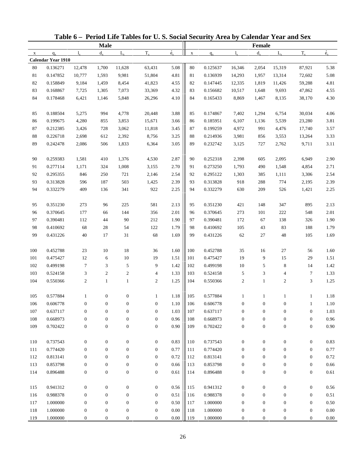| Table 6 - Period Life Tables for U.S. Social Security Area by Calendar Year and Sex<br><b>Male</b><br>Female<br>$\overset{\circ}{e}_{x}$<br>$T_{x}$<br>$d_{x}$<br>$T_{x}$<br>$d_{\rm v}$<br>$L_{\rm v}$<br>$L_{\rm v}$<br>$1_{\rm v}$<br>$l_{\rm v}$<br>$q_{x}$<br>$\mathbf X$<br>$\mathbf{x}$<br>$q_{x}$<br>Calendar Year 1910 |          |                  |                  |                  |                  |          |     |          |                  |                  |                  |                  |             |
|---------------------------------------------------------------------------------------------------------------------------------------------------------------------------------------------------------------------------------------------------------------------------------------------------------------------------------|----------|------------------|------------------|------------------|------------------|----------|-----|----------|------------------|------------------|------------------|------------------|-------------|
|                                                                                                                                                                                                                                                                                                                                 |          |                  |                  |                  |                  |          |     |          |                  |                  |                  |                  |             |
|                                                                                                                                                                                                                                                                                                                                 |          |                  |                  |                  |                  |          |     |          |                  |                  |                  |                  | $\dot{e}_x$ |
|                                                                                                                                                                                                                                                                                                                                 |          |                  |                  |                  |                  |          |     |          |                  |                  |                  |                  |             |
| 80                                                                                                                                                                                                                                                                                                                              | 0.136271 | 12,478           | 1,700            | 11,628           | 63,431           | 5.08     | 80  | 0.125637 | 16,346           | 2,054            | 15,319           | 87,921           | 5.38        |
| 81                                                                                                                                                                                                                                                                                                                              | 0.147852 | 10,777           | 1,593            | 9,981            | 51,804           | 4.81     | 81  | 0.136939 | 14,293           | 1,957            | 13,314           | 72,602           | 5.08        |
| 82                                                                                                                                                                                                                                                                                                                              | 0.158849 | 9,184            | 1,459            | 8,454            | 41,823           | 4.55     | 82  | 0.147445 | 12,335           | 1,819            | 11,426           | 59,288           | 4.81        |
| 83                                                                                                                                                                                                                                                                                                                              | 0.168867 | 7,725            | 1,305            | 7,073            | 33,369           | 4.32     | 83  | 0.156682 | 10,517           | 1,648            | 9,693            | 47,862           | 4.55        |
| 84                                                                                                                                                                                                                                                                                                                              | 0.178468 | 6,421            | 1,146            | 5,848            | 26,296           | 4.10     | 84  | 0.165433 | 8,869            | 1,467            | 8,135            | 38,170           | 4.30        |
| 85                                                                                                                                                                                                                                                                                                                              | 0.188504 | 5,275            | 994              | 4,778            | 20,448           | 3.88     | 85  | 0.174867 | 7,402            | 1,294            | 6,754            | 30,034           | 4.06        |
| 86                                                                                                                                                                                                                                                                                                                              | 0.199675 | 4,280            | 855              | 3,853            | 15,671           | 3.66     | 86  | 0.185951 | 6,107            | 1,136            | 5,539            | 23,280           | 3.81        |
| 87                                                                                                                                                                                                                                                                                                                              | 0.212385 | 3,426            | 728              | 3,062            | 11,818           | 3.45     | 87  | 0.199259 | 4,972            | 991              | 4,476            | 17,740           | 3.57        |
| $88\,$                                                                                                                                                                                                                                                                                                                          | 0.226718 | 2,698            | 612              | 2,392            | 8,756            | 3.25     | 88  | 0.214936 | 3,981            | 856              | 3,553            | 13,264           | 3.33        |
| 89                                                                                                                                                                                                                                                                                                                              | 0.242478 | 2,086            | 506              | 1,833            | 6,364            | 3.05     | 89  | 0.232742 | 3,125            | 727              | 2,762            | 9,711            | 3.11        |
| 90                                                                                                                                                                                                                                                                                                                              | 0.259383 | 1,581            | 410              | 1,376            | 4,530            | 2.87     | 90  | 0.252318 | 2,398            | 605              | 2,095            | 6,949            | 2.90        |
| 91                                                                                                                                                                                                                                                                                                                              | 0.277114 | 1,171            | 324              | 1,008            | 3,155            | 2.70     | 91  | 0.273250 | 1,793            | 490              | 1,548            | 4,854            | 2.71        |
| 92                                                                                                                                                                                                                                                                                                                              | 0.295355 | 846              | 250              | 721              | 2,146            | 2.54     | 92  | 0.295122 | 1,303            | 385              | 1,111            | 3,306            | 2.54        |
| 93                                                                                                                                                                                                                                                                                                                              | 0.313828 | 596              | 187              | 503              | 1,425            | 2.39     | 93  | 0.313828 | 918              | 288              | 774              | 2,195            | 2.39        |
| 94                                                                                                                                                                                                                                                                                                                              | 0.332279 | 409              | 136              | 341              | 922              | 2.25     | 94  | 0.332279 | 630              | 209              | 526              | 1,421            | 2.25        |
| 95                                                                                                                                                                                                                                                                                                                              | 0.351230 | 273              | 96               | 225              | 581              | 2.13     | 95  | 0.351230 | 421              | 148              | 347              | 895              | 2.13        |
| 96                                                                                                                                                                                                                                                                                                                              | 0.370645 | 177              | 66               | 144              | 356              | 2.01     | 96  | 0.370645 | 273              | 101              | 222              | 548              | 2.01        |
| 97                                                                                                                                                                                                                                                                                                                              | 0.390481 | 112              | 44               | 90               | 212              | 1.90     | 97  | 0.390481 | 172              | 67               | 138              | 326              | 1.90        |
| 98                                                                                                                                                                                                                                                                                                                              | 0.410692 | 68               | 28               | 54               | 122              | 1.79     | 98  | 0.410692 | 105              | 43               | 83               | 188              | 1.79        |
| 99                                                                                                                                                                                                                                                                                                                              | 0.431226 | 40               | 17               | 31               | 68               | 1.69     | 99  | 0.431226 | 62               | 27               | 48               | 105              | 1.69        |
| 100                                                                                                                                                                                                                                                                                                                             | 0.452788 | 23               | 10               | 18               | 36               | 1.60     | 100 | 0.452788 | 35               | 16               | 27               | 56               | 1.60        |
| 101                                                                                                                                                                                                                                                                                                                             | 0.475427 | 12               | 6                | $10\,$           | 19               | 1.51     | 101 | 0.475427 | 19               | 9                | 15               | 29               | 1.51        |
| 102                                                                                                                                                                                                                                                                                                                             | 0.499198 | $\tau$           | 3                | 5                | 9                | 1.42     | 102 | 0.499198 | $10\,$           | 5                | 8                | 14               | 1.42        |
| 103                                                                                                                                                                                                                                                                                                                             | 0.524158 | 3                | $\boldsymbol{2}$ | 2                | 4                | 1.33     | 103 | 0.524158 | 5                | 3                | 4                | 7                | 1.33        |
| 104                                                                                                                                                                                                                                                                                                                             | 0.550366 | $\boldsymbol{2}$ | $\mathbf{1}$     | $\mathbf{1}$     | 2                | 1.25     | 104 | 0.550366 | $\boldsymbol{2}$ | $\mathbf{1}$     | $\overline{c}$   | 3                | 1.25        |
|                                                                                                                                                                                                                                                                                                                                 |          |                  |                  |                  |                  |          |     |          |                  |                  |                  |                  |             |
| 105                                                                                                                                                                                                                                                                                                                             | 0.577884 |                  | $\boldsymbol{0}$ | 0                | 1                | $1.18\,$ | 105 | 0.577884 |                  |                  |                  | $\perp$          | 1.18        |
| 106                                                                                                                                                                                                                                                                                                                             | 0.606778 | $\boldsymbol{0}$ | $\boldsymbol{0}$ | $\boldsymbol{0}$ | $\boldsymbol{0}$ | 1.10     | 106 | 0.606778 | $\boldsymbol{0}$ | $\boldsymbol{0}$ | 0                | $\mathbf{1}$     | 1.10        |
| 107                                                                                                                                                                                                                                                                                                                             | 0.637117 | $\boldsymbol{0}$ | $\boldsymbol{0}$ | $\boldsymbol{0}$ | $\boldsymbol{0}$ | 1.03     | 107 | 0.637117 | $\boldsymbol{0}$ | $\boldsymbol{0}$ | $\boldsymbol{0}$ | $\boldsymbol{0}$ | 1.03        |
| 108                                                                                                                                                                                                                                                                                                                             | 0.668973 | $\boldsymbol{0}$ | $\mathbf{0}$     | $\boldsymbol{0}$ | $\boldsymbol{0}$ | 0.96     | 108 | 0.668973 | $\boldsymbol{0}$ | $\boldsymbol{0}$ | $\boldsymbol{0}$ | $\boldsymbol{0}$ | 0.96        |
| 109                                                                                                                                                                                                                                                                                                                             | 0.702422 | $\boldsymbol{0}$ | $\boldsymbol{0}$ | $\boldsymbol{0}$ | $\mathbf{0}$     | 0.90     | 109 | 0.702422 | $\boldsymbol{0}$ | $\boldsymbol{0}$ | $\boldsymbol{0}$ | $\boldsymbol{0}$ | 0.90        |
| 110                                                                                                                                                                                                                                                                                                                             | 0.737543 | $\boldsymbol{0}$ | $\boldsymbol{0}$ | $\boldsymbol{0}$ | $\boldsymbol{0}$ | 0.83     | 110 | 0.737543 | $\boldsymbol{0}$ | $\boldsymbol{0}$ | $\boldsymbol{0}$ | $\boldsymbol{0}$ | 0.83        |
| 111                                                                                                                                                                                                                                                                                                                             | 0.774420 | $\boldsymbol{0}$ | $\mathbf{0}$     | $\boldsymbol{0}$ | $\mathbf{0}$     | 0.77     | 111 | 0.774420 | $\boldsymbol{0}$ | $\boldsymbol{0}$ | $\boldsymbol{0}$ | $\boldsymbol{0}$ | 0.77        |
| 112                                                                                                                                                                                                                                                                                                                             | 0.813141 | $\boldsymbol{0}$ | $\boldsymbol{0}$ | $\boldsymbol{0}$ | $\mathbf{0}$     | 0.72     | 112 | 0.813141 | $\mathbf{0}$     | $\boldsymbol{0}$ | 0                | $\boldsymbol{0}$ | 0.72        |
| 113                                                                                                                                                                                                                                                                                                                             | 0.853798 | $\boldsymbol{0}$ | $\boldsymbol{0}$ | $\boldsymbol{0}$ | $\boldsymbol{0}$ | 0.66     | 113 | 0.853798 | $\boldsymbol{0}$ | $\boldsymbol{0}$ | $\boldsymbol{0}$ | $\boldsymbol{0}$ | $0.66\,$    |
| 114                                                                                                                                                                                                                                                                                                                             | 0.896488 | $\boldsymbol{0}$ | $\boldsymbol{0}$ | $\boldsymbol{0}$ | $\boldsymbol{0}$ | 0.61     | 114 | 0.896488 | $\boldsymbol{0}$ | $\boldsymbol{0}$ | $\boldsymbol{0}$ | $\boldsymbol{0}$ | 0.61        |
| 115                                                                                                                                                                                                                                                                                                                             | 0.941312 | $\boldsymbol{0}$ | $\boldsymbol{0}$ | $\boldsymbol{0}$ | $\boldsymbol{0}$ | 0.56     | 115 | 0.941312 | $\boldsymbol{0}$ | $\boldsymbol{0}$ | $\boldsymbol{0}$ | $\boldsymbol{0}$ | 0.56        |
| 116                                                                                                                                                                                                                                                                                                                             | 0.988378 | $\boldsymbol{0}$ | $\mathbf{0}$     | $\boldsymbol{0}$ | $\boldsymbol{0}$ | 0.51     | 116 | 0.988378 | $\boldsymbol{0}$ | $\boldsymbol{0}$ | $\boldsymbol{0}$ | $\boldsymbol{0}$ | 0.51        |
| 117                                                                                                                                                                                                                                                                                                                             | 1.000000 | $\boldsymbol{0}$ | $\boldsymbol{0}$ | $\boldsymbol{0}$ | $\boldsymbol{0}$ | 0.50     | 117 | 1.000000 | $\boldsymbol{0}$ | $\boldsymbol{0}$ | $\boldsymbol{0}$ | $\boldsymbol{0}$ | 0.50        |
| 118                                                                                                                                                                                                                                                                                                                             | 1.000000 | $\boldsymbol{0}$ | $\boldsymbol{0}$ | $\boldsymbol{0}$ | $\boldsymbol{0}$ | $0.00\,$ | 118 | 1.000000 | $\boldsymbol{0}$ | $\boldsymbol{0}$ | $\boldsymbol{0}$ | $\boldsymbol{0}$ | $0.00\,$    |
| 119                                                                                                                                                                                                                                                                                                                             | 1.000000 | $\boldsymbol{0}$ | $\boldsymbol{0}$ | $\boldsymbol{0}$ | $\boldsymbol{0}$ | $0.00\,$ | 119 | 1.000000 | $\boldsymbol{0}$ | $\boldsymbol{0}$ | $\boldsymbol{0}$ | $\boldsymbol{0}$ | 0.00        |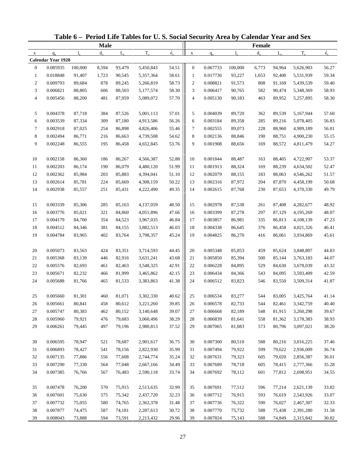|                |                           |         |             |             | Table 6 - Period Life Tables for U.S. Social Security Area by Calendar Year and Sex |             |                  |          |             |         |             |           |             |
|----------------|---------------------------|---------|-------------|-------------|-------------------------------------------------------------------------------------|-------------|------------------|----------|-------------|---------|-------------|-----------|-------------|
|                |                           |         | <b>Male</b> |             |                                                                                     |             |                  |          |             | Female  |             |           |             |
| $\mathbf X$    | $q_{x}$                   | 1.      | $d_{\rm v}$ | $L_{\rm v}$ | $T_{x}$                                                                             | $\dot{e}_x$ | $\mathbf X$      | $q_{x}$  | $l_{\rm x}$ | $d_{x}$ | $L_{\rm v}$ | $T_{x}$   | $\dot{e}_x$ |
|                | <b>Calendar Year 1920</b> |         |             |             |                                                                                     |             |                  |          |             |         |             |           |             |
| $\mathbf{0}$   | 0.085935                  | 100,000 | 8,594       | 93,479      | 5,450,843                                                                           | 54.51       | $\boldsymbol{0}$ | 0.067733 | 100,000     | 6,773   | 94,964      | 5,626,903 | 56.27       |
| $\mathbf{1}$   | 0.018848                  | 91,407  | 1,723       | 90,545      | 5,357,364                                                                           | 58.61       | $\mathbf{1}$     | 0.017736 | 93,227      | 1,653   | 92,400      | 5,531,939 | 59.34       |
| $\overline{c}$ | 0.009793                  | 89,684  | 878         | 89,245      | 5,266,819                                                                           | 58.73       | $\overline{c}$   | 0.008821 | 91,573      | 808     | 91,169      | 5,439,539 | 59.40       |
| 3              | 0.006821                  | 88,805  | 606         | 88,503      | 5,177,574                                                                           | 58.30       | 3                | 0.006417 | 90,765      | 582     | 90,474      | 5,348,369 | 58.93       |
| $\overline{4}$ | 0.005456                  | 88,200  | 481         | 87,959      | 5,089,072                                                                           | 57.70       | $\overline{4}$   | 0.005130 | 90,183      | 463     | 89,952      | 5,257,895 | 58.30       |
| 5              | 0.004378                  | 87,718  | 384         | 87,526      | 5,001,113                                                                           | 57.01       | 5                | 0.004039 | 89,720      | 362     | 89,539      | 5,167,944 | 57.60       |
| 6              | 0.003539                  | 87,334  | 309         | 87,180      | 4,913,586                                                                           | 56.26       | 6                | 0.003184 | 89,358      | 285     | 89,216      | 5,078,405 | 56.83       |
| $\tau$         | 0.002918                  | 87,025  | 254         | 86,898      | 4,826,406                                                                           | 55.46       | 7                | 0.002555 | 89,073      | 228     | 88,960      | 4,989,189 | 56.01       |
| $\,8\,$        | 0.002494                  | 86,771  | 216         | 86,663      | 4,739,508                                                                           | 54.62       | 8                | 0.002136 | 88,846      | 190     | 88,751      | 4,900,230 | 55.15       |
| 9              | 0.002248                  | 86,555  | 195         | 86,458      | 4,652,845                                                                           | 53.76       | 9                | 0.001908 | 88,656      | 169     | 88,572      | 4,811,479 | 54.27       |
| 10             | 0.002158                  | 86,360  | 186         | 86,267      | 4,566,387                                                                           | 52.88       | 10               | 0.001844 | 88,487      | 163     | 88,405      | 4,722,907 | 53.37       |
| 11             | 0.002203                  | 86,174  | 190         | 86,079      | 4,480,120                                                                           | 51.99       | 11               | 0.001913 | 88,324      | 169     | 88,239      | 4,634,502 | 52.47       |
| 12             | 0.002362                  | 85,984  | 203         | 85,883      | 4,394,041                                                                           | $51.10\,$   | 12               | 0.002079 | 88,155      | 183     | 88,063      | 4,546,262 | 51.57       |
| 13             | 0.002614                  | 85,781  | 224         | 85,669      | 4,308,159                                                                           | 50.22       | 13               | 0.002316 | 87,972      | 204     | 87,870      | 4,458,199 | 50.68       |
| 14             | 0.002938                  | 85,557  | 251         | 85,431      | 4,222,490                                                                           | 49.35       | 14               | 0.002615 | 87,768      | 230     | 87,653      | 4,370,330 | 49.79       |
| 15             | 0.003339                  | 85,306  | 285         | 85,163      | 4,137,059                                                                           | 48.50       | 15               | 0.002978 | 87,538      | 261     | 87,408      | 4,282,677 | 48.92       |
| 16             | 0.003776                  | 85,021  | 321         | 84,860      | 4,051,896                                                                           | 47.66       | 16               | 0.003399 | 87,278      | 297     | 87,129      | 4,195,269 | 48.07       |
| 17             | 0.004179                  | 84,700  | 354         | 84,523      | 3,967,035                                                                           | 46.84       | 17               | 0.003857 | 86,981      | 335     | 86,813      | 4,108,139 | 47.23       |
| 18             | 0.004512                  | 84,346  | 381         | 84,155      | 3,882,513                                                                           | 46.03       | 18               | 0.004338 | 86,645      | 376     | 86,458      | 4,021,326 | 46.41       |
| 19             | 0.004784                  | 83,965  | 402         | 83,764      | 3,798,357                                                                           | 45.24       | 19               | 0.004825 | 86,270      | 416     | 86,061      | 3,934,869 | 45.61       |
| 20             | 0.005073                  | 83,563  | 424         | 83,351      | 3,714,593                                                                           | 44.45       | 20               | 0.005348 | 85,853      | 459     | 85,624      | 3,848,807 | 44.83       |
| 21             | 0.005368                  | 83,139  | 446         | 82,916      | 3,631,241                                                                           | 43.68       | 21               | 0.005850 | 85,394      | 500     | 85,144      | 3,763,183 | 44.07       |
| 22             | 0.005576                  | 82,693  | 461         | 82,463      | 3,548,325                                                                           | 42.91       | 22               | 0.006228 | 84,895      | 529     | 84,630      | 3,678,039 | 43.32       |
| 23             | 0.005671                  | 82,232  | 466         | 81,999      | 3,465,862                                                                           | 42.15       | 23               | 0.006434 | 84,366      | 543     | 84,095      | 3,593,409 | 42.59       |
| 24             | 0.005688                  | 81,766  | 465         | 81,533      | 3,383,863                                                                           | 41.38       | 24               | 0.006512 | 83,823      | 546     | 83,550      | 3,509,314 | 41.87       |
| 25             | 0.005660                  | 81,301  | 460         | 81,071      | 3,302,330                                                                           | 40.62       | 25               | 0.006534 | 83,277      | 544     | 83,005      | 3,425,764 | 41.14       |
| 26             | 0.005661                  | 80,841  | 458         | 80,612      | 3,221,260                                                                           | 39.85       | 26               | 0.006578 | 82,733      | 544     | 82,461      | 3,342,759 | 40.40       |
| 27             | 0.005747                  | 80,383  | 462         | 80,152      | 3,140,648                                                                           | 39.07       | 27               | 0.006668 | 82,189      | 548     | 81,915      | 3,260,298 | 39.67       |
| 28             | 0.005960                  | 79,921  | 476         | 79,683      | 3,060,496                                                                           | 38.29       | 28               | 0.006839 | 81,641      | 558     | 81,362      | 3,178,383 | 38.93       |
| 29             | 0.006261                  | 79,445  | 497         | 79,196      | 2,980,813                                                                           | 37.52       | 29               | 0.007065 | 81,083      | 573     | 80,796      | 3,097,021 | 38.20       |
| 30             | 0.006595                  | 78,947  | 521         | 78,687      | 2,901,617                                                                           | 36.75       | 30               | 0.007300 | 80,510      | 588     | 80,216      | 3,016,225 | 37.46       |
| 31             | 0.006893                  | 78,427  | 541         | 78,156      | 2,822,930                                                                           | 35.99       | 31               | 0.007494 | 79,922      | 599     | 79,622      | 2,936,009 | 36.74       |
| 32             | 0.007135                  | 77,886  | 556         | 77,608      | 2,744,774                                                                           | 35.24       | 32               | 0.007631 | 79,323      | 605     | 79,020      | 2,856,387 | 36.01       |
| 33             | 0.007290                  | 77,330  | 564         | 77,048      | 2,667,166                                                                           | 34.49       | 33               | 0.007689 | 78,718      | 605     | 78,415      | 2,777,366 | 35.28       |
| 34             | 0.007385                  | 76,766  | 567         | 76,483      | 2,590,118                                                                           | 33.74       | 34               | 0.007692 | 78,112      | 601     | 77,812      | 2,698,951 | 34.55       |
|                |                           |         |             |             |                                                                                     |             |                  |          |             |         |             |           |             |
| 35             | 0.007478                  | 76,200  | 570         | 75,915      | 2,513,635                                                                           | 32.99       | 35               | 0.007691 | 77,512      | 596     | 77,214      | 2,621,139 | 33.82       |
| 36             | 0.007601                  | 75,630  | 575         | 75,342      | 2,437,720                                                                           | 32.23       | 36               | 0.007712 | 76,915      | 593     | 76,619      | 2,543,926 | 33.07       |
| 37             | 0.007732                  | 75,055  | 580         | 74,765      | 2,362,378                                                                           | 31.48       | 37               | 0.007736 | 76,322      | 590     | 76,027      | 2,467,307 | 32.33       |
| 38             | 0.007877                  | 74,475  | 587         | 74,181      | 2,287,613                                                                           | 30.72       | 38               | 0.007770 | 75,732      | 588     | 75,438      | 2,391,280 | 31.58       |
| 39             | 0.008043                  | 73,888  | 594         | 73,591      | 2,213,432                                                                           | 29.96       | 39               | 0.007824 | 75,143      | 588     | 74,849      | 2,315,842 | 30.82       |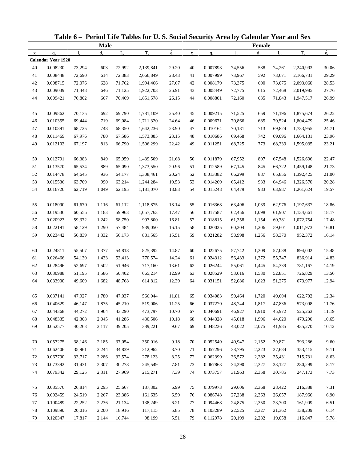|             |                           |        |             |             | Table 6 - Period Life Tables for U.S. Social Security Area by Calendar Year and Sex |                          |             |          |             |         |             |           |             |
|-------------|---------------------------|--------|-------------|-------------|-------------------------------------------------------------------------------------|--------------------------|-------------|----------|-------------|---------|-------------|-----------|-------------|
|             |                           |        | <b>Male</b> |             |                                                                                     |                          |             |          |             | Female  |             |           |             |
| $\mathbf X$ | $q_{x}$                   | 1.     | $d_{\rm v}$ | $L_{\rm v}$ | $T_{x}$                                                                             | $\overset{\circ}{e}_{x}$ | $\mathbf X$ | $q_{x}$  | $l_{\rm v}$ | $d_{x}$ | $L_{\rm v}$ | $T_{x}$   | $\dot{e}_x$ |
|             | <b>Calendar Year 1920</b> |        |             |             |                                                                                     |                          |             |          |             |         |             |           |             |
| 40          | 0.008230                  | 73,294 | 603         | 72,992      | 2,139,841                                                                           | 29.20                    | 40          | 0.007893 | 74,556      | 588     | 74,261      | 2,240,993 | 30.06       |
| 41          | 0.008448                  | 72,690 | 614         | 72,383      | 2,066,849                                                                           | 28.43                    | 41          | 0.007999 | 73,967      | 592     | 73,671      | 2,166,731 | 29.29       |
| 42          | 0.008715                  | 72,076 | 628         | 71,762      | 1,994,466                                                                           | 27.67                    | 42          | 0.008179 | 73,375      | 600     | 73,075      | 2,093,060 | 28.53       |
| 43          | 0.009039                  | 71,448 | 646         | 71,125      | 1,922,703                                                                           | 26.91                    | 43          | 0.008449 | 72,775      | 615     | 72,468      | 2,019,985 | 27.76       |
| 44          | 0.009421                  | 70,802 | 667         | 70,469      | 1,851,578                                                                           | 26.15                    | 44          | 0.008801 | 72,160      | 635     | 71,843      | 1,947,517 | 26.99       |
| 45          | 0.009862                  | 70,135 | 692         | 69,790      | 1,781,109                                                                           | 25.40                    | 45          | 0.009215 | 71,525      | 659     | 71,196      | 1,875,674 | 26.22       |
| 46          | 0.010355                  | 69,444 | 719         | 69,084      | 1,711,320                                                                           | 24.64                    | 46          | 0.009671 | 70,866      | 685     | 70,524      | 1,804,479 | 25.46       |
| 47          | 0.010891                  | 68,725 | 748         | 68,350      | 1,642,236                                                                           | 23.90                    | 47          | 0.010164 | 70,181      | 713     | 69,824      | 1,733,955 | 24.71       |
| 48          | 0.011469                  | 67,976 | 780         | 67,586      | 1,573,885                                                                           | 23.15                    | 48          | 0.010686 | 69,468      | 742     | 69,096      | 1,664,131 | 23.96       |
| 49          | 0.012102                  | 67,197 | 813         | 66,790      | 1,506,299                                                                           | 22.42                    | 49          | 0.011251 | 68,725      | 773     | 68,339      | 1,595,035 | 23.21       |
| 50          | 0.012791                  | 66,383 | 849         | 65,959      | 1,439,509                                                                           | 21.68                    | 50          | 0.011879 | 67,952      | 807     | 67,548      | 1,526,696 | 22.47       |
| 51          | 0.013570                  | 65,534 | 889         | 65,090      | 1,373,550                                                                           | 20.96                    | 51          | 0.012589 | 67,145      | 845     | 66,722      | 1,459,148 | 21.73       |
| 52          | 0.014478                  | 64,645 | 936         | 64,177      | 1,308,461                                                                           | 20.24                    | 52          | 0.013382 | 66,299      | 887     | 65,856      | 1,392,425 | 21.00       |
| 53          | 0.015536                  | 63,709 | 990         | 63,214      | 1,244,284                                                                           | 19.53                    | 53          | 0.014269 | 65,412      | 933     | 64,946      | 1,326,570 | 20.28       |
| 54          | 0.016726                  | 62,719 | 1,049       | 62,195      | 1,181,070                                                                           | 18.83                    | 54          | 0.015248 | 64,479      | 983     | 63,987      | 1,261,624 | 19.57       |
| 55          | 0.018090                  | 61,670 | 1,116       | 61,112      | 1,118,875                                                                           | 18.14                    | 55          | 0.016368 | 63,496      | 1,039   | 62,976      | 1,197,637 | 18.86       |
| 56          | 0.019536                  | 60,555 | 1,183       | 59,963      | 1,057,763                                                                           | 17.47                    | 56          | 0.017587 | 62,456      | 1,098   | 61,907      | 1,134,661 | 18.17       |
| 57          | 0.020923                  | 59,372 | 1,242       | 58,750      | 997,800                                                                             | 16.81                    | 57          | 0.018815 | 61,358      | 1,154   | 60,781      | 1,072,754 | 17.48       |
| 58          | 0.022191                  | 58,129 | 1,290       | 57,484      | 939,050                                                                             | 16.15                    | 58          | 0.020025 | 60,204      | 1,206   | 59,601      | 1,011,973 | 16.81       |
| 59          | 0.023442                  | 56,839 | 1,332       | 56,173      | 881,565                                                                             | 15.51                    | 59          | 0.021282 | 58,998      | 1,256   | 58,370      | 952,372   | 16.14       |
|             |                           |        |             |             |                                                                                     |                          |             |          |             |         |             |           |             |
| 60          | 0.024811                  | 55,507 | 1,377       | 54,818      | 825,392                                                                             | 14.87                    | 60          | 0.022675 | 57,742      | 1,309   | 57,088      | 894,002   | 15.48       |
| 61          | 0.026466                  | 54,130 | 1,433       | 53,413      | 770,574                                                                             | 14.24                    | 61          | 0.024312 | 56,433      | 1,372   | 55,747      | 836,914   | 14.83       |
| 62          | 0.028496                  | 52,697 | 1,502       | 51,946      | 717,160                                                                             | 13.61                    | 62          | 0.026244 | 55,061      | 1,445   | 54,339      | 781,167   | 14.19       |
| 63          | 0.030988                  | 51,195 | 1,586       | 50,402      | 665,214                                                                             | 12.99                    | 63          | 0.028529 | 53,616      | 1,530   | 52,851      | 726,829   | 13.56       |
| 64          | 0.033900                  | 49,609 | 1,682       | 48,768      | 614,812                                                                             | 12.39                    | 64          | 0.031151 | 52,086      | 1,623   | 51,275      | 673,977   | 12.94       |
| 65          | 0.037141                  | 47,927 | 1,780       | 47,037      | 566,044                                                                             | 11.81                    | 65          | 0.034083 | 50,464      | 1,720   | 49,604      | 622,702   | 12.34       |
| 66          | 0.040629                  | 46,147 | 1,875       | 45,210      | 519,006                                                                             | 11.25                    | 66          | 0.037270 | 48,744      | 1,817   | 47,836      | 573,098   | 11.76       |
| 67          | 0.044368                  | 44,272 | 1,964       | 43,290      | 473,797                                                                             | 10.70                    | 67          | 0.040691 | 46,927      | 1,910   | 45,972      | 525,263   | 11.19       |
| 68          | 0.048335                  | 42,308 | 2,045       | 41,286      | 430,506                                                                             | 10.18                    | 68          | 0.044328 | 45,018      | 1,996   | 44,020      | 479,290   | 10.65       |
| 69          | 0.052577                  | 40,263 | 2,117       | 39,205      | 389,221                                                                             | 9.67                     | 69          | 0.048236 | 43,022      | 2,075   | 41,985      | 435,270   | 10.12       |
| 70          | 0.057275                  | 38,146 | 2,185       | 37,054      | 350,016                                                                             | 9.18                     | 70          | 0.052549 | 40,947      | 2,152   | 39,871      | 393,286   | 9.60        |
| 71          | 0.062406                  | 35,961 | 2,244       | 34,839      | 312,962                                                                             | 8.70                     | 71          | 0.057296 | 38,795      | 2,223   | 37,684      | 353,415   | 9.11        |
| 72          | 0.067790                  | 33,717 | 2,286       | 32,574      | 278,123                                                                             | 8.25                     | 72          | 0.062399 | 36,572      | 2,282   | 35,431      | 315,731   | 8.63        |
| 73          | 0.073392                  | 31,431 | 2,307       | 30,278      | 245,549                                                                             | 7.81                     | 73          | 0.067863 | 34,290      | 2,327   | 33,127      | 280,299   | 8.17        |
| 74          | 0.079342                  | 29,125 | 2,311       | 27,969      | 215,271                                                                             | 7.39                     | 74          | 0.073757 | 31,963      | 2,358   | 30,785      | 247,173   | 7.73        |
| 75          | 0.085576                  | 26,814 | 2,295       | 25,667      | 187,302                                                                             | 6.99                     | 75          | 0.079973 | 29,606      | 2,368   | 28,422      | 216,388   | 7.31        |
| 76          | 0.092459                  | 24,519 | 2,267       | 23,386      | 161,635                                                                             | 6.59                     | 76          | 0.086748 | 27,238      | 2,363   | 26,057      | 187,966   | 6.90        |
| 77          | 0.100489                  | 22,252 | 2,236       | 21,134      | 138,249                                                                             | 6.21                     | 77          | 0.094468 | 24,875      | 2,350   | 23,700      | 161,909   | 6.51        |
| 78          | 0.109890                  | 20,016 | 2,200       | 18,916      | 117,115                                                                             | 5.85                     | 78          | 0.103289 | 22,525      | 2,327   | 21,362      | 138,209   | 6.14        |
| 79          | 0.120347                  | 17,817 | 2,144       | 16,744      | 98,199                                                                              | 5.51                     | 79          | 0.112978 | 20,199      | 2,282   | 19,058      | 116,847   | 5.78        |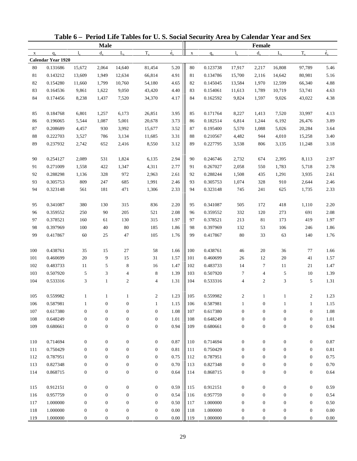|              |                    |                  |                  |                  |                  | Table 6 - Period Life Tables for U.S. Social Security Area by Calendar Year and Sex |             |          |                  |                  |                  |                  |             |
|--------------|--------------------|------------------|------------------|------------------|------------------|-------------------------------------------------------------------------------------|-------------|----------|------------------|------------------|------------------|------------------|-------------|
|              | <b>Male</b>        |                  |                  |                  |                  |                                                                                     | Female      |          |                  |                  |                  |                  |             |
| $\mathbf{x}$ | $q_{x}$            | $l_{\rm v}$      | $d_{\rm v}$      | $L_{\rm v}$      | $T_{x}$          | $\overset{\circ}{e}_{x}$                                                            | $\mathbf X$ | $q_{x}$  | $l_{\rm v}$      | $d_{x}$          | $L_{\rm v}$      | $T_{x}$          | $\dot{e}_x$ |
|              | Calendar Year 1920 |                  |                  |                  |                  |                                                                                     |             |          |                  |                  |                  |                  |             |
| 80           | 0.131686           | 15,672           | 2,064            | 14,640           | 81,454           | 5.20                                                                                | $80\,$      | 0.123738 | 17,917           | 2,217            | 16,808           | 97,789           | 5.46        |
| 81           | 0.143212           | 13,609           | 1,949            | 12,634           | 66,814           | 4.91                                                                                | 81          | 0.134786 | 15,700           | 2,116            | 14,642           | 80,981           | 5.16        |
| 82           | 0.154280           | 11,660           | 1,799            | 10,760           | 54,180           | 4.65                                                                                | 82          | 0.145045 | 13,584           | 1,970            | 12,599           | 66,340           | 4.88        |
| 83           | 0.164536           | 9,861            | 1,622            | 9,050            | 43,420           | 4.40                                                                                | 83          | 0.154061 | 11,613           | 1,789            | 10,719           | 53,741           | 4.63        |
| 84           | 0.174456           | 8,238            | 1,437            | 7,520            | 34,370           | 4.17                                                                                | 84          | 0.162592 | 9,824            | 1,597            | 9,026            | 43,022           | 4.38        |
| 85           | 0.184768           | 6,801            | 1,257            | 6,173            | 26,851           | 3.95                                                                                | 85          | 0.171764 | 8,227            | 1,413            | 7,520            | 33,997           | 4.13        |
| 86           | 0.196065           | 5,544            | 1,087            | 5,001            | 20,678           | 3.73                                                                                | 86          | 0.182514 | 6,814            | 1,244            | 6,192            | 26,476           | 3.89        |
| 87           | 0.208689           | 4,457            | 930              | 3,992            | 15,677           | 3.52                                                                                | 87          | 0.195400 | 5,570            | 1,088            | 5,026            | 20,284           | 3.64        |
| $88\,$       | 0.222703           | 3,527            | 786              | 3,134            | 11,685           | 3.31                                                                                | 88          | 0.210567 | 4,482            | 944              | 4,010            | 15,258           | 3.40        |
| 89           | 0.237932           | 2,742            | 652              | 2,416            | 8,550            | 3.12                                                                                | 89          | 0.227795 | 3,538            | 806              | 3,135            | 11,248           | 3.18        |
| 90           | 0.254127           | 2,089            | 531              | 1,824            | 6,135            | 2.94                                                                                | 90          | 0.246746 | 2,732            | 674              | 2,395            | 8,113            | 2.97        |
| 91           | 0.271009           | 1,558            | 422              | 1,347            | 4,311            | 2.77                                                                                | 91          | 0.267027 | 2,058            | 550              | 1,783            | 5,718            | 2.78        |
| 92           | 0.288298           | 1,136            | 328              | 972              | 2,963            | 2.61                                                                                | 92          | 0.288244 | 1,508            | 435              | 1,291            | 3,935            | 2.61        |
| 93           | 0.305753           | 809              | 247              | 685              | 1,991            | 2.46                                                                                | 93          | 0.305753 | 1,074            | 328              | 910              | 2,644            | 2.46        |
| 94           | 0.323148           | 561              | 181              | 471              | 1,306            | 2.33                                                                                | 94          | 0.323148 | 745              | 241              | 625              | 1,735            | 2.33        |
| 95           | 0.341087           | 380              | 130              | 315              | 836              | 2.20                                                                                | 95          | 0.341087 | 505              | 172              | 418              | 1,110            | 2.20        |
| 96           | 0.359552           | 250              | 90               | 205              | 521              | 2.08                                                                                | 96          | 0.359552 | 332              | 120              | 273              | 691              | 2.08        |
| 97           | 0.378521           | 160              | 61               | 130              | 315              | 1.97                                                                                | 97          | 0.378521 | 213              | 81               | 173              | 419              | 1.97        |
| 98           | 0.397969           | 100              | 40               | 80               | 185              | 1.86                                                                                | 98          | 0.397969 | 132              | 53               | 106              | 246              | 1.86        |
| 99           | 0.417867           | 60               | 25               | 47               | 105              | 1.76                                                                                | 99          | 0.417867 | 80               | 33               | 63               | 140              | 1.76        |
| 100          | 0.438761           | 35               | 15               | 27               | 58               | 1.66                                                                                | 100         | 0.438761 | 46               | 20               | 36               | 77               | 1.66        |
| 101          | 0.460699           | $20\,$           | 9                | 15               | 31               | 1.57                                                                                | 101         | 0.460699 | $26\,$           | 12               | 20               | 41               | 1.57        |
| 102          | 0.483733           | 11               | 5                | 8                | 16               | 1.47                                                                                | 102         | 0.483733 | 14               | 7                | 11               | 21               | 1.47        |
| 103          | 0.507920           | 5                | 3                | 4                | 8                | 1.39                                                                                | 103         | 0.507920 | 7                | $\overline{4}$   | 5                | 10               | 1.39        |
| 104          | 0.533316           | 3                | $\mathbf{1}$     | $\mathbf{2}$     | $\overline{4}$   | 1.31                                                                                | 104         | 0.533316 | 4                | $\mathbf{2}$     | 3                | 5                | 1.31        |
| 105          | 0.559982           |                  |                  |                  |                  | 1.23                                                                                | 105         | 0.559982 |                  |                  |                  | 2                | 1.23        |
| 106          | 0.587981           | 1                | $\boldsymbol{0}$ | $\boldsymbol{0}$ | 2<br>1           | 1.15                                                                                | 106         | 0.587981 | 1                | $\boldsymbol{0}$ | 1                | $\mathbf{1}$     | 1.15        |
| 107          | 0.617380           | $\boldsymbol{0}$ | $\boldsymbol{0}$ | $\boldsymbol{0}$ | $\boldsymbol{0}$ | 1.08                                                                                | 107         | 0.617380 | $\boldsymbol{0}$ | $\boldsymbol{0}$ | $\boldsymbol{0}$ | $\boldsymbol{0}$ | $1.08\,$    |
| 108          | 0.648249           | $\boldsymbol{0}$ | $\mathbf{0}$     | $\boldsymbol{0}$ | $\boldsymbol{0}$ | 1.01                                                                                | 108         | 0.648249 | $\boldsymbol{0}$ | $\boldsymbol{0}$ | $\boldsymbol{0}$ | $\boldsymbol{0}$ | 1.01        |
| 109          | 0.680661           | $\boldsymbol{0}$ | $\boldsymbol{0}$ | $\boldsymbol{0}$ | $\boldsymbol{0}$ | 0.94                                                                                | 109         | 0.680661 | $\boldsymbol{0}$ | $\boldsymbol{0}$ | $\boldsymbol{0}$ | $\boldsymbol{0}$ | 0.94        |
| 110          | 0.714694           | $\boldsymbol{0}$ | $\boldsymbol{0}$ | $\boldsymbol{0}$ | $\boldsymbol{0}$ | 0.87                                                                                | 110         | 0.714694 | $\boldsymbol{0}$ | $\boldsymbol{0}$ | $\boldsymbol{0}$ | $\boldsymbol{0}$ | 0.87        |
| 111          | 0.750429           | $\boldsymbol{0}$ | $\mathbf{0}$     | $\boldsymbol{0}$ | $\mathbf{0}$     | 0.81                                                                                | 111         | 0.750429 | $\boldsymbol{0}$ | $\boldsymbol{0}$ | $\boldsymbol{0}$ | $\boldsymbol{0}$ | 0.81        |
| 112          | 0.787951           | $\boldsymbol{0}$ | $\boldsymbol{0}$ | $\boldsymbol{0}$ | $\mathbf{0}$     | 0.75                                                                                | 112         | 0.787951 | $\mathbf{0}$     | $\boldsymbol{0}$ | $\boldsymbol{0}$ | $\boldsymbol{0}$ | 0.75        |
| 113          | 0.827348           | $\boldsymbol{0}$ | $\boldsymbol{0}$ | $\boldsymbol{0}$ | $\boldsymbol{0}$ | 0.70                                                                                | 113         | 0.827348 | $\boldsymbol{0}$ | $\boldsymbol{0}$ |                  | $\boldsymbol{0}$ | 0.70        |
| 114          | 0.868715           |                  |                  |                  |                  | 0.64                                                                                |             | 0.868715 |                  |                  | $\boldsymbol{0}$ |                  | 0.64        |
|              |                    | $\boldsymbol{0}$ | $\boldsymbol{0}$ | $\boldsymbol{0}$ | $\boldsymbol{0}$ |                                                                                     | 114         |          | $\boldsymbol{0}$ | $\boldsymbol{0}$ | $\boldsymbol{0}$ | $\boldsymbol{0}$ |             |
| 115          | 0.912151           | $\boldsymbol{0}$ | $\boldsymbol{0}$ | $\boldsymbol{0}$ | $\boldsymbol{0}$ | 0.59                                                                                | 115         | 0.912151 | $\boldsymbol{0}$ | $\boldsymbol{0}$ | $\boldsymbol{0}$ | $\boldsymbol{0}$ | 0.59        |
| 116          | 0.957759           | $\boldsymbol{0}$ | $\mathbf{0}$     | $\boldsymbol{0}$ | $\boldsymbol{0}$ | 0.54                                                                                | 116         | 0.957759 | $\boldsymbol{0}$ | $\boldsymbol{0}$ | $\boldsymbol{0}$ | $\boldsymbol{0}$ | 0.54        |
| 117          | 1.000000           | $\boldsymbol{0}$ | $\boldsymbol{0}$ | $\boldsymbol{0}$ | $\boldsymbol{0}$ | 0.50                                                                                | 117         | 1.000000 | $\boldsymbol{0}$ | $\boldsymbol{0}$ | $\boldsymbol{0}$ | $\boldsymbol{0}$ | 0.50        |
| 118          | 1.000000           | $\boldsymbol{0}$ | $\boldsymbol{0}$ | $\boldsymbol{0}$ | $\boldsymbol{0}$ | $0.00\,$                                                                            | 118         | 1.000000 | $\boldsymbol{0}$ | $\boldsymbol{0}$ | $\boldsymbol{0}$ | $\boldsymbol{0}$ | $0.00\,$    |
| 119          | 1.000000           | $\boldsymbol{0}$ | $\boldsymbol{0}$ | $\boldsymbol{0}$ | $\boldsymbol{0}$ | $0.00\,$                                                                            | 119         | 1.000000 | $\boldsymbol{0}$ | $\boldsymbol{0}$ | $\boldsymbol{0}$ | $\boldsymbol{0}$ | 0.00        |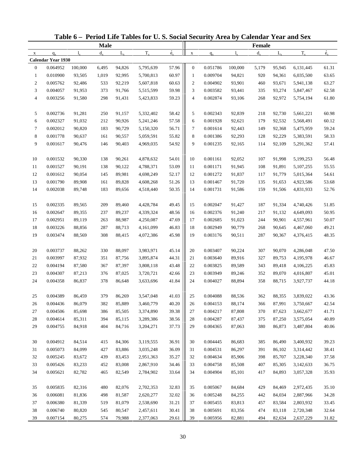|                  |                    |         |             |             | Table 6 - Period Life Tables for U.S. Social Security Area by Calendar Year and Sex |             |                  |          |             |         |             |           |             |
|------------------|--------------------|---------|-------------|-------------|-------------------------------------------------------------------------------------|-------------|------------------|----------|-------------|---------|-------------|-----------|-------------|
|                  |                    |         | <b>Male</b> |             |                                                                                     |             |                  |          |             | Female  |             |           |             |
| $\mathbf X$      | $q_{x}$            | 1.      | $d_{\rm v}$ | $L_{\rm v}$ | $T_{x}$                                                                             | $\dot{e}_x$ | $\mathbf X$      | $q_{x}$  | $l_{\rm x}$ | $d_{x}$ | $L_{\rm v}$ | $T_{x}$   | $\dot{e}_x$ |
|                  | Calendar Year 1930 |         |             |             |                                                                                     |             |                  |          |             |         |             |           |             |
| $\overline{0}$   | 0.064952           | 100,000 | 6,495       | 94,826      | 5,795,639                                                                           | 57.96       | $\boldsymbol{0}$ | 0.051786 | 100,000     | 5,179   | 95,945      | 6,131,445 | 61.31       |
| $\mathbf{1}$     | 0.010900           | 93,505  | 1,019       | 92,995      | 5,700,813                                                                           | 60.97       | 1                | 0.009704 | 94,821      | 920     | 94,361      | 6,035,500 | 63.65       |
| $\boldsymbol{2}$ | 0.005762           | 92,486  | 533         | 92,219      | 5,607,818                                                                           | 60.63       | $\boldsymbol{2}$ | 0.004902 | 93,901      | 460     | 93,671      | 5,941,138 | 63.27       |
| 3                | 0.004057           | 91,953  | 373         | 91,766      | 5,515,599                                                                           | 59.98       | 3                | 0.003582 | 93,441      | 335     | 93,274      | 5,847,467 | 62.58       |
| $\overline{4}$   | 0.003256           | 91,580  | 298         | 91,431      | 5,423,833                                                                           | 59.23       | $\overline{4}$   | 0.002874 | 93,106      | 268     | 92,972      | 5,754,194 | 61.80       |
| 5                | 0.002736           | 91,281  | 250         | 91,157      | 5,332,402                                                                           | 58.42       | 5                | 0.002343 | 92,839      | 218     | 92,730      | 5,661,221 | 60.98       |
| 6                | 0.002327           | 91,032  | 212         | 90,926      | 5,241,246                                                                           | 57.58       | 6                | 0.001928 | 92,621      | 179     | 92,532      | 5,568,491 | 60.12       |
| 7                | 0.002012           | 90,820  | 183         | 90,729      | 5,150,320                                                                           | 56.71       | 7                | 0.001614 | 92,443      | 149     | 92,368      | 5,475,959 | 59.24       |
| $\,8\,$          | 0.001778           | 90,637  | 161         | 90,557      | 5,059,591                                                                           | 55.82       | 8                | 0.001386 | 92,293      | 128     | 92,229      | 5,383,591 | 58.33       |
| 9                | 0.001617           | 90,476  | 146         | 90,403      | 4,969,035                                                                           | 54.92       | 9                | 0.001235 | 92,165      | 114     | 92,109      | 5,291,362 | 57.41       |
| 10               | 0.001532           | 90,330  | 138         | 90,261      | 4,878,632                                                                           | 54.01       | 10               | 0.001161 | 92,052      | 107     | 91,998      | 5,199,253 | 56.48       |
| 11               | 0.001527           | 90,191  | 138         | 90,122      | 4,788,371                                                                           | 53.09       | 11               | 0.001171 | 91,945      | 108     | 91,891      | 5,107,255 | 55.55       |
| 12               | 0.001612           | 90,054  | 145         | 89,981      | 4,698,249                                                                           | 52.17       | 12               | 0.001272 | 91,837      | 117     | 91,779      | 5,015,364 | 54.61       |
| 13               | 0.001790           | 89,908  | 161         | 89,828      | 4,608,268                                                                           | 51.26       | 13               | 0.001467 | 91,720      | 135     | 91,653      | 4,923,586 | 53.68       |
| 14               | 0.002038           | 89,748  | 183         | 89,656      | 4,518,440                                                                           | 50.35       | 14               | 0.001731 | 91,586      | 159     | 91,506      | 4,831,933 | 52.76       |
| 15               | 0.002335           | 89,565  | 209         | 89,460      | 4,428,784                                                                           | 49.45       | 15               | 0.002047 | 91,427      | 187     | 91,334      | 4,740,426 | 51.85       |
| 16               | 0.002647           | 89,355  | 237         | 89,237      | 4,339,324                                                                           | 48.56       | 16               | 0.002376 | 91,240      | 217     | 91,132      | 4,649,093 | 50.95       |
| 17               | 0.002951           | 89,119  | 263         | 88,987      | 4,250,087                                                                           | 47.69       | 17               | 0.002685 | 91,023      | 244     | 90,901      | 4,557,961 | 50.07       |
| 18               | 0.003226           | 88,856  | 287         | 88,713      | 4,161,099                                                                           | 46.83       | 18               | 0.002949 | 90,779      | 268     | 90,645      | 4,467,060 | 49.21       |
| 19               | 0.003474           | 88,569  | 308         | 88,415      | 4,072,386                                                                           | 45.98       | 19               | 0.003176 | 90,511      | 287     | 90,367      | 4,376,415 | 48.35       |
| 20               | 0.003737           | 88,262  | 330         | 88,097      | 3,983,971                                                                           | 45.14       | 20               | 0.003407 | 90,224      | 307     | 90,070      | 4,286,048 | 47.50       |
| 21               | 0.003997           | 87,932  | 351         | 87,756      | 3,895,874                                                                           | 44.31       | 21               | 0.003640 | 89,916      | 327     | 89,753      | 4,195,978 | 46.67       |
| 22               | 0.004194           | 87,580  | 367         | 87,397      | 3,808,118                                                                           | 43.48       | 22               | 0.003825 | 89,589      | 343     | 89,418      | 4,106,225 | 45.83       |
| 23               | 0.004307           | 87,213  | 376         | 87,025      | 3,720,721                                                                           | 42.66       | 23               | 0.003949 | 89,246      | 352     | 89,070      | 4,016,807 | 45.01       |
| 24               | 0.004358           | 86,837  | 378         | 86,648      | 3,633,696                                                                           | 41.84       | 24               | 0.004027 | 88,894      | 358     | 88,715      | 3,927,737 | 44.18       |
| 25               | 0.004389           | 86,459  | 379         | 86,269      | 3,547,048                                                                           | 41.03       | 25               | 0.004088 | 88,536      | 362     | 88,355      | 3,839,022 | 43.36       |
| 26               | 0.004436           | 86,079  | 382         | 85,889      | 3,460,779                                                                           | 40.20       | 26               | 0.004153 | 88,174      | 366     | 87,991      | 3,750,667 | 42.54       |
| 27               | 0.004506           | 85,698  | 386         | 85,505      | 3,374,890                                                                           | 39.38       | 27               | 0.004217 | 87,808      | 370     | 87,623      | 3,662,677 | 41.71       |
| 28               | 0.004614           | 85,311  | 394         | 85,115      | 3,289,386                                                                           | 38.56       | 28               | 0.004287 | 87,437      | 375     | 87,250      | 3,575,054 | 40.89       |
| 29               | 0.004755           | 84,918  | 404         | 84,716      | 3,204,271                                                                           | 37.73       | 29               | 0.004365 | 87,063      | 380     | 86,873      | 3,487,804 | 40.06       |
| 30               | 0.004912           | 84,514  | 415         | 84,306      | 3,119,555                                                                           | 36.91       | 30               | 0.004445 | 86,683      | 385     | 86,490      | 3,400,932 | 39.23       |
| 31               | 0.005073           | 84,099  | 427         | 83,886      | 3,035,248                                                                           | 36.09       | 31               | 0.004531 | 86,297      | 391     | 86,102      | 3,314,442 | 38.41       |
| 32               | 0.005245           | 83,672  | 439         | 83,453      | 2,951,363                                                                           | 35.27       | 32               | 0.004634 | 85,906      | 398     | 85,707      | 3,228,340 | 37.58       |
| 33               | 0.005426           | 83,233  | 452         | 83,008      | 2,867,910                                                                           | 34.46       | 33               | 0.004758 | 85,508      | 407     | 85,305      | 3,142,633 | 36.75       |
| 34               | 0.005621           | 82,782  | 465         | 82,549      | 2,784,902                                                                           | 33.64       | 34               | 0.004904 | 85,101      | 417     | 84,893      | 3,057,328 | 35.93       |
|                  |                    |         |             |             |                                                                                     |             |                  |          |             |         |             |           |             |
| 35               | 0.005835           | 82,316  | 480         | 82,076      | 2,702,353                                                                           | 32.83       | 35               | 0.005067 | 84,684      | 429     | 84,469      | 2,972,435 | 35.10       |
| 36               | 0.006081           | 81,836  | 498         | 81,587      | 2,620,277                                                                           | 32.02       | 36               | 0.005248 | 84,255      | 442     | 84,034      | 2,887,966 | 34.28       |
| 37               | 0.006380           | 81,339  | 519         | 81,079      | 2,538,690                                                                           | 31.21       | 37               | 0.005455 | 83,813      | 457     | 83,584      | 2,803,932 | 33.45       |
| 38               | 0.006740           | 80,820  | 545         | 80,547      | 2,457,611                                                                           | 30.41       | 38               | 0.005691 | 83,356      | 474     | 83,118      | 2,720,348 | 32.64       |
| 39               | 0.007154           | 80,275  | 574         | 79,988      | 2,377,063                                                                           | 29.61       | 39               | 0.005956 | 82,881      | 494     | 82,634      | 2,637,229 | 31.82       |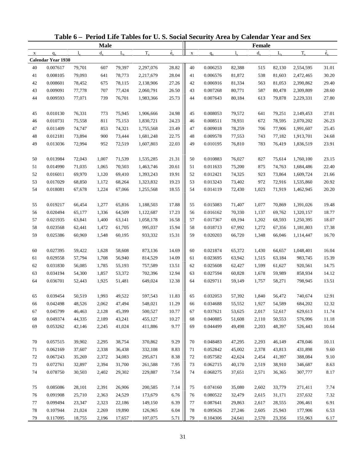|             |                           |                  |             |                  | Table 6 - Period Life Tables for U.S. Social Security Area by Calendar Year and Sex |             |             |          |                  |         |                  |                    |                |
|-------------|---------------------------|------------------|-------------|------------------|-------------------------------------------------------------------------------------|-------------|-------------|----------|------------------|---------|------------------|--------------------|----------------|
|             |                           |                  | <b>Male</b> |                  |                                                                                     |             |             |          |                  | Female  |                  |                    |                |
| $\mathbf X$ | $q_{x}$                   | 1.               | $d_{\rm v}$ | $L_{\rm v}$      | $T_{x}$                                                                             | $\dot{e}_x$ | $\mathbf X$ | $q_{x}$  | $l_{\rm x}$      | $d_{x}$ | $L_{\rm v}$      | $T_{x}$            | $\dot{e}_x$    |
|             | <b>Calendar Year 1930</b> |                  |             |                  |                                                                                     |             |             |          |                  |         |                  |                    |                |
| 40          | 0.007617                  | 79,701           | 607         | 79,397           | 2,297,076                                                                           | 28.82       | 40          | 0.006253 | 82,388           | 515     | 82,130           | 2,554,595          | 31.01          |
| 41          | 0.008105                  | 79,093           | 641         | 78,773           | 2,217,679                                                                           | 28.04       | 41          | 0.006576 | 81,872           | 538     | 81,603           | 2,472,465          | 30.20          |
| 42          | 0.008601                  | 78,452           | 675         | 78,115           | 2,138,906                                                                           | 27.26       | 42          | 0.006916 | 81,334           | 563     | 81,053           | 2,390,862          | 29.40          |
| 43          | 0.009091                  | 77,778           | 707         | 77,424           | 2,060,791                                                                           | 26.50       | 43          | 0.007268 | 80,771           | 587     | 80,478           | 2,309,809          | 28.60          |
| 44          | 0.009593                  | 77,071           | 739         | 76,701           | 1,983,366                                                                           | 25.73       | 44          | 0.007643 | 80,184           | 613     | 79,878           | 2,229,331          | 27.80          |
| 45          | 0.010130                  | 76,331           | 773         | 75,945           | 1,906,666                                                                           | 24.98       | 45          | 0.008053 | 79,572           | 641     | 79,251           | 2,149,453          | 27.01          |
| 46          | 0.010731                  | 75,558           | 811         | 75,153           | 1,830,721                                                                           | 24.23       | 46          | 0.008511 | 78,931           | 672     | 78,595           | 2,070,202          | 26.23          |
| 47          | 0.011409                  | 74,747           | 853         | 74,321           | 1,755,568                                                                           | 23.49       | 47          | 0.009018 | 78,259           | 706     | 77,906           | 1,991,607          | 25.45          |
| 48          | 0.012181                  | 73,894           | 900         | 73,444           | 1,681,248                                                                           | 22.75       | 48          | 0.009578 | 77,553           | 743     | 77,182           | 1,913,701          | 24.68          |
| 49          | 0.013036                  | 72,994           | 952         | 72,519           | 1,607,803                                                                           | 22.03       | 49          | 0.010195 | 76,810           | 783     | 76,419           | 1,836,519          | 23.91          |
| 50          | 0.013984                  | 72,043           | 1,007       | 71,539           | 1,535,285                                                                           | 21.31       | 50          | 0.010883 | 76,027           | 827     | 75,614           | 1,760,100          | 23.15          |
| 51          | 0.014990                  | 71,035           | 1,065       | 70,503           | 1,463,746                                                                           | 20.61       | 51          | 0.011633 | 75,200           | 875     | 74,763           | 1,684,486          | 22.40          |
| 52          | 0.016011                  | 69,970           | 1,120       | 69,410           | 1,393,243                                                                           | 19.91       | 52          | 0.012421 | 74,325           | 923     | 73,864           | 1,609,724          | 21.66          |
| 53          | 0.017029                  | 68,850           | 1,172       | 68,264           | 1,323,832                                                                           | 19.23       | 53          | 0.013243 | 73,402           | 972     | 72,916           | 1,535,860          | 20.92          |
| 54          | 0.018081                  | 67,678           | 1,224       | 67,066           | 1,255,568                                                                           | 18.55       | 54          | 0.014119 | 72,430           | 1,023   | 71,919           | 1,462,945          | 20.20          |
| 55          | 0.019217                  | 66,454           | 1,277       | 65,816           | 1,188,503                                                                           | 17.88       | 55          | 0.015083 | 71,407           | 1,077   | 70,869           | 1,391,026          | 19.48          |
| 56          | 0.020494                  | 65,177           | 1,336       | 64,509           | 1,122,687                                                                           | 17.23       | 56          | 0.016162 | 70,330           | 1,137   | 69,762           | 1,320,157          | 18.77          |
| 57          | 0.021935                  | 63,841           | 1,400       | 63,141           | 1,058,178                                                                           | 16.58       | 57          | 0.017367 | 69,194           | 1,202   | 68,593           | 1,250,395          | 18.07          |
| 58          | 0.023568                  | 62,441           | 1,472       | 61,705           | 995,037                                                                             | 15.94       | 58          | 0.018713 | 67,992           | 1,272   | 67,356           | 1,181,803          | 17.38          |
| 59          | 0.025386                  | 60,969           | 1,548       | 60,195           | 933,332                                                                             | 15.31       | 59          | 0.020203 | 66,720           | 1,348   | 66,046           | 1,114,447          | 16.70          |
| 60          | 0.027395                  | 59,422           | 1,628       | 58,608           | 873,136                                                                             | 14.69       | 60          | 0.021874 | 65,372           | 1,430   | 64,657           | 1,048,401          | 16.04          |
| 61          | 0.029558                  | 57,794           | 1,708       | 56,940           | 814,529                                                                             | 14.09       | 61          | 0.023695 | 63,942           | 1,515   | 63,184           | 983,745            | 15.39          |
| 62          | 0.031830                  | 56,085           | 1,785       | 55,193           | 757,589                                                                             | 13.51       | 62          | 0.025608 | 62,427           | 1,599   | 61,627           | 920,561            | 14.75          |
| 63          | 0.034194                  | 54,300           | 1,857       | 53,372           | 702,396                                                                             | 12.94       | 63          | 0.027594 | 60,828           | 1,678   | 59,989           | 858,934            | 14.12          |
| 64          | 0.036701                  | 52,443           | 1,925       | 51,481           | 649,024                                                                             | 12.38       | 64          | 0.029711 | 59,149           | 1,757   | 58,271           | 798,945            | 13.51          |
|             | 0.039454                  | 50,519           | 1,993       | 49,522           | 597,543                                                                             | 11.83       |             | 0.032053 | 57,392           | 1,840   | 56,472           | 740,674            |                |
| 65          | 0.042498                  | 48,526           | 2,062       | 47,494           | 548,021                                                                             | 11.29       | 65          | 0.034688 | 55,552           | 1,927   | 54,589           | 684,202            | 12.91<br>12.32 |
| 66          | 0.045799                  |                  | 2,128       |                  |                                                                                     | 10.77       | 66          | 0.037621 |                  | 2,017   |                  |                    |                |
| 67          | 0.049374                  | 46,463<br>44,335 | 2,189       | 45,399           | 500,527<br>455,127                                                                  | 10.27       | 67          | 0.040885 | 53,625<br>51,608 | 2,110   | 52,617           | 629,613<br>576,996 | 11.74          |
| 68<br>69    | 0.053262                  | 42,146           | 2,245       | 43,241<br>41,024 | 411,886                                                                             | 9.77        | 68<br>69    | 0.044499 | 49,498           | 2,203   | 50,553<br>48,397 | 526,443            | 11.18<br>10.64 |
|             |                           |                  |             |                  |                                                                                     |             |             |          |                  |         |                  |                    |                |
| 70          | 0.057515                  | 39,902           | 2,295       | 38,754           | 370,862                                                                             | 9.29        | 70          | 0.048483 | 47,295           | 2,293   | 46,149           | 478,046            | 10.11          |
| 71          | 0.062169                  | 37,607           | 2,338       | 36,438           | 332,108                                                                             | 8.83        | 71          | 0.052842 | 45,002           | 2,378   | 43,813           | 431,898            | 9.60           |
| 72          | 0.067243                  | 35,269           | 2,372       | 34,083           | 295,671                                                                             | 8.38        | 72          | 0.057582 | 42,624           | 2,454   | 41,397           | 388,084            | 9.10           |
| 73          | 0.072761                  | 32,897           | 2,394       | 31,700           | 261,588                                                                             | 7.95        | 73          | 0.062715 | 40,170           | 2,519   | 38,910           | 346,687            | 8.63           |
| 74          | 0.078750                  | 30,503           | 2,402       | 29,302           | 229,887                                                                             | 7.54        | 74          | 0.068275 | 37,651           | 2,571   | 36,365           | 307,777            | 8.17           |
| 75          | 0.085086                  | 28,101           | 2,391       | 26,906           | 200,585                                                                             | 7.14        | 75          | 0.074160 | 35,080           | 2,602   | 33,779           | 271,411            | 7.74           |
| 76          | 0.091908                  | 25,710           | 2,363       | 24,529           | 173,679                                                                             | 6.76        | 76          | 0.080522 | 32,479           | 2,615   | 31,171           | 237,632            | 7.32           |
| 77          | 0.099494                  | 23,347           | 2,323       | 22,186           | 149,150                                                                             | 6.39        | 77          | 0.087641 | 29,863           | 2,617   | 28,555           | 206,461            | 6.91           |
| 78          | 0.107944                  | 21,024           | 2,269       | 19,890           | 126,965                                                                             | 6.04        | 78          | 0.095626 | 27,246           | 2,605   | 25,943           | 177,906            | 6.53           |
| 79          | 0.117095                  | 18,755           | 2,196       | 17,657           | 107,075                                                                             | 5.71        | 79          | 0.104306 | 24,641           | 2,570   | 23,356           | 151,963            | 6.17           |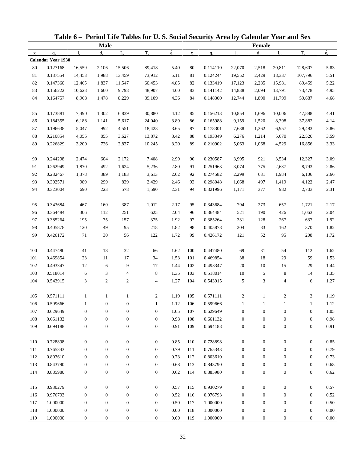|              |                      |                  |                  |                  | Table 6 - Period Life Tables for U.S. Social Security Area by Calendar Year and Sex |                          |             |                      |                       |                  |                  |                                  |              |
|--------------|----------------------|------------------|------------------|------------------|-------------------------------------------------------------------------------------|--------------------------|-------------|----------------------|-----------------------|------------------|------------------|----------------------------------|--------------|
|              |                      |                  | <b>Male</b>      |                  |                                                                                     |                          |             |                      |                       | Female           |                  |                                  |              |
| $\mathbf{x}$ | $q_{x}$              | $l_{\rm v}$      | $d_{\rm v}$      | $L_{\rm v}$      | $T_{x}$                                                                             | $\overset{\circ}{e}_{x}$ | $\mathbf X$ | $q_{x}$              | $l_{\rm v}$           | $d_{x}$          | $L_{\rm v}$      | $T_{x}$                          | $\dot{e}_x$  |
|              | Calendar Year 1930   |                  |                  |                  |                                                                                     |                          |             |                      |                       |                  |                  |                                  |              |
| 80           | 0.127168             | 16,559           | 2,106            | 15,506           | 89,418                                                                              | 5.40                     | $80\,$      | 0.114110             | 22,070                | 2,518            | 20,811           | 128,607                          | 5.83         |
| 81           | 0.137554             | 14,453           | 1,988            | 13,459           | 73,912                                                                              | 5.11                     | 81          | 0.124244             | 19,552                | 2,429            | 18,337           | 107,796                          | 5.51         |
| 82           | 0.147360             | 12,465           | 1,837            | 11,547           | 60,453                                                                              | 4.85                     | 82          | 0.133419             | 17,123                | 2,285            | 15,981           | 89,459                           | 5.22         |
| 83           | 0.156222             | 10,628           | 1,660            | 9,798            | 48,907                                                                              | 4.60                     | 83          | 0.141142             | 14,838                | 2,094            | 13,791           | 73,478                           | 4.95         |
| 84           | 0.164757             | 8,968            | 1,478            | 8,229            | 39,109                                                                              | 4.36                     | 84          | 0.148300             | 12,744                | 1,890            | 11,799           | 59,687                           | 4.68         |
| 85           | 0.173881             | 7,490            | 1,302            | 6,839            | 30,880                                                                              | 4.12                     | 85          | 0.156213             | 10,854                | 1,696            | 10,006           | 47,888                           | 4.41         |
| 86           | 0.184355             | 6,188            | 1,141            | 5,617            | 24,040                                                                              | 3.89                     | 86          | 0.165988             | 9,159                 | 1,520            | 8,398            | 37,882                           | 4.14         |
| 87           | 0.196638             | 5,047            | 992              | 4,551            | 18,423                                                                              | 3.65                     | 87          | 0.178301             | 7,638                 | 1,362            | 6,957            | 29,483                           | 3.86         |
| $88\,$       | 0.210854             | 4,055            | 855              | 3,627            | 13,872                                                                              | 3.42                     | 88          | 0.193349             | 6,276                 | 1,214            | 5,670            | 22,526                           | 3.59         |
| 89           | 0.226829             | 3,200            | 726              | 2,837            | 10,245                                                                              | 3.20                     | 89          | 0.210902             | 5,063                 | 1,068            | 4,529            | 16,856                           | 3.33         |
| 90           | 0.244298             | 2,474            | 604              | 2,172            | 7,408                                                                               | 2.99                     | 90          | 0.230587             | 3,995                 | 921              | 3,534            | 12,327                           | 3.09         |
| 91           | 0.262949             | 1,870            | 492              | 1,624            | 5,236                                                                               | 2.80                     | 91          | 0.251963             | 3,074                 | 775              | 2,687            | 8,793                            | 2.86         |
| 92           | 0.282467             | 1,378            | 389              | 1,183            | 3,613                                                                               | 2.62                     | 92          | 0.274582             | 2,299                 | 631              | 1,984            | 6,106                            | 2.66         |
| 93           | 0.302571             | 989              | 299              | 839              | 2,429                                                                               | 2.46                     | 93          | 0.298048             | 1,668                 | 497              | 1,419            | 4,122                            | 2.47         |
| 94           | 0.323004             | 690              | 223              | 578              | 1,590                                                                               | 2.31                     | 94          | 0.321996             | 1,171                 | 377              | 982              | 2,703                            | 2.31         |
| 95           | 0.343684             | 467              | 160              | 387              | 1,012                                                                               | 2.17                     | 95          | 0.343684             | 794                   | 273              | 657              | 1,721                            | 2.17         |
| 96           | 0.364484             | 306              | 112              | 251              | 625                                                                                 | 2.04                     | 96          | 0.364484             | 521                   | 190              | 426              | 1,063                            | 2.04         |
| 97           | 0.385264             | 195              | 75               | 157              | 375                                                                                 | 1.92                     | 97          | 0.385264             | 331                   | 128              | 267              | 637                              | 1.92         |
| 98           | 0.405878             | 120              | 49               | 95               | 218                                                                                 | 1.82                     | 98          | 0.405878             | 204                   | 83               | 162              | 370                              | 1.82         |
| 99           | 0.426172             | 71               | 30               | 56               | 122                                                                                 | 1.72                     | 99          | 0.426172             | 121                   | 52               | 95               | 208                              | 1.72         |
| 100          | 0.447480             | 41               | 18               | $32\,$           | 66                                                                                  | 1.62                     | 100         | 0.447480             | 69                    | 31               | 54               | 112                              | 1.62         |
| 101          | 0.469854             | 23               | 11               | 17               | 34                                                                                  | 1.53                     | 101         | 0.469854             | 38                    | 18               | 29               | 59                               | 1.53         |
| 102          | 0.493347             | 12               | 6                | 9                | 17                                                                                  | 1.44                     | 102         | 0.493347             | 20                    | 10               | 15               | 29                               | 1.44         |
| 103          | 0.518014             | 6                | 3                | 4                | 8                                                                                   | 1.35                     | 103         | 0.518014             | $10\,$                | 5                | 8                | 14                               | 1.35         |
| 104          | 0.543915             | 3                | $\mathfrak{2}$   | $\mathbf{2}$     | $\overline{4}$                                                                      | 1.27                     | 104         | 0.543915             | 5                     | 3                | 4                | 6                                | 1.27         |
| 105          | 0.571111             |                  |                  |                  |                                                                                     | 1.19                     |             | 0.571111             |                       |                  |                  |                                  |              |
| 106          | 0.599666             | 1                | $\boldsymbol{0}$ | $\boldsymbol{0}$ | 2<br>1                                                                              | 1.12                     | 105<br>106  | 0.599666             |                       | 1                | 1                | 3                                | 1.19<br>1.12 |
| 107          | 0.629649             | $\boldsymbol{0}$ | $\boldsymbol{0}$ | $\boldsymbol{0}$ | $\boldsymbol{0}$                                                                    | 1.05                     | 107         | 0.629649             | 1<br>$\boldsymbol{0}$ | $\boldsymbol{0}$ | $\boldsymbol{0}$ | $\mathbf{1}$<br>$\boldsymbol{0}$ | $1.05\,$     |
| 108          | 0.661132             | $\boldsymbol{0}$ | $\mathbf{0}$     | $\boldsymbol{0}$ | $\boldsymbol{0}$                                                                    | 0.98                     | 108         | 0.661132             | $\boldsymbol{0}$      | $\boldsymbol{0}$ | $\boldsymbol{0}$ | $\boldsymbol{0}$                 | 0.98         |
| 109          | 0.694188             | $\boldsymbol{0}$ | $\boldsymbol{0}$ | $\boldsymbol{0}$ | $\mathbf{0}$                                                                        | 0.91                     | 109         | 0.694188             | $\boldsymbol{0}$      | $\boldsymbol{0}$ | $\boldsymbol{0}$ | $\boldsymbol{0}$                 | 0.91         |
|              |                      |                  |                  |                  |                                                                                     |                          |             |                      |                       |                  |                  |                                  |              |
| 110          | 0.728898             | $\boldsymbol{0}$ | $\boldsymbol{0}$ | $\boldsymbol{0}$ | $\boldsymbol{0}$                                                                    | 0.85<br>0.79             | 110         | 0.728898             | $\boldsymbol{0}$      | $\boldsymbol{0}$ | $\boldsymbol{0}$ | $\boldsymbol{0}$                 | 0.85         |
| 111          | 0.765343<br>0.803610 | $\boldsymbol{0}$ | $\mathbf{0}$     | $\boldsymbol{0}$ | $\mathbf{0}$                                                                        |                          | 111         | 0.765343<br>0.803610 | $\boldsymbol{0}$      | $\boldsymbol{0}$ | $\boldsymbol{0}$ | $\boldsymbol{0}$                 | 0.79         |
| 112          |                      | $\boldsymbol{0}$ | $\boldsymbol{0}$ | $\boldsymbol{0}$ | $\mathbf{0}$                                                                        | 0.73                     | 112         |                      | $\mathbf{0}$          | $\boldsymbol{0}$ | $\boldsymbol{0}$ | $\boldsymbol{0}$                 | 0.73         |
| 113          | 0.843790             | $\boldsymbol{0}$ | $\boldsymbol{0}$ | $\boldsymbol{0}$ | $\boldsymbol{0}$                                                                    | 0.68                     | 113         | 0.843790             | $\boldsymbol{0}$      | $\boldsymbol{0}$ | $\boldsymbol{0}$ | $\boldsymbol{0}$                 | 0.68         |
| 114          | 0.885980             | $\boldsymbol{0}$ | $\boldsymbol{0}$ | $\boldsymbol{0}$ | $\boldsymbol{0}$                                                                    | 0.62                     | 114         | 0.885980             | $\boldsymbol{0}$      | $\boldsymbol{0}$ | $\boldsymbol{0}$ | $\boldsymbol{0}$                 | 0.62         |
| 115          | 0.930279             | $\boldsymbol{0}$ | $\boldsymbol{0}$ | $\boldsymbol{0}$ | $\boldsymbol{0}$                                                                    | 0.57                     | 115         | 0.930279             | $\boldsymbol{0}$      | $\boldsymbol{0}$ | $\boldsymbol{0}$ | $\boldsymbol{0}$                 | 0.57         |
| 116          | 0.976793             | $\boldsymbol{0}$ | $\mathbf{0}$     | $\boldsymbol{0}$ | $\boldsymbol{0}$                                                                    | 0.52                     | 116         | 0.976793             | $\boldsymbol{0}$      | $\boldsymbol{0}$ | $\boldsymbol{0}$ | $\boldsymbol{0}$                 | 0.52         |
| 117          | 1.000000             | $\boldsymbol{0}$ | $\boldsymbol{0}$ | $\boldsymbol{0}$ | $\boldsymbol{0}$                                                                    | 0.50                     | 117         | 1.000000             | $\boldsymbol{0}$      | $\boldsymbol{0}$ | $\boldsymbol{0}$ | $\boldsymbol{0}$                 | 0.50         |
| 118          | 1.000000             | $\boldsymbol{0}$ | $\boldsymbol{0}$ | $\boldsymbol{0}$ | $\boldsymbol{0}$                                                                    | $0.00\,$                 | 118         | 1.000000             | $\boldsymbol{0}$      | $\boldsymbol{0}$ | $\boldsymbol{0}$ | $\boldsymbol{0}$                 | $0.00\,$     |
| 119          | 1.000000             | $\boldsymbol{0}$ | $\boldsymbol{0}$ | $\boldsymbol{0}$ | $\boldsymbol{0}$                                                                    | $0.00\,$                 | 119         | 1.000000             | $\boldsymbol{0}$      | $\boldsymbol{0}$ | $\boldsymbol{0}$ | $\boldsymbol{0}$                 | 0.00         |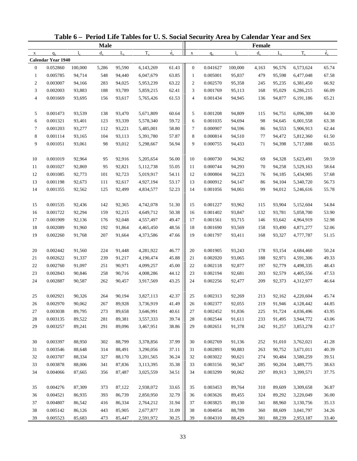|                |                    |             |             |             | Table 6 - Period Life Tables for U.S. Social Security Area by Calendar Year and Sex |                          |                  |          |             |               |             |           |             |
|----------------|--------------------|-------------|-------------|-------------|-------------------------------------------------------------------------------------|--------------------------|------------------|----------|-------------|---------------|-------------|-----------|-------------|
|                |                    |             | <b>Male</b> |             |                                                                                     |                          |                  |          |             | <b>Female</b> |             |           |             |
| $\mathbf{X}$   | $q_{x}$            | $l_{\rm v}$ | $d_{\rm v}$ | $L_{\rm v}$ | $T_{x}$                                                                             | $\overset{\circ}{e}_{x}$ | $\mathbf X$      | $q_{x}$  | $l_{\rm x}$ | $d_{x}$       | $L_{\rm v}$ | $T_{x}$   | $\dot{e}_x$ |
|                | Calendar Year 1940 |             |             |             |                                                                                     |                          |                  |          |             |               |             |           |             |
| $\mathbf{0}$   | 0.052860           | 100,000     | 5,286       | 95,590      | 6,143,269                                                                           | 61.43                    | $\mathbf{0}$     | 0.041627 | 100,000     | 4,163         | 96,576      | 6,573,624 | 65.74       |
| $\mathbf{1}$   | 0.005785           | 94,714      | 548         | 94,440      | 6,047,679                                                                           | 63.85                    | $\mathbf{1}$     | 0.005001 | 95,837      | 479           | 95,598      | 6,477,048 | 67.58       |
| $\overline{c}$ | 0.003007           | 94,166      | 283         | 94,025      | 5,953,239                                                                           | 63.22                    | $\boldsymbol{2}$ | 0.002570 | 95,358      | 245           | 95,235      | 6,381,450 | 66.92       |
| 3              | 0.002003           | 93,883      | 188         | 93,789      | 5,859,215                                                                           | 62.41                    | 3                | 0.001769 | 95,113      | 168           | 95,029      | 6,286,215 | 66.09       |
| 4              | 0.001669           | 93,695      | 156         | 93,617      | 5,765,426                                                                           | 61.53                    | 4                | 0.001434 | 94,945      | 136           | 94,877      | 6,191,186 | 65.21       |
| 5              | 0.001473           | 93,539      | 138         | 93,470      | 5,671,809                                                                           | 60.64                    | 5                | 0.001208 | 94,809      | 115           | 94,751      | 6,096,309 | 64.30       |
| 6              | 0.001321           | 93,401      | 123         | 93,339      | 5,578,340                                                                           | 59.72                    | 6                | 0.001035 | 94,694      | 98            | 94,645      | 6,001,558 | 63.38       |
| $\tau$         | 0.001203           | 93,277      | 112         | 93,221      | 5,485,001                                                                           | 58.80                    | 7                | 0.000907 | 94,596      | 86            | 94,553      | 5,906,913 | 62.44       |
| 8              | 0.001114           | 93,165      | 104         | 93,113      | 5,391,780                                                                           | 57.87                    | 8                | 0.000814 | 94,510      | 77            | 94,472      | 5,812,360 | 61.50       |
| 9              | 0.001051           | 93,061      | 98          | 93,012      | 5,298,667                                                                           | 56.94                    | 9                | 0.000755 | 94,433      | 71            | 94,398      | 5,717,888 | 60.55       |
| 10             | 0.001019           | 92,964      | 95          | 92,916      | 5,205,654                                                                           | 56.00                    | 10               | 0.000730 | 94,362      | 69            | 94,328      | 5,623,491 | 59.59       |
| 11             | 0.001027           | 92,869      | 95          | 92,821      | 5,112,738                                                                           | 55.05                    | 11               | 0.000744 | 94,293      | 70            | 94,258      | 5,529,163 | 58.64       |
| 12             | 0.001085           | 92,773      | 101         | 92,723      | 5,019,917                                                                           | 54.11                    | 12               | 0.000804 | 94,223      | 76            | 94,185      | 5,434,905 | 57.68       |
| 13             | 0.001198           | 92,673      | 111         | 92,617      | 4,927,194                                                                           | 53.17                    | 13               | 0.000912 | 94,147      | 86            | 94,104      | 5,340,720 | 56.73       |
| 14             | 0.001355           | 92,562      | 125         | 92,499      | 4,834,577                                                                           | 52.23                    | 14               | 0.001056 | 94,061      | 99            | 94,012      | 5,246,616 | 55.78       |
| 15             | 0.001535           | 92,436      | 142         | 92,365      | 4,742,078                                                                           | 51.30                    | 15               | 0.001227 | 93,962      | 115           | 93,904      | 5,152,604 | 54.84       |
| 16             | 0.001722           | 92,294      | 159         | 92,215      | 4,649,712                                                                           | 50.38                    | 16               | 0.001402 | 93,847      | 132           | 93,781      | 5,058,700 | 53.90       |
| 17             | 0.001909           | 92,136      | 176         | 92,048      | 4,557,497                                                                           | 49.47                    | 17               | 0.001561 | 93,715      | 146           | 93,642      | 4,964,919 | 52.98       |
| 18             | 0.002089           | 91,960      | 192         | 91,864      | 4,465,450                                                                           | 48.56                    | 18               | 0.001690 | 93,569      | 158           | 93,490      | 4,871,277 | 52.06       |
| 19             | 0.002260           | 91,768      | 207         | 91,664      | 4,373,586                                                                           | 47.66                    | 19               | 0.001797 | 93,411      | 168           | 93,327      | 4,777,787 | 51.15       |
| 20             | 0.002442           | 91,560      | 224         | 91,448      | 4,281,922                                                                           | 46.77                    | 20               | 0.001905 | 93,243      | 178           | 93,154      | 4,684,460 | 50.24       |
| 21             | 0.002622           | 91,337      | 239         | 91,217      | 4,190,474                                                                           | 45.88                    | 21               | 0.002020 | 93,065      | 188           | 92,971      | 4,591,306 | 49.33       |
| 22             | 0.002760           | 91,097      | 251         | 90,971      | 4,099,257                                                                           | 45.00                    | 22               | 0.002118 | 92,877      | 197           | 92,779      | 4,498,335 | 48.43       |
| 23             | 0.002843           | 90,846      | 258         | 90,716      | 4,008,286                                                                           | 44.12                    | 23               | 0.002194 | 92,681      | 203           | 92,579      | 4,405,556 | 47.53       |
| 24             | 0.002887           | 90,587      | 262         | 90,457      | 3,917,569                                                                           | 43.25                    | 24               | 0.002256 | 92,477      | 209           | 92,373      | 4,312,977 | 46.64       |
| 25             | 0.002921           | 90,326      | 264         | 90,194      | 3,827,113                                                                           | 42.37                    | 25               | 0.002313 | 92,269      | 213           | 92,162      | 4,220,604 | 45.74       |
| 26             | 0.002970           | 90,062      | 267         | 89,928      | 3,736,919                                                                           | 41.49                    | 26               | 0.002377 | 92,055      | 219           | 91,946      | 4,128,442 | 44.85       |
| 27             | 0.003038           | 89,795      | 273         | 89,658      | 3,646,991                                                                           | 40.61                    | 27               | 0.002452 | 91,836      | 225           | 91,724      | 4,036,496 | 43.95       |
| 28             | 0.003135           | 89,522      | 281         | 89,381      | 3,557,333                                                                           | 39.74                    | 28               | 0.002544 | 91,611      | 233           | 91,495      | 3,944,772 | 43.06       |
| 29             | 0.003257           | 89,241      | 291         | 89,096      | 3,467,951                                                                           | 38.86                    | 29               | 0.002651 | 91,378      | 242           | 91,257      | 3,853,278 | 42.17       |
| 30             | 0.003397           | 88,950      | 302         | 88,799      | 3,378,856                                                                           | 37.99                    | 30               | 0.002769 | 91,136      | 252           | 91,010      | 3,762,021 | 41.28       |
| 31             | 0.003546           | 88,648      | 314         | 88,491      | 3,290,056                                                                           | 37.11                    | 31               | 0.002893 | 90,883      | 263           | 90,752      | 3,671,011 | 40.39       |
| 32             | 0.003707           | 88,334      | 327         | 88,170      | 3,201,565                                                                           | 36.24                    | 32               | 0.003022 | 90,621      | 274           | 90,484      | 3,580,259 | 39.51       |
| 33             | 0.003878           | 88,006      | 341         | 87,836      | 3,113,395                                                                           | 35.38                    | 33               | 0.003156 | 90,347      | 285           | 90,204      | 3,489,775 | 38.63       |
| 34             | 0.004066           | 87,665      | 356         | 87,487      | 3,025,559                                                                           | 34.51                    | 34               | 0.003299 | 90,062      | 297           | 89,913      | 3,399,571 | 37.75       |
|                |                    |             |             |             |                                                                                     |                          |                  |          |             |               |             |           |             |
| 35             | 0.004276           | 87,309      | 373         | 87,122      | 2,938,072                                                                           | 33.65                    | 35               | 0.003453 | 89,764      | 310           | 89,609      | 3,309,658 | 36.87       |
| 36             | 0.004521           | 86,935      | 393         | 86,739      | 2,850,950                                                                           | 32.79                    | 36               | 0.003626 | 89,455      | 324           | 89,292      | 3,220,049 | 36.00       |
| 37             | 0.004807           | 86,542      | 416         | 86,334      | 2,764,212                                                                           | 31.94                    | 37               | 0.003825 | 89,130      | 341           | 88,960      | 3,130,756 | 35.13       |
| 38             | 0.005142           | 86,126      | 443         | 85,905      | 2,677,877                                                                           | 31.09                    | 38               | 0.004054 | 88,789      | 360           | 88,609      | 3,041,797 | 34.26       |
| 39             | 0.005523           | 85,683      | 473         | 85,447      | 2,591,972                                                                           | 30.25                    | 39               | 0.004310 | 88,429      | 381           | 88,239      | 2,953,187 | 33.40       |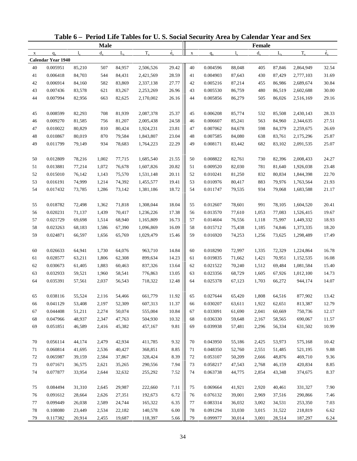| <b>Male</b>                                                                     |             |             |          |             |         |             |           |             |
|---------------------------------------------------------------------------------|-------------|-------------|----------|-------------|---------|-------------|-----------|-------------|
|                                                                                 |             |             |          |             | Female  |             |           |             |
| $T_{x}$<br>$d_{\rm v}$<br>$L_{\rm v}$<br>$q_{x}$<br>$\mathbf{l}$<br>$\mathbf X$ | $\dot{e}_x$ | $\mathbf X$ | $q_{x}$  | $l_{\rm x}$ | $d_{x}$ | $L_{\rm v}$ | $T_{x}$   | $\dot{e}_x$ |
| <b>Calendar Year 1940</b>                                                       |             |             |          |             |         |             |           |             |
| 85,210<br>84,957<br>40<br>0.005951<br>507<br>2,506,526                          | 29.42       | 40          | 0.004596 | 88,048      | 405     | 87,846      | 2,864,949 | 32.54       |
| 41<br>544<br>0.006418<br>84,703<br>84,431<br>2,421,569                          | 28.59       | 41          | 0.004903 | 87,643      | 430     | 87,429      | 2,777,103 | 31.69       |
| 42<br>0.006914<br>582<br>84,160<br>83,869<br>2,337,138                          | 27.77       | 42          | 0.005216 | 87,214      | 455     | 86,986      | 2,689,674 | 30.84       |
| 43<br>0.007436<br>83,578<br>621<br>83,267<br>2,253,269                          | 26.96       | 43          | 0.005530 | 86,759      | 480     | 86,519      | 2,602,688 | 30.00       |
| 44<br>0.007994<br>82,956<br>82,625<br>2,170,002<br>663                          | 26.16       | 44          | 0.005856 | 86,279      | 505     | 86,026      | 2,516,169 | 29.16       |
| 0.008599<br>45<br>82,293<br>708<br>81,939<br>2,087,378                          | 25.37       | 45          | 0.006208 | 85,774      | 532     | 85,508      | 2,430,143 | 28.33       |
| 46<br>0.009270<br>81,585<br>81,207<br>756<br>2,005,438                          | 24.58       | 46          | 0.006607 | 85,241      | 563     | 84,960      | 2,344,635 | 27.51       |
| $47\,$<br>0.010022<br>80,829<br>810<br>80,424<br>1,924,231                      | 23.81       | 47          | 0.007062 | 84,678      | 598     | 84,379      | 2,259,675 | 26.69       |
| 48<br>0.010867<br>80,019<br>870<br>79,584<br>1,843,807                          | 23.04       | 48          | 0.007585 | 84,080      | 638     | 83,761      | 2,175,296 | 25.87       |
| 49<br>0.011799<br>79,149<br>934<br>78,683<br>1,764,223                          | 22.29       | 49          | 0.008171 | 83,442      | 682     | 83,102      | 2,091,535 | 25.07       |
| 0.012809<br>78,216<br>1,002<br>77,715<br>1,685,540<br>50                        | 21.55       | 50          | 0.008822 | 82,761      | 730     | 82,396      | 2,008,433 | 24.27       |
| 51<br>0.013881<br>1,072<br>77,214<br>76,678<br>1,607,826                        | 20.82       | 51          | 0.009520 | 82,030      | 781     | 81,640      | 1,926,038 | 23.48       |
| 52<br>0.015010<br>76,142<br>75,570<br>1,143<br>1,531,148                        | 20.11       | 52          | 0.010241 | 81,250      | 832     | 80,834      | 1,844,398 | 22.70       |
| 53<br>0.016191<br>74,999<br>1,214<br>74,392<br>1,455,577                        | 19.41       | 53          | 0.010976 | 80,417      | 883     | 79,976      | 1,763,564 | 21.93       |
| 54<br>0.017432<br>73,785<br>1,286<br>73,142<br>1,381,186                        | 18.72       | 54          | 0.011747 | 79,535      | 934     | 79,068      | 1,683,588 | 21.17       |
| 0.018782<br>55<br>72,498<br>1,362<br>71,818<br>1,308,044                        | 18.04       | 55          | 0.012607 | 78,601      | 991     | 78,105      | 1,604,520 | 20.41       |
| 56<br>0.020231<br>71,137<br>1,439<br>70,417<br>1,236,226                        | 17.38       | 56          | 0.013570 | 77,610      | 1,053   | 77,083      | 1,526,415 | 19.67       |
| 57<br>0.021729<br>69,698<br>68,940<br>1,165,809<br>1,514                        | 16.73       | 57          | 0.014604 | 76,556      | 1,118   | 75,997      | 1,449,332 | 18.93       |
| 58<br>0.023263<br>68,183<br>67,390<br>1,586<br>1,096,869                        | 16.09       | 58          | 0.015712 | 75,438      | 1,185   | 74,846      | 1,373,335 | 18.20       |
| 59<br>0.024871<br>66,597<br>1,656<br>65,769<br>1,029,479                        | 15.46       | 59          | 0.016920 | 74,253      | 1,256   | 73,625      | 1,298,489 | 17.49       |
|                                                                                 |             |             |          |             |         |             |           |             |
| 60<br>0.026633<br>64,941<br>1,730<br>64,076<br>963,710                          | 14.84       | 60          | 0.018290 | 72,997      | 1,335   | 72,329      | 1,224,864 | 16.78       |
| 61<br>0.028577<br>63,211<br>1,806<br>62,308<br>899,634                          | 14.23       | 61          | 0.019835 | 71,662      | 1,421   | 70,951      | 1,152,535 | 16.08       |
| 62<br>0.030673<br>61,405<br>1,883<br>60,463<br>837,326                          | 13.64       | 62          | 0.021522 | 70,240      | 1,512   | 69,484      | 1,081,584 | 15.40       |
| 63<br>0.032933<br>59,521<br>1,960<br>58,541<br>776,863                          | 13.05       | 63          | 0.023356 | 68,729      | 1,605   | 67,926      | 1,012,100 | 14.73       |
| 64<br>0.035391<br>57,561<br>718,322<br>2,037<br>56,543                          | 12.48       | 64          | 0.025378 | 67,123      | 1,703   | 66,272      | 944,174   | 14.07       |
| 0.038116<br>55,524<br>2,116<br>661,779<br>54,466<br>65                          | 11.92       | 65          | 0.027644 | 65,420      | 1,808   | 64,516      | 877,902   | 13.42       |
| 0.041129<br>53,408<br>2,197<br>52,309<br>607,313<br>66                          | 11.37       | 66          | 0.030207 | 63,611      | 1,922   | 62,651      | 813,387   | 12.79       |
| 0.044408<br>51,211<br>2,274<br>50,074<br>555,004<br>67                          | 10.84       | 67          | 0.033091 | 61,690      | 2,041   | 60,669      | 750,736   | 12.17       |
| 0.047966<br>48,937<br>47,763<br>504,930<br>68<br>2,347                          | 10.32       | 68          | 0.036330 | 59,648      | 2,167   | 58,565      | 690,067   | 11.57       |
| 0.051851<br>69<br>46,589<br>2,416<br>45,382<br>457,167                          | 9.81        | 69          | 0.039938 | 57,481      | 2,296   | 56,334      | 631,502   | 10.99       |
| 0.056114<br>44,174<br>42,934<br>411,785<br>70<br>2,479                          | 9.32        | 70          | 0.043950 | 55,186      | 2,425   | 53,973      | 575,168   | 10.42       |
| 0.060814<br>71<br>41,695<br>2,536<br>40,427<br>368,851                          | 8.85        | 71          | 0.048350 | 52,760      | 2,551   | 51,485      | 521,195   | 9.88        |
| 0.065987<br>72<br>39,159<br>2,584<br>37,867<br>328,424                          | 8.39        | 72          | 0.053107 | 50,209      | 2,666   | 48,876      | 469,710   | 9.36        |
| 73<br>0.071671<br>36,575<br>2,621<br>35,265<br>290,556                          | 7.94        | 73          | 0.058217 | 47,543      | 2,768   | 46,159      | 420,834   | 8.85        |
| 74<br>0.077877<br>33,954<br>2,644<br>32,632<br>255,292                          | 7.52        | 74          | 0.063738 | 44,775      | 2,854   | 43,348      | 374,675   | 8.37        |
| 0.084494<br>31,310<br>29,987<br>75<br>2,645<br>222,660                          | 7.11        | 75          | 0.069664 | 41,921      | 2,920   | 40,461      | 331,327   | 7.90        |
| 0.091612<br>27,351<br>76<br>28,664<br>2,626<br>192,673                          | 6.72        | 76          | 0.076132 | 39,001      | 2,969   | 37,516      | 290,866   | 7.46        |
| 0.099449<br>26,038<br>77<br>2,589<br>24,744<br>165,322                          | 6.35        | 77          | 0.083314 | 36,032      | 3,002   | 34,531      | 253,350   | 7.03        |
| 78<br>0.108080<br>23,449<br>2,534<br>22,182<br>140,578                          | $6.00\,$    | 78          | 0.091294 | 33,030      | 3,015   | 31,522      | 218,819   | 6.62        |
| 0.117382<br>79<br>20,914<br>2,455<br>19,687<br>118,397                          | 5.66        | 79          | 0.099977 | 30,014      | 3,001   | 28,514      | 187,297   | 6.24        |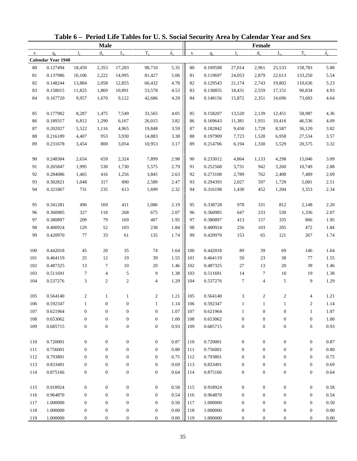|              |                    |                  |                  |                  | Table 6 - Period Life Tables for U.S. Social Security Area by Calendar Year and Sex |                          |             |          |                   |                  |                  |                       |              |
|--------------|--------------------|------------------|------------------|------------------|-------------------------------------------------------------------------------------|--------------------------|-------------|----------|-------------------|------------------|------------------|-----------------------|--------------|
|              |                    |                  | <b>Male</b>      |                  |                                                                                     |                          |             |          |                   | Female           |                  |                       |              |
| $\mathbf{x}$ | $q_{x}$            | $l_{\rm v}$      | $d_{\rm v}$      | $L_{\rm v}$      | $T_{x}$                                                                             | $\overset{\circ}{e}_{x}$ | $\mathbf X$ | $q_{x}$  | $l_{\rm v}$       | $d_{x}$          | $L_{\rm v}$      | $T_{x}$               | $\dot{e}_x$  |
|              | Calendar Year 1940 |                  |                  |                  |                                                                                     |                          |             |          |                   |                  |                  |                       |              |
| 80           | 0.127494           | 18,459           | 2,353            | 17,283           | 98,710                                                                              | 5.35                     | $80\,$      | 0.109598 | 27,014            | 2,961            | 25,533           | 158,783               | 5.88         |
| 81           | 0.137986           | 16,106           | 2,222            | 14,995           | 81,427                                                                              | 5.06                     | 81          | 0.119697 | 24,053            | 2,879            | 22,613           | 133,250               | 5.54         |
| 82           | 0.148244           | 13,884           | 2,058            | 12,855           | 66,432                                                                              | 4.78                     | 82          | 0.129543 | 21,174            | 2,743            | 19,802           | 110,636               | 5.23         |
| 83           | 0.158015           | 11,825           | 1,869            | 10,891           | 53,578                                                                              | 4.53                     | 83          | 0.138855 | 18,431            | 2,559            | 17,151           | 90,834                | 4.93         |
| 84           | 0.167720           | 9,957            | 1,670            | 9,122            | 42,686                                                                              | 4.29                     | 84          | 0.148156 | 15,872            | 2,351            | 14,696           | 73,683                | 4.64         |
| 85           | 0.177982           | 8,287            | 1,475            | 7,549            | 33,565                                                                              | 4.05                     | 85          | 0.158207 | 13,520            | 2,139            | 12,451           | 58,987                | 4.36         |
| 86           | 0.189317           | 6,812            | 1,290            | 6,167            | 26,015                                                                              | 3.82                     | 86          | 0.169643 | 11,381            | 1,931            | 10,416           | 46,536                | 4.09         |
| 87           | 0.202027           | 5,522            | 1,116            | 4,965            | 19,848                                                                              | 3.59                     | 87          | 0.182842 | 9,450             | 1,728            | 8,587            | 36,120                | 3.82         |
| $88\,$       | 0.216189           | 4,407            | 953              | 3,930            | 14,883                                                                              | 3.38                     | 88          | 0.197909 | 7,723             | 1,528            | 6,958            | 27,534                | 3.57         |
| 89           | 0.231678           | 3,454            | 800              | 3,054            | 10,953                                                                              | 3.17                     | 89          | 0.214706 | 6,194             | 1,330            | 5,529            | 20,575                | 3.32         |
| 90           | 0.248304           | 2,654            | 659              | 2,324            | 7,899                                                                               | 2.98                     | 90          | 0.233012 | 4,864             | 1,133            | 4,298            | 15,046                | 3.09         |
| 91           | 0.265847           | 1,995            | 530              | 1,730            | 5,575                                                                               | 2.79                     | 91          | 0.252568 | 3,731             | 942              | 3,260            | 10,749                | 2.88         |
| 92           | 0.284086           | 1,465            | 416              | 1,256            | 3,845                                                                               | 2.63                     | 92          | 0.273108 | 2,789             | 762              | 2,408            | 7,489                 | 2.69         |
| 93           | 0.302821           | 1,048            | 317              | 890              | 2,589                                                                               | 2.47                     | 93          | 0.294393 | 2,027             | 597              | 1,729            | 5,081                 | 2.51         |
| 94           | 0.321867           | 731              | 235              | 613              | 1,699                                                                               | 2.32                     | 94          | 0.316198 | 1,430             | 452              | 1,204            | 3,353                 | 2.34         |
| 95           | 0.341281           | 496              | 169              | 411              | 1,086                                                                               | 2.19                     | 95          | 0.338728 | 978               | 331              | 812              | 2,148                 | 2.20         |
| 96           | 0.360985           | 327              | 118              | 268              | 675                                                                                 | 2.07                     | 96          | 0.360985 | 647               | 233              | 530              | 1,336                 | 2.07         |
| 97           | 0.380897           | 209              | 79               | 169              | 407                                                                                 | 1.95                     | 97          | 0.380897 | 413               | 157              | 335              | 806                   | 1.95         |
| 98           | 0.400924           | 129              | 52               | 103              | 238                                                                                 | 1.84                     | 98          | 0.400924 | 256               | 103              | 205              | 472                   | 1.84         |
| 99           | 0.420970           | 77               | 33               | 61               | 135                                                                                 | 1.74                     | 99          | 0.420970 | 153               | 65               | 121              | 267                   | 1.74         |
| 100          | 0.442018           | 45               | 20               | 35               | 74                                                                                  | 1.64                     | 100         | 0.442018 | 89                | 39               | 69               | 146                   | 1.64         |
| 101          | 0.464119           | 25               | 12               | 19               | 39                                                                                  | 1.55                     | 101         | 0.464119 | 50                | 23               | 38               | 77                    | 1.55         |
| 102          | 0.487325           | 13               | $\tau$           | 10               | 20                                                                                  | 1.46                     | 102         | 0.487325 | 27                | 13               | 20               | 39                    | 1.46         |
| 103          | 0.511691           | 7                | 4                | 5                | 9                                                                                   | 1.38                     | 103         | 0.511691 | 14                | 7                | 10               | 19                    | 1.38         |
| 104          | 0.537276           | 3                | $\mathfrak{2}$   | $\mathbf{2}$     | $\overline{4}$                                                                      | 1.29                     | 104         | 0.537276 | 7                 | $\overline{4}$   | 5                | 9                     | 1.29         |
| 105          | 0.564140           |                  |                  |                  |                                                                                     | 1.21                     |             | 0.564140 | 3                 |                  |                  |                       |              |
| 106          | 0.592347           | 1                | $\boldsymbol{0}$ | $\boldsymbol{0}$ | 2<br>1                                                                              | 1.14                     | 105<br>106  | 0.592347 |                   | 1                | 1                | 4<br>$\boldsymbol{2}$ | 1.21<br>1.14 |
| 107          | 0.621964           | $\boldsymbol{0}$ | $\boldsymbol{0}$ | $\boldsymbol{0}$ | $\boldsymbol{0}$                                                                    | 1.07                     | 107         | 0.621964 | 1<br>$\mathbf{1}$ | $\boldsymbol{0}$ | $\boldsymbol{0}$ | $\mathbf{1}$          | 1.07         |
| 108          | 0.653062           | $\boldsymbol{0}$ | $\mathbf{0}$     | $\boldsymbol{0}$ | $\boldsymbol{0}$                                                                    | 1.00                     | 108         | 0.653062 | $\boldsymbol{0}$  | $\boldsymbol{0}$ | $\boldsymbol{0}$ | $\boldsymbol{0}$      | 1.00         |
| 109          | 0.685715           | $\boldsymbol{0}$ | $\boldsymbol{0}$ | $\boldsymbol{0}$ | $\boldsymbol{0}$                                                                    | 0.93                     | 109         | 0.685715 | $\boldsymbol{0}$  | $\boldsymbol{0}$ | $\boldsymbol{0}$ | $\boldsymbol{0}$      | 0.93         |
|              |                    |                  |                  |                  |                                                                                     |                          |             |          |                   |                  |                  |                       |              |
| 110          | 0.720001           | $\boldsymbol{0}$ | $\boldsymbol{0}$ | $\boldsymbol{0}$ | $\boldsymbol{0}$                                                                    | 0.87                     | 110         | 0.720001 | $\boldsymbol{0}$  | $\boldsymbol{0}$ | $\boldsymbol{0}$ | $\boldsymbol{0}$      | 0.87         |
| 111          | 0.756001           | $\boldsymbol{0}$ | $\mathbf{0}$     | $\boldsymbol{0}$ | $\mathbf{0}$                                                                        | 0.80                     | 111         | 0.756001 | $\boldsymbol{0}$  | $\boldsymbol{0}$ | $\boldsymbol{0}$ | $\boldsymbol{0}$      | $0.80\,$     |
| 112          | 0.793801           | $\boldsymbol{0}$ | $\boldsymbol{0}$ | $\boldsymbol{0}$ | $\mathbf{0}$                                                                        | 0.75                     | 112         | 0.793801 | $\mathbf{0}$      | $\boldsymbol{0}$ | $\boldsymbol{0}$ | $\boldsymbol{0}$      | 0.75         |
| 113          | 0.833491           | $\boldsymbol{0}$ | $\boldsymbol{0}$ | $\boldsymbol{0}$ | $\boldsymbol{0}$                                                                    | 0.69                     | 113         | 0.833491 | $\boldsymbol{0}$  | $\boldsymbol{0}$ | $\boldsymbol{0}$ | $\boldsymbol{0}$      | 0.69         |
| 114          | 0.875166           | $\boldsymbol{0}$ | $\boldsymbol{0}$ | $\boldsymbol{0}$ | $\boldsymbol{0}$                                                                    | 0.64                     | 114         | 0.875166 | $\boldsymbol{0}$  | $\boldsymbol{0}$ | $\boldsymbol{0}$ | $\boldsymbol{0}$      | 0.64         |
| 115          | 0.918924           | $\boldsymbol{0}$ | $\boldsymbol{0}$ | $\boldsymbol{0}$ | $\mathbf{0}$                                                                        | 0.58                     | 115         | 0.918924 | $\boldsymbol{0}$  | $\boldsymbol{0}$ | $\boldsymbol{0}$ | $\boldsymbol{0}$      | 0.58         |
| 116          | 0.964870           | $\boldsymbol{0}$ | $\mathbf{0}$     | $\boldsymbol{0}$ | $\boldsymbol{0}$                                                                    | 0.54                     | 116         | 0.964870 | $\boldsymbol{0}$  | $\boldsymbol{0}$ | $\boldsymbol{0}$ | $\boldsymbol{0}$      | 0.54         |
| 117          | 1.000000           | $\boldsymbol{0}$ | $\mathbf{0}$     | $\boldsymbol{0}$ | $\boldsymbol{0}$                                                                    | 0.50                     | 117         | 1.000000 | $\boldsymbol{0}$  | $\boldsymbol{0}$ | $\boldsymbol{0}$ | $\boldsymbol{0}$      | 0.50         |
| 118          | 1.000000           | $\boldsymbol{0}$ | $\boldsymbol{0}$ | $\boldsymbol{0}$ | $\boldsymbol{0}$                                                                    | $0.00\,$                 | 118         | 1.000000 | $\boldsymbol{0}$  | $\boldsymbol{0}$ | $\boldsymbol{0}$ | $\boldsymbol{0}$      | $0.00\,$     |
| 119          | 1.000000           | $\boldsymbol{0}$ | $\boldsymbol{0}$ | $\boldsymbol{0}$ | $\boldsymbol{0}$                                                                    | $0.00\,$                 | 119         | 1.000000 | $\boldsymbol{0}$  | $\boldsymbol{0}$ | $\boldsymbol{0}$ | $\overline{0}$        | $0.00\,$     |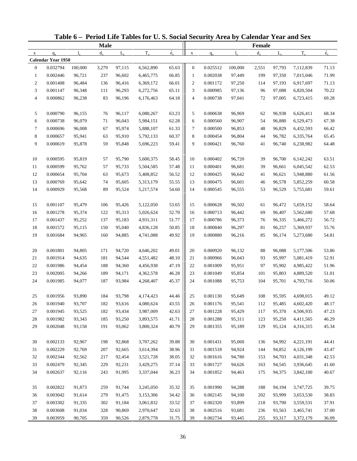|                |                    |         |             |             | Table 6 - Period Life Tables for U.S. Social Security Area by Calendar Year and Sex |             |                  |          |             |         |             |           |             |
|----------------|--------------------|---------|-------------|-------------|-------------------------------------------------------------------------------------|-------------|------------------|----------|-------------|---------|-------------|-----------|-------------|
|                |                    |         | <b>Male</b> |             |                                                                                     |             |                  |          |             | Female  |             |           |             |
| $\mathbf X$    | $q_{x}$            | 1.      | $d_{\rm v}$ | $L_{\rm v}$ | $T_{x}$                                                                             | $\dot{e}_x$ | $\mathbf X$      | $q_{x}$  | $1_{\rm v}$ | $d_{x}$ | $L_{\rm v}$ | $T_{x}$   | $\dot{e}_x$ |
|                | Calendar Year 1950 |         |             |             |                                                                                     |             |                  |          |             |         |             |           |             |
| $\mathbf{0}$   | 0.032794           | 100,000 | 3,279       | 97,115      | 6,562,890                                                                           | 65.63       | $\boldsymbol{0}$ | 0.025512 | 100,000     | 2,551   | 97,793      | 7,112,839 | 71.13       |
| $\mathbf{1}$   | 0.002446           | 96,721  | 237         | 96,602      | 6,465,775                                                                           | 66.85       | $\mathbf{1}$     | 0.002038 | 97,449      | 199     | 97,350      | 7,015,046 | 71.99       |
| $\overline{c}$ | 0.001408           | 96,484  | 136         | 96,416      | 6,369,172                                                                           | 66.01       | $\overline{c}$   | 0.001172 | 97,250      | 114     | 97,193      | 6,917,697 | 71.13       |
| 3              | 0.001147           | 96,348  | 111         | 96,293      | 6,272,756                                                                           | 65.11       | 3                | 0.000985 | 97,136      | 96      | 97,088      | 6,820,504 | 70.22       |
| $\overline{4}$ | 0.000862           | 96,238  | 83          | 96,196      | 6,176,463                                                                           | 64.18       | $\overline{4}$   | 0.000738 | 97,041      | 72      | 97,005      | 6,723,415 | 69.28       |
| 5              | 0.000790           | 96,155  | 76          | 96,117      | 6,080,267                                                                           | 63.23       | 5                | 0.000638 | 96,969      | 62      | 96,938      | 6,626,411 | 68.34       |
| 6              | 0.000738           | 96,079  | 71          | 96,043      | 5,984,151                                                                           | 62.28       | 6                | 0.000560 | 96,907      | 54      | 96,880      | 6,529,473 | 67.38       |
| $\tau$         | 0.000696           | 96,008  | 67          | 95,974      | 5,888,107                                                                           | 61.33       | 7                | 0.000500 | 96,853      | 48      | 96,829      | 6,432,593 | 66.42       |
| 8              | 0.000657           | 95,941  | 63          | 95,910      | 5,792,133                                                                           | 60.37       | 8                | 0.000454 | 96,804      | 44      | 96,782      | 6,335,764 | 65.45       |
| 9              | 0.000619           | 95,878  | 59          | 95,848      | 5,696,223                                                                           | 59.41       | 9                | 0.000421 | 96,760      | 41      | 96,740      | 6,238,982 | 64.48       |
| 10             | 0.000595           | 95,819  | 57          | 95,790      | 5,600,375                                                                           | 58.45       | 10               | 0.000402 | 96,720      | 39      | 96,700      | 6,142,242 | 63.51       |
| 11             | 0.000599           | 95,762  | 57          | 95,733      | 5,504,585                                                                           | 57.48       | 11               | 0.000401 | 96,681      | 39      | 96,661      | 6,045,542 | 62.53       |
| 12             | 0.000654           | 95,704  | 63          | 95,673      | 5,408,852                                                                           | 56.52       | 12               | 0.000425 | 96,642      | 41      | 96,621      | 5,948,880 | 61.56       |
| 13             | 0.000769           | 95,642  | 74          | 95,605      | 5,313,179                                                                           | 55.55       | 13               | 0.000475 | 96,601      | 46      | 96,578      | 5,852,259 | 60.58       |
| 14             | 0.000929           | 95,568  | 89          | 95,524      | 5,217,574                                                                           | 54.60       | 14               | 0.000545 | 96,555      | 53      | 96,529      | 5,755,681 | 59.61       |
| 15             | 0.001107           | 95,479  | 106         | 95,426      | 5,122,050                                                                           | 53.65       | 15               | 0.000628 | 96,502      | 61      | 96,472      | 5,659,152 | 58.64       |
| 16             | 0.001278           | 95,374  | 122         | 95,313      | 5,026,624                                                                           | 52.70       | 16               | 0.000713 | 96,442      | 69      | 96,407      | 5,562,680 | 57.68       |
| 17             | 0.001437           | 95,252  | 137         | 95,183      | 4,931,311                                                                           | 51.77       | 17               | 0.000786 | 96,373      | 76      | 96,335      | 5,466,272 | 56.72       |
| 18             | 0.001572           | 95,115  | 150         | 95,040      | 4,836,128                                                                           | 50.85       | 18               | 0.000840 | 96,297      | 81      | 96,257      | 5,369,937 | 55.76       |
| 19             | 0.001684           | 94,965  | 160         | 94,885      | 4,741,088                                                                           | 49.92       | 19               | 0.000880 | 96,216      | 85      | 96,174      | 5,273,680 | 54.81       |
| 20             | 0.001801           | 94,805  | 171         | 94,720      | 4,646,202                                                                           | 49.01       | 20               | 0.000920 | 96,132      | 88      | 96,088      | 5,177,506 | 53.86       |
| 21             | 0.001914           | 94,635  | 181         | 94,544      | 4,551,482                                                                           | 48.10       | 21               | 0.000966 | 96,043      | 93      | 95,997      | 5,081,419 | 52.91       |
| 22             | 0.001986           | 94,454  | 188         | 94,360      | 4,456,938                                                                           | 47.19       | 22               | 0.001009 | 95,951      | 97      | 95,902      | 4,985,422 | 51.96       |
| 23             | 0.002005           | 94,266  | 189         | 94,171      | 4,362,578                                                                           | 46.28       | 23               | 0.001049 | 95,854      | 101     | 95,803      | 4,889,520 | 51.01       |
| 24             | 0.001985           | 94,077  | 187         | 93,984      | 4,268,407                                                                           | 45.37       | 24               | 0.001088 | 95,753      | 104     | 95,701      | 4,793,716 | 50.06       |
|                |                    |         |             |             |                                                                                     |             |                  |          |             |         |             |           |             |
| 25             | 0.001956           | 93,890  | 184         | 93,798      | 4,174,423                                                                           | 44.46       | 25               | 0.001130 | 95,649      | 108     | 95,595      | 4,698,015 | 49.12       |
| 26             | 0.001940           | 93,707  | 182         | 93,616      | 4,080,624                                                                           | 43.55       | 26               | 0.001176 | 95,541      | 112     | 95,485      | 4,602,420 | 48.17       |
| 27             | 0.001945           | 93,525  | 182         | 93,434      | 3,987,009                                                                           | 42.63       | 27               | 0.001228 | 95,429      | 117     | 95,370      | 4,506,935 | 47.23       |
| 28             | 0.001982           | 93,343  | 185         | 93,250      | 3,893,575                                                                           | 41.71       | 28               | 0.001288 | 95,311      | 123     | 95,250      | 4,411,565 | 46.29       |
| 29             | 0.002048           | 93,158  | 191         | 93,062      | 3,800,324                                                                           | 40.79       | 29               | 0.001355 | 95,189      | 129     | 95,124      | 4,316,315 | 45.34       |
| 30             | 0.002133           | 92,967  | 198         | 92,868      | 3,707,262                                                                           | 39.88       | 30               | 0.001431 | 95,060      | 136     | 94,992      | 4,221,191 | 44.41       |
| 31             | 0.002229           | 92,769  | 207         | 92,665      | 3,614,394                                                                           | 38.96       | 31               | 0.001518 | 94,924      | 144     | 94,852      | 4,126,199 | 43.47       |
| 32             | 0.002344           | 92,562  | 217         | 92,454      | 3,521,728                                                                           | 38.05       | 32               | 0.001616 | 94,780      | 153     | 94,703      | 4,031,348 | 42.53       |
| 33             | 0.002479           | 92,345  | 229         | 92,231      | 3,429,275                                                                           | 37.14       | 33               | 0.001727 | 94,626      | 163     | 94,545      | 3,936,645 | 41.60       |
| 34             | 0.002637           | 92,116  | 243         | 91,995      | 3,337,044                                                                           | 36.23       | 34               | 0.001852 | 94,463      | 175     | 94,375      | 3,842,100 | 40.67       |
| 35             | 0.002822           | 91,873  | 259         | 91,744      | 3,245,050                                                                           | 35.32       | 35               | 0.001990 | 94,288      | 188     | 94,194      | 3,747,725 | 39.75       |
| 36             | 0.003042           | 91,614  | 279         | 91,475      | 3,153,306                                                                           | 34.42       | 36               | 0.002145 | 94,100      | 202     | 93,999      | 3,653,530 | 38.83       |
| 37             | 0.003302           | 91,335  | 302         | 91,184      | 3,061,832                                                                           | 33.52       | 37               | 0.002320 | 93,899      | 218     | 93,790      | 3,559,531 | 37.91       |
| 38             | 0.003608           | 91,034  | 328         | 90,869      | 2,970,647                                                                           | 32.63       | 38               | 0.002516 | 93,681      | 236     | 93,563      | 3,465,741 | 37.00       |
| 39             | 0.003959           | 90,705  | 359         | 90,526      | 2,879,778                                                                           | 31.75       | 39               | 0.002734 | 93,445      | 255     | 93,317      | 3,372,179 | 36.09       |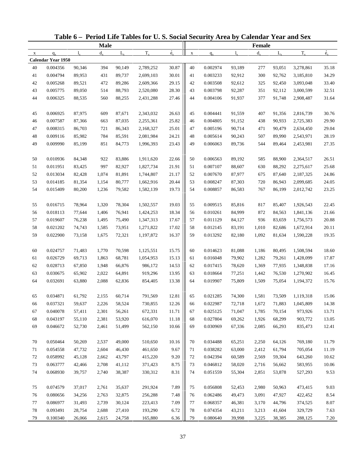|             |                           |        |             |             | Table 6 - Period Life Tables for U.S. Social Security Area by Calendar Year and Sex |                          |             |          |             |               |             |           |             |
|-------------|---------------------------|--------|-------------|-------------|-------------------------------------------------------------------------------------|--------------------------|-------------|----------|-------------|---------------|-------------|-----------|-------------|
|             |                           |        | <b>Male</b> |             |                                                                                     |                          |             |          |             | <b>Female</b> |             |           |             |
| $\mathbf X$ | $q_{x}$                   | 1.     | $d_{\rm v}$ | $L_{\rm v}$ | $T_{x}$                                                                             | $\overset{\circ}{e}_{x}$ | $\mathbf X$ | $q_{x}$  | $l_{\rm v}$ | $d_{\rm v}$   | $L_{\rm v}$ | $T_{x}$   | $\dot{e}_x$ |
|             | <b>Calendar Year 1950</b> |        |             |             |                                                                                     |                          |             |          |             |               |             |           |             |
| 40          | 0.004356                  | 90,346 | 394         | 90,149      | 2,789,252                                                                           | 30.87                    | 40          | 0.002974 | 93,189      | 277           | 93,051      | 3,278,861 | 35.18       |
| 41          | 0.004794                  | 89,953 | 431         | 89,737      | 2,699,103                                                                           | 30.01                    | 41          | 0.003233 | 92,912      | 300           | 92,762      | 3,185,810 | 34.29       |
| 42          | 0.005268                  | 89,521 | 472         | 89,286      | 2,609,366                                                                           | 29.15                    | 42          | 0.003508 | 92,612      | 325           | 92,450      | 3,093,048 | 33.40       |
| 43          | 0.005775                  | 89,050 | 514         | 88,793      | 2,520,080                                                                           | 28.30                    | 43          | 0.003798 | 92,287      | 351           | 92,112      | 3,000,599 | 32.51       |
| 44          | 0.006325                  | 88,535 | 560         | 88,255      | 2,431,288                                                                           | 27.46                    | 44          | 0.004106 | 91,937      | 377           | 91,748      | 2,908,487 | 31.64       |
| 45          | 0.006925                  | 87,975 | 609         | 87,671      | 2,343,032                                                                           | 26.63                    | 45          | 0.004441 | 91,559      | 407           | 91,356      | 2,816,739 | 30.76       |
| 46          | 0.007587                  | 87,366 | 663         | 87,035      | 2,255,361                                                                           | 25.82                    | 46          | 0.004805 | 91,152      | 438           | 90,933      | 2,725,383 | 29.90       |
| 47          | 0.008315                  | 86,703 | 721         | 86,343      | 2,168,327                                                                           | 25.01                    | 47          | 0.005196 | 90,714      | 471           | 90,479      | 2,634,450 | 29.04       |
| 48          | 0.009116                  | 85,982 | 784         | 85,591      | 2,081,984                                                                           | 24.21                    | 48          | 0.005614 | 90,243      | 507           | 89,990      | 2,543,971 | 28.19       |
| 49          | 0.009990                  | 85,199 | 851         | 84,773      | 1,996,393                                                                           | 23.43                    | 49          | 0.006063 | 89,736      | 544           | 89,464      | 2,453,981 | 27.35       |
| 50          | 0.010936                  | 84,348 | 922         | 83,886      | 1,911,620                                                                           | 22.66                    | 50          | 0.006563 | 89,192      | 585           | 88,900      | 2,364,517 | 26.51       |
| 51          | 0.011951                  | 83,425 | 997         | 82,927      | 1,827,734                                                                           | 21.91                    | 51          | 0.007107 | 88,607      | 630           | 88,292      | 2,275,617 | 25.68       |
| 52          | 0.013034                  | 82,428 | 1,074       | 81,891      | 1,744,807                                                                           | 21.17                    | 52          | 0.007670 | 87,977      | 675           | 87,640      | 2,187,325 | 24.86       |
| 53          | 0.014185                  | 81,354 | 1,154       | 80,777      | 1,662,916                                                                           | 20.44                    | 53          | 0.008247 | 87,303      | 720           | 86,943      | 2,099,685 | 24.05       |
| 54          | 0.015409                  | 80,200 | 1,236       | 79,582      | 1,582,139                                                                           | 19.73                    | 54          | 0.008857 | 86,583      | 767           | 86,199      | 2,012,742 | 23.25       |
| 55          | 0.016715                  | 78,964 | 1,320       | 78,304      | 1,502,557                                                                           | 19.03                    | 55          | 0.009515 | 85,816      | 817           | 85,407      | 1,926,543 | 22.45       |
| 56          | 0.018113                  | 77,644 | 1,406       | 76,941      | 1,424,253                                                                           | 18.34                    | 56          | 0.010261 | 84,999      | 872           | 84,563      | 1,841,136 | 21.66       |
| 57          | 0.019607                  | 76,238 | 1,495       | 75,490      | 1,347,313                                                                           | 17.67                    | 57          | 0.011129 | 84,127      | 936           | 83,659      | 1,756,573 | 20.88       |
| 58          | 0.021202                  | 74,743 | 1,585       | 73,951      | 1,271,822                                                                           | 17.02                    | 58          | 0.012145 | 83,191      | 1,010         | 82,686      | 1,672,914 | 20.11       |
| 59          | 0.022900                  | 73,158 | 1,675       | 72,321      | 1,197,872                                                                           | 16.37                    | 59          | 0.013292 | 82,180      | 1,092         | 81,634      | 1,590,228 | 19.35       |
| 60          | 0.024757                  | 71,483 | 1,770       | 70,598      | 1,125,551                                                                           | 15.75                    | 60          | 0.014623 | 81,088      | 1,186         | 80,495      | 1,508,594 | 18.60       |
| 61          | 0.026729                  | 69,713 | 1,863       | 68,781      | 1,054,953                                                                           | 15.13                    | 61          | 0.016048 | 79,902      | 1,282         | 79,261      | 1,428,099 | 17.87       |
| 62          | 0.028713                  | 67,850 | 1,948       | 66,876      | 986,172                                                                             | 14.53                    | 62          | 0.017415 | 78,620      | 1,369         | 77,935      | 1,348,838 | 17.16       |
| 63          | 0.030675                  | 65,902 | 2,022       | 64,891      | 919,296                                                                             | 13.95                    | 63          | 0.018664 | 77,251      | 1,442         | 76,530      | 1,270,902 | 16.45       |
| 64          | 0.032691                  | 63,880 | 2,088       | 62,836      | 854,405                                                                             | 13.38                    | 64          | 0.019907 | 75,809      | 1,509         | 75,054      | 1,194,372 | 15.76       |
| 65          | 0.034871                  | 61,792 | 2,155       | 60,714      | 791,569                                                                             | 12.81                    | 65          | 0.021285 | 74,300      | 1,581         | 73,509      | 1,119,318 | 15.06       |
| 66          | 0.037321                  | 59,637 | 2,226       | 58,524      | 730,855                                                                             | 12.26                    | 66          | 0.022987 | 72,718      | 1,672         | 71,883      | 1,045,809 | 14.38       |
| 67          | 0.040078                  | 57,411 | 2,301       | 56,261      | 672,331                                                                             | 11.71                    | 67          | 0.025125 | 71,047      | 1,785         | 70,154      | 973,926   | 13.71       |
| 68          | 0.043197                  | 55,110 | 2,381       | 53,920      | 616,070                                                                             | 11.18                    | 68          | 0.027804 | 69,262      | 1,926         | 68,299      | 903,772   | 13.05       |
| 69          | 0.046672                  | 52,730 | 2,461       | 51,499      | 562,150                                                                             | 10.66                    | 69          | 0.030969 | 67,336      | 2,085         | 66,293      | 835,473   | 12.41       |
| 70          | 0.050464                  | 50,269 | 2,537       | 49,000      | 510,650                                                                             | 10.16                    | 70          | 0.034488 | 65,251      | 2,250         | 64,126      | 769,180   | 11.79       |
| 71          | 0.054558                  | 47,732 | 2,604       | 46,430      | 461,650                                                                             | 9.67                     | 71          | 0.038282 | 63,000      | 2,412         | 61,794      | 705,054   | 11.19       |
| 72          | 0.058992                  | 45,128 | 2,662       | 43,797      | 415,220                                                                             | 9.20                     | 72          | 0.042394 | 60,589      | 2,569         | 59,304      | 643,260   | 10.62       |
| 73          | 0.063777                  | 42,466 | 2,708       | 41,112      | 371,423                                                                             | 8.75                     | 73          | 0.046812 | 58,020      | 2,716         | 56,662      | 583,955   | 10.06       |
| 74          | 0.068930                  | 39,757 | 2,740       | 38,387      | 330,312                                                                             | 8.31                     | 74          | 0.051559 | 55,304      | 2,851         | 53,878      | 527,293   | 9.53        |
| 75          | 0.074579                  | 37,017 | 2,761       | 35,637      | 291,924                                                                             | 7.89                     | 75          | 0.056808 | 52,453      | 2,980         | 50,963      | 473,415   | 9.03        |
| 76          | 0.080656                  | 34,256 | 2,763       | 32,875      | 256,288                                                                             | 7.48                     | 76          | 0.062486 | 49,473      | 3,091         | 47,927      | 422,452   | 8.54        |
| 77          | 0.086977                  | 31,493 | 2,739       | 30,124      | 223,413                                                                             | 7.09                     | 77          | 0.068357 | 46,381      | 3,170         | 44,796      | 374,525   | 8.07        |
| 78          | 0.093491                  | 28,754 | 2,688       | 27,410      | 193,290                                                                             | 6.72                     | 78          | 0.074354 | 43,211      | 3,213         | 41,604      | 329,729   | 7.63        |
| 79          | 0.100340                  | 26,066 | 2,615       | 24,758      | 165,880                                                                             | 6.36                     | 79          | 0.080640 | 39,998      | 3,225         | 38,385      | 288,125   | 7.20        |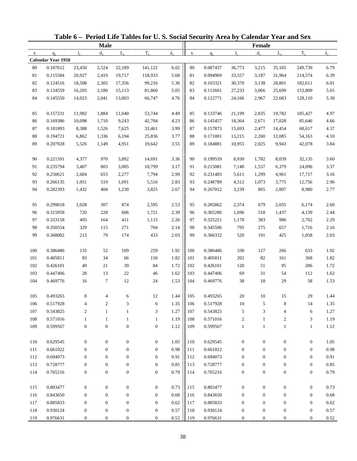|              |                    |                  |                  |                  | Table 6 - Period Life Tables for U.S. Social Security Area by Calendar Year and Sex |                          |             |          |                  |                  |                  |                  |             |
|--------------|--------------------|------------------|------------------|------------------|-------------------------------------------------------------------------------------|--------------------------|-------------|----------|------------------|------------------|------------------|------------------|-------------|
|              |                    |                  | <b>Male</b>      |                  |                                                                                     |                          |             |          |                  | Female           |                  |                  |             |
| $\mathbf{x}$ | $q_{x}$            | $l_{\rm v}$      | $d_{x}$          | $L_{\rm v}$      | $T_{x}$                                                                             | $\overset{\circ}{e}_{x}$ | $\mathbf X$ | $q_{x}$  | $l_{\rm v}$      | $d_{x}$          | $L_{\rm v}$      | $T_{x}$          | $\dot{e}_x$ |
|              | Calendar Year 1950 |                  |                  |                  |                                                                                     |                          |             |          |                  |                  |                  |                  |             |
| 80           | 0.107612           | 23,450           | 2,524            | 22,189           | 141,122                                                                             | 6.02                     | 80          | 0.087437 | 36,773           | 3,215            | 35,165           | 249,739          | 6.79        |
| 81           | 0.115584           | 20,927           | 2,419            | 19,717           | 118,933                                                                             | 5.68                     | 81          | 0.094969 | 33,557           | 3,187            | 31,964           | 214,574          | 6.39        |
| 82           | 0.124516           | 18,508           | 2,305            | 17,356           | 99,216                                                                              | 5.36                     | 82          | 0.103321 | 30,370           | 3,138            | 28,801           | 182,611          | 6.01        |
| 83           | 0.134559           | 16,203           | 2,180            | 15,113           | 81,860                                                                              | 5.05                     | 83          | 0.112601 | 27,233           | 3,066            | 25,699           | 153,809          | 5.65        |
| 84           | 0.145550           | 14,023           | 2,041            | 13,003           | 66,747                                                                              | 4.76                     | 84          | 0.122771 | 24,166           | 2,967            | 22,683           | 128,110          | 5.30        |
| 85           | 0.157231           | 11,982           | 1,884            | 11,040           | 53,744                                                                              | 4.49                     | 85          | 0.133746 | 21,199           | 2,835            | 19,782           | 105,427          | 4.97        |
| 86           | 0.169386           | 10,098           | 1,710            | 9,243            | 42,704                                                                              | 4.23                     | 86          | 0.145457 | 18,364           | 2,671            | 17,028           | 85,646           | 4.66        |
| 87           | 0.181893           | 8,388            | 1,526            | 7,625            | 33,461                                                                              | 3.99                     | 87          | 0.157873 | 15,693           | 2,477            | 14,454           | 68,617           | 4.37        |
| $88\,$       | 0.194721           | 6,862            | 1,336            | 6,194            | 25,836                                                                              | 3.77                     | 88          | 0.171001 | 13,215           | 2,260            | 12,085           | 54,163           | 4.10        |
| 89           | 0.207928           | 5,526            | 1,149            | 4,951            | 19,642                                                                              | 3.55                     | 89          | 0.184881 | 10,955           | 2,025            | 9,943            | 42,078           | 3.84        |
| 90           | 0.221591           | 4,377            | 970              | 3,892            | 14,691                                                                              | 3.36                     | 90          | 0.199559 | 8,930            | 1,782            | 8,039            | 32,135           | 3.60        |
| 91           | 0.235794           | 3,407            | 803              | 3,005            | 10,799                                                                              | 3.17                     | 91          | 0.215081 | 7,148            | 1,537            | 6,379            | 24,096           | 3.37        |
| 92           | 0.250621           | 2,604            | 653              | 2,277            | 7,794                                                                               | 2.99                     | 92          | 0.231483 | 5,611            | 1,299            | 4,961            | 17,717           | 3.16        |
| 93           | 0.266135           | 1,951            | 519              | 1,691            | 5,516                                                                               | 2.83                     | 93          | 0.248789 | 4,312            | 1,073            | 3,775            | 12,756           | 2.96        |
| 94           | 0.282393           | 1,432            | 404              | 1,230            | 3,825                                                                               | 2.67                     | 94          | 0.267012 | 3,239            | 865              | 2,807            | 8,980            | 2.77        |
| 95           | 0.299018           | 1,028            | 307              | 874              | 2,595                                                                               | 2.53                     | 95          | 0.285862 | 2,374            | 679              | 2,035            | 6,174            | 2.60        |
| 96           | 0.315958           | 720              | 228              | 606              | 1,721                                                                               | 2.39                     | 96          | 0.305286 | 1,696            | 518              | 1,437            | 4,139            | 2.44        |
| 97           | 0.333158           | 493              | 164              | 411              | 1,115                                                                               | 2.26                     | 97          | 0.325221 | 1,178            | 383              | 986              | 2,702            | 2.29        |
| 98           | 0.350554           | 329              | 115              | 271              | 704                                                                                 | 2.14                     | 98          | 0.345596 | 795              | 275              | 657              | 1,716            | 2.16        |
| 99           | 0.368082           | 213              | 79               | 174              | 433                                                                                 | 2.03                     | 99          | 0.366332 | 520              | 191              | 425              | 1,058            | 2.03        |
| 100          | 0.386486           | 135              | 52               | 109              | 259                                                                                 | 1.92                     | 100         | 0.386486 | 330              | 127              | 266              | 633              | 1.92        |
| 101          | 0.405811           | 83               | 34               | 66               | 150                                                                                 | 1.82                     | 101         | 0.405811 | 202              | 82               | 161              | 368              | 1.82        |
| 102          | 0.426101           | 49               | 21               | 39               | 84                                                                                  | 1.72                     | 102         | 0.426101 | 120              | 51               | 95               | 206              | 1.72        |
| 103          | 0.447406           | $28\,$           | 13               | 22               | 46                                                                                  | 1.62                     | 103         | 0.447406 | 69               | 31               | 54               | 112              | 1.62        |
| 104          | 0.469776           | 16               | $\tau$           | 12               | 24                                                                                  | 1.53                     | 104         | 0.469776 | 38               | 18               | 29               | 58               | 1.53        |
|              |                    |                  |                  |                  |                                                                                     |                          |             |          |                  |                  |                  |                  |             |
| 105          | 0.493265           | 8                |                  | 6                | 12                                                                                  | 1.44                     | 105         | 0.493265 | $20\,$           | 10               | 15               | 29               | 1.44        |
| 106          | 0.517928           | 4                | $\boldsymbol{2}$ | 3                | 6                                                                                   | 1.35                     | 106         | 0.517928 | $10\,$           | 5                | 8                | 14               | 1.35        |
| 107          | 0.543825           | $\boldsymbol{2}$ | $\mathbf{1}$     | $\mathbf{1}$     | 3                                                                                   | 1.27                     | 107         | 0.543825 | 5                | 3                | 4                | 6                | 1.27        |
| 108          | 0.571016           | $\mathbf{1}$     | $\mathbf{1}$     | $\mathbf{1}$     | $\mathbf{1}$                                                                        | 1.19                     | 108         | 0.571016 | $\overline{c}$   | $\mathbf{1}$     | $\overline{c}$   | 3                | 1.19        |
| 109          | 0.599567           | $\boldsymbol{0}$ | $\boldsymbol{0}$ | $\boldsymbol{0}$ | $\boldsymbol{0}$                                                                    | 1.12                     | 109         | 0.599567 | $\mathbf{1}$     | $\mathbf{1}$     | $\mathbf{1}$     | $\mathbf{1}$     | 1.12        |
| 110          | 0.629545           | $\boldsymbol{0}$ | $\boldsymbol{0}$ | $\boldsymbol{0}$ | $\boldsymbol{0}$                                                                    | 1.05                     | 110         | 0.629545 | $\boldsymbol{0}$ | $\boldsymbol{0}$ | $\boldsymbol{0}$ | $\boldsymbol{0}$ | 1.05        |
| 111          | 0.661022           | $\boldsymbol{0}$ | $\mathbf{0}$     | $\boldsymbol{0}$ | $\mathbf{0}$                                                                        | 0.98                     | 111         | 0.661022 | $\boldsymbol{0}$ | $\mathbf{0}$     | $\boldsymbol{0}$ | $\boldsymbol{0}$ | 0.98        |
| 112          | 0.694073           | $\boldsymbol{0}$ | $\boldsymbol{0}$ | $\boldsymbol{0}$ | $\mathbf{0}$                                                                        | 0.91                     | 112         | 0.694073 | $\mathbf{0}$     | $\theta$         | 0                | $\boldsymbol{0}$ | 0.91        |
| 113          | 0.728777           | $\boldsymbol{0}$ | $\boldsymbol{0}$ | $\boldsymbol{0}$ | $\boldsymbol{0}$                                                                    | 0.85                     | 113         | 0.728777 | $\boldsymbol{0}$ | $\boldsymbol{0}$ | $\boldsymbol{0}$ | $\boldsymbol{0}$ | $0.85\,$    |
| 114          | 0.765216           | $\boldsymbol{0}$ | $\boldsymbol{0}$ | $\boldsymbol{0}$ | $\boldsymbol{0}$                                                                    | 0.79                     | 114         | 0.765216 | $\boldsymbol{0}$ | $\boldsymbol{0}$ | $\boldsymbol{0}$ | $\boldsymbol{0}$ | 0.79        |
| 115          | 0.803477           | $\boldsymbol{0}$ | $\boldsymbol{0}$ | $\boldsymbol{0}$ | $\boldsymbol{0}$                                                                    | 0.73                     | 115         | 0.803477 | $\boldsymbol{0}$ | $\boldsymbol{0}$ | $\boldsymbol{0}$ | $\boldsymbol{0}$ | 0.73        |
| 116          | 0.843650           | $\boldsymbol{0}$ | $\boldsymbol{0}$ | $\boldsymbol{0}$ | $\boldsymbol{0}$                                                                    | 0.68                     | 116         | 0.843650 | $\boldsymbol{0}$ | $\boldsymbol{0}$ | $\mathbf{0}$     | $\boldsymbol{0}$ | $0.68\,$    |
| 117          | 0.885833           | $\boldsymbol{0}$ | $\boldsymbol{0}$ | $\boldsymbol{0}$ | $\boldsymbol{0}$                                                                    | 0.62                     | 117         | 0.885833 | $\boldsymbol{0}$ | $\boldsymbol{0}$ | $\boldsymbol{0}$ | $\boldsymbol{0}$ | 0.62        |
| 118          | 0.930124           | $\boldsymbol{0}$ | $\boldsymbol{0}$ | $\boldsymbol{0}$ | $\boldsymbol{0}$                                                                    | 0.57                     | 118         | 0.930124 | $\boldsymbol{0}$ | $\boldsymbol{0}$ | $\boldsymbol{0}$ | $\boldsymbol{0}$ | 0.57        |
| 119          | 0.976631           | $\boldsymbol{0}$ | $\mathbf{0}$     | $\boldsymbol{0}$ | $\mathbf{0}$                                                                        | $0.52\,$                 | 119         | 0.976631 | $\boldsymbol{0}$ | $\mathbf{0}$     | $\mathbf{0}$     | $\boldsymbol{0}$ | 0.52        |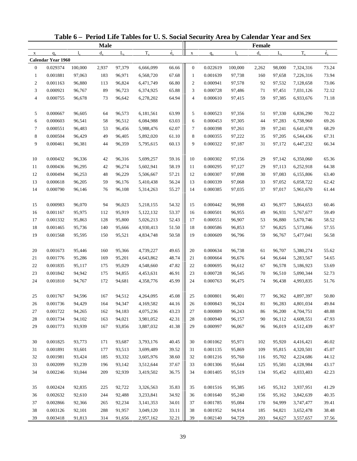|                |                    |             |             |             | Table 6 - Period Life Tables for U.S. Social Security Area by Calendar Year and Sex |                          |                  |          |             |               |             |           |             |
|----------------|--------------------|-------------|-------------|-------------|-------------------------------------------------------------------------------------|--------------------------|------------------|----------|-------------|---------------|-------------|-----------|-------------|
|                |                    |             | <b>Male</b> |             |                                                                                     |                          |                  |          |             | <b>Female</b> |             |           |             |
| $\mathbf X$    | $q_{x}$            | $l_{\rm v}$ | $d_{\rm v}$ | $L_{\rm v}$ | $T_{x}$                                                                             | $\overset{\circ}{e}_{x}$ | $\mathbf X$      | $q_{x}$  | $l_{\rm x}$ | $d_{x}$       | $L_{\rm v}$ | $T_{x}$   | $\dot{e}_x$ |
|                | Calendar Year 1960 |             |             |             |                                                                                     |                          |                  |          |             |               |             |           |             |
| $\mathbf{0}$   | 0.029374           | 100,000     | 2,937       | 97,379      | 6,666,099                                                                           | 66.66                    | $\mathbf{0}$     | 0.022619 | 100,000     | 2,262         | 98,000      | 7,324,316 | 73.24       |
| 1              | 0.001881           | 97,063      | 183         | 96,971      | 6,568,720                                                                           | 67.68                    | $\mathbf{1}$     | 0.001639 | 97,738      | 160           | 97,658      | 7,226,316 | 73.94       |
| $\overline{c}$ | 0.001163           | 96,880      | 113         | 96,824      | 6,471,749                                                                           | 66.80                    | $\boldsymbol{2}$ | 0.000941 | 97,578      | 92            | 97,532      | 7,128,658 | 73.06       |
| 3              | 0.000921           | 96,767      | 89          | 96,723      | 6,374,925                                                                           | 65.88                    | 3                | 0.000728 | 97,486      | 71            | 97,451      | 7,031,126 | 72.12       |
| 4              | 0.000755           | 96,678      | 73          | 96,642      | 6,278,202                                                                           | 64.94                    | 4                | 0.000610 | 97,415      | 59            | 97,385      | 6,933,676 | 71.18       |
| 5              | 0.000667           | 96,605      | 64          | 96,573      | 6,181,561                                                                           | 63.99                    | 5                | 0.000523 | 97,356      | 51            | 97,330      | 6,836,290 | 70.22       |
| 6              | 0.000603           | 96,541      | 58          | 96,512      | 6,084,988                                                                           | 63.03                    | 6                | 0.000453 | 97,305      | 44            | 97,283      | 6,738,960 | 69.26       |
| $\tau$         | 0.000551           | 96,483      | 53          | 96,456      | 5,988,476                                                                           | 62.07                    | 7                | 0.000398 | 97,261      | 39            | 97,241      | 6,641,678 | 68.29       |
| 8              | 0.000504           | 96,429      | 49          | 96,405      | 5,892,020                                                                           | 61.10                    | 8                | 0.000355 | 97,222      | 35            | 97,205      | 6,544,436 | 67.31       |
| 9              | 0.000461           | 96,381      | 44          | 96,359      | 5,795,615                                                                           | 60.13                    | 9                | 0.000322 | 97,187      | 31            | 97,172      | 6,447,232 | 66.34       |
| 10             | 0.000432           | 96,336      | 42          | 96,316      | 5,699,257                                                                           | 59.16                    | 10               | 0.000302 | 97,156      | 29            | 97,142      | 6,350,060 | 65.36       |
| 11             | 0.000436           | 96,295      | 42          | 96,274      | 5,602,941                                                                           | 58.19                    | 11               | 0.000295 | 97,127      | 29            | 97,113      | 6,252,918 | 64.38       |
| 12             | 0.000494           | 96,253      | 48          | 96,229      | 5,506,667                                                                           | 57.21                    | 12               | 0.000307 | 97,098      | 30            | 97,083      | 6,155,806 | 63.40       |
| 13             | 0.000618           | 96,205      | 59          | 96,176      | 5,410,438                                                                           | 56.24                    | 13               | 0.000339 | 97,068      | 33            | 97,052      | 6,058,722 | 62.42       |
| 14             | 0.000790           | 96,146      | 76          | 96,108      | 5,314,263                                                                           | 55.27                    | 14               | 0.000385 | 97,035      | 37            | 97,017      | 5,961,670 | 61.44       |
| 15             | 0.000983           | 96,070      | 94          | 96,023      | 5,218,155                                                                           | 54.32                    | 15               | 0.000442 | 96,998      | 43            | 96,977      | 5,864,653 | 60.46       |
| 16             | 0.001167           | 95,975      | 112         | 95,919      | 5,122,132                                                                           | 53.37                    | 16               | 0.000501 | 96,955      | 49            | 96,931      | 5,767,677 | 59.49       |
| 17             | 0.001332           | 95,863      | 128         | 95,800      | 5,026,213                                                                           | 52.43                    | 17               | 0.000551 | 96,907      | 53            | 96,880      | 5,670,746 | 58.52       |
| 18             | 0.001465           | 95,736      | 140         | 95,666      | 4,930,413                                                                           | 51.50                    | 18               | 0.000586 | 96,853      | 57            | 96,825      | 5,573,866 | 57.55       |
| 19             | 0.001568           | 95,595      | 150         | 95,521      | 4,834,748                                                                           | 50.58                    | 19               | 0.000609 | 96,796      | 59            | 96,767      | 5,477,041 | 56.58       |
|                |                    |             |             |             |                                                                                     |                          |                  |          |             |               |             |           |             |
| 20             | 0.001673           | 95,446      | 160         | 95,366      | 4,739,227                                                                           | 49.65                    | 20               | 0.000634 | 96,738      | 61            | 96,707      | 5,380,274 | 55.62       |
| 21             | 0.001776           | 95,286      | 169         | 95,201      | 4,643,862                                                                           | 48.74                    | 21               | 0.000664 | 96,676      | 64            | 96,644      | 5,283,567 | 54.65       |
| 22             | 0.001835           | 95,117      | 175         | 95,029      | 4,548,660                                                                           | 47.82                    | 22               | 0.000695 | 96,612      | 67            | 96,578      | 5,186,923 | 53.69       |
| 23             | 0.001842           | 94,942      | 175         | 94,855      | 4,453,631                                                                           | 46.91                    | 23               | 0.000728 | 96,545      | 70            | 96,510      | 5,090,344 | 52.73       |
| 24             | 0.001810           | 94,767      | 172         | 94,681      | 4,358,776                                                                           | 45.99                    | 24               | 0.000763 | 96,475      | 74            | 96,438      | 4,993,835 | 51.76       |
| 25             | 0.001767           | 94,596      | 167         | 94,512      | 4,264,095                                                                           | 45.08                    | 25               | 0.000801 | 96,401      | $77 \,$       | 96,362      | 4,897,397 | 50.80       |
| 26             | 0.001736           | 94,429      | 164         | 94,347      | 4,169,582                                                                           | 44.16                    | 26               | 0.000843 | 96,324      | 81            | 96,283      | 4,801,034 | 49.84       |
| 27             | 0.001722           | 94,265      | 162         | 94,183      | 4,075,236                                                                           | 43.23                    | 27               | 0.000889 | 96,243      | 86            | 96,200      | 4,704,751 | 48.88       |
| 28             | 0.001734           | 94,102      | 163         | 94,021      | 3,981,052                                                                           | 42.31                    | 28               | 0.000940 | 96,157      | 90            | 96,112      | 4,608,551 | 47.93       |
| 29             | 0.001773           | 93,939      | 167         | 93,856      | 3,887,032                                                                           | 41.38                    | 29               | 0.000997 | 96,067      | 96            | 96,019      | 4,512,439 | 46.97       |
| 30             | 0.001825           | 93,773      | 171         | 93,687      | 3,793,176                                                                           | 40.45                    | 30               | 0.001062 | 95,971      | 102           | 95,920      | 4,416,421 | 46.02       |
| 31             | 0.001891           | 93,601      | 177         | 93,513      | 3,699,489                                                                           | 39.52                    | 31               | 0.001135 | 95,869      | 109           | 95,815      | 4,320,501 | 45.07       |
| 32             | 0.001981           | 93,424      | 185         | 93,332      | 3,605,976                                                                           | 38.60                    | 32               | 0.001216 | 95,760      | 116           | 95,702      | 4,224,686 | 44.12       |
| 33             | 0.002099           | 93,239      | 196         | 93,142      | 3,512,644                                                                           | 37.67                    | 33               | 0.001306 | 95,644      | 125           | 95,581      | 4,128,984 | 43.17       |
| 34             | 0.002246           | 93,044      | 209         | 92,939      | 3,419,502                                                                           | 36.75                    | 34               | 0.001405 | 95,519      | 134           | 95,452      | 4,033,403 | 42.23       |
|                |                    |             |             |             |                                                                                     |                          |                  |          |             |               |             |           |             |
| 35             | 0.002424           | 92,835      | 225         | 92,722      | 3,326,563                                                                           | 35.83                    | 35               | 0.001516 | 95,385      | 145           | 95,312      | 3,937,951 | 41.29       |
| 36             | 0.002632           | 92,610      | 244         | 92,488      | 3,233,841                                                                           | 34.92                    | 36               | 0.001640 | 95,240      | 156           | 95,162      | 3,842,639 | 40.35       |
| 37             | 0.002866           | 92,366      | 265         | 92,234      | 3,141,353                                                                           | 34.01                    | 37               | 0.001785 | 95,084      | 170           | 94,999      | 3,747,477 | 39.41       |
| 38             | 0.003126           | 92,101      | 288         | 91,957      | 3,049,120                                                                           | 33.11                    | 38               | 0.001952 | 94,914      | 185           | 94,821      | 3,652,478 | 38.48       |
| 39             | 0.003418           | 91,813      | 314         | 91,656      | 2,957,162                                                                           | 32.21                    | 39               | 0.002140 | 94,729      | 203           | 94,627      | 3,557,657 | 37.56       |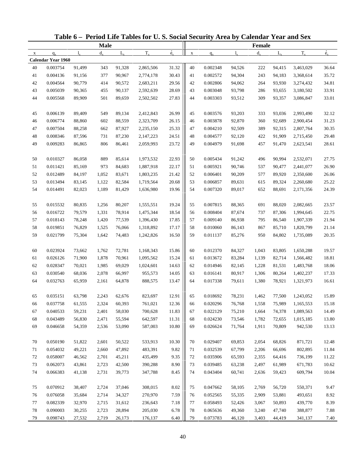|             |                           |        |             |             | Table 6 - Period Life Tables for U.S. Social Security Area by Calendar Year and Sex |                          |             |          |             |         |             |           |             |
|-------------|---------------------------|--------|-------------|-------------|-------------------------------------------------------------------------------------|--------------------------|-------------|----------|-------------|---------|-------------|-----------|-------------|
|             |                           |        | <b>Male</b> |             |                                                                                     |                          |             |          |             | Female  |             |           |             |
| $\mathbf X$ | $q_{x}$                   | 1.     | $d_{\rm v}$ | $L_{\rm v}$ | $T_{x}$                                                                             | $\overset{\circ}{e}_{x}$ | $\mathbf X$ | $q_{x}$  | $l_{\rm v}$ | $d_{x}$ | $L_{\rm v}$ | $T_{x}$   | $\dot{e}_x$ |
|             | <b>Calendar Year 1960</b> |        |             |             |                                                                                     |                          |             |          |             |         |             |           |             |
| 40          | 0.003754                  | 91,499 | 343         | 91,328      | 2,865,506                                                                           | 31.32                    | 40          | 0.002348 | 94,526      | 222     | 94,415      | 3,463,029 | 36.64       |
| 41          | 0.004136                  | 91,156 | 377         | 90,967      | 2,774,178                                                                           | 30.43                    | 41          | 0.002572 | 94,304      | 243     | 94,183      | 3,368,614 | 35.72       |
| 42          | 0.004564                  | 90,779 | 414         | 90,572      | 2,683,211                                                                           | 29.56                    | 42          | 0.002806 | 94,062      | 264     | 93,930      | 3,274,432 | 34.81       |
| 43          | 0.005039                  | 90,365 | 455         | 90,137      | 2,592,639                                                                           | 28.69                    | 43          | 0.003048 | 93,798      | 286     | 93,655      | 3,180,502 | 33.91       |
| 44          | 0.005568                  | 89,909 | 501         | 89,659      | 2,502,502                                                                           | 27.83                    | 44          | 0.003303 | 93,512      | 309     | 93,357      | 3,086,847 | 33.01       |
| 45          | 0.006139                  | 89,409 | 549         | 89,134      | 2,412,843                                                                           | 26.99                    | 45          | 0.003576 | 93,203      | 333     | 93,036      | 2,993,490 | 32.12       |
| 46          | 0.006774                  | 88,860 | 602         | 88,559      | 2,323,709                                                                           | 26.15                    | 46          | 0.003878 | 92,870      | 360     | 92,689      | 2,900,454 | 31.23       |
| 47          | 0.007504                  | 88,258 | 662         | 87,927      | 2,235,150                                                                           | 25.33                    | 47          | 0.004210 | 92,509      | 389     | 92,315      | 2,807,764 | 30.35       |
| 48          | 0.008346                  | 87,596 | 731         | 87,230      | 2,147,223                                                                           | 24.51                    | 48          | 0.004577 | 92,120      | 422     | 91,909      | 2,715,450 | 29.48       |
| 49          | 0.009283                  | 86,865 | 806         | 86,461      | 2,059,993                                                                           | 23.72                    | 49          | 0.004979 | 91,698      | 457     | 91,470      | 2,623,541 | 28.61       |
| 50          | 0.010327                  | 86,058 | 889         | 85,614      | 1,973,532                                                                           | 22.93                    | 50          | 0.005434 | 91,242      | 496     | 90,994      | 2,532,071 | 27.75       |
| 51          | 0.011421                  | 85,169 | 973         | 84,683      | 1,887,918                                                                           | 22.17                    | 51          | 0.005921 | 90,746      | 537     | 90,477      | 2,441,077 | 26.90       |
| 52          | 0.012489                  | 84,197 | 1,052       | 83,671      | 1,803,235                                                                           | 21.42                    | 52          | 0.006401 | 90,209      | 577     | 89,920      | 2,350,600 | 26.06       |
| 53          | 0.013494                  | 83,145 | 1,122       | 82,584      | 1,719,564                                                                           | 20.68                    | 53          | 0.006857 | 89,631      | 615     | 89,324      | 2,260,680 | 25.22       |
| 54          | 0.014491                  | 82,023 | 1,189       | 81,429      | 1,636,980                                                                           | 19.96                    | 54          | 0.007320 | 89,017      | 652     | 88,691      | 2,171,356 | 24.39       |
| 55          | 0.015532                  | 80,835 | 1,256       | 80,207      | 1,555,551                                                                           | 19.24                    | 55          | 0.007815 | 88,365      | 691     | 88,020      | 2,082,665 | 23.57       |
| 56          | 0.016722                  | 79,579 | 1,331       | 78,914      | 1,475,344                                                                           | 18.54                    | 56          | 0.008404 | 87,674      | 737     | 87,306      | 1,994,645 | 22.75       |
| 57          | 0.018143                  | 78,248 | 1,420       | 77,539      | 1,396,430                                                                           | 17.85                    | 57          | 0.009140 | 86,938      | 795     | 86,540      | 1,907,339 | 21.94       |
| 58          | 0.019851                  | 76,829 | 1,525       | 76,066      | 1,318,892                                                                           | 17.17                    | 58          | 0.010060 | 86,143      | 867     | 85,710      | 1,820,799 | 21.14       |
| 59          | 0.021799                  | 75,304 | 1,642       | 74,483      | 1,242,826                                                                           | 16.50                    | 59          | 0.011137 | 85,276      | 950     | 84,802      | 1,735,089 | 20.35       |
| 60          | 0.023924                  | 73,662 | 1,762       | 72,781      | 1,168,343                                                                           | 15.86                    | 60          | 0.012370 | 84,327      | 1,043   | 83,805      | 1,650,288 | 19.57       |
| 61          | 0.026126                  | 71,900 | 1,878       | 70,961      | 1,095,562                                                                           | 15.24                    | 61          | 0.013672 | 83,284      | 1,139   | 82,714      | 1,566,482 | 18.81       |
| 62          | 0.028347                  | 70,021 | 1,985       | 69,029      | 1,024,601                                                                           | 14.63                    | 62          | 0.014946 | 82,145      | 1,228   | 81,531      | 1,483,768 | 18.06       |
| 63          | 0.030540                  | 68,036 | 2,078       | 66,997      | 955,573                                                                             | 14.05                    | 63          | 0.016141 | 80,917      | 1,306   | 80,264      | 1,402,237 | 17.33       |
| 64          | 0.032763                  | 65,959 | 2,161       | 64,878      | 888,575                                                                             | 13.47                    | 64          | 0.017338 | 79,611      | 1,380   | 78,921      | 1,321,973 | 16.61       |
|             |                           |        |             |             |                                                                                     |                          |             |          |             |         |             |           |             |
| 65          | 0.035151                  | 63,798 | 2,243       | 62,676      | 823,697                                                                             | 12.91                    | 65          | 0.018692 | 78,231      | 1,462   | 77,500      | 1,243,052 | 15.89       |
| 66          | 0.037758                  | 61,555 | 2,324       | 60,393      | 761,021                                                                             | 12.36                    | 66          | 0.020296 | 76,768      | 1,558   | 75,989      | 1,165,553 | 15.18       |
| 67          | 0.040533                  | 59,231 | 2,401       | 58,030      | 700,628                                                                             | 11.83                    | 67          | 0.022129 | 75,210      | 1,664   | 74,378      | 1,089,563 | 14.49       |
| 68          | 0.043489                  | 56,830 | 2,471       | 55,594      | 642,597                                                                             | 11.31                    | 68          | 0.024230 | 73,546      | 1,782   | 72,655      | 1,015,185 | 13.80       |
| 69          | 0.046658                  | 54,359 | 2,536       | 53,090      | 587,003                                                                             | 10.80                    | 69          | 0.026624 | 71,764      | 1,911   | 70,809      | 942,530   | 13.13       |
| 70          | 0.050190                  | 51,822 | 2,601       | 50,522      | 533,913                                                                             | 10.30                    | 70          | 0.029407 | 69,853      | 2,054   | 68,826      | 871,721   | 12.48       |
| 71          | 0.054032                  | 49,221 | 2,660       | 47,892      | 483,391                                                                             | 9.82                     | 71          | 0.032539 | 67,799      | 2,206   | 66,696      | 802,895   | 11.84       |
| 72          | 0.058007                  | 46,562 | 2,701       | 45,211      | 435,499                                                                             | 9.35                     | 72          | 0.035906 | 65,593      | 2,355   | 64,416      | 736,199   | 11.22       |
| 73          | 0.062073                  | 43,861 | 2,723       | 42,500      | 390,288                                                                             | 8.90                     | 73          | 0.039485 | 63,238      | 2,497   | 61,989      | 671,783   | 10.62       |
| 74          | 0.066383                  | 41,138 | 2,731       | 39,773      | 347,788                                                                             | 8.45                     | 74          | 0.043404 | 60,741      | 2,636   | 59,423      | 609,794   | 10.04       |
| 75          | 0.070912                  | 38,407 | 2,724       | 37,046      | 308,015                                                                             | 8.02                     | 75          | 0.047662 | 58,105      | 2,769   | 56,720      | 550,371   | 9.47        |
| 76          | 0.076058                  | 35,684 | 2,714       | 34,327      | 270,970                                                                             | 7.59                     | 76          | 0.052565 | 55,335      | 2,909   | 53,881      | 493,651   | 8.92        |
| 77          | 0.082339                  | 32,970 | 2,715       | 31,612      | 236,643                                                                             | 7.18                     | 77          | 0.058493 | 52,426      | 3,067   | 50,893      | 439,770   | 8.39        |
| 78          | 0.090003                  | 30,255 | 2,723       | 28,894      | 205,030                                                                             | 6.78                     | 78          | 0.065636 | 49,360      | 3,240   | 47,740      | 388,877   | 7.88        |
| 79          | 0.098743                  | 27,532 | 2,719       | 26,173      | 176,137                                                                             | 6.40                     | 79          | 0.073783 | 46,120      | 3,403   | 44,419      | 341,137   | 7.40        |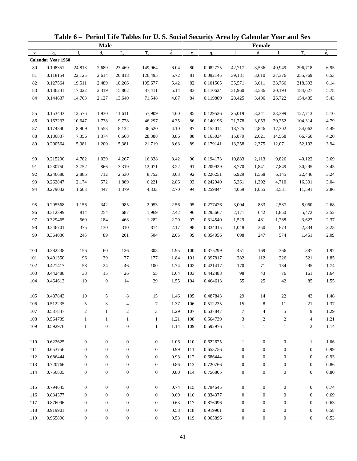|              |                      |                              |                                  |                                  | Table 6 - Period Life Tables for U.S. Social Security Area by Calendar Year and Sex |                          |             |                      |                   |                                  |                            |                                    |              |
|--------------|----------------------|------------------------------|----------------------------------|----------------------------------|-------------------------------------------------------------------------------------|--------------------------|-------------|----------------------|-------------------|----------------------------------|----------------------------|------------------------------------|--------------|
|              |                      |                              | <b>Male</b>                      |                                  |                                                                                     |                          |             |                      |                   | Female                           |                            |                                    |              |
| $\mathbf{x}$ | $q_{x}$              | $l_{\rm x}$                  | $d_{\rm v}$                      | $L_{\rm v}$                      | $T_{x}$                                                                             | $\overset{\circ}{e}_{x}$ | $\mathbf X$ | $q_{x}$              | $l_{\rm v}$       | $d_{x}$                          | $L_{\rm v}$                | $T_{x}$                            | $\dot{e}_x$  |
|              | Calendar Year 1960   |                              |                                  |                                  |                                                                                     |                          |             |                      |                   |                                  |                            |                                    |              |
| 80           | 0.108351             | 24,813                       | 2,689                            | 23,469                           | 149,964                                                                             | 6.04                     | $80\,$      | 0.082775             | 42,717            | 3,536                            | 40,949                     | 296,718                            | 6.95         |
| 81           | 0.118154             | 22,125                       | 2,614                            | 20,818                           | 126,495                                                                             | 5.72                     | 81          | 0.092145             | 39,181            | 3,610                            | 37,376                     | 255,769                            | 6.53         |
| 82           | 0.127564             | 19,511                       | 2,489                            | 18,266                           | 105,677                                                                             | 5.42                     | 82          | 0.101505             | 35,571            | 3,611                            | 33,766                     | 218,393                            | 6.14         |
| 83           | 0.136241             | 17,022                       | 2,319                            | 15,862                           | 87,411                                                                              | 5.14                     | 83          | 0.110624             | 31,960            | 3,536                            | 30,193                     | 184,627                            | 5.78         |
| 84           | 0.144637             | 14,703                       | 2,127                            | 13,640                           | 71,548                                                                              | 4.87                     | 84          | 0.119809             | 28,425            | 3,406                            | 26,722                     | 154,435                            | 5.43         |
| 85           | 0.153443             | 12,576                       | 1,930                            | 11,611                           | 57,909                                                                              | 4.60                     | 85          | 0.129536             | 25,019            | 3,241                            | 23,399                     | 127,713                            | 5.10         |
| 86           | 0.163233             | 10,647                       | 1,738                            | 9,778                            | 46,297                                                                              | 4.35                     | 86          | 0.140196             | 21,778            | 3,053                            | 20,252                     | 104,314                            | 4.79         |
| 87           | 0.174340             | 8,909                        | 1,553                            | 8,132                            | 36,520                                                                              | 4.10                     | 87          | 0.152014             | 18,725            | 2,846                            | 17,302                     | 84,062                             | 4.49         |
| $88\,$       | 0.186837             | 7,356                        | 1,374                            | 6,668                            | 28,388                                                                              | 3.86                     | 88          | 0.165034             | 15,879            | 2,621                            | 14,568                     | 66,760                             | 4.20         |
| 89           | 0.200564             | 5,981                        | 1,200                            | 5,381                            | 21,719                                                                              | 3.63                     | 89          | 0.179141             | 13,258            | 2,375                            | 12,071                     | 52,192                             | 3.94         |
| 90           | 0.215290             | 4,782                        | 1,029                            | 4,267                            | 16,338                                                                              | 3.42                     | 90          | 0.194173             | 10,883            | 2,113                            | 9,826                      | 40,122                             | 3.69         |
| 91           | 0.230750             | 3,752                        | 866                              | 3,319                            | 12,071                                                                              | 3.22                     | 91          | 0.209939             | 8,770             | 1,841                            | 7,849                      | 30,295                             | 3.45         |
| 92           | 0.246680             | 2,886                        | 712                              | 2,530                            | 8,752                                                                               | 3.03                     | 92          | 0.226251             | 6,929             | 1,568                            | 6,145                      | 22,446                             | 3.24         |
| 93           | 0.262847             | 2,174                        | 572                              | 1,889                            | 6,221                                                                               | 2.86                     | 93          | 0.242940             | 5,361             | 1,302                            | 4,710                      | 16,301                             | 3.04         |
| 94           | 0.279032             | 1,603                        | 447                              | 1,379                            | 4,333                                                                               | 2.70                     | 94          | 0.259844             | 4,059             | 1,055                            | 3,531                      | 11,591                             | 2.86         |
| 95           | 0.295568             | 1,156                        | 342                              | 985                              | 2,953                                                                               | 2.56                     | 95          | 0.277426             | 3,004             | 833                              | 2,587                      | 8,060                              | 2.68         |
| 96           | 0.312399             | 814                          | 254                              | 687                              | 1,969                                                                               | 2.42                     | 96          | 0.295667             | 2,171             | 642                              | 1,850                      | 5,472                              | 2.52         |
| 97           | 0.329465             | 560                          | 184                              | 468                              | 1,282                                                                               | 2.29                     | 97          | 0.314540             | 1,529             | 481                              | 1,288                      | 3,623                              | 2.37         |
| 98           | 0.346701             | 375                          | 130                              | 310                              | 814                                                                                 | 2.17                     | 98          | 0.334015             | 1,048             | 350                              | 873                        | 2,334                              | 2.23         |
| 99           | 0.364036             | 245                          | 89                               | 201                              | 504                                                                                 | 2.06                     | 99          | 0.354056             | 698               | 247                              | 574                        | 1,461                              | 2.09         |
| 100          | 0.382238             | 156                          | 60                               | 126                              | 303                                                                                 | 1.95                     | 100         | 0.375299             | 451               | 169                              | 366                        | 887                                | 1.97         |
| 101          | 0.401350             | 96                           | 39                               | 77                               | 177                                                                                 | 1.84                     | 101         | 0.397817             | 282               | 112                              | 226                        | 521                                | 1.85         |
| 102          | 0.421417             | 58                           | 24                               | 46                               | 100                                                                                 | 1.74                     | 102         | 0.421417             | 170               | 71                               | 134                        | 295                                | 1.74         |
| 103          | 0.442488             | 33                           | 15                               | 26                               | 55                                                                                  | 1.64                     | 103         | 0.442488             | 98                | 43                               | 76                         | 161                                | 1.64         |
| 104          | 0.464613             | 19                           | 9                                | 14                               | 29                                                                                  | 1.55                     | 104         | 0.464613             | 55                | 25                               | 42                         | 85                                 | 1.55         |
|              |                      |                              |                                  |                                  |                                                                                     |                          |             |                      |                   |                                  |                            |                                    |              |
| 105          | 0.487843             | $10\,$                       | 5                                | 8                                | 15                                                                                  | 1.46                     | 105         | 0.487843             | $29\,$            | 14                               | 22                         | 43                                 | 1.46         |
| 106          | 0.512235             | $\sqrt{5}$                   | 3                                | 4                                | 7                                                                                   | 1.37                     | 106         | 0.512235             | 15                | 8                                | 11                         | 21                                 | 1.37         |
| 107          | 0.537847             | $\sqrt{2}$                   | $\mathbf{1}$                     | $\overline{c}$                   | 3                                                                                   | 1.29                     | 107         | 0.537847             | $\tau$            | $\overline{4}$                   | 5                          | 9                                  | 1.29         |
| 108<br>109   | 0.564739<br>0.592976 | $\mathbf{1}$<br>$\mathbf{1}$ | $\mathbf{1}$<br>$\boldsymbol{0}$ | $\mathbf{1}$<br>$\boldsymbol{0}$ | $\mathbf{1}$<br>$\mathbf{1}$                                                        | 1.21<br>1.14             | 108<br>109  | 0.564739<br>0.592976 | 3<br>$\mathbf{1}$ | $\boldsymbol{2}$<br>$\mathbf{1}$ | $\sqrt{2}$<br>$\mathbf{1}$ | $\overline{4}$<br>$\boldsymbol{2}$ | 1.21<br>1.14 |
|              |                      |                              |                                  |                                  |                                                                                     |                          |             |                      |                   |                                  |                            |                                    |              |
| 110          | 0.622625             | $\boldsymbol{0}$             | $\boldsymbol{0}$                 | $\boldsymbol{0}$                 | $\boldsymbol{0}$                                                                    | 1.06                     | 110         | 0.622625             | $\mathbf{1}$      | $\boldsymbol{0}$                 | $\boldsymbol{0}$           | $\mathbf{1}$                       | 1.06         |
| 111          | 0.653756             | $\mathbf{0}$                 | $\mathbf{0}$                     | $\boldsymbol{0}$                 | $\mathbf{0}$                                                                        | 0.99                     | 111         | 0.653756             | $\boldsymbol{0}$  | $\boldsymbol{0}$                 | $\boldsymbol{0}$           | $\boldsymbol{0}$                   | 0.99         |
| 112          | 0.686444             | $\mathbf{0}$                 | $\mathbf{0}$                     | $\boldsymbol{0}$                 | $\mathbf{0}$                                                                        | 0.93                     | 112         | 0.686444             | $\mathbf{0}$      | $\theta$                         | 0                          | $\boldsymbol{0}$                   | 0.93         |
| 113          | 0.720766             | $\boldsymbol{0}$             | $\boldsymbol{0}$                 | $\boldsymbol{0}$                 | $\boldsymbol{0}$                                                                    | 0.86                     | 113         | 0.720766             | $\boldsymbol{0}$  | $\boldsymbol{0}$                 | $\boldsymbol{0}$           | $\boldsymbol{0}$                   | $\rm 0.86$   |
| 114          | 0.756805             | $\boldsymbol{0}$             | $\boldsymbol{0}$                 | $\boldsymbol{0}$                 | $\boldsymbol{0}$                                                                    | $0.80\,$                 | 114         | 0.756805             | $\boldsymbol{0}$  | $\boldsymbol{0}$                 | $\boldsymbol{0}$           | $\boldsymbol{0}$                   | $0.80\,$     |
| 115          | 0.794645             | $\boldsymbol{0}$             | $\boldsymbol{0}$                 | $\boldsymbol{0}$                 | $\boldsymbol{0}$                                                                    | 0.74                     | 115         | 0.794645             | $\boldsymbol{0}$  | $\boldsymbol{0}$                 | $\boldsymbol{0}$           | $\boldsymbol{0}$                   | 0.74         |
| 116          | 0.834377             | $\boldsymbol{0}$             | $\mathbf{0}$                     | $\boldsymbol{0}$                 | $\mathbf{0}$                                                                        | 0.69                     | 116         | 0.834377             | $\boldsymbol{0}$  | $\boldsymbol{0}$                 | $\mathbf{0}$               | $\boldsymbol{0}$                   | 0.69         |
| 117          | 0.876096             | $\boldsymbol{0}$             | $\mathbf{0}$                     | $\boldsymbol{0}$                 | $\boldsymbol{0}$                                                                    | 0.63                     | 117         | 0.876096             | $\boldsymbol{0}$  | $\boldsymbol{0}$                 | $\boldsymbol{0}$           | $\boldsymbol{0}$                   | 0.63         |
| 118          | 0.919901             | $\boldsymbol{0}$             | $\boldsymbol{0}$                 | $\boldsymbol{0}$                 | $\boldsymbol{0}$                                                                    | 0.58                     | 118         | 0.919901             | $\boldsymbol{0}$  | $\boldsymbol{0}$                 | $\boldsymbol{0}$           | $\boldsymbol{0}$                   | $0.58\,$     |
| 119          | 0.965896             | $\boldsymbol{0}$             | $\mathbf{0}$                     | $\boldsymbol{0}$                 | $\mathbf{0}$                                                                        | 0.53                     | 119         | 0.965896             | $\overline{0}$    | $\mathbf{0}$                     | $\mathbf{0}$               | $\boldsymbol{0}$                   | 0.53         |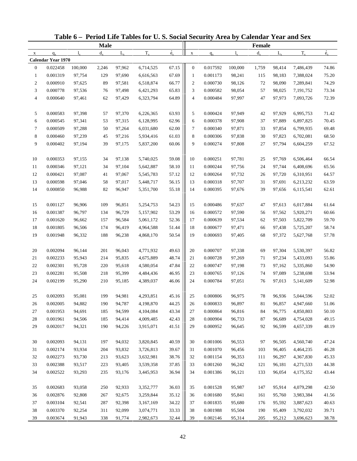| <b>Male</b><br>Female<br>$\dot{e}_x$<br>$T_{x}$<br>$T_{x}$<br>$d_{\rm v}$<br>$L_{\rm v}$<br>$d_{x}$<br>$L_{\rm v}$<br>$l_{\rm v}$<br>$\mathbf X$<br>$1_{\rm v}$<br>$q_{x}$<br>$q_{x}$<br>$\mathbf X$<br><b>Calendar Year 1970</b><br>0.022458<br>100,000<br>97,962<br>6,714,525<br>67.15<br>$\boldsymbol{0}$<br>0.017592<br>100,000<br>98,414<br>7,486,439<br>$\mathbf{0}$<br>2,246<br>1,759<br>67.69<br>0.001319<br>0.001173<br>98,241<br>7,388,024<br>$\mathbf{1}$<br>97,754<br>129<br>97,690<br>6,616,563<br>115<br>98,183<br>1<br>66.77<br>$\overline{c}$<br>0.000910<br>$\boldsymbol{2}$<br>0.000730<br>7,289,841<br>97,625<br>89<br>97,581<br>6,518,874<br>98,126<br>72<br>98,090<br>65.83<br>3<br>0.000778<br>97,536<br>97,498<br>6,421,293<br>3<br>0.000582<br>98,054<br>57<br>98,025<br>7,191,752<br>76<br>64.89<br>$\overline{4}$<br>0.000640<br>97,461<br>62<br>6,323,794<br>4<br>0.000484<br>97,997<br>47<br>97,973<br>7,093,726<br>97,429<br>0.000583<br>63.93<br>5<br>0.000424<br>5<br>97,398<br>57<br>97,370<br>6,226,365<br>97,949<br>42<br>97,929<br>6,995,753<br>62.96<br>0.000545<br>97,341<br>53<br>97,315<br>6,128,995<br>0.000378<br>97,908<br>97,889<br>6,897,825<br>6<br>6<br>37<br>62.00<br>0.000509<br>97,288<br>50<br>97,264<br>6,031,680<br>7<br>0.000340<br>97,871<br>33<br>6,799,935<br>7<br>97,854<br>61.03<br>8<br>8<br>0.000460<br>97,239<br>97,216<br>0.000306<br>97,838<br>30<br>6,702,081<br>45<br>5,934,416<br>97,823<br>60.06<br>9<br>0.000402<br>97,194<br>97,175<br>5,837,200<br>9<br>0.000274<br>97,808<br>27<br>97,794<br>6,604,259<br>39<br>0.000353<br>0.000251<br>97,155<br>97,138<br>5,740,025<br>59.08<br>10<br>97,781<br>97,769<br>6,506,464<br>10<br>34<br>25<br>58.10<br>0.000346<br>0.000244<br>11<br>97,121<br>34<br>97,104<br>5,642,887<br>11<br>97,756<br>24<br>97,744<br>6,408,696<br>57.12<br>12<br>0.000421<br>97,087<br>97,067<br>12<br>0.000264<br>97,732<br>6,310,951<br>41<br>5,545,783<br>26<br>97,720<br>56.15<br>13<br>0.000598<br>97,046<br>58<br>97,017<br>5,448,717<br>13<br>0.000318<br>97,707<br>31<br>97,691<br>6,213,232<br>55.18<br>14<br>0.000850<br>82<br>96,947<br>0.000395<br>97,676<br>39<br>6,115,541<br>96,988<br>5,351,700<br>14<br>97,656 | $\dot{e}_x$ |
|----------------------------------------------------------------------------------------------------------------------------------------------------------------------------------------------------------------------------------------------------------------------------------------------------------------------------------------------------------------------------------------------------------------------------------------------------------------------------------------------------------------------------------------------------------------------------------------------------------------------------------------------------------------------------------------------------------------------------------------------------------------------------------------------------------------------------------------------------------------------------------------------------------------------------------------------------------------------------------------------------------------------------------------------------------------------------------------------------------------------------------------------------------------------------------------------------------------------------------------------------------------------------------------------------------------------------------------------------------------------------------------------------------------------------------------------------------------------------------------------------------------------------------------------------------------------------------------------------------------------------------------------------------------------------------------------------------------------------------------------------------------------------------------------------------------------------------------------------------------------------------------------------------------------------------------------------------------------------------------------------------------------------------------------------------------------------------------------------------------------------------------------------------------------------------------------------------------------------|-------------|
|                                                                                                                                                                                                                                                                                                                                                                                                                                                                                                                                                                                                                                                                                                                                                                                                                                                                                                                                                                                                                                                                                                                                                                                                                                                                                                                                                                                                                                                                                                                                                                                                                                                                                                                                                                                                                                                                                                                                                                                                                                                                                                                                                                                                                            |             |
|                                                                                                                                                                                                                                                                                                                                                                                                                                                                                                                                                                                                                                                                                                                                                                                                                                                                                                                                                                                                                                                                                                                                                                                                                                                                                                                                                                                                                                                                                                                                                                                                                                                                                                                                                                                                                                                                                                                                                                                                                                                                                                                                                                                                                            |             |
|                                                                                                                                                                                                                                                                                                                                                                                                                                                                                                                                                                                                                                                                                                                                                                                                                                                                                                                                                                                                                                                                                                                                                                                                                                                                                                                                                                                                                                                                                                                                                                                                                                                                                                                                                                                                                                                                                                                                                                                                                                                                                                                                                                                                                            |             |
|                                                                                                                                                                                                                                                                                                                                                                                                                                                                                                                                                                                                                                                                                                                                                                                                                                                                                                                                                                                                                                                                                                                                                                                                                                                                                                                                                                                                                                                                                                                                                                                                                                                                                                                                                                                                                                                                                                                                                                                                                                                                                                                                                                                                                            | 74.86       |
|                                                                                                                                                                                                                                                                                                                                                                                                                                                                                                                                                                                                                                                                                                                                                                                                                                                                                                                                                                                                                                                                                                                                                                                                                                                                                                                                                                                                                                                                                                                                                                                                                                                                                                                                                                                                                                                                                                                                                                                                                                                                                                                                                                                                                            | 75.20       |
|                                                                                                                                                                                                                                                                                                                                                                                                                                                                                                                                                                                                                                                                                                                                                                                                                                                                                                                                                                                                                                                                                                                                                                                                                                                                                                                                                                                                                                                                                                                                                                                                                                                                                                                                                                                                                                                                                                                                                                                                                                                                                                                                                                                                                            | 74.29       |
|                                                                                                                                                                                                                                                                                                                                                                                                                                                                                                                                                                                                                                                                                                                                                                                                                                                                                                                                                                                                                                                                                                                                                                                                                                                                                                                                                                                                                                                                                                                                                                                                                                                                                                                                                                                                                                                                                                                                                                                                                                                                                                                                                                                                                            | 73.34       |
|                                                                                                                                                                                                                                                                                                                                                                                                                                                                                                                                                                                                                                                                                                                                                                                                                                                                                                                                                                                                                                                                                                                                                                                                                                                                                                                                                                                                                                                                                                                                                                                                                                                                                                                                                                                                                                                                                                                                                                                                                                                                                                                                                                                                                            | 72.39       |
|                                                                                                                                                                                                                                                                                                                                                                                                                                                                                                                                                                                                                                                                                                                                                                                                                                                                                                                                                                                                                                                                                                                                                                                                                                                                                                                                                                                                                                                                                                                                                                                                                                                                                                                                                                                                                                                                                                                                                                                                                                                                                                                                                                                                                            | 71.42       |
|                                                                                                                                                                                                                                                                                                                                                                                                                                                                                                                                                                                                                                                                                                                                                                                                                                                                                                                                                                                                                                                                                                                                                                                                                                                                                                                                                                                                                                                                                                                                                                                                                                                                                                                                                                                                                                                                                                                                                                                                                                                                                                                                                                                                                            | 70.45       |
|                                                                                                                                                                                                                                                                                                                                                                                                                                                                                                                                                                                                                                                                                                                                                                                                                                                                                                                                                                                                                                                                                                                                                                                                                                                                                                                                                                                                                                                                                                                                                                                                                                                                                                                                                                                                                                                                                                                                                                                                                                                                                                                                                                                                                            | 69.48       |
|                                                                                                                                                                                                                                                                                                                                                                                                                                                                                                                                                                                                                                                                                                                                                                                                                                                                                                                                                                                                                                                                                                                                                                                                                                                                                                                                                                                                                                                                                                                                                                                                                                                                                                                                                                                                                                                                                                                                                                                                                                                                                                                                                                                                                            | 68.50       |
|                                                                                                                                                                                                                                                                                                                                                                                                                                                                                                                                                                                                                                                                                                                                                                                                                                                                                                                                                                                                                                                                                                                                                                                                                                                                                                                                                                                                                                                                                                                                                                                                                                                                                                                                                                                                                                                                                                                                                                                                                                                                                                                                                                                                                            | 67.52       |
|                                                                                                                                                                                                                                                                                                                                                                                                                                                                                                                                                                                                                                                                                                                                                                                                                                                                                                                                                                                                                                                                                                                                                                                                                                                                                                                                                                                                                                                                                                                                                                                                                                                                                                                                                                                                                                                                                                                                                                                                                                                                                                                                                                                                                            | 66.54       |
|                                                                                                                                                                                                                                                                                                                                                                                                                                                                                                                                                                                                                                                                                                                                                                                                                                                                                                                                                                                                                                                                                                                                                                                                                                                                                                                                                                                                                                                                                                                                                                                                                                                                                                                                                                                                                                                                                                                                                                                                                                                                                                                                                                                                                            | 65.56       |
|                                                                                                                                                                                                                                                                                                                                                                                                                                                                                                                                                                                                                                                                                                                                                                                                                                                                                                                                                                                                                                                                                                                                                                                                                                                                                                                                                                                                                                                                                                                                                                                                                                                                                                                                                                                                                                                                                                                                                                                                                                                                                                                                                                                                                            | 64.57       |
|                                                                                                                                                                                                                                                                                                                                                                                                                                                                                                                                                                                                                                                                                                                                                                                                                                                                                                                                                                                                                                                                                                                                                                                                                                                                                                                                                                                                                                                                                                                                                                                                                                                                                                                                                                                                                                                                                                                                                                                                                                                                                                                                                                                                                            | 63.59       |
|                                                                                                                                                                                                                                                                                                                                                                                                                                                                                                                                                                                                                                                                                                                                                                                                                                                                                                                                                                                                                                                                                                                                                                                                                                                                                                                                                                                                                                                                                                                                                                                                                                                                                                                                                                                                                                                                                                                                                                                                                                                                                                                                                                                                                            | 62.61       |
| 54.23<br>15<br>0.001127<br>96,906<br>109<br>96,851<br>5,254,753<br>0.000486<br>97,613<br>6,017,884<br>15<br>97,637<br>47                                                                                                                                                                                                                                                                                                                                                                                                                                                                                                                                                                                                                                                                                                                                                                                                                                                                                                                                                                                                                                                                                                                                                                                                                                                                                                                                                                                                                                                                                                                                                                                                                                                                                                                                                                                                                                                                                                                                                                                                                                                                                                   | 61.64       |
| 53.29<br>0.001387<br>96,797<br>96,729<br>0.000572<br>16<br>134<br>5,157,902<br>16<br>97,590<br>56<br>97,562<br>5,920,271                                                                                                                                                                                                                                                                                                                                                                                                                                                                                                                                                                                                                                                                                                                                                                                                                                                                                                                                                                                                                                                                                                                                                                                                                                                                                                                                                                                                                                                                                                                                                                                                                                                                                                                                                                                                                                                                                                                                                                                                                                                                                                   | 60.66       |
| 52.36<br>17<br>0.001620<br>96,662<br>96,584<br>17<br>0.000639<br>97,534<br>62<br>5,822,709<br>157<br>5,061,172<br>97,503                                                                                                                                                                                                                                                                                                                                                                                                                                                                                                                                                                                                                                                                                                                                                                                                                                                                                                                                                                                                                                                                                                                                                                                                                                                                                                                                                                                                                                                                                                                                                                                                                                                                                                                                                                                                                                                                                                                                                                                                                                                                                                   | 59.70       |
| 18<br>0.001805<br>96,506<br>174<br>96,419<br>4,964,588<br>51.44<br>18<br>0.000677<br>97,471<br>97,438<br>5,725,207<br>66                                                                                                                                                                                                                                                                                                                                                                                                                                                                                                                                                                                                                                                                                                                                                                                                                                                                                                                                                                                                                                                                                                                                                                                                                                                                                                                                                                                                                                                                                                                                                                                                                                                                                                                                                                                                                                                                                                                                                                                                                                                                                                   | 58.74       |
| 50.54<br>19<br>0.001948<br>96,332<br>188<br>4,868,170<br>19<br>0.000693<br>97,405<br>68<br>5,627,768<br>96,238<br>97,372                                                                                                                                                                                                                                                                                                                                                                                                                                                                                                                                                                                                                                                                                                                                                                                                                                                                                                                                                                                                                                                                                                                                                                                                                                                                                                                                                                                                                                                                                                                                                                                                                                                                                                                                                                                                                                                                                                                                                                                                                                                                                                   | 57.78       |
|                                                                                                                                                                                                                                                                                                                                                                                                                                                                                                                                                                                                                                                                                                                                                                                                                                                                                                                                                                                                                                                                                                                                                                                                                                                                                                                                                                                                                                                                                                                                                                                                                                                                                                                                                                                                                                                                                                                                                                                                                                                                                                                                                                                                                            |             |
| 0.002094<br>49.63<br>0.000707<br>$20\,$<br>96,144<br>201<br>96,043<br>4,771,932<br>20<br>97,338<br>5,530,397<br>69<br>97,304                                                                                                                                                                                                                                                                                                                                                                                                                                                                                                                                                                                                                                                                                                                                                                                                                                                                                                                                                                                                                                                                                                                                                                                                                                                                                                                                                                                                                                                                                                                                                                                                                                                                                                                                                                                                                                                                                                                                                                                                                                                                                               | 56.82       |
| 48.74<br>21<br>0.002233<br>95,943<br>214<br>95,835<br>4,675,889<br>21<br>0.000728<br>97,269<br>97,234<br>5,433,093<br>71                                                                                                                                                                                                                                                                                                                                                                                                                                                                                                                                                                                                                                                                                                                                                                                                                                                                                                                                                                                                                                                                                                                                                                                                                                                                                                                                                                                                                                                                                                                                                                                                                                                                                                                                                                                                                                                                                                                                                                                                                                                                                                   | 55.86       |
| 47.84<br>22<br>0.002301<br>95,728<br>22<br>0.000747<br>97,198<br>220<br>95,618<br>4,580,054<br>73<br>97,162<br>5,335,860                                                                                                                                                                                                                                                                                                                                                                                                                                                                                                                                                                                                                                                                                                                                                                                                                                                                                                                                                                                                                                                                                                                                                                                                                                                                                                                                                                                                                                                                                                                                                                                                                                                                                                                                                                                                                                                                                                                                                                                                                                                                                                   | 54.90       |
| 46.95<br>23<br>0.002281<br>95,508<br>95,399<br>23<br>0.000765<br>97,126<br>74<br>97,089<br>5,238,698<br>218<br>4,484,436                                                                                                                                                                                                                                                                                                                                                                                                                                                                                                                                                                                                                                                                                                                                                                                                                                                                                                                                                                                                                                                                                                                                                                                                                                                                                                                                                                                                                                                                                                                                                                                                                                                                                                                                                                                                                                                                                                                                                                                                                                                                                                   | 53.94       |
| 46.06<br>24<br>0.002199<br>95,290<br>210<br>4,389,037<br>24<br>0.000784<br>97,051<br>76<br>97,013<br>5,141,609<br>95,185                                                                                                                                                                                                                                                                                                                                                                                                                                                                                                                                                                                                                                                                                                                                                                                                                                                                                                                                                                                                                                                                                                                                                                                                                                                                                                                                                                                                                                                                                                                                                                                                                                                                                                                                                                                                                                                                                                                                                                                                                                                                                                   | 52.98       |
| 0.002093<br>95,081<br>94,981<br>4,293,851<br>0.000806<br>96,975<br>$78\,$<br>96,936<br>5,044,596<br>199<br>45.16<br>25<br>25                                                                                                                                                                                                                                                                                                                                                                                                                                                                                                                                                                                                                                                                                                                                                                                                                                                                                                                                                                                                                                                                                                                                                                                                                                                                                                                                                                                                                                                                                                                                                                                                                                                                                                                                                                                                                                                                                                                                                                                                                                                                                               | 52.02       |
| 44.25<br>0.002005<br>94,882<br>94,787<br>0.000833<br>190<br>4,198,870<br>26<br>96,897<br>81<br>96,857<br>4,947,660<br>26                                                                                                                                                                                                                                                                                                                                                                                                                                                                                                                                                                                                                                                                                                                                                                                                                                                                                                                                                                                                                                                                                                                                                                                                                                                                                                                                                                                                                                                                                                                                                                                                                                                                                                                                                                                                                                                                                                                                                                                                                                                                                                   | 51.06       |
| 0.001953<br>43.34<br>27<br>94,691<br>185<br>94,599<br>27<br>0.000864<br>96,816<br>84<br>96,775<br>4,850,803<br>4,104,084                                                                                                                                                                                                                                                                                                                                                                                                                                                                                                                                                                                                                                                                                                                                                                                                                                                                                                                                                                                                                                                                                                                                                                                                                                                                                                                                                                                                                                                                                                                                                                                                                                                                                                                                                                                                                                                                                                                                                                                                                                                                                                   | 50.10       |
| 28<br>0.001961<br>94,506<br>185<br>94,414<br>4,009,485<br>42.43<br>0.000904<br>96,733<br>87<br>96,689<br>4,754,028<br>28                                                                                                                                                                                                                                                                                                                                                                                                                                                                                                                                                                                                                                                                                                                                                                                                                                                                                                                                                                                                                                                                                                                                                                                                                                                                                                                                                                                                                                                                                                                                                                                                                                                                                                                                                                                                                                                                                                                                                                                                                                                                                                   | 49.15       |
| 0.002017<br>94,321<br>190<br>41.51<br>0.000952<br>92<br>96,599<br>29<br>94,226<br>3,915,071<br>29<br>96,645<br>4,657,339                                                                                                                                                                                                                                                                                                                                                                                                                                                                                                                                                                                                                                                                                                                                                                                                                                                                                                                                                                                                                                                                                                                                                                                                                                                                                                                                                                                                                                                                                                                                                                                                                                                                                                                                                                                                                                                                                                                                                                                                                                                                                                   | 48.19       |
| 0.002093<br>94,131<br>94,032<br>3,820,845<br>40.59<br>0.001006<br>96,553<br>4,560,740<br>30<br>197<br>30<br>97<br>96,505                                                                                                                                                                                                                                                                                                                                                                                                                                                                                                                                                                                                                                                                                                                                                                                                                                                                                                                                                                                                                                                                                                                                                                                                                                                                                                                                                                                                                                                                                                                                                                                                                                                                                                                                                                                                                                                                                                                                                                                                                                                                                                   | 47.24       |
| 39.67<br>0.002174<br>93,934<br>93,832<br>0.001070<br>96,456<br>31<br>204<br>3,726,813<br>31<br>103<br>96,405<br>4,464,235                                                                                                                                                                                                                                                                                                                                                                                                                                                                                                                                                                                                                                                                                                                                                                                                                                                                                                                                                                                                                                                                                                                                                                                                                                                                                                                                                                                                                                                                                                                                                                                                                                                                                                                                                                                                                                                                                                                                                                                                                                                                                                  | 46.28       |
| 38.76<br>0.002273<br>93,730<br>0.001154<br>96,353<br>32<br>213<br>93,623<br>3,632,981<br>32<br>111<br>96,297<br>4,367,830                                                                                                                                                                                                                                                                                                                                                                                                                                                                                                                                                                                                                                                                                                                                                                                                                                                                                                                                                                                                                                                                                                                                                                                                                                                                                                                                                                                                                                                                                                                                                                                                                                                                                                                                                                                                                                                                                                                                                                                                                                                                                                  | 45.33       |
| 37.85<br>33<br>0.002388<br>93,517<br>223<br>0.001260<br>96,242<br>93,405<br>3,539,358<br>33<br>121<br>96,181<br>4,271,533                                                                                                                                                                                                                                                                                                                                                                                                                                                                                                                                                                                                                                                                                                                                                                                                                                                                                                                                                                                                                                                                                                                                                                                                                                                                                                                                                                                                                                                                                                                                                                                                                                                                                                                                                                                                                                                                                                                                                                                                                                                                                                  | 44.38       |
| 36.94<br>34<br>0.002522<br>0.001386<br>93,293<br>235<br>93,176<br>3,445,953<br>34<br>96,121<br>133<br>96,054<br>4,175,352                                                                                                                                                                                                                                                                                                                                                                                                                                                                                                                                                                                                                                                                                                                                                                                                                                                                                                                                                                                                                                                                                                                                                                                                                                                                                                                                                                                                                                                                                                                                                                                                                                                                                                                                                                                                                                                                                                                                                                                                                                                                                                  | 43.44       |
| 0.002683<br>93,058<br>92,933<br>36.03<br>0.001528<br>95,987<br>95,914<br>4,079,298<br>35<br>250<br>3,352,777<br>35<br>147                                                                                                                                                                                                                                                                                                                                                                                                                                                                                                                                                                                                                                                                                                                                                                                                                                                                                                                                                                                                                                                                                                                                                                                                                                                                                                                                                                                                                                                                                                                                                                                                                                                                                                                                                                                                                                                                                                                                                                                                                                                                                                  | 42.50       |
| 35.12<br>0.002876<br>92,808<br>92,675<br>0.001680<br>95,841<br>3,983,384<br>36<br>267<br>3,259,844<br>36<br>161<br>95,760                                                                                                                                                                                                                                                                                                                                                                                                                                                                                                                                                                                                                                                                                                                                                                                                                                                                                                                                                                                                                                                                                                                                                                                                                                                                                                                                                                                                                                                                                                                                                                                                                                                                                                                                                                                                                                                                                                                                                                                                                                                                                                  | 41.56       |
| 34.22<br>37<br>0.003104<br>92,541<br>92,398<br>3,167,169<br>0.001835<br>95,680<br>287<br>37<br>176<br>95,592<br>3,887,623                                                                                                                                                                                                                                                                                                                                                                                                                                                                                                                                                                                                                                                                                                                                                                                                                                                                                                                                                                                                                                                                                                                                                                                                                                                                                                                                                                                                                                                                                                                                                                                                                                                                                                                                                                                                                                                                                                                                                                                                                                                                                                  | 40.63       |
| 33.33<br>0.001988<br>38<br>0.003370<br>92,254<br>311<br>92,099<br>3,074,771<br>38<br>95,504<br>190<br>3,792,032<br>95,409                                                                                                                                                                                                                                                                                                                                                                                                                                                                                                                                                                                                                                                                                                                                                                                                                                                                                                                                                                                                                                                                                                                                                                                                                                                                                                                                                                                                                                                                                                                                                                                                                                                                                                                                                                                                                                                                                                                                                                                                                                                                                                  | 39.71       |
| 0.003674<br>32.44<br>91,943<br>338<br>91,774<br>2,982,673<br>39<br>0.002146<br>95,314<br>205<br>95,212<br>3,696,623<br>39                                                                                                                                                                                                                                                                                                                                                                                                                                                                                                                                                                                                                                                                                                                                                                                                                                                                                                                                                                                                                                                                                                                                                                                                                                                                                                                                                                                                                                                                                                                                                                                                                                                                                                                                                                                                                                                                                                                                                                                                                                                                                                  | 38.78       |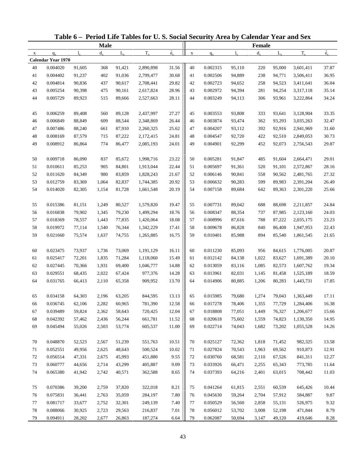|             |                           |        |             |             | Table 6 - Period Life Tables for U.S. Social Security Area by Calendar Year and Sex |                          |             |          |             |         |             |           |             |
|-------------|---------------------------|--------|-------------|-------------|-------------------------------------------------------------------------------------|--------------------------|-------------|----------|-------------|---------|-------------|-----------|-------------|
|             |                           |        | <b>Male</b> |             |                                                                                     |                          |             |          |             | Female  |             |           |             |
| $\mathbf X$ | $q_{x}$                   | 1.     | $d_{\rm v}$ | $L_{\rm v}$ | $T_{x}$                                                                             | $\overset{\circ}{e}_{x}$ | $\mathbf X$ | $q_{x}$  | $l_{\rm v}$ | $d_{x}$ | $L_{\rm v}$ | $T_{x}$   | $\dot{e}_x$ |
|             | <b>Calendar Year 1970</b> |        |             |             |                                                                                     |                          |             |          |             |         |             |           |             |
| 40          | 0.004020                  | 91,605 | 368         | 91,421      | 2,890,898                                                                           | 31.56                    | 40          | 0.002315 | 95,110      | 220     | 95,000      | 3,601,411 | 37.87       |
| 41          | 0.004402                  | 91,237 | 402         | 91,036      | 2,799,477                                                                           | 30.68                    | 41          | 0.002506 | 94,889      | 238     | 94,771      | 3,506,411 | 36.95       |
| 42          | 0.004814                  | 90,836 | 437         | 90,617      | 2,708,441                                                                           | 29.82                    | 42          | 0.002723 | 94,652      | 258     | 94,523      | 3,411,641 | 36.04       |
| 43          | 0.005254                  | 90,398 | 475         | 90,161      | 2,617,824                                                                           | 28.96                    | 43          | 0.002972 | 94,394      | 281     | 94,254      | 3,317,118 | 35.14       |
| 44          | 0.005729                  | 89,923 | 515         | 89,666      | 2,527,663                                                                           | 28.11                    | 44          | 0.003249 | 94,113      | 306     | 93,961      | 3,222,864 | 34.24       |
| 45          | 0.006259                  | 89,408 | 560         | 89,128      | 2,437,997                                                                           | 27.27                    | 45          | 0.003553 | 93,808      | 333     | 93,641      | 3,128,904 | 33.35       |
| 46          | 0.006849                  | 88,849 | 609         | 88,544      | 2,348,869                                                                           | 26.44                    | 46          | 0.003874 | 93,474      | 362     | 93,293      | 3,035,263 | 32.47       |
| 47          | 0.007486                  | 88,240 | 661         | 87,910      | 2,260,325                                                                           | 25.62                    | 47          | 0.004207 | 93,112      | 392     | 92,916      | 2,941,969 | 31.60       |
| 48          | 0.008169                  | 87,579 | 715         | 87,222      | 2,172,415                                                                           | 24.81                    | 48          | 0.004547 | 92,720      | 422     | 92,510      | 2,849,053 | 30.73       |
| 49          | 0.008912                  | 86,864 | 774         | 86,477      | 2,085,193                                                                           | 24.01                    | 49          | 0.004901 | 92,299      | 452     | 92,073      | 2,756,543 | 29.87       |
| 50          | 0.009718                  | 86,090 | 837         | 85,672      | 1,998,716                                                                           | 23.22                    | 50          | 0.005281 | 91,847      | 485     | 91,604      | 2,664,471 | 29.01       |
| 51          | 0.010611                  | 85,253 | 905         | 84,801      | 1,913,044                                                                           | 22.44                    | 51          | 0.005697 | 91,361      | 520     | 91,101      | 2,572,867 | 28.16       |
| 52          | 0.011620                  | 84,349 | 980         | 83,859      | 1,828,243                                                                           | 21.67                    | 52          | 0.006146 | 90,841      | 558     | 90,562      | 2,481,765 | 27.32       |
| 53          | 0.012759                  | 83,369 | 1,064       | 82,837      | 1,744,385                                                                           | 20.92                    | 53          | 0.006632 | 90,283      | 599     | 89,983      | 2,391,204 | 26.49       |
| 54          | 0.014020                  | 82,305 | 1,154       | 81,728      | 1,661,548                                                                           | 20.19                    | 54          | 0.007158 | 89,684      | 642     | 89,363      | 2,301,220 | 25.66       |
| 55          | 0.015386                  | 81,151 | 1,249       | 80,527      | 1,579,820                                                                           | 19.47                    | 55          | 0.007731 | 89,042      | 688     | 88,698      | 2,211,857 | 24.84       |
| 56          | 0.016838                  | 79,902 | 1,345       | 79,230      | 1,499,294                                                                           | 18.76                    | 56          | 0.008347 | 88,354      | 737     | 87,985      | 2,123,160 | 24.03       |
| 57          | 0.018369                  | 78,557 | 1,443       | 77,835      | 1,420,064                                                                           | 18.08                    | 57          | 0.008996 | 87,616      | 788     | 87,222      | 2,035,175 | 23.23       |
| 58          | 0.019972                  | 77,114 | 1,540       | 76,344      | 1,342,229                                                                           | 17.41                    | 58          | 0.009678 | 86,828      | 840     | 86,408      | 1,947,953 | 22.43       |
| 59          | 0.021660                  | 75,574 | 1,637       | 74,755      | 1,265,885                                                                           | 16.75                    | 59          | 0.010401 | 85,988      | 894     | 85,540      | 1,861,545 | 21.65       |
|             |                           |        |             |             |                                                                                     |                          |             |          |             |         |             |           |             |
| 60          | 0.023475                  | 73,937 | 1,736       | 73,069      | 1,191,129                                                                           | 16.11                    | 60          | 0.011230 | 85,093      | 956     | 84,615      | 1,776,005 | 20.87       |
| 61          | 0.025417                  | 72,201 | 1,835       | 71,284      | 1,118,060                                                                           | 15.49                    | 61          | 0.012142 | 84,138      | 1,022   | 83,627      | 1,691,389 | 20.10       |
| 62          | 0.027445                  | 70,366 | 1,931       | 69,400      | 1,046,777                                                                           | 14.88                    | 62          | 0.013059 | 83,116      | 1,085   | 82,573      | 1,607,762 | 19.34       |
| 63          | 0.029551                  | 68,435 | 2,022       | 67,424      | 977,376                                                                             | 14.28                    | 63          | 0.013961 | 82,031      | 1,145   | 81,458      | 1,525,189 | 18.59       |
| 64          | 0.031765                  | 66,413 | 2,110       | 65,358      | 909,952                                                                             | 13.70                    | 64          | 0.014906 | 80,885      | 1,206   | 80,283      | 1,443,731 | 17.85       |
| 65          | 0.034158                  | 64,303 | 2,196       | 63,205      | 844,595                                                                             | 13.13                    | 65          | 0.015985 | 79,680      | 1,274   | 79,043      | 1,363,449 | 17.11       |
| 66          | 0.036745                  | 62,106 | 2,282       | 60,965      | 781,390                                                                             | 12.58                    | 66          | 0.017278 | 78,406      | 1,355   | 77,729      | 1,284,406 | 16.38       |
| 67          | 0.039489                  | 59,824 | 2,362       | 58,643      | 720,425                                                                             | 12.04                    | 67          | 0.018808 | 77,051      | 1,449   | 76,327      | 1,206,677 | 15.66       |
| 68          | 0.042392                  | 57,462 | 2,436       | 56,244      | 661,781                                                                             | 11.52                    | 68          | 0.020618 | 75,602      | 1,559   | 74,823      | 1,130,350 | 14.95       |
| 69          | 0.045494                  | 55,026 | 2,503       | 53,774      | 605,537                                                                             | 11.00                    | 69          | 0.022714 | 74,043      | 1,682   | 73,202      | 1,055,528 | 14.26       |
| 70          | 0.048870                  | 52,523 | 2,567       | 51,239      | 551,763                                                                             | 10.51                    | 70          | 0.025127 | 72,362      | 1,818   | 71,452      | 982,325   | 13.58       |
| 71          | 0.052551                  | 49,956 | 2,625       | 48,643      | 500,524                                                                             | 10.02                    | 71          | 0.027824 | 70,543      | 1,963   | 69,562      | 910,873   | 12.91       |
| 72          | 0.056514                  | 47,331 | 2,675       | 45,993      | 451,880                                                                             | 9.55                     | 72          | 0.030760 | 68,581      | 2,110   | 67,526      | 841,311   | 12.27       |
| 73          | 0.060777                  | 44,656 | 2,714       | 43,299      | 405,887                                                                             | 9.09                     | 73          | 0.033926 | 66,471      | 2,255   | 65,343      | 773,785   | 11.64       |
| 74          | 0.065380                  | 41,942 | 2,742       | 40,571      | 362,588                                                                             | 8.65                     | 74          | 0.037393 | 64,216      | 2,401   | 63,015      | 708,442   | 11.03       |
| 75          | 0.070386                  | 39,200 | 2,759       | 37,820      | 322,018                                                                             | 8.21                     | 75          | 0.041264 | 61,815      | 2,551   | 60,539      | 645,426   | 10.44       |
| 76          | 0.075831                  | 36,441 | 2,763       | 35,059      | 284,197                                                                             | 7.80                     | 76          | 0.045630 | 59,264      | 2,704   | 57,912      | 584,887   | 9.87        |
| 77          | 0.081717                  | 33,677 | 2,752       | 32,301      | 249,139                                                                             | 7.40                     | 77          | 0.050529 | 56,560      | 2,858   | 55,131      | 526,975   | 9.32        |
| 78          | 0.088066                  | 30,925 | 2,723       | 29,563      | 216,837                                                                             | 7.01                     | 78          | 0.056012 | 53,702      | 3,008   | 52,198      | 471,844   | 8.79        |
| 79          | 0.094911                  | 28,202 | 2,677       | 26,863      | 187,274                                                                             | 6.64                     | 79          | 0.062087 | 50,694      | 3,147   | 49,120      | 419,646   | 8.28        |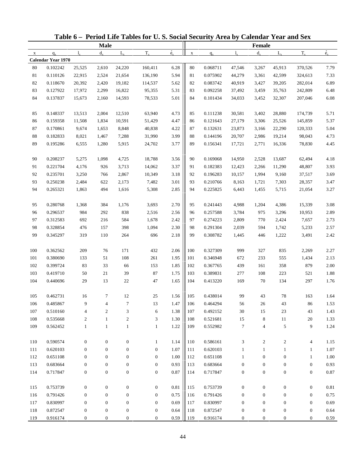|              |                           |                  |                  |                  | Table 6 - Period Life Tables for U.S. Social Security Area by Calendar Year and Sex |                          |             |          |                  |                  |                  |                  |             |
|--------------|---------------------------|------------------|------------------|------------------|-------------------------------------------------------------------------------------|--------------------------|-------------|----------|------------------|------------------|------------------|------------------|-------------|
|              |                           |                  | <b>Male</b>      |                  |                                                                                     |                          |             |          |                  | Female           |                  |                  |             |
| $\mathbf{X}$ | $q_{x}$                   | $l_{x}$          | $d_{x}$          | $L_{\rm v}$      | $T_{x}$                                                                             | $\overset{\circ}{e}_{x}$ | $\mathbf X$ | $q_{x}$  | $l_{x}$          | $d_{x}$          | $L_{\rm v}$      | $T_{x}$          | $\dot{e}_x$ |
|              | <b>Calendar Year 1970</b> |                  |                  |                  |                                                                                     |                          |             |          |                  |                  |                  |                  |             |
| 80           | 0.102242                  | 25,525           | 2,610            | 24,220           | 160,411                                                                             | 6.28                     | 80          | 0.068711 | 47,546           | 3,267            | 45,913           | 370,526          | 7.79        |
| 81           | 0.110126                  | 22,915           | 2,524            | 21,654           | 136,190                                                                             | 5.94                     | 81          | 0.075902 | 44,279           | 3,361            | 42,599           | 324,613          | 7.33        |
| 82           | 0.118670                  | 20,392           | 2,420            | 19,182           | 114,537                                                                             | 5.62                     | 82          | 0.083742 | 40,919           | 3,427            | 39,205           | 282,014          | 6.89        |
| 83           | 0.127922                  | 17,972           | 2,299            | 16,822           | 95,355                                                                              | 5.31                     | 83          | 0.092258 | 37,492           | 3,459            | 35,763           | 242,809          | 6.48        |
| 84           | 0.137837                  | 15,673           | 2,160            | 14,593           | 78,533                                                                              | 5.01                     | 84          | 0.101434 | 34,033           | 3,452            | 32,307           | 207,046          | 6.08        |
| 85           | 0.148337                  | 13,513           | 2,004            | 12,510           | 63,940                                                                              | 4.73                     | 85          | 0.111238 | 30,581           | 3,402            | 28,880           | 174,739          | 5.71        |
| 86           | 0.159358                  | 11,508           | 1,834            | 10,591           | 51,429                                                                              | 4.47                     | 86          | 0.121643 | 27,179           | 3,306            | 25,526           | 145,859          | 5.37        |
| 87           | 0.170861                  | 9,674            | 1,653            | 8,848            | 40,838                                                                              | 4.22                     | 87          | 0.132631 | 23,873           | 3,166            | 22,290           | 120,333          | 5.04        |
| $88\,$       | 0.182833                  | 8,021            | 1,467            | 7,288            | 31,990                                                                              | 3.99                     | 88          | 0.144196 | 20,707           | 2,986            | 19,214           | 98,043           | 4.73        |
| 89           | 0.195286                  | 6,555            | 1,280            | 5,915            | 24,702                                                                              | 3.77                     | 89          | 0.156341 | 17,721           | 2,771            | 16,336           | 78,830           | 4.45        |
| 90           | 0.208237                  | 5,275            | 1,098            | 4,725            | 18,788                                                                              | 3.56                     | 90          | 0.169068 | 14,950           | 2,528            | 13,687           | 62,494           | 4.18        |
| 91           | 0.221704                  | 4,176            | 926              | 3,713            | 14,062                                                                              | 3.37                     | 91          | 0.182383 | 12,423           | 2,266            | 11,290           | 48,807           | 3.93        |
| 92           | 0.235701                  | 3,250            | 766              | 2,867            | 10,349                                                                              | 3.18                     | 92          | 0.196283 | 10,157           | 1,994            | 9,160            | 37,517           | 3.69        |
| 93           | 0.250238                  | 2,484            | 622              | 2,173            | 7,482                                                                               | 3.01                     | 93          | 0.210766 | 8,163            | 1,721            | 7,303            | 28,357           | 3.47        |
| 94           | 0.265321                  | 1,863            | 494              | 1,616            | 5,308                                                                               | 2.85                     | 94          | 0.225825 | 6,443            | 1,455            | 5,715            | 21,054           | 3.27        |
| 95           | 0.280768                  | 1,368            | 384              | 1,176            | 3,693                                                                               | 2.70                     | 95          | 0.241443 | 4,988            | 1,204            | 4,386            | 15,339           | 3.08        |
| 96           | 0.296537                  | 984              | 292              | 838              | 2,516                                                                               | 2.56                     | 96          | 0.257588 | 3,784            | 975              | 3,296            | 10,953           | 2.89        |
| 97           | 0.312583                  | 692              | 216              | 584              | 1,678                                                                               | 2.42                     | 97          | 0.274223 | 2,809            | 770              | 2,424            | 7,657            | 2.73        |
| 98           | 0.328854                  | 476              | 157              | 398              | 1,094                                                                               | 2.30                     | 98          | 0.291304 | 2,039            | 594              | 1,742            | 5,233            | 2.57        |
| 99           | 0.345297                  | 319              | 110              | 264              | 696                                                                                 | 2.18                     | 99          | 0.308782 | 1,445            | 446              | 1,222            | 3,491            | 2.42        |
| 100          | 0.362562                  | 209              | 76               | 171              | 432                                                                                 | 2.06                     | 100         | 0.327309 | 999              | 327              | 835              | 2,269            | 2.27        |
| 101          | 0.380690                  | 133              | 51               | 108              | 261                                                                                 | 1.95                     | 101         | 0.346948 | 672              | 233              | 555              | 1,434            | 2.13        |
| 102          | 0.399724                  | 83               | 33               | 66               | 153                                                                                 | 1.85                     | 102         | 0.367765 | 439              | 161              | 358              | 879              | 2.00        |
| 103          | 0.419710                  | 50               | 21               | 39               | 87                                                                                  | 1.75                     | 103         | 0.389831 | 277              | 108              | 223              | 521              | 1.88        |
| 104          | 0.440696                  | 29               | 13               | 22               | 47                                                                                  | 1.65                     | 104         | 0.413220 | 169              | 70               | 134              | 297              | 1.76        |
| 105          | 0.462731                  | 16               |                  | 12               | 25                                                                                  | 1.56                     | 105         | 0.438014 | 99               | 43               | $78\,$           | 163              | 1.64        |
| 106          | 0.485867                  | 9                | 4                | 7                | 13                                                                                  | 1.47                     | 106         | 0.464294 | 56               | 26               | 43               | 86               | 1.53        |
| 107          | 0.510160                  | $\overline{4}$   | $\boldsymbol{2}$ | 3                | 6                                                                                   | 1.38                     | 107         | 0.492152 | 30               | 15               | 23               | 43               | 1.43        |
| 108          | 0.535668                  | $\overline{c}$   | $\mathbf{1}$     | $\boldsymbol{2}$ | 3                                                                                   | 1.30                     | 108         | 0.521681 | 15               | 8                | 11               | 20               | 1.33        |
| 109          | 0.562452                  | $\mathbf{1}$     | $\mathbf{1}$     | $\mathbf{1}$     | $\mathbf{1}$                                                                        | 1.22                     | 109         | 0.552982 | 7                | 4                | 5                | 9                | 1.24        |
| 110          | 0.590574                  | $\boldsymbol{0}$ | $\mathbf{0}$     | $\boldsymbol{0}$ | $\mathbf{1}$                                                                        | 1.14                     | 110         | 0.586161 | 3                | $\overline{c}$   | $\overline{c}$   | 4                | 1.15        |
| 111          | 0.620103                  | $\boldsymbol{0}$ | $\boldsymbol{0}$ | $\boldsymbol{0}$ | 0                                                                                   | 1.07                     | 111         | 0.620103 | 1                | $\mathbf{1}$     | $\mathbf{1}$     | $\mathbf{1}$     | 1.07        |
| 112          | 0.651108                  | $\mathbf{0}$     | $\boldsymbol{0}$ | 0                | $\boldsymbol{0}$                                                                    | 1.00                     | 112         | 0.651108 | 1                | $\mathbf{0}$     | $\boldsymbol{0}$ | $\mathbf{1}$     | 1.00        |
| 113          | 0.683664                  | $\boldsymbol{0}$ | $\boldsymbol{0}$ | $\boldsymbol{0}$ | $\boldsymbol{0}$                                                                    | 0.93                     | 113         | 0.683664 | $\boldsymbol{0}$ | $\boldsymbol{0}$ | $\boldsymbol{0}$ | $\boldsymbol{0}$ | 0.93        |
| 114          | 0.717847                  | $\boldsymbol{0}$ | $\boldsymbol{0}$ | $\boldsymbol{0}$ | $\boldsymbol{0}$                                                                    | 0.87                     | 114         | 0.717847 | $\boldsymbol{0}$ | $\boldsymbol{0}$ | $\boldsymbol{0}$ | $\boldsymbol{0}$ | 0.87        |
|              |                           |                  |                  |                  |                                                                                     |                          |             |          |                  |                  |                  |                  |             |
| 115          | 0.753739                  | $\boldsymbol{0}$ | $\boldsymbol{0}$ | $\boldsymbol{0}$ | $\boldsymbol{0}$                                                                    | 0.81                     | 115         | 0.753739 | $\boldsymbol{0}$ | $\boldsymbol{0}$ | $\boldsymbol{0}$ | $\boldsymbol{0}$ | 0.81        |
| 116          | 0.791426                  | $\boldsymbol{0}$ | $\boldsymbol{0}$ | 0                | $\boldsymbol{0}$                                                                    | 0.75                     | 116         | 0.791426 | $\boldsymbol{0}$ | $\boldsymbol{0}$ | $\boldsymbol{0}$ | $\boldsymbol{0}$ | 0.75        |
| 117          | 0.830997                  | $\boldsymbol{0}$ | $\boldsymbol{0}$ | 0                | $\boldsymbol{0}$                                                                    | 0.69                     | 117         | 0.830997 | $\boldsymbol{0}$ | $\boldsymbol{0}$ | $\boldsymbol{0}$ | $\boldsymbol{0}$ | 0.69        |
| 118          | 0.872547                  | $\boldsymbol{0}$ | $\boldsymbol{0}$ | 0                | $\boldsymbol{0}$                                                                    | 0.64                     | 118         | 0.872547 | $\boldsymbol{0}$ | $\boldsymbol{0}$ | $\boldsymbol{0}$ | $\boldsymbol{0}$ | 0.64        |
| 119          | 0.916174                  | $\boldsymbol{0}$ | $\boldsymbol{0}$ | $\boldsymbol{0}$ | $\overline{0}$                                                                      | 0.59                     | 119         | 0.916174 | $\boldsymbol{0}$ | $\boldsymbol{0}$ | $\mathbf{0}$     | $\boldsymbol{0}$ | 0.59        |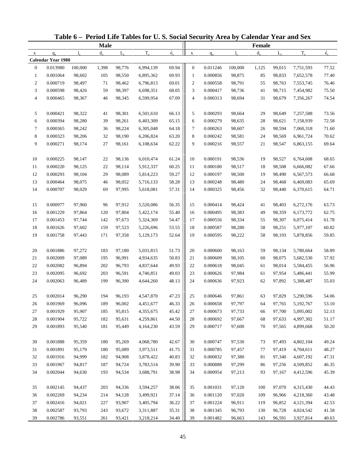| Table 6 - Period Life Tables for U.S. Social Security Area by Calendar Year and Sex<br><b>Male</b><br>$T_{x}$<br>$d_{\rm v}$<br>$L_{\rm v}$<br>$l_{\rm v}$<br>$q_{x}$<br>$\mathbf X$<br><b>Calendar Year 1980</b><br>$\mathbf{0}$<br>0.013980<br>100,000<br>98,776<br>6,994,139<br>1,398<br>0.001064<br>$\mathbf{1}$<br>98,602<br>105<br>98,550<br>6,895,362<br>$\overline{c}$<br>0.000719<br>98,497<br>71<br>98,462<br>6,796,813<br>3<br>0.000598<br>98,426<br>59<br>98,397<br>6,698,351<br>4<br>0.000465<br>98,367<br>46<br>98,345<br>6,599,954<br>0.000421<br>5<br>98,322<br>98,301<br>6,501,610<br>41<br>6<br>0.000394<br>98,280<br>98,261<br>6,403,309<br>39<br>$\tau$<br>0.000365<br>98,242<br>98,224<br>6,305,048<br>36<br>8<br>0.000323<br>98,206<br>32<br>98,190<br>6,206,824<br>9<br>0.000271<br>98,174<br>27<br>6,108,634<br>98,161<br>0.000225<br>10<br>98,147<br>98,136<br>6,010,474<br>22<br>11<br>0.000220<br>98,114<br>98,125<br>22<br>5,912,337<br>12<br>0.000293<br>98,104<br>29<br>98,089<br>5,814,223<br>13<br>0.000464<br>98,075<br>5,716,133<br>46<br>98,052<br>14<br>0.000707<br>98,029<br>69<br>97,995<br>5,618,081<br>0.000977<br>15<br>97,960<br>97,912<br>5,520,086<br>96<br>16<br>0.001229<br>97,804<br>97,864<br>120<br>5,422,174<br>17<br>0.001453<br>97,744<br>97,673<br>142<br>5,324,369<br>18<br>0.001626<br>97,602<br>159<br>97,523<br>5,226,696<br>19<br>0.001758<br>97,443<br>171<br>97,358<br>5,129,173<br>20<br>0.001886<br>97,272<br>97,180<br>183<br>5,031,815<br>$21\,$<br>0.002009<br>97,089<br>195<br>96,991<br>4,934,635<br>22<br>0.002082<br>96,894<br>202<br>96,793<br>4,837,644<br>23<br>0.002095<br>96,692<br>203<br>96,591<br>4,740,851<br>24<br>0.002063<br>96,489<br>199<br>96,390<br>4,644,260<br>0.002014<br>96,290<br>194<br>96,193<br>4,547,870<br>25<br>0.001969<br>96,096<br>96,002<br>189<br>4,451,677<br>26<br>27<br>0.001929<br>95,907<br>185<br>95,815<br>4,355,675<br>0.001904<br>28<br>95,722<br>182<br>95,631<br>4,259,861<br>29<br>0.001893<br>95,540<br>181<br>95,449<br>4,164,230<br>0.001888<br>95,359<br>95,269<br>4,068,780<br>30<br>180<br>31<br>0.001891<br>95,179<br>95,089<br>180<br>3,973,511<br>32<br>0.001916<br>94,999<br>182<br>94,908<br>3,878,422<br>33<br>0.001967<br>94,817<br>187<br>94,724<br>3,783,514<br>34<br>0.002044<br>94,630<br>94,534<br>193<br>3,688,791<br>0.002145<br>94,437<br>203<br>94,336<br>35<br>3,594,257 |          |        |     |        |           |                          |                  |          |             |               |             |           |             |
|------------------------------------------------------------------------------------------------------------------------------------------------------------------------------------------------------------------------------------------------------------------------------------------------------------------------------------------------------------------------------------------------------------------------------------------------------------------------------------------------------------------------------------------------------------------------------------------------------------------------------------------------------------------------------------------------------------------------------------------------------------------------------------------------------------------------------------------------------------------------------------------------------------------------------------------------------------------------------------------------------------------------------------------------------------------------------------------------------------------------------------------------------------------------------------------------------------------------------------------------------------------------------------------------------------------------------------------------------------------------------------------------------------------------------------------------------------------------------------------------------------------------------------------------------------------------------------------------------------------------------------------------------------------------------------------------------------------------------------------------------------------------------------------------------------------------------------------------------------------------------------------------------------------------------------------------------------------------------------------------------------------------------------------------------------------------------------------------------------------------------------------------------------------------------------------------------------------------------------------------------------------------------------------------------------------------------------------------------------------------------------------------------------------|----------|--------|-----|--------|-----------|--------------------------|------------------|----------|-------------|---------------|-------------|-----------|-------------|
|                                                                                                                                                                                                                                                                                                                                                                                                                                                                                                                                                                                                                                                                                                                                                                                                                                                                                                                                                                                                                                                                                                                                                                                                                                                                                                                                                                                                                                                                                                                                                                                                                                                                                                                                                                                                                                                                                                                                                                                                                                                                                                                                                                                                                                                                                                                                                                                                                  |          |        |     |        |           |                          |                  |          |             | <b>Female</b> |             |           |             |
|                                                                                                                                                                                                                                                                                                                                                                                                                                                                                                                                                                                                                                                                                                                                                                                                                                                                                                                                                                                                                                                                                                                                                                                                                                                                                                                                                                                                                                                                                                                                                                                                                                                                                                                                                                                                                                                                                                                                                                                                                                                                                                                                                                                                                                                                                                                                                                                                                  |          |        |     |        |           | $\overset{\circ}{e}_{x}$ | $\mathbf X$      | $q_{x}$  | $l_{\rm x}$ | $d_{x}$       | $L_{\rm v}$ | $T_{x}$   | $\dot{e}_x$ |
|                                                                                                                                                                                                                                                                                                                                                                                                                                                                                                                                                                                                                                                                                                                                                                                                                                                                                                                                                                                                                                                                                                                                                                                                                                                                                                                                                                                                                                                                                                                                                                                                                                                                                                                                                                                                                                                                                                                                                                                                                                                                                                                                                                                                                                                                                                                                                                                                                  |          |        |     |        |           |                          |                  |          |             |               |             |           |             |
|                                                                                                                                                                                                                                                                                                                                                                                                                                                                                                                                                                                                                                                                                                                                                                                                                                                                                                                                                                                                                                                                                                                                                                                                                                                                                                                                                                                                                                                                                                                                                                                                                                                                                                                                                                                                                                                                                                                                                                                                                                                                                                                                                                                                                                                                                                                                                                                                                  |          |        |     |        |           | 69.94                    | $\mathbf{0}$     | 0.011246 | 100,000     | 1,125         | 99,015      | 7,751,593 | 77.52       |
|                                                                                                                                                                                                                                                                                                                                                                                                                                                                                                                                                                                                                                                                                                                                                                                                                                                                                                                                                                                                                                                                                                                                                                                                                                                                                                                                                                                                                                                                                                                                                                                                                                                                                                                                                                                                                                                                                                                                                                                                                                                                                                                                                                                                                                                                                                                                                                                                                  |          |        |     |        |           | 69.93                    | $\mathbf{1}$     | 0.000856 | 98,875      | 85            | 98,833      | 7,652,578 | 77.40       |
|                                                                                                                                                                                                                                                                                                                                                                                                                                                                                                                                                                                                                                                                                                                                                                                                                                                                                                                                                                                                                                                                                                                                                                                                                                                                                                                                                                                                                                                                                                                                                                                                                                                                                                                                                                                                                                                                                                                                                                                                                                                                                                                                                                                                                                                                                                                                                                                                                  |          |        |     |        |           | 69.01                    | $\boldsymbol{2}$ | 0.000558 | 98,791      | 55            | 98,763      | 7,553,745 | 76.46       |
|                                                                                                                                                                                                                                                                                                                                                                                                                                                                                                                                                                                                                                                                                                                                                                                                                                                                                                                                                                                                                                                                                                                                                                                                                                                                                                                                                                                                                                                                                                                                                                                                                                                                                                                                                                                                                                                                                                                                                                                                                                                                                                                                                                                                                                                                                                                                                                                                                  |          |        |     |        |           | 68.05                    | 3                | 0.000417 | 98,736      | 41            | 98,715      | 7,454,982 | 75.50       |
|                                                                                                                                                                                                                                                                                                                                                                                                                                                                                                                                                                                                                                                                                                                                                                                                                                                                                                                                                                                                                                                                                                                                                                                                                                                                                                                                                                                                                                                                                                                                                                                                                                                                                                                                                                                                                                                                                                                                                                                                                                                                                                                                                                                                                                                                                                                                                                                                                  |          |        |     |        |           | 67.09                    | 4                | 0.000313 | 98,694      | 31            | 98,679      | 7,356,267 | 74.54       |
|                                                                                                                                                                                                                                                                                                                                                                                                                                                                                                                                                                                                                                                                                                                                                                                                                                                                                                                                                                                                                                                                                                                                                                                                                                                                                                                                                                                                                                                                                                                                                                                                                                                                                                                                                                                                                                                                                                                                                                                                                                                                                                                                                                                                                                                                                                                                                                                                                  |          |        |     |        |           | 66.13                    | 5                | 0.000293 | 98,664      | 29            | 98,649      | 7,257,588 | 73.56       |
|                                                                                                                                                                                                                                                                                                                                                                                                                                                                                                                                                                                                                                                                                                                                                                                                                                                                                                                                                                                                                                                                                                                                                                                                                                                                                                                                                                                                                                                                                                                                                                                                                                                                                                                                                                                                                                                                                                                                                                                                                                                                                                                                                                                                                                                                                                                                                                                                                  |          |        |     |        |           | 65.15                    | 6                | 0.000279 | 98,635      | 28            | 98,621      | 7,158,939 | 72.58       |
|                                                                                                                                                                                                                                                                                                                                                                                                                                                                                                                                                                                                                                                                                                                                                                                                                                                                                                                                                                                                                                                                                                                                                                                                                                                                                                                                                                                                                                                                                                                                                                                                                                                                                                                                                                                                                                                                                                                                                                                                                                                                                                                                                                                                                                                                                                                                                                                                                  |          |        |     |        |           | 64.18                    | 7                | 0.000263 | 98,607      | 26            | 98,594      | 7,060,318 | $71.60\,$   |
|                                                                                                                                                                                                                                                                                                                                                                                                                                                                                                                                                                                                                                                                                                                                                                                                                                                                                                                                                                                                                                                                                                                                                                                                                                                                                                                                                                                                                                                                                                                                                                                                                                                                                                                                                                                                                                                                                                                                                                                                                                                                                                                                                                                                                                                                                                                                                                                                                  |          |        |     |        |           | 63.20                    | 8                | 0.000242 | 98,581      | 24            | 98,569      | 6,961,724 | 70.62       |
|                                                                                                                                                                                                                                                                                                                                                                                                                                                                                                                                                                                                                                                                                                                                                                                                                                                                                                                                                                                                                                                                                                                                                                                                                                                                                                                                                                                                                                                                                                                                                                                                                                                                                                                                                                                                                                                                                                                                                                                                                                                                                                                                                                                                                                                                                                                                                                                                                  |          |        |     |        |           | 62.22                    | 9                | 0.000216 | 98,557      | 21            | 98,547      | 6,863,155 | 69.64       |
|                                                                                                                                                                                                                                                                                                                                                                                                                                                                                                                                                                                                                                                                                                                                                                                                                                                                                                                                                                                                                                                                                                                                                                                                                                                                                                                                                                                                                                                                                                                                                                                                                                                                                                                                                                                                                                                                                                                                                                                                                                                                                                                                                                                                                                                                                                                                                                                                                  |          |        |     |        |           | 61.24                    | 10               | 0.000191 | 98,536      | 19            | 98,527      | 6,764,608 | 68.65       |
|                                                                                                                                                                                                                                                                                                                                                                                                                                                                                                                                                                                                                                                                                                                                                                                                                                                                                                                                                                                                                                                                                                                                                                                                                                                                                                                                                                                                                                                                                                                                                                                                                                                                                                                                                                                                                                                                                                                                                                                                                                                                                                                                                                                                                                                                                                                                                                                                                  |          |        |     |        |           | 60.25                    | 11               | 0.000180 | 98,517      | 18            | 98,508      | 6,666,082 | 67.66       |
|                                                                                                                                                                                                                                                                                                                                                                                                                                                                                                                                                                                                                                                                                                                                                                                                                                                                                                                                                                                                                                                                                                                                                                                                                                                                                                                                                                                                                                                                                                                                                                                                                                                                                                                                                                                                                                                                                                                                                                                                                                                                                                                                                                                                                                                                                                                                                                                                                  |          |        |     |        |           | 59.27                    | 12               | 0.000197 | 98,500      | 19            | 98,490      | 6,567,573 | 66.68       |
|                                                                                                                                                                                                                                                                                                                                                                                                                                                                                                                                                                                                                                                                                                                                                                                                                                                                                                                                                                                                                                                                                                                                                                                                                                                                                                                                                                                                                                                                                                                                                                                                                                                                                                                                                                                                                                                                                                                                                                                                                                                                                                                                                                                                                                                                                                                                                                                                                  |          |        |     |        |           | 58.28                    | 13               | 0.000248 | 98,480      | 24            | 98,468      | 6,469,083 | 65.69       |
|                                                                                                                                                                                                                                                                                                                                                                                                                                                                                                                                                                                                                                                                                                                                                                                                                                                                                                                                                                                                                                                                                                                                                                                                                                                                                                                                                                                                                                                                                                                                                                                                                                                                                                                                                                                                                                                                                                                                                                                                                                                                                                                                                                                                                                                                                                                                                                                                                  |          |        |     |        |           | 57.31                    | 14               | 0.000325 | 98,456      | 32            | 98,440      | 6,370,615 | 64.71       |
|                                                                                                                                                                                                                                                                                                                                                                                                                                                                                                                                                                                                                                                                                                                                                                                                                                                                                                                                                                                                                                                                                                                                                                                                                                                                                                                                                                                                                                                                                                                                                                                                                                                                                                                                                                                                                                                                                                                                                                                                                                                                                                                                                                                                                                                                                                                                                                                                                  |          |        |     |        |           | 56.35                    | 15               | 0.000414 | 98,424      | 41            | 98,403      | 6,272,176 | 63.73       |
|                                                                                                                                                                                                                                                                                                                                                                                                                                                                                                                                                                                                                                                                                                                                                                                                                                                                                                                                                                                                                                                                                                                                                                                                                                                                                                                                                                                                                                                                                                                                                                                                                                                                                                                                                                                                                                                                                                                                                                                                                                                                                                                                                                                                                                                                                                                                                                                                                  |          |        |     |        |           | 55.40                    | 16               | 0.000495 | 98,383      | 49            | 98,359      | 6,173,772 | 62.75       |
|                                                                                                                                                                                                                                                                                                                                                                                                                                                                                                                                                                                                                                                                                                                                                                                                                                                                                                                                                                                                                                                                                                                                                                                                                                                                                                                                                                                                                                                                                                                                                                                                                                                                                                                                                                                                                                                                                                                                                                                                                                                                                                                                                                                                                                                                                                                                                                                                                  |          |        |     |        |           | 54.47                    | 17               | 0.000556 | 98,334      | 55            | 98,307      | 6,075,414 | 61.78       |
|                                                                                                                                                                                                                                                                                                                                                                                                                                                                                                                                                                                                                                                                                                                                                                                                                                                                                                                                                                                                                                                                                                                                                                                                                                                                                                                                                                                                                                                                                                                                                                                                                                                                                                                                                                                                                                                                                                                                                                                                                                                                                                                                                                                                                                                                                                                                                                                                                  |          |        |     |        |           | 53.55                    | 18               | 0.000587 | 98,280      | 58            | 98,251      | 5,977,107 | 60.82       |
|                                                                                                                                                                                                                                                                                                                                                                                                                                                                                                                                                                                                                                                                                                                                                                                                                                                                                                                                                                                                                                                                                                                                                                                                                                                                                                                                                                                                                                                                                                                                                                                                                                                                                                                                                                                                                                                                                                                                                                                                                                                                                                                                                                                                                                                                                                                                                                                                                  |          |        |     |        |           | 52.64                    | 19               | 0.000595 | 98,222      | 58            | 98,193      | 5,878,856 | 59.85       |
|                                                                                                                                                                                                                                                                                                                                                                                                                                                                                                                                                                                                                                                                                                                                                                                                                                                                                                                                                                                                                                                                                                                                                                                                                                                                                                                                                                                                                                                                                                                                                                                                                                                                                                                                                                                                                                                                                                                                                                                                                                                                                                                                                                                                                                                                                                                                                                                                                  |          |        |     |        |           |                          |                  |          |             |               |             |           |             |
|                                                                                                                                                                                                                                                                                                                                                                                                                                                                                                                                                                                                                                                                                                                                                                                                                                                                                                                                                                                                                                                                                                                                                                                                                                                                                                                                                                                                                                                                                                                                                                                                                                                                                                                                                                                                                                                                                                                                                                                                                                                                                                                                                                                                                                                                                                                                                                                                                  |          |        |     |        |           | 51.73                    | 20               | 0.000600 | 98,163      | 59            | 98,134      | 5,780,664 | 58.89       |
|                                                                                                                                                                                                                                                                                                                                                                                                                                                                                                                                                                                                                                                                                                                                                                                                                                                                                                                                                                                                                                                                                                                                                                                                                                                                                                                                                                                                                                                                                                                                                                                                                                                                                                                                                                                                                                                                                                                                                                                                                                                                                                                                                                                                                                                                                                                                                                                                                  |          |        |     |        |           | 50.83                    | 21               | 0.000609 | 98,105      | 60            | 98,075      | 5,682,530 | 57.92       |
|                                                                                                                                                                                                                                                                                                                                                                                                                                                                                                                                                                                                                                                                                                                                                                                                                                                                                                                                                                                                                                                                                                                                                                                                                                                                                                                                                                                                                                                                                                                                                                                                                                                                                                                                                                                                                                                                                                                                                                                                                                                                                                                                                                                                                                                                                                                                                                                                                  |          |        |     |        |           | 49.93                    | 22               | 0.000618 | 98,045      | 61            | 98,014      | 5,584,455 | 56.96       |
|                                                                                                                                                                                                                                                                                                                                                                                                                                                                                                                                                                                                                                                                                                                                                                                                                                                                                                                                                                                                                                                                                                                                                                                                                                                                                                                                                                                                                                                                                                                                                                                                                                                                                                                                                                                                                                                                                                                                                                                                                                                                                                                                                                                                                                                                                                                                                                                                                  |          |        |     |        |           | 49.03                    | 23               | 0.000626 | 97,984      | 61            | 97,954      | 5,486,441 | 55.99       |
|                                                                                                                                                                                                                                                                                                                                                                                                                                                                                                                                                                                                                                                                                                                                                                                                                                                                                                                                                                                                                                                                                                                                                                                                                                                                                                                                                                                                                                                                                                                                                                                                                                                                                                                                                                                                                                                                                                                                                                                                                                                                                                                                                                                                                                                                                                                                                                                                                  |          |        |     |        |           | 48.13                    | 24               | 0.000636 | 97,923      | 62            | 97,892      | 5,388,487 | 55.03       |
|                                                                                                                                                                                                                                                                                                                                                                                                                                                                                                                                                                                                                                                                                                                                                                                                                                                                                                                                                                                                                                                                                                                                                                                                                                                                                                                                                                                                                                                                                                                                                                                                                                                                                                                                                                                                                                                                                                                                                                                                                                                                                                                                                                                                                                                                                                                                                                                                                  |          |        |     |        |           | 47.23                    | 25               | 0.000646 | 97,861      | 63            | 97,829      | 5,290,596 | 54.06       |
|                                                                                                                                                                                                                                                                                                                                                                                                                                                                                                                                                                                                                                                                                                                                                                                                                                                                                                                                                                                                                                                                                                                                                                                                                                                                                                                                                                                                                                                                                                                                                                                                                                                                                                                                                                                                                                                                                                                                                                                                                                                                                                                                                                                                                                                                                                                                                                                                                  |          |        |     |        |           | 46.33                    | 26               | 0.000658 | 97,797      | 64            | 97,765      | 5,192,767 | 53.10       |
|                                                                                                                                                                                                                                                                                                                                                                                                                                                                                                                                                                                                                                                                                                                                                                                                                                                                                                                                                                                                                                                                                                                                                                                                                                                                                                                                                                                                                                                                                                                                                                                                                                                                                                                                                                                                                                                                                                                                                                                                                                                                                                                                                                                                                                                                                                                                                                                                                  |          |        |     |        |           | 45.42                    | 27               | 0.000673 | 97,733      | 66            | 97,700      | 5,095,002 | 52.13       |
|                                                                                                                                                                                                                                                                                                                                                                                                                                                                                                                                                                                                                                                                                                                                                                                                                                                                                                                                                                                                                                                                                                                                                                                                                                                                                                                                                                                                                                                                                                                                                                                                                                                                                                                                                                                                                                                                                                                                                                                                                                                                                                                                                                                                                                                                                                                                                                                                                  |          |        |     |        |           | 44.50                    | 28               | 0.000692 | 97,667      | 68            | 97,633      | 4,997,302 | 51.17       |
|                                                                                                                                                                                                                                                                                                                                                                                                                                                                                                                                                                                                                                                                                                                                                                                                                                                                                                                                                                                                                                                                                                                                                                                                                                                                                                                                                                                                                                                                                                                                                                                                                                                                                                                                                                                                                                                                                                                                                                                                                                                                                                                                                                                                                                                                                                                                                                                                                  |          |        |     |        |           | 43.59                    | 29               | 0.000717 | 97,600      | 70            | 97,565      | 4,899,668 | 50.20       |
|                                                                                                                                                                                                                                                                                                                                                                                                                                                                                                                                                                                                                                                                                                                                                                                                                                                                                                                                                                                                                                                                                                                                                                                                                                                                                                                                                                                                                                                                                                                                                                                                                                                                                                                                                                                                                                                                                                                                                                                                                                                                                                                                                                                                                                                                                                                                                                                                                  |          |        |     |        |           | 42.67                    | 30               | 0.000747 | 97,530      | 73            | 97,493      | 4,802,104 | 49.24       |
|                                                                                                                                                                                                                                                                                                                                                                                                                                                                                                                                                                                                                                                                                                                                                                                                                                                                                                                                                                                                                                                                                                                                                                                                                                                                                                                                                                                                                                                                                                                                                                                                                                                                                                                                                                                                                                                                                                                                                                                                                                                                                                                                                                                                                                                                                                                                                                                                                  |          |        |     |        |           | 41.75                    | 31               | 0.000785 | 97,457      | 77            | 97,419      | 4,704,611 | 48.27       |
|                                                                                                                                                                                                                                                                                                                                                                                                                                                                                                                                                                                                                                                                                                                                                                                                                                                                                                                                                                                                                                                                                                                                                                                                                                                                                                                                                                                                                                                                                                                                                                                                                                                                                                                                                                                                                                                                                                                                                                                                                                                                                                                                                                                                                                                                                                                                                                                                                  |          |        |     |        |           | 40.83                    | 32               | 0.000832 | 97,380      | 81            | 97,340      | 4,607,192 | 47.31       |
|                                                                                                                                                                                                                                                                                                                                                                                                                                                                                                                                                                                                                                                                                                                                                                                                                                                                                                                                                                                                                                                                                                                                                                                                                                                                                                                                                                                                                                                                                                                                                                                                                                                                                                                                                                                                                                                                                                                                                                                                                                                                                                                                                                                                                                                                                                                                                                                                                  |          |        |     |        |           | 39.90                    | 33               | 0.000888 | 97,299      | 86            | 97,256      | 4,509,852 | 46.35       |
|                                                                                                                                                                                                                                                                                                                                                                                                                                                                                                                                                                                                                                                                                                                                                                                                                                                                                                                                                                                                                                                                                                                                                                                                                                                                                                                                                                                                                                                                                                                                                                                                                                                                                                                                                                                                                                                                                                                                                                                                                                                                                                                                                                                                                                                                                                                                                                                                                  |          |        |     |        |           | 38.98                    | 34               | 0.000954 | 97,213      | 93            | 97,167      | 4,412,596 | 45.39       |
|                                                                                                                                                                                                                                                                                                                                                                                                                                                                                                                                                                                                                                                                                                                                                                                                                                                                                                                                                                                                                                                                                                                                                                                                                                                                                                                                                                                                                                                                                                                                                                                                                                                                                                                                                                                                                                                                                                                                                                                                                                                                                                                                                                                                                                                                                                                                                                                                                  |          |        |     |        |           |                          |                  |          |             |               |             |           |             |
|                                                                                                                                                                                                                                                                                                                                                                                                                                                                                                                                                                                                                                                                                                                                                                                                                                                                                                                                                                                                                                                                                                                                                                                                                                                                                                                                                                                                                                                                                                                                                                                                                                                                                                                                                                                                                                                                                                                                                                                                                                                                                                                                                                                                                                                                                                                                                                                                                  |          |        |     |        |           | 38.06                    | 35               | 0.001031 | 97,120      | 100           | 97,070      | 4,315,430 | 44.43       |
| 36                                                                                                                                                                                                                                                                                                                                                                                                                                                                                                                                                                                                                                                                                                                                                                                                                                                                                                                                                                                                                                                                                                                                                                                                                                                                                                                                                                                                                                                                                                                                                                                                                                                                                                                                                                                                                                                                                                                                                                                                                                                                                                                                                                                                                                                                                                                                                                                                               | 0.002269 | 94,234 | 214 | 94,128 | 3,499,921 | 37.14                    | 36               | 0.001120 | 97,020      | 109           | 96,966      | 4,218,360 | 43.48       |
| 37                                                                                                                                                                                                                                                                                                                                                                                                                                                                                                                                                                                                                                                                                                                                                                                                                                                                                                                                                                                                                                                                                                                                                                                                                                                                                                                                                                                                                                                                                                                                                                                                                                                                                                                                                                                                                                                                                                                                                                                                                                                                                                                                                                                                                                                                                                                                                                                                               | 0.002416 | 94,021 | 227 | 93,907 | 3,405,794 | 36.22                    | 37               | 0.001224 | 96,911      | 119           | 96,852      | 4,121,394 | 42.53       |
| 38                                                                                                                                                                                                                                                                                                                                                                                                                                                                                                                                                                                                                                                                                                                                                                                                                                                                                                                                                                                                                                                                                                                                                                                                                                                                                                                                                                                                                                                                                                                                                                                                                                                                                                                                                                                                                                                                                                                                                                                                                                                                                                                                                                                                                                                                                                                                                                                                               | 0.002587 | 93,793 | 243 | 93,672 | 3,311,887 | 35.31                    | 38               | 0.001345 | 96,793      | 130           | 96,728      | 4,024,542 | 41.58       |
| 39                                                                                                                                                                                                                                                                                                                                                                                                                                                                                                                                                                                                                                                                                                                                                                                                                                                                                                                                                                                                                                                                                                                                                                                                                                                                                                                                                                                                                                                                                                                                                                                                                                                                                                                                                                                                                                                                                                                                                                                                                                                                                                                                                                                                                                                                                                                                                                                                               | 0.002786 | 93,551 | 261 | 93,421 | 3,218,214 | 34.40                    | 39               | 0.001482 | 96,663      | 143           | 96,591      | 3,927,814 | 40.63       |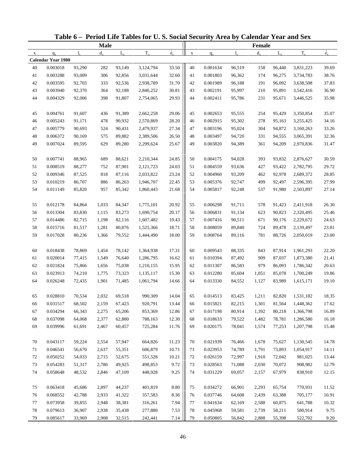|             |                           |              |             |             | Table 6 - Period Life Tables for U.S. Social Security Area by Calendar Year and Sex |             |             |                      |             |         |             |           |             |
|-------------|---------------------------|--------------|-------------|-------------|-------------------------------------------------------------------------------------|-------------|-------------|----------------------|-------------|---------|-------------|-----------|-------------|
|             |                           |              | <b>Male</b> |             |                                                                                     |             |             |                      |             | Female  |             |           |             |
| $\mathbf X$ | $q_{x}$                   | $\mathbf{l}$ | $d_{\rm v}$ | $L_{\rm v}$ | $T_{x}$                                                                             | $\dot{e}_x$ | $\mathbf X$ | $q_{x}$              | $l_{\rm x}$ | $d_{x}$ | $L_{\rm v}$ | $T_{x}$   | $\dot{e}_x$ |
|             | <b>Calendar Year 1980</b> |              |             |             |                                                                                     |             |             |                      |             |         |             |           |             |
| 40          | 0.003018                  | 93,290       | 282         | 93,149      | 3,124,794                                                                           | 33.50       | 40          | 0.001634             | 96,519      | 158     | 96,440      | 3,831,223 | 39.69       |
| 41          | 0.003288                  | 93,009       | 306         | 92,856      | 3,031,644                                                                           | 32.60       | 41          | 0.001803             | 96,362      | 174     | 96,275      | 3,734,783 | 38.76       |
| 42          | 0.003595                  | 92,703       | 333         | 92,536      | 2,938,789                                                                           | 31.70       | 42          | 0.001989             | 96,188      | 191     | 96,092      | 3,638,508 | 37.83       |
| 43          | 0.003940                  | 92,370       | 364         | 92,188      | 2,846,252                                                                           | 30.81       | 43          | 0.002191             | 95,997      | 210     | 95,891      | 3,542,416 | 36.90       |
| 44          | 0.004329                  | 92,006       | 398         | 91,807      | 2,754,065                                                                           | 29.93       | 44          | 0.002411             | 95,786      | 231     | 95,671      | 3,446,525 | 35.98       |
| 45          | 0.004761                  | 91,607       | 436         | 91,389      | 2,662,258                                                                           | 29.06       | 45          | 0.002653             | 95,555      | 254     | 95,429      | 3,350,854 | 35.07       |
| 46          | 0.005243                  | 91,171       | 478         | 90,932      | 2,570,869                                                                           | 28.20       | 46          | 0.002915             | 95,302      | 278     | 95,163      | 3,255,425 | 34.16       |
| $47\,$      | 0.005779                  | 90,693       | 524         | 90,431      | 2,479,937                                                                           | 27.34       | 47          | 0.003196             | 95,024      | 304     | 94,872      | 3,160,263 | 33.26       |
| 48          | 0.006372                  | 90,169       | 575         | 89,882      | 2,389,506                                                                           | 26.50       | 48          | 0.003497             | 94,720      | 331     | 94,555      | 3,065,391 | 32.36       |
| 49          | 0.007024                  | 89,595       | 629         | 89,280      | 2,299,624                                                                           | 25.67       | 49          | 0.003820             | 94,389      | 361     | 94,209      | 2,970,836 | 31.47       |
| 50          | 0.007741                  | 88,965       | 689         | 88,621      | 2,210,344                                                                           | 24.85       | 50          | 0.004175             | 94,028      | 393     | 93,832      | 2,876,627 | 30.59       |
| 51          | 0.008519                  | 88,277       | 752         | 87,901      | 2,121,723                                                                           | 24.03       | 51          | 0.004559             | 93,636      | 427     | 93,422      | 2,782,795 | 29.72       |
| 52          | 0.009346                  | 87,525       | 818         | 87,116      | 2,033,822                                                                           | 23.24       | 52          | 0.004960             | 93,209      | 462     | 92,978      | 2,689,372 | 28.85       |
| 53          | 0.010219                  | 86,707       | 886         | 86,263      | 1,946,707                                                                           | 22.45       | 53          | 0.005376             | 92,747      | 499     | 92,497      | 2,596,395 | 27.99       |
| 54          | 0.011149                  | 85,820       | 957         | 85,342      | 1,860,443                                                                           | 21.68       | 54          | 0.005817             | 92,248      | 537     | 91,980      | 2,503,897 | 27.14       |
| 55          | 0.012178                  | 84,864       | 1,033       | 84,347      | 1,775,101                                                                           | 20.92       | 55          | 0.006298             | 91,711      | 578     | 91,423      | 2,411,918 | 26.30       |
| 56          | 0.013304                  | 83,830       | 1,115       | 83,273      | 1,690,754                                                                           | 20.17       | 56          | 0.006831             | 91,134      | 623     | 90,823      | 2,320,495 | 25.46       |
| 57          | 0.014486                  | 82,715       | 1,198       | 82,116      | 1,607,482                                                                           | 19.43       | 57          | 0.007416             | 90,511      | 671     | 90,176      | 2,229,672 | 24.63       |
| 58          | 0.015716                  | 81,517       | 1,281       | 80,876      | 1,525,366                                                                           | 18.71       | 58          | 0.008059             | 89,840      | 724     | 89,478      | 2,139,497 | 23.81       |
| 59          | 0.017028                  | 80,236       | 1,366       | 79,552      | 1,444,490                                                                           | 18.00       | 59          | 0.008764             | 89,116      | 781     | 88,726      | 2,050,019 | 23.00       |
| 60          | 0.018438                  | 78,869       | 1,454       | 78,142      | 1,364,938                                                                           | 17.31       | 60          | 0.009543             | 88,335      | 843     | 87,914      | 1,961,293 | 22.20       |
| 61          | 0.020014                  | 77,415       | 1,549       | 76,640      | 1,286,795                                                                           | 16.62       | 61          | 0.010394             | 87,492      | 909     | 87,037      | 1,873,380 | 21.41       |
| 62          | 0.021824                  | 75,866       | 1,656       | 75,038      | 1,210,155                                                                           | 15.95       | 62          | 0.011307             | 86,583      | 979     | 86,093      | 1,786,342 | 20.63       |
| 63          | 0.023913                  | 74,210       | 1,775       | 73,323      | 1,135,117                                                                           | 15.30       | 63          | 0.012280             | 85,604      | 1,051   | 85,078      | 1,700,249 | 19.86       |
| 64          | 0.026248                  | 72,435       | 1,901       | 71,485      | 1,061,794                                                                           | 14.66       | 64          | 0.013330             | 84,552      | 1,127   | 83,989      | 1,615,171 | 19.10       |
|             |                           |              |             |             |                                                                                     |             |             |                      |             |         |             |           |             |
| 65          | 0.028810                  | 70,534       | 2,032       | 69,518      | 990,309                                                                             | 14.04       | 65          | 0.014513             | 83,425      | 1,211   | 82,820      | 1,531,182 | 18.35       |
| 66          | 0.031517                  | 68,502       | 2,159       | 67,423      | 920,791                                                                             | 13.44       | 66          | 0.015821             | 82,215      | 1,301   | 81,564      | 1,448,362 | 17.62       |
| 67          | 0.034294                  | 66,343       | 2,275       | 65,206      | 853,369                                                                             | 12.86       | 67          | 0.017198             | 80,914      | 1,392   | 80,218      | 1,366,798 | 16.89       |
| 68          | 0.037098                  | 64,068       | 2,377       | 62,880      | 788,163                                                                             | 12.30       | 68          | 0.018633<br>0.020175 | 79,522      | 1,482   | 78,781      | 1,286,580 | 16.18       |
| 69          | 0.039996                  | 61,691       | 2,467       | 60,457      | 725,284                                                                             | 11.76       | 69          |                      | 78,041      | 1,574   | 77,253      | 1,207,798 | 15.48       |
| 70          | 0.043117                  | 59,224       | 2,554       | 57,947      | 664,826                                                                             | 11.23       | 70          | 0.021939             | 76,466      | 1,678   | 75,627      | 1,130,545 | 14.78       |
| 71          | 0.046541                  | 56,670       | 2,637       | 55,351      | 606,879                                                                             | 10.71       | 71          | 0.023953             | 74,789      | 1,791   | 73,893      | 1,054,917 | 14.11       |
| 72          | 0.050252                  | 54,033       | 2,715       | 52,675      | 551,528                                                                             | 10.21       | 72          | 0.026159             | 72,997      | 1,910   | 72,042      | 981,025   | 13.44       |
| 73          | 0.054283                  | 51,317       | 2,786       | 49,925      | 498,853                                                                             | 9.72        | 73          | 0.028563             | 71,088      | 2,030   | 70,072      | 908,982   | 12.79       |
| 74          | 0.058648                  | 48,532       | 2,846       | 47,109      | 448,928                                                                             | 9.25        | 74          | 0.031229             | 69,057      | 2,157   | 67,979      | 838,910   | 12.15       |
| 75          | 0.063418                  | 45,686       | 2,897       | 44,237      | 401,819                                                                             | 8.80        | 75          | 0.034272             | 66,901      | 2,293   | 65,754      | 770,931   | 11.52       |
| 76          | 0.068552                  | 42,788       | 2,933       | 41,322      | 357,583                                                                             | 8.36        | 76          | 0.037746             | 64,608      | 2,439   | 63,388      | 705,177   | 10.91       |
| 77          | 0.073958                  | 39,855       | 2,948       | 38,381      | 316,261                                                                             | 7.94        | 77          | 0.041634             | 62,169      | 2,588   | 60,875      | 641,788   | 10.32       |
| 78          | 0.079613                  | 36,907       | 2,938       | 35,438      | 277,880                                                                             | 7.53        | 78          | 0.045968             | 59,581      | 2,739   | 58,211      | 580,914   | 9.75        |
| 79          | 0.085617                  | 33,969       | 2,908       | 32,515      | 242,441                                                                             | 7.14        | 79          | 0.050805             | 56,842      | 2,888   | 55,398      | 522,702   | 9.20        |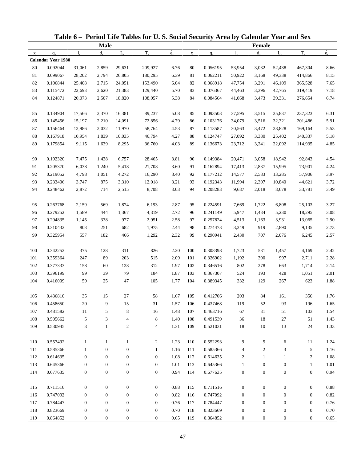|              |                           |                  |                  |                  | Table 6 - Period Life Tables for U.S. Social Security Area by Calendar Year and Sex |                          |             |          |                  |                  |                  |                  |             |
|--------------|---------------------------|------------------|------------------|------------------|-------------------------------------------------------------------------------------|--------------------------|-------------|----------|------------------|------------------|------------------|------------------|-------------|
|              |                           |                  | <b>Male</b>      |                  |                                                                                     |                          |             |          |                  | <b>Female</b>    |                  |                  |             |
| $\mathbf{x}$ | $q_{x}$                   | $l_{\rm v}$      | $d_{\rm v}$      | $L_{\rm v}$      | $T_{x}$                                                                             | $\overset{\circ}{e}_{x}$ | $\mathbf X$ | $q_{x}$  | $l_{\rm v}$      | $d_{x}$          | $L_{\rm v}$      | $T_{x}$          | $\dot{e}_x$ |
|              | <b>Calendar Year 1980</b> |                  |                  |                  |                                                                                     |                          |             |          |                  |                  |                  |                  |             |
| 80           | 0.092044                  | 31,061           | 2,859            | 29,631           | 209,927                                                                             | 6.76                     | 80          | 0.056195 | 53,954           | 3,032            | 52,438           | 467,304          | 8.66        |
| 81           | 0.099067                  | 28,202           | 2,794            | 26,805           | 180,295                                                                             | 6.39                     | 81          | 0.062211 | 50,922           | 3,168            | 49,338           | 414,866          | 8.15        |
| 82           | 0.106844                  | 25,408           | 2,715            | 24,051           | 153,490                                                                             | 6.04                     | 82          | 0.068918 | 47,754           | 3,291            | 46,109           | 365,528          | 7.65        |
| 83           | 0.115472                  | 22,693           | 2,620            | 21,383           | 129,440                                                                             | 5.70                     | 83          | 0.076367 | 44,463           | 3,396            | 42,765           | 319,419          | 7.18        |
| 84           | 0.124871                  | 20,073           | 2,507            | 18,820           | 108,057                                                                             | 5.38                     | 84          | 0.084564 | 41,068           | 3,473            | 39,331           | 276,654          | 6.74        |
| 85           | 0.134904                  | 17,566           | 2,370            | 16,381           | 89,237                                                                              | 5.08                     | 85          | 0.093503 | 37,595           | 3,515            | 35,837           | 237,323          | 6.31        |
| 86           | 0.145456                  | 15,197           | 2,210            | 14,091           | 72,856                                                                              | 4.79                     | 86          | 0.103176 | 34,079           | 3,516            | 32,321           | 201,486          | 5.91        |
| 87           | 0.156464                  | 12,986           | 2,032            | 11,970           | 58,764                                                                              | 4.53                     | 87          | 0.113587 | 30,563           | 3,472            | 28,828           | 169,164          | 5.53        |
| $88\,$       | 0.167918                  | 10,954           | 1,839            | 10,035           | 46,794                                                                              | 4.27                     | 88          | 0.124747 | 27,092           | 3,380            | 25,402           | 140,337          | 5.18        |
| 89           | 0.179854                  | 9,115            | 1,639            | 8,295            | 36,760                                                                              | 4.03                     | 89          | 0.136673 | 23,712           | 3,241            | 22,092           | 114,935          | 4.85        |
| 90           | 0.192320                  | 7,475            | 1,438            | 6,757            | 28,465                                                                              | 3.81                     | 90          | 0.149384 | 20,471           | 3,058            | 18,942           | 92,843           | 4.54        |
| 91           | 0.205370                  | 6,038            | 1,240            | 5,418            | 21,708                                                                              | 3.60                     | 91          | 0.162894 | 17,413           | 2,837            | 15,995           | 73,901           | 4.24        |
| 92           | 0.219052                  | 4,798            | 1,051            | 4,272            | 16,290                                                                              | 3.40                     | 92          | 0.177212 | 14,577           | 2,583            | 13,285           | 57,906           | 3.97        |
| 93           | 0.233406                  | 3,747            | 875              | 3,310            | 12,018                                                                              | 3.21                     | 93          | 0.192343 | 11,994           | 2,307            | 10,840           | 44,621           | 3.72        |
| 94           | 0.248462                  | 2,872            | 714              | 2,515            | 8,708                                                                               | 3.03                     | 94          | 0.208283 | 9,687            | 2,018            | 8,678            | 33,781           | 3.49        |
| 95           | 0.263768                  | 2,159            | 569              | 1,874            | 6,193                                                                               | 2.87                     | 95          | 0.224591 | 7,669            | 1,722            | 6,808            | 25,103           | 3.27        |
| 96           | 0.279252                  | 1,589            | 444              | 1,367            | 4,319                                                                               | 2.72                     | 96          | 0.241149 | 5,947            | 1,434            | 5,230            | 18,295           | 3.08        |
| 97           | 0.294835                  | 1,145            | 338              | 977              | 2,951                                                                               | 2.58                     | 97          | 0.257824 | 4,513            | 1,163            | 3,931            | 13,065           | 2.90        |
| 98           | 0.310432                  | 808              | 251              | 682              | 1,975                                                                               | 2.44                     | 98          | 0.274473 | 3,349            | 919              | 2,890            | 9,135            | 2.73        |
| 99           | 0.325954                  | 557              | 182              | 466              | 1,292                                                                               | 2.32                     | 99          | 0.290941 | 2,430            | 707              | 2,076            | 6,245            | 2.57        |
| 100          | 0.342252                  | 375              | 128              | 311              | 826                                                                                 | 2.20                     | 100         | 0.308398 | 1,723            | 531              | 1,457            | 4,169            | 2.42        |
| 101          | 0.359364                  | 247              | 89               | 203              | 515                                                                                 | 2.09                     | 101         | 0.326902 | 1,192            | 390              | 997              | 2,711            | 2.28        |
| 102          | 0.377333                  | 158              | 60               | 128              | 312                                                                                 | 1.97                     | 102         | 0.346516 | 802              | 278              | 663              | 1,714            | 2.14        |
| 103          | 0.396199                  | 99               | 39               | 79               | 184                                                                                 | 1.87                     | 103         | 0.367307 | 524              | 193              | 428              | 1,051            | 2.01        |
| 104          | 0.416009                  | 59               | 25               | 47               | 105                                                                                 | 1.77                     | 104         | 0.389345 | 332              | 129              | 267              | 623              | 1.88        |
| 105          | 0.436810                  | 35               | 15               | 27               | 58                                                                                  | 1.67                     | 105         | 0.412706 | $203\,$          | 84               | 161              | 356              | 1.76        |
| 106          | 0.458650                  | 20               | 9                | 15               | 31                                                                                  | 1.57                     | 106         | 0.437468 | 119              | 52               | 93               | 196              | 1.65        |
| 107          | 0.481582                  | 11               | 5                | 8                | 16                                                                                  | 1.48                     | 107         | 0.463716 | 67               | 31               | 51               | 103              | 1.54        |
| 108          | 0.505662                  | $\sqrt{5}$       | 3                | 4                | $\,8\,$                                                                             | 1.40                     | 108         | 0.491539 | 36               | 18               | $27\,$           | 51               | 1.43        |
| 109          | 0.530945                  | $\mathfrak{Z}$   | $\mathbf{1}$     | $\boldsymbol{2}$ | 4                                                                                   | 1.31                     | 109         | 0.521031 | 18               | 10               | 13               | 24               | 1.33        |
| 110          | 0.557492                  | $\mathbf{1}$     | $\mathbf{1}$     | $\mathbf{1}$     | $\overline{c}$                                                                      | 1.23                     | 110         | 0.552293 | 9                | 5                | 6                | 11               | 1.24        |
| 111          | 0.585366                  | $\mathbf{1}$     | $\boldsymbol{0}$ | $\boldsymbol{0}$ | $\mathbf{1}$                                                                        | 1.16                     | 111         | 0.585366 | 4                | $\boldsymbol{2}$ | 3                | 5                | 1.16        |
| 112          | 0.614635                  | $\mathbf{0}$     | $\boldsymbol{0}$ | $\boldsymbol{0}$ | $\boldsymbol{0}$                                                                    | 1.08                     | 112         | 0.614635 | 2                | 1                | 1                | $\boldsymbol{2}$ | 1.08        |
| 113          | 0.645366                  | $\boldsymbol{0}$ | $\boldsymbol{0}$ | $\boldsymbol{0}$ | $\boldsymbol{0}$                                                                    | 1.01                     | 113         | 0.645366 | $\mathbf{1}$     | $\boldsymbol{0}$ | $\boldsymbol{0}$ | $\mathbf{1}$     | 1.01        |
| 114          | 0.677635                  | $\boldsymbol{0}$ | $\boldsymbol{0}$ | $\boldsymbol{0}$ | $\boldsymbol{0}$                                                                    | 0.94                     | 114         | 0.677635 | $\boldsymbol{0}$ | $\boldsymbol{0}$ | $\boldsymbol{0}$ | $\boldsymbol{0}$ | 0.94        |
|              |                           |                  |                  |                  |                                                                                     |                          |             |          |                  |                  |                  |                  |             |
| 115          | 0.711516                  | $\boldsymbol{0}$ | $\boldsymbol{0}$ | $\boldsymbol{0}$ | $\boldsymbol{0}$                                                                    | 0.88                     | 115         | 0.711516 | $\boldsymbol{0}$ | $\boldsymbol{0}$ | $\boldsymbol{0}$ | $\boldsymbol{0}$ | 0.88        |
| 116          | 0.747092                  | $\mathbf{0}$     | $\boldsymbol{0}$ | $\boldsymbol{0}$ | $\boldsymbol{0}$                                                                    | 0.82                     | 116         | 0.747092 | $\boldsymbol{0}$ | $\boldsymbol{0}$ | $\boldsymbol{0}$ | $\boldsymbol{0}$ | $0.82\,$    |
| 117          | 0.784447                  | $\boldsymbol{0}$ | $\boldsymbol{0}$ | $\boldsymbol{0}$ | $\boldsymbol{0}$                                                                    | 0.76                     | 117         | 0.784447 | $\boldsymbol{0}$ | $\boldsymbol{0}$ | $\boldsymbol{0}$ | $\boldsymbol{0}$ | $0.76\,$    |
| 118          | 0.823669                  | $\boldsymbol{0}$ | $\boldsymbol{0}$ | $\boldsymbol{0}$ | $\boldsymbol{0}$                                                                    | $0.70\,$                 | 118         | 0.823669 | $\boldsymbol{0}$ | $\boldsymbol{0}$ | $\boldsymbol{0}$ | $\boldsymbol{0}$ | 0.70        |
| 119          | 0.864852                  | $\boldsymbol{0}$ | $\mathbf{0}$     | $\boldsymbol{0}$ | $\mathbf{0}$                                                                        | $0.65\,$                 | 119         | 0.864852 | 0                | $\mathbf{0}$     | $\mathbf{0}$     | $\boldsymbol{0}$ | 0.65        |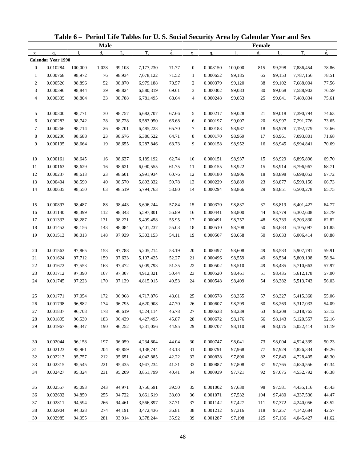| <b>Male</b><br>Female<br>$\dot{e}_x$<br>$\dot{e}_x$<br>$T_{x}$<br>$T_{x}$<br>$d_{x}$<br>$L_{\rm v}$<br>$d_{x}$<br>$L_{\rm v}$<br>$\mathbf X$<br>$1_{\rm v}$<br>$q_{x}$<br>1.<br>$q_{x}$<br>$\mathbf X$<br>Calendar Year 1990<br>0.010284<br>100,000<br>1,028<br>99,108<br>71.77<br>$\boldsymbol{0}$<br>0.008150<br>100,000<br>99,298<br>7,886,454<br>$\overline{0}$<br>7,177,230<br>815<br>0.000768<br>71.52<br>0.000652<br>$\mathbf{1}$<br>98,972<br>76<br>98,934<br>7,078,122<br>$\mathbf{1}$<br>99,185<br>65<br>99,153<br>7,787,156<br>70.57<br>$\boldsymbol{2}$<br>0.000526<br>98,896<br>$\boldsymbol{2}$<br>0.000379<br>7,688,004<br>52<br>98,870<br>6,979,188<br>99,120<br>38<br>99,102<br>69.61<br>3<br>0.000396<br>98,844<br>39<br>98,824<br>6,880,319<br>3<br>0.000302<br>99,083<br>30<br>99,068<br>7,588,902<br>68.64<br>$\overline{4}$<br>0.000335<br>98,804<br>33<br>98,788<br>6,781,495<br>$\overline{4}$<br>0.000248<br>99,053<br>25<br>99,041<br>7,489,834<br>0.000300<br>5<br>0.000217<br>5<br>98,771<br>$30\,$<br>98,757<br>6,682,707<br>67.66<br>99,028<br>21<br>99,018<br>7,390,794<br>66.68<br>6<br>0.000283<br>98,742<br>$28\,$<br>98,728<br>6<br>0.000197<br>99,007<br>20<br>7,291,776<br>6,583,950<br>98,997<br>65.70<br>$\tau$<br>0.000266<br>98,714<br>26<br>98,701<br>6,485,223<br>7<br>0.000183<br>98,987<br>18<br>98,978<br>7,192,779<br>64.71<br>8<br>8<br>0.000236<br>98,688<br>23<br>0.000170<br>98,969<br>17<br>7,093,801<br>98,676<br>6,386,522<br>98,961<br>9<br>63.73<br>9<br>0.000195<br>98,664<br>19<br>98,655<br>6,287,846<br>0.000158<br>98,952<br>16<br>98,945<br>6,994,841<br>0.000161<br>62.74<br>0.000151<br>10<br>98,645<br>98,637<br>6,189,192<br>10<br>98,937<br>98,929<br>6,895,896<br>16<br>15<br>61.75<br>11<br>0.000163<br>98,621<br>0.000155<br>98,914<br>98,629<br>16<br>6,090,555<br>11<br>98,922<br>15<br>6,796,967<br>60.76<br>12<br>0.000237<br>98,613<br>98,601<br>5,991,934<br>12<br>0.000180<br>98,906<br>18<br>98,898<br>6,698,053<br>23<br>59.78<br>13<br>0.000404<br>98,590<br>40<br>98,570<br>5,893,332<br>13<br>0.000229<br>98,889<br>23<br>98,877<br>6,599,156<br>58.80<br>14<br>0.000635<br>0.000294<br>98,866<br>29<br>98,851<br>6,500,278<br>98,550<br>63<br>98,519<br>5,794,763<br>14<br>0.000897<br>0.000370<br>15<br>98,487<br>88<br>98,443<br>5,696,244<br>57.84<br>15<br>98,837<br>37<br>98,819<br>6,401,427<br>56.89<br>16<br>0.001140<br>98,399<br>112<br>0.000441<br>6,302,608<br>98,343<br>5,597,801<br>16<br>98,800<br>44<br>98,779<br>17<br>55.95<br>0.001333<br>98,287<br>131<br>98,221<br>17<br>0.000491<br>98,757<br>48<br>98,733<br>6,203,830<br>5,499,458<br>18<br>0.001452<br>98,156<br>143<br>98,084<br>55.03<br>18<br>0.000510<br>98,708<br>50<br>98,683<br>6,105,097<br>5,401,237<br>19<br>54.11<br>0.001513<br>98,013<br>148<br>97,939<br>5,303,153<br>19<br>0.000507<br>98,658<br>50<br>98,633<br>6,006,414<br>0.001563<br>53.19<br>0.000497<br>20<br>97,865<br>97,788<br>5,205,214<br>20<br>98,608<br>49<br>5,907,781<br>153<br>98,583<br>52.27<br>21<br>0.001624<br>97,712<br>159<br>97,633<br>5,107,425<br>21<br>0.000496<br>98,559<br>49<br>98,534<br>5,809,198<br>22<br>0.001672<br>97,553<br>51.35<br>22<br>0.000502<br>98,510<br>5,710,663<br>163<br>97,472<br>5,009,793<br>49<br>98,485<br>23<br>0.001712<br>97,390<br>97,307<br>4,912,321<br>50.44<br>23<br>0.000520<br>98,461<br>5,612,178<br>167<br>51<br>98,435<br>49.53<br>24<br>0.001745<br>97,223<br>170<br>97,139<br>4,815,015<br>24<br>0.000548<br>98,409<br>54<br>98,382<br>5,513,743<br>97,054<br>48.61<br>0.001771<br>172<br>96,968<br>4,717,876<br>0.000578<br>98,355<br>98,327<br>5,415,360<br>57<br>25<br>25<br>47.70<br>0.001798<br>96,882<br>96,795<br>0.000607<br>98,299<br>174<br>4,620,908<br>26<br>60<br>98,269<br>5,317,033<br>26<br>46.78<br>27<br>0.001837<br>96,708<br>178<br>96,619<br>27<br>0.000638<br>98,239<br>98,208<br>5,218,765<br>4,524,114<br>63<br>45.87<br>28<br>0.001895<br>96,530<br>183<br>96,439<br>4,427,495<br>0.000672<br>98,176<br>98,143<br>5,120,557<br>28<br>66<br>44.95<br>29<br>0.001967<br>190<br>0.000707<br>69<br>5,022,414<br>96,347<br>96,252<br>4,331,056<br>29<br>98,110<br>98,076<br>0.002044<br>96,158<br>96,059<br>4,234,804<br>44.04<br>30<br>0.000747<br>98,041<br>4,924,339<br>30<br>197<br>73<br>98,004<br>43.13<br>0.002123<br>95,961<br>95,859<br>0.000791<br>97,968<br>4,826,334<br>31<br>204<br>4,138,744<br>31<br>77<br>97,929 |          |        |     |        | Table 6 - Period Life Tables for U.S. Social Security Area by Calendar Year and Sex |       |          |        |  |           |                |
|-------------------------------------------------------------------------------------------------------------------------------------------------------------------------------------------------------------------------------------------------------------------------------------------------------------------------------------------------------------------------------------------------------------------------------------------------------------------------------------------------------------------------------------------------------------------------------------------------------------------------------------------------------------------------------------------------------------------------------------------------------------------------------------------------------------------------------------------------------------------------------------------------------------------------------------------------------------------------------------------------------------------------------------------------------------------------------------------------------------------------------------------------------------------------------------------------------------------------------------------------------------------------------------------------------------------------------------------------------------------------------------------------------------------------------------------------------------------------------------------------------------------------------------------------------------------------------------------------------------------------------------------------------------------------------------------------------------------------------------------------------------------------------------------------------------------------------------------------------------------------------------------------------------------------------------------------------------------------------------------------------------------------------------------------------------------------------------------------------------------------------------------------------------------------------------------------------------------------------------------------------------------------------------------------------------------------------------------------------------------------------------------------------------------------------------------------------------------------------------------------------------------------------------------------------------------------------------------------------------------------------------------------------------------------------------------------------------------------------------------------------------------------------------------------------------------------------------------------------------------------------------------------------------------------------------------------------------------------------------------------------------------------------------------------------------------------------------------------------------------------------------------------------------------------------------------------------------------------------------------------------------------------------------------------------------------------------------------------------------------------------------------------------------------------------------------------------------------------------------------------------------------------------------------------------------------------------------------------------------------------------------------------------------------------------------------------------------------------------------------------------------------------------------------------------------------------------------------------------------------------------------------------------------------------------------------------------------------------------------------------------------------------------------------------------------------------------------------------------------------------------------------------------------------------------------------------------------------------------------------------------------------------------------------------------------------------------------------------------------------------------------------------------------------------------------------------------|----------|--------|-----|--------|-------------------------------------------------------------------------------------|-------|----------|--------|--|-----------|----------------|
|                                                                                                                                                                                                                                                                                                                                                                                                                                                                                                                                                                                                                                                                                                                                                                                                                                                                                                                                                                                                                                                                                                                                                                                                                                                                                                                                                                                                                                                                                                                                                                                                                                                                                                                                                                                                                                                                                                                                                                                                                                                                                                                                                                                                                                                                                                                                                                                                                                                                                                                                                                                                                                                                                                                                                                                                                                                                                                                                                                                                                                                                                                                                                                                                                                                                                                                                                                                                                                                                                                                                                                                                                                                                                                                                                                                                                                                                                                                                                                                                                                                                                                                                                                                                                                                                                                                                                                                                                                                       |          |        |     |        |                                                                                     |       |          |        |  |           |                |
|                                                                                                                                                                                                                                                                                                                                                                                                                                                                                                                                                                                                                                                                                                                                                                                                                                                                                                                                                                                                                                                                                                                                                                                                                                                                                                                                                                                                                                                                                                                                                                                                                                                                                                                                                                                                                                                                                                                                                                                                                                                                                                                                                                                                                                                                                                                                                                                                                                                                                                                                                                                                                                                                                                                                                                                                                                                                                                                                                                                                                                                                                                                                                                                                                                                                                                                                                                                                                                                                                                                                                                                                                                                                                                                                                                                                                                                                                                                                                                                                                                                                                                                                                                                                                                                                                                                                                                                                                                                       |          |        |     |        |                                                                                     |       |          |        |  |           |                |
|                                                                                                                                                                                                                                                                                                                                                                                                                                                                                                                                                                                                                                                                                                                                                                                                                                                                                                                                                                                                                                                                                                                                                                                                                                                                                                                                                                                                                                                                                                                                                                                                                                                                                                                                                                                                                                                                                                                                                                                                                                                                                                                                                                                                                                                                                                                                                                                                                                                                                                                                                                                                                                                                                                                                                                                                                                                                                                                                                                                                                                                                                                                                                                                                                                                                                                                                                                                                                                                                                                                                                                                                                                                                                                                                                                                                                                                                                                                                                                                                                                                                                                                                                                                                                                                                                                                                                                                                                                                       |          |        |     |        |                                                                                     |       |          |        |  |           |                |
|                                                                                                                                                                                                                                                                                                                                                                                                                                                                                                                                                                                                                                                                                                                                                                                                                                                                                                                                                                                                                                                                                                                                                                                                                                                                                                                                                                                                                                                                                                                                                                                                                                                                                                                                                                                                                                                                                                                                                                                                                                                                                                                                                                                                                                                                                                                                                                                                                                                                                                                                                                                                                                                                                                                                                                                                                                                                                                                                                                                                                                                                                                                                                                                                                                                                                                                                                                                                                                                                                                                                                                                                                                                                                                                                                                                                                                                                                                                                                                                                                                                                                                                                                                                                                                                                                                                                                                                                                                                       |          |        |     |        |                                                                                     |       |          |        |  |           | 78.86          |
|                                                                                                                                                                                                                                                                                                                                                                                                                                                                                                                                                                                                                                                                                                                                                                                                                                                                                                                                                                                                                                                                                                                                                                                                                                                                                                                                                                                                                                                                                                                                                                                                                                                                                                                                                                                                                                                                                                                                                                                                                                                                                                                                                                                                                                                                                                                                                                                                                                                                                                                                                                                                                                                                                                                                                                                                                                                                                                                                                                                                                                                                                                                                                                                                                                                                                                                                                                                                                                                                                                                                                                                                                                                                                                                                                                                                                                                                                                                                                                                                                                                                                                                                                                                                                                                                                                                                                                                                                                                       |          |        |     |        |                                                                                     |       |          |        |  |           | 78.51          |
|                                                                                                                                                                                                                                                                                                                                                                                                                                                                                                                                                                                                                                                                                                                                                                                                                                                                                                                                                                                                                                                                                                                                                                                                                                                                                                                                                                                                                                                                                                                                                                                                                                                                                                                                                                                                                                                                                                                                                                                                                                                                                                                                                                                                                                                                                                                                                                                                                                                                                                                                                                                                                                                                                                                                                                                                                                                                                                                                                                                                                                                                                                                                                                                                                                                                                                                                                                                                                                                                                                                                                                                                                                                                                                                                                                                                                                                                                                                                                                                                                                                                                                                                                                                                                                                                                                                                                                                                                                                       |          |        |     |        |                                                                                     |       |          |        |  |           | 77.56          |
|                                                                                                                                                                                                                                                                                                                                                                                                                                                                                                                                                                                                                                                                                                                                                                                                                                                                                                                                                                                                                                                                                                                                                                                                                                                                                                                                                                                                                                                                                                                                                                                                                                                                                                                                                                                                                                                                                                                                                                                                                                                                                                                                                                                                                                                                                                                                                                                                                                                                                                                                                                                                                                                                                                                                                                                                                                                                                                                                                                                                                                                                                                                                                                                                                                                                                                                                                                                                                                                                                                                                                                                                                                                                                                                                                                                                                                                                                                                                                                                                                                                                                                                                                                                                                                                                                                                                                                                                                                                       |          |        |     |        |                                                                                     |       |          |        |  |           | 76.59          |
|                                                                                                                                                                                                                                                                                                                                                                                                                                                                                                                                                                                                                                                                                                                                                                                                                                                                                                                                                                                                                                                                                                                                                                                                                                                                                                                                                                                                                                                                                                                                                                                                                                                                                                                                                                                                                                                                                                                                                                                                                                                                                                                                                                                                                                                                                                                                                                                                                                                                                                                                                                                                                                                                                                                                                                                                                                                                                                                                                                                                                                                                                                                                                                                                                                                                                                                                                                                                                                                                                                                                                                                                                                                                                                                                                                                                                                                                                                                                                                                                                                                                                                                                                                                                                                                                                                                                                                                                                                                       |          |        |     |        |                                                                                     |       |          |        |  |           | 75.61          |
|                                                                                                                                                                                                                                                                                                                                                                                                                                                                                                                                                                                                                                                                                                                                                                                                                                                                                                                                                                                                                                                                                                                                                                                                                                                                                                                                                                                                                                                                                                                                                                                                                                                                                                                                                                                                                                                                                                                                                                                                                                                                                                                                                                                                                                                                                                                                                                                                                                                                                                                                                                                                                                                                                                                                                                                                                                                                                                                                                                                                                                                                                                                                                                                                                                                                                                                                                                                                                                                                                                                                                                                                                                                                                                                                                                                                                                                                                                                                                                                                                                                                                                                                                                                                                                                                                                                                                                                                                                                       |          |        |     |        |                                                                                     |       |          |        |  |           | 74.63          |
|                                                                                                                                                                                                                                                                                                                                                                                                                                                                                                                                                                                                                                                                                                                                                                                                                                                                                                                                                                                                                                                                                                                                                                                                                                                                                                                                                                                                                                                                                                                                                                                                                                                                                                                                                                                                                                                                                                                                                                                                                                                                                                                                                                                                                                                                                                                                                                                                                                                                                                                                                                                                                                                                                                                                                                                                                                                                                                                                                                                                                                                                                                                                                                                                                                                                                                                                                                                                                                                                                                                                                                                                                                                                                                                                                                                                                                                                                                                                                                                                                                                                                                                                                                                                                                                                                                                                                                                                                                                       |          |        |     |        |                                                                                     |       |          |        |  |           | 73.65          |
|                                                                                                                                                                                                                                                                                                                                                                                                                                                                                                                                                                                                                                                                                                                                                                                                                                                                                                                                                                                                                                                                                                                                                                                                                                                                                                                                                                                                                                                                                                                                                                                                                                                                                                                                                                                                                                                                                                                                                                                                                                                                                                                                                                                                                                                                                                                                                                                                                                                                                                                                                                                                                                                                                                                                                                                                                                                                                                                                                                                                                                                                                                                                                                                                                                                                                                                                                                                                                                                                                                                                                                                                                                                                                                                                                                                                                                                                                                                                                                                                                                                                                                                                                                                                                                                                                                                                                                                                                                                       |          |        |     |        |                                                                                     |       |          |        |  |           | 72.66          |
|                                                                                                                                                                                                                                                                                                                                                                                                                                                                                                                                                                                                                                                                                                                                                                                                                                                                                                                                                                                                                                                                                                                                                                                                                                                                                                                                                                                                                                                                                                                                                                                                                                                                                                                                                                                                                                                                                                                                                                                                                                                                                                                                                                                                                                                                                                                                                                                                                                                                                                                                                                                                                                                                                                                                                                                                                                                                                                                                                                                                                                                                                                                                                                                                                                                                                                                                                                                                                                                                                                                                                                                                                                                                                                                                                                                                                                                                                                                                                                                                                                                                                                                                                                                                                                                                                                                                                                                                                                                       |          |        |     |        |                                                                                     |       |          |        |  |           | 71.68          |
|                                                                                                                                                                                                                                                                                                                                                                                                                                                                                                                                                                                                                                                                                                                                                                                                                                                                                                                                                                                                                                                                                                                                                                                                                                                                                                                                                                                                                                                                                                                                                                                                                                                                                                                                                                                                                                                                                                                                                                                                                                                                                                                                                                                                                                                                                                                                                                                                                                                                                                                                                                                                                                                                                                                                                                                                                                                                                                                                                                                                                                                                                                                                                                                                                                                                                                                                                                                                                                                                                                                                                                                                                                                                                                                                                                                                                                                                                                                                                                                                                                                                                                                                                                                                                                                                                                                                                                                                                                                       |          |        |     |        |                                                                                     |       |          |        |  |           | 70.69          |
|                                                                                                                                                                                                                                                                                                                                                                                                                                                                                                                                                                                                                                                                                                                                                                                                                                                                                                                                                                                                                                                                                                                                                                                                                                                                                                                                                                                                                                                                                                                                                                                                                                                                                                                                                                                                                                                                                                                                                                                                                                                                                                                                                                                                                                                                                                                                                                                                                                                                                                                                                                                                                                                                                                                                                                                                                                                                                                                                                                                                                                                                                                                                                                                                                                                                                                                                                                                                                                                                                                                                                                                                                                                                                                                                                                                                                                                                                                                                                                                                                                                                                                                                                                                                                                                                                                                                                                                                                                                       |          |        |     |        |                                                                                     |       |          |        |  |           | 69.70          |
|                                                                                                                                                                                                                                                                                                                                                                                                                                                                                                                                                                                                                                                                                                                                                                                                                                                                                                                                                                                                                                                                                                                                                                                                                                                                                                                                                                                                                                                                                                                                                                                                                                                                                                                                                                                                                                                                                                                                                                                                                                                                                                                                                                                                                                                                                                                                                                                                                                                                                                                                                                                                                                                                                                                                                                                                                                                                                                                                                                                                                                                                                                                                                                                                                                                                                                                                                                                                                                                                                                                                                                                                                                                                                                                                                                                                                                                                                                                                                                                                                                                                                                                                                                                                                                                                                                                                                                                                                                                       |          |        |     |        |                                                                                     |       |          |        |  |           | 68.71          |
|                                                                                                                                                                                                                                                                                                                                                                                                                                                                                                                                                                                                                                                                                                                                                                                                                                                                                                                                                                                                                                                                                                                                                                                                                                                                                                                                                                                                                                                                                                                                                                                                                                                                                                                                                                                                                                                                                                                                                                                                                                                                                                                                                                                                                                                                                                                                                                                                                                                                                                                                                                                                                                                                                                                                                                                                                                                                                                                                                                                                                                                                                                                                                                                                                                                                                                                                                                                                                                                                                                                                                                                                                                                                                                                                                                                                                                                                                                                                                                                                                                                                                                                                                                                                                                                                                                                                                                                                                                                       |          |        |     |        |                                                                                     |       |          |        |  |           | 67.72          |
|                                                                                                                                                                                                                                                                                                                                                                                                                                                                                                                                                                                                                                                                                                                                                                                                                                                                                                                                                                                                                                                                                                                                                                                                                                                                                                                                                                                                                                                                                                                                                                                                                                                                                                                                                                                                                                                                                                                                                                                                                                                                                                                                                                                                                                                                                                                                                                                                                                                                                                                                                                                                                                                                                                                                                                                                                                                                                                                                                                                                                                                                                                                                                                                                                                                                                                                                                                                                                                                                                                                                                                                                                                                                                                                                                                                                                                                                                                                                                                                                                                                                                                                                                                                                                                                                                                                                                                                                                                                       |          |        |     |        |                                                                                     |       |          |        |  |           | 66.73          |
|                                                                                                                                                                                                                                                                                                                                                                                                                                                                                                                                                                                                                                                                                                                                                                                                                                                                                                                                                                                                                                                                                                                                                                                                                                                                                                                                                                                                                                                                                                                                                                                                                                                                                                                                                                                                                                                                                                                                                                                                                                                                                                                                                                                                                                                                                                                                                                                                                                                                                                                                                                                                                                                                                                                                                                                                                                                                                                                                                                                                                                                                                                                                                                                                                                                                                                                                                                                                                                                                                                                                                                                                                                                                                                                                                                                                                                                                                                                                                                                                                                                                                                                                                                                                                                                                                                                                                                                                                                                       |          |        |     |        |                                                                                     |       |          |        |  |           | 65.75          |
|                                                                                                                                                                                                                                                                                                                                                                                                                                                                                                                                                                                                                                                                                                                                                                                                                                                                                                                                                                                                                                                                                                                                                                                                                                                                                                                                                                                                                                                                                                                                                                                                                                                                                                                                                                                                                                                                                                                                                                                                                                                                                                                                                                                                                                                                                                                                                                                                                                                                                                                                                                                                                                                                                                                                                                                                                                                                                                                                                                                                                                                                                                                                                                                                                                                                                                                                                                                                                                                                                                                                                                                                                                                                                                                                                                                                                                                                                                                                                                                                                                                                                                                                                                                                                                                                                                                                                                                                                                                       |          |        |     |        |                                                                                     |       |          |        |  |           | 64.77          |
|                                                                                                                                                                                                                                                                                                                                                                                                                                                                                                                                                                                                                                                                                                                                                                                                                                                                                                                                                                                                                                                                                                                                                                                                                                                                                                                                                                                                                                                                                                                                                                                                                                                                                                                                                                                                                                                                                                                                                                                                                                                                                                                                                                                                                                                                                                                                                                                                                                                                                                                                                                                                                                                                                                                                                                                                                                                                                                                                                                                                                                                                                                                                                                                                                                                                                                                                                                                                                                                                                                                                                                                                                                                                                                                                                                                                                                                                                                                                                                                                                                                                                                                                                                                                                                                                                                                                                                                                                                                       |          |        |     |        |                                                                                     |       |          |        |  |           | 63.79          |
|                                                                                                                                                                                                                                                                                                                                                                                                                                                                                                                                                                                                                                                                                                                                                                                                                                                                                                                                                                                                                                                                                                                                                                                                                                                                                                                                                                                                                                                                                                                                                                                                                                                                                                                                                                                                                                                                                                                                                                                                                                                                                                                                                                                                                                                                                                                                                                                                                                                                                                                                                                                                                                                                                                                                                                                                                                                                                                                                                                                                                                                                                                                                                                                                                                                                                                                                                                                                                                                                                                                                                                                                                                                                                                                                                                                                                                                                                                                                                                                                                                                                                                                                                                                                                                                                                                                                                                                                                                                       |          |        |     |        |                                                                                     |       |          |        |  |           | 62.82          |
|                                                                                                                                                                                                                                                                                                                                                                                                                                                                                                                                                                                                                                                                                                                                                                                                                                                                                                                                                                                                                                                                                                                                                                                                                                                                                                                                                                                                                                                                                                                                                                                                                                                                                                                                                                                                                                                                                                                                                                                                                                                                                                                                                                                                                                                                                                                                                                                                                                                                                                                                                                                                                                                                                                                                                                                                                                                                                                                                                                                                                                                                                                                                                                                                                                                                                                                                                                                                                                                                                                                                                                                                                                                                                                                                                                                                                                                                                                                                                                                                                                                                                                                                                                                                                                                                                                                                                                                                                                                       |          |        |     |        |                                                                                     |       |          |        |  |           | 61.85          |
|                                                                                                                                                                                                                                                                                                                                                                                                                                                                                                                                                                                                                                                                                                                                                                                                                                                                                                                                                                                                                                                                                                                                                                                                                                                                                                                                                                                                                                                                                                                                                                                                                                                                                                                                                                                                                                                                                                                                                                                                                                                                                                                                                                                                                                                                                                                                                                                                                                                                                                                                                                                                                                                                                                                                                                                                                                                                                                                                                                                                                                                                                                                                                                                                                                                                                                                                                                                                                                                                                                                                                                                                                                                                                                                                                                                                                                                                                                                                                                                                                                                                                                                                                                                                                                                                                                                                                                                                                                                       |          |        |     |        |                                                                                     |       |          |        |  |           | 60.88          |
|                                                                                                                                                                                                                                                                                                                                                                                                                                                                                                                                                                                                                                                                                                                                                                                                                                                                                                                                                                                                                                                                                                                                                                                                                                                                                                                                                                                                                                                                                                                                                                                                                                                                                                                                                                                                                                                                                                                                                                                                                                                                                                                                                                                                                                                                                                                                                                                                                                                                                                                                                                                                                                                                                                                                                                                                                                                                                                                                                                                                                                                                                                                                                                                                                                                                                                                                                                                                                                                                                                                                                                                                                                                                                                                                                                                                                                                                                                                                                                                                                                                                                                                                                                                                                                                                                                                                                                                                                                                       |          |        |     |        |                                                                                     |       |          |        |  |           | 59.91          |
|                                                                                                                                                                                                                                                                                                                                                                                                                                                                                                                                                                                                                                                                                                                                                                                                                                                                                                                                                                                                                                                                                                                                                                                                                                                                                                                                                                                                                                                                                                                                                                                                                                                                                                                                                                                                                                                                                                                                                                                                                                                                                                                                                                                                                                                                                                                                                                                                                                                                                                                                                                                                                                                                                                                                                                                                                                                                                                                                                                                                                                                                                                                                                                                                                                                                                                                                                                                                                                                                                                                                                                                                                                                                                                                                                                                                                                                                                                                                                                                                                                                                                                                                                                                                                                                                                                                                                                                                                                                       |          |        |     |        |                                                                                     |       |          |        |  |           | 58.94          |
|                                                                                                                                                                                                                                                                                                                                                                                                                                                                                                                                                                                                                                                                                                                                                                                                                                                                                                                                                                                                                                                                                                                                                                                                                                                                                                                                                                                                                                                                                                                                                                                                                                                                                                                                                                                                                                                                                                                                                                                                                                                                                                                                                                                                                                                                                                                                                                                                                                                                                                                                                                                                                                                                                                                                                                                                                                                                                                                                                                                                                                                                                                                                                                                                                                                                                                                                                                                                                                                                                                                                                                                                                                                                                                                                                                                                                                                                                                                                                                                                                                                                                                                                                                                                                                                                                                                                                                                                                                                       |          |        |     |        |                                                                                     |       |          |        |  |           | 57.97          |
|                                                                                                                                                                                                                                                                                                                                                                                                                                                                                                                                                                                                                                                                                                                                                                                                                                                                                                                                                                                                                                                                                                                                                                                                                                                                                                                                                                                                                                                                                                                                                                                                                                                                                                                                                                                                                                                                                                                                                                                                                                                                                                                                                                                                                                                                                                                                                                                                                                                                                                                                                                                                                                                                                                                                                                                                                                                                                                                                                                                                                                                                                                                                                                                                                                                                                                                                                                                                                                                                                                                                                                                                                                                                                                                                                                                                                                                                                                                                                                                                                                                                                                                                                                                                                                                                                                                                                                                                                                                       |          |        |     |        |                                                                                     |       |          |        |  |           | 57.00          |
|                                                                                                                                                                                                                                                                                                                                                                                                                                                                                                                                                                                                                                                                                                                                                                                                                                                                                                                                                                                                                                                                                                                                                                                                                                                                                                                                                                                                                                                                                                                                                                                                                                                                                                                                                                                                                                                                                                                                                                                                                                                                                                                                                                                                                                                                                                                                                                                                                                                                                                                                                                                                                                                                                                                                                                                                                                                                                                                                                                                                                                                                                                                                                                                                                                                                                                                                                                                                                                                                                                                                                                                                                                                                                                                                                                                                                                                                                                                                                                                                                                                                                                                                                                                                                                                                                                                                                                                                                                                       |          |        |     |        |                                                                                     |       |          |        |  |           | 56.03          |
|                                                                                                                                                                                                                                                                                                                                                                                                                                                                                                                                                                                                                                                                                                                                                                                                                                                                                                                                                                                                                                                                                                                                                                                                                                                                                                                                                                                                                                                                                                                                                                                                                                                                                                                                                                                                                                                                                                                                                                                                                                                                                                                                                                                                                                                                                                                                                                                                                                                                                                                                                                                                                                                                                                                                                                                                                                                                                                                                                                                                                                                                                                                                                                                                                                                                                                                                                                                                                                                                                                                                                                                                                                                                                                                                                                                                                                                                                                                                                                                                                                                                                                                                                                                                                                                                                                                                                                                                                                                       |          |        |     |        |                                                                                     |       |          |        |  |           | 55.06          |
|                                                                                                                                                                                                                                                                                                                                                                                                                                                                                                                                                                                                                                                                                                                                                                                                                                                                                                                                                                                                                                                                                                                                                                                                                                                                                                                                                                                                                                                                                                                                                                                                                                                                                                                                                                                                                                                                                                                                                                                                                                                                                                                                                                                                                                                                                                                                                                                                                                                                                                                                                                                                                                                                                                                                                                                                                                                                                                                                                                                                                                                                                                                                                                                                                                                                                                                                                                                                                                                                                                                                                                                                                                                                                                                                                                                                                                                                                                                                                                                                                                                                                                                                                                                                                                                                                                                                                                                                                                                       |          |        |     |        |                                                                                     |       |          |        |  |           | 54.09          |
|                                                                                                                                                                                                                                                                                                                                                                                                                                                                                                                                                                                                                                                                                                                                                                                                                                                                                                                                                                                                                                                                                                                                                                                                                                                                                                                                                                                                                                                                                                                                                                                                                                                                                                                                                                                                                                                                                                                                                                                                                                                                                                                                                                                                                                                                                                                                                                                                                                                                                                                                                                                                                                                                                                                                                                                                                                                                                                                                                                                                                                                                                                                                                                                                                                                                                                                                                                                                                                                                                                                                                                                                                                                                                                                                                                                                                                                                                                                                                                                                                                                                                                                                                                                                                                                                                                                                                                                                                                                       |          |        |     |        |                                                                                     |       |          |        |  |           | 53.12          |
|                                                                                                                                                                                                                                                                                                                                                                                                                                                                                                                                                                                                                                                                                                                                                                                                                                                                                                                                                                                                                                                                                                                                                                                                                                                                                                                                                                                                                                                                                                                                                                                                                                                                                                                                                                                                                                                                                                                                                                                                                                                                                                                                                                                                                                                                                                                                                                                                                                                                                                                                                                                                                                                                                                                                                                                                                                                                                                                                                                                                                                                                                                                                                                                                                                                                                                                                                                                                                                                                                                                                                                                                                                                                                                                                                                                                                                                                                                                                                                                                                                                                                                                                                                                                                                                                                                                                                                                                                                                       |          |        |     |        |                                                                                     |       |          |        |  |           | 52.16          |
|                                                                                                                                                                                                                                                                                                                                                                                                                                                                                                                                                                                                                                                                                                                                                                                                                                                                                                                                                                                                                                                                                                                                                                                                                                                                                                                                                                                                                                                                                                                                                                                                                                                                                                                                                                                                                                                                                                                                                                                                                                                                                                                                                                                                                                                                                                                                                                                                                                                                                                                                                                                                                                                                                                                                                                                                                                                                                                                                                                                                                                                                                                                                                                                                                                                                                                                                                                                                                                                                                                                                                                                                                                                                                                                                                                                                                                                                                                                                                                                                                                                                                                                                                                                                                                                                                                                                                                                                                                                       |          |        |     |        |                                                                                     |       |          |        |  |           | 51.19          |
|                                                                                                                                                                                                                                                                                                                                                                                                                                                                                                                                                                                                                                                                                                                                                                                                                                                                                                                                                                                                                                                                                                                                                                                                                                                                                                                                                                                                                                                                                                                                                                                                                                                                                                                                                                                                                                                                                                                                                                                                                                                                                                                                                                                                                                                                                                                                                                                                                                                                                                                                                                                                                                                                                                                                                                                                                                                                                                                                                                                                                                                                                                                                                                                                                                                                                                                                                                                                                                                                                                                                                                                                                                                                                                                                                                                                                                                                                                                                                                                                                                                                                                                                                                                                                                                                                                                                                                                                                                                       |          |        |     |        |                                                                                     |       |          |        |  |           | 50.23          |
|                                                                                                                                                                                                                                                                                                                                                                                                                                                                                                                                                                                                                                                                                                                                                                                                                                                                                                                                                                                                                                                                                                                                                                                                                                                                                                                                                                                                                                                                                                                                                                                                                                                                                                                                                                                                                                                                                                                                                                                                                                                                                                                                                                                                                                                                                                                                                                                                                                                                                                                                                                                                                                                                                                                                                                                                                                                                                                                                                                                                                                                                                                                                                                                                                                                                                                                                                                                                                                                                                                                                                                                                                                                                                                                                                                                                                                                                                                                                                                                                                                                                                                                                                                                                                                                                                                                                                                                                                                                       |          |        |     |        |                                                                                     |       |          |        |  |           | 49.26          |
| 32<br>32<br>82<br>97,849                                                                                                                                                                                                                                                                                                                                                                                                                                                                                                                                                                                                                                                                                                                                                                                                                                                                                                                                                                                                                                                                                                                                                                                                                                                                                                                                                                                                                                                                                                                                                                                                                                                                                                                                                                                                                                                                                                                                                                                                                                                                                                                                                                                                                                                                                                                                                                                                                                                                                                                                                                                                                                                                                                                                                                                                                                                                                                                                                                                                                                                                                                                                                                                                                                                                                                                                                                                                                                                                                                                                                                                                                                                                                                                                                                                                                                                                                                                                                                                                                                                                                                                                                                                                                                                                                                                                                                                                                              | 0.002213 | 95,757 | 212 | 95,651 | 4,042,885                                                                           | 42.22 | 0.000838 | 97,890 |  | 4,728,405 | 48.30          |
| 33<br>0.002315<br>95,545<br>221<br>41.31<br>0.000887<br>97,808<br>95,435<br>3,947,234<br>33<br>87<br>97,765<br>4,630,556                                                                                                                                                                                                                                                                                                                                                                                                                                                                                                                                                                                                                                                                                                                                                                                                                                                                                                                                                                                                                                                                                                                                                                                                                                                                                                                                                                                                                                                                                                                                                                                                                                                                                                                                                                                                                                                                                                                                                                                                                                                                                                                                                                                                                                                                                                                                                                                                                                                                                                                                                                                                                                                                                                                                                                                                                                                                                                                                                                                                                                                                                                                                                                                                                                                                                                                                                                                                                                                                                                                                                                                                                                                                                                                                                                                                                                                                                                                                                                                                                                                                                                                                                                                                                                                                                                                              |          |        |     |        |                                                                                     |       |          |        |  |           | 47.34          |
| 34<br>0.002427<br>231<br>40.41<br>0.000939<br>95,324<br>95,209<br>3,851,799<br>34<br>97,721<br>92<br>97,675<br>4,532,792                                                                                                                                                                                                                                                                                                                                                                                                                                                                                                                                                                                                                                                                                                                                                                                                                                                                                                                                                                                                                                                                                                                                                                                                                                                                                                                                                                                                                                                                                                                                                                                                                                                                                                                                                                                                                                                                                                                                                                                                                                                                                                                                                                                                                                                                                                                                                                                                                                                                                                                                                                                                                                                                                                                                                                                                                                                                                                                                                                                                                                                                                                                                                                                                                                                                                                                                                                                                                                                                                                                                                                                                                                                                                                                                                                                                                                                                                                                                                                                                                                                                                                                                                                                                                                                                                                                              |          |        |     |        |                                                                                     |       |          |        |  |           | 46.38          |
| 0.002557<br>95,093<br>94,971<br>39.50<br>0.001002<br>97,630<br>4,435,116<br>35<br>243<br>3,756,591<br>35<br>98<br>97,581                                                                                                                                                                                                                                                                                                                                                                                                                                                                                                                                                                                                                                                                                                                                                                                                                                                                                                                                                                                                                                                                                                                                                                                                                                                                                                                                                                                                                                                                                                                                                                                                                                                                                                                                                                                                                                                                                                                                                                                                                                                                                                                                                                                                                                                                                                                                                                                                                                                                                                                                                                                                                                                                                                                                                                                                                                                                                                                                                                                                                                                                                                                                                                                                                                                                                                                                                                                                                                                                                                                                                                                                                                                                                                                                                                                                                                                                                                                                                                                                                                                                                                                                                                                                                                                                                                                              |          |        |     |        |                                                                                     |       |          |        |  |           | 45.43          |
| 0.002692<br>94,850<br>94,722<br>38.60<br>0.001071<br>97,532<br>4,337,536<br>36<br>255<br>3,661,619<br>36<br>104<br>97,480                                                                                                                                                                                                                                                                                                                                                                                                                                                                                                                                                                                                                                                                                                                                                                                                                                                                                                                                                                                                                                                                                                                                                                                                                                                                                                                                                                                                                                                                                                                                                                                                                                                                                                                                                                                                                                                                                                                                                                                                                                                                                                                                                                                                                                                                                                                                                                                                                                                                                                                                                                                                                                                                                                                                                                                                                                                                                                                                                                                                                                                                                                                                                                                                                                                                                                                                                                                                                                                                                                                                                                                                                                                                                                                                                                                                                                                                                                                                                                                                                                                                                                                                                                                                                                                                                                                             |          |        |     |        |                                                                                     |       |          |        |  |           | 44.47          |
| 37.71<br>37<br>0.002811<br>0.001142                                                                                                                                                                                                                                                                                                                                                                                                                                                                                                                                                                                                                                                                                                                                                                                                                                                                                                                                                                                                                                                                                                                                                                                                                                                                                                                                                                                                                                                                                                                                                                                                                                                                                                                                                                                                                                                                                                                                                                                                                                                                                                                                                                                                                                                                                                                                                                                                                                                                                                                                                                                                                                                                                                                                                                                                                                                                                                                                                                                                                                                                                                                                                                                                                                                                                                                                                                                                                                                                                                                                                                                                                                                                                                                                                                                                                                                                                                                                                                                                                                                                                                                                                                                                                                                                                                                                                                                                                   |          |        |     |        |                                                                                     |       |          |        |  |           |                |
| 94,594<br>266<br>94,461<br>3,566,897<br>37<br>97,427<br>111<br>97,372<br>4,240,056<br>38<br>0.002904<br>36.81<br>0.001212<br>94,328<br>274<br>94,191<br>38<br>97,316<br>118<br>97,257<br>3,472,436<br>4,142,684                                                                                                                                                                                                                                                                                                                                                                                                                                                                                                                                                                                                                                                                                                                                                                                                                                                                                                                                                                                                                                                                                                                                                                                                                                                                                                                                                                                                                                                                                                                                                                                                                                                                                                                                                                                                                                                                                                                                                                                                                                                                                                                                                                                                                                                                                                                                                                                                                                                                                                                                                                                                                                                                                                                                                                                                                                                                                                                                                                                                                                                                                                                                                                                                                                                                                                                                                                                                                                                                                                                                                                                                                                                                                                                                                                                                                                                                                                                                                                                                                                                                                                                                                                                                                                       |          |        |     |        |                                                                                     |       |          |        |  |           | 43.52<br>42.57 |
| 35.92<br>0.002985<br>94,055<br>281<br>39<br>0.001287<br>39<br>93,914<br>3,378,244<br>97,198<br>125<br>97,136<br>4,045,427                                                                                                                                                                                                                                                                                                                                                                                                                                                                                                                                                                                                                                                                                                                                                                                                                                                                                                                                                                                                                                                                                                                                                                                                                                                                                                                                                                                                                                                                                                                                                                                                                                                                                                                                                                                                                                                                                                                                                                                                                                                                                                                                                                                                                                                                                                                                                                                                                                                                                                                                                                                                                                                                                                                                                                                                                                                                                                                                                                                                                                                                                                                                                                                                                                                                                                                                                                                                                                                                                                                                                                                                                                                                                                                                                                                                                                                                                                                                                                                                                                                                                                                                                                                                                                                                                                                             |          |        |     |        |                                                                                     |       |          |        |  |           | 41.62          |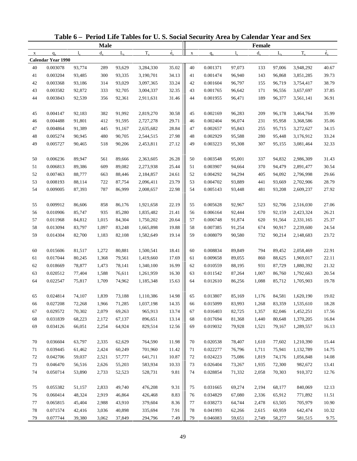|             |                           |                  |                |                  | Table 6 - Period Life Tables for U.S. Social Security Area by Calendar Year and Sex |             |             |          |                  |         |                  |           |                |
|-------------|---------------------------|------------------|----------------|------------------|-------------------------------------------------------------------------------------|-------------|-------------|----------|------------------|---------|------------------|-----------|----------------|
|             |                           |                  | <b>Male</b>    |                  |                                                                                     |             |             |          |                  | Female  |                  |           |                |
| $\mathbf X$ | $q_{x}$                   | $\mathbf{l}$     | $d_{\rm v}$    | $L_{\rm v}$      | $T_{x}$                                                                             | $\dot{e}_x$ | $\mathbf X$ | $q_{x}$  | $l_{\rm x}$      | $d_{x}$ | $L_{\rm v}$      | $T_{x}$   | $\dot{e}_x$    |
|             | <b>Calendar Year 1990</b> |                  |                |                  |                                                                                     |             |             |          |                  |         |                  |           |                |
| 40          | 0.003078                  | 93,774           | 289            | 93,629           | 3,284,330                                                                           | 35.02       | 40          | 0.001371 | 97,073           | 133     | 97,006           | 3,948,292 | 40.67          |
| 41          | 0.003204                  | 93,485           | 300            | 93,335           | 3,190,701                                                                           | 34.13       | 41          | 0.001474 | 96,940           | 143     | 96,868           | 3,851,285 | 39.73          |
| 42          | 0.003368                  | 93,186           | 314            | 93,029           | 3,097,365                                                                           | 33.24       | 42          | 0.001604 | 96,797           | 155     | 96,719           | 3,754,417 | 38.79          |
| 43          | 0.003582                  | 92,872           | 333            | 92,705           | 3,004,337                                                                           | 32.35       | 43          | 0.001765 | 96,642           | 171     | 96,556           | 3,657,697 | 37.85          |
| 44          | 0.003843                  | 92,539           | 356            | 92,361           | 2,911,631                                                                           | 31.46       | 44          | 0.001955 | 96,471           | 189     | 96,377           | 3,561,141 | 36.91          |
| 45          | 0.004147                  | 92,183           | 382            | 91,992           | 2,819,270                                                                           | 30.58       | 45          | 0.002169 | 96,283           | 209     | 96,178           | 3,464,764 | 35.99          |
| 46          | 0.004488                  | 91,801           | 412            | 91,595           | 2,727,278                                                                           | 29.71       | 46          | 0.002404 | 96,074           | 231     | 95,958           | 3,368,586 | 35.06          |
| 47          | 0.004864                  | 91,389           | 445            | 91,167           | 2,635,682                                                                           | 28.84       | 47          | 0.002657 | 95,843           | 255     | 95,715           | 3,272,627 | 34.15          |
| 48          | 0.005274                  | 90,945           | 480            | 90,705           | 2,544,515                                                                           | 27.98       | 48          | 0.002929 | 95,588           | 280     | 95,448           | 3,176,912 | 33.24          |
| 49          | 0.005727                  | 90,465           | 518            | 90,206           | 2,453,811                                                                           | 27.12       | 49          | 0.003223 | 95,308           | 307     | 95,155           | 3,081,464 | 32.33          |
| 50          | 0.006236                  | 89,947           | 561            | 89,666           | 2,363,605                                                                           | 26.28       | 50          | 0.003548 | 95,001           | 337     | 94,832           | 2,986,309 | 31.43          |
| 51          | 0.006813                  | 89,386           | 609            | 89,082           | 2,273,938                                                                           | 25.44       | 51          | 0.003907 | 94,664           | 370     | 94,479           | 2,891,477 | 30.54          |
| 52          | 0.007463                  | 88,777           | 663            | 88,446           | 2,184,857                                                                           | 24.61       | 52          | 0.004292 | 94,294           | 405     | 94,092           | 2,796,998 | 29.66          |
| 53          | 0.008193                  | 88,114           | 722            | 87,754           | 2,096,411                                                                           | 23.79       | 53          | 0.004702 | 93,889           | 441     | 93,669           | 2,702,906 | 28.79          |
| 54          | 0.009005                  | 87,393           | 787            | 86,999           | 2,008,657                                                                           | 22.98       | 54          | 0.005143 | 93,448           | 481     | 93,208           | 2,609,237 | 27.92          |
| 55          | 0.009912                  | 86,606           | 858            | 86,176           | 1,921,658                                                                           | 22.19       | 55          | 0.005628 | 92,967           | 523     | 92,706           | 2,516,030 | 27.06          |
| 56          | 0.010906                  | 85,747           | 935            | 85,280           | 1,835,482                                                                           | 21.41       | 56          | 0.006164 | 92,444           | 570     | 92,159           | 2,423,324 | 26.21          |
| 57          | 0.011968                  | 84,812           | 1,015          | 84,304           | 1,750,202                                                                           | 20.64       | 57          | 0.006748 | 91,874           | 620     | 91,564           | 2,331,165 | 25.37          |
| 58          | 0.013094                  | 83,797           | 1,097          | 83,248           | 1,665,898                                                                           | 19.88       | 58          | 0.007385 | 91,254           | 674     | 90,917           | 2,239,600 | 24.54          |
| 59          | 0.014304                  | 82,700           | 1,183          | 82,108           | 1,582,649                                                                           | 19.14       | 59          | 0.008079 | 90,580           | 732     | 90,214           | 2,148,683 | 23.72          |
| 60          | 0.015606                  | 81,517           | 1,272          | 80,881           | 1,500,541                                                                           | 18.41       | 60          | 0.008834 | 89,849           | 794     | 89,452           | 2,058,469 | 22.91          |
| 61          | 0.017044                  |                  |                |                  |                                                                                     | 17.69       | 61          | 0.009658 |                  | 860     |                  | 1,969,017 |                |
| 62          | 0.018669                  | 80,245<br>78,877 | 1,368<br>1,473 | 79,561<br>78,141 | 1,419,660<br>1,340,100                                                              | 16.99       | 62          | 0.010559 | 89,055<br>88,195 | 931     | 88,625<br>87,729 | 1,880,392 | 22.11<br>21.32 |
| 63          | 0.020512                  | 77,404           | 1,588          | 76,611           | 1,261,959                                                                           | 16.30       | 63          | 0.011542 | 87,264           | 1,007   | 86,760           | 1,792,663 | 20.54          |
| 64          | 0.022547                  | 75,817           | 1,709          | 74,962           | 1,185,348                                                                           | 15.63       | 64          | 0.012610 | 86,256           | 1,088   | 85,712           | 1,705,903 | 19.78          |
|             |                           |                  |                |                  |                                                                                     |             |             |          |                  |         |                  |           |                |
| 65          | 0.024814                  | 74,107           | 1,839          | 73,188           | 1,110,386                                                                           | 14.98       | 65          | 0.013807 | 85,169           | 1,176   | 84,581           | 1,620,190 | 19.02          |
| 66          | 0.027208                  | 72,268           | 1,966          | 71,285           | 1,037,198                                                                           | 14.35       | 66          | 0.015099 | 83,993           | 1,268   | 83,359           | 1,535,610 | 18.28          |
| 67          | 0.029572                  | 70,302           | 2,079          | 69,263           | 965,913                                                                             | 13.74       | 67          | 0.016403 | 82,725           | 1,357   | 82,046           | 1,452,251 | 17.56          |
| 68          | 0.031839                  | 68,223           | 2,172          | 67,137           | 896,651                                                                             | 13.14       | 68          | 0.017694 | 81,368           | 1,440   | 80,648           | 1,370,205 | 16.84          |
| 69          | 0.034126                  | 66,051           | 2,254          | 64,924           | 829,514                                                                             | 12.56       | 69          | 0.019032 | 79,928           | 1,521   | 79,167           | 1,289,557 | 16.13          |
| 70          | 0.036604                  | 63,797           | 2,335          | 62,629           | 764,590                                                                             | 11.98       | 70          | 0.020538 | 78,407           | 1,610   | 77,602           | 1,210,390 | 15.44          |
| 71          | 0.039445                  | 61,462           | 2,424          | 60,249           | 701,960                                                                             | 11.42       | 71          | 0.022277 | 76,796           | 1,711   | 75,941           | 1,132,789 | 14.75          |
| 72          | 0.042706                  | 59,037           | 2,521          | 57,777           | 641,711                                                                             | 10.87       | 72          | 0.024223 | 75,086           | 1,819   | 74,176           | 1,056,848 | 14.08          |
| 73          | 0.046470                  | 56,516           | 2,626          | 55,203           | 583,934                                                                             | 10.33       | 73          | 0.026404 | 73,267           | 1,935   | 72,300           | 982,672   | 13.41          |
| 74          | 0.050714                  | 53,890           | 2,733          | 52,523           | 528,731                                                                             | 9.81        | 74          | 0.028854 | 71,332           | 2,058   | 70,303           | 910,372   | 12.76          |
| 75          | 0.055382                  | 51,157           | 2,833          | 49,740           | 476,208                                                                             | 9.31        | 75          | 0.031665 | 69,274           | 2,194   | 68,177           | 840,069   | 12.13          |
| 76          | 0.060414                  | 48,324           | 2,919          | 46,864           | 426,468                                                                             | 8.83        | 76          | 0.034829 | 67,080           | 2,336   | 65,912           | 771,892   | 11.51          |
| 77          | 0.065815                  | 45,404           | 2,988          | 43,910           | 379,604                                                                             | 8.36        | 77          | 0.038273 | 64,744           | 2,478   | 63,505           | 705,979   | 10.90          |
| 78          | 0.071574                  | 42,416           | 3,036          | 40,898           | 335,694                                                                             | 7.91        | 78          | 0.041993 | 62,266           | 2,615   | 60,959           | 642,474   | 10.32          |
| 79          | 0.077744                  | 39,380           | 3,062          | 37,849           | 294,796                                                                             | 7.49        | 79          | 0.046083 | 59,651           | 2,749   | 58,277           | 581,515   | 9.75           |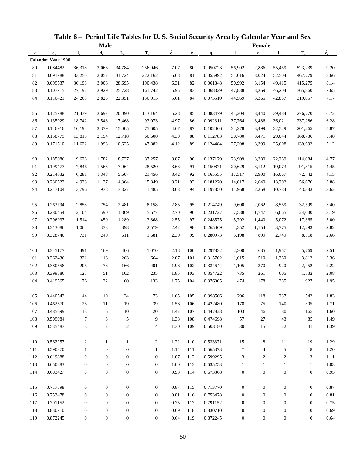|              |                           |                  |                  |                  | Table 6 – Period Life Tables for U.S. Social Security Area by Calendar Year and Sex |                            |             |          |                  |                  |                  |                  |             |
|--------------|---------------------------|------------------|------------------|------------------|-------------------------------------------------------------------------------------|----------------------------|-------------|----------|------------------|------------------|------------------|------------------|-------------|
|              |                           |                  | <b>Male</b>      |                  |                                                                                     |                            |             |          |                  | Female           |                  |                  |             |
| $\mathbf{X}$ | $q_{x}$                   | $l_{x}$          | $d_{\rm v}$      | $L_{\rm v}$      | $T_{x}$                                                                             | $\dot{\mathbf{e}}_{\rm x}$ | $\mathbf X$ | $q_{x}$  | $l_{x}$          | $d_{x}$          | $L_{\rm v}$      | $T_{x}$          | $\dot{e}_x$ |
|              | <b>Calendar Year 1990</b> |                  |                  |                  |                                                                                     |                            |             |          |                  |                  |                  |                  |             |
| 80           | 0.084482                  | 36,318           | 3,068            | 34,784           | 256,946                                                                             | 7.07                       | 80          | 0.050723 | 56,902           | 2,886            | 55,459           | 523,239          | 9.20        |
| 81           | 0.091788                  | 33,250           | 3,052            | 31,724           | 222,162                                                                             | 6.68                       | 81          | 0.055992 | 54,016           | 3,024            | 52,504           | 467,779          | 8.66        |
| 82           | 0.099537                  | 30,198           | 3,006            | 28,695           | 190,438                                                                             | 6.31                       | 82          | 0.061848 | 50,992           | 3,154            | 49,415           | 415,275          | 8.14        |
| 83           | 0.107715                  | 27,192           | 2,929            | 25,728           | 161,742                                                                             | 5.95                       | 83          | 0.068329 | 47,838           | 3,269            | 46,204           | 365,860          | 7.65        |
| 84           | 0.116421                  | 24,263           | 2,825            | 22,851           | 136,015                                                                             | 5.61                       | 84          | 0.075510 | 44,569           | 3,365            | 42,887           | 319,657          | 7.17        |
| 85           | 0.125788                  | 21,439           | 2,697            | 20,090           | 113,164                                                                             | 5.28                       | 85          | 0.083479 | 41,204           | 3,440            | 39,484           | 276,770          | 6.72        |
| 86           | 0.135929                  | 18,742           | 2,548            | 17,468           | 93,073                                                                              | 4.97                       | 86          | 0.092311 | 37,764           | 3,486            | 36,021           | 237,286          | 6.28        |
| 87           | 0.146916                  | 16,194           | 2,379            | 15,005           | 75,605                                                                              | 4.67                       | 87          | 0.102066 | 34,278           | 3,499            | 32,529           | 201,265          | 5.87        |
| $88\,$       | 0.158779                  | 13,815           | 2,194            | 12,718           | 60,600                                                                              | 4.39                       | 88          | 0.112783 | 30,780           | 3,471            | 29,044           | 168,736          | 5.48        |
| 89           | 0.171510                  | 11,622           | 1,993            | 10,625           | 47,882                                                                              | 4.12                       | 89          | 0.124484 | 27,308           | 3,399            | 25,608           | 139,692          | 5.12        |
| 90           | 0.185086                  | 9,628            | 1,782            | 8,737            | 37,257                                                                              | 3.87                       | 90          | 0.137179 | 23,909           | 3,280            | 22,269           | 114,084          | 4.77        |
| 91           | 0.199473                  | 7,846            | 1,565            | 7,064            | 28,520                                                                              | 3.63                       | 91          | 0.150871 | 20,629           | 3,112            | 19,073           | 91,815           | 4.45        |
| 92           | 0.214632                  | 6,281            | 1,348            | 5,607            | 21,456                                                                              | 3.42                       | 92          | 0.165555 | 17,517           | 2,900            | 16,067           | 72,742           | 4.15        |
| 93           | 0.230523                  | 4,933            | 1,137            | 4,364            | 15,849                                                                              | 3.21                       | 93          | 0.181220 | 14,617           | 2,649            | 13,292           | 56,676           | 3.88        |
| 94           | 0.247104                  | 3,796            | 938              | 3,327            | 11,485                                                                              | 3.03                       | 94          | 0.197850 | 11,968           | 2,368            | 10,784           | 43,383           | 3.62        |
| 95           | 0.263794                  | 2,858            | 754              | 2,481            | 8,158                                                                               | 2.85                       | 95          | 0.214749 | 9,600            | 2,062            | 8,569            | 32,599           | 3.40        |
| 96           | 0.280454                  | 2,104            | 590              | 1,809            | 5,677                                                                               | 2.70                       | 96          | 0.231727 | 7,538            | 1,747            | 6,665            | 24,030           | 3.19        |
| 97           | 0.296937                  | 1,514            | 450              | 1,289            | 3,868                                                                               | 2.55                       | 97          | 0.248575 | 5,792            | 1,440            | 5,072            | 17,365           | 3.00        |
| 98           | 0.313086                  | 1,064            | 333              | 898              | 2,579                                                                               | 2.42                       | 98          | 0.265069 | 4,352            | 1,154            | 3,775            | 12,293           | 2.82        |
| 99           | 0.328740                  | 731              | 240              | 611              | 1,681                                                                               | 2.30                       | 99          | 0.280973 | 3,198            | 899              | 2,749            | 8,518            | 2.66        |
| 100          | 0.345177                  | 491              | 169              | 406              | 1,070                                                                               | 2.18                       | 100         | 0.297832 | 2,300            | 685              | 1,957            | 5,769            | 2.51        |
| 101          | 0.362436                  | 321              | 116              | 263              | 664                                                                                 | 2.07                       | 101         | 0.315702 | 1,615            | 510              | 1,360            | 3,812            | 2.36        |
| 102          | 0.380558                  | 205              | 78               | 166              | 401                                                                                 | 1.96                       | 102         | 0.334644 | 1,105            | 370              | 920              | 2,452            | 2.22        |
| 103          | 0.399586                  | 127              | 51               | 102              | 235                                                                                 | 1.85                       | 103         | 0.354722 | 735              | 261              | 605              | 1,532            | 2.08        |
| 104          | 0.419565                  | 76               | 32               | 60               | 133                                                                                 | 1.75                       | 104         | 0.376005 | 474              | 178              | 385              | 927              | 1.95        |
| 105          | 0.440543                  | 44               | 19               | 34               | 73                                                                                  | 1.65                       | 105         | 0.398566 | 296              | 118              | 237              | 542              | 1.83        |
| 106          | 0.462570                  | 25               | 11               | 19               | 39                                                                                  | 1.56                       | 106         | 0.422480 | 178              | 75               | 140              | 305              | 1.71        |
| 107          | 0.485699                  | 13               | 6                | $10\,$           | 20                                                                                  | 1.47                       | 107         | 0.447828 | 103              | 46               | 80               | 165              | 1.60        |
| 108          | 0.509984                  | $\tau$           | 3                | 5                | 9                                                                                   | 1.38                       | 108         | 0.474698 | 57               | 27               | 43               | 85               | 1.49        |
| 109          | 0.535483                  | 3                | $\overline{c}$   | $\boldsymbol{2}$ | $\overline{4}$                                                                      | 1.30                       | 109         | 0.503180 | 30               | 15               | $22\,$           | 41               | 1.39        |
| 110          | 0.562257                  | $\overline{c}$   | $\mathbf{1}$     | $\mathbf{1}$     | $\overline{2}$                                                                      | 1.22                       | 110         | 0.533371 | 15               | 8                | 11               | 19               | 1.29        |
| 111          | 0.590370                  | $\mathbf{1}$     | $\mathbf{0}$     | $\boldsymbol{0}$ | $\mathbf{1}$                                                                        | 1.14                       | 111         | 0.565373 | 7                | $\overline{4}$   | 5                | 8                | 1.20        |
| 112          | 0.619888                  | $\mathbf{0}$     | $\mathbf{0}$     | 0                | $\mathbf{0}$                                                                        | 1.07                       | 112         | 0.599295 | 3                | $\overline{c}$   | $\overline{c}$   | 3                | 1.11        |
| 113          | 0.650883                  | $\boldsymbol{0}$ | $\boldsymbol{0}$ | 0                | $\mathbf{0}$                                                                        | 1.00                       | 113         | 0.635253 | $\mathbf{1}$     | $\mathbf{1}$     | $\mathbf{1}$     | $\mathbf{1}$     | 1.03        |
| 114          | 0.683427                  | $\boldsymbol{0}$ | $\boldsymbol{0}$ | $\boldsymbol{0}$ | $\boldsymbol{0}$                                                                    | 0.93                       | 114         | 0.673368 | $\boldsymbol{0}$ | $\boldsymbol{0}$ | $\boldsymbol{0}$ | $\boldsymbol{0}$ | 0.95        |
|              |                           |                  |                  |                  |                                                                                     |                            |             |          |                  |                  |                  |                  |             |
| 115          | 0.717598                  | $\boldsymbol{0}$ | $\boldsymbol{0}$ | $\boldsymbol{0}$ | $\boldsymbol{0}$                                                                    | 0.87                       | 115         | 0.713770 | $\boldsymbol{0}$ | $\boldsymbol{0}$ | $\boldsymbol{0}$ | $\boldsymbol{0}$ | 0.87        |
| 116          | 0.753478                  | $\boldsymbol{0}$ | $\mathbf{0}$     | 0                | $\mathbf{0}$                                                                        | 0.81                       | 116         | 0.753478 | $\mathbf{0}$     | $\mathbf{0}$     | 0                | $\boldsymbol{0}$ | 0.81        |
| 117          | 0.791152                  | $\boldsymbol{0}$ | $\mathbf{0}$     | 0                | $\mathbf{0}$                                                                        | 0.75                       | 117         | 0.791152 | $\boldsymbol{0}$ | $\mathbf{0}$     | 0                | $\boldsymbol{0}$ | 0.75        |
| 118          | 0.830710                  | $\boldsymbol{0}$ | $\boldsymbol{0}$ | 0                | $\mathbf{0}$                                                                        | 0.69                       | 118         | 0.830710 | $\boldsymbol{0}$ | $\boldsymbol{0}$ | $\boldsymbol{0}$ | $\boldsymbol{0}$ | 0.69        |
| 119          | 0.872245                  | 0                | $\boldsymbol{0}$ | 0                | $\overline{0}$                                                                      | 0.64                       | 119         | 0.872245 | 0                | 0                | $\mathbf{0}$     | $\boldsymbol{0}$ | 0.64        |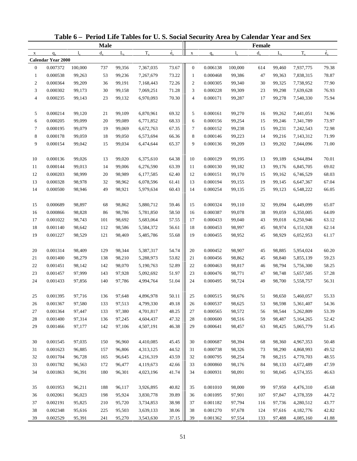| Table 6 - Period Life Tables for U.S. Social Security Area by Calendar Year and Sex<br><b>Male</b><br>$T_{x}$<br>$d_{\rm v}$<br>$L_{\rm v}$<br>$q_{x}$<br>1.<br>$\mathbf X$<br><b>Calendar Year 2000</b><br>0.007372<br>100,000<br>99,356<br>$\mathbf{0}$<br>737<br>7,367,035<br>0.000538<br>$\mathbf{1}$<br>99,263<br>53<br>99,236<br>7,267,679<br>$\boldsymbol{2}$<br>0.000364<br>99,209<br>36<br>99,191<br>7,168,443<br>3<br>0.000302<br>99,173<br>30<br>99,158<br>7,069,251<br>$\overline{4}$<br>0.000235<br>99,143<br>23<br>99,132<br>6,970,093<br>0.000214<br>5<br>99,120<br>21<br>99,109<br>6,870,961<br>6<br>0.000205<br>99,099<br>99,089<br>6,771,852<br>20<br>7<br>0.000195<br>99,079<br>19<br>99,069<br>6,672,763<br>$\,8\,$<br>0.000178<br>99,059<br>18<br>99,050<br>6,573,694<br>9<br>0.000154<br>99,042<br>15<br>6,474,644<br>99,034<br>0.000136<br>10<br>99,026<br>99,020<br>6,375,610<br>13<br>11<br>0.000144<br>99,013<br>99,006<br>14<br>6,276,590<br>12<br>0.000203<br>98,999<br>98,989<br>20<br>6,177,585<br>13<br>0.000328<br>98,978<br>32<br>98,962<br>6,078,596<br>14<br>0.000500<br>98,946<br>49<br>98,921<br>5,979,634<br>0.000689<br>15<br>98,897<br>68<br>98,862<br>5,880,712<br>0.000866<br>98,828<br>16<br>86<br>98,786<br>5,781,850<br>17<br>0.001022<br>98,743<br>101<br>98,692<br>5,683,064<br>18<br>0.001140<br>98,642<br>112<br>98,586<br>5,584,372<br>19<br>0.001227<br>98,529<br>121<br>98,469<br>5,485,786<br>0.001314<br>20<br>98,409<br>98,344<br>5,387,317<br>129<br>21<br>0.001400<br>98,279<br>138<br>98,210<br>5,288,973<br>22<br>0.001451<br>98,142<br>142<br>98,070<br>5,190,763<br>23<br>0.001457<br>97,999<br>143<br>97,928<br>5,092,692<br>24<br>0.001433<br>97,856<br>140<br>97,786<br>4,994,764<br>97,716<br>0.001395<br>97,648<br>4,896,978<br>136<br>25<br>0.001367<br>97,580<br>97,513<br>133<br>4,799,330<br>26<br>27<br>0.001364<br>97,447<br>97,380<br>133<br>4,701,817<br>28<br>0.001400<br>97,314<br>136<br>97,245<br>4,604,437<br>29<br>0.001466<br>142<br>97,177<br>97,106<br>4,507,191<br>0.001545<br>97,035<br>96,960<br>30<br>150<br>4,410,085<br>31<br>0.001623<br>96,885<br>96,806<br>157<br>4,313,125<br>32<br>0.001704<br>96,728<br>165<br>96,645<br>4,216,319<br>33<br>0.001782<br>96,563<br>172<br>96,477<br>4,119,673<br>34<br>0.001863<br>180<br>96,391<br>96,301<br>4,023,196 |          |        |     |        |           |             |                  |          |             |         |             |           |             |
|-------------------------------------------------------------------------------------------------------------------------------------------------------------------------------------------------------------------------------------------------------------------------------------------------------------------------------------------------------------------------------------------------------------------------------------------------------------------------------------------------------------------------------------------------------------------------------------------------------------------------------------------------------------------------------------------------------------------------------------------------------------------------------------------------------------------------------------------------------------------------------------------------------------------------------------------------------------------------------------------------------------------------------------------------------------------------------------------------------------------------------------------------------------------------------------------------------------------------------------------------------------------------------------------------------------------------------------------------------------------------------------------------------------------------------------------------------------------------------------------------------------------------------------------------------------------------------------------------------------------------------------------------------------------------------------------------------------------------------------------------------------------------------------------------------------------------------------------------------------------------------------------------------------------------------------------------------------------------------------------------------------------------------------------------------------------------------------------------------------------------------------------------------------------------------------------------------------------------------------------------------------------------------------------------------------------------------------------------------|----------|--------|-----|--------|-----------|-------------|------------------|----------|-------------|---------|-------------|-----------|-------------|
|                                                                                                                                                                                                                                                                                                                                                                                                                                                                                                                                                                                                                                                                                                                                                                                                                                                                                                                                                                                                                                                                                                                                                                                                                                                                                                                                                                                                                                                                                                                                                                                                                                                                                                                                                                                                                                                                                                                                                                                                                                                                                                                                                                                                                                                                                                                                                       |          |        |     |        |           |             |                  |          |             | Female  |             |           |             |
|                                                                                                                                                                                                                                                                                                                                                                                                                                                                                                                                                                                                                                                                                                                                                                                                                                                                                                                                                                                                                                                                                                                                                                                                                                                                                                                                                                                                                                                                                                                                                                                                                                                                                                                                                                                                                                                                                                                                                                                                                                                                                                                                                                                                                                                                                                                                                       |          |        |     |        |           | $\dot{e}_x$ | $\mathbf X$      | $q_{x}$  | $1_{\rm v}$ | $d_{x}$ | $L_{\rm v}$ | $T_{x}$   | $\dot{e}_x$ |
|                                                                                                                                                                                                                                                                                                                                                                                                                                                                                                                                                                                                                                                                                                                                                                                                                                                                                                                                                                                                                                                                                                                                                                                                                                                                                                                                                                                                                                                                                                                                                                                                                                                                                                                                                                                                                                                                                                                                                                                                                                                                                                                                                                                                                                                                                                                                                       |          |        |     |        |           |             |                  |          |             |         |             |           |             |
|                                                                                                                                                                                                                                                                                                                                                                                                                                                                                                                                                                                                                                                                                                                                                                                                                                                                                                                                                                                                                                                                                                                                                                                                                                                                                                                                                                                                                                                                                                                                                                                                                                                                                                                                                                                                                                                                                                                                                                                                                                                                                                                                                                                                                                                                                                                                                       |          |        |     |        |           | 73.67       | $\boldsymbol{0}$ | 0.006138 | 100,000     | 614     | 99,460      | 7,937,775 | 79.38       |
|                                                                                                                                                                                                                                                                                                                                                                                                                                                                                                                                                                                                                                                                                                                                                                                                                                                                                                                                                                                                                                                                                                                                                                                                                                                                                                                                                                                                                                                                                                                                                                                                                                                                                                                                                                                                                                                                                                                                                                                                                                                                                                                                                                                                                                                                                                                                                       |          |        |     |        |           | 73.22       | $\mathbf{1}$     | 0.000468 | 99,386      | 47      | 99,363      | 7,838,315 | 78.87       |
|                                                                                                                                                                                                                                                                                                                                                                                                                                                                                                                                                                                                                                                                                                                                                                                                                                                                                                                                                                                                                                                                                                                                                                                                                                                                                                                                                                                                                                                                                                                                                                                                                                                                                                                                                                                                                                                                                                                                                                                                                                                                                                                                                                                                                                                                                                                                                       |          |        |     |        |           | 72.26       | $\boldsymbol{2}$ | 0.000305 | 99,340      | 30      | 99,325      | 7,738,952 | 77.90       |
|                                                                                                                                                                                                                                                                                                                                                                                                                                                                                                                                                                                                                                                                                                                                                                                                                                                                                                                                                                                                                                                                                                                                                                                                                                                                                                                                                                                                                                                                                                                                                                                                                                                                                                                                                                                                                                                                                                                                                                                                                                                                                                                                                                                                                                                                                                                                                       |          |        |     |        |           | 71.28       | 3                | 0.000228 | 99,309      | 23      | 99,298      | 7,639,628 | 76.93       |
|                                                                                                                                                                                                                                                                                                                                                                                                                                                                                                                                                                                                                                                                                                                                                                                                                                                                                                                                                                                                                                                                                                                                                                                                                                                                                                                                                                                                                                                                                                                                                                                                                                                                                                                                                                                                                                                                                                                                                                                                                                                                                                                                                                                                                                                                                                                                                       |          |        |     |        |           | 70.30       | 4                | 0.000171 | 99,287      | 17      | 99,278      | 7,540,330 | 75.94       |
|                                                                                                                                                                                                                                                                                                                                                                                                                                                                                                                                                                                                                                                                                                                                                                                                                                                                                                                                                                                                                                                                                                                                                                                                                                                                                                                                                                                                                                                                                                                                                                                                                                                                                                                                                                                                                                                                                                                                                                                                                                                                                                                                                                                                                                                                                                                                                       |          |        |     |        |           | 69.32       | 5                | 0.000161 | 99,270      | 16      | 99,262      | 7,441,051 | 74.96       |
|                                                                                                                                                                                                                                                                                                                                                                                                                                                                                                                                                                                                                                                                                                                                                                                                                                                                                                                                                                                                                                                                                                                                                                                                                                                                                                                                                                                                                                                                                                                                                                                                                                                                                                                                                                                                                                                                                                                                                                                                                                                                                                                                                                                                                                                                                                                                                       |          |        |     |        |           | 68.33       | 6                | 0.000156 | 99,254      | 15      | 99,246      | 7,341,789 | 73.97       |
|                                                                                                                                                                                                                                                                                                                                                                                                                                                                                                                                                                                                                                                                                                                                                                                                                                                                                                                                                                                                                                                                                                                                                                                                                                                                                                                                                                                                                                                                                                                                                                                                                                                                                                                                                                                                                                                                                                                                                                                                                                                                                                                                                                                                                                                                                                                                                       |          |        |     |        |           | 67.35       | 7                | 0.000152 | 99,238      | 15      | 99,231      | 7,242,543 | 72.98       |
|                                                                                                                                                                                                                                                                                                                                                                                                                                                                                                                                                                                                                                                                                                                                                                                                                                                                                                                                                                                                                                                                                                                                                                                                                                                                                                                                                                                                                                                                                                                                                                                                                                                                                                                                                                                                                                                                                                                                                                                                                                                                                                                                                                                                                                                                                                                                                       |          |        |     |        |           | 66.36       | 8                | 0.000146 | 99,223      | 14      | 99,216      | 7,143,312 | 71.99       |
|                                                                                                                                                                                                                                                                                                                                                                                                                                                                                                                                                                                                                                                                                                                                                                                                                                                                                                                                                                                                                                                                                                                                                                                                                                                                                                                                                                                                                                                                                                                                                                                                                                                                                                                                                                                                                                                                                                                                                                                                                                                                                                                                                                                                                                                                                                                                                       |          |        |     |        |           | 65.37       | 9                | 0.000136 | 99,209      | 13      | 99,202      | 7,044,096 | 71.00       |
|                                                                                                                                                                                                                                                                                                                                                                                                                                                                                                                                                                                                                                                                                                                                                                                                                                                                                                                                                                                                                                                                                                                                                                                                                                                                                                                                                                                                                                                                                                                                                                                                                                                                                                                                                                                                                                                                                                                                                                                                                                                                                                                                                                                                                                                                                                                                                       |          |        |     |        |           | 64.38       | 10               | 0.000129 | 99,195      | 13      | 99,189      | 6,944,894 | 70.01       |
|                                                                                                                                                                                                                                                                                                                                                                                                                                                                                                                                                                                                                                                                                                                                                                                                                                                                                                                                                                                                                                                                                                                                                                                                                                                                                                                                                                                                                                                                                                                                                                                                                                                                                                                                                                                                                                                                                                                                                                                                                                                                                                                                                                                                                                                                                                                                                       |          |        |     |        |           | 63.39       | 11               | 0.000130 | 99,182      | 13      | 99,176      | 6,845,705 | 69.02       |
|                                                                                                                                                                                                                                                                                                                                                                                                                                                                                                                                                                                                                                                                                                                                                                                                                                                                                                                                                                                                                                                                                                                                                                                                                                                                                                                                                                                                                                                                                                                                                                                                                                                                                                                                                                                                                                                                                                                                                                                                                                                                                                                                                                                                                                                                                                                                                       |          |        |     |        |           | 62.40       | 12               | 0.000151 | 99,170      | 15      | 99,162      | 6,746,529 | 68.03       |
|                                                                                                                                                                                                                                                                                                                                                                                                                                                                                                                                                                                                                                                                                                                                                                                                                                                                                                                                                                                                                                                                                                                                                                                                                                                                                                                                                                                                                                                                                                                                                                                                                                                                                                                                                                                                                                                                                                                                                                                                                                                                                                                                                                                                                                                                                                                                                       |          |        |     |        |           | 61.41       | 13               | 0.000194 | 99,155      | 19      | 99,145      | 6,647,367 | 67.04       |
|                                                                                                                                                                                                                                                                                                                                                                                                                                                                                                                                                                                                                                                                                                                                                                                                                                                                                                                                                                                                                                                                                                                                                                                                                                                                                                                                                                                                                                                                                                                                                                                                                                                                                                                                                                                                                                                                                                                                                                                                                                                                                                                                                                                                                                                                                                                                                       |          |        |     |        |           | 60.43       | 14               | 0.000254 | 99,135      | 25      | 99,123      | 6,548,222 | 66.05       |
|                                                                                                                                                                                                                                                                                                                                                                                                                                                                                                                                                                                                                                                                                                                                                                                                                                                                                                                                                                                                                                                                                                                                                                                                                                                                                                                                                                                                                                                                                                                                                                                                                                                                                                                                                                                                                                                                                                                                                                                                                                                                                                                                                                                                                                                                                                                                                       |          |        |     |        |           |             |                  |          |             |         |             |           |             |
|                                                                                                                                                                                                                                                                                                                                                                                                                                                                                                                                                                                                                                                                                                                                                                                                                                                                                                                                                                                                                                                                                                                                                                                                                                                                                                                                                                                                                                                                                                                                                                                                                                                                                                                                                                                                                                                                                                                                                                                                                                                                                                                                                                                                                                                                                                                                                       |          |        |     |        |           | 59.46       | 15               | 0.000324 | 99,110      | 32      | 99,094      | 6,449,099 | 65.07       |
|                                                                                                                                                                                                                                                                                                                                                                                                                                                                                                                                                                                                                                                                                                                                                                                                                                                                                                                                                                                                                                                                                                                                                                                                                                                                                                                                                                                                                                                                                                                                                                                                                                                                                                                                                                                                                                                                                                                                                                                                                                                                                                                                                                                                                                                                                                                                                       |          |        |     |        |           | 58.50       | 16               | 0.000387 | 99,078      | 38      | 99,059      | 6,350,005 | 64.09       |
|                                                                                                                                                                                                                                                                                                                                                                                                                                                                                                                                                                                                                                                                                                                                                                                                                                                                                                                                                                                                                                                                                                                                                                                                                                                                                                                                                                                                                                                                                                                                                                                                                                                                                                                                                                                                                                                                                                                                                                                                                                                                                                                                                                                                                                                                                                                                                       |          |        |     |        |           | 57.55       | 17               | 0.000433 | 99,040      | 43      | 99,018      | 6,250,946 | 63.12       |
|                                                                                                                                                                                                                                                                                                                                                                                                                                                                                                                                                                                                                                                                                                                                                                                                                                                                                                                                                                                                                                                                                                                                                                                                                                                                                                                                                                                                                                                                                                                                                                                                                                                                                                                                                                                                                                                                                                                                                                                                                                                                                                                                                                                                                                                                                                                                                       |          |        |     |        |           | 56.61       | 18               | 0.000453 | 98,997      | 45      | 98,974      | 6,151,928 | 62.14       |
|                                                                                                                                                                                                                                                                                                                                                                                                                                                                                                                                                                                                                                                                                                                                                                                                                                                                                                                                                                                                                                                                                                                                                                                                                                                                                                                                                                                                                                                                                                                                                                                                                                                                                                                                                                                                                                                                                                                                                                                                                                                                                                                                                                                                                                                                                                                                                       |          |        |     |        |           | 55.68       | 19               | 0.000455 | 98,952      | 45      | 98,929      | 6,052,953 | 61.17       |
|                                                                                                                                                                                                                                                                                                                                                                                                                                                                                                                                                                                                                                                                                                                                                                                                                                                                                                                                                                                                                                                                                                                                                                                                                                                                                                                                                                                                                                                                                                                                                                                                                                                                                                                                                                                                                                                                                                                                                                                                                                                                                                                                                                                                                                                                                                                                                       |          |        |     |        |           | 54.74       | 20               | 0.000452 | 98,907      | 45      | 98,885      | 5,954,024 | 60.20       |
|                                                                                                                                                                                                                                                                                                                                                                                                                                                                                                                                                                                                                                                                                                                                                                                                                                                                                                                                                                                                                                                                                                                                                                                                                                                                                                                                                                                                                                                                                                                                                                                                                                                                                                                                                                                                                                                                                                                                                                                                                                                                                                                                                                                                                                                                                                                                                       |          |        |     |        |           | 53.82       | 21               | 0.000456 | 98,862      | 45      | 98,840      | 5,855,139 | 59.23       |
|                                                                                                                                                                                                                                                                                                                                                                                                                                                                                                                                                                                                                                                                                                                                                                                                                                                                                                                                                                                                                                                                                                                                                                                                                                                                                                                                                                                                                                                                                                                                                                                                                                                                                                                                                                                                                                                                                                                                                                                                                                                                                                                                                                                                                                                                                                                                                       |          |        |     |        |           | 52.89       | 22               | 0.000463 | 98,817      | 46      | 98,794      | 5,756,300 | 58.25       |
|                                                                                                                                                                                                                                                                                                                                                                                                                                                                                                                                                                                                                                                                                                                                                                                                                                                                                                                                                                                                                                                                                                                                                                                                                                                                                                                                                                                                                                                                                                                                                                                                                                                                                                                                                                                                                                                                                                                                                                                                                                                                                                                                                                                                                                                                                                                                                       |          |        |     |        |           | 51.97       | 23               | 0.000476 | 98,771      | 47      | 98,748      | 5,657,505 | 57.28       |
|                                                                                                                                                                                                                                                                                                                                                                                                                                                                                                                                                                                                                                                                                                                                                                                                                                                                                                                                                                                                                                                                                                                                                                                                                                                                                                                                                                                                                                                                                                                                                                                                                                                                                                                                                                                                                                                                                                                                                                                                                                                                                                                                                                                                                                                                                                                                                       |          |        |     |        |           | 51.04       | 24               | 0.000495 | 98,724      | 49      | 98,700      | 5,558,757 | 56.31       |
|                                                                                                                                                                                                                                                                                                                                                                                                                                                                                                                                                                                                                                                                                                                                                                                                                                                                                                                                                                                                                                                                                                                                                                                                                                                                                                                                                                                                                                                                                                                                                                                                                                                                                                                                                                                                                                                                                                                                                                                                                                                                                                                                                                                                                                                                                                                                                       |          |        |     |        |           | 50.11       | 25               | 0.000515 | 98,676      | 51      | 98,650      | 5,460,057 | 55.33       |
|                                                                                                                                                                                                                                                                                                                                                                                                                                                                                                                                                                                                                                                                                                                                                                                                                                                                                                                                                                                                                                                                                                                                                                                                                                                                                                                                                                                                                                                                                                                                                                                                                                                                                                                                                                                                                                                                                                                                                                                                                                                                                                                                                                                                                                                                                                                                                       |          |        |     |        |           | 49.18       | 26               | 0.000537 | 98,625      | 53      | 98,598      | 5,361,407 | 54.36       |
|                                                                                                                                                                                                                                                                                                                                                                                                                                                                                                                                                                                                                                                                                                                                                                                                                                                                                                                                                                                                                                                                                                                                                                                                                                                                                                                                                                                                                                                                                                                                                                                                                                                                                                                                                                                                                                                                                                                                                                                                                                                                                                                                                                                                                                                                                                                                                       |          |        |     |        |           | 48.25       | 27               | 0.000565 | 98,572      | 56      | 98,544      | 5,262,809 | 53.39       |
|                                                                                                                                                                                                                                                                                                                                                                                                                                                                                                                                                                                                                                                                                                                                                                                                                                                                                                                                                                                                                                                                                                                                                                                                                                                                                                                                                                                                                                                                                                                                                                                                                                                                                                                                                                                                                                                                                                                                                                                                                                                                                                                                                                                                                                                                                                                                                       |          |        |     |        |           | 47.32       | 28               | 0.000600 | 98,516      | 59      | 98,487      | 5,164,265 | 52.42       |
|                                                                                                                                                                                                                                                                                                                                                                                                                                                                                                                                                                                                                                                                                                                                                                                                                                                                                                                                                                                                                                                                                                                                                                                                                                                                                                                                                                                                                                                                                                                                                                                                                                                                                                                                                                                                                                                                                                                                                                                                                                                                                                                                                                                                                                                                                                                                                       |          |        |     |        |           | 46.38       | 29               | 0.000641 | 98,457      | 63      | 98,425      | 5,065,779 | 51.45       |
|                                                                                                                                                                                                                                                                                                                                                                                                                                                                                                                                                                                                                                                                                                                                                                                                                                                                                                                                                                                                                                                                                                                                                                                                                                                                                                                                                                                                                                                                                                                                                                                                                                                                                                                                                                                                                                                                                                                                                                                                                                                                                                                                                                                                                                                                                                                                                       |          |        |     |        |           | 45.45       | 30               | 0.000687 | 98,394      | 68      | 98,360      | 4,967,353 | 50.48       |
|                                                                                                                                                                                                                                                                                                                                                                                                                                                                                                                                                                                                                                                                                                                                                                                                                                                                                                                                                                                                                                                                                                                                                                                                                                                                                                                                                                                                                                                                                                                                                                                                                                                                                                                                                                                                                                                                                                                                                                                                                                                                                                                                                                                                                                                                                                                                                       |          |        |     |        |           | 44.52       | 31               | 0.000738 | 98,326      | 73      | 98,290      | 4,868,993 | 49.52       |
|                                                                                                                                                                                                                                                                                                                                                                                                                                                                                                                                                                                                                                                                                                                                                                                                                                                                                                                                                                                                                                                                                                                                                                                                                                                                                                                                                                                                                                                                                                                                                                                                                                                                                                                                                                                                                                                                                                                                                                                                                                                                                                                                                                                                                                                                                                                                                       |          |        |     |        |           | 43.59       | 32               | 0.000795 | 98,254      | 78      | 98,215      | 4,770,703 | 48.55       |
|                                                                                                                                                                                                                                                                                                                                                                                                                                                                                                                                                                                                                                                                                                                                                                                                                                                                                                                                                                                                                                                                                                                                                                                                                                                                                                                                                                                                                                                                                                                                                                                                                                                                                                                                                                                                                                                                                                                                                                                                                                                                                                                                                                                                                                                                                                                                                       |          |        |     |        |           | 42.66       | 33               | 0.000860 | 98,176      | 84      | 98,133      | 4,672,489 | 47.59       |
|                                                                                                                                                                                                                                                                                                                                                                                                                                                                                                                                                                                                                                                                                                                                                                                                                                                                                                                                                                                                                                                                                                                                                                                                                                                                                                                                                                                                                                                                                                                                                                                                                                                                                                                                                                                                                                                                                                                                                                                                                                                                                                                                                                                                                                                                                                                                                       |          |        |     |        |           | 41.74       | 34               | 0.000931 | 98,091      | 91      | 98,045      | 4,574,355 | 46.63       |
|                                                                                                                                                                                                                                                                                                                                                                                                                                                                                                                                                                                                                                                                                                                                                                                                                                                                                                                                                                                                                                                                                                                                                                                                                                                                                                                                                                                                                                                                                                                                                                                                                                                                                                                                                                                                                                                                                                                                                                                                                                                                                                                                                                                                                                                                                                                                                       |          |        |     |        |           |             |                  |          |             |         |             |           |             |
| 35                                                                                                                                                                                                                                                                                                                                                                                                                                                                                                                                                                                                                                                                                                                                                                                                                                                                                                                                                                                                                                                                                                                                                                                                                                                                                                                                                                                                                                                                                                                                                                                                                                                                                                                                                                                                                                                                                                                                                                                                                                                                                                                                                                                                                                                                                                                                                    | 0.001953 | 96,211 | 188 | 96,117 | 3,926,895 | 40.82       | 35               | 0.001010 | 98,000      | 99      | 97,950      | 4,476,310 | 45.68       |
| 36                                                                                                                                                                                                                                                                                                                                                                                                                                                                                                                                                                                                                                                                                                                                                                                                                                                                                                                                                                                                                                                                                                                                                                                                                                                                                                                                                                                                                                                                                                                                                                                                                                                                                                                                                                                                                                                                                                                                                                                                                                                                                                                                                                                                                                                                                                                                                    | 0.002061 | 96,023 | 198 | 95,924 | 3,830,778 | 39.89       | 36               | 0.001095 | 97,901      | 107     | 97,847      | 4,378,359 | 44.72       |
| 37                                                                                                                                                                                                                                                                                                                                                                                                                                                                                                                                                                                                                                                                                                                                                                                                                                                                                                                                                                                                                                                                                                                                                                                                                                                                                                                                                                                                                                                                                                                                                                                                                                                                                                                                                                                                                                                                                                                                                                                                                                                                                                                                                                                                                                                                                                                                                    | 0.002191 | 95,825 | 210 | 95,720 | 3,734,853 | 38.98       | 37               | 0.001182 | 97,794      | 116     | 97,736      | 4,280,512 | 43.77       |
| 38                                                                                                                                                                                                                                                                                                                                                                                                                                                                                                                                                                                                                                                                                                                                                                                                                                                                                                                                                                                                                                                                                                                                                                                                                                                                                                                                                                                                                                                                                                                                                                                                                                                                                                                                                                                                                                                                                                                                                                                                                                                                                                                                                                                                                                                                                                                                                    | 0.002348 | 95,616 | 225 | 95,503 | 3,639,133 | 38.06       | 38               | 0.001270 | 97,678      | 124     | 97,616      | 4,182,776 | 42.82       |
| 39                                                                                                                                                                                                                                                                                                                                                                                                                                                                                                                                                                                                                                                                                                                                                                                                                                                                                                                                                                                                                                                                                                                                                                                                                                                                                                                                                                                                                                                                                                                                                                                                                                                                                                                                                                                                                                                                                                                                                                                                                                                                                                                                                                                                                                                                                                                                                    | 0.002529 | 95,391 | 241 | 95,270 | 3,543,630 | 37.15       | 39               | 0.001362 | 97,554      | 133     | 97,488      | 4,085,160 | 41.88       |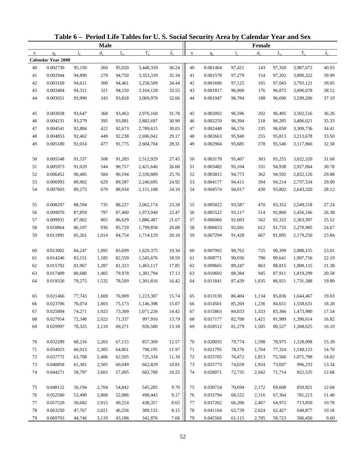|             |                           |        |             |             | Table 6 - Period Life Tables for U.S. Social Security Area by Calendar Year and Sex |             |             |          |             |         |             |           |             |
|-------------|---------------------------|--------|-------------|-------------|-------------------------------------------------------------------------------------|-------------|-------------|----------|-------------|---------|-------------|-----------|-------------|
|             |                           |        | <b>Male</b> |             |                                                                                     |             |             |          |             | Female  |             |           |             |
| $\mathbf X$ | $q_{x}$                   | 1.     | $d_{\rm v}$ | $L_{\rm v}$ | $T_{x}$                                                                             | $\dot{e}_x$ | $\mathbf X$ | $q_{x}$  | $l_{\rm x}$ | $d_{x}$ | $L_{\rm v}$ | $T_{x}$   | $\dot{e}_x$ |
|             | <b>Calendar Year 2000</b> |        |             |             |                                                                                     |             |             |          |             |         |             |           |             |
| 40          | 0.002730                  | 95,150 | 260         | 95,020      | 3,448,359                                                                           | 36.24       | 40          | 0.001464 | 97,421      | 143     | 97,350      | 3,987,672 | 40.93       |
| 41          | 0.002944                  | 94,890 | 279         | 94,750      | 3,353,339                                                                           | 35.34       | 41          | 0.001578 | 97,279      | 154     | 97,202      | 3,890,322 | 39.99       |
| 42          | 0.003169                  | 94,611 | 300         | 94,461      | 3,258,589                                                                           | 34.44       | 42          | 0.001696 | 97,125      | 165     | 97,043      | 3,793,121 | 39.05       |
| 43          | 0.003404                  | 94,311 | 321         | 94,150      | 3,164,128                                                                           | 33.55       | 43          | 0.001817 | 96,960      | 176     | 96,872      | 3,696,078 | 38.12       |
| 44          | 0.003651                  | 93,990 | 343         | 93,818      | 3,069,978                                                                           | 32.66       | 44          | 0.001947 | 96,784      | 188     | 96,690      | 3,599,206 | 37.19       |
| 45          | 0.003928                  | 93,647 | 368         | 93,463      | 2,976,160                                                                           | 31.78       | 45          | 0.002092 | 96,596      | 202     | 96,495      | 3,502,516 | 36.26       |
| 46          | 0.004231                  | 93,279 | 395         | 93,081      | 2,882,697                                                                           | 30.90       | 46          | 0.002259 | 96,394      | 218     | 96,285      | 3,406,021 | 35.33       |
| 47          | 0.004541                  | 92,884 | 422         | 92,673      | 2,789,615                                                                           | 30.03       | 47          | 0.002448 | 96,176      | 235     | 96,058      | 3,309,736 | 34.41       |
| 48          | 0.004853                  | 92,462 | 449         | 92,238      | 2,696,942                                                                           | 29.17       | 48          | 0.002663 | 95,940      | 255     | 95,813      | 3,213,678 | 33.50       |
| 49          | 0.005180                  | 92,014 | 477         | 91,775      | 2,604,704                                                                           | 28.31       | 49          | 0.002904 | 95,685      | 278     | 95,546      | 3,117,866 | 32.58       |
| 50          | 0.005548                  | 91,537 | 508         | 91,283      | 2,512,929                                                                           | 27.45       | 50          | 0.003178 | 95,407      | 303     | 95,255      | 3,022,320 | 31.68       |
| 51          | 0.005973                  | 91,029 | 544         | 90,757      | 2,421,646                                                                           | 26.60       | 51          | 0.003482 | 95,104      | 331     | 94,938      | 2,927,064 | 30.78       |
| 52          | 0.006452                  | 90,485 | 584         | 90,194      | 2,330,889                                                                           | 25.76       | 52          | 0.003815 | 94,773      | 362     | 94,592      | 2,832,126 | 29.88       |
| 53          | 0.006993                  | 89,902 | 629         | 89,587      | 2,240,695                                                                           | 24.92       | 53          | 0.004177 | 94,411      | 394     | 94,214      | 2,737,534 | 29.00       |
| 54          | 0.007603                  | 89,273 | 679         | 88,934      | 2,151,108                                                                           | 24.10       | 54          | 0.004574 | 94,017      | 430     | 93,802      | 2,643,320 | 28.12       |
| 55          | 0.008297                  | 88,594 | 735         | 88,227      | 2,062,174                                                                           | 23.28       | 55          | 0.005022 | 93,587      | 470     | 93,352      | 2,549,518 | 27.24       |
| 56          | 0.009076                  | 87,859 | 797         | 87,460      | 1,973,948                                                                           | 22.47       | 56          | 0.005522 | 93,117      | 514     | 92,860      | 2,456,166 | 26.38       |
| 57          | 0.009931                  | 87,062 | 865         | 86,629      | 1,886,487                                                                           | 21.67       | 57          | 0.006066 | 92,603      | 562     | 92,322      | 2,363,307 | 25.52       |
| 58          | 0.010864                  | 86,197 | 936         | 85,729      | 1,799,858                                                                           | 20.88       | 58          | 0.006653 | 92,041      | 612     | 91,735      | 2,270,985 | 24.67       |
| 59          | 0.011891                  | 85,261 | 1,014       | 84,754      | 1,714,129                                                                           | 20.10       | 59          | 0.007294 | 91,428      | 667     | 91,095      | 2,179,250 | 23.84       |
| 60          | 0.013002                  | 84,247 | 1,095       | 83,699      | 1,629,375                                                                           | 19.34       | 60          | 0.007992 | 90,762      | 725     | 90,399      | 2,088,155 | 23.01       |
| 61          | 0.014246                  | 83,151 | 1,185       | 82,559      | 1,545,676                                                                           | 18.59       | 61          | 0.008771 | 90,036      | 790     | 89,641      | 1,997,756 | 22.19       |
| 62          | 0.015702                  | 81,967 | 1,287       | 81,323      | 1,463,117                                                                           | 17.85       | 62          | 0.009665 | 89,247      | 863     | 88,815      | 1,908,115 | 21.38       |
| 63          | 0.017409                  | 80,680 | 1,405       | 79,978      | 1,381,794                                                                           | 17.13       | 63          | 0.010693 | 88,384      | 945     | 87,911      | 1,819,299 | 20.58       |
| 64          | 0.019326                  | 79,275 | 1,532       | 78,509      | 1,301,816                                                                           | 16.42       | 64          | 0.011841 | 87,439      | 1,035   | 86,921      | 1,731,388 | 19.80       |
| 65          | 0.021466                  | 77,743 | 1,669       | 76,909      | 1,223,307                                                                           | 15.74       | 65          | 0.013130 | 86,404      | 1,134   | 85,836      | 1,644,467 | 19.03       |
| 66          | 0.023706                  | 76,074 | 1,803       | 75,173      | 1,146,398                                                                           | 15.07       | 66          | 0.014501 | 85,269      | 1,236   | 84,651      | 1,558,631 | 18.28       |
| 67          | 0.025894                  | 74,271 | 1,923       | 73,309      | 1,071,226                                                                           | 14.42       | 67          | 0.015863 | 84,033      | 1,333   | 83,366      | 1,473,980 | 17.54       |
| 68          | 0.027954                  | 72,348 | 2,022       | 71,337      | 997,916                                                                             | 13.79       | 68          | 0.017177 | 82,700      | 1,421   | 81,989      | 1,390,614 | 16.82       |
| 69          | 0.029997                  | 70,325 | 2,110       | 69,271      | 926,580                                                                             | 13.18       | 69          | 0.018512 | 81,279      | 1,505   | 80,527      | 1,308,625 | 16.10       |
| 70          | 0.032289                  | 68,216 | 2,203       | 67,115      | 857,309                                                                             | 12.57       | 70          | 0.020035 | 79,774      | 1,598   | 78,975      | 1,228,098 | 15.39       |
| 71          | 0.034923                  | 66,013 | 2,305       | 64,861      | 790,195                                                                             | 11.97       | 71          | 0.021795 | 78,176      | 1,704   | 77,324      | 1,149,123 | 14.70       |
| 72          | 0.037772                  | 63,708 | 2,406       | 62,505      | 725,334                                                                             | 11.39       | 72          | 0.023705 | 76,472      | 1,813   | 75,566      | 1,071,798 | 14.02       |
| 73          | 0.040858                  | 61,301 | 2,505       | 60,049      | 662,829                                                                             | 10.81       | 73          | 0.025773 | 74,659      | 1,924   | 73,697      | 996,233   | 13.34       |
| 74          | 0.044271                  | 58,797 | 2,603       | 57,495      | 602,780                                                                             | 10.25       | 74          | 0.028071 | 72,735      | 2,042   | 71,714      | 922,535   | 12.68       |
|             |                           |        |             |             |                                                                                     |             |             |          |             |         |             |           |             |
| 75          | 0.048112                  | 56,194 | 2,704       | 54,842      | 545,285                                                                             | 9.70        | 75          | 0.030724 | 70,694      | 2,172   | 69,608      | 850,821   | 12.04       |
| 76          | 0.052500                  | 53,490 | 2,808       | 52,086      | 490,443                                                                             | 9.17        | 76          | 0.033794 | 68,522      | 2,316   | 67,364      | 781,213   | 11.40       |
| 77          | 0.057520                  | 50,682 | 2,915       | 49,224      | 438,357                                                                             | 8.65        | 77          | 0.037262 | 66,206      | 2,467   | 64,972      | 713,850   | 10.78       |
| 78          | 0.063250                  | 47,767 | 3,021       | 46,256      | 389,132                                                                             | 8.15        | 78          | 0.041164 | 63,739      | 2,624   | 62,427      | 648,877   | 10.18       |
| 79          | 0.069703                  | 44,746 | 3,119       | 43,186      | 342,876                                                                             | 7.66        | 79          | 0.045566 | 61,115      | 2,785   | 59,723      | 586,450   | 9.60        |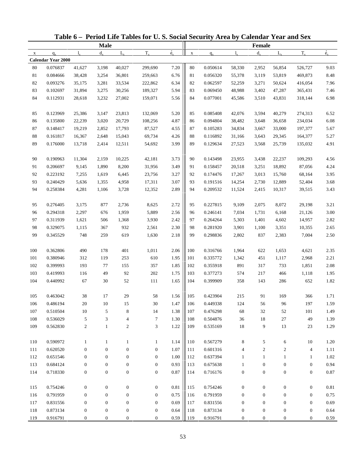|              |                           |                  |                  |                  | Table 6 – Period Life Tables for U.S. Social Security Area by Calendar Year and Sex |                          |             |          |                  |                  |                  |                  |             |
|--------------|---------------------------|------------------|------------------|------------------|-------------------------------------------------------------------------------------|--------------------------|-------------|----------|------------------|------------------|------------------|------------------|-------------|
|              |                           |                  | <b>Male</b>      |                  |                                                                                     |                          |             |          |                  | <b>Female</b>    |                  |                  |             |
| $\mathbf{x}$ | $q_{x}$                   | $l_{\rm x}$      | $d_{\rm v}$      | $L_{\rm v}$      | $T_{x}$                                                                             | $\overset{\circ}{e}_{x}$ | $\mathbf X$ | $q_{x}$  | $l_{\rm v}$      | $d_{x}$          | $L_{\rm v}$      | $T_{x}$          | $\dot{e}_x$ |
|              | <b>Calendar Year 2000</b> |                  |                  |                  |                                                                                     |                          |             |          |                  |                  |                  |                  |             |
| 80           | 0.076837                  | 41,627           | 3,198            | 40,027           | 299,690                                                                             | 7.20                     | 80          | 0.050614 | 58,330           | 2,952            | 56,854           | 526,727          | 9.03        |
| 81           | 0.084666                  | 38,428           | 3,254            | 36,801           | 259,663                                                                             | 6.76                     | 81          | 0.056320 | 55,378           | 3,119            | 53,819           | 469,873          | 8.48        |
| 82           | 0.093276                  | 35,175           | 3,281            | 33,534           | 222,862                                                                             | 6.34                     | 82          | 0.062597 | 52,259           | 3,271            | 50,624           | 416,054          | 7.96        |
| 83           | 0.102697                  | 31,894           | 3,275            | 30,256           | 189,327                                                                             | 5.94                     | 83          | 0.069450 | 48,988           | 3,402            | 47,287           | 365,431          | 7.46        |
| 84           | 0.112931                  | 28,618           | 3,232            | 27,002           | 159,071                                                                             | 5.56                     | 84          | 0.077001 | 45,586           | 3,510            | 43,831           | 318,144          | 6.98        |
| 85           | 0.123969                  | 25,386           | 3,147            | 23,813           | 132,069                                                                             | 5.20                     | 85          | 0.085408 | 42,076           | 3,594            | 40,279           | 274,313          | 6.52        |
| 86           | 0.135800                  | 22,239           | 3,020            | 20,729           | 108,256                                                                             | 4.87                     | 86          | 0.094804 | 38,482           | 3,648            | 36,658           | 234,034          | 6.08        |
| 87           | 0.148417                  | 19,219           | 2,852            | 17,793           | 87,527                                                                              | 4.55                     | 87          | 0.105283 | 34,834           | 3,667            | 33,000           | 197,377          | 5.67        |
| $88\,$       | 0.161817                  | 16,367           | 2,648            | 15,043           | 69,734                                                                              | 4.26                     | 88          | 0.116892 | 31,166           | 3,643            | 29,345           | 164,377          | 5.27        |
| 89           | 0.176000                  | 13,718           | 2,414            | 12,511           | 54,692                                                                              | 3.99                     | 89          | 0.129634 | 27,523           | 3,568            | 25,739           | 135,032          | 4.91        |
| 90           | 0.190963                  | 11,304           | 2,159            | 10,225           | 42,181                                                                              | 3.73                     | 90          | 0.143498 | 23,955           | 3,438            | 22,237           | 109,293          | 4.56        |
| 91           | 0.206697                  | 9,145            | 1,890            | 8,200            | 31,956                                                                              | 3.49                     | 91          | 0.158457 | 20,518           | 3,251            | 18,892           | 87,056           | 4.24        |
| 92           | 0.223192                  | 7,255            | 1,619            | 6,445            | 23,756                                                                              | 3.27                     | 92          | 0.174476 | 17,267           | 3,013            | 15,760           | 68,164           | 3.95        |
| 93           | 0.240429                  | 5,636            | 1,355            | 4,958            | 17,311                                                                              | 3.07                     | 93          | 0.191516 | 14,254           | 2,730            | 12,889           | 52,404           | 3.68        |
| 94           | 0.258384                  | 4,281            | 1,106            | 3,728            | 12,352                                                                              | 2.89                     | 94          | 0.209532 | 11,524           | 2,415            | 10,317           | 39,515           | 3.43        |
| 95           | 0.276405                  | 3,175            | 877              | 2,736            | 8,625                                                                               | 2.72                     | 95          | 0.227815 | 9,109            | 2,075            | 8,072            | 29,198           | 3.21        |
| 96           | 0.294318                  | 2,297            | 676              | 1,959            | 5,889                                                                               | 2.56                     | 96          | 0.246141 | 7,034            | 1,731            | 6,168            | 21,126           | 3.00        |
| 97           | 0.311939                  | 1,621            | 506              | 1,368            | 3,930                                                                               | 2.42                     | 97          | 0.264264 | 5,303            | 1,401            | 4,602            | 14,957           | 2.82        |
| 98           | 0.329075                  | 1,115            | 367              | 932              | 2,561                                                                               | 2.30                     | 98          | 0.281920 | 3,901            | 1,100            | 3,351            | 10,355           | 2.65        |
| 99           | 0.345529                  | 748              | 259              | 619              | 1,630                                                                               | 2.18                     | 99          | 0.298836 | 2,802            | 837              | 2,383            | 7,004            | 2.50        |
| 100          | 0.362806                  | 490              | 178              | 401              | 1,011                                                                               | 2.06                     | 100         | 0.316766 | 1,964            | 622              | 1,653            | 4,621            | 2.35        |
| 101          | 0.380946                  | 312              | 119              | 253              | 610                                                                                 | 1.95                     | 101         | 0.335772 | 1,342            | 451              | 1,117            | 2,968            | 2.21        |
| 102          | 0.399993                  | 193              | 77               | 155              | 357                                                                                 | 1.85                     | 102         | 0.355918 | 891              | 317              | 733              | 1,851            | 2.08        |
| 103          | 0.419993                  | 116              | 49               | 92               | 202                                                                                 | 1.75                     | 103         | 0.377273 | 574              | 217              | 466              | 1,118            | 1.95        |
| 104          | 0.440992                  | 67               | 30               | 52               | 111                                                                                 | 1.65                     | 104         | 0.399909 | 358              | 143              | 286              | 652              | 1.82        |
| 105          | 0.463042                  | $38\,$           | 17               | $29\,$           | 58                                                                                  | 1.56                     | 105         | 0.423904 | $215\,$          | 91               | 169              | 366              | 1.71        |
| 106          | 0.486194                  | $20\,$           | 10               | 15               | $30\,$                                                                              | 1.47                     | 106         | 0.449338 | 124              | 56               | 96               | 197              | 1.59        |
| 107          | 0.510504                  | 10               | 5                | 8                | 14                                                                                  | 1.38                     | 107         | 0.476298 | 68               | 32               | 52               | 101              | 1.49        |
| 108          | 0.536029                  | $\sqrt{5}$       | 3                | 4                | $\tau$                                                                              | 1.30                     | 108         | 0.504876 | 36               | 18               | 27               | 49               | 1.39        |
| 109          | 0.562830                  | $\sqrt{2}$       | $\mathbf{1}$     | $\boldsymbol{2}$ | 3                                                                                   | 1.22                     | 109         | 0.535169 | 18               | 9                | 13               | 23               | 1.29        |
| 110          | 0.590972                  | $\mathbf{1}$     | $\mathbf{1}$     | $\mathbf{1}$     | $\mathbf{1}$                                                                        | 1.14                     | 110         | 0.567279 | 8                | 5                | 6                | $10\,$           | 1.20        |
| 111          | 0.620520                  | $\boldsymbol{0}$ | $\mathbf{0}$     | $\boldsymbol{0}$ | $\boldsymbol{0}$                                                                    | 1.07                     | 111         | 0.601316 | 4                | $\boldsymbol{2}$ | $\overline{c}$   | 4                | 1.11        |
| 112          | 0.651546                  | $\boldsymbol{0}$ | $\boldsymbol{0}$ | $\boldsymbol{0}$ | $\mathbf{0}$                                                                        | 1.00                     | 112         | 0.637394 | $\mathbf{1}$     | 1                | 1                | 1                | 1.02        |
| 113          | 0.684124                  | $\boldsymbol{0}$ | $\boldsymbol{0}$ | $\boldsymbol{0}$ | $\boldsymbol{0}$                                                                    | 0.93                     | 113         | 0.675638 |                  | $\boldsymbol{0}$ | $\boldsymbol{0}$ | $\boldsymbol{0}$ | 0.94        |
|              |                           |                  |                  |                  |                                                                                     |                          |             |          | 1                |                  |                  |                  |             |
| 114          | 0.718330                  | $\boldsymbol{0}$ | $\boldsymbol{0}$ | $\boldsymbol{0}$ | $\boldsymbol{0}$                                                                    | 0.87                     | 114         | 0.716176 | $\boldsymbol{0}$ | $\boldsymbol{0}$ | $\boldsymbol{0}$ | $\boldsymbol{0}$ | 0.87        |
| 115          | 0.754246                  | $\boldsymbol{0}$ | $\boldsymbol{0}$ | $\boldsymbol{0}$ | $\boldsymbol{0}$                                                                    | 0.81                     | 115         | 0.754246 | $\boldsymbol{0}$ | $\boldsymbol{0}$ | $\boldsymbol{0}$ | $\boldsymbol{0}$ | 0.81        |
| 116          | 0.791959                  | $\boldsymbol{0}$ | $\mathbf{0}$     | $\boldsymbol{0}$ | $\mathbf{0}$                                                                        | 0.75                     | 116         | 0.791959 | $\boldsymbol{0}$ | $\boldsymbol{0}$ | $\mathbf{0}$     | $\boldsymbol{0}$ | 0.75        |
| 117          | 0.831556                  | $\boldsymbol{0}$ | $\mathbf{0}$     | $\boldsymbol{0}$ | $\mathbf{0}$                                                                        | 0.69                     | 117         | 0.831556 | $\boldsymbol{0}$ | $\boldsymbol{0}$ | $\boldsymbol{0}$ | $\boldsymbol{0}$ | 0.69        |
| 118          | 0.873134                  | $\boldsymbol{0}$ | $\boldsymbol{0}$ | $\boldsymbol{0}$ | $\boldsymbol{0}$                                                                    | 0.64                     | 118         | 0.873134 | $\boldsymbol{0}$ | $\boldsymbol{0}$ | $\boldsymbol{0}$ | $\boldsymbol{0}$ | 0.64        |
| 119          | 0.916791                  | $\mathbf{0}$     | $\mathbf{0}$     | $\boldsymbol{0}$ | $\boldsymbol{0}$                                                                    | 0.59                     | 119         | 0.916791 | $\boldsymbol{0}$ | $\boldsymbol{0}$ | $\mathbf{0}$     | $\boldsymbol{0}$ | 0.59        |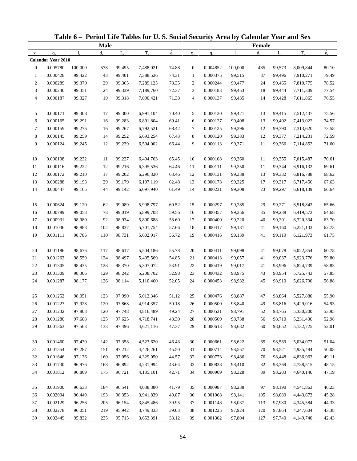|                |                           |             |             |             | Table 6 - Period Life Tables for U.S. Social Security Area by Calendar Year and Sex |             |                  |          |             |         |             |           |             |
|----------------|---------------------------|-------------|-------------|-------------|-------------------------------------------------------------------------------------|-------------|------------------|----------|-------------|---------|-------------|-----------|-------------|
|                |                           |             | <b>Male</b> |             |                                                                                     |             |                  |          |             | Female  |             |           |             |
| $\mathbf{X}$   | $q_{x}$                   | $l_{\rm v}$ | $d_{\rm v}$ | $L_{\rm v}$ | $T_{x}$                                                                             | $\dot{e}_x$ | $\mathbf X$      | $q_{x}$  | $l_{\rm x}$ | $d_{x}$ | $L_{\rm v}$ | $T_{x}$   | $\dot{e}_x$ |
|                | <b>Calendar Year 2010</b> |             |             |             |                                                                                     |             |                  |          |             |         |             |           |             |
| $\mathbf{0}$   | 0.005780                  | 100,000     | 578         | 99,495      | 7,488,021                                                                           | 74.88       | $\boldsymbol{0}$ | 0.004852 | 100,000     | 485     | 99,573      | 8,009,844 | 80.10       |
| $\mathbf{1}$   | 0.000428                  | 99,422      | 43          | 99,401      | 7,388,526                                                                           | 74.31       | $\mathbf{1}$     | 0.000375 | 99,515      | 37      | 99,496      | 7,910,271 | 79.49       |
| $\overline{c}$ | 0.000289                  | 99,379      | 29          | 99,365      | 7,289,125                                                                           | 73.35       | $\boldsymbol{2}$ | 0.000244 | 99,477      | 24      | 99,465      | 7,810,775 | 78.52       |
| 3              | 0.000240                  | 99,351      | 24          | 99,339      | 7,189,760                                                                           | 72.37       | 3                | 0.000183 | 99,453      | 18      | 99,444      | 7,711,309 | 77.54       |
| 4              | 0.000187                  | 99,327      | 19          | 99,318      | 7,090,421                                                                           | 71.38       | 4                | 0.000137 | 99,435      | 14      | 99,428      | 7,611,865 | 76.55       |
| 5              | 0.000171                  | 99,308      | 17          | 99,300      | 6,991,104                                                                           | 70.40       | 5                | 0.000130 | 99,421      | 13      | 99,415      | 7,512,437 | 75.56       |
| 6              | 0.000165                  | 99,291      | 16          | 99,283      | 6,891,804                                                                           | 69.41       | 6                | 0.000127 | 99,408      | 13      | 99,402      | 7,413,022 | 74.57       |
| $\tau$         | 0.000159                  | 99,275      | 16          | 99,267      | 6,792,521                                                                           | 68.42       | 7                | 0.000125 | 99,396      | 12      | 99,390      | 7,313,620 | 73.58       |
| 8              | 0.000145                  | 99,259      | 14          | 99,252      | 6,693,254                                                                           | 67.43       | 8                | 0.000120 | 99,383      | 12      | 99,377      | 7,214,231 | 72.59       |
| 9              | 0.000124                  | 99,245      | 12          | 99,239      | 6,594,002                                                                           | 66.44       | 9                | 0.000113 | 99,371      | 11      | 99,366      | 7,114,853 | 71.60       |
| 10             | 0.000108                  | 99,232      | 11          | 99,227      | 6,494,763                                                                           | 65.45       | 10               | 0.000108 | 99,360      | 11      | 99,355      | 7,015,487 | 70.61       |
| 11             | 0.000116                  | 99,222      | 12          | 99,216      | 6,395,536                                                                           | 64.46       | 11               | 0.000111 | 99,350      | 11      | 99,344      | 6,916,132 | 69.61       |
| 12             | 0.000172                  | 99,210      | 17          | 99,202      | 6,296,320                                                                           | 63.46       | 12               | 0.000131 | 99,338      | 13      | 99,332      | 6,816,788 | 68.62       |
| 13             | 0.000288                  | 99,193      | 29          | 99,179      | 6,197,119                                                                           | 62.48       | 13               | 0.000173 | 99,325      | 17      | 99,317      | 6,717,456 | 67.63       |
| 14             | 0.000447                  | 99,165      | 44          | 99,142      | 6,097,940                                                                           | 61.49       | 14               | 0.000231 | 99,308      | 23      | 99,297      | 6,618,139 | 66.64       |
| 15             | 0.000624                  | 99,120      | 62          | 99,089      | 5,998,797                                                                           | 60.52       | 15               | 0.000297 | 99,285      | 29      | 99,271      | 6,518,842 | 65.66       |
| 16             | 0.000789                  | 99,058      | 78          | 99,019      | 5,899,708                                                                           | 59.56       | 16               | 0.000357 | 99,256      | 35      | 99,238      | 6,419,572 | 64.68       |
| 17             | 0.000931                  | 98,980      | 92          | 98,934      | 5,800,688                                                                           | 58.60       | 17               | 0.000400 | 99,220      | 40      | 99,201      | 6,320,334 | 63.70       |
| 18             | 0.001036                  | 98,888      | 102         | 98,837      | 5,701,754                                                                           | 57.66       | 18               | 0.000417 | 99,181      | 41      | 99,160      | 6,221,133 | 62.73       |
| 19             | 0.001111                  | 98,786      | 110         | 98,731      | 5,602,917                                                                           | 56.72       | 19               | 0.000416 | 99,139      | 41      | 99,119      | 6,121,973 | 61.75       |
|                |                           |             |             |             |                                                                                     |             |                  |          |             |         |             |           |             |
| 20             | 0.001186                  | 98,676      | 117         | 98,617      | 5,504,186                                                                           | 55.78       | 20               | 0.000411 | 99,098      | 41      | 99,078      | 6,022,854 | 60.78       |
| 21             | 0.001262                  | 98,559      | 124         | 98,497      | 5,405,569                                                                           | 54.85       | 21               | 0.000413 | 99,057      | 41      | 99,037      | 5,923,776 | 59.80       |
| 22             | 0.001305                  | 98,435      | 128         | 98,370      | 5,307,072                                                                           | 53.91       | 22               | 0.000419 | 99,017      | 41      | 98,996      | 5,824,739 | 58.83       |
| 23             | 0.001309                  | 98,306      | 129         | 98,242      | 5,208,702                                                                           | 52.98       | 23               | 0.000432 | 98,975      | 43      | 98,954      | 5,725,743 | 57.85       |
| 24             | 0.001287                  | 98,177      | 126         | 98,114      | 5,110,460                                                                           | 52.05       | 24               | 0.000453 | 98,932      | 45      | 98,910      | 5,626,790 | 56.88       |
| 25             | 0.001252                  | 98,051      | 123         | 97,990      | 5,012,346                                                                           | 51.12       | 25               | 0.000476 | 98,887      | 47      | 98,864      | 5,527,880 | 55.90       |
| 26             | 0.001227                  | 97,928      | 120         | 97,868      | 4,914,357                                                                           | 50.18       | 26               | 0.000500 | 98,840      | 49      | 98,816      | 5,429,016 | 54.93       |
| 27             | 0.001232                  | 97,808      | 120         | 97,748      | 4,816,489                                                                           | 49.24       | 27               | 0.000531 | 98,791      | 52      | 98,765      | 5,330,200 | 53.95       |
| 28             | 0.001280                  | 97,688      | 125         | 97,625      | 4,718,741                                                                           | 48.30       | 28               | 0.000569 | 98,738      | 56      | 98,710      | 5,231,436 | 52.98       |
| 29             | 0.001363                  | 97,563      | 133         | 97,496      | 4,621,116                                                                           | 47.37       | 29               | 0.000613 | 98,682      | 60      | 98,652      | 5,132,725 | 52.01       |
| 30             | 0.001460                  | 97,430      | 142         | 97,358      | 4,523,620                                                                           | 46.43       | 30               | 0.000661 | 98,622      | 65      | 98,589      | 5,034,073 | 51.04       |
| 31             | 0.001554                  | 97,287      | 151         | 97,212      | 4,426,261                                                                           | 45.50       | 31               | 0.000714 | 98,557      | 70      | 98,521      | 4,935,484 | 50.08       |
| 32             | 0.001646                  | 97,136      | 160         | 97,056      | 4,329,050                                                                           | 44.57       | 32               | 0.000773 | 98,486      | 76      | 98,448      | 4,836,963 | 49.11       |
| 33             | 0.001730                  | 96,976      | 168         | 96,892      | 4,231,994                                                                           | 43.64       | 33               | 0.000838 | 98,410      | 82      | 98,369      | 4,738,515 | 48.15       |
| 34             | 0.001812                  | 96,809      | 175         | 96,721      | 4,135,101                                                                           | 42.71       | 34               | 0.000909 | 98,328      | 89      | 98,283      | 4,640,146 | 47.19       |
|                |                           |             |             |             |                                                                                     |             |                  |          |             |         |             |           |             |
| 35             | 0.001900                  | 96,633      | 184         | 96,541      | 4,038,380                                                                           | 41.79       | 35               | 0.000987 | 98,238      | 97      | 98,190      | 4,541,863 | 46.23       |
| 36             | 0.002004                  | 96,449      | 193         | 96,353      | 3,941,839                                                                           | 40.87       | 36               | 0.001068 | 98,141      | 105     | 98,089      | 4,443,673 | 45.28       |
| 37             | 0.002129                  | 96,256      | 205         | 96,154      | 3,845,486                                                                           | 39.95       | 37               | 0.001148 | 98,037      | 113     | 97,980      | 4,345,584 | 44.33       |
| 38             | 0.002278                  | 96,051      | 219         | 95,942      | 3,749,333                                                                           | 39.03       | 38               | 0.001225 | 97,924      | 120     | 97,864      | 4,247,604 | 43.38       |
| 39             | 0.002449                  | 95,832      | 235         | 95,715      | 3,653,391                                                                           | 38.12       | 39               | 0.001302 | 97,804      | 127     | 97,740      | 4,149,740 | 42.43       |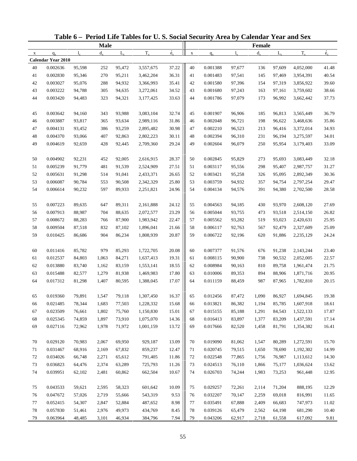|             |                           |              |             |             | Table 6 - Period Life Tables for U.S. Social Security Area by Calendar Year and Sex |             |             |          |             |         |             |           |             |
|-------------|---------------------------|--------------|-------------|-------------|-------------------------------------------------------------------------------------|-------------|-------------|----------|-------------|---------|-------------|-----------|-------------|
|             |                           |              | <b>Male</b> |             |                                                                                     |             |             |          |             | Female  |             |           |             |
| $\mathbf X$ | $q_{x}$                   | $\mathbf{l}$ | $d_{\rm v}$ | $L_{\rm v}$ | $T_{x}$                                                                             | $\dot{e}_x$ | $\mathbf X$ | $q_{x}$  | $l_{\rm x}$ | $d_{x}$ | $L_{\rm v}$ | $T_{x}$   | $\dot{e}_x$ |
|             | <b>Calendar Year 2010</b> |              |             |             |                                                                                     |             |             |          |             |         |             |           |             |
| 40          | 0.002636                  | 95,598       | 252         | 95,472      | 3,557,675                                                                           | 37.22       | 40          | 0.001388 | 97,677      | 136     | 97,609      | 4,052,000 | 41.48       |
| 41          | 0.002830                  | 95,346       | 270         | 95,211      | 3,462,204                                                                           | 36.31       | 41          | 0.001483 | 97,541      | 145     | 97,469      | 3,954,391 | 40.54       |
| 42          | 0.003027                  | 95,076       | 288         | 94,932      | 3,366,993                                                                           | 35.41       | 42          | 0.001580 | 97,396      | 154     | 97,319      | 3,856,922 | 39.60       |
| 43          | 0.003222                  | 94,788       | 305         | 94,635      | 3,272,061                                                                           | 34.52       | 43          | 0.001680 | 97,243      | 163     | 97,161      | 3,759,602 | 38.66       |
| 44          | 0.003420                  | 94,483       | 323         | 94,321      | 3,177,425                                                                           | 33.63       | 44          | 0.001786 | 97,079      | 173     | 96,992      | 3,662,442 | 37.73       |
| 45          | 0.003642                  | 94,160       | 343         | 93,988      | 3,083,104                                                                           | 32.74       | 45          | 0.001907 | 96,906      | 185     | 96,813      | 3,565,449 | 36.79       |
| 46          | 0.003887                  | 93,817       | 365         | 93,634      | 2,989,116                                                                           | 31.86       | 46          | 0.002048 | 96,721      | 198     | 96,622      | 3,468,636 | 35.86       |
| 47          | 0.004131                  | 93,452       | 386         | 93,259      | 2,895,482                                                                           | 30.98       | 47          | 0.002210 | 96,523      | 213     | 96,416      | 3,372,014 | 34.93       |
| 48          | 0.004370                  | 93,066       | 407         | 92,863      | 2,802,223                                                                           | 30.11       | 48          | 0.002394 | 96,310      | 231     | 96,194      | 3,275,597 | 34.01       |
| 49          | 0.004619                  | 92,659       | 428         | 92,445      | 2,709,360                                                                           | 29.24       | 49          | 0.002604 | 96,079      | 250     | 95,954      | 3,179,403 | 33.09       |
| 50          | 0.004902                  | 92,231       | 452         | 92,005      | 2,616,915                                                                           | 28.37       | 50          | 0.002845 | 95,829      | 273     | 95,693      | 3,083,449 | 32.18       |
| 51          | 0.005239                  | 91,779       | 481         | 91,539      | 2,524,909                                                                           | 27.51       | 51          | 0.003117 | 95,556      | 298     | 95,407      | 2,987,757 | 31.27       |
| 52          | 0.005631                  | 91,298       | 514         | 91,041      | 2,433,371                                                                           | 26.65       | 52          | 0.003421 | 95,258      | 326     | 95,095      | 2,892,349 | 30.36       |
| 53          | 0.006087                  | 90,784       | 553         | 90,508      | 2,342,329                                                                           | 25.80       | 53          | 0.003759 | 94,932      | 357     | 94,754      | 2,797,254 | 29.47       |
| 54          | 0.006614                  | 90,232       | 597         | 89,933      | 2,251,821                                                                           | 24.96       | 54          | 0.004134 | 94,576      | 391     | 94,380      | 2,702,500 | 28.58       |
| 55          | 0.007223                  | 89,635       | 647         | 89,311      | 2,161,888                                                                           | 24.12       | 55          | 0.004563 | 94,185      | 430     | 93,970      | 2,608,120 | 27.69       |
| 56          | 0.007913                  | 88,987       | 704         | 88,635      | 2,072,577                                                                           | 23.29       | 56          | 0.005044 | 93,755      | 473     | 93,518      | 2,514,150 | 26.82       |
| 57          | 0.008672                  | 88,283       | 766         | 87,900      | 1,983,942                                                                           | 22.47       | 57          | 0.005562 | 93,282      | 519     | 93,023      | 2,420,631 | 25.95       |
| 58          | 0.009504                  | 87,518       | 832         | 87,102      | 1,896,041                                                                           | 21.66       | 58          | 0.006117 | 92,763      | 567     | 92,479      | 2,327,609 | 25.09       |
| 59          | 0.010425                  | 86,686       | 904         | 86,234      | 1,808,939                                                                           | 20.87       | 59          | 0.006722 | 92,196      | 620     | 91,886      | 2,235,129 | 24.24       |
|             |                           |              |             |             |                                                                                     |             |             |          |             |         |             |           |             |
| 60          | 0.011416                  | 85,782       | 979         | 85,293      | 1,722,705                                                                           | 20.08       | 60          | 0.007377 | 91,576      | 676     | 91,238      | 2,143,244 | 23.40       |
| 61          | 0.012537                  | 84,803       | 1,063       | 84,271      | 1,637,413                                                                           | 19.31       | 61          | 0.008115 | 90,900      | 738     | 90,532      | 2,052,005 | 22.57       |
| 62          | 0.013880                  | 83,740       | 1,162       | 83,159      | 1,553,141                                                                           | 18.55       | 62          | 0.008984 | 90,163      | 810     | 89,758      | 1,961,474 | 21.75       |
| 63          | 0.015488                  | 82,577       | 1,279       | 81,938      | 1,469,983                                                                           | 17.80       | 63          | 0.010006 | 89,353      | 894     | 88,906      | 1,871,716 | 20.95       |
| 64          | 0.017312                  | 81,298       | 1,407       | 80,595      | 1,388,045                                                                           | 17.07       | 64          | 0.011159 | 88,459      | 987     | 87,965      | 1,782,810 | 20.15       |
| 65          | 0.019360                  | 79,891       | 1,547       | 79,118      | 1,307,450                                                                           | 16.37       | 65          | 0.012456 | 87,472      | 1,090   | 86,927      | 1,694,845 | 19.38       |
| 66          | 0.021485                  | 78,344       | 1,683       | 77,503      | 1,228,332                                                                           | 15.68       | 66          | 0.013821 | 86,382      | 1,194   | 85,785      | 1,607,918 | 18.61       |
| 67          | 0.023509                  | 76,661       | 1,802       | 75,760      | 1,150,830                                                                           | 15.01       | 67          | 0.015155 | 85,188      | 1,291   | 84,543      | 1,522,133 | 17.87       |
| 68          | 0.025345                  | 74,859       | 1,897       | 73,910      | 1,075,070                                                                           | 14.36       | 68          | 0.016413 | 83,897      | 1,377   | 83,209      | 1,437,591 | 17.14       |
| 69          | 0.027116                  | 72,962       | 1,978       | 71,972      | 1,001,159                                                                           | 13.72       | 69          | 0.017666 | 82,520      | 1,458   | 81,791      | 1,354,382 | 16.41       |
| 70          | 0.029120                  | 70,983       | 2,067       | 69,950      | 929,187                                                                             | 13.09       | 70          | 0.019090 | 81,062      | 1,547   | 80,289      | 1,272,591 | 15.70       |
| 71          | 0.031467                  | 68,916       | 2,169       | 67,832      | 859,237                                                                             | 12.47       | 71          | 0.020745 | 79,515      | 1,650   | 78,690      | 1,192,302 | 14.99       |
| 72          | 0.034026                  | 66,748       | 2,271       | 65,612      | 791,405                                                                             | 11.86       | 72          | 0.022548 | 77,865      | 1,756   | 76,987      | 1,113,612 | 14.30       |
| 73          | 0.036823                  | 64,476       | 2,374       | 63,289      | 725,793                                                                             | 11.26       | 73          | 0.024513 | 76,110      | 1,866   | 75,177      | 1,036,624 | 13.62       |
| 74          | 0.039951                  | 62,102       | 2,481       | 60,862      | 662,504                                                                             | 10.67       | 74          | 0.026703 | 74,244      | 1,983   | 73,253      | 961,448   | 12.95       |
| 75          | 0.043533                  | 59,621       | 2,595       | 58,323      | 601,642                                                                             | 10.09       | 75          | 0.029257 | 72,261      | 2,114   | 71,204      | 888,195   | 12.29       |
| 76          | 0.047672                  | 57,026       | 2,719       | 55,666      | 543,319                                                                             | 9.53        | 76          | 0.032207 | 70,147      | 2,259   | 69,018      | 816,991   | 11.65       |
| 77          | 0.052415                  | 54,307       | 2,847       | 52,884      | 487,652                                                                             | 8.98        | 77          | 0.035491 | 67,888      | 2,409   | 66,683      | 747,973   | 11.02       |
| 78          | 0.057830                  | 51,461       | 2,976       | 49,973      | 434,769                                                                             | 8.45        | 78          | 0.039126 | 65,479      | 2,562   | 64,198      | 681,290   | 10.40       |
| 79          | 0.063964                  | 48,485       | 3,101       | 46,934      | 384,796                                                                             | 7.94        | 79          | 0.043206 | 62,917      | 2,718   | 61,558      | 617,092   | 9.81        |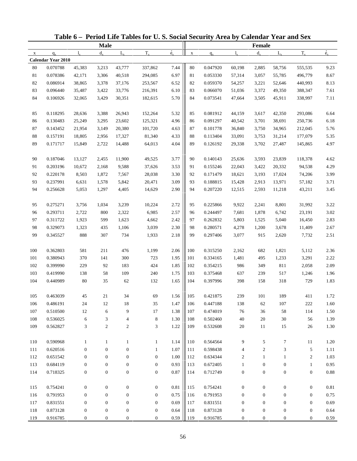|              |                           |                  |                  |                  | Table 6 - Period Life Tables for U.S. Social Security Area by Calendar Year and Sex |                          |             |          |                  |                  |                  |                  |             |
|--------------|---------------------------|------------------|------------------|------------------|-------------------------------------------------------------------------------------|--------------------------|-------------|----------|------------------|------------------|------------------|------------------|-------------|
|              |                           |                  | <b>Male</b>      |                  |                                                                                     |                          |             |          |                  | <b>Female</b>    |                  |                  |             |
| $\mathbf{x}$ | $q_{x}$                   | $l_{\rm x}$      | $d_{\rm v}$      | $L_{\rm v}$      | $T_{x}$                                                                             | $\overset{\circ}{e}_{x}$ | $\mathbf X$ | $q_{x}$  | $l_{\rm v}$      | $d_{x}$          | $L_{\rm v}$      | $T_{x}$          | $\dot{e}_x$ |
|              | <b>Calendar Year 2010</b> |                  |                  |                  |                                                                                     |                          |             |          |                  |                  |                  |                  |             |
| 80           | 0.070788                  | 45,383           | 3,213            | 43,777           | 337,862                                                                             | 7.44                     | 80          | 0.047920 | 60,198           | 2,885            | 58,756           | 555,535          | 9.23        |
| 81           | 0.078386                  | 42,171           | 3,306            | 40,518           | 294,085                                                                             | 6.97                     | 81          | 0.053330 | 57,314           | 3,057            | 55,785           | 496,779          | 8.67        |
| 82           | 0.086914                  | 38,865           | 3,378            | 37,176           | 253,567                                                                             | 6.52                     | 82          | 0.059370 | 54,257           | 3,221            | 52,646           | 440,993          | 8.13        |
| 83           | 0.096440                  | 35,487           | 3,422            | 33,776           | 216,391                                                                             | 6.10                     | 83          | 0.066070 | 51,036           | 3,372            | 49,350           | 388,347          | 7.61        |
| 84           | 0.106926                  | 32,065           | 3,429            | 30,351           | 182,615                                                                             | 5.70                     | 84          | 0.073541 | 47,664           | 3,505            | 45,911           | 338,997          | 7.11        |
| 85           | 0.118295                  | 28,636           | 3,388            | 26,943           | 152,264                                                                             | 5.32                     | 85          | 0.081912 | 44,159           | 3,617            | 42,350           | 293,086          | 6.64        |
| 86           | 0.130483                  | 25,249           | 3,295            | 23,602           | 125,321                                                                             | 4.96                     | 86          | 0.091297 | 40,542           | 3,701            | 38,691           | 250,736          | 6.18        |
| 87           | 0.143452                  | 21,954           | 3,149            | 20,380           | 101,720                                                                             | 4.63                     | 87          | 0.101778 | 36,840           | 3,750            | 34,965           | 212,045          | 5.76        |
| $88\,$       | 0.157191                  | 18,805           | 2,956            | 17,327           | 81,340                                                                              | 4.33                     | 88          | 0.113404 | 33,091           | 3,753            | 31,214           | 177,079          | 5.35        |
| 89           | 0.171717                  | 15,849           | 2,722            | 14,488           | 64,013                                                                              | 4.04                     | 89          | 0.126192 | 29,338           | 3,702            | 27,487           | 145,865          | 4.97        |
| 90           | 0.187046                  | 13,127           | 2,455            | 11,900           | 49,525                                                                              | 3.77                     | 90          | 0.140143 | 25,636           | 3,593            | 23,839           | 118,378          | 4.62        |
| 91           | 0.203196                  | 10,672           | 2,168            | 9,588            | 37,626                                                                              | 3.53                     | 91          | 0.155246 | 22,043           | 3,422            | 20,332           | 94,538           | 4.29        |
| 92           | 0.220178                  | 8,503            | 1,872            | 7,567            | 28,038                                                                              | 3.30                     | 92          | 0.171479 | 18,621           | 3,193            | 17,024           | 74,206           | 3.99        |
| 93           | 0.237991                  | 6,631            | 1,578            | 5,842            | 20,471                                                                              | 3.09                     | 93          | 0.188815 | 15,428           | 2,913            | 13,971           | 57,182           | 3.71        |
| 94           | 0.256628                  | 5,053            | 1,297            | 4,405            | 14,629                                                                              | 2.90                     | 94          | 0.207220 | 12,515           | 2,593            | 11,218           | 43,211           | 3.45        |
| 95           | 0.275271                  | 3,756            | 1,034            | 3,239            | 10,224                                                                              | 2.72                     | 95          | 0.225866 | 9,922            | 2,241            | 8,801            | 31,992           | 3.22        |
| 96           | 0.293711                  | 2,722            | 800              | 2,322            | 6,985                                                                               | 2.57                     | 96          | 0.244497 | 7,681            | 1,878            | 6,742            | 23,191           | 3.02        |
| 97           | 0.311722                  | 1,923            | 599              | 1,623            | 4,662                                                                               | 2.42                     | 97          | 0.262832 | 5,803            | 1,525            | 5,040            | 16,450           | 2.83        |
| 98           | 0.329073                  | 1,323            | 435              | 1,106            | 3,039                                                                               | 2.30                     | 98          | 0.280571 | 4,278            | 1,200            | 3,678            | 11,409           | 2.67        |
| 99           | 0.345527                  | 888              | 307              | 734              | 1,933                                                                               | 2.18                     | 99          | 0.297406 | 3,077            | 915              | 2,620            | 7,732            | 2.51        |
| 100          | 0.362803                  | 581              | 211              | 476              | 1,199                                                                               | 2.06                     | 100         | 0.315250 | 2,162            | 682              | 1,821            | 5,112            | 2.36        |
| 101          | 0.380943                  | 370              | 141              | 300              | 723                                                                                 | 1.95                     | 101         | 0.334165 | 1,481            | 495              | 1,233            | 3,291            | 2.22        |
| 102          | 0.399990                  | 229              | 92               | 183              | 424                                                                                 | 1.85                     | 102         | 0.354215 | 986              | 349              | 811              | 2,058            | 2.09        |
| 103          | 0.419990                  | 138              | 58               | 109              | 240                                                                                 | 1.75                     | 103         | 0.375468 | 637              | 239              | 517              | 1,246            | 1.96        |
| 104          | 0.440989                  | 80               | 35               | 62               | 132                                                                                 | 1.65                     | 104         | 0.397996 | 398              | 158              | 318              | 729              | 1.83        |
| 105          | 0.463039                  | 45               | 21               | 34               | 69                                                                                  | 1.56                     | 105         | 0.421875 | 239              | 101              | 189              | 411              | 1.72        |
| 106          | 0.486191                  | 24               | 12               | 18               | 35                                                                                  | 1.47                     | 106         | 0.447188 | 138              | 62               | 107              | 222              | 1.60        |
| 107          | 0.510500                  | $12\,$           | 6                | 9                | 17                                                                                  | 1.38                     | 107         | 0.474019 | 76               | 36               | 58               | 114              | 1.50        |
| 108          | 0.536025                  | 6                | 3                | 4                | $\,8\,$                                                                             | 1.30                     | 108         | 0.502460 | 40               | 20               | 30               | 56               | 1.39        |
| 109          | 0.562827                  | 3                | $\boldsymbol{2}$ | $\overline{c}$   | 3                                                                                   | 1.22                     | 109         | 0.532608 | 20               | 11               | 15               | 26               | 1.30        |
| 110          | 0.590968                  | $\mathbf{1}$     | $\mathbf{1}$     | $\mathbf{1}$     | $\mathbf{1}$                                                                        | 1.14                     | 110         | 0.564564 | 9                | 5                | 7                | 11               | 1.20        |
| 111          | 0.620516                  | $\boldsymbol{0}$ | $\mathbf{0}$     | $\boldsymbol{0}$ | 1                                                                                   | 1.07                     | 111         | 0.598438 |                  | $\overline{c}$   |                  |                  |             |
|              | 0.651542                  | $\boldsymbol{0}$ | $\boldsymbol{0}$ | $\boldsymbol{0}$ | $\mathbf{0}$                                                                        | 1.00                     | 112         | 0.634344 | 4                |                  | 3                | 5                | 1.11        |
| 112          |                           |                  |                  |                  |                                                                                     |                          |             | 0.672405 | 2                | $\mathbf{1}$     | $\mathbf{1}$     | $\boldsymbol{2}$ | 1.03        |
| 113          | 0.684119                  | $\boldsymbol{0}$ | $\boldsymbol{0}$ | $\boldsymbol{0}$ | $\boldsymbol{0}$                                                                    | 0.93                     | 113         |          | $\mathbf{1}$     | $\boldsymbol{0}$ | $\boldsymbol{0}$ | $\mathbf{1}$     | 0.95        |
| 114          | 0.718325                  | $\boldsymbol{0}$ | $\boldsymbol{0}$ | $\boldsymbol{0}$ | $\boldsymbol{0}$                                                                    | 0.87                     | 114         | 0.712749 | $\boldsymbol{0}$ | $\boldsymbol{0}$ | $\boldsymbol{0}$ | $\boldsymbol{0}$ | 0.88        |
| 115          | 0.754241                  | $\boldsymbol{0}$ | $\boldsymbol{0}$ | $\boldsymbol{0}$ | $\boldsymbol{0}$                                                                    | $0.81\,$                 | 115         | 0.754241 | $\boldsymbol{0}$ | $\boldsymbol{0}$ | $\boldsymbol{0}$ | $\boldsymbol{0}$ | 0.81        |
| 116          | 0.791953                  | $\boldsymbol{0}$ | $\mathbf{0}$     | $\boldsymbol{0}$ | $\mathbf{0}$                                                                        | 0.75                     | 116         | 0.791953 | $\mathbf{0}$     | $\boldsymbol{0}$ | $\boldsymbol{0}$ | $\boldsymbol{0}$ | 0.75        |
| 117          | 0.831551                  | $\boldsymbol{0}$ | $\boldsymbol{0}$ | 0                | $\mathbf{0}$                                                                        | 0.69                     | 117         | 0.831551 | $\boldsymbol{0}$ | $\boldsymbol{0}$ | $\boldsymbol{0}$ | $\boldsymbol{0}$ | 0.69        |
| 118          | 0.873128                  | $\boldsymbol{0}$ | $\boldsymbol{0}$ | $\boldsymbol{0}$ | $\boldsymbol{0}$                                                                    | 0.64                     | 118         | 0.873128 | $\boldsymbol{0}$ | $\boldsymbol{0}$ | $\boldsymbol{0}$ | $\boldsymbol{0}$ | 0.64        |
| 119          | 0.916785                  | $\boldsymbol{0}$ | $\boldsymbol{0}$ | $\boldsymbol{0}$ | $\boldsymbol{0}$                                                                    | 0.59                     | 119         | 0.916785 | 0                | $\boldsymbol{0}$ | $\boldsymbol{0}$ | $\boldsymbol{0}$ | 0.59        |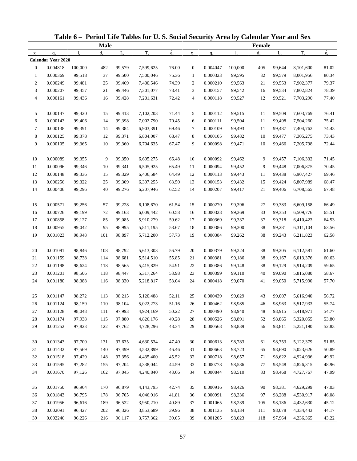| <b>Male</b>                                                                                                                   | Female  |             |           |             |
|-------------------------------------------------------------------------------------------------------------------------------|---------|-------------|-----------|-------------|
|                                                                                                                               |         |             |           |             |
| $\dot{e}_x$<br>$T_{x}$<br>$d_{\rm v}$<br>$L_{\rm v}$<br>$1_{\rm v}$<br>$q_{x}$<br>1.<br>$\mathbf X$<br>$q_{x}$<br>$\mathbf X$ | $d_{x}$ | $L_{\rm v}$ | $T_{x}$   | $\dot{e}_x$ |
| <b>Calendar Year 2020</b>                                                                                                     |         |             |           |             |
| 0.004818<br>100,000<br>99,579<br>7,599,625<br>76.00<br>$\boldsymbol{0}$<br>0.004047<br>100,000<br>$\mathbf{0}$<br>482         | 405     | 99,644      | 8,101,600 | 81.02       |
| 75.36<br>0.000369<br>0.000323<br>$\mathbf{1}$<br>99,518<br>37<br>99,500<br>7,500,046<br>$\mathbf{1}$<br>99,595                | 32      | 99,579      | 8,001,956 | 80.34       |
| 74.39<br>$\overline{c}$<br>0.000249<br>$\overline{c}$<br>0.000210<br>99,481<br>25<br>99,469<br>7,400,546<br>99,563            | 21      | 99,553      | 7,902,377 | 79.37       |
| 3<br>0.000207<br>99,457<br>21<br>99,446<br>7,301,077<br>73.41<br>3<br>0.000157<br>99,542                                      | 16      | 99,534      | 7,802,824 | 78.39       |
| 72.42<br>$\overline{4}$<br>0.000161<br>99,436<br>7,201,631<br>$\overline{4}$<br>0.000118<br>99,527<br>16<br>99,428            | 12      | 99,521      | 7,703,290 | 77.40       |
| 0.000147<br>5<br>5<br>99,420<br>15<br>7,102,203<br>71.44<br>0.000112<br>99,515<br>99,413                                      | 11      | 99,509      | 7,603,769 | 76.41       |
| 70.45<br>6<br>0.000143<br>99,406<br>14<br>99,398<br>7,002,790<br>6<br>0.000111<br>99,504                                      | 11      | 99,498      | 7,504,260 | 75.42       |
| 69.46<br>$\tau$<br>0.000138<br>99,391<br>14<br>99,384<br>6,903,391<br>7<br>0.000109<br>99,493                                 | 11      | 99,487      | 7,404,762 | 74.43       |
| $\,8\,$<br>0.000125<br>8<br>99,378<br>68.47<br>0.000105<br>99,482<br>12<br>99,371<br>6,804,007                                | 10      | 99,477      | 7,305,275 | 73.43       |
| 9<br>9<br>0.000105<br>99,365<br>10<br>99,360<br>6,704,635<br>67.47<br>0.000098<br>99,471                                      | 10      | 99,466      | 7,205,798 | 72.44       |
| 0.000089<br>0.000092<br>10<br>99,355<br>99,350<br>6,605,275<br>66.48<br>10<br>99,462<br>9                                     | 9       | 99,457      | 7,106,332 | 71.45       |
| 65.49<br>11<br>0.000096<br>0.000094<br>99,346<br>10<br>99,341<br>6,505,925<br>11<br>99,452                                    | 9       | 99,448      | 7,006,875 | 70.45       |
| 64.49<br>12<br>0.000148<br>99,336<br>6,406,584<br>12<br>0.000113<br>99,443<br>15<br>99,329                                    | 11      | 99,438      | 6,907,427 | 69.46       |
| 13<br>0.000256<br>99,322<br>25<br>99,309<br>6,307,255<br>63.50<br>13<br>0.000153<br>99,432                                    | 15      | 99,424      | 6,807,989 | 68.47       |
| 62.52<br>14<br>0.000406<br>99,296<br>40<br>99,276<br>6,207,946<br>14<br>0.000207<br>99,417                                    | 21      | 99,406      | 6,708,565 | 67.48       |
| 0.000571<br>15<br>99,256<br>99,228<br>6,108,670<br>61.54<br>15<br>0.000270<br>99,396<br>57                                    | 27      | 99,383      | 6,609,158 | 66.49       |
| 60.58<br>16<br>0.000726<br>99,199<br>0.000328<br>99,369<br>72<br>99,163<br>6,009,442<br>16                                    | 33      | 99,353      | 6,509,776 | 65.51       |
| 17<br>59.62<br>0.000858<br>99,127<br>85<br>99,085<br>5,910,279<br>17<br>0.000369<br>99,337                                    | 37      | 99,318      | 6,410,423 | 64.53       |
| 18<br>0.000955<br>99,042<br>95<br>98,995<br>5,811,195<br>58.67<br>18<br>0.000386<br>99,300                                    | 38      | 99,281      | 6,311,104 | 63.56       |
| 19<br>57.73<br>0.001023<br>98,948<br>101<br>98,897<br>5,712,200<br>19<br>0.000384<br>99,262                                   | 38      | 99,243      | 6,211,823 | 62.58       |
|                                                                                                                               |         |             |           |             |
| 0.001091<br>56.79<br>0.000379<br>20<br>98,846<br>98,792<br>5,613,303<br>20<br>99,224<br>108                                   | 38      | 99,205      | 6,112,581 | 61.60       |
| 55.85<br>21<br>0.001159<br>98,738<br>114<br>98,681<br>5,514,510<br>21<br>0.000381<br>99,186                                   | 38      | 99,167      | 6,013,376 | 60.63       |
| 22<br>0.001198<br>54.91<br>22<br>0.000386<br>98,624<br>118<br>98,565<br>5,415,829<br>99,148                                   | 38      | 99,129      | 5,914,209 | 59.65       |
| 23<br>0.001201<br>98,506<br>5,317,264<br>53.98<br>23<br>0.000399<br>99,110<br>118<br>98,447                                   | 40      | 99,090      | 5,815,080 | 58.67       |
| 53.04<br>24<br>0.001180<br>98,388<br>116<br>98,330<br>5,218,817<br>24<br>0.000418<br>99,070                                   | 41      | 99,050      | 5,715,990 | 57.70       |
| 98,272<br>52.11<br>0.001147<br>98,215<br>5,120,488<br>0.000439<br>99,029<br>113<br>25<br>25                                   | 43      | 99,007      | 5,616,940 | 56.72       |
| 0.001124<br>98,104<br>51.16<br>0.000462<br>98,159<br>110<br>5,022,273<br>26<br>98,985<br>26                                   | 46      | 98,963      | 5,517,933 | 55.74       |
| 50.22<br>27<br>0.001128<br>98,048<br>97,993<br>27<br>0.000490<br>98,940<br>111<br>4,924,169                                   | 48      | 98,915      | 5,418,971 | 54.77       |
| 0.001174<br>49.28<br>28<br>97,938<br>115<br>97,880<br>4,826,176<br>0.000526<br>98,891<br>28                                   | 52      | 98,865      | 5,320,055 | 53.80       |
| 29<br>0.001252<br>97,823<br>122<br>48.34<br>0.000568<br>97,762<br>4,728,296<br>29<br>98,839                                   | 56      | 98,811      | 5,221,190 | 52.83       |
| 0.001343<br>97,700<br>97,635<br>47.40<br>30<br>0.000613<br>98,783<br>30<br>131<br>4,630,534                                   | 61      | 98,753      | 5,122,379 | 51.85       |
| 46.46<br>31<br>0.001432<br>97,569<br>97,499<br>0.000663<br>98,723<br>140<br>4,532,899<br>31                                   | 65      | 98,690      | 5,023,626 | 50.89       |
| 32<br>0.001518<br>97,429<br>45.52<br>0.000718<br>98,657<br>148<br>97,356<br>4,435,400<br>32                                   | 71      | 98,622      | 4,924,936 | 49.92       |
| 44.59<br>33<br>0.001595<br>97,282<br>97,204<br>0.000778<br>98,586<br>155<br>4,338,044<br>33                                   | 77      | 98,548      | 4,826,315 | 48.96       |
| 34<br>0.001670<br>162<br>43.66<br>0.000844<br>98,510<br>97,126<br>97,045<br>4,240,840<br>34                                   | 83      | 98,468      | 4,727,767 | 47.99       |
| 42.74<br>0.001750<br>96,964<br>96,879<br>0.000916<br>98,426<br>35<br>170<br>4,143,795<br>35                                   | 90      | 98,381      | 4,629,299 | 47.03       |
| 41.81<br>36<br>0.001843<br>96,795<br>96,705<br>0.000991<br>98,336<br>178<br>4,046,916<br>36                                   | 97      | 98,288      | 4,530,917 | 46.08       |
| 40.89<br>37<br>0.001956<br>96,616<br>0.001065<br>98,239<br>189<br>96,522<br>3,950,210<br>37                                   | 105     | 98,186      | 4,432,630 | 45.12       |
| 38<br>39.96<br>0.001135<br>0.002091<br>96,427<br>202<br>96,326<br>38<br>98,134<br>3,853,689                                   | 111     | 98,078      | 4,334,443 | 44.17       |
| 39.05<br>0.002246<br>39<br>98,023<br>39<br>96,226<br>216<br>96,117<br>3,757,362<br>0.001205                                   | 118     | 97,964      | 4,236,365 | 43.22       |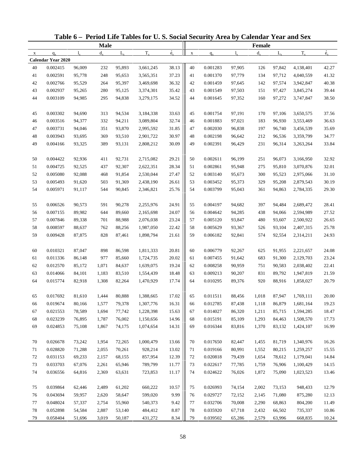|             |                           |        |             |             | Table 6 - Period Life Tables for U.S. Social Security Area by Calendar Year and Sex |             |             |          |             |               |             |           |             |
|-------------|---------------------------|--------|-------------|-------------|-------------------------------------------------------------------------------------|-------------|-------------|----------|-------------|---------------|-------------|-----------|-------------|
|             |                           |        | <b>Male</b> |             |                                                                                     |             |             |          |             | <b>Female</b> |             |           |             |
| $\mathbf X$ | $q_{x}$                   | 1.     | $d_{\rm v}$ | $L_{\rm v}$ | $T_{x}$                                                                             | $\dot{e}_x$ | $\mathbf X$ | $q_{x}$  | $l_{\rm v}$ | $d_{x}$       | $L_{\rm v}$ | $T_{x}$   | $\dot{e}_x$ |
|             | <b>Calendar Year 2020</b> |        |             |             |                                                                                     |             |             |          |             |               |             |           |             |
| 40          | 0.002415                  | 96,009 | 232         | 95,893      | 3,661,245                                                                           | 38.13       | 40          | 0.001283 | 97,905      | 126           | 97,842      | 4,138,401 | 42.27       |
| 41          | 0.002591                  | 95,778 | 248         | 95,653      | 3,565,351                                                                           | 37.23       | 41          | 0.001370 | 97,779      | 134           | 97,712      | 4,040,559 | 41.32       |
| 42          | 0.002766                  | 95,529 | 264         | 95,397      | 3,469,698                                                                           | 36.32       | 42          | 0.001459 | 97,645      | 142           | 97,574      | 3,942,847 | 40.38       |
| 43          | 0.002937                  | 95,265 | 280         | 95,125      | 3,374,301                                                                           | 35.42       | 43          | 0.001549 | 97,503      | 151           | 97,427      | 3,845,274 | 39.44       |
| 44          | 0.003109                  | 94,985 | 295         | 94,838      | 3,279,175                                                                           | 34.52       | 44          | 0.001645 | 97,352      | 160           | 97,272      | 3,747,847 | 38.50       |
| 45          | 0.003302                  | 94,690 | 313         | 94,534      | 3,184,338                                                                           | 33.63       | 45          | 0.001754 | 97,191      | 170           | 97,106      | 3,650,575 | 37.56       |
| 46          | 0.003516                  | 94,377 | 332         | 94,211      | 3,089,804                                                                           | 32.74       | 46          | 0.001883 | 97,021      | 183           | 96,930      | 3,553,469 | 36.63       |
| 47          | 0.003731                  | 94,046 | 351         | 93,870      | 2,995,592                                                                           | 31.85       | 47          | 0.002030 | 96,838      | 197           | 96,740      | 3,456,539 | 35.69       |
| 48          | 0.003943                  | 93,695 | 369         | 93,510      | 2,901,722                                                                           | 30.97       | 48          | 0.002198 | 96,642      | 212           | 96,536      | 3,359,799 | 34.77       |
| 49          | 0.004166                  | 93,325 | 389         | 93,131      | 2,808,212                                                                           | 30.09       | 49          | 0.002391 | 96,429      | 231           | 96,314      | 3,263,264 | 33.84       |
| 50          | 0.004422                  | 92,936 | 411         | 92,731      | 2,715,082                                                                           | 29.21       | 50          | 0.002611 | 96,199      | 251           | 96,073      | 3,166,950 | 32.92       |
| 51          | 0.004725                  | 92,525 | 437         | 92,307      | 2,622,351                                                                           | 28.34       | 51          | 0.002861 | 95,948      | 275           | 95,810      | 3,070,876 | 32.01       |
| 52          | 0.005080                  | 92,088 | 468         | 91,854      | 2,530,044                                                                           | 27.47       | 52          | 0.003140 | 95,673      | 300           | 95,523      | 2,975,066 | 31.10       |
| 53          | 0.005493                  | 91,620 | 503         | 91,369      | 2,438,190                                                                           | 26.61       | 53          | 0.003452 | 95,373      | 329           | 95,208      | 2,879,543 | 30.19       |
| 54          | 0.005971                  | 91,117 | 544         | 90,845      | 2,346,821                                                                           | 25.76       | 54          | 0.003799 | 95,043      | 361           | 94,863      | 2,784,335 | 29.30       |
| 55          | 0.006526                  | 90,573 | 591         | 90,278      | 2,255,976                                                                           | 24.91       | 55          | 0.004197 | 94,682      | 397           | 94,484      | 2,689,472 | 28.41       |
| 56          | 0.007155                  | 89,982 | 644         | 89,660      | 2,165,698                                                                           | 24.07       | 56          | 0.004642 | 94,285      | 438           | 94,066      | 2,594,989 | 27.52       |
| 57          | 0.007846                  | 89,338 | 701         | 88,988      | 2,076,038                                                                           | 23.24       | 57          | 0.005120 | 93,847      | 480           | 93,607      | 2,500,922 | 26.65       |
| 58          | 0.008597                  | 88,637 | 762         | 88,256      | 1,987,050                                                                           | 22.42       | 58          | 0.005629 | 93,367      | 526           | 93,104      | 2,407,315 | 25.78       |
| 59          | 0.009428                  | 87,875 | 828         | 87,461      | 1,898,794                                                                           | 21.61       | 59          | 0.006182 | 92,841      | 574           | 92,554      | 2,314,211 | 24.93       |
|             |                           |        |             |             |                                                                                     |             |             |          |             |               |             |           |             |
| 60          | 0.010321                  | 87,047 | 898         | 86,598      | 1,811,333                                                                           | 20.81       | 60          | 0.006779 | 92,267      | 625           | 91,955      | 2,221,657 | 24.08       |
| 61          | 0.011336                  | 86,148 | 977         | 85,660      | 1,724,735                                                                           | 20.02       | 61          | 0.007455 | 91,642      | 683           | 91,300      | 2,129,703 | 23.24       |
| 62          | 0.012570                  | 85,172 | 1,071       | 84,637      | 1,639,075                                                                           | 19.24       | 62          | 0.008258 | 90,959      | 751           | 90,583      | 2,038,402 | 22.41       |
| 63          | 0.014066                  | 84,101 | 1,183       | 83,510      | 1,554,439                                                                           | 18.48       | 63          | 0.009213 | 90,207      | 831           | 89,792      | 1,947,819 | 21.59       |
| 64          | 0.015774                  | 82,918 | 1,308       | 82,264      | 1,470,929                                                                           | 17.74       | 64          | 0.010295 | 89,376      | 920           | 88,916      | 1,858,027 | 20.79       |
| 65          | 0.017692                  | 81,610 | 1,444       | 80,888      | 1,388,665                                                                           | 17.02       | 65          | 0.011511 | 88,456      | 1,018         | 87,947      | 1,769,111 | 20.00       |
| 66          | 0.019674                  | 80,166 | 1,577       | 79,378      | 1,307,776                                                                           | 16.31       | 66          | 0.012785 | 87,438      | 1,118         | 86,879      | 1,681,164 | 19.23       |
| 67          | 0.021553                  | 78,589 | 1,694       | 77,742      | 1,228,398                                                                           | 15.63       | 67          | 0.014027 | 86,320      | 1,211         | 85,715      | 1,594,285 | 18.47       |
| 68          | 0.023239                  | 76,895 | 1,787       | 76,002      | 1,150,656                                                                           | 14.96       | 68          | 0.015191 | 85,109      | 1,293         | 84,463      | 1,508,570 | 17.73       |
| 69          | 0.024853                  | 75,108 | 1,867       | 74,175      | 1,074,654                                                                           | 14.31       | 69          | 0.016344 | 83,816      | 1,370         | 83,132      | 1,424,107 | 16.99       |
| 70          | 0.026678                  | 73,242 | 1,954       | 72,265      | 1,000,479                                                                           | 13.66       | 70          | 0.017650 | 82,447      | 1,455         | 81,719      | 1,340,976 | 16.26       |
| 71          | 0.028820                  | 71,288 | 2,055       | 70,261      | 928,214                                                                             | 13.02       | 71          | 0.019166 | 80,991      | 1,552         | 80,215      | 1,259,257 | 15.55       |
| 72          | 0.031153                  | 69,233 | 2,157       | 68,155      | 857,954                                                                             | 12.39       | 72          | 0.020818 | 79,439      | 1,654         | 78,612      | 1,179,041 | 14.84       |
| 73          | 0.033703                  | 67,076 | 2,261       | 65,946      | 789,799                                                                             | 11.77       | 73          | 0.022617 | 77,785      | 1,759         | 76,906      | 1,100,429 | 14.15       |
| 74          | 0.036556                  | 64,816 | 2,369       | 63,631      | 723,853                                                                             | 11.17       | 74          | 0.024622 | 76,026      | 1,872         | 75,090      | 1,023,523 | 13.46       |
| 75          | 0.039864                  | 62,446 | 2,489       | 61,202      | 660,222                                                                             | 10.57       | 75          | 0.026993 | 74,154      | 2,002         | 73,153      | 948,433   | 12.79       |
| 76          | 0.043694                  | 59,957 | 2,620       | 58,647      | 599,020                                                                             | 9.99        | 76          | 0.029727 | 72,152      | 2,145         | 71,080      | 875,280   | 12.13       |
| 77          | 0.048024                  | 57,337 | 2,754       | 55,960      | 540,373                                                                             | 9.42        | 77          | 0.032706 | 70,008      | 2,290         | 68,863      | 804,200   | 11.49       |
| 78          | 0.052898                  | 54,584 | 2,887       | 53,140      | 484,412                                                                             | 8.87        | 78          | 0.035920 | 67,718      | 2,432         | 66,502      | 735,337   | 10.86       |
| 79          | 0.058404                  | 51,696 | 3,019       | 50,187      | 431,272                                                                             | 8.34        | 79          | 0.039502 | 65,286      | 2,579         | 63,996      | 668,835   | 10.24       |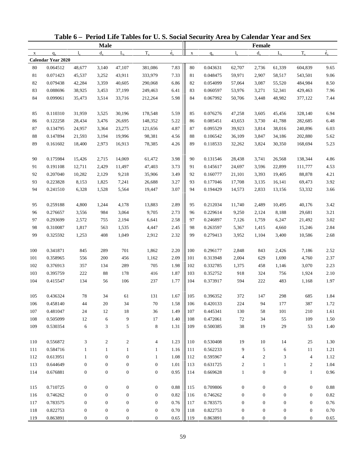|        | Table 6 - Period Life Tables for U.S. Social Security Area by Calendar Year and Sex<br><b>Male</b><br>$T_{x}$<br>$d_{x}$<br>$L_{\rm v}$<br>$l_{\rm x}$<br>$q_{x}$<br>$\mathbf{x}$<br><b>Calendar Year 2020</b><br>0.064512<br>381,086<br>48,677<br>3,140<br>47,107<br>0.071423<br>45,537<br>3,252<br>43,911<br>333,979<br>0.079438<br>42,284<br>3,359<br>40,605<br>290,068<br>0.088696<br>38,925<br>249,463<br>3,453<br>37,199<br>0.099061<br>35,473<br>3,514<br>33,716<br>212,264<br>0.110310<br>178,548<br>31,959<br>3,525<br>30,196<br>0.122258<br>3,476<br>148,352<br>28,434<br>26,695<br>0.134795<br>24,957<br>121,656<br>3,364<br>23,275<br>0.147894<br>98,381<br>21,593<br>3,194<br>19,996<br>0.161602<br>2,973<br>78,385<br>18,400<br>16,913<br>0.175984<br>15,426<br>2,715<br>61,472<br>14,069<br>0.191108<br>12,711<br>2,429<br>11,497<br>47,403<br>0.207040<br>2,129<br>35,906<br>10,282<br>9,218<br>0.223828<br>26,688<br>8,153<br>1,825<br>7,241<br>6,328<br>0.241510<br>1,528<br>5,564<br>19,447<br>0.259188<br>4,800<br>4,178<br>13,883<br>1,244<br>3,064<br>9,705<br>0.276657<br>3,556<br>984<br>0.293699<br>6,641<br>2,572<br>755<br>2,194<br>0.310087<br>1,817<br>4,447<br>563<br>1,535<br>408<br>1,049<br>2,912<br>0.325592<br>1,253<br>0.341871<br>845<br>289<br>701<br>1,862<br>0.358965<br>556<br>200<br>456<br>1,162<br>0.376913<br>357<br>289<br>705<br>134<br>0.395759<br>222<br>88<br>178<br>416<br>134<br>56<br>106<br>237<br>0.415547<br>$78\,$<br>0.436324<br>34<br>61<br>131<br>0.458140<br>20<br>34<br>70<br>44<br>0.481047<br>24<br>12<br>18<br>36<br>9<br>17<br>0.505099<br>12<br>6<br>5<br>8<br>0.530354<br>6<br>3<br>0.556872<br>3<br>$\overline{c}$<br>2<br>4<br>0.584716<br>$\mathbf{1}$<br>1<br>$\mathbf{1}$<br>1<br>0.613951<br>$\mathbf{0}$<br>$\boldsymbol{0}$<br>$\mathbf{1}$<br>1<br>0.644649<br>$\boldsymbol{0}$<br>$\boldsymbol{0}$<br>$\boldsymbol{0}$<br>$\boldsymbol{0}$<br>0.676881<br>$\boldsymbol{0}$<br>$\boldsymbol{0}$<br>$\boldsymbol{0}$<br>$\boldsymbol{0}$<br>0.710725<br>$\boldsymbol{0}$<br>$\boldsymbol{0}$<br>$\boldsymbol{0}$<br>$\boldsymbol{0}$<br>0.746262<br>$\mathbf{0}$<br>$\boldsymbol{0}$<br>$\boldsymbol{0}$<br>$\mathbf{0}$ |                  |                  |                  |                  |                          |             |          |                  |                  |                  |                  |             |
|--------|------------------------------------------------------------------------------------------------------------------------------------------------------------------------------------------------------------------------------------------------------------------------------------------------------------------------------------------------------------------------------------------------------------------------------------------------------------------------------------------------------------------------------------------------------------------------------------------------------------------------------------------------------------------------------------------------------------------------------------------------------------------------------------------------------------------------------------------------------------------------------------------------------------------------------------------------------------------------------------------------------------------------------------------------------------------------------------------------------------------------------------------------------------------------------------------------------------------------------------------------------------------------------------------------------------------------------------------------------------------------------------------------------------------------------------------------------------------------------------------------------------------------------------------------------------------------------------------------------------------------------------------------------------------------------------------------------------------------------------------------------------------------------------------------------------------------------------------------------------------------------------------------------------------------------------------------------------------------------------------------------------------------------------------------------------------------------------------------------------------------------------------------------------------------------------------------------|------------------|------------------|------------------|------------------|--------------------------|-------------|----------|------------------|------------------|------------------|------------------|-------------|
|        |                                                                                                                                                                                                                                                                                                                                                                                                                                                                                                                                                                                                                                                                                                                                                                                                                                                                                                                                                                                                                                                                                                                                                                                                                                                                                                                                                                                                                                                                                                                                                                                                                                                                                                                                                                                                                                                                                                                                                                                                                                                                                                                                                                                                      |                  |                  |                  |                  |                          |             |          |                  | <b>Female</b>    |                  |                  |             |
|        |                                                                                                                                                                                                                                                                                                                                                                                                                                                                                                                                                                                                                                                                                                                                                                                                                                                                                                                                                                                                                                                                                                                                                                                                                                                                                                                                                                                                                                                                                                                                                                                                                                                                                                                                                                                                                                                                                                                                                                                                                                                                                                                                                                                                      |                  |                  |                  |                  | $\overset{\circ}{e}_{x}$ | $\mathbf X$ | $q_{x}$  | $l_{\rm v}$      | $d_{x}$          | $L_{\rm v}$      | $T_{x}$          | $\dot{e}_x$ |
|        |                                                                                                                                                                                                                                                                                                                                                                                                                                                                                                                                                                                                                                                                                                                                                                                                                                                                                                                                                                                                                                                                                                                                                                                                                                                                                                                                                                                                                                                                                                                                                                                                                                                                                                                                                                                                                                                                                                                                                                                                                                                                                                                                                                                                      |                  |                  |                  |                  |                          |             |          |                  |                  |                  |                  |             |
| 80     |                                                                                                                                                                                                                                                                                                                                                                                                                                                                                                                                                                                                                                                                                                                                                                                                                                                                                                                                                                                                                                                                                                                                                                                                                                                                                                                                                                                                                                                                                                                                                                                                                                                                                                                                                                                                                                                                                                                                                                                                                                                                                                                                                                                                      |                  |                  |                  |                  | 7.83                     | 80          | 0.043631 | 62,707           | 2,736            | 61,339           | 604,839          | 9.65        |
| 81     |                                                                                                                                                                                                                                                                                                                                                                                                                                                                                                                                                                                                                                                                                                                                                                                                                                                                                                                                                                                                                                                                                                                                                                                                                                                                                                                                                                                                                                                                                                                                                                                                                                                                                                                                                                                                                                                                                                                                                                                                                                                                                                                                                                                                      |                  |                  |                  |                  | 7.33                     | 81          | 0.048475 | 59,971           | 2,907            | 58,517           | 543,501          | 9.06        |
| 82     |                                                                                                                                                                                                                                                                                                                                                                                                                                                                                                                                                                                                                                                                                                                                                                                                                                                                                                                                                                                                                                                                                                                                                                                                                                                                                                                                                                                                                                                                                                                                                                                                                                                                                                                                                                                                                                                                                                                                                                                                                                                                                                                                                                                                      |                  |                  |                  |                  | 6.86                     | 82          | 0.054099 | 57,064           | 3,087            | 55,520           | 484,984          | 8.50        |
| 83     |                                                                                                                                                                                                                                                                                                                                                                                                                                                                                                                                                                                                                                                                                                                                                                                                                                                                                                                                                                                                                                                                                                                                                                                                                                                                                                                                                                                                                                                                                                                                                                                                                                                                                                                                                                                                                                                                                                                                                                                                                                                                                                                                                                                                      |                  |                  |                  |                  | 6.41                     | 83          | 0.060597 | 53,976           | 3,271            | 52,341           | 429,463          | 7.96        |
| 84     |                                                                                                                                                                                                                                                                                                                                                                                                                                                                                                                                                                                                                                                                                                                                                                                                                                                                                                                                                                                                                                                                                                                                                                                                                                                                                                                                                                                                                                                                                                                                                                                                                                                                                                                                                                                                                                                                                                                                                                                                                                                                                                                                                                                                      |                  |                  |                  |                  | 5.98                     | 84          | 0.067992 | 50,706           | 3,448            | 48,982           | 377,122          | 7.44        |
| 85     |                                                                                                                                                                                                                                                                                                                                                                                                                                                                                                                                                                                                                                                                                                                                                                                                                                                                                                                                                                                                                                                                                                                                                                                                                                                                                                                                                                                                                                                                                                                                                                                                                                                                                                                                                                                                                                                                                                                                                                                                                                                                                                                                                                                                      |                  |                  |                  |                  | 5.59                     | 85          | 0.076276 | 47,258           | 3,605            | 45,456           | 328,140          | 6.94        |
| 86     |                                                                                                                                                                                                                                                                                                                                                                                                                                                                                                                                                                                                                                                                                                                                                                                                                                                                                                                                                                                                                                                                                                                                                                                                                                                                                                                                                                                                                                                                                                                                                                                                                                                                                                                                                                                                                                                                                                                                                                                                                                                                                                                                                                                                      |                  |                  |                  |                  | 5.22                     | 86          | 0.085451 | 43,653           | 3,730            | 41,788           | 282,685          | 6.48        |
| 87     |                                                                                                                                                                                                                                                                                                                                                                                                                                                                                                                                                                                                                                                                                                                                                                                                                                                                                                                                                                                                                                                                                                                                                                                                                                                                                                                                                                                                                                                                                                                                                                                                                                                                                                                                                                                                                                                                                                                                                                                                                                                                                                                                                                                                      |                  |                  |                  |                  | 4.87                     | 87          | 0.095529 | 39,923           | 3,814            | 38,016           | 240,896          | 6.03        |
| $88\,$ |                                                                                                                                                                                                                                                                                                                                                                                                                                                                                                                                                                                                                                                                                                                                                                                                                                                                                                                                                                                                                                                                                                                                                                                                                                                                                                                                                                                                                                                                                                                                                                                                                                                                                                                                                                                                                                                                                                                                                                                                                                                                                                                                                                                                      |                  |                  |                  |                  | 4.56                     | 88          | 0.106542 | 36,109           | 3,847            | 34,186           | 202,880          | 5.62        |
| 89     |                                                                                                                                                                                                                                                                                                                                                                                                                                                                                                                                                                                                                                                                                                                                                                                                                                                                                                                                                                                                                                                                                                                                                                                                                                                                                                                                                                                                                                                                                                                                                                                                                                                                                                                                                                                                                                                                                                                                                                                                                                                                                                                                                                                                      |                  |                  |                  |                  | 4.26                     | 89          | 0.118533 | 32,262           | 3,824            | 30,350           | 168,694          | 5.23        |
| 90     |                                                                                                                                                                                                                                                                                                                                                                                                                                                                                                                                                                                                                                                                                                                                                                                                                                                                                                                                                                                                                                                                                                                                                                                                                                                                                                                                                                                                                                                                                                                                                                                                                                                                                                                                                                                                                                                                                                                                                                                                                                                                                                                                                                                                      |                  |                  |                  |                  | 3.98                     | 90          | 0.131546 | 28,438           | 3,741            | 26,568           | 138,344          | 4.86        |
| 91     |                                                                                                                                                                                                                                                                                                                                                                                                                                                                                                                                                                                                                                                                                                                                                                                                                                                                                                                                                                                                                                                                                                                                                                                                                                                                                                                                                                                                                                                                                                                                                                                                                                                                                                                                                                                                                                                                                                                                                                                                                                                                                                                                                                                                      |                  |                  |                  |                  | 3.73                     | 91          | 0.145617 | 24,697           | 3,596            | 22,899           | 111,777          | 4.53        |
| 92     |                                                                                                                                                                                                                                                                                                                                                                                                                                                                                                                                                                                                                                                                                                                                                                                                                                                                                                                                                                                                                                                                                                                                                                                                                                                                                                                                                                                                                                                                                                                                                                                                                                                                                                                                                                                                                                                                                                                                                                                                                                                                                                                                                                                                      |                  |                  |                  |                  | 3.49                     | 92          | 0.160777 | 21,101           | 3,393            | 19,405           | 88,878           | 4.21        |
| 93     |                                                                                                                                                                                                                                                                                                                                                                                                                                                                                                                                                                                                                                                                                                                                                                                                                                                                                                                                                                                                                                                                                                                                                                                                                                                                                                                                                                                                                                                                                                                                                                                                                                                                                                                                                                                                                                                                                                                                                                                                                                                                                                                                                                                                      |                  |                  |                  |                  | 3.27                     | 93          | 0.177046 | 17,708           | 3,135            | 16,141           | 69,473           | 3.92        |
| 94     |                                                                                                                                                                                                                                                                                                                                                                                                                                                                                                                                                                                                                                                                                                                                                                                                                                                                                                                                                                                                                                                                                                                                                                                                                                                                                                                                                                                                                                                                                                                                                                                                                                                                                                                                                                                                                                                                                                                                                                                                                                                                                                                                                                                                      |                  |                  |                  |                  | 3.07                     | 94          | 0.194429 | 14,573           | 2,833            | 13,156           | 53,332           | 3.66        |
| 95     |                                                                                                                                                                                                                                                                                                                                                                                                                                                                                                                                                                                                                                                                                                                                                                                                                                                                                                                                                                                                                                                                                                                                                                                                                                                                                                                                                                                                                                                                                                                                                                                                                                                                                                                                                                                                                                                                                                                                                                                                                                                                                                                                                                                                      |                  |                  |                  |                  | 2.89                     | 95          | 0.212034 | 11,740           | 2,489            | 10,495           | 40,176           | 3.42        |
| 96     |                                                                                                                                                                                                                                                                                                                                                                                                                                                                                                                                                                                                                                                                                                                                                                                                                                                                                                                                                                                                                                                                                                                                                                                                                                                                                                                                                                                                                                                                                                                                                                                                                                                                                                                                                                                                                                                                                                                                                                                                                                                                                                                                                                                                      |                  |                  |                  |                  | 2.73                     | 96          | 0.229614 | 9,250            | 2,124            | 8,188            | 29,681           | 3.21        |
| 97     |                                                                                                                                                                                                                                                                                                                                                                                                                                                                                                                                                                                                                                                                                                                                                                                                                                                                                                                                                                                                                                                                                                                                                                                                                                                                                                                                                                                                                                                                                                                                                                                                                                                                                                                                                                                                                                                                                                                                                                                                                                                                                                                                                                                                      |                  |                  |                  |                  | 2.58                     | 97          | 0.246897 | 7,126            | 1,759            | 6,247            | 21,492           | 3.02        |
| 98     |                                                                                                                                                                                                                                                                                                                                                                                                                                                                                                                                                                                                                                                                                                                                                                                                                                                                                                                                                                                                                                                                                                                                                                                                                                                                                                                                                                                                                                                                                                                                                                                                                                                                                                                                                                                                                                                                                                                                                                                                                                                                                                                                                                                                      |                  |                  |                  |                  | 2.45                     | 98          | 0.263597 | 5,367            | 1,415            | 4,660            | 15,246           | 2.84        |
| 99     |                                                                                                                                                                                                                                                                                                                                                                                                                                                                                                                                                                                                                                                                                                                                                                                                                                                                                                                                                                                                                                                                                                                                                                                                                                                                                                                                                                                                                                                                                                                                                                                                                                                                                                                                                                                                                                                                                                                                                                                                                                                                                                                                                                                                      |                  |                  |                  |                  | 2.32                     | 99          | 0.279413 | 3,952            | 1,104            | 3,400            | 10,586           | 2.68        |
| 100    |                                                                                                                                                                                                                                                                                                                                                                                                                                                                                                                                                                                                                                                                                                                                                                                                                                                                                                                                                                                                                                                                                                                                                                                                                                                                                                                                                                                                                                                                                                                                                                                                                                                                                                                                                                                                                                                                                                                                                                                                                                                                                                                                                                                                      |                  |                  |                  |                  | 2.20                     | 100         | 0.296177 | 2,848            | 843              | 2,426            | 7,186            | 2.52        |
| 101    |                                                                                                                                                                                                                                                                                                                                                                                                                                                                                                                                                                                                                                                                                                                                                                                                                                                                                                                                                                                                                                                                                                                                                                                                                                                                                                                                                                                                                                                                                                                                                                                                                                                                                                                                                                                                                                                                                                                                                                                                                                                                                                                                                                                                      |                  |                  |                  |                  | 2.09                     | 101         | 0.313948 | 2,004            | 629              | 1,690            | 4,760            | 2.37        |
| 102    |                                                                                                                                                                                                                                                                                                                                                                                                                                                                                                                                                                                                                                                                                                                                                                                                                                                                                                                                                                                                                                                                                                                                                                                                                                                                                                                                                                                                                                                                                                                                                                                                                                                                                                                                                                                                                                                                                                                                                                                                                                                                                                                                                                                                      |                  |                  |                  |                  | 1.98                     | 102         | 0.332785 | 1,375            | 458              | 1,146            | 3,070            | 2.23        |
| 103    |                                                                                                                                                                                                                                                                                                                                                                                                                                                                                                                                                                                                                                                                                                                                                                                                                                                                                                                                                                                                                                                                                                                                                                                                                                                                                                                                                                                                                                                                                                                                                                                                                                                                                                                                                                                                                                                                                                                                                                                                                                                                                                                                                                                                      |                  |                  |                  |                  | 1.87                     | 103         | 0.352752 | 918              | 324              | 756              | 1,924            | 2.10        |
| 104    |                                                                                                                                                                                                                                                                                                                                                                                                                                                                                                                                                                                                                                                                                                                                                                                                                                                                                                                                                                                                                                                                                                                                                                                                                                                                                                                                                                                                                                                                                                                                                                                                                                                                                                                                                                                                                                                                                                                                                                                                                                                                                                                                                                                                      |                  |                  |                  |                  | 1.77                     | 104         | 0.373917 | 594              | 222              | 483              | 1,168            | 1.97        |
| 105    |                                                                                                                                                                                                                                                                                                                                                                                                                                                                                                                                                                                                                                                                                                                                                                                                                                                                                                                                                                                                                                                                                                                                                                                                                                                                                                                                                                                                                                                                                                                                                                                                                                                                                                                                                                                                                                                                                                                                                                                                                                                                                                                                                                                                      |                  |                  |                  |                  | 1.67                     | 105         | 0.396352 | 372              | 147              | 298              | 685              | 1.84        |
| 106    |                                                                                                                                                                                                                                                                                                                                                                                                                                                                                                                                                                                                                                                                                                                                                                                                                                                                                                                                                                                                                                                                                                                                                                                                                                                                                                                                                                                                                                                                                                                                                                                                                                                                                                                                                                                                                                                                                                                                                                                                                                                                                                                                                                                                      |                  |                  |                  |                  | 1.58                     | 106         | 0.420133 | 224              | 94               | 177              | 387              | 1.72        |
| 107    |                                                                                                                                                                                                                                                                                                                                                                                                                                                                                                                                                                                                                                                                                                                                                                                                                                                                                                                                                                                                                                                                                                                                                                                                                                                                                                                                                                                                                                                                                                                                                                                                                                                                                                                                                                                                                                                                                                                                                                                                                                                                                                                                                                                                      |                  |                  |                  |                  | 1.49                     | 107         | 0.445341 | 130              | 58               | 101              | 210              | 1.61        |
| 108    |                                                                                                                                                                                                                                                                                                                                                                                                                                                                                                                                                                                                                                                                                                                                                                                                                                                                                                                                                                                                                                                                                                                                                                                                                                                                                                                                                                                                                                                                                                                                                                                                                                                                                                                                                                                                                                                                                                                                                                                                                                                                                                                                                                                                      |                  |                  |                  |                  | 1.40                     | 108         | 0.472061 | 72               | 34               | 55               | 109              | 1.50        |
| 109    |                                                                                                                                                                                                                                                                                                                                                                                                                                                                                                                                                                                                                                                                                                                                                                                                                                                                                                                                                                                                                                                                                                                                                                                                                                                                                                                                                                                                                                                                                                                                                                                                                                                                                                                                                                                                                                                                                                                                                                                                                                                                                                                                                                                                      |                  |                  |                  |                  | 1.31                     | 109         | 0.500385 | 38               | 19               | 29               | 53               | 1.40        |
| 110    |                                                                                                                                                                                                                                                                                                                                                                                                                                                                                                                                                                                                                                                                                                                                                                                                                                                                                                                                                                                                                                                                                                                                                                                                                                                                                                                                                                                                                                                                                                                                                                                                                                                                                                                                                                                                                                                                                                                                                                                                                                                                                                                                                                                                      |                  |                  |                  |                  | 1.23                     | 110         | 0.530408 | 19               | 10               | 14               | 25               | 1.30        |
| 111    |                                                                                                                                                                                                                                                                                                                                                                                                                                                                                                                                                                                                                                                                                                                                                                                                                                                                                                                                                                                                                                                                                                                                                                                                                                                                                                                                                                                                                                                                                                                                                                                                                                                                                                                                                                                                                                                                                                                                                                                                                                                                                                                                                                                                      |                  |                  |                  |                  | 1.16                     | 111         | 0.562233 | 9                | 5                | 6                | 11               | 1.21        |
| 112    |                                                                                                                                                                                                                                                                                                                                                                                                                                                                                                                                                                                                                                                                                                                                                                                                                                                                                                                                                                                                                                                                                                                                                                                                                                                                                                                                                                                                                                                                                                                                                                                                                                                                                                                                                                                                                                                                                                                                                                                                                                                                                                                                                                                                      |                  |                  |                  |                  | 1.08                     | 112         | 0.595967 | 4                | 2                | 3                | $\overline{4}$   | 1.12        |
| 113    |                                                                                                                                                                                                                                                                                                                                                                                                                                                                                                                                                                                                                                                                                                                                                                                                                                                                                                                                                                                                                                                                                                                                                                                                                                                                                                                                                                                                                                                                                                                                                                                                                                                                                                                                                                                                                                                                                                                                                                                                                                                                                                                                                                                                      |                  |                  |                  |                  | 1.01                     | 113         | 0.631725 | $\overline{c}$   | $\mathbf{1}$     | $\mathbf{1}$     | $\boldsymbol{2}$ | 1.04        |
| 114    |                                                                                                                                                                                                                                                                                                                                                                                                                                                                                                                                                                                                                                                                                                                                                                                                                                                                                                                                                                                                                                                                                                                                                                                                                                                                                                                                                                                                                                                                                                                                                                                                                                                                                                                                                                                                                                                                                                                                                                                                                                                                                                                                                                                                      |                  |                  |                  |                  | 0.95                     | 114         | 0.669628 | $\mathbf{1}$     | $\boldsymbol{0}$ | $\boldsymbol{0}$ | $\mathbf{1}$     | 0.96        |
|        |                                                                                                                                                                                                                                                                                                                                                                                                                                                                                                                                                                                                                                                                                                                                                                                                                                                                                                                                                                                                                                                                                                                                                                                                                                                                                                                                                                                                                                                                                                                                                                                                                                                                                                                                                                                                                                                                                                                                                                                                                                                                                                                                                                                                      |                  |                  |                  |                  |                          |             |          |                  |                  |                  |                  |             |
| 115    |                                                                                                                                                                                                                                                                                                                                                                                                                                                                                                                                                                                                                                                                                                                                                                                                                                                                                                                                                                                                                                                                                                                                                                                                                                                                                                                                                                                                                                                                                                                                                                                                                                                                                                                                                                                                                                                                                                                                                                                                                                                                                                                                                                                                      |                  |                  |                  |                  | 0.88                     | 115         | 0.709806 | $\boldsymbol{0}$ | $\boldsymbol{0}$ | $\boldsymbol{0}$ | $\boldsymbol{0}$ | 0.88        |
| 116    |                                                                                                                                                                                                                                                                                                                                                                                                                                                                                                                                                                                                                                                                                                                                                                                                                                                                                                                                                                                                                                                                                                                                                                                                                                                                                                                                                                                                                                                                                                                                                                                                                                                                                                                                                                                                                                                                                                                                                                                                                                                                                                                                                                                                      |                  |                  |                  |                  | 0.82                     | 116         | 0.746262 | $\boldsymbol{0}$ | $\mathbf{0}$     | $\boldsymbol{0}$ | $\boldsymbol{0}$ | 0.82        |
| 117    | 0.783575                                                                                                                                                                                                                                                                                                                                                                                                                                                                                                                                                                                                                                                                                                                                                                                                                                                                                                                                                                                                                                                                                                                                                                                                                                                                                                                                                                                                                                                                                                                                                                                                                                                                                                                                                                                                                                                                                                                                                                                                                                                                                                                                                                                             | $\boldsymbol{0}$ | $\mathbf{0}$     | 0                | $\boldsymbol{0}$ | 0.76                     | 117         | 0.783575 | $\boldsymbol{0}$ | $\boldsymbol{0}$ | $\boldsymbol{0}$ | $\boldsymbol{0}$ | $0.76\,$    |
| 118    | 0.822753                                                                                                                                                                                                                                                                                                                                                                                                                                                                                                                                                                                                                                                                                                                                                                                                                                                                                                                                                                                                                                                                                                                                                                                                                                                                                                                                                                                                                                                                                                                                                                                                                                                                                                                                                                                                                                                                                                                                                                                                                                                                                                                                                                                             | $\boldsymbol{0}$ | $\boldsymbol{0}$ | $\boldsymbol{0}$ | $\boldsymbol{0}$ | 0.70                     | 118         | 0.822753 | $\boldsymbol{0}$ | $\boldsymbol{0}$ | $\boldsymbol{0}$ | $\boldsymbol{0}$ | 0.70        |
| 119    | 0.863891                                                                                                                                                                                                                                                                                                                                                                                                                                                                                                                                                                                                                                                                                                                                                                                                                                                                                                                                                                                                                                                                                                                                                                                                                                                                                                                                                                                                                                                                                                                                                                                                                                                                                                                                                                                                                                                                                                                                                                                                                                                                                                                                                                                             | $\boldsymbol{0}$ | $\boldsymbol{0}$ | $\boldsymbol{0}$ | $\boldsymbol{0}$ | $0.65\,$                 | 119         | 0.863891 | $\boldsymbol{0}$ | $\boldsymbol{0}$ | $\boldsymbol{0}$ | $\boldsymbol{0}$ | 0.65        |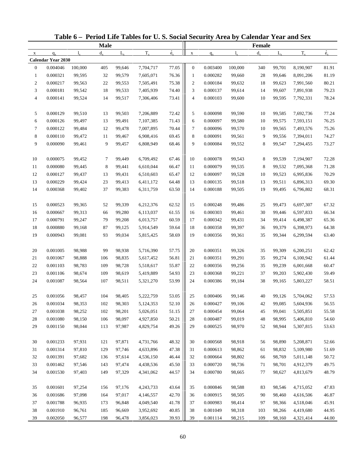|                |                           |         |             |             | Table 6 - Period Life Tables for U.S. Social Security Area by Calendar Year and Sex |             |                  |          |             |         |             |           |             |
|----------------|---------------------------|---------|-------------|-------------|-------------------------------------------------------------------------------------|-------------|------------------|----------|-------------|---------|-------------|-----------|-------------|
|                |                           |         | <b>Male</b> |             |                                                                                     |             |                  |          |             | Female  |             |           |             |
| $\mathbf X$    | $q_{x}$                   | 1.      | $d_{\rm v}$ | $L_{\rm v}$ | $T_{x}$                                                                             | $\dot{e}_x$ | $\mathbf X$      | $q_{x}$  | $1_{\rm v}$ | $d_{x}$ | $L_{\rm v}$ | $T_{x}$   | $\dot{e}_x$ |
|                | <b>Calendar Year 2030</b> |         |             |             |                                                                                     |             |                  |          |             |         |             |           |             |
| $\mathbf{0}$   | 0.004046                  | 100,000 | 405         | 99,646      | 7,704,717                                                                           | 77.05       | $\boldsymbol{0}$ | 0.003400 | 100,000     | 340     | 99,701      | 8,190,907 | 81.91       |
| $\mathbf{1}$   | 0.000321                  | 99,595  | 32          | 99,579      | 7,605,071                                                                           | 76.36       | $\mathbf{1}$     | 0.000282 | 99,660      | 28      | 99,646      | 8,091,206 | 81.19       |
| $\overline{c}$ | 0.000217                  | 99,563  | 22          | 99,553      | 7,505,491                                                                           | 75.38       | $\boldsymbol{2}$ | 0.000184 | 99,632      | 18      | 99,623      | 7,991,560 | 80.21       |
| 3              | 0.000181                  | 99,542  | 18          | 99,533      | 7,405,939                                                                           | 74.40       | 3                | 0.000137 | 99,614      | 14      | 99,607      | 7,891,938 | 79.23       |
| $\overline{4}$ | 0.000141                  | 99,524  | 14          | 99,517      | 7,306,406                                                                           | 73.41       | $\overline{4}$   | 0.000103 | 99,600      | 10      | 99,595      | 7,792,331 | 78.24       |
| 5              | 0.000129                  | 99,510  | 13          | 99,503      | 7,206,889                                                                           | 72.42       | 5                | 0.000098 | 99,590      | 10      | 99,585      | 7,692,736 | 77.24       |
| 6              | 0.000126                  | 99,497  | 13          | 99,491      | 7,107,385                                                                           | 71.43       | 6                | 0.000097 | 99,580      | 10      | 99,575      | 7,593,151 | 76.25       |
| 7              | 0.000122                  | 99,484  | 12          | 99,478      | 7,007,895                                                                           | 70.44       | 7                | 0.000096 | 99,570      | 10      | 99,565      | 7,493,576 | 75.26       |
| $\,8\,$        | 0.000110                  | 99,472  | 11          | 99,467      | 6,908,416                                                                           | 69.45       | 8                | 0.000091 | 99,561      | 9       | 99,556      | 7,394,011 | 74.27       |
| 9              | 0.000090                  | 99,461  | 9           | 99,457      | 6,808,949                                                                           | 68.46       | 9                | 0.000084 | 99,552      | 8       | 99,547      | 7,294,455 | 73.27       |
| 10             | 0.000075                  | 99,452  | 7           | 99,449      | 6,709,492                                                                           | 67.46       | 10               | 0.000078 | 99,543      | 8       | 99,539      | 7,194,907 | 72.28       |
| 11             | 0.000080                  | 99,445  | 8           | 99,441      | 6,610,044                                                                           | 66.47       | 11               | 0.000079 | 99,535      | 8       | 99,532      | 7,095,368 | 71.28       |
| 12             | 0.000127                  | 99,437  | 13          | 99,431      | 6,510,603                                                                           | 65.47       | 12               | 0.000097 | 99,528      | 10      | 99,523      | 6,995,836 | 70.29       |
| 13             | 0.000229                  | 99,424  | 23          | 99,413      | 6,411,172                                                                           | 64.48       | 13               | 0.000135 | 99,518      | 13      | 99,511      | 6,896,313 | 69.30       |
| 14             | 0.000368                  | 99,402  | 37          | 99,383      | 6,311,759                                                                           | 63.50       | 14               | 0.000188 | 99,505      | 19      | 99,495      | 6,796,802 | 68.31       |
| 15             | 0.000523                  | 99,365  | 52          | 99,339      | 6,212,376                                                                           | 62.52       | 15               | 0.000248 | 99,486      | 25      | 99,473      | 6,697,307 | 67.32       |
| 16             | 0.000667                  | 99,313  | 66          | 99,280      | 6,113,037                                                                           | 61.55       | 16               | 0.000303 | 99,461      | 30      | 99,446      | 6,597,833 | 66.34       |
| 17             | 0.000791                  | 99,247  | 79          | 99,208      | 6,013,757                                                                           | 60.59       | 17               | 0.000342 | 99,431      | 34      | 99,414      | 6,498,387 | 65.36       |
| 18             | 0.000880                  | 99,168  | 87          | 99,125      | 5,914,549                                                                           | 59.64       | 18               | 0.000358 | 99,397      | 36      | 99,379      | 6,398,973 | 64.38       |
| 19             | 0.000943                  | 99,081  | 93          | 99,034      | 5,815,425                                                                           | 58.69       | 19               | 0.000356 | 99,361      | 35      | 99,344      | 6,299,594 | 63.40       |
| 20             | 0.001005                  | 98,988  | 99          | 98,938      | 5,716,390                                                                           | 57.75       | 20               | 0.000351 | 99,326      | 35      | 99,309      | 6,200,251 | 62.42       |
| 21             | 0.001067                  | 98,888  | 106         | 98,835      | 5,617,452                                                                           | 56.81       | 21               | 0.000351 | 99,291      | 35      | 99,274      | 6,100,942 | 61.44       |
| 22             | 0.001103                  | 98,783  | 109         | 98,728      | 5,518,617                                                                           | 55.87       | 22               | 0.000356 | 99,256      | 35      | 99,239      | 6,001,668 | 60.47       |
| 23             | 0.001106                  | 98,674  | 109         | 98,619      | 5,419,889                                                                           | 54.93       | 23               | 0.000368 | 99,221      | 37      | 99,203      | 5,902,430 | 59.49       |
| 24             | 0.001087                  | 98,564  | 107         | 98,511      | 5,321,270                                                                           | 53.99       | 24               | 0.000386 | 99,184      | 38      | 99,165      | 5,803,227 | 58.51       |
| 25             | 0.001056                  | 98,457  | 104         | 98,405      | 5,222,759                                                                           | 53.05       | 25               | 0.000406 | 99,146      | 40      | 99,126      | 5,704,062 | 57.53       |
| 26             | 0.001034                  | 98,353  | 102         | 98,303      | 5,124,353                                                                           | 52.10       | 26               | 0.000427 | 99,106      | 42      | 99,085      | 5,604,936 | 56.55       |
| 27             | 0.001038                  | 98,252  | 102         | 98,201      | 5,026,051                                                                           | 51.15       | 27               | 0.000454 | 99,064      | 45      | 99,041      | 5,505,851 | 55.58       |
| 28             | 0.001080                  | 98,150  | 106         | 98,097      | 4,927,850                                                                           | 50.21       | 28               | 0.000487 | 99,019      | 48      | 98,995      | 5,406,810 | 54.60       |
| 29             | 0.001150                  | 98,044  | 113         | 97,987      | 4,829,754                                                                           | 49.26       | 29               | 0.000525 | 98,970      | 52      | 98,944      | 5,307,815 | 53.63       |
| 30             | 0.001233                  | 97,931  | 121         | 97,871      | 4,731,766                                                                           | 48.32       | 30               | 0.000568 | 98,918      | 56      | 98,890      | 5,208,871 | 52.66       |
| 31             | 0.001314                  | 97,810  | 129         | 97,746      | 4,633,896                                                                           | 47.38       | 31               | 0.000613 | 98,862      | 61      | 98,832      | 5,109,980 | 51.69       |
| 32             | 0.001391                  | 97,682  | 136         | 97,614      | 4,536,150                                                                           | 46.44       | 32               | 0.000664 | 98,802      | 66      | 98,769      | 5,011,148 | 50.72       |
| 33             | 0.001462                  | 97,546  | 143         | 97,474      | 4,438,536                                                                           | 45.50       | 33               | 0.000720 | 98,736      | 71      | 98,701      | 4,912,379 | 49.75       |
| 34             | 0.001530                  | 97,403  | 149         |             |                                                                                     | 44.57       |                  | 0.000780 |             |         |             |           |             |
|                |                           |         |             | 97,329      | 4,341,062                                                                           |             | 34               |          | 98,665      | 77      | 98,627      | 4,813,679 | 48.79       |
| 35             | 0.001601                  | 97,254  | 156         | 97,176      | 4,243,733                                                                           | 43.64       | 35               | 0.000846 | 98,588      | 83      | 98,546      | 4,715,052 | 47.83       |
| 36             | 0.001686                  | 97,098  | 164         | 97,017      | 4,146,557                                                                           | 42.70       | 36               | 0.000915 | 98,505      | 90      | 98,460      | 4,616,506 | 46.87       |
| 37             | 0.001788                  | 96,935  | 173         | 96,848      | 4,049,540                                                                           | 41.78       | 37               | 0.000983 | 98,414      | 97      | 98,366      | 4,518,046 | 45.91       |
| 38             | 0.001910                  | 96,761  | 185         | 96,669      | 3,952,692                                                                           | 40.85       | 38               | 0.001049 | 98,318      | 103     | 98,266      | 4,419,680 | 44.95       |
| 39             | 0.002050                  | 96,577  | 198         | 96,478      | 3,856,023                                                                           | 39.93       | 39               | 0.001114 | 98,215      | 109     | 98,160      | 4,321,414 | 44.00       |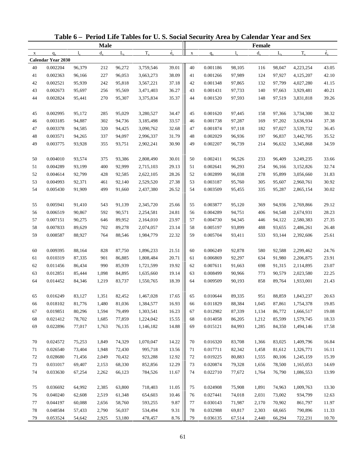|             |                           |        |             |             | Table 6 - Period Life Tables for U.S. Social Security Area by Calendar Year and Sex |                          |             |          |             |               |             |           |             |
|-------------|---------------------------|--------|-------------|-------------|-------------------------------------------------------------------------------------|--------------------------|-------------|----------|-------------|---------------|-------------|-----------|-------------|
|             |                           |        | <b>Male</b> |             |                                                                                     |                          |             |          |             | <b>Female</b> |             |           |             |
| $\mathbf X$ | $q_{x}$                   | 1.     | $d_{\rm v}$ | $L_{\rm v}$ | $T_{x}$                                                                             | $\overset{\circ}{e}_{x}$ | $\mathbf X$ | $q_{x}$  | $l_{\rm v}$ | $d_{\rm v}$   | $L_{\rm v}$ | $T_{x}$   | $\dot{e}_x$ |
|             | <b>Calendar Year 2030</b> |        |             |             |                                                                                     |                          |             |          |             |               |             |           |             |
| 40          | 0.002204                  | 96,379 | 212         | 96,272      | 3,759,546                                                                           | 39.01                    | 40          | 0.001186 | 98,105      | 116           | 98,047      | 4,223,254 | 43.05       |
| 41          | 0.002363                  | 96,166 | 227         | 96,053      | 3,663,273                                                                           | 38.09                    | 41          | 0.001266 | 97,989      | 124           | 97,927      | 4,125,207 | 42.10       |
| 42          | 0.002521                  | 95,939 | 242         | 95,818      | 3,567,221                                                                           | 37.18                    | 42          | 0.001348 | 97,865      | 132           | 97,799      | 4,027,280 | 41.15       |
| 43          | 0.002673                  | 95,697 | 256         | 95,569      | 3,471,403                                                                           | 36.27                    | 43          | 0.001431 | 97,733      | 140           | 97,663      | 3,929,481 | 40.21       |
| 44          | 0.002824                  | 95,441 | 270         | 95,307      | 3,375,834                                                                           | 35.37                    | 44          | 0.001520 | 97,593      | 148           | 97,519      | 3,831,818 | 39.26       |
| 45          | 0.002995                  | 95,172 | 285         | 95,029      | 3,280,527                                                                           | 34.47                    | 45          | 0.001620 | 97,445      | 158           | 97,366      | 3,734,300 | 38.32       |
| 46          | 0.003185                  | 94,887 | 302         | 94,736      | 3,185,498                                                                           | 33.57                    | 46          | 0.001738 | 97,287      | 169           | 97,202      | 3,636,934 | 37.38       |
| 47          | 0.003378                  | 94,585 | 320         | 94,425      | 3,090,762                                                                           | 32.68                    | 47          | 0.001874 | 97,118      | 182           | 97,027      | 3,539,732 | 36.45       |
| 48          | 0.003571                  | 94,265 | 337         | 94,097      | 2,996,337                                                                           | 31.79                    | 48          | 0.002029 | 96,936      | 197           | 96,837      | 3,442,705 | 35.52       |
| 49          | 0.003775                  | 93,928 | 355         | 93,751      | 2,902,241                                                                           | 30.90                    | 49          | 0.002207 | 96,739      | 214           | 96,632      | 3,345,868 | 34.59       |
| 50          | 0.004010                  | 93,574 | 375         | 93,386      | 2,808,490                                                                           | 30.01                    | 50          | 0.002411 | 96,526      | 233           | 96,409      | 3,249,235 | 33.66       |
| 51          | 0.004289                  | 93,199 | 400         | 92,999      | 2,715,103                                                                           | 29.13                    | 51          | 0.002641 | 96,293      | 254           | 96,166      | 3,152,826 | 32.74       |
| 52          | 0.004614                  | 92,799 | 428         | 92,585      | 2,622,105                                                                           | 28.26                    | 52          | 0.002899 | 96,038      | 278           | 95,899      | 3,056,660 | 31.83       |
| 53          | 0.004993                  | 92,371 | 461         | 92,140      | 2,529,520                                                                           | 27.38                    | 53          | 0.003187 | 95,760      | 305           | 95,607      | 2,960,761 | 30.92       |
| 54          | 0.005430                  | 91,909 | 499         | 91,660      | 2,437,380                                                                           | 26.52                    | 54          | 0.003509 | 95,455      | 335           | 95,287      | 2,865,154 | 30.02       |
| 55          | 0.005941                  | 91,410 | 543         | 91,139      | 2,345,720                                                                           | 25.66                    | 55          | 0.003877 | 95,120      | 369           | 94,936      | 2,769,866 | 29.12       |
| 56          | 0.006519                  | 90,867 | 592         | 90,571      | 2,254,581                                                                           | 24.81                    | 56          | 0.004289 | 94,751      | 406           | 94,548      | 2,674,931 | 28.23       |
| 57          | 0.007151                  | 90,275 | 646         | 89,952      | 2,164,010                                                                           | 23.97                    | 57          | 0.004730 | 94,345      | 446           | 94,122      | 2,580,383 | 27.35       |
| 58          | 0.007833                  | 89,629 | 702         | 89,278      | 2,074,057                                                                           | 23.14                    | 58          | 0.005197 | 93,899      | 488           | 93,655      | 2,486,261 | 26.48       |
| 59          | 0.008587                  | 88,927 | 764         | 88,546      | 1,984,779                                                                           | 22.32                    | 59          | 0.005704 | 93,411      | 533           | 93,144      | 2,392,606 | 25.61       |
|             |                           |        |             |             |                                                                                     |                          |             |          |             |               |             |           |             |
| 60          | 0.009395                  | 88,164 | 828         | 87,750      | 1,896,233                                                                           | 21.51                    | 60          | 0.006249 | 92,878      | 580           | 92,588      | 2,299,462 | 24.76       |
| 61          | 0.010319                  | 87,335 | 901         | 86,885      | 1,808,484                                                                           | 20.71                    | 61          | 0.006869 | 92,297      | 634           | 91,980      | 2,206,875 | 23.91       |
| 62          | 0.011456                  | 86,434 | 990         | 85,939      | 1,721,599                                                                           | 19.92                    | 62          | 0.007611 | 91,663      | 698           | 91,315      | 2,114,895 | 23.07       |
| 63          | 0.012851                  | 85,444 | 1,098       | 84,895      | 1,635,660                                                                           | 19.14                    | 63          | 0.008499 | 90,966      | 773           | 90,579      | 2,023,580 | 22.25       |
| 64          | 0.014452                  | 84,346 | 1,219       | 83,737      | 1,550,765                                                                           | 18.39                    | 64          | 0.009509 | 90,193      | 858           | 89,764      | 1,933,001 | 21.43       |
| 65          | 0.016249                  | 83,127 | 1,351       | 82,452      | 1,467,028                                                                           | 17.65                    | 65          | 0.010644 | 89,335      | 951           | 88,859      | 1,843,237 | 20.63       |
| 66          | 0.018102                  | 81,776 | 1,480       | 81,036      | 1,384,577                                                                           | 16.93                    | 66          | 0.011829 | 88,384      | 1,045         | 87,861      | 1,754,378 | 19.85       |
| 67          | 0.019851                  | 80,296 | 1,594       | 79,499      | 1,303,541                                                                           | 16.23                    | 67          | 0.012982 | 87,339      | 1,134         | 86,772      | 1,666,517 | 19.08       |
| 68          | 0.021412                  | 78,702 | 1,685       | 77,859      | 1,224,042                                                                           | 15.55                    | 68          | 0.014058 | 86,205      | 1,212         | 85,599      | 1,579,745 | 18.33       |
| 69          | 0.022896                  | 77,017 | 1,763       | 76,135      | 1,146,182                                                                           | 14.88                    | 69          | 0.015121 | 84,993      | 1,285         | 84,350      | 1,494,146 | 17.58       |
| 70          | 0.024572                  | 75,253 | 1,849       | 74,329      | 1,070,047                                                                           | 14.22                    | 70          | 0.016320 | 83,708      | 1,366         | 83,025      | 1,409,796 | 16.84       |
| 71          | 0.026540                  | 73,404 | 1,948       | 72,430      | 995,718                                                                             | 13.56                    | 71          | 0.017711 | 82,342      | 1,458         | 81,612      | 1,326,771 | 16.11       |
| 72          | 0.028680                  | 71,456 | 2,049       | 70,432      | 923,288                                                                             | 12.92                    | 72          | 0.019225 | 80,883      | 1,555         | 80,106      | 1,245,159 | 15.39       |
| 73          | 0.031017                  | 69,407 | 2,153       | 68,330      | 852,856                                                                             | 12.29                    | 73          | 0.020874 | 79,328      | 1,656         | 78,500      | 1,165,053 | 14.69       |
| 74          | 0.033630                  | 67,254 | 2,262       | 66,123      | 784,526                                                                             | 11.67                    | 74          | 0.022710 | 77,672      | 1,764         | 76,790      | 1,086,553 | 13.99       |
| 75          | 0.036692                  | 64,992 | 2,385       | 63,800      | 718,403                                                                             | 11.05                    | 75          | 0.024908 | 75,908      | 1,891         | 74,963      | 1,009,763 | 13.30       |
| 76          | 0.040240                  | 62,608 | 2,519       | 61,348      | 654,603                                                                             | 10.46                    | 76          | 0.027441 | 74,018      | 2,031         | 73,002      | 934,799   | 12.63       |
| 77          | 0.044197                  | 60,088 | 2,656       | 58,760      | 593,255                                                                             | 9.87                     | 77          | 0.030143 | 71,987      | 2,170         | 70,902      | 861,797   | 11.97       |
| 78          | 0.048584                  | 57,433 | 2,790       | 56,037      | 534,494                                                                             | 9.31                     | 78          | 0.032988 | 69,817      | 2,303         | 68,665      | 790,896   | 11.33       |
| 79          | 0.053524                  | 54,642 | 2,925       | 53,180      | 478,457                                                                             | 8.76                     | 79          | 0.036135 | 67,514      | 2,440         | 66,294      | 722,231   | 10.70       |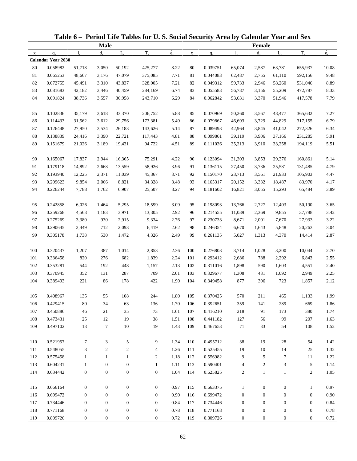| <b>Male</b><br><b>Female</b><br>$\overset{\circ}{e}_{x}$<br>$\dot{e}_x$<br>$T_{x}$<br>$T_{x}$<br>$d_{\rm v}$<br>$L_{\rm v}$<br>$d_{x}$<br>$L_{\rm v}$<br>$l_{\rm x}$<br>$l_{\rm v}$<br>$q_{x}$<br>$\mathbf X$<br>$\mathbf{x}$<br>$q_{x}$<br><b>Calendar Year 2030</b><br>0.058982<br>8.22<br>0.039751<br>80<br>51,718<br>3,050<br>50,192<br>425,277<br>80<br>65,074<br>2,587<br>63,781<br>655,937<br>10.08<br>7.71<br>9.48<br>81<br>0.065253<br>48,667<br>3,176<br>47,079<br>375,085<br>81<br>0.044083<br>62,487<br>2,755<br>61,110<br>592,156<br>0.072755<br>7.21<br>$82\,$<br>0.049312<br>8.89<br>82<br>45,491<br>3,310<br>43,837<br>328,005<br>59,733<br>2,946<br>58,260<br>531,046<br>83<br>0.081683<br>42,182<br>284,169<br>6.74<br>83<br>0.055583<br>8.33<br>3,446<br>40,459<br>56,787<br>3,156<br>55,209<br>472,787<br>84<br>0.091824<br>38,736<br>243,710<br>6.29<br>84<br>0.062842<br>3,370<br>7.79<br>3,557<br>36,958<br>53,631<br>51,946<br>417,578<br>5.88<br>0.102836<br>3,618<br>0.070969<br>7.27<br>85<br>35,179<br>33,370<br>206,752<br>85<br>50,260<br>3,567<br>48,477<br>365,632<br>5.49<br>86<br>0.114433<br>3,612<br>173,381<br>86<br>0.079867<br>6.79<br>31,562<br>29,756<br>46,693<br>3,729<br>44,829<br>317,155<br>87<br>0.126448<br>27,950<br>26,183<br>143,626<br>5.14<br>87<br>0.089493<br>42,964<br>3,845<br>272,326<br>6.34<br>3,534<br>41,042<br>$88\,$<br>0.138839<br>24,416<br>4.81<br>0.099861<br>5.91<br>3,390<br>22,721<br>117,443<br>88<br>39,119<br>3,906<br>37,166<br>231,285<br>89<br>0.151679<br>21,026<br>94,722<br>4.51<br>89<br>35,213<br>5.51<br>3,189<br>19,431<br>0.111036<br>3,910<br>33,258<br>194,119<br>0.165067<br>17,837<br>2,944<br>75,291<br>4.22<br>0.123094<br>31,303<br>3,853<br>160,861<br>5.14<br>90<br>16,365<br>90<br>29,376<br>3.96<br>91<br>0.179118<br>91<br>4.79<br>14,892<br>2,668<br>13,559<br>58,926<br>0.136115<br>27,450<br>3,736<br>25,581<br>131,485<br>92<br>0.193940<br>45,367<br>3.71<br>92<br>0.150170<br>4.47<br>12,225<br>2,371<br>11,039<br>23,713<br>3,561<br>21,933<br>105,903<br>3.48<br>93<br>0.209623<br>9,854<br>34,328<br>93<br>0.165317<br>83,970<br>4.17<br>2,066<br>8,821<br>20,152<br>3,332<br>18,487<br>94<br>7,788<br>6,907<br>3.27<br>94<br>0.181602<br>3.89<br>0.226244<br>1,762<br>25,507<br>16,821<br>3,055<br>15,293<br>65,484<br>0.242858<br>3.09<br>6,026<br>1,464<br>5,295<br>18,599<br>95<br>0.198093<br>13,766<br>2,727<br>50,190<br>3.65<br>95<br>12,403<br>2.92<br>3.42<br>96<br>0.259268<br>4,563<br>1,183<br>3,971<br>13,305<br>96<br>0.214555<br>11,039<br>2,369<br>9,855<br>37,788<br>2.76<br>97<br>0.275269<br>3,380<br>2,915<br>9,334<br>97<br>0.230733<br>7,670<br>3.22<br>930<br>8,671<br>2,001<br>27,933<br>98<br>0.290645<br>6,419<br>2.62<br>98<br>3.04<br>2,449<br>712<br>2,093<br>0.246354<br>6,670<br>1,643<br>5,848<br>20,263<br>2.49<br>99<br>0.305178<br>1,472<br>99<br>2.87<br>1,738<br>530<br>4,326<br>0.261135<br>5,027<br>1,313<br>4,370<br>14,414<br>2.36<br>100<br>0.320437<br>1,207<br>387<br>1,014<br>2,853<br>100<br>0.276803<br>1,028<br>3,200<br>10,044<br>3,714<br>2.70<br>2.24<br>101<br>0.336458<br>820<br>276<br>682<br>1,839<br>101<br>0.293412<br>2,686<br>788<br>2,292<br>6,843<br>2.55<br>2.13<br>448<br>102<br>0.311016<br>4,551<br>2.40<br>102<br>0.353281<br>544<br>192<br>1,157<br>1,898<br>590<br>1,603<br>2.01<br>103<br>0.370945<br>352<br>287<br>709<br>103<br>0.329677<br>2,949<br>2.25<br>131<br>1,308<br>431<br>1,092<br>104<br>0.389493<br>221<br>86<br>178<br>422<br>1.90<br>104<br>0.349458<br>877<br>306<br>723<br>1,857<br>2.12<br>$1.80\,$<br>108<br>570<br>135<br>0.370425<br>465<br>1,133<br>105<br>0.408967<br>55<br>244<br>105<br>211<br>1.99<br>1.70<br>0.429415<br>$80\,$<br>34<br>63<br>136<br>106<br>0.392651<br>359<br>289<br>1.86<br>106<br>141<br>669<br>1.61<br>107<br>0.450886<br>46<br>21<br>35<br>73<br>107<br>0.416210<br>218<br>91<br>380<br>1.74<br>173<br>1.51<br>108<br>0.473431<br>25<br>12<br>19<br>38<br>108<br>0.441182<br>127<br>56<br>99<br>207<br>1.63<br>$\tau$<br>$10\,$<br>19<br>1.43<br>109<br>0.497102<br>13<br>109<br>0.467653<br>71<br>33<br>54<br>1.52<br>108<br>0.521957<br>$\tau$<br>3<br>5<br>9<br>1.34<br>0.495712<br>38<br>19<br>28<br>54<br>1.42<br>110<br>110<br>1.26<br>111<br>0.548055<br>3<br>$\overline{2}$<br>2<br>0.525455<br>10<br>14<br>1.32<br>4<br>111<br>19<br>25<br>1.18<br>0.575458<br>112<br>0.556982<br>9<br>5<br>$\tau$<br>1.22<br>112<br>$\mathbf{1}$<br>$\mathbf{1}$<br>$\mathbf{1}$<br>2<br>11<br>$\sqrt{5}$<br>113<br>0.604231<br>$\boldsymbol{0}$<br>$\boldsymbol{0}$<br>1.11<br>113<br>0.590401<br>$\overline{c}$<br>3<br>1.14<br>$\mathbf{1}$<br>1<br>4<br>1.04<br>114<br>0.634442<br>$\boldsymbol{0}$<br>$\boldsymbol{0}$<br>$\boldsymbol{0}$<br>$\boldsymbol{0}$<br>114<br>$\overline{c}$<br>$\mathbf{1}$<br>$\mathbf{1}$<br>$\overline{c}$<br>1.05<br>0.625825<br>0.97<br>0.97<br>115<br>0.666164<br>$\boldsymbol{0}$<br>$\boldsymbol{0}$<br>$\boldsymbol{0}$<br>$\boldsymbol{0}$<br>115<br>0.663375<br>$\boldsymbol{0}$<br>$\boldsymbol{0}$<br>$\mathbf{1}$<br>$\mathbf{1}$<br>0.90<br>0.699472<br>$\boldsymbol{0}$<br>$\mathbf{0}$<br>$\boldsymbol{0}$<br>$\mathbf{0}$<br>116<br>0.699472<br>$\boldsymbol{0}$<br>$\mathbf{0}$<br>$\boldsymbol{0}$<br>$\boldsymbol{0}$<br>0.90<br>116<br>0.84<br>117<br>0.734446<br>$\boldsymbol{0}$<br>$\mathbf{0}$<br>$\mathbf{0}$<br>117<br>$\boldsymbol{0}$<br>$\boldsymbol{0}$<br>$\boldsymbol{0}$<br>0.84<br>$\boldsymbol{0}$<br>0.734446<br>$\boldsymbol{0}$<br>$0.78\,$<br>118<br>0.771168<br>$\boldsymbol{0}$<br>$\boldsymbol{0}$<br>$\boldsymbol{0}$<br>$\boldsymbol{0}$<br>118<br>0.771168<br>$\boldsymbol{0}$<br>0.78<br>$\boldsymbol{0}$<br>$\boldsymbol{0}$<br>$\boldsymbol{0}$<br>$0.72\,$<br>0.809726<br>$\boldsymbol{0}$<br>$\boldsymbol{0}$<br>0.809726<br>$\boldsymbol{0}$<br>0.72<br>119<br>$\boldsymbol{0}$<br>$\boldsymbol{0}$<br>119<br>$\overline{0}$<br>$\boldsymbol{0}$<br>$\boldsymbol{0}$ |  |  | Table 6 - Period Life Tables for U.S. Social Security Area by Calendar Year and Sex |  |  |  |  |
|----------------------------------------------------------------------------------------------------------------------------------------------------------------------------------------------------------------------------------------------------------------------------------------------------------------------------------------------------------------------------------------------------------------------------------------------------------------------------------------------------------------------------------------------------------------------------------------------------------------------------------------------------------------------------------------------------------------------------------------------------------------------------------------------------------------------------------------------------------------------------------------------------------------------------------------------------------------------------------------------------------------------------------------------------------------------------------------------------------------------------------------------------------------------------------------------------------------------------------------------------------------------------------------------------------------------------------------------------------------------------------------------------------------------------------------------------------------------------------------------------------------------------------------------------------------------------------------------------------------------------------------------------------------------------------------------------------------------------------------------------------------------------------------------------------------------------------------------------------------------------------------------------------------------------------------------------------------------------------------------------------------------------------------------------------------------------------------------------------------------------------------------------------------------------------------------------------------------------------------------------------------------------------------------------------------------------------------------------------------------------------------------------------------------------------------------------------------------------------------------------------------------------------------------------------------------------------------------------------------------------------------------------------------------------------------------------------------------------------------------------------------------------------------------------------------------------------------------------------------------------------------------------------------------------------------------------------------------------------------------------------------------------------------------------------------------------------------------------------------------------------------------------------------------------------------------------------------------------------------------------------------------------------------------------------------------------------------------------------------------------------------------------------------------------------------------------------------------------------------------------------------------------------------------------------------------------------------------------------------------------------------------------------------------------------------------------------------------------------------------------------------------------------------------------------------------------------------------------------------------------------------------------------------------------------------------------------------------------------------------------------------------------------------------------------------------------------------------------------------------------------------------------------------------------------------------------------------------------------------------------------------------------------------------------------------------------------------------------------------------------------------------------------------------------------------------------------------------------------------------------------------------------------------------------------------------------------------------------------------------------------------------------------------------------------------------------------------------------------------------------------------------------------------------------------------------------------------------------------------------------------------------------------------------------------------------------------------------------------------------------------------------------------------------------------------------------------------------------------------------------------------------------------------------------------------------------------------------------------------------------------------------------------------------------------------------------------------------------------------------------------------------------------------------------------------------------------------------------------------------------------------------------------------------------------------------------------------------------------------------------------------------------------------------------------------------------------------------------------------------------------------------------------------------------------------------------------------------------------------------------------------------------------------------------------------------------------------------------------------|--|--|-------------------------------------------------------------------------------------|--|--|--|--|
|                                                                                                                                                                                                                                                                                                                                                                                                                                                                                                                                                                                                                                                                                                                                                                                                                                                                                                                                                                                                                                                                                                                                                                                                                                                                                                                                                                                                                                                                                                                                                                                                                                                                                                                                                                                                                                                                                                                                                                                                                                                                                                                                                                                                                                                                                                                                                                                                                                                                                                                                                                                                                                                                                                                                                                                                                                                                                                                                                                                                                                                                                                                                                                                                                                                                                                                                                                                                                                                                                                                                                                                                                                                                                                                                                                                                                                                                                                                                                                                                                                                                                                                                                                                                                                                                                                                                                                                                                                                                                                                                                                                                                                                                                                                                                                                                                                                                                                                                                                                                                                                                                                                                                                                                                                                                                                                                                                                                                                                                                                                                                                                                                                                                                                                                                                                                                                                                                                                                                                                        |  |  |                                                                                     |  |  |  |  |
|                                                                                                                                                                                                                                                                                                                                                                                                                                                                                                                                                                                                                                                                                                                                                                                                                                                                                                                                                                                                                                                                                                                                                                                                                                                                                                                                                                                                                                                                                                                                                                                                                                                                                                                                                                                                                                                                                                                                                                                                                                                                                                                                                                                                                                                                                                                                                                                                                                                                                                                                                                                                                                                                                                                                                                                                                                                                                                                                                                                                                                                                                                                                                                                                                                                                                                                                                                                                                                                                                                                                                                                                                                                                                                                                                                                                                                                                                                                                                                                                                                                                                                                                                                                                                                                                                                                                                                                                                                                                                                                                                                                                                                                                                                                                                                                                                                                                                                                                                                                                                                                                                                                                                                                                                                                                                                                                                                                                                                                                                                                                                                                                                                                                                                                                                                                                                                                                                                                                                                                        |  |  |                                                                                     |  |  |  |  |
|                                                                                                                                                                                                                                                                                                                                                                                                                                                                                                                                                                                                                                                                                                                                                                                                                                                                                                                                                                                                                                                                                                                                                                                                                                                                                                                                                                                                                                                                                                                                                                                                                                                                                                                                                                                                                                                                                                                                                                                                                                                                                                                                                                                                                                                                                                                                                                                                                                                                                                                                                                                                                                                                                                                                                                                                                                                                                                                                                                                                                                                                                                                                                                                                                                                                                                                                                                                                                                                                                                                                                                                                                                                                                                                                                                                                                                                                                                                                                                                                                                                                                                                                                                                                                                                                                                                                                                                                                                                                                                                                                                                                                                                                                                                                                                                                                                                                                                                                                                                                                                                                                                                                                                                                                                                                                                                                                                                                                                                                                                                                                                                                                                                                                                                                                                                                                                                                                                                                                                                        |  |  |                                                                                     |  |  |  |  |
|                                                                                                                                                                                                                                                                                                                                                                                                                                                                                                                                                                                                                                                                                                                                                                                                                                                                                                                                                                                                                                                                                                                                                                                                                                                                                                                                                                                                                                                                                                                                                                                                                                                                                                                                                                                                                                                                                                                                                                                                                                                                                                                                                                                                                                                                                                                                                                                                                                                                                                                                                                                                                                                                                                                                                                                                                                                                                                                                                                                                                                                                                                                                                                                                                                                                                                                                                                                                                                                                                                                                                                                                                                                                                                                                                                                                                                                                                                                                                                                                                                                                                                                                                                                                                                                                                                                                                                                                                                                                                                                                                                                                                                                                                                                                                                                                                                                                                                                                                                                                                                                                                                                                                                                                                                                                                                                                                                                                                                                                                                                                                                                                                                                                                                                                                                                                                                                                                                                                                                                        |  |  |                                                                                     |  |  |  |  |
|                                                                                                                                                                                                                                                                                                                                                                                                                                                                                                                                                                                                                                                                                                                                                                                                                                                                                                                                                                                                                                                                                                                                                                                                                                                                                                                                                                                                                                                                                                                                                                                                                                                                                                                                                                                                                                                                                                                                                                                                                                                                                                                                                                                                                                                                                                                                                                                                                                                                                                                                                                                                                                                                                                                                                                                                                                                                                                                                                                                                                                                                                                                                                                                                                                                                                                                                                                                                                                                                                                                                                                                                                                                                                                                                                                                                                                                                                                                                                                                                                                                                                                                                                                                                                                                                                                                                                                                                                                                                                                                                                                                                                                                                                                                                                                                                                                                                                                                                                                                                                                                                                                                                                                                                                                                                                                                                                                                                                                                                                                                                                                                                                                                                                                                                                                                                                                                                                                                                                                                        |  |  |                                                                                     |  |  |  |  |
|                                                                                                                                                                                                                                                                                                                                                                                                                                                                                                                                                                                                                                                                                                                                                                                                                                                                                                                                                                                                                                                                                                                                                                                                                                                                                                                                                                                                                                                                                                                                                                                                                                                                                                                                                                                                                                                                                                                                                                                                                                                                                                                                                                                                                                                                                                                                                                                                                                                                                                                                                                                                                                                                                                                                                                                                                                                                                                                                                                                                                                                                                                                                                                                                                                                                                                                                                                                                                                                                                                                                                                                                                                                                                                                                                                                                                                                                                                                                                                                                                                                                                                                                                                                                                                                                                                                                                                                                                                                                                                                                                                                                                                                                                                                                                                                                                                                                                                                                                                                                                                                                                                                                                                                                                                                                                                                                                                                                                                                                                                                                                                                                                                                                                                                                                                                                                                                                                                                                                                                        |  |  |                                                                                     |  |  |  |  |
|                                                                                                                                                                                                                                                                                                                                                                                                                                                                                                                                                                                                                                                                                                                                                                                                                                                                                                                                                                                                                                                                                                                                                                                                                                                                                                                                                                                                                                                                                                                                                                                                                                                                                                                                                                                                                                                                                                                                                                                                                                                                                                                                                                                                                                                                                                                                                                                                                                                                                                                                                                                                                                                                                                                                                                                                                                                                                                                                                                                                                                                                                                                                                                                                                                                                                                                                                                                                                                                                                                                                                                                                                                                                                                                                                                                                                                                                                                                                                                                                                                                                                                                                                                                                                                                                                                                                                                                                                                                                                                                                                                                                                                                                                                                                                                                                                                                                                                                                                                                                                                                                                                                                                                                                                                                                                                                                                                                                                                                                                                                                                                                                                                                                                                                                                                                                                                                                                                                                                                                        |  |  |                                                                                     |  |  |  |  |
|                                                                                                                                                                                                                                                                                                                                                                                                                                                                                                                                                                                                                                                                                                                                                                                                                                                                                                                                                                                                                                                                                                                                                                                                                                                                                                                                                                                                                                                                                                                                                                                                                                                                                                                                                                                                                                                                                                                                                                                                                                                                                                                                                                                                                                                                                                                                                                                                                                                                                                                                                                                                                                                                                                                                                                                                                                                                                                                                                                                                                                                                                                                                                                                                                                                                                                                                                                                                                                                                                                                                                                                                                                                                                                                                                                                                                                                                                                                                                                                                                                                                                                                                                                                                                                                                                                                                                                                                                                                                                                                                                                                                                                                                                                                                                                                                                                                                                                                                                                                                                                                                                                                                                                                                                                                                                                                                                                                                                                                                                                                                                                                                                                                                                                                                                                                                                                                                                                                                                                                        |  |  |                                                                                     |  |  |  |  |
|                                                                                                                                                                                                                                                                                                                                                                                                                                                                                                                                                                                                                                                                                                                                                                                                                                                                                                                                                                                                                                                                                                                                                                                                                                                                                                                                                                                                                                                                                                                                                                                                                                                                                                                                                                                                                                                                                                                                                                                                                                                                                                                                                                                                                                                                                                                                                                                                                                                                                                                                                                                                                                                                                                                                                                                                                                                                                                                                                                                                                                                                                                                                                                                                                                                                                                                                                                                                                                                                                                                                                                                                                                                                                                                                                                                                                                                                                                                                                                                                                                                                                                                                                                                                                                                                                                                                                                                                                                                                                                                                                                                                                                                                                                                                                                                                                                                                                                                                                                                                                                                                                                                                                                                                                                                                                                                                                                                                                                                                                                                                                                                                                                                                                                                                                                                                                                                                                                                                                                                        |  |  |                                                                                     |  |  |  |  |
|                                                                                                                                                                                                                                                                                                                                                                                                                                                                                                                                                                                                                                                                                                                                                                                                                                                                                                                                                                                                                                                                                                                                                                                                                                                                                                                                                                                                                                                                                                                                                                                                                                                                                                                                                                                                                                                                                                                                                                                                                                                                                                                                                                                                                                                                                                                                                                                                                                                                                                                                                                                                                                                                                                                                                                                                                                                                                                                                                                                                                                                                                                                                                                                                                                                                                                                                                                                                                                                                                                                                                                                                                                                                                                                                                                                                                                                                                                                                                                                                                                                                                                                                                                                                                                                                                                                                                                                                                                                                                                                                                                                                                                                                                                                                                                                                                                                                                                                                                                                                                                                                                                                                                                                                                                                                                                                                                                                                                                                                                                                                                                                                                                                                                                                                                                                                                                                                                                                                                                                        |  |  |                                                                                     |  |  |  |  |
|                                                                                                                                                                                                                                                                                                                                                                                                                                                                                                                                                                                                                                                                                                                                                                                                                                                                                                                                                                                                                                                                                                                                                                                                                                                                                                                                                                                                                                                                                                                                                                                                                                                                                                                                                                                                                                                                                                                                                                                                                                                                                                                                                                                                                                                                                                                                                                                                                                                                                                                                                                                                                                                                                                                                                                                                                                                                                                                                                                                                                                                                                                                                                                                                                                                                                                                                                                                                                                                                                                                                                                                                                                                                                                                                                                                                                                                                                                                                                                                                                                                                                                                                                                                                                                                                                                                                                                                                                                                                                                                                                                                                                                                                                                                                                                                                                                                                                                                                                                                                                                                                                                                                                                                                                                                                                                                                                                                                                                                                                                                                                                                                                                                                                                                                                                                                                                                                                                                                                                                        |  |  |                                                                                     |  |  |  |  |
|                                                                                                                                                                                                                                                                                                                                                                                                                                                                                                                                                                                                                                                                                                                                                                                                                                                                                                                                                                                                                                                                                                                                                                                                                                                                                                                                                                                                                                                                                                                                                                                                                                                                                                                                                                                                                                                                                                                                                                                                                                                                                                                                                                                                                                                                                                                                                                                                                                                                                                                                                                                                                                                                                                                                                                                                                                                                                                                                                                                                                                                                                                                                                                                                                                                                                                                                                                                                                                                                                                                                                                                                                                                                                                                                                                                                                                                                                                                                                                                                                                                                                                                                                                                                                                                                                                                                                                                                                                                                                                                                                                                                                                                                                                                                                                                                                                                                                                                                                                                                                                                                                                                                                                                                                                                                                                                                                                                                                                                                                                                                                                                                                                                                                                                                                                                                                                                                                                                                                                                        |  |  |                                                                                     |  |  |  |  |
|                                                                                                                                                                                                                                                                                                                                                                                                                                                                                                                                                                                                                                                                                                                                                                                                                                                                                                                                                                                                                                                                                                                                                                                                                                                                                                                                                                                                                                                                                                                                                                                                                                                                                                                                                                                                                                                                                                                                                                                                                                                                                                                                                                                                                                                                                                                                                                                                                                                                                                                                                                                                                                                                                                                                                                                                                                                                                                                                                                                                                                                                                                                                                                                                                                                                                                                                                                                                                                                                                                                                                                                                                                                                                                                                                                                                                                                                                                                                                                                                                                                                                                                                                                                                                                                                                                                                                                                                                                                                                                                                                                                                                                                                                                                                                                                                                                                                                                                                                                                                                                                                                                                                                                                                                                                                                                                                                                                                                                                                                                                                                                                                                                                                                                                                                                                                                                                                                                                                                                                        |  |  |                                                                                     |  |  |  |  |
|                                                                                                                                                                                                                                                                                                                                                                                                                                                                                                                                                                                                                                                                                                                                                                                                                                                                                                                                                                                                                                                                                                                                                                                                                                                                                                                                                                                                                                                                                                                                                                                                                                                                                                                                                                                                                                                                                                                                                                                                                                                                                                                                                                                                                                                                                                                                                                                                                                                                                                                                                                                                                                                                                                                                                                                                                                                                                                                                                                                                                                                                                                                                                                                                                                                                                                                                                                                                                                                                                                                                                                                                                                                                                                                                                                                                                                                                                                                                                                                                                                                                                                                                                                                                                                                                                                                                                                                                                                                                                                                                                                                                                                                                                                                                                                                                                                                                                                                                                                                                                                                                                                                                                                                                                                                                                                                                                                                                                                                                                                                                                                                                                                                                                                                                                                                                                                                                                                                                                                                        |  |  |                                                                                     |  |  |  |  |
|                                                                                                                                                                                                                                                                                                                                                                                                                                                                                                                                                                                                                                                                                                                                                                                                                                                                                                                                                                                                                                                                                                                                                                                                                                                                                                                                                                                                                                                                                                                                                                                                                                                                                                                                                                                                                                                                                                                                                                                                                                                                                                                                                                                                                                                                                                                                                                                                                                                                                                                                                                                                                                                                                                                                                                                                                                                                                                                                                                                                                                                                                                                                                                                                                                                                                                                                                                                                                                                                                                                                                                                                                                                                                                                                                                                                                                                                                                                                                                                                                                                                                                                                                                                                                                                                                                                                                                                                                                                                                                                                                                                                                                                                                                                                                                                                                                                                                                                                                                                                                                                                                                                                                                                                                                                                                                                                                                                                                                                                                                                                                                                                                                                                                                                                                                                                                                                                                                                                                                                        |  |  |                                                                                     |  |  |  |  |
|                                                                                                                                                                                                                                                                                                                                                                                                                                                                                                                                                                                                                                                                                                                                                                                                                                                                                                                                                                                                                                                                                                                                                                                                                                                                                                                                                                                                                                                                                                                                                                                                                                                                                                                                                                                                                                                                                                                                                                                                                                                                                                                                                                                                                                                                                                                                                                                                                                                                                                                                                                                                                                                                                                                                                                                                                                                                                                                                                                                                                                                                                                                                                                                                                                                                                                                                                                                                                                                                                                                                                                                                                                                                                                                                                                                                                                                                                                                                                                                                                                                                                                                                                                                                                                                                                                                                                                                                                                                                                                                                                                                                                                                                                                                                                                                                                                                                                                                                                                                                                                                                                                                                                                                                                                                                                                                                                                                                                                                                                                                                                                                                                                                                                                                                                                                                                                                                                                                                                                                        |  |  |                                                                                     |  |  |  |  |
|                                                                                                                                                                                                                                                                                                                                                                                                                                                                                                                                                                                                                                                                                                                                                                                                                                                                                                                                                                                                                                                                                                                                                                                                                                                                                                                                                                                                                                                                                                                                                                                                                                                                                                                                                                                                                                                                                                                                                                                                                                                                                                                                                                                                                                                                                                                                                                                                                                                                                                                                                                                                                                                                                                                                                                                                                                                                                                                                                                                                                                                                                                                                                                                                                                                                                                                                                                                                                                                                                                                                                                                                                                                                                                                                                                                                                                                                                                                                                                                                                                                                                                                                                                                                                                                                                                                                                                                                                                                                                                                                                                                                                                                                                                                                                                                                                                                                                                                                                                                                                                                                                                                                                                                                                                                                                                                                                                                                                                                                                                                                                                                                                                                                                                                                                                                                                                                                                                                                                                                        |  |  |                                                                                     |  |  |  |  |
|                                                                                                                                                                                                                                                                                                                                                                                                                                                                                                                                                                                                                                                                                                                                                                                                                                                                                                                                                                                                                                                                                                                                                                                                                                                                                                                                                                                                                                                                                                                                                                                                                                                                                                                                                                                                                                                                                                                                                                                                                                                                                                                                                                                                                                                                                                                                                                                                                                                                                                                                                                                                                                                                                                                                                                                                                                                                                                                                                                                                                                                                                                                                                                                                                                                                                                                                                                                                                                                                                                                                                                                                                                                                                                                                                                                                                                                                                                                                                                                                                                                                                                                                                                                                                                                                                                                                                                                                                                                                                                                                                                                                                                                                                                                                                                                                                                                                                                                                                                                                                                                                                                                                                                                                                                                                                                                                                                                                                                                                                                                                                                                                                                                                                                                                                                                                                                                                                                                                                                                        |  |  |                                                                                     |  |  |  |  |
|                                                                                                                                                                                                                                                                                                                                                                                                                                                                                                                                                                                                                                                                                                                                                                                                                                                                                                                                                                                                                                                                                                                                                                                                                                                                                                                                                                                                                                                                                                                                                                                                                                                                                                                                                                                                                                                                                                                                                                                                                                                                                                                                                                                                                                                                                                                                                                                                                                                                                                                                                                                                                                                                                                                                                                                                                                                                                                                                                                                                                                                                                                                                                                                                                                                                                                                                                                                                                                                                                                                                                                                                                                                                                                                                                                                                                                                                                                                                                                                                                                                                                                                                                                                                                                                                                                                                                                                                                                                                                                                                                                                                                                                                                                                                                                                                                                                                                                                                                                                                                                                                                                                                                                                                                                                                                                                                                                                                                                                                                                                                                                                                                                                                                                                                                                                                                                                                                                                                                                                        |  |  |                                                                                     |  |  |  |  |
|                                                                                                                                                                                                                                                                                                                                                                                                                                                                                                                                                                                                                                                                                                                                                                                                                                                                                                                                                                                                                                                                                                                                                                                                                                                                                                                                                                                                                                                                                                                                                                                                                                                                                                                                                                                                                                                                                                                                                                                                                                                                                                                                                                                                                                                                                                                                                                                                                                                                                                                                                                                                                                                                                                                                                                                                                                                                                                                                                                                                                                                                                                                                                                                                                                                                                                                                                                                                                                                                                                                                                                                                                                                                                                                                                                                                                                                                                                                                                                                                                                                                                                                                                                                                                                                                                                                                                                                                                                                                                                                                                                                                                                                                                                                                                                                                                                                                                                                                                                                                                                                                                                                                                                                                                                                                                                                                                                                                                                                                                                                                                                                                                                                                                                                                                                                                                                                                                                                                                                                        |  |  |                                                                                     |  |  |  |  |
|                                                                                                                                                                                                                                                                                                                                                                                                                                                                                                                                                                                                                                                                                                                                                                                                                                                                                                                                                                                                                                                                                                                                                                                                                                                                                                                                                                                                                                                                                                                                                                                                                                                                                                                                                                                                                                                                                                                                                                                                                                                                                                                                                                                                                                                                                                                                                                                                                                                                                                                                                                                                                                                                                                                                                                                                                                                                                                                                                                                                                                                                                                                                                                                                                                                                                                                                                                                                                                                                                                                                                                                                                                                                                                                                                                                                                                                                                                                                                                                                                                                                                                                                                                                                                                                                                                                                                                                                                                                                                                                                                                                                                                                                                                                                                                                                                                                                                                                                                                                                                                                                                                                                                                                                                                                                                                                                                                                                                                                                                                                                                                                                                                                                                                                                                                                                                                                                                                                                                                                        |  |  |                                                                                     |  |  |  |  |
|                                                                                                                                                                                                                                                                                                                                                                                                                                                                                                                                                                                                                                                                                                                                                                                                                                                                                                                                                                                                                                                                                                                                                                                                                                                                                                                                                                                                                                                                                                                                                                                                                                                                                                                                                                                                                                                                                                                                                                                                                                                                                                                                                                                                                                                                                                                                                                                                                                                                                                                                                                                                                                                                                                                                                                                                                                                                                                                                                                                                                                                                                                                                                                                                                                                                                                                                                                                                                                                                                                                                                                                                                                                                                                                                                                                                                                                                                                                                                                                                                                                                                                                                                                                                                                                                                                                                                                                                                                                                                                                                                                                                                                                                                                                                                                                                                                                                                                                                                                                                                                                                                                                                                                                                                                                                                                                                                                                                                                                                                                                                                                                                                                                                                                                                                                                                                                                                                                                                                                                        |  |  |                                                                                     |  |  |  |  |
|                                                                                                                                                                                                                                                                                                                                                                                                                                                                                                                                                                                                                                                                                                                                                                                                                                                                                                                                                                                                                                                                                                                                                                                                                                                                                                                                                                                                                                                                                                                                                                                                                                                                                                                                                                                                                                                                                                                                                                                                                                                                                                                                                                                                                                                                                                                                                                                                                                                                                                                                                                                                                                                                                                                                                                                                                                                                                                                                                                                                                                                                                                                                                                                                                                                                                                                                                                                                                                                                                                                                                                                                                                                                                                                                                                                                                                                                                                                                                                                                                                                                                                                                                                                                                                                                                                                                                                                                                                                                                                                                                                                                                                                                                                                                                                                                                                                                                                                                                                                                                                                                                                                                                                                                                                                                                                                                                                                                                                                                                                                                                                                                                                                                                                                                                                                                                                                                                                                                                                                        |  |  |                                                                                     |  |  |  |  |
|                                                                                                                                                                                                                                                                                                                                                                                                                                                                                                                                                                                                                                                                                                                                                                                                                                                                                                                                                                                                                                                                                                                                                                                                                                                                                                                                                                                                                                                                                                                                                                                                                                                                                                                                                                                                                                                                                                                                                                                                                                                                                                                                                                                                                                                                                                                                                                                                                                                                                                                                                                                                                                                                                                                                                                                                                                                                                                                                                                                                                                                                                                                                                                                                                                                                                                                                                                                                                                                                                                                                                                                                                                                                                                                                                                                                                                                                                                                                                                                                                                                                                                                                                                                                                                                                                                                                                                                                                                                                                                                                                                                                                                                                                                                                                                                                                                                                                                                                                                                                                                                                                                                                                                                                                                                                                                                                                                                                                                                                                                                                                                                                                                                                                                                                                                                                                                                                                                                                                                                        |  |  |                                                                                     |  |  |  |  |
|                                                                                                                                                                                                                                                                                                                                                                                                                                                                                                                                                                                                                                                                                                                                                                                                                                                                                                                                                                                                                                                                                                                                                                                                                                                                                                                                                                                                                                                                                                                                                                                                                                                                                                                                                                                                                                                                                                                                                                                                                                                                                                                                                                                                                                                                                                                                                                                                                                                                                                                                                                                                                                                                                                                                                                                                                                                                                                                                                                                                                                                                                                                                                                                                                                                                                                                                                                                                                                                                                                                                                                                                                                                                                                                                                                                                                                                                                                                                                                                                                                                                                                                                                                                                                                                                                                                                                                                                                                                                                                                                                                                                                                                                                                                                                                                                                                                                                                                                                                                                                                                                                                                                                                                                                                                                                                                                                                                                                                                                                                                                                                                                                                                                                                                                                                                                                                                                                                                                                                                        |  |  |                                                                                     |  |  |  |  |
|                                                                                                                                                                                                                                                                                                                                                                                                                                                                                                                                                                                                                                                                                                                                                                                                                                                                                                                                                                                                                                                                                                                                                                                                                                                                                                                                                                                                                                                                                                                                                                                                                                                                                                                                                                                                                                                                                                                                                                                                                                                                                                                                                                                                                                                                                                                                                                                                                                                                                                                                                                                                                                                                                                                                                                                                                                                                                                                                                                                                                                                                                                                                                                                                                                                                                                                                                                                                                                                                                                                                                                                                                                                                                                                                                                                                                                                                                                                                                                                                                                                                                                                                                                                                                                                                                                                                                                                                                                                                                                                                                                                                                                                                                                                                                                                                                                                                                                                                                                                                                                                                                                                                                                                                                                                                                                                                                                                                                                                                                                                                                                                                                                                                                                                                                                                                                                                                                                                                                                                        |  |  |                                                                                     |  |  |  |  |
|                                                                                                                                                                                                                                                                                                                                                                                                                                                                                                                                                                                                                                                                                                                                                                                                                                                                                                                                                                                                                                                                                                                                                                                                                                                                                                                                                                                                                                                                                                                                                                                                                                                                                                                                                                                                                                                                                                                                                                                                                                                                                                                                                                                                                                                                                                                                                                                                                                                                                                                                                                                                                                                                                                                                                                                                                                                                                                                                                                                                                                                                                                                                                                                                                                                                                                                                                                                                                                                                                                                                                                                                                                                                                                                                                                                                                                                                                                                                                                                                                                                                                                                                                                                                                                                                                                                                                                                                                                                                                                                                                                                                                                                                                                                                                                                                                                                                                                                                                                                                                                                                                                                                                                                                                                                                                                                                                                                                                                                                                                                                                                                                                                                                                                                                                                                                                                                                                                                                                                                        |  |  |                                                                                     |  |  |  |  |
|                                                                                                                                                                                                                                                                                                                                                                                                                                                                                                                                                                                                                                                                                                                                                                                                                                                                                                                                                                                                                                                                                                                                                                                                                                                                                                                                                                                                                                                                                                                                                                                                                                                                                                                                                                                                                                                                                                                                                                                                                                                                                                                                                                                                                                                                                                                                                                                                                                                                                                                                                                                                                                                                                                                                                                                                                                                                                                                                                                                                                                                                                                                                                                                                                                                                                                                                                                                                                                                                                                                                                                                                                                                                                                                                                                                                                                                                                                                                                                                                                                                                                                                                                                                                                                                                                                                                                                                                                                                                                                                                                                                                                                                                                                                                                                                                                                                                                                                                                                                                                                                                                                                                                                                                                                                                                                                                                                                                                                                                                                                                                                                                                                                                                                                                                                                                                                                                                                                                                                                        |  |  |                                                                                     |  |  |  |  |
|                                                                                                                                                                                                                                                                                                                                                                                                                                                                                                                                                                                                                                                                                                                                                                                                                                                                                                                                                                                                                                                                                                                                                                                                                                                                                                                                                                                                                                                                                                                                                                                                                                                                                                                                                                                                                                                                                                                                                                                                                                                                                                                                                                                                                                                                                                                                                                                                                                                                                                                                                                                                                                                                                                                                                                                                                                                                                                                                                                                                                                                                                                                                                                                                                                                                                                                                                                                                                                                                                                                                                                                                                                                                                                                                                                                                                                                                                                                                                                                                                                                                                                                                                                                                                                                                                                                                                                                                                                                                                                                                                                                                                                                                                                                                                                                                                                                                                                                                                                                                                                                                                                                                                                                                                                                                                                                                                                                                                                                                                                                                                                                                                                                                                                                                                                                                                                                                                                                                                                                        |  |  |                                                                                     |  |  |  |  |
|                                                                                                                                                                                                                                                                                                                                                                                                                                                                                                                                                                                                                                                                                                                                                                                                                                                                                                                                                                                                                                                                                                                                                                                                                                                                                                                                                                                                                                                                                                                                                                                                                                                                                                                                                                                                                                                                                                                                                                                                                                                                                                                                                                                                                                                                                                                                                                                                                                                                                                                                                                                                                                                                                                                                                                                                                                                                                                                                                                                                                                                                                                                                                                                                                                                                                                                                                                                                                                                                                                                                                                                                                                                                                                                                                                                                                                                                                                                                                                                                                                                                                                                                                                                                                                                                                                                                                                                                                                                                                                                                                                                                                                                                                                                                                                                                                                                                                                                                                                                                                                                                                                                                                                                                                                                                                                                                                                                                                                                                                                                                                                                                                                                                                                                                                                                                                                                                                                                                                                                        |  |  |                                                                                     |  |  |  |  |
|                                                                                                                                                                                                                                                                                                                                                                                                                                                                                                                                                                                                                                                                                                                                                                                                                                                                                                                                                                                                                                                                                                                                                                                                                                                                                                                                                                                                                                                                                                                                                                                                                                                                                                                                                                                                                                                                                                                                                                                                                                                                                                                                                                                                                                                                                                                                                                                                                                                                                                                                                                                                                                                                                                                                                                                                                                                                                                                                                                                                                                                                                                                                                                                                                                                                                                                                                                                                                                                                                                                                                                                                                                                                                                                                                                                                                                                                                                                                                                                                                                                                                                                                                                                                                                                                                                                                                                                                                                                                                                                                                                                                                                                                                                                                                                                                                                                                                                                                                                                                                                                                                                                                                                                                                                                                                                                                                                                                                                                                                                                                                                                                                                                                                                                                                                                                                                                                                                                                                                                        |  |  |                                                                                     |  |  |  |  |
|                                                                                                                                                                                                                                                                                                                                                                                                                                                                                                                                                                                                                                                                                                                                                                                                                                                                                                                                                                                                                                                                                                                                                                                                                                                                                                                                                                                                                                                                                                                                                                                                                                                                                                                                                                                                                                                                                                                                                                                                                                                                                                                                                                                                                                                                                                                                                                                                                                                                                                                                                                                                                                                                                                                                                                                                                                                                                                                                                                                                                                                                                                                                                                                                                                                                                                                                                                                                                                                                                                                                                                                                                                                                                                                                                                                                                                                                                                                                                                                                                                                                                                                                                                                                                                                                                                                                                                                                                                                                                                                                                                                                                                                                                                                                                                                                                                                                                                                                                                                                                                                                                                                                                                                                                                                                                                                                                                                                                                                                                                                                                                                                                                                                                                                                                                                                                                                                                                                                                                                        |  |  |                                                                                     |  |  |  |  |
|                                                                                                                                                                                                                                                                                                                                                                                                                                                                                                                                                                                                                                                                                                                                                                                                                                                                                                                                                                                                                                                                                                                                                                                                                                                                                                                                                                                                                                                                                                                                                                                                                                                                                                                                                                                                                                                                                                                                                                                                                                                                                                                                                                                                                                                                                                                                                                                                                                                                                                                                                                                                                                                                                                                                                                                                                                                                                                                                                                                                                                                                                                                                                                                                                                                                                                                                                                                                                                                                                                                                                                                                                                                                                                                                                                                                                                                                                                                                                                                                                                                                                                                                                                                                                                                                                                                                                                                                                                                                                                                                                                                                                                                                                                                                                                                                                                                                                                                                                                                                                                                                                                                                                                                                                                                                                                                                                                                                                                                                                                                                                                                                                                                                                                                                                                                                                                                                                                                                                                                        |  |  |                                                                                     |  |  |  |  |
|                                                                                                                                                                                                                                                                                                                                                                                                                                                                                                                                                                                                                                                                                                                                                                                                                                                                                                                                                                                                                                                                                                                                                                                                                                                                                                                                                                                                                                                                                                                                                                                                                                                                                                                                                                                                                                                                                                                                                                                                                                                                                                                                                                                                                                                                                                                                                                                                                                                                                                                                                                                                                                                                                                                                                                                                                                                                                                                                                                                                                                                                                                                                                                                                                                                                                                                                                                                                                                                                                                                                                                                                                                                                                                                                                                                                                                                                                                                                                                                                                                                                                                                                                                                                                                                                                                                                                                                                                                                                                                                                                                                                                                                                                                                                                                                                                                                                                                                                                                                                                                                                                                                                                                                                                                                                                                                                                                                                                                                                                                                                                                                                                                                                                                                                                                                                                                                                                                                                                                                        |  |  |                                                                                     |  |  |  |  |
|                                                                                                                                                                                                                                                                                                                                                                                                                                                                                                                                                                                                                                                                                                                                                                                                                                                                                                                                                                                                                                                                                                                                                                                                                                                                                                                                                                                                                                                                                                                                                                                                                                                                                                                                                                                                                                                                                                                                                                                                                                                                                                                                                                                                                                                                                                                                                                                                                                                                                                                                                                                                                                                                                                                                                                                                                                                                                                                                                                                                                                                                                                                                                                                                                                                                                                                                                                                                                                                                                                                                                                                                                                                                                                                                                                                                                                                                                                                                                                                                                                                                                                                                                                                                                                                                                                                                                                                                                                                                                                                                                                                                                                                                                                                                                                                                                                                                                                                                                                                                                                                                                                                                                                                                                                                                                                                                                                                                                                                                                                                                                                                                                                                                                                                                                                                                                                                                                                                                                                                        |  |  |                                                                                     |  |  |  |  |
|                                                                                                                                                                                                                                                                                                                                                                                                                                                                                                                                                                                                                                                                                                                                                                                                                                                                                                                                                                                                                                                                                                                                                                                                                                                                                                                                                                                                                                                                                                                                                                                                                                                                                                                                                                                                                                                                                                                                                                                                                                                                                                                                                                                                                                                                                                                                                                                                                                                                                                                                                                                                                                                                                                                                                                                                                                                                                                                                                                                                                                                                                                                                                                                                                                                                                                                                                                                                                                                                                                                                                                                                                                                                                                                                                                                                                                                                                                                                                                                                                                                                                                                                                                                                                                                                                                                                                                                                                                                                                                                                                                                                                                                                                                                                                                                                                                                                                                                                                                                                                                                                                                                                                                                                                                                                                                                                                                                                                                                                                                                                                                                                                                                                                                                                                                                                                                                                                                                                                                                        |  |  |                                                                                     |  |  |  |  |
|                                                                                                                                                                                                                                                                                                                                                                                                                                                                                                                                                                                                                                                                                                                                                                                                                                                                                                                                                                                                                                                                                                                                                                                                                                                                                                                                                                                                                                                                                                                                                                                                                                                                                                                                                                                                                                                                                                                                                                                                                                                                                                                                                                                                                                                                                                                                                                                                                                                                                                                                                                                                                                                                                                                                                                                                                                                                                                                                                                                                                                                                                                                                                                                                                                                                                                                                                                                                                                                                                                                                                                                                                                                                                                                                                                                                                                                                                                                                                                                                                                                                                                                                                                                                                                                                                                                                                                                                                                                                                                                                                                                                                                                                                                                                                                                                                                                                                                                                                                                                                                                                                                                                                                                                                                                                                                                                                                                                                                                                                                                                                                                                                                                                                                                                                                                                                                                                                                                                                                                        |  |  |                                                                                     |  |  |  |  |
|                                                                                                                                                                                                                                                                                                                                                                                                                                                                                                                                                                                                                                                                                                                                                                                                                                                                                                                                                                                                                                                                                                                                                                                                                                                                                                                                                                                                                                                                                                                                                                                                                                                                                                                                                                                                                                                                                                                                                                                                                                                                                                                                                                                                                                                                                                                                                                                                                                                                                                                                                                                                                                                                                                                                                                                                                                                                                                                                                                                                                                                                                                                                                                                                                                                                                                                                                                                                                                                                                                                                                                                                                                                                                                                                                                                                                                                                                                                                                                                                                                                                                                                                                                                                                                                                                                                                                                                                                                                                                                                                                                                                                                                                                                                                                                                                                                                                                                                                                                                                                                                                                                                                                                                                                                                                                                                                                                                                                                                                                                                                                                                                                                                                                                                                                                                                                                                                                                                                                                                        |  |  |                                                                                     |  |  |  |  |
|                                                                                                                                                                                                                                                                                                                                                                                                                                                                                                                                                                                                                                                                                                                                                                                                                                                                                                                                                                                                                                                                                                                                                                                                                                                                                                                                                                                                                                                                                                                                                                                                                                                                                                                                                                                                                                                                                                                                                                                                                                                                                                                                                                                                                                                                                                                                                                                                                                                                                                                                                                                                                                                                                                                                                                                                                                                                                                                                                                                                                                                                                                                                                                                                                                                                                                                                                                                                                                                                                                                                                                                                                                                                                                                                                                                                                                                                                                                                                                                                                                                                                                                                                                                                                                                                                                                                                                                                                                                                                                                                                                                                                                                                                                                                                                                                                                                                                                                                                                                                                                                                                                                                                                                                                                                                                                                                                                                                                                                                                                                                                                                                                                                                                                                                                                                                                                                                                                                                                                                        |  |  |                                                                                     |  |  |  |  |
|                                                                                                                                                                                                                                                                                                                                                                                                                                                                                                                                                                                                                                                                                                                                                                                                                                                                                                                                                                                                                                                                                                                                                                                                                                                                                                                                                                                                                                                                                                                                                                                                                                                                                                                                                                                                                                                                                                                                                                                                                                                                                                                                                                                                                                                                                                                                                                                                                                                                                                                                                                                                                                                                                                                                                                                                                                                                                                                                                                                                                                                                                                                                                                                                                                                                                                                                                                                                                                                                                                                                                                                                                                                                                                                                                                                                                                                                                                                                                                                                                                                                                                                                                                                                                                                                                                                                                                                                                                                                                                                                                                                                                                                                                                                                                                                                                                                                                                                                                                                                                                                                                                                                                                                                                                                                                                                                                                                                                                                                                                                                                                                                                                                                                                                                                                                                                                                                                                                                                                                        |  |  |                                                                                     |  |  |  |  |
|                                                                                                                                                                                                                                                                                                                                                                                                                                                                                                                                                                                                                                                                                                                                                                                                                                                                                                                                                                                                                                                                                                                                                                                                                                                                                                                                                                                                                                                                                                                                                                                                                                                                                                                                                                                                                                                                                                                                                                                                                                                                                                                                                                                                                                                                                                                                                                                                                                                                                                                                                                                                                                                                                                                                                                                                                                                                                                                                                                                                                                                                                                                                                                                                                                                                                                                                                                                                                                                                                                                                                                                                                                                                                                                                                                                                                                                                                                                                                                                                                                                                                                                                                                                                                                                                                                                                                                                                                                                                                                                                                                                                                                                                                                                                                                                                                                                                                                                                                                                                                                                                                                                                                                                                                                                                                                                                                                                                                                                                                                                                                                                                                                                                                                                                                                                                                                                                                                                                                                                        |  |  |                                                                                     |  |  |  |  |
|                                                                                                                                                                                                                                                                                                                                                                                                                                                                                                                                                                                                                                                                                                                                                                                                                                                                                                                                                                                                                                                                                                                                                                                                                                                                                                                                                                                                                                                                                                                                                                                                                                                                                                                                                                                                                                                                                                                                                                                                                                                                                                                                                                                                                                                                                                                                                                                                                                                                                                                                                                                                                                                                                                                                                                                                                                                                                                                                                                                                                                                                                                                                                                                                                                                                                                                                                                                                                                                                                                                                                                                                                                                                                                                                                                                                                                                                                                                                                                                                                                                                                                                                                                                                                                                                                                                                                                                                                                                                                                                                                                                                                                                                                                                                                                                                                                                                                                                                                                                                                                                                                                                                                                                                                                                                                                                                                                                                                                                                                                                                                                                                                                                                                                                                                                                                                                                                                                                                                                                        |  |  |                                                                                     |  |  |  |  |
|                                                                                                                                                                                                                                                                                                                                                                                                                                                                                                                                                                                                                                                                                                                                                                                                                                                                                                                                                                                                                                                                                                                                                                                                                                                                                                                                                                                                                                                                                                                                                                                                                                                                                                                                                                                                                                                                                                                                                                                                                                                                                                                                                                                                                                                                                                                                                                                                                                                                                                                                                                                                                                                                                                                                                                                                                                                                                                                                                                                                                                                                                                                                                                                                                                                                                                                                                                                                                                                                                                                                                                                                                                                                                                                                                                                                                                                                                                                                                                                                                                                                                                                                                                                                                                                                                                                                                                                                                                                                                                                                                                                                                                                                                                                                                                                                                                                                                                                                                                                                                                                                                                                                                                                                                                                                                                                                                                                                                                                                                                                                                                                                                                                                                                                                                                                                                                                                                                                                                                                        |  |  |                                                                                     |  |  |  |  |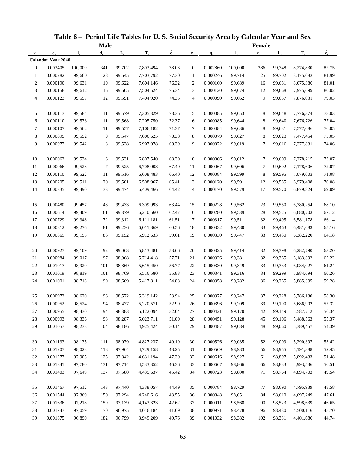|                |                           |             |             |             | Table 6 - Period Life Tables for U.S. Social Security Area by Calendar Year and Sex |             |                  |          |             |               |             |           |             |
|----------------|---------------------------|-------------|-------------|-------------|-------------------------------------------------------------------------------------|-------------|------------------|----------|-------------|---------------|-------------|-----------|-------------|
|                |                           |             | <b>Male</b> |             |                                                                                     |             |                  |          |             | <b>Female</b> |             |           |             |
| $\mathbf X$    | $q_{x}$                   | $l_{\rm v}$ | $d_{\rm v}$ | $L_{\rm v}$ | $T_{x}$                                                                             | $\dot{e}_x$ | $\mathbf X$      | $q_{x}$  | $l_{\rm x}$ | $d_{x}$       | $L_{\rm v}$ | $T_{x}$   | $\dot{e}_x$ |
|                | <b>Calendar Year 2040</b> |             |             |             |                                                                                     |             |                  |          |             |               |             |           |             |
| $\mathbf{0}$   | 0.003405                  | 100,000     | 341         | 99,702      | 7,803,494                                                                           | 78.03       | $\mathbf{0}$     | 0.002860 | 100,000     | 286           | 99,748      | 8,274,830 | 82.75       |
| $\mathbf{1}$   | 0.000282                  | 99,660      | 28          | 99,645      | 7,703,792                                                                           | 77.30       | $\mathbf{1}$     | 0.000246 | 99,714      | 25            | 99,702      | 8,175,082 | 81.99       |
| $\overline{c}$ | 0.000190                  | 99,631      | 19          | 99,622      | 7,604,146                                                                           | 76.32       | $\boldsymbol{2}$ | 0.000160 | 99,689      | 16            | 99,681      | 8,075,380 | 81.01       |
| 3              | 0.000158                  | 99,612      | 16          | 99,605      | 7,504,524                                                                           | 75.34       | 3                | 0.000120 | 99,674      | 12            | 99,668      | 7,975,699 | 80.02       |
| 4              | 0.000123                  | 99,597      | 12          | 99,591      | 7,404,920                                                                           | 74.35       | 4                | 0.000090 | 99,662      | 9             | 99,657      | 7,876,031 | 79.03       |
| 5              | 0.000113                  | 99,584      | 11          | 99,579      | 7,305,329                                                                           | 73.36       | 5                | 0.000085 | 99,653      | 8             | 99,648      | 7,776,374 | 78.03       |
| 6              | 0.000110                  | 99,573      | 11          | 99,568      | 7,205,750                                                                           | 72.37       | 6                | 0.000085 | 99,644      | 8             | 99,640      | 7,676,726 | 77.04       |
| $\tau$         | 0.000107                  | 99,562      | 11          | 99,557      | 7,106,182                                                                           | 71.37       | 7                | 0.000084 | 99,636      | 8             | 99,631      | 7,577,086 | 76.05       |
| 8              | 0.000095                  | 99,552      | 9           | 99,547      | 7,006,625                                                                           | 70.38       | 8                | 0.000079 | 99,627      | 8             | 99,623      | 7,477,454 | 75.05       |
| 9              | 0.000077                  | 99,542      | 8           | 99,538      | 6,907,078                                                                           | 69.39       | 9                | 0.000072 | 99,619      | 7             | 99,616      | 7,377,831 | 74.06       |
| 10             | 0.000062                  | 99,534      | 6           | 99,531      | 6,807,540                                                                           | 68.39       | 10               | 0.000066 | 99,612      | 7             | 99,609      | 7,278,215 | 73.07       |
| 11             | 0.000066                  | 99,528      | 7           | 99,525      | 6,708,008                                                                           | 67.40       | 11               | 0.000067 | 99,606      | $\tau$        | 99,602      | 7,178,606 | 72.07       |
| 12             | 0.000110                  | 99,522      | 11          | 99,516      | 6,608,483                                                                           | 66.40       | 12               | 0.000084 | 99,599      | 8             | 99,595      | 7,079,003 | 71.08       |
| 13             | 0.000205                  | 99,511      | 20          | 99,501      | 6,508,967                                                                           | 65.41       | 13               | 0.000120 | 99,591      | 12            | 99,585      | 6,979,408 | 70.08       |
| 14             | 0.000335                  | 99,490      | 33          | 99,474      | 6,409,466                                                                           | 64.42       | 14               | 0.000170 | 99,579      | 17            | 99,570      | 6,879,824 | 69.09       |
| 15             | 0.000480                  | 99,457      | 48          | 99,433      | 6,309,993                                                                           | 63.44       | 15               | 0.000228 | 99,562      | 23            | 99,550      | 6,780,254 | 68.10       |
| 16             | 0.000614                  | 99,409      | 61          | 99,379      | 6,210,560                                                                           | 62.47       | 16               | 0.000280 | 99,539      | 28            | 99,525      | 6,680,703 | 67.12       |
| 17             | 0.000729                  | 99,348      | 72          | 99,312      | 6,111,181                                                                           | 61.51       | 17               | 0.000317 | 99,511      | 32            | 99,495      | 6,581,178 | 66.14       |
| 18             | 0.000812                  | 99,276      | 81          | 99,236      | 6,011,869                                                                           | 60.56       | 18               | 0.000332 | 99,480      | 33            | 99,463      | 6,481,683 | 65.16       |
| 19             | 0.000869                  | 99,195      | 86          | 99,152      | 5,912,633                                                                           | 59.61       | 19               | 0.000330 | 99,447      | 33            | 99,430      | 6,382,220 | 64.18       |
| 20             | 0.000927                  | 99,109      | 92          | 99,063      | 5,813,481                                                                           | 58.66       | 20               | 0.000325 | 99,414      | 32            | 99,398      | 6,282,790 | 63.20       |
| $21\,$         | 0.000984                  | 99,017      | 97          | 98,968      | 5,714,418                                                                           | 57.71       | 21               | 0.000326 | 99,381      | 32            | 99,365      | 6,183,392 | 62.22       |
| 22             | 0.001017                  | 98,920      | 101         | 98,869      | 5,615,450                                                                           | 56.77       | 22               | 0.000330 | 99,349      | 33            | 99,333      | 6,084,027 | 61.24       |
| 23             | 0.001019                  | 98,819      | 101         | 98,769      | 5,516,580                                                                           | 55.83       | 23               | 0.000341 | 99,316      | 34            | 99,299      | 5,984,694 | 60.26       |
| 24             | 0.001001                  | 98,718      | 99          | 98,669      | 5,417,811                                                                           | 54.88       | 24               | 0.000358 | 99,282      | 36            | 99,265      | 5,885,395 | 59.28       |
|                |                           |             |             |             |                                                                                     |             |                  |          |             |               |             |           |             |
| 25             | 0.000972                  | 98,620      | 96          | 98,572      | 5,319,142                                                                           | 53.94       | 25               | 0.000377 | 99,247      | 37            | 99,228      | 5,786,130 | 58.30       |
| 26             | 0.000952                  | 98,524      | 94          | 98,477      | 5,220,571                                                                           | 52.99       | 26               | 0.000396 | 99,209      | 39            | 99,190      | 5,686,902 | 57.32       |
| 27             | 0.000955                  | 98,430      | 94          | 98,383      | 5,122,094                                                                           | 52.04       | 27               | 0.000421 | 99,170      | 42            | 99,149      | 5,587,712 | 56.34       |
| 28             | 0.000993                  | 98,336      | 98          | 98,287      | 5,023,711                                                                           | 51.09       | 28               | 0.000451 | 99,128      | 45            | 99,106      | 5,488,563 | 55.37       |
| 29             | 0.001057                  | 98,238      | 104         | 98,186      | 4,925,424                                                                           | 50.14       | 29               | 0.000487 | 99,084      | 48            | 99,060      | 5,389,457 | 54.39       |
| 30             | 0.001133                  | 98,135      | 111         | 98,079      | 4,827,237                                                                           | 49.19       | 30               | 0.000526 | 99,035      | 52            | 99,009      | 5,290,397 | 53.42       |
| 31             | 0.001207                  | 98,023      | 118         | 97,964      | 4,729,158                                                                           | 48.25       | 31               | 0.000569 | 98,983      | 56            | 98,955      | 5,191,388 | 52.45       |
| 32             | 0.001277                  | 97,905      | 125         | 97,842      | 4,631,194                                                                           | 47.30       | 32               | 0.000616 | 98,927      | 61            | 98,897      | 5,092,433 | 51.48       |
| 33             | 0.001341                  | 97,780      | 131         | 97,714      | 4,533,352                                                                           | 46.36       | 33               | 0.000667 | 98,866      | 66            | 98,833      | 4,993,536 | 50.51       |
| 34             | 0.001403                  | 97,649      | 137         | 97,580      | 4,435,637                                                                           | 45.42       | 34               | 0.000723 | 98,800      | 71            | 98,764      | 4,894,703 | 49.54       |
| 35             | 0.001467                  | 97,512      | 143         | 97,440      | 4,338,057                                                                           | 44.49       | 35               | 0.000784 | 98,729      | 77            | 98,690      | 4,795,939 | 48.58       |
| 36             | 0.001544                  | 97,369      | 150         | 97,294      | 4,240,616                                                                           | 43.55       | 36               | 0.000848 | 98,651      | 84            | 98,610      | 4,697,249 | 47.61       |
| 37             | 0.001636                  | 97,218      | 159         | 97,139      | 4, 143, 323                                                                         | 42.62       | 37               | 0.000911 | 98,568      | 90            | 98,523      | 4,598,639 | 46.65       |
| 38             | 0.001747                  | 97,059      | 170         | 96,975      | 4,046,184                                                                           | 41.69       | 38               | 0.000971 | 98,478      | 96            | 98,430      | 4,500,116 | 45.70       |
| 39             | 0.001875                  | 96,890      | 182         | 96,799      | 3,949,209                                                                           | 40.76       | 39               | 0.001032 | 98,382      | 102           | 98,331      | 4,401,686 | 44.74       |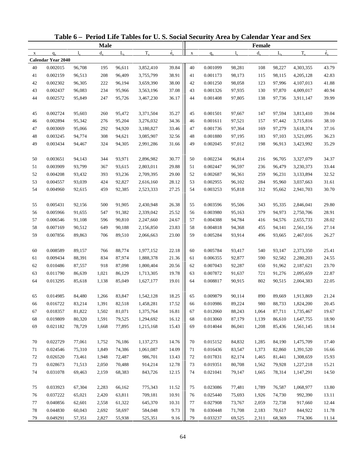|             |                           |              |             |             | Table 6 - Period Life Tables for U.S. Social Security Area by Calendar Year and Sex |             |             |          |             |         |             |           |             |
|-------------|---------------------------|--------------|-------------|-------------|-------------------------------------------------------------------------------------|-------------|-------------|----------|-------------|---------|-------------|-----------|-------------|
|             |                           |              | <b>Male</b> |             |                                                                                     |             |             |          |             | Female  |             |           |             |
| $\mathbf X$ | $q_{x}$                   | $\mathbf{l}$ | $d_{\rm v}$ | $L_{\rm v}$ | $T_{x}$                                                                             | $\dot{e}_x$ | $\mathbf X$ | $q_{x}$  | $l_{\rm x}$ | $d_{x}$ | $L_{\rm v}$ | $T_{x}$   | $\dot{e}_x$ |
|             | <b>Calendar Year 2040</b> |              |             |             |                                                                                     |             |             |          |             |         |             |           |             |
| 40          | 0.002015                  | 96,708       | 195         | 96,611      | 3,852,410                                                                           | 39.84       | 40          | 0.001099 | 98,281      | 108     | 98,227      | 4,303,355 | 43.79       |
| 41          | 0.002159                  | 96,513       | 208         | 96,409      | 3,755,799                                                                           | 38.91       | 41          | 0.001173 | 98,173      | 115     | 98,115      | 4,205,128 | 42.83       |
| 42          | 0.002302                  | 96,305       | 222         | 96,194      | 3,659,390                                                                           | 38.00       | 42          | 0.001250 | 98,058      | 123     | 97,996      | 4,107,013 | 41.88       |
| 43          | 0.002437                  | 96,083       | 234         | 95,966      | 3,563,196                                                                           | 37.08       | 43          | 0.001326 | 97,935      | 130     | 97,870      | 4,009,017 | 40.94       |
| 44          | 0.002572                  | 95,849       | 247         | 95,726      | 3,467,230                                                                           | 36.17       | 44          | 0.001408 | 97,805      | 138     | 97,736      | 3,911,147 | 39.99       |
| 45          | 0.002724                  | 95,603       | 260         | 95,472      | 3,371,504                                                                           | 35.27       | 45          | 0.001501 | 97,667      | 147     | 97,594      | 3,813,410 | 39.04       |
| 46          | 0.002894                  | 95,342       | 276         | 95,204      | 3,276,032                                                                           | 34.36       | 46          | 0.001611 | 97,521      | 157     | 97,442      | 3,715,816 | 38.10       |
| 47          | 0.003069                  | 95,066       | 292         | 94,920      | 3,180,827                                                                           | 33.46       | 47          | 0.001736 | 97,364      | 169     | 97,279      | 3,618,374 | 37.16       |
| 48          | 0.003245                  | 94,774       | 308         | 94,621      | 3,085,907                                                                           | 32.56       | 48          | 0.001880 | 97,195      | 183     | 97,103      | 3,521,095 | 36.23       |
| 49          | 0.003434                  | 94,467       | 324         | 94,305      | 2,991,286                                                                           | 31.66       | 49          | 0.002045 | 97,012      | 198     | 96,913      | 3,423,992 | 35.29       |
| 50          | 0.003651                  | 94,143       | 344         | 93,971      | 2,896,982                                                                           | 30.77       | 50          | 0.002234 | 96,814      | 216     | 96,705      | 3,327,079 | 34.37       |
| 51          | 0.003909                  | 93,799       | 367         | 93,615      | 2,803,011                                                                           | 29.88       | 51          | 0.002447 | 96,597      | 236     | 96,479      | 3,230,373 | 33.44       |
| 52          | 0.004208                  | 93,432       | 393         | 93,236      | 2,709,395                                                                           | 29.00       | 52          | 0.002687 | 96,361      | 259     | 96,231      | 3,133,894 | 32.52       |
| 53          | 0.004557                  | 93,039       | 424         | 92,827      | 2,616,160                                                                           | 28.12       | 53          | 0.002955 | 96,102      | 284     | 95,960      | 3,037,663 | 31.61       |
| 54          | 0.004960                  | 92,615       | 459         | 92,385      | 2,523,333                                                                           | 27.25       | 54          | 0.003253 | 95,818      | 312     | 95,662      | 2,941,703 | 30.70       |
| 55          | 0.005431                  | 92,156       | 500         | 91,905      | 2,430,948                                                                           | 26.38       | 55          | 0.003596 | 95,506      | 343     | 95,335      | 2,846,041 | 29.80       |
| 56          | 0.005966                  | 91,655       | 547         | 91,382      | 2,339,042                                                                           | 25.52       | 56          | 0.003980 | 95,163      | 379     | 94,973      | 2,750,706 | 28.91       |
| 57          | 0.006546                  | 91,108       | 596         | 90,810      | 2,247,660                                                                           | 24.67       | 57          | 0.004388 | 94,784      | 416     | 94,576      | 2,655,733 | 28.02       |
| 58          | 0.007169                  | 90,512       | 649         | 90,188      | 2,156,850                                                                           | 23.83       | 58          | 0.004818 | 94,368      | 455     | 94,141      | 2,561,156 | 27.14       |
| 59          | 0.007856                  | 89,863       | 706         | 89,510      | 2,066,663                                                                           | 23.00       | 59          | 0.005284 | 93,914      | 496     | 93,665      | 2,467,016 | 26.27       |
|             |                           |              |             |             |                                                                                     |             |             |          |             |         |             |           |             |
| 60          | 0.008589                  | 89,157       | 766         | 88,774      | 1,977,152                                                                           | 22.18       | 60          | 0.005784 | 93,417      | 540     | 93,147      | 2,373,350 | 25.41       |
| 61          | 0.009434                  | 88,391       | 834         | 87,974      | 1,888,378                                                                           | 21.36       | 61          | 0.006355 | 92,877      | 590     | 92,582      | 2,280,203 | 24.55       |
| 62          | 0.010486                  | 87,557       | 918         | 87,098      | 1,800,404                                                                           | 20.56       | 62          | 0.007043 | 92,287      | 650     | 91,962      | 2,187,621 | 23.70       |
| 63          | 0.011790                  | 86,639       | 1,021       | 86,129      | 1,713,305                                                                           | 19.78       | 63          | 0.007872 | 91,637      | 721     | 91,276      | 2,095,659 | 22.87       |
| 64          | 0.013295                  | 85,618       | 1,138       | 85,049      | 1,627,177                                                                           | 19.01       | 64          | 0.008817 | 90,915      | 802     | 90,515      | 2,004,383 | 22.05       |
| 65          | 0.014985                  | 84,480       | 1,266       | 83,847      | 1,542,128                                                                           | 18.25       | 65          | 0.009879 | 90,114      | 890     | 89,669      | 1,913,869 | 21.24       |
| 66          | 0.016722                  | 83,214       | 1,391       | 82,518      | 1,458,281                                                                           | 17.52       | 66          | 0.010986 | 89,224      | 980     | 88,733      | 1,824,200 | 20.45       |
| 67          | 0.018357                  | 81,822       | 1,502       | 81,071      | 1,375,764                                                                           | 16.81       | 67          | 0.012060 | 88,243      | 1,064   | 87,711      | 1,735,467 | 19.67       |
| 68          | 0.019809                  | 80,320       | 1,591       | 79,525      | 1,294,692                                                                           | 16.12       | 68          | 0.013060 | 87,179      | 1,139   | 86,610      | 1,647,755 | 18.90       |
| 69          | 0.021182                  | 78,729       | 1,668       | 77,895      | 1,215,168                                                                           | 15.43       | 69          | 0.014044 | 86,041      | 1,208   | 85,436      | 1,561,145 | 18.14       |
| 70          | 0.022729                  | 77,061       | 1,752       | 76,186      | 1,137,273                                                                           | 14.76       | 70          | 0.015152 | 84,832      | 1,285   | 84,190      | 1,475,709 | 17.40       |
| 71          | 0.024546                  | 75,310       | 1,849       | 74,386      | 1,061,087                                                                           | 14.09       | 71          | 0.016436 | 83,547      | 1,373   | 82,860      | 1,391,520 | 16.66       |
| 72          | 0.026520                  | 73,461       | 1,948       | 72,487      | 986,701                                                                             | 13.43       | 72          | 0.017831 | 82,174      | 1,465   | 81,441      | 1,308,659 | 15.93       |
| 73          | 0.028673                  | 71,513       | 2,050       | 70,488      | 914,214                                                                             | 12.78       | 73          | 0.019351 | 80,708      | 1,562   | 79,928      | 1,227,218 | 15.21       |
| 74          | 0.031078                  | 69,463       | 2,159       | 68,383      | 843,726                                                                             | 12.15       | 74          | 0.021041 | 79,147      | 1,665   | 78,314      | 1,147,291 | 14.50       |
|             |                           |              |             |             |                                                                                     |             |             |          |             |         |             |           |             |
| 75          | 0.033923                  | 67,304       | 2,283       | 66,162      | 775,343                                                                             | 11.52       | 75          | 0.023086 | 77,481      | 1,789   | 76,587      | 1,068,977 | 13.80       |
| 76          | 0.037222                  | 65,021       | 2,420       | 63,811      | 709,181                                                                             | 10.91       | 76          | 0.025440 | 75,693      | 1,926   | 74,730      | 992,390   | 13.11       |
| 77          | 0.040856                  | 62,601       | 2,558       | 61,322      | 645,370                                                                             | 10.31       | 77          | 0.027908 | 73,767      | 2,059   | 72,738      | 917,660   | 12.44       |
| 78          | 0.044830                  | 60,043       | 2,692       | 58,697      | 584,048                                                                             | 9.73        | 78          | 0.030448 | 71,708      | 2,183   | 70,617      | 844,922   | 11.78       |
| 79          | 0.049291                  | 57,351       | 2,827       | 55,938      | 525,351                                                                             | 9.16        | 79          | 0.033237 | 69,525      | 2,311   | 68,369      | 774,306   | 11.14       |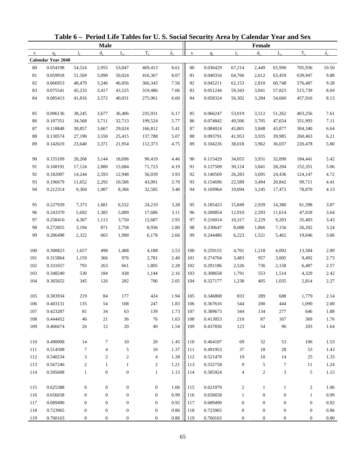|              |                           |                  |                  |                  | Table 6 – Period Life Tables for U.S. Social Security Area by Calendar Year and Sex |                          |             |          |                  |                  |                  |                  |             |
|--------------|---------------------------|------------------|------------------|------------------|-------------------------------------------------------------------------------------|--------------------------|-------------|----------|------------------|------------------|------------------|------------------|-------------|
|              |                           |                  | <b>Male</b>      |                  |                                                                                     |                          |             |          |                  | <b>Female</b>    |                  |                  |             |
| $\mathbf{x}$ | $q_{x}$                   | $l_{\rm x}$      | $d_{x}$          | $L_{\rm v}$      | $T_{x}$                                                                             | $\overset{\circ}{e}_{x}$ | $\mathbf X$ | $q_{x}$  | $l_{\rm v}$      | $d_{x}$          | $L_{\rm v}$      | $T_{x}$          | $\dot{e}_x$ |
|              | <b>Calendar Year 2040</b> |                  |                  |                  |                                                                                     |                          |             |          |                  |                  |                  |                  |             |
| 80           | 0.054198                  | 54,524           | 2,955            | 53,047           | 469,413                                                                             | 8.61                     | 80          | 0.036429 | 67,214           | 2,449            | 65,990           | 705,936          | 10.50       |
| 81           | 0.059918                  | 51,569           | 3,090            | 50,024           | 416,367                                                                             | 8.07                     | 81          | 0.040334 | 64,766           | 2,612            | 63,459           | 639,947          | 9.88        |
| 82           | 0.066953                  | 48,479           | 3,246            | 46,856           | 366,343                                                                             | 7.56                     | 82          | 0.045211 | 62,153           | 2,810            | 60,748           | 576,487          | 9.28        |
| 83           | 0.075541                  | 45,233           | 3,417            | 43,525           | 319,486                                                                             | 7.06                     | 83          | 0.051244 | 59,343           | 3,041            | 57,823           | 515,739          | 8.69        |
| 84           | 0.085413                  | 41,816           | 3,572            | 40,031           | 275,961                                                                             | 6.60                     | 84          | 0.058324 | 56,302           | 3,284            | 54,660           | 457,916          | 8.13        |
| 85           | 0.096136                  | 38,245           | 3,677            | 36,406           | 235,931                                                                             | 6.17                     | 85          | 0.066247 | 53,019           | 3,512            | 51,262           | 403,256          | 7.61        |
| 86           | 0.107351                  | 34,568           | 3,711            | 32,713           | 199,524                                                                             | 5.77                     | 86          | 0.074842 | 49,506           | 3,705            | 47,654           | 351,993          | 7.11        |
| 87           | 0.118848                  | 30,857           | 3,667            | 29,024           | 166,812                                                                             | 5.41                     | 87          | 0.084024 | 45,801           | 3,848            | 43,877           | 304,340          | 6.64        |
| $88\,$       | 0.130574                  | 27,190           | 3,550            | 25,415           | 137,788                                                                             | 5.07                     | 88          | 0.093791 | 41,953           | 3,935            | 39,985           | 260,463          | 6.21        |
| 89           | 0.142619                  | 23,640           | 3,371            | 21,954           | 112,373                                                                             | 4.75                     | 89          | 0.104226 | 38,018           | 3,962            | 36,037           | 220,478          | 5.80        |
| 90           | 0.155109                  | 20,268           | 3,144            | 18,696           | 90,419                                                                              | 4.46                     | 90          | 0.115429 | 34,055           | 3,931            | 32,090           | 184,441          | 5.42        |
| 91           | 0.168191                  | 17,124           | 2,880            | 15,684           | 71,723                                                                              | 4.19                     | 91          | 0.127509 | 30,124           | 3,841            | 28,204           | 152,351          | 5.06        |
| 92           | 0.182007                  | 14,244           | 2,593            | 12,948           | 56,039                                                                              | 3.93                     | 92          | 0.140569 | 26,283           | 3,695            | 24,436           | 124,147          | 4.72        |
| 93           | 0.196679                  | 11,652           | 2,292            | 10,506           | 43,091                                                                              | 3.70                     | 93          | 0.154696 | 22,589           | 3,494            | 20,842           | 99,711           | 4.41        |
| 94           | 0.212314                  | 9,360            | 1,987            | 8,366            | 32,585                                                                              | 3.48                     | 94          | 0.169964 | 19,094           | 3,245            | 17,472           | 78,870           | 4.13        |
| 95           | 0.227939                  | 7,373            | 1,681            | 6,532            | 24,219                                                                              | 3.28                     | 95          | 0.185423 | 15,849           | 2,939            | 14,380           | 61,398           | 3.87        |
| 96           | 0.243370                  | 5,692            | 1,385            | 5,000            | 17,686                                                                              | 3.11                     | 96          | 0.200854 | 12,910           | 2,593            | 11,614           | 47,018           | 3.64        |
| 97           | 0.258410                  | 4,307            | 1,113            | 3,750            | 12,687                                                                              | 2.95                     | 97          | 0.216014 | 10,317           | 2,229            | 9,203            | 35,405           | 3.43        |
| 98           | 0.272855                  | 3,194            | 871              | 2,758            | 8,936                                                                               | 2.80                     | 98          | 0.230647 | 8,088            | 1,866            | 7,156            | 26,202           | 3.24        |
| 99           | 0.286498                  | 2,322            | 665              | 1,990            | 6,178                                                                               | 2.66                     | 99          | 0.244486 | 6,223            | 1,521            | 5,462            | 19,046           | 3.06        |
|              |                           |                  |                  |                  |                                                                                     |                          |             |          |                  |                  |                  |                  |             |
| 100          | 0.300823                  | 1,657            | 498              | 1,408            | 4,188                                                                               | 2.53                     | 100         | 0.259155 | 4,701            | 1,218            | 4,092            | 13,584           | 2.89        |
| 101          | 0.315864                  | 1,159            | 366              | 976              | 2,781                                                                               | 2.40                     | 101         | 0.274704 | 3,483            | 957              | 3,005            | 9,492            | 2.73        |
| 102          | 0.331657                  | 793              | 263              | 661              | 1,805                                                                               | 2.28                     | 102         | 0.291186 | 2,526            | 736              | 2,158            | 6,487            | 2.57        |
| 103          | 0.348240                  | 530              | 184              | 438              | 1,144                                                                               | 2.16                     | 103         | 0.308658 | 1,791            | 553              | 1,514            | 4,329            | 2.42        |
| 104          | 0.365652                  | 345              | 126              | 282              | 706                                                                                 | 2.05                     | 104         | 0.327177 | 1,238            | 405              | 1,035            | 2,814            | 2.27        |
| 105          | 0.383934                  | 219              | 84               | 177              | 424                                                                                 | 1.94                     | 105         | 0.346808 | 833              | 289              | 688              | 1,779            | 2.14        |
| 106          | 0.403131                  | 135              | 54               | 108              | 247                                                                                 | 1.83                     | 106         | 0.367616 | 544              | 200              | 444              | 1,090            | 2.00        |
| 107          | 0.423287                  | 81               | 34               | 63               | 139                                                                                 | 1.73                     | 107         | 0.389673 | 344              | 134              | 277              | 646              | 1.88        |
| 108          | 0.444452                  | 46               | 21               | 36               | 76                                                                                  | 1.63                     | 108         | 0.413053 | 210              | 87               | 167              | 369              | 1.76        |
| 109          | 0.466674                  | $26\,$           | 12               | $20\,$           | 40                                                                                  | 1.54                     | 109         | 0.437836 | 123              | 54               | 96               | 203              | 1.64        |
| 110          | 0.490008                  | 14               | $\tau$           | 10               | 20                                                                                  | 1.45                     | 110         | 0.464107 | 69               | 32               | 53               | 106              | 1.53        |
| 111          | 0.514508                  | $\tau$           | 4                | 5                | 10                                                                                  | 1.37                     | 111         | 0.491953 | 37               | 18               | 28               | 53               | 1.43        |
| 112          | 0.540234                  | 3                | 2                | 2                | $\overline{4}$                                                                      | 1.28                     | 112         | 0.521470 | 19               | 10               | 14               | 25               | 1.33        |
| 113          | 0.567246                  | $\boldsymbol{2}$ | $\mathbf{1}$     | $\mathbf{1}$     | 2                                                                                   | 1.21                     | 113         | 0.552758 | 9                | 5                | 7                | 11               | 1.24        |
| 114          | 0.595608                  | $\mathbf{1}$     | $\boldsymbol{0}$ | $\boldsymbol{0}$ | $\mathbf{1}$                                                                        | 1.13                     | 114         | 0.585924 | 4                | $\overline{c}$   | 3                | 5                | 1.15        |
| 115          | 0.625388                  | $\boldsymbol{0}$ | $\boldsymbol{0}$ | $\boldsymbol{0}$ | $\boldsymbol{0}$                                                                    | 1.06                     | 115         | 0.621079 | $\overline{c}$   | 1                | $\mathbf{1}$     | $\overline{c}$   | 1.06        |
| 116          | 0.656658                  | $\mathbf{0}$     | $\boldsymbol{0}$ | $\boldsymbol{0}$ | $\boldsymbol{0}$                                                                    | 0.99                     | 116         | 0.656658 | 1                | $\boldsymbol{0}$ | $\boldsymbol{0}$ | $\mathbf{1}$     | 0.99        |
| 117          | 0.689490                  | $\boldsymbol{0}$ | $\boldsymbol{0}$ | $\boldsymbol{0}$ | $\mathbf{0}$                                                                        | 0.92                     | 117         | 0.689490 | $\boldsymbol{0}$ | $\boldsymbol{0}$ | $\boldsymbol{0}$ | $\boldsymbol{0}$ | 0.92        |
| 118          | 0.723965                  | $\boldsymbol{0}$ | $\boldsymbol{0}$ | $\boldsymbol{0}$ | $\boldsymbol{0}$                                                                    | 0.86                     | 118         | 0.723965 | $\boldsymbol{0}$ | $\boldsymbol{0}$ | $\boldsymbol{0}$ | $\boldsymbol{0}$ | 0.86        |
| 119          | 0.760163                  | $\boldsymbol{0}$ | $\mathbf{0}$     | $\boldsymbol{0}$ | $\boldsymbol{0}$                                                                    | $0.80\,$                 | 119         | 0.760163 | 0                | $\boldsymbol{0}$ | $\mathbf{0}$     | $\boldsymbol{0}$ | 0.80        |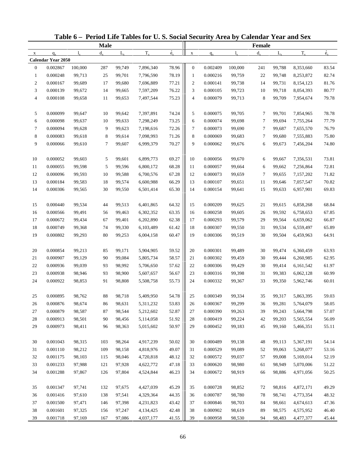| <b>Male</b><br>Female<br>$\dot{e}_x$<br>$\dot{e}_x$<br>$T_{x}$<br>$T_{x}$<br>$d_{\rm v}$<br>$L_{\rm v}$<br>$d_{x}$<br>$L_{\rm v}$<br>$1_{\rm v}$<br>$q_{x}$<br>1.<br>$\mathbf X$<br>$q_{x}$<br>$\mathbf X$<br><b>Calendar Year 2050</b><br>0.002867<br>100,000<br>99,749<br>78.96<br>0.002409<br>100,000<br>99,788<br>8,353,660<br>83.54<br>$\mathbf{0}$<br>287<br>7,896,340<br>$\boldsymbol{0}$<br>241<br>78.19<br>0.000248<br>0.000216<br>82.74<br>$\mathbf{1}$<br>99,713<br>25<br>99,701<br>7,796,590<br>$\mathbf{1}$<br>99,759<br>22<br>99,748<br>8,253,872<br>$\overline{c}$<br>0.000167<br>77.21<br>$\boldsymbol{2}$<br>0.000141<br>81.76<br>99,689<br>17<br>99,680<br>7,696,889<br>99,738<br>14<br>99,731<br>8,154,123<br>76.22<br>3<br>0.000139<br>99,672<br>14<br>99,665<br>3<br>0.000105<br>99,723<br>99,718<br>8,054,393<br>80.77<br>7,597,209<br>10<br>75.23<br>$\overline{4}$<br>0.000108<br>99,658<br>99,653<br>7,497,544<br>$\overline{4}$<br>0.000079<br>99,713<br>8<br>99,709<br>7,954,674<br>79.78<br>11<br>0.000099<br>74.24<br>5<br>10<br>5<br>0.000075<br>7,854,965<br>78.78<br>99,647<br>99,642<br>7,397,891<br>99,705<br>7<br>99,701<br>73.25<br>6<br>0.000098<br>99,633<br>7,298,249<br>6<br>0.000074<br>7<br>7,755,264<br>77.79<br>99,637<br>10<br>99,698<br>99,694<br>72.26<br>7<br>0.000094<br>99,628<br>9<br>99,623<br>7,198,616<br>7<br>0.000073<br>99,690<br>7<br>7,655,570<br>76.79<br>99,687<br>71.26<br>8<br>8<br>0.000083<br>99,618<br>0.000069<br>99,683<br>7<br>7,555,883<br>75.80<br>8<br>99,614<br>7,098,993<br>99,680<br>70.27<br>9<br>9<br>0.000066<br>99,610<br>99,607<br>6,999,379<br>0.000062<br>99,676<br>99,673<br>7,456,204<br>74.80<br>7<br>6<br>0.000052<br>10<br>99,603<br>6,899,773<br>69.27<br>10<br>0.000056<br>7,356,531<br>73.81<br>5<br>99,601<br>99,670<br>6<br>99,667<br>68.28<br>11<br>0.000055<br>72.81<br>99,598<br>5<br>99,596<br>6,800,172<br>11<br>0.000057<br>99,664<br>6<br>99,662<br>7,256,864<br>67.28<br>12<br>0.000096<br>99,593<br>12<br>0.000073<br>99,659<br>7<br>7,157,202<br>71.82<br>10<br>99,588<br>6,700,576<br>99,655<br>66.29<br>70.82<br>13<br>0.000184<br>99,583<br>99,574<br>6,600,988<br>13<br>0.000107<br>99,651<br>99,646<br>7,057,547<br>18<br>11<br>65.30<br>14<br>0.000306<br>30<br>0.000154<br>99,641<br>15<br>6,957,901<br>69.83<br>99,565<br>99,550<br>6,501,414<br>14<br>99,633<br>0.000440<br>0.000209<br>15<br>99,534<br>99,513<br>6,401,865<br>64.32<br>15<br>21<br>6,858,268<br>68.84<br>44<br>99,625<br>99,615<br>63.35<br>0.000566<br>0.000258<br>67.85<br>16<br>99,491<br>56<br>99,463<br>6,302,352<br>16<br>99,605<br>26<br>99,592<br>6,758,653<br>62.38<br>17<br>0.000672<br>99,434<br>6,202,890<br>17<br>0.000293<br>99,579<br>29<br>6,659,062<br>66.87<br>67<br>99,401<br>99,564<br>18<br>0.000749<br>99,368<br>74<br>61.42<br>18<br>0.000307<br>99,550<br>99,534<br>6,559,497<br>65.89<br>99,330<br>6,103,489<br>31<br>19<br>0.000802<br>99,293<br>80<br>99,253<br>6,004,158<br>60.47<br>19<br>0.000306<br>99,519<br>30<br>99,504<br>6,459,963<br>64.91<br>0.000854<br>59.52<br>0.000301<br>20<br>99,213<br>99,171<br>20<br>6,360,459<br>63.93<br>85<br>5,904,905<br>99,489<br>30<br>99,474<br>58.57<br>62.95<br>21<br>0.000907<br>99,129<br>99,084<br>5,805,734<br>21<br>0.000302<br>99,459<br>6,260,985<br>90<br>30<br>99,444<br>22<br>0.000936<br>99,039<br>57.62<br>22<br>0.000306<br>61.97<br>93<br>98,992<br>5,706,650<br>99,429<br>30<br>99,414<br>6,161,542<br>23<br>0.000938<br>98,946<br>98,900<br>56.67<br>23<br>0.000316<br>99,398<br>31<br>99,383<br>6,062,128<br>60.99<br>93<br>5,607,657<br>55.73<br>60.01<br>24<br>0.000922<br>98,853<br>91<br>98,808<br>24<br>0.000332<br>99,367<br>33<br>99,350<br>5,962,746<br>5,508,758<br>98,762<br>54.78<br>99,317<br>0.000895<br>$\bf 88$<br>98,718<br>5,409,950<br>0.000349<br>99,334<br>35<br>5,863,395<br>59.03<br>25<br>25<br>0.000876<br>53.83<br>0.000367<br>58.05<br>98,674<br>86<br>98,631<br>5,311,232<br>26<br>99,299<br>36<br>99,281<br>5,764,079<br>26<br>52.87<br>27<br>0.000879<br>98,587<br>87<br>98,544<br>5,212,602<br>27<br>0.000390<br>99,263<br>39<br>99,243<br>5,664,798<br>57.07<br>28<br>0.000913<br>98,501<br>90<br>98,456<br>5,114,058<br>51.92<br>0.000419<br>99,224<br>42<br>99,203<br>5,565,554<br>56.09<br>28<br>50.97<br>29<br>0.000973<br>98,411<br>0.000452<br>55.11<br>96<br>98,363<br>5,015,602<br>29<br>99,183<br>45<br>99,160<br>5,466,351<br>0.001043<br>98,315<br>98,264<br>50.02<br>0.000489<br>99,138<br>5,367,191<br>54.14<br>30<br>103<br>4,917,239<br>30<br>48<br>99,113<br>49.07<br>31<br>0.001110<br>98,212<br>109<br>98,158<br>0.000529<br>99,089<br>5,268,077<br>53.16<br>4,818,976<br>31<br>52<br>99,063<br>32<br>0.001175<br>98,103<br>98,046<br>48.12<br>99,037<br>52.19<br>115<br>4,720,818<br>32<br>0.000572<br>57<br>99,008<br>5,169,014<br>47.18<br>33<br>0.001233<br>97,988<br>121<br>0.000620<br>98,980<br>98,949<br>5,070,006<br>51.22<br>97,928<br>4,622,772<br>33<br>61<br>46.23<br>34<br>0.001288<br>0.000672<br>50.25<br>97,867<br>126<br>97,804<br>4,524,844<br>34<br>98,919<br>66<br>98,886<br>4,971,056<br>45.29<br>0.001347<br>97,741<br>4,427,039<br>0.000728<br>98,852<br>4,872,171<br>49.29<br>35<br>132<br>97,675<br>35<br>72<br>98,816<br>44.35<br>36<br>0.001416<br>97,610<br>138<br>97,541<br>4,329,364<br>0.000787<br>98,780<br>78<br>4,773,354<br>48.32<br>36<br>98,741<br>37<br>0.001500<br>97,471<br>43.42<br>0.000846<br>98,703<br>84<br>98,661<br>47.36<br>146<br>97,398<br>4,231,823<br>37<br>4,674,613<br>38<br>42.48<br>0.001601<br>97,325<br>97,247<br>4,134,425<br>38<br>0.000902<br>98,619<br>89<br>98,575<br>46.40<br>156<br>4,575,952 |    |          |        |     |        | Table 6 - Period Life Tables for U.S. Social Security Area by Calendar Year and Sex |       |    |          |        |    |        |           |       |
|--------------------------------------------------------------------------------------------------------------------------------------------------------------------------------------------------------------------------------------------------------------------------------------------------------------------------------------------------------------------------------------------------------------------------------------------------------------------------------------------------------------------------------------------------------------------------------------------------------------------------------------------------------------------------------------------------------------------------------------------------------------------------------------------------------------------------------------------------------------------------------------------------------------------------------------------------------------------------------------------------------------------------------------------------------------------------------------------------------------------------------------------------------------------------------------------------------------------------------------------------------------------------------------------------------------------------------------------------------------------------------------------------------------------------------------------------------------------------------------------------------------------------------------------------------------------------------------------------------------------------------------------------------------------------------------------------------------------------------------------------------------------------------------------------------------------------------------------------------------------------------------------------------------------------------------------------------------------------------------------------------------------------------------------------------------------------------------------------------------------------------------------------------------------------------------------------------------------------------------------------------------------------------------------------------------------------------------------------------------------------------------------------------------------------------------------------------------------------------------------------------------------------------------------------------------------------------------------------------------------------------------------------------------------------------------------------------------------------------------------------------------------------------------------------------------------------------------------------------------------------------------------------------------------------------------------------------------------------------------------------------------------------------------------------------------------------------------------------------------------------------------------------------------------------------------------------------------------------------------------------------------------------------------------------------------------------------------------------------------------------------------------------------------------------------------------------------------------------------------------------------------------------------------------------------------------------------------------------------------------------------------------------------------------------------------------------------------------------------------------------------------------------------------------------------------------------------------------------------------------------------------------------------------------------------------------------------------------------------------------------------------------------------------------------------------------------------------------------------------------------------------------------------------------------------------------------------------------------------------------------------------------------------------------------------------------------------------------------------------------------------------------------------------------------------------------------------------------------------------------------------------------------------------------------------------------------------------------------------------------------------------------------------------------------------------------------------------------------------------------------------------------------------------------------------------------------------------------------------------------------------------------------------------------------------------------------------------------------------------------------------------------------------------------------------------------------------------------------------------------------------------------------------------------------------------------------------------------------------------------------------------------------------------------------------------------------------------------------------------------------------------------------------------------------------------------------------------------------------------------------------------------------------------------------------------------------------------------------------------------------------------------------------------------------------------------|----|----------|--------|-----|--------|-------------------------------------------------------------------------------------|-------|----|----------|--------|----|--------|-----------|-------|
|                                                                                                                                                                                                                                                                                                                                                                                                                                                                                                                                                                                                                                                                                                                                                                                                                                                                                                                                                                                                                                                                                                                                                                                                                                                                                                                                                                                                                                                                                                                                                                                                                                                                                                                                                                                                                                                                                                                                                                                                                                                                                                                                                                                                                                                                                                                                                                                                                                                                                                                                                                                                                                                                                                                                                                                                                                                                                                                                                                                                                                                                                                                                                                                                                                                                                                                                                                                                                                                                                                                                                                                                                                                                                                                                                                                                                                                                                                                                                                                                                                                                                                                                                                                                                                                                                                                                                                                                                                                                                                                                                                                                                                                                                                                                                                                                                                                                                                                                                                                                                                                                                                                                                                                                                                                                                                                                                                                                                                                                                                                                                                                                                                                                                            |    |          |        |     |        |                                                                                     |       |    |          |        |    |        |           |       |
|                                                                                                                                                                                                                                                                                                                                                                                                                                                                                                                                                                                                                                                                                                                                                                                                                                                                                                                                                                                                                                                                                                                                                                                                                                                                                                                                                                                                                                                                                                                                                                                                                                                                                                                                                                                                                                                                                                                                                                                                                                                                                                                                                                                                                                                                                                                                                                                                                                                                                                                                                                                                                                                                                                                                                                                                                                                                                                                                                                                                                                                                                                                                                                                                                                                                                                                                                                                                                                                                                                                                                                                                                                                                                                                                                                                                                                                                                                                                                                                                                                                                                                                                                                                                                                                                                                                                                                                                                                                                                                                                                                                                                                                                                                                                                                                                                                                                                                                                                                                                                                                                                                                                                                                                                                                                                                                                                                                                                                                                                                                                                                                                                                                                                            |    |          |        |     |        |                                                                                     |       |    |          |        |    |        |           |       |
|                                                                                                                                                                                                                                                                                                                                                                                                                                                                                                                                                                                                                                                                                                                                                                                                                                                                                                                                                                                                                                                                                                                                                                                                                                                                                                                                                                                                                                                                                                                                                                                                                                                                                                                                                                                                                                                                                                                                                                                                                                                                                                                                                                                                                                                                                                                                                                                                                                                                                                                                                                                                                                                                                                                                                                                                                                                                                                                                                                                                                                                                                                                                                                                                                                                                                                                                                                                                                                                                                                                                                                                                                                                                                                                                                                                                                                                                                                                                                                                                                                                                                                                                                                                                                                                                                                                                                                                                                                                                                                                                                                                                                                                                                                                                                                                                                                                                                                                                                                                                                                                                                                                                                                                                                                                                                                                                                                                                                                                                                                                                                                                                                                                                                            |    |          |        |     |        |                                                                                     |       |    |          |        |    |        |           |       |
|                                                                                                                                                                                                                                                                                                                                                                                                                                                                                                                                                                                                                                                                                                                                                                                                                                                                                                                                                                                                                                                                                                                                                                                                                                                                                                                                                                                                                                                                                                                                                                                                                                                                                                                                                                                                                                                                                                                                                                                                                                                                                                                                                                                                                                                                                                                                                                                                                                                                                                                                                                                                                                                                                                                                                                                                                                                                                                                                                                                                                                                                                                                                                                                                                                                                                                                                                                                                                                                                                                                                                                                                                                                                                                                                                                                                                                                                                                                                                                                                                                                                                                                                                                                                                                                                                                                                                                                                                                                                                                                                                                                                                                                                                                                                                                                                                                                                                                                                                                                                                                                                                                                                                                                                                                                                                                                                                                                                                                                                                                                                                                                                                                                                                            |    |          |        |     |        |                                                                                     |       |    |          |        |    |        |           |       |
|                                                                                                                                                                                                                                                                                                                                                                                                                                                                                                                                                                                                                                                                                                                                                                                                                                                                                                                                                                                                                                                                                                                                                                                                                                                                                                                                                                                                                                                                                                                                                                                                                                                                                                                                                                                                                                                                                                                                                                                                                                                                                                                                                                                                                                                                                                                                                                                                                                                                                                                                                                                                                                                                                                                                                                                                                                                                                                                                                                                                                                                                                                                                                                                                                                                                                                                                                                                                                                                                                                                                                                                                                                                                                                                                                                                                                                                                                                                                                                                                                                                                                                                                                                                                                                                                                                                                                                                                                                                                                                                                                                                                                                                                                                                                                                                                                                                                                                                                                                                                                                                                                                                                                                                                                                                                                                                                                                                                                                                                                                                                                                                                                                                                                            |    |          |        |     |        |                                                                                     |       |    |          |        |    |        |           |       |
|                                                                                                                                                                                                                                                                                                                                                                                                                                                                                                                                                                                                                                                                                                                                                                                                                                                                                                                                                                                                                                                                                                                                                                                                                                                                                                                                                                                                                                                                                                                                                                                                                                                                                                                                                                                                                                                                                                                                                                                                                                                                                                                                                                                                                                                                                                                                                                                                                                                                                                                                                                                                                                                                                                                                                                                                                                                                                                                                                                                                                                                                                                                                                                                                                                                                                                                                                                                                                                                                                                                                                                                                                                                                                                                                                                                                                                                                                                                                                                                                                                                                                                                                                                                                                                                                                                                                                                                                                                                                                                                                                                                                                                                                                                                                                                                                                                                                                                                                                                                                                                                                                                                                                                                                                                                                                                                                                                                                                                                                                                                                                                                                                                                                                            |    |          |        |     |        |                                                                                     |       |    |          |        |    |        |           |       |
|                                                                                                                                                                                                                                                                                                                                                                                                                                                                                                                                                                                                                                                                                                                                                                                                                                                                                                                                                                                                                                                                                                                                                                                                                                                                                                                                                                                                                                                                                                                                                                                                                                                                                                                                                                                                                                                                                                                                                                                                                                                                                                                                                                                                                                                                                                                                                                                                                                                                                                                                                                                                                                                                                                                                                                                                                                                                                                                                                                                                                                                                                                                                                                                                                                                                                                                                                                                                                                                                                                                                                                                                                                                                                                                                                                                                                                                                                                                                                                                                                                                                                                                                                                                                                                                                                                                                                                                                                                                                                                                                                                                                                                                                                                                                                                                                                                                                                                                                                                                                                                                                                                                                                                                                                                                                                                                                                                                                                                                                                                                                                                                                                                                                                            |    |          |        |     |        |                                                                                     |       |    |          |        |    |        |           |       |
|                                                                                                                                                                                                                                                                                                                                                                                                                                                                                                                                                                                                                                                                                                                                                                                                                                                                                                                                                                                                                                                                                                                                                                                                                                                                                                                                                                                                                                                                                                                                                                                                                                                                                                                                                                                                                                                                                                                                                                                                                                                                                                                                                                                                                                                                                                                                                                                                                                                                                                                                                                                                                                                                                                                                                                                                                                                                                                                                                                                                                                                                                                                                                                                                                                                                                                                                                                                                                                                                                                                                                                                                                                                                                                                                                                                                                                                                                                                                                                                                                                                                                                                                                                                                                                                                                                                                                                                                                                                                                                                                                                                                                                                                                                                                                                                                                                                                                                                                                                                                                                                                                                                                                                                                                                                                                                                                                                                                                                                                                                                                                                                                                                                                                            |    |          |        |     |        |                                                                                     |       |    |          |        |    |        |           |       |
|                                                                                                                                                                                                                                                                                                                                                                                                                                                                                                                                                                                                                                                                                                                                                                                                                                                                                                                                                                                                                                                                                                                                                                                                                                                                                                                                                                                                                                                                                                                                                                                                                                                                                                                                                                                                                                                                                                                                                                                                                                                                                                                                                                                                                                                                                                                                                                                                                                                                                                                                                                                                                                                                                                                                                                                                                                                                                                                                                                                                                                                                                                                                                                                                                                                                                                                                                                                                                                                                                                                                                                                                                                                                                                                                                                                                                                                                                                                                                                                                                                                                                                                                                                                                                                                                                                                                                                                                                                                                                                                                                                                                                                                                                                                                                                                                                                                                                                                                                                                                                                                                                                                                                                                                                                                                                                                                                                                                                                                                                                                                                                                                                                                                                            |    |          |        |     |        |                                                                                     |       |    |          |        |    |        |           |       |
|                                                                                                                                                                                                                                                                                                                                                                                                                                                                                                                                                                                                                                                                                                                                                                                                                                                                                                                                                                                                                                                                                                                                                                                                                                                                                                                                                                                                                                                                                                                                                                                                                                                                                                                                                                                                                                                                                                                                                                                                                                                                                                                                                                                                                                                                                                                                                                                                                                                                                                                                                                                                                                                                                                                                                                                                                                                                                                                                                                                                                                                                                                                                                                                                                                                                                                                                                                                                                                                                                                                                                                                                                                                                                                                                                                                                                                                                                                                                                                                                                                                                                                                                                                                                                                                                                                                                                                                                                                                                                                                                                                                                                                                                                                                                                                                                                                                                                                                                                                                                                                                                                                                                                                                                                                                                                                                                                                                                                                                                                                                                                                                                                                                                                            |    |          |        |     |        |                                                                                     |       |    |          |        |    |        |           |       |
|                                                                                                                                                                                                                                                                                                                                                                                                                                                                                                                                                                                                                                                                                                                                                                                                                                                                                                                                                                                                                                                                                                                                                                                                                                                                                                                                                                                                                                                                                                                                                                                                                                                                                                                                                                                                                                                                                                                                                                                                                                                                                                                                                                                                                                                                                                                                                                                                                                                                                                                                                                                                                                                                                                                                                                                                                                                                                                                                                                                                                                                                                                                                                                                                                                                                                                                                                                                                                                                                                                                                                                                                                                                                                                                                                                                                                                                                                                                                                                                                                                                                                                                                                                                                                                                                                                                                                                                                                                                                                                                                                                                                                                                                                                                                                                                                                                                                                                                                                                                                                                                                                                                                                                                                                                                                                                                                                                                                                                                                                                                                                                                                                                                                                            |    |          |        |     |        |                                                                                     |       |    |          |        |    |        |           |       |
|                                                                                                                                                                                                                                                                                                                                                                                                                                                                                                                                                                                                                                                                                                                                                                                                                                                                                                                                                                                                                                                                                                                                                                                                                                                                                                                                                                                                                                                                                                                                                                                                                                                                                                                                                                                                                                                                                                                                                                                                                                                                                                                                                                                                                                                                                                                                                                                                                                                                                                                                                                                                                                                                                                                                                                                                                                                                                                                                                                                                                                                                                                                                                                                                                                                                                                                                                                                                                                                                                                                                                                                                                                                                                                                                                                                                                                                                                                                                                                                                                                                                                                                                                                                                                                                                                                                                                                                                                                                                                                                                                                                                                                                                                                                                                                                                                                                                                                                                                                                                                                                                                                                                                                                                                                                                                                                                                                                                                                                                                                                                                                                                                                                                                            |    |          |        |     |        |                                                                                     |       |    |          |        |    |        |           |       |
|                                                                                                                                                                                                                                                                                                                                                                                                                                                                                                                                                                                                                                                                                                                                                                                                                                                                                                                                                                                                                                                                                                                                                                                                                                                                                                                                                                                                                                                                                                                                                                                                                                                                                                                                                                                                                                                                                                                                                                                                                                                                                                                                                                                                                                                                                                                                                                                                                                                                                                                                                                                                                                                                                                                                                                                                                                                                                                                                                                                                                                                                                                                                                                                                                                                                                                                                                                                                                                                                                                                                                                                                                                                                                                                                                                                                                                                                                                                                                                                                                                                                                                                                                                                                                                                                                                                                                                                                                                                                                                                                                                                                                                                                                                                                                                                                                                                                                                                                                                                                                                                                                                                                                                                                                                                                                                                                                                                                                                                                                                                                                                                                                                                                                            |    |          |        |     |        |                                                                                     |       |    |          |        |    |        |           |       |
|                                                                                                                                                                                                                                                                                                                                                                                                                                                                                                                                                                                                                                                                                                                                                                                                                                                                                                                                                                                                                                                                                                                                                                                                                                                                                                                                                                                                                                                                                                                                                                                                                                                                                                                                                                                                                                                                                                                                                                                                                                                                                                                                                                                                                                                                                                                                                                                                                                                                                                                                                                                                                                                                                                                                                                                                                                                                                                                                                                                                                                                                                                                                                                                                                                                                                                                                                                                                                                                                                                                                                                                                                                                                                                                                                                                                                                                                                                                                                                                                                                                                                                                                                                                                                                                                                                                                                                                                                                                                                                                                                                                                                                                                                                                                                                                                                                                                                                                                                                                                                                                                                                                                                                                                                                                                                                                                                                                                                                                                                                                                                                                                                                                                                            |    |          |        |     |        |                                                                                     |       |    |          |        |    |        |           |       |
|                                                                                                                                                                                                                                                                                                                                                                                                                                                                                                                                                                                                                                                                                                                                                                                                                                                                                                                                                                                                                                                                                                                                                                                                                                                                                                                                                                                                                                                                                                                                                                                                                                                                                                                                                                                                                                                                                                                                                                                                                                                                                                                                                                                                                                                                                                                                                                                                                                                                                                                                                                                                                                                                                                                                                                                                                                                                                                                                                                                                                                                                                                                                                                                                                                                                                                                                                                                                                                                                                                                                                                                                                                                                                                                                                                                                                                                                                                                                                                                                                                                                                                                                                                                                                                                                                                                                                                                                                                                                                                                                                                                                                                                                                                                                                                                                                                                                                                                                                                                                                                                                                                                                                                                                                                                                                                                                                                                                                                                                                                                                                                                                                                                                                            |    |          |        |     |        |                                                                                     |       |    |          |        |    |        |           |       |
|                                                                                                                                                                                                                                                                                                                                                                                                                                                                                                                                                                                                                                                                                                                                                                                                                                                                                                                                                                                                                                                                                                                                                                                                                                                                                                                                                                                                                                                                                                                                                                                                                                                                                                                                                                                                                                                                                                                                                                                                                                                                                                                                                                                                                                                                                                                                                                                                                                                                                                                                                                                                                                                                                                                                                                                                                                                                                                                                                                                                                                                                                                                                                                                                                                                                                                                                                                                                                                                                                                                                                                                                                                                                                                                                                                                                                                                                                                                                                                                                                                                                                                                                                                                                                                                                                                                                                                                                                                                                                                                                                                                                                                                                                                                                                                                                                                                                                                                                                                                                                                                                                                                                                                                                                                                                                                                                                                                                                                                                                                                                                                                                                                                                                            |    |          |        |     |        |                                                                                     |       |    |          |        |    |        |           |       |
|                                                                                                                                                                                                                                                                                                                                                                                                                                                                                                                                                                                                                                                                                                                                                                                                                                                                                                                                                                                                                                                                                                                                                                                                                                                                                                                                                                                                                                                                                                                                                                                                                                                                                                                                                                                                                                                                                                                                                                                                                                                                                                                                                                                                                                                                                                                                                                                                                                                                                                                                                                                                                                                                                                                                                                                                                                                                                                                                                                                                                                                                                                                                                                                                                                                                                                                                                                                                                                                                                                                                                                                                                                                                                                                                                                                                                                                                                                                                                                                                                                                                                                                                                                                                                                                                                                                                                                                                                                                                                                                                                                                                                                                                                                                                                                                                                                                                                                                                                                                                                                                                                                                                                                                                                                                                                                                                                                                                                                                                                                                                                                                                                                                                                            |    |          |        |     |        |                                                                                     |       |    |          |        |    |        |           |       |
|                                                                                                                                                                                                                                                                                                                                                                                                                                                                                                                                                                                                                                                                                                                                                                                                                                                                                                                                                                                                                                                                                                                                                                                                                                                                                                                                                                                                                                                                                                                                                                                                                                                                                                                                                                                                                                                                                                                                                                                                                                                                                                                                                                                                                                                                                                                                                                                                                                                                                                                                                                                                                                                                                                                                                                                                                                                                                                                                                                                                                                                                                                                                                                                                                                                                                                                                                                                                                                                                                                                                                                                                                                                                                                                                                                                                                                                                                                                                                                                                                                                                                                                                                                                                                                                                                                                                                                                                                                                                                                                                                                                                                                                                                                                                                                                                                                                                                                                                                                                                                                                                                                                                                                                                                                                                                                                                                                                                                                                                                                                                                                                                                                                                                            |    |          |        |     |        |                                                                                     |       |    |          |        |    |        |           |       |
|                                                                                                                                                                                                                                                                                                                                                                                                                                                                                                                                                                                                                                                                                                                                                                                                                                                                                                                                                                                                                                                                                                                                                                                                                                                                                                                                                                                                                                                                                                                                                                                                                                                                                                                                                                                                                                                                                                                                                                                                                                                                                                                                                                                                                                                                                                                                                                                                                                                                                                                                                                                                                                                                                                                                                                                                                                                                                                                                                                                                                                                                                                                                                                                                                                                                                                                                                                                                                                                                                                                                                                                                                                                                                                                                                                                                                                                                                                                                                                                                                                                                                                                                                                                                                                                                                                                                                                                                                                                                                                                                                                                                                                                                                                                                                                                                                                                                                                                                                                                                                                                                                                                                                                                                                                                                                                                                                                                                                                                                                                                                                                                                                                                                                            |    |          |        |     |        |                                                                                     |       |    |          |        |    |        |           |       |
|                                                                                                                                                                                                                                                                                                                                                                                                                                                                                                                                                                                                                                                                                                                                                                                                                                                                                                                                                                                                                                                                                                                                                                                                                                                                                                                                                                                                                                                                                                                                                                                                                                                                                                                                                                                                                                                                                                                                                                                                                                                                                                                                                                                                                                                                                                                                                                                                                                                                                                                                                                                                                                                                                                                                                                                                                                                                                                                                                                                                                                                                                                                                                                                                                                                                                                                                                                                                                                                                                                                                                                                                                                                                                                                                                                                                                                                                                                                                                                                                                                                                                                                                                                                                                                                                                                                                                                                                                                                                                                                                                                                                                                                                                                                                                                                                                                                                                                                                                                                                                                                                                                                                                                                                                                                                                                                                                                                                                                                                                                                                                                                                                                                                                            |    |          |        |     |        |                                                                                     |       |    |          |        |    |        |           |       |
|                                                                                                                                                                                                                                                                                                                                                                                                                                                                                                                                                                                                                                                                                                                                                                                                                                                                                                                                                                                                                                                                                                                                                                                                                                                                                                                                                                                                                                                                                                                                                                                                                                                                                                                                                                                                                                                                                                                                                                                                                                                                                                                                                                                                                                                                                                                                                                                                                                                                                                                                                                                                                                                                                                                                                                                                                                                                                                                                                                                                                                                                                                                                                                                                                                                                                                                                                                                                                                                                                                                                                                                                                                                                                                                                                                                                                                                                                                                                                                                                                                                                                                                                                                                                                                                                                                                                                                                                                                                                                                                                                                                                                                                                                                                                                                                                                                                                                                                                                                                                                                                                                                                                                                                                                                                                                                                                                                                                                                                                                                                                                                                                                                                                                            |    |          |        |     |        |                                                                                     |       |    |          |        |    |        |           |       |
|                                                                                                                                                                                                                                                                                                                                                                                                                                                                                                                                                                                                                                                                                                                                                                                                                                                                                                                                                                                                                                                                                                                                                                                                                                                                                                                                                                                                                                                                                                                                                                                                                                                                                                                                                                                                                                                                                                                                                                                                                                                                                                                                                                                                                                                                                                                                                                                                                                                                                                                                                                                                                                                                                                                                                                                                                                                                                                                                                                                                                                                                                                                                                                                                                                                                                                                                                                                                                                                                                                                                                                                                                                                                                                                                                                                                                                                                                                                                                                                                                                                                                                                                                                                                                                                                                                                                                                                                                                                                                                                                                                                                                                                                                                                                                                                                                                                                                                                                                                                                                                                                                                                                                                                                                                                                                                                                                                                                                                                                                                                                                                                                                                                                                            |    |          |        |     |        |                                                                                     |       |    |          |        |    |        |           |       |
|                                                                                                                                                                                                                                                                                                                                                                                                                                                                                                                                                                                                                                                                                                                                                                                                                                                                                                                                                                                                                                                                                                                                                                                                                                                                                                                                                                                                                                                                                                                                                                                                                                                                                                                                                                                                                                                                                                                                                                                                                                                                                                                                                                                                                                                                                                                                                                                                                                                                                                                                                                                                                                                                                                                                                                                                                                                                                                                                                                                                                                                                                                                                                                                                                                                                                                                                                                                                                                                                                                                                                                                                                                                                                                                                                                                                                                                                                                                                                                                                                                                                                                                                                                                                                                                                                                                                                                                                                                                                                                                                                                                                                                                                                                                                                                                                                                                                                                                                                                                                                                                                                                                                                                                                                                                                                                                                                                                                                                                                                                                                                                                                                                                                                            |    |          |        |     |        |                                                                                     |       |    |          |        |    |        |           |       |
|                                                                                                                                                                                                                                                                                                                                                                                                                                                                                                                                                                                                                                                                                                                                                                                                                                                                                                                                                                                                                                                                                                                                                                                                                                                                                                                                                                                                                                                                                                                                                                                                                                                                                                                                                                                                                                                                                                                                                                                                                                                                                                                                                                                                                                                                                                                                                                                                                                                                                                                                                                                                                                                                                                                                                                                                                                                                                                                                                                                                                                                                                                                                                                                                                                                                                                                                                                                                                                                                                                                                                                                                                                                                                                                                                                                                                                                                                                                                                                                                                                                                                                                                                                                                                                                                                                                                                                                                                                                                                                                                                                                                                                                                                                                                                                                                                                                                                                                                                                                                                                                                                                                                                                                                                                                                                                                                                                                                                                                                                                                                                                                                                                                                                            |    |          |        |     |        |                                                                                     |       |    |          |        |    |        |           |       |
|                                                                                                                                                                                                                                                                                                                                                                                                                                                                                                                                                                                                                                                                                                                                                                                                                                                                                                                                                                                                                                                                                                                                                                                                                                                                                                                                                                                                                                                                                                                                                                                                                                                                                                                                                                                                                                                                                                                                                                                                                                                                                                                                                                                                                                                                                                                                                                                                                                                                                                                                                                                                                                                                                                                                                                                                                                                                                                                                                                                                                                                                                                                                                                                                                                                                                                                                                                                                                                                                                                                                                                                                                                                                                                                                                                                                                                                                                                                                                                                                                                                                                                                                                                                                                                                                                                                                                                                                                                                                                                                                                                                                                                                                                                                                                                                                                                                                                                                                                                                                                                                                                                                                                                                                                                                                                                                                                                                                                                                                                                                                                                                                                                                                                            |    |          |        |     |        |                                                                                     |       |    |          |        |    |        |           |       |
|                                                                                                                                                                                                                                                                                                                                                                                                                                                                                                                                                                                                                                                                                                                                                                                                                                                                                                                                                                                                                                                                                                                                                                                                                                                                                                                                                                                                                                                                                                                                                                                                                                                                                                                                                                                                                                                                                                                                                                                                                                                                                                                                                                                                                                                                                                                                                                                                                                                                                                                                                                                                                                                                                                                                                                                                                                                                                                                                                                                                                                                                                                                                                                                                                                                                                                                                                                                                                                                                                                                                                                                                                                                                                                                                                                                                                                                                                                                                                                                                                                                                                                                                                                                                                                                                                                                                                                                                                                                                                                                                                                                                                                                                                                                                                                                                                                                                                                                                                                                                                                                                                                                                                                                                                                                                                                                                                                                                                                                                                                                                                                                                                                                                                            |    |          |        |     |        |                                                                                     |       |    |          |        |    |        |           |       |
|                                                                                                                                                                                                                                                                                                                                                                                                                                                                                                                                                                                                                                                                                                                                                                                                                                                                                                                                                                                                                                                                                                                                                                                                                                                                                                                                                                                                                                                                                                                                                                                                                                                                                                                                                                                                                                                                                                                                                                                                                                                                                                                                                                                                                                                                                                                                                                                                                                                                                                                                                                                                                                                                                                                                                                                                                                                                                                                                                                                                                                                                                                                                                                                                                                                                                                                                                                                                                                                                                                                                                                                                                                                                                                                                                                                                                                                                                                                                                                                                                                                                                                                                                                                                                                                                                                                                                                                                                                                                                                                                                                                                                                                                                                                                                                                                                                                                                                                                                                                                                                                                                                                                                                                                                                                                                                                                                                                                                                                                                                                                                                                                                                                                                            |    |          |        |     |        |                                                                                     |       |    |          |        |    |        |           |       |
|                                                                                                                                                                                                                                                                                                                                                                                                                                                                                                                                                                                                                                                                                                                                                                                                                                                                                                                                                                                                                                                                                                                                                                                                                                                                                                                                                                                                                                                                                                                                                                                                                                                                                                                                                                                                                                                                                                                                                                                                                                                                                                                                                                                                                                                                                                                                                                                                                                                                                                                                                                                                                                                                                                                                                                                                                                                                                                                                                                                                                                                                                                                                                                                                                                                                                                                                                                                                                                                                                                                                                                                                                                                                                                                                                                                                                                                                                                                                                                                                                                                                                                                                                                                                                                                                                                                                                                                                                                                                                                                                                                                                                                                                                                                                                                                                                                                                                                                                                                                                                                                                                                                                                                                                                                                                                                                                                                                                                                                                                                                                                                                                                                                                                            |    |          |        |     |        |                                                                                     |       |    |          |        |    |        |           |       |
|                                                                                                                                                                                                                                                                                                                                                                                                                                                                                                                                                                                                                                                                                                                                                                                                                                                                                                                                                                                                                                                                                                                                                                                                                                                                                                                                                                                                                                                                                                                                                                                                                                                                                                                                                                                                                                                                                                                                                                                                                                                                                                                                                                                                                                                                                                                                                                                                                                                                                                                                                                                                                                                                                                                                                                                                                                                                                                                                                                                                                                                                                                                                                                                                                                                                                                                                                                                                                                                                                                                                                                                                                                                                                                                                                                                                                                                                                                                                                                                                                                                                                                                                                                                                                                                                                                                                                                                                                                                                                                                                                                                                                                                                                                                                                                                                                                                                                                                                                                                                                                                                                                                                                                                                                                                                                                                                                                                                                                                                                                                                                                                                                                                                                            |    |          |        |     |        |                                                                                     |       |    |          |        |    |        |           |       |
|                                                                                                                                                                                                                                                                                                                                                                                                                                                                                                                                                                                                                                                                                                                                                                                                                                                                                                                                                                                                                                                                                                                                                                                                                                                                                                                                                                                                                                                                                                                                                                                                                                                                                                                                                                                                                                                                                                                                                                                                                                                                                                                                                                                                                                                                                                                                                                                                                                                                                                                                                                                                                                                                                                                                                                                                                                                                                                                                                                                                                                                                                                                                                                                                                                                                                                                                                                                                                                                                                                                                                                                                                                                                                                                                                                                                                                                                                                                                                                                                                                                                                                                                                                                                                                                                                                                                                                                                                                                                                                                                                                                                                                                                                                                                                                                                                                                                                                                                                                                                                                                                                                                                                                                                                                                                                                                                                                                                                                                                                                                                                                                                                                                                                            |    |          |        |     |        |                                                                                     |       |    |          |        |    |        |           |       |
|                                                                                                                                                                                                                                                                                                                                                                                                                                                                                                                                                                                                                                                                                                                                                                                                                                                                                                                                                                                                                                                                                                                                                                                                                                                                                                                                                                                                                                                                                                                                                                                                                                                                                                                                                                                                                                                                                                                                                                                                                                                                                                                                                                                                                                                                                                                                                                                                                                                                                                                                                                                                                                                                                                                                                                                                                                                                                                                                                                                                                                                                                                                                                                                                                                                                                                                                                                                                                                                                                                                                                                                                                                                                                                                                                                                                                                                                                                                                                                                                                                                                                                                                                                                                                                                                                                                                                                                                                                                                                                                                                                                                                                                                                                                                                                                                                                                                                                                                                                                                                                                                                                                                                                                                                                                                                                                                                                                                                                                                                                                                                                                                                                                                                            |    |          |        |     |        |                                                                                     |       |    |          |        |    |        |           |       |
|                                                                                                                                                                                                                                                                                                                                                                                                                                                                                                                                                                                                                                                                                                                                                                                                                                                                                                                                                                                                                                                                                                                                                                                                                                                                                                                                                                                                                                                                                                                                                                                                                                                                                                                                                                                                                                                                                                                                                                                                                                                                                                                                                                                                                                                                                                                                                                                                                                                                                                                                                                                                                                                                                                                                                                                                                                                                                                                                                                                                                                                                                                                                                                                                                                                                                                                                                                                                                                                                                                                                                                                                                                                                                                                                                                                                                                                                                                                                                                                                                                                                                                                                                                                                                                                                                                                                                                                                                                                                                                                                                                                                                                                                                                                                                                                                                                                                                                                                                                                                                                                                                                                                                                                                                                                                                                                                                                                                                                                                                                                                                                                                                                                                                            |    |          |        |     |        |                                                                                     |       |    |          |        |    |        |           |       |
|                                                                                                                                                                                                                                                                                                                                                                                                                                                                                                                                                                                                                                                                                                                                                                                                                                                                                                                                                                                                                                                                                                                                                                                                                                                                                                                                                                                                                                                                                                                                                                                                                                                                                                                                                                                                                                                                                                                                                                                                                                                                                                                                                                                                                                                                                                                                                                                                                                                                                                                                                                                                                                                                                                                                                                                                                                                                                                                                                                                                                                                                                                                                                                                                                                                                                                                                                                                                                                                                                                                                                                                                                                                                                                                                                                                                                                                                                                                                                                                                                                                                                                                                                                                                                                                                                                                                                                                                                                                                                                                                                                                                                                                                                                                                                                                                                                                                                                                                                                                                                                                                                                                                                                                                                                                                                                                                                                                                                                                                                                                                                                                                                                                                                            |    |          |        |     |        |                                                                                     |       |    |          |        |    |        |           |       |
|                                                                                                                                                                                                                                                                                                                                                                                                                                                                                                                                                                                                                                                                                                                                                                                                                                                                                                                                                                                                                                                                                                                                                                                                                                                                                                                                                                                                                                                                                                                                                                                                                                                                                                                                                                                                                                                                                                                                                                                                                                                                                                                                                                                                                                                                                                                                                                                                                                                                                                                                                                                                                                                                                                                                                                                                                                                                                                                                                                                                                                                                                                                                                                                                                                                                                                                                                                                                                                                                                                                                                                                                                                                                                                                                                                                                                                                                                                                                                                                                                                                                                                                                                                                                                                                                                                                                                                                                                                                                                                                                                                                                                                                                                                                                                                                                                                                                                                                                                                                                                                                                                                                                                                                                                                                                                                                                                                                                                                                                                                                                                                                                                                                                                            |    |          |        |     |        |                                                                                     |       |    |          |        |    |        |           |       |
|                                                                                                                                                                                                                                                                                                                                                                                                                                                                                                                                                                                                                                                                                                                                                                                                                                                                                                                                                                                                                                                                                                                                                                                                                                                                                                                                                                                                                                                                                                                                                                                                                                                                                                                                                                                                                                                                                                                                                                                                                                                                                                                                                                                                                                                                                                                                                                                                                                                                                                                                                                                                                                                                                                                                                                                                                                                                                                                                                                                                                                                                                                                                                                                                                                                                                                                                                                                                                                                                                                                                                                                                                                                                                                                                                                                                                                                                                                                                                                                                                                                                                                                                                                                                                                                                                                                                                                                                                                                                                                                                                                                                                                                                                                                                                                                                                                                                                                                                                                                                                                                                                                                                                                                                                                                                                                                                                                                                                                                                                                                                                                                                                                                                                            |    |          |        |     |        |                                                                                     |       |    |          |        |    |        |           |       |
|                                                                                                                                                                                                                                                                                                                                                                                                                                                                                                                                                                                                                                                                                                                                                                                                                                                                                                                                                                                                                                                                                                                                                                                                                                                                                                                                                                                                                                                                                                                                                                                                                                                                                                                                                                                                                                                                                                                                                                                                                                                                                                                                                                                                                                                                                                                                                                                                                                                                                                                                                                                                                                                                                                                                                                                                                                                                                                                                                                                                                                                                                                                                                                                                                                                                                                                                                                                                                                                                                                                                                                                                                                                                                                                                                                                                                                                                                                                                                                                                                                                                                                                                                                                                                                                                                                                                                                                                                                                                                                                                                                                                                                                                                                                                                                                                                                                                                                                                                                                                                                                                                                                                                                                                                                                                                                                                                                                                                                                                                                                                                                                                                                                                                            |    |          |        |     |        |                                                                                     |       |    |          |        |    |        |           |       |
|                                                                                                                                                                                                                                                                                                                                                                                                                                                                                                                                                                                                                                                                                                                                                                                                                                                                                                                                                                                                                                                                                                                                                                                                                                                                                                                                                                                                                                                                                                                                                                                                                                                                                                                                                                                                                                                                                                                                                                                                                                                                                                                                                                                                                                                                                                                                                                                                                                                                                                                                                                                                                                                                                                                                                                                                                                                                                                                                                                                                                                                                                                                                                                                                                                                                                                                                                                                                                                                                                                                                                                                                                                                                                                                                                                                                                                                                                                                                                                                                                                                                                                                                                                                                                                                                                                                                                                                                                                                                                                                                                                                                                                                                                                                                                                                                                                                                                                                                                                                                                                                                                                                                                                                                                                                                                                                                                                                                                                                                                                                                                                                                                                                                                            |    |          |        |     |        |                                                                                     |       |    |          |        |    |        |           |       |
|                                                                                                                                                                                                                                                                                                                                                                                                                                                                                                                                                                                                                                                                                                                                                                                                                                                                                                                                                                                                                                                                                                                                                                                                                                                                                                                                                                                                                                                                                                                                                                                                                                                                                                                                                                                                                                                                                                                                                                                                                                                                                                                                                                                                                                                                                                                                                                                                                                                                                                                                                                                                                                                                                                                                                                                                                                                                                                                                                                                                                                                                                                                                                                                                                                                                                                                                                                                                                                                                                                                                                                                                                                                                                                                                                                                                                                                                                                                                                                                                                                                                                                                                                                                                                                                                                                                                                                                                                                                                                                                                                                                                                                                                                                                                                                                                                                                                                                                                                                                                                                                                                                                                                                                                                                                                                                                                                                                                                                                                                                                                                                                                                                                                                            |    |          |        |     |        |                                                                                     |       |    |          |        |    |        |           |       |
|                                                                                                                                                                                                                                                                                                                                                                                                                                                                                                                                                                                                                                                                                                                                                                                                                                                                                                                                                                                                                                                                                                                                                                                                                                                                                                                                                                                                                                                                                                                                                                                                                                                                                                                                                                                                                                                                                                                                                                                                                                                                                                                                                                                                                                                                                                                                                                                                                                                                                                                                                                                                                                                                                                                                                                                                                                                                                                                                                                                                                                                                                                                                                                                                                                                                                                                                                                                                                                                                                                                                                                                                                                                                                                                                                                                                                                                                                                                                                                                                                                                                                                                                                                                                                                                                                                                                                                                                                                                                                                                                                                                                                                                                                                                                                                                                                                                                                                                                                                                                                                                                                                                                                                                                                                                                                                                                                                                                                                                                                                                                                                                                                                                                                            |    |          |        |     |        |                                                                                     |       |    |          |        |    |        |           |       |
|                                                                                                                                                                                                                                                                                                                                                                                                                                                                                                                                                                                                                                                                                                                                                                                                                                                                                                                                                                                                                                                                                                                                                                                                                                                                                                                                                                                                                                                                                                                                                                                                                                                                                                                                                                                                                                                                                                                                                                                                                                                                                                                                                                                                                                                                                                                                                                                                                                                                                                                                                                                                                                                                                                                                                                                                                                                                                                                                                                                                                                                                                                                                                                                                                                                                                                                                                                                                                                                                                                                                                                                                                                                                                                                                                                                                                                                                                                                                                                                                                                                                                                                                                                                                                                                                                                                                                                                                                                                                                                                                                                                                                                                                                                                                                                                                                                                                                                                                                                                                                                                                                                                                                                                                                                                                                                                                                                                                                                                                                                                                                                                                                                                                                            |    |          |        |     |        |                                                                                     |       |    |          |        |    |        |           |       |
|                                                                                                                                                                                                                                                                                                                                                                                                                                                                                                                                                                                                                                                                                                                                                                                                                                                                                                                                                                                                                                                                                                                                                                                                                                                                                                                                                                                                                                                                                                                                                                                                                                                                                                                                                                                                                                                                                                                                                                                                                                                                                                                                                                                                                                                                                                                                                                                                                                                                                                                                                                                                                                                                                                                                                                                                                                                                                                                                                                                                                                                                                                                                                                                                                                                                                                                                                                                                                                                                                                                                                                                                                                                                                                                                                                                                                                                                                                                                                                                                                                                                                                                                                                                                                                                                                                                                                                                                                                                                                                                                                                                                                                                                                                                                                                                                                                                                                                                                                                                                                                                                                                                                                                                                                                                                                                                                                                                                                                                                                                                                                                                                                                                                                            |    |          |        |     |        |                                                                                     |       |    |          |        |    |        |           |       |
|                                                                                                                                                                                                                                                                                                                                                                                                                                                                                                                                                                                                                                                                                                                                                                                                                                                                                                                                                                                                                                                                                                                                                                                                                                                                                                                                                                                                                                                                                                                                                                                                                                                                                                                                                                                                                                                                                                                                                                                                                                                                                                                                                                                                                                                                                                                                                                                                                                                                                                                                                                                                                                                                                                                                                                                                                                                                                                                                                                                                                                                                                                                                                                                                                                                                                                                                                                                                                                                                                                                                                                                                                                                                                                                                                                                                                                                                                                                                                                                                                                                                                                                                                                                                                                                                                                                                                                                                                                                                                                                                                                                                                                                                                                                                                                                                                                                                                                                                                                                                                                                                                                                                                                                                                                                                                                                                                                                                                                                                                                                                                                                                                                                                                            |    |          |        |     |        |                                                                                     |       |    |          |        |    |        |           |       |
|                                                                                                                                                                                                                                                                                                                                                                                                                                                                                                                                                                                                                                                                                                                                                                                                                                                                                                                                                                                                                                                                                                                                                                                                                                                                                                                                                                                                                                                                                                                                                                                                                                                                                                                                                                                                                                                                                                                                                                                                                                                                                                                                                                                                                                                                                                                                                                                                                                                                                                                                                                                                                                                                                                                                                                                                                                                                                                                                                                                                                                                                                                                                                                                                                                                                                                                                                                                                                                                                                                                                                                                                                                                                                                                                                                                                                                                                                                                                                                                                                                                                                                                                                                                                                                                                                                                                                                                                                                                                                                                                                                                                                                                                                                                                                                                                                                                                                                                                                                                                                                                                                                                                                                                                                                                                                                                                                                                                                                                                                                                                                                                                                                                                                            | 39 | 0.001718 | 97,169 | 167 | 97,086 | 4,037,177                                                                           | 41.55 | 39 | 0.000958 | 98,530 | 94 | 98,483 | 4,477,377 | 45.44 |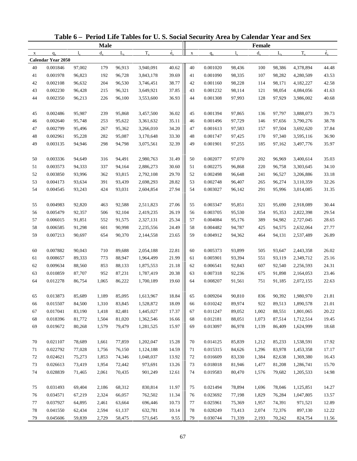|             |                           |        |             |             | Table 6 - Period Life Tables for U.S. Social Security Area by Calendar Year and Sex |                          |             |          |             |               |             |           |             |
|-------------|---------------------------|--------|-------------|-------------|-------------------------------------------------------------------------------------|--------------------------|-------------|----------|-------------|---------------|-------------|-----------|-------------|
|             |                           |        | <b>Male</b> |             |                                                                                     |                          |             |          |             | <b>Female</b> |             |           |             |
| $\mathbf X$ | $q_{x}$                   | 1.     | $d_{\rm v}$ | $L_{\rm v}$ | $T_{x}$                                                                             | $\overset{\circ}{e}_{x}$ | $\mathbf X$ | $q_{x}$  | $l_{\rm v}$ | $d_{\rm v}$   | $L_{\rm v}$ | $T_{x}$   | $\dot{e}_x$ |
|             | <b>Calendar Year 2050</b> |        |             |             |                                                                                     |                          |             |          |             |               |             |           |             |
| 40          | 0.001846                  | 97,002 | 179         | 96,913      | 3,940,091                                                                           | 40.62                    | 40          | 0.001020 | 98,436      | 100           | 98,386      | 4,378,894 | 44.48       |
| 41          | 0.001978                  | 96,823 | 192         | 96,728      | 3,843,178                                                                           | 39.69                    | 41          | 0.001090 | 98,335      | 107           | 98,282      | 4,280,509 | 43.53       |
| 42          | 0.002108                  | 96,632 | 204         | 96,530      | 3,746,451                                                                           | 38.77                    | 42          | 0.001160 | 98,228      | 114           | 98,171      | 4,182,227 | 42.58       |
| 43          | 0.002230                  | 96,428 | 215         | 96,321      | 3,649,921                                                                           | 37.85                    | 43          | 0.001232 | 98,114      | 121           | 98,054      | 4,084,056 | 41.63       |
| 44          | 0.002350                  | 96,213 | 226         | 96,100      | 3,553,600                                                                           | 36.93                    | 44          | 0.001308 | 97,993      | 128           | 97,929      | 3,986,002 | 40.68       |
| 45          | 0.002486                  | 95,987 | 239         | 95,868      | 3,457,500                                                                           | 36.02                    | 45          | 0.001394 | 97,865      | 136           | 97,797      | 3,888,073 | 39.73       |
| 46          | 0.002640                  | 95,748 | 253         | 95,622      | 3,361,632                                                                           | 35.11                    | 46          | 0.001496 | 97,729      | 146           | 97,656      | 3,790,276 | 38.78       |
| 47          | 0.002799                  | 95,496 | 267         | 95,362      | 3,266,010                                                                           | 34.20                    | 47          | 0.001613 | 97,583      | 157           | 97,504      | 3,692,620 | 37.84       |
| 48          | 0.002961                  | 95,228 | 282         | 95,087      | 3,170,648                                                                           | 33.30                    | 48          | 0.001747 | 97,425      | 170           | 97,340      | 3,595,116 | 36.90       |
| 49          | 0.003135                  | 94,946 | 298         | 94,798      | 3,075,561                                                                           | 32.39                    | 49          | 0.001901 | 97,255      | 185           | 97,162      | 3,497,776 | 35.97       |
| 50          | 0.003336                  | 94,649 | 316         | 94,491      | 2,980,763                                                                           | 31.49                    | 50          | 0.002077 | 97,070      | 202           | 96,969      | 3,400,614 | 35.03       |
| 51          | 0.003573                  | 94,333 | 337         | 94,164      | 2,886,273                                                                           | 30.60                    | 51          | 0.002275 | 96,868      | 220           | 96,758      | 3,303,645 | 34.10       |
| 52          | 0.003850                  | 93,996 | 362         | 93,815      | 2,792,108                                                                           | 29.70                    | 52          | 0.002498 | 96,648      | 241           | 96,527      | 3,206,886 | 33.18       |
| 53          | 0.004173                  | 93,634 | 391         | 93,439      | 2,698,293                                                                           | 28.82                    | 53          | 0.002748 | 96,407      | 265           | 96,274      | 3,110,359 | 32.26       |
| 54          | 0.004545                  | 93,243 | 424         | 93,031      | 2,604,854                                                                           | 27.94                    | 54          | 0.003027 | 96,142      | 291           | 95,996      | 3,014,085 | 31.35       |
| 55          | 0.004983                  | 92,820 | 463         | 92,588      | 2,511,823                                                                           | 27.06                    | 55          | 0.003347 | 95,851      | 321           | 95,690      | 2,918,089 | 30.44       |
| 56          | 0.005479                  | 92,357 | 506         | 92,104      | 2,419,235                                                                           | 26.19                    | 56          | 0.003705 | 95,530      | 354           | 95,353      | 2,822,398 | 29.54       |
| 57          | 0.006015                  | 91,851 | 552         | 91,575      | 2,327,131                                                                           | 25.34                    | 57          | 0.004084 | 95,176      | 389           | 94,982      | 2,727,045 | 28.65       |
| 58          | 0.006585                  | 91,298 | 601         | 90,998      | 2,235,556                                                                           | 24.49                    | 58          | 0.004482 | 94,787      | 425           | 94,575      | 2,632,064 | 27.77       |
| 59          | 0.007213                  | 90,697 | 654         | 90,370      | 2,144,558                                                                           | 23.65                    | 59          | 0.004912 | 94,362      | 464           | 94,131      | 2,537,489 | 26.89       |
|             |                           |        |             |             |                                                                                     |                          |             |          |             |               |             |           |             |
| 60          | 0.007882                  | 90,043 | 710         | 89,688      | 2,054,188                                                                           | 22.81                    | 60          | 0.005373 | 93,899      | 505           | 93,647      | 2,443,358 | 26.02       |
| 61          | 0.008657                  | 89,333 | 773         | 88,947      | 1,964,499                                                                           | 21.99                    | 61          | 0.005901 | 93,394      | 551           | 93,119      | 2,349,712 | 25.16       |
| 62          | 0.009634                  | 88,560 | 853         | 88,133      | 1,875,553                                                                           | 21.18                    | 62          | 0.006541 | 92,843      | 607           | 92,540      | 2,256,593 | 24.31       |
| 63          | 0.010859                  | 87,707 | 952         | 87,231      | 1,787,419                                                                           | 20.38                    | 63          | 0.007318 | 92,236      | 675           | 91,898      | 2,164,053 | 23.46       |
| 64          | 0.012278                  | 86,754 | 1,065       | 86,222      | 1,700,189                                                                           | 19.60                    | 64          | 0.008207 | 91,561      | 751           | 91,185      | 2,072,155 | 22.63       |
| 65          | 0.013873                  | 85,689 | 1,189       | 85,095      | 1,613,967                                                                           | 18.84                    | 65          | 0.009204 | 90,810      | 836           | 90,392      | 1,980,970 | 21.81       |
| 66          | 0.015507                  | 84,500 | 1,310       | 83,845      | 1,528,872                                                                           | 18.09                    | 66          | 0.010242 | 89,974      | 922           | 89,513      | 1,890,578 | 21.01       |
| 67          | 0.017041                  | 83,190 | 1,418       | 82,481      | 1,445,027                                                                           | 17.37                    | 67          | 0.011247 | 89,052      | 1,002         | 88,551      | 1,801,065 | 20.22       |
| 68          | 0.018396                  | 81,772 | 1,504       | 81,020      | 1,362,546                                                                           | 16.66                    | 68          | 0.012181 | 88,051      | 1,073         | 87,514      | 1,712,514 | 19.45       |
| 69          | 0.019672                  | 80,268 | 1,579       | 79,479      | 1,281,525                                                                           | 15.97                    | 69          | 0.013097 | 86,978      | 1,139         | 86,409      | 1,624,999 | 18.68       |
| 70          | 0.021107                  | 78,689 | 1,661       | 77,859      | 1,202,047                                                                           | 15.28                    | 70          | 0.014125 | 85,839      | 1,212         | 85,233      | 1,538,591 | 17.92       |
| 71          | 0.022792                  | 77,028 | 1,756       | 76,150      | 1,124,188                                                                           | 14.59                    | 71          | 0.015315 | 84,626      | 1,296         | 83,978      | 1,453,358 | 17.17       |
| 72          | 0.024621                  | 75,273 | 1,853       | 74,346      | 1,048,037                                                                           | 13.92                    | 72          | 0.016609 | 83,330      | 1,384         | 82,638      | 1,369,380 | 16.43       |
| 73          | 0.026613                  | 73,419 | 1,954       | 72,442      | 973,691                                                                             | 13.26                    | 73          | 0.018018 | 81,946      | 1,477         | 81,208      | 1,286,741 | 15.70       |
| 74          | 0.028839                  | 71,465 | 2,061       | 70,435      | 901,249                                                                             | 12.61                    | 74          | 0.019583 | 80,470      | 1,576         | 79,682      | 1,205,533 | 14.98       |
|             |                           |        |             |             |                                                                                     |                          |             |          |             |               |             |           |             |
| 75          | 0.031493                  | 69,404 | 2,186       | 68,312      | 830,814                                                                             | 11.97                    | 75          | 0.021494 | 78,894      | 1,696         | 78,046      | 1,125,851 | 14.27       |
| 76          | 0.034571                  | 67,219 | 2,324       | 66,057      | 762,502                                                                             | 11.34                    | 76          | 0.023692 | 77,198      | 1,829         | 76,284      | 1,047,805 | 13.57       |
| 77          | 0.037927                  | 64,895 | 2,461       | 63,664      | 696,446                                                                             | 10.73                    | 77          | 0.025961 | 75,369      | 1,957         | 74,391      | 971,521   | 12.89       |
| 78          | 0.041550                  | 62,434 | 2,594       | 61,137      | 632,781                                                                             | 10.14                    | 78          | 0.028249 | 73,413      | 2,074         | 72,376      | 897,130   | 12.22       |
| 79          | 0.045606                  | 59,839 | 2,729       | 58,475      | 571,645                                                                             | 9.55                     | 79          | 0.030744 | 71,339      | 2,193         | 70,242      | 824,754   | 11.56       |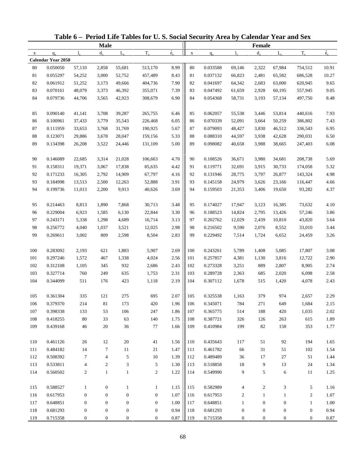|              |                    |                  |                  |                  | Table 6 - Period Life Tables for U.S. Social Security Area by Calendar Year and Sex |                          |             |          |                  |                  |                  |                  |             |
|--------------|--------------------|------------------|------------------|------------------|-------------------------------------------------------------------------------------|--------------------------|-------------|----------|------------------|------------------|------------------|------------------|-------------|
|              |                    |                  | <b>Male</b>      |                  |                                                                                     |                          |             |          |                  | <b>Female</b>    |                  |                  |             |
| $\mathbf{x}$ | $q_{x}$            | $l_{\rm v}$      | $d_{\rm v}$      | $L_{\rm v}$      | $T_{x}$                                                                             | $\overset{\circ}{e}_{x}$ | $\mathbf X$ | $q_{x}$  | $l_{\rm v}$      | $d_{x}$          | $L_{\rm v}$      | $T_{x}$          | $\dot{e}_x$ |
|              | Calendar Year 2050 |                  |                  |                  |                                                                                     |                          |             |          |                  |                  |                  |                  |             |
| 80           | 0.050050           | 57,110           | 2,858            | 55,681           | 513,170                                                                             | 8.99                     | 80          | 0.033588 | 69,146           | 2,322            | 67,984           | 754,512          | 10.91       |
| 81           | 0.055297           | 54,252           | 3,000            | 52,752           | 457,489                                                                             | 8.43                     | 81          | 0.037132 | 66,823           | 2,481            | 65,582           | 686,528          | 10.27       |
| 82           | 0.061912           | 51,252           | 3,173            | 49,666           | 404,736                                                                             | 7.90                     | 82          | 0.041697 | 64,342           | 2,683            | 63,000           | 620,945          | 9.65        |
| 83           | 0.070161           | 48,079           | 3,373            | 46,392           | 355,071                                                                             | 7.39                     | 83          | 0.047492 | 61,659           | 2,928            | 60,195           | 557,945          | 9.05        |
| 84           | 0.079736           | 44,706           | 3,565            | 42,923           | 308,679                                                                             | 6.90                     | 84          | 0.054368 | 58,731           | 3,193            | 57,134           | 497,750          | 8.48        |
| 85           | 0.090140           | 41,141           | 3,708            | 39,287           | 265,755                                                                             | 6.46                     | 85          | 0.062057 | 55,538           | 3,446            | 53,814           | 440,616          | 7.93        |
| 86           | 0.100961           | 37,433           | 3,779            | 35,543           | 226,468                                                                             | 6.05                     | 86          | 0.070339 | 52,091           | 3,664            | 50,259           | 386,802          | 7.43        |
| 87           | 0.111959           | 33,653           | 3,768            | 31,769           | 190,925                                                                             | 5.67                     | 87          | 0.079093 | 48,427           | 3,830            | 46,512           | 336,543          | 6.95        |
| $88\,$       | 0.123071           | 29,886           | 3,678            | 28,047           | 159,156                                                                             | 5.33                     | 88          | 0.088310 | 44,597           | 3,938            | 42,628           | 290,031          | 6.50        |
| 89           | 0.134398           | 26,208           | 3,522            | 24,446           | 131,109                                                                             | 5.00                     | 89          | 0.098082 | 40,658           | 3,988            | 38,665           | 247,403          | 6.08        |
| 90           | 0.146089           | 22,685           | 3,314            | 21,028           | 106,663                                                                             | 4.70                     | 90          | 0.108526 | 36,671           | 3,980            | 34,681           | 208,738          | 5.69        |
| 91           | 0.158311           | 19,371           | 3,067            | 17,838           | 85,635                                                                              | 4.42                     | 91          | 0.119771 | 32,691           | 3,915            | 30,733           | 174,058          | 5.32        |
| 92           | 0.171233           | 16,305           | 2,792            | 14,909           | 67,797                                                                              | 4.16                     | 92          | 0.131946 | 28,775           | 3,797            | 26,877           | 143,324          | 4.98        |
| 93           | 0.184998           | 13,513           | 2,500            | 12,263           | 52,888                                                                              | 3.91                     | 93          | 0.145158 | 24,979           | 3,626            | 23,166           | 116,447          | 4.66        |
| 94           | 0.199736           | 11,013           | 2,200            | 9,913            | 40,626                                                                              | 3.69                     | 94          | 0.159503 | 21,353           | 3,406            | 19,650           | 93,282           | 4.37        |
| 95           | 0.214463           | 8,813            | 1,890            | 7,868            | 30,713                                                                              | 3.48                     | 95          | 0.174027 | 17,947           | 3,123            | 16,385           | 73,632           | 4.10        |
| 96           | 0.229004           | 6,923            | 1,585            | 6,130            | 22,844                                                                              | 3.30                     | 96          | 0.188523 | 14,824           | 2,795            | 13,426           | 57,246           | 3.86        |
| 97           | 0.243171           | 5,338            | 1,298            | 4,689            | 16,714                                                                              | 3.13                     | 97          | 0.202762 | 12,029           | 2,439            | 10,810           | 43,820           | 3.64        |
| 98           | 0.256772           | 4,040            | 1,037            | 3,521            | 12,025                                                                              | 2.98                     | 98          | 0.216502 | 9,590            | 2,076            | 8,552            | 33,010           | 3.44        |
| 99           | 0.269611           | 3,002            | 809              | 2,598            | 8,504                                                                               | 2.83                     | 99          | 0.229492 | 7,514            | 1,724            | 6,652            | 24,459           | 3.26        |
| 100          | 0.283092           | 2,193            | 621              | 1,883            | 5,907                                                                               | 2.69                     | 100         | 0.243261 | 5,789            | 1,408            | 5,085            | 17,807           | 3.08        |
| 101          | 0.297246           | 1,572            | 467              | 1,338            | 4,024                                                                               | 2.56                     | 101         | 0.257857 | 4,381            | 1,130            | 3,816            | 12,722           | 2.90        |
| 102          | 0.312108           | 1,105            | 345              | 932              | 2,686                                                                               | 2.43                     | 102         | 0.273328 | 3,251            | 889              | 2,807            | 8,905            | 2.74        |
| 103          | 0.327714           | 760              | 249              | 635              | 1,753                                                                               | 2.31                     | 103         | 0.289728 | 2,363            | 685              | 2,020            | 6,098            | 2.58        |
| 104          | 0.344099           | 511              | 176              | 423              | 1,118                                                                               | 2.19                     | 104         | 0.307112 | 1,678            | 515              | 1,420            | 4,078            | 2.43        |
| 105          | 0.361304           | 335              | 121              | 275              | 695                                                                                 | $2.07\,$                 | 105         | 0.325538 | 1,163            | 379              | 974              | 2,657            | 2.29        |
| 106          | 0.379370           | 214              | $81\,$           | 173              | 420                                                                                 | 1.96                     | 106         | 0.345071 | 784              | 271              | 649              | 1,684            | 2.15        |
| 107          | 0.398338           | 133              | 53               | 106              | 247                                                                                 | 1.86                     | 107         | 0.365775 | 514              | 188              | 420              | 1,035            | $2.02\,$    |
| 108          | 0.418255           | 80               | 33               | 63               | 140                                                                                 | 1.75                     | 108         | 0.387721 | 326              | 126              | 263              | 615              | 1.89        |
| 109          | 0.439168           | $46\,$           | 20               | 36               | 77                                                                                  | 1.66                     | 109         | 0.410984 | 199              | 82               | 158              | 353              | 1.77        |
| 110          | 0.461126           | $26\,$           | 12               | 20               | 41                                                                                  | 1.56                     | 110         | 0.435643 | 117              | 51               | 92               | 194              | 1.65        |
| 111          | 0.484182           | 14               | $\tau$           | 11               | 21                                                                                  | 1.47                     | 111         | 0.461782 | 66               | 31               | 51               | 102              | 1.54        |
| 112          | 0.508392           | 7                | 4                | 5                | 10                                                                                  | 1.39                     | 112         | 0.489489 | 36               | 17               | 27               | 51               | 1.44        |
| 113          | 0.533811           | $\overline{4}$   | $\overline{c}$   | 3                | 5                                                                                   | 1.30                     | 113         | 0.518858 | 18               | 9                | 13               | 24               | 1.34        |
| 114          | 0.560502           | $\overline{c}$   | $\mathbf{1}$     | $\mathbf{1}$     | $\mathbf{2}$                                                                        | 1.22                     | 114         | 0.549990 | 9                | 5                | 6                | 11               | 1.25        |
|              |                    |                  |                  |                  |                                                                                     |                          |             |          |                  |                  |                  |                  |             |
| 115          | 0.588527           | $\mathbf{1}$     | $\boldsymbol{0}$ | 1                | 1                                                                                   | 1.15                     | 115         | 0.582989 | 4                | $\overline{c}$   | 3                | 5                | 1.16        |
| 116          | 0.617953           | $\boldsymbol{0}$ | $\boldsymbol{0}$ | $\boldsymbol{0}$ | $\boldsymbol{0}$                                                                    | 1.07                     | 116         | 0.617953 | $\overline{2}$   | $\mathbf{1}$     | $\mathbf{1}$     | $\overline{c}$   | 1.07        |
| 117          | 0.648851           | $\boldsymbol{0}$ | $\boldsymbol{0}$ | $\boldsymbol{0}$ | $\mathbf{0}$                                                                        | 1.00                     | 117         | 0.648851 | $\mathbf{1}$     | $\boldsymbol{0}$ | $\boldsymbol{0}$ | $\mathbf{1}$     | 1.00        |
| 118          | 0.681293           | $\boldsymbol{0}$ | $\boldsymbol{0}$ | $\boldsymbol{0}$ | $\boldsymbol{0}$                                                                    | 0.94                     | 118         | 0.681293 | $\boldsymbol{0}$ | $\boldsymbol{0}$ | $\boldsymbol{0}$ | $\boldsymbol{0}$ | 0.94        |
| 119          | 0.715358           | $\boldsymbol{0}$ | $\boldsymbol{0}$ | $\boldsymbol{0}$ | $\boldsymbol{0}$                                                                    | $\rm 0.87$               | 119         | 0.715358 | $\boldsymbol{0}$ | $\boldsymbol{0}$ | $\boldsymbol{0}$ | $\boldsymbol{0}$ | 0.87        |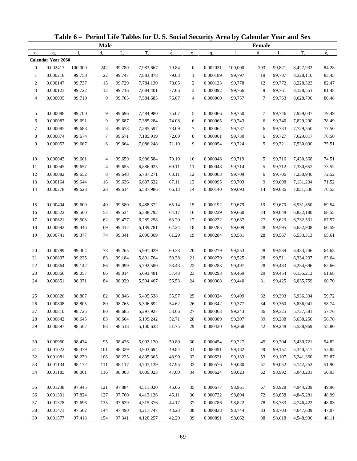|                |                           |             |             |             | Table 6 - Period Life Tables for U.S. Social Security Area by Calendar Year and Sex |                          |                  |          |             |               |             |           |             |
|----------------|---------------------------|-------------|-------------|-------------|-------------------------------------------------------------------------------------|--------------------------|------------------|----------|-------------|---------------|-------------|-----------|-------------|
|                |                           |             | <b>Male</b> |             |                                                                                     |                          |                  |          |             | <b>Female</b> |             |           |             |
| $\mathbf X$    | $q_{x}$                   | $l_{\rm v}$ | $d_{\rm v}$ | $L_{\rm v}$ | $T_{x}$                                                                             | $\overset{\circ}{e}_{x}$ | $\mathbf X$      | $q_{x}$  | $l_{\rm x}$ | $d_{\rm v}$   | $L_{\rm v}$ | $T_{x}$   | $\dot{e}_x$ |
|                | <b>Calendar Year 2060</b> |             |             |             |                                                                                     |                          |                  |          |             |               |             |           |             |
| $\mathbf{0}$   | 0.002417                  | 100,000     | 242         | 99,789      | 7,983,667                                                                           | 79.84                    | $\mathbf{0}$     | 0.002031 | 100,000     | 203           | 99,821      | 8,427,932 | 84.28       |
| $\mathbf{1}$   | 0.000218                  | 99,758      | 22          | 99,747      | 7,883,878                                                                           | 79.03                    | $\mathbf{1}$     | 0.000189 | 99,797      | 19            | 99,787      | 8,328,110 | 83.45       |
| $\overline{c}$ | 0.000147                  | 99,737      | 15          | 99,729      | 7,784,130                                                                           | 78.05                    | $\boldsymbol{2}$ | 0.000123 | 99,778      | 12            | 99,772      | 8,228,323 | 82.47       |
| 3              | 0.000123                  | 99,722      | 12          | 99,716      | 7,684,401                                                                           | 77.06                    | 3                | 0.000092 | 99,766      | 9             | 99,761      | 8,128,551 | 81.48       |
| 4              | 0.000095                  | 99,710      | 9           | 99,705      | 7,584,685                                                                           | 76.07                    | 4                | 0.000069 | 99,757      | 7             | 99,753      | 8,028,790 | 80.48       |
| 5              | 0.000088                  | 99,700      | 9           | 99,696      | 7,484,980                                                                           | 75.07                    | 5                | 0.000066 | 99,750      | 7             | 99,746      | 7,929,037 | 79.49       |
| 6              | 0.000087                  | 99,691      | 9           | 99,687      | 7,385,284                                                                           | 74.08                    | 6                | 0.000065 | 99,743      | 6             | 99,740      | 7,829,290 | 78.49       |
| $\tau$         | 0.000085                  | 99,683      | 8           | 99,678      | 7,285,597                                                                           | 73.09                    | 7                | 0.000064 | 99,737      | 6             | 99,733      | 7,729,550 | 77.50       |
| 8              | 0.000074                  | 99,674      | 7           | 99,671      | 7,185,919                                                                           | 72.09                    | 8                | 0.000061 | 99,730      | 6             | 99,727      | 7,629,817 | 76.50       |
| 9              | 0.000057                  | 99,667      | 6           | 99,664      | 7,086,248                                                                           | 71.10                    | 9                | 0.000054 | 99,724      | 5             | 99,721      | 7,530,090 | 75.51       |
| 10             | 0.000043                  | 99,661      | 4           | 99,659      | 6,986,584                                                                           | 70.10                    | 10               | 0.000048 | 99,719      | 5             | 99,716      | 7,430,368 | 74.51       |
| 11             | 0.000045                  | 99,657      | 4           | 99,655      | 6,886,925                                                                           | 69.11                    | 11               | 0.000048 | 99,714      | 5             | 99,712      | 7,330,652 | 73.52       |
| 12             | 0.000082                  | 99,652      | 8           | 99,648      | 6,787,271                                                                           | 68.11                    | 12               | 0.000063 | 99,709      | 6             | 99,706      | 7,230,940 | 72.52       |
| 13             | 0.000164                  | 99,644      | 16          | 99,636      | 6,687,622                                                                           | 67.11                    | 13               | 0.000095 | 99,703      | 9             | 99,698      | 7,131,234 | 71.52       |
| 14             | 0.000278                  | 99,628      | 28          | 99,614      | 6,587,986                                                                           | 66.13                    | 14               | 0.000140 | 99,693      | 14            | 99,686      | 7,031,536 | 70.53       |
| 15             | 0.000404                  | 99,600      | 40          | 99,580      | 6,488,372                                                                           | 65.14                    | 15               | 0.000192 | 99,679      | 19            | 99,670      | 6,931,850 | 69.54       |
| 16             | 0.000522                  | 99,560      | 52          | 99,534      | 6,388,792                                                                           | 64.17                    | 16               | 0.000239 | 99,660      | 24            | 99,648      | 6,832,180 | 68.55       |
| 17             | 0.000621                  | 99,508      | 62          | 99,477      | 6,289,258                                                                           | 63.20                    | 17               | 0.000272 | 99,637      | 27            | 99,623      | 6,732,531 | 67.57       |
| 18             | 0.000692                  | 99,446      | 69          | 99,412      | 6,189,781                                                                           | 62.24                    | 18               | 0.000285 | 99,609      | 28            | 99,595      | 6,632,908 | 66.59       |
| 19             | 0.000741                  | 99,377      | 74          | 99,341      | 6,090,369                                                                           | 61.29                    | 19               | 0.000284 | 99,581      | 28            | 99,567      | 6,533,313 | 65.61       |
| 20             | 0.000789                  | 99,304      | 78          | 99,265      | 5,991,029                                                                           | 60.33                    | 20               | 0.000279 | 99,553      | 28            | 99,539      | 6,433,746 | 64.63       |
| $21\,$         | 0.000837                  | 99,225      | 83          | 99,184      | 5,891,764                                                                           | 59.38                    | 21               | 0.000279 | 99,525      | 28            | 99,511      | 6,334,207 | 63.64       |
| 22             | 0.000864                  | 99,142      | 86          | 99,099      | 5,792,580                                                                           | 58.43                    | 22               | 0.000283 | 99,497      | 28            | 99,483      | 6,234,696 | 62.66       |
| 23             | 0.000866                  | 99,057      | 86          | 99,014      | 5,693,481                                                                           | 57.48                    | 23               | 0.000293 | 99,469      | 29            | 99,454      | 6,135,213 | 61.68       |
| 24             | 0.000851                  | 98,971      | 84          | 98,929      | 5,594,467                                                                           | 56.53                    | 24               | 0.000308 | 99,440      | 31            | 99,425      | 6,035,759 | 60.70       |
|                |                           |             |             |             |                                                                                     |                          |                  |          |             |               |             |           |             |
| 25             | 0.000826                  | 98,887      | 82          | 98,846      | 5,495,538                                                                           | 55.57                    | 25               | 0.000324 | 99,409      | 32            | 99,393      | 5,936,334 | 59.72       |
| 26             | 0.000808                  | 98,805      | 80          | 98,765      | 5,396,692                                                                           | 54.62                    | 26               | 0.000342 | 99,377      | 34            | 99,360      | 5,836,941 | 58.74       |
| 27             | 0.000810                  | 98,725      | 80          | 98,685      | 5,297,927                                                                           | 53.66                    | 27               | 0.000363 | 99,343      | 36            | 99,325      | 5,737,581 | 57.76       |
| 28             | 0.000842                  | 98,645      | 83          | 98,604      | 5,199,242                                                                           | 52.71                    | 28               | 0.000389 | 99,307      | 39            | 99,288      | 5,638,256 | 56.78       |
| 29             | 0.000897                  | 98,562      | 88          | 98,518      | 5,100,638                                                                           | 51.75                    | 29               | 0.000420 | 99,268      | 42            | 99,248      | 5,538,969 | 55.80       |
| 30             | 0.000960                  | 98,474      | 95          | 98,426      | 5,002,120                                                                           | 50.80                    | 30               | 0.000454 | 99,227      | 45            | 99,204      | 5,439,721 | 54.82       |
| 31             | 0.001022                  | 98,379      | 101         | 98,329      | 4,903,694                                                                           | 49.84                    | 31               | 0.000491 | 99,182      | 49            | 99,157      | 5,340,517 | 53.85       |
| 32             | 0.001081                  | 98,279      | 106         | 98,225      | 4,805,365                                                                           | 48.90                    | 32               | 0.000531 | 99,133      | 53            | 99,107      | 5,241,360 | 52.87       |
| 33             | 0.001134                  | 98,172      | 111         | 98,117      | 4,707,139                                                                           | 47.95                    | 33               | 0.000576 | 99,080      | 57            | 99,052      | 5,142,253 | 51.90       |
| 34             | 0.001185                  | 98,061      | 116         | 98,003      | 4,609,023                                                                           | 47.00                    | 34               | 0.000624 | 99,023      | 62            | 98,992      | 5,043,201 | 50.93       |
| 35             | 0.001238                  | 97,945      | 121         | 97,884      | 4,511,020                                                                           | 46.06                    | 35               | 0.000677 | 98,961      | 67            | 98,928      | 4,944,209 | 49.96       |
| 36             | 0.001301                  | 97,824      | 127         | 97,760      | 4,413,136                                                                           | 45.11                    | 36               | 0.000732 | 98,894      | 72            | 98,858      | 4,845,281 | 48.99       |
| 37             | 0.001378                  | 97,696      | 135         | 97,629      | 4,315,376                                                                           | 44.17                    | 37               | 0.000786 | 98,822      | 78            | 98,783      | 4,746,422 | 48.03       |
| 38             | 0.001471                  | 97,562      | 144         | 97,490      | 4,217,747                                                                           | 43.23                    | 38               | 0.000838 | 98,744      | 83            | 98,703      | 4,647,639 | 47.07       |
| 39             | 0.001577                  | 97,418      | 154         | 97,341      | 4,120,257                                                                           | 42.29                    | 39               | 0.000891 | 98,662      | 88            | 98,618      | 4,548,936 | 46.11       |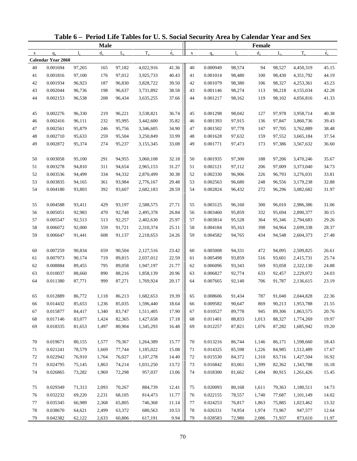|             |                           |              |             |             | Table 6 - Period Life Tables for U.S. Social Security Area by Calendar Year and Sex |             |             |          |             |         |             |           |             |
|-------------|---------------------------|--------------|-------------|-------------|-------------------------------------------------------------------------------------|-------------|-------------|----------|-------------|---------|-------------|-----------|-------------|
|             |                           |              | <b>Male</b> |             |                                                                                     |             |             |          |             | Female  |             |           |             |
| $\mathbf X$ | $q_{x}$                   | $\mathbf{l}$ | $d_{\rm v}$ | $L_{\rm v}$ | $T_{x}$                                                                             | $\dot{e}_x$ | $\mathbf X$ | $q_{x}$  | $l_{\rm x}$ | $d_{x}$ | $L_{\rm v}$ | $T_{x}$   | $\dot{e}_x$ |
|             | <b>Calendar Year 2060</b> |              |             |             |                                                                                     |             |             |          |             |         |             |           |             |
| 40          | 0.001694                  | 97,265       | 165         | 97,182      | 4,022,916                                                                           | 41.36       | 40          | 0.000949 | 98,574      | 94      | 98,527      | 4,450,319 | 45.15       |
| 41          | 0.001816                  | 97,100       | 176         | 97,012      | 3,925,733                                                                           | 40.43       | 41          | 0.001014 | 98,480      | 100     | 98,430      | 4,351,792 | 44.19       |
| 42          | 0.001934                  | 96,923       | 187         | 96,830      | 3,828,722                                                                           | 39.50       | 42          | 0.001079 | 98,380      | 106     | 98,327      | 4,253,361 | 43.23       |
| 43          | 0.002044                  | 96,736       | 198         | 96,637      | 3,731,892                                                                           | 38.58       | 43          | 0.001146 | 98,274      | 113     | 98,218      | 4,155,034 | 42.28       |
| 44          | 0.002153                  | 96,538       | 208         | 96,434      | 3,635,255                                                                           | 37.66       | 44          | 0.001217 | 98,162      | 119     | 98,102      | 4,056,816 | 41.33       |
| 45          | 0.002276                  | 96,330       | 219         | 96,221      | 3,538,821                                                                           | 36.74       | 45          | 0.001298 | 98,042      | 127     | 97,978      | 3,958,714 | 40.38       |
| 46          | 0.002416                  | 96,111       | 232         | 95,995      | 3,442,600                                                                           | 35.82       | 46          | 0.001393 | 97,915      | 136     | 97,847      | 3,860,736 | 39.43       |
| 47          | 0.002561                  | 95,879       | 246         | 95,756      | 3,346,605                                                                           | 34.90       | 47          | 0.001502 | 97,778      | 147     | 97,705      | 3,762,889 | 38.48       |
| 48          | 0.002710                  | 95,633       | 259         | 95,504      | 3,250,849                                                                           | 33.99       | 48          | 0.001628 | 97,632      | 159     | 97,552      | 3,665,184 | 37.54       |
| 49          | 0.002872                  | 95,374       | 274         | 95,237      | 3,155,345                                                                           | 33.08       | 49          | 0.001771 | 97,473      | 173     | 97,386      | 3,567,632 | 36.60       |
| 50          | 0.003058                  | 95,100       | 291         | 94,955      | 3,060,108                                                                           | 32.18       | 50          | 0.001935 | 97,300      | 188     | 97,206      | 3,470,246 | 35.67       |
| 51          | 0.003278                  | 94,810       | 311         | 94,654      | 2,965,153                                                                           | 31.27       | 51          | 0.002121 | 97,112      | 206     | 97,009      | 3,373,040 | 34.73       |
| 52          | 0.003536                  | 94,499       | 334         | 94,332      | 2,870,499                                                                           | 30.38       | 52          | 0.002330 | 96,906      | 226     | 96,793      | 3,276,031 | 33.81       |
| 53          | 0.003835                  | 94,165       | 361         | 93,984      | 2,776,167                                                                           | 29.48       | 53          | 0.002563 | 96,680      | 248     | 96,556      | 3,179,238 | 32.88       |
| 54          | 0.004180                  | 93,803       | 392         | 93,607      | 2,682,183                                                                           | 28.59       | 54          | 0.002824 | 96,432      | 272     | 96,296      | 3,082,682 | 31.97       |
| 55          | 0.004588                  | 93,411       | 429         | 93,197      | 2,588,575                                                                           | 27.71       | 55          | 0.003125 | 96,160      | 300     | 96,010      | 2,986,386 | 31.06       |
| 56          | 0.005051                  | 92,983       | 470         | 92,748      | 2,495,378                                                                           | 26.84       | 56          | 0.003460 | 95,859      | 332     | 95,694      | 2,890,377 | 30.15       |
| 57          | 0.005547                  | 92,513       | 513         | 92,257      | 2,402,630                                                                           | 25.97       | 57          | 0.003814 | 95,528      | 364     | 95,346      | 2,794,683 | 29.26       |
| 58          | 0.006072                  | 92,000       | 559         | 91,721      | 2,310,374                                                                           | 25.11       | 58          | 0.004184 | 95,163      | 398     | 94,964      | 2,699,338 | 28.37       |
| 59          | 0.006647                  | 91,441       | 608         | 91,137      | 2,218,653                                                                           | 24.26       | 59          | 0.004582 | 94,765      | 434     | 94,548      | 2,604,373 | 27.48       |
|             |                           |              |             |             |                                                                                     |             |             |          |             |         |             |           |             |
| 60          | 0.007259                  | 90,834       | 659         | 90,504      | 2,127,516                                                                           | 23.42       | 60          | 0.005008 | 94,331      | 472     | 94,095      | 2,509,825 | 26.61       |
| 61          | 0.007973                  | 90,174       | 719         | 89,815      | 2,037,012                                                                           | 22.59       | 61          | 0.005498 | 93,859      | 516     | 93,601      | 2,415,731 | 25.74       |
| 62          | 0.008884                  | 89,455       | 795         | 89,058      | 1,947,197                                                                           | 21.77       | 62          | 0.006096 | 93,343      | 569     | 93,058      | 2,322,130 | 24.88       |
| 63          | 0.010037                  | 88,660       | 890         | 88,216      | 1,858,139                                                                           | 20.96       | 63          | 0.006827 | 92,774      | 633     | 92,457      | 2,229,072 | 24.03       |
| 64          | 0.011380                  | 87,771       | 999         | 87,271      | 1,769,924                                                                           | 20.17       | 64          | 0.007665 | 92,140      | 706     | 91,787      | 2,136,615 | 23.19       |
| 65          | 0.012889                  | 86,772       | 1,118       | 86,213      | 1,682,653                                                                           | 19.39       | 65          | 0.008606 | 91,434      | 787     | 91,040      | 2,044,828 | 22.36       |
| 66          | 0.014432                  | 85,653       | 1,236       | 85,035      | 1,596,440                                                                           | 18.64       | 66          | 0.009582 | 90,647      | 869     | 90,213      | 1,953,788 | 21.55       |
| 67          | 0.015877                  | 84,417       | 1,340       | 83,747      | 1,511,405                                                                           | 17.90       | 67          | 0.010527 | 89,778      | 945     | 89,306      | 1,863,575 | 20.76       |
| 68          | 0.017146                  | 83,077       | 1,424       | 82,365      | 1,427,658                                                                           | 17.18       | 68          | 0.011401 | 88,833      | 1,013   | 88,327      | 1,774,269 | 19.97       |
| 69          | 0.018335                  | 81,653       | 1,497       | 80,904      | 1,345,293                                                                           | 16.48       | 69          | 0.012257 | 87,821      | 1,076   | 87,282      | 1,685,942 | 19.20       |
| 70          | 0.019671                  | 80,155       | 1,577       | 79,367      | 1,264,389                                                                           | 15.77       | 70          | 0.013216 | 86,744      | 1,146   | 86,171      | 1,598,660 | 18.43       |
| 71          | 0.021241                  | 78,579       | 1,669       | 77,744      | 1,185,022                                                                           | 15.08       | 71          | 0.014325 | 85,598      | 1,226   | 84,985      | 1,512,489 | 17.67       |
| 72          | 0.022942                  | 76,910       | 1,764       | 76,027      | 1,107,278                                                                           | 14.40       | 72          | 0.015530 | 84,372      | 1,310   | 83,716      | 1,427,504 | 16.92       |
| 73          | 0.024795                  | 75,145       | 1,863       | 74,214      | 1,031,250                                                                           | 13.72       | 73          | 0.016842 | 83,061      | 1,399   | 82,362      | 1,343,788 | 16.18       |
| 74          | 0.026865                  | 73,282       | 1,969       | 72,298      | 957,037                                                                             | 13.06       | 74          | 0.018300 | 81,662      | 1,494   | 80,915      | 1,261,426 | 15.45       |
| 75          | 0.029349                  | 71,313       | 2,093       | 70,267      | 884,739                                                                             | 12.41       | 75          | 0.020093 | 80,168      | 1,611   | 79,363      | 1,180,511 | 14.73       |
| 76          | 0.032232                  | 69,220       | 2,231       | 68,105      | 814,473                                                                             | 11.77       | 76          | 0.022155 | 78,557      | 1,740   | 77,687      | 1,101,149 | 14.02       |
| 77          | 0.035345                  | 66,989       | 2,368       | 65,805      | 746,368                                                                             | 11.14       | 77          | 0.024253 | 76,817      | 1,863   | 75,885      | 1,023,462 | 13.32       |
| 78          | 0.038670                  | 64,621       | 2,499       | 63,372      | 680,563                                                                             | 10.53       | 78          | 0.026331 | 74,954      | 1,974   | 73,967      | 947,577   | 12.64       |
| 79          | 0.042382                  | 62,122       | 2,633       | 60,806      | 617,191                                                                             | 9.94        | 79          | 0.028583 | 72,980      | 2,086   | 71,937      | 873,610   | 11.97       |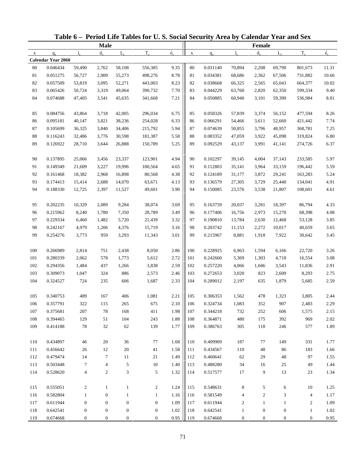|              |                           |                  |                  |                  | Table 6 – Period Life Tables for U.S. Social Security Area by Calendar Year and Sex |                          |             |          |                  |                  |                  |                  |             |
|--------------|---------------------------|------------------|------------------|------------------|-------------------------------------------------------------------------------------|--------------------------|-------------|----------|------------------|------------------|------------------|------------------|-------------|
|              |                           |                  | <b>Male</b>      |                  |                                                                                     |                          |             |          |                  | <b>Female</b>    |                  |                  |             |
| $\mathbf{x}$ | $q_{x}$                   | $l_{\rm x}$      | $d_{\rm v}$      | $L_{\rm v}$      | $T_{x}$                                                                             | $\overset{\circ}{e}_{x}$ | $\mathbf X$ | $q_{x}$  | $l_{\rm v}$      | $d_{x}$          | $L_{\rm v}$      | $T_{x}$          | $\dot{e}_x$ |
|              | <b>Calendar Year 2060</b> |                  |                  |                  |                                                                                     |                          |             |          |                  |                  |                  |                  |             |
| 80           | 0.046434                  | 59,490           | 2,762            | 58,108           | 556,385                                                                             | 9.35                     | 80          | 0.031140 | 70,894           | 2,208            | 69,790           | 801,673          | 11.31       |
| 81           | 0.051275                  | 56,727           | 2,909            | 55,273           | 498,276                                                                             | 8.78                     | 81          | 0.034381 | 68,686           | 2,362            | 67,506           | 731,882          | 10.66       |
| 82           | 0.057509                  | 53,819           | 3,095            | 52,271           | 443,003                                                                             | 8.23                     | 82          | 0.038668 | 66,325           | 2,565            | 65,043           | 664,377          | 10.02       |
| 83           | 0.065426                  | 50,724           | 3,319            | 49,064           | 390,732                                                                             | 7.70                     | 83          | 0.044229 | 63,760           | 2,820            | 62,350           | 599,334          | 9.40        |
| 84           | 0.074688                  | 47,405           | 3,541            | 45,635           | 341,668                                                                             | 7.21                     | 84          | 0.050885 | 60,940           | 3,101            | 59,390           | 536,984          | 8.81        |
| 85           | 0.084756                  | 43,864           | 3,718            | 42,005           | 296,034                                                                             | 6.75                     | 85          | 0.058326 | 57,839           | 3,374            | 56,152           | 477,594          | 8.26        |
| 86           | 0.095181                  | 40,147           | 3,821            | 38,236           | 254,028                                                                             | 6.33                     | 86          | 0.066291 | 54,466           | 3,611            | 52,660           | 421,442          | 7.74        |
| 87           | 0.105699                  | 36,325           | 3,840            | 34,406           | 215,792                                                                             | 5.94                     | 87          | 0.074639 | 50,855           | 3,796            | 48,957           | 368,781          | 7.25        |
| $88\,$       | 0.116243                  | 32,486           | 3,776            | 30,598           | 181,387                                                                             | 5.58                     | 88          | 0.083352 | 47,059           | 3,922            | 45,098           | 319,824          | 6.80        |
| 89           | 0.126922                  | 28,710           | 3,644            | 26,888           | 150,789                                                                             | 5.25                     | 89          | 0.092529 | 43,137           | 3,991            | 41,141           | 274,726          | 6.37        |
| 90           | 0.137895                  | 25,066           | 3,456            | 23,337           | 123,901                                                                             | 4.94                     | 90          | 0.102297 | 39,145           | 4,004            | 37,143           | 233,585          | 5.97        |
| 91           | 0.149349                  | 21,609           | 3,227            | 19,996           | 100,564                                                                             | 4.65                     | 91          | 0.112803 | 35,141           | 3,964            | 33,159           | 196,442          | 5.59        |
| 92           | 0.161468                  | 18,382           | 2,968            | 16,898           | 80,568                                                                              | 4.38                     | 92          | 0.124189 | 31,177           | 3,872            | 29,241           | 163,283          | 5.24        |
| 93           | 0.174413                  | 15,414           | 2,688            | 14,070           | 63,671                                                                              | 4.13                     | 93          | 0.136579 | 27,305           | 3,729            | 25,440           | 134,041          | 4.91        |
| 94           | 0.188330                  | 12,725           | 2,397            | 11,527           | 49,601                                                                              | 3.90                     | 94          | 0.150085 | 23,576           | 3,538            | 21,807           | 108,601          | 4.61        |
| 95           | 0.202235                  | 10,329           | 2,089            | 9,284            | 38,074                                                                              | 3.69                     | 95          | 0.163759 | 20,037           | 3,281            | 18,397           | 86,794           | 4.33        |
| 96           | 0.215962                  | 8,240            | 1,780            | 7,350            | 28,789                                                                              | 3.49                     | 96          | 0.177406 | 16,756           | 2,973            | 15,270           | 68,398           | 4.08        |
| 97           | 0.229334                  | 6,460            | 1,482            | 5,720            | 21,439                                                                              | 3.32                     | 97          | 0.190810 | 13,784           | 2,630            | 12,468           | 53,128           | 3.85        |
| 98           | 0.242167                  | 4,979            | 1,206            | 4,376            | 15,719                                                                              | 3.16                     | 98          | 0.203742 | 11,153           | 2,272            | 10,017           | 40,659           | 3.65        |
| 99           | 0.254276                  | 3,773            | 959              | 3,293            | 11,343                                                                              | 3.01                     | 99          | 0.215967 | 8,881            | 1,918            | 7,922            | 30,642           | 3.45        |
|              |                           |                  |                  |                  |                                                                                     |                          |             |          |                  |                  |                  |                  |             |
| 100          | 0.266989                  | 2,814            | 751              | 2,438            | 8,050                                                                               | 2.86                     | 100         | 0.228925 | 6,963            | 1,594            | 6,166            | 22,720           | 3.26        |
| 101          | 0.280339                  | 2,062            | 578              | 1,773            | 5,612                                                                               | 2.72                     | 101         | 0.242660 | 5,369            | 1,303            | 4,718            | 16,554           | 3.08        |
| 102          | 0.294356                  | 1,484            | 437              | 1,266            | 3,838                                                                               | 2.59                     | 102         | 0.257220 | 4,066            | 1,046            | 3,543            | 11,836           | 2.91        |
| 103          | 0.309073                  | 1,047            | 324              | 886              | 2,573                                                                               | 2.46                     | 103         | 0.272653 | 3,020            | 823              | 2,609            | 8,293            | 2.75        |
| 104          | 0.324527                  | 724              | 235              | 606              | 1,687                                                                               | 2.33                     | 104         | 0.289012 | 2,197            | 635              | 1,879            | 5,685            | 2.59        |
| 105          | 0.340753                  | 489              | 167              | 406              | 1,081                                                                               | 2.21                     | 105         | 0.306353 | 1,562            | 478              | 1,323            | 3,805            | 2.44        |
| 106          | 0.357791                  | 322              | 115              | 265              | 675                                                                                 | 2.10                     | 106         | 0.324734 | 1,083            | 352              | 907              | 2,483            | 2.29        |
| 107          | 0.375681                  | 207              | 78               | 168              | 411                                                                                 | 1.98                     | 107         | 0.344218 | 732              | 252              | 606              | 1,575            | 2.15        |
| 108          | 0.394465                  | 129              | 51               | 104              | 243                                                                                 | 1.88                     | 108         | 0.364871 | 480              | 175              | 392              | 969              | 2.02        |
| 109          | 0.414188                  | 78               | 32               | 62               | 139                                                                                 | 1.77                     | 109         | 0.386763 | 305              | 118              | 246              | 577              | 1.89        |
| 110          | 0.434897                  | 46               | 20               | 36               | 77                                                                                  | 1.68                     | 110         | 0.409969 | 187              | 77               | 149              | 331              | 1.77        |
| 111          | 0.456642                  | 26               | 12               | 20               | 41                                                                                  | 1.58                     | 111         | 0.434567 | 110              | 48               | 86               | 183              | 1.66        |
| 112          | 0.479474                  | 14               | $\tau$           | 11               | 21                                                                                  | 1.49                     | 112         | 0.460641 | 62               | 29               | 48               | 97               | 1.55        |
| 113          | 0.503448                  | $\tau$           | 4                | 5                | 10                                                                                  | 1.40                     | 113         | 0.488280 | 34               | 16               | 25               | 49               | 1.44        |
| 114          | 0.528620                  | $\overline{4}$   | $\overline{c}$   | 3                | 5                                                                                   | 1.32                     | 114         | 0.517577 | 17               | 9                | 13               | 23               | 1.34        |
| 115          | 0.555051                  | $\overline{c}$   | $\mathbf{1}$     | $\mathbf{1}$     | $\overline{c}$                                                                      | 1.24                     | 115         | 0.548631 | 8                | 5                | 6                | $10\,$           | 1.25        |
| 116          | 0.582804                  | $\mathbf{1}$     | $\boldsymbol{0}$ | $\mathbf{1}$     | $\mathbf{1}$                                                                        | 1.16                     | 116         | 0.581549 | 4                | $\boldsymbol{2}$ | 3                | 4                | 1.17        |
| 117          | 0.611944                  | $\mathbf{0}$     | $\boldsymbol{0}$ | $\boldsymbol{0}$ | $\mathbf{0}$                                                                        | 1.09                     | 117         | 0.611944 | 2                | $\mathbf{1}$     | $\mathbf{1}$     | $\boldsymbol{2}$ | 1.09        |
| 118          | 0.642541                  | $\boldsymbol{0}$ | $\boldsymbol{0}$ | $\boldsymbol{0}$ | $\boldsymbol{0}$                                                                    | 1.02                     | 118         | 0.642541 | $\mathbf{1}$     | $\boldsymbol{0}$ | $\boldsymbol{0}$ | $\mathbf{1}$     | 1.02        |
| 119          | 0.674668                  | $\boldsymbol{0}$ | $\boldsymbol{0}$ | $\boldsymbol{0}$ | $\mathbf{0}$                                                                        | 0.95                     | 119         | 0.674668 | $\boldsymbol{0}$ | $\mathbf{0}$     | $\boldsymbol{0}$ | $\boldsymbol{0}$ | 0.95        |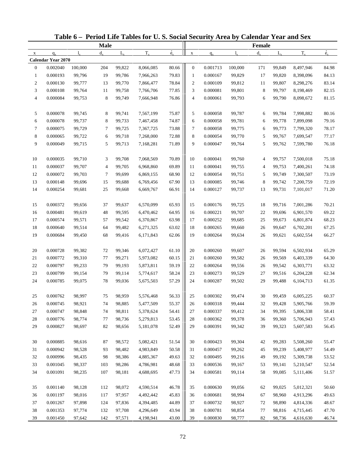|                |                           |             |                |             | Table 6 – Period Life Tables for U.S. Social Security Area by Calendar Year and Sex |                          |                  |          |             |               |             |           |             |
|----------------|---------------------------|-------------|----------------|-------------|-------------------------------------------------------------------------------------|--------------------------|------------------|----------|-------------|---------------|-------------|-----------|-------------|
|                |                           |             | <b>Male</b>    |             |                                                                                     |                          |                  |          |             | <b>Female</b> |             |           |             |
| $\mathbf X$    | $q_{x}$                   | $l_{\rm v}$ | $d_{\rm v}$    | $L_{\rm v}$ | $T_{x}$                                                                             | $\overset{\circ}{e}_{x}$ | $\mathbf X$      | $q_{x}$  | $l_{\rm v}$ | $d_{x}$       | $L_{\rm v}$ | $T_{x}$   | $\dot{e}_x$ |
|                | <b>Calendar Year 2070</b> |             |                |             |                                                                                     |                          |                  |          |             |               |             |           |             |
| $\mathbf{0}$   | 0.002040                  | 100,000     | 204            | 99,822      | 8,066,085                                                                           | 80.66                    | $\boldsymbol{0}$ | 0.001713 | 100,000     | 171           | 99,849      | 8,497,946 | 84.98       |
| $\mathbf{1}$   | 0.000193                  | 99,796      | 19             | 99,786      | 7,966,263                                                                           | 79.83                    | $\mathbf{1}$     | 0.000167 | 99,829      | 17            | 99,820      | 8,398,096 | 84.13       |
| $\overline{c}$ | 0.000130                  | 99,777      | 13             | 99,770      | 7,866,477                                                                           | 78.84                    | $\boldsymbol{2}$ | 0.000109 | 99,812      | 11            | 99,807      | 8,298,276 | 83.14       |
| 3              | 0.000108                  | 99,764      | 11             | 99,758      | 7,766,706                                                                           | 77.85                    | 3                | 0.000081 | 99,801      | 8             | 99,797      | 8,198,469 | 82.15       |
| $\overline{4}$ | 0.000084                  | 99,753      | 8              | 99,749      | 7,666,948                                                                           | 76.86                    | 4                | 0.000061 | 99,793      | 6             | 99,790      | 8,098,672 | 81.15       |
| 5              | 0.000078                  | 99,745      | 8              | 99,741      | 7,567,199                                                                           | 75.87                    | 5                | 0.000058 | 99,787      | 6             | 99,784      | 7,998,882 | 80.16       |
| 6              | 0.000078                  | 99,737      | 8              | 99,733      | 7,467,458                                                                           | 74.87                    | 6                | 0.000058 | 99,781      | 6             | 99,778      | 7,899,098 | 79.16       |
| $\tau$         | 0.000075                  | 99,729      | 7              | 99,725      | 7,367,725                                                                           | 73.88                    | 7                | 0.000058 | 99,775      | 6             | 99,773      | 7,799,320 | 78.17       |
| 8              | 0.000065                  | 99,722      | 6              | 99,718      | 7,268,000                                                                           | 72.88                    | 8                | 0.000054 | 99,770      | 5             | 99,767      | 7,699,547 | 77.17       |
| 9              | 0.000049                  | 99,715      | 5              | 99,713      | 7,168,281                                                                           | 71.89                    | 9                | 0.000047 | 99,764      | 5             | 99,762      | 7,599,780 | 76.18       |
| 10             | 0.000035                  | 99,710      | 3              | 99,708      | 7,068,569                                                                           | 70.89                    | 10               | 0.000041 | 99,760      | 4             | 99,757      | 7,500,018 | 75.18       |
| 11             | 0.000037                  | 99,707      | $\overline{4}$ | 99,705      | 6,968,860                                                                           | 69.89                    | 11               | 0.000041 | 99,755      | 4             | 99,753      | 7,400,261 | 74.18       |
| 12             | 0.000072                  | 99,703      | 7              | 99,699      | 6,869,155                                                                           | 68.90                    | 12               | 0.000054 | 99,751      | 5             | 99,749      | 7,300,507 | 73.19       |
| 13             | 0.000148                  | 99,696      | 15             | 99,688      | 6,769,456                                                                           | 67.90                    | 13               | 0.000085 | 99,746      | 8             | 99,742      | 7,200,759 | 72.19       |
| 14             | 0.000254                  | 99,681      | 25             | 99,668      | 6,669,767                                                                           | 66.91                    | 14               | 0.000127 | 99,737      | 13            | 99,731      | 7,101,017 | 71.20       |
| 15             | 0.000372                  | 99,656      | 37             | 99,637      | 6,570,099                                                                           | 65.93                    | 15               | 0.000176 | 99,725      | 18            | 99,716      | 7,001,286 | 70.21       |
| 16             | 0.000481                  | 99,619      | 48             | 99,595      | 6,470,462                                                                           | 64.95                    | 16               | 0.000221 | 99,707      | 22            | 99,696      | 6,901,570 | 69.22       |
| 17             | 0.000574                  | 99,571      | 57             | 99,542      | 6,370,867                                                                           | 63.98                    | 17               | 0.000252 | 99,685      | 25            | 99,673      | 6,801,874 | 68.23       |
| 18             | 0.000640                  | 99,514      | 64             | 99,482      | 6,271,325                                                                           | 63.02                    | 18               | 0.000265 | 99,660      | 26            | 99,647      | 6,702,201 | 67.25       |
| 19             | 0.000684                  | 99,450      | 68             | 99,416      | 6,171,843                                                                           | 62.06                    | 19               | 0.000264 | 99,634      | 26            | 99,621      | 6,602,554 | 66.27       |
| 20             | 0.000728                  | 99,382      | 72             | 99,346      | 6,072,427                                                                           | 61.10                    | 20               | 0.000260 | 99,607      | 26            | 99,594      | 6,502,934 | 65.29       |
| 21             | 0.000772                  | 99,310      | 77             | 99,271      | 5,973,082                                                                           | 60.15                    | 21               | 0.000260 | 99,582      | 26            | 99,569      | 6,403,339 | 64.30       |
| 22             | 0.000797                  | 99,233      | 79             | 99,193      | 5,873,811                                                                           | 59.19                    | 22               | 0.000264 | 99,556      | 26            | 99,542      | 6,303,771 | 63.32       |
| 23             | 0.000799                  | 99,154      | 79             | 99,114      | 5,774,617                                                                           | 58.24                    | 23               | 0.000273 | 99,529      | 27            | 99,516      | 6,204,228 | 62.34       |
| 24             | 0.000785                  | 99,075      | 78             | 99,036      | 5,675,503                                                                           | 57.29                    | 24               | 0.000287 | 99,502      | 29            | 99,488      | 6,104,713 | 61.35       |
| 25             | 0.000762                  | 98,997      | 75             | 98,959      | 5,576,468                                                                           | 56.33                    | 25               | 0.000302 | 99,474      | $30\,$        | 99,459      | 6,005,225 | 60.37       |
| 26             | 0.000745                  | 98,921      | 74             | 98,885      | 5,477,509                                                                           | 55.37                    | 26               | 0.000318 | 99,444      | 32            | 99,428      | 5,905,766 | 59.39       |
| 27             | 0.000747                  | 98,848      | 74             | 98,811      | 5,378,624                                                                           | 54.41                    | 27               | 0.000337 | 99,412      | 34            | 99,395      | 5,806,338 | 58.41       |
| 28             | 0.000776                  | 98,774      | 77             | 98,736      | 5,279,813                                                                           | 53.45                    | 28               | 0.000362 | 99,378      | 36            | 99,360      | 5,706,943 | 57.43       |
| 29             | 0.000827                  | 98,697      | 82             | 98,656      | 5,181,078                                                                           | 52.49                    | 29               | 0.000391 | 99,342      | 39            | 99,323      | 5,607,583 | 56.45       |
| 30             | 0.000885                  | 98,616      | 87             | 98,572      | 5,082,421                                                                           | 51.54                    | 30               | 0.000423 | 99,304      | 42            | 99,283      | 5,508,260 | 55.47       |
| 31             | 0.000942                  | 98,528      | 93             | 98,482      | 4,983,849                                                                           | 50.58                    | 31               | 0.000457 | 99,262      | 45            | 99,239      | 5,408,977 | 54.49       |
| 32             | 0.000996                  | 98,435      | 98             | 98,386      | 4,885,367                                                                           | 49.63                    | 32               | 0.000495 | 99,216      | 49            | 99,192      | 5,309,738 | 53.52       |
| 33             | 0.001045                  | 98,337      | 103            | 98,286      | 4,786,981                                                                           | 48.68                    | 33               | 0.000536 | 99,167      | 53            | 99,141      | 5,210,547 | 52.54       |
| 34             | 0.001091                  | 98,235      | 107            | 98,181      | 4,688,695                                                                           | 47.73                    | 34               | 0.000581 | 99,114      | 58            | 99,085      | 5,111,406 | 51.57       |
|                |                           |             |                |             |                                                                                     |                          |                  |          |             |               |             |           |             |
| 35             | 0.001140                  | 98,128      | 112            | 98,072      | 4,590,514                                                                           | 46.78                    | 35               | 0.000630 | 99,056      | 62            | 99,025      | 5,012,321 | 50.60       |
| 36             | 0.001197                  | 98,016      | 117            | 97,957      | 4,492,442                                                                           | 45.83                    | 36               | 0.000681 | 98,994      | 67            | 98,960      | 4,913,296 | 49.63       |
| 37             | 0.001267                  | 97,898      | 124            | 97,836      | 4,394,485                                                                           | 44.89                    | 37               | 0.000732 | 98,927      | 72            | 98,890      | 4,814,336 | 48.67       |
| 38             | 0.001353                  | 97,774      | 132            | 97,708      | 4,296,649                                                                           | 43.94                    | 38               | 0.000781 | 98,854      | 77            | 98,816      | 4,715,445 | 47.70       |
| 39             | 0.001450                  | 97,642      | 142            | 97,571      | 4,198,941                                                                           | 43.00                    | 39               | 0.000830 | 98,777      | 82            | 98,736      | 4,616,630 | 46.74       |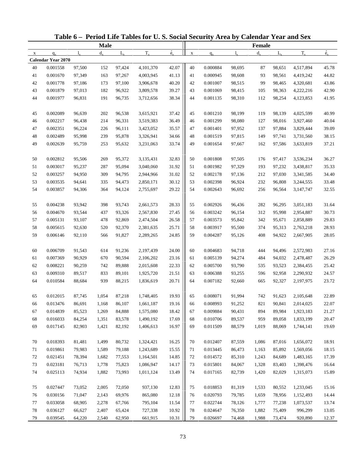|             |                           |        |             |             | Table 6 - Period Life Tables for U.S. Social Security Area by Calendar Year and Sex |                          |             |          |             |               |             |           |             |
|-------------|---------------------------|--------|-------------|-------------|-------------------------------------------------------------------------------------|--------------------------|-------------|----------|-------------|---------------|-------------|-----------|-------------|
|             |                           |        | <b>Male</b> |             |                                                                                     |                          |             |          |             | <b>Female</b> |             |           |             |
| $\mathbf X$ | $q_{x}$                   | 1.     | $d_{\rm v}$ | $L_{\rm v}$ | $T_{x}$                                                                             | $\overset{\circ}{e}_{x}$ | $\mathbf X$ | $q_{x}$  | $l_{\rm v}$ | $d_{\rm v}$   | $L_{\rm v}$ | $T_{x}$   | $\dot{e}_x$ |
|             | <b>Calendar Year 2070</b> |        |             |             |                                                                                     |                          |             |          |             |               |             |           |             |
| 40          | 0.001558                  | 97,500 | 152         | 97,424      | 4,101,370                                                                           | 42.07                    | 40          | 0.000884 | 98,695      | 87            | 98,651      | 4,517,894 | 45.78       |
| 41          | 0.001670                  | 97,349 | 163         | 97,267      | 4,003,945                                                                           | 41.13                    | 41          | 0.000945 | 98,608      | 93            | 98,561      | 4,419,242 | 44.82       |
| 42          | 0.001778                  | 97,186 | 173         | 97,100      | 3,906,678                                                                           | 40.20                    | 42          | 0.001007 | 98,515      | 99            | 98,465      | 4,320,681 | 43.86       |
| 43          | 0.001879                  | 97,013 | 182         | 96,922      | 3,809,578                                                                           | 39.27                    | 43          | 0.001069 | 98,415      | 105           | 98,363      | 4,222,216 | 42.90       |
| 44          | 0.001977                  | 96,831 | 191         | 96,735      | 3,712,656                                                                           | 38.34                    | 44          | 0.001135 | 98,310      | 112           | 98,254      | 4,123,853 | 41.95       |
| 45          | 0.002089                  | 96,639 | 202         | 96,538      | 3,615,921                                                                           | 37.42                    | 45          | 0.001210 | 98,199      | 119           | 98,139      | 4,025,599 | 40.99       |
| 46          | 0.002217                  | 96,438 | 214         | 96,331      | 3,519,383                                                                           | 36.49                    | 46          | 0.001299 | 98,080      | 127           | 98,016      | 3,927,460 | 40.04       |
| 47          | 0.002351                  | 96,224 | 226         | 96,111      | 3,423,052                                                                           | 35.57                    | 47          | 0.001401 | 97,952      | 137           | 97,884      | 3,829,444 | 39.09       |
| 48          | 0.002489                  | 95,998 | 239         | 95,878      | 3,326,941                                                                           | 34.66                    | 48          | 0.001519 | 97,815      | 149           | 97,741      | 3,731,560 | 38.15       |
| 49          | 0.002639                  | 95,759 | 253         | 95,632      | 3,231,063                                                                           | 33.74                    | 49          | 0.001654 | 97,667      | 162           | 97,586      | 3,633,819 | 37.21       |
| 50          | 0.002812                  | 95,506 | 269         | 95,372      | 3,135,431                                                                           | 32.83                    | 50          | 0.001808 | 97,505      | 176           | 97,417      | 3,536,234 | 36.27       |
| 51          | 0.003017                  | 95,237 | 287         | 95,094      | 3,040,060                                                                           | 31.92                    | 51          | 0.001982 | 97,329      | 193           | 97,232      | 3,438,817 | 35.33       |
| 52          | 0.003257                  | 94,950 | 309         | 94,795      | 2,944,966                                                                           | 31.02                    | 52          | 0.002178 | 97,136      | 212           | 97,030      | 3,341,585 | 34.40       |
| 53          | 0.003535                  | 94,641 | 335         | 94,473      | 2,850,171                                                                           | 30.12                    | 53          | 0.002398 | 96,924      | 232           | 96,808      | 3,244,555 | 33.48       |
| 54          | 0.003857                  | 94,306 | 364         | 94,124      | 2,755,697                                                                           | 29.22                    | 54          | 0.002643 | 96,692      | 256           | 96,564      | 3,147,747 | 32.55       |
| 55          | 0.004238                  | 93,942 | 398         | 93,743      | 2,661,573                                                                           | 28.33                    | 55          | 0.002926 | 96,436      | 282           | 96,295      | 3,051,183 | 31.64       |
| 56          | 0.004670                  | 93,544 | 437         | 93,326      | 2,567,830                                                                           | 27.45                    | 56          | 0.003242 | 96,154      | 312           | 95,998      | 2,954,887 | 30.73       |
| 57          | 0.005131                  | 93,107 | 478         | 92,869      | 2,474,504                                                                           | 26.58                    | 57          | 0.003573 | 95,842      | 342           | 95,671      | 2,858,889 | 29.83       |
| 58          | 0.005615                  | 92,630 | 520         | 92,370      | 2,381,635                                                                           | 25.71                    | 58          | 0.003917 | 95,500      | 374           | 95,313      | 2,763,218 | 28.93       |
| 59          | 0.006146                  | 92,110 | 566         | 91,827      | 2,289,265                                                                           | 24.85                    | 59          | 0.004287 | 95,126      | 408           | 94,922      | 2,667,905 | 28.05       |
|             |                           |        |             |             |                                                                                     |                          |             |          |             |               |             |           |             |
| 60          | 0.006709                  | 91,543 | 614         | 91,236      | 2,197,439                                                                           | 24.00                    | 60          | 0.004683 | 94,718      | 444           | 94,496      | 2,572,983 | 27.16       |
| 61          | 0.007369                  | 90,929 | 670         | 90,594      | 2,106,202                                                                           | 23.16                    | 61          | 0.005139 | 94,274      | 484           | 94,032      | 2,478,487 | 26.29       |
| 62          | 0.008221                  | 90,259 | 742         | 89,888      | 2,015,608                                                                           | 22.33                    | 62          | 0.005700 | 93,790      | 535           | 93,523      | 2,384,455 | 25.42       |
| 63          | 0.009310                  | 89,517 | 833         | 89,101      | 1,925,720                                                                           | 21.51                    | 63          | 0.006388 | 93,255      | 596           | 92,958      | 2,290,932 | 24.57       |
| 64          | 0.010584                  | 88,684 | 939         | 88,215      | 1,836,619                                                                           | 20.71                    | 64          | 0.007182 | 92,660      | 665           | 92,327      | 2,197,975 | 23.72       |
| 65          | 0.012015                  | 87,745 | 1,054       | 87,218      | 1,748,405                                                                           | 19.93                    | 65          | 0.008071 | 91,994      | 742           | 91,623      | 2,105,648 | 22.89       |
| 66          | 0.013476                  | 86,691 | 1,168       | 86,107      | 1,661,187                                                                           | 19.16                    | 66          | 0.008993 | 91,252      | 821           | 90,841      | 2,014,025 | 22.07       |
| 67          | 0.014839                  | 85,523 | 1,269       | 84,888      | 1,575,080                                                                           | 18.42                    | 67          | 0.009884 | 90,431      | 894           | 89,984      | 1,923,183 | 21.27       |
| 68          | 0.016033                  | 84,254 | 1,351       | 83,578      | 1,490,192                                                                           | 17.69                    | 68          | 0.010706 | 89,537      | 959           | 89,058      | 1,833,199 | 20.47       |
| 69          | 0.017145                  | 82,903 | 1,421       | 82,192      | 1,406,613                                                                           | 16.97                    | 69          | 0.011509 | 88,579      | 1,019         | 88,069      | 1,744,141 | 19.69       |
| 70          | 0.018393                  | 81,481 | 1,499       | 80,732      | 1,324,421                                                                           | 16.25                    | 70          | 0.012407 | 87,559      | 1,086         | 87,016      | 1,656,072 | 18.91       |
| 71          | 0.019861                  | 79,983 | 1,589       | 79,188      | 1,243,689                                                                           | 15.55                    | 71          | 0.013445 | 86,473      | 1,163         | 85,892      | 1,569,056 | 18.15       |
| 72          | 0.021451                  | 78,394 | 1,682       | 77,553      | 1,164,501                                                                           | 14.85                    | 72          | 0.014572 | 85,310      | 1,243         | 84,689      | 1,483,165 | 17.39       |
| 73          | 0.023181                  | 76,713 | 1,778       | 75,823      | 1,086,947                                                                           | 14.17                    | 73          | 0.015801 | 84,067      | 1,328         | 83,403      | 1,398,476 | 16.64       |
| 74          | 0.025113                  | 74,934 | 1,882       | 73,993      | 1,011,124                                                                           | 13.49                    | 74          | 0.017165 | 82,739      | 1,420         | 82,029      | 1,315,073 | 15.89       |
|             |                           |        |             |             |                                                                                     |                          |             |          |             |               |             |           |             |
| 75          | 0.027447                  | 73,052 | 2,005       | 72,050      | 937,130                                                                             | 12.83                    | 75          | 0.018853 | 81,319      | 1,533         | 80,552      | 1,233,045 | 15.16       |
| 76          | 0.030156                  | 71,047 | 2,143       | 69,976      | 865,080                                                                             | 12.18                    | 76          | 0.020793 | 79,785      | 1,659         | 78,956      | 1,152,493 | 14.44       |
| 77          | 0.033058                  | 68,905 | 2,278       | 67,766      | 795,104                                                                             | 11.54                    | 77          | 0.022744 | 78,126      | 1,777         | 77,238      | 1,073,537 | 13.74       |
| 78          | 0.036127                  | 66,627 | 2,407       | 65,424      | 727,338                                                                             | 10.92                    | 78          | 0.024647 | 76,350      | 1,882         | 75,409      | 996,299   | 13.05       |
| 79          | 0.039545                  | 64,220 | 2,540       | 62,950      | 661,915                                                                             | 10.31                    | 79          | 0.026697 | 74,468      | 1,988         | 73,474      | 920,890   | 12.37       |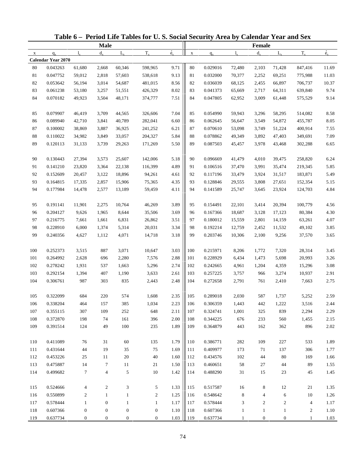|              |                           |                  |                  |                  | Table 6 – Period Life Tables for U.S. Social Security Area by Calendar Year and Sex |                            |             |                      |                |                  |                  |                  |                  |
|--------------|---------------------------|------------------|------------------|------------------|-------------------------------------------------------------------------------------|----------------------------|-------------|----------------------|----------------|------------------|------------------|------------------|------------------|
|              |                           |                  | <b>Male</b>      |                  |                                                                                     |                            |             |                      |                | <b>Female</b>    |                  |                  |                  |
| $\mathbf{x}$ | $q_{x}$                   | $l_{\rm v}$      | $d_{\rm v}$      | $L_{\rm v}$      | $T_{x}$                                                                             | $\dot{\mathbf{e}}_{\rm x}$ | $\mathbf X$ | $q_{x}$              | $l_{\rm v}$    | $d_{x}$          | $L_{\rm v}$      | $T_{x}$          | $\dot{e}_x$      |
|              | <b>Calendar Year 2070</b> |                  |                  |                  |                                                                                     |                            |             |                      |                |                  |                  |                  |                  |
| 80           | 0.043263                  | 61,680           | 2,668            | 60,346           | 598,965                                                                             | 9.71                       | 80          | 0.029016             | 72,480         | 2,103            | 71,428           | 847,416          | 11.69            |
| 81           | 0.047752                  | 59,012           | 2,818            | 57,603           | 538,618                                                                             | 9.13                       | 81          | 0.032000             | 70,377         | 2,252            | 69,251           | 775,988          | 11.03            |
| 82           | 0.053642                  | 56,194           | 3,014            | 54,687           | 481,015                                                                             | 8.56                       | 82          | 0.036039             | 68,125         | 2,455            | 66,897           | 706,737          | 10.37            |
| 83           | 0.061238                  | 53,180           | 3,257            | 51,551           | 426,329                                                                             | 8.02                       | 83          | 0.041373             | 65,669         | 2,717            | 64,311           | 639,840          | 9.74             |
| 84           | 0.070182                  | 49,923           | 3,504            | 48,171           | 374,777                                                                             | 7.51                       | 84          | 0.047805             | 62,952         | 3,009            | 61,448           | 575,529          | 9.14             |
| 85           | 0.079907                  | 46,419           | 3,709            | 44,565           | 326,606                                                                             | 7.04                       | 85          | 0.054990             | 59,943         | 3,296            | 58,295           | 514,082          | 8.58             |
| 86           | 0.089940                  | 42,710           | 3,841            | 40,789           | 282,041                                                                             | 6.60                       | 86          | 0.062645             | 56,647         | 3,549            | 54,872           | 455,787          | 8.05             |
| 87           | 0.100002                  | 38,869           | 3,887            | 36,925           | 241,252                                                                             | 6.21                       | 87          | 0.070610             | 53,098         | 3,749            | 51,224           | 400,914          | 7.55             |
| $88\,$       | 0.110022                  | 34,982           | 3,849            | 33,057           | 204,327                                                                             | 5.84                       | 88          | 0.078862             | 49,349         | 3,892            | 47,403           | 349,691          | 7.09             |
| 89           | 0.120113                  | 31,133           | 3,739            | 29,263           | 171,269                                                                             | 5.50                       | 89          | 0.087503             | 45,457         | 3,978            | 43,468           | 302,288          | 6.65             |
| 90           | 0.130443                  | 27,394           | 3,573            | 25,607           | 142,006                                                                             | 5.18                       | 90          | 0.096669             | 41,479         | 4,010            | 39,475           | 258,820          | 6.24             |
| 91           | 0.141210                  | 23,820           | 3,364            | 22,138           | 116,399                                                                             | 4.89                       | 91          | 0.106516             | 37,470         | 3,991            | 35,474           | 219,345          | 5.85             |
| 92           | 0.152609                  | 20,457           | 3,122            | 18,896           | 94,261                                                                              | 4.61                       | 92          | 0.117196             | 33,479         | 3,924            | 31,517           | 183,871          | 5.49             |
| 93           | 0.164815                  | 17,335           | 2,857            | 15,906           | 75,365                                                                              | 4.35                       | 93          | 0.128846             | 29,555         | 3,808            | 27,651           | 152,354          | 5.15             |
| 94           | 0.177984                  | 14,478           | 2,577            | 13,189           | 59,459                                                                              | 4.11                       | 94          | 0.141589             | 25,747         | 3,645            | 23,924           | 124,703          | 4.84             |
| 95           | 0.191141                  | 11,901           | 2,275            | 10,764           | 46,269                                                                              | 3.89                       | 95          | 0.154491             | 22,101         | 3,414            | 20,394           | 100,779          | 4.56             |
| 96           | 0.204127                  | 9,626            | 1,965            | 8,644            | 35,506                                                                              | 3.69                       | 96          | 0.167366             | 18,687         | 3,128            | 17,123           | 80,384           | 4.30             |
| 97           | 0.216775                  | 7,661            | 1,661            | 6,831            | 26,862                                                                              | 3.51                       | 97          | 0.180012             | 15,559         | 2,801            | 14,159           | 63,261           | 4.07             |
| 98           | 0.228910                  | 6,000            | 1,374            | 5,314            | 20,031                                                                              | 3.34                       | 98          | 0.192214             | 12,759         | 2,452            | 11,532           | 49,102           | 3.85             |
| 99           | 0.240356                  | 4,627            | 1,112            | 4,071            | 14,718                                                                              | 3.18                       | 99          | 0.203746             | 10,306         | 2,100            | 9,256            | 37,570           | 3.65             |
| 100          | 0.252373                  | 3,515            | 887              | 3,071            | 10,647                                                                              | 3.03                       | 100         | 0.215971             | 8,206          | 1,772            | 7,320            | 28,314           | 3.45             |
| 101          | 0.264992                  | 2,628            | 696              | 2,280            | 7,576                                                                               | 2.88                       | 101         | 0.228929             | 6,434          | 1,473            | 5,698            | 20,993           | 3.26             |
| 102          | 0.278242                  | 1,931            | 537              | 1,663            | 5,296                                                                               | 2.74                       | 102         | 0.242665             | 4,961          | 1,204            | 4,359            | 15,296           | 3.08             |
| 103          | 0.292154                  | 1,394            | 407              | 1,190            | 3,633                                                                               | 2.61                       | 103         | 0.257225             | 3,757          | 966              | 3,274            | 10,937           | 2.91             |
| 104          | 0.306761                  | 987              | 303              | 835              | 2,443                                                                               | 2.48                       | 104         | 0.272658             | 2,791          | 761              | 2,410            | 7,663            | 2.75             |
|              |                           |                  |                  |                  |                                                                                     |                            |             | 0.289018             |                |                  |                  |                  |                  |
| 105          | 0.322099                  | 684              | 220              | 574              | 1,608                                                                               | 2.35                       | 105         |                      | 2,030          | 587              | 1,737            | 5,252            | 2.59             |
| 106<br>107   | 0.338204                  | 464<br>307       | 157<br>109       | 385<br>252       | 1,034<br>648                                                                        | 2.23<br>2.11               | 106<br>107  | 0.306359<br>0.324741 | 1,443<br>1,001 | 442<br>325       | 1,222<br>839     | 3,516            | 2.44             |
| 108          | 0.355115<br>0.372870      | 198              | 74               | 161              | 396                                                                                 | 2.00                       | 108         | 0.344225             | 676            | 233              |                  | 2,294            | 2.29             |
| 109          | 0.391514                  | 124              | 49               | 100              | 235                                                                                 | 1.89                       | 109         | 0.364879             | 443            | 162              | 560<br>362       | 1,455<br>896     | 2.15<br>$2.02\,$ |
|              |                           |                  |                  |                  |                                                                                     |                            |             |                      |                |                  |                  |                  |                  |
| 110          | 0.411089                  | 76               | 31               | 60               | 135                                                                                 | 1.79                       | 110         | 0.386771             | 282            | 109              | 227              | 533              | 1.89             |
| 111          | 0.431644                  | 44               | 19               | 35               | 75                                                                                  | 1.69                       | 111         | 0.409977             | 173            | 71               | 137              | 306              | 1.77             |
| 112          | 0.453226                  | 25               | 11               | 20               | 40                                                                                  | 1.60                       | 112         | 0.434576             | 102            | 44               | 80               | 169              | 1.66             |
| 113          | 0.475887                  | 14               | $\tau$           | 11               | 21                                                                                  | 1.50                       | 113         | 0.460651             | 58             | 27               | 44               | 89               | 1.55             |
| 114          | 0.499682                  | 7                | $\overline{4}$   | 5                | 10                                                                                  | 1.42                       | 114         | 0.488290             | 31             | 15               | 23               | 45               | 1.45             |
| 115          | 0.524666                  | 4                | $\overline{2}$   | 3                | 5                                                                                   | 1.33                       | 115         | 0.517587             | 16             | 8                | 12               | 21               | 1.35             |
| 116          | 0.550899                  | $\overline{c}$   | $\mathbf{1}$     | $\mathbf{1}$     | $\overline{2}$                                                                      | 1.25                       | 116         | 0.548642             | 8              | $\overline{4}$   | 6                | 10               | 1.26             |
| 117          | 0.578444                  | $\mathbf{1}$     | $\boldsymbol{0}$ | $\mathbf{1}$     | $\mathbf{1}$                                                                        | 1.17                       | 117         | 0.578444             | 3              | 2                | $\overline{c}$   | $\overline{4}$   | 1.17             |
| 118          | 0.607366                  | $\boldsymbol{0}$ | $\boldsymbol{0}$ | $\boldsymbol{0}$ | $\boldsymbol{0}$                                                                    | 1.10                       | 118         | 0.607366             | $\mathbf{1}$   | $\mathbf{1}$     | $\mathbf{1}$     | $\boldsymbol{2}$ | 1.10             |
| 119          | 0.637734                  | $\boldsymbol{0}$ | $\boldsymbol{0}$ | $\boldsymbol{0}$ | $\mathbf{0}$                                                                        | 1.03                       | 119         | 0.637734             | 1              | $\boldsymbol{0}$ | $\boldsymbol{0}$ | $\mathbf{1}$     | 1.03             |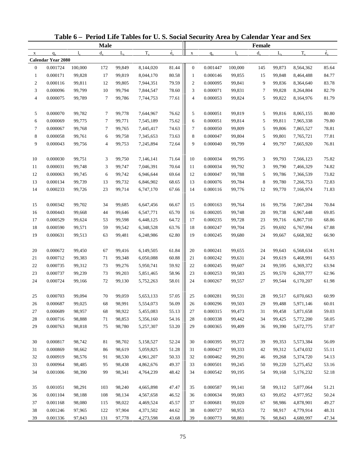|                |                           |             |             |             | Table 6 - Period Life Tables for U.S. Social Security Area by Calendar Year and Sex |                          |                  |          |             |             |             |           |             |
|----------------|---------------------------|-------------|-------------|-------------|-------------------------------------------------------------------------------------|--------------------------|------------------|----------|-------------|-------------|-------------|-----------|-------------|
|                |                           |             | <b>Male</b> |             |                                                                                     |                          |                  |          |             | Female      |             |           |             |
| $\mathbf X$    | $q_{x}$                   | $l_{\rm v}$ | $d_{\rm v}$ | $L_{\rm v}$ | $T_{x}$                                                                             | $\overset{\circ}{e}_{x}$ | $\mathbf X$      | $q_{x}$  | $l_{\rm x}$ | $d_{x}$     | $L_{\rm v}$ | $T_{x}$   | $\dot{e}_x$ |
|                | <b>Calendar Year 2080</b> |             |             |             |                                                                                     |                          |                  |          |             |             |             |           |             |
| $\mathbf{0}$   | 0.001724                  | 100,000     | 172         | 99,849      | 8,144,020                                                                           | 81.44                    | $\mathbf{0}$     | 0.001447 | 100,000     | 145         | 99,873      | 8,564,362 | 85.64       |
| $\mathbf{1}$   | 0.000171                  | 99,828      | 17          | 99,819      | 8,044,170                                                                           | 80.58                    | $\mathbf{1}$     | 0.000146 | 99,855      | 15          | 99,848      | 8,464,488 | 84.77       |
| $\overline{c}$ | 0.000116                  | 99,811      | 12          | 99,805      | 7,944,351                                                                           | 79.59                    | $\boldsymbol{2}$ | 0.000095 | 99,841      | 9           | 99,836      | 8,364,640 | 83.78       |
| 3              | 0.000096                  | 99,799      | 10          | 99,794      | 7,844,547                                                                           | 78.60                    | 3                | 0.000071 | 99,831      | 7           | 99,828      | 8,264,804 | 82.79       |
| 4              | 0.000075                  | 99,789      | $\tau$      | 99,786      | 7,744,753                                                                           | 77.61                    | 4                | 0.000053 | 99,824      | 5           | 99,822      | 8,164,976 | 81.79       |
| 5              | 0.000070                  | 99,782      | 7           | 99,778      | 7,644,967                                                                           | 76.62                    | 5                | 0.000051 | 99,819      | 5           | 99,816      | 8,065,155 | 80.80       |
| 6              | 0.000069                  | 99,775      | 7           | 99,771      | 7,545,189                                                                           | 75.62                    | 6                | 0.000051 | 99,814      | 5           | 99,811      | 7,965,338 | 79.80       |
| $\tau$         | 0.000067                  | 99,768      | 7           | 99,765      | 7,445,417                                                                           | 74.63                    | 7                | 0.000050 | 99,809      | 5           | 99,806      | 7,865,527 | 78.81       |
| 8              | 0.000058                  | 99,761      | 6           | 99,758      | 7,345,653                                                                           | 73.63                    | 8                | 0.000047 | 99,804      | 5           | 99,801      | 7,765,721 | 77.81       |
| 9              | 0.000043                  | 99,756      | 4           | 99,753      | 7,245,894                                                                           | 72.64                    | 9                | 0.000040 | 99,799      | 4           | 99,797      | 7,665,920 | 76.81       |
| 10             | 0.000030                  | 99,751      | 3           | 99,750      | 7,146,141                                                                           | 71.64                    | 10               | 0.000034 | 99,795      | 3           | 99,793      | 7,566,123 | 75.82       |
| 11             | 0.000031                  | 99,748      | 3           | 99,747      | 7,046,391                                                                           | 70.64                    | 11               | 0.000034 | 99,792      | 3           | 99,790      | 7,466,329 | 74.82       |
| 12             | 0.000063                  | 99,745      | 6           | 99,742      | 6,946,644                                                                           | 69.64                    | 12               | 0.000047 | 99,788      | 5           | 99,786      | 7,366,539 | 73.82       |
| 13             | 0.000134                  | 99,739      | 13          | 99,732      | 6,846,902                                                                           | 68.65                    | 13               | 0.000076 | 99,784      | 8           | 99,780      | 7,266,753 | 72.83       |
| 14             | 0.000233                  | 99,726      | 23          | 99,714      | 6,747,170                                                                           | 67.66                    | 14               | 0.000116 | 99,776      | 12          | 99,770      | 7,166,974 | 71.83       |
| 15             | 0.000342                  | 99,702      | 34          | 99,685      | 6,647,456                                                                           | 66.67                    | 15               | 0.000163 | 99,764      | 16          | 99,756      | 7,067,204 | 70.84       |
| 16             | 0.000443                  | 99,668      | 44          | 99,646      | 6,547,771                                                                           | 65.70                    | 16               | 0.000205 | 99,748      | 20          | 99,738      | 6,967,448 | 69.85       |
| 17             | 0.000529                  | 99,624      | 53          | 99,598      | 6,448,125                                                                           | 64.72                    | 17               | 0.000235 | 99,728      | 23          | 99,716      | 6,867,710 | 68.86       |
| 18             | 0.000590                  | 99,571      | 59          | 99,542      | 6,348,528                                                                           | 63.76                    | 18               | 0.000247 | 99,704      | 25          | 99,692      | 6,767,994 | 67.88       |
| 19             | 0.000631                  | 99,513      | 63          | 99,481      | 6,248,986                                                                           | 62.80                    | 19               | 0.000245 | 99,680      | 24          | 99,667      | 6,668,302 | 66.90       |
| 20             | 0.000672                  | 99,450      | 67          | 99,416      | 6,149,505                                                                           | 61.84                    | 20               | 0.000241 | 99,655      | 24          | 99,643      | 6,568,634 | 65.91       |
| 21             | 0.000712                  | 99,383      | 71          | 99,348      | 6,050,088                                                                           | 60.88                    | 21               | 0.000242 | 99,631      | 24          | 99,619      | 6,468,991 | 64.93       |
| 22             | 0.000735                  | 99,312      | 73          | 99,276      | 5,950,741                                                                           | 59.92                    | 22               | 0.000245 | 99,607      | 24          | 99,595      | 6,369,372 | 63.94       |
| 23             | 0.000737                  | 99,239      | 73          | 99,203      | 5,851,465                                                                           | 58.96                    | 23               | 0.000253 | 99,583      | 25          | 99,570      | 6,269,777 | 62.96       |
| 24             | 0.000724                  | 99,166      | 72          | 99,130      | 5,752,263                                                                           | 58.01                    | 24               | 0.000267 | 99,557      | 27          | 99,544      | 6,170,207 | 61.98       |
| 25             | 0.000703                  | 99,094      | $70\,$      | 99,059      | 5,653,133                                                                           | 57.05                    | 25               | 0.000281 | 99,531      | $\sqrt{28}$ | 99,517      | 6,070,663 | 60.99       |
| 26             | 0.000687                  | 99,025      | 68          | 98,991      | 5,554,073                                                                           | 56.09                    | 26               | 0.000296 | 99,503      | 29          | 99,488      | 5,971,146 | 60.01       |
| 27             | 0.000689                  | 98,957      | 68          | 98,922      | 5,455,083                                                                           | 55.13                    | 27               | 0.000315 | 99,473      | 31          | 99,458      | 5,871,658 | 59.03       |
| 28             | 0.000716                  | 98,888      | 71          | 98,853      | 5,356,160                                                                           | 54.16                    | 28               | 0.000338 | 99,442      | 34          | 99,425      | 5,772,200 | 58.05       |
| 29             | 0.000763                  | 98,818      | 75          | 98,780      | 5,257,307                                                                           | 53.20                    | 29               | 0.000365 | 99,409      | 36          | 99,390      | 5,672,775 | 57.07       |
| 30             | 0.000817                  | 98,742      | 81          | 98,702      | 5,158,527                                                                           | 52.24                    | 30               | 0.000395 | 99,372      | 39          | 99,353      | 5,573,384 | 56.09       |
| 31             | 0.000869                  | 98,662      | 86          | 98,619      | 5,059,825                                                                           | 51.28                    | 31               | 0.000427 | 99,333      | 42          | 99,312      | 5,474,032 | 55.11       |
| 32             | 0.000919                  | 98,576      | 91          | 98,530      | 4,961,207                                                                           | 50.33                    | 32               | 0.000462 | 99,291      | 46          | 99,268      | 5,374,720 | 54.13       |
| 33             | 0.000964                  | 98,485      | 95          | 98,438      | 4,862,676                                                                           | 49.37                    | 33               | 0.000501 | 99,245      | 50          | 99,220      | 5,275,452 | 53.16       |
| 34             | 0.001006                  | 98,390      | 99          | 98,341      | 4,764,239                                                                           | 48.42                    | 34               | 0.000542 | 99,195      | 54          | 99,168      | 5,176,232 | 52.18       |
|                |                           |             |             |             |                                                                                     |                          |                  |          |             |             |             |           |             |
| 35             | 0.001051                  | 98,291      | 103         | 98,240      | 4,665,898                                                                           | 47.47                    | 35               | 0.000587 | 99,141      | 58          | 99,112      | 5,077,064 | 51.21       |
| 36             | 0.001104                  | 98,188      | 108         | 98,134      | 4,567,658                                                                           | 46.52                    | 36               | 0.000634 | 99,083      | 63          | 99,052      | 4,977,952 | 50.24       |
| 37             | 0.001168                  | 98,080      | 115         | 98,022      | 4,469,524                                                                           | 45.57                    | 37               | 0.000681 | 99,020      | 67          | 98,986      | 4,878,901 | 49.27       |
| 38             | 0.001246                  | 97,965      | 122         | 97,904      | 4,371,502                                                                           | 44.62                    | 38               | 0.000727 | 98,953      | 72          | 98,917      | 4,779,914 | 48.31       |
| 39             | 0.001336                  | 97,843      | 131         | 97,778      | 4,273,598                                                                           | 43.68                    | 39               | 0.000773 | 98,881      | 76          | 98,843      | 4,680,997 | 47.34       |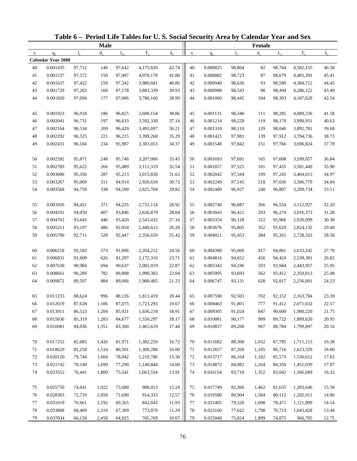|             |                           |              |             |             | Table 6 - Period Life Tables for U.S. Social Security Area by Calendar Year and Sex |             |             |          |             |         |             |           |             |
|-------------|---------------------------|--------------|-------------|-------------|-------------------------------------------------------------------------------------|-------------|-------------|----------|-------------|---------|-------------|-----------|-------------|
|             |                           |              | <b>Male</b> |             |                                                                                     |             |             |          |             | Female  |             |           |             |
| $\mathbf X$ | $q_{x}$                   | $\mathbf{l}$ | $d_{\rm v}$ | $L_{\rm v}$ | $T_{x}$                                                                             | $\dot{e}_x$ | $\mathbf X$ | $q_{x}$  | $l_{\rm x}$ | $d_{x}$ | $L_{\rm v}$ | $T_{x}$   | $\dot{e}_x$ |
|             | <b>Calendar Year 2080</b> |              |             |             |                                                                                     |             |             |          |             |         |             |           |             |
| 40          | 0.001435                  | 97,712       | 140         | 97,642      | 4,175,820                                                                           | 42.74       | 40          | 0.000825 | 98,804      | 82      | 98,764      | 4,582,155 | 46.38       |
| 41          | 0.001537                  | 97,572       | 150         | 97,497      | 4,078,178                                                                           | 41.80       | 41          | 0.000882 | 98,723      | 87      | 98,679      | 4,483,391 | 45.41       |
| 42          | 0.001637                  | 97,422       | 159         | 97,342      | 3,980,681                                                                           | 40.86       | 42          | 0.000940 | 98,636      | 93      | 98,589      | 4,384,712 | 44.45       |
| 43          | 0.001729                  | 97,263       | 168         | 97,178      | 3,883,339                                                                           | 39.93       | 43          | 0.000998 | 98,543      | 98      | 98,494      | 4,286,122 | 43.49       |
| 44          | 0.001820                  | 97,094       | 177         | 97,006      | 3,786,160                                                                           | 38.99       | 44          | 0.001060 | 98,445      | 104     | 98,393      | 4,187,628 | 42.54       |
| 45          | 0.001923                  | 96,918       | 186         | 96,825      | 3,689,154                                                                           | 38.06       | 45          | 0.001131 | 98,340      | 111     | 98,285      | 4,089,236 | 41.58       |
| 46          | 0.002041                  | 96,731       | 197         | 96,633      | 3,592,330                                                                           | 37.14       | 46          | 0.001214 | 98,229      | 119     | 98,170      | 3,990,951 | 40.63       |
| 47          | 0.002164                  | 96,534       | 209         | 96,429      | 3,495,697                                                                           | 36.21       | 47          | 0.001310 | 98,110      | 129     | 98,046      | 3,892,781 | 39.68       |
| 48          | 0.002292                  | 96,325       | 221         | 96,215      | 3,399,268                                                                           | 35.29       | 48          | 0.001421 | 97,981      | 139     | 97,912      | 3,794,736 | 38.73       |
| 49          | 0.002431                  | 96,104       | 234         | 95,987      | 3,303,053                                                                           | 34.37       | 49          | 0.001548 | 97,842      | 151     | 97,766      | 3,696,824 | 37.78       |
| 50          | 0.002592                  | 95,871       | 248         | 95,746      | 3,207,066                                                                           | 33.45       | 50          | 0.001693 | 97,691      | 165     | 97,608      | 3,599,057 | 36.84       |
| 51          | 0.002783                  | 95,622       | 266         | 95,489      | 3,111,319                                                                           | 32.54       | 51          | 0.001857 | 97,525      | 181     | 97,435      | 3,501,449 | 35.90       |
| 52          | 0.003006                  | 95,356       | 287         | 95,213      | 3,015,830                                                                           | 31.63       | 52          | 0.002042 | 97,344      | 199     | 97,245      | 3,404,015 | 34.97       |
| 53          | 0.003267                  | 95,069       | 311         | 94,914      | 2,920,618                                                                           | 30.72       | 53          | 0.002249 | 97,145      | 218     | 97,036      | 3,306,770 | 34.04       |
| 54          | 0.003568                  | 94,759       | 338         | 94,590      | 2,825,704                                                                           | 29.82       | 54          | 0.002480 | 96,927      | 240     | 96,807      | 3,209,734 | 33.11       |
| 55          | 0.003926                  | 94,421       | 371         | 94,235      | 2,731,114                                                                           | 28.92       | 55          | 0.002746 | 96,687      | 266     | 96,554      | 3,112,927 | 32.20       |
| 56          | 0.004331                  | 94,050       | 407         | 93,846      | 2,636,879                                                                           | 28.04       | 56          | 0.003043 | 96,421      | 293     | 96,274      | 3,016,373 | 31.28       |
| 57          | 0.004762                  | 93,643       | 446         | 93,420      | 2,543,032                                                                           | 27.16       | 57          | 0.003354 | 96,128      | 322     | 95,966      | 2,920,099 | 30.38       |
| 58          | 0.005211                  | 93,197       | 486         | 92,954      | 2,449,613                                                                           | 26.28       | 58          | 0.003676 | 95,805      | 352     | 95,629      | 2,824,132 | 29.48       |
| 59          | 0.005700                  | 92,711       | 528         | 92,447      | 2,356,659                                                                           | 25.42       | 59          | 0.004021 | 95,453      | 384     | 95,261      | 2,728,503 | 28.58       |
|             |                           |              |             |             |                                                                                     |             |             |          |             |         |             |           |             |
| 60          | 0.006218                  | 92,183       | 573         | 91,896      | 2,264,212                                                                           | 24.56       | 60          | 0.004390 | 95,069      | 417     | 94,861      | 2,633,242 | 27.70       |
| 61          | 0.006831                  | 91,609       | 626         | 91,297      | 2,172,316                                                                           | 23.71       | 61          | 0.004816 | 94,652      | 456     | 94,424      | 2,538,381 | 26.82       |
| 62          | 0.007630                  | 90,984       | 694         | 90,637      | 2,081,019                                                                           | 22.87       | 62          | 0.005343 | 94,196      | 503     | 93,944      | 2,443,957 | 25.95       |
| 63          | 0.008661                  | 90,289       | 782         | 89,898      | 1,990,383                                                                           | 22.04       | 63          | 0.005995 | 93,693      | 562     | 93,412      | 2,350,013 | 25.08       |
| 64          | 0.009872                  | 89,507       | 884         | 89,066      | 1,900,485                                                                           | 21.23       | 64          | 0.006747 | 93,131      | 628     | 92,817      | 2,256,601 | 24.23       |
| 65          | 0.011233                  | 88,624       | 996         | 88,126      | 1,811,419                                                                           | 20.44       | 65          | 0.007590 | 92,503      | 702     | 92,152      | 2,163,784 | 23.39       |
| 66          | 0.012619                  | 87,628       | 1,106       | 87,075      | 1,723,293                                                                           | 19.67       | 66          | 0.008463 | 91,801      | 777     | 91,412      | 2,071,632 | 22.57       |
| 67          | 0.013911                  | 86,523       | 1,204       | 85,921      | 1,636,218                                                                           | 18.91       | 67          | 0.009305 | 91,024      | 847     | 90,600      | 1,980,220 | 21.75       |
| 68          | 0.015036                  | 85,319       | 1,283       | 84,677      | 1,550,297                                                                           | 18.17       | 68          | 0.010081 | 90,177      | 909     | 89,722      | 1,889,620 | 20.95       |
| 69          | 0.016081                  | 84,036       | 1,351       | 83,360      | 1,465,619                                                                           | 17.44       | 69          | 0.010837 | 89,268      | 967     | 88,784      | 1,799,897 | 20.16       |
| 70          | 0.017252                  | 82,685       | 1,426       | 81,971      | 1,382,259                                                                           | 16.72       | 70          | 0.011682 | 88,300      | 1,032   | 87,785      | 1,711,113 | 19.38       |
| 71          | 0.018629                  | 81,258       | 1,514       | 80,501      | 1,300,288                                                                           | 16.00       | 71          | 0.012657 | 87,269      | 1,105   | 86,716      | 1,623,329 | 18.60       |
| 72          | 0.020120                  | 79,744       | 1,604       | 78,942      | 1,219,786                                                                           | 15.30       | 72          | 0.013717 | 86,164      | 1,182   | 85,573      | 1,536,612 | 17.83       |
| 73          | 0.021742                  | 78,140       | 1,699       | 77,290      | 1,140,844                                                                           | 14.60       | 73          | 0.014872 | 84,982      | 1,264   | 84,350      | 1,451,039 | 17.07       |
| 74          | 0.023552                  | 76,441       | 1,800       | 75,541      | 1,063,554                                                                           | 13.91       | 74          | 0.016154 | 83,718      | 1,352   | 83,042      | 1,366,689 | 16.32       |
|             |                           |              |             |             |                                                                                     |             |             |          |             |         |             |           |             |
| 75          | 0.025750                  | 74,641       | 1,922       | 73,680      | 988,013                                                                             | 13.24       | 75          | 0.017749 | 82,366      | 1,462   | 81,635      | 1,283,646 | 15.58       |
| 76          | 0.028303                  | 72,719       | 2,058       | 71,690      | 914,333                                                                             | 12.57       | 76          | 0.019580 | 80,904      | 1,584   | 80,112      | 1,202,011 | 14.86       |
| 77          | 0.031019                  | 70,661       | 2,192       | 69,565      | 842,643                                                                             | 11.93       | 77          | 0.021405 | 79,320      | 1,698   | 78,471      | 1,121,899 | 14.14       |
| 78          | 0.033868                  | 68,469       | 2,319       | 67,309      | 773,079                                                                             | 11.29       | 78          | 0.023160 | 77,622      | 1,798   | 76,723      | 1,043,428 | 13.44       |
| 79          | 0.037034                  | 66,150       | 2,450       | 64,925      | 705,769                                                                             | 10.67       | 79          | 0.025040 | 75,824      | 1,899   | 74,875      | 966,705   | 12.75       |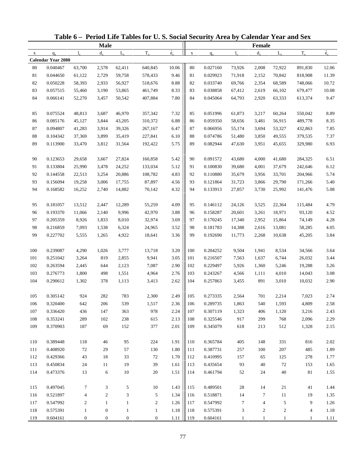|              |                           |                  |                  |              | Table 6 - Period Life Tables for U.S. Social Security Area by Calendar Year and Sex |             |             |          |             |                  |                |                |             |
|--------------|---------------------------|------------------|------------------|--------------|-------------------------------------------------------------------------------------|-------------|-------------|----------|-------------|------------------|----------------|----------------|-------------|
|              |                           |                  | <b>Male</b>      |              |                                                                                     |             |             |          |             | <b>Female</b>    |                |                |             |
| $\mathbf{x}$ | $q_{x}$                   | $l_{\rm x}$      | $d_{x}$          | $L_{\rm v}$  | $T_{x}$                                                                             | $\dot{e}_x$ | $\mathbf X$ | $q_{x}$  | $l_{\rm v}$ | $d_{x}$          | $L_{\rm v}$    | $T_{x}$        | $\dot{e}_x$ |
|              | <b>Calendar Year 2080</b> |                  |                  |              |                                                                                     |             |             |          |             |                  |                |                |             |
| 80           | 0.040467                  | 63,700           | 2,578            | 62,411       | 640,845                                                                             | 10.06       | 80          | 0.027160 | 73,926      | 2,008            | 72,922         | 891,830        | 12.06       |
| 81           | 0.044650                  | 61,122           | 2,729            | 59,758       | 578,433                                                                             | 9.46        | 81          | 0.029923 | 71,918      | 2,152            | 70,842         | 818,908        | 11.39       |
| 82           | 0.050228                  | 58,393           | 2,933            | 56,927       | 518,676                                                                             | 8.88        | 82          | 0.033740 | 69,766      | 2,354            | 68,589         | 748,066        | 10.72       |
| 83           | 0.057515                  | 55,460           | 3,190            | 53,865       | 461,749                                                                             | 8.33        | 83          | 0.038858 | 67,412      | 2,619            | 66,102         | 679,477        | 10.08       |
| 84           | 0.066141                  | 52,270           | 3,457            | 50,542       | 407,884                                                                             | 7.80        | 84          | 0.045064 | 64,793      | 2,920            | 63,333         | 613,374        | 9.47        |
| 85           | 0.075524                  | 48,813           | 3,687            | 46,970       | 357,342                                                                             | 7.32        | 85          | 0.051996 | 61,873      | 3,217            | 60,264         | 550,042        | 8.89        |
| 86           | 0.085176                  | 45,127           | 3,844            | 43,205       | 310,372                                                                             | 6.88        | 86          | 0.059350 | 58,656      | 3,481            | 56,915         | 489,778        | 8.35        |
| 87           | 0.094807                  | 41,283           | 3,914            | 39,326       | 267,167                                                                             | 6.47        | 87          | 0.066956 | 55,174      | 3,694            | 53,327         | 432,863        | 7.85        |
| $88\,$       | 0.104342                  | 37,369           | 3,899            | 35,419       | 227,841                                                                             | 6.10        | 88          | 0.074786 | 51,480      | 3,850            | 49,555         | 379,535        | 7.37        |
| 89           | 0.113900                  | 33,470           | 3,812            | 31,564       | 192,422                                                                             | 5.75        | 89          | 0.082944 | 47,630      | 3,951            | 45,655         | 329,980        | 6.93        |
| 90           | 0.123653                  | 29,658           | 3,667            | 27,824       | 160,858                                                                             | 5.42        | 90          | 0.091572 | 43,680      | 4,000            | 41,680         | 284,325        | 6.51        |
| 91           | 0.133804                  | 25,990           | 3,478            | 24,252       | 133,034                                                                             | 5.12        | 91          | 0.100830 | 39,680      | 4,001            | 37,679         | 242,646        | 6.12        |
| 92           | 0.144558                  | 22,513           | 3,254            | 20,886       | 108,782                                                                             | 4.83        | 92          | 0.110880 | 35,679      | 3,956            | 33,701         | 204,966        | 5.74        |
| 93           | 0.156094                  | 19,258           | 3,006            | 17,755       | 87,897                                                                              | 4.56        | 93          | 0.121864 | 31,723      | 3,866            | 29,790         | 171,266        | 5.40        |
| 94           | 0.168582                  | 16,252           | 2,740            | 14,882       | 70,142                                                                              | 4.32        | 94          | 0.133913 | 27,857      | 3,730            | 25,992         | 141,476        | 5.08        |
| 95           | 0.181057                  | 13,512           | 2,447            | 12,289       | 55,259                                                                              | 4.09        | 95          | 0.146112 | 24,126      | 3,525            | 22,364         | 115,484        | 4.79        |
| 96           | 0.193370                  | 11,066           | 2,140            | 9,996        | 42,970                                                                              | 3.88        | 96          | 0.158287 | 20,601      | 3,261            | 18,971         | 93,120         | 4.52        |
| 97           | 0.205359                  | 8,926            | 1,833            | 8,010        | 32,974                                                                              | 3.69        | 97          | 0.170245 | 17,340      | 2,952            | 15,864         | 74,149         | 4.28        |
| 98           | 0.216859                  | 7,093            | 1,538            | 6,324        | 24,965                                                                              | 3.52        | 98          | 0.181783 | 14,388      | 2,616            | 13,081         | 58,285         | 4.05        |
| 99           | 0.227702                  | 5,555            | 1,265            | 4,922        | 18,641                                                                              | 3.36        | 99          | 0.192690 | 11,773      | 2,268            | 10,638         | 45,205         | 3.84        |
|              |                           |                  |                  |              |                                                                                     |             |             |          |             |                  |                |                |             |
| 100          | 0.239087                  | 4,290            | 1,026            | 3,777        | 13,718                                                                              | 3.20        | 100         | 0.204252 | 9,504       | 1,941            | 8,534          | 34,566         | 3.64        |
| 101          | 0.251042                  | 3,264            | 819              | 2,855        | 9,941                                                                               | 3.05        | 101         | 0.216507 | 7,563       | 1,637            | 6,744          | 26,032         | 3.44        |
| 102          | 0.263594                  | 2,445            | 644              | 2,123        | 7,087                                                                               | 2.90        | 102         | 0.229497 | 5,926       | 1,360            | 5,246          | 19,288         | 3.26        |
| 103          | 0.276773                  | 1,800            | 498              | 1,551        | 4,964                                                                               | 2.76        | 103         | 0.243267 | 4,566       | 1,111            | 4,010          | 14,043         | $3.08\,$    |
| 104          | 0.290612                  | 1,302            | 378              | 1,113        | 3,413                                                                               | 2.62        | 104         | 0.257863 | 3,455       | 891              | 3,010          | 10,032         | 2.90        |
| 105          | 0.305142                  | 924              | $282\,$          | 783          | 2,300                                                                               | 2.49        | 105         | 0.273335 | 2,564       | $701\,$          | 2,214          | 7,023          | 2.74        |
| 106          | 0.320400                  | 642              | 206              | 539          | 1,517                                                                               | 2.36        | 106         | 0.289735 | 1,863       | 540              | 1,593          | 4,809          | 2.58        |
| 107          | 0.336420                  | 436              | 147              | 363          | 978                                                                                 | 2.24        | 107         | 0.307119 | 1,323       | 406              | 1,120          | 3,216          | 2.43        |
| 108          | 0.353241                  | 289              | 102              | 238          | 615                                                                                 | 2.13        | 108         | 0.325546 | 917         | 299              | 768            | 2,096          | 2.29        |
| 109          | 0.370903                  | 187              | 69               | 152          | 377                                                                                 | 2.01        | 109         | 0.345079 | 618         | 213              | 512            | 1,328          | 2.15        |
| 110          | 0.389448                  | 118              | $46\,$           | 95           | 224                                                                                 | 1.91        | 110         | 0.365784 | 405         | 148              | 331            | 816            | 2.02        |
| 111          | 0.408920                  | 72               | 29               | 57           | 130                                                                                 | 1.80        | 111         | 0.387731 | 257         | 100              | 207            | 485            | 1.89        |
| 112          | 0.429366                  | 43               | 18               | 33           | 72                                                                                  | 1.70        | 112         | 0.410995 | 157         | 65               | 125            | 278            | 1.77        |
| 113          | 0.450834                  | 24               | 11               | 19           | 39                                                                                  | 1.61        | 113         | 0.435654 | 93          | 40               | 72             | 153            | 1.65        |
| 114          | 0.473376                  | 13               | 6                | 10           | 20                                                                                  | 1.51        | 114         | 0.461794 | 52          | 24               | 40             | $81\,$         | 1.55        |
|              |                           |                  |                  |              |                                                                                     |             |             |          |             |                  |                |                |             |
| 115          | 0.497045                  | 7                | 3                | 5            | 10                                                                                  | 1.43        | 115         | 0.489501 | $28\,$      | 14               | 21             | 41             | 1.44        |
| 116          | 0.521897                  | $\overline{4}$   | $\overline{2}$   | 3            | 5                                                                                   | 1.34        | 116         | 0.518871 | 14          | $\tau$           | 11             | 19             | 1.35        |
| 117          | 0.547992                  | $\overline{c}$   | $\mathbf{1}$     | $\mathbf{1}$ | $\boldsymbol{2}$                                                                    | 1.26        | 117         | 0.547992 | 7           | $\overline{4}$   | 5              | 9              | 1.26        |
| 118          | 0.575391                  | $\mathbf{1}$     | $\boldsymbol{0}$ | $\mathbf{1}$ | $\mathbf{1}$                                                                        | $1.18\,$    | 118         | 0.575391 | 3           | $\boldsymbol{2}$ | $\overline{c}$ | $\overline{4}$ | 1.18        |
| 119          | 0.604161                  | $\boldsymbol{0}$ | $\mathbf{0}$     | 0            | $\boldsymbol{0}$                                                                    | 1.11        | 119         | 0.604161 | 1           |                  | 1              | 1              | 1.11        |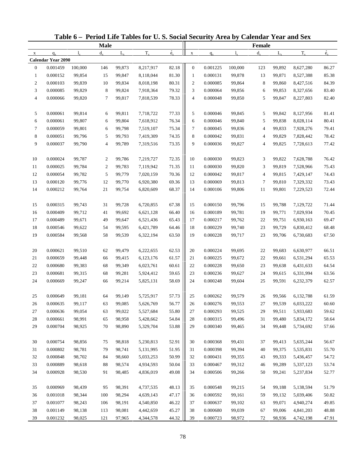|                |                           |             |                  |             | Table 6 - Period Life Tables for U.S. Social Security Area by Calendar Year and Sex |                          |                  |          |             |                |             |           |             |
|----------------|---------------------------|-------------|------------------|-------------|-------------------------------------------------------------------------------------|--------------------------|------------------|----------|-------------|----------------|-------------|-----------|-------------|
|                |                           |             | <b>Male</b>      |             |                                                                                     |                          |                  |          |             | Female         |             |           |             |
| $\mathbf X$    | $q_{x}$                   | $l_{\rm v}$ | $d_{\rm v}$      | $L_{\rm v}$ | $T_{x}$                                                                             | $\overset{\circ}{e}_{x}$ | $\mathbf X$      | $q_{x}$  | $l_{\rm x}$ | $d_{x}$        | $L_{\rm v}$ | $T_{x}$   | $\dot{e}_x$ |
|                | <b>Calendar Year 2090</b> |             |                  |             |                                                                                     |                          |                  |          |             |                |             |           |             |
| $\mathbf{0}$   | 0.001459                  | 100,000     | 146              | 99,873      | 8,217,917                                                                           | 82.18                    | $\boldsymbol{0}$ | 0.001225 | 100,000     | 123            | 99,892      | 8,627,280 | 86.27       |
| $\mathbf{1}$   | 0.000152                  | 99,854      | 15               | 99,847      | 8,118,044                                                                           | 81.30                    | $\mathbf{1}$     | 0.000131 | 99,878      | 13             | 99,871      | 8,527,388 | 85.38       |
| $\overline{c}$ | 0.000103                  | 99,839      | 10               | 99,834      | 8,018,198                                                                           | 80.31                    | $\boldsymbol{2}$ | 0.000085 | 99,864      | 8              | 99,860      | 8,427,516 | 84.39       |
| 3              | 0.000085                  | 99,829      | 8                | 99,824      | 7,918,364                                                                           | 79.32                    | 3                | 0.000064 | 99,856      | 6              | 99,853      | 8,327,656 | 83.40       |
| 4              | 0.000066                  | 99,820      | $\tau$           | 99,817      | 7,818,539                                                                           | 78.33                    | 4                | 0.000048 | 99,850      | 5              | 99,847      | 8,227,803 | 82.40       |
| 5              | 0.000061                  | 99,814      | 6                | 99,811      | 7,718,722                                                                           | 77.33                    | 5                | 0.000046 | 99,845      | 5              | 99,842      | 8,127,956 | 81.41       |
| 6              | 0.000061                  | 99,807      | 6                | 99,804      | 7,618,912                                                                           | 76.34                    | 6                | 0.000046 | 99,840      | 5              | 99,838      | 8,028,114 | 80.41       |
| $\tau$         | 0.000059                  | 99,801      | 6                | 99,798      | 7,519,107                                                                           | 75.34                    | 7                | 0.000045 | 99,836      | $\overline{4}$ | 99,833      | 7,928,276 | 79.41       |
| 8              | 0.000051                  | 99,796      | 5                | 99,793      | 7,419,309                                                                           | 74.35                    | 8                | 0.000042 | 99,831      | 4              | 99,829      | 7,828,442 | 78.42       |
| 9              | 0.000037                  | 99,790      | 4                | 99,789      | 7,319,516                                                                           | 73.35                    | 9                | 0.000036 | 99,827      | 4              | 99,825      | 7,728,613 | 77.42       |
| 10             | 0.000024                  | 99,787      | 2                | 99,786      | 7,219,727                                                                           | 72.35                    | 10               | 0.000030 | 99,823      | 3              | 99,822      | 7,628,788 | 76.42       |
| 11             | 0.000025                  | 99,784      | $\boldsymbol{2}$ | 99,783      | 7,119,942                                                                           | 71.35                    | 11               | 0.000030 | 99,820      | 3              | 99,819      | 7,528,966 | 75.43       |
| 12             | 0.000054                  | 99,782      | 5                | 99,779      | 7,020,159                                                                           | 70.36                    | 12               | 0.000042 | 99,817      | 4              | 99,815      | 7,429,147 | 74.43       |
| 13             | 0.000120                  | 99,776      | 12               | 99,770      | 6,920,380                                                                           | 69.36                    | 13               | 0.000069 | 99,813      | 7              | 99,810      | 7,329,332 | 73.43       |
| 14             | 0.000212                  | 99,764      | 21               | 99,754      | 6,820,609                                                                           | 68.37                    | 14               | 0.000106 | 99,806      | 11             | 99,801      | 7,229,523 | 72.44       |
| 15             | 0.000315                  | 99,743      | 31               | 99,728      | 6,720,855                                                                           | 67.38                    | 15               | 0.000150 | 99,796      | 15             | 99,788      | 7,129,722 | 71.44       |
| 16             | 0.000409                  | 99,712      | 41               | 99,692      | 6,621,128                                                                           | 66.40                    | 16               | 0.000189 | 99,781      | 19             | 99,771      | 7,029,934 | 70.45       |
| 17             | 0.000489                  | 99,671      | 49               | 99,647      | 6,521,436                                                                           | 65.43                    | 17               | 0.000217 | 99,762      | 22             | 99,751      | 6,930,163 | 69.47       |
| 18             | 0.000546                  | 99,622      | 54               | 99,595      | 6,421,789                                                                           | 64.46                    | 18               | 0.000229 | 99,740      | 23             | 99,729      | 6,830,412 | 68.48       |
| 19             | 0.000584                  | 99,568      | 58               | 99,539      | 6,322,194                                                                           | 63.50                    | 19               | 0.000228 | 99,717      | 23             | 99,706      | 6,730,683 | 67.50       |
|                |                           |             |                  |             |                                                                                     |                          |                  |          |             |                |             |           |             |
| 20             | 0.000621                  | 99,510      | 62               | 99,479      | 6,222,655                                                                           | 62.53                    | 20               | 0.000224 | 99,695      | 22             | 99,683      | 6,630,977 | 66.51       |
| 21             | 0.000659                  | 99,448      | 66               | 99,415      | 6,123,176                                                                           | 61.57                    | 21               | 0.000225 | 99,672      | 22             | 99,661      | 6,531,294 | 65.53       |
| 22             | 0.000680                  | 99,383      | 68               | 99,349      | 6,023,761                                                                           | 60.61                    | 22               | 0.000228 | 99,650      | 23             | 99,638      | 6,431,633 | 64.54       |
| 23             | 0.000681                  | 99,315      | 68               | 99,281      | 5,924,412                                                                           | 59.65                    | 23               | 0.000236 | 99,627      | 24             | 99,615      | 6,331,994 | 63.56       |
| 24             | 0.000669                  | 99,247      | 66               | 99,214      | 5,825,131                                                                           | 58.69                    | 24               | 0.000248 | 99,604      | 25             | 99,591      | 6,232,379 | 62.57       |
| 25             | 0.000649                  | 99,181      | 64               | 99,149      | 5,725,917                                                                           | 57.73                    | 25               | 0.000262 | 99,579      | 26             | 99,566      | 6,132,788 | 61.59       |
| 26             | 0.000635                  | 99,117      | 63               | 99,085      | 5,626,769                                                                           | 56.77                    | 26               | 0.000276 | 99,553      | 27             | 99,539      | 6,033,222 | 60.60       |
| 27             | 0.000636                  | 99,054      | 63               | 99,022      | 5,527,684                                                                           | 55.80                    | 27               | 0.000293 | 99,525      | 29             | 99,511      | 5,933,683 | 59.62       |
| 28             | 0.000661                  | 98,991      | 65               | 98,958      | 5,428,662                                                                           | 54.84                    | 28               | 0.000315 | 99,496      | 31             | 99,480      | 5,834,172 | 58.64       |
| 29             | 0.000704                  | 98,925      | 70               | 98,890      | 5,329,704                                                                           | 53.88                    | 29               | 0.000340 | 99,465      | 34             | 99,448      | 5,734,692 | 57.66       |
| 30             | 0.000754                  | 98,856      | 75               | 98,818      | 5,230,813                                                                           | 52.91                    | 30               | 0.000368 | 99,431      | 37             | 99,413      | 5,635,244 | 56.67       |
| 31             | 0.000802                  | 98,781      | 79               | 98,741      | 5,131,995                                                                           | 51.95                    | 31               | 0.000398 | 99,394      | 40             | 99,375      | 5,535,831 | 55.70       |
| 32             | 0.000848                  | 98,702      | 84               | 98,660      | 5,033,253                                                                           | 50.99                    | 32               | 0.000431 | 99,355      | 43             | 99,333      | 5,436,457 | 54.72       |
| 33             | 0.000889                  | 98,618      | 88               | 98,574      | 4,934,593                                                                           | 50.04                    | 33               | 0.000467 | 99,312      | 46             | 99,289      | 5,337,123 | 53.74       |
| 34             | 0.000928                  | 98,530      | 91               | 98,485      | 4,836,019                                                                           | 49.08                    | 34               | 0.000506 | 99,266      | 50             | 99,241      | 5,237,834 | 52.77       |
|                |                           |             |                  |             |                                                                                     |                          |                  |          |             |                |             |           |             |
| 35             | 0.000969                  | 98,439      | 95               | 98,391      | 4,737,535                                                                           | 48.13                    | 35               | 0.000548 | 99,215      | 54             | 99,188      | 5,138,594 | 51.79       |
| 36             | 0.001018                  | 98,344      | 100              | 98,294      | 4,639,143                                                                           | 47.17                    | 36               | 0.000592 | 99,161      | 59             | 99,132      | 5,039,406 | 50.82       |
| 37             | 0.001077                  | 98,243      | 106              | 98,191      | 4,540,850                                                                           | 46.22                    | 37               | 0.000637 | 99,102      | 63             | 99,071      | 4,940,274 | 49.85       |
| 38             | 0.001149                  | 98,138      | 113              | 98,081      | 4,442,659                                                                           | 45.27                    | 38               | 0.000680 | 99,039      | 67             | 99,006      | 4,841,203 | 48.88       |
| 39             | 0.001232                  | 98,025      | 121              | 97,965      | 4,344,578                                                                           | 44.32                    | 39               | 0.000723 | 98,972      | 72             | 98,936      | 4,742,198 | 47.91       |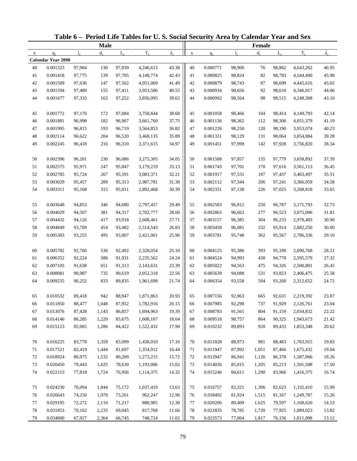| <b>Male</b><br>Female<br>$\dot{e}_x$<br>$\dot{e}_x$<br>$T_{x}$<br>$T_{x}$<br>$d_{\rm v}$<br>$L_{\rm v}$<br>$d_{x}$<br>$L_{\rm v}$<br>$l_{\rm x}$<br>$q_{x}$<br>$\mathbf{l}$<br>$\mathbf X$<br>$q_{x}$<br>$\mathbf X$<br><b>Calendar Year 2090</b><br>0.001323<br>97,904<br>97,839<br>43.38<br>40<br>0.000771<br>98,900<br>98,862<br>4,643,262<br>40<br>130<br>4,246,613<br>76<br>46.95<br>42.43<br>41<br>0.001418<br>41<br>0.000825<br>82<br>45.98<br>97,775<br>139<br>97,705<br>4,148,774<br>98,824<br>98,783<br>4,544,400<br>41.49<br>42<br>0.001509<br>42<br>0.000879<br>45.02<br>97,636<br>147<br>97,562<br>4,051,069<br>98,743<br>87<br>98,699<br>4,445,616<br>43<br>40.55<br>0.001594<br>97,489<br>155<br>97,411<br>43<br>0.000934<br>98,656<br>92<br>98,610<br>4,346,917<br>44.06<br>3,953,506<br>44<br>0.001677<br>97,333<br>163<br>97,252<br>39.62<br>44<br>0.000992<br>98,564<br>98<br>98,515<br>4,248,308<br>43.10<br>3,856,095<br>45<br>0.001772<br>97,170<br>172<br>97,084<br>3,758,844<br>38.68<br>45<br>0.001058<br>104<br>4,149,793<br>42.14<br>98,466<br>98,414<br>37.75<br>41.19<br>46<br>0.001881<br>96,998<br>182<br>96,907<br>46<br>0.001136<br>112<br>4,051,379<br>3,661,760<br>98,362<br>98,306<br>36.82<br>47<br>40.23<br>47<br>0.001995<br>96,815<br>193<br>96,719<br>0.001226<br>98,250<br>120<br>98,190<br>3,953,074<br>3,564,853<br>35.89<br>48<br>48<br>0.002114<br>96,622<br>204<br>0.001331<br>98,129<br>131<br>3,854,884<br>39.28<br>96,520<br>3,468,135<br>98,064<br>34.97<br>49<br>49<br>0.002245<br>96,418<br>96,310<br>0.001451<br>97,999<br>142<br>97,928<br>3,756,820<br>38.34<br>216<br>3,371,615<br>34.05<br>0.002396<br>96,201<br>96,086<br>3,275,305<br>50<br>0.001588<br>97,857<br>3,658,892<br>37.39<br>50<br>230<br>155<br>97,779<br>33.13<br>51<br>0.002575<br>51<br>0.001743<br>97,701<br>36.45<br>95,971<br>247<br>95,847<br>3,179,219<br>170<br>97,616<br>3,561,113<br>32.21<br>52<br>0.002785<br>95,724<br>267<br>95,591<br>3,083,371<br>52<br>0.001917<br>97,531<br>187<br>3,463,497<br>35.51<br>97,437<br>34.58<br>53<br>0.003029<br>95,457<br>289<br>95,313<br>2,987,781<br>31.30<br>53<br>0.002112<br>97,344<br>206<br>3,366,059<br>97,241<br>30.39<br>54<br>0.003311<br>95,168<br>315<br>95,011<br>54<br>0.002331<br>97,138<br>97,025<br>33.65<br>2,892,468<br>226<br>3,268,818<br>0.003648<br>55<br>94,853<br>346<br>94,680<br>29.49<br>55<br>0.002583<br>96,912<br>250<br>3,171,793<br>32.73<br>2,797,457<br>96,787<br>56<br>0.004029<br>381<br>94,317<br>28.60<br>56<br>0.002863<br>277<br>31.81<br>94,507<br>2,702,777<br>96,662<br>96,523<br>3,075,006<br>27.71<br>57<br>30.90<br>57<br>0.004432<br>94,126<br>417<br>93,918<br>0.003157<br>96,385<br>304<br>2,978,483<br>2,608,461<br>96,233<br>58<br>26.83<br>0.004849<br>93,709<br>454<br>2,514,543<br>58<br>0.003458<br>96,081<br>332<br>95,914<br>2,882,250<br>30.00<br>93,482<br>59<br>25.96<br>0.005303<br>495<br>93,007<br>2,421,061<br>59<br>0.003781<br>95,748<br>362<br>95,567<br>2,786,336<br>29.10<br>93,255<br>0.005782<br>25.10<br>60<br>92,760<br>2,328,054<br>60<br>0.004125<br>95,386<br>393<br>2,690,768<br>28.21<br>536<br>92,492<br>95,190<br>24.24<br>61<br>0.006352<br>92,224<br>586<br>91,931<br>2,235,562<br>61<br>0.004524<br>94,993<br>430<br>94,778<br>2,595,579<br>27.32<br>23.39<br>62<br>0.007103<br>62<br>0.005022<br>26.45<br>91,638<br>651<br>91,313<br>2,143,631<br>94,563<br>475<br>94,326<br>2,500,801<br>63<br>0.008081<br>90,987<br>22.56<br>0.005639<br>94,088<br>531<br>2,406,475<br>25.58<br>735<br>90,619<br>2,052,318<br>63<br>93,823<br>21.74<br>64<br>0.009235<br>90,252<br>833<br>64<br>0.006354<br>594<br>93,260<br>2,312,652<br>24.72<br>89,835<br>1,961,698<br>93,558<br>89,418<br>20.93<br>0.010532<br>88,947<br>1,871,863<br>0.007156<br>92,963<br>92,631<br>2,219,392<br>942<br>665<br>23.87<br>65<br>65<br>0.011850<br>87,952<br>20.15<br>0.007985<br>88,477<br>1,048<br>1,782,916<br>92,298<br>737<br>91,929<br>2,126,761<br>23.04<br>66<br>66<br>0.013076<br>87,428<br>86,857<br>19.39<br>0.008783<br>91,561<br>804<br>2,034,832<br>22.22<br>67<br>1,143<br>1,694,963<br>67<br>91,159<br>0.014140<br>86,285<br>85,675<br>1,608,107<br>18.64<br>0.009518<br>90,757<br>864<br>90,325<br>1,943,673<br>21.42<br>68<br>1,220<br>68<br>17.90<br>0.015123<br>0.010232<br>20.62<br>69<br>85,065<br>1,286<br>84,422<br>1,522,432<br>69<br>89,893<br>920<br>89,433<br>1,853,348<br>0.016225<br>83,778<br>83,099<br>1,438,010<br>17.16<br>0.011028<br>88,973<br>1,763,915<br>19.83<br>70<br>1,359<br>70<br>981<br>88,483<br>16.44<br>0.017521<br>82,419<br>0.011947<br>87,992<br>1,675,432<br>19.04<br>71<br>1,444<br>81,697<br>1,354,912<br>71<br>1,051<br>87,466<br>0.018924<br>80,975<br>15.72<br>72<br>1,532<br>80,209<br>1,273,215<br>72<br>0.012947<br>86,941<br>1,126<br>86,378<br>1,587,966<br>18.26<br>73<br>0.020450<br>79,443<br>15.02<br>85,815<br>17.50<br>1,625<br>78,630<br>1,193,006<br>73<br>0.014036<br>1,205<br>85,213<br>1,501,588<br>0.022153<br>77,818<br>14.32<br>74<br>1,724<br>76,956<br>1,114,375<br>74<br>0.015246<br>84,611<br>1,290<br>83,966<br>1,416,375<br>16.74<br>0.024230<br>76,094<br>1,844<br>1,037,419<br>13.63<br>0.016757<br>83,321<br>1,396<br>1,332,410<br>15.99<br>75<br>75,172<br>75<br>82,623<br>0.026643<br>1,978<br>73,261<br>962,247<br>12.96<br>0.018492<br>81,924<br>15.26<br>76<br>74,250<br>76<br>1,515<br>81,167<br>1,249,787<br>0.029195<br>12.30<br>0.020206<br>77<br>72,272<br>2,110<br>71,217<br>888,985<br>77<br>80,409<br>1,625<br>79,597<br>1,168,620<br>14.53<br>0.031853<br>78<br>70,162<br>817,768<br>11.66<br>78<br>0.021835<br>1,089,023<br>2,235<br>69,045<br>78,785<br>1,720<br>77,925<br>13.82<br>0.034800<br>67,927<br>11.02<br>79<br>2,364<br>66,745<br>748,724<br>79<br>0.023573<br>77,064<br>1,817<br>76,156<br>1,011,098<br>13.12 |  |  | Table 6 - Period Life Tables for U.S. Social Security Area by Calendar Year and Sex |  |  |  |  |
|--------------------------------------------------------------------------------------------------------------------------------------------------------------------------------------------------------------------------------------------------------------------------------------------------------------------------------------------------------------------------------------------------------------------------------------------------------------------------------------------------------------------------------------------------------------------------------------------------------------------------------------------------------------------------------------------------------------------------------------------------------------------------------------------------------------------------------------------------------------------------------------------------------------------------------------------------------------------------------------------------------------------------------------------------------------------------------------------------------------------------------------------------------------------------------------------------------------------------------------------------------------------------------------------------------------------------------------------------------------------------------------------------------------------------------------------------------------------------------------------------------------------------------------------------------------------------------------------------------------------------------------------------------------------------------------------------------------------------------------------------------------------------------------------------------------------------------------------------------------------------------------------------------------------------------------------------------------------------------------------------------------------------------------------------------------------------------------------------------------------------------------------------------------------------------------------------------------------------------------------------------------------------------------------------------------------------------------------------------------------------------------------------------------------------------------------------------------------------------------------------------------------------------------------------------------------------------------------------------------------------------------------------------------------------------------------------------------------------------------------------------------------------------------------------------------------------------------------------------------------------------------------------------------------------------------------------------------------------------------------------------------------------------------------------------------------------------------------------------------------------------------------------------------------------------------------------------------------------------------------------------------------------------------------------------------------------------------------------------------------------------------------------------------------------------------------------------------------------------------------------------------------------------------------------------------------------------------------------------------------------------------------------------------------------------------------------------------------------------------------------------------------------------------------------------------------------------------------------------------------------------------------------------------------------------------------------------------------------------------------------------------------------------------------------------------------------------------------------------------------------------------------------------------------------------------------------------------------------------------------------------------------------------------------------------------------------------------------------------------------------------------------------------------------------------------------------------------------------------------------------------------------------------------------------------------------------------------------------------------------------------------------------------------------------------------------------------------------------------------------------------------------------------------------------------------------------------------------------------------------------------------------------------------------------------------------------------------------------------------------------------------------------------------------------------------------------------------------------------------------------------------------------------------------------------------------------------------------------------------------------------------------------------------------------------------------------------------------------------------------------------------------------------------------------------------------------------------------------------------------------------------------------------------------------------------------------------------------------------------------------------------------------------------------------------------------------------------------------------------------------------------------------------------------------------------------------------------------------------------------|--|--|-------------------------------------------------------------------------------------|--|--|--|--|
|                                                                                                                                                                                                                                                                                                                                                                                                                                                                                                                                                                                                                                                                                                                                                                                                                                                                                                                                                                                                                                                                                                                                                                                                                                                                                                                                                                                                                                                                                                                                                                                                                                                                                                                                                                                                                                                                                                                                                                                                                                                                                                                                                                                                                                                                                                                                                                                                                                                                                                                                                                                                                                                                                                                                                                                                                                                                                                                                                                                                                                                                                                                                                                                                                                                                                                                                                                                                                                                                                                                                                                                                                                                                                                                                                                                                                                                                                                                                                                                                                                                                                                                                                                                                                                                                                                                                                                                                                                                                                                                                                                                                                                                                                                                                                                                                                                                                                                                                                                                                                                                                                                                                                                                                                                                                                                                                                                                                                                                                                                                                                                                                                                                                                                                                                                                                                                                                    |  |  |                                                                                     |  |  |  |  |
|                                                                                                                                                                                                                                                                                                                                                                                                                                                                                                                                                                                                                                                                                                                                                                                                                                                                                                                                                                                                                                                                                                                                                                                                                                                                                                                                                                                                                                                                                                                                                                                                                                                                                                                                                                                                                                                                                                                                                                                                                                                                                                                                                                                                                                                                                                                                                                                                                                                                                                                                                                                                                                                                                                                                                                                                                                                                                                                                                                                                                                                                                                                                                                                                                                                                                                                                                                                                                                                                                                                                                                                                                                                                                                                                                                                                                                                                                                                                                                                                                                                                                                                                                                                                                                                                                                                                                                                                                                                                                                                                                                                                                                                                                                                                                                                                                                                                                                                                                                                                                                                                                                                                                                                                                                                                                                                                                                                                                                                                                                                                                                                                                                                                                                                                                                                                                                                                    |  |  |                                                                                     |  |  |  |  |
|                                                                                                                                                                                                                                                                                                                                                                                                                                                                                                                                                                                                                                                                                                                                                                                                                                                                                                                                                                                                                                                                                                                                                                                                                                                                                                                                                                                                                                                                                                                                                                                                                                                                                                                                                                                                                                                                                                                                                                                                                                                                                                                                                                                                                                                                                                                                                                                                                                                                                                                                                                                                                                                                                                                                                                                                                                                                                                                                                                                                                                                                                                                                                                                                                                                                                                                                                                                                                                                                                                                                                                                                                                                                                                                                                                                                                                                                                                                                                                                                                                                                                                                                                                                                                                                                                                                                                                                                                                                                                                                                                                                                                                                                                                                                                                                                                                                                                                                                                                                                                                                                                                                                                                                                                                                                                                                                                                                                                                                                                                                                                                                                                                                                                                                                                                                                                                                                    |  |  |                                                                                     |  |  |  |  |
|                                                                                                                                                                                                                                                                                                                                                                                                                                                                                                                                                                                                                                                                                                                                                                                                                                                                                                                                                                                                                                                                                                                                                                                                                                                                                                                                                                                                                                                                                                                                                                                                                                                                                                                                                                                                                                                                                                                                                                                                                                                                                                                                                                                                                                                                                                                                                                                                                                                                                                                                                                                                                                                                                                                                                                                                                                                                                                                                                                                                                                                                                                                                                                                                                                                                                                                                                                                                                                                                                                                                                                                                                                                                                                                                                                                                                                                                                                                                                                                                                                                                                                                                                                                                                                                                                                                                                                                                                                                                                                                                                                                                                                                                                                                                                                                                                                                                                                                                                                                                                                                                                                                                                                                                                                                                                                                                                                                                                                                                                                                                                                                                                                                                                                                                                                                                                                                                    |  |  |                                                                                     |  |  |  |  |
|                                                                                                                                                                                                                                                                                                                                                                                                                                                                                                                                                                                                                                                                                                                                                                                                                                                                                                                                                                                                                                                                                                                                                                                                                                                                                                                                                                                                                                                                                                                                                                                                                                                                                                                                                                                                                                                                                                                                                                                                                                                                                                                                                                                                                                                                                                                                                                                                                                                                                                                                                                                                                                                                                                                                                                                                                                                                                                                                                                                                                                                                                                                                                                                                                                                                                                                                                                                                                                                                                                                                                                                                                                                                                                                                                                                                                                                                                                                                                                                                                                                                                                                                                                                                                                                                                                                                                                                                                                                                                                                                                                                                                                                                                                                                                                                                                                                                                                                                                                                                                                                                                                                                                                                                                                                                                                                                                                                                                                                                                                                                                                                                                                                                                                                                                                                                                                                                    |  |  |                                                                                     |  |  |  |  |
|                                                                                                                                                                                                                                                                                                                                                                                                                                                                                                                                                                                                                                                                                                                                                                                                                                                                                                                                                                                                                                                                                                                                                                                                                                                                                                                                                                                                                                                                                                                                                                                                                                                                                                                                                                                                                                                                                                                                                                                                                                                                                                                                                                                                                                                                                                                                                                                                                                                                                                                                                                                                                                                                                                                                                                                                                                                                                                                                                                                                                                                                                                                                                                                                                                                                                                                                                                                                                                                                                                                                                                                                                                                                                                                                                                                                                                                                                                                                                                                                                                                                                                                                                                                                                                                                                                                                                                                                                                                                                                                                                                                                                                                                                                                                                                                                                                                                                                                                                                                                                                                                                                                                                                                                                                                                                                                                                                                                                                                                                                                                                                                                                                                                                                                                                                                                                                                                    |  |  |                                                                                     |  |  |  |  |
|                                                                                                                                                                                                                                                                                                                                                                                                                                                                                                                                                                                                                                                                                                                                                                                                                                                                                                                                                                                                                                                                                                                                                                                                                                                                                                                                                                                                                                                                                                                                                                                                                                                                                                                                                                                                                                                                                                                                                                                                                                                                                                                                                                                                                                                                                                                                                                                                                                                                                                                                                                                                                                                                                                                                                                                                                                                                                                                                                                                                                                                                                                                                                                                                                                                                                                                                                                                                                                                                                                                                                                                                                                                                                                                                                                                                                                                                                                                                                                                                                                                                                                                                                                                                                                                                                                                                                                                                                                                                                                                                                                                                                                                                                                                                                                                                                                                                                                                                                                                                                                                                                                                                                                                                                                                                                                                                                                                                                                                                                                                                                                                                                                                                                                                                                                                                                                                                    |  |  |                                                                                     |  |  |  |  |
|                                                                                                                                                                                                                                                                                                                                                                                                                                                                                                                                                                                                                                                                                                                                                                                                                                                                                                                                                                                                                                                                                                                                                                                                                                                                                                                                                                                                                                                                                                                                                                                                                                                                                                                                                                                                                                                                                                                                                                                                                                                                                                                                                                                                                                                                                                                                                                                                                                                                                                                                                                                                                                                                                                                                                                                                                                                                                                                                                                                                                                                                                                                                                                                                                                                                                                                                                                                                                                                                                                                                                                                                                                                                                                                                                                                                                                                                                                                                                                                                                                                                                                                                                                                                                                                                                                                                                                                                                                                                                                                                                                                                                                                                                                                                                                                                                                                                                                                                                                                                                                                                                                                                                                                                                                                                                                                                                                                                                                                                                                                                                                                                                                                                                                                                                                                                                                                                    |  |  |                                                                                     |  |  |  |  |
|                                                                                                                                                                                                                                                                                                                                                                                                                                                                                                                                                                                                                                                                                                                                                                                                                                                                                                                                                                                                                                                                                                                                                                                                                                                                                                                                                                                                                                                                                                                                                                                                                                                                                                                                                                                                                                                                                                                                                                                                                                                                                                                                                                                                                                                                                                                                                                                                                                                                                                                                                                                                                                                                                                                                                                                                                                                                                                                                                                                                                                                                                                                                                                                                                                                                                                                                                                                                                                                                                                                                                                                                                                                                                                                                                                                                                                                                                                                                                                                                                                                                                                                                                                                                                                                                                                                                                                                                                                                                                                                                                                                                                                                                                                                                                                                                                                                                                                                                                                                                                                                                                                                                                                                                                                                                                                                                                                                                                                                                                                                                                                                                                                                                                                                                                                                                                                                                    |  |  |                                                                                     |  |  |  |  |
|                                                                                                                                                                                                                                                                                                                                                                                                                                                                                                                                                                                                                                                                                                                                                                                                                                                                                                                                                                                                                                                                                                                                                                                                                                                                                                                                                                                                                                                                                                                                                                                                                                                                                                                                                                                                                                                                                                                                                                                                                                                                                                                                                                                                                                                                                                                                                                                                                                                                                                                                                                                                                                                                                                                                                                                                                                                                                                                                                                                                                                                                                                                                                                                                                                                                                                                                                                                                                                                                                                                                                                                                                                                                                                                                                                                                                                                                                                                                                                                                                                                                                                                                                                                                                                                                                                                                                                                                                                                                                                                                                                                                                                                                                                                                                                                                                                                                                                                                                                                                                                                                                                                                                                                                                                                                                                                                                                                                                                                                                                                                                                                                                                                                                                                                                                                                                                                                    |  |  |                                                                                     |  |  |  |  |
|                                                                                                                                                                                                                                                                                                                                                                                                                                                                                                                                                                                                                                                                                                                                                                                                                                                                                                                                                                                                                                                                                                                                                                                                                                                                                                                                                                                                                                                                                                                                                                                                                                                                                                                                                                                                                                                                                                                                                                                                                                                                                                                                                                                                                                                                                                                                                                                                                                                                                                                                                                                                                                                                                                                                                                                                                                                                                                                                                                                                                                                                                                                                                                                                                                                                                                                                                                                                                                                                                                                                                                                                                                                                                                                                                                                                                                                                                                                                                                                                                                                                                                                                                                                                                                                                                                                                                                                                                                                                                                                                                                                                                                                                                                                                                                                                                                                                                                                                                                                                                                                                                                                                                                                                                                                                                                                                                                                                                                                                                                                                                                                                                                                                                                                                                                                                                                                                    |  |  |                                                                                     |  |  |  |  |
|                                                                                                                                                                                                                                                                                                                                                                                                                                                                                                                                                                                                                                                                                                                                                                                                                                                                                                                                                                                                                                                                                                                                                                                                                                                                                                                                                                                                                                                                                                                                                                                                                                                                                                                                                                                                                                                                                                                                                                                                                                                                                                                                                                                                                                                                                                                                                                                                                                                                                                                                                                                                                                                                                                                                                                                                                                                                                                                                                                                                                                                                                                                                                                                                                                                                                                                                                                                                                                                                                                                                                                                                                                                                                                                                                                                                                                                                                                                                                                                                                                                                                                                                                                                                                                                                                                                                                                                                                                                                                                                                                                                                                                                                                                                                                                                                                                                                                                                                                                                                                                                                                                                                                                                                                                                                                                                                                                                                                                                                                                                                                                                                                                                                                                                                                                                                                                                                    |  |  |                                                                                     |  |  |  |  |
|                                                                                                                                                                                                                                                                                                                                                                                                                                                                                                                                                                                                                                                                                                                                                                                                                                                                                                                                                                                                                                                                                                                                                                                                                                                                                                                                                                                                                                                                                                                                                                                                                                                                                                                                                                                                                                                                                                                                                                                                                                                                                                                                                                                                                                                                                                                                                                                                                                                                                                                                                                                                                                                                                                                                                                                                                                                                                                                                                                                                                                                                                                                                                                                                                                                                                                                                                                                                                                                                                                                                                                                                                                                                                                                                                                                                                                                                                                                                                                                                                                                                                                                                                                                                                                                                                                                                                                                                                                                                                                                                                                                                                                                                                                                                                                                                                                                                                                                                                                                                                                                                                                                                                                                                                                                                                                                                                                                                                                                                                                                                                                                                                                                                                                                                                                                                                                                                    |  |  |                                                                                     |  |  |  |  |
|                                                                                                                                                                                                                                                                                                                                                                                                                                                                                                                                                                                                                                                                                                                                                                                                                                                                                                                                                                                                                                                                                                                                                                                                                                                                                                                                                                                                                                                                                                                                                                                                                                                                                                                                                                                                                                                                                                                                                                                                                                                                                                                                                                                                                                                                                                                                                                                                                                                                                                                                                                                                                                                                                                                                                                                                                                                                                                                                                                                                                                                                                                                                                                                                                                                                                                                                                                                                                                                                                                                                                                                                                                                                                                                                                                                                                                                                                                                                                                                                                                                                                                                                                                                                                                                                                                                                                                                                                                                                                                                                                                                                                                                                                                                                                                                                                                                                                                                                                                                                                                                                                                                                                                                                                                                                                                                                                                                                                                                                                                                                                                                                                                                                                                                                                                                                                                                                    |  |  |                                                                                     |  |  |  |  |
|                                                                                                                                                                                                                                                                                                                                                                                                                                                                                                                                                                                                                                                                                                                                                                                                                                                                                                                                                                                                                                                                                                                                                                                                                                                                                                                                                                                                                                                                                                                                                                                                                                                                                                                                                                                                                                                                                                                                                                                                                                                                                                                                                                                                                                                                                                                                                                                                                                                                                                                                                                                                                                                                                                                                                                                                                                                                                                                                                                                                                                                                                                                                                                                                                                                                                                                                                                                                                                                                                                                                                                                                                                                                                                                                                                                                                                                                                                                                                                                                                                                                                                                                                                                                                                                                                                                                                                                                                                                                                                                                                                                                                                                                                                                                                                                                                                                                                                                                                                                                                                                                                                                                                                                                                                                                                                                                                                                                                                                                                                                                                                                                                                                                                                                                                                                                                                                                    |  |  |                                                                                     |  |  |  |  |
|                                                                                                                                                                                                                                                                                                                                                                                                                                                                                                                                                                                                                                                                                                                                                                                                                                                                                                                                                                                                                                                                                                                                                                                                                                                                                                                                                                                                                                                                                                                                                                                                                                                                                                                                                                                                                                                                                                                                                                                                                                                                                                                                                                                                                                                                                                                                                                                                                                                                                                                                                                                                                                                                                                                                                                                                                                                                                                                                                                                                                                                                                                                                                                                                                                                                                                                                                                                                                                                                                                                                                                                                                                                                                                                                                                                                                                                                                                                                                                                                                                                                                                                                                                                                                                                                                                                                                                                                                                                                                                                                                                                                                                                                                                                                                                                                                                                                                                                                                                                                                                                                                                                                                                                                                                                                                                                                                                                                                                                                                                                                                                                                                                                                                                                                                                                                                                                                    |  |  |                                                                                     |  |  |  |  |
|                                                                                                                                                                                                                                                                                                                                                                                                                                                                                                                                                                                                                                                                                                                                                                                                                                                                                                                                                                                                                                                                                                                                                                                                                                                                                                                                                                                                                                                                                                                                                                                                                                                                                                                                                                                                                                                                                                                                                                                                                                                                                                                                                                                                                                                                                                                                                                                                                                                                                                                                                                                                                                                                                                                                                                                                                                                                                                                                                                                                                                                                                                                                                                                                                                                                                                                                                                                                                                                                                                                                                                                                                                                                                                                                                                                                                                                                                                                                                                                                                                                                                                                                                                                                                                                                                                                                                                                                                                                                                                                                                                                                                                                                                                                                                                                                                                                                                                                                                                                                                                                                                                                                                                                                                                                                                                                                                                                                                                                                                                                                                                                                                                                                                                                                                                                                                                                                    |  |  |                                                                                     |  |  |  |  |
|                                                                                                                                                                                                                                                                                                                                                                                                                                                                                                                                                                                                                                                                                                                                                                                                                                                                                                                                                                                                                                                                                                                                                                                                                                                                                                                                                                                                                                                                                                                                                                                                                                                                                                                                                                                                                                                                                                                                                                                                                                                                                                                                                                                                                                                                                                                                                                                                                                                                                                                                                                                                                                                                                                                                                                                                                                                                                                                                                                                                                                                                                                                                                                                                                                                                                                                                                                                                                                                                                                                                                                                                                                                                                                                                                                                                                                                                                                                                                                                                                                                                                                                                                                                                                                                                                                                                                                                                                                                                                                                                                                                                                                                                                                                                                                                                                                                                                                                                                                                                                                                                                                                                                                                                                                                                                                                                                                                                                                                                                                                                                                                                                                                                                                                                                                                                                                                                    |  |  |                                                                                     |  |  |  |  |
|                                                                                                                                                                                                                                                                                                                                                                                                                                                                                                                                                                                                                                                                                                                                                                                                                                                                                                                                                                                                                                                                                                                                                                                                                                                                                                                                                                                                                                                                                                                                                                                                                                                                                                                                                                                                                                                                                                                                                                                                                                                                                                                                                                                                                                                                                                                                                                                                                                                                                                                                                                                                                                                                                                                                                                                                                                                                                                                                                                                                                                                                                                                                                                                                                                                                                                                                                                                                                                                                                                                                                                                                                                                                                                                                                                                                                                                                                                                                                                                                                                                                                                                                                                                                                                                                                                                                                                                                                                                                                                                                                                                                                                                                                                                                                                                                                                                                                                                                                                                                                                                                                                                                                                                                                                                                                                                                                                                                                                                                                                                                                                                                                                                                                                                                                                                                                                                                    |  |  |                                                                                     |  |  |  |  |
|                                                                                                                                                                                                                                                                                                                                                                                                                                                                                                                                                                                                                                                                                                                                                                                                                                                                                                                                                                                                                                                                                                                                                                                                                                                                                                                                                                                                                                                                                                                                                                                                                                                                                                                                                                                                                                                                                                                                                                                                                                                                                                                                                                                                                                                                                                                                                                                                                                                                                                                                                                                                                                                                                                                                                                                                                                                                                                                                                                                                                                                                                                                                                                                                                                                                                                                                                                                                                                                                                                                                                                                                                                                                                                                                                                                                                                                                                                                                                                                                                                                                                                                                                                                                                                                                                                                                                                                                                                                                                                                                                                                                                                                                                                                                                                                                                                                                                                                                                                                                                                                                                                                                                                                                                                                                                                                                                                                                                                                                                                                                                                                                                                                                                                                                                                                                                                                                    |  |  |                                                                                     |  |  |  |  |
|                                                                                                                                                                                                                                                                                                                                                                                                                                                                                                                                                                                                                                                                                                                                                                                                                                                                                                                                                                                                                                                                                                                                                                                                                                                                                                                                                                                                                                                                                                                                                                                                                                                                                                                                                                                                                                                                                                                                                                                                                                                                                                                                                                                                                                                                                                                                                                                                                                                                                                                                                                                                                                                                                                                                                                                                                                                                                                                                                                                                                                                                                                                                                                                                                                                                                                                                                                                                                                                                                                                                                                                                                                                                                                                                                                                                                                                                                                                                                                                                                                                                                                                                                                                                                                                                                                                                                                                                                                                                                                                                                                                                                                                                                                                                                                                                                                                                                                                                                                                                                                                                                                                                                                                                                                                                                                                                                                                                                                                                                                                                                                                                                                                                                                                                                                                                                                                                    |  |  |                                                                                     |  |  |  |  |
|                                                                                                                                                                                                                                                                                                                                                                                                                                                                                                                                                                                                                                                                                                                                                                                                                                                                                                                                                                                                                                                                                                                                                                                                                                                                                                                                                                                                                                                                                                                                                                                                                                                                                                                                                                                                                                                                                                                                                                                                                                                                                                                                                                                                                                                                                                                                                                                                                                                                                                                                                                                                                                                                                                                                                                                                                                                                                                                                                                                                                                                                                                                                                                                                                                                                                                                                                                                                                                                                                                                                                                                                                                                                                                                                                                                                                                                                                                                                                                                                                                                                                                                                                                                                                                                                                                                                                                                                                                                                                                                                                                                                                                                                                                                                                                                                                                                                                                                                                                                                                                                                                                                                                                                                                                                                                                                                                                                                                                                                                                                                                                                                                                                                                                                                                                                                                                                                    |  |  |                                                                                     |  |  |  |  |
|                                                                                                                                                                                                                                                                                                                                                                                                                                                                                                                                                                                                                                                                                                                                                                                                                                                                                                                                                                                                                                                                                                                                                                                                                                                                                                                                                                                                                                                                                                                                                                                                                                                                                                                                                                                                                                                                                                                                                                                                                                                                                                                                                                                                                                                                                                                                                                                                                                                                                                                                                                                                                                                                                                                                                                                                                                                                                                                                                                                                                                                                                                                                                                                                                                                                                                                                                                                                                                                                                                                                                                                                                                                                                                                                                                                                                                                                                                                                                                                                                                                                                                                                                                                                                                                                                                                                                                                                                                                                                                                                                                                                                                                                                                                                                                                                                                                                                                                                                                                                                                                                                                                                                                                                                                                                                                                                                                                                                                                                                                                                                                                                                                                                                                                                                                                                                                                                    |  |  |                                                                                     |  |  |  |  |
|                                                                                                                                                                                                                                                                                                                                                                                                                                                                                                                                                                                                                                                                                                                                                                                                                                                                                                                                                                                                                                                                                                                                                                                                                                                                                                                                                                                                                                                                                                                                                                                                                                                                                                                                                                                                                                                                                                                                                                                                                                                                                                                                                                                                                                                                                                                                                                                                                                                                                                                                                                                                                                                                                                                                                                                                                                                                                                                                                                                                                                                                                                                                                                                                                                                                                                                                                                                                                                                                                                                                                                                                                                                                                                                                                                                                                                                                                                                                                                                                                                                                                                                                                                                                                                                                                                                                                                                                                                                                                                                                                                                                                                                                                                                                                                                                                                                                                                                                                                                                                                                                                                                                                                                                                                                                                                                                                                                                                                                                                                                                                                                                                                                                                                                                                                                                                                                                    |  |  |                                                                                     |  |  |  |  |
|                                                                                                                                                                                                                                                                                                                                                                                                                                                                                                                                                                                                                                                                                                                                                                                                                                                                                                                                                                                                                                                                                                                                                                                                                                                                                                                                                                                                                                                                                                                                                                                                                                                                                                                                                                                                                                                                                                                                                                                                                                                                                                                                                                                                                                                                                                                                                                                                                                                                                                                                                                                                                                                                                                                                                                                                                                                                                                                                                                                                                                                                                                                                                                                                                                                                                                                                                                                                                                                                                                                                                                                                                                                                                                                                                                                                                                                                                                                                                                                                                                                                                                                                                                                                                                                                                                                                                                                                                                                                                                                                                                                                                                                                                                                                                                                                                                                                                                                                                                                                                                                                                                                                                                                                                                                                                                                                                                                                                                                                                                                                                                                                                                                                                                                                                                                                                                                                    |  |  |                                                                                     |  |  |  |  |
|                                                                                                                                                                                                                                                                                                                                                                                                                                                                                                                                                                                                                                                                                                                                                                                                                                                                                                                                                                                                                                                                                                                                                                                                                                                                                                                                                                                                                                                                                                                                                                                                                                                                                                                                                                                                                                                                                                                                                                                                                                                                                                                                                                                                                                                                                                                                                                                                                                                                                                                                                                                                                                                                                                                                                                                                                                                                                                                                                                                                                                                                                                                                                                                                                                                                                                                                                                                                                                                                                                                                                                                                                                                                                                                                                                                                                                                                                                                                                                                                                                                                                                                                                                                                                                                                                                                                                                                                                                                                                                                                                                                                                                                                                                                                                                                                                                                                                                                                                                                                                                                                                                                                                                                                                                                                                                                                                                                                                                                                                                                                                                                                                                                                                                                                                                                                                                                                    |  |  |                                                                                     |  |  |  |  |
|                                                                                                                                                                                                                                                                                                                                                                                                                                                                                                                                                                                                                                                                                                                                                                                                                                                                                                                                                                                                                                                                                                                                                                                                                                                                                                                                                                                                                                                                                                                                                                                                                                                                                                                                                                                                                                                                                                                                                                                                                                                                                                                                                                                                                                                                                                                                                                                                                                                                                                                                                                                                                                                                                                                                                                                                                                                                                                                                                                                                                                                                                                                                                                                                                                                                                                                                                                                                                                                                                                                                                                                                                                                                                                                                                                                                                                                                                                                                                                                                                                                                                                                                                                                                                                                                                                                                                                                                                                                                                                                                                                                                                                                                                                                                                                                                                                                                                                                                                                                                                                                                                                                                                                                                                                                                                                                                                                                                                                                                                                                                                                                                                                                                                                                                                                                                                                                                    |  |  |                                                                                     |  |  |  |  |
|                                                                                                                                                                                                                                                                                                                                                                                                                                                                                                                                                                                                                                                                                                                                                                                                                                                                                                                                                                                                                                                                                                                                                                                                                                                                                                                                                                                                                                                                                                                                                                                                                                                                                                                                                                                                                                                                                                                                                                                                                                                                                                                                                                                                                                                                                                                                                                                                                                                                                                                                                                                                                                                                                                                                                                                                                                                                                                                                                                                                                                                                                                                                                                                                                                                                                                                                                                                                                                                                                                                                                                                                                                                                                                                                                                                                                                                                                                                                                                                                                                                                                                                                                                                                                                                                                                                                                                                                                                                                                                                                                                                                                                                                                                                                                                                                                                                                                                                                                                                                                                                                                                                                                                                                                                                                                                                                                                                                                                                                                                                                                                                                                                                                                                                                                                                                                                                                    |  |  |                                                                                     |  |  |  |  |
|                                                                                                                                                                                                                                                                                                                                                                                                                                                                                                                                                                                                                                                                                                                                                                                                                                                                                                                                                                                                                                                                                                                                                                                                                                                                                                                                                                                                                                                                                                                                                                                                                                                                                                                                                                                                                                                                                                                                                                                                                                                                                                                                                                                                                                                                                                                                                                                                                                                                                                                                                                                                                                                                                                                                                                                                                                                                                                                                                                                                                                                                                                                                                                                                                                                                                                                                                                                                                                                                                                                                                                                                                                                                                                                                                                                                                                                                                                                                                                                                                                                                                                                                                                                                                                                                                                                                                                                                                                                                                                                                                                                                                                                                                                                                                                                                                                                                                                                                                                                                                                                                                                                                                                                                                                                                                                                                                                                                                                                                                                                                                                                                                                                                                                                                                                                                                                                                    |  |  |                                                                                     |  |  |  |  |
|                                                                                                                                                                                                                                                                                                                                                                                                                                                                                                                                                                                                                                                                                                                                                                                                                                                                                                                                                                                                                                                                                                                                                                                                                                                                                                                                                                                                                                                                                                                                                                                                                                                                                                                                                                                                                                                                                                                                                                                                                                                                                                                                                                                                                                                                                                                                                                                                                                                                                                                                                                                                                                                                                                                                                                                                                                                                                                                                                                                                                                                                                                                                                                                                                                                                                                                                                                                                                                                                                                                                                                                                                                                                                                                                                                                                                                                                                                                                                                                                                                                                                                                                                                                                                                                                                                                                                                                                                                                                                                                                                                                                                                                                                                                                                                                                                                                                                                                                                                                                                                                                                                                                                                                                                                                                                                                                                                                                                                                                                                                                                                                                                                                                                                                                                                                                                                                                    |  |  |                                                                                     |  |  |  |  |
|                                                                                                                                                                                                                                                                                                                                                                                                                                                                                                                                                                                                                                                                                                                                                                                                                                                                                                                                                                                                                                                                                                                                                                                                                                                                                                                                                                                                                                                                                                                                                                                                                                                                                                                                                                                                                                                                                                                                                                                                                                                                                                                                                                                                                                                                                                                                                                                                                                                                                                                                                                                                                                                                                                                                                                                                                                                                                                                                                                                                                                                                                                                                                                                                                                                                                                                                                                                                                                                                                                                                                                                                                                                                                                                                                                                                                                                                                                                                                                                                                                                                                                                                                                                                                                                                                                                                                                                                                                                                                                                                                                                                                                                                                                                                                                                                                                                                                                                                                                                                                                                                                                                                                                                                                                                                                                                                                                                                                                                                                                                                                                                                                                                                                                                                                                                                                                                                    |  |  |                                                                                     |  |  |  |  |
|                                                                                                                                                                                                                                                                                                                                                                                                                                                                                                                                                                                                                                                                                                                                                                                                                                                                                                                                                                                                                                                                                                                                                                                                                                                                                                                                                                                                                                                                                                                                                                                                                                                                                                                                                                                                                                                                                                                                                                                                                                                                                                                                                                                                                                                                                                                                                                                                                                                                                                                                                                                                                                                                                                                                                                                                                                                                                                                                                                                                                                                                                                                                                                                                                                                                                                                                                                                                                                                                                                                                                                                                                                                                                                                                                                                                                                                                                                                                                                                                                                                                                                                                                                                                                                                                                                                                                                                                                                                                                                                                                                                                                                                                                                                                                                                                                                                                                                                                                                                                                                                                                                                                                                                                                                                                                                                                                                                                                                                                                                                                                                                                                                                                                                                                                                                                                                                                    |  |  |                                                                                     |  |  |  |  |
|                                                                                                                                                                                                                                                                                                                                                                                                                                                                                                                                                                                                                                                                                                                                                                                                                                                                                                                                                                                                                                                                                                                                                                                                                                                                                                                                                                                                                                                                                                                                                                                                                                                                                                                                                                                                                                                                                                                                                                                                                                                                                                                                                                                                                                                                                                                                                                                                                                                                                                                                                                                                                                                                                                                                                                                                                                                                                                                                                                                                                                                                                                                                                                                                                                                                                                                                                                                                                                                                                                                                                                                                                                                                                                                                                                                                                                                                                                                                                                                                                                                                                                                                                                                                                                                                                                                                                                                                                                                                                                                                                                                                                                                                                                                                                                                                                                                                                                                                                                                                                                                                                                                                                                                                                                                                                                                                                                                                                                                                                                                                                                                                                                                                                                                                                                                                                                                                    |  |  |                                                                                     |  |  |  |  |
|                                                                                                                                                                                                                                                                                                                                                                                                                                                                                                                                                                                                                                                                                                                                                                                                                                                                                                                                                                                                                                                                                                                                                                                                                                                                                                                                                                                                                                                                                                                                                                                                                                                                                                                                                                                                                                                                                                                                                                                                                                                                                                                                                                                                                                                                                                                                                                                                                                                                                                                                                                                                                                                                                                                                                                                                                                                                                                                                                                                                                                                                                                                                                                                                                                                                                                                                                                                                                                                                                                                                                                                                                                                                                                                                                                                                                                                                                                                                                                                                                                                                                                                                                                                                                                                                                                                                                                                                                                                                                                                                                                                                                                                                                                                                                                                                                                                                                                                                                                                                                                                                                                                                                                                                                                                                                                                                                                                                                                                                                                                                                                                                                                                                                                                                                                                                                                                                    |  |  |                                                                                     |  |  |  |  |
|                                                                                                                                                                                                                                                                                                                                                                                                                                                                                                                                                                                                                                                                                                                                                                                                                                                                                                                                                                                                                                                                                                                                                                                                                                                                                                                                                                                                                                                                                                                                                                                                                                                                                                                                                                                                                                                                                                                                                                                                                                                                                                                                                                                                                                                                                                                                                                                                                                                                                                                                                                                                                                                                                                                                                                                                                                                                                                                                                                                                                                                                                                                                                                                                                                                                                                                                                                                                                                                                                                                                                                                                                                                                                                                                                                                                                                                                                                                                                                                                                                                                                                                                                                                                                                                                                                                                                                                                                                                                                                                                                                                                                                                                                                                                                                                                                                                                                                                                                                                                                                                                                                                                                                                                                                                                                                                                                                                                                                                                                                                                                                                                                                                                                                                                                                                                                                                                    |  |  |                                                                                     |  |  |  |  |
|                                                                                                                                                                                                                                                                                                                                                                                                                                                                                                                                                                                                                                                                                                                                                                                                                                                                                                                                                                                                                                                                                                                                                                                                                                                                                                                                                                                                                                                                                                                                                                                                                                                                                                                                                                                                                                                                                                                                                                                                                                                                                                                                                                                                                                                                                                                                                                                                                                                                                                                                                                                                                                                                                                                                                                                                                                                                                                                                                                                                                                                                                                                                                                                                                                                                                                                                                                                                                                                                                                                                                                                                                                                                                                                                                                                                                                                                                                                                                                                                                                                                                                                                                                                                                                                                                                                                                                                                                                                                                                                                                                                                                                                                                                                                                                                                                                                                                                                                                                                                                                                                                                                                                                                                                                                                                                                                                                                                                                                                                                                                                                                                                                                                                                                                                                                                                                                                    |  |  |                                                                                     |  |  |  |  |
|                                                                                                                                                                                                                                                                                                                                                                                                                                                                                                                                                                                                                                                                                                                                                                                                                                                                                                                                                                                                                                                                                                                                                                                                                                                                                                                                                                                                                                                                                                                                                                                                                                                                                                                                                                                                                                                                                                                                                                                                                                                                                                                                                                                                                                                                                                                                                                                                                                                                                                                                                                                                                                                                                                                                                                                                                                                                                                                                                                                                                                                                                                                                                                                                                                                                                                                                                                                                                                                                                                                                                                                                                                                                                                                                                                                                                                                                                                                                                                                                                                                                                                                                                                                                                                                                                                                                                                                                                                                                                                                                                                                                                                                                                                                                                                                                                                                                                                                                                                                                                                                                                                                                                                                                                                                                                                                                                                                                                                                                                                                                                                                                                                                                                                                                                                                                                                                                    |  |  |                                                                                     |  |  |  |  |
|                                                                                                                                                                                                                                                                                                                                                                                                                                                                                                                                                                                                                                                                                                                                                                                                                                                                                                                                                                                                                                                                                                                                                                                                                                                                                                                                                                                                                                                                                                                                                                                                                                                                                                                                                                                                                                                                                                                                                                                                                                                                                                                                                                                                                                                                                                                                                                                                                                                                                                                                                                                                                                                                                                                                                                                                                                                                                                                                                                                                                                                                                                                                                                                                                                                                                                                                                                                                                                                                                                                                                                                                                                                                                                                                                                                                                                                                                                                                                                                                                                                                                                                                                                                                                                                                                                                                                                                                                                                                                                                                                                                                                                                                                                                                                                                                                                                                                                                                                                                                                                                                                                                                                                                                                                                                                                                                                                                                                                                                                                                                                                                                                                                                                                                                                                                                                                                                    |  |  |                                                                                     |  |  |  |  |
|                                                                                                                                                                                                                                                                                                                                                                                                                                                                                                                                                                                                                                                                                                                                                                                                                                                                                                                                                                                                                                                                                                                                                                                                                                                                                                                                                                                                                                                                                                                                                                                                                                                                                                                                                                                                                                                                                                                                                                                                                                                                                                                                                                                                                                                                                                                                                                                                                                                                                                                                                                                                                                                                                                                                                                                                                                                                                                                                                                                                                                                                                                                                                                                                                                                                                                                                                                                                                                                                                                                                                                                                                                                                                                                                                                                                                                                                                                                                                                                                                                                                                                                                                                                                                                                                                                                                                                                                                                                                                                                                                                                                                                                                                                                                                                                                                                                                                                                                                                                                                                                                                                                                                                                                                                                                                                                                                                                                                                                                                                                                                                                                                                                                                                                                                                                                                                                                    |  |  |                                                                                     |  |  |  |  |
|                                                                                                                                                                                                                                                                                                                                                                                                                                                                                                                                                                                                                                                                                                                                                                                                                                                                                                                                                                                                                                                                                                                                                                                                                                                                                                                                                                                                                                                                                                                                                                                                                                                                                                                                                                                                                                                                                                                                                                                                                                                                                                                                                                                                                                                                                                                                                                                                                                                                                                                                                                                                                                                                                                                                                                                                                                                                                                                                                                                                                                                                                                                                                                                                                                                                                                                                                                                                                                                                                                                                                                                                                                                                                                                                                                                                                                                                                                                                                                                                                                                                                                                                                                                                                                                                                                                                                                                                                                                                                                                                                                                                                                                                                                                                                                                                                                                                                                                                                                                                                                                                                                                                                                                                                                                                                                                                                                                                                                                                                                                                                                                                                                                                                                                                                                                                                                                                    |  |  |                                                                                     |  |  |  |  |
|                                                                                                                                                                                                                                                                                                                                                                                                                                                                                                                                                                                                                                                                                                                                                                                                                                                                                                                                                                                                                                                                                                                                                                                                                                                                                                                                                                                                                                                                                                                                                                                                                                                                                                                                                                                                                                                                                                                                                                                                                                                                                                                                                                                                                                                                                                                                                                                                                                                                                                                                                                                                                                                                                                                                                                                                                                                                                                                                                                                                                                                                                                                                                                                                                                                                                                                                                                                                                                                                                                                                                                                                                                                                                                                                                                                                                                                                                                                                                                                                                                                                                                                                                                                                                                                                                                                                                                                                                                                                                                                                                                                                                                                                                                                                                                                                                                                                                                                                                                                                                                                                                                                                                                                                                                                                                                                                                                                                                                                                                                                                                                                                                                                                                                                                                                                                                                                                    |  |  |                                                                                     |  |  |  |  |
|                                                                                                                                                                                                                                                                                                                                                                                                                                                                                                                                                                                                                                                                                                                                                                                                                                                                                                                                                                                                                                                                                                                                                                                                                                                                                                                                                                                                                                                                                                                                                                                                                                                                                                                                                                                                                                                                                                                                                                                                                                                                                                                                                                                                                                                                                                                                                                                                                                                                                                                                                                                                                                                                                                                                                                                                                                                                                                                                                                                                                                                                                                                                                                                                                                                                                                                                                                                                                                                                                                                                                                                                                                                                                                                                                                                                                                                                                                                                                                                                                                                                                                                                                                                                                                                                                                                                                                                                                                                                                                                                                                                                                                                                                                                                                                                                                                                                                                                                                                                                                                                                                                                                                                                                                                                                                                                                                                                                                                                                                                                                                                                                                                                                                                                                                                                                                                                                    |  |  |                                                                                     |  |  |  |  |
|                                                                                                                                                                                                                                                                                                                                                                                                                                                                                                                                                                                                                                                                                                                                                                                                                                                                                                                                                                                                                                                                                                                                                                                                                                                                                                                                                                                                                                                                                                                                                                                                                                                                                                                                                                                                                                                                                                                                                                                                                                                                                                                                                                                                                                                                                                                                                                                                                                                                                                                                                                                                                                                                                                                                                                                                                                                                                                                                                                                                                                                                                                                                                                                                                                                                                                                                                                                                                                                                                                                                                                                                                                                                                                                                                                                                                                                                                                                                                                                                                                                                                                                                                                                                                                                                                                                                                                                                                                                                                                                                                                                                                                                                                                                                                                                                                                                                                                                                                                                                                                                                                                                                                                                                                                                                                                                                                                                                                                                                                                                                                                                                                                                                                                                                                                                                                                                                    |  |  |                                                                                     |  |  |  |  |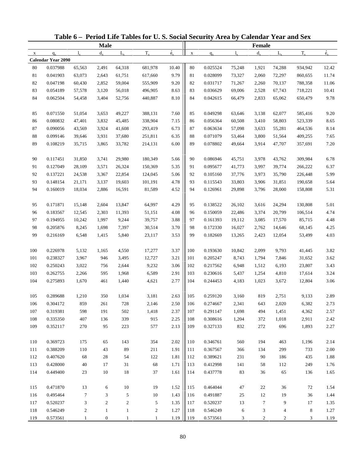|             |                           |                         |                  |              | Table 6 - Period Life Tables for U.S. Social Security Area by Calendar Year and Sex |                            |             |          |         |                |                |         |             |
|-------------|---------------------------|-------------------------|------------------|--------------|-------------------------------------------------------------------------------------|----------------------------|-------------|----------|---------|----------------|----------------|---------|-------------|
|             |                           |                         | <b>Male</b>      |              |                                                                                     |                            |             |          |         | Female         |                |         |             |
| $\mathbf X$ | $q_{x}$                   | $l_{x}$                 | $d_{x}$          | $L_{\rm v}$  | $T_{x}$                                                                             | $\dot{\mathbf{e}}_{\rm x}$ | $\mathbf X$ | $q_{x}$  | $l_{x}$ | $d_{x}$        | $L_{\rm v}$    | $T_{x}$ | $\dot{e}_x$ |
|             | <b>Calendar Year 2090</b> |                         |                  |              |                                                                                     |                            |             |          |         |                |                |         |             |
| 80          | 0.037988                  | 65,563                  | 2,491            | 64,318       | 681,978                                                                             | 10.40                      | 80          | 0.025524 | 75,248  | 1,921          | 74,288         | 934,942 | 12.42       |
| 81          | 0.041903                  | 63,073                  | 2,643            | 61,751       | 617,660                                                                             | 9.79                       | 81          | 0.028099 | 73,327  | 2,060          | 72,297         | 860,655 | 11.74       |
| 82          | 0.047198                  | 60,430                  | 2,852            | 59,004       | 555,909                                                                             | 9.20                       | 82          | 0.031717 | 71,267  | 2,260          | 70,137         | 788,358 | 11.06       |
| 83          | 0.054189                  | 57,578                  | 3,120            | 56,018       | 496,905                                                                             | 8.63                       | 83          | 0.036629 | 69,006  | 2,528          | 67,743         | 718,221 | 10.41       |
| 84          | 0.062504                  | 54,458                  | 3,404            | 52,756       | 440,887                                                                             | 8.10                       | 84          | 0.042615 | 66,479  | 2,833          | 65,062         | 650,479 | 9.78        |
| 85          | 0.071550                  | 51,054                  | 3,653            | 49,227       | 388,131                                                                             | 7.60                       | 85          | 0.049298 | 63,646  | 3,138          | 62,077         | 585,416 | 9.20        |
| 86          | 0.080832                  | 47,401                  | 3,832            | 45,485       | 338,904                                                                             | 7.15                       | 86          | 0.056364 | 60,508  | 3,410          | 58,803         | 523,339 | 8.65        |
| 87          | 0.090056                  | 43,569                  | 3,924            | 41,608       | 293,419                                                                             | 6.73                       | 87          | 0.063634 | 57,098  | 3,633          | 55,281         | 464,536 | 8.14        |
| 88          | 0.099146                  | 39,646                  | 3,931            | 37,680       | 251,811                                                                             | 6.35                       | 88          | 0.071079 | 53,464  | 3,800          | 51,564         | 409,255 | 7.65        |
| 89          | 0.108219                  | 35,715                  | 3,865            | 33,782       | 214,131                                                                             | 6.00                       | 89          | 0.078802 | 49,664  | 3,914          | 47,707         | 357,691 | 7.20        |
| 90          | 0.117451                  | 31,850                  | 3,741            | 29,980       | 180,349                                                                             | 5.66                       | 90          | 0.086946 | 45,751  | 3,978          | 43,762         | 309,984 | 6.78        |
| 91          | 0.127049                  | 28,109                  | 3,571            | 26,324       | 150,369                                                                             | 5.35                       | 91          | 0.095677 | 41,773  | 3,997          | 39,774         | 266,222 | 6.37        |
| 92          | 0.137221                  | 24,538                  | 3,367            | 22,854       | 124,045                                                                             | 5.06                       | 92          | 0.105160 | 37,776  | 3,973          | 35,790         | 226,448 | 5.99        |
| 93          | 0.148154                  | 21,171                  | 3,137            | 19,603       | 101,191                                                                             | 4.78                       | 93          | 0.115543 | 33,803  | 3,906          | 31,851         | 190,658 | 5.64        |
| 94          | 0.160019                  | 18,034                  | 2,886            | 16,591       | 81,589                                                                              | 4.52                       | 94          | 0.126961 | 29,898  | 3,796          | 28,000         | 158,808 | 5.31        |
| 95          | 0.171871                  | 15,148                  | 2,604            | 13,847       | 64,997                                                                              | 4.29                       | 95          | 0.138522 | 26,102  | 3,616          | 24,294         | 130,808 | 5.01        |
| 96          | 0.183567                  | 12,545                  | 2,303            | 11,393       | 51,151                                                                              | 4.08                       | 96          | 0.150059 | 22,486  | 3,374          | 20,799         | 106,514 | 4.74        |
| 97          | 0.194955                  | 10,242                  | 1,997            | 9,244        | 39,757                                                                              | 3.88                       | 97          | 0.161393 | 19,112  | 3,085          | 17,570         | 85,715  | 4.48        |
| 98          | 0.205876                  | 8,245                   | 1,698            | 7,397        | 30,514                                                                              | 3.70                       | 98          | 0.172330 | 16,027  | 2,762          | 14,646         | 68,145  | 4.25        |
| 99          | 0.216169                  | 6,548                   | 1,415            | 5,840        | 23,117                                                                              | 3.53                       | 99          | 0.182669 | 13,265  | 2,423          | 12,054         | 53,499  | 4.03        |
|             |                           |                         |                  |              |                                                                                     |                            |             |          |         |                |                |         |             |
| 100         | 0.226978                  | 5,132                   | 1,165            | 4,550        | 17,277                                                                              | 3.37                       | 100         | 0.193630 | 10,842  | 2,099          | 9,793          | 41,445  | 3.82        |
| 101         | 0.238327                  | 3,967                   | 946              | 3,495        | 12,727                                                                              | 3.21                       | 101         | 0.205247 | 8,743   | 1,794          | 7,846          | 31,652  | 3.62        |
| 102         | 0.250243                  | 3,022                   | 756              | 2,644        | 9,232                                                                               | 3.06                       | 102         | 0.217562 | 6,948   | 1,512          | 6,193          | 23,807  | 3.43        |
| 103         | 0.262755                  | 2,266                   | 595              | 1,968        | 6,589                                                                               | 2.91                       | 103         | 0.230616 | 5,437   | 1,254          | 4,810          | 17,614  | 3.24        |
| 104         | 0.275893                  | 1,670                   | 461              | 1,440        | 4,621                                                                               | 2.77                       | 104         | 0.244453 | 4,183   | 1,023          | 3,672          | 12,804  | 3.06        |
| 105         | 0.289688                  | 1,210                   | 350              | 1,034        | 3,181                                                                               | 2.63                       | 105         | 0.259120 | 3,160   | 819            | 2,751          | 9,133   | 2.89        |
| 106         | 0.304172                  | 859                     | 261              | 728          | 2,146                                                                               | 2.50                       | 106         | 0.274667 | 2,341   | 643            | 2,020          | 6,382   | 2.73        |
| 107         | 0.319381                  | 598                     | 191              | 502          | 1,418                                                                               | 2.37                       | 107         | 0.291147 | 1,698   | 494            | 1,451          | 4,362   | 2.57        |
| 108         | 0.335350                  | 407                     | 136              | 339          | 915                                                                                 | 2.25                       | 108         | 0.308616 | 1,204   | 372            | 1,018          | 2,911   | 2.42        |
| 109         | 0.352117                  | 270                     | 95               | 223          | 577                                                                                 | 2.13                       | 109         | 0.327133 | 832     | 272            | 696            | 1,893   | 2.27        |
| 110         | 0.369723                  | 175                     | 65               | 143          | 354                                                                                 | 2.02                       | 110         | 0.346761 | 560     | 194            | 463            | 1,196   | 2.14        |
| 111         | 0.388209                  | 110                     | 43               | 89           | 211                                                                                 | 1.91                       | 111         | 0.367567 | 366     | 134            | 299            | 733     | 2.00        |
| 112         | 0.407620                  | 68                      | 28               | 54           | 122                                                                                 | 1.81                       | 112         | 0.389621 | 231     | 90             | 186            | 435     | 1.88        |
| 113         | 0.428000                  | 40                      | 17               | 31           | 68                                                                                  | 1.71                       | 113         | 0.412998 | 141     | 58             | 112            | 249     | 1.76        |
| 114         | 0.449400                  | 23                      | 10               | 18           | 37                                                                                  | 1.61                       | 114         | 0.437778 | 83      | 36             | 65             | 136     | 1.65        |
| 115         | 0.471870                  | 13                      | 6                | $10\,$       | 19                                                                                  | 1.52                       | 115         | 0.464044 | 47      | 22             | 36             | 72      | 1.54        |
| 116         | 0.495464                  | 7                       | 3                | 5            | 10                                                                                  | 1.43                       | 116         | 0.491887 | 25      | 12             | 19             | 36      | 1.44        |
| 117         | 0.520237                  | 3                       | $\overline{c}$   | 2            | 5                                                                                   | 1.35                       | 117         | 0.520237 | 13      | $\tau$         | 9              | 17      | 1.35        |
| 118         | 0.546249                  | $\overline{\mathbf{c}}$ | $\mathbf{1}$     | $\mathbf{1}$ | $\overline{c}$                                                                      | 1.27                       | 118         | 0.546249 | 6       | 3              | 4              | 8       | 1.27        |
| 119         | 0.573561                  | 1                       | $\boldsymbol{0}$ |              | $\mathbf{1}$                                                                        | 1.19                       | 119         | 0.573561 | 3       | $\overline{c}$ | $\overline{c}$ | 3       | 1.19        |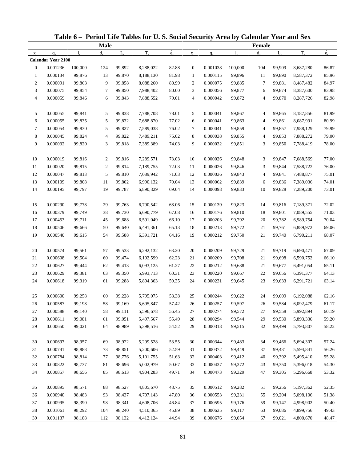|                |                           |             |                |             | Table 6 - Period Life Tables for U.S. Social Security Area by Calendar Year and Sex |                          |                  |          |             |             |                  |                        |             |
|----------------|---------------------------|-------------|----------------|-------------|-------------------------------------------------------------------------------------|--------------------------|------------------|----------|-------------|-------------|------------------|------------------------|-------------|
|                |                           |             | <b>Male</b>    |             |                                                                                     |                          |                  |          |             | Female      |                  |                        |             |
| $\mathbf X$    | $q_{x}$                   | $l_{\rm v}$ | $d_{\rm v}$    | $L_{\rm v}$ | $T_{x}$                                                                             | $\overset{\circ}{e}_{x}$ | $\mathbf X$      | $q_{x}$  | $l_{\rm x}$ | $d_{\rm v}$ | $L_{\rm v}$      | $T_{x}$                | $\dot{e}_x$ |
|                | <b>Calendar Year 2100</b> |             |                |             |                                                                                     |                          |                  |          |             |             |                  |                        |             |
| $\mathbf{0}$   | 0.001236                  | 100,000     | 124            | 99,892      | 8,288,022                                                                           | 82.88                    | $\mathbf{0}$     | 0.001038 | 100,000     | 104         | 99,909           | 8,687,280              | 86.87       |
| $\mathbf{1}$   | 0.000134                  | 99,876      | 13             | 99,870      | 8,188,130                                                                           | 81.98                    | $\mathbf{1}$     | 0.000115 | 99,896      | 11          | 99,890           | 8,587,372              | 85.96       |
| $\overline{c}$ | 0.000091                  | 99,863      | 9              | 99,858      | 8,088,260                                                                           | 80.99                    | $\boldsymbol{2}$ | 0.000075 | 99,885      | $\tau$      | 99,881           | 8,487,482              | 84.97       |
| 3              | 0.000075                  | 99,854      | 7              | 99,850      | 7,988,402                                                                           | $80.00\,$                | 3                | 0.000056 | 99,877      | 6           | 99,874           | 8,387,600              | 83.98       |
| 4              | 0.000059                  | 99,846      | 6              | 99,843      | 7,888,552                                                                           | 79.01                    | 4                | 0.000042 | 99,872      | 4           | 99,870           | 8,287,726              | 82.98       |
| 5              | 0.000055                  | 99,841      | 5              | 99,838      | 7,788,708                                                                           | 78.01                    | 5                | 0.000041 | 99,867      | 4           | 99,865           | 8,187,856              | 81.99       |
| 6              | 0.000055                  | 99,835      | 5              | 99,832      | 7,688,870                                                                           | 77.02                    | 6                | 0.000041 | 99,863      | 4           | 99,861           | 8,087,991              | 80.99       |
| $\tau$         | 0.000054                  | 99,830      | 5              | 99,827      | 7,589,038                                                                           | 76.02                    | 7                | 0.000041 | 99,859      | 4           | 99,857           | 7,988,129              | 79.99       |
| 8              | 0.000045                  | 99,824      | 4              | 99,822      | 7,489,211                                                                           | 75.02                    | 8                | 0.000038 | 99,855      | 4           | 99,853           | 7,888,272              | 79.00       |
| 9              | 0.000032                  | 99,820      | 3              | 99,818      | 7,389,389                                                                           | 74.03                    | 9                | 0.000032 | 99,851      | 3           | 99,850           | 7,788,419              | 78.00       |
| 10             | 0.000019                  | 99,816      | 2              | 99,816      | 7,289,571                                                                           | 73.03                    | 10               | 0.000026 | 99,848      | 3           | 99,847           | 7,688,569              | 77.00       |
| 11             | 0.000020                  | 99,815      | $\overline{c}$ | 99,814      | 7,189,755                                                                           | 72.03                    | 11               | 0.000026 | 99,846      | 3           | 99,844           | 7,588,722              | 76.00       |
| 12             | 0.000047                  | 99,813      | 5              | 99,810      | 7,089,942                                                                           | 71.03                    | 12               | 0.000036 | 99,843      | 4           | 99,841           | 7,488,877              | 75.01       |
| 13             | 0.000109                  | 99,808      | 11             | 99,802      | 6,990,132                                                                           | 70.04                    | 13               | 0.000062 | 99,839      | 6           | 99,836           | 7,389,036              | 74.01       |
| 14             | 0.000195                  | 99,797      | 19             | 99,787      | 6,890,329                                                                           | 69.04                    | 14               | 0.000098 | 99,833      | 10          | 99,828           | 7,289,200              | 73.01       |
| 15             | 0.000290                  | 99,778      | 29             | 99,763      | 6,790,542                                                                           | 68.06                    | 15               | 0.000139 | 99,823      | 14          | 99,816           | 7,189,371              | 72.02       |
| 16             | 0.000379                  | 99,749      | 38             | 99,730      | 6,690,779                                                                           | 67.08                    | 16               | 0.000176 | 99,810      | 18          | 99,801           | 7,089,555              | 71.03       |
| 17             | 0.000453                  | 99,711      | 45             | 99,688      | 6,591,049                                                                           | 66.10                    | 17               | 0.000203 | 99,792      | 20          | 99,782           | 6,989,754              | 70.04       |
| 18             | 0.000506                  | 99,666      | 50             | 99,640      | 6,491,361                                                                           | 65.13                    | 18               | 0.000213 | 99,772      | 21          | 99,761           | 6,889,972              | 69.06       |
| 19             | 0.000540                  | 99,615      | 54             | 99,588      | 6,391,721                                                                           | 64.16                    | 19               | 0.000212 | 99,750      | 21          | 99,740           | 6,790,211              | 68.07       |
|                |                           |             |                |             |                                                                                     |                          |                  |          |             |             |                  |                        |             |
| 20             | 0.000574                  | 99,561      | 57             | 99,533      | 6,292,132                                                                           | 63.20                    | 20               | 0.000209 | 99,729      | 21          | 99,719           | 6,690,471              | 67.09       |
| $21\,$         | 0.000608                  | 99,504      | 60             | 99,474      | 6,192,599                                                                           | 62.23                    | 21               | 0.000209 | 99,708      | 21          | 99,698           | 6,590,752              | 66.10       |
| 22             | 0.000627                  | 99,444      | 62             | 99,413      | 6,093,125                                                                           | 61.27                    | 22               | 0.000212 | 99,688      | 21          | 99,677           | 6,491,054              | 65.11       |
| 23             | 0.000629                  | 99,381      | 63             | 99,350      | 5,993,713                                                                           | 60.31                    | 23               | 0.000220 | 99,667      | 22          | 99,656           | 6,391,377              | 64.13       |
| 24             | 0.000618                  | 99,319      | 61             | 99,288      | 5,894,363                                                                           | 59.35                    | 24               | 0.000231 | 99,645      | 23          | 99,633           | 6,291,721              | 63.14       |
| 25             | 0.000600                  | 99,258      | 60             | 99,228      | 5,795,075                                                                           | 58.38                    | 25               | 0.000244 | 99,622      | 24          | 99,609           | 6,192,088              | 62.16       |
| 26             | 0.000587                  | 99,198      | 58             | 99,169      | 5,695,847                                                                           | 57.42                    | 26               | 0.000257 | 99,597      | 26          | 99,584           | 6,092,479              | 61.17       |
| 27             | 0.000588                  | 99,140      | 58             | 99,111      | 5,596,678                                                                           | 56.45                    | 27               | 0.000274 | 99,572      | 27          | 99,558           | 5,992,894              | 60.19       |
| 28             | 0.000611                  | 99,081      | 61             | 99,051      | 5,497,567                                                                           | 55.49                    | 28               | 0.000294 | 99,544      | 29          | 99,530           | 5,893,336              | 59.20       |
| 29             | 0.000650                  | 99,021      | 64             | 98,989      | 5,398,516                                                                           | 54.52                    | 29               | 0.000318 | 99,515      | 32          | 99,499           | 5,793,807              | 58.22       |
| 30             | 0.000697                  | 98,957      | 69             | 98,922      | 5,299,528                                                                           | 53.55                    | 30               | 0.000344 | 99,483      | 34          | 99,466           | 5,694,307              | 57.24       |
| 31             | 0.000741                  | 98,888      | 73             | 98,851      | 5,200,606                                                                           | 52.59                    | 31               | 0.000372 | 99,449      | 37          | 99,431           | 5,594,841              | 56.26       |
| 32             | 0.000784                  | 98,814      | 77             | 98,776      | 5,101,755                                                                           | 51.63                    | 32               | 0.000403 | 99,412      | 40          | 99,392           | 5,495,410              | 55.28       |
| 33             | 0.000822                  | 98,737      | 81             | 98,696      | 5,002,979                                                                           | 50.67                    | 33               | 0.000437 | 99,372      | 43          | 99,350           | 5,396,018              | 54.30       |
| 34             | 0.000857                  | 98,656      | 85             | 98,613      | 4,904,283                                                                           | 49.71                    | 34               | 0.000473 | 99,329      | 47          | 99,305           | 5,296,668              | 53.32       |
| 35             | 0.000895                  | 98,571      | 88             | 98,527      | 4,805,670                                                                           | 48.75                    | 35               | 0.000512 | 99,282      | 51          | 99,256           | 5,197,362              | 52.35       |
| 36             | 0.000940                  | 98,483      | 93             | 98,437      | 4,707,143                                                                           | 47.80                    | 36               | 0.000553 | 99,231      | 55          | 99,204           | 5,098,106              | 51.38       |
| 37             | 0.000995                  | 98,390      |                | 98,341      |                                                                                     | 46.84                    |                  | 0.000595 | 99,176      | 59          |                  |                        | 50.40       |
| 38             | 0.001061                  | 98,292      | 98<br>104      | 98,240      | 4,608,706<br>4,510,365                                                              | 45.89                    | 37<br>38         | 0.000635 | 99,117      | 63          | 99,147<br>99,086 | 4,998,902<br>4,899,756 | 49.43       |
| 39             | 0.001137                  | 98,188      | 112            | 98,132      | 4,412,124                                                                           | 44.94                    | 39               | 0.000676 | 99,054      | 67          | 99,021           | 4,800,670              | 48.47       |
|                |                           |             |                |             |                                                                                     |                          |                  |          |             |             |                  |                        |             |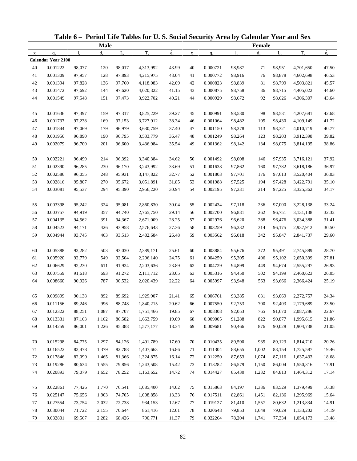|             |                           |        |             |             | Table 6 - Period Life Tables for U.S. Social Security Area by Calendar Year and Sex |                          |             |          |             |               |             |           |             |
|-------------|---------------------------|--------|-------------|-------------|-------------------------------------------------------------------------------------|--------------------------|-------------|----------|-------------|---------------|-------------|-----------|-------------|
|             |                           |        | <b>Male</b> |             |                                                                                     |                          |             |          |             | <b>Female</b> |             |           |             |
| $\mathbf X$ | $q_{x}$                   | 1.     | $d_{\rm v}$ | $L_{\rm v}$ | $T_{x}$                                                                             | $\overset{\circ}{e}_{x}$ | $\mathbf X$ | $q_{x}$  | $l_{\rm v}$ | $d_{\rm v}$   | $L_{\rm v}$ | $T_{x}$   | $\dot{e}_x$ |
|             | <b>Calendar Year 2100</b> |        |             |             |                                                                                     |                          |             |          |             |               |             |           |             |
| 40          | 0.001222                  | 98,077 | 120         | 98,017      | 4,313,992                                                                           | 43.99                    | 40          | 0.000721 | 98,987      | 71            | 98,951      | 4,701,650 | 47.50       |
| 41          | 0.001309                  | 97,957 | 128         | 97,893      | 4,215,975                                                                           | 43.04                    | 41          | 0.000772 | 98,916      | 76            | 98,878      | 4,602,698 | 46.53       |
| 42          | 0.001394                  | 97,828 | 136         | 97,760      | 4,118,083                                                                           | 42.09                    | 42          | 0.000823 | 98,839      | 81            | 98,799      | 4,503,821 | 45.57       |
| 43          | 0.001472                  | 97,692 | 144         | 97,620      | 4,020,322                                                                           | 41.15                    | 43          | 0.000875 | 98,758      | 86            | 98,715      | 4,405,022 | 44.60       |
| 44          | 0.001549                  | 97,548 | 151         | 97,473      | 3,922,702                                                                           | 40.21                    | 44          | 0.000929 | 98,672      | 92            | 98,626      | 4,306,307 | 43.64       |
| 45          | 0.001636                  | 97,397 | 159         | 97,317      | 3,825,229                                                                           | 39.27                    | 45          | 0.000991 | 98,580      | 98            | 98,531      | 4,207,681 | 42.68       |
| 46          | 0.001737                  | 97,238 | 169         | 97,153      | 3,727,912                                                                           | 38.34                    | 46          | 0.001064 | 98,482      | 105           | 98,430      | 4,109,149 | 41.72       |
| 47          | 0.001844                  | 97,069 | 179         | 96,979      | 3,630,759                                                                           | 37.40                    | 47          | 0.001150 | 98,378      | 113           | 98,321      | 4,010,719 | 40.77       |
| 48          | 0.001956                  | 96,890 | 190         | 96,795      | 3,533,779                                                                           | 36.47                    | 48          | 0.001249 | 98,264      | 123           | 98,203      | 3,912,398 | 39.82       |
| 49          | 0.002079                  | 96,700 | 201         | 96,600      | 3,436,984                                                                           | 35.54                    | 49          | 0.001362 | 98,142      | 134           | 98,075      | 3,814,195 | 38.86       |
| 50          | 0.002221                  | 96,499 | 214         | 96,392      | 3,340,384                                                                           | 34.62                    | 50          | 0.001492 | 98,008      | 146           | 97,935      | 3,716,121 | 37.92       |
| 51          | 0.002390                  | 96,285 | 230         | 96,170      | 3,243,992                                                                           | 33.69                    | 51          | 0.001638 | 97,862      | 160           | 97,782      | 3,618,186 | 36.97       |
| 52          | 0.002586                  | 96,055 | 248         | 95,931      | 3,147,822                                                                           | 32.77                    | 52          | 0.001803 | 97,701      | 176           | 97,613      | 3,520,404 | 36.03       |
| 53          | 0.002816                  | 95,807 | 270         | 95,672      | 3,051,891                                                                           | 31.85                    | 53          | 0.001988 | 97,525      | 194           | 97,428      | 3,422,791 | 35.10       |
| 54          | 0.003081                  | 95,537 | 294         | 95,390      | 2,956,220                                                                           | 30.94                    | 54          | 0.002195 | 97,331      | 214           | 97,225      | 3,325,362 | 34.17       |
| 55          | 0.003398                  | 95,242 | 324         | 95,081      | 2,860,830                                                                           | 30.04                    | 55          | 0.002434 | 97,118      | 236           | 97,000      | 3,228,138 | 33.24       |
| 56          | 0.003757                  | 94,919 | 357         | 94,740      | 2,765,750                                                                           | 29.14                    | 56          | 0.002700 | 96,881      | 262           | 96,751      | 3,131,138 | 32.32       |
| 57          | 0.004135                  | 94,562 | 391         | 94,367      | 2,671,009                                                                           | 28.25                    | 57          | 0.002976 | 96,620      | 288           | 96,476      | 3,034,388 | 31.41       |
| 58          | 0.004523                  | 94,171 | 426         | 93,958      | 2,576,643                                                                           | 27.36                    | 58          | 0.003259 | 96,332      | 314           | 96,175      | 2,937,912 | 30.50       |
| 59          | 0.004944                  | 93,745 | 463         | 93,513      | 2,482,684                                                                           | 26.48                    | 59          | 0.003562 | 96,018      | 342           | 95,847      | 2,841,737 | 29.60       |
|             |                           |        |             |             |                                                                                     |                          |             |          |             |               |             |           |             |
| 60          | 0.005388                  | 93,282 | 503         | 93,030      | 2,389,171                                                                           | 25.61                    | 60          | 0.003884 | 95,676      | 372           | 95,491      | 2,745,889 | 28.70       |
| 61          | 0.005920                  | 92,779 | 549         | 92,504      | 2,296,140                                                                           | 24.75                    | 61          | 0.004259 | 95,305      | 406           | 95,102      | 2,650,399 | 27.81       |
| 62          | 0.006629                  | 92,230 | 611         | 91,924      | 2,203,636                                                                           | 23.89                    | 62          | 0.004729 | 94,899      | 449           | 94,674      | 2,555,297 | 26.93       |
| 63          | 0.007559                  | 91,618 | 693         | 91,272      | 2,111,712                                                                           | 23.05                    | 63          | 0.005316 | 94,450      | 502           | 94,199      | 2,460,623 | 26.05       |
| 64          | 0.008660                  | 90,926 | 787         | 90,532      | 2,020,439                                                                           | 22.22                    | 64          | 0.005997 | 93,948      | 563           | 93,666      | 2,366,424 | 25.19       |
| 65          | 0.009899                  | 90,138 | 892         | 89,692      | 1,929,907                                                                           | 21.41                    | 65          | 0.006761 | 93,385      | 631           | 93,069      | 2,272,757 | 24.34       |
| 66          | 0.011156                  | 89,246 | 996         | 88,748      | 1,840,215                                                                           | 20.62                    | 66          | 0.007550 | 92,753      | 700           | 92,403      | 2,179,689 | 23.50       |
| 67          | 0.012322                  | 88,251 | 1,087       | 87,707      | 1,751,466                                                                           | 19.85                    | 67          | 0.008308 | 92,053      | 765           | 91,670      | 2,087,286 | 22.67       |
| 68          | 0.013331                  | 87,163 | 1,162       | 86,582      | 1,663,759                                                                           | 19.09                    | 68          | 0.009005 | 91,288      | 822           | 90,877      | 1,995,615 | 21.86       |
| 69          | 0.014259                  | 86,001 | 1,226       | 85,388      | 1,577,177                                                                           | 18.34                    | 69          | 0.009681 | 90,466      | 876           | 90,028      | 1,904,738 | 21.05       |
| 70          | 0.015298                  | 84,775 | 1,297       | 84,126      | 1,491,789                                                                           | 17.60                    | 70          | 0.010435 | 89,590      | 935           | 89,123      | 1,814,710 | 20.26       |
| 71          | 0.016522                  | 83,478 | 1,379       | 82,788      | 1,407,663                                                                           | 16.86                    | 71          | 0.011304 | 88,655      | 1,002         | 88,154      | 1,725,587 | 19.46       |
| 72          | 0.017846                  | 82,099 | 1,465       | 81,366      | 1,324,875                                                                           | 16.14                    | 72          | 0.012250 | 87,653      | 1,074         | 87,116      | 1,637,433 | 18.68       |
| 73          | 0.019286                  | 80,634 | 1,555       | 79,856      | 1,243,508                                                                           | 15.42                    | 73          | 0.013282 | 86,579      | 1,150         | 86,004      | 1,550,316 | 17.91       |
| 74          | 0.020893                  | 79,079 | 1,652       | 78,252      | 1,163,652                                                                           | 14.72                    | 74          | 0.014427 | 85,430      | 1,232         | 84,813      | 1,464,312 | 17.14       |
|             |                           |        |             |             |                                                                                     |                          |             |          |             |               |             |           |             |
| 75          | 0.022861                  | 77,426 | 1,770       | 76,541      | 1,085,400                                                                           | 14.02                    | 75          | 0.015863 | 84,197      | 1,336         | 83,529      | 1,379,499 | 16.38       |
| 76          | 0.025147                  | 75,656 | 1,903       | 74,705      | 1,008,858                                                                           | 13.33                    | 76          | 0.017511 | 82,861      | 1,451         | 82,136      | 1,295,969 | 15.64       |
| 77          | 0.027554                  | 73,754 | 2,032       | 72,738      | 934,153                                                                             | 12.67                    | 77          | 0.019127 | 81,410      | 1,557         | 80,632      | 1,213,834 | 14.91       |
| 78          | 0.030044                  | 71,722 | 2,155       | 70,644      | 861,416                                                                             | 12.01                    | $78\,$      | 0.020648 | 79,853      | 1,649         | 79,029      | 1,133,202 | 14.19       |
| 79          | 0.032801                  | 69,567 | 2,282       | 68,426      | 790,771                                                                             | 11.37                    | 79          | 0.022264 | 78,204      | 1,741         | 77,334      | 1,054,173 | 13.48       |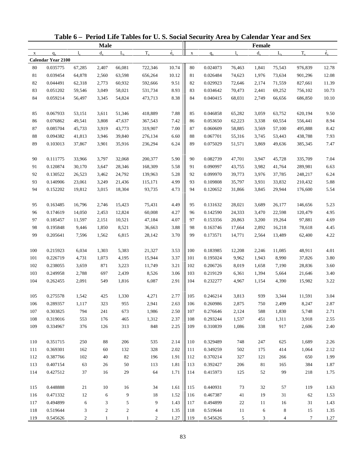|              |                           |                |                  |                | Table 6 – Period Life Tables for U.S. Social Security Area by Calendar Year and Sex |              |             |                      |                |                |                |                  |              |
|--------------|---------------------------|----------------|------------------|----------------|-------------------------------------------------------------------------------------|--------------|-------------|----------------------|----------------|----------------|----------------|------------------|--------------|
|              |                           |                | <b>Male</b>      |                |                                                                                     |              |             |                      |                | <b>Female</b>  |                |                  |              |
| $\mathbf{x}$ | $q_{x}$                   | $l_{\rm v}$    | $d_{\rm v}$      | $L_{\rm v}$    | $T_{x}$                                                                             | $\dot{e}_x$  | $\mathbf X$ | $q_{x}$              | $l_{\rm v}$    | $d_{x}$        | $L_{\rm v}$    | $T_{x}$          | $\dot{e}_x$  |
|              | <b>Calendar Year 2100</b> |                |                  |                |                                                                                     |              |             |                      |                |                |                |                  |              |
| 80           | 0.035775                  | 67,285         | 2,407            | 66,081         | 722,346                                                                             | 10.74        | 80          | 0.024073             | 76,463         | 1,841          | 75,543         | 976,839          | 12.78        |
| 81           | 0.039454                  | 64,878         | 2,560            | 63,598         | 656,264                                                                             | 10.12        | 81          | 0.026484             | 74,623         | 1,976          | 73,634         | 901,296          | 12.08        |
| 82           | 0.044491                  | 62,318         | 2,773            | 60,932         | 592,666                                                                             | 9.51         | 82          | 0.029923             | 72,646         | 2,174          | 71,559         | 827,661          | 11.39        |
| 83           | 0.051202                  | 59,546         | 3,049            | 58,021         | 531,734                                                                             | 8.93         | 83          | 0.034642             | 70,473         | 2,441          | 69,252         | 756,102          | 10.73        |
| 84           | 0.059214                  | 56,497         | 3,345            | 54,824         | 473,713                                                                             | 8.38         | 84          | 0.040415             | 68,031         | 2,749          | 66,656         | 686,850          | 10.10        |
| 85           | 0.067933                  | 53,151         | 3,611            | 51,346         | 418,889                                                                             | 7.88         | 85          | 0.046858             | 65,282         | 3,059          | 63,752         | 620,194          | 9.50         |
| 86           | 0.076862                  | 49,541         | 3,808            | 47,637         | 367,543                                                                             | 7.42         | 86          | 0.053650             | 62,223         | 3,338          | 60,554         | 556,441          | 8.94         |
| 87           | 0.085704                  | 45,733         | 3,919            | 43,773         | 319,907                                                                             | 7.00         | 87          | 0.060609             | 58,885         | 3,569          | 57,100         | 495,888          | 8.42         |
| $88\,$       | 0.094382                  | 41,813         | 3,946            | 39,840         | 276,134                                                                             | 6.60         | 88          | 0.067701             | 55,316         | 3,745          | 53,443         | 438,788          | 7.93         |
| 89           | 0.103013                  | 37,867         | 3,901            | 35,916         | 236,294                                                                             | 6.24         | 89          | 0.075029             | 51,571         | 3,869          | 49,636         | 385,345          | 7.47         |
| 90           | 0.111775                  | 33,966         | 3,797            | 32,068         | 200,377                                                                             | 5.90         | 90          | 0.082739             | 47,701         | 3,947          | 45,728         | 335,709          | 7.04         |
| 91           | 0.120874                  | 30,170         | 3,647            | 28,346         | 168,309                                                                             | 5.58         | 91          | 0.090997             | 43,755         | 3,982          | 41,764         | 289,981          | 6.63         |
| 92           | 0.130522                  | 26,523         | 3,462            | 24,792         | 139,963                                                                             | 5.28         | 92          | 0.099970             | 39,773         | 3,976          | 37,785         | 248,217          | 6.24         |
| 93           | 0.140906                  | 23,061         | 3,249            | 21,436         | 115,171                                                                             | 4.99         | 93          | 0.109808             | 35,797         | 3,931          | 33,832         | 210,432          | 5.88         |
| 94           | 0.152202                  | 19,812         | 3,015            | 18,304         | 93,735                                                                              | 4.73         | 94          | 0.120652             | 31,866         | 3,845          | 29,944         | 176,600          | 5.54         |
| 95           | 0.163485                  | 16,796         | 2,746            | 15,423         | 75,431                                                                              | 4.49         | 95          | 0.131632             | 28,021         | 3,689          | 26,177         | 146,656          | 5.23         |
| 96           | 0.174619                  | 14,050         | 2,453            | 12,824         | 60,008                                                                              | 4.27         | 96          | 0.142590             | 24,333         | 3,470          | 22,598         | 120,479          | 4.95         |
| 97           | 0.185457                  | 11,597         | 2,151            | 10,521         | 47,184                                                                              | 4.07         | 97          | 0.153356             | 20,863         | 3,200          | 19,264         | 97,881           | 4.69         |
| 98           | 0.195848                  | 9,446          | 1,850            | 8,521          | 36,663                                                                              | 3.88         | 98          | 0.163746             | 17,664         | 2,892          | 16,218         | 78,618           | 4.45         |
| 99           | 0.205641                  | 7,596          | 1,562            | 6,815          | 28,142                                                                              | 3.70         | 99          | 0.173571             | 14,771         | 2,564          | 13,489         | 62,400           | 4.22         |
| 100          |                           |                |                  |                |                                                                                     | 3.53         | 100         |                      |                |                |                |                  | 4.01         |
|              | 0.215923                  | 6,034          | 1,303            | 5,383          | 21,327                                                                              |              |             | 0.183985             | 12,208         | 2,246          | 11,085         | 48,911           |              |
| 101<br>102   | 0.226719<br>0.238055      | 4,731          | 1,073<br>871     | 4,195          | 15,944<br>11,749                                                                    | 3.37<br>3.21 | 101<br>102  | 0.195024             | 9,962          | 1,943          | 8,990          | 37,826           | 3.80<br>3.60 |
| 103          | 0.249958                  | 3,659          | 697              | 3,223          |                                                                                     | 3.06         | 103         | 0.206726             | 8,019          | 1,658          | 7,190          | 28,836           |              |
| 104          | 0.262455                  | 2,788<br>2,091 | 549              | 2,439<br>1,816 | 8,526<br>6,087                                                                      | 2.91         | 104         | 0.219129<br>0.232277 | 6,361<br>4,967 | 1,394<br>1,154 | 5,664<br>4,390 | 21,646<br>15,982 | 3.40<br>3.22 |
|              |                           |                |                  |                |                                                                                     |              |             |                      |                |                |                |                  |              |
| 105          | 0.275578                  | 1,542          | 425              | 1,330          | 4,271                                                                               | 2.77         | 105         | 0.246214             | 3,813          | 939            | 3,344          | 11,591           | 3.04         |
| 106          | 0.289357                  | 1,117          | 323              | 955            | 2,941                                                                               | 2.63         | 106         | 0.260986             | 2,875          | 750            | 2,499          | 8,247            | 2.87         |
| 107          | 0.303825                  | 794            | 241              | 673            | 1,986                                                                               | 2.50         | 107         | 0.276646             | 2,124          | 588            | 1,830          | 5,748            | 2.71         |
| 108          | 0.319016                  | 553            | 176              | 465            | 1,312                                                                               | 2.37         | 108         | 0.293244             | 1,537          | 451            | 1,311          | 3,918            | 2.55         |
| 109          | 0.334967                  | 376            | 126              | 313            | 848                                                                                 | 2.25         | 109         | 0.310839             | 1,086          | 338            | 917            | 2,606            | 2.40         |
| 110          | 0.351715                  | 250            | 88               | 206            | 535                                                                                 | 2.14         | 110         | 0.329489             | 748            | 247            | 625            | 1,689            | 2.26         |
| 111          | 0.369301                  | 162            | 60               | 132            | 328                                                                                 | 2.02         | 111         | 0.349259             | 502            | 175            | 414            | 1,064            | 2.12         |
| 112          | 0.387766                  | 102            | 40               | 82             | 196                                                                                 | 1.91         | 112         | 0.370214             | 327            | 121            | 266            | 650              | 1.99         |
| 113          | 0.407154                  | 63             | 26               | 50             | 113                                                                                 | 1.81         | 113         | 0.392427             | 206            | 81             | 165            | 384              | 1.87         |
| 114          | 0.427512                  | 37             | 16               | 29             | 64                                                                                  | 1.71         | 114         | 0.415973             | 125            | 52             | 99             | 218              | 1.75         |
| 115          | 0.448888                  | 21             | 10               | 16             | 34                                                                                  | 1.61         | 115         | 0.440931             | 73             | 32             | 57             | 119              | 1.63         |
| 116          | 0.471332                  | 12             | 6                | 9              | 18                                                                                  | 1.52         | 116         | 0.467387             | 41             | 19             | 31             | 62               | 1.53         |
| 117          | 0.494899                  | 6              | 3                | 5              | 9                                                                                   | 1.43         | 117         | 0.494899             | $22\,$         | 11             | 16             | 31               | 1.43         |
| 118          | 0.519644                  | 3              | $\boldsymbol{2}$ | 2              | $\overline{4}$                                                                      | 1.35         | 118         | 0.519644             | 11             | 6              | 8              | 15               | 1.35         |
| 119          | 0.545626                  | 2              |                  | 1              | 2                                                                                   | 1.27         | 119         | 0.545626             | 5              | 3              | 4              | 7                | 1.27         |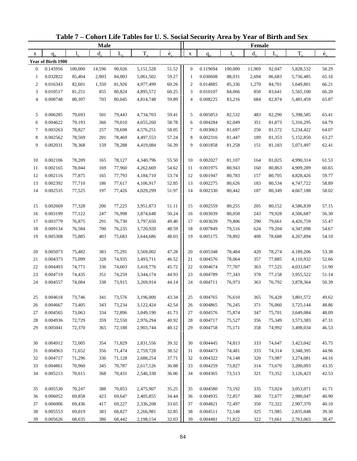|                          |                    |         | <b>Male</b> |             |           |                          |                |          |         | Female  |         |           |                          |
|--------------------------|--------------------|---------|-------------|-------------|-----------|--------------------------|----------------|----------|---------|---------|---------|-----------|--------------------------|
| X                        | $q_{\rm v}$        | 1.      | $d_{\rm v}$ | $L_{\rm x}$ | $T_{x}$   | $\overset{\circ}{e}_{x}$ | $\mathbf X$    | $q_{x}$  |         | $d_{x}$ | $L_{x}$ | $T_{x}$   | $\overset{\circ}{e}_{x}$ |
|                          | Year of Birth 1900 |         |             |             |           |                          |                |          |         |         |         |           |                          |
| $\boldsymbol{0}$         | 0.145956           | 100,000 | 14,596      | 90,026      | 5,151,528 | 51.52                    | $\mathbf{0}$   | 0.119694 | 100,000 | 11,969  | 92,047  | 5,828,532 | 58.29                    |
| 1                        | 0.032822           | 85,404  | 2,803       | 84,003      | 5,061,502 | 59.27                    | $\mathbf{1}$   | 0.030608 | 88,031  | 2,694   | 86,683  | 5,736,485 | 65.16                    |
| $\mathbf{2}$             | 0.016343           | 82,601  | 1,350       | 81,926      | 4,977,499 | 60.26                    | $\overline{c}$ | 0.014885 | 85,336  | 1,270   | 84,701  | 5,649,801 | 66.21                    |
| 3                        | 0.010517           | 81,251  | 855         | 80,824      | 4,895,572 | 60.25                    | 3              | 0.010107 | 84,066  | 850     | 83,641  | 5,565,100 | 66.20                    |
| $\overline{\mathcal{L}}$ | 0.008748           | 80,397  | 703         | 80,045      | 4,814,748 | 59.89                    | $\overline{4}$ | 0.008225 | 83,216  | 684     | 82,874  | 5,481,459 | 65.87                    |
|                          |                    |         |             |             |           |                          |                |          |         |         |         |           |                          |
| 5                        | 0.006285           | 79,693  | 501         | 79,443      | 4,734,703 | 59.41                    | 5              | 0.005853 | 82,532  | 483     | 82,290  | 5,398,585 | 65.41                    |
| 6                        | 0.004622           | 79,193  | 366         | 79,010      | 4,655,260 | 58.78                    | 6              | 0.004284 | 82,049  | 351     | 81,873  | 5,316,295 | 64.79                    |
| 7                        | 0.003263           | 78,827  | 257         | 78,698      | 4,576,251 | 58.05                    | $\tau$         | 0.003063 | 81,697  | 250     | 81,572  | 5,234,422 | 64.07                    |
| 8                        | 0.002562           | 78,569  | 201         | 78,469      | 4,497,553 | 57.24                    | 8              | 0.002316 | 81,447  | 189     | 81,353  | 5,152,850 | 63.27                    |
| 9                        | 0.002031           | 78,368  | 159         | 78,288      | 4,419,084 | 56.39                    | 9              | 0.001858 | 81,258  | 151     | 81,183  | 5,071,497 | 62.41                    |
|                          |                    |         |             |             |           |                          |                |          |         |         |         |           |                          |
| 10                       | 0.002106           | 78,209  | 165         | 78,127      | 4,340,796 | 55.50                    | 10             | 0.002027 | 81,107  | 164     | 81,025  | 4,990,314 | 61.53                    |
| 11                       | 0.002165           | 78,044  | 169         | 77,960      | 4,262,669 | 54.62                    | 11             | 0.001975 | 80,943  | 160     | 80,863  | 4,909,289 | 60.65                    |
| 12                       | 0.002116           | 77,875  | 165         | 77,793      | 4,184,710 | 53.74                    | 12             | 0.001947 | 80,783  | 157     | 80,705  | 4,828,426 | 59.77                    |
| 13                       | 0.002392           | 77,710  | 186         | 77,617      | 4,106,917 | 52.85                    | 13             | 0.002275 | 80,626  | 183     | 80,534  | 4,747,722 | 58.89                    |
| 14                       | 0.002535           | 77,525  | 197         | 77,426      | 4,029,299 | 51.97                    | 14             | 0.002330 | 80,442  | 187     | 80,349  | 4,667,188 | 58.02                    |
| 15                       | 0.002669           | 77,328  | 206         | 77,225      | 3,951,873 | 51.11                    | 15             | 0.002559 | 80,255  | 205     | 80,152  | 4,586,839 | 57.15                    |
| 16                       | 0.003199           | 77,122  | 247         | 76,998      | 3,874,648 | 50.24                    | 16             | 0.003039 | 80,050  | 243     | 79,928  | 4,506,687 | 56.30                    |
| 17                       | 0.003779           | 76,875  | 291         | 76,730      | 3,797,650 | 49.40                    | 17             | 0.003639 | 79,806  | 290     | 79,661  | 4,426,759 | 55.47                    |
| 18                       | 0.009134           | 76,584  | 700         | 76,235      | 3,720,920 | 48.59                    | 18             | 0.007849 | 79,516  | 624     | 79,204  | 4,347,098 | 54.67                    |
| 19                       | 0.005308           | 75,885  | 403         | 75,683      | 3,644,686 | 48.03                    | 19             | 0.005175 | 78,892  | 408     | 78,688  | 4,267,894 | 54.10                    |
|                          |                    |         |             |             |           |                          |                |          |         |         |         |           |                          |
| 20                       | 0.005073           | 75,482  | 383         | 75,291      | 3,569,002 | 47.28                    | 20             | 0.005348 | 78,484  | 420     | 78,274  | 4,189,206 | 53.38                    |
| 21                       | 0.004373           | 75,099  | 328         | 74,935      | 3,493,711 | 46.52                    | 21             | 0.004576 | 78,064  | 357     | 77,885  | 4,110,932 | 52.66                    |
| 22                       | 0.004493           | 74,771  | 336         | 74,603      | 3,418,776 | 45.72                    | 22             | 0.004674 | 77,707  | 363     | 77,525  | 4,033,047 | 51.90                    |
| 23                       | 0.004719           | 74,435  | 351         | 74,259      | 3,344,174 | 44.93                    | 23             | 0.004789 | 77,343  | 370     | 77,158  | 3,955,522 | 51.14                    |
| 24                       | 0.004557           | 74,084  | 338         | 73,915      | 3,269,914 | 44.14                    | 24             | 0.004711 | 76,973  | 363     | 76,792  | 3,878,364 | 50.39                    |
|                          |                    |         |             |             |           |                          |                |          |         |         |         |           |                          |
| 25                       | 0.004618           | 73,746  | 341         | 73,576      | 3,196,000 | 43.34                    | 25             | 0.004765 | 76,610  | 365     | 76,428  | 3,801,572 | 49.62                    |
| 26                       | 0.004667           | 73,405  | 343         | 73,234      | 3,122,424 | 42.54                    | 26             | 0.004865 | 76,245  | 371     | 76,060  | 3,725,144 | 48.86                    |
| 27                       | 0.004565           | 73,063  | 334         | 72,896      | 3,049,190 | 41.73                    | 27             | 0.004576 | 75,874  | 347     | 75,701  | 3,649,084 | 48.09                    |
| 28                       | 0.004936           | 72,729  | 359         | 72,550      | 2,976,294 | 40.92                    | 28             | 0.004717 | 75,527  | 356     | 75,349  | 3,573,383 | 47.31                    |
| 29                       | 0.005041           | 72,370  | 365         | 72,188      | 2,903,744 | 40.12                    | 29             | 0.004758 | 75,171  | 358     | 74,992  | 3,498,034 | 46.53                    |
| 30                       | 0.004912           | 72,005  | 354         | 71,829      | 2,831,556 | 39.32                    | 30             | 0.004445 | 74,813  | 333     | 74,647  | 3,423,042 | 45.75                    |
| 31                       | 0.004963           | 71,652  | 356         | 71,474      | 2,759,728 | 38.52                    | 31             | 0.004473 | 74,481  | 333     | 74,314  | 3,348,395 | 44.96                    |
| 32                       | 0.004717           | 71,296  | 336         | 71,128      | 2,688,254 | 37.71                    | 32             | 0.004322 | 74,148  | 320     | 73,987  | 3,274,081 | 44.16                    |
| 33                       | 0.004861           | 70,960  | 345         | 70,787      | 2,617,126 | 36.88                    | 33             | 0.004259 | 73,827  | 314     | 73,670  | 3,200,093 | 43.35                    |
| 34                       | 0.005213           | 70,615  | 368         | 70,431      | 2,546,338 | 36.06                    | 34             | 0.004365 | 73,513  | 321     | 73,352  | 3,126,423 | 42.53                    |
|                          |                    |         |             |             |           |                          |                |          |         |         |         |           |                          |
| 35                       | 0.005530           | 70,247  | 388         | 70,053      | 2,475,907 | 35.25                    | 35             | 0.004580 | 73,192  | 335     | 73,024  | 3,053,071 | 41.71                    |
| 36                       | 0.006052           | 69,858  | 423         | 69,647      | 2,405,855 | 34.44                    | 36             | 0.004935 | 72,857  | 360     | 72,677  | 2,980,047 | 40.90                    |
| 37                       | 0.006006           | 69,436  | 417         | 69,227      | 2,336,208 | 33.65                    | 37             | 0.004821 | 72,497  | 350     | 72,322  | 2,907,370 | 40.10                    |
| 38                       | 0.005553           | 69,019  | 383         | 68,827      | 2,266,981 | 32.85                    | 38             | 0.004511 | 72,148  | 325     | 71,985  | 2,835,048 | 39.30                    |
| 39                       | 0.005626           | 68,635  | 386         | 68,442      | 2,198,154 | 32.03                    | 39             | 0.004481 | 71,822  | 322     | 71,661  | 2,763,063 | 38.47                    |

**Table 7 – Cohort Life Tables for U. S. Social Security Area by Year of Birth and Sex**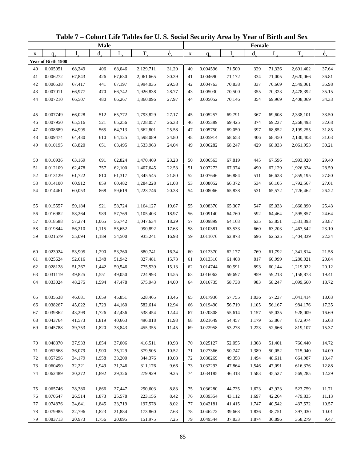|          |                      |                  | <b>Male</b> |                  |                        |                          |             |          |                  | <b>Female</b> |                  |                        |                          |
|----------|----------------------|------------------|-------------|------------------|------------------------|--------------------------|-------------|----------|------------------|---------------|------------------|------------------------|--------------------------|
| X        | $q_{x}$              |                  | $d_{\rm v}$ | L,               | $T_{x}$                | $\overset{\circ}{e}_{x}$ | $\mathbf X$ | $q_{x}$  |                  | $d_{x}$       | $L_{x}$          | $T_{x}$                | $\overset{\circ}{e}_{x}$ |
|          | Year of Birth 1900   |                  |             |                  |                        |                          |             |          |                  |               |                  |                        |                          |
| 40       | 0.005951             | 68,249           | 406         | 68,046           | 2,129,711              | 31.20                    | 40          | 0.004596 | 71,500           | 329           | 71,336           | 2,691,402              | 37.64                    |
| 41       | 0.006272             | 67,843           | 426         | 67,630           | 2,061,665              | 30.39                    | 41          | 0.004690 | 71,172           | 334           | 71,005           | 2,620,066              | 36.81                    |
| 42       | 0.006538             | 67,417           | 441         | 67,197           | 1,994,035              | 29.58                    | 42          | 0.004763 | 70,838           | 337           | 70,669           | 2,549,061              | 35.98                    |
| 43       | 0.007011             | 66,977           | 470         | 66,742           | 1,926,838              | 28.77                    | 43          | 0.005030 | 70,500           | 355           | 70,323           | 2,478,392              | 35.15                    |
| 44       | 0.007210             | 66,507           | 480         | 66,267           | 1,860,096              | 27.97                    | 44          | 0.005052 | 70,146           | 354           | 69,969           | 2,408,069              | 34.33                    |
|          |                      |                  |             |                  |                        |                          |             | 0.005257 |                  |               |                  |                        |                          |
| 45<br>46 | 0.007749<br>0.007950 | 66,028<br>65,516 | 512<br>521  | 65,772<br>65,256 | 1,793,829<br>1,728,057 | 27.17<br>26.38           | 45<br>46    | 0.005389 | 69,791<br>69,425 | 367<br>374    | 69,608<br>69,237 | 2,338,101<br>2,268,493 | 33.50<br>32.68           |
| 47       | 0.008689             | 64,995           | 565         | 64,713           | 1,662,801              | 25.58                    | 47          | 0.005750 | 69,050           | 397           | 68,852           | 2,199,255              | 31.85                    |
| 48       | 0.009474             | 64,430           | 610         | 64,125           | 1,598,089              | 24.80                    | 48          | 0.005914 | 68,653           | 406           | 68,450           | 2,130,403              | 31.03                    |
| 49       | 0.010195             | 63,820           | 651         | 63,495           | 1,533,963              | 24.04                    | 49          | 0.006282 | 68,247           | 429           | 68,033           | 2,061,953              | 30.21                    |
|          |                      |                  |             |                  |                        |                          |             |          |                  |               |                  |                        |                          |
| 50       | 0.010936             | 63,169           | 691         | 62,824           | 1,470,469              | 23.28                    | 50          | 0.006563 | 67,819           | 445           | 67,596           | 1,993,920              | 29.40                    |
| 51       | 0.012109             | 62,478           | 757         | 62,100           | 1,407,645              | 22.53                    | 51          | 0.007273 | 67,374           | 490           | 67,129           | 1,926,324              | 28.59                    |
| 52       | 0.013129             | 61,722           | 810         | 61,317           | 1,345,545              | 21.80                    | 52          | 0.007646 | 66,884           | 511           | 66,628           | 1,859,195              | 27.80                    |
| 53       | 0.014100             | 60,912           | 859         | 60,482           | 1,284,228              | 21.08                    | 53          | 0.008052 | 66,372           | 534           | 66,105           | 1,792,567              | 27.01                    |
| 54       | 0.014461             | 60,053           | 868         | 59,619           | 1,223,746              | 20.38                    | 54          | 0.008066 | 65,838           | 531           | 65,572           | 1,726,462              | 26.22                    |
|          |                      |                  |             |                  |                        |                          |             |          |                  |               |                  |                        |                          |
| 55       | 0.015557             | 59,184           | 921         | 58,724           | 1,164,127              | 19.67                    | 55          | 0.008370 | 65,307           | 547           | 65,033           | 1,660,890              | 25.43                    |
| 56       | 0.016982             | 58,264           | 989         | 57,769           | 1,105,403              | 18.97                    | 56          | 0.009140 | 64,760           | 592           | 64,464           | 1,595,857              | 24.64                    |
| 57       | 0.018588             | 57,274           | 1,065       | 56,742           | 1,047,634              | 18.29                    | 57          | 0.009899 | 64,168           | 635           | 63,851           | 1,531,393              | 23.87                    |
| 58       | 0.019844             | 56,210           | 1,115       | 55,652           | 990,892                | 17.63                    | 58          | 0.010381 | 63,533           | 660           | 63,203           | 1,467,542              | 23.10                    |
| 59       | 0.021579             | 55,094           | 1,189       | 54,500           | 935,241                | 16.98                    | 59          | 0.011076 | 62,873           | 696           | 62,525           | 1,404,339              | 22.34                    |
| 60       | 0.023924             | 53,905           | 1,290       | 53,260           | 880,741                | 16.34                    | 60          | 0.012370 | 62,177           | 769           | 61,792           | 1,341,814              | 21.58                    |
| 61       | 0.025624             | 52,616           | 1,348       | 51,942           | 827,481                | 15.73                    | 61          | 0.013310 | 61,408           | 817           | 60,999           | 1,280,021              | 20.84                    |
| 62       | 0.028128             | 51,267           | 1,442       | 50,546           | 775,539                | 15.13                    | 62          | 0.014744 | 60,591           | 893           | 60,144           | 1,219,022              | 20.12                    |
| 63       | 0.031119             | 49,825           | 1,551       | 49,050           | 724,993                | 14.55                    | 63          | 0.016062 | 59,697           | 959           | 59,218           | 1,158,878              | 19.41                    |
| 64       | 0.033024             | 48,275           | 1,594       | 47,478           | 675,943                | 14.00                    | 64          | 0.016735 | 58,738           | 983           | 58,247           | 1,099,660              | 18.72                    |
|          |                      |                  |             |                  |                        |                          |             |          |                  |               |                  |                        |                          |
| 65       | 0.035538             | 46,681           | 1,659       | 45,851           | 628,465                | 13.46                    | 65          | 0.017936 | 57,755           | 1,036         | 57,237           | 1,041,414              | 18.03                    |
| 66       | 0.038267             | 45,022           | 1,723       | 44,160           | 582,614                | 12.94                    | 66          | 0.019490 | 56,719           | 1,105         | 56,167           | 984,176                | 17.35                    |
| 67       | 0.039862             | 43,299           | 1,726       | 42,436           | 538,454                | 12.44                    | 67          | 0.020808 | 55,614           | 1,157         | 55,035           | 928,009                | 16.69                    |
| 68       | 0.043764             | 41,573           | 1,819       | 40,663           | 496,018                | 11.93                    | 68          | 0.021649 | 54,457           | 1,179         | 53,867           | 872,974                | 16.03                    |
| 69       | 0.045788             | 39,753           | 1,820       | 38,843           | 455,355                | 11.45                    | 69          | 0.022958 | 53,278           | 1,223         | 52,666           | 819,107                | 15.37                    |
| 70       | 0.048870             | 37,933           | 1,854       | 37,006           | 416,511                | 10.98                    | 70          | 0.025127 | 52,055           | 1,308         | 51,401           | 766,440                | 14.72                    |
| 71       | 0.052668             | 36,079           | 1,900       | 35,129           | 379,505                | 10.52                    | 71          | 0.027366 | 50,747           | 1,389         | 50,052           | 715,040                | 14.09                    |
| 72       | 0.057296             | 34,179           | 1,958       | 33,200           | 344,376                | 10.08                    | 72          | 0.030269 | 49,358           | 1,494         | 48,611           | 664,987                | 13.47                    |
| 73       | 0.060490             | 32,221           | 1,949       | 31,246           | 311,176                | 9.66                     | 73          | 0.032293 | 47,864           | 1,546         | 47,091           | 616,376                | 12.88                    |
| 74       | 0.062489             | 30,272           | 1,892       | 29,326           | 279,929                | 9.25                     | 74          | 0.034185 | 46,318           | 1,583         | 45,527           | 569,285                | 12.29                    |
|          |                      |                  |             |                  |                        |                          |             |          |                  |               |                  |                        |                          |
| 75       | 0.065746             | 28,380           | 1,866       | 27,447           | 250,603                | 8.83                     | 75          | 0.036280 | 44,735           | 1,623         | 43,923           | 523,759                | 11.71                    |
| 76       | 0.070647             | 26,514           | 1,873       | 25,578           | 223,156                | 8.42                     | 76          | 0.039354 | 43,112           | 1,697         | 42,264           | 479,835                | 11.13                    |
| 77       | 0.074876             | 24,641           | 1,845       | 23,719           | 197,578                | $8.02\,$                 | 77          | 0.042181 | 41,415           | 1,747         | 40,542           | 437,572                | 10.57                    |
| 78       | 0.079985             | 22,796           | 1,823       | 21,884           | 173,860                | 7.63                     | 78          | 0.046272 | 39,668           | 1,836         | 38,751           | 397,030                | 10.01                    |
| 79       | 0.083713             | 20,973           | 1,756       | 20,095           | 151,975                | 7.25                     | 79          | 0.049544 | 37,833           | 1,874         | 36,896           | 358,279                | 9.47                     |

**Table 7 – Cohort Life Tables for U. S. Social Security Area by Year of Birth and Sex**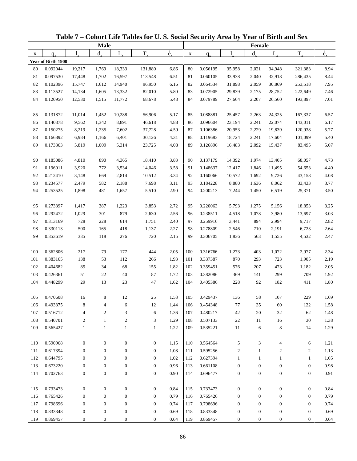|     |                    |                    | <b>Male</b>      |                  |                  |                          |             |          |                  | Female           |                  |                  |                          |
|-----|--------------------|--------------------|------------------|------------------|------------------|--------------------------|-------------|----------|------------------|------------------|------------------|------------------|--------------------------|
| X   | $q_{x}$            | $\mathbf{l}_{\nu}$ | $d_{x}$          | L,               | $T_{x}$          | $\overset{\circ}{e}_{x}$ | $\mathbf X$ | $q_{x}$  | 1,               | $d_{x}$          | L                | $T_{x}$          | $\overset{\circ}{e}_{x}$ |
|     | Year of Birth 1900 |                    |                  |                  |                  |                          |             |          |                  |                  |                  |                  |                          |
| 80  | 0.092044           | 19,217             | 1,769            | 18,333           | 131,880          | 6.86                     | 80          | 0.056195 | 35,958           | 2,021            | 34,948           | 321,383          | 8.94                     |
| 81  | 0.097530           | 17,448             | 1,702            | 16,597           | 113,548          | 6.51                     | 81          | 0.060105 | 33,938           | 2,040            | 32,918           | 286,435          | 8.44                     |
| 82  | 0.102396           | 15,747             | 1,612            | 14,940           | 96,950           | 6.16                     | 82          | 0.064534 | 31,898           | 2,059            | 30,869           | 253,518          | 7.95                     |
| 83  | 0.113527           | 14,134             | 1,605            | 13,332           | 82,010           | 5.80                     | 83          | 0.072905 | 29,839           | 2,175            | 28,752           | 222,649          | 7.46                     |
| 84  | 0.120950           | 12,530             | 1,515            | 11,772           | 68,678           | 5.48                     | 84          | 0.079789 | 27,664           | 2,207            | 26,560           | 193,897          | $7.01\,$                 |
| 85  | 0.131872           | 11,014             | 1,452            | 10,288           | 56,906           | 5.17                     | 85          | 0.088881 | 25,457           | 2,263            | 24,325           | 167,337          | 6.57                     |
| 86  | 0.140378           | 9,562              | 1,342            | 8,891            | 46,618           | 4.88                     | 86          | 0.096604 | 23,194           | 2,241            | 22,074           | 143,011          | 6.17                     |
| 87  | 0.150275           | 8,219              | 1,235            | 7,602            | 37,728           | 4.59                     | 87          | 0.106386 | 20,953           | 2,229            | 19,839           | 120,938          | 5.77                     |
| 88  | 0.166892           | 6,984              | 1,166            | 6,401            | 30,126           | 4.31                     | 88          | 0.119683 | 18,724           | 2,241            | 17,604           | 101,099          | 5.40                     |
| 89  | 0.173363           | 5,819              | 1,009            | 5,314            | 23,725           | 4.08                     | 89          | 0.126896 | 16,483           | 2,092            | 15,437           | 83,495           | 5.07                     |
| 90  | 0.185086           | 4,810              | 890              | 4,365            | 18,410           | 3.83                     | 90          | 0.137179 | 14,392           | 1,974            | 13,405           | 68,057           | 4.73                     |
| 91  | 0.196911           | 3,920              | 772              | 3,534            | 14,046           | 3.58                     | 91          | 0.148637 | 12,417           | 1,846            | 11,495           | 54,653           | 4.40                     |
| 92  | 0.212410           | 3,148              | 669              | 2,814            | 10,512           | 3.34                     | 92          | 0.160066 | 10,572           | 1,692            | 9,726            | 43,158           | 4.08                     |
| 93  | 0.234577           | 2,479              | 582              | 2,188            | 7,698            | 3.11                     | 93          | 0.184228 | 8,880            | 1,636            | 8,062            | 33,433           | 3.77                     |
| 94  | 0.253525           | 1,898              | 481              | 1,657            | 5,510            | 2.90                     | 94          | 0.200213 | 7,244            | 1,450            | 6,519            | 25,371           | 3.50                     |
| 95  | 0.273397           | 1,417              | 387              | 1,223            | 3,853            | 2.72                     | 95          | 0.220063 | 5,793            | 1,275            | 5,156            | 18,853           | 3.25                     |
| 96  | 0.292472           | 1,029              | 301              | 879              | 2,630            | 2.56                     | 96          | 0.238511 | 4,518            | 1,078            | 3,980            | 13,697           | 3.03                     |
| 97  | 0.313169           | 728                | 228              | 614              | 1,751            | 2.40                     | 97          | 0.259916 | 3,441            | 894              | 2,994            | 9,717            | 2.82                     |
| 98  | 0.330113           | 500                | 165              | 418              | 1,137            | 2.27                     | 98          | 0.278809 | 2,546            | 710              | 2,191            | 6,723            | 2.64                     |
| 99  | 0.353619           | 335                | 118              | 276              | 720              | 2.15                     | 99          | 0.306705 | 1,836            | 563              | 1,555            | 4,532            | 2.47                     |
| 100 | 0.362806           | 217                | 79               | 177              | 444              | 2.05                     | 100         | 0.316766 | 1,273            | 403              | 1,072            | 2,977            | 2.34                     |
| 101 | 0.383165           | 138                | 53               | 112              | 266              | 1.93                     | 101         | 0.337387 | 870              | 293              | 723              | 1,905            | 2.19                     |
| 102 | 0.404682           | 85                 | 34               | 68               | 155              | 1.82                     | 102         | 0.359451 | 576              | 207              | 473              | 1,182            | 2.05                     |
| 103 | 0.426361           | 51                 | $22\,$           | 40               | 87               | 1.72                     | 103         | 0.382086 | 369              | 141              | 299              | 709              | 1.92                     |
| 104 | 0.448299           | 29                 | 13               | 23               | 47               | 1.62                     | 104         | 0.405386 | 228              | 92               | 182              | 411              | 1.80                     |
| 105 | 0.470608           | 16                 | 8                | 12               | 25               | 1.53                     | 105         | 0.429437 | 136              | 58               | 107              | 229              | 1.69                     |
| 106 | 0.493375           | 8                  | 4                | 6                | 12               | 1.44                     | 106         | 0.454348 | 77               | 35               | 60               | 122              | 1.58                     |
| 107 | 0.516712           | 4                  | $\overline{c}$   | 3                | 6                | 1.36                     | 107         | 0.480217 | 42               | 20               | 32               | 62               | 1.48                     |
| 108 | 0.540701           | $\boldsymbol{2}$   | 1                | $\sqrt{2}$       | $\mathfrak{Z}$   | 1.29                     | 108         | 0.507133 | $22\,$           | 11               | 16               | 30               | 1.38                     |
| 109 | 0.565427           | $\mathbf{1}$       | $\mathbf{1}$     | $\mathbf{1}$     | $\mathbf{1}$     | 1.22                     | 109         | 0.535221 | 11               | 6                | 8                | 14               | 1.29                     |
| 110 | 0.590968           | $\boldsymbol{0}$   | $\boldsymbol{0}$ | $\boldsymbol{0}$ | $\boldsymbol{0}$ | 1.15                     | 110         | 0.564564 | 5                | 3                | 4                | 6                | 1.21                     |
| 111 | 0.617394           | $\boldsymbol{0}$   | $\boldsymbol{0}$ | $\mathbf{0}$     | $\boldsymbol{0}$ | 1.08                     | 111         | 0.595256 | $\overline{c}$   | $\mathbf{1}$     | 2                | 2                | 1.13                     |
| 112 | 0.644795           | $\boldsymbol{0}$   | $\boldsymbol{0}$ | $\boldsymbol{0}$ | $\boldsymbol{0}$ | 1.02                     | 112         | 0.627394 | $\mathbf{1}$     | $\mathbf{1}$     | $\mathbf{1}$     | $\mathbf{1}$     | 1.05                     |
| 113 | 0.673220           | $\boldsymbol{0}$   | $\boldsymbol{0}$ | $\boldsymbol{0}$ | $\boldsymbol{0}$ | 0.96                     | 113         | 0.661108 | $\boldsymbol{0}$ | $\boldsymbol{0}$ | $\boldsymbol{0}$ | $\boldsymbol{0}$ | 0.98                     |
| 114 | 0.702763           | $\boldsymbol{0}$   | $\boldsymbol{0}$ | $\boldsymbol{0}$ | $\boldsymbol{0}$ | 0.90                     | 114         | 0.696477 | $\boldsymbol{0}$ | $\boldsymbol{0}$ | $\boldsymbol{0}$ | $\boldsymbol{0}$ | 0.91                     |
| 115 | 0.733473           | $\boldsymbol{0}$   | $\boldsymbol{0}$ | $\boldsymbol{0}$ | $\boldsymbol{0}$ | 0.84                     | 115         | 0.733473 | $\boldsymbol{0}$ | $\boldsymbol{0}$ | $\boldsymbol{0}$ | $\boldsymbol{0}$ | 0.84                     |
| 116 | 0.765426           | $\boldsymbol{0}$   | $\mathbf{0}$     | $\boldsymbol{0}$ | $\boldsymbol{0}$ | 0.79                     | 116         | 0.765426 | $\boldsymbol{0}$ | $\boldsymbol{0}$ | $\boldsymbol{0}$ | $\mathbf{0}$     | 0.79                     |
| 117 | 0.798696           | $\boldsymbol{0}$   | $\boldsymbol{0}$ | $\boldsymbol{0}$ | $\boldsymbol{0}$ | 0.74                     | 117         | 0.798696 | $\boldsymbol{0}$ | $\boldsymbol{0}$ | $\boldsymbol{0}$ | $\boldsymbol{0}$ | 0.74                     |
| 118 | 0.833348           | $\boldsymbol{0}$   | $\boldsymbol{0}$ | $\boldsymbol{0}$ | $\boldsymbol{0}$ | 0.69                     | 118         | 0.833348 | $\boldsymbol{0}$ | $\boldsymbol{0}$ | $\boldsymbol{0}$ | $\boldsymbol{0}$ | 0.69                     |
| 119 | 0.869457           | 0                  | $\boldsymbol{0}$ | 0                | $\boldsymbol{0}$ | 0.64                     | 119         | 0.869457 | $\boldsymbol{0}$ | $\boldsymbol{0}$ | $\boldsymbol{0}$ | $\boldsymbol{0}$ | 0.64                     |

**Table 7 – Cohort Life Tables for U. S. Social Security Area by Year of Birth and Sex**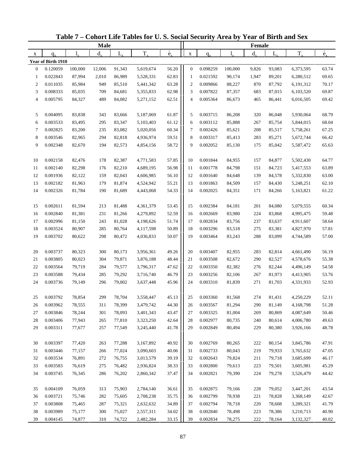| $\overset{\circ}{e}_{x}$<br>$\overset{\circ}{e}_{x}$<br>$T_{x}$<br>$T_{x}$<br>$d_{\rm v}$<br>$d_{\rm v}$<br>L,<br>$L_{x}$<br>1.<br>$\mathbf X$<br>$q_{x}$<br>X<br>$q_{x}$<br>Year of Birth 1910<br>$\boldsymbol{0}$<br>0.120059<br>100,000<br>12,006<br>91,343<br>5,619,674<br>56.20<br>$\theta$<br>0.098259<br>100,000<br>9,826<br>93,083<br>6,373,595<br>63.74<br>62.83<br>0.022843<br>87,994<br>0.021592<br>69.65<br>2,010<br>86,989<br>5,528,331<br>90,174<br>1,947<br>89,201<br>6,280,512<br>1<br>-1<br>63.28<br>70.17<br>$\mathbf{2}$<br>0.011035<br>85,984<br>949<br>85,510<br>5,441,342<br>$\overline{c}$<br>0.009866<br>870<br>6,191,312<br>88,227<br>87,792<br>62.98<br>69.87<br>3<br>0.008333<br>85,035<br>709<br>3<br>0.007822<br>683<br>87,015<br>84,681<br>5,355,833<br>87,357<br>6,103,520<br>62.51<br>0.005795<br>489<br>0.005364<br>69.42<br>4<br>84,327<br>84,082<br>5,271,152<br>$\overline{4}$<br>86,673<br>465<br>86,441<br>6,016,505<br>0.004095<br>83,838<br>343<br>83,666<br>5,187,069<br>61.87<br>5<br>0.003715<br>86,208<br>320<br>86,048<br>5,930,064<br>68.79<br>5<br>61.12<br>0.003533<br>83,347<br>0.003112<br>85,888<br>68.04<br>6<br>83,495<br>295<br>5,103,403<br>6<br>267<br>85,754<br>5,844,015<br>60.34<br>7<br>0.002825<br>83,200<br>235<br>83,082<br>$\tau$<br>0.002426<br>208<br>67.25<br>5,020,056<br>85,621<br>85,517<br>5,758,261<br>8<br>0.003546<br>82,965<br>294<br>82,818<br>59.51<br>8<br>0.003317<br>283<br>66.42<br>4,936,974<br>85,413<br>85,271<br>5,672,744<br>9<br>0.002348<br>58.72<br>9<br>0.002052<br>65.63<br>82,670<br>194<br>82,573<br>4,854,156<br>85,130<br>175<br>85,042<br>5,587,472<br>57.85<br>0.002158<br>82,476<br>178<br>82,387<br>10<br>0.001844<br>84,955<br>84,877<br>5,502,430<br>64.77<br>10<br>4,771,583<br>157<br>56.98<br>63.89<br>0.002140<br>82,298<br>82,210<br>0.001778<br>84,798<br>151<br>84,723<br>5,417,553<br>11<br>176<br>4,689,195<br>11<br>56.10<br>0.001640<br>12<br>0.001936<br>82,122<br>159<br>82,043<br>84,648<br>139<br>84,578<br>63.00<br>4,606,985<br>12<br>5,332,830<br>55.21<br>62.10<br>13<br>0.002182<br>81,963<br>179<br>81,874<br>13<br>0.001863<br>157<br>4,524,942<br>84,509<br>84,430<br>5,248,251<br>14<br>0.002326<br>54.33<br>0.002025<br>61.22<br>81,784<br>190<br>81,689<br>4,443,068<br>14<br>84,351<br>171<br>84,266<br>5,163,821<br>0.002611<br>81,594<br>81,488<br>53.45<br>0.002384<br>84,181<br>201<br>84,080<br>5,079,555<br>60.34<br>213<br>4,361,379<br>15<br>15<br>52.59<br>16<br>0.002840<br>231<br>81,266<br>0.002669<br>83,980<br>224<br>59.48<br>81,381<br>4,279,892<br>16<br>83,868<br>4,995,475<br>17<br>0.002996<br>81,150<br>243<br>81,028<br>51.74<br>17<br>0.002834<br>58.64<br>4,198,626<br>83,756<br>237<br>83,637<br>4,911,607<br>18<br>50.89<br>0.003296<br>57.81<br>0.003524<br>80,907<br>285<br>80,764<br>4,117,598<br>18<br>83,518<br>275<br>83,381<br>4,827,970<br>50.07<br>19<br>0.003702<br>0.003464<br>57.00<br>80,622<br>298<br>80,472<br>4,036,833<br>19<br>83,243<br>288<br>83,099<br>4,744,589<br>0.003737<br>80,323<br>49.26<br>20<br>0.003407<br>82,955<br>283<br>56.19<br>20<br>300<br>80,173<br>3,956,361<br>82,814<br>4,661,490<br>21<br>0.003805<br>80,023<br>304<br>79,871<br>48.44<br>0.003508<br>82,672<br>290<br>82,527<br>55.38<br>3,876,188<br>21<br>4,578,676<br>22<br>0.003564<br>79,719<br>284<br>79,577<br>47.62<br>22<br>0.003350<br>82,382<br>276<br>82,244<br>54.58<br>3,796,317<br>4,496,149<br>46.79<br>23<br>0.003588<br>23<br>0.003256<br>267<br>53.76<br>79,434<br>285<br>79,292<br>3,716,740<br>82,106<br>81,973<br>4,413,905<br>45.96<br>24<br>0.003310<br>52.93<br>24<br>0.003736<br>79,149<br>296<br>79,002<br>3,637,448<br>81,839<br>271<br>81,703<br>4,331,933<br>0.003792<br>78,854<br>299<br>78,704<br>45.13<br>25<br>0.003360<br>274<br>81,431<br>4,250,229<br>52.11<br>25<br>3,558,447<br>81,568<br>78,399<br>81,294<br>0.003962<br>78,555<br>3,479,742<br>44.30<br>0.003567<br>290<br>81,149<br>4,168,798<br>51.28<br>311<br>26<br>26<br>43.47<br>0.003325<br>0.003846<br>78,244<br>301<br>78,093<br>3,401,343<br>81,004<br>269<br>80,869<br>4,087,649<br>50.46<br>27<br>27<br>42.64<br>28<br>0.003406<br>77,810<br>0.002977<br>80,735<br>240<br>80,614<br>49.63<br>77,943<br>265<br>3,323,250<br>28<br>4,006,780<br>29<br>0.003311<br>77,677<br>77,549<br>41.78<br>0.002849<br>80,494<br>229<br>80,380<br>48.78<br>257<br>3,245,440<br>29<br>3,926,166<br>40.92<br>0.003397<br>77,288<br>3,167,892<br>0.002769<br>80,265<br>222<br>47.91<br>30<br>77,420<br>263<br>30<br>80,154<br>3,845,786<br>40.06<br>0.003446<br>77,024<br>3,090,603<br>0.002733<br>80,043<br>219<br>47.05<br>31<br>77,157<br>266<br>31<br>79,933<br>3,765,632<br>32<br>0.003534<br>39.19<br>0.002643<br>76,891<br>272<br>76,755<br>3,013,579<br>32<br>79,824<br>211<br>79,718<br>3,685,699<br>46.17<br>38.33<br>0.002800<br>33<br>0.003583<br>76,619<br>275<br>76,482<br>2,936,824<br>33<br>79,613<br>223<br>79,501<br>3,605,981<br>45.29<br>34<br>0.003745<br>76,202<br>37.47<br>0.002821<br>79,390<br>224<br>79,278<br>76,345<br>286<br>2,860,342<br>34<br>3,526,479<br>44.42<br>0.004109<br>76,059<br>0.002875<br>79,166<br>35<br>313<br>75,903<br>2,784,140<br>36.61<br>35<br>228<br>79,052<br>3,447,201<br>43.54<br>35.75<br>0.003721<br>282<br>0.002799<br>78,938<br>36<br>75,746<br>75,605<br>2,708,238<br>221<br>78,828<br>3,368,149<br>42.67<br>36<br>0.003808<br>287<br>34.89<br>0.002794<br>41.79<br>37<br>75,465<br>75,321<br>2,632,632<br>37<br>78,718<br>220<br>78,608<br>3,289,321<br>38<br>0.003989<br>75,177<br>75,027<br>34.02<br>0.002840<br>78,498<br>78,386<br>3,210,713<br>40.90<br>300<br>2,557,311<br>38<br>223<br>39<br>0.004145<br>74,877<br>74,722<br>2,482,284<br>33.15<br>39<br>0.002834<br>78,275<br>3,132,327<br>310<br>222<br>78,164<br>40.02 |  | <b>Male</b> |  |  |  | Female |  |  |
|-----------------------------------------------------------------------------------------------------------------------------------------------------------------------------------------------------------------------------------------------------------------------------------------------------------------------------------------------------------------------------------------------------------------------------------------------------------------------------------------------------------------------------------------------------------------------------------------------------------------------------------------------------------------------------------------------------------------------------------------------------------------------------------------------------------------------------------------------------------------------------------------------------------------------------------------------------------------------------------------------------------------------------------------------------------------------------------------------------------------------------------------------------------------------------------------------------------------------------------------------------------------------------------------------------------------------------------------------------------------------------------------------------------------------------------------------------------------------------------------------------------------------------------------------------------------------------------------------------------------------------------------------------------------------------------------------------------------------------------------------------------------------------------------------------------------------------------------------------------------------------------------------------------------------------------------------------------------------------------------------------------------------------------------------------------------------------------------------------------------------------------------------------------------------------------------------------------------------------------------------------------------------------------------------------------------------------------------------------------------------------------------------------------------------------------------------------------------------------------------------------------------------------------------------------------------------------------------------------------------------------------------------------------------------------------------------------------------------------------------------------------------------------------------------------------------------------------------------------------------------------------------------------------------------------------------------------------------------------------------------------------------------------------------------------------------------------------------------------------------------------------------------------------------------------------------------------------------------------------------------------------------------------------------------------------------------------------------------------------------------------------------------------------------------------------------------------------------------------------------------------------------------------------------------------------------------------------------------------------------------------------------------------------------------------------------------------------------------------------------------------------------------------------------------------------------------------------------------------------------------------------------------------------------------------------------------------------------------------------------------------------------------------------------------------------------------------------------------------------------------------------------------------------------------------------------------------------------------------------------------------------------------------------------------------------------------------------------------------------------------------------------------------------------------------------------------------------------------------------------------------------------------------------------------------------------------------------------------------------------------------------------------------------------------------------------------------------------------------------------------------------------------------------------------------------------------------------------------------------------------------------------------------------------------------------------------------------------------------------------------------------------------------------------------------------------------------------------------------------------------------------------------------------------------------------------------------------------------------------------------------------------------------------------------------------------------------------------------------------------------------------------------------------------------------------------------------------------------------------------------------------------------------------------------------------------------------------------------------------------------------------------------------------------------------------------------------------------------------------------------------------------------------------------------------------------------------------------|--|-------------|--|--|--|--------|--|--|
|                                                                                                                                                                                                                                                                                                                                                                                                                                                                                                                                                                                                                                                                                                                                                                                                                                                                                                                                                                                                                                                                                                                                                                                                                                                                                                                                                                                                                                                                                                                                                                                                                                                                                                                                                                                                                                                                                                                                                                                                                                                                                                                                                                                                                                                                                                                                                                                                                                                                                                                                                                                                                                                                                                                                                                                                                                                                                                                                                                                                                                                                                                                                                                                                                                                                                                                                                                                                                                                                                                                                                                                                                                                                                                                                                                                                                                                                                                                                                                                                                                                                                                                                                                                                                                                                                                                                                                                                                                                                                                                                                                                                                                                                                                                                                                                                                                                                                                                                                                                                                                                                                                                                                                                                                                                                                                                                                                                                                                                                                                                                                                                                                                                                                                                                                                                                                                         |  |             |  |  |  |        |  |  |
|                                                                                                                                                                                                                                                                                                                                                                                                                                                                                                                                                                                                                                                                                                                                                                                                                                                                                                                                                                                                                                                                                                                                                                                                                                                                                                                                                                                                                                                                                                                                                                                                                                                                                                                                                                                                                                                                                                                                                                                                                                                                                                                                                                                                                                                                                                                                                                                                                                                                                                                                                                                                                                                                                                                                                                                                                                                                                                                                                                                                                                                                                                                                                                                                                                                                                                                                                                                                                                                                                                                                                                                                                                                                                                                                                                                                                                                                                                                                                                                                                                                                                                                                                                                                                                                                                                                                                                                                                                                                                                                                                                                                                                                                                                                                                                                                                                                                                                                                                                                                                                                                                                                                                                                                                                                                                                                                                                                                                                                                                                                                                                                                                                                                                                                                                                                                                                         |  |             |  |  |  |        |  |  |
|                                                                                                                                                                                                                                                                                                                                                                                                                                                                                                                                                                                                                                                                                                                                                                                                                                                                                                                                                                                                                                                                                                                                                                                                                                                                                                                                                                                                                                                                                                                                                                                                                                                                                                                                                                                                                                                                                                                                                                                                                                                                                                                                                                                                                                                                                                                                                                                                                                                                                                                                                                                                                                                                                                                                                                                                                                                                                                                                                                                                                                                                                                                                                                                                                                                                                                                                                                                                                                                                                                                                                                                                                                                                                                                                                                                                                                                                                                                                                                                                                                                                                                                                                                                                                                                                                                                                                                                                                                                                                                                                                                                                                                                                                                                                                                                                                                                                                                                                                                                                                                                                                                                                                                                                                                                                                                                                                                                                                                                                                                                                                                                                                                                                                                                                                                                                                                         |  |             |  |  |  |        |  |  |
|                                                                                                                                                                                                                                                                                                                                                                                                                                                                                                                                                                                                                                                                                                                                                                                                                                                                                                                                                                                                                                                                                                                                                                                                                                                                                                                                                                                                                                                                                                                                                                                                                                                                                                                                                                                                                                                                                                                                                                                                                                                                                                                                                                                                                                                                                                                                                                                                                                                                                                                                                                                                                                                                                                                                                                                                                                                                                                                                                                                                                                                                                                                                                                                                                                                                                                                                                                                                                                                                                                                                                                                                                                                                                                                                                                                                                                                                                                                                                                                                                                                                                                                                                                                                                                                                                                                                                                                                                                                                                                                                                                                                                                                                                                                                                                                                                                                                                                                                                                                                                                                                                                                                                                                                                                                                                                                                                                                                                                                                                                                                                                                                                                                                                                                                                                                                                                         |  |             |  |  |  |        |  |  |
|                                                                                                                                                                                                                                                                                                                                                                                                                                                                                                                                                                                                                                                                                                                                                                                                                                                                                                                                                                                                                                                                                                                                                                                                                                                                                                                                                                                                                                                                                                                                                                                                                                                                                                                                                                                                                                                                                                                                                                                                                                                                                                                                                                                                                                                                                                                                                                                                                                                                                                                                                                                                                                                                                                                                                                                                                                                                                                                                                                                                                                                                                                                                                                                                                                                                                                                                                                                                                                                                                                                                                                                                                                                                                                                                                                                                                                                                                                                                                                                                                                                                                                                                                                                                                                                                                                                                                                                                                                                                                                                                                                                                                                                                                                                                                                                                                                                                                                                                                                                                                                                                                                                                                                                                                                                                                                                                                                                                                                                                                                                                                                                                                                                                                                                                                                                                                                         |  |             |  |  |  |        |  |  |
|                                                                                                                                                                                                                                                                                                                                                                                                                                                                                                                                                                                                                                                                                                                                                                                                                                                                                                                                                                                                                                                                                                                                                                                                                                                                                                                                                                                                                                                                                                                                                                                                                                                                                                                                                                                                                                                                                                                                                                                                                                                                                                                                                                                                                                                                                                                                                                                                                                                                                                                                                                                                                                                                                                                                                                                                                                                                                                                                                                                                                                                                                                                                                                                                                                                                                                                                                                                                                                                                                                                                                                                                                                                                                                                                                                                                                                                                                                                                                                                                                                                                                                                                                                                                                                                                                                                                                                                                                                                                                                                                                                                                                                                                                                                                                                                                                                                                                                                                                                                                                                                                                                                                                                                                                                                                                                                                                                                                                                                                                                                                                                                                                                                                                                                                                                                                                                         |  |             |  |  |  |        |  |  |
|                                                                                                                                                                                                                                                                                                                                                                                                                                                                                                                                                                                                                                                                                                                                                                                                                                                                                                                                                                                                                                                                                                                                                                                                                                                                                                                                                                                                                                                                                                                                                                                                                                                                                                                                                                                                                                                                                                                                                                                                                                                                                                                                                                                                                                                                                                                                                                                                                                                                                                                                                                                                                                                                                                                                                                                                                                                                                                                                                                                                                                                                                                                                                                                                                                                                                                                                                                                                                                                                                                                                                                                                                                                                                                                                                                                                                                                                                                                                                                                                                                                                                                                                                                                                                                                                                                                                                                                                                                                                                                                                                                                                                                                                                                                                                                                                                                                                                                                                                                                                                                                                                                                                                                                                                                                                                                                                                                                                                                                                                                                                                                                                                                                                                                                                                                                                                                         |  |             |  |  |  |        |  |  |
|                                                                                                                                                                                                                                                                                                                                                                                                                                                                                                                                                                                                                                                                                                                                                                                                                                                                                                                                                                                                                                                                                                                                                                                                                                                                                                                                                                                                                                                                                                                                                                                                                                                                                                                                                                                                                                                                                                                                                                                                                                                                                                                                                                                                                                                                                                                                                                                                                                                                                                                                                                                                                                                                                                                                                                                                                                                                                                                                                                                                                                                                                                                                                                                                                                                                                                                                                                                                                                                                                                                                                                                                                                                                                                                                                                                                                                                                                                                                                                                                                                                                                                                                                                                                                                                                                                                                                                                                                                                                                                                                                                                                                                                                                                                                                                                                                                                                                                                                                                                                                                                                                                                                                                                                                                                                                                                                                                                                                                                                                                                                                                                                                                                                                                                                                                                                                                         |  |             |  |  |  |        |  |  |
|                                                                                                                                                                                                                                                                                                                                                                                                                                                                                                                                                                                                                                                                                                                                                                                                                                                                                                                                                                                                                                                                                                                                                                                                                                                                                                                                                                                                                                                                                                                                                                                                                                                                                                                                                                                                                                                                                                                                                                                                                                                                                                                                                                                                                                                                                                                                                                                                                                                                                                                                                                                                                                                                                                                                                                                                                                                                                                                                                                                                                                                                                                                                                                                                                                                                                                                                                                                                                                                                                                                                                                                                                                                                                                                                                                                                                                                                                                                                                                                                                                                                                                                                                                                                                                                                                                                                                                                                                                                                                                                                                                                                                                                                                                                                                                                                                                                                                                                                                                                                                                                                                                                                                                                                                                                                                                                                                                                                                                                                                                                                                                                                                                                                                                                                                                                                                                         |  |             |  |  |  |        |  |  |
|                                                                                                                                                                                                                                                                                                                                                                                                                                                                                                                                                                                                                                                                                                                                                                                                                                                                                                                                                                                                                                                                                                                                                                                                                                                                                                                                                                                                                                                                                                                                                                                                                                                                                                                                                                                                                                                                                                                                                                                                                                                                                                                                                                                                                                                                                                                                                                                                                                                                                                                                                                                                                                                                                                                                                                                                                                                                                                                                                                                                                                                                                                                                                                                                                                                                                                                                                                                                                                                                                                                                                                                                                                                                                                                                                                                                                                                                                                                                                                                                                                                                                                                                                                                                                                                                                                                                                                                                                                                                                                                                                                                                                                                                                                                                                                                                                                                                                                                                                                                                                                                                                                                                                                                                                                                                                                                                                                                                                                                                                                                                                                                                                                                                                                                                                                                                                                         |  |             |  |  |  |        |  |  |
|                                                                                                                                                                                                                                                                                                                                                                                                                                                                                                                                                                                                                                                                                                                                                                                                                                                                                                                                                                                                                                                                                                                                                                                                                                                                                                                                                                                                                                                                                                                                                                                                                                                                                                                                                                                                                                                                                                                                                                                                                                                                                                                                                                                                                                                                                                                                                                                                                                                                                                                                                                                                                                                                                                                                                                                                                                                                                                                                                                                                                                                                                                                                                                                                                                                                                                                                                                                                                                                                                                                                                                                                                                                                                                                                                                                                                                                                                                                                                                                                                                                                                                                                                                                                                                                                                                                                                                                                                                                                                                                                                                                                                                                                                                                                                                                                                                                                                                                                                                                                                                                                                                                                                                                                                                                                                                                                                                                                                                                                                                                                                                                                                                                                                                                                                                                                                                         |  |             |  |  |  |        |  |  |
|                                                                                                                                                                                                                                                                                                                                                                                                                                                                                                                                                                                                                                                                                                                                                                                                                                                                                                                                                                                                                                                                                                                                                                                                                                                                                                                                                                                                                                                                                                                                                                                                                                                                                                                                                                                                                                                                                                                                                                                                                                                                                                                                                                                                                                                                                                                                                                                                                                                                                                                                                                                                                                                                                                                                                                                                                                                                                                                                                                                                                                                                                                                                                                                                                                                                                                                                                                                                                                                                                                                                                                                                                                                                                                                                                                                                                                                                                                                                                                                                                                                                                                                                                                                                                                                                                                                                                                                                                                                                                                                                                                                                                                                                                                                                                                                                                                                                                                                                                                                                                                                                                                                                                                                                                                                                                                                                                                                                                                                                                                                                                                                                                                                                                                                                                                                                                                         |  |             |  |  |  |        |  |  |
|                                                                                                                                                                                                                                                                                                                                                                                                                                                                                                                                                                                                                                                                                                                                                                                                                                                                                                                                                                                                                                                                                                                                                                                                                                                                                                                                                                                                                                                                                                                                                                                                                                                                                                                                                                                                                                                                                                                                                                                                                                                                                                                                                                                                                                                                                                                                                                                                                                                                                                                                                                                                                                                                                                                                                                                                                                                                                                                                                                                                                                                                                                                                                                                                                                                                                                                                                                                                                                                                                                                                                                                                                                                                                                                                                                                                                                                                                                                                                                                                                                                                                                                                                                                                                                                                                                                                                                                                                                                                                                                                                                                                                                                                                                                                                                                                                                                                                                                                                                                                                                                                                                                                                                                                                                                                                                                                                                                                                                                                                                                                                                                                                                                                                                                                                                                                                                         |  |             |  |  |  |        |  |  |
|                                                                                                                                                                                                                                                                                                                                                                                                                                                                                                                                                                                                                                                                                                                                                                                                                                                                                                                                                                                                                                                                                                                                                                                                                                                                                                                                                                                                                                                                                                                                                                                                                                                                                                                                                                                                                                                                                                                                                                                                                                                                                                                                                                                                                                                                                                                                                                                                                                                                                                                                                                                                                                                                                                                                                                                                                                                                                                                                                                                                                                                                                                                                                                                                                                                                                                                                                                                                                                                                                                                                                                                                                                                                                                                                                                                                                                                                                                                                                                                                                                                                                                                                                                                                                                                                                                                                                                                                                                                                                                                                                                                                                                                                                                                                                                                                                                                                                                                                                                                                                                                                                                                                                                                                                                                                                                                                                                                                                                                                                                                                                                                                                                                                                                                                                                                                                                         |  |             |  |  |  |        |  |  |
|                                                                                                                                                                                                                                                                                                                                                                                                                                                                                                                                                                                                                                                                                                                                                                                                                                                                                                                                                                                                                                                                                                                                                                                                                                                                                                                                                                                                                                                                                                                                                                                                                                                                                                                                                                                                                                                                                                                                                                                                                                                                                                                                                                                                                                                                                                                                                                                                                                                                                                                                                                                                                                                                                                                                                                                                                                                                                                                                                                                                                                                                                                                                                                                                                                                                                                                                                                                                                                                                                                                                                                                                                                                                                                                                                                                                                                                                                                                                                                                                                                                                                                                                                                                                                                                                                                                                                                                                                                                                                                                                                                                                                                                                                                                                                                                                                                                                                                                                                                                                                                                                                                                                                                                                                                                                                                                                                                                                                                                                                                                                                                                                                                                                                                                                                                                                                                         |  |             |  |  |  |        |  |  |
|                                                                                                                                                                                                                                                                                                                                                                                                                                                                                                                                                                                                                                                                                                                                                                                                                                                                                                                                                                                                                                                                                                                                                                                                                                                                                                                                                                                                                                                                                                                                                                                                                                                                                                                                                                                                                                                                                                                                                                                                                                                                                                                                                                                                                                                                                                                                                                                                                                                                                                                                                                                                                                                                                                                                                                                                                                                                                                                                                                                                                                                                                                                                                                                                                                                                                                                                                                                                                                                                                                                                                                                                                                                                                                                                                                                                                                                                                                                                                                                                                                                                                                                                                                                                                                                                                                                                                                                                                                                                                                                                                                                                                                                                                                                                                                                                                                                                                                                                                                                                                                                                                                                                                                                                                                                                                                                                                                                                                                                                                                                                                                                                                                                                                                                                                                                                                                         |  |             |  |  |  |        |  |  |
|                                                                                                                                                                                                                                                                                                                                                                                                                                                                                                                                                                                                                                                                                                                                                                                                                                                                                                                                                                                                                                                                                                                                                                                                                                                                                                                                                                                                                                                                                                                                                                                                                                                                                                                                                                                                                                                                                                                                                                                                                                                                                                                                                                                                                                                                                                                                                                                                                                                                                                                                                                                                                                                                                                                                                                                                                                                                                                                                                                                                                                                                                                                                                                                                                                                                                                                                                                                                                                                                                                                                                                                                                                                                                                                                                                                                                                                                                                                                                                                                                                                                                                                                                                                                                                                                                                                                                                                                                                                                                                                                                                                                                                                                                                                                                                                                                                                                                                                                                                                                                                                                                                                                                                                                                                                                                                                                                                                                                                                                                                                                                                                                                                                                                                                                                                                                                                         |  |             |  |  |  |        |  |  |
|                                                                                                                                                                                                                                                                                                                                                                                                                                                                                                                                                                                                                                                                                                                                                                                                                                                                                                                                                                                                                                                                                                                                                                                                                                                                                                                                                                                                                                                                                                                                                                                                                                                                                                                                                                                                                                                                                                                                                                                                                                                                                                                                                                                                                                                                                                                                                                                                                                                                                                                                                                                                                                                                                                                                                                                                                                                                                                                                                                                                                                                                                                                                                                                                                                                                                                                                                                                                                                                                                                                                                                                                                                                                                                                                                                                                                                                                                                                                                                                                                                                                                                                                                                                                                                                                                                                                                                                                                                                                                                                                                                                                                                                                                                                                                                                                                                                                                                                                                                                                                                                                                                                                                                                                                                                                                                                                                                                                                                                                                                                                                                                                                                                                                                                                                                                                                                         |  |             |  |  |  |        |  |  |
|                                                                                                                                                                                                                                                                                                                                                                                                                                                                                                                                                                                                                                                                                                                                                                                                                                                                                                                                                                                                                                                                                                                                                                                                                                                                                                                                                                                                                                                                                                                                                                                                                                                                                                                                                                                                                                                                                                                                                                                                                                                                                                                                                                                                                                                                                                                                                                                                                                                                                                                                                                                                                                                                                                                                                                                                                                                                                                                                                                                                                                                                                                                                                                                                                                                                                                                                                                                                                                                                                                                                                                                                                                                                                                                                                                                                                                                                                                                                                                                                                                                                                                                                                                                                                                                                                                                                                                                                                                                                                                                                                                                                                                                                                                                                                                                                                                                                                                                                                                                                                                                                                                                                                                                                                                                                                                                                                                                                                                                                                                                                                                                                                                                                                                                                                                                                                                         |  |             |  |  |  |        |  |  |
|                                                                                                                                                                                                                                                                                                                                                                                                                                                                                                                                                                                                                                                                                                                                                                                                                                                                                                                                                                                                                                                                                                                                                                                                                                                                                                                                                                                                                                                                                                                                                                                                                                                                                                                                                                                                                                                                                                                                                                                                                                                                                                                                                                                                                                                                                                                                                                                                                                                                                                                                                                                                                                                                                                                                                                                                                                                                                                                                                                                                                                                                                                                                                                                                                                                                                                                                                                                                                                                                                                                                                                                                                                                                                                                                                                                                                                                                                                                                                                                                                                                                                                                                                                                                                                                                                                                                                                                                                                                                                                                                                                                                                                                                                                                                                                                                                                                                                                                                                                                                                                                                                                                                                                                                                                                                                                                                                                                                                                                                                                                                                                                                                                                                                                                                                                                                                                         |  |             |  |  |  |        |  |  |
|                                                                                                                                                                                                                                                                                                                                                                                                                                                                                                                                                                                                                                                                                                                                                                                                                                                                                                                                                                                                                                                                                                                                                                                                                                                                                                                                                                                                                                                                                                                                                                                                                                                                                                                                                                                                                                                                                                                                                                                                                                                                                                                                                                                                                                                                                                                                                                                                                                                                                                                                                                                                                                                                                                                                                                                                                                                                                                                                                                                                                                                                                                                                                                                                                                                                                                                                                                                                                                                                                                                                                                                                                                                                                                                                                                                                                                                                                                                                                                                                                                                                                                                                                                                                                                                                                                                                                                                                                                                                                                                                                                                                                                                                                                                                                                                                                                                                                                                                                                                                                                                                                                                                                                                                                                                                                                                                                                                                                                                                                                                                                                                                                                                                                                                                                                                                                                         |  |             |  |  |  |        |  |  |
|                                                                                                                                                                                                                                                                                                                                                                                                                                                                                                                                                                                                                                                                                                                                                                                                                                                                                                                                                                                                                                                                                                                                                                                                                                                                                                                                                                                                                                                                                                                                                                                                                                                                                                                                                                                                                                                                                                                                                                                                                                                                                                                                                                                                                                                                                                                                                                                                                                                                                                                                                                                                                                                                                                                                                                                                                                                                                                                                                                                                                                                                                                                                                                                                                                                                                                                                                                                                                                                                                                                                                                                                                                                                                                                                                                                                                                                                                                                                                                                                                                                                                                                                                                                                                                                                                                                                                                                                                                                                                                                                                                                                                                                                                                                                                                                                                                                                                                                                                                                                                                                                                                                                                                                                                                                                                                                                                                                                                                                                                                                                                                                                                                                                                                                                                                                                                                         |  |             |  |  |  |        |  |  |
|                                                                                                                                                                                                                                                                                                                                                                                                                                                                                                                                                                                                                                                                                                                                                                                                                                                                                                                                                                                                                                                                                                                                                                                                                                                                                                                                                                                                                                                                                                                                                                                                                                                                                                                                                                                                                                                                                                                                                                                                                                                                                                                                                                                                                                                                                                                                                                                                                                                                                                                                                                                                                                                                                                                                                                                                                                                                                                                                                                                                                                                                                                                                                                                                                                                                                                                                                                                                                                                                                                                                                                                                                                                                                                                                                                                                                                                                                                                                                                                                                                                                                                                                                                                                                                                                                                                                                                                                                                                                                                                                                                                                                                                                                                                                                                                                                                                                                                                                                                                                                                                                                                                                                                                                                                                                                                                                                                                                                                                                                                                                                                                                                                                                                                                                                                                                                                         |  |             |  |  |  |        |  |  |
|                                                                                                                                                                                                                                                                                                                                                                                                                                                                                                                                                                                                                                                                                                                                                                                                                                                                                                                                                                                                                                                                                                                                                                                                                                                                                                                                                                                                                                                                                                                                                                                                                                                                                                                                                                                                                                                                                                                                                                                                                                                                                                                                                                                                                                                                                                                                                                                                                                                                                                                                                                                                                                                                                                                                                                                                                                                                                                                                                                                                                                                                                                                                                                                                                                                                                                                                                                                                                                                                                                                                                                                                                                                                                                                                                                                                                                                                                                                                                                                                                                                                                                                                                                                                                                                                                                                                                                                                                                                                                                                                                                                                                                                                                                                                                                                                                                                                                                                                                                                                                                                                                                                                                                                                                                                                                                                                                                                                                                                                                                                                                                                                                                                                                                                                                                                                                                         |  |             |  |  |  |        |  |  |
|                                                                                                                                                                                                                                                                                                                                                                                                                                                                                                                                                                                                                                                                                                                                                                                                                                                                                                                                                                                                                                                                                                                                                                                                                                                                                                                                                                                                                                                                                                                                                                                                                                                                                                                                                                                                                                                                                                                                                                                                                                                                                                                                                                                                                                                                                                                                                                                                                                                                                                                                                                                                                                                                                                                                                                                                                                                                                                                                                                                                                                                                                                                                                                                                                                                                                                                                                                                                                                                                                                                                                                                                                                                                                                                                                                                                                                                                                                                                                                                                                                                                                                                                                                                                                                                                                                                                                                                                                                                                                                                                                                                                                                                                                                                                                                                                                                                                                                                                                                                                                                                                                                                                                                                                                                                                                                                                                                                                                                                                                                                                                                                                                                                                                                                                                                                                                                         |  |             |  |  |  |        |  |  |
|                                                                                                                                                                                                                                                                                                                                                                                                                                                                                                                                                                                                                                                                                                                                                                                                                                                                                                                                                                                                                                                                                                                                                                                                                                                                                                                                                                                                                                                                                                                                                                                                                                                                                                                                                                                                                                                                                                                                                                                                                                                                                                                                                                                                                                                                                                                                                                                                                                                                                                                                                                                                                                                                                                                                                                                                                                                                                                                                                                                                                                                                                                                                                                                                                                                                                                                                                                                                                                                                                                                                                                                                                                                                                                                                                                                                                                                                                                                                                                                                                                                                                                                                                                                                                                                                                                                                                                                                                                                                                                                                                                                                                                                                                                                                                                                                                                                                                                                                                                                                                                                                                                                                                                                                                                                                                                                                                                                                                                                                                                                                                                                                                                                                                                                                                                                                                                         |  |             |  |  |  |        |  |  |
|                                                                                                                                                                                                                                                                                                                                                                                                                                                                                                                                                                                                                                                                                                                                                                                                                                                                                                                                                                                                                                                                                                                                                                                                                                                                                                                                                                                                                                                                                                                                                                                                                                                                                                                                                                                                                                                                                                                                                                                                                                                                                                                                                                                                                                                                                                                                                                                                                                                                                                                                                                                                                                                                                                                                                                                                                                                                                                                                                                                                                                                                                                                                                                                                                                                                                                                                                                                                                                                                                                                                                                                                                                                                                                                                                                                                                                                                                                                                                                                                                                                                                                                                                                                                                                                                                                                                                                                                                                                                                                                                                                                                                                                                                                                                                                                                                                                                                                                                                                                                                                                                                                                                                                                                                                                                                                                                                                                                                                                                                                                                                                                                                                                                                                                                                                                                                                         |  |             |  |  |  |        |  |  |
|                                                                                                                                                                                                                                                                                                                                                                                                                                                                                                                                                                                                                                                                                                                                                                                                                                                                                                                                                                                                                                                                                                                                                                                                                                                                                                                                                                                                                                                                                                                                                                                                                                                                                                                                                                                                                                                                                                                                                                                                                                                                                                                                                                                                                                                                                                                                                                                                                                                                                                                                                                                                                                                                                                                                                                                                                                                                                                                                                                                                                                                                                                                                                                                                                                                                                                                                                                                                                                                                                                                                                                                                                                                                                                                                                                                                                                                                                                                                                                                                                                                                                                                                                                                                                                                                                                                                                                                                                                                                                                                                                                                                                                                                                                                                                                                                                                                                                                                                                                                                                                                                                                                                                                                                                                                                                                                                                                                                                                                                                                                                                                                                                                                                                                                                                                                                                                         |  |             |  |  |  |        |  |  |
|                                                                                                                                                                                                                                                                                                                                                                                                                                                                                                                                                                                                                                                                                                                                                                                                                                                                                                                                                                                                                                                                                                                                                                                                                                                                                                                                                                                                                                                                                                                                                                                                                                                                                                                                                                                                                                                                                                                                                                                                                                                                                                                                                                                                                                                                                                                                                                                                                                                                                                                                                                                                                                                                                                                                                                                                                                                                                                                                                                                                                                                                                                                                                                                                                                                                                                                                                                                                                                                                                                                                                                                                                                                                                                                                                                                                                                                                                                                                                                                                                                                                                                                                                                                                                                                                                                                                                                                                                                                                                                                                                                                                                                                                                                                                                                                                                                                                                                                                                                                                                                                                                                                                                                                                                                                                                                                                                                                                                                                                                                                                                                                                                                                                                                                                                                                                                                         |  |             |  |  |  |        |  |  |
|                                                                                                                                                                                                                                                                                                                                                                                                                                                                                                                                                                                                                                                                                                                                                                                                                                                                                                                                                                                                                                                                                                                                                                                                                                                                                                                                                                                                                                                                                                                                                                                                                                                                                                                                                                                                                                                                                                                                                                                                                                                                                                                                                                                                                                                                                                                                                                                                                                                                                                                                                                                                                                                                                                                                                                                                                                                                                                                                                                                                                                                                                                                                                                                                                                                                                                                                                                                                                                                                                                                                                                                                                                                                                                                                                                                                                                                                                                                                                                                                                                                                                                                                                                                                                                                                                                                                                                                                                                                                                                                                                                                                                                                                                                                                                                                                                                                                                                                                                                                                                                                                                                                                                                                                                                                                                                                                                                                                                                                                                                                                                                                                                                                                                                                                                                                                                                         |  |             |  |  |  |        |  |  |
|                                                                                                                                                                                                                                                                                                                                                                                                                                                                                                                                                                                                                                                                                                                                                                                                                                                                                                                                                                                                                                                                                                                                                                                                                                                                                                                                                                                                                                                                                                                                                                                                                                                                                                                                                                                                                                                                                                                                                                                                                                                                                                                                                                                                                                                                                                                                                                                                                                                                                                                                                                                                                                                                                                                                                                                                                                                                                                                                                                                                                                                                                                                                                                                                                                                                                                                                                                                                                                                                                                                                                                                                                                                                                                                                                                                                                                                                                                                                                                                                                                                                                                                                                                                                                                                                                                                                                                                                                                                                                                                                                                                                                                                                                                                                                                                                                                                                                                                                                                                                                                                                                                                                                                                                                                                                                                                                                                                                                                                                                                                                                                                                                                                                                                                                                                                                                                         |  |             |  |  |  |        |  |  |
|                                                                                                                                                                                                                                                                                                                                                                                                                                                                                                                                                                                                                                                                                                                                                                                                                                                                                                                                                                                                                                                                                                                                                                                                                                                                                                                                                                                                                                                                                                                                                                                                                                                                                                                                                                                                                                                                                                                                                                                                                                                                                                                                                                                                                                                                                                                                                                                                                                                                                                                                                                                                                                                                                                                                                                                                                                                                                                                                                                                                                                                                                                                                                                                                                                                                                                                                                                                                                                                                                                                                                                                                                                                                                                                                                                                                                                                                                                                                                                                                                                                                                                                                                                                                                                                                                                                                                                                                                                                                                                                                                                                                                                                                                                                                                                                                                                                                                                                                                                                                                                                                                                                                                                                                                                                                                                                                                                                                                                                                                                                                                                                                                                                                                                                                                                                                                                         |  |             |  |  |  |        |  |  |
|                                                                                                                                                                                                                                                                                                                                                                                                                                                                                                                                                                                                                                                                                                                                                                                                                                                                                                                                                                                                                                                                                                                                                                                                                                                                                                                                                                                                                                                                                                                                                                                                                                                                                                                                                                                                                                                                                                                                                                                                                                                                                                                                                                                                                                                                                                                                                                                                                                                                                                                                                                                                                                                                                                                                                                                                                                                                                                                                                                                                                                                                                                                                                                                                                                                                                                                                                                                                                                                                                                                                                                                                                                                                                                                                                                                                                                                                                                                                                                                                                                                                                                                                                                                                                                                                                                                                                                                                                                                                                                                                                                                                                                                                                                                                                                                                                                                                                                                                                                                                                                                                                                                                                                                                                                                                                                                                                                                                                                                                                                                                                                                                                                                                                                                                                                                                                                         |  |             |  |  |  |        |  |  |
|                                                                                                                                                                                                                                                                                                                                                                                                                                                                                                                                                                                                                                                                                                                                                                                                                                                                                                                                                                                                                                                                                                                                                                                                                                                                                                                                                                                                                                                                                                                                                                                                                                                                                                                                                                                                                                                                                                                                                                                                                                                                                                                                                                                                                                                                                                                                                                                                                                                                                                                                                                                                                                                                                                                                                                                                                                                                                                                                                                                                                                                                                                                                                                                                                                                                                                                                                                                                                                                                                                                                                                                                                                                                                                                                                                                                                                                                                                                                                                                                                                                                                                                                                                                                                                                                                                                                                                                                                                                                                                                                                                                                                                                                                                                                                                                                                                                                                                                                                                                                                                                                                                                                                                                                                                                                                                                                                                                                                                                                                                                                                                                                                                                                                                                                                                                                                                         |  |             |  |  |  |        |  |  |
|                                                                                                                                                                                                                                                                                                                                                                                                                                                                                                                                                                                                                                                                                                                                                                                                                                                                                                                                                                                                                                                                                                                                                                                                                                                                                                                                                                                                                                                                                                                                                                                                                                                                                                                                                                                                                                                                                                                                                                                                                                                                                                                                                                                                                                                                                                                                                                                                                                                                                                                                                                                                                                                                                                                                                                                                                                                                                                                                                                                                                                                                                                                                                                                                                                                                                                                                                                                                                                                                                                                                                                                                                                                                                                                                                                                                                                                                                                                                                                                                                                                                                                                                                                                                                                                                                                                                                                                                                                                                                                                                                                                                                                                                                                                                                                                                                                                                                                                                                                                                                                                                                                                                                                                                                                                                                                                                                                                                                                                                                                                                                                                                                                                                                                                                                                                                                                         |  |             |  |  |  |        |  |  |
|                                                                                                                                                                                                                                                                                                                                                                                                                                                                                                                                                                                                                                                                                                                                                                                                                                                                                                                                                                                                                                                                                                                                                                                                                                                                                                                                                                                                                                                                                                                                                                                                                                                                                                                                                                                                                                                                                                                                                                                                                                                                                                                                                                                                                                                                                                                                                                                                                                                                                                                                                                                                                                                                                                                                                                                                                                                                                                                                                                                                                                                                                                                                                                                                                                                                                                                                                                                                                                                                                                                                                                                                                                                                                                                                                                                                                                                                                                                                                                                                                                                                                                                                                                                                                                                                                                                                                                                                                                                                                                                                                                                                                                                                                                                                                                                                                                                                                                                                                                                                                                                                                                                                                                                                                                                                                                                                                                                                                                                                                                                                                                                                                                                                                                                                                                                                                                         |  |             |  |  |  |        |  |  |
|                                                                                                                                                                                                                                                                                                                                                                                                                                                                                                                                                                                                                                                                                                                                                                                                                                                                                                                                                                                                                                                                                                                                                                                                                                                                                                                                                                                                                                                                                                                                                                                                                                                                                                                                                                                                                                                                                                                                                                                                                                                                                                                                                                                                                                                                                                                                                                                                                                                                                                                                                                                                                                                                                                                                                                                                                                                                                                                                                                                                                                                                                                                                                                                                                                                                                                                                                                                                                                                                                                                                                                                                                                                                                                                                                                                                                                                                                                                                                                                                                                                                                                                                                                                                                                                                                                                                                                                                                                                                                                                                                                                                                                                                                                                                                                                                                                                                                                                                                                                                                                                                                                                                                                                                                                                                                                                                                                                                                                                                                                                                                                                                                                                                                                                                                                                                                                         |  |             |  |  |  |        |  |  |
|                                                                                                                                                                                                                                                                                                                                                                                                                                                                                                                                                                                                                                                                                                                                                                                                                                                                                                                                                                                                                                                                                                                                                                                                                                                                                                                                                                                                                                                                                                                                                                                                                                                                                                                                                                                                                                                                                                                                                                                                                                                                                                                                                                                                                                                                                                                                                                                                                                                                                                                                                                                                                                                                                                                                                                                                                                                                                                                                                                                                                                                                                                                                                                                                                                                                                                                                                                                                                                                                                                                                                                                                                                                                                                                                                                                                                                                                                                                                                                                                                                                                                                                                                                                                                                                                                                                                                                                                                                                                                                                                                                                                                                                                                                                                                                                                                                                                                                                                                                                                                                                                                                                                                                                                                                                                                                                                                                                                                                                                                                                                                                                                                                                                                                                                                                                                                                         |  |             |  |  |  |        |  |  |
|                                                                                                                                                                                                                                                                                                                                                                                                                                                                                                                                                                                                                                                                                                                                                                                                                                                                                                                                                                                                                                                                                                                                                                                                                                                                                                                                                                                                                                                                                                                                                                                                                                                                                                                                                                                                                                                                                                                                                                                                                                                                                                                                                                                                                                                                                                                                                                                                                                                                                                                                                                                                                                                                                                                                                                                                                                                                                                                                                                                                                                                                                                                                                                                                                                                                                                                                                                                                                                                                                                                                                                                                                                                                                                                                                                                                                                                                                                                                                                                                                                                                                                                                                                                                                                                                                                                                                                                                                                                                                                                                                                                                                                                                                                                                                                                                                                                                                                                                                                                                                                                                                                                                                                                                                                                                                                                                                                                                                                                                                                                                                                                                                                                                                                                                                                                                                                         |  |             |  |  |  |        |  |  |
|                                                                                                                                                                                                                                                                                                                                                                                                                                                                                                                                                                                                                                                                                                                                                                                                                                                                                                                                                                                                                                                                                                                                                                                                                                                                                                                                                                                                                                                                                                                                                                                                                                                                                                                                                                                                                                                                                                                                                                                                                                                                                                                                                                                                                                                                                                                                                                                                                                                                                                                                                                                                                                                                                                                                                                                                                                                                                                                                                                                                                                                                                                                                                                                                                                                                                                                                                                                                                                                                                                                                                                                                                                                                                                                                                                                                                                                                                                                                                                                                                                                                                                                                                                                                                                                                                                                                                                                                                                                                                                                                                                                                                                                                                                                                                                                                                                                                                                                                                                                                                                                                                                                                                                                                                                                                                                                                                                                                                                                                                                                                                                                                                                                                                                                                                                                                                                         |  |             |  |  |  |        |  |  |
|                                                                                                                                                                                                                                                                                                                                                                                                                                                                                                                                                                                                                                                                                                                                                                                                                                                                                                                                                                                                                                                                                                                                                                                                                                                                                                                                                                                                                                                                                                                                                                                                                                                                                                                                                                                                                                                                                                                                                                                                                                                                                                                                                                                                                                                                                                                                                                                                                                                                                                                                                                                                                                                                                                                                                                                                                                                                                                                                                                                                                                                                                                                                                                                                                                                                                                                                                                                                                                                                                                                                                                                                                                                                                                                                                                                                                                                                                                                                                                                                                                                                                                                                                                                                                                                                                                                                                                                                                                                                                                                                                                                                                                                                                                                                                                                                                                                                                                                                                                                                                                                                                                                                                                                                                                                                                                                                                                                                                                                                                                                                                                                                                                                                                                                                                                                                                                         |  |             |  |  |  |        |  |  |
|                                                                                                                                                                                                                                                                                                                                                                                                                                                                                                                                                                                                                                                                                                                                                                                                                                                                                                                                                                                                                                                                                                                                                                                                                                                                                                                                                                                                                                                                                                                                                                                                                                                                                                                                                                                                                                                                                                                                                                                                                                                                                                                                                                                                                                                                                                                                                                                                                                                                                                                                                                                                                                                                                                                                                                                                                                                                                                                                                                                                                                                                                                                                                                                                                                                                                                                                                                                                                                                                                                                                                                                                                                                                                                                                                                                                                                                                                                                                                                                                                                                                                                                                                                                                                                                                                                                                                                                                                                                                                                                                                                                                                                                                                                                                                                                                                                                                                                                                                                                                                                                                                                                                                                                                                                                                                                                                                                                                                                                                                                                                                                                                                                                                                                                                                                                                                                         |  |             |  |  |  |        |  |  |
|                                                                                                                                                                                                                                                                                                                                                                                                                                                                                                                                                                                                                                                                                                                                                                                                                                                                                                                                                                                                                                                                                                                                                                                                                                                                                                                                                                                                                                                                                                                                                                                                                                                                                                                                                                                                                                                                                                                                                                                                                                                                                                                                                                                                                                                                                                                                                                                                                                                                                                                                                                                                                                                                                                                                                                                                                                                                                                                                                                                                                                                                                                                                                                                                                                                                                                                                                                                                                                                                                                                                                                                                                                                                                                                                                                                                                                                                                                                                                                                                                                                                                                                                                                                                                                                                                                                                                                                                                                                                                                                                                                                                                                                                                                                                                                                                                                                                                                                                                                                                                                                                                                                                                                                                                                                                                                                                                                                                                                                                                                                                                                                                                                                                                                                                                                                                                                         |  |             |  |  |  |        |  |  |
|                                                                                                                                                                                                                                                                                                                                                                                                                                                                                                                                                                                                                                                                                                                                                                                                                                                                                                                                                                                                                                                                                                                                                                                                                                                                                                                                                                                                                                                                                                                                                                                                                                                                                                                                                                                                                                                                                                                                                                                                                                                                                                                                                                                                                                                                                                                                                                                                                                                                                                                                                                                                                                                                                                                                                                                                                                                                                                                                                                                                                                                                                                                                                                                                                                                                                                                                                                                                                                                                                                                                                                                                                                                                                                                                                                                                                                                                                                                                                                                                                                                                                                                                                                                                                                                                                                                                                                                                                                                                                                                                                                                                                                                                                                                                                                                                                                                                                                                                                                                                                                                                                                                                                                                                                                                                                                                                                                                                                                                                                                                                                                                                                                                                                                                                                                                                                                         |  |             |  |  |  |        |  |  |
|                                                                                                                                                                                                                                                                                                                                                                                                                                                                                                                                                                                                                                                                                                                                                                                                                                                                                                                                                                                                                                                                                                                                                                                                                                                                                                                                                                                                                                                                                                                                                                                                                                                                                                                                                                                                                                                                                                                                                                                                                                                                                                                                                                                                                                                                                                                                                                                                                                                                                                                                                                                                                                                                                                                                                                                                                                                                                                                                                                                                                                                                                                                                                                                                                                                                                                                                                                                                                                                                                                                                                                                                                                                                                                                                                                                                                                                                                                                                                                                                                                                                                                                                                                                                                                                                                                                                                                                                                                                                                                                                                                                                                                                                                                                                                                                                                                                                                                                                                                                                                                                                                                                                                                                                                                                                                                                                                                                                                                                                                                                                                                                                                                                                                                                                                                                                                                         |  |             |  |  |  |        |  |  |

**Table 7 – Cohort Life Tables for U. S. Social Security Area by Year of Birth and Sex**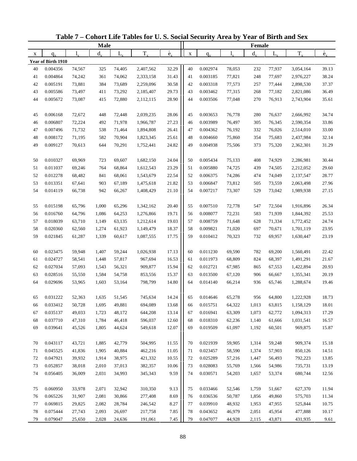| $\overset{\circ}{e}_{x}$<br>$\overset{\circ}{e}_{x}$<br>$T_{x}$<br>$d_{x}$<br>$d_{x}$<br>$T_{x}$<br>$L_{\rm v}$<br>$L_{x}$<br>$l_{\nu}$<br>1.<br>$\mathbf X$<br>$q_{x}$<br>X<br>$q_{x}$<br>Year of Birth 1910<br>32.29<br>40<br>0.004356<br>74,567<br>325<br>74,405<br>2,407,562<br>40<br>0.002974<br>78,053<br>232<br>77,937<br>3,054,164<br>39.13<br>0.004864<br>31.43<br>0.003185<br>38.24<br>41<br>74,242<br>361<br>74,062<br>2,333,158<br>41<br>77,821<br>248<br>77,697<br>2,976,227<br>42<br>0.005191<br>30.58<br>42<br>0.003318<br>37.37<br>73,881<br>384<br>73,689<br>2,259,096<br>77,573<br>257<br>77,444<br>2,898,530<br>29.73<br>43<br>0.005586<br>73,292<br>43<br>0.003462<br>77,315<br>268<br>36.49<br>73,497<br>411<br>2,185,407<br>77,182<br>2,821,086<br>28.90<br>44<br>0.005672<br>73,087<br>415<br>72,880<br>44<br>0.003506<br>77,048<br>270<br>76,913<br>35.61<br>2,112,115<br>2,743,904<br>28.06<br>0.006168<br>72,672<br>72,448<br>2,039,235<br>45<br>0.003653<br>76,778<br>280<br>76,637<br>34.74<br>45<br>448<br>2,666,992<br>27.23<br>0.006807<br>72,224<br>492<br>71,978<br>0.003989<br>76,497<br>305<br>76,345<br>33.86<br>46<br>1,966,787<br>46<br>2,590,354<br>0.007496<br>71,732<br>26.41<br>47<br>0.004362<br>332<br>33.00<br>47<br>538<br>71,464<br>1,894,808<br>76,192<br>76,026<br>2,514,010<br>48<br>71,195<br>25.61<br>0.004660<br>354<br>32.14<br>0.008172<br>582<br>70,904<br>1,823,345<br>48<br>75,860<br>75,683<br>2,437,984<br>24.82<br>49<br>0.009127<br>49<br>0.004938<br>373<br>31.29<br>70,613<br>644<br>70,291<br>1,752,441<br>75,506<br>75,320<br>2,362,301<br>0.010327<br>69,969<br>723<br>69,607<br>1,682,150<br>24.04<br>0.005434<br>75,133<br>408<br>74,929<br>2,286,981<br>30.44<br>50<br>50<br>23.29<br>0.011037<br>0.005880<br>74,725<br>29.60<br>51<br>69,246<br>764<br>68,864<br>1,612,543<br>51<br>439<br>74,505<br>2,212,052<br>52<br>0.012278<br>68,061<br>22.54<br>52<br>0.006375<br>74,286<br>74,049<br>28.77<br>68,482<br>841<br>1,543,679<br>474<br>2,137,547<br>53<br>0.013351<br>67,641<br>903<br>67,189<br>21.82<br>53<br>0.006847<br>73,812<br>505<br>27.96<br>1,475,618<br>73,559<br>2,063,498<br>0.014119<br>21.10<br>54<br>0.007217<br>27.15<br>54<br>66,738<br>942<br>66,267<br>1,408,429<br>73,307<br>529<br>73,042<br>1,989,938<br>0.015198<br>65,796<br>1,000<br>65,296<br>1,342,162<br>20.40<br>55<br>0.007510<br>72,778<br>547<br>72,504<br>1,916,896<br>26.34<br>55<br>19.71<br>0.016760<br>0.008077<br>72,231<br>583<br>25.53<br>56<br>64,796<br>1,086<br>64,253<br>1,276,866<br>56<br>71,939<br>1,844,392<br>57<br>0.018039<br>63,710<br>19.03<br>57<br>0.008759<br>24.74<br>1,149<br>63,135<br>1,212,614<br>71,648<br>628<br>71,334<br>1,772,452<br>58<br>0.020360<br>18.37<br>58<br>0.009821<br>23.95<br>62,560<br>1,274<br>61,923<br>1,149,479<br>71,020<br>697<br>70,671<br>1,701,119<br>59<br>17.75<br>59<br>0.010412<br>23.19<br>0.021845<br>61,287<br>1,339<br>60,617<br>1,087,555<br>70,323<br>732<br>69,957<br>1,630,447<br>0.023475<br>1,407<br>17.13<br>60<br>0.011230<br>782<br>22.42<br>60<br>59,948<br>59,244<br>1,026,938<br>69,590<br>69,200<br>1,560,491<br>16.53<br>61<br>0.024727<br>58,541<br>57,817<br>0.011973<br>824<br>21.67<br>1,448<br>967,694<br>61<br>68,809<br>68,397<br>1,491,291<br>62<br>0.027034<br>57,093<br>56,321<br>909,877<br>15.94<br>62<br>0.012721<br>865<br>20.93<br>1,543<br>67,985<br>67,553<br>1,422,894<br>15.37<br>63<br>0.028516<br>0.013500<br>20.19<br>55,550<br>1,584<br>54,758<br>853,556<br>63<br>67,120<br>906<br>66,667<br>1,355,341<br>14.80<br>19.46<br>64<br>0.029696<br>53,965<br>1,603<br>53,164<br>798,799<br>64<br>0.014140<br>66,214<br>936<br>65,746<br>1,288,674<br>0.031222<br>52,363<br>1,635<br>14.24<br>64,800<br>1,222,928<br>18.73<br>65<br>51,545<br>745,634<br>65<br>0.014646<br>65,278<br>956<br>0.033412<br>694,089<br>64,322<br>1,013<br>1,158,129<br>18.01<br>50,728<br>1,695<br>49,881<br>13.68<br>0.015751<br>63,815<br>66<br>66<br>13.14<br>0.016941<br>0.035137<br>49,033<br>1,723<br>48,172<br>644,208<br>63,309<br>1,073<br>62,772<br>1,094,313<br>17.29<br>67<br>67<br>0.037710<br>47,310<br>46,418<br>12.60<br>0.018310<br>62,236<br>1,140<br>16.57<br>68<br>1,784<br>596,037<br>68<br>61,666<br>1,031,541<br>0.039641<br>12.07<br>0.019509<br>969,875<br>69<br>45,526<br>1,805<br>44,624<br>549,618<br>69<br>61,097<br>1,192<br>60,501<br>15.87<br>0.043117<br>43,721<br>1,885<br>42,779<br>504,995<br>11.55<br>0.021939<br>59,905<br>59,248<br>909,374<br>15.18<br>70<br>70<br>1,314<br>0.045525<br>11.05<br>0.023457<br>57,903<br>71<br>41,836<br>1,905<br>40,884<br>462,216<br>71<br>58,590<br>1,374<br>850,126<br>14.51<br>10.55<br>0.025289<br>72<br>0.047921<br>39,932<br>1,914<br>38,975<br>421,332<br>72<br>57,216<br>1,447<br>56,493<br>792,223<br>13.85<br>10.06<br>0.028083<br>73<br>0.052857<br>38,018<br>2,010<br>37,013<br>382,357<br>73<br>55,769<br>1,566<br>54,986<br>735,731<br>13.19<br>9.59<br>74<br>2,031<br>34,993<br>345,343<br>0.030571<br>54,203<br>0.056405<br>36,009<br>74<br>1,657<br>53,374<br>680,744<br>12.56<br>0.060950<br>9.13<br>0.033466<br>75<br>33,978<br>2,071<br>32,942<br>310,350<br>75<br>52,546<br>1,759<br>51,667<br>627,370<br>11.94<br>76<br>0.065226<br>31,907<br>2,081<br>30,866<br>277,408<br>8.69<br>0.036536<br>49,860<br>50,787<br>1,856<br>575,703<br>11.34<br>76<br>8.27<br>0.069815<br>0.039910<br>77<br>29,825<br>2,082<br>28,784<br>246,542<br>77<br>48,932<br>1,953<br>47,955<br>525,844<br>10.75<br>0.075444<br>27,743<br>26,697<br>7.85<br>0.043652<br>46,979<br>2,051<br>45,954<br>78<br>2,093<br>217,758<br>78<br>477,888<br>10.17<br>7.45<br>0.047077<br>79<br>0.079047<br>2,028<br>44,928<br>2,115<br>43,871<br>25,650<br>24,636<br>191,061<br>79<br>431,935<br>9.61 |  | <b>Male</b> |  |  |  | Female |  |  |
|----------------------------------------------------------------------------------------------------------------------------------------------------------------------------------------------------------------------------------------------------------------------------------------------------------------------------------------------------------------------------------------------------------------------------------------------------------------------------------------------------------------------------------------------------------------------------------------------------------------------------------------------------------------------------------------------------------------------------------------------------------------------------------------------------------------------------------------------------------------------------------------------------------------------------------------------------------------------------------------------------------------------------------------------------------------------------------------------------------------------------------------------------------------------------------------------------------------------------------------------------------------------------------------------------------------------------------------------------------------------------------------------------------------------------------------------------------------------------------------------------------------------------------------------------------------------------------------------------------------------------------------------------------------------------------------------------------------------------------------------------------------------------------------------------------------------------------------------------------------------------------------------------------------------------------------------------------------------------------------------------------------------------------------------------------------------------------------------------------------------------------------------------------------------------------------------------------------------------------------------------------------------------------------------------------------------------------------------------------------------------------------------------------------------------------------------------------------------------------------------------------------------------------------------------------------------------------------------------------------------------------------------------------------------------------------------------------------------------------------------------------------------------------------------------------------------------------------------------------------------------------------------------------------------------------------------------------------------------------------------------------------------------------------------------------------------------------------------------------------------------------------------------------------------------------------------------------------------------------------------------------------------------------------------------------------------------------------------------------------------------------------------------------------------------------------------------------------------------------------------------------------------------------------------------------------------------------------------------------------------------------------------------------------------------------------------------------------------------------------------------------------------------------------------------------------------------------------------------------------------------------------------------------------------------------------------------------------------------------------------------------------------------------------------------------------------------------------------------------------------------------------------------------------------------------------------------------------------------------------------------------------------------------------------------------------------------------------------------------------------------------------------------------------------------------------------------------------------------------------------------------------------------------------------------------------------------------------------------------------------------------------------------------------------------------------------------------------------------------------------------------------------------------------------------------------------------------------------------------------------------------------------------------------------------------------------------------------------------------------------------------------------------------------------------------------------------------------------------------------------------------------------------------------------------------------------------------------------------------------------------------------------------------------------------------------------------------------------------------------------------------------------------------------------------------------------------------------------------------------------------------------------------------------------------------------------------------------------------------------------------------------------------------------------------------------------------------------------------------------------------------------------------------------------------------|--|-------------|--|--|--|--------|--|--|
|                                                                                                                                                                                                                                                                                                                                                                                                                                                                                                                                                                                                                                                                                                                                                                                                                                                                                                                                                                                                                                                                                                                                                                                                                                                                                                                                                                                                                                                                                                                                                                                                                                                                                                                                                                                                                                                                                                                                                                                                                                                                                                                                                                                                                                                                                                                                                                                                                                                                                                                                                                                                                                                                                                                                                                                                                                                                                                                                                                                                                                                                                                                                                                                                                                                                                                                                                                                                                                                                                                                                                                                                                                                                                                                                                                                                                                                                                                                                                                                                                                                                                                                                                                                                                                                                                                                                                                                                                                                                                                                                                                                                                                                                                                                                                                                                                                                                                                                                                                                                                                                                                                                                                                                                                                                                                                                                                                                                                                                                                                                                                                                                                                                                                                                                                                                                          |  |             |  |  |  |        |  |  |
|                                                                                                                                                                                                                                                                                                                                                                                                                                                                                                                                                                                                                                                                                                                                                                                                                                                                                                                                                                                                                                                                                                                                                                                                                                                                                                                                                                                                                                                                                                                                                                                                                                                                                                                                                                                                                                                                                                                                                                                                                                                                                                                                                                                                                                                                                                                                                                                                                                                                                                                                                                                                                                                                                                                                                                                                                                                                                                                                                                                                                                                                                                                                                                                                                                                                                                                                                                                                                                                                                                                                                                                                                                                                                                                                                                                                                                                                                                                                                                                                                                                                                                                                                                                                                                                                                                                                                                                                                                                                                                                                                                                                                                                                                                                                                                                                                                                                                                                                                                                                                                                                                                                                                                                                                                                                                                                                                                                                                                                                                                                                                                                                                                                                                                                                                                                                          |  |             |  |  |  |        |  |  |
|                                                                                                                                                                                                                                                                                                                                                                                                                                                                                                                                                                                                                                                                                                                                                                                                                                                                                                                                                                                                                                                                                                                                                                                                                                                                                                                                                                                                                                                                                                                                                                                                                                                                                                                                                                                                                                                                                                                                                                                                                                                                                                                                                                                                                                                                                                                                                                                                                                                                                                                                                                                                                                                                                                                                                                                                                                                                                                                                                                                                                                                                                                                                                                                                                                                                                                                                                                                                                                                                                                                                                                                                                                                                                                                                                                                                                                                                                                                                                                                                                                                                                                                                                                                                                                                                                                                                                                                                                                                                                                                                                                                                                                                                                                                                                                                                                                                                                                                                                                                                                                                                                                                                                                                                                                                                                                                                                                                                                                                                                                                                                                                                                                                                                                                                                                                                          |  |             |  |  |  |        |  |  |
|                                                                                                                                                                                                                                                                                                                                                                                                                                                                                                                                                                                                                                                                                                                                                                                                                                                                                                                                                                                                                                                                                                                                                                                                                                                                                                                                                                                                                                                                                                                                                                                                                                                                                                                                                                                                                                                                                                                                                                                                                                                                                                                                                                                                                                                                                                                                                                                                                                                                                                                                                                                                                                                                                                                                                                                                                                                                                                                                                                                                                                                                                                                                                                                                                                                                                                                                                                                                                                                                                                                                                                                                                                                                                                                                                                                                                                                                                                                                                                                                                                                                                                                                                                                                                                                                                                                                                                                                                                                                                                                                                                                                                                                                                                                                                                                                                                                                                                                                                                                                                                                                                                                                                                                                                                                                                                                                                                                                                                                                                                                                                                                                                                                                                                                                                                                                          |  |             |  |  |  |        |  |  |
|                                                                                                                                                                                                                                                                                                                                                                                                                                                                                                                                                                                                                                                                                                                                                                                                                                                                                                                                                                                                                                                                                                                                                                                                                                                                                                                                                                                                                                                                                                                                                                                                                                                                                                                                                                                                                                                                                                                                                                                                                                                                                                                                                                                                                                                                                                                                                                                                                                                                                                                                                                                                                                                                                                                                                                                                                                                                                                                                                                                                                                                                                                                                                                                                                                                                                                                                                                                                                                                                                                                                                                                                                                                                                                                                                                                                                                                                                                                                                                                                                                                                                                                                                                                                                                                                                                                                                                                                                                                                                                                                                                                                                                                                                                                                                                                                                                                                                                                                                                                                                                                                                                                                                                                                                                                                                                                                                                                                                                                                                                                                                                                                                                                                                                                                                                                                          |  |             |  |  |  |        |  |  |
|                                                                                                                                                                                                                                                                                                                                                                                                                                                                                                                                                                                                                                                                                                                                                                                                                                                                                                                                                                                                                                                                                                                                                                                                                                                                                                                                                                                                                                                                                                                                                                                                                                                                                                                                                                                                                                                                                                                                                                                                                                                                                                                                                                                                                                                                                                                                                                                                                                                                                                                                                                                                                                                                                                                                                                                                                                                                                                                                                                                                                                                                                                                                                                                                                                                                                                                                                                                                                                                                                                                                                                                                                                                                                                                                                                                                                                                                                                                                                                                                                                                                                                                                                                                                                                                                                                                                                                                                                                                                                                                                                                                                                                                                                                                                                                                                                                                                                                                                                                                                                                                                                                                                                                                                                                                                                                                                                                                                                                                                                                                                                                                                                                                                                                                                                                                                          |  |             |  |  |  |        |  |  |
|                                                                                                                                                                                                                                                                                                                                                                                                                                                                                                                                                                                                                                                                                                                                                                                                                                                                                                                                                                                                                                                                                                                                                                                                                                                                                                                                                                                                                                                                                                                                                                                                                                                                                                                                                                                                                                                                                                                                                                                                                                                                                                                                                                                                                                                                                                                                                                                                                                                                                                                                                                                                                                                                                                                                                                                                                                                                                                                                                                                                                                                                                                                                                                                                                                                                                                                                                                                                                                                                                                                                                                                                                                                                                                                                                                                                                                                                                                                                                                                                                                                                                                                                                                                                                                                                                                                                                                                                                                                                                                                                                                                                                                                                                                                                                                                                                                                                                                                                                                                                                                                                                                                                                                                                                                                                                                                                                                                                                                                                                                                                                                                                                                                                                                                                                                                                          |  |             |  |  |  |        |  |  |
|                                                                                                                                                                                                                                                                                                                                                                                                                                                                                                                                                                                                                                                                                                                                                                                                                                                                                                                                                                                                                                                                                                                                                                                                                                                                                                                                                                                                                                                                                                                                                                                                                                                                                                                                                                                                                                                                                                                                                                                                                                                                                                                                                                                                                                                                                                                                                                                                                                                                                                                                                                                                                                                                                                                                                                                                                                                                                                                                                                                                                                                                                                                                                                                                                                                                                                                                                                                                                                                                                                                                                                                                                                                                                                                                                                                                                                                                                                                                                                                                                                                                                                                                                                                                                                                                                                                                                                                                                                                                                                                                                                                                                                                                                                                                                                                                                                                                                                                                                                                                                                                                                                                                                                                                                                                                                                                                                                                                                                                                                                                                                                                                                                                                                                                                                                                                          |  |             |  |  |  |        |  |  |
|                                                                                                                                                                                                                                                                                                                                                                                                                                                                                                                                                                                                                                                                                                                                                                                                                                                                                                                                                                                                                                                                                                                                                                                                                                                                                                                                                                                                                                                                                                                                                                                                                                                                                                                                                                                                                                                                                                                                                                                                                                                                                                                                                                                                                                                                                                                                                                                                                                                                                                                                                                                                                                                                                                                                                                                                                                                                                                                                                                                                                                                                                                                                                                                                                                                                                                                                                                                                                                                                                                                                                                                                                                                                                                                                                                                                                                                                                                                                                                                                                                                                                                                                                                                                                                                                                                                                                                                                                                                                                                                                                                                                                                                                                                                                                                                                                                                                                                                                                                                                                                                                                                                                                                                                                                                                                                                                                                                                                                                                                                                                                                                                                                                                                                                                                                                                          |  |             |  |  |  |        |  |  |
|                                                                                                                                                                                                                                                                                                                                                                                                                                                                                                                                                                                                                                                                                                                                                                                                                                                                                                                                                                                                                                                                                                                                                                                                                                                                                                                                                                                                                                                                                                                                                                                                                                                                                                                                                                                                                                                                                                                                                                                                                                                                                                                                                                                                                                                                                                                                                                                                                                                                                                                                                                                                                                                                                                                                                                                                                                                                                                                                                                                                                                                                                                                                                                                                                                                                                                                                                                                                                                                                                                                                                                                                                                                                                                                                                                                                                                                                                                                                                                                                                                                                                                                                                                                                                                                                                                                                                                                                                                                                                                                                                                                                                                                                                                                                                                                                                                                                                                                                                                                                                                                                                                                                                                                                                                                                                                                                                                                                                                                                                                                                                                                                                                                                                                                                                                                                          |  |             |  |  |  |        |  |  |
|                                                                                                                                                                                                                                                                                                                                                                                                                                                                                                                                                                                                                                                                                                                                                                                                                                                                                                                                                                                                                                                                                                                                                                                                                                                                                                                                                                                                                                                                                                                                                                                                                                                                                                                                                                                                                                                                                                                                                                                                                                                                                                                                                                                                                                                                                                                                                                                                                                                                                                                                                                                                                                                                                                                                                                                                                                                                                                                                                                                                                                                                                                                                                                                                                                                                                                                                                                                                                                                                                                                                                                                                                                                                                                                                                                                                                                                                                                                                                                                                                                                                                                                                                                                                                                                                                                                                                                                                                                                                                                                                                                                                                                                                                                                                                                                                                                                                                                                                                                                                                                                                                                                                                                                                                                                                                                                                                                                                                                                                                                                                                                                                                                                                                                                                                                                                          |  |             |  |  |  |        |  |  |
|                                                                                                                                                                                                                                                                                                                                                                                                                                                                                                                                                                                                                                                                                                                                                                                                                                                                                                                                                                                                                                                                                                                                                                                                                                                                                                                                                                                                                                                                                                                                                                                                                                                                                                                                                                                                                                                                                                                                                                                                                                                                                                                                                                                                                                                                                                                                                                                                                                                                                                                                                                                                                                                                                                                                                                                                                                                                                                                                                                                                                                                                                                                                                                                                                                                                                                                                                                                                                                                                                                                                                                                                                                                                                                                                                                                                                                                                                                                                                                                                                                                                                                                                                                                                                                                                                                                                                                                                                                                                                                                                                                                                                                                                                                                                                                                                                                                                                                                                                                                                                                                                                                                                                                                                                                                                                                                                                                                                                                                                                                                                                                                                                                                                                                                                                                                                          |  |             |  |  |  |        |  |  |
|                                                                                                                                                                                                                                                                                                                                                                                                                                                                                                                                                                                                                                                                                                                                                                                                                                                                                                                                                                                                                                                                                                                                                                                                                                                                                                                                                                                                                                                                                                                                                                                                                                                                                                                                                                                                                                                                                                                                                                                                                                                                                                                                                                                                                                                                                                                                                                                                                                                                                                                                                                                                                                                                                                                                                                                                                                                                                                                                                                                                                                                                                                                                                                                                                                                                                                                                                                                                                                                                                                                                                                                                                                                                                                                                                                                                                                                                                                                                                                                                                                                                                                                                                                                                                                                                                                                                                                                                                                                                                                                                                                                                                                                                                                                                                                                                                                                                                                                                                                                                                                                                                                                                                                                                                                                                                                                                                                                                                                                                                                                                                                                                                                                                                                                                                                                                          |  |             |  |  |  |        |  |  |
|                                                                                                                                                                                                                                                                                                                                                                                                                                                                                                                                                                                                                                                                                                                                                                                                                                                                                                                                                                                                                                                                                                                                                                                                                                                                                                                                                                                                                                                                                                                                                                                                                                                                                                                                                                                                                                                                                                                                                                                                                                                                                                                                                                                                                                                                                                                                                                                                                                                                                                                                                                                                                                                                                                                                                                                                                                                                                                                                                                                                                                                                                                                                                                                                                                                                                                                                                                                                                                                                                                                                                                                                                                                                                                                                                                                                                                                                                                                                                                                                                                                                                                                                                                                                                                                                                                                                                                                                                                                                                                                                                                                                                                                                                                                                                                                                                                                                                                                                                                                                                                                                                                                                                                                                                                                                                                                                                                                                                                                                                                                                                                                                                                                                                                                                                                                                          |  |             |  |  |  |        |  |  |
|                                                                                                                                                                                                                                                                                                                                                                                                                                                                                                                                                                                                                                                                                                                                                                                                                                                                                                                                                                                                                                                                                                                                                                                                                                                                                                                                                                                                                                                                                                                                                                                                                                                                                                                                                                                                                                                                                                                                                                                                                                                                                                                                                                                                                                                                                                                                                                                                                                                                                                                                                                                                                                                                                                                                                                                                                                                                                                                                                                                                                                                                                                                                                                                                                                                                                                                                                                                                                                                                                                                                                                                                                                                                                                                                                                                                                                                                                                                                                                                                                                                                                                                                                                                                                                                                                                                                                                                                                                                                                                                                                                                                                                                                                                                                                                                                                                                                                                                                                                                                                                                                                                                                                                                                                                                                                                                                                                                                                                                                                                                                                                                                                                                                                                                                                                                                          |  |             |  |  |  |        |  |  |
|                                                                                                                                                                                                                                                                                                                                                                                                                                                                                                                                                                                                                                                                                                                                                                                                                                                                                                                                                                                                                                                                                                                                                                                                                                                                                                                                                                                                                                                                                                                                                                                                                                                                                                                                                                                                                                                                                                                                                                                                                                                                                                                                                                                                                                                                                                                                                                                                                                                                                                                                                                                                                                                                                                                                                                                                                                                                                                                                                                                                                                                                                                                                                                                                                                                                                                                                                                                                                                                                                                                                                                                                                                                                                                                                                                                                                                                                                                                                                                                                                                                                                                                                                                                                                                                                                                                                                                                                                                                                                                                                                                                                                                                                                                                                                                                                                                                                                                                                                                                                                                                                                                                                                                                                                                                                                                                                                                                                                                                                                                                                                                                                                                                                                                                                                                                                          |  |             |  |  |  |        |  |  |
|                                                                                                                                                                                                                                                                                                                                                                                                                                                                                                                                                                                                                                                                                                                                                                                                                                                                                                                                                                                                                                                                                                                                                                                                                                                                                                                                                                                                                                                                                                                                                                                                                                                                                                                                                                                                                                                                                                                                                                                                                                                                                                                                                                                                                                                                                                                                                                                                                                                                                                                                                                                                                                                                                                                                                                                                                                                                                                                                                                                                                                                                                                                                                                                                                                                                                                                                                                                                                                                                                                                                                                                                                                                                                                                                                                                                                                                                                                                                                                                                                                                                                                                                                                                                                                                                                                                                                                                                                                                                                                                                                                                                                                                                                                                                                                                                                                                                                                                                                                                                                                                                                                                                                                                                                                                                                                                                                                                                                                                                                                                                                                                                                                                                                                                                                                                                          |  |             |  |  |  |        |  |  |
|                                                                                                                                                                                                                                                                                                                                                                                                                                                                                                                                                                                                                                                                                                                                                                                                                                                                                                                                                                                                                                                                                                                                                                                                                                                                                                                                                                                                                                                                                                                                                                                                                                                                                                                                                                                                                                                                                                                                                                                                                                                                                                                                                                                                                                                                                                                                                                                                                                                                                                                                                                                                                                                                                                                                                                                                                                                                                                                                                                                                                                                                                                                                                                                                                                                                                                                                                                                                                                                                                                                                                                                                                                                                                                                                                                                                                                                                                                                                                                                                                                                                                                                                                                                                                                                                                                                                                                                                                                                                                                                                                                                                                                                                                                                                                                                                                                                                                                                                                                                                                                                                                                                                                                                                                                                                                                                                                                                                                                                                                                                                                                                                                                                                                                                                                                                                          |  |             |  |  |  |        |  |  |
|                                                                                                                                                                                                                                                                                                                                                                                                                                                                                                                                                                                                                                                                                                                                                                                                                                                                                                                                                                                                                                                                                                                                                                                                                                                                                                                                                                                                                                                                                                                                                                                                                                                                                                                                                                                                                                                                                                                                                                                                                                                                                                                                                                                                                                                                                                                                                                                                                                                                                                                                                                                                                                                                                                                                                                                                                                                                                                                                                                                                                                                                                                                                                                                                                                                                                                                                                                                                                                                                                                                                                                                                                                                                                                                                                                                                                                                                                                                                                                                                                                                                                                                                                                                                                                                                                                                                                                                                                                                                                                                                                                                                                                                                                                                                                                                                                                                                                                                                                                                                                                                                                                                                                                                                                                                                                                                                                                                                                                                                                                                                                                                                                                                                                                                                                                                                          |  |             |  |  |  |        |  |  |
|                                                                                                                                                                                                                                                                                                                                                                                                                                                                                                                                                                                                                                                                                                                                                                                                                                                                                                                                                                                                                                                                                                                                                                                                                                                                                                                                                                                                                                                                                                                                                                                                                                                                                                                                                                                                                                                                                                                                                                                                                                                                                                                                                                                                                                                                                                                                                                                                                                                                                                                                                                                                                                                                                                                                                                                                                                                                                                                                                                                                                                                                                                                                                                                                                                                                                                                                                                                                                                                                                                                                                                                                                                                                                                                                                                                                                                                                                                                                                                                                                                                                                                                                                                                                                                                                                                                                                                                                                                                                                                                                                                                                                                                                                                                                                                                                                                                                                                                                                                                                                                                                                                                                                                                                                                                                                                                                                                                                                                                                                                                                                                                                                                                                                                                                                                                                          |  |             |  |  |  |        |  |  |
|                                                                                                                                                                                                                                                                                                                                                                                                                                                                                                                                                                                                                                                                                                                                                                                                                                                                                                                                                                                                                                                                                                                                                                                                                                                                                                                                                                                                                                                                                                                                                                                                                                                                                                                                                                                                                                                                                                                                                                                                                                                                                                                                                                                                                                                                                                                                                                                                                                                                                                                                                                                                                                                                                                                                                                                                                                                                                                                                                                                                                                                                                                                                                                                                                                                                                                                                                                                                                                                                                                                                                                                                                                                                                                                                                                                                                                                                                                                                                                                                                                                                                                                                                                                                                                                                                                                                                                                                                                                                                                                                                                                                                                                                                                                                                                                                                                                                                                                                                                                                                                                                                                                                                                                                                                                                                                                                                                                                                                                                                                                                                                                                                                                                                                                                                                                                          |  |             |  |  |  |        |  |  |
|                                                                                                                                                                                                                                                                                                                                                                                                                                                                                                                                                                                                                                                                                                                                                                                                                                                                                                                                                                                                                                                                                                                                                                                                                                                                                                                                                                                                                                                                                                                                                                                                                                                                                                                                                                                                                                                                                                                                                                                                                                                                                                                                                                                                                                                                                                                                                                                                                                                                                                                                                                                                                                                                                                                                                                                                                                                                                                                                                                                                                                                                                                                                                                                                                                                                                                                                                                                                                                                                                                                                                                                                                                                                                                                                                                                                                                                                                                                                                                                                                                                                                                                                                                                                                                                                                                                                                                                                                                                                                                                                                                                                                                                                                                                                                                                                                                                                                                                                                                                                                                                                                                                                                                                                                                                                                                                                                                                                                                                                                                                                                                                                                                                                                                                                                                                                          |  |             |  |  |  |        |  |  |
|                                                                                                                                                                                                                                                                                                                                                                                                                                                                                                                                                                                                                                                                                                                                                                                                                                                                                                                                                                                                                                                                                                                                                                                                                                                                                                                                                                                                                                                                                                                                                                                                                                                                                                                                                                                                                                                                                                                                                                                                                                                                                                                                                                                                                                                                                                                                                                                                                                                                                                                                                                                                                                                                                                                                                                                                                                                                                                                                                                                                                                                                                                                                                                                                                                                                                                                                                                                                                                                                                                                                                                                                                                                                                                                                                                                                                                                                                                                                                                                                                                                                                                                                                                                                                                                                                                                                                                                                                                                                                                                                                                                                                                                                                                                                                                                                                                                                                                                                                                                                                                                                                                                                                                                                                                                                                                                                                                                                                                                                                                                                                                                                                                                                                                                                                                                                          |  |             |  |  |  |        |  |  |
|                                                                                                                                                                                                                                                                                                                                                                                                                                                                                                                                                                                                                                                                                                                                                                                                                                                                                                                                                                                                                                                                                                                                                                                                                                                                                                                                                                                                                                                                                                                                                                                                                                                                                                                                                                                                                                                                                                                                                                                                                                                                                                                                                                                                                                                                                                                                                                                                                                                                                                                                                                                                                                                                                                                                                                                                                                                                                                                                                                                                                                                                                                                                                                                                                                                                                                                                                                                                                                                                                                                                                                                                                                                                                                                                                                                                                                                                                                                                                                                                                                                                                                                                                                                                                                                                                                                                                                                                                                                                                                                                                                                                                                                                                                                                                                                                                                                                                                                                                                                                                                                                                                                                                                                                                                                                                                                                                                                                                                                                                                                                                                                                                                                                                                                                                                                                          |  |             |  |  |  |        |  |  |
|                                                                                                                                                                                                                                                                                                                                                                                                                                                                                                                                                                                                                                                                                                                                                                                                                                                                                                                                                                                                                                                                                                                                                                                                                                                                                                                                                                                                                                                                                                                                                                                                                                                                                                                                                                                                                                                                                                                                                                                                                                                                                                                                                                                                                                                                                                                                                                                                                                                                                                                                                                                                                                                                                                                                                                                                                                                                                                                                                                                                                                                                                                                                                                                                                                                                                                                                                                                                                                                                                                                                                                                                                                                                                                                                                                                                                                                                                                                                                                                                                                                                                                                                                                                                                                                                                                                                                                                                                                                                                                                                                                                                                                                                                                                                                                                                                                                                                                                                                                                                                                                                                                                                                                                                                                                                                                                                                                                                                                                                                                                                                                                                                                                                                                                                                                                                          |  |             |  |  |  |        |  |  |
|                                                                                                                                                                                                                                                                                                                                                                                                                                                                                                                                                                                                                                                                                                                                                                                                                                                                                                                                                                                                                                                                                                                                                                                                                                                                                                                                                                                                                                                                                                                                                                                                                                                                                                                                                                                                                                                                                                                                                                                                                                                                                                                                                                                                                                                                                                                                                                                                                                                                                                                                                                                                                                                                                                                                                                                                                                                                                                                                                                                                                                                                                                                                                                                                                                                                                                                                                                                                                                                                                                                                                                                                                                                                                                                                                                                                                                                                                                                                                                                                                                                                                                                                                                                                                                                                                                                                                                                                                                                                                                                                                                                                                                                                                                                                                                                                                                                                                                                                                                                                                                                                                                                                                                                                                                                                                                                                                                                                                                                                                                                                                                                                                                                                                                                                                                                                          |  |             |  |  |  |        |  |  |
|                                                                                                                                                                                                                                                                                                                                                                                                                                                                                                                                                                                                                                                                                                                                                                                                                                                                                                                                                                                                                                                                                                                                                                                                                                                                                                                                                                                                                                                                                                                                                                                                                                                                                                                                                                                                                                                                                                                                                                                                                                                                                                                                                                                                                                                                                                                                                                                                                                                                                                                                                                                                                                                                                                                                                                                                                                                                                                                                                                                                                                                                                                                                                                                                                                                                                                                                                                                                                                                                                                                                                                                                                                                                                                                                                                                                                                                                                                                                                                                                                                                                                                                                                                                                                                                                                                                                                                                                                                                                                                                                                                                                                                                                                                                                                                                                                                                                                                                                                                                                                                                                                                                                                                                                                                                                                                                                                                                                                                                                                                                                                                                                                                                                                                                                                                                                          |  |             |  |  |  |        |  |  |
|                                                                                                                                                                                                                                                                                                                                                                                                                                                                                                                                                                                                                                                                                                                                                                                                                                                                                                                                                                                                                                                                                                                                                                                                                                                                                                                                                                                                                                                                                                                                                                                                                                                                                                                                                                                                                                                                                                                                                                                                                                                                                                                                                                                                                                                                                                                                                                                                                                                                                                                                                                                                                                                                                                                                                                                                                                                                                                                                                                                                                                                                                                                                                                                                                                                                                                                                                                                                                                                                                                                                                                                                                                                                                                                                                                                                                                                                                                                                                                                                                                                                                                                                                                                                                                                                                                                                                                                                                                                                                                                                                                                                                                                                                                                                                                                                                                                                                                                                                                                                                                                                                                                                                                                                                                                                                                                                                                                                                                                                                                                                                                                                                                                                                                                                                                                                          |  |             |  |  |  |        |  |  |
|                                                                                                                                                                                                                                                                                                                                                                                                                                                                                                                                                                                                                                                                                                                                                                                                                                                                                                                                                                                                                                                                                                                                                                                                                                                                                                                                                                                                                                                                                                                                                                                                                                                                                                                                                                                                                                                                                                                                                                                                                                                                                                                                                                                                                                                                                                                                                                                                                                                                                                                                                                                                                                                                                                                                                                                                                                                                                                                                                                                                                                                                                                                                                                                                                                                                                                                                                                                                                                                                                                                                                                                                                                                                                                                                                                                                                                                                                                                                                                                                                                                                                                                                                                                                                                                                                                                                                                                                                                                                                                                                                                                                                                                                                                                                                                                                                                                                                                                                                                                                                                                                                                                                                                                                                                                                                                                                                                                                                                                                                                                                                                                                                                                                                                                                                                                                          |  |             |  |  |  |        |  |  |
|                                                                                                                                                                                                                                                                                                                                                                                                                                                                                                                                                                                                                                                                                                                                                                                                                                                                                                                                                                                                                                                                                                                                                                                                                                                                                                                                                                                                                                                                                                                                                                                                                                                                                                                                                                                                                                                                                                                                                                                                                                                                                                                                                                                                                                                                                                                                                                                                                                                                                                                                                                                                                                                                                                                                                                                                                                                                                                                                                                                                                                                                                                                                                                                                                                                                                                                                                                                                                                                                                                                                                                                                                                                                                                                                                                                                                                                                                                                                                                                                                                                                                                                                                                                                                                                                                                                                                                                                                                                                                                                                                                                                                                                                                                                                                                                                                                                                                                                                                                                                                                                                                                                                                                                                                                                                                                                                                                                                                                                                                                                                                                                                                                                                                                                                                                                                          |  |             |  |  |  |        |  |  |
|                                                                                                                                                                                                                                                                                                                                                                                                                                                                                                                                                                                                                                                                                                                                                                                                                                                                                                                                                                                                                                                                                                                                                                                                                                                                                                                                                                                                                                                                                                                                                                                                                                                                                                                                                                                                                                                                                                                                                                                                                                                                                                                                                                                                                                                                                                                                                                                                                                                                                                                                                                                                                                                                                                                                                                                                                                                                                                                                                                                                                                                                                                                                                                                                                                                                                                                                                                                                                                                                                                                                                                                                                                                                                                                                                                                                                                                                                                                                                                                                                                                                                                                                                                                                                                                                                                                                                                                                                                                                                                                                                                                                                                                                                                                                                                                                                                                                                                                                                                                                                                                                                                                                                                                                                                                                                                                                                                                                                                                                                                                                                                                                                                                                                                                                                                                                          |  |             |  |  |  |        |  |  |
|                                                                                                                                                                                                                                                                                                                                                                                                                                                                                                                                                                                                                                                                                                                                                                                                                                                                                                                                                                                                                                                                                                                                                                                                                                                                                                                                                                                                                                                                                                                                                                                                                                                                                                                                                                                                                                                                                                                                                                                                                                                                                                                                                                                                                                                                                                                                                                                                                                                                                                                                                                                                                                                                                                                                                                                                                                                                                                                                                                                                                                                                                                                                                                                                                                                                                                                                                                                                                                                                                                                                                                                                                                                                                                                                                                                                                                                                                                                                                                                                                                                                                                                                                                                                                                                                                                                                                                                                                                                                                                                                                                                                                                                                                                                                                                                                                                                                                                                                                                                                                                                                                                                                                                                                                                                                                                                                                                                                                                                                                                                                                                                                                                                                                                                                                                                                          |  |             |  |  |  |        |  |  |
|                                                                                                                                                                                                                                                                                                                                                                                                                                                                                                                                                                                                                                                                                                                                                                                                                                                                                                                                                                                                                                                                                                                                                                                                                                                                                                                                                                                                                                                                                                                                                                                                                                                                                                                                                                                                                                                                                                                                                                                                                                                                                                                                                                                                                                                                                                                                                                                                                                                                                                                                                                                                                                                                                                                                                                                                                                                                                                                                                                                                                                                                                                                                                                                                                                                                                                                                                                                                                                                                                                                                                                                                                                                                                                                                                                                                                                                                                                                                                                                                                                                                                                                                                                                                                                                                                                                                                                                                                                                                                                                                                                                                                                                                                                                                                                                                                                                                                                                                                                                                                                                                                                                                                                                                                                                                                                                                                                                                                                                                                                                                                                                                                                                                                                                                                                                                          |  |             |  |  |  |        |  |  |
|                                                                                                                                                                                                                                                                                                                                                                                                                                                                                                                                                                                                                                                                                                                                                                                                                                                                                                                                                                                                                                                                                                                                                                                                                                                                                                                                                                                                                                                                                                                                                                                                                                                                                                                                                                                                                                                                                                                                                                                                                                                                                                                                                                                                                                                                                                                                                                                                                                                                                                                                                                                                                                                                                                                                                                                                                                                                                                                                                                                                                                                                                                                                                                                                                                                                                                                                                                                                                                                                                                                                                                                                                                                                                                                                                                                                                                                                                                                                                                                                                                                                                                                                                                                                                                                                                                                                                                                                                                                                                                                                                                                                                                                                                                                                                                                                                                                                                                                                                                                                                                                                                                                                                                                                                                                                                                                                                                                                                                                                                                                                                                                                                                                                                                                                                                                                          |  |             |  |  |  |        |  |  |
|                                                                                                                                                                                                                                                                                                                                                                                                                                                                                                                                                                                                                                                                                                                                                                                                                                                                                                                                                                                                                                                                                                                                                                                                                                                                                                                                                                                                                                                                                                                                                                                                                                                                                                                                                                                                                                                                                                                                                                                                                                                                                                                                                                                                                                                                                                                                                                                                                                                                                                                                                                                                                                                                                                                                                                                                                                                                                                                                                                                                                                                                                                                                                                                                                                                                                                                                                                                                                                                                                                                                                                                                                                                                                                                                                                                                                                                                                                                                                                                                                                                                                                                                                                                                                                                                                                                                                                                                                                                                                                                                                                                                                                                                                                                                                                                                                                                                                                                                                                                                                                                                                                                                                                                                                                                                                                                                                                                                                                                                                                                                                                                                                                                                                                                                                                                                          |  |             |  |  |  |        |  |  |
|                                                                                                                                                                                                                                                                                                                                                                                                                                                                                                                                                                                                                                                                                                                                                                                                                                                                                                                                                                                                                                                                                                                                                                                                                                                                                                                                                                                                                                                                                                                                                                                                                                                                                                                                                                                                                                                                                                                                                                                                                                                                                                                                                                                                                                                                                                                                                                                                                                                                                                                                                                                                                                                                                                                                                                                                                                                                                                                                                                                                                                                                                                                                                                                                                                                                                                                                                                                                                                                                                                                                                                                                                                                                                                                                                                                                                                                                                                                                                                                                                                                                                                                                                                                                                                                                                                                                                                                                                                                                                                                                                                                                                                                                                                                                                                                                                                                                                                                                                                                                                                                                                                                                                                                                                                                                                                                                                                                                                                                                                                                                                                                                                                                                                                                                                                                                          |  |             |  |  |  |        |  |  |
|                                                                                                                                                                                                                                                                                                                                                                                                                                                                                                                                                                                                                                                                                                                                                                                                                                                                                                                                                                                                                                                                                                                                                                                                                                                                                                                                                                                                                                                                                                                                                                                                                                                                                                                                                                                                                                                                                                                                                                                                                                                                                                                                                                                                                                                                                                                                                                                                                                                                                                                                                                                                                                                                                                                                                                                                                                                                                                                                                                                                                                                                                                                                                                                                                                                                                                                                                                                                                                                                                                                                                                                                                                                                                                                                                                                                                                                                                                                                                                                                                                                                                                                                                                                                                                                                                                                                                                                                                                                                                                                                                                                                                                                                                                                                                                                                                                                                                                                                                                                                                                                                                                                                                                                                                                                                                                                                                                                                                                                                                                                                                                                                                                                                                                                                                                                                          |  |             |  |  |  |        |  |  |
|                                                                                                                                                                                                                                                                                                                                                                                                                                                                                                                                                                                                                                                                                                                                                                                                                                                                                                                                                                                                                                                                                                                                                                                                                                                                                                                                                                                                                                                                                                                                                                                                                                                                                                                                                                                                                                                                                                                                                                                                                                                                                                                                                                                                                                                                                                                                                                                                                                                                                                                                                                                                                                                                                                                                                                                                                                                                                                                                                                                                                                                                                                                                                                                                                                                                                                                                                                                                                                                                                                                                                                                                                                                                                                                                                                                                                                                                                                                                                                                                                                                                                                                                                                                                                                                                                                                                                                                                                                                                                                                                                                                                                                                                                                                                                                                                                                                                                                                                                                                                                                                                                                                                                                                                                                                                                                                                                                                                                                                                                                                                                                                                                                                                                                                                                                                                          |  |             |  |  |  |        |  |  |
|                                                                                                                                                                                                                                                                                                                                                                                                                                                                                                                                                                                                                                                                                                                                                                                                                                                                                                                                                                                                                                                                                                                                                                                                                                                                                                                                                                                                                                                                                                                                                                                                                                                                                                                                                                                                                                                                                                                                                                                                                                                                                                                                                                                                                                                                                                                                                                                                                                                                                                                                                                                                                                                                                                                                                                                                                                                                                                                                                                                                                                                                                                                                                                                                                                                                                                                                                                                                                                                                                                                                                                                                                                                                                                                                                                                                                                                                                                                                                                                                                                                                                                                                                                                                                                                                                                                                                                                                                                                                                                                                                                                                                                                                                                                                                                                                                                                                                                                                                                                                                                                                                                                                                                                                                                                                                                                                                                                                                                                                                                                                                                                                                                                                                                                                                                                                          |  |             |  |  |  |        |  |  |
|                                                                                                                                                                                                                                                                                                                                                                                                                                                                                                                                                                                                                                                                                                                                                                                                                                                                                                                                                                                                                                                                                                                                                                                                                                                                                                                                                                                                                                                                                                                                                                                                                                                                                                                                                                                                                                                                                                                                                                                                                                                                                                                                                                                                                                                                                                                                                                                                                                                                                                                                                                                                                                                                                                                                                                                                                                                                                                                                                                                                                                                                                                                                                                                                                                                                                                                                                                                                                                                                                                                                                                                                                                                                                                                                                                                                                                                                                                                                                                                                                                                                                                                                                                                                                                                                                                                                                                                                                                                                                                                                                                                                                                                                                                                                                                                                                                                                                                                                                                                                                                                                                                                                                                                                                                                                                                                                                                                                                                                                                                                                                                                                                                                                                                                                                                                                          |  |             |  |  |  |        |  |  |
|                                                                                                                                                                                                                                                                                                                                                                                                                                                                                                                                                                                                                                                                                                                                                                                                                                                                                                                                                                                                                                                                                                                                                                                                                                                                                                                                                                                                                                                                                                                                                                                                                                                                                                                                                                                                                                                                                                                                                                                                                                                                                                                                                                                                                                                                                                                                                                                                                                                                                                                                                                                                                                                                                                                                                                                                                                                                                                                                                                                                                                                                                                                                                                                                                                                                                                                                                                                                                                                                                                                                                                                                                                                                                                                                                                                                                                                                                                                                                                                                                                                                                                                                                                                                                                                                                                                                                                                                                                                                                                                                                                                                                                                                                                                                                                                                                                                                                                                                                                                                                                                                                                                                                                                                                                                                                                                                                                                                                                                                                                                                                                                                                                                                                                                                                                                                          |  |             |  |  |  |        |  |  |
|                                                                                                                                                                                                                                                                                                                                                                                                                                                                                                                                                                                                                                                                                                                                                                                                                                                                                                                                                                                                                                                                                                                                                                                                                                                                                                                                                                                                                                                                                                                                                                                                                                                                                                                                                                                                                                                                                                                                                                                                                                                                                                                                                                                                                                                                                                                                                                                                                                                                                                                                                                                                                                                                                                                                                                                                                                                                                                                                                                                                                                                                                                                                                                                                                                                                                                                                                                                                                                                                                                                                                                                                                                                                                                                                                                                                                                                                                                                                                                                                                                                                                                                                                                                                                                                                                                                                                                                                                                                                                                                                                                                                                                                                                                                                                                                                                                                                                                                                                                                                                                                                                                                                                                                                                                                                                                                                                                                                                                                                                                                                                                                                                                                                                                                                                                                                          |  |             |  |  |  |        |  |  |
|                                                                                                                                                                                                                                                                                                                                                                                                                                                                                                                                                                                                                                                                                                                                                                                                                                                                                                                                                                                                                                                                                                                                                                                                                                                                                                                                                                                                                                                                                                                                                                                                                                                                                                                                                                                                                                                                                                                                                                                                                                                                                                                                                                                                                                                                                                                                                                                                                                                                                                                                                                                                                                                                                                                                                                                                                                                                                                                                                                                                                                                                                                                                                                                                                                                                                                                                                                                                                                                                                                                                                                                                                                                                                                                                                                                                                                                                                                                                                                                                                                                                                                                                                                                                                                                                                                                                                                                                                                                                                                                                                                                                                                                                                                                                                                                                                                                                                                                                                                                                                                                                                                                                                                                                                                                                                                                                                                                                                                                                                                                                                                                                                                                                                                                                                                                                          |  |             |  |  |  |        |  |  |
|                                                                                                                                                                                                                                                                                                                                                                                                                                                                                                                                                                                                                                                                                                                                                                                                                                                                                                                                                                                                                                                                                                                                                                                                                                                                                                                                                                                                                                                                                                                                                                                                                                                                                                                                                                                                                                                                                                                                                                                                                                                                                                                                                                                                                                                                                                                                                                                                                                                                                                                                                                                                                                                                                                                                                                                                                                                                                                                                                                                                                                                                                                                                                                                                                                                                                                                                                                                                                                                                                                                                                                                                                                                                                                                                                                                                                                                                                                                                                                                                                                                                                                                                                                                                                                                                                                                                                                                                                                                                                                                                                                                                                                                                                                                                                                                                                                                                                                                                                                                                                                                                                                                                                                                                                                                                                                                                                                                                                                                                                                                                                                                                                                                                                                                                                                                                          |  |             |  |  |  |        |  |  |
|                                                                                                                                                                                                                                                                                                                                                                                                                                                                                                                                                                                                                                                                                                                                                                                                                                                                                                                                                                                                                                                                                                                                                                                                                                                                                                                                                                                                                                                                                                                                                                                                                                                                                                                                                                                                                                                                                                                                                                                                                                                                                                                                                                                                                                                                                                                                                                                                                                                                                                                                                                                                                                                                                                                                                                                                                                                                                                                                                                                                                                                                                                                                                                                                                                                                                                                                                                                                                                                                                                                                                                                                                                                                                                                                                                                                                                                                                                                                                                                                                                                                                                                                                                                                                                                                                                                                                                                                                                                                                                                                                                                                                                                                                                                                                                                                                                                                                                                                                                                                                                                                                                                                                                                                                                                                                                                                                                                                                                                                                                                                                                                                                                                                                                                                                                                                          |  |             |  |  |  |        |  |  |
|                                                                                                                                                                                                                                                                                                                                                                                                                                                                                                                                                                                                                                                                                                                                                                                                                                                                                                                                                                                                                                                                                                                                                                                                                                                                                                                                                                                                                                                                                                                                                                                                                                                                                                                                                                                                                                                                                                                                                                                                                                                                                                                                                                                                                                                                                                                                                                                                                                                                                                                                                                                                                                                                                                                                                                                                                                                                                                                                                                                                                                                                                                                                                                                                                                                                                                                                                                                                                                                                                                                                                                                                                                                                                                                                                                                                                                                                                                                                                                                                                                                                                                                                                                                                                                                                                                                                                                                                                                                                                                                                                                                                                                                                                                                                                                                                                                                                                                                                                                                                                                                                                                                                                                                                                                                                                                                                                                                                                                                                                                                                                                                                                                                                                                                                                                                                          |  |             |  |  |  |        |  |  |
|                                                                                                                                                                                                                                                                                                                                                                                                                                                                                                                                                                                                                                                                                                                                                                                                                                                                                                                                                                                                                                                                                                                                                                                                                                                                                                                                                                                                                                                                                                                                                                                                                                                                                                                                                                                                                                                                                                                                                                                                                                                                                                                                                                                                                                                                                                                                                                                                                                                                                                                                                                                                                                                                                                                                                                                                                                                                                                                                                                                                                                                                                                                                                                                                                                                                                                                                                                                                                                                                                                                                                                                                                                                                                                                                                                                                                                                                                                                                                                                                                                                                                                                                                                                                                                                                                                                                                                                                                                                                                                                                                                                                                                                                                                                                                                                                                                                                                                                                                                                                                                                                                                                                                                                                                                                                                                                                                                                                                                                                                                                                                                                                                                                                                                                                                                                                          |  |             |  |  |  |        |  |  |
|                                                                                                                                                                                                                                                                                                                                                                                                                                                                                                                                                                                                                                                                                                                                                                                                                                                                                                                                                                                                                                                                                                                                                                                                                                                                                                                                                                                                                                                                                                                                                                                                                                                                                                                                                                                                                                                                                                                                                                                                                                                                                                                                                                                                                                                                                                                                                                                                                                                                                                                                                                                                                                                                                                                                                                                                                                                                                                                                                                                                                                                                                                                                                                                                                                                                                                                                                                                                                                                                                                                                                                                                                                                                                                                                                                                                                                                                                                                                                                                                                                                                                                                                                                                                                                                                                                                                                                                                                                                                                                                                                                                                                                                                                                                                                                                                                                                                                                                                                                                                                                                                                                                                                                                                                                                                                                                                                                                                                                                                                                                                                                                                                                                                                                                                                                                                          |  |             |  |  |  |        |  |  |

**Table 7 – Cohort Life Tables for U. S. Social Security Area by Year of Birth and Sex**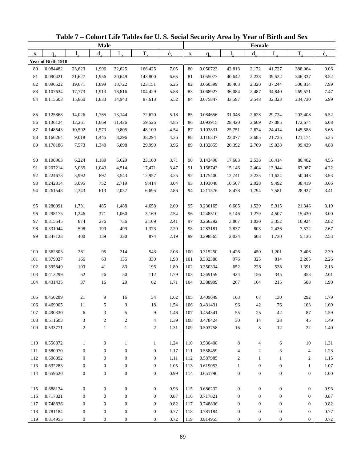|     |                    |                  | <b>Male</b>      |                  |                  |                          |             |          |                  | Female           |                  |                  |                          |
|-----|--------------------|------------------|------------------|------------------|------------------|--------------------------|-------------|----------|------------------|------------------|------------------|------------------|--------------------------|
| X   | $q_{x}$            | 1.               | $d_{\rm v}$      | L,               | $T_{x}$          | $\overset{\circ}{e}_{x}$ | $\mathbf X$ | $q_{x}$  | 1.               | $d_{x}$          | $L_{x}$          | $T_{x}$          | $\overset{\circ}{e}_{x}$ |
|     | Year of Birth 1910 |                  |                  |                  |                  |                          |             |          |                  |                  |                  |                  |                          |
| 80  | 0.084482           | 23,623           | 1,996            | 22,625           | 166,425          | 7.05                     | 80          | 0.050723 | 42,813           | 2,172            | 41,727           | 388,064          | 9.06                     |
| 81  | 0.090421           | 21,627           | 1,956            | 20,649           | 143,800          | 6.65                     | 81          | 0.055073 | 40,642           | 2,238            | 39,522           | 346,337          | 8.52                     |
| 82  | 0.096522           | 19,671           | 1,899            | 18,722           | 123,151          | 6.26                     | 82          | 0.060399 | 38,403           | 2,320            | 37,244           | 306,814          | 7.99                     |
| 83  | 0.107634           | 17,773           | 1,913            | 16,816           | 104,429          | 5.88                     | 83          | 0.068927 | 36,084           | 2,487            | 34,840           | 269,571          | 7.47                     |
| 84  | 0.115603           | 15,860           | 1,833            | 14,943           | 87,613           | 5.52                     | 84          | 0.075847 | 33,597           | 2,548            | 32,323           | 234,730          | 6.99                     |
|     |                    |                  |                  |                  |                  |                          |             |          |                  |                  |                  |                  |                          |
| 85  | 0.125868           | 14,026           | 1,765            | 13,144           | 72,670           | 5.18                     | 85          | 0.084656 | 31,048           | 2,628            | 29,734           | 202,408          | 6.52                     |
| 86  | 0.136124           | 12,261           | 1,669            | 11,426           | 59,526           | 4.85                     | 86          | 0.093915 | 28,420           | 2,669            | 27,085           | 172,674          | 6.08                     |
| 87  | 0.148543           | 10,592           | 1,573            | 9,805            | 48,100           | 4.54                     | 87          | 0.103831 | 25,751           | 2,674            | 24,414           | 145,588          | 5.65                     |
| 88  | 0.160264           | 9,018            | 1,445            | 8,296            | 38,294           | 4.25                     | 88          | 0.116337 | 23,077           | 2,685            | 21,735           | 121,174          | 5.25                     |
| 89  | 0.178186           | 7,573            | 1,349            | 6,898            | 29,999           | 3.96                     | 89          | 0.132855 | 20,392           | 2,709            | 19,038           | 99,439           | 4.88                     |
|     |                    |                  |                  |                  |                  |                          |             |          |                  |                  |                  |                  |                          |
| 90  | 0.190963           | 6,224            | 1,189            | 5,629            | 23,100           | 3.71                     | 90          | 0.143498 | 17,683           | 2,538            | 16,414           | 80,402           | 4.55                     |
| 91  | 0.207214           | 5,035            | 1,043            | 4,514            | 17,471           | 3.47                     | 91          | 0.158743 | 15,146           | 2,404            | 13,944           | 63,987           | 4.22                     |
| 92  | 0.224673           | 3,992            | 897              | 3,543            | 12,957           | 3.25                     | 92          | 0.175400 | 12,741           | 2,235            | 11,624           | 50,043           | 3.93                     |
| 93  | 0.242814           | 3,095            | 752              | 2,719            | 9,414            | 3.04                     | 93          | 0.193048 | 10,507           | 2,028            | 9,492            | 38,419           | 3.66                     |
| 94  | 0.261548           | 2,343            | 613              | 2,037            | 6,695            | 2.86                     | 94          | 0.211576 | 8,478            | 1,794            | 7,581            | 28,927           | 3.41                     |
|     |                    |                  |                  |                  |                  |                          |             |          |                  |                  |                  |                  |                          |
| 95  | 0.280091           | 1,731            | 485              | 1,488            | 4,658            | 2.69                     | 95          | 0.230165 | 6,685            | 1,539            | 5,915            | 21,346           | 3.19                     |
| 96  | 0.298175           | 1,246            | 371              | 1,060            | 3,169            | 2.54                     | 96          | 0.248510 | 5,146            | 1,279            | 4,507            | 15,430           | 3.00                     |
| 97  | 0.315545           | 874              | 276              | 736              | 2,109            | 2.41                     | 97          | 0.266292 | 3,867            | 1,030            | 3,352            | 10,924           | 2.82                     |
| 98  | 0.331944           | 598              | 199              | 499              | 1,373            | 2.29                     | 98          | 0.283181 | 2,837            | 803              | 2,436            | 7,572            | 2.67                     |
| 99  | 0.347123           | 400              | 139              | 330              | 874              | 2.19                     | 99          | 0.298865 | 2,034            | 608              | 1,730            | 5,136            | 2.53                     |
|     |                    |                  |                  |                  |                  |                          |             |          |                  |                  |                  |                  |                          |
| 100 | 0.362803           | 261              | 95               | 214              | 543              | 2.08                     | 100         | 0.315250 | 1,426            | 450              | 1,201            | 3,406            | 2.39                     |
| 101 | 0.379027           | 166              | 63               | 135              | 330              | 1.98                     | 101         | 0.332388 | 976              | 325              | 814              | 2,205            | 2.26                     |
| 102 | 0.395849           | 103              | 41               | 83               | 195              | 1.89                     | 102         | 0.350334 | 652              | 228              | 538              | 1,391            | 2.13                     |
| 103 | 0.413299           | 62               | 26               | 50               | 112              | 1.79                     | 103         | 0.369159 | 424              | 156              | 345              | 853              | 2.01                     |
| 104 | 0.431435           | 37               | 16               | 29               | 62               | 1.71                     | 104         | 0.388909 | 267              | 104              | 215              | 508              | 1.90                     |
|     |                    |                  |                  |                  |                  |                          |             |          |                  |                  |                  |                  |                          |
| 105 | 0.450289           | 21               | 9                | 16               | 34               | 1.62                     | 105         | 0.409649 | 163              | 67               | 130              | 292              | 1.79                     |
| 106 | 0.469905           | 11               | 5                | 9                | 18               | 1.54                     | 106         | 0.431431 | 96               | 42               | 76               | 163              | 1.69                     |
| 107 | 0.490330           | 6                | 3                | 5                | 9                | 1.46                     | 107         | 0.454341 | 55               | 25               | 42               | $87\,$           | 1.59                     |
| 108 | 0.511603           | 3                | $\boldsymbol{2}$ | $\sqrt{2}$       | $\overline{4}$   | 1.39                     | 108         | 0.478424 | 30               | 14               | 23               | 45               | 1.49                     |
| 109 | 0.533771           | $\mathbf{2}$     | $\mathbf{1}$     | $\mathbf{1}$     | $\overline{2}$   | 1.31                     | 109         | 0.503758 | 16               | $\,8\,$          | 12               | 22               | 1.40                     |
|     |                    |                  |                  |                  |                  |                          |             |          |                  |                  |                  |                  |                          |
| 110 | 0.556872           | $\mathbf{1}$     | $\boldsymbol{0}$ | $\mathbf{1}$     | $\mathbf{1}$     | 1.24                     | 110         | 0.530408 | 8                | 4                | 6                | 10               | 1.31                     |
| 111 | 0.580970           | $\boldsymbol{0}$ | $\boldsymbol{0}$ | $\boldsymbol{0}$ | $\boldsymbol{0}$ | 1.17                     | 111         | 0.558459 | $\overline{4}$   | $\overline{c}$   | 3                | $\overline{4}$   | 1.23                     |
| 112 | 0.606092           | $\boldsymbol{0}$ | $\boldsymbol{0}$ | $\boldsymbol{0}$ | $\boldsymbol{0}$ | 1.11                     | 112         | 0.587985 | $\boldsymbol{2}$ | $\mathbf{1}$     | 1                | $\overline{c}$   | 1.15                     |
| 113 | 0.632283           | $\boldsymbol{0}$ | $\boldsymbol{0}$ | $\boldsymbol{0}$ | $\boldsymbol{0}$ | 1.05                     | 113         | 0.619053 | $\mathbf{1}$     | $\boldsymbol{0}$ | $\boldsymbol{0}$ | $\mathbf{1}$     | 1.07                     |
| 114 | 0.659620           | $\boldsymbol{0}$ | $\boldsymbol{0}$ | $\boldsymbol{0}$ | $\boldsymbol{0}$ | 0.99                     | 114         | 0.651790 | $\boldsymbol{0}$ | $\boldsymbol{0}$ | $\boldsymbol{0}$ | $\boldsymbol{0}$ | 1.00                     |
|     |                    |                  |                  |                  |                  |                          |             |          |                  |                  |                  |                  |                          |
| 115 | 0.688134           | $\boldsymbol{0}$ | $\mathbf{0}$     | $\boldsymbol{0}$ | $\mathbf{0}$     | 0.93                     | 115         | 0.686232 | $\boldsymbol{0}$ | $\boldsymbol{0}$ | $\boldsymbol{0}$ | $\boldsymbol{0}$ | 0.93                     |
| 116 | 0.717821           | $\boldsymbol{0}$ | $\mathbf{0}$     | $\boldsymbol{0}$ | $\mathbf{0}$     | 0.87                     | 116         | 0.717821 | $\boldsymbol{0}$ | $\boldsymbol{0}$ | $\boldsymbol{0}$ | $\boldsymbol{0}$ | $0.87\,$                 |
| 117 | 0.748836           | $\boldsymbol{0}$ | $\mathbf{0}$     | $\boldsymbol{0}$ | $\boldsymbol{0}$ | 0.82                     | 117         | 0.748836 | $\boldsymbol{0}$ | $\boldsymbol{0}$ | $\boldsymbol{0}$ | $\boldsymbol{0}$ | 0.82                     |
| 118 | 0.781184           | $\boldsymbol{0}$ | $\boldsymbol{0}$ | $\boldsymbol{0}$ | $\boldsymbol{0}$ | 0.77                     | 118         | 0.781184 | $\boldsymbol{0}$ | $\boldsymbol{0}$ | $\boldsymbol{0}$ | $\boldsymbol{0}$ | 0.77                     |
| 119 | 0.814955           | $\boldsymbol{0}$ | $\boldsymbol{0}$ | 0                | $\boldsymbol{0}$ | 0.72                     | 119         | 0.814955 | $\boldsymbol{0}$ | $\boldsymbol{0}$ | $\boldsymbol{0}$ | $\boldsymbol{0}$ | 0.72                     |

**Table 7 – Cohort Life Tables for U. S. Social Security Area by Year of Birth and Sex**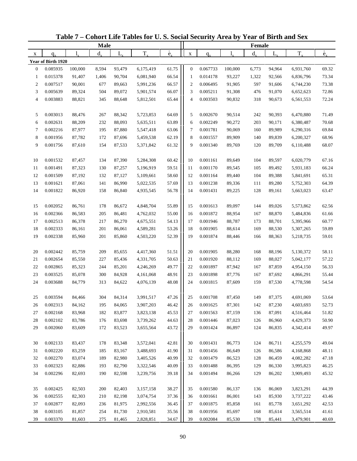|                          |                    |                  | <b>Male</b> |             |                        |                          |                |          |                  | Female  |         |           |                          |
|--------------------------|--------------------|------------------|-------------|-------------|------------------------|--------------------------|----------------|----------|------------------|---------|---------|-----------|--------------------------|
| X                        | $q_{\rm v}$        | $l_{\nu}$        | $d_{\rm v}$ | $L_{\rm x}$ | $T_{x}$                | $\overset{\circ}{e}_{x}$ | $\mathbf X$    | $q_{x}$  |                  | $d_{x}$ | $L_{x}$ | $T_{x}$   | $\overset{\circ}{e}_{x}$ |
|                          | Year of Birth 1920 |                  |             |             |                        |                          |                |          |                  |         |         |           |                          |
| $\boldsymbol{0}$         | 0.085935           | 100,000          | 8,594       | 93,479      | 6,175,419              | 61.75                    | $\mathbf{0}$   | 0.067733 | 100,000          | 6,773   | 94,964  | 6,931,760 | 69.32                    |
| 1                        | 0.015378           | 91,407           | 1,406       | 90,704      | 6,081,940              | 66.54                    | $\mathbf{1}$   | 0.014178 | 93,227           | 1,322   | 92,566  | 6,836,796 | 73.34                    |
| $\overline{c}$           | 0.007517           | 90,001           | 677         | 89,663      | 5,991,236              | 66.57                    | $\overline{c}$ | 0.006495 | 91,905           | 597     | 91,606  | 6,744,230 | 73.38                    |
| 3                        | 0.005639           | 89,324           | 504         | 89,072      | 5,901,574              | 66.07                    | 3              | 0.005211 | 91,308           | 476     | 91,070  | 6,652,623 | 72.86                    |
| $\overline{\mathcal{L}}$ | 0.003883           | 88,821           | 345         | 88,648      | 5,812,501              | 65.44                    | $\overline{4}$ | 0.003503 | 90,832           | 318     | 90,673  | 6,561,553 | 72.24                    |
|                          |                    |                  |             |             |                        |                          |                |          |                  |         |         |           |                          |
| 5                        | 0.003013           | 88,476           | 267         | 88,342      | 5,723,853              | 64.69                    | 5              | 0.002670 | 90,514           | 242     | 90,393  | 6,470,880 | 71.49                    |
| 6                        | 0.002631           | 88,209           | 232         | 88,093      | 5,635,511              | 63.89                    | 6              | 0.002249 | 90,272           | 203     | 90,171  | 6,380,487 | 70.68                    |
| 7                        | 0.002216           | 87,977           | 195         | 87,880      | 5,547,418              | 63.06                    | $\tau$         | 0.001781 | 90,069           | 160     | 89,989  | 6,290,316 | 69.84                    |
| 8                        | 0.001956           | 87,782           | 172         | 87,696      | 5,459,538              | 62.19                    | 8              | 0.001557 | 89,909           | 140     | 89,839  | 6,200,327 | 68.96                    |
| 9                        | 0.001756           | 87,610           | 154         | 87,533      | 5,371,842              | 61.32                    | 9              | 0.001340 | 89,769           | 120     | 89,709  | 6,110,488 | 68.07                    |
|                          |                    |                  |             |             |                        |                          |                |          |                  |         |         |           |                          |
| 10                       | 0.001532           | 87,457           | 134         | 87,390      | 5,284,308              | 60.42                    | 10             | 0.001161 | 89,649           | 104     | 89,597  | 6,020,779 | 67.16                    |
| 11                       | 0.001491           | 87,323           | 130         | 87,257      | 5,196,919              | 59.51                    | 11             | 0.001170 | 89,545           | 105     | 89,492  | 5,931,183 | 66.24                    |
| 12                       | 0.001509           | 87,192           | 132         | 87,127      | 5,109,661              | 58.60                    | 12             | 0.001164 | 89,440           | 104     | 89,388  | 5,841,691 | 65.31                    |
| 13                       | 0.001621           | 87,061           | 141         | 86,990      | 5,022,535              | 57.69                    | 13             | 0.001238 | 89,336           | 111     | 89,280  | 5,752,303 | 64.39                    |
| 14                       | 0.001822           | 86,920           | 158         | 86,840      | 4,935,545              | 56.78                    | 14             | 0.001431 | 89,225           | 128     | 89,161  | 5,663,023 | 63.47                    |
|                          |                    |                  |             |             |                        |                          |                |          |                  |         |         |           |                          |
| 15                       | 0.002052           | 86,761           | 178         | 86,672      | 4,848,704              | 55.89                    | 15             | 0.001613 | 89,097           | 144     | 89,026  | 5,573,862 | 62.56                    |
| 16                       | 0.002366           | 86,583           | 205         | 86,481      | 4,762,032              | 55.00                    | 16             | 0.001872 | 88,954           | 167     | 88,870  | 5,484,836 | 61.66                    |
| 17                       | 0.002513           | 86,378           | 217         | 86,270      | 4,675,551              | 54.13                    | 17             | 0.001946 | 88,787           | 173     | 88,701  | 5,395,966 | 60.77                    |
| 18                       | 0.002333           | 86,161           | 201         | 86,061      | 4,589,281              | 53.26                    | 18             | 0.001905 | 88,614           | 169     | 88,530  | 5,307,265 | 59.89                    |
| 19                       | 0.002338           | 85,960           | 201         | 85,860      | 4,503,220              | 52.39                    | 19             | 0.001874 | 88,446           | 166     | 88,363  | 5,218,735 | 59.01                    |
|                          |                    |                  |             |             |                        |                          |                |          |                  |         |         |           |                          |
| 20                       | 0.002442           | 85,759           | 209         | 85,655      | 4,417,360              | 51.51                    | 20             | 0.001905 | 88,280           | 168     | 88,196  | 5,130,372 | 58.11                    |
| 21                       | 0.002654           | 85,550           | 227         | 85,436      | 4,331,705              | 50.63                    | 21             | 0.001920 | 88,112           | 169     | 88,027  | 5,042,177 | 57.22                    |
| 22                       | 0.002865           | 85,323           | 244         | 85,201      | 4,246,269              | 49.77                    | 22             | 0.001897 | 87,942           | 167     | 87,859  | 4,954,150 | 56.33                    |
| 23                       | 0.003525           | 85,078           | 300         | 84,928      | 4,161,068              | 48.91                    | 23             | 0.001898 | 87,776           | 167     | 87,692  | 4,866,291 | 55.44                    |
| 24                       | 0.003688           | 84,779           | 313         | 84,622      | 4,076,139              | 48.08                    | 24             | 0.001815 | 87,609           | 159     | 87,530  | 4,778,598 | 54.54                    |
| 25                       | 0.003594           |                  |             | 84,314      |                        |                          | 25             | 0.001708 |                  | 149     | 87,375  | 4,691,069 | 53.64                    |
|                          | 0.002313           | 84,466<br>84,162 | 304<br>195  | 84,065      | 3,991,517<br>3,907,203 | 47.26<br>46.42           | 26             | 0.001625 | 87,450<br>87,301 | 142     | 87,230  | 4,603,693 | 52.73                    |
| 26<br>27                 | 0.002168           | 83,968           | 182         | 83,877      | 3,823,138              | 45.53                    | 27             | 0.001563 | 87,159           | 136     | 87,091  | 4,516,464 | 51.82                    |
| 28                       | 0.002102           | 83,786           | 176         | 83,698      | 3,739,262              | 44.63                    | 28             | 0.001446 | 87,023           | 126     | 86,960  | 4,429,373 | 50.90                    |
| 29                       | 0.002060           | 83,609           | 172         | 83,523      | 3,655,564              | 43.72                    | 29             | 0.001424 | 86,897           | 124     | 86,835  | 4,342,414 | 49.97                    |
|                          |                    |                  |             |             |                        |                          |                |          |                  |         |         |           |                          |
| 30                       | 0.002133           | 83,437           | 178         | 83,348      | 3,572,041              | 42.81                    | 30             | 0.001431 | 86,773           | 124     | 86,711  | 4,255,579 | 49.04                    |
| 31                       | 0.002220           | 83,259           | 185         | 83,167      | 3,488,693              | 41.90                    | 31             | 0.001456 | 86,649           | 126     | 86,586  | 4,168,868 | 48.11                    |
| 32                       | 0.002270           | 83,074           | 189         | 82,980      | 3,405,526              | 40.99                    | 32             | 0.001479 | 86,523           | 128     | 86,459  | 4,082,282 | 47.18                    |
| 33                       | 0.002323           | 82,886           | 193         | 82,790      | 3,322,546              | 40.09                    | 33             | 0.001488 | 86,395           | 129     | 86,330  | 3,995,823 | 46.25                    |
| 34                       | 0.002296           | 82,693           | 190         | 82,598      | 3,239,756              | 39.18                    | 34             | 0.001494 | 86,266           | 129     | 86,202  | 3,909,493 | 45.32                    |
|                          |                    |                  |             |             |                        |                          |                |          |                  |         |         |           |                          |
| 35                       | 0.002425           | 82,503           | 200         | 82,403      | 3,157,158              | 38.27                    | 35             | 0.001580 | 86,137           | 136     | 86,069  | 3,823,291 | 44.39                    |
| 36                       | 0.002555           | 82,303           | 210         | 82,198      | 3,074,754              | 37.36                    | 36             | 0.001661 | 86,001           | 143     | 85,930  | 3,737,222 | 43.46                    |
| 37                       | 0.002877           | 82,093           | 236         | 81,975      | 2,992,556              | 36.45                    | 37             | 0.001875 | 85,858           | 161     | 85,778  | 3,651,292 | 42.53                    |
| 38                       | 0.003105           | 81,857           | 254         | 81,730      | 2,910,581              | 35.56                    | 38             | 0.001956 | 85,697           | 168     | 85,614  | 3,565,514 | 41.61                    |
| 39                       | 0.003370           | 81,603           | 275         | 81,465      | 2,828,851              | 34.67                    | 39             | 0.002084 | 85,530           | 178     | 85,441  | 3,479,901 | 40.69                    |

**Table 7 – Cohort Life Tables for U. S. Social Security Area by Year of Birth and Sex**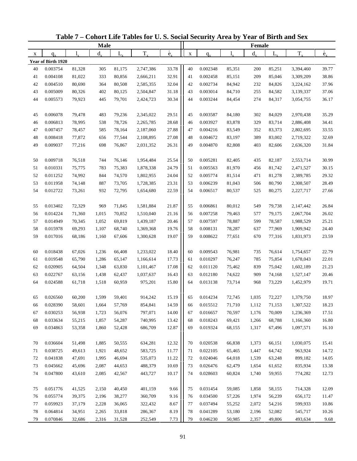|    |                    |           | <b>Male</b> |             |           |                          |             |          |        | Female  |         |           |                          |
|----|--------------------|-----------|-------------|-------------|-----------|--------------------------|-------------|----------|--------|---------|---------|-----------|--------------------------|
| X  | $q_{\rm v}$        | $l_{\nu}$ | $d_{x}$     | $L_{\rm x}$ | $T_{x}$   | $\overset{\circ}{e}_{x}$ | $\mathbf X$ | $q_{x}$  | 1,     | $d_{x}$ | $L_{x}$ | $T_{x}$   | $\overset{\circ}{e}_{x}$ |
|    | Year of Birth 1920 |           |             |             |           |                          |             |          |        |         |         |           |                          |
| 40 | 0.003754           | 81,328    | 305         | 81,175      | 2,747,386 | 33.78                    | 40          | 0.002348 | 85,351 | 200     | 85,251  | 3,394,460 | 39.77                    |
| 41 | 0.004108           | 81,022    | 333         | 80,856      | 2,666,211 | 32.91                    | 41          | 0.002458 | 85,151 | 209     | 85,046  | 3,309,209 | 38.86                    |
| 42 | 0.004510           | 80,690    | 364         | 80,508      | 2,585,355 | 32.04                    | 42          | 0.002734 | 84,942 | 232     | 84,826  | 3,224,162 | 37.96                    |
| 43 | 0.005009           | 80,326    | 402         | 80,125      | 2,504,847 | 31.18                    | 43          | 0.003014 | 84,710 | 255     | 84,582  | 3,139,337 | 37.06                    |
| 44 | 0.005573           | 79,923    | 445         | 79,701      | 2,424,723 | 30.34                    | 44          | 0.003244 | 84,454 | 274     | 84,317  | 3,054,755 | 36.17                    |
|    |                    |           |             |             |           |                          |             |          |        |         |         |           |                          |
| 45 | 0.006078           | 79,478    | 483         | 79,236      | 2,345,022 | 29.51                    | 45          | 0.003587 | 84,180 | 302     | 84,029  | 2,970,438 | 35.29                    |
| 46 | 0.006813           | 78,995    | 538         | 78,726      | 2,265,785 | 28.68                    | 46          | 0.003927 | 83,878 | 329     | 83,714  | 2,886,408 | 34.41                    |
| 47 | 0.007457           | 78,457    | 585         | 78,164      | 2,187,060 | 27.88                    | 47          | 0.004216 | 83,549 | 352     | 83,373  | 2,802,695 | 33.55                    |
| 48 | 0.008418           | 77,872    | 656         | 77,544      | 2,108,895 | 27.08                    | 48          | 0.004672 | 83,197 | 389     | 83,002  | 2,719,322 | 32.69                    |
| 49 | 0.009037           | 77,216    | 698         | 76,867      | 2,031,352 | 26.31                    | 49          | 0.004870 | 82,808 | 403     | 82,606  | 2,636,320 | 31.84                    |
|    |                    |           |             |             |           |                          |             |          |        |         |         |           |                          |
| 50 | 0.009718           | 76,518    | 744         | 76,146      | 1,954,484 | 25.54                    | 50          | 0.005281 | 82,405 | 435     | 82,187  | 2,553,714 | 30.99                    |
| 51 | 0.010331           | 75,775    | 783         | 75,383      | 1,878,338 | 24.79                    | 51          | 0.005563 | 81,970 | 456     | 81,742  | 2,471,527 | 30.15                    |
| 52 | 0.011252           | 74,992    | 844         | 74,570      | 1,802,955 | 24.04                    | 52          | 0.005774 | 81,514 | 471     | 81,278  | 2,389,785 | 29.32                    |
| 53 | 0.011958           | 74,148    | 887         | 73,705      | 1,728,385 | 23.31                    | 53          | 0.006239 | 81,043 | 506     | 80,790  | 2,308,507 | 28.49                    |
| 54 | 0.012722           | 73,261    | 932         | 72,795      | 1,654,680 | 22.59                    | 54          | 0.006517 | 80,537 | 525     | 80,275  | 2,227,717 | 27.66                    |
|    |                    |           |             |             |           |                          |             |          |        |         |         |           |                          |
| 55 | 0.013402           | 72,329    | 969         | 71,845      | 1,581,884 | 21.87                    | 55          | 0.006861 | 80,012 | 549     | 79,738  | 2,147,442 | 26.84                    |
| 56 | 0.014224           | 71,360    | 1,015       | 70,852      | 1,510,040 | 21.16                    | 56          | 0.007258 | 79,463 | 577     | 79,175  | 2,067,704 | 26.02                    |
| 57 | 0.014949           | 70,345    | 1,052       | 69,819      | 1,439,187 | 20.46                    | 57          | 0.007597 | 78,887 | 599     | 78,587  | 1,988,529 | 25.21                    |
| 58 | 0.015978           | 69,293    | 1,107       | 68,740      | 1,369,368 | 19.76                    | 58          | 0.008131 | 78,287 | 637     | 77,969  | 1,909,942 | 24.40                    |
| 59 | 0.017016           | 68,186    | 1,160       | 67,606      | 1,300,628 | 19.07                    | 59          | 0.008622 | 77,651 | 670     | 77,316  | 1,831,973 | 23.59                    |
|    |                    |           |             |             |           |                          |             |          |        |         |         |           |                          |
| 60 | 0.018438           | 67,026    | 1,236       | 66,408      | 1,233,022 | 18.40                    | 60          | 0.009543 | 76,981 | 735     | 76,614  | 1,754,657 | 22.79                    |
| 61 | 0.019548           | 65,790    | 1,286       | 65,147      | 1,166,614 | 17.73                    | 61          | 0.010297 | 76,247 | 785     | 75,854  | 1,678,043 | 22.01                    |
| 62 | 0.020905           | 64,504    | 1,348       | 63,830      | 1,101,467 | 17.08                    | 62          | 0.011120 | 75,462 | 839     | 75,042  | 1,602,189 | 21.23                    |
| 63 | 0.022767           | 63,156    | 1,438       | 62,437      | 1,037,637 | 16.43                    | 63          | 0.012180 | 74,622 | 909     | 74,168  | 1,527,147 | 20.46                    |
| 64 | 0.024588           | 61,718    | 1,518       | 60,959      | 975,201   | 15.80                    | 64          | 0.013138 | 73,714 | 968     | 73,229  | 1,452,979 | 19.71                    |
|    |                    |           |             |             |           |                          |             |          |        |         |         |           |                          |
| 65 | 0.026560           | 60,200    | 1,599       | 59,401      | 914,242   | 15.19                    | 65          | 0.014234 | 72,745 | 1,035   | 72,227  | 1,379,750 | 18.97                    |
| 66 | 0.028390           | 58,601    | 1,664       | 57,769      | 854,841   | 14.59                    | 66          | 0.015512 | 71,710 | 1,112   | 71,153  | 1,307,522 | 18.23                    |
| 67 | 0.030253           | 56,938    | 1,723       | 56,076      | 797,071   | 14.00                    | 67          | 0.016657 | 70,597 | 1,176   | 70,009  | 1,236,369 | 17.51                    |
| 68 | 0.033634           | 55,215    | 1,857       | 54,287      | 740,995   | 13.42                    | 68          | 0.018243 | 69,421 | 1,266   | 68,788  | 1,166,360 | 16.80                    |
| 69 | 0.034863           | 53,358    | 1,860       | 52,428      | 686,709   | 12.87                    | 69          | 0.019324 | 68,155 | 1,317   | 67,496  | 1,097,571 | 16.10                    |
|    |                    |           |             |             |           |                          |             |          |        |         |         |           |                          |
| 70 | 0.036604           | 51,498    | 1,885       | 50,555      | 634,281   | 12.32                    | 70          | 0.020538 | 66,838 | 1,373   | 66,151  | 1,030,075 | 15.41                    |
| 71 | 0.038725           | 49,613    | 1,921       | 48,652      | 583,725   | 11.77                    | 71          | 0.022105 | 65,465 | 1,447   | 64,742  | 963,924   | 14.72                    |
| 72 | 0.041838           | 47,691    | 1,995       | 46,694      | 535,073   | 11.22                    | 72          | 0.024046 | 64,018 | 1,539   | 63,248  | 899,182   | 14.05                    |
| 73 | 0.045662           | 45,696    | 2,087       | 44,653      | 488,379   | 10.69                    | 73          | 0.026476 | 62,479 | 1,654   | 61,652  | 835,934   | 13.38                    |
| 74 | 0.047800           | 43,610    | 2,085       | 42,567      | 443,727   | 10.17                    | 74          | 0.028603 | 60,824 | 1,740   | 59,955  | 774,282   | 12.73                    |
|    |                    |           |             |             |           |                          |             |          |        |         |         |           |                          |
| 75 | 0.051776           | 41,525    | 2,150       | 40,450      | 401,159   | 9.66                     | 75          | 0.031454 | 59,085 | 1,858   | 58,155  | 714,328   | 12.09                    |
| 76 | 0.055774           | 39,375    | 2,196       | 38,277      | 360,709   | 9.16                     | 76          | 0.034500 | 57,226 | 1,974   | 56,239  | 656,172   | 11.47                    |
| 77 | 0.059923           | 37,179    | 2,228       | 36,065      | 322,432   | 8.67                     | 77          | 0.037494 | 55,252 | 2,072   | 54,216  | 599,933   | 10.86                    |
| 78 | 0.064814           | 34,951    | 2,265       | 33,818      | 286,367   | 8.19                     | 78          | 0.041289 | 53,180 | 2,196   | 52,082  | 545,717   | 10.26                    |
| 79 | 0.070846           | 32,686    | 2,316       | 31,528      | 252,549   | 7.73                     | 79          | 0.046230 | 50,985 | 2,357   | 49,806  | 493,634   | 9.68                     |

**Table 7 – Cohort Life Tables for U. S. Social Security Area by Year of Birth and Sex**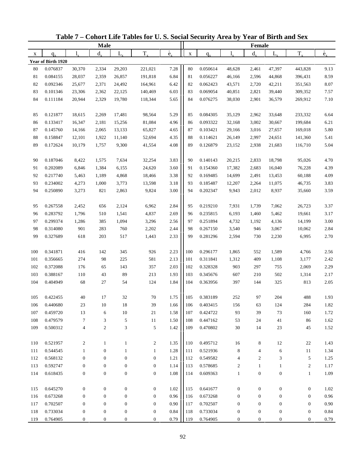|     |                    |                    | <b>Male</b>      |                  |                  |                          |             |          |                      | Female                   |                  |                  |                          |
|-----|--------------------|--------------------|------------------|------------------|------------------|--------------------------|-------------|----------|----------------------|--------------------------|------------------|------------------|--------------------------|
| X   | $q_{x}$            | $\mathbf{l}_{\nu}$ | $d_{x}$          | $L_{x}$          | $T_{x}$          | $\overset{\circ}{e}_{x}$ | $\mathbf X$ | $q_{x}$  | $\mathbf{l}_{\cdot}$ | $d_{x}$                  | $L_{x}$          | $T_{x}$          | $\overset{\circ}{e}_{x}$ |
|     | Year of Birth 1920 |                    |                  |                  |                  |                          |             |          |                      |                          |                  |                  |                          |
| 80  | 0.076837           | 30,370             | 2,334            | 29,203           | 221,021          | 7.28                     | 80          | 0.050614 | 48,628               | 2,461                    | 47,397           | 443,828          | 9.13                     |
| 81  | 0.084155           | 28,037             | 2,359            | 26,857           | 191,818          | 6.84                     | 81          | 0.056227 | 46,166               | 2,596                    | 44,868           | 396,431          | 8.59                     |
| 82  | 0.092346           | 25,677             | 2,371            | 24,492           | 164,961          | 6.42                     | 82          | 0.062423 | 43,571               | 2,720                    | 42,211           | 351,563          | 8.07                     |
| 83  | 0.101346           | 23,306             | 2,362            | 22,125           | 140,469          | 6.03                     | 83          | 0.069054 | 40,851               | 2,821                    | 39,440           | 309,352          | 7.57                     |
| 84  | 0.111184           | 20,944             | 2,329            | 19,780           | 118,344          | 5.65                     | 84          | 0.076275 | 38,030               | 2,901                    | 36,579           | 269,912          | 7.10                     |
|     |                    |                    |                  |                  |                  |                          |             |          |                      |                          |                  |                  |                          |
| 85  | 0.121877           | 18,615             | 2,269            | 17,481           | 98,564           | 5.29                     | 85          | 0.084305 | 35,129               | 2,962                    | 33,648           | 233,332          | 6.64                     |
| 86  | 0.133417           | 16,347             | 2,181            | 15,256           | 81,084           | 4.96                     | 86          | 0.093322 | 32,168               | 3,002                    | 30,667           | 199,684          | 6.21                     |
| 87  | 0.145760           | 14,166             | 2,065            | 13,133           | 65,827           | 4.65                     | 87          | 0.103421 | 29,166               | 3,016                    | 27,657           | 169,018          | 5.80                     |
| 88  | 0.158847           | 12,101             | 1,922            | 11,140           | 52,694           | 4.35                     | 88          | 0.114621 | 26,149               | 2,997                    | 24,651           | 141,360          | 5.41                     |
| 89  | 0.172624           | 10,179             | 1,757            | 9,300            | 41,554           | 4.08                     | 89          | 0.126879 | 23,152               | 2,938                    | 21,683           | 116,710          | 5.04                     |
|     |                    |                    |                  |                  |                  |                          |             |          |                      |                          |                  |                  |                          |
| 90  | 0.187046           | 8,422              | 1,575            | 7,634            | 32,254           | 3.83                     | 90          | 0.140143 | 20,215               | 2,833                    | 18,798           | 95,026           | 4.70                     |
| 91  | 0.202089           | 6,846              | 1,384            | 6,155            | 24,620           | 3.60                     | 91          | 0.154360 | 17,382               | 2,683                    | 16,040           | 76,228           | 4.39                     |
| 92  | 0.217740           | 5,463              | 1,189            | 4,868            | 18,466           | 3.38                     | 92          | 0.169485 | 14,699               | 2,491                    | 13,453           | 60,188           | 4.09                     |
| 93  | 0.234002           | 4,273              | 1,000            | 3,773            | 13,598           | 3.18                     | 93          | 0.185487 | 12,207               | 2,264                    | 11,075           | 46,735           | 3.83                     |
| 94  | 0.250890           | 3,273              | 821              | 2,863            | 9,824            | 3.00                     | 94          | 0.202347 | 9,943                | 2,012                    | 8,937            | 35,660           | 3.59                     |
|     |                    |                    |                  |                  |                  |                          |             |          |                      |                          |                  |                  |                          |
| 95  | 0.267558           | 2,452              | 656              | 2,124            | 6,962            | 2.84                     | 95          | 0.219210 | 7,931                | 1,739                    | 7,062            | 26,723           | 3.37                     |
| 96  | 0.283792           | 1,796              | 510              | 1,541            | 4,837            | 2.69                     | 96          | 0.235815 | 6,193                | 1,460                    | 5,462            | 19,661           | 3.17                     |
| 97  | 0.299374           | 1,286              | 385              | 1,094            | 3,296            | 2.56                     | 97          | 0.251894 | 4,732                | 1,192                    | 4,136            | 14,199           | 3.00                     |
| 98  | 0.314080           | 901                | 283              | 760              | 2,202            | 2.44                     | 98          | 0.267150 | 3,540                | 946                      | 3,067            | 10,062           | 2.84                     |
| 99  | 0.327689           | 618                | 203              | 517              | 1,443            | 2.33                     | 99          | 0.281296 | 2,594                | 730                      | 2,230            | 6,995            | 2.70                     |
|     |                    |                    |                  |                  |                  |                          |             |          |                      |                          |                  |                  |                          |
| 100 | 0.341871           | 416                | 142              | 345              | 926              | 2.23                     | 100         | 0.296177 | 1,865                | 552                      | 1,589            | 4,766            | 2.56                     |
| 101 | 0.356665           | 274                | 98               | 225              | 581              | 2.13                     | 101         | 0.311841 | 1,312                | 409                      | 1,108            | 3,177            | 2.42                     |
| 102 | 0.372088           | 176                | 65               | 143              | 357              | 2.03                     | 102         | 0.328328 | 903                  | 297                      | 755              | 2,069            | 2.29                     |
| 103 | 0.388167           | 110                | 43               | 89               | 213              | 1.93                     | 103         | 0.345676 | 607                  | 210                      | 502              | 1,314            | 2.17                     |
| 104 | 0.404949           | 68                 | $27\,$           | 54               | 124              | 1.84                     | 104         | 0.363956 | 397                  | 144                      | 325              | 813              | 2.05                     |
|     |                    |                    |                  |                  |                  |                          |             |          |                      |                          |                  |                  |                          |
| 105 | 0.422455           | 40                 | 17               | 32               | 70               | 1.75                     | 105         | 0.383189 | 252                  | 97                       | 204              | 488              | 1.93                     |
| 106 | 0.440680           | 23                 | 10               | 18               | 39               | 1.66                     | 106         | 0.403415 | 156                  | 63                       | 124              | 284              | 1.82                     |
| 107 | 0.459720           | 13                 | 6                | 10               | $21\,$           | 1.58                     | 107         | 0.424722 | 93                   | 39                       | 73               | 160              | 1.72                     |
| 108 | 0.479579           | $\tau$             | $\mathfrak{Z}$   | 5                | 11               | 1.50                     | 108         | 0.447162 | 53                   | 24                       | 41               | 86               | 1.62                     |
| 109 | 0.500312           | 4                  | $\sqrt{2}$       | 3                | $\sqrt{5}$       | 1.42                     | 109         | 0.470802 | 30                   | 14                       | 23               | 45               | 1.52                     |
|     |                    |                    |                  |                  |                  |                          |             |          |                      |                          |                  |                  |                          |
| 110 | 0.521957           | $\overline{c}$     | $\mathbf{1}$     | $\mathbf{1}$     | $\overline{c}$   | 1.35                     | 110         | 0.495712 | 16                   | 8                        | 12               | 22               | 1.43                     |
| 111 | 0.544545           | $\mathbf{1}$       | $\boldsymbol{0}$ | 1                | $\mathbf{1}$     | 1.28                     | 111         | 0.521936 | 8                    | $\overline{\mathcal{L}}$ | 6                | $11\,$           | 1.34                     |
| 112 | 0.568132           | $\boldsymbol{0}$   | $\boldsymbol{0}$ | $\boldsymbol{0}$ | $\boldsymbol{0}$ | 1.21                     | 112         | 0.549582 | $\overline{4}$       | $\overline{c}$           | 3                | 5                | 1.25                     |
| 113 | 0.592747           | $\boldsymbol{0}$   | $\boldsymbol{0}$ | $\boldsymbol{0}$ | $\boldsymbol{0}$ | 1.14                     | 113         | 0.578685 | $\overline{c}$       | $\mathbf{1}$             | $\mathbf{1}$     | $\sqrt{2}$       | 1.17                     |
| 114 | 0.618435           | $\boldsymbol{0}$   | $\boldsymbol{0}$ | $\boldsymbol{0}$ | $\boldsymbol{0}$ | 1.08                     | 114         | 0.609363 | $\mathbf{1}$         | $\boldsymbol{0}$         | $\boldsymbol{0}$ | $\mathbf{1}$     | 1.09                     |
|     |                    |                    |                  |                  |                  |                          |             |          |                      |                          |                  |                  |                          |
| 115 | 0.645270           | $\mathbf{0}$       | $\mathbf{0}$     | $\boldsymbol{0}$ | $\boldsymbol{0}$ | 1.02                     | 115         | 0.641677 | $\boldsymbol{0}$     | $\boldsymbol{0}$         | $\boldsymbol{0}$ | $\boldsymbol{0}$ | 1.02                     |
| 116 | 0.673268           | $\mathbf{0}$       | $\mathbf{0}$     | $\boldsymbol{0}$ | $\boldsymbol{0}$ | 0.96                     | 116         | 0.673268 | $\boldsymbol{0}$     | $\boldsymbol{0}$         | $\boldsymbol{0}$ | $\boldsymbol{0}$ | 0.96                     |
| 117 | 0.702507           | $\boldsymbol{0}$   | $\boldsymbol{0}$ | $\boldsymbol{0}$ | $\boldsymbol{0}$ | 0.90                     | 117         | 0.702507 | $\boldsymbol{0}$     | $\boldsymbol{0}$         | $\boldsymbol{0}$ | $\boldsymbol{0}$ | 0.90                     |
| 118 | 0.733034           | $\boldsymbol{0}$   | $\boldsymbol{0}$ | $\boldsymbol{0}$ | $\boldsymbol{0}$ | 0.84                     | 118         | 0.733034 | $\boldsymbol{0}$     | $\boldsymbol{0}$         | $\boldsymbol{0}$ | $\boldsymbol{0}$ | 0.84                     |
| 119 | 0.764905           | $\boldsymbol{0}$   | $\boldsymbol{0}$ | 0                | $\boldsymbol{0}$ | 0.79                     | 119         | 0.764905 | $\boldsymbol{0}$     | $\boldsymbol{0}$         | $\boldsymbol{0}$ | $\boldsymbol{0}$ | 0.79                     |

**Table 7 – Cohort Life Tables for U. S. Social Security Area by Year of Birth and Sex**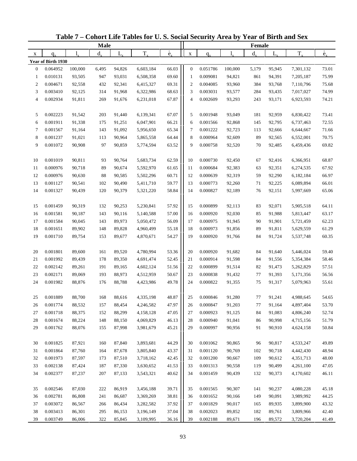|                  |                      |         | <b>Male</b> |        |           |                          |                |                      |         | Female      |         |           |                          |
|------------------|----------------------|---------|-------------|--------|-----------|--------------------------|----------------|----------------------|---------|-------------|---------|-----------|--------------------------|
| X                | $q_{x}$              | 1.      | $d_{\rm v}$ | L,     | $T_{x}$   | $\overset{\circ}{e}_{x}$ | $\mathbf X$    | $q_{x}$              |         | $d_{\rm v}$ | $L_{x}$ | $T_{x}$   | $\overset{\circ}{e}_{x}$ |
|                  | Year of Birth 1930   |         |             |        |           |                          |                |                      |         |             |         |           |                          |
| $\boldsymbol{0}$ | 0.064952             | 100,000 | 6,495       | 94,826 | 6,603,184 | 66.03                    | $\mathbf{0}$   | 0.051786             | 100,000 | 5,179       | 95,945  | 7,301,132 | 73.01                    |
| 1                | 0.010131             | 93,505  | 947         | 93,031 | 6,508,358 | 69.60                    | -1             | 0.009081             | 94,821  | 861         | 94,391  | 7,205,187 | 75.99                    |
| $\overline{c}$   | 0.004671             | 92,558  | 432         | 92,341 | 6,415,327 | 69.31                    | $\overline{c}$ | 0.004085             | 93,960  | 384         | 93,768  | 7,110,796 | 75.68                    |
| 3                | 0.003410             | 92,125  | 314         | 91,968 | 6,322,986 | 68.63                    | 3              | 0.003031             | 93,577  | 284         | 93,435  | 7,017,027 | 74.99                    |
| 4                | 0.002934             | 91,811  | 269         | 91,676 | 6,231,018 | 67.87                    | $\overline{4}$ | 0.002609             | 93,293  | 243         | 93,171  | 6,923,593 | 74.21                    |
|                  |                      |         |             |        |           |                          |                |                      |         |             |         |           |                          |
| 5                | 0.002223             | 91,542  | 203         | 91,440 | 6,139,341 | 67.07                    | 5              | 0.001948             | 93,049  | 181         | 92,959  | 6,830,422 | 73.41                    |
| 6                | 0.001911             | 91,338  | 175         | 91,251 | 6,047,901 | 66.21                    | 6              | 0.001566             | 92,868  | 145         | 92,795  | 6,737,463 | 72.55                    |
| 7                | 0.001567             | 91,164  | 143         | 91,092 | 5,956,650 | 65.34                    | $\tau$         | 0.001222             | 92,723  | 113         | 92,666  | 6,644,667 | 71.66                    |
| 8                | 0.001237             | 91,021  | 113         | 90,964 | 5,865,558 | 64.44                    | 8              | 0.000964             | 92,609  | 89          | 92,565  | 6,552,001 | 70.75                    |
| 9                | 0.001072             | 90,908  | 97          | 90,859 | 5,774,594 | 63.52                    | 9              | 0.000758             | 92,520  | 70          | 92,485  | 6,459,436 | 69.82                    |
| 10               | 0.001019             | 90,811  | 93          | 90,764 | 5,683,734 | 62.59                    | 10             | 0.000730             | 92,450  | 67          | 92,416  | 6,366,951 | 68.87                    |
| 11               | 0.000976             | 90,718  | 89          | 90,674 | 5,592,970 | 61.65                    | 11             | 0.000684             | 92,383  | 63          | 92,351  | 6,274,535 | 67.92                    |
| 12               | 0.000976             | 90,630  | 88          | 90,585 | 5,502,296 | 60.71                    | 12             | 0.000639             | 92,319  | 59          | 92,290  | 6,182,184 | 66.97                    |
| 13               | 0.001127             | 90,541  | 102         | 90,490 | 5,411,710 | 59.77                    | 13             | 0.000773             | 92,260  | 71          | 92,225  | 6,089,894 | 66.01                    |
| 14               | 0.001327             | 90,439  | 120         | 90,379 | 5,321,220 | 58.84                    | 14             | 0.000827             | 92,189  | 76          | 92,151  | 5,997,669 | 65.06                    |
|                  |                      |         |             |        |           |                          |                |                      |         |             |         |           |                          |
| 15               | 0.001459             | 90,319  | 132         | 90,253 | 5,230,841 | 57.92                    | 15             | 0.000899             | 92,113  | 83          | 92,071  | 5,905,518 | 64.11                    |
| 16               | 0.001581             | 90,187  | 143         | 90,116 | 5,140,588 | 57.00                    | 16             | 0.000920             | 92,030  | 85          | 91,988  | 5,813,447 | 63.17                    |
| 17               | 0.001584             | 90,045  | 143         | 89,973 | 5,050,472 | 56.09                    | 17             | 0.000975             | 91,945  | 90          | 91,901  | 5,721,459 | 62.23                    |
| 18               | 0.001651             | 89,902  | 148         | 89,828 | 4,960,499 | 55.18                    | 18             | 0.000973             | 91,856  | 89          | 91,811  | 5,629,559 | 61.29                    |
| 19               | 0.001710             | 89,754  | 153         | 89,677 | 4,870,671 | 54.27                    | 19             | 0.000920             | 91,766  | 84          | 91,724  | 5,537,748 | 60.35                    |
|                  |                      |         |             |        |           |                          |                |                      |         |             |         |           |                          |
| 20               | 0.001801             | 89,600  | 161         | 89,520 | 4,780,994 | 53.36                    | 20             | 0.000920             | 91,682  | 84          | 91,640  | 5,446,024 | 59.40                    |
| 21               | 0.001992             | 89,439  | 178         | 89,350 | 4,691,474 | 52.45                    | 21             | 0.000914             | 91,598  | 84          | 91,556  | 5,354,384 | 58.46                    |
| 22               | 0.002142             | 89,261  | 191         | 89,165 | 4,602,124 | 51.56                    | 22             | 0.000899             | 91,514  | 82          | 91,473  | 5,262,829 | 57.51                    |
| 23               | 0.002171             | 89,069  | 193         | 88,973 | 4,512,959 | 50.67                    | 23             | 0.000838             | 91,432  | 77          | 91,393  | 5,171,356 | 56.56                    |
| 24               | 0.001982             | 88,876  | 176         | 88,788 | 4,423,986 | 49.78                    | 24             | 0.000822             | 91,355  | 75          | 91,317  | 5,079,963 | 55.61                    |
|                  |                      |         |             |        |           |                          |                |                      |         |             |         |           |                          |
| 25               | 0.001889             | 88,700  | 168         | 88,616 | 4,335,198 | 48.87                    | 25             | 0.000846             | 91,280  | 77          | 91,241  | 4,988,645 | 54.65                    |
| 26               | 0.001774             | 88,532  | 157         | 88,454 | 4,246,582 | 47.97                    | 26             | 0.000847             | 91,203  | 77          | 91,164  | 4,897,404 | 53.70                    |
| 27               | 0.001718<br>0.001674 | 88,375  | 152         | 88,299 | 4,158,128 | 47.05                    | 27             | 0.000923             | 91,125  | 84          | 91,083  | 4,806,240 | 52.74                    |
| 28               |                      | 88,224  | 148         | 88,150 | 4,069,829 | 46.13                    | 28             | 0.000940<br>0.000997 | 91,041  | 86          | 90,998  | 4,715,156 | 51.79                    |
| 29               | 0.001762             | 88,076  | 155         | 87,998 | 3,981,679 | 45.21                    | 29             |                      | 90,956  | 91          | 90,910  | 4,624,158 | 50.84                    |
| 30               | 0.001825             | 87,921  | 160         | 87,840 | 3,893,681 | 44.29                    | 30             | 0.001062             | 90,865  | 96          | 90,817  | 4,533,247 | 49.89                    |
| 31               | 0.001864             | 87,760  | 164         | 87,678 | 3,805,840 | 43.37                    | 31             | 0.001120             | 90,769  | 102         | 90,718  | 4,442,430 | 48.94                    |
| 32               | 0.001973             | 87,597  | 173         | 87,510 | 3,718,162 | 42.45                    | 32             | 0.001200             | 90,667  | 109         | 90,612  | 4,351,713 | 48.00                    |
| 33               | 0.002138             | 87,424  | 187         | 87,330 | 3,630,652 | 41.53                    | 33             | 0.001313             | 90,558  | 119         | 90,499  | 4,261,100 | 47.05                    |
| 34               | 0.002377             | 87,237  | 207         | 87,133 | 3,543,321 | 40.62                    | 34             | 0.001459             | 90,439  | 132         | 90,373  | 4,170,602 | 46.11                    |
|                  |                      |         |             |        |           |                          |                |                      |         |             |         |           |                          |
| 35               | 0.002546             | 87,030  | 222         | 86,919 | 3,456,188 | 39.71                    | 35             | 0.001565             | 90,307  | 141         | 90,237  | 4,080,228 | 45.18                    |
| 36               | 0.002781             | 86,808  | 241         | 86,687 | 3,369,269 | 38.81                    | 36             | 0.001652             | 90,166  | 149         | 90,091  | 3,989,992 | 44.25                    |
| 37               | 0.003072             | 86,567  | 266         | 86,434 | 3,282,582 | 37.92                    | 37             | 0.001829             | 90,017  | 165         | 89,935  | 3,899,900 | 43.32                    |
| 38               | 0.003413             | 86,301  | 295         | 86,153 | 3,196,149 | 37.04                    | 38             | 0.002023             | 89,852  | 182         | 89,761  | 3,809,966 | 42.40                    |
| 39               | 0.003749             | 86,006  | 322         | 85,845 | 3,109,995 | 36.16                    | 39             | 0.002188             | 89,671  | 196         | 89,572  | 3,720,204 | 41.49                    |

**Table 7 – Cohort Life Tables for U. S. Social Security Area by Year of Birth and Sex**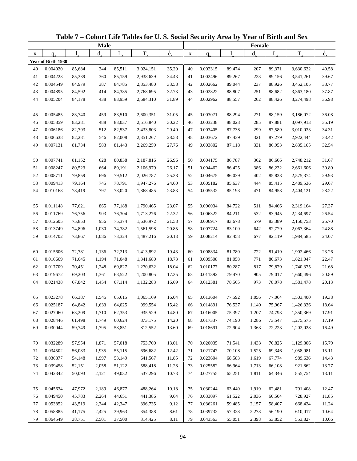|    |                    |        | <b>Male</b> |             |           |                          |             |          |        | Female  |         |           |                          |
|----|--------------------|--------|-------------|-------------|-----------|--------------------------|-------------|----------|--------|---------|---------|-----------|--------------------------|
| X  | $q_{\rm v}$        | 1.     | $d_{x}$     | $L_{\rm x}$ | $T_{x}$   | $\overset{\circ}{e}_{x}$ | $\mathbf X$ | $q_{x}$  | 1,     | $d_{x}$ | $L_{x}$ | $T_{x}$   | $\overset{\circ}{e}_{x}$ |
|    | Year of Birth 1930 |        |             |             |           |                          |             |          |        |         |         |           |                          |
| 40 | 0.004020           | 85,684 | 344         | 85,511      | 3,024,151 | 35.29                    | 40          | 0.002315 | 89,474 | 207     | 89,371  | 3,630,632 | 40.58                    |
| 41 | 0.004223           | 85,339 | 360         | 85,159      | 2,938,639 | 34.43                    | 41          | 0.002496 | 89,267 | 223     | 89,156  | 3,541,261 | 39.67                    |
| 42 | 0.004549           | 84,979 | 387         | 84,785      | 2,853,480 | 33.58                    | 42          | 0.002662 | 89,044 | 237     | 88,926  | 3,452,105 | 38.77                    |
| 43 | 0.004895           | 84,592 | 414         | 84,385      | 2,768,695 | 32.73                    | 43          | 0.002822 | 88,807 | 251     | 88,682  | 3,363,180 | 37.87                    |
| 44 | 0.005204           | 84,178 | 438         | 83,959      | 2,684,310 | 31.89                    | 44          | 0.002962 | 88,557 | 262     | 88,426  | 3,274,498 | 36.98                    |
|    |                    |        |             |             |           |                          |             |          |        |         |         |           |                          |
| 45 | 0.005485           | 83,740 | 459         | 83,510      | 2,600,351 | 31.05                    | 45          | 0.003071 | 88,294 | 271     | 88,159  | 3,186,072 | 36.08                    |
| 46 | 0.005859           | 83,281 | 488         | 83,037      | 2,516,840 | 30.22                    | 46          | 0.003238 | 88,023 | 285     | 87,881  | 3,097,913 | 35.19                    |
| 47 | 0.006186           | 82,793 | 512         | 82,537      | 2,433,803 | 29.40                    | 47          | 0.003405 | 87,738 | 299     | 87,589  | 3,010,033 | 34.31                    |
| 48 | 0.006638           | 82,281 | 546         | 82,008      | 2,351,267 | 28.58                    | 48          | 0.003672 | 87,439 | 321     | 87,279  | 2,922,444 | 33.42                    |
| 49 | 0.007131           | 81,734 | 583         | 81,443      | 2,269,259 | 27.76                    | 49          | 0.003802 | 87,118 | 331     | 86,953  | 2,835,165 | 32.54                    |
|    |                    |        |             |             |           |                          |             |          |        |         |         |           |                          |
| 50 | 0.007741           | 81,152 | 628         | 80,838      | 2,187,816 | 26.96                    | 50          | 0.004175 | 86,787 | 362     | 86,606  | 2,748,212 | 31.67                    |
| 51 | 0.008247           | 80,523 | 664         | 80,191      | 2,106,979 | 26.17                    | 51          | 0.004462 | 86,425 | 386     | 86,232  | 2,661,606 | 30.80                    |
| 52 | 0.008711           | 79,859 | 696         | 79,512      | 2,026,787 | 25.38                    | 52          | 0.004675 | 86,039 | 402     | 85,838  | 2,575,374 | 29.93                    |
| 53 | 0.009413           | 79,164 | 745         | 78,791      | 1,947,276 | 24.60                    | 53          | 0.005182 | 85,637 | 444     | 85,415  | 2,489,536 | 29.07                    |
| 54 | 0.010168           | 78,419 | 797         | 78,020      | 1,868,485 | 23.83                    | 54          | 0.005532 | 85,193 | 471     | 84,958  | 2,404,121 | 28.22                    |
|    |                    |        |             |             |           |                          |             |          |        |         |         |           |                          |
| 55 | 0.011148           | 77,621 | 865         | 77,188      | 1,790,465 | 23.07                    | 55          | 0.006034 | 84,722 | 511     | 84,466  | 2,319,164 | 27.37                    |
| 56 | 0.011769           | 76,756 | 903         | 76,304      | 1,713,276 | 22.32                    | 56          | 0.006322 | 84,211 | 532     | 83,945  | 2,234,697 | 26.54                    |
| 57 | 0.012605           | 75,853 | 956         | 75,374      | 1,636,972 | 21.58                    | 57          | 0.006917 | 83,678 | 579     | 83,389  | 2,150,753 | 25.70                    |
| 58 | 0.013749           | 74,896 | 1,030       | 74,382      | 1,561,598 | 20.85                    | 58          | 0.007724 | 83,100 | 642     | 82,779  | 2,067,364 | 24.88                    |
| 59 | 0.014702           | 73,867 | 1,086       | 73,324      | 1,487,216 | 20.13                    | 59          | 0.008214 | 82,458 | 677     | 82,119  | 1,984,585 | 24.07                    |
|    |                    |        |             |             |           |                          |             |          |        |         |         |           |                          |
| 60 | 0.015606           | 72,781 | 1,136       | 72,213      | 1,413,892 | 19.43                    | 60          | 0.008834 | 81,780 | 722     | 81,419  | 1,902,466 | 23.26                    |
| 61 | 0.016669           | 71,645 | 1,194       | 71,048      | 1,341,680 | 18.73                    | 61          | 0.009508 | 81,058 | 771     | 80,673  | 1,821,047 | 22.47                    |
| 62 | 0.017709           | 70,451 | 1,248       | 69,827      | 1,270,632 | 18.04                    | 62          | 0.010177 | 80,287 | 817     | 79,879  | 1,740,375 | 21.68                    |
| 63 | 0.019672           | 69,203 | 1,361       | 68,522      | 1,200,805 | 17.35                    | 63          | 0.011392 | 79,470 | 905     | 79,017  | 1,660,496 | 20.89                    |
| 64 | 0.021438           | 67,842 | 1,454       | 67,114      | 1,132,283 | 16.69                    | 64          | 0.012381 | 78,565 | 973     | 78,078  | 1,581,478 | 20.13                    |
|    |                    |        |             |             |           |                          |             |          |        |         |         |           |                          |
| 65 | 0.023278           | 66,387 | 1,545       | 65,615      | 1,065,169 | 16.04                    | 65          | 0.013604 | 77,592 | 1,056   | 77,064  | 1,503,400 | 19.38                    |
| 66 | 0.025187           | 64,842 | 1,633       | 64,025      | 999,554   | 15.42                    | 66          | 0.014891 | 76,537 | 1,140   | 75,967  | 1,426,336 | 18.64                    |
| 67 | 0.027060           | 63,209 | 1,710       | 62,353      | 935,529   | 14.80                    | 67          | 0.016005 | 75,397 | 1,207   | 74,793  | 1,350,369 | 17.91                    |
| 68 | 0.028446           | 61,498 | 1,749       | 60,624      | 873,175   | 14.20                    | 68          | 0.017337 | 74,190 | 1,286   | 73,547  | 1,275,575 | 17.19                    |
| 69 | 0.030044           | 59,749 | 1,795       | 58,851      | 812,552   | 13.60                    | 69          | 0.018691 | 72,904 | 1,363   | 72,223  | 1,202,028 | 16.49                    |
|    |                    |        |             |             |           |                          |             |          |        |         |         |           |                          |
| 70 | 0.032289           | 57,954 | 1,871       | 57,018      | 753,700   | 13.01                    | 70          | 0.020035 | 71,541 | 1,433   | 70,825  | 1,129,806 | 15.79                    |
| 71 | 0.034502           | 56,083 | 1,935       | 55,115      | 696,682   | 12.42                    | 71          | 0.021747 | 70,108 | 1,525   | 69,346  | 1,058,981 | 15.11                    |
| 72 | 0.036877           | 54,148 | 1,997       | 53,149      | 641,567   | 11.85                    | 72          | 0.023604 | 68,583 | 1,619   | 67,774  | 989,636   | 14.43                    |
| 73 | 0.039458           | 52,151 | 2,058       | 51,122      | 588,418   | 11.28                    | 73          | 0.025582 | 66,964 | 1,713   | 66,108  | 921,862   | 13.77                    |
| 74 | 0.042342           | 50,093 | 2,121       | 49,032      | 537,296   | 10.73                    | 74          | 0.027755 | 65,251 | 1,811   | 64,346  | 855,754   | 13.11                    |
|    |                    |        |             |             |           |                          |             |          |        |         |         |           |                          |
| 75 | 0.045634           | 47,972 | 2,189       | 46,877      | 488,264   | 10.18                    | 75          | 0.030244 | 63,440 | 1,919   | 62,481  | 791,408   | 12.47                    |
| 76 | 0.049450           | 45,783 | 2,264       | 44,651      | 441,386   | 9.64                     | 76          | 0.033097 | 61,522 | 2,036   | 60,504  | 728,927   | 11.85                    |
| 77 | 0.053852           | 43,519 | 2,344       | 42,347      | 396,735   | 9.12                     | 77          | 0.036261 | 59,485 | 2,157   | 58,407  | 668,424   | 11.24                    |
| 78 | 0.058885           | 41,175 | 2,425       | 39,963      | 354,388   | 8.61                     | 78          | 0.039732 | 57,328 | 2,278   | 56,190  | 610,017   | 10.64                    |
| 79 | 0.064549           | 38,751 | 2,501       | 37,500      | 314,425   | $8.11\,$                 | 79          | 0.043563 | 55,051 | 2,398   | 53,852  | 553,827   | 10.06                    |

**Table 7 – Cohort Life Tables for U. S. Social Security Area by Year of Birth and Sex**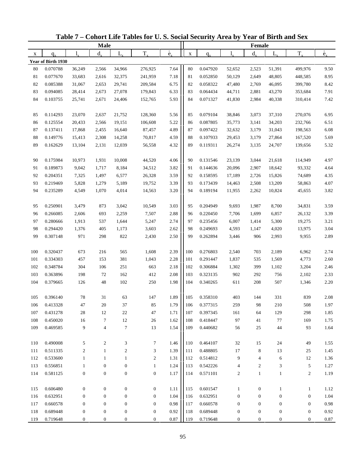|     |                    |                    | Male             |                  |                  |                          |             |          |                  | Female           |                  |                  |                          |
|-----|--------------------|--------------------|------------------|------------------|------------------|--------------------------|-------------|----------|------------------|------------------|------------------|------------------|--------------------------|
| X   | $q_{x}$            | $\mathbf{l}_{\nu}$ | $d_{x}$          | $L_{x}$          | $T_{x}$          | $\overset{\circ}{e}_{x}$ | $\mathbf X$ | $q_{x}$  | 1.               | $d_{x}$          | $L_{x}$          | $T_{x}$          | $\overset{\circ}{e}_{x}$ |
|     | Year of Birth 1930 |                    |                  |                  |                  |                          |             |          |                  |                  |                  |                  |                          |
| 80  | 0.070788           | 36,249             | 2,566            | 34,966           | 276,925          | 7.64                     | 80          | 0.047920 | 52,652           | 2,523            | 51,391           | 499,976          | 9.50                     |
| 81  | 0.077670           | 33,683             | 2,616            | 32,375           | 241,959          | 7.18                     | 81          | 0.052850 | 50,129           | 2,649            | 48,805           | 448,585          | 8.95                     |
| 82  | 0.085388           | 31,067             | 2,653            | 29,741           | 209,584          | 6.75                     | 82          | 0.058322 | 47,480           | 2,769            | 46,095           | 399,780          | 8.42                     |
| 83  | 0.094085           | 28,414             | 2,673            | 27,078           | 179,843          | 6.33                     | 83          | 0.064434 | 44,711           | 2,881            | 43,270           | 353,684          | 7.91                     |
| 84  | 0.103755           | 25,741             | 2,671            | 24,406           | 152,765          | 5.93                     | 84          | 0.071327 | 41,830           | 2,984            | 40,338           | 310,414          | 7.42                     |
|     |                    |                    |                  |                  |                  |                          |             |          |                  |                  |                  |                  |                          |
| 85  | 0.114293           | 23,070             | 2,637            | 21,752           | 128,360          | 5.56                     | 85          | 0.079104 | 38,846           | 3,073            | 37,310           | 270,076          | 6.95                     |
| 86  | 0.125554           | 20,433             | 2,566            | 19,151           | 106,608          | 5.22                     | 86          | 0.087805 | 35,773           | 3,141            | 34,203           | 232,766          | 6.51                     |
| 87  | 0.137411           | 17,868             | 2,455            | 16,640           | 87,457           | 4.89                     | 87          | 0.097422 | 32,632           | 3,179            | 31,043           | 198,563          | 6.08                     |
| 88  | 0.149776           | 15,413             | 2,308            | 14,258           | 70,817           | 4.59                     | 88          | 0.107933 | 29,453           | 3,179            | 27,864           | 167,520          | 5.69                     |
| 89  | 0.162629           | 13,104             | 2,131            | 12,039           | 56,558           | 4.32                     | 89          | 0.119311 | 26,274           | 3,135            | 24,707           | 139,656          | 5.32                     |
|     |                    |                    |                  |                  |                  |                          |             |          |                  |                  |                  |                  |                          |
| 90  | 0.175984           | 10,973             | 1,931            | 10,008           | 44,520           | 4.06                     | 90          | 0.131546 | 23,139           | 3,044            | 21,618           | 114,949          | 4.97                     |
| 91  | 0.189873           | 9,042              | 1,717            | 8,184            | 34,512           | 3.82                     | 91          | 0.144636 | 20,096           | 2,907            | 18,642           | 93,332           | 4.64                     |
| 92  | 0.204351           | 7,325              | 1,497            | 6,577            | 26,328           | 3.59                     | 92          | 0.158595 | 17,189           | 2,726            | 15,826           | 74,689           | 4.35                     |
| 93  | 0.219469           | 5,828              | 1,279            | 5,189            | 19,752           | 3.39                     | 93          | 0.173439 | 14,463           | 2,508            | 13,209           | 58,863           | 4.07                     |
| 94  | 0.235289           | 4,549              | 1,070            | 4,014            | 14,563           | 3.20                     | 94          | 0.189194 | 11,955           | 2,262            | 10,824           | 45,655           | 3.82                     |
|     |                    |                    |                  |                  |                  |                          |             |          |                  |                  |                  |                  |                          |
| 95  | 0.250901           | 3,479              | 873              | 3,042            | 10,549           | 3.03                     | 95          | 0.204949 | 9,693            | 1,987            | 8,700            | 34,831           | 3.59                     |
| 96  | 0.266085           | 2,606              | 693              | 2,259            | 7,507            | 2.88                     | 96          | 0.220450 | 7,706            | 1,699            | 6,857            | 26,132           | 3.39                     |
| 97  | 0.280666           | 1,913              | 537              | 1,644            | 5,247            | 2.74                     | 97          | 0.235456 | 6,007            | 1,414            | 5,300            | 19,275           | 3.21                     |
| 98  | 0.294420           | 1,376              | 405              | 1,173            | 3,603            | 2.62                     | 98          | 0.249693 | 4,593            | 1,147            | 4,020            | 13,975           | 3.04                     |
| 99  | 0.307148           | 971                | 298              | 822              | 2,430            | 2.50                     | 99          | 0.262894 | 3,446            | 906              | 2,993            | 9,955            | 2.89                     |
|     |                    |                    |                  |                  |                  |                          |             |          |                  |                  |                  |                  |                          |
| 100 | 0.320437           | 673                | 216              | 565              | 1,608            | 2.39                     | 100         | 0.276803 | 2,540            | 703              | 2,189            | 6,962            | 2.74                     |
| 101 | 0.334303           | 457                | 153              | 381              | 1,043            | 2.28                     | 101         | 0.291447 | 1,837            | 535              | 1,569            | 4,773            | 2.60                     |
| 102 | 0.348784           | 304                | 106              | 251              | 663              | 2.18                     | 102         | 0.306884 | 1,302            | 399              | 1,102            | 3,204            | 2.46                     |
| 103 | 0.363896           | 198                | 72               | 162              | 412              | 2.08                     | 103         | 0.323135 | 902              | 292              | 756              | 2,102            | 2.33                     |
| 104 | 0.379665           | 126                | 48               | 102              | 250              | 1.98                     | 104         | 0.340265 | 611              | 208              | 507              | 1,346            | 2.20                     |
|     |                    |                    |                  |                  |                  |                          |             |          |                  |                  |                  |                  |                          |
| 105 | 0.396140           | 78                 | 31               | 63               | 147              | 1.89                     | 105         | 0.358310 | 403              | 144              | 331              | 839              | 2.08                     |
| 106 | 0.413328           | 47                 | 20               | 37               | 85               | 1.79                     | 106         | 0.377315 | 259              | 98               | 210              | 508              | 1.97                     |
| 107 | 0.431278           | 28                 | 12               | $22\,$           | 47               | 1.71                     | 107         | 0.397345 | 161              | 64               | 129              | 298              | 1.85                     |
| 108 | 0.450020           | 16                 | $\tau$           | $12\,$           | 26               | 1.62                     | 108         | 0.418447 | 97               | 41               | 77               | 169              | 1.75                     |
| 109 | 0.469585           | 9                  | $\overline{4}$   | $\boldsymbol{7}$ | 13               | 1.54                     | 109         | 0.440682 | 56               | 25               | 44               | 93               | 1.64                     |
|     |                    |                    |                  |                  |                  |                          |             |          |                  |                  |                  |                  |                          |
| 110 | 0.490008           | 5                  | $\overline{c}$   | 3                | $\tau$           | 1.46                     | 110         | 0.464107 | 32               | 15               | 24               | 49               | 1.55                     |
| 111 | 0.511335           | $\overline{c}$     | $\mathbf{1}$     | $\overline{c}$   | 3                | 1.39                     | 111         | 0.488805 | 17               | 8                | 13               | 25               | 1.45                     |
| 112 | 0.533600           | $\mathbf{1}$       | $\mathbf{1}$     | $\mathbf{1}$     | $\overline{2}$   | 1.31                     | 112         | 0.514812 | 9                | $\overline{4}$   | 6                | 12               | 1.36                     |
| 113 | 0.556851           | $\mathbf{1}$       | $\boldsymbol{0}$ | $\boldsymbol{0}$ | $\mathbf{1}$     | 1.24                     | 113         | 0.542226 | $\overline{4}$   | $\sqrt{2}$       | 3                | 5                | 1.27                     |
| 114 | 0.581125           | $\boldsymbol{0}$   | $\boldsymbol{0}$ | $\boldsymbol{0}$ | $\boldsymbol{0}$ | 1.17                     | 114         | 0.571101 | $\overline{c}$   | $\mathbf{1}$     | $\mathbf{1}$     | $\boldsymbol{2}$ | 1.19                     |
|     |                    |                    |                  |                  |                  |                          |             |          |                  |                  |                  |                  |                          |
| 115 | 0.606480           | $\mathbf{0}$       | $\boldsymbol{0}$ | $\boldsymbol{0}$ | $\boldsymbol{0}$ | 1.11                     | 115         | 0.601547 | $\mathbf{1}$     | $\boldsymbol{0}$ | $\mathbf{1}$     | $\mathbf{1}$     | 1.12                     |
| 116 | 0.632951           | $\mathbf{0}$       | $\mathbf{0}$     | $\boldsymbol{0}$ | $\boldsymbol{0}$ | 1.04                     | 116         | 0.632951 | $\boldsymbol{0}$ | $\boldsymbol{0}$ | $\boldsymbol{0}$ | $\boldsymbol{0}$ | 1.04                     |
| 117 | 0.660578           | $\boldsymbol{0}$   | $\boldsymbol{0}$ | $\boldsymbol{0}$ | $\boldsymbol{0}$ | 0.98                     | 117         | 0.660578 | $\boldsymbol{0}$ | $\boldsymbol{0}$ | $\boldsymbol{0}$ | $\boldsymbol{0}$ | 0.98                     |
| 118 | 0.689448           | $\boldsymbol{0}$   | $\boldsymbol{0}$ | $\boldsymbol{0}$ | $\boldsymbol{0}$ | 0.92                     | 118         | 0.689448 | $\boldsymbol{0}$ | $\boldsymbol{0}$ | $\boldsymbol{0}$ | $\boldsymbol{0}$ | 0.92                     |
| 119 | 0.719648           | 0                  | $\boldsymbol{0}$ | 0                | $\boldsymbol{0}$ | 0.87                     | 119         | 0.719648 | $\boldsymbol{0}$ | $\boldsymbol{0}$ | $\boldsymbol{0}$ | $\boldsymbol{0}$ | $0.87\,$                 |

**Table 7 – Cohort Life Tables for U. S. Social Security Area by Year of Birth and Sex**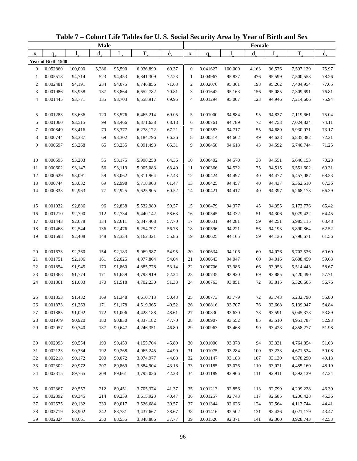|                  |                    |         | <b>Male</b> |        |           |                          |                |          |         | Female      |         |           |                          |
|------------------|--------------------|---------|-------------|--------|-----------|--------------------------|----------------|----------|---------|-------------|---------|-----------|--------------------------|
| X                | $q_{x}$            | 1.      | $d_{\rm v}$ | L,     | $T_{x}$   | $\overset{\circ}{e}_{x}$ | $\mathbf X$    | $q_{x}$  |         | $d_{\rm v}$ | $L_{x}$ | $T_{x}$   | $\overset{\circ}{e}_{x}$ |
|                  | Year of Birth 1940 |         |             |        |           |                          |                |          |         |             |         |           |                          |
| $\boldsymbol{0}$ | 0.052860           | 100,000 | 5,286       | 95,590 | 6,936,899 | 69.37                    | $\mathbf{0}$   | 0.041627 | 100,000 | 4,163       | 96,576  | 7,597,129 | 75.97                    |
| 1                | 0.005518           | 94,714  | 523         | 94,453 | 6,841,309 | 72.23                    | -1             | 0.004967 | 95,837  | 476         | 95,599  | 7,500,553 | 78.26                    |
| $\overline{c}$   | 0.002481           | 94,191  | 234         | 94,075 | 6,746,856 | 71.63                    | $\overline{c}$ | 0.002076 | 95,361  | 198         | 95,262  | 7,404,954 | 77.65                    |
| 3                | 0.001986           | 93,958  | 187         | 93,864 | 6,652,782 | 70.81                    | 3              | 0.001642 | 95,163  | 156         | 95,085  | 7,309,691 | 76.81                    |
| 4                | 0.001445           | 93,771  | 135         | 93,703 | 6,558,917 | 69.95                    | $\overline{4}$ | 0.001294 | 95,007  | 123         | 94,946  | 7,214,606 | 75.94                    |
| 5                | 0.001283           | 93,636  | 120         | 93,576 | 6,465,214 | 69.05                    | 5              | 0.001000 | 94,884  | 95          | 94,837  | 7,119,661 | 75.04                    |
| 6                | 0.001060           | 93,515  | 99          | 93,466 | 6,371,638 | 68.13                    | 6              | 0.000761 | 94,789  | 72          | 94,753  | 7,024,824 | 74.11                    |
| 7                | 0.000849           | 93,416  | 79          | 93,377 | 6,278,172 | 67.21                    | $\tau$         | 0.000583 | 94,717  | 55          | 94,689  | 6,930,071 | 73.17                    |
| 8                | 0.000744           | 93,337  | 69          | 93,302 | 6,184,796 | 66.26                    | 8              | 0.000514 | 94,662  | 49          | 94,638  | 6,835,382 | 72.21                    |
| 9                | 0.000697           | 93,268  | 65          | 93,235 | 6,091,493 | 65.31                    | 9              | 0.000458 | 94,613  | 43          | 94,592  | 6,740,744 | 71.25                    |
| 10               | 0.000595           | 93,203  | 55          | 93,175 | 5,998,258 | 64.36                    | 10             | 0.000402 | 94,570  | 38          | 94,551  | 6,646,153 | 70.28                    |
| 11               | 0.000602           | 93,147  | 56          | 93,119 | 5,905,083 | 63.40                    | 11             | 0.000366 | 94,532  | 35          | 94,515  | 6,551,602 | 69.31                    |
| 12               | 0.000629           | 93,091  | 59          | 93,062 | 5,811,964 | 62.43                    | 12             | 0.000424 | 94,497  | 40          | 94,477  | 6,457,087 | 68.33                    |
| 13               | 0.000744           | 93,032  | 69          | 92,998 | 5,718,903 | 61.47                    | 13             | 0.000425 | 94,457  | 40          | 94,437  | 6,362,610 | 67.36                    |
| 14               | 0.000833           | 92,963  | 77          | 92,925 | 5,625,905 | 60.52                    | 14             | 0.000421 | 94,417  | 40          | 94,397  | 6,268,173 | 66.39                    |
|                  |                    |         |             |        |           |                          |                |          |         |             |         |           |                          |
| 15               | 0.001032           | 92,886  | 96          | 92,838 | 5,532,980 | 59.57                    | 15             | 0.000479 | 94,377  | 45          | 94,355  | 6,173,776 | 65.42                    |
| 16               | 0.001210           | 92,790  | 112         | 92,734 | 5,440,142 | 58.63                    | 16             | 0.000545 | 94,332  | 51          | 94,306  | 6,079,422 | 64.45                    |
| 17               | 0.001443           | 92,678  | 134         | 92,611 | 5,347,408 | 57.70                    | 17             | 0.000631 | 94,281  | 59          | 94,251  | 5,985,115 | 63.48                    |
| 18               | 0.001468           | 92,544  | 136         | 92,476 | 5,254,797 | 56.78                    | 18             | 0.000596 | 94,221  | 56          | 94,193  | 5,890,864 | 62.52                    |
| 19               | 0.001598           | 92,408  | 148         | 92,334 | 5,162,321 | 55.86                    | 19             | 0.000625 | 94,165  | 59          | 94,136  | 5,796,671 | 61.56                    |
| 20               | 0.001673           | 92,260  | 154         | 92,183 | 5,069,987 | 54.95                    | 20             | 0.000634 | 94,106  | 60          | 94,076  | 5,702,536 | 60.60                    |
| 21               | 0.001751           | 92,106  | 161         | 92,025 | 4,977,804 | 54.04                    | 21             | 0.000643 | 94,047  | 60          | 94,016  | 5,608,459 | 59.63                    |
| 22               | 0.001854           | 91,945  | 170         | 91,860 | 4,885,778 | 53.14                    | 22             | 0.000706 | 93,986  | 66          | 93,953  | 5,514,443 | 58.67                    |
| 23               | 0.001868           | 91,774  | 171         | 91,689 | 4,793,919 | 52.24                    | 23             | 0.000735 | 93,920  | 69          | 93,885  | 5,420,490 | 57.71                    |
| 24               | 0.001861           | 91,603  | 170         | 91,518 | 4,702,230 | 51.33                    | 24             | 0.000763 | 93,851  | 72          | 93,815  | 5,326,605 | 56.76                    |
| 25               | 0.001853           | 91,432  | 169         | 91,348 | 4,610,713 | 50.43                    | 25             | 0.000773 | 93,779  | 72          | 93,743  | 5,232,790 | 55.80                    |
| 26               | 0.001873           | 91,263  | 171         | 91,178 | 4,519,365 | 49.52                    | 26             | 0.000816 | 93,707  | 76          | 93,668  | 5,139,047 | 54.84                    |
| 27               | 0.001885           | 91,092  | 172         | 91,006 | 4,428,188 | 48.61                    | 27             | 0.000830 | 93,630  | 78          | 93,591  | 5,045,378 | 53.89                    |
| 28               | 0.001979           | 90,920  | 180         | 90,830 | 4,337,182 | 47.70                    | 28             | 0.000907 | 93,552  | 85          | 93,510  | 4,951,787 | 52.93                    |
| 29               | 0.002057           | 90,740  | 187         | 90,647 | 4,246,351 | 46.80                    | 29             | 0.000963 | 93,468  | $90\,$      | 93,423  | 4,858,277 | 51.98                    |
| 30               | 0.002093           | 90,554  | 190         | 90,459 | 4,155,704 | 45.89                    | 30             | 0.001006 | 93,378  | 94          | 93,331  | 4,764,854 | 51.03                    |
| 31               | 0.002123           | 90,364  | 192         | 90,268 | 4,065,245 | 44.99                    | 31             | 0.001075 | 93,284  | 100         | 93,233  | 4,671,524 | 50.08                    |
| 32               | 0.002218           | 90,172  | 200         | 90,072 | 3,974,977 | 44.08                    | 32             | 0.001147 | 93,183  | 107         | 93,130  | 4,578,290 | 49.13                    |
| 33               | 0.002302           | 89,972  | 207         | 89,869 | 3,884,904 | 43.18                    | 33             | 0.001185 | 93,076  | 110         | 93,021  | 4,485,160 | 48.19                    |
| 34               | 0.002315           | 89,765  | 208         | 89,661 | 3,795,036 | 42.28                    | 34             | 0.001189 | 92,966  | 111         | 92,911  | 4,392,139 | 47.24                    |
|                  |                    |         |             |        |           |                          |                |          |         |             |         |           |                          |
| 35               | 0.002367           | 89,557  | 212         | 89,451 | 3,705,374 | 41.37                    | 35             | 0.001213 | 92,856  | 113         | 92,799  | 4,299,228 | 46.30                    |
| 36               | 0.002392           | 89,345  | 214         | 89,239 | 3,615,923 | 40.47                    | 36             | 0.001257 | 92,743  | 117         | 92,685  | 4,206,428 | 45.36                    |
| 37               | 0.002575           | 89,132  | 230         | 89,017 | 3,526,684 | 39.57                    | 37             | 0.001344 | 92,626  | 124         | 92,564  | 4,113,744 | 44.41                    |
| 38               | 0.002719           | 88,902  | 242         | 88,781 | 3,437,667 | 38.67                    | 38             | 0.001416 | 92,502  | 131         | 92,436  | 4,021,179 | 43.47                    |
| 39               | 0.002824           | 88,661  | 250         | 88,535 | 3,348,886 | 37.77                    | 39             | 0.001526 | 92,371  | 141         | 92,300  | 3,928,743 | 42.53                    |

**Table 7 – Cohort Life Tables for U. S. Social Security Area by Year of Birth and Sex**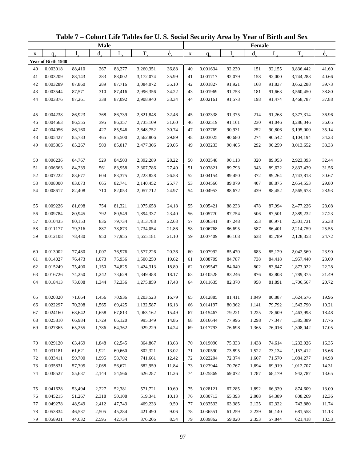|    |                    |           | <b>Male</b> |             |           |                          |             |          |        | Female  |         |           |                          |
|----|--------------------|-----------|-------------|-------------|-----------|--------------------------|-------------|----------|--------|---------|---------|-----------|--------------------------|
| X  | $q_{\rm v}$        | $l_{\nu}$ | $d_{x}$     | $L_{\rm x}$ | $T_{x}$   | $\overset{\circ}{e}_{x}$ | $\mathbf X$ | $q_{x}$  | 1.     | $d_{x}$ | $L_{x}$ | $T_{x}$   | $\overset{\circ}{e}_{x}$ |
|    | Year of Birth 1940 |           |             |             |           |                          |             |          |        |         |         |           |                          |
| 40 | 0.003018           | 88,410    | 267         | 88,277      | 3,260,351 | 36.88                    | 40          | 0.001634 | 92,230 | 151     | 92,155  | 3,836,442 | 41.60                    |
| 41 | 0.003209           | 88,143    | 283         | 88,002      | 3,172,074 | 35.99                    | 41          | 0.001717 | 92,079 | 158     | 92,000  | 3,744,288 | 40.66                    |
| 42 | 0.003289           | 87,860    | 289         | 87,716      | 3,084,072 | 35.10                    | 42          | 0.001827 | 91,921 | 168     | 91,837  | 3,652,288 | 39.73                    |
| 43 | 0.003544           | 87,571    | 310         | 87,416      | 2,996,356 | 34.22                    | 43          | 0.001969 | 91,753 | 181     | 91,663  | 3,560,450 | 38.80                    |
| 44 | 0.003876           | 87,261    | 338         | 87,092      | 2,908,940 | 33.34                    | 44          | 0.002161 | 91,573 | 198     | 91,474  | 3,468,787 | 37.88                    |
|    |                    |           |             |             |           |                          |             |          |        |         |         |           |                          |
| 45 | 0.004238           | 86,923    | 368         | 86,739      | 2,821,848 | 32.46                    | 45          | 0.002338 | 91,375 | 214     | 91,268  | 3,377,314 | 36.96                    |
| 46 | 0.004563           | 86,555    | 395         | 86,357      | 2,735,109 | 31.60                    | 46          | 0.002519 | 91,161 | 230     | 91,046  | 3,286,046 | 36.05                    |
| 47 | 0.004956           | 86,160    | 427         | 85,946      | 2,648,752 | 30.74                    | 47          | 0.002769 | 90,931 | 252     | 90,806  | 3,195,000 | 35.14                    |
| 48 | 0.005427           | 85,733    | 465         | 85,500      | 2,562,806 | 29.89                    | 48          | 0.003025 | 90,680 | 274     | 90,542  | 3,104,194 | 34.23                    |
| 49 | 0.005865           | 85,267    | 500         | 85,017      | 2,477,306 | 29.05                    | 49          | 0.003233 | 90,405 | 292     | 90,259  | 3,013,652 | 33.33                    |
|    |                    |           |             |             |           |                          |             |          |        |         |         |           |                          |
| 50 | 0.006236           | 84,767    | 529         | 84,503      | 2,392,289 | 28.22                    | 50          | 0.003548 | 90,113 | 320     | 89,953  | 2,923,393 | 32.44                    |
| 51 | 0.006663           | 84,239    | 561         | 83,958      | 2,307,786 | 27.40                    | 51          | 0.003821 | 89,793 | 343     | 89,622  | 2,833,439 | 31.56                    |
| 52 | 0.007222           | 83,677    | 604         | 83,375      | 2,223,828 | 26.58                    | 52          | 0.004154 | 89,450 | 372     | 89,264  | 2,743,818 | 30.67                    |
| 53 | 0.008000           | 83,073    | 665         | 82,741      | 2,140,452 | 25.77                    | 53          | 0.004566 | 89,079 | 407     | 88,875  | 2,654,553 | 29.80                    |
| 54 | 0.008617           | 82,408    | 710         | 82,053      | 2,057,712 | 24.97                    | 54          | 0.004953 | 88,672 | 439     | 88,452  | 2,565,678 | 28.93                    |
|    |                    |           |             |             |           |                          |             |          |        |         |         |           |                          |
| 55 | 0.009226           | 81,698    | 754         | 81,321      | 1,975,658 | 24.18                    | 55          | 0.005421 | 88,233 | 478     | 87,994  | 2,477,226 | 28.08                    |
| 56 | 0.009784           | 80,945    | 792         | 80,549      | 1,894,337 | 23.40                    | 56          | 0.005770 | 87,754 | 506     | 87,501  | 2,389,232 | 27.23                    |
| 57 | 0.010435           | 80,153    | 836         | 79,734      | 1,813,788 | 22.63                    | 57          | 0.006341 | 87,248 | 553     | 86,971  | 2,301,731 | 26.38                    |
| 58 | 0.011177           | 79,316    | 887         | 78,873      | 1,734,054 | 21.86                    | 58          | 0.006768 | 86,695 | 587     | 86,401  | 2,214,759 | 25.55                    |
| 59 | 0.012108           | 78,430    | 950         | 77,955      | 1,655,181 | 21.10                    | 59          | 0.007409 | 86,108 | 638     | 85,789  | 2,128,358 | 24.72                    |
|    |                    |           |             |             |           |                          |             |          |        |         |         |           |                          |
| 60 | 0.013002           | 77,480    | 1,007       | 76,976      | 1,577,226 | 20.36                    | 60          | 0.007992 | 85,470 | 683     | 85,129  | 2,042,569 | 23.90                    |
| 61 | 0.014027           | 76,473    | 1,073       | 75,936      | 1,500,250 | 19.62                    | 61          | 0.008709 | 84,787 | 738     | 84,418  | 1,957,440 | 23.09                    |
| 62 | 0.015249           | 75,400    | 1,150       | 74,825      | 1,424,313 | 18.89                    | 62          | 0.009547 | 84,049 | 802     | 83,647  | 1,873,022 | 22.28                    |
| 63 | 0.016726           | 74,250    | 1,242       | 73,629      | 1,349,488 | 18.17                    | 63          | 0.010528 | 83,246 | 876     | 82,808  | 1,789,375 | 21.49                    |
| 64 | 0.018413           | 73,008    | 1,344       | 72,336      | 1,275,859 | 17.48                    | 64          | 0.011635 | 82,370 | 958     | 81,891  | 1,706,567 | 20.72                    |
|    |                    |           |             |             |           |                          |             |          |        |         |         |           |                          |
| 65 | 0.020320           | 71,664    | 1,456       | 70,936      | 1,203,523 | 16.79                    | 65          | 0.012885 | 81,411 | 1,049   | 80,887  | 1,624,676 | 19.96                    |
| 66 | 0.022297           | 70,208    | 1,565       | 69,425      | 1,132,587 | 16.13                    | 66          | 0.014197 | 80,362 | 1,141   | 79,792  | 1,543,790 | 19.21                    |
| 67 | 0.024160           | 68,642    | 1,658       | 67,813      | 1,063,162 | 15.49                    | 67          | 0.015467 | 79,221 | 1,225   | 78,609  | 1,463,998 | 18.48                    |
| 68 | 0.025810           | 66,984    | 1,729       | 66,120      | 995,349   | 14.86                    | 68          | 0.016644 | 77,996 | 1,298   | 77,347  | 1,385,389 | 17.76                    |
| 69 | 0.027365           | 65,255    | 1,786       | 64,362      | 929,229   | 14.24                    | 69          | 0.017793 | 76,698 | 1,365   | 76,016  | 1,308,042 | 17.05                    |
|    |                    |           |             |             |           |                          |             |          |        |         |         |           |                          |
| 70 | 0.029120           | 63,469    | 1,848       | 62,545      | 864,867   | 13.63                    | 70          | 0.019090 | 75,333 | 1,438   | 74,614  | 1,232,026 | 16.35                    |
| 71 | 0.031181           | 61,621    | 1,921       | 60,660      | 802,321   | 13.02                    | 71          | 0.020590 | 73,895 | 1,522   | 73,134  | 1,157,412 | 15.66                    |
| 72 | 0.033411           | 59,700    | 1,995       | 58,702      | 741,661   | 12.42                    | 72          | 0.022204 | 72,374 | 1,607   | 71,570  | 1,084,277 | 14.98                    |
| 73 | 0.035831           | 57,705    | 2,068       | 56,671      | 682,959   | 11.84                    | 73          | 0.023944 | 70,767 | 1,694   | 69,919  | 1,012,707 | 14.31                    |
| 74 | 0.038527           | 55,637    | 2,144       | 54,566      | 626,287   | 11.26                    | 74          | 0.025869 | 69,072 | 1,787   | 68,179  | 942,787   | 13.65                    |
|    |                    |           |             |             |           |                          |             |          |        |         |         |           |                          |
| 75 | 0.041628           | 53,494    | 2,227       | 52,381      | 571,721   | 10.69                    | 75          | 0.028121 | 67,285 | 1,892   | 66,339  | 874,609   | 13.00                    |
| 76 | 0.045215           | 51,267    | 2,318       | 50,108      | 519,341   | 10.13                    | 76          | 0.030713 | 65,393 | 2,008   | 64,389  | 808,269   | 12.36                    |
| 77 | 0.049278           | 48,949    | 2,412       | 47,743      | 469,233   | 9.59                     | 77          | 0.033533 | 63,385 | 2,125   | 62,322  | 743,880   | 11.74                    |
| 78 | 0.053834           | 46,537    | 2,505       | 45,284      | 421,490   | 9.06                     | 78          | 0.036551 | 61,259 | 2,239   | 60,140  | 681,558   | 11.13                    |
| 79 | 0.058931           | 44,032    | 2,595       | 42,734      | 376,206   | 8.54                     | 79          | 0.039862 | 59,020 | 2,353   | 57,844  | 621,418   | 10.53                    |

**Table 7 – Cohort Life Tables for U. S. Social Security Area by Year of Birth and Sex**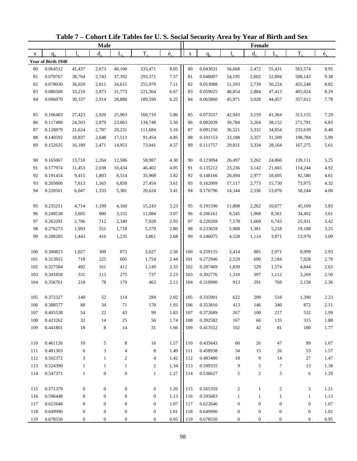|     |                    |                  | <b>Male</b>      |                  |                  |                   |             |          |                  | Female           |                  |                  |                          |
|-----|--------------------|------------------|------------------|------------------|------------------|-------------------|-------------|----------|------------------|------------------|------------------|------------------|--------------------------|
| X   | $q_{x}$            | 1.               | $d_{\rm v}$      | L,               | $T_{x}$          | $\rm \dot{e}_{v}$ | $\mathbf X$ | $q_{x}$  | 1.               | $d_{x}$          | $L_{x}$          | $T_{x}$          | $\overset{\circ}{e}_{x}$ |
|     | Year of Birth 1940 |                  |                  |                  |                  |                   |             |          |                  |                  |                  |                  |                          |
| 80  | 0.064512           | 41,437           | 2,673            | 40,100           | 333,471          | 8.05              | 80          | 0.043631 | 56,668           | 2,472            | 55,431           | 563,574          | 9.95                     |
| 81  | 0.070767           | 38,764           | 2,743            | 37,392           | 293,371          | 7.57              | 81          | 0.048007 | 54,195           | 2,602            | 52,894           | 508,143          | 9.38                     |
| 82  | 0.078030           | 36,020           | 2,811            | 34,615           | 255,979          | 7.11              | 82          | 0.053088 | 51,593           | 2,739            | 50,224           | 455,248          | 8.82                     |
| 83  | 0.086500           | 33,210           | 2,873            | 31,773           | 221,364          | 6.67              | 83          | 0.059025 | 48,854           | 2,884            | 47,413           | 405,024          | 8.29                     |
| 84  | 0.096070           | 30,337           | 2,914            | 28,880           | 189,590          | 6.25              | 84          | 0.065860 | 45,971           | 3,028            | 44,457           | 357,612          | 7.78                     |
|     |                    |                  |                  |                  |                  |                   |             |          |                  |                  |                  |                  |                          |
| 85  | 0.106483           | 27,423           | 2,920            | 25,963           | 160,710          | 5.86              | 85          | 0.073557 | 42,943           | 3,159            | 41,364           | 313,155          | 7.29                     |
| 86  | 0.117480           | 24,503           | 2,879            | 23,063           | 134,748          | 5.50              | 86          | 0.082039 | 39,784           | 3,264            | 38,152           | 271,791          | 6.83                     |
| 87  | 0.128879           | 21,624           | 2,787            | 20,231           | 111,684          | 5.16              | 87          | 0.091250 | 36,521           | 3,332            | 34,854           | 233,639          | 6.40                     |
| 88  | 0.140592           | 18,837           | 2,648            | 17,513           | 91,454           | 4.85              | 88          | 0.101153 | 33,188           | 3,357            | 31,509           | 198,784          | 5.99                     |
| 89  | 0.152635           | 16,189           | 2,471            | 14,953           | 73,941           | 4.57              | 89          | 0.111757 | 29,831           | 3,334            | 28,164           | 167,275          | 5.61                     |
|     |                    |                  |                  |                  |                  |                   |             |          |                  |                  |                  |                  |                          |
| 90  | 0.165067           | 13,718           | 2,264            | 12,586           | 58,987           | 4.30              | 90          | 0.123094 | 26,497           | 3,262            | 24,866           | 139,111          | 5.25                     |
| 91  | 0.177974           | 11,453           | 2,038            | 10,434           | 46,402           | 4.05              | 91          | 0.135212 | 23,236           | 3,142            | 21,665           | 114,244          | 4.92                     |
| 92  | 0.191454           | 9,415            | 1,803            | 8,514            | 35,968           | 3.82              | 92          | 0.148166 | 20,094           | 2,977            | 18,605           | 92,580           | 4.61                     |
| 93  | 0.205600           | 7,613            | 1,565            | 6,830            | 27,454           | 3.61              | 93          | 0.162009 | 17,117           | 2,773            | 15,730           | 73,975           | 4.32                     |
| 94  | 0.220501           | 6,047            | 1,333            | 5,381            | 20,624           | 3.41              | 94          | 0.176796 | 14,344           | 2,536            | 13,076           | 58,244           | 4.06                     |
|     |                    |                  |                  |                  |                  |                   |             |          |                  |                  |                  |                  |                          |
| 95  | 0.235211           | 4,714            | 1,109            | 4,160            | 15,243           | 3.23              | 95          | 0.191590 | 11,808           | 2,262            | 10,677           | 45,169           | 3.83                     |
| 96  | 0.249538           | 3,605            | 900              | 3,155            | 11,084           | 3.07              | 96          | 0.206161 | 9,545            | 1,968            | 8,561            | 34,492           | 3.61                     |
| 97  | 0.263291           | 2,706            | 712              | 2,349            | 7,928            | 2.93              | 97          | 0.220269 | 7,578            | 1,669            | 6,743            | 25,931           | 3.42                     |
| 98  | 0.276273           | 1,993            | 551              | 1,718            | 5,579            | 2.80              | 98          | 0.233659 | 5,908            | 1,381            | 5,218            | 19,188           | 3.25                     |
| 99  | 0.288285           | 1,443            | 416              | 1,235            | 3,861            | 2.68              | 99          | 0.246075 | 4,528            | 1,114            | 3,971            | 13,970           | 3.09                     |
|     |                    |                  |                  |                  |                  |                   |             |          |                  |                  |                  |                  |                          |
| 100 | 0.300823           | 1,027            | 309              | 872              | 2,627            | 2.56              | 100         | 0.259155 | 3,414            | 885              | 2,971            | 9,999            | 2.93                     |
| 101 | 0.313915           | 718              | 225              | 605              | 1,754            | 2.44              | 101         | 0.272946 | 2,529            | 690              | 2,184            | 7,028            | 2.78                     |
| 102 | 0.327584           | 492              | 161              | 412              | 1,149            | 2.33              | 102         | 0.287469 | 1,839            | 529              | 1,574            | 4,844            | 2.63                     |
| 103 | 0.341858           | 331              | 113              | 275              | 737              | 2.23              | 103         | 0.302776 | 1,310            | 397              | 1,112            | 3,269            | 2.50                     |
| 104 | 0.356761           | 218              | $78\,$           | 179              | 463              | 2.12              | 104         | 0.318900 | 913              | 291              | 768              | 2,158            | 2.36                     |
|     |                    |                  |                  |                  |                  |                   |             |          |                  |                  |                  |                  |                          |
| 105 | 0.372327           | 140              | 52               | 114              | 284              | 2.02              | 105         | 0.335901 | 622              | 209              | 518              | 1,390            | 2.23                     |
| 106 | 0.388577           | 88               | 34               | $71\,$           | 170              | 1.93              | 106         | 0.353810 | 413              | 146              | 340              | 872              | 2.11                     |
| 107 | 0.405538           | 54               | 22               | 43               | 99               | 1.83              | 107         | 0.372689 | 267              | 100              | 217              | 532              | 1.99                     |
| 108 | 0.423262           | 32               | 14               | $25\,$           | 56               | 1.74              | 108         | 0.392582 | 167              | 66               | 135              | 315              | 1.88                     |
| 109 | 0.441801           | 18               | 8                | 14               | 31               | 1.66              | 109         | 0.413552 | 102              | 42               | $8\sqrt{1}$      | 180              | 1.77                     |
|     |                    |                  |                  |                  |                  |                   |             |          |                  |                  |                  |                  |                          |
| 110 | 0.461126           | 10               | 5                | 8                | 16               | 1.57              | 110         | 0.435643 | 60               | 26               | 47               | 99               | 1.67                     |
| 111 | 0.481303           | 6                | 3                | 4                | 8                | 1.49              | 111         | 0.458938 | 34               | 15               | 26               | 53               | 1.57                     |
| 112 | 0.502372           | 3                | $\mathbf{1}$     | $\overline{c}$   | 4                | 1.42              | 112         | 0.483480 | 18               | 9                | 14               | 27               | 1.47                     |
| 113 | 0.524390           | $\mathbf{1}$     | $\mathbf{1}$     | $\mathbf{1}$     | $\overline{2}$   | 1.34              | 113         | 0.509355 | 9                | 5                | $\tau$           | 13               | 1.38                     |
| 114 | 0.547371           | $\mathbf{1}$     | $\boldsymbol{0}$ | $\boldsymbol{0}$ | $\mathbf{1}$     | 1.27              | 114         | 0.536627 | $\sqrt{5}$       | $\overline{c}$   | 3                | 6                | 1.29                     |
|     |                    |                  |                  |                  |                  |                   |             |          |                  |                  |                  |                  |                          |
| 115 | 0.571379           | $\boldsymbol{0}$ | $\mathbf{0}$     | $\boldsymbol{0}$ | $\boldsymbol{0}$ | 1.20              | 115         | 0.565359 | $\overline{c}$   | $\mathbf{1}$     | 2                | 3                | 1.21                     |
| 116 | 0.596448           | $\boldsymbol{0}$ | $\mathbf{0}$     | $\boldsymbol{0}$ | $\mathbf{0}$     | 1.13              | 116         | 0.595683 | $\mathbf{1}$     | $\mathbf{1}$     | $\mathbf{1}$     | $\mathbf{1}$     | 1.13                     |
| 117 | 0.622646           | $\boldsymbol{0}$ | $\boldsymbol{0}$ | $\boldsymbol{0}$ | $\boldsymbol{0}$ | 1.07              | 117         | 0.622646 | $\boldsymbol{0}$ | $\boldsymbol{0}$ | $\boldsymbol{0}$ | $\boldsymbol{0}$ | 1.07                     |
| 118 | 0.649990           | $\boldsymbol{0}$ | $\boldsymbol{0}$ | $\boldsymbol{0}$ | $\boldsymbol{0}$ | 1.01              | 118         | 0.649990 | $\boldsymbol{0}$ | $\boldsymbol{0}$ | $\boldsymbol{0}$ | $\boldsymbol{0}$ | 1.01                     |
| 119 | 0.678550           | $\boldsymbol{0}$ | $\boldsymbol{0}$ | $\boldsymbol{0}$ | $\boldsymbol{0}$ | 0.95              | 119         | 0.678550 | $\boldsymbol{0}$ | $\boldsymbol{0}$ | $\boldsymbol{0}$ | $\boldsymbol{0}$ | 0.95                     |

**Table 7 – Cohort Life Tables for U. S. Social Security Area by Year of Birth and Sex**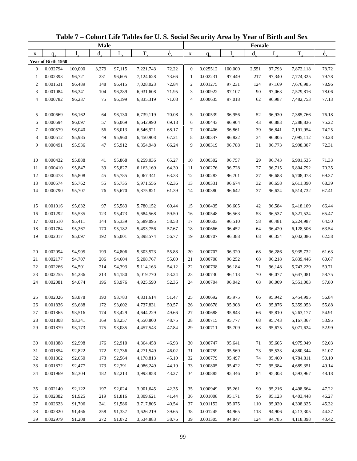|                  |                    |             | <b>Male</b> |        |           |                          |                |          |         | Female      |             |           |                          |
|------------------|--------------------|-------------|-------------|--------|-----------|--------------------------|----------------|----------|---------|-------------|-------------|-----------|--------------------------|
| X                | $q_{x}$            | $l_{\rm v}$ | $d_{\rm v}$ | L,     | $T_{x}$   | $\overset{\circ}{e}_{x}$ | $\mathbf X$    | $q_{x}$  |         | $d_{\rm v}$ | $L_{\rm x}$ | $T_{x}$   | $\overset{\circ}{e}_{x}$ |
|                  | Year of Birth 1950 |             |             |        |           |                          |                |          |         |             |             |           |                          |
| $\boldsymbol{0}$ | 0.032794           | 100,000     | 3,279       | 97,115 | 7,221,743 | 72.22                    | $\mathbf{0}$   | 0.025512 | 100,000 | 2,551       | 97,793      | 7,872,118 | 78.72                    |
| 1                | 0.002393           | 96,721      | 231         | 96,605 | 7,124,628 | 73.66                    | 1              | 0.002231 | 97,449  | 217         | 97,340      | 7,774,325 | 79.78                    |
| $\mathbf{2}$     | 0.001531           | 96,489      | 148         | 96,415 | 7,028,023 | 72.84                    | $\overline{c}$ | 0.001275 | 97,231  | 124         | 97,169      | 7,676,985 | 78.96                    |
| 3                | 0.001084           | 96,341      | 104         | 96,289 | 6,931,608 | 71.95                    | 3              | 0.000922 | 97,107  | 90          | 97,063      | 7,579,816 | 78.06                    |
| $\overline{4}$   | 0.000782           | 96,237      | 75          | 96,199 | 6,835,319 | 71.03                    | $\overline{4}$ | 0.000635 | 97,018  | 62          | 96,987      | 7,482,753 | 77.13                    |
| 5                | 0.000669           | 96,162      | 64          | 96,130 | 6,739,119 | 70.08                    | 5              | 0.000539 | 96,956  | 52          | 96,930      | 7,385,766 | 76.18                    |
| 6                | 0.000594           | 96,097      | 57          | 96,069 | 6,642,990 | 69.13                    | 6              | 0.000443 | 96,904  | 43          | 96,883      | 7,288,836 | 75.22                    |
| 7                | 0.000579           | 96,040      | 56          | 96,013 | 6,546,921 | 68.17                    | $\tau$         | 0.000406 | 96,861  | 39          | 96,841      | 7,191,954 | 74.25                    |
| 8                | 0.000512           | 95,985      | 49          | 95,960 | 6,450,908 | 67.21                    | 8              | 0.000347 | 96,822  | 34          | 96,805      | 7,095,112 | 73.28                    |
| 9                | 0.000491           | 95,936      | 47          | 95,912 | 6,354,948 | 66.24                    | 9              | 0.000319 | 96,788  | 31          | 96,773      | 6,998,307 | 72.31                    |
| 10               | 0.000432           | 95,888      | 41          | 95,868 | 6,259,036 | 65.27                    | 10             | 0.000302 | 96,757  | 29          | 96,743      | 6,901,535 | 71.33                    |
| 11               | 0.000410           | 95,847      | 39          | 95,827 | 6,163,169 | 64.30                    | 11             | 0.000276 | 96,728  | 27          | 96,715      | 6,804,792 | 70.35                    |
| 12               | 0.000473           | 95,808      | 45          | 95,785 | 6,067,341 | 63.33                    | 12             | 0.000283 | 96,701  | 27          | 96,688      | 6,708,078 | 69.37                    |
| 13               | 0.000574           | 95,762      | 55          | 95,735 | 5,971,556 | 62.36                    | 13             | 0.000331 | 96,674  | 32          | 96,658      | 6,611,390 | 68.39                    |
| 14               | 0.000790           | 95,707      | 76          | 95,670 | 5,875,821 | 61.39                    | 14             | 0.000380 | 96,642  | 37          | 96,624      | 6,514,732 | 67.41                    |
| 15               | 0.001016           | 95,632      | 97          | 95,583 | 5,780,152 | 60.44                    | 15             | 0.000435 | 96,605  | 42          | 96,584      | 6,418,109 | 66.44                    |
| 16               | 0.001292           | 95,535      | 123         | 95,473 | 5,684,568 | 59.50                    | 16             | 0.000548 | 96,563  | 53          | 96,537      | 6,321,524 | 65.47                    |
| 17               | 0.001510           | 95,411      | 144         | 95,339 | 5,589,095 | 58.58                    | 17             | 0.000603 | 96,510  | 58          | 96,481      | 6,224,987 | 64.50                    |
| 18               | 0.001784           | 95,267      | 170         | 95,182 | 5,493,756 | 57.67                    | 18             | 0.000666 | 96,452  | 64          | 96,420      | 6,128,506 | 63.54                    |
| 19               | 0.002017           | 95,097      | 192         | 95,001 | 5,398,574 | 56.77                    | 19             | 0.000707 | 96,388  | 68          | 96,354      | 6,032,086 | 62.58                    |
|                  |                    |             |             |        |           |                          |                |          |         |             |             |           |                          |
| 20               | 0.002094           | 94,905      | 199         | 94,806 | 5,303,573 | 55.88                    | 20             | 0.000707 | 96,320  | 68          | 96,286      | 5,935,732 | 61.63                    |
| 21               | 0.002177           | 94,707      | 206         | 94,604 | 5,208,767 | 55.00                    | 21             | 0.000708 | 96,252  | 68          | 96,218      | 5,839,446 | 60.67                    |
| 22               | 0.002266           | 94,501      | 214         | 94,393 | 5,114,163 | 54.12                    | 22             | 0.000738 | 96,184  | 71          | 96,148      | 5,743,229 | 59.71                    |
| 23               | 0.002255           | 94,286      | 213         | 94,180 | 5,019,770 | 53.24                    | 23             | 0.000730 | 96,113  | 70          | 96,077      | 5,647,081 | 58.75                    |
| 24               | 0.002081           | 94,074      | 196         | 93,976 | 4,925,590 | 52.36                    | 24             | 0.000704 | 96,042  | 68          | 96,009      | 5,551,003 | 57.80                    |
| 25               | 0.002026           | 93,878      | 190         | 93,783 | 4,831,614 | 51.47                    | 25             | 0.000692 | 95,975  | 66          | 95,942      | 5,454,995 | 56.84                    |
| 26               | 0.001836           | 93,688      | 172         | 93,602 | 4,737,831 | 50.57                    | 26             | 0.000678 | 95,908  | 65          | 95,876      | 5,359,053 | 55.88                    |
| 27               | 0.001865           | 93,516      | 174         | 93,429 | 4,644,229 | 49.66                    | 27             | 0.000688 | 95,843  | 66          | 95,810      | 5,263,177 | 54.91                    |
| 28               | 0.001808           | 93,341      | 169         | 93,257 | 4,550,800 | 48.75                    | 28             | 0.000715 | 95,777  | 68          | 95,743      | 5,167,367 | 53.95                    |
| 29               | 0.001879           | 93,173      | 175         | 93,085 | 4,457,543 | 47.84                    | 29             | 0.000711 | 95,709  | 68          | 95,675      | 5,071,624 | 52.99                    |
| 30               | 0.001888           | 92,998      | 176         | 92,910 | 4,364,458 | 46.93                    | 30             | 0.000747 | 95,641  | 71          | 95,605      | 4,975,949 | 52.03                    |
| 31               | 0.001854           | 92,822      | 172         | 92,736 | 4,271,549 | 46.02                    | 31             | 0.000759 | 95,569  | 73          | 95,533      | 4,880,344 | 51.07                    |
| 32               | 0.001862           | 92,650      | 173         | 92,564 | 4,178,813 | 45.10                    | 32             | 0.000779 | 95,497  | 74          | 95,460      | 4,784,811 | 50.10                    |
| 33               | 0.001872           | 92,477      | 173         | 92,391 | 4,086,249 | 44.19                    | 33             | 0.000805 | 95,422  | 77          | 95,384      | 4,689,351 | 49.14                    |
| 34               | 0.001969           | 92,304      | 182         | 92,213 | 3,993,858 | 43.27                    | 34             | 0.000885 | 95,346  | 84          | 95,303      | 4,593,967 | 48.18                    |
| 35               | 0.002140           | 92,122      | 197         | 92,024 | 3,901,645 | 42.35                    | 35             | 0.000949 | 95,261  | 90          | 95,216      | 4,498,664 | 47.22                    |
| 36               | 0.002382           | 91,925      | 219         | 91,816 | 3,809,621 | 41.44                    | 36             | 0.001008 | 95,171  | 96          | 95,123      | 4,403,448 | 46.27                    |
| 37               | 0.002623           | 91,706      | 241         | 91,586 | 3,717,805 | 40.54                    | 37             | 0.001152 | 95,075  | 110         | 95,020      | 4,308,325 | 45.32                    |
| 38               | 0.002820           | 91,466      | 258         | 91,337 | 3,626,219 | 39.65                    | 38             | 0.001245 | 94,965  | 118         | 94,906      | 4,213,305 | 44.37                    |
| 39               | 0.002979           | 91,208      | 272         | 91,072 | 3,534,883 | 38.76                    | 39             | 0.001305 | 94,847  | 124         | 94,785      | 4,118,398 | 43.42                    |

**Table 7 – Cohort Life Tables for U. S. Social Security Area by Year of Birth and Sex**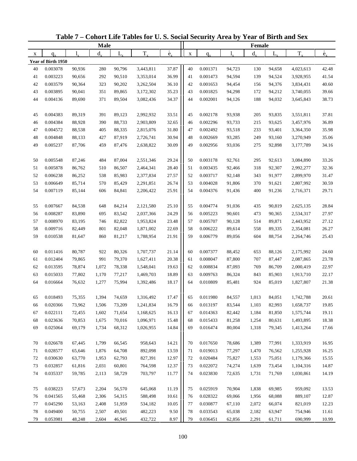|    |                    |        | Male        |        |           |                          |             |          |        | Female      |         |           |                          |
|----|--------------------|--------|-------------|--------|-----------|--------------------------|-------------|----------|--------|-------------|---------|-----------|--------------------------|
| X  | $q_{x}$            | 1.     | $d_{\rm v}$ | L,     | $T_{x}$   | $\overset{\circ}{e}_{x}$ | $\mathbf X$ | $q_{x}$  |        | $d_{\rm v}$ | $L_{x}$ | $T_{x}$   | $\overset{\circ}{e}_{x}$ |
|    | Year of Birth 1950 |        |             |        |           |                          |             |          |        |             |         |           |                          |
| 40 | 0.003078           | 90,936 | 280         | 90,796 | 3,443,811 | 37.87                    | 40          | 0.001371 | 94,723 | 130         | 94,658  | 4,023,613 | 42.48                    |
| 41 | 0.003223           | 90,656 | 292         | 90,510 | 3,353,014 | 36.99                    | 41          | 0.001473 | 94,594 | 139         | 94,524  | 3,928,955 | 41.54                    |
| 42 | 0.003579           | 90,364 | 323         | 90,202 | 3,262,504 | 36.10                    | 42          | 0.001653 | 94,454 | 156         | 94,376  | 3,834,431 | 40.60                    |
| 43 | 0.003895           | 90,041 | 351         | 89,865 | 3,172,302 | 35.23                    | 43          | 0.001825 | 94,298 | 172         | 94,212  | 3,740,055 | 39.66                    |
| 44 | 0.004136           | 89,690 | 371         | 89,504 | 3,082,436 | 34.37                    | 44          | 0.002001 | 94,126 | 188         | 94,032  | 3,645,843 | 38.73                    |
| 45 | 0.004383           | 89,319 | 391         | 89,123 | 2,992,932 | 33.51                    | 45          | 0.002178 | 93,938 | 205         | 93,835  | 3,551,811 | 37.81                    |
| 46 | 0.004384           | 88,928 | 390         | 88,733 | 2,903,809 | 32.65                    | 46          | 0.002296 | 93,733 | 215         | 93,625  | 3,457,976 | 36.89                    |
| 47 | 0.004572           | 88,538 | 405         | 88,335 | 2,815,076 | 31.80                    | 47          | 0.002492 | 93,518 | 233         | 93,401  | 3,364,350 | 35.98                    |
| 48 | 0.004848           | 88,133 | 427         | 87,919 | 2,726,741 | 30.94                    | 48          | 0.002669 | 93,285 | 249         | 93,160  | 3,270,949 | 35.06                    |
| 49 | 0.005237           | 87,706 | 459         | 87,476 | 2,638,822 | 30.09                    | 49          | 0.002956 | 93,036 | 275         | 92,898  | 3,177,789 | 34.16                    |
| 50 | 0.005548           | 87,246 | 484         | 87,004 | 2,551,346 | 29.24                    | 50          | 0.003178 | 92,761 | 295         | 92,613  | 3,084,890 | 33.26                    |
| 51 | 0.005878           | 86,762 | 510         | 86,507 | 2,464,341 | 28.40                    | 51          | 0.003435 | 92,466 | 318         | 92,307  | 2,992,277 | 32.36                    |
| 52 | 0.006238           | 86,252 | 538         | 85,983 | 2,377,834 | 27.57                    | 52          | 0.003717 | 92,148 | 343         | 91,977  | 2,899,970 | 31.47                    |
| 53 | 0.006649           | 85,714 | 570         | 85,429 | 2,291,851 | 26.74                    | 53          | 0.004028 | 91,806 | 370         | 91,621  | 2,807,992 | 30.59                    |
| 54 | 0.007119           | 85,144 | 606         | 84,841 | 2,206,422 | 25.91                    | 54          | 0.004376 | 91,436 | 400         | 91,236  | 2,716,371 | 29.71                    |
| 55 | 0.007667           | 84,538 | 648         | 84,214 | 2,121,580 | 25.10                    | 55          | 0.004774 | 91,036 | 435         | 90,819  | 2,625,135 | 28.84                    |
| 56 | 0.008287           | 83,890 | 695         | 83,542 | 2,037,366 | 24.29                    | 56          | 0.005223 | 90,601 | 473         | 90,365  | 2,534,317 | 27.97                    |
| 57 | 0.008970           | 83,195 | 746         | 82,822 | 1,953,824 | 23.48                    | 57          | 0.005707 | 90,128 | 514         | 89,871  | 2,443,952 | 27.12                    |
| 58 | 0.009716           | 82,449 | 801         | 82,048 | 1,871,002 | 22.69                    | 58          | 0.006222 | 89,614 | 558         | 89,335  | 2,354,081 | 26.27                    |
| 59 | 0.010538           | 81,647 | 860         | 81,217 | 1,788,954 | 21.91                    | 59          | 0.006779 | 89,056 | 604         | 88,754  | 2,264,746 | 25.43                    |
|    |                    |        |             |        |           |                          |             |          |        |             |         |           |                          |
| 60 | 0.011416           | 80,787 | 922         | 80,326 | 1,707,737 | 21.14                    | 60          | 0.007377 | 88,452 | 653         | 88,126  | 2,175,992 | 24.60                    |
| 61 | 0.012404           | 79,865 | 991         | 79,370 | 1,627,411 | 20.38                    | 61          | 0.008047 | 87,800 | 707         | 87,447  | 2,087,865 | 23.78                    |
| 62 | 0.013595           | 78,874 | 1,072       | 78,338 | 1,548,041 | 19.63                    | 62          | 0.008834 | 87,093 | 769         | 86,709  | 2,000,419 | 22.97                    |
| 63 | 0.015033           | 77,802 | 1,170       | 77,217 | 1,469,703 | 18.89                    | 63          | 0.009763 | 86,324 | 843         | 85,903  | 1,913,710 | 22.17                    |
| 64 | 0.016664           | 76,632 | 1,277       | 75,994 | 1,392,486 | 18.17                    | 64          | 0.010809 | 85,481 | 924         | 85,019  | 1,827,807 | 21.38                    |
| 65 | 0.018493           | 75,355 | 1,394       | 74,659 | 1,316,492 | 17.47                    | 65          | 0.011980 | 84,557 | 1,013       | 84,051  | 1,742,788 | 20.61                    |
| 66 | 0.020366           | 73,962 | 1,506       | 73,209 | 1,241,834 | 16.79                    | 66          | 0.013197 | 83,544 | 1,103       | 82,993  | 1,658,737 | 19.85                    |
| 67 | 0.022111           | 72,455 | 1,602       | 71,654 | 1,168,625 | 16.13                    | 67          | 0.014363 | 82,442 | 1,184       | 81,850  | 1,575,744 | 19.11                    |
| 68 | 0.023636           | 70,853 | 1,675       | 70,016 | 1,096,971 | 15.48                    | 68          | 0.015433 | 81,258 | 1,254       | 80,631  | 1,493,895 | 18.38                    |
| 69 | 0.025064           | 69,179 | 1,734       | 68,312 | 1,026,955 | 14.84                    | 69          | 0.016474 | 80,004 | 1,318       | 79,345  | 1,413,264 | 17.66                    |
| 70 | 0.026678           | 67,445 | 1,799       | 66,545 | 958,643   | 14.21                    | 70          | 0.017650 | 78,686 | 1,389       | 77,991  | 1,333,919 | 16.95                    |
| 71 | 0.028577           | 65,646 | 1,876       | 64,708 | 892,098   | 13.59                    | 71          | 0.019013 | 77,297 | 1,470       | 76,562  | 1,255,928 | 16.25                    |
| 72 | 0.030630           | 63,770 | 1,953       | 62,793 | 827,391   | 12.97                    | 72          | 0.020484 | 75,827 | 1,553       | 75,051  | 1,179,366 | 15.55                    |
| 73 | 0.032857           | 61,816 | 2,031       | 60,801 | 764,598   | 12.37                    | 73          | 0.022072 | 74,274 | 1,639       | 73,454  | 1,104,316 | 14.87                    |
| 74 | 0.035337           | 59,785 | 2,113       | 58,729 | 703,797   | 11.77                    | 74          | 0.023830 | 72,635 | 1,731       | 71,769  | 1,030,861 | 14.19                    |
| 75 | 0.038223           | 57,673 | 2,204       | 56,570 | 645,068   | 11.19                    | 75          | 0.025919 | 70,904 | 1,838       | 69,985  | 959,092   | 13.53                    |
| 76 | 0.041565           | 55,468 | 2,306       | 54,315 | 588,498   | 10.61                    | 76          | 0.028322 | 69,066 | 1,956       | 68,088  | 889,107   | 12.87                    |
| 77 | 0.045290           | 53,163 | 2,408       | 51,959 | 534,182   | 10.05                    | 77          | 0.030877 | 67,110 | 2,072       | 66,074  | 821,019   | 12.23                    |
| 78 | 0.049400           | 50,755 | 2,507       | 49,501 | 482,223   | 9.50                     | 78          | 0.033543 | 65,038 | 2,182       | 63,947  | 754,946   | 11.61                    |
| 79 | 0.053981           | 48,248 | 2,604       | 46,945 | 432,722   | 8.97                     | 79          | 0.036451 | 62,856 | 2,291       | 61,711  | 690,999   | 10.99                    |

**Table 7 – Cohort Life Tables for U. S. Social Security Area by Year of Birth and Sex**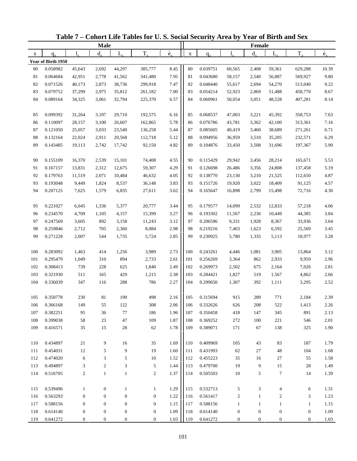|     |                    |                  | <b>Male</b>      |                  |                  |                   |             |          |                  | Female           |                          |                  |                          |
|-----|--------------------|------------------|------------------|------------------|------------------|-------------------|-------------|----------|------------------|------------------|--------------------------|------------------|--------------------------|
| X   | $q_{x}$            | 1.               | $d_{\rm v}$      | L,               | $T_{\rm x}$      | $\rm \dot{e}_{v}$ | $\mathbf X$ | $q_{x}$  | 1.               | $d_{x}$          | $L_{x}$                  | $T_{x}$          | $\overset{\circ}{e}_{x}$ |
|     | Year of Birth 1950 |                  |                  |                  |                  |                   |             |          |                  |                  |                          |                  |                          |
| 80  | 0.058982           | 45,643           | 2,692            | 44,297           | 385,777          | 8.45              | 80          | 0.039751 | 60,565           | 2,408            | 59,361                   | 629,288          | 10.39                    |
| 81  | 0.064684           | 42,951           | 2,778            | 41,562           | 341,480          | 7.95              | 81          | 0.043680 | 58,157           | 2,540            | 56,887                   | 569,927          | 9.80                     |
| 82  | 0.071526           | 40,173           | 2,873            | 38,736           | 299,918          | 7.47              | 82          | 0.048440 | 55,617           | 2,694            | 54,270                   | 513,040          | 9.22                     |
| 83  | 0.079752           | 37,299           | 2,975            | 35,812           | 261,182          | 7.00              | 83          | 0.054214 | 52,923           | 2,869            | 51,488                   | 458,770          | 8.67                     |
| 84  | 0.089164           | 34,325           | 3,061            | 32,794           | 225,370          | 6.57              | 84          | 0.060961 | 50,054           | 3,051            | 48,528                   | 407,281          | 8.14                     |
|     |                    |                  |                  |                  |                  |                   |             |          |                  |                  |                          |                  |                          |
| 85  | 0.099392           | 31,264           | 3,107            | 29,710           | 192,575          | 6.16              | 85          | 0.068537 | 47,003           | 3,221            | 45,392                   | 358,753          | 7.63                     |
| 86  | 0.110097           | 28,157           | 3,100            | 26,607           | 162,865          | 5.78              | 86          | 0.076786 | 43,781           | 3,362            | 42,100                   | 313,361          | 7.16                     |
| 87  | 0.121050           | 25,057           | 3,033            | 23,540           | 136,258          | 5.44              | 87          | 0.085605 | 40,419           | 3,460            | 38,689                   | 271,261          | 6.71                     |
| 88  | 0.132164           | 22,024           | 2,911            | 20,568           | 112,718          | 5.12              | 88          | 0.094956 | 36,959           | 3,510            | 35,205                   | 232,571          | 6.29                     |
| 89  | 0.143485           | 19,113           | 2,742            | 17,742           | 92,150           | 4.82              | 89          | 0.104876 | 33,450           | 3,508            | 31,696                   | 197,367          | 5.90                     |
|     |                    |                  |                  |                  |                  |                   |             |          |                  |                  |                          |                  |                          |
| 90  | 0.155109           | 16,370           | 2,539            | 15,101           | 74,408           | 4.55              | 90          | 0.115429 | 29,942           | 3,456            | 28,214                   | 165,671          | 5.53                     |
| 91  | 0.167157           | 13,831           | 2,312            | 12,675           | 59,307           | 4.29              | 91          | 0.126698 | 26,486           | 3,356            | 24,808                   | 137,458          | 5.19                     |
| 92  | 0.179763           | 11,519           | 2,071            | 10,484           | 46,632           | 4.05              | 92          | 0.138770 | 23,130           | 3,210            | 21,525                   | 112,650          | 4.87                     |
| 93  | 0.193048           | 9,449            | 1,824            | 8,537            | 36,148           | 3.83              | 93          | 0.151726 | 19,920           | 3,022            | 18,409                   | 91,125           | 4.57                     |
| 94  | 0.207125           | 7,625            | 1,579            | 6,835            | 27,611           | 3.62              | 94          | 0.165647 | 16,898           | 2,799            | 15,498                   | 72,716           | 4.30                     |
|     |                    |                  |                  |                  |                  |                   |             |          |                  |                  |                          |                  |                          |
| 95  | 0.221027           | 6,045            | 1,336            | 5,377            | 20,777           | 3.44              | 95          | 0.179577 | 14,099           | 2,532            | 12,833                   | 57,218           | 4.06                     |
| 96  | 0.234570           | 4,709            | 1,105            | 4,157            | 15,399           | 3.27              | 96          | 0.193302 | 11,567           | 2,236            | 10,449                   | 44,385           | 3.84                     |
| 97  | 0.247569           | 3,605            | 892              | 3,158            | 11,243           | 3.12              | 97          | 0.206596 | 9,331            | 1,928            | 8,367                    | 33,936           | 3.64                     |
| 98  | 0.259846           | 2,712            | 705              | 2,360            | 8,084            | 2.98              | 98          | 0.219216 | 7,403            | 1,623            | 6,592                    | 25,569           | 3.45                     |
| 99  | 0.271228           | 2,007            | 544              | 1,735            | 5,724            | 2.85              | 99          | 0.230925 | 5,780            | 1,335            | 5,113                    | 18,977           | 3.28                     |
|     |                    |                  |                  |                  |                  |                   |             |          |                  |                  |                          |                  |                          |
| 100 | 0.283092           | 1,463            | 414              | 1,256            | 3,989            | 2.73              | 100         | 0.243261 | 4,446            | 1,081            | 3,905                    | 13,864           | 3.12                     |
| 101 | 0.295479           | 1,049            | 310              | 894              | 2,733            | 2.61              | 101         | 0.256269 | 3,364            | 862              | 2,933                    | 9,959            | 2.96                     |
| 102 | 0.308413           | 739              | 228              | 625              | 1,840            | 2.49              | 102         | 0.269973 | 2,502            | 675              | 2,164                    | 7,026            | 2.81                     |
| 103 | 0.321930           | 511              | 165              | 429              | 1,215            | 2.38              | 103         | 0.284421 | 1,827            | 519              | 1,567                    | 4,862            | 2.66                     |
| 104 | 0.336039           | 347              | 116              | 288              | 786              | 2.27              | 104         | 0.299650 | 1,307            | 392              | 1,111                    | 3,295            | 2.52                     |
|     |                    |                  |                  |                  |                  |                   |             |          |                  |                  |                          |                  |                          |
| 105 | 0.350778           | 230              | 81               | 190              | 498              | 2.16              | 105         | 0.315694 | 915              | 289              | 771                      | 2,184            | 2.39                     |
| 106 | 0.366168           | 149              | 55               | 122              | 308              | 2.06              | 106         | 0.332626 | 626              | 208              | 522                      | 1,413            | 2.26                     |
| 107 | 0.382251           | 95               | 36               | 77               | 186              | 1.96              | 107         | 0.350458 | 418              | 147              | 345                      | 891              | 2.13                     |
| 108 | 0.399038           | 58               | 23               | 47               | 109              | 1.87              | 108         | 0.369252 | 272              | 100              | 221                      | 546              | 2.01                     |
| 109 | 0.416571           | 35               | 15               | 28               | 62               | 1.78              | 109         | 0.389071 | 171              | 67               | 138                      | 325              | 1.90                     |
|     |                    |                  |                  |                  |                  |                   |             |          |                  |                  |                          |                  |                          |
| 110 | 0.434897           | 21               | 9                | 16               | 35               | 1.69              | 110         | 0.409969 | 105              | 43               | 83                       | 187              | 1.79                     |
| 111 | 0.454031           | 12               | 5                | 9                | 19               | 1.60              | 111         | 0.431993 | 62               | 27               | 48                       | 104              | 1.68                     |
| 112 | 0.474020           | 6                | 3                | 5                | 10               | 1.52              | 112         | 0.455223 | 35               | 16               | 27                       | 55               | 1.58                     |
| 113 | 0.494897           | 3                | $\boldsymbol{2}$ | 3                | 5                | 1.44              | 113         | 0.479700 | 19               | 9                | 15                       | 28               | 1.49                     |
| 114 | 0.516705           | $\overline{c}$   | $\mathbf{1}$     | $\mathbf{1}$     | $\sqrt{2}$       | 1.37              | 114         | 0.505503 | 10               | 5                | $\tau$                   | 14               | 1.39                     |
|     |                    |                  |                  |                  |                  |                   |             |          |                  |                  |                          |                  |                          |
| 115 | 0.539496           | $\mathbf{1}$     | $\boldsymbol{0}$ | $\mathbf{1}$     | $\mathbf{1}$     | 1.29              | 115         | 0.532713 | 5                | 3                | $\overline{\mathcal{A}}$ | 6                | 1.31                     |
| 116 | 0.563293           | $\boldsymbol{0}$ | $\boldsymbol{0}$ | $\boldsymbol{0}$ | $\boldsymbol{0}$ | 1.22              | 116         | 0.561417 | $\sqrt{2}$       | $\mathbf{1}$     | $\boldsymbol{2}$         | 3                | 1.23                     |
| 117 | 0.588156           | $\boldsymbol{0}$ | $\boldsymbol{0}$ | $\boldsymbol{0}$ | $\boldsymbol{0}$ | 1.15              | 117         | 0.588156 | $\mathbf{1}$     | $\mathbf{1}$     | $\mathbf{1}$             | $\mathbf{1}$     | 1.15                     |
| 118 | 0.614140           | $\boldsymbol{0}$ | $\boldsymbol{0}$ | $\boldsymbol{0}$ | $\boldsymbol{0}$ | 1.09              | 118         | 0.614140 | $\boldsymbol{0}$ | $\boldsymbol{0}$ | $\boldsymbol{0}$         | $\boldsymbol{0}$ | 1.09                     |
| 119 | 0.641272           | $\boldsymbol{0}$ | $\boldsymbol{0}$ | $\boldsymbol{0}$ | $\mathbf{0}$     | 1.03              | 119         | 0.641272 | $\boldsymbol{0}$ | $\boldsymbol{0}$ | $\boldsymbol{0}$         | $\boldsymbol{0}$ | 1.03                     |

**Table 7 – Cohort Life Tables for U. S. Social Security Area by Year of Birth and Sex**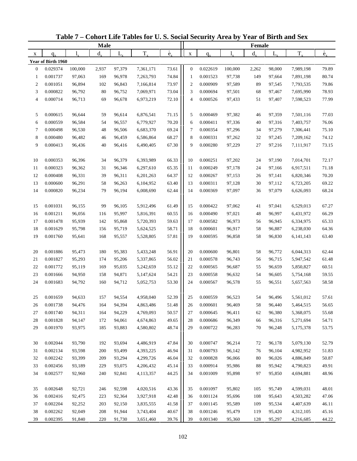|                          |                      |                  | <b>Male</b> |                  |                        |                          |                |                      |                  | Female   |                  |                        |                          |
|--------------------------|----------------------|------------------|-------------|------------------|------------------------|--------------------------|----------------|----------------------|------------------|----------|------------------|------------------------|--------------------------|
| X                        | $q_{\rm v}$          | 1.               | $d_{\rm v}$ | $L_{\rm v}$      | $T_{x}$                | $\overset{\circ}{e}_{x}$ | $\mathbf X$    | $q_{x}$              |                  | $d_{x}$  | $L_{x}$          | $T_{x}$                | $\overset{\circ}{e}_{x}$ |
|                          | Year of Birth 1960   |                  |             |                  |                        |                          |                |                      |                  |          |                  |                        |                          |
| $\mathbf{0}$             | 0.029374             | 100,000          | 2,937       | 97,379           | 7,361,171              | 73.61                    | $\mathbf{0}$   | 0.022619             | 100,000          | 2,262    | 98,000           | 7,989,198              | 79.89                    |
| 1                        | 0.001737             | 97,063           | 169         | 96,978           | 7,263,793              | 74.84                    | $\mathbf{1}$   | 0.001523             | 97,738           | 149      | 97,664           | 7,891,198              | 80.74                    |
| $\overline{c}$           | 0.001051             | 96,894           | 102         | 96,843           | 7,166,814              | 73.97                    | $\overline{2}$ | 0.000909             | 97,589           | 89       | 97,545           | 7,793,535              | 79.86                    |
| 3                        | 0.000822             | 96,792           | 80          | 96,752           | 7,069,971              | 73.04                    | 3              | 0.000694             | 97,501           | 68       | 97,467           | 7,695,990              | 78.93                    |
| $\overline{\mathcal{L}}$ | 0.000714             | 96,713           | 69          | 96,678           | 6,973,219              | 72.10                    | $\overline{4}$ | 0.000526             | 97,433           | 51       | 97,407           | 7,598,523              | 77.99                    |
|                          |                      |                  |             |                  |                        |                          |                |                      |                  |          |                  |                        |                          |
| 5                        | 0.000615             | 96,644           | 59          | 96,614           | 6,876,541              | 71.15                    | 5              | 0.000469             | 97,382           | 46       | 97,359           | 7,501,116              | 77.03                    |
| 6                        | 0.000559             | 96,584           | 54          | 96,557           | 6,779,927              | 70.20                    | 6              | 0.000411             | 97,336           | 40       | 97,316           | 7,403,757              | 76.06                    |
| 7                        | 0.000498             | 96,530           | 48          | 96,506           | 6,683,370              | 69.24                    | $\tau$         | 0.000354             | 97,296           | 34       | 97,279           | 7,306,441              | 75.10                    |
| 8                        | 0.000480             | 96,482           | 46          | 96,459           | 6,586,864              | 68.27                    | 8              | 0.000331             | 97,262           | 32       | 97,245           | 7,209,162              | 74.12                    |
| 9                        | 0.000413             | 96,436           | 40          | 96,416           | 6,490,405              | 67.30                    | 9              | 0.000280             | 97,229           | 27       | 97,216           | 7,111,917              | 73.15                    |
|                          |                      |                  |             |                  |                        |                          |                |                      |                  |          |                  |                        |                          |
| 10                       | 0.000353             | 96,396           | 34          | 96,379           | 6,393,989              | 66.33                    | 10             | 0.000251             | 97,202           | 24       | 97,190           | 7,014,701              | 72.17                    |
| 11                       | 0.000323             | 96,362           | 31          | 96,346           | 6,297,610              | 65.35                    | 11             | 0.000249             | 97,178           | 24       | 97,166           | 6,917,511              | 71.18                    |
| 12                       | 0.000408             | 96,331           | 39          | 96,311           | 6,201,263              | 64.37                    | 12             | 0.000267             | 97,153           | 26       | 97,141           | 6,820,346              | 70.20                    |
| 13                       | 0.000600             | 96,291           | 58          | 96,263           | 6,104,952              | 63.40                    | 13             | 0.000311             | 97,128           | 30       | 97,112           | 6,723,205              | 69.22                    |
| 14                       | 0.000820             | 96,234           | 79          | 96,194           | 6,008,690              | 62.44                    | 14             | 0.000369             | 97,097           | 36       | 97,079           | 6,626,093              | 68.24                    |
|                          |                      |                  |             |                  |                        |                          |                |                      |                  |          |                  |                        |                          |
| 15                       | 0.001031             | 96,155           | 99          | 96,105           | 5,912,496              | 61.49                    | 15             | 0.000422             | 97,062           | 41       | 97,041           | 6,529,013              | 67.27                    |
| 16                       | 0.001211             | 96,056           | 116         | 95,997           | 5,816,391              | 60.55                    | 16             | 0.000490             | 97,021           | 48       | 96,997           | 6,431,972              | 66.29                    |
| 17                       | 0.001478             | 95,939           | 142         | 95,868           | 5,720,393              | 59.63                    | 17             | 0.000582             | 96,973           | 56       | 96,945           | 6,334,975              | 65.33                    |
| 18                       | 0.001629             | 95,798           | 156         | 95,719           | 5,624,525              | 58.71                    | 18             | 0.000601             | 96,917           | 58       | 96,887           | 6,238,030              | 64.36                    |
| 19                       | 0.001760             | 95,641           | 168         | 95,557           | 5,528,805              | 57.81                    | 19             | 0.000595             | 96,858           | 58       | 96,830           | 6, 141, 143            | 63.40                    |
|                          |                      |                  |             |                  |                        |                          |                |                      |                  |          |                  |                        |                          |
| 20                       | 0.001886             | 95,473           | 180         | 95,383           | 5,433,248              | 56.91                    | 20             | 0.000600             | 96,801           | 58       | 96,772           | 6,044,313              | 62.44                    |
| 21<br>22                 | 0.001827<br>0.001772 | 95,293<br>95,119 | 174<br>169  | 95,206<br>95,035 | 5,337,865              | 56.02<br>55.12           | 21<br>22       | 0.000578<br>0.000565 | 96,743<br>96,687 | 56       | 96,715           | 5,947,542              | 61.48<br>60.51           |
| 23                       | 0.001666             | 94,950           | 158         | 94,871           | 5,242,659<br>5,147,624 | 54.21                    | 23             | 0.000558             | 96,632           | 55<br>54 | 96,659<br>96,605 | 5,850,827<br>5,754,168 | 59.55                    |
| 24                       | 0.001683             | 94,792           | 160         | 94,712           | 5,052,753              | 53.30                    | 24             | 0.000567             | 96,578           | 55       | 96,551           | 5,657,563              | 58.58                    |
|                          |                      |                  |             |                  |                        |                          |                |                      |                  |          |                  |                        |                          |
| 25                       | 0.001659             | 94,633           | 157         | 94,554           | 4,958,040              | 52.39                    | 25             | 0.000559             | 96,523           | 54       | 96,496           | 5,561,012              | 57.61                    |
| 26                       | 0.001738             | 94,476           | 164         | 94,394           | 4,863,486              | 51.48                    | 26             | 0.000601             | 96,469           | 58       | 96,440           | 5,464,515              | 56.65                    |
| 27                       | 0.001740             | 94,311           | 164         | 94,229           | 4,769,093              | 50.57                    | 27             | 0.000645             | 96,411           | 62       | 96,380           | 5,368,075              | 55.68                    |
| 28                       | 0.001828             | 94,147           | 172         | 94,061           | 4,674,863              | 49.65                    | 28             | 0.000686             | 96,349           | 66       | 96,316           | 5,271,694              | 54.71                    |
| 29                       | 0.001970             | 93,975           | 185         | 93,883           | 4,580,802              | 48.74                    | 29             | 0.000722             | 96,283           | 70       | 96,248           | 5,175,378              | 53.75                    |
|                          |                      |                  |             |                  |                        |                          |                |                      |                  |          |                  |                        |                          |
| 30                       | 0.002044             | 93,790           | 192         | 93,694           | 4,486,919              | 47.84                    | 30             | 0.000747             | 96,214           | $72\,$   | 96,178           | 5,079,130              | 52.79                    |
| 31                       | 0.002134             | 93,598           | 200         | 93,499           | 4,393,225              | 46.94                    | 31             | 0.000793             | 96,142           | 76       | 96,104           | 4,982,952              | 51.83                    |
| 32                       | 0.002242             | 93,399           | 209         | 93,294           | 4,299,726              | 46.04                    | 32             | 0.000828             | 96,066           | 80       | 96,026           | 4,886,849              | 50.87                    |
| 33                       | 0.002456             | 93,189           | 229         | 93,075           | 4,206,432              | 45.14                    | 33             | 0.000914             | 95,986           | 88       | 95,942           | 4,790,823              | 49.91                    |
| 34                       | 0.002577             | 92,960           | 240         | 92,841           | 4,113,357              | 44.25                    | 34             | 0.001009             | 95,898           | 97       | 95,850           | 4,694,881              | 48.96                    |
|                          |                      |                  |             |                  |                        |                          |                |                      |                  |          |                  |                        |                          |
| 35                       | 0.002648             | 92,721           | 246         | 92,598           | 4,020,516              | 43.36                    | 35             | 0.001097             | 95,802           | 105      | 95,749           | 4,599,031              | 48.01                    |
| 36                       | 0.002416             | 92,475           | 223         | 92,364           | 3,927,918              | 42.48                    | 36             | 0.001124             | 95,696           | 108      | 95,643           | 4,503,282              | 47.06                    |
| 37                       | 0.002204             | 92,252           | 203         | 92,150           | 3,835,555              | 41.58                    | 37             | 0.001145             | 95,589           | 109      | 95,534           | 4,407,639              | 46.11                    |
| 38                       | 0.002262             | 92,049           | 208         | 91,944           | 3,743,404              | 40.67                    | 38             | 0.001246             | 95,479           | 119      | 95,420           | 4,312,105              | 45.16                    |
| 39                       | 0.002395             | 91,840           | 220         | 91,730           | 3,651,460              | 39.76                    | 39             | 0.001340             | 95,360           | 128      | 95,297           | 4,216,685              | 44.22                    |

**Table 7 – Cohort Life Tables for U. S. Social Security Area by Year of Birth and Sex**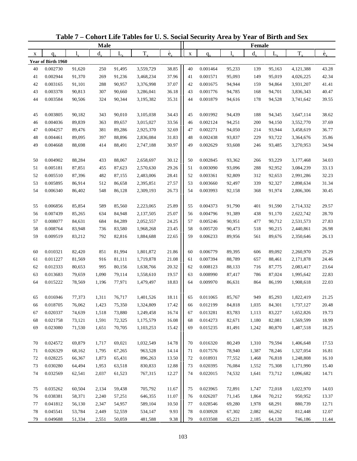|    |                    |        | <b>Male</b> |             |           |                          |             |          |        | Female  |         |           |                          |
|----|--------------------|--------|-------------|-------------|-----------|--------------------------|-------------|----------|--------|---------|---------|-----------|--------------------------|
| X  | $q_{\rm v}$        | 1.     | $d_{x}$     | $L_{\rm v}$ | $T_{x}$   | $\overset{\circ}{e}_{x}$ | $\mathbf X$ | $q_{x}$  | 1.     | $d_{x}$ | $L_{x}$ | $T_{x}$   | $\overset{\circ}{e}_{x}$ |
|    | Year of Birth 1960 |        |             |             |           |                          |             |          |        |         |         |           |                          |
| 40 | 0.002730           | 91,620 | 250         | 91,495      | 3,559,729 | 38.85                    | 40          | 0.001464 | 95,233 | 139     | 95,163  | 4,121,388 | 43.28                    |
| 41 | 0.002944           | 91,370 | 269         | 91,236      | 3,468,234 | 37.96                    | 41          | 0.001571 | 95,093 | 149     | 95,019  | 4,026,225 | 42.34                    |
| 42 | 0.003165           | 91,101 | 288         | 90,957      | 3,376,998 | 37.07                    | 42          | 0.001675 | 94,944 | 159     | 94,864  | 3,931,207 | 41.41                    |
| 43 | 0.003378           | 90,813 | 307         | 90,660      | 3,286,041 | 36.18                    | 43          | 0.001776 | 94,785 | 168     | 94,701  | 3,836,343 | 40.47                    |
| 44 | 0.003584           | 90,506 | 324         | 90,344      | 3,195,382 | 35.31                    | 44          | 0.001879 | 94,616 | 178     | 94,528  | 3,741,642 | 39.55                    |
|    |                    |        |             |             |           |                          |             |          |        |         |         |           |                          |
| 45 | 0.003805           | 90,182 | 343         | 90,010      | 3,105,038 | 34.43                    | 45          | 0.001992 | 94,439 | 188     | 94,345  | 3,647,114 | 38.62                    |
| 46 | 0.004036           | 89,839 | 363         | 89,657      | 3,015,027 | 33.56                    | 46          | 0.002124 | 94,251 | 200     | 94,150  | 3,552,770 | 37.69                    |
| 47 | 0.004257           | 89,476 | 381         | 89,286      | 2,925,370 | 32.69                    | 47          | 0.002271 | 94,050 | 214     | 93,944  | 3,458,619 | 36.77                    |
| 48 | 0.004461           | 89,095 | 397         | 88,896      | 2,836,084 | 31.83                    | 48          | 0.002438 | 93,837 | 229     | 93,722  | 3,364,676 | 35.86                    |
| 49 | 0.004668           | 88,698 | 414         | 88,491      | 2,747,188 | 30.97                    | 49          | 0.002629 | 93,608 | 246     | 93,485  | 3,270,953 | 34.94                    |
|    |                    |        |             |             |           |                          |             |          |        |         |         |           |                          |
| 50 | 0.004902           | 88,284 | 433         | 88,067      | 2,658,697 | 30.12                    | 50          | 0.002845 | 93,362 | 266     | 93,229  | 3,177,468 | 34.03                    |
| 51 | 0.005181           | 87,851 | 455         | 87,623      | 2,570,630 | 29.26                    | 51          | 0.003090 | 93,096 | 288     | 92,952  | 3,084,239 | 33.13                    |
| 52 | 0.005510           | 87,396 | 482         | 87,155      | 2,483,006 | 28.41                    | 52          | 0.003361 | 92,809 | 312     | 92,653  | 2,991,286 | 32.23                    |
| 53 | 0.005895           | 86,914 | 512         | 86,658      | 2,395,851 | 27.57                    | 53          | 0.003660 | 92,497 | 339     | 92,327  | 2,898,634 | 31.34                    |
| 54 | 0.006340           | 86,402 | 548         | 86,128      | 2,309,193 | 26.73                    | 54          | 0.003993 | 92,158 | 368     | 91,974  | 2,806,306 | 30.45                    |
|    |                    |        |             |             |           |                          |             |          |        |         |         |           |                          |
| 55 | 0.006856           | 85,854 | 589         | 85,560      | 2,223,065 | 25.89                    | 55          | 0.004373 | 91,790 | 401     | 91,590  | 2,714,332 | 29.57                    |
| 56 | 0.007439           | 85,265 | 634         | 84,948      | 2,137,505 | 25.07                    | 56          | 0.004796 | 91,389 | 438     | 91,170  | 2,622,742 | 28.70                    |
| 57 | 0.008077           | 84,631 | 684         | 84,289      | 2,052,557 | 24.25                    | 57          | 0.005246 | 90,951 | 477     | 90,712  | 2,531,573 | 27.83                    |
| 58 | 0.008764           | 83,948 | 736         | 83,580      | 1,968,268 | 23.45                    | 58          | 0.005720 | 90,473 | 518     | 90,215  | 2,440,861 | 26.98                    |
| 59 | 0.009519           | 83,212 | 792         | 82,816      | 1,884,688 | 22.65                    | 59          | 0.006233 | 89,956 | 561     | 89,676  | 2,350,646 | 26.13                    |
|    |                    |        |             |             |           |                          |             |          |        |         |         |           |                          |
| 60 | 0.010321           | 82,420 | 851         | 81,994      | 1,801,872 | 21.86                    | 60          | 0.006779 | 89,395 | 606     | 89,092  | 2,260,970 | 25.29                    |
| 61 | 0.011227           | 81,569 | 916         | 81,111      | 1,719,878 | 21.08                    | 61          | 0.007394 | 88,789 | 657     | 88,461  | 2,171,878 | 24.46                    |
| 62 | 0.012333           | 80,653 | 995         | 80,156      | 1,638,766 | 20.32                    | 62          | 0.008123 | 88,133 | 716     | 87,775  | 2,083,417 | 23.64                    |
| 63 | 0.013683           | 79,659 | 1,090       | 79,114      | 1,558,610 | 19.57                    | 63          | 0.008990 | 87,417 | 786     | 87,024  | 1,995,642 | 22.83                    |
| 64 | 0.015222           | 78,569 | 1,196       | 77,971      | 1,479,497 | 18.83                    | 64          | 0.009970 | 86,631 | 864     | 86,199  | 1,908,618 | 22.03                    |
|    |                    |        |             |             |           |                          |             |          |        |         |         |           |                          |
| 65 | 0.016946           | 77,373 | 1,311       | 76,717      | 1,401,526 | 18.11                    | 65          | 0.011065 | 85,767 | 949     | 85,293  | 1,822,419 | 21.25                    |
| 66 | 0.018705           | 76,062 | 1,423       | 75,350      | 1,324,809 | 17.42                    | 66          | 0.012199 | 84,818 | 1,035   | 84,301  | 1,737,127 | 20.48                    |
| 67 | 0.020337           | 74,639 | 1,518       | 73,880      | 1,249,458 | 16.74                    | 67          | 0.013281 | 83,783 | 1,113   | 83,227  | 1,652,826 | 19.73                    |
| 68 | 0.021758           | 73,121 | 1,591       | 72,325      | 1,175,579 | 16.08                    | 68          | 0.014273 | 82,671 | 1,180   | 82,081  | 1,569,599 | 18.99                    |
| 69 | 0.023080           | 71,530 | 1,651       | 70,705      | 1,103,253 | 15.42                    | 69          | 0.015235 | 81,491 | 1,242   | 80,870  | 1,487,518 | 18.25                    |
|    |                    |        |             |             |           |                          |             |          |        |         |         |           |                          |
| 70 | 0.024572           | 69,879 | 1,717       | 69,021      | 1,032,549 | 14.78                    | 70          | 0.016320 | 80,249 | 1,310   | 79,594  | 1,406,648 | 17.53                    |
| 71 | 0.026329           | 68,162 | 1,795       | 67,265      | 963,528   | 14.14                    | 71          | 0.017576 | 78,940 | 1,387   | 78,246  | 1,327,054 | 16.81                    |
| 72 | 0.028225           | 66,367 | 1,873       | 65,431      | 896,263   | 13.50                    | 72          | 0.018931 | 77,552 | 1,468   | 76,818  | 1,248,808 | 16.10                    |
| 73 | 0.030280           | 64,494 | 1,953       | 63,518      | 830,833   | 12.88                    | 73          | 0.020395 | 76,084 | 1,552   | 75,308  | 1,171,990 | 15.40                    |
| 74 | 0.032569           | 62,541 | 2,037       | 61,523      | 767,315   | 12.27                    | 74          | 0.022015 | 74,532 | 1,641   | 73,712  | 1,096,682 | 14.71                    |
|    |                    |        |             |             |           |                          |             |          |        |         |         |           |                          |
| 75 | 0.035262           | 60,504 | 2,134       | 59,438      | 705,792   | 11.67                    | 75          | 0.023965 | 72,891 | 1,747   | 72,018  | 1,022,970 | 14.03                    |
| 76 | 0.038381           | 58,371 | 2,240       | 57,251      | 646,355   | 11.07                    | 76          | 0.026207 | 71,145 | 1,864   | 70,212  | 950,952   | 13.37                    |
| 77 | 0.041812           | 56,130 | 2,347       | 54,957      | 589,104   | 10.50                    | 77          | 0.028546 | 69,280 | 1,978   | 68,291  | 880,739   | 12.71                    |
| 78 | 0.045541           | 53,784 | 2,449       | 52,559      | 534,147   | 9.93                     | 78          | 0.030928 | 67,302 | 2,082   | 66,262  | 812,448   | 12.07                    |
| 79 | 0.049688           | 51,334 | 2,551       | 50,059      | 481,588   | 9.38                     | 79          | 0.033508 | 65,221 | 2,185   | 64,128  | 746,186   | 11.44                    |

**Table 7 – Cohort Life Tables for U. S. Social Security Area by Year of Birth and Sex**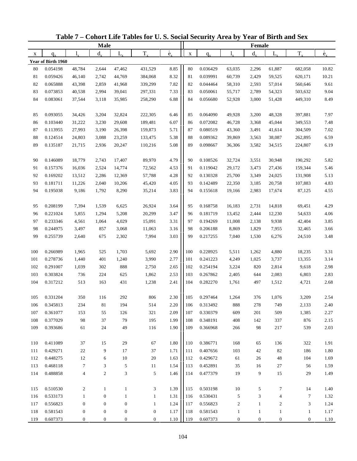| $\overset{\circ}{e}_{x}$<br>$\overset{\circ}{e}_{x}$<br>$T_{x}$<br>$T_{x}$<br>$d_{x}$<br>$L_{\rm v}$<br>$d_{\rm v}$<br>$L_{x}$<br>$\mathbf{l}_{\nu}$<br>$\mathbf X$<br>X<br>$q_{x}$<br>$q_{x}$<br>Year of Birth 1960<br>8.85<br>0.054198<br>48,784<br>2,644<br>47,462<br>431,529<br>80<br>0.036429<br>63,035<br>2,296<br>61,887<br>10.82<br>80<br>682,058<br>8.32<br>0.059426<br>2,742<br>44,769<br>81<br>0.039991<br>60,739<br>2,429<br>59,525<br>10.21<br>81<br>46,140<br>384,068<br>620,171<br>7.82<br>82<br>0.065888<br>43,398<br>2,859<br>41,968<br>339,299<br>82<br>0.044464<br>58,310<br>2,593<br>57,014<br>9.61<br>560,646<br>7.33<br>9.04<br>83<br>0.073853<br>40,538<br>2,994<br>39,041<br>83<br>0.050061<br>2,789<br>54,323<br>297,331<br>55,717<br>503,632<br>6.88<br>84<br>0.083061<br>3,000<br>8.49<br>37,544<br>3,118<br>35,985<br>258,290<br>84<br>0.056680<br>52,928<br>51,428<br>449,310<br>0.093055<br>32,824<br>6.46<br>48,328<br>34,426<br>3,204<br>222,305<br>85<br>0.064090<br>49,928<br>3,200<br>397,881<br>7.97<br>85<br>6.07<br>7.48<br>0.103440<br>0.072082<br>3,368<br>45,044<br>86<br>31,222<br>3,230<br>29,608<br>189,481<br>86<br>46,728<br>349,553<br>7.02<br>87<br>0.113955<br>26,398<br>5.71<br>87<br>0.080519<br>27,993<br>3,190<br>159,873<br>43,360<br>3,491<br>41,614<br>304,509<br>5.38<br>6.59<br>88<br>24,803<br>88<br>0.089362<br>38,087<br>0.124514<br>3,088<br>23,259<br>133,475<br>39,869<br>3,563<br>262,895<br>5.08<br>6.19<br>89<br>0.135187<br>89<br>0.098667<br>3,582<br>21,715<br>2,936<br>20,247<br>110,216<br>36,306<br>34,515<br>224,807<br>4.79<br>0.146089<br>18,779<br>17,407<br>89,970<br>90<br>0.108526<br>32,724<br>3,551<br>30,948<br>5.82<br>90<br>2,743<br>190,292<br>5.46<br>0.157376<br>14,774<br>72,562<br>4.53<br>0.119042<br>29,172<br>3,473<br>91<br>16,036<br>2,524<br>91<br>27,436<br>159,344<br>5.13<br>92<br>0.169202<br>13,512<br>12,369<br>57,788<br>4.28<br>92<br>0.130328<br>25,700<br>3,349<br>24,025<br>2,286<br>131,908<br>4.05<br>4.83<br>93<br>0.181711<br>93<br>0.142489<br>11,226<br>2,040<br>10,206<br>45,420<br>22,350<br>3,185<br>20,758<br>107,883<br>3.83<br>94<br>0.195038<br>1,792<br>8,290<br>94<br>2,983<br>4.55<br>9,186<br>35,214<br>0.155618<br>19,166<br>17,674<br>87,125<br>0.208199<br>7,394<br>26,924<br>3.64<br>0.168758<br>2,731<br>14,818<br>4.29<br>95<br>1,539<br>6,625<br>95<br>16,183<br>69,451<br>3.47<br>0.221024<br>20,299<br>0.181719<br>4.06<br>96<br>5,855<br>1,294<br>5,208<br>96<br>13,452<br>2,444<br>12,230<br>54,633<br>3.31<br>3.85<br>97<br>4,029<br>15,091<br>97<br>0.194269<br>9,938<br>0.233346<br>4,561<br>1,064<br>11,008<br>2,138<br>42,404<br>3.16<br>98<br>0.244975<br>3,497<br>857<br>98<br>0.206188<br>8,869<br>3.66<br>3,068<br>11,063<br>1,829<br>7,955<br>32,465<br>3.03<br>3.48<br>99<br>99<br>0.255739<br>2,640<br>675<br>2,302<br>7,994<br>0.217255<br>7,040<br>1,530<br>6,276<br>24,510<br>2.90<br>0.266989<br>525<br>1,703<br>100<br>0.228925<br>4,880<br>3.31<br>100<br>1,965<br>5,692<br>5,511<br>1,262<br>18,235<br>2.77<br>3.14<br>101<br>0.278736<br>401<br>3,990<br>101<br>0.241223<br>4,249<br>3,737<br>1,440<br>1,240<br>1,025<br>13,355<br>888<br>2.65<br>2.98<br>102<br>0.291007<br>302<br>102<br>0.254194<br>3,224<br>820<br>2,814<br>9,618<br>1,039<br>2,750<br>2.53<br>2.83<br>103<br>0.303824<br>736<br>224<br>625<br>1,862<br>103<br>0.267862<br>2,083<br>6,803<br>2,405<br>644<br>104<br>0.317212<br>513<br>431<br>2.41<br>104<br>0.282270<br>1,512<br>4,721<br>2.68<br>163<br>1,238<br>1,761<br>497<br>0.331204<br>350<br>292<br>806<br>2.30<br>0.297464<br>376<br>1,076<br>3,209<br>2.54<br>105<br>116<br>105<br>1,264<br>0.313492<br>0.345813<br>234<br>81<br>194<br>514<br>2.20<br>106<br>888<br>278<br>749<br>2,133<br>2.40<br>106<br>2.09<br>0.361077<br>0.330379<br>153<br>55<br>126<br>321<br>107<br>609<br>201<br>509<br>1,385<br>2.27<br>107<br>1.99<br>0.377029<br>98<br>37<br>79<br>195<br>0.348191<br>408<br>2.15<br>108<br>108<br>142<br>337<br>876<br>1.90<br>109<br>0.393686<br>24<br>49<br>116<br>109<br>0.366968<br>266<br>98<br>217<br>539<br>2.03<br>61<br>0.411089<br>15<br>29<br>1.80<br>0.386771<br>1.91<br>110<br>37<br>67<br>110<br>168<br>65<br>136<br>322<br>9<br>17<br>37<br>1.71<br>0.407656<br>103<br>1.80<br>111<br>0.429271<br>22<br>111<br>42<br>82<br>186<br>0.448275<br>10<br>20<br>1.63<br>0.429672<br>48<br>104<br>1.69<br>112<br>12<br>6<br>112<br>61<br>26<br>0.468118<br>3<br>5<br>11<br>1.54<br>0.452891<br>35<br>$27\,$<br>113<br>7<br>113<br>16<br>56<br>1.59<br>$\boldsymbol{2}$<br>3<br>5<br>1.46<br>9<br>0.488858<br>4<br>0.477379<br>19<br>15<br>29<br>1.49<br>114<br>114<br>1.39<br>0.510530<br>$\overline{c}$<br>$\mathbf{1}$<br>3<br>0.503198<br>$10\,$<br>5<br>14<br>1.40<br>115<br>$\mathbf{1}$<br>115<br>7<br>1.31<br>5<br>$\mathfrak{Z}$<br>$\boldsymbol{0}$<br>0.530431<br>$\overline{\mathcal{A}}$<br>7<br>1.32<br>116<br>0.533173<br>$\mathbf{1}$<br>$\mathbf{1}$<br>$\mathbf{1}$<br>116<br>$\sqrt{2}$<br>$\boldsymbol{2}$<br>0.556823<br>$\boldsymbol{0}$<br>$\boldsymbol{0}$<br>$\boldsymbol{0}$<br>1.24<br>0.556823<br>$\mathbf{1}$<br>3<br>1.24<br>117<br>$\mathbf{1}$<br>117<br>1.17<br>0.581543<br>$\boldsymbol{0}$<br>$\boldsymbol{0}$<br>$\boldsymbol{0}$<br>$\boldsymbol{0}$<br>0.581543<br>$\mathbf{1}$<br>$\mathbf{1}$<br>$\mathbf{1}$<br>1.17<br>118<br>118<br>$\mathbf{1}$<br>1.10<br>119<br>0.607373<br>$\boldsymbol{0}$<br>$\boldsymbol{0}$<br>$\boldsymbol{0}$<br>$\boldsymbol{0}$<br>119<br>0.607373<br>$\boldsymbol{0}$<br>$\boldsymbol{0}$<br>$\boldsymbol{0}$<br>$\boldsymbol{0}$<br>1.10 |  | <b>Male</b> |  |  |  | <b>Female</b> |  |  |
|----------------------------------------------------------------------------------------------------------------------------------------------------------------------------------------------------------------------------------------------------------------------------------------------------------------------------------------------------------------------------------------------------------------------------------------------------------------------------------------------------------------------------------------------------------------------------------------------------------------------------------------------------------------------------------------------------------------------------------------------------------------------------------------------------------------------------------------------------------------------------------------------------------------------------------------------------------------------------------------------------------------------------------------------------------------------------------------------------------------------------------------------------------------------------------------------------------------------------------------------------------------------------------------------------------------------------------------------------------------------------------------------------------------------------------------------------------------------------------------------------------------------------------------------------------------------------------------------------------------------------------------------------------------------------------------------------------------------------------------------------------------------------------------------------------------------------------------------------------------------------------------------------------------------------------------------------------------------------------------------------------------------------------------------------------------------------------------------------------------------------------------------------------------------------------------------------------------------------------------------------------------------------------------------------------------------------------------------------------------------------------------------------------------------------------------------------------------------------------------------------------------------------------------------------------------------------------------------------------------------------------------------------------------------------------------------------------------------------------------------------------------------------------------------------------------------------------------------------------------------------------------------------------------------------------------------------------------------------------------------------------------------------------------------------------------------------------------------------------------------------------------------------------------------------------------------------------------------------------------------------------------------------------------------------------------------------------------------------------------------------------------------------------------------------------------------------------------------------------------------------------------------------------------------------------------------------------------------------------------------------------------------------------------------------------------------------------------------------------------------------------------------------------------------------------------------------------------------------------------------------------------------------------------------------------------------------------------------------------------------------------------------------------------------------------------------------------------------------------------------------------------------------------------------------------------------------------------------------------------------------------------------------------------------------------------------------------------------------------------------------------------------------------------------------------------------------------------------------------------------------------------------------------------------------------------------------------------------------------------------------------------------------------------------------------------------------------------------------------------------------------------------------------------------------------------------------------------------------------------------------------------------------------------------------------------------------------------------------------------------------------------------------------------------------------------------------------------------------------------------------------------------------------------------------------------------------------------------------------------------------------------------------------------------------------------------------------------------------------------------------------------------------------------------------------------------------------------------------------------------------------------------------------------------------------------------------------------------------------------------------------|--|-------------|--|--|--|---------------|--|--|
|                                                                                                                                                                                                                                                                                                                                                                                                                                                                                                                                                                                                                                                                                                                                                                                                                                                                                                                                                                                                                                                                                                                                                                                                                                                                                                                                                                                                                                                                                                                                                                                                                                                                                                                                                                                                                                                                                                                                                                                                                                                                                                                                                                                                                                                                                                                                                                                                                                                                                                                                                                                                                                                                                                                                                                                                                                                                                                                                                                                                                                                                                                                                                                                                                                                                                                                                                                                                                                                                                                                                                                                                                                                                                                                                                                                                                                                                                                                                                                                                                                                                                                                                                                                                                                                                                                                                                                                                                                                                                                                                                                                                                                                                                                                                                                                                                                                                                                                                                                                                                                                                                                                                                                                                                                                                                                                                                                                                                                                                                                                                                                                                                                  |  |             |  |  |  |               |  |  |
|                                                                                                                                                                                                                                                                                                                                                                                                                                                                                                                                                                                                                                                                                                                                                                                                                                                                                                                                                                                                                                                                                                                                                                                                                                                                                                                                                                                                                                                                                                                                                                                                                                                                                                                                                                                                                                                                                                                                                                                                                                                                                                                                                                                                                                                                                                                                                                                                                                                                                                                                                                                                                                                                                                                                                                                                                                                                                                                                                                                                                                                                                                                                                                                                                                                                                                                                                                                                                                                                                                                                                                                                                                                                                                                                                                                                                                                                                                                                                                                                                                                                                                                                                                                                                                                                                                                                                                                                                                                                                                                                                                                                                                                                                                                                                                                                                                                                                                                                                                                                                                                                                                                                                                                                                                                                                                                                                                                                                                                                                                                                                                                                                                  |  |             |  |  |  |               |  |  |
|                                                                                                                                                                                                                                                                                                                                                                                                                                                                                                                                                                                                                                                                                                                                                                                                                                                                                                                                                                                                                                                                                                                                                                                                                                                                                                                                                                                                                                                                                                                                                                                                                                                                                                                                                                                                                                                                                                                                                                                                                                                                                                                                                                                                                                                                                                                                                                                                                                                                                                                                                                                                                                                                                                                                                                                                                                                                                                                                                                                                                                                                                                                                                                                                                                                                                                                                                                                                                                                                                                                                                                                                                                                                                                                                                                                                                                                                                                                                                                                                                                                                                                                                                                                                                                                                                                                                                                                                                                                                                                                                                                                                                                                                                                                                                                                                                                                                                                                                                                                                                                                                                                                                                                                                                                                                                                                                                                                                                                                                                                                                                                                                                                  |  |             |  |  |  |               |  |  |
|                                                                                                                                                                                                                                                                                                                                                                                                                                                                                                                                                                                                                                                                                                                                                                                                                                                                                                                                                                                                                                                                                                                                                                                                                                                                                                                                                                                                                                                                                                                                                                                                                                                                                                                                                                                                                                                                                                                                                                                                                                                                                                                                                                                                                                                                                                                                                                                                                                                                                                                                                                                                                                                                                                                                                                                                                                                                                                                                                                                                                                                                                                                                                                                                                                                                                                                                                                                                                                                                                                                                                                                                                                                                                                                                                                                                                                                                                                                                                                                                                                                                                                                                                                                                                                                                                                                                                                                                                                                                                                                                                                                                                                                                                                                                                                                                                                                                                                                                                                                                                                                                                                                                                                                                                                                                                                                                                                                                                                                                                                                                                                                                                                  |  |             |  |  |  |               |  |  |
|                                                                                                                                                                                                                                                                                                                                                                                                                                                                                                                                                                                                                                                                                                                                                                                                                                                                                                                                                                                                                                                                                                                                                                                                                                                                                                                                                                                                                                                                                                                                                                                                                                                                                                                                                                                                                                                                                                                                                                                                                                                                                                                                                                                                                                                                                                                                                                                                                                                                                                                                                                                                                                                                                                                                                                                                                                                                                                                                                                                                                                                                                                                                                                                                                                                                                                                                                                                                                                                                                                                                                                                                                                                                                                                                                                                                                                                                                                                                                                                                                                                                                                                                                                                                                                                                                                                                                                                                                                                                                                                                                                                                                                                                                                                                                                                                                                                                                                                                                                                                                                                                                                                                                                                                                                                                                                                                                                                                                                                                                                                                                                                                                                  |  |             |  |  |  |               |  |  |
|                                                                                                                                                                                                                                                                                                                                                                                                                                                                                                                                                                                                                                                                                                                                                                                                                                                                                                                                                                                                                                                                                                                                                                                                                                                                                                                                                                                                                                                                                                                                                                                                                                                                                                                                                                                                                                                                                                                                                                                                                                                                                                                                                                                                                                                                                                                                                                                                                                                                                                                                                                                                                                                                                                                                                                                                                                                                                                                                                                                                                                                                                                                                                                                                                                                                                                                                                                                                                                                                                                                                                                                                                                                                                                                                                                                                                                                                                                                                                                                                                                                                                                                                                                                                                                                                                                                                                                                                                                                                                                                                                                                                                                                                                                                                                                                                                                                                                                                                                                                                                                                                                                                                                                                                                                                                                                                                                                                                                                                                                                                                                                                                                                  |  |             |  |  |  |               |  |  |
|                                                                                                                                                                                                                                                                                                                                                                                                                                                                                                                                                                                                                                                                                                                                                                                                                                                                                                                                                                                                                                                                                                                                                                                                                                                                                                                                                                                                                                                                                                                                                                                                                                                                                                                                                                                                                                                                                                                                                                                                                                                                                                                                                                                                                                                                                                                                                                                                                                                                                                                                                                                                                                                                                                                                                                                                                                                                                                                                                                                                                                                                                                                                                                                                                                                                                                                                                                                                                                                                                                                                                                                                                                                                                                                                                                                                                                                                                                                                                                                                                                                                                                                                                                                                                                                                                                                                                                                                                                                                                                                                                                                                                                                                                                                                                                                                                                                                                                                                                                                                                                                                                                                                                                                                                                                                                                                                                                                                                                                                                                                                                                                                                                  |  |             |  |  |  |               |  |  |
|                                                                                                                                                                                                                                                                                                                                                                                                                                                                                                                                                                                                                                                                                                                                                                                                                                                                                                                                                                                                                                                                                                                                                                                                                                                                                                                                                                                                                                                                                                                                                                                                                                                                                                                                                                                                                                                                                                                                                                                                                                                                                                                                                                                                                                                                                                                                                                                                                                                                                                                                                                                                                                                                                                                                                                                                                                                                                                                                                                                                                                                                                                                                                                                                                                                                                                                                                                                                                                                                                                                                                                                                                                                                                                                                                                                                                                                                                                                                                                                                                                                                                                                                                                                                                                                                                                                                                                                                                                                                                                                                                                                                                                                                                                                                                                                                                                                                                                                                                                                                                                                                                                                                                                                                                                                                                                                                                                                                                                                                                                                                                                                                                                  |  |             |  |  |  |               |  |  |
|                                                                                                                                                                                                                                                                                                                                                                                                                                                                                                                                                                                                                                                                                                                                                                                                                                                                                                                                                                                                                                                                                                                                                                                                                                                                                                                                                                                                                                                                                                                                                                                                                                                                                                                                                                                                                                                                                                                                                                                                                                                                                                                                                                                                                                                                                                                                                                                                                                                                                                                                                                                                                                                                                                                                                                                                                                                                                                                                                                                                                                                                                                                                                                                                                                                                                                                                                                                                                                                                                                                                                                                                                                                                                                                                                                                                                                                                                                                                                                                                                                                                                                                                                                                                                                                                                                                                                                                                                                                                                                                                                                                                                                                                                                                                                                                                                                                                                                                                                                                                                                                                                                                                                                                                                                                                                                                                                                                                                                                                                                                                                                                                                                  |  |             |  |  |  |               |  |  |
|                                                                                                                                                                                                                                                                                                                                                                                                                                                                                                                                                                                                                                                                                                                                                                                                                                                                                                                                                                                                                                                                                                                                                                                                                                                                                                                                                                                                                                                                                                                                                                                                                                                                                                                                                                                                                                                                                                                                                                                                                                                                                                                                                                                                                                                                                                                                                                                                                                                                                                                                                                                                                                                                                                                                                                                                                                                                                                                                                                                                                                                                                                                                                                                                                                                                                                                                                                                                                                                                                                                                                                                                                                                                                                                                                                                                                                                                                                                                                                                                                                                                                                                                                                                                                                                                                                                                                                                                                                                                                                                                                                                                                                                                                                                                                                                                                                                                                                                                                                                                                                                                                                                                                                                                                                                                                                                                                                                                                                                                                                                                                                                                                                  |  |             |  |  |  |               |  |  |
|                                                                                                                                                                                                                                                                                                                                                                                                                                                                                                                                                                                                                                                                                                                                                                                                                                                                                                                                                                                                                                                                                                                                                                                                                                                                                                                                                                                                                                                                                                                                                                                                                                                                                                                                                                                                                                                                                                                                                                                                                                                                                                                                                                                                                                                                                                                                                                                                                                                                                                                                                                                                                                                                                                                                                                                                                                                                                                                                                                                                                                                                                                                                                                                                                                                                                                                                                                                                                                                                                                                                                                                                                                                                                                                                                                                                                                                                                                                                                                                                                                                                                                                                                                                                                                                                                                                                                                                                                                                                                                                                                                                                                                                                                                                                                                                                                                                                                                                                                                                                                                                                                                                                                                                                                                                                                                                                                                                                                                                                                                                                                                                                                                  |  |             |  |  |  |               |  |  |
|                                                                                                                                                                                                                                                                                                                                                                                                                                                                                                                                                                                                                                                                                                                                                                                                                                                                                                                                                                                                                                                                                                                                                                                                                                                                                                                                                                                                                                                                                                                                                                                                                                                                                                                                                                                                                                                                                                                                                                                                                                                                                                                                                                                                                                                                                                                                                                                                                                                                                                                                                                                                                                                                                                                                                                                                                                                                                                                                                                                                                                                                                                                                                                                                                                                                                                                                                                                                                                                                                                                                                                                                                                                                                                                                                                                                                                                                                                                                                                                                                                                                                                                                                                                                                                                                                                                                                                                                                                                                                                                                                                                                                                                                                                                                                                                                                                                                                                                                                                                                                                                                                                                                                                                                                                                                                                                                                                                                                                                                                                                                                                                                                                  |  |             |  |  |  |               |  |  |
|                                                                                                                                                                                                                                                                                                                                                                                                                                                                                                                                                                                                                                                                                                                                                                                                                                                                                                                                                                                                                                                                                                                                                                                                                                                                                                                                                                                                                                                                                                                                                                                                                                                                                                                                                                                                                                                                                                                                                                                                                                                                                                                                                                                                                                                                                                                                                                                                                                                                                                                                                                                                                                                                                                                                                                                                                                                                                                                                                                                                                                                                                                                                                                                                                                                                                                                                                                                                                                                                                                                                                                                                                                                                                                                                                                                                                                                                                                                                                                                                                                                                                                                                                                                                                                                                                                                                                                                                                                                                                                                                                                                                                                                                                                                                                                                                                                                                                                                                                                                                                                                                                                                                                                                                                                                                                                                                                                                                                                                                                                                                                                                                                                  |  |             |  |  |  |               |  |  |
|                                                                                                                                                                                                                                                                                                                                                                                                                                                                                                                                                                                                                                                                                                                                                                                                                                                                                                                                                                                                                                                                                                                                                                                                                                                                                                                                                                                                                                                                                                                                                                                                                                                                                                                                                                                                                                                                                                                                                                                                                                                                                                                                                                                                                                                                                                                                                                                                                                                                                                                                                                                                                                                                                                                                                                                                                                                                                                                                                                                                                                                                                                                                                                                                                                                                                                                                                                                                                                                                                                                                                                                                                                                                                                                                                                                                                                                                                                                                                                                                                                                                                                                                                                                                                                                                                                                                                                                                                                                                                                                                                                                                                                                                                                                                                                                                                                                                                                                                                                                                                                                                                                                                                                                                                                                                                                                                                                                                                                                                                                                                                                                                                                  |  |             |  |  |  |               |  |  |
|                                                                                                                                                                                                                                                                                                                                                                                                                                                                                                                                                                                                                                                                                                                                                                                                                                                                                                                                                                                                                                                                                                                                                                                                                                                                                                                                                                                                                                                                                                                                                                                                                                                                                                                                                                                                                                                                                                                                                                                                                                                                                                                                                                                                                                                                                                                                                                                                                                                                                                                                                                                                                                                                                                                                                                                                                                                                                                                                                                                                                                                                                                                                                                                                                                                                                                                                                                                                                                                                                                                                                                                                                                                                                                                                                                                                                                                                                                                                                                                                                                                                                                                                                                                                                                                                                                                                                                                                                                                                                                                                                                                                                                                                                                                                                                                                                                                                                                                                                                                                                                                                                                                                                                                                                                                                                                                                                                                                                                                                                                                                                                                                                                  |  |             |  |  |  |               |  |  |
|                                                                                                                                                                                                                                                                                                                                                                                                                                                                                                                                                                                                                                                                                                                                                                                                                                                                                                                                                                                                                                                                                                                                                                                                                                                                                                                                                                                                                                                                                                                                                                                                                                                                                                                                                                                                                                                                                                                                                                                                                                                                                                                                                                                                                                                                                                                                                                                                                                                                                                                                                                                                                                                                                                                                                                                                                                                                                                                                                                                                                                                                                                                                                                                                                                                                                                                                                                                                                                                                                                                                                                                                                                                                                                                                                                                                                                                                                                                                                                                                                                                                                                                                                                                                                                                                                                                                                                                                                                                                                                                                                                                                                                                                                                                                                                                                                                                                                                                                                                                                                                                                                                                                                                                                                                                                                                                                                                                                                                                                                                                                                                                                                                  |  |             |  |  |  |               |  |  |
|                                                                                                                                                                                                                                                                                                                                                                                                                                                                                                                                                                                                                                                                                                                                                                                                                                                                                                                                                                                                                                                                                                                                                                                                                                                                                                                                                                                                                                                                                                                                                                                                                                                                                                                                                                                                                                                                                                                                                                                                                                                                                                                                                                                                                                                                                                                                                                                                                                                                                                                                                                                                                                                                                                                                                                                                                                                                                                                                                                                                                                                                                                                                                                                                                                                                                                                                                                                                                                                                                                                                                                                                                                                                                                                                                                                                                                                                                                                                                                                                                                                                                                                                                                                                                                                                                                                                                                                                                                                                                                                                                                                                                                                                                                                                                                                                                                                                                                                                                                                                                                                                                                                                                                                                                                                                                                                                                                                                                                                                                                                                                                                                                                  |  |             |  |  |  |               |  |  |
|                                                                                                                                                                                                                                                                                                                                                                                                                                                                                                                                                                                                                                                                                                                                                                                                                                                                                                                                                                                                                                                                                                                                                                                                                                                                                                                                                                                                                                                                                                                                                                                                                                                                                                                                                                                                                                                                                                                                                                                                                                                                                                                                                                                                                                                                                                                                                                                                                                                                                                                                                                                                                                                                                                                                                                                                                                                                                                                                                                                                                                                                                                                                                                                                                                                                                                                                                                                                                                                                                                                                                                                                                                                                                                                                                                                                                                                                                                                                                                                                                                                                                                                                                                                                                                                                                                                                                                                                                                                                                                                                                                                                                                                                                                                                                                                                                                                                                                                                                                                                                                                                                                                                                                                                                                                                                                                                                                                                                                                                                                                                                                                                                                  |  |             |  |  |  |               |  |  |
|                                                                                                                                                                                                                                                                                                                                                                                                                                                                                                                                                                                                                                                                                                                                                                                                                                                                                                                                                                                                                                                                                                                                                                                                                                                                                                                                                                                                                                                                                                                                                                                                                                                                                                                                                                                                                                                                                                                                                                                                                                                                                                                                                                                                                                                                                                                                                                                                                                                                                                                                                                                                                                                                                                                                                                                                                                                                                                                                                                                                                                                                                                                                                                                                                                                                                                                                                                                                                                                                                                                                                                                                                                                                                                                                                                                                                                                                                                                                                                                                                                                                                                                                                                                                                                                                                                                                                                                                                                                                                                                                                                                                                                                                                                                                                                                                                                                                                                                                                                                                                                                                                                                                                                                                                                                                                                                                                                                                                                                                                                                                                                                                                                  |  |             |  |  |  |               |  |  |
|                                                                                                                                                                                                                                                                                                                                                                                                                                                                                                                                                                                                                                                                                                                                                                                                                                                                                                                                                                                                                                                                                                                                                                                                                                                                                                                                                                                                                                                                                                                                                                                                                                                                                                                                                                                                                                                                                                                                                                                                                                                                                                                                                                                                                                                                                                                                                                                                                                                                                                                                                                                                                                                                                                                                                                                                                                                                                                                                                                                                                                                                                                                                                                                                                                                                                                                                                                                                                                                                                                                                                                                                                                                                                                                                                                                                                                                                                                                                                                                                                                                                                                                                                                                                                                                                                                                                                                                                                                                                                                                                                                                                                                                                                                                                                                                                                                                                                                                                                                                                                                                                                                                                                                                                                                                                                                                                                                                                                                                                                                                                                                                                                                  |  |             |  |  |  |               |  |  |
|                                                                                                                                                                                                                                                                                                                                                                                                                                                                                                                                                                                                                                                                                                                                                                                                                                                                                                                                                                                                                                                                                                                                                                                                                                                                                                                                                                                                                                                                                                                                                                                                                                                                                                                                                                                                                                                                                                                                                                                                                                                                                                                                                                                                                                                                                                                                                                                                                                                                                                                                                                                                                                                                                                                                                                                                                                                                                                                                                                                                                                                                                                                                                                                                                                                                                                                                                                                                                                                                                                                                                                                                                                                                                                                                                                                                                                                                                                                                                                                                                                                                                                                                                                                                                                                                                                                                                                                                                                                                                                                                                                                                                                                                                                                                                                                                                                                                                                                                                                                                                                                                                                                                                                                                                                                                                                                                                                                                                                                                                                                                                                                                                                  |  |             |  |  |  |               |  |  |
|                                                                                                                                                                                                                                                                                                                                                                                                                                                                                                                                                                                                                                                                                                                                                                                                                                                                                                                                                                                                                                                                                                                                                                                                                                                                                                                                                                                                                                                                                                                                                                                                                                                                                                                                                                                                                                                                                                                                                                                                                                                                                                                                                                                                                                                                                                                                                                                                                                                                                                                                                                                                                                                                                                                                                                                                                                                                                                                                                                                                                                                                                                                                                                                                                                                                                                                                                                                                                                                                                                                                                                                                                                                                                                                                                                                                                                                                                                                                                                                                                                                                                                                                                                                                                                                                                                                                                                                                                                                                                                                                                                                                                                                                                                                                                                                                                                                                                                                                                                                                                                                                                                                                                                                                                                                                                                                                                                                                                                                                                                                                                                                                                                  |  |             |  |  |  |               |  |  |
|                                                                                                                                                                                                                                                                                                                                                                                                                                                                                                                                                                                                                                                                                                                                                                                                                                                                                                                                                                                                                                                                                                                                                                                                                                                                                                                                                                                                                                                                                                                                                                                                                                                                                                                                                                                                                                                                                                                                                                                                                                                                                                                                                                                                                                                                                                                                                                                                                                                                                                                                                                                                                                                                                                                                                                                                                                                                                                                                                                                                                                                                                                                                                                                                                                                                                                                                                                                                                                                                                                                                                                                                                                                                                                                                                                                                                                                                                                                                                                                                                                                                                                                                                                                                                                                                                                                                                                                                                                                                                                                                                                                                                                                                                                                                                                                                                                                                                                                                                                                                                                                                                                                                                                                                                                                                                                                                                                                                                                                                                                                                                                                                                                  |  |             |  |  |  |               |  |  |
|                                                                                                                                                                                                                                                                                                                                                                                                                                                                                                                                                                                                                                                                                                                                                                                                                                                                                                                                                                                                                                                                                                                                                                                                                                                                                                                                                                                                                                                                                                                                                                                                                                                                                                                                                                                                                                                                                                                                                                                                                                                                                                                                                                                                                                                                                                                                                                                                                                                                                                                                                                                                                                                                                                                                                                                                                                                                                                                                                                                                                                                                                                                                                                                                                                                                                                                                                                                                                                                                                                                                                                                                                                                                                                                                                                                                                                                                                                                                                                                                                                                                                                                                                                                                                                                                                                                                                                                                                                                                                                                                                                                                                                                                                                                                                                                                                                                                                                                                                                                                                                                                                                                                                                                                                                                                                                                                                                                                                                                                                                                                                                                                                                  |  |             |  |  |  |               |  |  |
|                                                                                                                                                                                                                                                                                                                                                                                                                                                                                                                                                                                                                                                                                                                                                                                                                                                                                                                                                                                                                                                                                                                                                                                                                                                                                                                                                                                                                                                                                                                                                                                                                                                                                                                                                                                                                                                                                                                                                                                                                                                                                                                                                                                                                                                                                                                                                                                                                                                                                                                                                                                                                                                                                                                                                                                                                                                                                                                                                                                                                                                                                                                                                                                                                                                                                                                                                                                                                                                                                                                                                                                                                                                                                                                                                                                                                                                                                                                                                                                                                                                                                                                                                                                                                                                                                                                                                                                                                                                                                                                                                                                                                                                                                                                                                                                                                                                                                                                                                                                                                                                                                                                                                                                                                                                                                                                                                                                                                                                                                                                                                                                                                                  |  |             |  |  |  |               |  |  |
|                                                                                                                                                                                                                                                                                                                                                                                                                                                                                                                                                                                                                                                                                                                                                                                                                                                                                                                                                                                                                                                                                                                                                                                                                                                                                                                                                                                                                                                                                                                                                                                                                                                                                                                                                                                                                                                                                                                                                                                                                                                                                                                                                                                                                                                                                                                                                                                                                                                                                                                                                                                                                                                                                                                                                                                                                                                                                                                                                                                                                                                                                                                                                                                                                                                                                                                                                                                                                                                                                                                                                                                                                                                                                                                                                                                                                                                                                                                                                                                                                                                                                                                                                                                                                                                                                                                                                                                                                                                                                                                                                                                                                                                                                                                                                                                                                                                                                                                                                                                                                                                                                                                                                                                                                                                                                                                                                                                                                                                                                                                                                                                                                                  |  |             |  |  |  |               |  |  |
|                                                                                                                                                                                                                                                                                                                                                                                                                                                                                                                                                                                                                                                                                                                                                                                                                                                                                                                                                                                                                                                                                                                                                                                                                                                                                                                                                                                                                                                                                                                                                                                                                                                                                                                                                                                                                                                                                                                                                                                                                                                                                                                                                                                                                                                                                                                                                                                                                                                                                                                                                                                                                                                                                                                                                                                                                                                                                                                                                                                                                                                                                                                                                                                                                                                                                                                                                                                                                                                                                                                                                                                                                                                                                                                                                                                                                                                                                                                                                                                                                                                                                                                                                                                                                                                                                                                                                                                                                                                                                                                                                                                                                                                                                                                                                                                                                                                                                                                                                                                                                                                                                                                                                                                                                                                                                                                                                                                                                                                                                                                                                                                                                                  |  |             |  |  |  |               |  |  |
|                                                                                                                                                                                                                                                                                                                                                                                                                                                                                                                                                                                                                                                                                                                                                                                                                                                                                                                                                                                                                                                                                                                                                                                                                                                                                                                                                                                                                                                                                                                                                                                                                                                                                                                                                                                                                                                                                                                                                                                                                                                                                                                                                                                                                                                                                                                                                                                                                                                                                                                                                                                                                                                                                                                                                                                                                                                                                                                                                                                                                                                                                                                                                                                                                                                                                                                                                                                                                                                                                                                                                                                                                                                                                                                                                                                                                                                                                                                                                                                                                                                                                                                                                                                                                                                                                                                                                                                                                                                                                                                                                                                                                                                                                                                                                                                                                                                                                                                                                                                                                                                                                                                                                                                                                                                                                                                                                                                                                                                                                                                                                                                                                                  |  |             |  |  |  |               |  |  |
|                                                                                                                                                                                                                                                                                                                                                                                                                                                                                                                                                                                                                                                                                                                                                                                                                                                                                                                                                                                                                                                                                                                                                                                                                                                                                                                                                                                                                                                                                                                                                                                                                                                                                                                                                                                                                                                                                                                                                                                                                                                                                                                                                                                                                                                                                                                                                                                                                                                                                                                                                                                                                                                                                                                                                                                                                                                                                                                                                                                                                                                                                                                                                                                                                                                                                                                                                                                                                                                                                                                                                                                                                                                                                                                                                                                                                                                                                                                                                                                                                                                                                                                                                                                                                                                                                                                                                                                                                                                                                                                                                                                                                                                                                                                                                                                                                                                                                                                                                                                                                                                                                                                                                                                                                                                                                                                                                                                                                                                                                                                                                                                                                                  |  |             |  |  |  |               |  |  |
|                                                                                                                                                                                                                                                                                                                                                                                                                                                                                                                                                                                                                                                                                                                                                                                                                                                                                                                                                                                                                                                                                                                                                                                                                                                                                                                                                                                                                                                                                                                                                                                                                                                                                                                                                                                                                                                                                                                                                                                                                                                                                                                                                                                                                                                                                                                                                                                                                                                                                                                                                                                                                                                                                                                                                                                                                                                                                                                                                                                                                                                                                                                                                                                                                                                                                                                                                                                                                                                                                                                                                                                                                                                                                                                                                                                                                                                                                                                                                                                                                                                                                                                                                                                                                                                                                                                                                                                                                                                                                                                                                                                                                                                                                                                                                                                                                                                                                                                                                                                                                                                                                                                                                                                                                                                                                                                                                                                                                                                                                                                                                                                                                                  |  |             |  |  |  |               |  |  |
|                                                                                                                                                                                                                                                                                                                                                                                                                                                                                                                                                                                                                                                                                                                                                                                                                                                                                                                                                                                                                                                                                                                                                                                                                                                                                                                                                                                                                                                                                                                                                                                                                                                                                                                                                                                                                                                                                                                                                                                                                                                                                                                                                                                                                                                                                                                                                                                                                                                                                                                                                                                                                                                                                                                                                                                                                                                                                                                                                                                                                                                                                                                                                                                                                                                                                                                                                                                                                                                                                                                                                                                                                                                                                                                                                                                                                                                                                                                                                                                                                                                                                                                                                                                                                                                                                                                                                                                                                                                                                                                                                                                                                                                                                                                                                                                                                                                                                                                                                                                                                                                                                                                                                                                                                                                                                                                                                                                                                                                                                                                                                                                                                                  |  |             |  |  |  |               |  |  |
|                                                                                                                                                                                                                                                                                                                                                                                                                                                                                                                                                                                                                                                                                                                                                                                                                                                                                                                                                                                                                                                                                                                                                                                                                                                                                                                                                                                                                                                                                                                                                                                                                                                                                                                                                                                                                                                                                                                                                                                                                                                                                                                                                                                                                                                                                                                                                                                                                                                                                                                                                                                                                                                                                                                                                                                                                                                                                                                                                                                                                                                                                                                                                                                                                                                                                                                                                                                                                                                                                                                                                                                                                                                                                                                                                                                                                                                                                                                                                                                                                                                                                                                                                                                                                                                                                                                                                                                                                                                                                                                                                                                                                                                                                                                                                                                                                                                                                                                                                                                                                                                                                                                                                                                                                                                                                                                                                                                                                                                                                                                                                                                                                                  |  |             |  |  |  |               |  |  |
|                                                                                                                                                                                                                                                                                                                                                                                                                                                                                                                                                                                                                                                                                                                                                                                                                                                                                                                                                                                                                                                                                                                                                                                                                                                                                                                                                                                                                                                                                                                                                                                                                                                                                                                                                                                                                                                                                                                                                                                                                                                                                                                                                                                                                                                                                                                                                                                                                                                                                                                                                                                                                                                                                                                                                                                                                                                                                                                                                                                                                                                                                                                                                                                                                                                                                                                                                                                                                                                                                                                                                                                                                                                                                                                                                                                                                                                                                                                                                                                                                                                                                                                                                                                                                                                                                                                                                                                                                                                                                                                                                                                                                                                                                                                                                                                                                                                                                                                                                                                                                                                                                                                                                                                                                                                                                                                                                                                                                                                                                                                                                                                                                                  |  |             |  |  |  |               |  |  |
|                                                                                                                                                                                                                                                                                                                                                                                                                                                                                                                                                                                                                                                                                                                                                                                                                                                                                                                                                                                                                                                                                                                                                                                                                                                                                                                                                                                                                                                                                                                                                                                                                                                                                                                                                                                                                                                                                                                                                                                                                                                                                                                                                                                                                                                                                                                                                                                                                                                                                                                                                                                                                                                                                                                                                                                                                                                                                                                                                                                                                                                                                                                                                                                                                                                                                                                                                                                                                                                                                                                                                                                                                                                                                                                                                                                                                                                                                                                                                                                                                                                                                                                                                                                                                                                                                                                                                                                                                                                                                                                                                                                                                                                                                                                                                                                                                                                                                                                                                                                                                                                                                                                                                                                                                                                                                                                                                                                                                                                                                                                                                                                                                                  |  |             |  |  |  |               |  |  |
|                                                                                                                                                                                                                                                                                                                                                                                                                                                                                                                                                                                                                                                                                                                                                                                                                                                                                                                                                                                                                                                                                                                                                                                                                                                                                                                                                                                                                                                                                                                                                                                                                                                                                                                                                                                                                                                                                                                                                                                                                                                                                                                                                                                                                                                                                                                                                                                                                                                                                                                                                                                                                                                                                                                                                                                                                                                                                                                                                                                                                                                                                                                                                                                                                                                                                                                                                                                                                                                                                                                                                                                                                                                                                                                                                                                                                                                                                                                                                                                                                                                                                                                                                                                                                                                                                                                                                                                                                                                                                                                                                                                                                                                                                                                                                                                                                                                                                                                                                                                                                                                                                                                                                                                                                                                                                                                                                                                                                                                                                                                                                                                                                                  |  |             |  |  |  |               |  |  |
|                                                                                                                                                                                                                                                                                                                                                                                                                                                                                                                                                                                                                                                                                                                                                                                                                                                                                                                                                                                                                                                                                                                                                                                                                                                                                                                                                                                                                                                                                                                                                                                                                                                                                                                                                                                                                                                                                                                                                                                                                                                                                                                                                                                                                                                                                                                                                                                                                                                                                                                                                                                                                                                                                                                                                                                                                                                                                                                                                                                                                                                                                                                                                                                                                                                                                                                                                                                                                                                                                                                                                                                                                                                                                                                                                                                                                                                                                                                                                                                                                                                                                                                                                                                                                                                                                                                                                                                                                                                                                                                                                                                                                                                                                                                                                                                                                                                                                                                                                                                                                                                                                                                                                                                                                                                                                                                                                                                                                                                                                                                                                                                                                                  |  |             |  |  |  |               |  |  |
|                                                                                                                                                                                                                                                                                                                                                                                                                                                                                                                                                                                                                                                                                                                                                                                                                                                                                                                                                                                                                                                                                                                                                                                                                                                                                                                                                                                                                                                                                                                                                                                                                                                                                                                                                                                                                                                                                                                                                                                                                                                                                                                                                                                                                                                                                                                                                                                                                                                                                                                                                                                                                                                                                                                                                                                                                                                                                                                                                                                                                                                                                                                                                                                                                                                                                                                                                                                                                                                                                                                                                                                                                                                                                                                                                                                                                                                                                                                                                                                                                                                                                                                                                                                                                                                                                                                                                                                                                                                                                                                                                                                                                                                                                                                                                                                                                                                                                                                                                                                                                                                                                                                                                                                                                                                                                                                                                                                                                                                                                                                                                                                                                                  |  |             |  |  |  |               |  |  |
|                                                                                                                                                                                                                                                                                                                                                                                                                                                                                                                                                                                                                                                                                                                                                                                                                                                                                                                                                                                                                                                                                                                                                                                                                                                                                                                                                                                                                                                                                                                                                                                                                                                                                                                                                                                                                                                                                                                                                                                                                                                                                                                                                                                                                                                                                                                                                                                                                                                                                                                                                                                                                                                                                                                                                                                                                                                                                                                                                                                                                                                                                                                                                                                                                                                                                                                                                                                                                                                                                                                                                                                                                                                                                                                                                                                                                                                                                                                                                                                                                                                                                                                                                                                                                                                                                                                                                                                                                                                                                                                                                                                                                                                                                                                                                                                                                                                                                                                                                                                                                                                                                                                                                                                                                                                                                                                                                                                                                                                                                                                                                                                                                                  |  |             |  |  |  |               |  |  |
|                                                                                                                                                                                                                                                                                                                                                                                                                                                                                                                                                                                                                                                                                                                                                                                                                                                                                                                                                                                                                                                                                                                                                                                                                                                                                                                                                                                                                                                                                                                                                                                                                                                                                                                                                                                                                                                                                                                                                                                                                                                                                                                                                                                                                                                                                                                                                                                                                                                                                                                                                                                                                                                                                                                                                                                                                                                                                                                                                                                                                                                                                                                                                                                                                                                                                                                                                                                                                                                                                                                                                                                                                                                                                                                                                                                                                                                                                                                                                                                                                                                                                                                                                                                                                                                                                                                                                                                                                                                                                                                                                                                                                                                                                                                                                                                                                                                                                                                                                                                                                                                                                                                                                                                                                                                                                                                                                                                                                                                                                                                                                                                                                                  |  |             |  |  |  |               |  |  |
|                                                                                                                                                                                                                                                                                                                                                                                                                                                                                                                                                                                                                                                                                                                                                                                                                                                                                                                                                                                                                                                                                                                                                                                                                                                                                                                                                                                                                                                                                                                                                                                                                                                                                                                                                                                                                                                                                                                                                                                                                                                                                                                                                                                                                                                                                                                                                                                                                                                                                                                                                                                                                                                                                                                                                                                                                                                                                                                                                                                                                                                                                                                                                                                                                                                                                                                                                                                                                                                                                                                                                                                                                                                                                                                                                                                                                                                                                                                                                                                                                                                                                                                                                                                                                                                                                                                                                                                                                                                                                                                                                                                                                                                                                                                                                                                                                                                                                                                                                                                                                                                                                                                                                                                                                                                                                                                                                                                                                                                                                                                                                                                                                                  |  |             |  |  |  |               |  |  |
|                                                                                                                                                                                                                                                                                                                                                                                                                                                                                                                                                                                                                                                                                                                                                                                                                                                                                                                                                                                                                                                                                                                                                                                                                                                                                                                                                                                                                                                                                                                                                                                                                                                                                                                                                                                                                                                                                                                                                                                                                                                                                                                                                                                                                                                                                                                                                                                                                                                                                                                                                                                                                                                                                                                                                                                                                                                                                                                                                                                                                                                                                                                                                                                                                                                                                                                                                                                                                                                                                                                                                                                                                                                                                                                                                                                                                                                                                                                                                                                                                                                                                                                                                                                                                                                                                                                                                                                                                                                                                                                                                                                                                                                                                                                                                                                                                                                                                                                                                                                                                                                                                                                                                                                                                                                                                                                                                                                                                                                                                                                                                                                                                                  |  |             |  |  |  |               |  |  |
|                                                                                                                                                                                                                                                                                                                                                                                                                                                                                                                                                                                                                                                                                                                                                                                                                                                                                                                                                                                                                                                                                                                                                                                                                                                                                                                                                                                                                                                                                                                                                                                                                                                                                                                                                                                                                                                                                                                                                                                                                                                                                                                                                                                                                                                                                                                                                                                                                                                                                                                                                                                                                                                                                                                                                                                                                                                                                                                                                                                                                                                                                                                                                                                                                                                                                                                                                                                                                                                                                                                                                                                                                                                                                                                                                                                                                                                                                                                                                                                                                                                                                                                                                                                                                                                                                                                                                                                                                                                                                                                                                                                                                                                                                                                                                                                                                                                                                                                                                                                                                                                                                                                                                                                                                                                                                                                                                                                                                                                                                                                                                                                                                                  |  |             |  |  |  |               |  |  |
|                                                                                                                                                                                                                                                                                                                                                                                                                                                                                                                                                                                                                                                                                                                                                                                                                                                                                                                                                                                                                                                                                                                                                                                                                                                                                                                                                                                                                                                                                                                                                                                                                                                                                                                                                                                                                                                                                                                                                                                                                                                                                                                                                                                                                                                                                                                                                                                                                                                                                                                                                                                                                                                                                                                                                                                                                                                                                                                                                                                                                                                                                                                                                                                                                                                                                                                                                                                                                                                                                                                                                                                                                                                                                                                                                                                                                                                                                                                                                                                                                                                                                                                                                                                                                                                                                                                                                                                                                                                                                                                                                                                                                                                                                                                                                                                                                                                                                                                                                                                                                                                                                                                                                                                                                                                                                                                                                                                                                                                                                                                                                                                                                                  |  |             |  |  |  |               |  |  |
|                                                                                                                                                                                                                                                                                                                                                                                                                                                                                                                                                                                                                                                                                                                                                                                                                                                                                                                                                                                                                                                                                                                                                                                                                                                                                                                                                                                                                                                                                                                                                                                                                                                                                                                                                                                                                                                                                                                                                                                                                                                                                                                                                                                                                                                                                                                                                                                                                                                                                                                                                                                                                                                                                                                                                                                                                                                                                                                                                                                                                                                                                                                                                                                                                                                                                                                                                                                                                                                                                                                                                                                                                                                                                                                                                                                                                                                                                                                                                                                                                                                                                                                                                                                                                                                                                                                                                                                                                                                                                                                                                                                                                                                                                                                                                                                                                                                                                                                                                                                                                                                                                                                                                                                                                                                                                                                                                                                                                                                                                                                                                                                                                                  |  |             |  |  |  |               |  |  |
|                                                                                                                                                                                                                                                                                                                                                                                                                                                                                                                                                                                                                                                                                                                                                                                                                                                                                                                                                                                                                                                                                                                                                                                                                                                                                                                                                                                                                                                                                                                                                                                                                                                                                                                                                                                                                                                                                                                                                                                                                                                                                                                                                                                                                                                                                                                                                                                                                                                                                                                                                                                                                                                                                                                                                                                                                                                                                                                                                                                                                                                                                                                                                                                                                                                                                                                                                                                                                                                                                                                                                                                                                                                                                                                                                                                                                                                                                                                                                                                                                                                                                                                                                                                                                                                                                                                                                                                                                                                                                                                                                                                                                                                                                                                                                                                                                                                                                                                                                                                                                                                                                                                                                                                                                                                                                                                                                                                                                                                                                                                                                                                                                                  |  |             |  |  |  |               |  |  |

**Table 7 – Cohort Life Tables for U. S. Social Security Area by Year of Birth and Sex**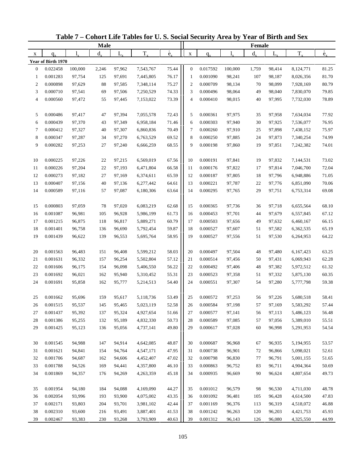|                  |                    |         | <b>Male</b> |        |           |                          |                |          |         | Female      |         |           |                          |
|------------------|--------------------|---------|-------------|--------|-----------|--------------------------|----------------|----------|---------|-------------|---------|-----------|--------------------------|
| X                | $q_{x}$            |         | $d_{\rm v}$ | L,     | $T_{x}$   | $\overset{\circ}{e}_{x}$ | $\mathbf X$    | $q_{x}$  |         | $d_{\rm v}$ | $L_{x}$ | $T_{x}$   | $\overset{\circ}{e}_{x}$ |
|                  | Year of Birth 1970 |         |             |        |           |                          |                |          |         |             |         |           |                          |
| $\boldsymbol{0}$ | 0.022458           | 100,000 | 2,246       | 97,962 | 7,543,767 | 75.44                    | $\mathbf{0}$   | 0.017592 | 100,000 | 1,759       | 98,414  | 8,124,771 | 81.25                    |
| 1                | 0.001283           | 97,754  | 125         | 97,691 | 7,445,805 | 76.17                    | -1             | 0.001090 | 98,241  | 107         | 98,187  | 8,026,356 | 81.70                    |
| $\overline{c}$   | 0.000898           | 97,629  | 88          | 97,585 | 7,348,114 | 75.27                    | $\overline{2}$ | 0.000709 | 98,134  | 70          | 98,099  | 7,928,169 | 80.79                    |
| 3                | 0.000710           | 97,541  | 69          | 97,506 | 7,250,529 | 74.33                    | 3              | 0.000496 | 98,064  | 49          | 98,040  | 7,830,070 | 79.85                    |
| 4                | 0.000560           | 97,472  | 55          | 97,445 | 7,153,022 | 73.39                    | $\overline{4}$ | 0.000410 | 98,015  | 40          | 97,995  | 7,732,030 | 78.89                    |
| 5                | 0.000486           | 97,417  | 47          | 97,394 | 7,055,578 | 72.43                    | 5              | 0.000361 | 97,975  | 35          | 97,958  | 7,634,034 | 77.92                    |
| 6                | 0.000439           | 97,370  | 43          | 97,349 | 6,958,184 | 71.46                    | 6              | 0.000303 | 97,940  | 30          | 97,925  | 7,536,077 | 76.95                    |
| 7                | 0.000412           | 97,327  | 40          | 97,307 | 6,860,836 | 70.49                    | $\tau$         | 0.000260 | 97,910  | 25          | 97,898  | 7,438,152 | 75.97                    |
| 8                | 0.000347           | 97,287  | 34          | 97,270 | 6,763,529 | 69.52                    | 8              | 0.000250 | 97,885  | 24          | 97,873  | 7,340,254 | 74.99                    |
| 9                | 0.000282           | 97,253  | 27          | 97,240 | 6,666,259 | 68.55                    | 9              | 0.000198 | 97,860  | 19          | 97,851  | 7,242,382 | 74.01                    |
| 10               | 0.000225           | 97,226  | 22          | 97,215 | 6,569,019 | 67.56                    | 10             | 0.000191 | 97,841  | 19          | 97,832  | 7,144,531 | 73.02                    |
| 11               | 0.000226           | 97,204  | 22          | 97,193 | 6,471,804 | 66.58                    | 11             | 0.000176 | 97,822  | 17          | 97,814  | 7,046,700 | 72.04                    |
| 12               | 0.000273           | 97,182  | 27          | 97,169 | 6,374,611 | 65.59                    | 12             | 0.000187 | 97,805  | 18          | 97,796  | 6,948,886 | 71.05                    |
| 13               | 0.000407           | 97,156  | 40          | 97,136 | 6,277,442 | 64.61                    | 13             | 0.000221 | 97,787  | 22          | 97,776  | 6,851,090 | 70.06                    |
| 14               | 0.000589           | 97,116  | 57          | 97,087 | 6,180,306 | 63.64                    | 14             | 0.000295 | 97,765  | 29          | 97,751  | 6,753,314 | 69.08                    |
| 15               | 0.000803           | 97,059  | 78          | 97,020 | 6,083,219 | 62.68                    | 15             | 0.000365 | 97,736  | 36          | 97,718  | 6,655,564 | 68.10                    |
| 16               | 0.001087           | 96,981  | 105         | 96,928 | 5,986,199 | 61.73                    | 16             | 0.000453 | 97,701  | 44          | 97,679  | 6,557,845 | 67.12                    |
| 17               | 0.001215           | 96,875  | 118         | 96,817 | 5,889,271 | 60.79                    | 17             | 0.000503 | 97,656  | 49          | 97,632  | 6,460,167 | 66.15                    |
| 18               | 0.001401           | 96,758  | 136         | 96,690 | 5,792,454 | 59.87                    | 18             | 0.000527 | 97,607  | 51          | 97,582  | 6,362,535 | 65.19                    |
| 19               | 0.001439           | 96,622  | 139         | 96,553 | 5,695,764 | 58.95                    | 19             | 0.000527 | 97,556  | 51          | 97,530  | 6,264,953 | 64.22                    |
| 20               | 0.001563           | 96,483  | 151         | 96,408 | 5,599,212 | 58.03                    | 20             | 0.000497 | 97,504  | 48          | 97,480  | 6,167,423 | 63.25                    |
| 21               | 0.001631           | 96,332  | 157         | 96,254 | 5,502,804 | 57.12                    | 21             | 0.000514 | 97,456  | 50          | 97,431  | 6,069,943 | 62.28                    |
| 22               | 0.001606           | 96,175  | 154         | 96,098 | 5,406,550 | 56.22                    | 22             | 0.000492 | 97,406  | 48          | 97,382  | 5,972,512 | 61.32                    |
| 23               | 0.001692           | 96,021  | 162         | 95,940 | 5,310,452 | 55.31                    | 23             | 0.000523 | 97,358  | 51          | 97,332  | 5,875,130 | 60.35                    |
| 24               | 0.001691           | 95,858  | 162         | 95,777 | 5,214,513 | 54.40                    | 24             | 0.000551 | 97,307  | 54          | 97,280  | 5,777,798 | 59.38                    |
| 25               | 0.001662           | 95,696  | 159         | 95,617 | 5,118,736 | 53.49                    | 25             | 0.000572 | 97,253  | 56          | 97,226  | 5,680,518 | 58.41                    |
| 26               | 0.001515           | 95,537  | 145         | 95,465 | 5,023,119 | 52.58                    | 26             | 0.000584 | 97,198  | 57          | 97,169  | 5,583,292 | 57.44                    |
| 27               | 0.001437           | 95,392  | 137         | 95,324 | 4,927,654 | 51.66                    | 27             | 0.000577 | 97,141  | 56          | 97,113  | 5,486,123 | 56.48                    |
| 28               | 0.001386           | 95,255  | 132         | 95,189 | 4,832,330 | 50.73                    | 28             | 0.000589 | 97,085  | 57          | 97,056  | 5,389,010 | 55.51                    |
| 29               | 0.001425           | 95,123  | 136         | 95,056 | 4,737,141 | 49.80                    | 29             | 0.000617 | 97,028  | 60          | 96,998  | 5,291,953 | 54.54                    |
| 30               | 0.001545           | 94,988  | 147         | 94,914 | 4,642,085 | 48.87                    | 30             | 0.000687 | 96,968  | 67          | 96,935  | 5,194,955 | 53.57                    |
| 31               | 0.001621           | 94,841  | 154         | 94,764 | 4,547,171 | 47.95                    | 31             | 0.000738 | 96,901  | 72          | 96,866  | 5,098,021 | 52.61                    |
| 32               | 0.001706           | 94,687  | 162         | 94,606 | 4,452,407 | 47.02                    | 32             | 0.000798 | 96,830  | 77          | 96,791  | 5,001,155 | 51.65                    |
| 33               | 0.001788           | 94,526  | 169         | 94,441 | 4,357,800 | 46.10                    | 33             | 0.000863 | 96,752  | 83          | 96,711  | 4,904,364 | 50.69                    |
| 34               | 0.001869           | 94,357  | 176         | 94,269 | 4,263,359 | 45.18                    | 34             | 0.000935 | 96,669  | 90          | 96,624  | 4,807,654 | 49.73                    |
|                  |                    |         |             |        |           |                          |                |          |         |             |         |           |                          |
| 35               | 0.001954           | 94,180  | 184         | 94,088 | 4,169,090 | 44.27                    | 35             | 0.001012 | 96,579  | 98          | 96,530  | 4,711,030 | 48.78                    |
| 36               | 0.002054           | 93,996  | 193         | 93,900 | 4,075,002 | 43.35                    | 36             | 0.001092 | 96,481  | 105         | 96,428  | 4,614,500 | 47.83                    |
| 37               | 0.002171           | 93,803  | 204         | 93,701 | 3,981,102 | 42.44                    | 37             | 0.001169 | 96,376  | 113         | 96,319  | 4,518,072 | 46.88                    |
| 38               | 0.002310           | 93,600  | 216         | 93,491 | 3,887,401 | 41.53                    | 38             | 0.001242 | 96,263  | 120         | 96,203  | 4,421,753 | 45.93                    |
| 39               | 0.002467           | 93,383  | 230         | 93,268 | 3,793,909 | 40.63                    | 39             | 0.001312 | 96,143  | 126         | 96,080  | 4,325,550 | 44.99                    |

**Table 7 – Cohort Life Tables for U. S. Social Security Area by Year of Birth and Sex**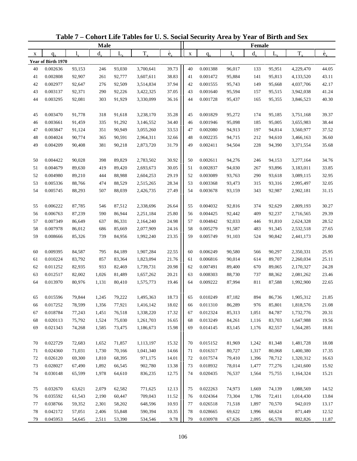|    |                    |           | <b>Male</b> |             |           |                          |             |          |        | Female  |         |           |                          |
|----|--------------------|-----------|-------------|-------------|-----------|--------------------------|-------------|----------|--------|---------|---------|-----------|--------------------------|
| X  | $q_{\rm v}$        | $l_{\nu}$ | $d_{x}$     | $L_{\rm v}$ | $T_{x}$   | $\overset{\circ}{e}_{x}$ | $\mathbf X$ | $q_{x}$  | 1.     | $d_{x}$ | $L_{x}$ | $T_{x}$   | $\overset{\circ}{e}_{x}$ |
|    | Year of Birth 1970 |           |             |             |           |                          |             |          |        |         |         |           |                          |
| 40 | 0.002636           | 93,153    | 246         | 93,030      | 3,700,641 | 39.73                    | 40          | 0.001388 | 96,017 | 133     | 95,951  | 4,229,470 | 44.05                    |
| 41 | 0.002808           | 92,907    | 261         | 92,777      | 3,607,611 | 38.83                    | 41          | 0.001472 | 95,884 | 141     | 95,813  | 4,133,520 | 43.11                    |
| 42 | 0.002977           | 92,647    | 276         | 92,509      | 3,514,834 | 37.94                    | 42          | 0.001555 | 95,743 | 149     | 95,668  | 4,037,706 | 42.17                    |
| 43 | 0.003137           | 92,371    | 290         | 92,226      | 3,422,325 | 37.05                    | 43          | 0.001640 | 95,594 | 157     | 95,515  | 3,942,038 | 41.24                    |
| 44 | 0.003295           | 92,081    | 303         | 91,929      | 3,330,099 | 36.16                    | 44          | 0.001728 | 95,437 | 165     | 95,355  | 3,846,523 | 40.30                    |
|    |                    |           |             |             |           |                          |             |          |        |         |         |           |                          |
| 45 | 0.003470           | 91,778    | 318         | 91,618      | 3,238,170 | 35.28                    | 45          | 0.001829 | 95,272 | 174     | 95,185  | 3,751,168 | 39.37                    |
| 46 | 0.003661           | 91,459    | 335         | 91,292      | 3,146,552 | 34.40                    | 46          | 0.001946 | 95,098 | 185     | 95,005  | 3,655,983 | 38.44                    |
| 47 | 0.003847           | 91,124    | 351         | 90,949      | 3,055,260 | 33.53                    | 47          | 0.002080 | 94,913 | 197     | 94,814  | 3,560,977 | 37.52                    |
| 48 | 0.004024           | 90,774    | 365         | 90,591      | 2,964,311 | 32.66                    | 48          | 0.002235 | 94,715 | 212     | 94,610  | 3,466,163 | 36.60                    |
| 49 | 0.004209           | 90,408    | 381         | 90,218      | 2,873,720 | 31.79                    | 49          | 0.002411 | 94,504 | 228     | 94,390  | 3,371,554 | 35.68                    |
|    |                    |           |             |             |           |                          |             |          |        |         |         |           |                          |
| 50 | 0.004422           | 90,028    | 398         | 89,829      | 2,783,502 | 30.92                    | 50          | 0.002611 | 94,276 | 246     | 94,153  | 3,277,164 | 34.76                    |
| 51 | 0.004679           | 89,630    | 419         | 89,420      | 2,693,673 | 30.05                    | 51          | 0.002837 | 94,030 | 267     | 93,896  | 3,183,011 | 33.85                    |
| 52 | 0.004980           | 89,210    | 444         | 88,988      | 2,604,253 | 29.19                    | 52          | 0.003089 | 93,763 | 290     | 93,618  | 3,089,115 | 32.95                    |
| 53 | 0.005336           | 88,766    | 474         | 88,529      | 2,515,265 | 28.34                    | 53          | 0.003368 | 93,473 | 315     | 93,316  | 2,995,497 | 32.05                    |
| 54 | 0.005745           | 88,293    | 507         | 88,039      | 2,426,735 | 27.49                    | 54          | 0.003678 | 93,159 | 343     | 92,987  | 2,902,181 | 31.15                    |
|    |                    |           |             |             |           |                          |             |          |        |         |         |           |                          |
| 55 | 0.006222           | 87,785    | 546         | 87,512      | 2,338,696 | 26.64                    | 55          | 0.004032 | 92,816 | 374     | 92,629  | 2,809,193 | 30.27                    |
| 56 | 0.006763           | 87,239    | 590         | 86,944      | 2,251,184 | 25.80                    | 56          | 0.004425 | 92,442 | 409     | 92,237  | 2,716,565 | 29.39                    |
| 57 | 0.007349           | 86,649    | 637         | 86,331      | 2,164,240 | 24.98                    | 57          | 0.004842 | 92,033 | 446     | 91,810  | 2,624,328 | 28.52                    |
| 58 | 0.007978           | 86,012    | 686         | 85,669      | 2,077,909 | 24.16                    | 58          | 0.005279 | 91,587 | 483     | 91,345  | 2,532,518 | 27.65                    |
| 59 | 0.008666           | 85,326    | 739         | 84,956      | 1,992,240 | 23.35                    | 59          | 0.005749 | 91,103 | 524     | 90,842  | 2,441,173 | 26.80                    |
|    |                    |           |             |             |           |                          |             |          |        |         |         |           |                          |
| 60 | 0.009395           | 84,587    | 795         | 84,189      | 1,907,284 | 22.55                    | 60          | 0.006249 | 90,580 | 566     | 90,297  | 2,350,331 | 25.95                    |
| 61 | 0.010224           | 83,792    | 857         | 83,364      | 1,823,094 | 21.76                    | 61          | 0.006816 | 90,014 | 614     | 89,707  | 2,260,034 | 25.11                    |
| 62 | 0.011252           | 82,935    | 933         | 82,469      | 1,739,731 | 20.98                    | 62          | 0.007491 | 89,400 | 670     | 89,065  | 2,170,327 | 24.28                    |
| 63 | 0.012517           | 82,002    | 1,026       | 81,489      | 1,657,262 | 20.21                    | 63          | 0.008303 | 88,730 | 737     | 88,362  | 2,081,262 | 23.46                    |
| 64 | 0.013970           | 80,976    | 1,131       | 80,410      | 1,575,773 | 19.46                    | 64          | 0.009222 | 87,994 | 811     | 87,588  | 1,992,900 | 22.65                    |
|    |                    |           |             |             |           |                          |             |          |        |         |         |           |                          |
| 65 | 0.015596           | 79,844    | 1,245       | 79,222      | 1,495,363 | 18.73                    | 65          | 0.010249 | 87,182 | 894     | 86,736  | 1,905,312 | 21.85                    |
| 66 | 0.017252           | 78,599    | 1,356       | 77,921      | 1,416,142 | 18.02                    | 66          | 0.011310 | 86,289 | 976     | 85,801  | 1,818,576 | 21.08                    |
| 67 | 0.018784           | 77,243    | 1,451       | 76,518      | 1,338,220 | 17.32                    | 67          | 0.012324 | 85,313 | 1,051   | 84,787  | 1,732,776 | 20.31                    |
| 68 | 0.020113           | 75,792    | 1,524       | 75,030      | 1,261,703 | 16.65                    | 68          | 0.013249 | 84,261 | 1,116   | 83,703  | 1,647,988 | 19.56                    |
| 69 | 0.021343           | 74,268    | 1,585       | 73,475      | 1,186,673 | 15.98                    | 69          | 0.014145 | 83,145 | 1,176   | 82,557  | 1,564,285 | 18.81                    |
|    |                    |           |             |             |           |                          |             |          |        |         |         |           |                          |
| 70 | 0.022729           | 72,683    | 1,652       | 71,857      | 1,113,197 | 15.32                    | 70          | 0.015152 | 81,969 | 1,242   | 81,348  | 1,481,728 | 18.08                    |
| 71 | 0.024360           | 71,031    | 1,730       | 70,166      | 1,041,340 | 14.66                    | 71          | 0.016317 | 80,727 | 1,317   | 80,068  | 1,400,380 | 17.35                    |
| 72 | 0.026120           | 69,300    | 1,810       | 68,395      | 971,175   | 14.01                    | 72          | 0.017574 | 79,410 | 1,396   | 78,712  | 1,320,312 | 16.63                    |
| 73 | 0.028027           | 67,490    | 1,892       | 66,545      | 902,780   | 13.38                    | 73          | 0.018932 | 78,014 | 1,477   | 77,276  | 1,241,600 | 15.92                    |
| 74 | 0.030148           | 65,599    | 1,978       | 64,610      | 836,235   | 12.75                    | 74          | 0.020435 | 76,537 | 1,564   | 75,755  | 1,164,324 | 15.21                    |
|    |                    |           |             |             |           |                          |             |          |        |         |         |           |                          |
| 75 | 0.032670           | 63,621    | 2,079       | 62,582      | 771,625   | 12.13                    | 75          | 0.022263 | 74,973 | 1,669   | 74,139  | 1,088,569 | 14.52                    |
| 76 | 0.035592           | 61,543    | 2,190       | 60,447      | 709,043   | 11.52                    | 76          | 0.024364 | 73,304 | 1,786   | 72,411  | 1,014,430 | 13.84                    |
| 77 | 0.038766           | 59,352    | 2,301       | 58,202      | 648,596   | 10.93                    | 77          | 0.026518 | 71,518 | 1,897   | 70,570  | 942,019   | 13.17                    |
| 78 | 0.042172           | 57,051    | 2,406       | 55,848      | 590,394   | 10.35                    | 78          | 0.028665 | 69,622 | 1,996   | 68,624  | 871,449   | 12.52                    |
| 79 | 0.045953           | 54,645    | 2,511       | 53,390      | 534,546   | 9.78                     | 79          | 0.030978 | 67,626 | 2,095   | 66,578  | 802,826   | 11.87                    |

**Table 7 – Cohort Life Tables for U. S. Social Security Area by Year of Birth and Sex**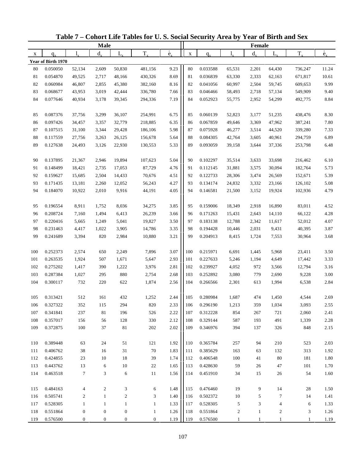|     |                    |                  | <b>Male</b>      |                  |                  |                          |             |          |              | <b>Female</b> |                          |              |                          |
|-----|--------------------|------------------|------------------|------------------|------------------|--------------------------|-------------|----------|--------------|---------------|--------------------------|--------------|--------------------------|
| X   | $q_{x}$            | $l_{\rm v}$      | $d_{x}$          | $L_{\rm x}$      | $T_{x}$          | $\overset{\circ}{e}_{x}$ | $\mathbf X$ | $q_{x}$  |              | $d_{\rm v}$   | $L_{x}$                  | $T_{x}$      | $\overset{\circ}{e}_{x}$ |
|     | Year of Birth 1970 |                  |                  |                  |                  |                          |             |          |              |               |                          |              |                          |
| 80  | 0.050050           | 52,134           | 2,609            | 50,830           | 481,156          | 9.23                     | 80          | 0.033588 | 65,531       | 2,201         | 64,430                   | 736,247      | 11.24                    |
| 81  | 0.054870           | 49,525           | 2,717            | 48,166           | 430,326          | 8.69                     | 81          | 0.036839 | 63,330       | 2,333         | 62,163                   | 671,817      | 10.61                    |
| 82  | 0.060984           | 46,807           | 2,855            | 45,380           | 382,160          | 8.16                     | 82          | 0.041056 | 60,997       | 2,504         | 59,745                   | 609,653      | 9.99                     |
| 83  | 0.068677           | 43,953           | 3,019            | 42,444           | 336,780          | 7.66                     | 83          | 0.046466 | 58,493       | 2,718         | 57,134                   | 549,909      | 9.40                     |
| 84  | 0.077646           | 40,934           | 3,178            | 39,345           | 294,336          | 7.19                     | 84          | 0.052923 | 55,775       | 2,952         | 54,299                   | 492,775      | 8.84                     |
|     |                    |                  |                  |                  |                  |                          |             |          |              |               |                          |              |                          |
| 85  | 0.087376           | 37,756           | 3,299            | 36,107           | 254,991          | 6.75                     | 85          | 0.060139 | 52,823       | 3,177         | 51,235                   | 438,476      | 8.30                     |
| 86  | 0.097426           | 34,457           | 3,357            | 32,779           | 218,885          | 6.35                     | 86          | 0.067859 | 49,646       | 3,369         | 47,962                   | 387,241      | $7.80\,$                 |
| 87  | 0.107515           | 31,100           | 3,344            | 29,428           | 186,106          | 5.98                     | 87          | 0.075928 | 46,277       | 3,514         | 44,520                   | 339,280      | 7.33                     |
| 88  | 0.117559           | 27,756           | 3,263            | 26,125           | 156,678          | 5.64                     | 88          | 0.084305 | 42,764       | 3,605         | 40,961                   | 294,759      | 6.89                     |
| 89  | 0.127638           | 24,493           | 3,126            | 22,930           | 130,553          | 5.33                     | 89          | 0.093059 | 39,158       | 3,644         | 37,336                   | 253,798      | 6.48                     |
| 90  | 0.137895           | 21,367           | 2,946            | 19,894           | 107,623          | 5.04                     | 90          | 0.102297 | 35,514       | 3,633         | 33,698                   | 216,462      | 6.10                     |
| 91  | 0.148499           | 18,421           | 2,735            | 17,053           | 87,729           | 4.76                     | 91          | 0.112145 | 31,881       | 3,575         | 30,094                   | 182,764      | 5.73                     |
| 92  | 0.159627           | 15,685           | 2,504            | 14,433           | 70,676           | 4.51                     | 92          | 0.122733 | 28,306       | 3,474         | 26,569                   | 152,671      | 5.39                     |
| 93  | 0.171435           | 13,181           | 2,260            | 12,052           | 56,243           | 4.27                     | 93          | 0.134174 | 24,832       | 3,332         | 23,166                   | 126,102      | 5.08                     |
| 94  | 0.184070           | 10,922           | 2,010            | 9,916            | 44,191           | 4.05                     | 94          | 0.146581 | 21,500       | 3,152         | 19,924                   | 102,936      | 4.79                     |
|     |                    |                  |                  |                  |                  |                          |             |          |              |               |                          |              |                          |
| 95  | 0.196554           | 8,911            | 1,752            | 8,036            | 34,275           | 3.85                     | 95          | 0.159006 | 18,349       | 2,918         | 16,890                   | 83,011       | 4.52                     |
| 96  | 0.208724           | 7,160            | 1,494            | 6,413            | 26,239           | 3.66                     | 96          | 0.171263 | 15,431       | 2,643         | 14,110                   | 66,122       | 4.28                     |
| 97  | 0.220416           | 5,665            | 1,249            | 5,041            | 19,827           | 3.50                     | 97          | 0.183138 | 12,788       | 2,342         | 11,617                   | 52,012       | 4.07                     |
| 98  | 0.231463           | 4,417            | 1,022            | 3,905            | 14,786           | 3.35                     | 98          | 0.194428 | 10,446       | 2,031         | 9,431                    | 40,395       | 3.87                     |
| 99  | 0.241689           | 3,394            | 820              | 2,984            | 10,880           | 3.21                     | 99          | 0.204913 | 8,415        | 1,724         | 7,553                    | 30,964       | 3.68                     |
|     |                    |                  |                  |                  |                  |                          |             |          |              |               |                          |              |                          |
| 100 | 0.252373           | 2,574            | 650              | 2,249            | 7,896            | 3.07                     | 100         | 0.215971 | 6,691        | 1,445         | 5,968                    | 23,411       | 3.50                     |
| 101 | 0.263535           | 1,924            | 507              | 1,671            | 5,647            | 2.93                     | 101         | 0.227633 | 5,246        | 1,194         | 4,649                    | 17,442       | 3.33                     |
| 102 | 0.275202           | 1,417            | 390              | 1,222            | 3,976            | 2.81                     | 102         | 0.239927 | 4,052        | 972           | 3,566                    | 12,794       | 3.16                     |
| 103 | 0.287384           | 1,027            | 295              | 880              | 2,754            | 2.68                     | 103         | 0.252892 | 3,080        | 779           | 2,690                    | 9,228        | $3.00\,$                 |
| 104 | 0.300117           | 732              | 220              | 622              | 1,874            | 2.56                     | 104         | 0.266566 | 2,301        | 613           | 1,994                    | 6,538        | 2.84                     |
|     |                    |                  |                  |                  |                  |                          |             |          |              |               |                          |              |                          |
| 105 | 0.313421           | 512              | 161              | 432              | 1,252            | 2.44                     | 105         | 0.280984 | 1,687        | 474           | 1,450                    | 4,544        | 2.69                     |
| 106 | 0.327322           | 352              | 115              | 294              | 820              | 2.33                     | 106         | 0.296190 | 1,213        | 359           | 1,034                    | 3,093        | 2.55                     |
| 107 | 0.341841           | 237              | 81               | 196              | 526              | 2.22                     | 107         | 0.312228 | 854          | 267           | 721                      | 2,060        | 2.41                     |
| 108 | 0.357017           | 156              | 56               | 128              | 330              | 2.12                     | 108         | 0.329144 | 587          | 193           | 491                      | 1,339        | 2.28                     |
| 109 | 0.372875           | 100              | 37               | $81\,$           | $202\,$          | 2.02                     | 109         | 0.346976 | 394          | 137           | 326                      | 848          | 2.15                     |
| 110 | 0.389448           | 63               | 24               | 51               | 121              | 1.92                     | 110         | 0.365784 | 257          | 94            | 210                      | 523          | 2.03                     |
| 111 | 0.406762           | 38               | 16               | 31               | 70               | 1.83                     | 111         | 0.385629 | 163          | 63            | 132                      | 313          | 1.92                     |
| 112 | 0.424855           | 23               | $10\,$           | 18               | 39               | 1.74                     | 112         | 0.406548 | 100          | 41            | 80                       | 181          | 1.80                     |
| 113 | 0.443762           | 13               | 6                | 10               | 22               | 1.65                     | 113         | 0.428630 | 59           | 26            | 47                       | 101          | 1.70                     |
| 114 | 0.463518           | $\tau$           | 3                | 6                | 11               | 1.56                     | 114         | 0.451910 | 34           | 15            | 26                       | 54           | 1.60                     |
|     |                    |                  |                  |                  |                  |                          |             |          |              |               |                          |              |                          |
| 115 | 0.484163           | 4                | $\overline{c}$   | 3                | 6                | 1.48                     | 115         | 0.476460 | 19           | 9             | 14                       | 28           | 1.50                     |
| 116 | 0.505741           | $\overline{c}$   | $\mathbf{1}$     | $\boldsymbol{2}$ | 3                | 1.40                     | 116         | 0.502372 | 10           | 5             | 7                        | 14           | 1.41                     |
| 117 | 0.528305           | $\mathbf{1}$     | $\mathbf{1}$     | $\mathbf{1}$     | $\mathbf{1}$     | 1.33                     | 117         | 0.528305 | $\sqrt{5}$   | 3             | $\overline{\mathcal{L}}$ | 6            | 1.33                     |
| 118 | 0.551864           | $\boldsymbol{0}$ | $\boldsymbol{0}$ | $\boldsymbol{0}$ | $\mathbf{1}$     | 1.26                     | 118         | 0.551864 | $\sqrt{2}$   | $\mathbf{1}$  | 2                        | 3            | 1.26                     |
| 119 | 0.576500           | 0                | $\boldsymbol{0}$ | $\boldsymbol{0}$ | $\boldsymbol{0}$ | 1.19                     | 119         | 0.576500 | $\mathbf{1}$ | $\mathbf{1}$  | $\mathbf{1}$             | $\mathbf{1}$ | 1.19                     |

**Table 7 – Cohort Life Tables for U. S. Social Security Area by Year of Birth and Sex**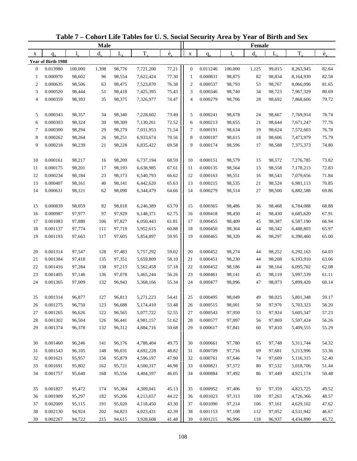|                  |                    |         | <b>Male</b> |        |           |                          |                |          |         | Female      |         |           |                          |
|------------------|--------------------|---------|-------------|--------|-----------|--------------------------|----------------|----------|---------|-------------|---------|-----------|--------------------------|
| X                | $q_{x}$            |         | $d_{\rm v}$ | L,     | $T_{x}$   | $\overset{\circ}{e}_{x}$ | $\mathbf X$    | $q_{x}$  |         | $d_{\rm v}$ | $L_{x}$ | $T_{x}$   | $\overset{\circ}{e}_{x}$ |
|                  | Year of Birth 1980 |         |             |        |           |                          |                |          |         |             |         |           |                          |
| $\boldsymbol{0}$ | 0.013980           | 100,000 | 1,398       | 98,776 | 7,721,200 | 77.21                    | $\mathbf{0}$   | 0.011246 | 100,000 | 1,125       | 99,015  | 8,263,945 | 82.64                    |
| 1                | 0.000970           | 98,602  | 96          | 98,554 | 7,622,424 | 77.30                    | -1             | 0.000831 | 98,875  | 82          | 98,834  | 8,164,930 | 82.58                    |
| $\overline{c}$   | 0.000635           | 98,506  | 63          | 98,475 | 7,523,870 | 76.38                    | $\overline{2}$ | 0.000537 | 98,793  | 53          | 98,767  | 8,066,096 | 81.65                    |
| 3                | 0.000520           | 98,444  | 51          | 98,418 | 7,425,395 | 75.43                    | 3              | 0.000346 | 98,740  | 34          | 98,723  | 7,967,329 | 80.69                    |
| 4                | 0.000359           | 98,393  | 35          | 98,375 | 7,326,977 | 74.47                    | $\overline{4}$ | 0.000279 | 98,706  | 28          | 98,692  | 7,868,606 | 79.72                    |
| 5                | 0.000343           | 98,357  | 34          | 98,340 | 7,228,602 | 73.49                    | 5              | 0.000241 | 98,678  | 24          | 98,667  | 7,769,914 | 78.74                    |
| 6                | 0.000303           | 98,324  | 30          | 98,309 | 7,130,261 | 72.52                    | 6              | 0.000213 | 98,655  | 21          | 98,644  | 7,671,247 | 77.76                    |
| 7                | 0.000300           | 98,294  | 29          | 98,279 | 7,031,953 | 71.54                    | $\tau$         | 0.000191 | 98,634  | 19          | 98,624  | 7,572,603 | 76.78                    |
| 8                | 0.000262           | 98,264  | 26          | 98,251 | 6,933,674 | 70.56                    | 8              | 0.000187 | 98,615  | 18          | 98,606  | 7,473,979 | 75.79                    |
| 9                | 0.000218           | 98,239  | 21          | 98,228 | 6,835,422 | 69.58                    | 9              | 0.000174 | 98,596  | 17          | 98,588  | 7,375,373 | 74.80                    |
| 10               | 0.000161           | 98,217  | 16          | 98,209 | 6,737,194 | 68.59                    | 10             | 0.000151 | 98,579  | 15          | 98,572  | 7,276,785 | 73.82                    |
| 11               | 0.000175           | 98,201  | 17          | 98,193 | 6,638,985 | 67.61                    | 11             | 0.000135 | 98,564  | 13          | 98,558  | 7,178,213 | 72.83                    |
| 12               | 0.000234           | 98,184  | 23          | 98,173 | 6,540,793 | 66.62                    | 12             | 0.000163 | 98,551  | 16          | 98,543  | 7,079,656 | 71.84                    |
| 13               | 0.000407           | 98,161  | 40          | 98,141 | 6,442,620 | 65.63                    | 13             | 0.000215 | 98,535  | 21          | 98,524  | 6,981,113 | 70.85                    |
| 14               | 0.000631           | 98,121  | 62          | 98,090 | 6,344,479 | 64.66                    | 14             | 0.000279 | 98,514  | 27          | 98,500  | 6,882,588 | 69.86                    |
|                  |                    |         |             |        |           |                          |                |          |         |             |         |           |                          |
| 15               | 0.000839           | 98,059  | 82          | 98,018 | 6,246,389 | 63.70                    | 15             | 0.000365 | 98,486  | 36          | 98,468  | 6,784,088 | 68.88                    |
| 16               | 0.000987           | 97,977  | 97          | 97,929 | 6,148,371 | 62.75                    | 16             | 0.000418 | 98,450  | 41          | 98,430  | 6,685,620 | 67.91                    |
| 17               | 0.001083           | 97,880  | 106         | 97,827 | 6,050,443 | 61.81                    | 17             | 0.000455 | 98,409  | 45          | 98,387  | 6,587,190 | 66.94                    |
| 18               | 0.001137           | 97,774  | 111         | 97,719 | 5,952,615 | 60.88                    | 18             | 0.000450 | 98,364  | 44          | 98,342  | 6,488,803 | 65.97                    |
| 19               | 0.001193           | 97,663  | 117         | 97,605 | 5,854,897 | 59.95                    | 19             | 0.000465 | 98,320  | 46          | 98,297  | 6,390,460 | 65.00                    |
| 20               | 0.001314           | 97,547  | 128         | 97,483 | 5,757,292 | 59.02                    | 20             | 0.000452 | 98,274  | 44          | 98,252  | 6,292,163 | 64.03                    |
| 21               | 0.001384           | 97,418  | 135         | 97,351 | 5,659,809 | 58.10                    | 21             | 0.000451 | 98,230  | 44          | 98,208  | 6,193,910 | 63.06                    |
| 22               | 0.001416           | 97,284  | 138         | 97,215 | 5,562,458 | 57.18                    | 22             | 0.000452 | 98,186  | 44          | 98,164  | 6,095,702 | 62.08                    |
| 23               | 0.001405           | 97,146  | 136         | 97,078 | 5,465,244 | 56.26                    | 23             | 0.000461 | 98,141  | 45          | 98,119  | 5,997,539 | 61.11                    |
| 24               | 0.001365           | 97,009  | 132         | 96,943 | 5,368,166 | 55.34                    | 24             | 0.000477 | 98,096  | 47          | 98,073  | 5,899,420 | 60.14                    |
| 25               | 0.001314           | 96,877  | 127         | 96,813 | 5,271,223 | 54.41                    | 25             | 0.000495 | 98,049  | 49          | 98,025  | 5,801,348 | 59.17                    |
| 26               | 0.001275           | 96,750  | 123         | 96,688 | 5,174,410 | 53.48                    | 26             | 0.000515 | 98,001  | 50          | 97,976  | 5,703,323 | 58.20                    |
| 27               | 0.001265           | 96,626  | 122         | 96,565 | 5,077,722 | 52.55                    | 27             | 0.000543 | 97,950  | 53          | 97,924  | 5,605,347 | 57.23                    |
| 28               | 0.001302           | 96,504  | 126         | 96,441 | 4,981,157 | 51.62                    | 28             | 0.000577 | 97,897  | 56          | 97,869  | 5,507,424 | 56.26                    |
| 29               | 0.001374           | 96,378  | 132         | 96,312 | 4,884,716 | 50.68                    | 29             | 0.000617 | 97,841  | 60          | 97,810  | 5,409,555 | 55.29                    |
| 30               | 0.001460           | 96,246  | 141         | 96,176 | 4,788,404 | 49.75                    | 30             | 0.000661 | 97,780  | 65          | 97,748  | 5,311,744 | 54.32                    |
| 31               | 0.001543           | 96,105  | 148         | 96,031 | 4,692,228 | 48.82                    | 31             | 0.000709 | 97,716  | 69          | 97,681  | 5,213,996 | 53.36                    |
| 32               | 0.001621           | 95,957  | 156         | 95,879 | 4,596,197 | 47.90                    | 32             | 0.000761 | 97,646  | 74          | 97,609  | 5,116,315 | 52.40                    |
| 33               | 0.001691           | 95,802  | 162         | 95,721 | 4,500,317 | 46.98                    | 33             | 0.000821 | 97,572  | 80          | 97,532  | 5,018,706 | 51.44                    |
| 34               | 0.001757           | 95,640  | 168         | 95,556 | 4,404,597 | 46.05                    | 34             | 0.000884 | 97,492  | 86          | 97,449  | 4,921,174 | 50.48                    |
|                  |                    |         |             |        |           |                          |                |          |         |             |         |           |                          |
| 35               | 0.001827           | 95,472  | 174         | 95,384 | 4,309,041 | 45.13                    | 35             | 0.000952 | 97,406  | 93          | 97,359  | 4,823,725 | 49.52                    |
| 36               | 0.001909           | 95,297  | 182         | 95,206 | 4,213,657 | 44.22                    | 36             | 0.001023 | 97,313  | 100         | 97,263  | 4,726,366 | 48.57                    |
| 37               | 0.002009           | 95,115  | 191         | 95,020 | 4,118,450 | 43.30                    | 37             | 0.001090 | 97,214  | 106         | 97,161  | 4,629,102 | 47.62                    |
| 38               | 0.002130           | 94,924  | 202         | 94,823 | 4,023,431 | 42.39                    | 38             | 0.001153 | 97,108  | 112         | 97,052  | 4,531,942 | 46.67                    |
| 39               | 0.002267           | 94,722  | 215         | 94,615 | 3,928,608 | 41.48                    | 39             | 0.001215 | 96,996  | 118         | 96,937  | 4,434,890 | 45.72                    |

**Table 7 – Cohort Life Tables for U. S. Social Security Area by Year of Birth and Sex**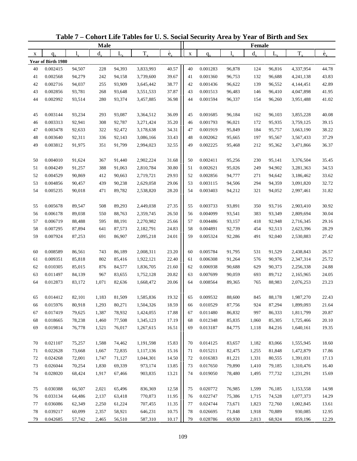|    |                    |        | <b>Male</b> |        |           |                          |             |          |        | Female      |         |           |                          |
|----|--------------------|--------|-------------|--------|-----------|--------------------------|-------------|----------|--------|-------------|---------|-----------|--------------------------|
| X  | $q_{x}$            | 1.     | $d_{\rm v}$ | L,     | $T_{x}$   | $\overset{\circ}{e}_{x}$ | $\mathbf X$ | $q_{x}$  |        | $d_{\rm v}$ | $L_{x}$ | $T_{x}$   | $\overset{\circ}{e}_{x}$ |
|    | Year of Birth 1980 |        |             |        |           |                          |             |          |        |             |         |           |                          |
| 40 | 0.002415           | 94,507 | 228         | 94,393 | 3,833,993 | 40.57                    | 40          | 0.001283 | 96,878 | 124         | 96,816  | 4,337,954 | 44.78                    |
| 41 | 0.002568           | 94,279 | 242         | 94,158 | 3,739,600 | 39.67                    | 41          | 0.001360 | 96,753 | 132         | 96,688  | 4,241,138 | 43.83                    |
| 42 | 0.002716           | 94,037 | 255         | 93,909 | 3,645,442 | 38.77                    | 42          | 0.001436 | 96,622 | 139         | 96,552  | 4,144,451 | 42.89                    |
| 43 | 0.002856           | 93,781 | 268         | 93,648 | 3,551,533 | 37.87                    | 43          | 0.001513 | 96,483 | 146         | 96,410  | 4,047,898 | 41.95                    |
| 44 | 0.002992           | 93,514 | 280         | 93,374 | 3,457,885 | 36.98                    | 44          | 0.001594 | 96,337 | 154         | 96,260  | 3,951,488 | 41.02                    |
| 45 | 0.003144           | 93,234 | 293         | 93,087 | 3,364,512 | 36.09                    | 45          | 0.001685 | 96,184 | 162         | 96,103  | 3,855,228 | 40.08                    |
| 46 | 0.003313           | 92,941 | 308         | 92,787 | 3,271,424 | 35.20                    | 46          | 0.001793 | 96,021 | 172         | 95,935  | 3,759,125 | 39.15                    |
| 47 | 0.003478           | 92,633 | 322         | 92,472 | 3,178,638 | 34.31                    | 47          | 0.001919 | 95,849 | 184         | 95,757  | 3,663,190 | 38.22                    |
| 48 | 0.003640           | 92,311 | 336         | 92,143 | 3,086,166 | 33.43                    | 48          | 0.002062 | 95,665 | 197         | 95,567  | 3,567,433 | 37.29                    |
| 49 | 0.003812           | 91,975 | 351         | 91,799 | 2,994,023 | 32.55                    | 49          | 0.002225 | 95,468 | 212         | 95,362  | 3,471,866 | 36.37                    |
| 50 | 0.004010           | 91,624 | 367         | 91,440 | 2,902,224 | 31.68                    | 50          | 0.002411 | 95,256 | 230         | 95,141  | 3,376,504 | 35.45                    |
| 51 | 0.004249           | 91,257 | 388         | 91,063 | 2,810,784 | 30.80                    | 51          | 0.002621 | 95,026 | 249         | 94,902  | 3,281,363 | 34.53                    |
| 52 | 0.004529           | 90,869 | 412         | 90,663 | 2,719,721 | 29.93                    | 52          | 0.002856 | 94,777 | 271         | 94,642  | 3,186,462 | 33.62                    |
| 53 | 0.004856           | 90,457 | 439         | 90,238 | 2,629,058 | 29.06                    | 53          | 0.003115 | 94,506 | 294         | 94,359  | 3,091,820 | 32.72                    |
| 54 | 0.005235           | 90,018 | 471         | 89,782 | 2,538,820 | 28.20                    | 54          | 0.003403 | 94,212 | 321         | 94,052  | 2,997,461 | 31.82                    |
| 55 | 0.005678           | 89,547 | 508         | 89,293 | 2,449,038 | 27.35                    | 55          | 0.003733 | 93,891 | 350         | 93,716  | 2,903,410 | 30.92                    |
| 56 | 0.006178           | 89,038 | 550         | 88,763 | 2,359,745 | 26.50                    | 56          | 0.004099 | 93,541 | 383         | 93,349  | 2,809,694 | 30.04                    |
| 57 | 0.006719           | 88,488 | 595         | 88,191 | 2,270,982 | 25.66                    | 57          | 0.004486 | 93,157 | 418         | 92,948  | 2,716,345 | 29.16                    |
| 58 | 0.007295           | 87,894 | 641         | 87,573 | 2,182,791 | 24.83                    | 58          | 0.004891 | 92,739 | 454         | 92,513  | 2,623,396 | 28.29                    |
| 59 | 0.007924           | 87,253 | 691         | 86,907 | 2,095,218 | 24.01                    | 59          | 0.005324 | 92,286 | 491         | 92,040  | 2,530,883 | 27.42                    |
|    |                    |        |             |        |           |                          |             |          |        |             |         |           |                          |
| 60 | 0.008589           | 86,561 | 743         | 86,189 | 2,008,311 | 23.20                    | 60          | 0.005784 | 91,795 | 531         | 91,529  | 2,438,843 | 26.57                    |
| 61 | 0.009351           | 85,818 | 802         | 85,416 | 1,922,121 | 22.40                    | 61          | 0.006308 | 91,264 | 576         | 90,976  | 2,347,314 | 25.72                    |
| 62 | 0.010305           | 85,015 | 876         | 84,577 | 1,836,705 | 21.60                    | 62          | 0.006938 | 90,688 | 629         | 90,373  | 2,256,338 | 24.88                    |
| 63 | 0.011497           | 84,139 | 967         | 83,655 | 1,752,128 | 20.82                    | 63          | 0.007699 | 90,059 | 693         | 89,712  | 2,165,965 | 24.05                    |
| 64 | 0.012873           | 83,172 | 1,071       | 82,636 | 1,668,472 | 20.06                    | 64          | 0.008564 | 89,365 | 765         | 88,983  | 2,076,253 | 23.23                    |
| 65 | 0.014412           | 82,101 | 1,183       | 81,509 | 1,585,836 | 19.32                    | 65          | 0.009532 | 88,600 | 845         | 88,178  | 1,987,270 | 22.43                    |
| 66 | 0.015976           | 80,918 | 1,293       | 80,271 | 1,504,326 | 18.59                    | 66          | 0.010529 | 87,756 | 924         | 87,294  | 1,899,093 | 21.64                    |
| 67 | 0.017419           | 79,625 | 1,387       | 78,932 | 1,424,055 | 17.88                    | 67          | 0.011480 | 86,832 | 997         | 86,333  | 1,811,799 | 20.87                    |
| 68 | 0.018665           | 78,238 | 1,460       | 77,508 | 1,345,123 | 17.19                    | 68          | 0.012348 | 85,835 | 1,060       | 85,305  | 1,725,466 | 20.10                    |
| 69 | 0.019814           | 76,778 | 1,521       | 76,017 | 1,267,615 | 16.51                    | 69          | 0.013187 | 84,775 | 1,118       | 84,216  | 1,640,161 | 19.35                    |
| 70 | 0.021107           | 75,257 | 1,588       | 74,462 | 1,191,598 | 15.83                    | 70          | 0.014125 | 83,657 | 1,182       | 83,066  | 1,555,945 | 18.60                    |
| 71 | 0.022628           | 73,668 | 1,667       | 72,835 | 1,117,136 | 15.16                    | 71          | 0.015211 | 82,475 | 1,255       | 81,848  | 1,472,879 | 17.86                    |
| 72 | 0.024268           | 72,001 | 1,747       | 71,127 | 1,044,301 | 14.50                    | 72          | 0.016383 | 81,221 | 1,331       | 80,555  | 1,391,031 | 17.13                    |
| 73 | 0.026044           | 70,254 | 1,830       | 69,339 | 973,174   | 13.85                    | 73          | 0.017650 | 79,890 | 1,410       | 79,185  | 1,310,476 | 16.40                    |
| 74 | 0.028020           | 68,424 | 1,917       | 67,466 | 903,835   | 13.21                    | 74          | 0.019050 | 78,480 | 1,495       | 77,732  | 1,231,291 | 15.69                    |
| 75 | 0.030388           | 66,507 | 2,021       | 65,496 | 836,369   | 12.58                    | 75          | 0.020772 | 76,985 | 1,599       | 76,185  | 1,153,558 | 14.98                    |
| 76 | 0.033134           | 64,486 | 2,137       | 63,418 | 770,873   | 11.95                    | 76          | 0.022747 | 75,386 | 1,715       | 74,528  | 1,077,373 | 14.29                    |
| 77 | 0.036086           | 62,349 | 2,250       | 61,224 | 707,455   | 11.35                    | 77          | 0.024744 | 73,671 | 1,823       | 72,760  | 1,002,845 | 13.61                    |
| 78 | 0.039217           | 60,099 | 2,357       | 58,921 | 646,231   | 10.75                    | 78          | 0.026695 | 71,848 | 1,918       | 70,889  | 930,085   | 12.95                    |
| 79 | 0.042685           | 57,742 | 2,465       | 56,510 | 587,310   | 10.17                    | 79          | 0.028786 | 69,930 | 2,013       | 68,924  | 859,196   | 12.29                    |

**Table 7 – Cohort Life Tables for U. S. Social Security Area by Year of Birth and Sex**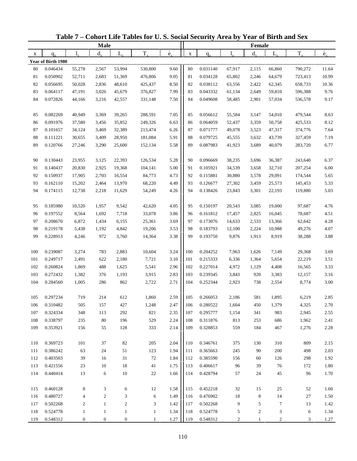| $T_{x}$<br>$d_{x}$<br>$d_{x}$<br>$T_{x}$<br>$L_{x}$<br>$L_{x}$<br>$l_{\nu}$<br>1.<br>$\mathbf X$<br>$q_{x}$<br>X<br>$q_{x}$<br>Year of Birth 1980<br>9.60<br>80<br>0.046434<br>55,278<br>2,567<br>53,994<br>530,800<br>80<br>0.031140<br>67,917<br>2,115<br>66,860<br>790,272<br>11.64<br>9.05<br>0.050902<br>81<br>10.99<br>81<br>52,711<br>2,683<br>51,369<br>476,806<br>0.034128<br>65,802<br>2,246<br>64,679<br>723,413<br>8.50<br>82<br>0.056695<br>0.038112<br>10.36<br>50,028<br>2,836<br>48,610<br>425,437<br>82<br>63,556<br>2,422<br>62,345<br>658,733<br>7.99<br>9.76<br>83<br>0.064117<br>45,679<br>83<br>0.043332<br>2,649<br>59,810<br>47,191<br>3,026<br>376,827<br>61,134<br>596,388<br>9.17<br>84<br>0.072826<br>3,216<br>7.50<br>84<br>0.049608<br>2,901<br>57,034<br>44,166<br>42,557<br>331,148<br>58,485<br>536,578<br>7.05<br>0.082269<br>40,949<br>39,265<br>288,591<br>85<br>0.056612<br>55,584<br>54,010<br>479,544<br>8.63<br>85<br>3,369<br>3,147<br>6.63<br>8.12<br>86<br>0.091976<br>35,852<br>249,326<br>0.064059<br>50,758<br>37,580<br>3,456<br>86<br>52,437<br>3,359<br>425,533<br>6.26<br>7.64<br>87<br>0.101657<br>32,389<br>87<br>0.071777<br>3,523<br>47,317<br>34,124<br>3,469<br>213,474<br>49,078<br>374,776<br>5.91<br>88<br>0.079725<br>7.19<br>0.111221<br>30,655<br>3,409<br>28,950<br>181,084<br>88<br>45,555<br>3,632<br>43,739<br>327,459<br>5.58<br>89<br>0.120766<br>89<br>0.087983<br>3,689<br>40,079<br>6.77<br>27,246<br>3,290<br>25,600<br>152,134<br>41,923<br>283,720<br>5.28<br>0.130443<br>23,955<br>3,125<br>22,393<br>126,534<br>90<br>0.096669<br>38,235<br>3,696<br>36,387<br>6.37<br>90<br>243,640<br>5.00<br>6.00<br>0.140437<br>0.105921<br>3,658<br>32,710<br>91<br>20,830<br>2,925<br>19,368<br>104,141<br>91<br>34,539<br>207,254<br>92<br>0.150937<br>17,905<br>16,554<br>84,773<br>4.73<br>92<br>0.115881<br>3,578<br>29,091<br>5.65<br>2,703<br>30,880<br>174,544<br>5.33<br>93<br>0.162110<br>15,202<br>68,220<br>4.49<br>93<br>0.126677<br>2,464<br>13,970<br>27,302<br>3,459<br>25,573<br>145,453<br>5.03<br>4.26<br>94<br>0.174115<br>12,738<br>2,218<br>11,629<br>54,249<br>94<br>0.138426<br>23,843<br>3,301<br>22,193<br>119,880<br>4.05<br>0.185980<br>10,520<br>9,542<br>42,620<br>95<br>0.150197<br>20,543<br>3,085<br>19,000<br>97,687<br>4.76<br>95<br>1,957<br>3.86<br>4.51<br>0.197552<br>7,718<br>33,078<br>0.161812<br>2,825<br>16,045<br>96<br>8,564<br>1,692<br>96<br>17,457<br>78,687<br>97<br>0.208670<br>3.69<br>97<br>0.173076<br>4.28<br>6,872<br>1,434<br>6,155<br>25,361<br>14,633<br>2,533<br>13,366<br>62,642<br>4.07<br>98<br>3.53<br>0.183793<br>0.219178<br>5,438<br>1,192<br>4,842<br>19,206<br>98<br>12,100<br>2,224<br>10,988<br>49,276<br>3.38<br>3.88<br>99<br>0.228913<br>972<br>99<br>0.193750<br>1,913<br>4,246<br>3,760<br>14,364<br>9,876<br>8,919<br>38,288<br>3.24<br>0.239087<br>3,274<br>783<br>2,883<br>100<br>0.204252<br>1,626<br>7,149<br>3.69<br>100<br>10,604<br>7,963<br>29,368<br>3.10<br>3.51<br>101<br>0.249717<br>2,491<br>622<br>2,180<br>7,721<br>101<br>0.215333<br>6,336<br>1,364<br>5,654<br>22,219<br>2.96<br>3.33<br>102<br>0.260824<br>488<br>5,541<br>102<br>0.227014<br>4,972<br>1,869<br>1,625<br>1,129<br>4,408<br>16,565<br>2.83<br>103<br>103<br>0.239345<br>3.16<br>0.272432<br>1,382<br>376<br>1,193<br>3,915<br>3,843<br>920<br>3,383<br>12,157<br>104<br>1,005<br>862<br>2.71<br>0.252344<br>3.00<br>0.284560<br>286<br>2,722<br>104<br>2,923<br>738<br>2,554<br>8,774<br>0.297234<br>719<br>214<br>612<br>2.59<br>581<br>1,895<br>6,219<br>2.85<br>105<br>1,860<br>105<br>0.266053<br>2,186<br>0.310482<br>1,248<br>0.280522<br>1,604<br>1,379<br>4,325<br>2.70<br>505<br>157<br>427<br>2.47<br>106<br>450<br>106<br>821<br>2.35<br>2.55<br>107<br>0.324334<br>348<br>113<br>292<br>107<br>0.295777<br>1,154<br>341<br>983<br>2,945<br>2.24<br>108<br>0.338797<br>235<br>80<br>196<br>529<br>0.311876<br>813<br>253<br>686<br>1,962<br>2.41<br>108<br>2.14<br>559<br>467<br>109 |     |          |     | <b>Male</b> |     |     |                          |          | Female |       |                          |
|---------------------------------------------------------------------------------------------------------------------------------------------------------------------------------------------------------------------------------------------------------------------------------------------------------------------------------------------------------------------------------------------------------------------------------------------------------------------------------------------------------------------------------------------------------------------------------------------------------------------------------------------------------------------------------------------------------------------------------------------------------------------------------------------------------------------------------------------------------------------------------------------------------------------------------------------------------------------------------------------------------------------------------------------------------------------------------------------------------------------------------------------------------------------------------------------------------------------------------------------------------------------------------------------------------------------------------------------------------------------------------------------------------------------------------------------------------------------------------------------------------------------------------------------------------------------------------------------------------------------------------------------------------------------------------------------------------------------------------------------------------------------------------------------------------------------------------------------------------------------------------------------------------------------------------------------------------------------------------------------------------------------------------------------------------------------------------------------------------------------------------------------------------------------------------------------------------------------------------------------------------------------------------------------------------------------------------------------------------------------------------------------------------------------------------------------------------------------------------------------------------------------------------------------------------------------------------------------------------------------------------------------------------------------------------------------------------------------------------------------------------------------------------------------------------------------------------------------------------------------------------------------------------------------------------------------------------------------------------------------------------------------------------------------------------------------------------------------------------------------------------------------------------------------------------------------------------------------------------------------------------------------------------------------------------------------------------------------------------------------------------------------------------------------------------------------------------------------------------------------------------------------------------------------------------------------------------------------------------------------------------------------------------------------------------------------------------------------------------------------------------------------------------------------------------------------------------------------------------------------------------------------------------------------------------------------------------------------------------------------------------------------------------|-----|----------|-----|-------------|-----|-----|--------------------------|----------|--------|-------|--------------------------|
|                                                                                                                                                                                                                                                                                                                                                                                                                                                                                                                                                                                                                                                                                                                                                                                                                                                                                                                                                                                                                                                                                                                                                                                                                                                                                                                                                                                                                                                                                                                                                                                                                                                                                                                                                                                                                                                                                                                                                                                                                                                                                                                                                                                                                                                                                                                                                                                                                                                                                                                                                                                                                                                                                                                                                                                                                                                                                                                                                                                                                                                                                                                                                                                                                                                                                                                                                                                                                                                                                                                                                                                                                                                                                                                                                                                                                                                                                                                                                                                                                                 |     |          |     |             |     |     | $\overset{\circ}{e}_{x}$ |          |        |       | $\overset{\circ}{e}_{x}$ |
|                                                                                                                                                                                                                                                                                                                                                                                                                                                                                                                                                                                                                                                                                                                                                                                                                                                                                                                                                                                                                                                                                                                                                                                                                                                                                                                                                                                                                                                                                                                                                                                                                                                                                                                                                                                                                                                                                                                                                                                                                                                                                                                                                                                                                                                                                                                                                                                                                                                                                                                                                                                                                                                                                                                                                                                                                                                                                                                                                                                                                                                                                                                                                                                                                                                                                                                                                                                                                                                                                                                                                                                                                                                                                                                                                                                                                                                                                                                                                                                                                                 |     |          |     |             |     |     |                          |          |        |       |                          |
|                                                                                                                                                                                                                                                                                                                                                                                                                                                                                                                                                                                                                                                                                                                                                                                                                                                                                                                                                                                                                                                                                                                                                                                                                                                                                                                                                                                                                                                                                                                                                                                                                                                                                                                                                                                                                                                                                                                                                                                                                                                                                                                                                                                                                                                                                                                                                                                                                                                                                                                                                                                                                                                                                                                                                                                                                                                                                                                                                                                                                                                                                                                                                                                                                                                                                                                                                                                                                                                                                                                                                                                                                                                                                                                                                                                                                                                                                                                                                                                                                                 |     |          |     |             |     |     |                          |          |        |       |                          |
|                                                                                                                                                                                                                                                                                                                                                                                                                                                                                                                                                                                                                                                                                                                                                                                                                                                                                                                                                                                                                                                                                                                                                                                                                                                                                                                                                                                                                                                                                                                                                                                                                                                                                                                                                                                                                                                                                                                                                                                                                                                                                                                                                                                                                                                                                                                                                                                                                                                                                                                                                                                                                                                                                                                                                                                                                                                                                                                                                                                                                                                                                                                                                                                                                                                                                                                                                                                                                                                                                                                                                                                                                                                                                                                                                                                                                                                                                                                                                                                                                                 |     |          |     |             |     |     |                          |          |        |       |                          |
|                                                                                                                                                                                                                                                                                                                                                                                                                                                                                                                                                                                                                                                                                                                                                                                                                                                                                                                                                                                                                                                                                                                                                                                                                                                                                                                                                                                                                                                                                                                                                                                                                                                                                                                                                                                                                                                                                                                                                                                                                                                                                                                                                                                                                                                                                                                                                                                                                                                                                                                                                                                                                                                                                                                                                                                                                                                                                                                                                                                                                                                                                                                                                                                                                                                                                                                                                                                                                                                                                                                                                                                                                                                                                                                                                                                                                                                                                                                                                                                                                                 |     |          |     |             |     |     |                          |          |        |       |                          |
|                                                                                                                                                                                                                                                                                                                                                                                                                                                                                                                                                                                                                                                                                                                                                                                                                                                                                                                                                                                                                                                                                                                                                                                                                                                                                                                                                                                                                                                                                                                                                                                                                                                                                                                                                                                                                                                                                                                                                                                                                                                                                                                                                                                                                                                                                                                                                                                                                                                                                                                                                                                                                                                                                                                                                                                                                                                                                                                                                                                                                                                                                                                                                                                                                                                                                                                                                                                                                                                                                                                                                                                                                                                                                                                                                                                                                                                                                                                                                                                                                                 |     |          |     |             |     |     |                          |          |        |       |                          |
|                                                                                                                                                                                                                                                                                                                                                                                                                                                                                                                                                                                                                                                                                                                                                                                                                                                                                                                                                                                                                                                                                                                                                                                                                                                                                                                                                                                                                                                                                                                                                                                                                                                                                                                                                                                                                                                                                                                                                                                                                                                                                                                                                                                                                                                                                                                                                                                                                                                                                                                                                                                                                                                                                                                                                                                                                                                                                                                                                                                                                                                                                                                                                                                                                                                                                                                                                                                                                                                                                                                                                                                                                                                                                                                                                                                                                                                                                                                                                                                                                                 |     |          |     |             |     |     |                          |          |        |       |                          |
|                                                                                                                                                                                                                                                                                                                                                                                                                                                                                                                                                                                                                                                                                                                                                                                                                                                                                                                                                                                                                                                                                                                                                                                                                                                                                                                                                                                                                                                                                                                                                                                                                                                                                                                                                                                                                                                                                                                                                                                                                                                                                                                                                                                                                                                                                                                                                                                                                                                                                                                                                                                                                                                                                                                                                                                                                                                                                                                                                                                                                                                                                                                                                                                                                                                                                                                                                                                                                                                                                                                                                                                                                                                                                                                                                                                                                                                                                                                                                                                                                                 |     |          |     |             |     |     |                          |          |        |       |                          |
|                                                                                                                                                                                                                                                                                                                                                                                                                                                                                                                                                                                                                                                                                                                                                                                                                                                                                                                                                                                                                                                                                                                                                                                                                                                                                                                                                                                                                                                                                                                                                                                                                                                                                                                                                                                                                                                                                                                                                                                                                                                                                                                                                                                                                                                                                                                                                                                                                                                                                                                                                                                                                                                                                                                                                                                                                                                                                                                                                                                                                                                                                                                                                                                                                                                                                                                                                                                                                                                                                                                                                                                                                                                                                                                                                                                                                                                                                                                                                                                                                                 |     |          |     |             |     |     |                          |          |        |       |                          |
|                                                                                                                                                                                                                                                                                                                                                                                                                                                                                                                                                                                                                                                                                                                                                                                                                                                                                                                                                                                                                                                                                                                                                                                                                                                                                                                                                                                                                                                                                                                                                                                                                                                                                                                                                                                                                                                                                                                                                                                                                                                                                                                                                                                                                                                                                                                                                                                                                                                                                                                                                                                                                                                                                                                                                                                                                                                                                                                                                                                                                                                                                                                                                                                                                                                                                                                                                                                                                                                                                                                                                                                                                                                                                                                                                                                                                                                                                                                                                                                                                                 |     |          |     |             |     |     |                          |          |        |       |                          |
|                                                                                                                                                                                                                                                                                                                                                                                                                                                                                                                                                                                                                                                                                                                                                                                                                                                                                                                                                                                                                                                                                                                                                                                                                                                                                                                                                                                                                                                                                                                                                                                                                                                                                                                                                                                                                                                                                                                                                                                                                                                                                                                                                                                                                                                                                                                                                                                                                                                                                                                                                                                                                                                                                                                                                                                                                                                                                                                                                                                                                                                                                                                                                                                                                                                                                                                                                                                                                                                                                                                                                                                                                                                                                                                                                                                                                                                                                                                                                                                                                                 |     |          |     |             |     |     |                          |          |        |       |                          |
|                                                                                                                                                                                                                                                                                                                                                                                                                                                                                                                                                                                                                                                                                                                                                                                                                                                                                                                                                                                                                                                                                                                                                                                                                                                                                                                                                                                                                                                                                                                                                                                                                                                                                                                                                                                                                                                                                                                                                                                                                                                                                                                                                                                                                                                                                                                                                                                                                                                                                                                                                                                                                                                                                                                                                                                                                                                                                                                                                                                                                                                                                                                                                                                                                                                                                                                                                                                                                                                                                                                                                                                                                                                                                                                                                                                                                                                                                                                                                                                                                                 |     |          |     |             |     |     |                          |          |        |       |                          |
|                                                                                                                                                                                                                                                                                                                                                                                                                                                                                                                                                                                                                                                                                                                                                                                                                                                                                                                                                                                                                                                                                                                                                                                                                                                                                                                                                                                                                                                                                                                                                                                                                                                                                                                                                                                                                                                                                                                                                                                                                                                                                                                                                                                                                                                                                                                                                                                                                                                                                                                                                                                                                                                                                                                                                                                                                                                                                                                                                                                                                                                                                                                                                                                                                                                                                                                                                                                                                                                                                                                                                                                                                                                                                                                                                                                                                                                                                                                                                                                                                                 |     |          |     |             |     |     |                          |          |        |       |                          |
|                                                                                                                                                                                                                                                                                                                                                                                                                                                                                                                                                                                                                                                                                                                                                                                                                                                                                                                                                                                                                                                                                                                                                                                                                                                                                                                                                                                                                                                                                                                                                                                                                                                                                                                                                                                                                                                                                                                                                                                                                                                                                                                                                                                                                                                                                                                                                                                                                                                                                                                                                                                                                                                                                                                                                                                                                                                                                                                                                                                                                                                                                                                                                                                                                                                                                                                                                                                                                                                                                                                                                                                                                                                                                                                                                                                                                                                                                                                                                                                                                                 |     |          |     |             |     |     |                          |          |        |       |                          |
|                                                                                                                                                                                                                                                                                                                                                                                                                                                                                                                                                                                                                                                                                                                                                                                                                                                                                                                                                                                                                                                                                                                                                                                                                                                                                                                                                                                                                                                                                                                                                                                                                                                                                                                                                                                                                                                                                                                                                                                                                                                                                                                                                                                                                                                                                                                                                                                                                                                                                                                                                                                                                                                                                                                                                                                                                                                                                                                                                                                                                                                                                                                                                                                                                                                                                                                                                                                                                                                                                                                                                                                                                                                                                                                                                                                                                                                                                                                                                                                                                                 |     |          |     |             |     |     |                          |          |        |       |                          |
|                                                                                                                                                                                                                                                                                                                                                                                                                                                                                                                                                                                                                                                                                                                                                                                                                                                                                                                                                                                                                                                                                                                                                                                                                                                                                                                                                                                                                                                                                                                                                                                                                                                                                                                                                                                                                                                                                                                                                                                                                                                                                                                                                                                                                                                                                                                                                                                                                                                                                                                                                                                                                                                                                                                                                                                                                                                                                                                                                                                                                                                                                                                                                                                                                                                                                                                                                                                                                                                                                                                                                                                                                                                                                                                                                                                                                                                                                                                                                                                                                                 |     |          |     |             |     |     |                          |          |        |       |                          |
|                                                                                                                                                                                                                                                                                                                                                                                                                                                                                                                                                                                                                                                                                                                                                                                                                                                                                                                                                                                                                                                                                                                                                                                                                                                                                                                                                                                                                                                                                                                                                                                                                                                                                                                                                                                                                                                                                                                                                                                                                                                                                                                                                                                                                                                                                                                                                                                                                                                                                                                                                                                                                                                                                                                                                                                                                                                                                                                                                                                                                                                                                                                                                                                                                                                                                                                                                                                                                                                                                                                                                                                                                                                                                                                                                                                                                                                                                                                                                                                                                                 |     |          |     |             |     |     |                          |          |        |       |                          |
|                                                                                                                                                                                                                                                                                                                                                                                                                                                                                                                                                                                                                                                                                                                                                                                                                                                                                                                                                                                                                                                                                                                                                                                                                                                                                                                                                                                                                                                                                                                                                                                                                                                                                                                                                                                                                                                                                                                                                                                                                                                                                                                                                                                                                                                                                                                                                                                                                                                                                                                                                                                                                                                                                                                                                                                                                                                                                                                                                                                                                                                                                                                                                                                                                                                                                                                                                                                                                                                                                                                                                                                                                                                                                                                                                                                                                                                                                                                                                                                                                                 |     |          |     |             |     |     |                          |          |        |       |                          |
|                                                                                                                                                                                                                                                                                                                                                                                                                                                                                                                                                                                                                                                                                                                                                                                                                                                                                                                                                                                                                                                                                                                                                                                                                                                                                                                                                                                                                                                                                                                                                                                                                                                                                                                                                                                                                                                                                                                                                                                                                                                                                                                                                                                                                                                                                                                                                                                                                                                                                                                                                                                                                                                                                                                                                                                                                                                                                                                                                                                                                                                                                                                                                                                                                                                                                                                                                                                                                                                                                                                                                                                                                                                                                                                                                                                                                                                                                                                                                                                                                                 |     |          |     |             |     |     |                          |          |        |       |                          |
|                                                                                                                                                                                                                                                                                                                                                                                                                                                                                                                                                                                                                                                                                                                                                                                                                                                                                                                                                                                                                                                                                                                                                                                                                                                                                                                                                                                                                                                                                                                                                                                                                                                                                                                                                                                                                                                                                                                                                                                                                                                                                                                                                                                                                                                                                                                                                                                                                                                                                                                                                                                                                                                                                                                                                                                                                                                                                                                                                                                                                                                                                                                                                                                                                                                                                                                                                                                                                                                                                                                                                                                                                                                                                                                                                                                                                                                                                                                                                                                                                                 |     |          |     |             |     |     |                          |          |        |       |                          |
|                                                                                                                                                                                                                                                                                                                                                                                                                                                                                                                                                                                                                                                                                                                                                                                                                                                                                                                                                                                                                                                                                                                                                                                                                                                                                                                                                                                                                                                                                                                                                                                                                                                                                                                                                                                                                                                                                                                                                                                                                                                                                                                                                                                                                                                                                                                                                                                                                                                                                                                                                                                                                                                                                                                                                                                                                                                                                                                                                                                                                                                                                                                                                                                                                                                                                                                                                                                                                                                                                                                                                                                                                                                                                                                                                                                                                                                                                                                                                                                                                                 |     |          |     |             |     |     |                          |          |        |       |                          |
|                                                                                                                                                                                                                                                                                                                                                                                                                                                                                                                                                                                                                                                                                                                                                                                                                                                                                                                                                                                                                                                                                                                                                                                                                                                                                                                                                                                                                                                                                                                                                                                                                                                                                                                                                                                                                                                                                                                                                                                                                                                                                                                                                                                                                                                                                                                                                                                                                                                                                                                                                                                                                                                                                                                                                                                                                                                                                                                                                                                                                                                                                                                                                                                                                                                                                                                                                                                                                                                                                                                                                                                                                                                                                                                                                                                                                                                                                                                                                                                                                                 |     |          |     |             |     |     |                          |          |        |       |                          |
|                                                                                                                                                                                                                                                                                                                                                                                                                                                                                                                                                                                                                                                                                                                                                                                                                                                                                                                                                                                                                                                                                                                                                                                                                                                                                                                                                                                                                                                                                                                                                                                                                                                                                                                                                                                                                                                                                                                                                                                                                                                                                                                                                                                                                                                                                                                                                                                                                                                                                                                                                                                                                                                                                                                                                                                                                                                                                                                                                                                                                                                                                                                                                                                                                                                                                                                                                                                                                                                                                                                                                                                                                                                                                                                                                                                                                                                                                                                                                                                                                                 |     |          |     |             |     |     |                          |          |        |       |                          |
|                                                                                                                                                                                                                                                                                                                                                                                                                                                                                                                                                                                                                                                                                                                                                                                                                                                                                                                                                                                                                                                                                                                                                                                                                                                                                                                                                                                                                                                                                                                                                                                                                                                                                                                                                                                                                                                                                                                                                                                                                                                                                                                                                                                                                                                                                                                                                                                                                                                                                                                                                                                                                                                                                                                                                                                                                                                                                                                                                                                                                                                                                                                                                                                                                                                                                                                                                                                                                                                                                                                                                                                                                                                                                                                                                                                                                                                                                                                                                                                                                                 |     |          |     |             |     |     |                          |          |        |       |                          |
|                                                                                                                                                                                                                                                                                                                                                                                                                                                                                                                                                                                                                                                                                                                                                                                                                                                                                                                                                                                                                                                                                                                                                                                                                                                                                                                                                                                                                                                                                                                                                                                                                                                                                                                                                                                                                                                                                                                                                                                                                                                                                                                                                                                                                                                                                                                                                                                                                                                                                                                                                                                                                                                                                                                                                                                                                                                                                                                                                                                                                                                                                                                                                                                                                                                                                                                                                                                                                                                                                                                                                                                                                                                                                                                                                                                                                                                                                                                                                                                                                                 |     |          |     |             |     |     |                          |          |        |       |                          |
|                                                                                                                                                                                                                                                                                                                                                                                                                                                                                                                                                                                                                                                                                                                                                                                                                                                                                                                                                                                                                                                                                                                                                                                                                                                                                                                                                                                                                                                                                                                                                                                                                                                                                                                                                                                                                                                                                                                                                                                                                                                                                                                                                                                                                                                                                                                                                                                                                                                                                                                                                                                                                                                                                                                                                                                                                                                                                                                                                                                                                                                                                                                                                                                                                                                                                                                                                                                                                                                                                                                                                                                                                                                                                                                                                                                                                                                                                                                                                                                                                                 |     |          |     |             |     |     |                          |          |        |       |                          |
|                                                                                                                                                                                                                                                                                                                                                                                                                                                                                                                                                                                                                                                                                                                                                                                                                                                                                                                                                                                                                                                                                                                                                                                                                                                                                                                                                                                                                                                                                                                                                                                                                                                                                                                                                                                                                                                                                                                                                                                                                                                                                                                                                                                                                                                                                                                                                                                                                                                                                                                                                                                                                                                                                                                                                                                                                                                                                                                                                                                                                                                                                                                                                                                                                                                                                                                                                                                                                                                                                                                                                                                                                                                                                                                                                                                                                                                                                                                                                                                                                                 |     |          |     |             |     |     |                          |          |        |       |                          |
|                                                                                                                                                                                                                                                                                                                                                                                                                                                                                                                                                                                                                                                                                                                                                                                                                                                                                                                                                                                                                                                                                                                                                                                                                                                                                                                                                                                                                                                                                                                                                                                                                                                                                                                                                                                                                                                                                                                                                                                                                                                                                                                                                                                                                                                                                                                                                                                                                                                                                                                                                                                                                                                                                                                                                                                                                                                                                                                                                                                                                                                                                                                                                                                                                                                                                                                                                                                                                                                                                                                                                                                                                                                                                                                                                                                                                                                                                                                                                                                                                                 |     |          |     |             |     |     |                          |          |        |       |                          |
|                                                                                                                                                                                                                                                                                                                                                                                                                                                                                                                                                                                                                                                                                                                                                                                                                                                                                                                                                                                                                                                                                                                                                                                                                                                                                                                                                                                                                                                                                                                                                                                                                                                                                                                                                                                                                                                                                                                                                                                                                                                                                                                                                                                                                                                                                                                                                                                                                                                                                                                                                                                                                                                                                                                                                                                                                                                                                                                                                                                                                                                                                                                                                                                                                                                                                                                                                                                                                                                                                                                                                                                                                                                                                                                                                                                                                                                                                                                                                                                                                                 |     |          |     |             |     |     |                          |          |        |       |                          |
|                                                                                                                                                                                                                                                                                                                                                                                                                                                                                                                                                                                                                                                                                                                                                                                                                                                                                                                                                                                                                                                                                                                                                                                                                                                                                                                                                                                                                                                                                                                                                                                                                                                                                                                                                                                                                                                                                                                                                                                                                                                                                                                                                                                                                                                                                                                                                                                                                                                                                                                                                                                                                                                                                                                                                                                                                                                                                                                                                                                                                                                                                                                                                                                                                                                                                                                                                                                                                                                                                                                                                                                                                                                                                                                                                                                                                                                                                                                                                                                                                                 |     |          |     |             |     |     |                          |          |        |       |                          |
|                                                                                                                                                                                                                                                                                                                                                                                                                                                                                                                                                                                                                                                                                                                                                                                                                                                                                                                                                                                                                                                                                                                                                                                                                                                                                                                                                                                                                                                                                                                                                                                                                                                                                                                                                                                                                                                                                                                                                                                                                                                                                                                                                                                                                                                                                                                                                                                                                                                                                                                                                                                                                                                                                                                                                                                                                                                                                                                                                                                                                                                                                                                                                                                                                                                                                                                                                                                                                                                                                                                                                                                                                                                                                                                                                                                                                                                                                                                                                                                                                                 |     |          |     |             |     |     |                          |          |        |       |                          |
|                                                                                                                                                                                                                                                                                                                                                                                                                                                                                                                                                                                                                                                                                                                                                                                                                                                                                                                                                                                                                                                                                                                                                                                                                                                                                                                                                                                                                                                                                                                                                                                                                                                                                                                                                                                                                                                                                                                                                                                                                                                                                                                                                                                                                                                                                                                                                                                                                                                                                                                                                                                                                                                                                                                                                                                                                                                                                                                                                                                                                                                                                                                                                                                                                                                                                                                                                                                                                                                                                                                                                                                                                                                                                                                                                                                                                                                                                                                                                                                                                                 |     |          |     |             |     |     |                          |          |        |       |                          |
|                                                                                                                                                                                                                                                                                                                                                                                                                                                                                                                                                                                                                                                                                                                                                                                                                                                                                                                                                                                                                                                                                                                                                                                                                                                                                                                                                                                                                                                                                                                                                                                                                                                                                                                                                                                                                                                                                                                                                                                                                                                                                                                                                                                                                                                                                                                                                                                                                                                                                                                                                                                                                                                                                                                                                                                                                                                                                                                                                                                                                                                                                                                                                                                                                                                                                                                                                                                                                                                                                                                                                                                                                                                                                                                                                                                                                                                                                                                                                                                                                                 |     |          |     |             |     |     |                          |          |        |       |                          |
|                                                                                                                                                                                                                                                                                                                                                                                                                                                                                                                                                                                                                                                                                                                                                                                                                                                                                                                                                                                                                                                                                                                                                                                                                                                                                                                                                                                                                                                                                                                                                                                                                                                                                                                                                                                                                                                                                                                                                                                                                                                                                                                                                                                                                                                                                                                                                                                                                                                                                                                                                                                                                                                                                                                                                                                                                                                                                                                                                                                                                                                                                                                                                                                                                                                                                                                                                                                                                                                                                                                                                                                                                                                                                                                                                                                                                                                                                                                                                                                                                                 |     |          |     |             |     |     |                          |          |        |       |                          |
|                                                                                                                                                                                                                                                                                                                                                                                                                                                                                                                                                                                                                                                                                                                                                                                                                                                                                                                                                                                                                                                                                                                                                                                                                                                                                                                                                                                                                                                                                                                                                                                                                                                                                                                                                                                                                                                                                                                                                                                                                                                                                                                                                                                                                                                                                                                                                                                                                                                                                                                                                                                                                                                                                                                                                                                                                                                                                                                                                                                                                                                                                                                                                                                                                                                                                                                                                                                                                                                                                                                                                                                                                                                                                                                                                                                                                                                                                                                                                                                                                                 |     |          |     |             |     |     |                          |          |        |       |                          |
|                                                                                                                                                                                                                                                                                                                                                                                                                                                                                                                                                                                                                                                                                                                                                                                                                                                                                                                                                                                                                                                                                                                                                                                                                                                                                                                                                                                                                                                                                                                                                                                                                                                                                                                                                                                                                                                                                                                                                                                                                                                                                                                                                                                                                                                                                                                                                                                                                                                                                                                                                                                                                                                                                                                                                                                                                                                                                                                                                                                                                                                                                                                                                                                                                                                                                                                                                                                                                                                                                                                                                                                                                                                                                                                                                                                                                                                                                                                                                                                                                                 |     |          |     |             |     |     |                          |          |        |       |                          |
|                                                                                                                                                                                                                                                                                                                                                                                                                                                                                                                                                                                                                                                                                                                                                                                                                                                                                                                                                                                                                                                                                                                                                                                                                                                                                                                                                                                                                                                                                                                                                                                                                                                                                                                                                                                                                                                                                                                                                                                                                                                                                                                                                                                                                                                                                                                                                                                                                                                                                                                                                                                                                                                                                                                                                                                                                                                                                                                                                                                                                                                                                                                                                                                                                                                                                                                                                                                                                                                                                                                                                                                                                                                                                                                                                                                                                                                                                                                                                                                                                                 | 109 | 0.353921 | 156 | 55          | 128 | 333 |                          | 0.328853 | 184    | 1,276 | 2.28                     |
|                                                                                                                                                                                                                                                                                                                                                                                                                                                                                                                                                                                                                                                                                                                                                                                                                                                                                                                                                                                                                                                                                                                                                                                                                                                                                                                                                                                                                                                                                                                                                                                                                                                                                                                                                                                                                                                                                                                                                                                                                                                                                                                                                                                                                                                                                                                                                                                                                                                                                                                                                                                                                                                                                                                                                                                                                                                                                                                                                                                                                                                                                                                                                                                                                                                                                                                                                                                                                                                                                                                                                                                                                                                                                                                                                                                                                                                                                                                                                                                                                                 |     |          |     |             |     |     |                          |          |        |       |                          |
| 2.04<br>0.369723<br>101<br>37<br>82<br>205<br>0.346761<br>375<br>310<br>809<br>2.15<br>110<br>110<br>130                                                                                                                                                                                                                                                                                                                                                                                                                                                                                                                                                                                                                                                                                                                                                                                                                                                                                                                                                                                                                                                                                                                                                                                                                                                                                                                                                                                                                                                                                                                                                                                                                                                                                                                                                                                                                                                                                                                                                                                                                                                                                                                                                                                                                                                                                                                                                                                                                                                                                                                                                                                                                                                                                                                                                                                                                                                                                                                                                                                                                                                                                                                                                                                                                                                                                                                                                                                                                                                                                                                                                                                                                                                                                                                                                                                                                                                                                                                        |     |          |     |             |     |     |                          |          |        |       |                          |
| 0.386242<br>24<br>51<br>123<br>1.94<br>0.365663<br>90<br>200<br>498<br>2.03<br>111<br>63<br>111<br>245                                                                                                                                                                                                                                                                                                                                                                                                                                                                                                                                                                                                                                                                                                                                                                                                                                                                                                                                                                                                                                                                                                                                                                                                                                                                                                                                                                                                                                                                                                                                                                                                                                                                                                                                                                                                                                                                                                                                                                                                                                                                                                                                                                                                                                                                                                                                                                                                                                                                                                                                                                                                                                                                                                                                                                                                                                                                                                                                                                                                                                                                                                                                                                                                                                                                                                                                                                                                                                                                                                                                                                                                                                                                                                                                                                                                                                                                                                                          |     |          |     |             |     |     |                          |          |        |       |                          |
| 0.403503<br>31<br>72<br>1.84<br>0.385590<br>1.92<br>112<br>39<br>16<br>112<br>156<br>60<br>126<br>298                                                                                                                                                                                                                                                                                                                                                                                                                                                                                                                                                                                                                                                                                                                                                                                                                                                                                                                                                                                                                                                                                                                                                                                                                                                                                                                                                                                                                                                                                                                                                                                                                                                                                                                                                                                                                                                                                                                                                                                                                                                                                                                                                                                                                                                                                                                                                                                                                                                                                                                                                                                                                                                                                                                                                                                                                                                                                                                                                                                                                                                                                                                                                                                                                                                                                                                                                                                                                                                                                                                                                                                                                                                                                                                                                                                                                                                                                                                           |     |          |     |             |     |     |                          |          |        |       |                          |
| $10\,$<br>18<br>41<br>1.75<br>0.406617<br>39<br>113<br>0.421556<br>23<br>96<br>76<br>172<br>1.80<br>113                                                                                                                                                                                                                                                                                                                                                                                                                                                                                                                                                                                                                                                                                                                                                                                                                                                                                                                                                                                                                                                                                                                                                                                                                                                                                                                                                                                                                                                                                                                                                                                                                                                                                                                                                                                                                                                                                                                                                                                                                                                                                                                                                                                                                                                                                                                                                                                                                                                                                                                                                                                                                                                                                                                                                                                                                                                                                                                                                                                                                                                                                                                                                                                                                                                                                                                                                                                                                                                                                                                                                                                                                                                                                                                                                                                                                                                                                                                         |     |          |     |             |     |     |                          |          |        |       |                          |
| 114<br>0.440414<br>13<br>10<br>22<br>1.66<br>0.428794<br>24<br>45<br>96<br>1.70<br>6<br>114<br>57                                                                                                                                                                                                                                                                                                                                                                                                                                                                                                                                                                                                                                                                                                                                                                                                                                                                                                                                                                                                                                                                                                                                                                                                                                                                                                                                                                                                                                                                                                                                                                                                                                                                                                                                                                                                                                                                                                                                                                                                                                                                                                                                                                                                                                                                                                                                                                                                                                                                                                                                                                                                                                                                                                                                                                                                                                                                                                                                                                                                                                                                                                                                                                                                                                                                                                                                                                                                                                                                                                                                                                                                                                                                                                                                                                                                                                                                                                                               |     |          |     |             |     |     |                          |          |        |       |                          |
|                                                                                                                                                                                                                                                                                                                                                                                                                                                                                                                                                                                                                                                                                                                                                                                                                                                                                                                                                                                                                                                                                                                                                                                                                                                                                                                                                                                                                                                                                                                                                                                                                                                                                                                                                                                                                                                                                                                                                                                                                                                                                                                                                                                                                                                                                                                                                                                                                                                                                                                                                                                                                                                                                                                                                                                                                                                                                                                                                                                                                                                                                                                                                                                                                                                                                                                                                                                                                                                                                                                                                                                                                                                                                                                                                                                                                                                                                                                                                                                                                                 |     |          |     |             |     |     |                          |          |        |       |                          |
| 0.460128<br>8<br>3<br>12<br>1.58<br>0.452218<br>32<br>1.60<br>115<br>6<br>115<br>15<br>25<br>52<br>$\mathbf{2}$<br>$\sqrt{6}$<br>1.49<br>116<br>0.480727<br>0.476902<br>14                                                                                                                                                                                                                                                                                                                                                                                                                                                                                                                                                                                                                                                                                                                                                                                                                                                                                                                                                                                                                                                                                                                                                                                                                                                                                                                                                                                                                                                                                                                                                                                                                                                                                                                                                                                                                                                                                                                                                                                                                                                                                                                                                                                                                                                                                                                                                                                                                                                                                                                                                                                                                                                                                                                                                                                                                                                                                                                                                                                                                                                                                                                                                                                                                                                                                                                                                                                                                                                                                                                                                                                                                                                                                                                                                                                                                                                      |     |          |     |             |     |     |                          |          |        |       |                          |
| $\,8\,$<br>$\overline{\mathcal{L}}$<br>3<br>18<br>27<br>1.50<br>116<br>$\mathbf{1}$<br>3<br>1.42<br>0.502268                                                                                                                                                                                                                                                                                                                                                                                                                                                                                                                                                                                                                                                                                                                                                                                                                                                                                                                                                                                                                                                                                                                                                                                                                                                                                                                                                                                                                                                                                                                                                                                                                                                                                                                                                                                                                                                                                                                                                                                                                                                                                                                                                                                                                                                                                                                                                                                                                                                                                                                                                                                                                                                                                                                                                                                                                                                                                                                                                                                                                                                                                                                                                                                                                                                                                                                                                                                                                                                                                                                                                                                                                                                                                                                                                                                                                                                                                                                    |     |          |     |             |     |     |                          |          |        |       |                          |
| $\boldsymbol{2}$<br>9<br>0.502268<br>$\overline{c}$<br>5<br>7<br>13<br>1.42<br>117<br>117<br>$\sqrt{5}$<br>3<br>0.524778<br>1.34<br>0.524778<br>1.34<br>118<br>$\mathbf{1}$<br>1<br>118<br>$\mathbf{1}$                                                                                                                                                                                                                                                                                                                                                                                                                                                                                                                                                                                                                                                                                                                                                                                                                                                                                                                                                                                                                                                                                                                                                                                                                                                                                                                                                                                                                                                                                                                                                                                                                                                                                                                                                                                                                                                                                                                                                                                                                                                                                                                                                                                                                                                                                                                                                                                                                                                                                                                                                                                                                                                                                                                                                                                                                                                                                                                                                                                                                                                                                                                                                                                                                                                                                                                                                                                                                                                                                                                                                                                                                                                                                                                                                                                                                         |     |          |     |             |     |     |                          |          |        |       |                          |
| $\overline{\mathbf{c}}$<br>$\mathbf{1}$<br>6<br>1.27<br>0.548312<br>$\boldsymbol{0}$<br>$\boldsymbol{0}$<br>119<br>0.548312<br>$\overline{c}$<br>$\overline{\mathbf{c}}$<br>3<br>1.27<br>119<br>0<br>$\mathbf{1}$<br>$\mathbf{1}$                                                                                                                                                                                                                                                                                                                                                                                                                                                                                                                                                                                                                                                                                                                                                                                                                                                                                                                                                                                                                                                                                                                                                                                                                                                                                                                                                                                                                                                                                                                                                                                                                                                                                                                                                                                                                                                                                                                                                                                                                                                                                                                                                                                                                                                                                                                                                                                                                                                                                                                                                                                                                                                                                                                                                                                                                                                                                                                                                                                                                                                                                                                                                                                                                                                                                                                                                                                                                                                                                                                                                                                                                                                                                                                                                                                               |     |          |     |             |     |     |                          |          |        |       |                          |

**Table 7 – Cohort Life Tables for U. S. Social Security Area by Year of Birth and Sex**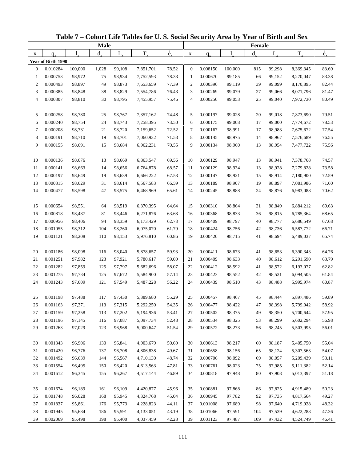|                  |                      |                  | <b>Male</b> |                  |                        |                          |                |                      |                  | Female      |                  |                        |                          |
|------------------|----------------------|------------------|-------------|------------------|------------------------|--------------------------|----------------|----------------------|------------------|-------------|------------------|------------------------|--------------------------|
| X                | $q_{x}$              |                  | $d_{\rm v}$ | L,               | $T_{x}$                | $\overset{\circ}{e}_{x}$ | $\mathbf X$    | $q_{x}$              |                  | $d_{\rm v}$ | $L_{x}$          | $T_{x}$                | $\overset{\circ}{e}_{x}$ |
|                  | Year of Birth 1990   |                  |             |                  |                        |                          |                |                      |                  |             |                  |                        |                          |
| $\boldsymbol{0}$ | 0.010284             | 100,000          | 1,028       | 99,108           | 7,851,701              | 78.52                    | $\mathbf{0}$   | 0.008150             | 100,000          | 815         | 99,298           | 8,369,345              | 83.69                    |
| 1                | 0.000753             | 98,972           | 75          | 98,934           | 7,752,593              | 78.33                    | -1             | 0.000670             | 99,185           | 66          | 99,152           | 8,270,047              | 83.38                    |
| $\overline{c}$   | 0.000493             | 98,897           | 49          | 98,873           | 7,653,659              | 77.39                    | $\overline{2}$ | 0.000396             | 99,119           | 39          | 99,099           | 8,170,895              | 82.44                    |
| 3                | 0.000385             | 98,848           | 38          | 98,829           | 7,554,786              | 76.43                    | 3              | 0.000269             | 99,079           | 27          | 99,066           | 8,071,796              | 81.47                    |
| 4                | 0.000307             | 98,810           | 30          | 98,795           | 7,455,957              | 75.46                    | $\overline{4}$ | 0.000250             | 99,053           | 25          | 99,040           | 7,972,730              | 80.49                    |
| 5                | 0.000258             | 98,780           | 25          | 98,767           | 7,357,162              | 74.48                    | 5              | 0.000197             | 99,028           | 20          | 99,018           | 7,873,690              | 79.51                    |
| 6                | 0.000240             | 98,754           | 24          | 98,743           | 7,258,395              | 73.50                    | 6              | 0.000175             | 99,008           | 17          | 99,000           | 7,774,672              | 78.53                    |
| 7                | 0.000208             | 98,731           | 21          | 98,720           | 7,159,652              | 72.52                    | $\tau$         | 0.000167             | 98,991           | 17          | 98,983           | 7,675,672              | 77.54                    |
| 8                | 0.000191             | 98,710           | 19          | 98,701           | 7,060,932              | 71.53                    | 8              | 0.000145             | 98,975           | 14          | 98,967           | 7,576,689              | 76.55                    |
| 9                | 0.000155             | 98,691           | 15          | 98,684           | 6,962,231              | 70.55                    | 9              | 0.000134             | 98,960           | 13          | 98,954           | 7,477,722              | 75.56                    |
|                  |                      |                  |             |                  |                        |                          |                |                      |                  |             |                  |                        |                          |
| 10               | 0.000136             | 98,676           | 13          | 98,669           | 6,863,547              | 69.56                    | 10             | 0.000129             | 98,947           | 13          | 98,941           | 7,378,768              | 74.57                    |
| 11               | 0.000141             | 98,663           | 14          | 98,656           | 6,764,878              | 68.57                    | 11             | 0.000129             | 98,934           | 13          | 98,928           | 7,279,828              | 73.58                    |
| 12               | 0.000197             | 98,649           | 19          | 98,639           | 6,666,222              | 67.58                    | 12             | 0.000147             | 98,921           | 15          | 98,914           | 7,180,900              | 72.59                    |
| 13               | 0.000315             | 98,629           | 31          | 98,614           | 6,567,583              | 66.59                    | 13             | 0.000189             | 98,907           | 19          | 98,897           | 7,081,986              | 71.60                    |
| 14               | 0.000477             | 98,598           | 47          | 98,575           | 6,468,969              | 65.61                    | 14             | 0.000245             | 98,888           | 24          | 98,876           | 6,983,088              | 70.62                    |
|                  |                      |                  |             |                  |                        |                          |                |                      |                  |             |                  |                        |                          |
| 15               | 0.000654             | 98,551           | 64          | 98,519           | 6,370,395              | 64.64                    | 15             | 0.000310             | 98,864           | 31          | 98,849           | 6,884,212              | 69.63                    |
| 16               | 0.000818             | 98,487           | 81          | 98,446           | 6,271,876              | 63.68                    | 16             | 0.000368             | 98,833           | 36          | 98,815           | 6,785,364              | 68.65                    |
| 17               | 0.000956             | 98,406           | 94          | 98,359           | 6,173,429              | 62.73                    | 17             | 0.000409             | 98,797           | 40          | 98,777           | 6,686,549              | 67.68                    |
| 18               | 0.001055             | 98,312           | 104         | 98,260           | 6,075,070              | 61.79                    | 18             | 0.000424             | 98,756           | 42          | 98,736           | 6,587,772              | 66.71                    |
| 19               | 0.001121             | 98,208           | 110         | 98,153           | 5,976,810              | 60.86                    | 19             | 0.000420             | 98,715           | 41          | 98,694           | 6,489,037              | 65.74                    |
| 20               | 0.001186             | 98,098           | 116         | 98,040           | 5,878,657              | 59.93                    | 20             | 0.000411             | 98,673           | 41          | 98,653           | 6,390,343              | 64.76                    |
| 21               | 0.001251             | 97,982           | 123         | 97,921           | 5,780,617              | 59.00                    | 21             | 0.000409             | 98,633           | 40          | 98,612           | 6,291,690              | 63.79                    |
| 22               | 0.001282             | 97,859           | 125         | 97,797           | 5,682,696              | 58.07                    | 22             | 0.000412             | 98,592           | 41          | 98,572           | 6,193,077              | 62.82                    |
| 23               | 0.001275             | 97,734           | 125         | 97,672           | 5,584,900              | 57.14                    | 23             | 0.000423             | 98,552           | 42          | 98,531           | 6,094,505              | 61.84                    |
| 24               | 0.001243             | 97,609           | 121         | 97,549           | 5,487,228              | 56.22                    | 24             | 0.000439             | 98,510           | 43          | 98,488           | 5,995,974              | 60.87                    |
|                  |                      |                  |             |                  |                        |                          |                |                      |                  |             |                  |                        |                          |
| 25               | 0.001198             | 97,488           | 117         | 97,430           | 5,389,680              | 55.29                    | 25             | 0.000457             | 98,467           | 45          | 98,444           | 5,897,486              | 59.89                    |
| 26               | 0.001163<br>0.001159 | 97,371           | 113<br>113  | 97,315           | 5,292,250<br>5,194,936 | 54.35<br>53.41           | 26             | 0.000477<br>0.000502 | 98,422           | 47<br>49    | 98,398           | 5,799,042<br>5,700,644 | 58.92<br>57.95           |
| 27<br>28         | 0.001196             | 97,258           |             | 97,202           |                        |                          | 27             | 0.000534             | 98,375           |             | 98,350           | 5,602,294              | 56.98                    |
| 29               |                      | 97,145           | 116         | 97,087           | 5,097,734              | 52.48                    | 28             |                      | 98,325           | 53          | 98,299           |                        |                          |
|                  | 0.001263             | 97,029           | 123         | 96,968           | 5,000,647              | 51.54                    | 29             | 0.000572             | 98,273           | 56          | 98,245           | 5,503,995              | 56.01                    |
| 30               | 0.001343             | 96,906           | 130         | 96,841           | 4,903,679              | 50.60                    | 30             | 0.000613             | 98,217           | 60          | 98,187           | 5,405,750              | 55.04                    |
| 31               | 0.001420             | 96,776           | 137         | 96,708           | 4,806,838              | 49.67                    | 31             | 0.000658             | 98,156           | 65          | 98,124           | 5,307,563              | 54.07                    |
| 32               | 0.001492             | 96,639           | 144         | 96,567           | 4,710,130              | 48.74                    | 32             | 0.000706             | 98,092           | 69          | 98,057           | 5,209,439              | 53.11                    |
| 33               | 0.001554             | 96,495           | 150         | 96,420           | 4,613,563              | 47.81                    | 33             | 0.000761             | 98,023           | 75          | 97,985           | 5,111,382              | 52.14                    |
| 34               | 0.001612             | 96,345           | 155         | 96,267           | 4,517,144              | 46.89                    | 34             | 0.000818             | 97,948           | 80          | 97,908           | 5,013,397              | 51.18                    |
|                  |                      |                  |             |                  |                        |                          |                |                      |                  |             |                  |                        |                          |
| 35               | 0.001674             | 96,189           | 161         | 96,109           | 4,420,877              | 45.96                    | 35             | 0.000881             | 97,868           | 86          | 97,825           | 4,915,489              | 50.23                    |
| 36               | 0.001748             | 96,028           | 168         | 95,945           | 4,324,768              | 45.04                    | 36             | 0.000945             | 97,782           | 92          | 97,735           | 4,817,664              | 49.27                    |
| 37               | 0.001837             | 95,861           | 176         | 95,773           | 4,228,823              | 44.11                    | 37             | 0.001008             | 97,689           | 98          | 97,640           | 4,719,928              | 48.32                    |
| 38<br>39         | 0.001945<br>0.002069 | 95,684<br>95,498 | 186<br>198  | 95,591<br>95,400 | 4,133,051<br>4,037,459 | 43.19<br>42.28           | 38<br>39       | 0.001066<br>0.001123 | 97,591<br>97,487 | 104<br>109  | 97,539<br>97,432 | 4,622,288<br>4,524,749 | 47.36                    |
|                  |                      |                  |             |                  |                        |                          |                |                      |                  |             |                  |                        | 46.41                    |

**Table 7 – Cohort Life Tables for U. S. Social Security Area by Year of Birth and Sex**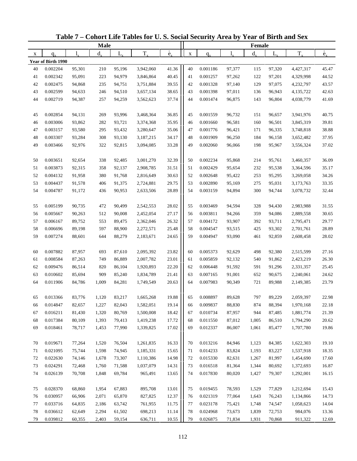|    |                    |           | <b>Male</b> |             |           |                          |             |          |        | Female  |         |           |                          |
|----|--------------------|-----------|-------------|-------------|-----------|--------------------------|-------------|----------|--------|---------|---------|-----------|--------------------------|
| X  | $q_{\rm v}$        | $l_{\nu}$ | $d_{x}$     | $L_{\rm v}$ | $T_{x}$   | $\overset{\circ}{e}_{x}$ | $\mathbf X$ | $q_{x}$  | 1.     | $d_{x}$ | $L_{x}$ | $T_{x}$   | $\overset{\circ}{e}_{x}$ |
|    | Year of Birth 1990 |           |             |             |           |                          |             |          |        |         |         |           |                          |
| 40 | 0.002204           | 95,301    | 210         | 95,196      | 3,942,060 | 41.36                    | 40          | 0.001186 | 97,377 | 115     | 97,320  | 4,427,317 | 45.47                    |
| 41 | 0.002342           | 95,091    | 223         | 94,979      | 3,846,864 | 40.45                    | 41          | 0.001257 | 97,262 | 122     | 97,201  | 4,329,998 | 44.52                    |
| 42 | 0.002475           | 94,868    | 235         | 94,751      | 3,751,884 | 39.55                    | 42          | 0.001328 | 97,140 | 129     | 97,075  | 4,232,797 | 43.57                    |
| 43 | 0.002599           | 94,633    | 246         | 94,510      | 3,657,134 | 38.65                    | 43          | 0.001398 | 97,011 | 136     | 96,943  | 4,135,722 | 42.63                    |
| 44 | 0.002719           | 94,387    | 257         | 94,259      | 3,562,623 | 37.74                    | 44          | 0.001474 | 96,875 | 143     | 96,804  | 4,038,779 | 41.69                    |
|    |                    |           |             |             |           |                          |             |          |        |         |         |           |                          |
| 45 | 0.002854           | 94,131    | 269         | 93,996      | 3,468,364 | 36.85                    | 45          | 0.001559 | 96,732 | 151     | 96,657  | 3,941,976 | 40.75                    |
| 46 | 0.003006           | 93,862    | 282         | 93,721      | 3,374,368 | 35.95                    | 46          | 0.001660 | 96,581 | 160     | 96,501  | 3,845,319 | 39.81                    |
| 47 | 0.003157           | 93,580    | 295         | 93,432      | 3,280,647 | 35.06                    | 47          | 0.001776 | 96,421 | 171     | 96,335  | 3,748,818 | 38.88                    |
| 48 | 0.003307           | 93,284    | 308         | 93,130      | 3,187,215 | 34.17                    | 48          | 0.001909 | 96,250 | 184     | 96,158  | 3,652,482 | 37.95                    |
| 49 | 0.003466           | 92,976    | 322         | 92,815      | 3,094,085 | 33.28                    | 49          | 0.002060 | 96,066 | 198     | 95,967  | 3,556,324 | 37.02                    |
|    |                    |           |             |             |           |                          |             |          |        |         |         |           |                          |
| 50 | 0.003651           | 92,654    | 338         | 92,485      | 3,001,270 | 32.39                    | 50          | 0.002234 | 95,868 | 214     | 95,761  | 3,460,357 | 36.09                    |
| 51 | 0.003873           | 92,315    | 358         | 92,137      | 2,908,785 | 31.51                    | 51          | 0.002429 | 95,654 | 232     | 95,538  | 3,364,596 | 35.17                    |
| 52 | 0.004132           | 91,958    | 380         | 91,768      | 2,816,649 | 30.63                    | 52          | 0.002648 | 95,422 | 253     | 95,295  | 3,269,058 | 34.26                    |
| 53 | 0.004437           | 91,578    | 406         | 91,375      | 2,724,881 | 29.75                    | 53          | 0.002890 | 95,169 | 275     | 95,031  | 3,173,763 | 33.35                    |
| 54 | 0.004787           | 91,172    | 436         | 90,953      | 2,633,506 | 28.89                    | 54          | 0.003159 | 94,894 | 300     | 94,744  | 3,078,732 | 32.44                    |
|    |                    |           |             |             |           |                          |             |          |        |         |         |           |                          |
| 55 | 0.005199           | 90,735    | 472         | 90,499      | 2,542,553 | 28.02                    | 55          | 0.003469 | 94,594 | 328     | 94,430  | 2,983,988 | 31.55                    |
| 56 | 0.005667           | 90,263    | 512         | 90,008      | 2,452,054 | 27.17                    | 56          | 0.003811 | 94,266 | 359     | 94,086  | 2,889,558 | 30.65                    |
| 57 | 0.006167           | 89,752    | 553         | 89,475      | 2,362,046 | 26.32                    | 57          | 0.004172 | 93,907 | 392     | 93,711  | 2,795,471 | 29.77                    |
| 58 | 0.006696           | 89,198    | 597         | 88,900      | 2,272,571 | 25.48                    | 58          | 0.004547 | 93,515 | 425     | 93,302  | 2,701,761 | 28.89                    |
| 59 | 0.007274           | 88,601    | 644         | 88,279      | 2,183,671 | 24.65                    | 59          | 0.004947 | 93,090 | 461     | 92,859  | 2,608,458 | 28.02                    |
|    |                    |           |             |             |           |                          |             |          |        |         |         |           |                          |
| 60 | 0.007882           | 87,957    | 693         | 87,610      | 2,095,392 | 23.82                    | 60          | 0.005373 | 92,629 | 498     | 92,380  | 2,515,599 | 27.16                    |
| 61 | 0.008584           | 87,263    | 749         | 86,889      | 2,007,782 | 23.01                    | 61          | 0.005859 | 92,132 | 540     | 91,862  | 2,423,219 | 26.30                    |
| 62 | 0.009476           | 86,514    | 820         | 86,104      | 1,920,893 | 22.20                    | 62          | 0.006448 | 91,592 | 591     | 91,296  | 2,331,357 | 25.45                    |
| 63 | 0.010602           | 85,694    | 909         | 85,240      | 1,834,789 | 21.41                    | 63          | 0.007165 | 91,001 | 652     | 90,675  | 2,240,061 | 24.62                    |
| 64 | 0.011906           | 84,786    | 1,009       | 84,281      | 1,749,549 | 20.63                    | 64          | 0.007983 | 90,349 | 721     | 89,988  | 2,149,385 | 23.79                    |
|    |                    |           |             |             |           |                          |             |          |        |         |         |           |                          |
| 65 | 0.013366           | 83,776    | 1,120       | 83,217      | 1,665,268 | 19.88                    | 65          | 0.008897 | 89,628 | 797     | 89,229  | 2,059,397 | 22.98                    |
| 66 | 0.014847           | 82,657    | 1,227       | 82,043      | 1,582,051 | 19.14                    | 66          | 0.009837 | 88,830 | 874     | 88,394  | 1,970,168 | 22.18                    |
| 67 | 0.016211           | 81,430    | 1,320       | 80,769      | 1,500,008 | 18.42                    | 67          | 0.010734 | 87,957 | 944     | 87,485  | 1,881,774 | 21.39                    |
| 68 | 0.017384           | 80,109    | 1,393       | 79,413      | 1,419,238 | 17.72                    | 68          | 0.011550 | 87,012 | 1,005   | 86,510  | 1,794,290 | 20.62                    |
| 69 | 0.018461           | 78,717    | 1,453       | 77,990      | 1,339,825 | 17.02                    | 69          | 0.012337 | 86,007 | 1,061   | 85,477  | 1,707,780 | 19.86                    |
|    |                    |           |             |             |           |                          |             |          |        |         |         |           |                          |
| 70 | 0.019671           | 77,264    | 1,520       | 76,504      | 1,261,835 | 16.33                    | 70          | 0.013216 | 84,946 | 1,123   | 84,385  | 1,622,303 | 19.10                    |
| 71 | 0.021095           | 75,744    | 1,598       | 74,945      | 1,185,331 | 15.65                    | 71          | 0.014233 | 83,824 | 1,193   | 83,227  | 1,537,918 | 18.35                    |
| 72 | 0.022630           | 74,146    | 1,678       | 73,307      | 1,110,386 | 14.98                    | 72          | 0.015330 | 82,631 | 1,267   | 81,997  | 1,454,690 | 17.60                    |
| 73 | 0.024291           | 72,468    | 1,760       | 71,588      | 1,037,079 | 14.31                    | 73          | 0.016518 | 81,364 | 1,344   | 80,692  | 1,372,693 | 16.87                    |
| 74 | 0.026139           | 70,708    | 1,848       | 69,784      | 965,491   | 13.65                    | 74          | 0.017830 | 80,020 | 1,427   | 79,307  | 1,292,001 | 16.15                    |
|    |                    |           |             |             |           |                          |             |          |        |         |         |           |                          |
| 75 | 0.028370           | 68,860    | 1,954       | 67,883      | 895,708   | 13.01                    | 75          | 0.019455 | 78,593 | 1,529   | 77,829  | 1,212,694 | 15.43                    |
| 76 | 0.030957           | 66,906    | 2,071       | 65,870      | 827,825   | 12.37                    | 76          | 0.021319 | 77,064 | 1,643   | 76,243  | 1,134,866 | 14.73                    |
| 77 | 0.033716           | 64,835    | 2,186       | 63,742      | 761,955   | 11.75                    | 77          | 0.023178 | 75,421 | 1,748   | 74,547  | 1,058,623 | 14.04                    |
| 78 | 0.036612           | 62,649    | 2,294       | 61,502      | 698,213   | 11.14                    | 78          | 0.024968 | 73,673 | 1,839   | 72,753  | 984,076   | 13.36                    |
| 79 | 0.039812           | 60,355    | 2,403       | 59,154      | 636,711   | 10.55                    | 79          | 0.026875 | 71,834 | 1,931   | 70,868  | 911,322   | 12.69                    |

**Table 7 – Cohort Life Tables for U. S. Social Security Area by Year of Birth and Sex**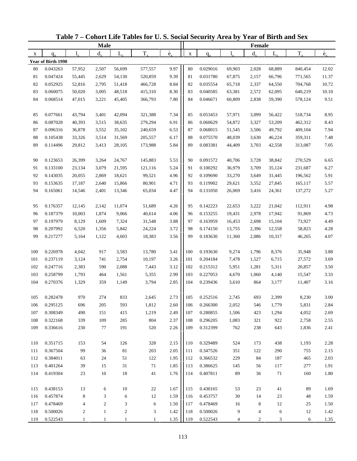|             |                    |                         | <b>Male</b>  |                |              |                          |             |             |        | Female         |             |         |                          |
|-------------|--------------------|-------------------------|--------------|----------------|--------------|--------------------------|-------------|-------------|--------|----------------|-------------|---------|--------------------------|
| $\mathbf X$ | $q_{x}$            | $\mathbf{l}_{\nu}$      | $d_{\rm v}$  | $L_{\rm v}$    | $T_{\rm x}$  | $\overset{\circ}{e}_{x}$ | $\mathbf X$ | $q_{\rm v}$ | 1.     | $d_{\rm v}$    | $L_{\rm v}$ | $T_{x}$ | $\overset{\circ}{e}_{x}$ |
|             | Year of Birth 1990 |                         |              |                |              |                          |             |             |        |                |             |         |                          |
| 80          | 0.043263           | 57,952                  | 2,507        | 56,699         | 577,557      | 9.97                     | 80          | 0.029016    | 69,903 | 2,028          | 68,889      | 840,454 | 12.02                    |
| 81          | 0.047424           | 55,445                  | 2,629        | 54,130         | 520,859      | 9.39                     | 81          | 0.031780    | 67,875 | 2,157          | 66,796      | 771,565 | 11.37                    |
| 82          | 0.052925           | 52,816                  | 2,795        | 51,418         | 466,728      | 8.84                     | 82          | 0.035554    | 65,718 | 2,337          | 64,550      | 704,768 | 10.72                    |
| 83          | 0.060075           | 50,020                  | 3,005        | 48,518         | 415,310      | 8.30                     | 83          | 0.040585    | 63,381 | 2,572          | 62,095      | 640,219 | 10.10                    |
| 84          | 0.068514           | 47,015                  | 3,221        | 45,405         | 366,793      | 7.80                     | 84          | 0.046671    | 60,809 | 2,838          | 59,390      | 578,124 | 9.51                     |
| 85          | 0.077661           | 43,794                  | 3,401        | 42,094         | 321,388      | 7.34                     | 85          | 0.053453    | 57,971 | 3,099          | 56,422      | 518,734 | 8.95                     |
| 86          | 0.087028           | 40,393                  | 3,515        | 38,635         | 279,294      | 6.91                     | 86          | 0.060629    | 54,872 | 3,327          | 53,209      | 462,312 | 8.43                     |
| 87          | 0.096316           | 36,878                  | 3,552        | 35,102         | 240,659      | 6.53                     | 87          | 0.068015    | 51,545 | 3,506          | 49,792      | 409,104 | 7.94                     |
| 88          | 0.105438           | 33,326                  | 3,514        | 31,569         | 205,557      | 6.17                     | 88          | 0.075570    | 48,039 | 3,630          | 46,224      | 359,311 | 7.48                     |
| 89          | 0.114496           | 29,812                  | 3,413        | 28,105         | 173,988      | 5.84                     | 89          | 0.083381    | 44,409 | 3,703          | 42,558      | 313,087 | 7.05                     |
| 90          | 0.123653           | 26,399                  | 3,264        | 24,767         | 145,883      | 5.53                     | 90          | 0.091572    | 40,706 | 3,728          | 38,842      | 270,529 | 6.65                     |
| 91          | 0.133100           | 23,134                  | 3,079        | 21,595         | 121,116      | 5.24                     | 91          | 0.100292    | 36,979 | 3,709          | 35,124      | 231,687 | 6.27                     |
| 92          | 0.143035           | 20,055                  | 2,869        | 18,621         | 99,521       | 4.96                     | 92          | 0.109690    | 33,270 | 3,649          | 31,445      | 196,562 | 5.91                     |
| 93          | 0.153635           | 17,187                  | 2,640        | 15,866         | 80,901       | 4.71                     | 93          | 0.119902    | 29,621 | 3,552          | 27,845      | 165,117 | 5.57                     |
| 94          | 0.165061           | 14,546                  | 2,401        | 13,346         | 65,034       | 4.47                     | 94          | 0.131050    | 26,069 | 3,416          | 24,361      | 137,272 | 5.27                     |
| 95          | 0.176357           | 12,145                  | 2,142        | 11,074         | 51,689       | 4.26                     | 95          | 0.142223    | 22,653 | 3,222          | 21,042      | 112,911 | 4.98                     |
| 96          | 0.187379           | 10,003                  | 1,874        | 9,066          | 40,614       | 4.06                     | 96          | 0.153255    | 19,431 | 2,978          | 17,942      | 91,869  | 4.73                     |
| 97          | 0.197979           | 8,129                   | 1,609        | 7,324          | 31,548       | 3.88                     | 97          | 0.163959    | 16,453 | 2,698          | 15,104      | 73,927  | 4.49                     |
| 98          | 0.207992           | 6,520                   | 1,356        | 5,842          | 24,224       | 3.72                     | 98          | 0.174150    | 13,755 | 2,396          | 12,558      | 58,823  | 4.28                     |
| 99          | 0.217277           | 5,164                   | 1,122        | 4,603          | 18,383       | 3.56                     | 99          | 0.183630    | 11,360 | 2,086          | 10,317      | 46,265  | 4.07                     |
| 100         | 0.226978           | 4,042                   | 917          | 3,583          | 13,780       | 3.41                     | 100         | 0.193630    | 9,274  | 1,796          | 8,376       | 35,948  | 3.88                     |
| 101         | 0.237119           | 3,124                   | 741          | 2,754          | 10,197       | 3.26                     | 101         | 0.204184    | 7,478  | 1,527          | 6,715       | 27,572  | 3.69                     |
| 102         | 0.247716           | 2,383                   | 590          | 2,088          | 7,443        | 3.12                     | 102         | 0.215312    | 5,951  | 1,281          | 5,311       | 20,857  | 3.50                     |
| 103         | 0.258799           | 1,793                   | 464          | 1,561          | 5,355        | 2.99                     | 103         | 0.227053    | 4,670  | 1,060          | 4,140       | 15,547  | 3.33                     |
| 104         | 0.270376           | 1,329                   | 359          | 1,149          | 3,794        | 2.85                     | 104         | 0.239436    | 3,610  | 864            | 3,177       | 11,407  | 3.16                     |
| 105         | 0.282478           | 970                     | 274          | 833            | 2,645        | 2.73                     | 105         | 0.252516    | 2,745  | 693            | 2,399       | 8,230   | 3.00                     |
| 106         | 0.295125           | 696                     | 205          | 593            | 1,812        | 2.60                     | 106         | 0.266300    | 2,052  | 546            | 1,779       | 5,831   | 2.84                     |
| 107         | 0.308349           | 490                     | 151          | 415            | 1,219        | 2.49                     | 107         | 0.280855    | 1,506  | 423            | 1,294       | 4,052   | 2.69                     |
| 108         | 0.322168           | 339                     | 109          | 285            | 804          | 2.37                     | 108         | 0.296205    | 1,083  | 321            | 922         | 2,758   | 2.55                     |
| 109         | 0.336616           | 230                     | 77           | 191            | 520          | 2.26                     | 109         | 0.312399    | 762    | 238            | 643         | 1,836   | 2.41                     |
| 110         | 0.351715           | 153                     | 54           | 126            | 328          | 2.15                     | 110         | 0.329489    | 524    | 173            | 438         | 1,193   | 2.28                     |
| 111         | 0.367504           | 99                      | 36           | 81             | 203          | 2.05                     | 111         | 0.347526    | 351    | 122            | 290         | 755     | 2.15                     |
| 112         | 0.384011           | 63                      | 24           | 51             | 122          | 1.95                     | 112         | 0.366532    | 229    | 84             | 187         | 465     | 2.03                     |
| 113         | 0.401264           | 39                      | 15           | 31             | 71           | 1.85                     | 113         | 0.386625    | 145    | 56             | 117         | 277     | 1.91                     |
| 114         | 0.419304           | 23                      | $10\,$       | 18             | 41           | 1.76                     | 114         | 0.407811    | 89     | 36             | 71          | 160     | 1.80                     |
| 115         | 0.438153           | 13                      | 6            | 10             | 22           | 1.67                     | 115         | 0.430165    | 53     | 23             | 41          | 89      | 1.69                     |
| 116         | 0.457874           | 8                       | 3            | 6              | 12           | 1.59                     | 116         | 0.453757    | 30     | 14             | 23          | 48      | 1.59                     |
| 117         | 0.478469           | $\overline{\mathbf{4}}$ | $\sqrt{2}$   | 3              | 6            | 1.50                     | 117         | 0.478469    | 16     | $\,8\,$        | 12          | 25      | 1.50                     |
| 118         | 0.500026           | $\overline{c}$          | $\mathbf{1}$ | $\overline{c}$ | 3            | 1.42                     | 118         | 0.500026    | 9      | $\overline{4}$ | 6           | 12      | 1.42                     |
| 119         | 0.522543           | $\mathbf{1}$            | $\mathbf{1}$ | $\mathbf{1}$   | $\mathbf{1}$ | 1.35                     | 119         | 0.522543    | 4      | $\overline{c}$ | 3           | 6       | 1.35                     |

**Table 7 – Cohort Life Tables for U. S. Social Security Area by Year of Birth and Sex**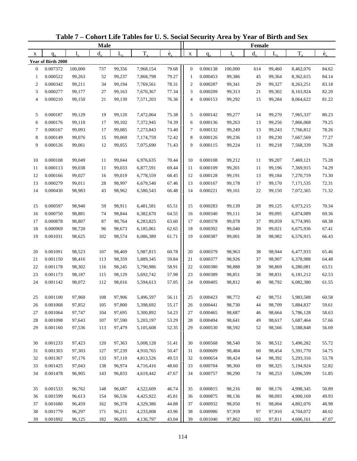| <b>Male</b>      |                    |         |             |        |           |                          |                  |          | Female  |             |         |           |                          |
|------------------|--------------------|---------|-------------|--------|-----------|--------------------------|------------------|----------|---------|-------------|---------|-----------|--------------------------|
| X                | $q_{x}$            |         | $d_{\rm v}$ | L,     | $T_{x}$   | $\overset{\circ}{e}_{x}$ | $\mathbf X$      | $q_{x}$  |         | $d_{\rm v}$ | $L_{x}$ | $T_{x}$   | $\overset{\circ}{e}_{x}$ |
|                  | Year of Birth 2000 |         |             |        |           |                          |                  |          |         |             |         |           |                          |
| $\boldsymbol{0}$ | 0.007372           | 100,000 | 737         | 99,356 | 7,968,154 | 79.68                    | $\boldsymbol{0}$ | 0.006138 | 100,000 | 614         | 99,460  | 8,462,076 | 84.62                    |
| 1                | 0.000522           | 99,263  | 52          | 99,237 | 7,868,798 | 79.27                    | -1               | 0.000453 | 99,386  | 45          | 99,364  | 8,362,615 | 84.14                    |
| $\overline{c}$   | 0.000342           | 99,211  | 34          | 99,194 | 7,769,561 | 78.31                    | $\overline{c}$   | 0.000287 | 99,341  | 29          | 99,327  | 8,263,251 | 83.18                    |
| 3                | 0.000277           | 99,177  | 27          | 99,163 | 7,670,367 | 77.34                    | 3                | 0.000209 | 99,313  | 21          | 99,302  | 8,163,924 | 82.20                    |
| 4                | 0.000210           | 99,150  | 21          | 99,139 | 7,571,203 | 76.36                    | $\overline{4}$   | 0.000153 | 99,292  | 15          | 99,284  | 8,064,622 | 81.22                    |
| 5                | 0.000187           | 99,129  | 19          | 99,120 | 7,472,064 | 75.38                    | 5                | 0.000142 | 99,277  | 14          | 99,270  | 7,965,337 | 80.23                    |
| 6                | 0.000176           | 99,110  | 17          | 99,102 | 7,372,945 | 74.39                    | 6                | 0.000136 | 99,263  | 13          | 99,256  | 7,866,068 | 79.25                    |
| 7                | 0.000167           | 99,093  | 17          | 99,085 | 7,273,843 | 73.40                    | $\tau$           | 0.000132 | 99,249  | 13          | 99,243  | 7,766,812 | 78.26                    |
| 8                | 0.000149           | 99,076  | 15          | 99,069 | 7,174,759 | 72.42                    | 8                | 0.000126 | 99,236  | 13          | 99,230  | 7,667,569 | 77.27                    |
| 9                | 0.000126           | 99,061  | 12          | 99,055 | 7,075,690 | 71.43                    | 9                | 0.000115 | 99,224  | 11          | 99,218  | 7,568,339 | 76.28                    |
| 10               | 0.000108           | 99,049  | 11          | 99,044 | 6,976,635 | 70.44                    | 10               | 0.000108 | 99,212  | 11          | 99,207  | 7,469,121 | 75.28                    |
| 11               | 0.000113           | 99,038  | 11          | 99,033 | 6,877,591 | 69.44                    | 11               | 0.000109 | 99,201  | 11          | 99,196  | 7,369,915 | 74.29                    |
| 12               | 0.000166           | 99,027  | 16          | 99,019 | 6,778,559 | 68.45                    | 12               | 0.000128 | 99,191  | 13          | 99,184  | 7,270,719 | 73.30                    |
| 13               | 0.000279           | 99,011  | $28\,$      | 98,997 | 6,679,540 | 67.46                    | 13               | 0.000167 | 99,178  | 17          | 99,170  | 7,171,535 | 72.31                    |
| 14               | 0.000430           | 98,983  | 43          | 98,962 | 6,580,543 | 66.48                    | 14               | 0.000221 | 99,161  | 22          | 99,150  | 7,072,365 | 71.32                    |
|                  |                    |         |             |        |           |                          |                  |          |         |             |         |           |                          |
| 15               | 0.000597           | 98,940  | 59          | 98,911 | 6,481,581 | 65.51                    | 15               | 0.000283 | 99,139  | 28          | 99,125  | 6,973,215 | 70.34                    |
| 16               | 0.000750           | 98,881  | 74          | 98,844 | 6,382,670 | 64.55                    | 16               | 0.000340 | 99,111  | 34          | 99,095  | 6,874,089 | 69.36                    |
| 17               | 0.000878           | 98,807  | 87          | 98,764 | 6,283,825 | 63.60                    | 17               | 0.000378 | 99,078  | 37          | 99,059  | 6,774,995 | 68.38                    |
| 18               | 0.000969           | 98,720  | 96          | 98,673 | 6,185,061 | 62.65                    | 18               | 0.000392 | 99,040  | 39          | 99,021  | 6,675,936 | 67.41                    |
| 19               | 0.001031           | 98,625  | 102         | 98,574 | 6,086,389 | 61.71                    | 19               | 0.000387 | 99,001  | 38          | 98,982  | 6,576,915 | 66.43                    |
| 20               | 0.001091           | 98,523  | 107         | 98,469 | 5,987,815 | 60.78                    | 20               | 0.000379 | 98,963  | 38          | 98,944  | 6,477,933 | 65.46                    |
| 21               | 0.001150           | 98,416  | 113         | 98,359 | 5,889,345 | 59.84                    | 21               | 0.000377 | 98,926  | 37          | 98,907  | 6,378,988 | 64.48                    |
| 22               | 0.001178           | 98,302  | 116         | 98,245 | 5,790,986 | 58.91                    | 22               | 0.000380 | 98,888  | 38          | 98,869  | 6,280,081 | 63.51                    |
| 23               | 0.001173           | 98,187  | 115         | 98,129 | 5,692,742 | 57.98                    | 23               | 0.000389 | 98,851  | 38          | 98,831  | 6,181,212 | 62.53                    |
| 24               | 0.001142           | 98,072  | 112         | 98,016 | 5,594,613 | 57.05                    | 24               | 0.000405 | 98,812  | 40          | 98,792  | 6,082,380 | 61.55                    |
| 25               | 0.001100           | 97,960  | 108         | 97,906 | 5,496,597 | 56.11                    | 25               | 0.000423 | 98,772  | 42          | 98,751  | 5,983,588 | 60.58                    |
| 26               | 0.001068           | 97,852  | 105         | 97,800 | 5,398,692 | 55.17                    | 26               | 0.000441 | 98,730  | 44          | 98,709  | 5,884,837 | 59.61                    |
| 27               | 0.001064           | 97,747  | 104         | 97,695 | 5,300,892 | 54.23                    | 27               | 0.000465 | 98,687  | 46          | 98,664  | 5,786,128 | 58.63                    |
| 28               | 0.001098           | 97,643  | 107         | 97,590 | 5,203,197 | 53.29                    | 28               | 0.000494 | 98,641  | 49          | 98,617  | 5,687,464 | 57.66                    |
| 29               | 0.001160           | 97,536  | 113         | 97,479 | 5,105,608 | 52.35                    | 29               | 0.000530 | 98,592  | 52          | 98,566  | 5,588,848 | 56.69                    |
| 30               | 0.001233           | 97,423  | 120         | 97,363 | 5,008,128 | 51.41                    | 30               | 0.000568 | 98,540  | 56          | 98,512  | 5,490,282 | 55.72                    |
| 31               | 0.001303           | 97,303  | 127         | 97,239 | 4,910,765 | 50.47                    | 31               | 0.000609 | 98,484  | 60          | 98,454  | 5,391,770 | 54.75                    |
| 32               | 0.001367           | 97,176  | 133         | 97,110 | 4,813,526 | 49.53                    | 32               | 0.000654 | 98,424  | 64          | 98,392  | 5,293,316 | 53.78                    |
| 33               | 0.001425           | 97,043  | 138         | 96,974 | 4,716,416 | 48.60                    | 33               | 0.000704 | 98,360  | 69          | 98,325  | 5,194,924 | 52.82                    |
| 34               | 0.001478           | 96,905  | 143         | 96,833 | 4,619,442 | 47.67                    | 34               | 0.000757 | 98,290  | 74          | 98,253  | 5,096,599 | 51.85                    |
|                  |                    |         |             |        |           |                          |                  |          |         |             |         |           |                          |
| 35               | 0.001533           | 96,762  | 148         | 96,687 | 4,522,609 | 46.74                    | 35               | 0.000815 | 98,216  | 80          | 98,176  | 4,998,345 | 50.89                    |
| 36               | 0.001599           | 96,613  | 154         | 96,536 | 4,425,922 | 45.81                    | 36               | 0.000875 | 98,136  | 86          | 98,093  | 4,900,169 | 49.93                    |
| 37               | 0.001680           | 96,459  | 162         | 96,378 | 4,329,386 | 44.88                    | 37               | 0.000932 | 98,050  | 91          | 98,004  | 4,802,076 | 48.98                    |
| 38               | 0.001779           | 96,297  | 171         | 96,211 | 4,233,008 | 43.96                    | 38               | 0.000986 | 97,959  | 97          | 97,910  | 4,704,072 | 48.02                    |
| 39               | 0.001892           | 96,125  | 182         | 96,035 | 4,136,797 | 43.04                    | 39               | 0.001040 | 97,862  | 102         | 97,811  | 4,606,161 | 47.07                    |

**Table 7 – Cohort Life Tables for U. S. Social Security Area by Year of Birth and Sex**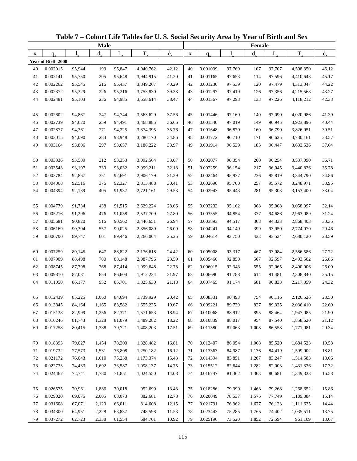| <b>Male</b> |                    |        |         |             |           |                          |             |          | Female |         |         |           |                          |
|-------------|--------------------|--------|---------|-------------|-----------|--------------------------|-------------|----------|--------|---------|---------|-----------|--------------------------|
| X           | $q_{\rm v}$        | 1.     | $d_{x}$ | $L_{\rm x}$ | $T_{x}$   | $\overset{\circ}{e}_{x}$ | $\mathbf X$ | $q_{x}$  | 1,     | $d_{x}$ | $L_{x}$ | $T_{x}$   | $\overset{\circ}{e}_{x}$ |
|             | Year of Birth 2000 |        |         |             |           |                          |             |          |        |         |         |           |                          |
| 40          | 0.002015           | 95,944 | 193     | 95,847      | 4,040,762 | 42.12                    | 40          | 0.001099 | 97,760 | 107     | 97,707  | 4,508,350 | 46.12                    |
| 41          | 0.002141           | 95,750 | 205     | 95,648      | 3,944,915 | 41.20                    | 41          | 0.001165 | 97,653 | 114     | 97,596  | 4,410,643 | 45.17                    |
| 42          | 0.002262           | 95,545 | 216     | 95,437      | 3,849,267 | 40.29                    | 42          | 0.001230 | 97,539 | 120     | 97,479  | 4,313,047 | 44.22                    |
| 43          | 0.002372           | 95,329 | 226     | 95,216      | 3,753,830 | 39.38                    | 43          | 0.001297 | 97,419 | 126     | 97,356  | 4,215,568 | 43.27                    |
| 44          | 0.002481           | 95,103 | 236     | 94,985      | 3,658,614 | 38.47                    | 44          | 0.001367 | 97,293 | 133     | 97,226  | 4,118,212 | 42.33                    |
|             |                    |        |         |             |           |                          |             |          |        |         |         |           |                          |
| 45          | 0.002602           | 94,867 | 247     | 94,744      | 3,563,629 | 37.56                    | 45          | 0.001446 | 97,160 | 140     | 97,090  | 4,020,986 | 41.39                    |
| 46          | 0.002739           | 94,620 | 259     | 94,491      | 3,468,885 | 36.66                    | 46          | 0.001540 | 97,019 | 149     | 96,945  | 3,923,896 | 40.44                    |
| 47          | 0.002877           | 94,361 | 271     | 94,225      | 3,374,395 | 35.76                    | 47          | 0.001648 | 96,870 | 160     | 96,790  | 3,826,951 | 39.51                    |
| 48          | 0.003015           | 94,090 | 284     | 93,948      | 3,280,170 | 34.86                    | 48          | 0.001772 | 96,710 | 171     | 96,625  | 3,730,161 | 38.57                    |
| 49          | 0.003164           | 93,806 | 297     | 93,657      | 3,186,222 | 33.97                    | 49          | 0.001914 | 96,539 | 185     | 96,447  | 3,633,536 | 37.64                    |
|             |                    |        |         |             |           |                          |             |          |        |         |         |           |                          |
| 50          | 0.003336           | 93,509 | 312     | 93,353      | 3,092,564 | 33.07                    | 50          | 0.002077 | 96,354 | 200     | 96,254  | 3,537,090 | 36.71                    |
| 51          | 0.003543           | 93,197 | 330     | 93,032      | 2,999,211 | 32.18                    | 51          | 0.002259 | 96,154 | 217     | 96,045  | 3,440,836 | 35.78                    |
| 52          | 0.003784           | 92,867 | 351     | 92,691      | 2,906,179 | 31.29                    | 52          | 0.002464 | 95,937 | 236     | 95,819  | 3,344,790 | 34.86                    |
| 53          | 0.004068           | 92,516 | 376     | 92,327      | 2,813,488 | 30.41                    | 53          | 0.002690 | 95,700 | 257     | 95,572  | 3,248,971 | 33.95                    |
| 54          | 0.004394           | 92,139 | 405     | 91,937      | 2,721,161 | 29.53                    | 54          | 0.002943 | 95,443 | 281     | 95,303  | 3,153,400 | 33.04                    |
|             |                    |        |         |             |           |                          |             |          |        |         |         |           |                          |
| 55          | 0.004779           | 91,734 | 438     | 91,515      | 2,629,224 | 28.66                    | 55          | 0.003233 | 95,162 | 308     | 95,008  | 3,058,097 | 32.14                    |
| 56          | 0.005216           | 91,296 | 476     | 91,058      | 2,537,709 | 27.80                    | 56          | 0.003555 | 94,854 | 337     | 94,686  | 2,963,089 | 31.24                    |
| 57          | 0.005681           | 90,820 | 516     | 90,562      | 2,446,651 | 26.94                    | 57          | 0.003893 | 94,517 | 368     | 94,333  | 2,868,403 | 30.35                    |
| 58          | 0.006169           | 90,304 | 557     | 90,025      | 2,356,089 | 26.09                    | 58          | 0.004241 | 94,149 | 399     | 93,950  | 2,774,070 | 29.46                    |
| 59          | 0.006700           | 89,747 | 601     | 89,446      | 2,266,064 | 25.25                    | 59          | 0.004614 | 93,750 | 433     | 93,534  | 2,680,120 | 28.59                    |
|             |                    |        |         |             |           |                          |             |          |        |         |         |           |                          |
| 60          | 0.007259           | 89,145 | 647     | 88,822      | 2,176,618 | 24.42                    | 60          | 0.005008 | 93,317 | 467     | 93,084  | 2,586,586 | 27.72                    |
| 61          | 0.007909           | 88,498 | 700     | 88,148      | 2,087,796 | 23.59                    | 61          | 0.005460 | 92,850 | 507     | 92,597  | 2,493,502 | 26.86                    |
| 62          | 0.008745           | 87,798 | 768     | 87,414      | 1,999,648 | 22.78                    | 62          | 0.006015 | 92,343 | 555     | 92,065  | 2,400,906 | 26.00                    |
| 63          | 0.009810           | 87,031 | 854     | 86,604      | 1,912,234 | 21.97                    | 63          | 0.006690 | 91,788 | 614     | 91,481  | 2,308,840 | 25.15                    |
| 64          | 0.011050           | 86,177 | 952     | 85,701      | 1,825,630 | 21.18                    | 64          | 0.007465 | 91,174 | 681     | 90,833  | 2,217,359 | 24.32                    |
|             |                    |        |         |             |           |                          |             |          |        |         |         |           |                          |
| 65          | 0.012439           | 85,225 | 1,060   | 84,694      | 1,739,929 | 20.42                    | 65          | 0.008331 | 90,493 | 754     | 90,116  | 2,126,526 | 23.50                    |
| 66          | 0.013845           | 84,164 | 1,165   | 83,582      | 1,655,235 | 19.67                    | 66          | 0.009221 | 89,739 | 827     | 89,325  | 2,036,410 | 22.69                    |
| 67          | 0.015138           | 82,999 | 1,256   | 82,371      | 1,571,653 | 18.94                    | 67          | 0.010068 | 88,912 | 895     | 88,464  | 1,947,085 | 21.90                    |
| 68          | 0.016246           | 81,743 | 1,328   | 81,079      | 1,489,282 | 18.22                    | 68          | 0.010839 | 88,017 | 954     | 87,540  | 1,858,620 | 21.12                    |
| 69          | 0.017258           | 80,415 | 1,388   | 79,721      | 1,408,203 | 17.51                    | 69          | 0.011580 | 87,063 | 1,008   | 86,558  | 1,771,081 | 20.34                    |
|             |                    |        |         |             |           |                          |             |          |        |         |         |           |                          |
| 70          | 0.018393           | 79,027 | 1,454   | 78,300      | 1,328,482 | 16.81                    | 70          | 0.012407 | 86,054 | 1,068   | 85,520  | 1,684,523 | 19.58                    |
| 71          | 0.019732           | 77,573 | 1,531   | 76,808      | 1,250,182 | 16.12                    | 71          | 0.013363 | 84,987 | 1,136   | 84,419  | 1,599,002 | 18.81                    |
| 72          | 0.021172           | 76,043 | 1,610   | 75,238      | 1,173,374 | 15.43                    | 72          | 0.014394 | 83,851 | 1,207   | 83,247  | 1,514,583 | 18.06                    |
| 73          | 0.022733           | 74,433 | 1,692   | 73,587      | 1,098,137 | 14.75                    | 73          | 0.015512 | 82,644 | 1,282   | 82,003  | 1,431,336 | 17.32                    |
| 74          | 0.024467           | 72,741 | 1,780   | 71,851      | 1,024,550 | 14.08                    | 74          | 0.016747 | 81,362 | 1,363   | 80,681  | 1,349,333 | 16.58                    |
|             |                    |        |         |             |           |                          |             |          |        |         |         |           |                          |
| 75          | 0.026575           | 70,961 | 1,886   | 70,018      | 952,699   | 13.43                    | 75          | 0.018286 | 79,999 | 1,463   | 79,268  | 1,268,652 | 15.86                    |
| 76          | 0.029020           | 69,075 | 2,005   | 68,073      | 882,681   | 12.78                    | 76          | 0.020049 | 78,537 | 1,575   | 77,749  | 1,189,384 | 15.14                    |
| 77          | 0.031608           | 67,071 | 2,120   | 66,011      | 814,608   | 12.15                    | 77          | 0.021791 | 76,962 | 1,677   | 76,123  | 1,111,635 | 14.44                    |
| 78          | 0.034300           | 64,951 | 2,228   | 63,837      | 748,598   | 11.53                    | 78          | 0.023443 | 75,285 | 1,765   | 74,402  | 1,035,511 | 13.75                    |
| 79          | 0.037272           | 62,723 | 2,338   | 61,554      | 684,761   | 10.92                    | 79          | 0.025196 | 73,520 | 1,852   | 72,594  | 961,109   | 13.07                    |

**Table 7 – Cohort Life Tables for U. S. Social Security Area by Year of Birth and Sex**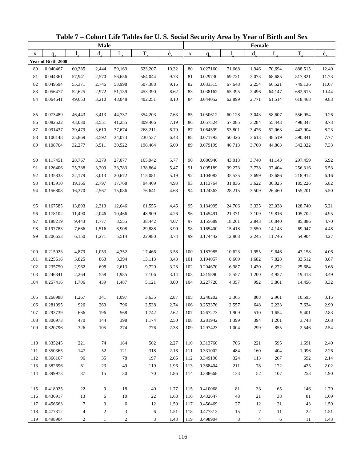| $\overset{\circ}{e}_{x}$<br>$T_{\rm x}$<br>$T_{x}$<br>$d_{\rm v}$<br>L,<br>$d_{x}$<br>$L_{x}$<br>1.<br>$\mathbf X$<br>X<br>$q_{x}$<br>$q_{x}$<br>Year of Birth 2000<br>10.32<br>0.040467<br>60,385<br>2,444<br>59,163<br>623,207<br>80<br>0.027160<br>71,668<br>1,946<br>70,694<br>888,515<br>12.40<br>80<br>9.73<br>81<br>0.044361<br>57,941<br>2,570<br>56,656<br>564,044<br>81<br>0.029730<br>69,721<br>2,073<br>68,685<br>817,821<br>11.73<br>0.049594<br>53,998<br>9.16<br>82<br>0.033315<br>2,254<br>11.07<br>82<br>55,371<br>2,746<br>507,388<br>67,648<br>66,521<br>749,136<br>83<br>0.056477<br>51,139<br>8.62<br>83<br>0.038162<br>2,496<br>64,147<br>10.44<br>52,625<br>2,972<br>453,390<br>65,395<br>682,615<br>8.10<br>9.83<br>84<br>0.064641<br>3,210<br>48,048<br>84<br>0.044052<br>2,771<br>49,653<br>402,251<br>62,899<br>61,514<br>618,468<br>7.63<br>0.073489<br>44,737<br>85<br>0.050612<br>60,128<br>3,043<br>58,607<br>9.26<br>85<br>46,443<br>3,413<br>354,203<br>556,954<br>7.19<br>0.082522<br>0.057524<br>8.73<br>86<br>43,030<br>3,551<br>41,255<br>309,466<br>86<br>57,085<br>3,284<br>55,443<br>498,347<br>6.79<br>0.091437<br>37,674<br>0.064599<br>8.23<br>87<br>39,479<br>3,610<br>268,211<br>87<br>53,801<br>3,476<br>52,063<br>442,904<br>88<br>0.100148<br>6.43<br>0.071793<br>7.77<br>35,869<br>3,592<br>34,073<br>230,537<br>88<br>50,326<br>3,613<br>48,519<br>390,841<br>6.09<br>89<br>0.108764<br>89<br>0.079199<br>3,700<br>7.33<br>32,277<br>3,511<br>30,522<br>196,464<br>46,713<br>44,863<br>342,322<br>5.77<br>0.117451<br>28,767<br>27,077<br>0.086946<br>3,740<br>41,143<br>6.92<br>90<br>3,379<br>165,942<br>90<br>43,013<br>297,459<br>5.47<br>6.53<br>0.126406<br>23,783<br>138,864<br>0.095189<br>3,738<br>91<br>25,388<br>3,209<br>91<br>39,273<br>37,404<br>256,316<br>92<br>0.135833<br>22,179<br>20,672<br>115,081<br>5.19<br>0.104082<br>3,699<br>6.16<br>3,013<br>92<br>35,535<br>33,686<br>218,912<br>5.82<br>93<br>0.145910<br>4.93<br>0.113764<br>30,025<br>19,166<br>2,797<br>17,768<br>94,409<br>93<br>31,836<br>3,622<br>185,226<br>4.68<br>5.50<br>94<br>0.156808<br>16,370<br>2,567<br>15,086<br>76,641<br>94<br>0.124363<br>28,215<br>3,509<br>26,460<br>155,201<br>0.167585<br>13,803<br>12,646<br>61,555<br>4.46<br>95<br>0.134995<br>24,706<br>3,335<br>23,038<br>128,740<br>5.21<br>95<br>2,313<br>4.95<br>0.178102<br>48,909<br>4.26<br>3,109<br>19,816<br>96<br>11,490<br>2,046<br>10,466<br>96<br>0.145491<br>21,371<br>105,702<br>0.188219<br>4.07<br>0.155689<br>4.70<br>97<br>9,443<br>1,777<br>8,555<br>38,442<br>97<br>18,261<br>2,843<br>16,840<br>85,886<br>98<br>0.197783<br>6,908<br>3.90<br>4.48<br>7,666<br>1,516<br>29,888<br>98<br>0.165400<br>15,418<br>2,550<br>14,143<br>69,047<br>99<br>1,271<br>3.74<br>99<br>4.27<br>0.206653<br>6,150<br>5,514<br>22,980<br>0.174442<br>12,868<br>2,245<br>11,746<br>54,904<br>3.58<br>100<br>0.215923<br>4,879<br>1,053<br>4,352<br>100<br>0.183985<br>10,623<br>1,955<br>9,646<br>4.06<br>17,466<br>43,158<br>3.87<br>101<br>0.225616<br>3,825<br>13,113<br>3.43<br>0.194057<br>7,828<br>863<br>3,394<br>101<br>8,669<br>1,682<br>33,512<br>3.68<br>102<br>9,720<br>3.28<br>0.204670<br>0.235750<br>2,962<br>698<br>2,613<br>102<br>6,987<br>1,430<br>6,272<br>25,684<br>3.49<br>103<br>2,264<br>7,106<br>3.14<br>103<br>0.246341<br>558<br>1,985<br>0.215890<br>5,557<br>1,200<br>4,957<br>19,413<br>104<br>439<br>1,487<br>3.00<br>992<br>3.32<br>0.257416<br>1,706<br>5,121<br>104<br>0.227720<br>4,357<br>3,861<br>14,456<br>0.268988<br>2.87<br>3.15<br>1,267<br>341<br>1,097<br>3,635<br>105<br>0.240202<br>3,365<br>808<br>2,961<br>10,595<br>105<br>0.281095<br>926<br>260<br>796<br>2,538<br>2.74<br>106<br>0.253376<br>2,557<br>648<br>2,233<br>7,634<br>2.99<br>106<br>2.62<br>107<br>0.293739<br>568<br>1,742<br>107<br>0.267273<br>1,909<br>510<br>1,654<br>5,401<br>2.83<br>666<br>196<br>$2.50\,$<br>108<br>0.306973<br>470<br>398<br>0.281942<br>1,399<br>1,201<br>2.68<br>144<br>1,174<br>108<br>394<br>3,748<br>0.320796<br>274<br>776<br>2.38<br>0.297423<br>2.54<br>109<br>326<br>105<br>109<br>1,004<br>299<br>855<br>2,546<br>0.335245<br>221<br>74<br>184<br>502<br>2.27<br>0.313760<br>706<br>221<br>595<br>1,691<br>110<br>110<br>2.40<br>0.350365<br>318<br>2.16<br>0.331002<br>484<br>1,096<br>2.26<br>111<br>147<br>52<br>121<br>111<br>160<br>404<br>2.06<br>0.366167<br>78<br>197<br>0.349190<br>324<br>2.14<br>112<br>96<br>35<br>112<br>113<br>267<br>692<br>23<br>49<br>119<br>1.96<br>0.368404<br>211<br>78<br>425<br>2.02<br>113<br>0.382696<br>61<br>113<br>172<br>114<br>0.399973<br>37<br>30<br>1.86<br>1.90<br>15<br>70<br>114<br>0.388668<br>133<br>52<br>107<br>253<br>0.418025<br>22<br>9<br>18<br>40<br>1.77<br>0.410068<br>33<br>65<br>1.79<br>115<br>115<br>81<br>146<br>116<br>0.436917<br>10<br>22<br>1.68<br>0.432647<br>48<br>21<br>38<br>81<br>1.69<br>13<br>6<br>116<br>1.59<br>7<br>3<br>6<br>12<br>12<br>21<br>117<br>0.456663<br>117<br>0.456469<br>27<br>43<br>1.59<br>0.477312<br>$\overline{\mathcal{A}}$<br>$\overline{c}$<br>3<br>6<br>1.51<br>0.477312<br>$\boldsymbol{7}$<br>118<br>15<br>11<br>22<br>1.51<br>118 | <b>Male</b> |          |   |   |   |   |      |     |          |   | Female         |   |    |                          |
|---------------------------------------------------------------------------------------------------------------------------------------------------------------------------------------------------------------------------------------------------------------------------------------------------------------------------------------------------------------------------------------------------------------------------------------------------------------------------------------------------------------------------------------------------------------------------------------------------------------------------------------------------------------------------------------------------------------------------------------------------------------------------------------------------------------------------------------------------------------------------------------------------------------------------------------------------------------------------------------------------------------------------------------------------------------------------------------------------------------------------------------------------------------------------------------------------------------------------------------------------------------------------------------------------------------------------------------------------------------------------------------------------------------------------------------------------------------------------------------------------------------------------------------------------------------------------------------------------------------------------------------------------------------------------------------------------------------------------------------------------------------------------------------------------------------------------------------------------------------------------------------------------------------------------------------------------------------------------------------------------------------------------------------------------------------------------------------------------------------------------------------------------------------------------------------------------------------------------------------------------------------------------------------------------------------------------------------------------------------------------------------------------------------------------------------------------------------------------------------------------------------------------------------------------------------------------------------------------------------------------------------------------------------------------------------------------------------------------------------------------------------------------------------------------------------------------------------------------------------------------------------------------------------------------------------------------------------------------------------------------------------------------------------------------------------------------------------------------------------------------------------------------------------------------------------------------------------------------------------------------------------------------------------------------------------------------------------------------------------------------------------------------------------------------------------------------------------------------------------------------------------------------------------------------------------------------------------------------------------------------------------------------------------------------------------------------------------------------------------------------------------------------------------------------------------------------------------------------------------------------------------------------------------------------------------------------------------------------------------------------------------------------------------------------------------------------------------------------------------------------------------------------------------------------------------------------------------------------------------------------------------------------------------------------------------------------------------------------------------------------------------------------------------------------------------------------------------------------------------------------------------------------------------------------------------------------------------------------------------------------------------------------------------------------------------------------------------------------------------------------------------------------------------------------------------------------------------------------------------------------------------------------------------------------------------------------------------------------------------------------------------------------------------------------------------------------------------------------------------------------------------------------------------------------------------------------------------|-------------|----------|---|---|---|---|------|-----|----------|---|----------------|---|----|--------------------------|
|                                                                                                                                                                                                                                                                                                                                                                                                                                                                                                                                                                                                                                                                                                                                                                                                                                                                                                                                                                                                                                                                                                                                                                                                                                                                                                                                                                                                                                                                                                                                                                                                                                                                                                                                                                                                                                                                                                                                                                                                                                                                                                                                                                                                                                                                                                                                                                                                                                                                                                                                                                                                                                                                                                                                                                                                                                                                                                                                                                                                                                                                                                                                                                                                                                                                                                                                                                                                                                                                                                                                                                                                                                                                                                                                                                                                                                                                                                                                                                                                                                                                                                                                                                                                                                                                                                                                                                                                                                                                                                                                                                                                                                                                                                                                                                                                                                                                                                                                                                                                                                                                                                                                                                                                               |             |          |   |   |   |   |      |     |          |   |                |   |    | $\overset{\circ}{e}_{x}$ |
|                                                                                                                                                                                                                                                                                                                                                                                                                                                                                                                                                                                                                                                                                                                                                                                                                                                                                                                                                                                                                                                                                                                                                                                                                                                                                                                                                                                                                                                                                                                                                                                                                                                                                                                                                                                                                                                                                                                                                                                                                                                                                                                                                                                                                                                                                                                                                                                                                                                                                                                                                                                                                                                                                                                                                                                                                                                                                                                                                                                                                                                                                                                                                                                                                                                                                                                                                                                                                                                                                                                                                                                                                                                                                                                                                                                                                                                                                                                                                                                                                                                                                                                                                                                                                                                                                                                                                                                                                                                                                                                                                                                                                                                                                                                                                                                                                                                                                                                                                                                                                                                                                                                                                                                                               |             |          |   |   |   |   |      |     |          |   |                |   |    |                          |
|                                                                                                                                                                                                                                                                                                                                                                                                                                                                                                                                                                                                                                                                                                                                                                                                                                                                                                                                                                                                                                                                                                                                                                                                                                                                                                                                                                                                                                                                                                                                                                                                                                                                                                                                                                                                                                                                                                                                                                                                                                                                                                                                                                                                                                                                                                                                                                                                                                                                                                                                                                                                                                                                                                                                                                                                                                                                                                                                                                                                                                                                                                                                                                                                                                                                                                                                                                                                                                                                                                                                                                                                                                                                                                                                                                                                                                                                                                                                                                                                                                                                                                                                                                                                                                                                                                                                                                                                                                                                                                                                                                                                                                                                                                                                                                                                                                                                                                                                                                                                                                                                                                                                                                                                               |             |          |   |   |   |   |      |     |          |   |                |   |    |                          |
|                                                                                                                                                                                                                                                                                                                                                                                                                                                                                                                                                                                                                                                                                                                                                                                                                                                                                                                                                                                                                                                                                                                                                                                                                                                                                                                                                                                                                                                                                                                                                                                                                                                                                                                                                                                                                                                                                                                                                                                                                                                                                                                                                                                                                                                                                                                                                                                                                                                                                                                                                                                                                                                                                                                                                                                                                                                                                                                                                                                                                                                                                                                                                                                                                                                                                                                                                                                                                                                                                                                                                                                                                                                                                                                                                                                                                                                                                                                                                                                                                                                                                                                                                                                                                                                                                                                                                                                                                                                                                                                                                                                                                                                                                                                                                                                                                                                                                                                                                                                                                                                                                                                                                                                                               |             |          |   |   |   |   |      |     |          |   |                |   |    |                          |
|                                                                                                                                                                                                                                                                                                                                                                                                                                                                                                                                                                                                                                                                                                                                                                                                                                                                                                                                                                                                                                                                                                                                                                                                                                                                                                                                                                                                                                                                                                                                                                                                                                                                                                                                                                                                                                                                                                                                                                                                                                                                                                                                                                                                                                                                                                                                                                                                                                                                                                                                                                                                                                                                                                                                                                                                                                                                                                                                                                                                                                                                                                                                                                                                                                                                                                                                                                                                                                                                                                                                                                                                                                                                                                                                                                                                                                                                                                                                                                                                                                                                                                                                                                                                                                                                                                                                                                                                                                                                                                                                                                                                                                                                                                                                                                                                                                                                                                                                                                                                                                                                                                                                                                                                               |             |          |   |   |   |   |      |     |          |   |                |   |    |                          |
|                                                                                                                                                                                                                                                                                                                                                                                                                                                                                                                                                                                                                                                                                                                                                                                                                                                                                                                                                                                                                                                                                                                                                                                                                                                                                                                                                                                                                                                                                                                                                                                                                                                                                                                                                                                                                                                                                                                                                                                                                                                                                                                                                                                                                                                                                                                                                                                                                                                                                                                                                                                                                                                                                                                                                                                                                                                                                                                                                                                                                                                                                                                                                                                                                                                                                                                                                                                                                                                                                                                                                                                                                                                                                                                                                                                                                                                                                                                                                                                                                                                                                                                                                                                                                                                                                                                                                                                                                                                                                                                                                                                                                                                                                                                                                                                                                                                                                                                                                                                                                                                                                                                                                                                                               |             |          |   |   |   |   |      |     |          |   |                |   |    |                          |
|                                                                                                                                                                                                                                                                                                                                                                                                                                                                                                                                                                                                                                                                                                                                                                                                                                                                                                                                                                                                                                                                                                                                                                                                                                                                                                                                                                                                                                                                                                                                                                                                                                                                                                                                                                                                                                                                                                                                                                                                                                                                                                                                                                                                                                                                                                                                                                                                                                                                                                                                                                                                                                                                                                                                                                                                                                                                                                                                                                                                                                                                                                                                                                                                                                                                                                                                                                                                                                                                                                                                                                                                                                                                                                                                                                                                                                                                                                                                                                                                                                                                                                                                                                                                                                                                                                                                                                                                                                                                                                                                                                                                                                                                                                                                                                                                                                                                                                                                                                                                                                                                                                                                                                                                               |             |          |   |   |   |   |      |     |          |   |                |   |    |                          |
|                                                                                                                                                                                                                                                                                                                                                                                                                                                                                                                                                                                                                                                                                                                                                                                                                                                                                                                                                                                                                                                                                                                                                                                                                                                                                                                                                                                                                                                                                                                                                                                                                                                                                                                                                                                                                                                                                                                                                                                                                                                                                                                                                                                                                                                                                                                                                                                                                                                                                                                                                                                                                                                                                                                                                                                                                                                                                                                                                                                                                                                                                                                                                                                                                                                                                                                                                                                                                                                                                                                                                                                                                                                                                                                                                                                                                                                                                                                                                                                                                                                                                                                                                                                                                                                                                                                                                                                                                                                                                                                                                                                                                                                                                                                                                                                                                                                                                                                                                                                                                                                                                                                                                                                                               |             |          |   |   |   |   |      |     |          |   |                |   |    |                          |
|                                                                                                                                                                                                                                                                                                                                                                                                                                                                                                                                                                                                                                                                                                                                                                                                                                                                                                                                                                                                                                                                                                                                                                                                                                                                                                                                                                                                                                                                                                                                                                                                                                                                                                                                                                                                                                                                                                                                                                                                                                                                                                                                                                                                                                                                                                                                                                                                                                                                                                                                                                                                                                                                                                                                                                                                                                                                                                                                                                                                                                                                                                                                                                                                                                                                                                                                                                                                                                                                                                                                                                                                                                                                                                                                                                                                                                                                                                                                                                                                                                                                                                                                                                                                                                                                                                                                                                                                                                                                                                                                                                                                                                                                                                                                                                                                                                                                                                                                                                                                                                                                                                                                                                                                               |             |          |   |   |   |   |      |     |          |   |                |   |    |                          |
|                                                                                                                                                                                                                                                                                                                                                                                                                                                                                                                                                                                                                                                                                                                                                                                                                                                                                                                                                                                                                                                                                                                                                                                                                                                                                                                                                                                                                                                                                                                                                                                                                                                                                                                                                                                                                                                                                                                                                                                                                                                                                                                                                                                                                                                                                                                                                                                                                                                                                                                                                                                                                                                                                                                                                                                                                                                                                                                                                                                                                                                                                                                                                                                                                                                                                                                                                                                                                                                                                                                                                                                                                                                                                                                                                                                                                                                                                                                                                                                                                                                                                                                                                                                                                                                                                                                                                                                                                                                                                                                                                                                                                                                                                                                                                                                                                                                                                                                                                                                                                                                                                                                                                                                                               |             |          |   |   |   |   |      |     |          |   |                |   |    |                          |
|                                                                                                                                                                                                                                                                                                                                                                                                                                                                                                                                                                                                                                                                                                                                                                                                                                                                                                                                                                                                                                                                                                                                                                                                                                                                                                                                                                                                                                                                                                                                                                                                                                                                                                                                                                                                                                                                                                                                                                                                                                                                                                                                                                                                                                                                                                                                                                                                                                                                                                                                                                                                                                                                                                                                                                                                                                                                                                                                                                                                                                                                                                                                                                                                                                                                                                                                                                                                                                                                                                                                                                                                                                                                                                                                                                                                                                                                                                                                                                                                                                                                                                                                                                                                                                                                                                                                                                                                                                                                                                                                                                                                                                                                                                                                                                                                                                                                                                                                                                                                                                                                                                                                                                                                               |             |          |   |   |   |   |      |     |          |   |                |   |    |                          |
|                                                                                                                                                                                                                                                                                                                                                                                                                                                                                                                                                                                                                                                                                                                                                                                                                                                                                                                                                                                                                                                                                                                                                                                                                                                                                                                                                                                                                                                                                                                                                                                                                                                                                                                                                                                                                                                                                                                                                                                                                                                                                                                                                                                                                                                                                                                                                                                                                                                                                                                                                                                                                                                                                                                                                                                                                                                                                                                                                                                                                                                                                                                                                                                                                                                                                                                                                                                                                                                                                                                                                                                                                                                                                                                                                                                                                                                                                                                                                                                                                                                                                                                                                                                                                                                                                                                                                                                                                                                                                                                                                                                                                                                                                                                                                                                                                                                                                                                                                                                                                                                                                                                                                                                                               |             |          |   |   |   |   |      |     |          |   |                |   |    |                          |
|                                                                                                                                                                                                                                                                                                                                                                                                                                                                                                                                                                                                                                                                                                                                                                                                                                                                                                                                                                                                                                                                                                                                                                                                                                                                                                                                                                                                                                                                                                                                                                                                                                                                                                                                                                                                                                                                                                                                                                                                                                                                                                                                                                                                                                                                                                                                                                                                                                                                                                                                                                                                                                                                                                                                                                                                                                                                                                                                                                                                                                                                                                                                                                                                                                                                                                                                                                                                                                                                                                                                                                                                                                                                                                                                                                                                                                                                                                                                                                                                                                                                                                                                                                                                                                                                                                                                                                                                                                                                                                                                                                                                                                                                                                                                                                                                                                                                                                                                                                                                                                                                                                                                                                                                               |             |          |   |   |   |   |      |     |          |   |                |   |    |                          |
|                                                                                                                                                                                                                                                                                                                                                                                                                                                                                                                                                                                                                                                                                                                                                                                                                                                                                                                                                                                                                                                                                                                                                                                                                                                                                                                                                                                                                                                                                                                                                                                                                                                                                                                                                                                                                                                                                                                                                                                                                                                                                                                                                                                                                                                                                                                                                                                                                                                                                                                                                                                                                                                                                                                                                                                                                                                                                                                                                                                                                                                                                                                                                                                                                                                                                                                                                                                                                                                                                                                                                                                                                                                                                                                                                                                                                                                                                                                                                                                                                                                                                                                                                                                                                                                                                                                                                                                                                                                                                                                                                                                                                                                                                                                                                                                                                                                                                                                                                                                                                                                                                                                                                                                                               |             |          |   |   |   |   |      |     |          |   |                |   |    |                          |
|                                                                                                                                                                                                                                                                                                                                                                                                                                                                                                                                                                                                                                                                                                                                                                                                                                                                                                                                                                                                                                                                                                                                                                                                                                                                                                                                                                                                                                                                                                                                                                                                                                                                                                                                                                                                                                                                                                                                                                                                                                                                                                                                                                                                                                                                                                                                                                                                                                                                                                                                                                                                                                                                                                                                                                                                                                                                                                                                                                                                                                                                                                                                                                                                                                                                                                                                                                                                                                                                                                                                                                                                                                                                                                                                                                                                                                                                                                                                                                                                                                                                                                                                                                                                                                                                                                                                                                                                                                                                                                                                                                                                                                                                                                                                                                                                                                                                                                                                                                                                                                                                                                                                                                                                               |             |          |   |   |   |   |      |     |          |   |                |   |    |                          |
|                                                                                                                                                                                                                                                                                                                                                                                                                                                                                                                                                                                                                                                                                                                                                                                                                                                                                                                                                                                                                                                                                                                                                                                                                                                                                                                                                                                                                                                                                                                                                                                                                                                                                                                                                                                                                                                                                                                                                                                                                                                                                                                                                                                                                                                                                                                                                                                                                                                                                                                                                                                                                                                                                                                                                                                                                                                                                                                                                                                                                                                                                                                                                                                                                                                                                                                                                                                                                                                                                                                                                                                                                                                                                                                                                                                                                                                                                                                                                                                                                                                                                                                                                                                                                                                                                                                                                                                                                                                                                                                                                                                                                                                                                                                                                                                                                                                                                                                                                                                                                                                                                                                                                                                                               |             |          |   |   |   |   |      |     |          |   |                |   |    |                          |
|                                                                                                                                                                                                                                                                                                                                                                                                                                                                                                                                                                                                                                                                                                                                                                                                                                                                                                                                                                                                                                                                                                                                                                                                                                                                                                                                                                                                                                                                                                                                                                                                                                                                                                                                                                                                                                                                                                                                                                                                                                                                                                                                                                                                                                                                                                                                                                                                                                                                                                                                                                                                                                                                                                                                                                                                                                                                                                                                                                                                                                                                                                                                                                                                                                                                                                                                                                                                                                                                                                                                                                                                                                                                                                                                                                                                                                                                                                                                                                                                                                                                                                                                                                                                                                                                                                                                                                                                                                                                                                                                                                                                                                                                                                                                                                                                                                                                                                                                                                                                                                                                                                                                                                                                               |             |          |   |   |   |   |      |     |          |   |                |   |    |                          |
|                                                                                                                                                                                                                                                                                                                                                                                                                                                                                                                                                                                                                                                                                                                                                                                                                                                                                                                                                                                                                                                                                                                                                                                                                                                                                                                                                                                                                                                                                                                                                                                                                                                                                                                                                                                                                                                                                                                                                                                                                                                                                                                                                                                                                                                                                                                                                                                                                                                                                                                                                                                                                                                                                                                                                                                                                                                                                                                                                                                                                                                                                                                                                                                                                                                                                                                                                                                                                                                                                                                                                                                                                                                                                                                                                                                                                                                                                                                                                                                                                                                                                                                                                                                                                                                                                                                                                                                                                                                                                                                                                                                                                                                                                                                                                                                                                                                                                                                                                                                                                                                                                                                                                                                                               |             |          |   |   |   |   |      |     |          |   |                |   |    |                          |
|                                                                                                                                                                                                                                                                                                                                                                                                                                                                                                                                                                                                                                                                                                                                                                                                                                                                                                                                                                                                                                                                                                                                                                                                                                                                                                                                                                                                                                                                                                                                                                                                                                                                                                                                                                                                                                                                                                                                                                                                                                                                                                                                                                                                                                                                                                                                                                                                                                                                                                                                                                                                                                                                                                                                                                                                                                                                                                                                                                                                                                                                                                                                                                                                                                                                                                                                                                                                                                                                                                                                                                                                                                                                                                                                                                                                                                                                                                                                                                                                                                                                                                                                                                                                                                                                                                                                                                                                                                                                                                                                                                                                                                                                                                                                                                                                                                                                                                                                                                                                                                                                                                                                                                                                               |             |          |   |   |   |   |      |     |          |   |                |   |    |                          |
|                                                                                                                                                                                                                                                                                                                                                                                                                                                                                                                                                                                                                                                                                                                                                                                                                                                                                                                                                                                                                                                                                                                                                                                                                                                                                                                                                                                                                                                                                                                                                                                                                                                                                                                                                                                                                                                                                                                                                                                                                                                                                                                                                                                                                                                                                                                                                                                                                                                                                                                                                                                                                                                                                                                                                                                                                                                                                                                                                                                                                                                                                                                                                                                                                                                                                                                                                                                                                                                                                                                                                                                                                                                                                                                                                                                                                                                                                                                                                                                                                                                                                                                                                                                                                                                                                                                                                                                                                                                                                                                                                                                                                                                                                                                                                                                                                                                                                                                                                                                                                                                                                                                                                                                                               |             |          |   |   |   |   |      |     |          |   |                |   |    |                          |
|                                                                                                                                                                                                                                                                                                                                                                                                                                                                                                                                                                                                                                                                                                                                                                                                                                                                                                                                                                                                                                                                                                                                                                                                                                                                                                                                                                                                                                                                                                                                                                                                                                                                                                                                                                                                                                                                                                                                                                                                                                                                                                                                                                                                                                                                                                                                                                                                                                                                                                                                                                                                                                                                                                                                                                                                                                                                                                                                                                                                                                                                                                                                                                                                                                                                                                                                                                                                                                                                                                                                                                                                                                                                                                                                                                                                                                                                                                                                                                                                                                                                                                                                                                                                                                                                                                                                                                                                                                                                                                                                                                                                                                                                                                                                                                                                                                                                                                                                                                                                                                                                                                                                                                                                               |             |          |   |   |   |   |      |     |          |   |                |   |    |                          |
|                                                                                                                                                                                                                                                                                                                                                                                                                                                                                                                                                                                                                                                                                                                                                                                                                                                                                                                                                                                                                                                                                                                                                                                                                                                                                                                                                                                                                                                                                                                                                                                                                                                                                                                                                                                                                                                                                                                                                                                                                                                                                                                                                                                                                                                                                                                                                                                                                                                                                                                                                                                                                                                                                                                                                                                                                                                                                                                                                                                                                                                                                                                                                                                                                                                                                                                                                                                                                                                                                                                                                                                                                                                                                                                                                                                                                                                                                                                                                                                                                                                                                                                                                                                                                                                                                                                                                                                                                                                                                                                                                                                                                                                                                                                                                                                                                                                                                                                                                                                                                                                                                                                                                                                                               |             |          |   |   |   |   |      |     |          |   |                |   |    |                          |
|                                                                                                                                                                                                                                                                                                                                                                                                                                                                                                                                                                                                                                                                                                                                                                                                                                                                                                                                                                                                                                                                                                                                                                                                                                                                                                                                                                                                                                                                                                                                                                                                                                                                                                                                                                                                                                                                                                                                                                                                                                                                                                                                                                                                                                                                                                                                                                                                                                                                                                                                                                                                                                                                                                                                                                                                                                                                                                                                                                                                                                                                                                                                                                                                                                                                                                                                                                                                                                                                                                                                                                                                                                                                                                                                                                                                                                                                                                                                                                                                                                                                                                                                                                                                                                                                                                                                                                                                                                                                                                                                                                                                                                                                                                                                                                                                                                                                                                                                                                                                                                                                                                                                                                                                               |             |          |   |   |   |   |      |     |          |   |                |   |    |                          |
|                                                                                                                                                                                                                                                                                                                                                                                                                                                                                                                                                                                                                                                                                                                                                                                                                                                                                                                                                                                                                                                                                                                                                                                                                                                                                                                                                                                                                                                                                                                                                                                                                                                                                                                                                                                                                                                                                                                                                                                                                                                                                                                                                                                                                                                                                                                                                                                                                                                                                                                                                                                                                                                                                                                                                                                                                                                                                                                                                                                                                                                                                                                                                                                                                                                                                                                                                                                                                                                                                                                                                                                                                                                                                                                                                                                                                                                                                                                                                                                                                                                                                                                                                                                                                                                                                                                                                                                                                                                                                                                                                                                                                                                                                                                                                                                                                                                                                                                                                                                                                                                                                                                                                                                                               |             |          |   |   |   |   |      |     |          |   |                |   |    |                          |
|                                                                                                                                                                                                                                                                                                                                                                                                                                                                                                                                                                                                                                                                                                                                                                                                                                                                                                                                                                                                                                                                                                                                                                                                                                                                                                                                                                                                                                                                                                                                                                                                                                                                                                                                                                                                                                                                                                                                                                                                                                                                                                                                                                                                                                                                                                                                                                                                                                                                                                                                                                                                                                                                                                                                                                                                                                                                                                                                                                                                                                                                                                                                                                                                                                                                                                                                                                                                                                                                                                                                                                                                                                                                                                                                                                                                                                                                                                                                                                                                                                                                                                                                                                                                                                                                                                                                                                                                                                                                                                                                                                                                                                                                                                                                                                                                                                                                                                                                                                                                                                                                                                                                                                                                               |             |          |   |   |   |   |      |     |          |   |                |   |    |                          |
|                                                                                                                                                                                                                                                                                                                                                                                                                                                                                                                                                                                                                                                                                                                                                                                                                                                                                                                                                                                                                                                                                                                                                                                                                                                                                                                                                                                                                                                                                                                                                                                                                                                                                                                                                                                                                                                                                                                                                                                                                                                                                                                                                                                                                                                                                                                                                                                                                                                                                                                                                                                                                                                                                                                                                                                                                                                                                                                                                                                                                                                                                                                                                                                                                                                                                                                                                                                                                                                                                                                                                                                                                                                                                                                                                                                                                                                                                                                                                                                                                                                                                                                                                                                                                                                                                                                                                                                                                                                                                                                                                                                                                                                                                                                                                                                                                                                                                                                                                                                                                                                                                                                                                                                                               |             |          |   |   |   |   |      |     |          |   |                |   |    |                          |
|                                                                                                                                                                                                                                                                                                                                                                                                                                                                                                                                                                                                                                                                                                                                                                                                                                                                                                                                                                                                                                                                                                                                                                                                                                                                                                                                                                                                                                                                                                                                                                                                                                                                                                                                                                                                                                                                                                                                                                                                                                                                                                                                                                                                                                                                                                                                                                                                                                                                                                                                                                                                                                                                                                                                                                                                                                                                                                                                                                                                                                                                                                                                                                                                                                                                                                                                                                                                                                                                                                                                                                                                                                                                                                                                                                                                                                                                                                                                                                                                                                                                                                                                                                                                                                                                                                                                                                                                                                                                                                                                                                                                                                                                                                                                                                                                                                                                                                                                                                                                                                                                                                                                                                                                               |             |          |   |   |   |   |      |     |          |   |                |   |    |                          |
|                                                                                                                                                                                                                                                                                                                                                                                                                                                                                                                                                                                                                                                                                                                                                                                                                                                                                                                                                                                                                                                                                                                                                                                                                                                                                                                                                                                                                                                                                                                                                                                                                                                                                                                                                                                                                                                                                                                                                                                                                                                                                                                                                                                                                                                                                                                                                                                                                                                                                                                                                                                                                                                                                                                                                                                                                                                                                                                                                                                                                                                                                                                                                                                                                                                                                                                                                                                                                                                                                                                                                                                                                                                                                                                                                                                                                                                                                                                                                                                                                                                                                                                                                                                                                                                                                                                                                                                                                                                                                                                                                                                                                                                                                                                                                                                                                                                                                                                                                                                                                                                                                                                                                                                                               |             |          |   |   |   |   |      |     |          |   |                |   |    |                          |
|                                                                                                                                                                                                                                                                                                                                                                                                                                                                                                                                                                                                                                                                                                                                                                                                                                                                                                                                                                                                                                                                                                                                                                                                                                                                                                                                                                                                                                                                                                                                                                                                                                                                                                                                                                                                                                                                                                                                                                                                                                                                                                                                                                                                                                                                                                                                                                                                                                                                                                                                                                                                                                                                                                                                                                                                                                                                                                                                                                                                                                                                                                                                                                                                                                                                                                                                                                                                                                                                                                                                                                                                                                                                                                                                                                                                                                                                                                                                                                                                                                                                                                                                                                                                                                                                                                                                                                                                                                                                                                                                                                                                                                                                                                                                                                                                                                                                                                                                                                                                                                                                                                                                                                                                               |             |          |   |   |   |   |      |     |          |   |                |   |    |                          |
|                                                                                                                                                                                                                                                                                                                                                                                                                                                                                                                                                                                                                                                                                                                                                                                                                                                                                                                                                                                                                                                                                                                                                                                                                                                                                                                                                                                                                                                                                                                                                                                                                                                                                                                                                                                                                                                                                                                                                                                                                                                                                                                                                                                                                                                                                                                                                                                                                                                                                                                                                                                                                                                                                                                                                                                                                                                                                                                                                                                                                                                                                                                                                                                                                                                                                                                                                                                                                                                                                                                                                                                                                                                                                                                                                                                                                                                                                                                                                                                                                                                                                                                                                                                                                                                                                                                                                                                                                                                                                                                                                                                                                                                                                                                                                                                                                                                                                                                                                                                                                                                                                                                                                                                                               |             |          |   |   |   |   |      |     |          |   |                |   |    |                          |
|                                                                                                                                                                                                                                                                                                                                                                                                                                                                                                                                                                                                                                                                                                                                                                                                                                                                                                                                                                                                                                                                                                                                                                                                                                                                                                                                                                                                                                                                                                                                                                                                                                                                                                                                                                                                                                                                                                                                                                                                                                                                                                                                                                                                                                                                                                                                                                                                                                                                                                                                                                                                                                                                                                                                                                                                                                                                                                                                                                                                                                                                                                                                                                                                                                                                                                                                                                                                                                                                                                                                                                                                                                                                                                                                                                                                                                                                                                                                                                                                                                                                                                                                                                                                                                                                                                                                                                                                                                                                                                                                                                                                                                                                                                                                                                                                                                                                                                                                                                                                                                                                                                                                                                                                               |             |          |   |   |   |   |      |     |          |   |                |   |    |                          |
|                                                                                                                                                                                                                                                                                                                                                                                                                                                                                                                                                                                                                                                                                                                                                                                                                                                                                                                                                                                                                                                                                                                                                                                                                                                                                                                                                                                                                                                                                                                                                                                                                                                                                                                                                                                                                                                                                                                                                                                                                                                                                                                                                                                                                                                                                                                                                                                                                                                                                                                                                                                                                                                                                                                                                                                                                                                                                                                                                                                                                                                                                                                                                                                                                                                                                                                                                                                                                                                                                                                                                                                                                                                                                                                                                                                                                                                                                                                                                                                                                                                                                                                                                                                                                                                                                                                                                                                                                                                                                                                                                                                                                                                                                                                                                                                                                                                                                                                                                                                                                                                                                                                                                                                                               |             |          |   |   |   |   |      |     |          |   |                |   |    |                          |
|                                                                                                                                                                                                                                                                                                                                                                                                                                                                                                                                                                                                                                                                                                                                                                                                                                                                                                                                                                                                                                                                                                                                                                                                                                                                                                                                                                                                                                                                                                                                                                                                                                                                                                                                                                                                                                                                                                                                                                                                                                                                                                                                                                                                                                                                                                                                                                                                                                                                                                                                                                                                                                                                                                                                                                                                                                                                                                                                                                                                                                                                                                                                                                                                                                                                                                                                                                                                                                                                                                                                                                                                                                                                                                                                                                                                                                                                                                                                                                                                                                                                                                                                                                                                                                                                                                                                                                                                                                                                                                                                                                                                                                                                                                                                                                                                                                                                                                                                                                                                                                                                                                                                                                                                               |             |          |   |   |   |   |      |     |          |   |                |   |    |                          |
|                                                                                                                                                                                                                                                                                                                                                                                                                                                                                                                                                                                                                                                                                                                                                                                                                                                                                                                                                                                                                                                                                                                                                                                                                                                                                                                                                                                                                                                                                                                                                                                                                                                                                                                                                                                                                                                                                                                                                                                                                                                                                                                                                                                                                                                                                                                                                                                                                                                                                                                                                                                                                                                                                                                                                                                                                                                                                                                                                                                                                                                                                                                                                                                                                                                                                                                                                                                                                                                                                                                                                                                                                                                                                                                                                                                                                                                                                                                                                                                                                                                                                                                                                                                                                                                                                                                                                                                                                                                                                                                                                                                                                                                                                                                                                                                                                                                                                                                                                                                                                                                                                                                                                                                                               |             |          |   |   |   |   |      |     |          |   |                |   |    |                          |
|                                                                                                                                                                                                                                                                                                                                                                                                                                                                                                                                                                                                                                                                                                                                                                                                                                                                                                                                                                                                                                                                                                                                                                                                                                                                                                                                                                                                                                                                                                                                                                                                                                                                                                                                                                                                                                                                                                                                                                                                                                                                                                                                                                                                                                                                                                                                                                                                                                                                                                                                                                                                                                                                                                                                                                                                                                                                                                                                                                                                                                                                                                                                                                                                                                                                                                                                                                                                                                                                                                                                                                                                                                                                                                                                                                                                                                                                                                                                                                                                                                                                                                                                                                                                                                                                                                                                                                                                                                                                                                                                                                                                                                                                                                                                                                                                                                                                                                                                                                                                                                                                                                                                                                                                               |             |          |   |   |   |   |      |     |          |   |                |   |    |                          |
|                                                                                                                                                                                                                                                                                                                                                                                                                                                                                                                                                                                                                                                                                                                                                                                                                                                                                                                                                                                                                                                                                                                                                                                                                                                                                                                                                                                                                                                                                                                                                                                                                                                                                                                                                                                                                                                                                                                                                                                                                                                                                                                                                                                                                                                                                                                                                                                                                                                                                                                                                                                                                                                                                                                                                                                                                                                                                                                                                                                                                                                                                                                                                                                                                                                                                                                                                                                                                                                                                                                                                                                                                                                                                                                                                                                                                                                                                                                                                                                                                                                                                                                                                                                                                                                                                                                                                                                                                                                                                                                                                                                                                                                                                                                                                                                                                                                                                                                                                                                                                                                                                                                                                                                                               |             |          |   |   |   |   |      |     |          |   |                |   |    |                          |
|                                                                                                                                                                                                                                                                                                                                                                                                                                                                                                                                                                                                                                                                                                                                                                                                                                                                                                                                                                                                                                                                                                                                                                                                                                                                                                                                                                                                                                                                                                                                                                                                                                                                                                                                                                                                                                                                                                                                                                                                                                                                                                                                                                                                                                                                                                                                                                                                                                                                                                                                                                                                                                                                                                                                                                                                                                                                                                                                                                                                                                                                                                                                                                                                                                                                                                                                                                                                                                                                                                                                                                                                                                                                                                                                                                                                                                                                                                                                                                                                                                                                                                                                                                                                                                                                                                                                                                                                                                                                                                                                                                                                                                                                                                                                                                                                                                                                                                                                                                                                                                                                                                                                                                                                               |             |          |   |   |   |   |      |     |          |   |                |   |    |                          |
|                                                                                                                                                                                                                                                                                                                                                                                                                                                                                                                                                                                                                                                                                                                                                                                                                                                                                                                                                                                                                                                                                                                                                                                                                                                                                                                                                                                                                                                                                                                                                                                                                                                                                                                                                                                                                                                                                                                                                                                                                                                                                                                                                                                                                                                                                                                                                                                                                                                                                                                                                                                                                                                                                                                                                                                                                                                                                                                                                                                                                                                                                                                                                                                                                                                                                                                                                                                                                                                                                                                                                                                                                                                                                                                                                                                                                                                                                                                                                                                                                                                                                                                                                                                                                                                                                                                                                                                                                                                                                                                                                                                                                                                                                                                                                                                                                                                                                                                                                                                                                                                                                                                                                                                                               |             |          |   |   |   |   |      |     |          |   |                |   |    |                          |
|                                                                                                                                                                                                                                                                                                                                                                                                                                                                                                                                                                                                                                                                                                                                                                                                                                                                                                                                                                                                                                                                                                                                                                                                                                                                                                                                                                                                                                                                                                                                                                                                                                                                                                                                                                                                                                                                                                                                                                                                                                                                                                                                                                                                                                                                                                                                                                                                                                                                                                                                                                                                                                                                                                                                                                                                                                                                                                                                                                                                                                                                                                                                                                                                                                                                                                                                                                                                                                                                                                                                                                                                                                                                                                                                                                                                                                                                                                                                                                                                                                                                                                                                                                                                                                                                                                                                                                                                                                                                                                                                                                                                                                                                                                                                                                                                                                                                                                                                                                                                                                                                                                                                                                                                               |             |          |   |   |   |   |      |     |          |   |                |   |    |                          |
|                                                                                                                                                                                                                                                                                                                                                                                                                                                                                                                                                                                                                                                                                                                                                                                                                                                                                                                                                                                                                                                                                                                                                                                                                                                                                                                                                                                                                                                                                                                                                                                                                                                                                                                                                                                                                                                                                                                                                                                                                                                                                                                                                                                                                                                                                                                                                                                                                                                                                                                                                                                                                                                                                                                                                                                                                                                                                                                                                                                                                                                                                                                                                                                                                                                                                                                                                                                                                                                                                                                                                                                                                                                                                                                                                                                                                                                                                                                                                                                                                                                                                                                                                                                                                                                                                                                                                                                                                                                                                                                                                                                                                                                                                                                                                                                                                                                                                                                                                                                                                                                                                                                                                                                                               |             |          |   |   |   |   |      |     |          |   |                |   |    |                          |
|                                                                                                                                                                                                                                                                                                                                                                                                                                                                                                                                                                                                                                                                                                                                                                                                                                                                                                                                                                                                                                                                                                                                                                                                                                                                                                                                                                                                                                                                                                                                                                                                                                                                                                                                                                                                                                                                                                                                                                                                                                                                                                                                                                                                                                                                                                                                                                                                                                                                                                                                                                                                                                                                                                                                                                                                                                                                                                                                                                                                                                                                                                                                                                                                                                                                                                                                                                                                                                                                                                                                                                                                                                                                                                                                                                                                                                                                                                                                                                                                                                                                                                                                                                                                                                                                                                                                                                                                                                                                                                                                                                                                                                                                                                                                                                                                                                                                                                                                                                                                                                                                                                                                                                                                               |             |          |   |   |   |   |      |     |          |   |                |   |    |                          |
|                                                                                                                                                                                                                                                                                                                                                                                                                                                                                                                                                                                                                                                                                                                                                                                                                                                                                                                                                                                                                                                                                                                                                                                                                                                                                                                                                                                                                                                                                                                                                                                                                                                                                                                                                                                                                                                                                                                                                                                                                                                                                                                                                                                                                                                                                                                                                                                                                                                                                                                                                                                                                                                                                                                                                                                                                                                                                                                                                                                                                                                                                                                                                                                                                                                                                                                                                                                                                                                                                                                                                                                                                                                                                                                                                                                                                                                                                                                                                                                                                                                                                                                                                                                                                                                                                                                                                                                                                                                                                                                                                                                                                                                                                                                                                                                                                                                                                                                                                                                                                                                                                                                                                                                                               |             |          |   |   |   |   |      |     |          |   |                |   |    |                          |
|                                                                                                                                                                                                                                                                                                                                                                                                                                                                                                                                                                                                                                                                                                                                                                                                                                                                                                                                                                                                                                                                                                                                                                                                                                                                                                                                                                                                                                                                                                                                                                                                                                                                                                                                                                                                                                                                                                                                                                                                                                                                                                                                                                                                                                                                                                                                                                                                                                                                                                                                                                                                                                                                                                                                                                                                                                                                                                                                                                                                                                                                                                                                                                                                                                                                                                                                                                                                                                                                                                                                                                                                                                                                                                                                                                                                                                                                                                                                                                                                                                                                                                                                                                                                                                                                                                                                                                                                                                                                                                                                                                                                                                                                                                                                                                                                                                                                                                                                                                                                                                                                                                                                                                                                               |             |          |   |   |   |   |      |     |          |   |                |   |    |                          |
|                                                                                                                                                                                                                                                                                                                                                                                                                                                                                                                                                                                                                                                                                                                                                                                                                                                                                                                                                                                                                                                                                                                                                                                                                                                                                                                                                                                                                                                                                                                                                                                                                                                                                                                                                                                                                                                                                                                                                                                                                                                                                                                                                                                                                                                                                                                                                                                                                                                                                                                                                                                                                                                                                                                                                                                                                                                                                                                                                                                                                                                                                                                                                                                                                                                                                                                                                                                                                                                                                                                                                                                                                                                                                                                                                                                                                                                                                                                                                                                                                                                                                                                                                                                                                                                                                                                                                                                                                                                                                                                                                                                                                                                                                                                                                                                                                                                                                                                                                                                                                                                                                                                                                                                                               |             |          |   |   |   |   |      |     |          |   |                |   |    |                          |
|                                                                                                                                                                                                                                                                                                                                                                                                                                                                                                                                                                                                                                                                                                                                                                                                                                                                                                                                                                                                                                                                                                                                                                                                                                                                                                                                                                                                                                                                                                                                                                                                                                                                                                                                                                                                                                                                                                                                                                                                                                                                                                                                                                                                                                                                                                                                                                                                                                                                                                                                                                                                                                                                                                                                                                                                                                                                                                                                                                                                                                                                                                                                                                                                                                                                                                                                                                                                                                                                                                                                                                                                                                                                                                                                                                                                                                                                                                                                                                                                                                                                                                                                                                                                                                                                                                                                                                                                                                                                                                                                                                                                                                                                                                                                                                                                                                                                                                                                                                                                                                                                                                                                                                                                               |             |          |   |   |   |   |      |     |          |   |                |   |    |                          |
|                                                                                                                                                                                                                                                                                                                                                                                                                                                                                                                                                                                                                                                                                                                                                                                                                                                                                                                                                                                                                                                                                                                                                                                                                                                                                                                                                                                                                                                                                                                                                                                                                                                                                                                                                                                                                                                                                                                                                                                                                                                                                                                                                                                                                                                                                                                                                                                                                                                                                                                                                                                                                                                                                                                                                                                                                                                                                                                                                                                                                                                                                                                                                                                                                                                                                                                                                                                                                                                                                                                                                                                                                                                                                                                                                                                                                                                                                                                                                                                                                                                                                                                                                                                                                                                                                                                                                                                                                                                                                                                                                                                                                                                                                                                                                                                                                                                                                                                                                                                                                                                                                                                                                                                                               |             |          |   |   |   |   |      |     |          |   |                |   |    |                          |
|                                                                                                                                                                                                                                                                                                                                                                                                                                                                                                                                                                                                                                                                                                                                                                                                                                                                                                                                                                                                                                                                                                                                                                                                                                                                                                                                                                                                                                                                                                                                                                                                                                                                                                                                                                                                                                                                                                                                                                                                                                                                                                                                                                                                                                                                                                                                                                                                                                                                                                                                                                                                                                                                                                                                                                                                                                                                                                                                                                                                                                                                                                                                                                                                                                                                                                                                                                                                                                                                                                                                                                                                                                                                                                                                                                                                                                                                                                                                                                                                                                                                                                                                                                                                                                                                                                                                                                                                                                                                                                                                                                                                                                                                                                                                                                                                                                                                                                                                                                                                                                                                                                                                                                                                               |             |          |   |   |   |   |      |     |          |   |                |   |    |                          |
|                                                                                                                                                                                                                                                                                                                                                                                                                                                                                                                                                                                                                                                                                                                                                                                                                                                                                                                                                                                                                                                                                                                                                                                                                                                                                                                                                                                                                                                                                                                                                                                                                                                                                                                                                                                                                                                                                                                                                                                                                                                                                                                                                                                                                                                                                                                                                                                                                                                                                                                                                                                                                                                                                                                                                                                                                                                                                                                                                                                                                                                                                                                                                                                                                                                                                                                                                                                                                                                                                                                                                                                                                                                                                                                                                                                                                                                                                                                                                                                                                                                                                                                                                                                                                                                                                                                                                                                                                                                                                                                                                                                                                                                                                                                                                                                                                                                                                                                                                                                                                                                                                                                                                                                                               | 119         | 0.498904 | 2 | 1 | 2 | 3 | 1.43 | 119 | 0.498904 | 8 | $\overline{4}$ | 6 | 11 | 1.43                     |

**Table 7 – Cohort Life Tables for U. S. Social Security Area by Year of Birth and Sex**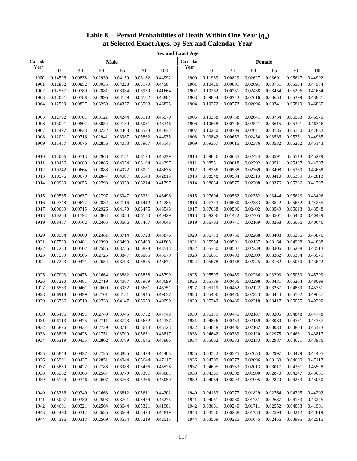| Table 8 – Period Probabilities of Death Within One Year $(q_x)$ |  |
|-----------------------------------------------------------------|--|
| at Selected Exact Ages, by Sex and Calendar Year                |  |

| Calendar<br>Calendar<br>Male<br>Female                                                                                                                                                                                  | <b>Sex and Exact Age</b> |                    |                    |  |  |  |  |  |  |  |  |  |  |
|-------------------------------------------------------------------------------------------------------------------------------------------------------------------------------------------------------------------------|--------------------------|--------------------|--------------------|--|--|--|--|--|--|--|--|--|--|
|                                                                                                                                                                                                                         |                          |                    |                    |  |  |  |  |  |  |  |  |  |  |
| Year<br>Year<br>30<br>$\boldsymbol{0}$<br>30<br>60<br>65<br>70<br>100<br>$\boldsymbol{0}$<br>60                                                                                                                         | 65                       | 70                 | 100                |  |  |  |  |  |  |  |  |  |  |
| 0.04159<br>1900<br>0.14596<br>0.00838<br>0.02930<br>0.06182<br>0.44992<br>1900<br>0.11969<br>0.00829<br>0.02627                                                                                                         | 0.03691                  | 0.05627            | 0.44992            |  |  |  |  |  |  |  |  |  |  |
| 1901<br>1901<br>0.12802<br>0.00852<br>0.03035<br>0.04228<br>0.06170<br>0.44584<br>0.10426<br>0.00801<br>0.02691                                                                                                         | 0.03751                  | 0.05564            | 0.44584            |  |  |  |  |  |  |  |  |  |  |
| 1902<br>0.12557<br>0.00789<br>0.02881<br>0.03984<br>0.05939<br>0.41664<br>1902<br>0.10262<br>0.00751<br>0.02458                                                                                                         | 0.03454                  | 0.05206            | 0.41664            |  |  |  |  |  |  |  |  |  |  |
| 0.43881<br>0.12031<br>0.00788<br>0.02995<br>0.06102<br>1903<br>0.09804<br>0.00743<br>0.02616<br>1903<br>0.04149                                                                                                         | 0.03653                  | 0.05399            | 0.43881            |  |  |  |  |  |  |  |  |  |  |
| 1904<br>0.12599<br>0.00827<br>0.03259<br>0.06503<br>0.46835<br>1904<br>0.10272<br>0.00773<br>0.04357<br>0.02696                                                                                                         | 0.03741                  | 0.05819            | 0.46835            |  |  |  |  |  |  |  |  |  |  |
|                                                                                                                                                                                                                         |                          |                    |                    |  |  |  |  |  |  |  |  |  |  |
| 0.12792<br>0.00781<br>0.03121<br>0.04244<br>0.06113<br>0.46570<br>1905<br>0.10358<br>0.00738<br>0.02641<br>1905                                                                                                         | 0.03754                  | 0.05563            | 0.46570            |  |  |  |  |  |  |  |  |  |  |
| 0.13091<br>0.00802<br>0.03054<br>0.06031<br>0.46346<br>1906<br>0.02541<br>1906<br>0.04189<br>0.10658<br>0.00726                                                                                                         | 0.03615                  | 0.05391            | 0.46346            |  |  |  |  |  |  |  |  |  |  |
| 0.47832<br>1907<br>0.12497<br>0.00833<br>0.03222<br>0.04463<br>0.06533<br>1907<br>0.10230<br>0.00709<br>0.02671                                                                                                         | 0.03786                  | 0.05730            | 0.47832            |  |  |  |  |  |  |  |  |  |  |
| 0.00716<br>0.44935<br>1908<br>0.12021<br>0.02941<br>0.03987<br>0.05862<br>1908<br>0.09842<br>0.00653<br>0.02454                                                                                                         | 0.03536                  | 0.05351            | 0.44935            |  |  |  |  |  |  |  |  |  |  |
| 1909<br>0.11457<br>0.00676<br>0.02856<br>0.05907<br>0.45143<br>1909<br>0.09367<br>0.00615<br>0.02386<br>0.04053                                                                                                         | 0.03532                  | 0.05262            | 0.45143            |  |  |  |  |  |  |  |  |  |  |
|                                                                                                                                                                                                                         |                          |                    |                    |  |  |  |  |  |  |  |  |  |  |
| 0.12006<br>0.00713<br>0.02968<br>0.04151<br>0.06173<br>0.45279<br>1910<br>0.09826<br>0.00635<br>0.02424<br>1910                                                                                                         | 0.03591                  | 0.05513            | 0.45279            |  |  |  |  |  |  |  |  |  |  |
| 0.00689<br>0.02886<br>0.06164<br>0.44297<br>0.08551<br>0.00618<br>1911<br>0.10456<br>0.04054<br>1911<br>0.02392                                                                                                         | 0.03511                  | 0.05497            | 0.44297            |  |  |  |  |  |  |  |  |  |  |
| 1912<br>0.10242<br>0.00664<br>0.02888<br>0.04072<br>0.06091<br>0.43638<br>1912<br>0.08286<br>0.00588<br>0.02369                                                                                                         | 0.03498                  | 0.05360            | 0.43638            |  |  |  |  |  |  |  |  |  |  |
| 1913<br>0.42813<br>1913<br>0.10576<br>0.00679<br>0.02847<br>0.04007<br>0.06143<br>0.08548<br>0.00584<br>0.02313                                                                                                         | 0.03410                  | 0.05339            | 0.42813            |  |  |  |  |  |  |  |  |  |  |
| 1914<br>0.09930<br>0.00655<br>0.02793<br>0.03950<br>0.06214<br>0.41797<br>1914<br>0.08034<br>0.00575<br>0.02308                                                                                                         | 0.03376                  | 0.05386            | 0.41797            |  |  |  |  |  |  |  |  |  |  |
|                                                                                                                                                                                                                         |                          |                    |                    |  |  |  |  |  |  |  |  |  |  |
| 0.43496<br>0.09565<br>0.00637<br>0.02797<br>0.03947<br>0.06331<br>1915<br>0.07604<br>0.00562<br>0.02352<br>1915                                                                                                         | 0.03444                  | 0.05623            | 0.43496            |  |  |  |  |  |  |  |  |  |  |
| 0.44285<br>0.09748<br>1916<br>0.07743<br>0.00580<br>0.02383<br>1916<br>0.00672<br>0.02882<br>0.04116<br>0.06412                                                                                                         | 0.03542                  | 0.05652            | 0.44285            |  |  |  |  |  |  |  |  |  |  |
| 0.43548<br>1917<br>0.09689<br>0.00715<br>0.02926<br>0.04170<br>0.06475<br>1917<br>0.07638<br>0.00596<br>0.02402                                                                                                         | 0.03549                  | 0.05613            | 0.43548            |  |  |  |  |  |  |  |  |  |  |
| 0.40429<br>1918<br>0.01792<br>0.02864<br>0.04080<br>0.06180<br>1918<br>0.08206<br>0.01422<br>0.02405<br>0.10263                                                                                                         | 0.03501                  | 0.05430            | 0.40429            |  |  |  |  |  |  |  |  |  |  |
| 1919<br>0.08467<br>0.00762<br>0.02465<br>0.03606<br>0.05467<br>0.40646<br>1919<br>0.06703<br>0.00771<br>0.02169                                                                                                         | 0.03268                  | 0.05006            | 0.40646            |  |  |  |  |  |  |  |  |  |  |
| 0.43876<br>0.08594<br>0.00660<br>0.02481<br>0.03714<br>0.05728<br>1920<br>0.06773<br>0.00730<br>0.02268<br>1920                                                                                                         | 0.03408                  | 0.05255            | 0.43876            |  |  |  |  |  |  |  |  |  |  |
| 0.41868<br>1921<br>0.07529<br>0.00481<br>0.02390<br>0.03493<br>0.05409<br>1921<br>0.05984<br>0.00501<br>0.02137                                                                                                         | 0.03164                  | 0.04908            | 0.41868            |  |  |  |  |  |  |  |  |  |  |
| 0.43513<br>1922<br>1922<br>0.07283<br>0.00502<br>0.02585<br>0.03755<br>0.05878<br>0.05750<br>0.00507<br>0.02239                                                                                                         | 0.03306                  | 0.05208            | 0.43513            |  |  |  |  |  |  |  |  |  |  |
| 1923<br>1923<br>0.07539<br>0.00505<br>0.02725<br>0.03847<br>0.06005<br>0.45979<br>0.06051<br>0.00493<br>0.02309                                                                                                         | 0.03362                  | 0.05354            | 0.45979            |  |  |  |  |  |  |  |  |  |  |
| 0.07223<br>0.00471<br>0.05825<br>0.43672<br>1924<br>0.00458<br>0.02225<br>1924<br>0.02654<br>0.03793<br>0.05678                                                                                                         | 0.03162                  | 0.05050            | 0.43672            |  |  |  |  |  |  |  |  |  |  |
|                                                                                                                                                                                                                         |                          |                    |                    |  |  |  |  |  |  |  |  |  |  |
| 0.45799<br>0.07093<br>0.00478<br>0.03882<br>0.05838<br>1925<br>0.05597<br>0.00459<br>0.02236<br>1925<br>0.02664                                                                                                         | 0.03293                  | 0.05050            | 0.45799            |  |  |  |  |  |  |  |  |  |  |
| 0.07290<br>0.00481<br>0.02719<br>0.05969<br>0.48099<br>1926<br>0.05789<br>0.02298<br>1926<br>0.04067<br>0.00466                                                                                                         | 0.03431                  | 0.05204            | 0.48099            |  |  |  |  |  |  |  |  |  |  |
| 1927<br>0.45751<br>1927<br>0.02122<br>0.06533<br>0.00461<br>0.02600<br>0.03932<br>0.05681<br>0.05119<br>0.00452                                                                                                         | 0.03257                  | 0.04869            | 0.45751            |  |  |  |  |  |  |  |  |  |  |
| 1928<br>0.06918<br>0.00499<br>0.02701<br>0.05945<br>0.49637<br>1928<br>0.05406<br>0.00476<br>0.02223<br>0.04151                                                                                                         | 0.03444                  | 0.05102            | 0.49637            |  |  |  |  |  |  |  |  |  |  |
| 1929<br>1929<br>0.06736<br>0.00510<br>0.02733<br>0.04147<br>0.05929<br>0.49290<br>0.05349<br>0.00480<br>0.02218                                                                                                         | 0.03417                  | 0.05055            | 0.49290            |  |  |  |  |  |  |  |  |  |  |
|                                                                                                                                                                                                                         |                          |                    |                    |  |  |  |  |  |  |  |  |  |  |
| 0.02187<br>0.00491<br>0.02740<br>0.03945<br>0.05752<br>0.44748<br>0.00445<br>0.06495<br>0.05179<br>1930<br>1930                                                                                                         | 0.03205                  | 0.04848            | 0.44748            |  |  |  |  |  |  |  |  |  |  |
| 0.44337<br>0.04836<br>1931<br>0.06113<br>0.00475<br>0.02711<br>0.03773<br>0.05652<br>1931<br>0.00433<br>0.02159                                                                                                         | 0.03080                  | 0.04731            | 0.44337            |  |  |  |  |  |  |  |  |  |  |
| 0.45123<br>1932<br>0.05826<br>0.00434<br>0.02729<br>0.03711<br>0.05644<br>1932<br>0.04628<br>0.00406<br>0.02162                                                                                                         | 0.03034                  | 0.04804            | 0.45123            |  |  |  |  |  |  |  |  |  |  |
| 1933<br>0.05806<br>0.43817<br>0.04642<br>0.02120<br>0.00428<br>0.02751<br>0.03700<br>0.05631<br>1933<br>0.00389                                                                                                         | 0.02975                  | 0.04631            | 0.43817            |  |  |  |  |  |  |  |  |  |  |
| 1934<br>0.06319<br>0.00435<br>0.02802<br>0.03789<br>0.05646<br>0.43986<br>1934<br>0.05002<br>0.00383<br>0.02133                                                                                                         | 0.02987                  | 0.04621            | 0.43986            |  |  |  |  |  |  |  |  |  |  |
|                                                                                                                                                                                                                         |                          |                    |                    |  |  |  |  |  |  |  |  |  |  |
| 0.44405<br>1935<br>0.05848<br>0.00427<br>0.02725<br>0.03825<br>0.05478<br>1935<br>0.04542<br>0.00375<br>0.02053                                                                                                         | 0.02997                  | 0.04479            | 0.44405            |  |  |  |  |  |  |  |  |  |  |
| 0.05991<br>0.47117<br>1936<br>0.04709<br>1936<br>0.00437<br>0.02851<br>0.04044<br>0.05644<br>0.00377<br>0.02096                                                                                                         | 0.03130                  | 0.04600            | 0.47117            |  |  |  |  |  |  |  |  |  |  |
| 1937<br>0.05839<br>0.00422<br>0.02786<br>0.03988<br>0.05456<br>0.45528<br>1937<br>0.04605<br>0.00353<br>0.02013                                                                                                         | 0.03017                  | 0.04381            | 0.45528            |  |  |  |  |  |  |  |  |  |  |
| 1938<br>0.00363<br>0.43681<br>1938<br>0.01900<br>0.05562<br>0.02587<br>0.03779<br>0.05301<br>0.04369<br>0.00308                                                                                                         | 0.02870                  | 0.04247            | 0.43681            |  |  |  |  |  |  |  |  |  |  |
| 0.00346<br>1939<br>0.05174<br>0.02607<br>0.03763<br>0.05366<br>0.45050<br>1939<br>0.04064<br>0.00293<br>0.01905                                                                                                         | 0.02820                  | 0.04283            | 0.45050            |  |  |  |  |  |  |  |  |  |  |
| 1940<br>0.05286<br>0.00340<br>0.02663<br>0.03812<br>0.05611<br>0.44202<br>1940<br>0.04163<br>0.00277<br>0.01829                                                                                                         | 0.02764                  | 0.04395            | 0.44202            |  |  |  |  |  |  |  |  |  |  |
| 0.43275                                                                                                                                                                                                                 |                          |                    |                    |  |  |  |  |  |  |  |  |  |  |
| 1941<br>0.05097<br>0.00330<br>0.02593<br>0.03701<br>0.05474<br>1941<br>0.04051<br>0.00260<br>0.01751<br>1942<br>0.04601<br>0.00321<br>0.02564<br>0.05321<br>0.41901<br>0.03661<br>0.03644<br>1942<br>0.00240<br>0.01711 | 0.02637<br>0.02552       | 0.04183<br>0.04083 | 0.43275<br>0.41901 |  |  |  |  |  |  |  |  |  |  |
| 1943<br>0.00312<br>0.02635<br>0.05474<br>0.44819<br>0.03526<br>0.01753<br>0.04490<br>0.03669<br>1943<br>0.00238                                                                                                         | 0.02598                  | 0.04212            | 0.44819            |  |  |  |  |  |  |  |  |  |  |
| 1944<br>0.00313<br>0.05219<br>0.42515<br>1944<br>0.01675<br>0.04396<br>0.02569<br>0.03534<br>0.03509<br>0.00225                                                                                                         | 0.02456                  | 0.03995            | 0.42515            |  |  |  |  |  |  |  |  |  |  |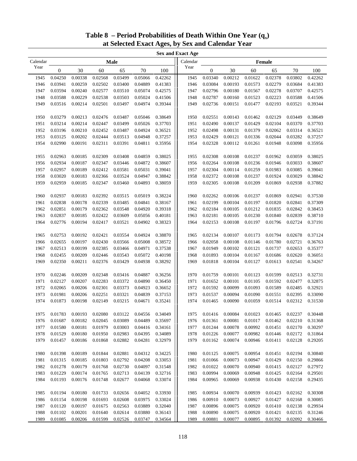| <b>Sex and Exact Age</b> |                  |         |                    |         |         |         |          |                  |         |         |         |         |         |
|--------------------------|------------------|---------|--------------------|---------|---------|---------|----------|------------------|---------|---------|---------|---------|---------|
| Calendar                 |                  |         |                    | Male    |         |         | Calendar |                  |         |         | Female  |         |         |
| Year                     | $\boldsymbol{0}$ | 30      | 60                 | 65      | 70      | 100     | Year     | $\boldsymbol{0}$ | 30      | 60      | 65      | 70      | 100     |
| 1945                     | 0.04250          | 0.00338 | 0.02568            | 0.03499 | 0.05066 | 0.42262 | 1945     | 0.03340          | 0.00212 | 0.01622 | 0.02378 | 0.03802 | 0.42262 |
| 1946                     | 0.03941          | 0.00259 | 0.02502            | 0.03400 | 0.04889 | 0.41383 | 1946     | 0.03084          | 0.00193 | 0.01573 | 0.02279 | 0.03684 | 0.41383 |
| 1947                     | 0.03594          | 0.00240 | 0.02577            | 0.03510 | 0.05074 | 0.42575 | 1947     | 0.02796          | 0.00180 | 0.01567 | 0.02278 | 0.03707 | 0.42575 |
| 1948                     | 0.03588          | 0.00229 | 0.02538            | 0.03503 | 0.05024 | 0.41506 | 1948     | 0.02787          | 0.00160 | 0.01523 | 0.02223 | 0.03588 | 0.41506 |
| 1949                     | 0.03516          | 0.00214 | 0.02501            | 0.03497 | 0.04974 | 0.39344 | 1949     | 0.02736          | 0.00151 | 0.01477 | 0.02193 | 0.03521 | 0.39344 |
|                          |                  |         |                    |         |         |         |          |                  |         |         |         |         |         |
| 1950                     | 0.03279          | 0.00213 | 0.02476            | 0.03487 | 0.05046 | 0.38649 | 1950     | 0.02551          | 0.00143 | 0.01462 | 0.02129 | 0.03449 | 0.38649 |
| 1951                     | 0.03214          | 0.00214 | 0.02447            | 0.03499 | 0.05026 | 0.37703 | 1951     | 0.02490          | 0.00137 | 0.01429 | 0.02104 | 0.03370 | 0.37703 |
| 1952                     | 0.03196          | 0.00210 | 0.02452            | 0.03487 | 0.04924 | 0.36521 | 1952     | 0.02498          | 0.00131 | 0.01379 | 0.02062 | 0.03314 | 0.36521 |
| 1953                     | 0.03125          | 0.00202 | 0.02444            | 0.03513 | 0.04948 | 0.37257 | 1953     | 0.02429          | 0.00121 | 0.01336 | 0.02044 | 0.03282 | 0.37257 |
| 1954                     | 0.02990          | 0.00191 | 0.02311            | 0.03391 | 0.04811 | 0.35956 | 1954     | 0.02328          | 0.00112 | 0.01261 | 0.01948 | 0.03098 | 0.35956 |
|                          |                  |         |                    |         |         |         |          |                  |         |         |         |         |         |
| 1955                     | 0.02963          | 0.00185 | 0.02309            | 0.03408 | 0.04859 | 0.38025 | 1955     | 0.02308          | 0.00108 | 0.01237 | 0.01962 | 0.03059 | 0.38025 |
| 1956                     | 0.02934          | 0.00187 | 0.02347            | 0.03446 | 0.04872 | 0.38607 | 1956     | 0.02264          | 0.00108 | 0.01236 | 0.01946 | 0.03033 | 0.38607 |
| 1957                     | 0.02957          | 0.00189 | 0.02412            | 0.03581 | 0.05031 | 0.39041 | 1957     | 0.02304          | 0.00114 | 0.01259 | 0.01983 | 0.03085 | 0.39041 |
| 1958                     | 0.03020          | 0.00183 | 0.02366            | 0.03524 | 0.04947 | 0.38842 | 1958     | 0.02372          | 0.00108 | 0.01237 | 0.01924 | 0.03029 | 0.38842 |
| 1959                     | 0.02959          | 0.00185 | 0.02347            | 0.03460 | 0.04893 | 0.38059 | 1959     | 0.02305          | 0.00108 | 0.01209 | 0.01869 | 0.02938 | 0.37882 |
|                          |                  |         |                    |         |         |         |          |                  |         |         |         |         |         |
| 1960                     | 0.02937          | 0.00183 | 0.02392            | 0.03515 | 0.05019 | 0.38224 | 1960     | 0.02262          | 0.00106 | 0.01237 | 0.01869 | 0.02941 | 0.37530 |
| 1961                     | 0.02838          | 0.00178 | 0.02339            | 0.03485 | 0.04841 | 0.38167 | 1961     | 0.02199          | 0.00104 | 0.01197 | 0.01820 | 0.02841 | 0.37309 |
| 1962                     | 0.02851          | 0.00179 | 0.02362            | 0.03548 | 0.04920 | 0.39318 | 1962     | 0.02184          | 0.00105 | 0.01212 | 0.01835 | 0.02842 | 0.38453 |
| 1963                     | 0.02837          | 0.00185 | 0.02422            | 0.03609 | 0.05056 | 0.40181 | 1963     | 0.02181          | 0.00105 | 0.01230 | 0.01840 | 0.02839 | 0.38710 |
| 1964                     | 0.02776          | 0.00194 | 0.02417            | 0.03521 | 0.04902 | 0.38323 | 1964     | 0.02153          | 0.00108 | 0.01197 | 0.01796 | 0.02724 | 0.37191 |
|                          |                  |         |                    |         |         |         |          |                  |         |         |         |         |         |
| 1965                     | 0.02753          | 0.00192 | 0.02421            | 0.03554 | 0.04924 | 0.38870 | 1965     | 0.02134          | 0.00107 | 0.01173 | 0.01794 | 0.02678 | 0.37124 |
| 1966                     | 0.02655          | 0.00197 | 0.02430            | 0.03566 | 0.05008 | 0.38572 | 1966     | 0.02058          | 0.00108 | 0.01146 | 0.01780 | 0.02721 | 0.36763 |
| 1967                     | 0.02513          | 0.00199 | 0.02385            | 0.03466 | 0.04971 | 0.37538 | 1967     | 0.01949          | 0.00102 | 0.01121 | 0.01737 | 0.02653 | 0.35377 |
| 1968                     | 0.02455          | 0.00209 | 0.02446<br>0.02376 | 0.03543 | 0.05072 | 0.40198 | 1968     | 0.01893          | 0.00104 | 0.01167 | 0.01686 | 0.02620 | 0.36051 |
| 1969                     | 0.02350          | 0.00211 |                    | 0.03429 | 0.04938 | 0.38292 | 1969     | 0.01818          | 0.00104 | 0.01127 | 0.01613 | 0.02541 | 0.34267 |
| 1970                     | 0.02246          | 0.00209 | 0.02348            | 0.03416 | 0.04887 | 0.36256 | 1970     | 0.01759          | 0.00101 | 0.01123 | 0.01599 | 0.02513 | 0.32731 |
| 1971                     | 0.02127          | 0.00207 | 0.02283            | 0.03372 | 0.04890 | 0.36450 | 1971     | 0.01652          | 0.00101 | 0.01105 | 0.01592 | 0.02477 | 0.32875 |
| 1972                     | 0.02065          | 0.00206 | 0.02301            | 0.03373 | 0.04923 | 0.36652 | 1972     | 0.01592          | 0.00099 | 0.01093 | 0.01589 | 0.02485 | 0.32921 |
| 1973                     | 0.01981          | 0.00206 | 0.02251            | 0.03321 | 0.04839 | 0.37153 | 1973     | 0.01537          | 0.00094 | 0.01090 | 0.01551 | 0.02395 | 0.33090 |
| 1974                     | 0.01873          | 0.00198 | 0.02149            | 0.03215 | 0.04671 | 0.35241 | 1974     | 0.01465          | 0.00090 | 0.01059 | 0.01514 | 0.02312 | 0.31530 |
|                          |                  |         |                    |         |         |         |          |                  |         |         |         |         |         |
| 1975                     | 0.01783          | 0.00193 | 0.02080            | 0.03122 | 0.04556 | 0.34049 | 1975     | 0.01416          | 0.00084 | 0.01023 | 0.01465 | 0.02237 | 0.30448 |
| 1976                     | 0.01687          | 0.00182 | 0.02045            | 0.03089 | 0.04489 | 0.35697 | 1976     | 0.01361          | 0.00081 | 0.01017 | 0.01462 | 0.02210 | 0.31368 |
| 1977                     | 0.01580          | 0.00181 | 0.01979            | 0.03003 | 0.04416 | 0.34161 | 1977     | 0.01244          | 0.00078 | 0.00992 | 0.01451 | 0.02170 | 0.30297 |
| 1978                     | 0.01529          | 0.00180 | 0.01950            | 0.02983 | 0.04395 | 0.34089 | 1978     | 0.01226          | 0.00077 | 0.00982 | 0.01446 | 0.02172 | 0.31864 |
| 1979                     | 0.01457          | 0.00186 | 0.01868            | 0.02882 | 0.04281 | 0.32979 | 1979     | 0.01162          | 0.00074 | 0.00946 | 0.01411 | 0.02128 | 0.29205 |
|                          |                  |         |                    |         |         |         |          |                  |         |         |         |         |         |
| 1980                     | 0.01398          | 0.00189 | 0.01844            | 0.02881 | 0.04312 | 0.34225 | 1980     | 0.01125          | 0.00075 | 0.00954 | 0.01451 | 0.02194 | 0.30840 |
| 1981                     | 0.01315          | 0.00185 | 0.01803            | 0.02792 | 0.04208 | 0.33053 | 1981     | 0.01066          | 0.00073 | 0.00947 | 0.01429 | 0.02150 | 0.29866 |
| 1982                     | 0.01278          | 0.00179 | 0.01768            | 0.02730 | 0.04097 | 0.31548 | 1982     | 0.01022          | 0.00070 | 0.00940 | 0.01415 | 0.02127 | 0.27972 |
| 1983                     | 0.01229          | 0.00174 | 0.01765            | 0.02713 | 0.04139 | 0.32716 | 1983     | 0.00994          | 0.00069 | 0.00948 | 0.01425 | 0.02164 | 0.29501 |
| 1984                     | 0.01193          | 0.00176 | 0.01748            | 0.02677 | 0.04068 | 0.33074 | 1984     | 0.00965          | 0.00069 | 0.00938 | 0.01430 | 0.02158 | 0.29435 |
|                          |                  |         |                    |         |         |         |          |                  |         |         |         |         |         |
| 1985                     | 0.01194          | 0.00180 | 0.01733            | 0.02656 | 0.04052 | 0.33930 | 1985     | 0.00934          | 0.00070 | 0.00939 | 0.01423 | 0.02162 | 0.30308 |
| 1986                     | 0.01154          | 0.00198 | 0.01693            | 0.02608 | 0.03975 | 0.33024 | 1986     | 0.00910          | 0.00073 | 0.00927 | 0.01427 | 0.02168 | 0.30085 |
| 1987                     | 0.01120          | 0.00197 | 0.01675            | 0.02563 | 0.03889 | 0.32040 | 1987     | 0.00896          | 0.00075 | 0.00920 | 0.01410 | 0.02138 | 0.29934 |
| 1988                     | 0.01102          | 0.00201 | 0.01640            | 0.02614 | 0.03880 | 0.36143 | 1988     | 0.00890          | 0.00075 | 0.00920 | 0.01421 | 0.02135 | 0.31246 |
| 1989                     | 0.01085          | 0.00206 | 0.01599            | 0.02526 | 0.03747 | 0.34564 | 1989     | 0.00881          | 0.00077 | 0.00895 | 0.01392 | 0.02092 | 0.30466 |

# **Table 8 – Period Probabilities of Death Within One Year**  $(q_x)$ **at Selected Exact Ages, by Sex and Calendar Year**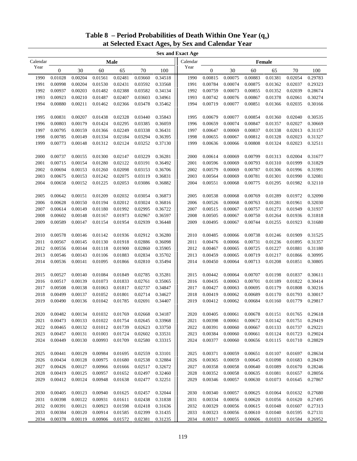| <b>Sex and Exact Age</b> |                  |         |         |         |         |         |          |                  |         |         |         |         |         |
|--------------------------|------------------|---------|---------|---------|---------|---------|----------|------------------|---------|---------|---------|---------|---------|
| Calendar                 |                  |         |         | Male    |         |         | Calendar |                  |         |         | Female  |         |         |
| Year                     | $\boldsymbol{0}$ | 30      | 60      | 65      | 70      | 100     | Year     | $\boldsymbol{0}$ | 30      | 60      | 65      | 70      | 100     |
| 1990                     | 0.01028          | 0.00204 | 0.01561 | 0.02481 | 0.03660 | 0.34518 | 1990     | 0.00815          | 0.00075 | 0.00883 | 0.01381 | 0.02054 | 0.29783 |
| 1991                     | 0.00998          | 0.00204 | 0.01530 | 0.02431 | 0.03592 | 0.33568 | 1991     | 0.00784          | 0.00074 | 0.00875 | 0.01362 | 0.02037 | 0.29323 |
| 1992                     | 0.00937          | 0.00203 | 0.01482 | 0.02388 | 0.03582 | 0.34134 | 1992     | 0.00759          | 0.00073 | 0.00855 | 0.01352 | 0.02039 | 0.28674 |
| 1993                     | 0.00923          | 0.00210 | 0.01487 | 0.02407 | 0.03603 | 0.34961 | 1993     | 0.00742          | 0.00076 | 0.00867 | 0.01378 | 0.02061 | 0.30274 |
| 1994                     | 0.00880          | 0.00211 | 0.01462 | 0.02366 | 0.03478 | 0.35462 | 1994     | 0.00719          | 0.00077 | 0.00851 | 0.01366 | 0.02035 | 0.30166 |
|                          |                  |         |         |         |         |         |          |                  |         |         |         |         |         |
| 1995                     | 0.00831          | 0.00207 | 0.01438 | 0.02328 | 0.03440 | 0.35843 | 1995     | 0.00679          | 0.00077 | 0.00854 | 0.01360 | 0.02040 | 0.30535 |
| 1996                     | 0.00803          | 0.00179 | 0.01424 | 0.02295 | 0.03385 | 0.36059 | 1996     | 0.00659          | 0.00074 | 0.00847 | 0.01357 | 0.02027 | 0.30669 |
| 1997                     | 0.00795          | 0.00159 | 0.01366 | 0.02249 | 0.03338 | 0.36431 | 1997     | 0.00647          | 0.00069 | 0.00837 | 0.01338 | 0.02013 | 0.31157 |
| 1998                     | 0.00785          | 0.00149 | 0.01334 | 0.02184 | 0.03294 | 0.36395 | 1998     | 0.00655          | 0.00067 | 0.00812 | 0.01328 | 0.02023 | 0.31327 |
| 1999                     | 0.00773          | 0.00148 | 0.01312 | 0.02124 | 0.03252 | 0.37130 | 1999     | 0.00636          | 0.00066 | 0.00808 | 0.01324 | 0.02023 | 0.32511 |
|                          |                  |         |         |         |         |         |          |                  |         |         |         |         |         |
| 2000                     | 0.00737          | 0.00155 | 0.01300 | 0.02147 | 0.03229 | 0.36281 | 2000     | 0.00614          | 0.00069 | 0.00799 | 0.01313 | 0.02004 | 0.31677 |
| 2001                     | 0.00715          | 0.00154 | 0.01280 | 0.02122 | 0.03191 | 0.36492 | 2001     | 0.00596          | 0.00069 | 0.00793 | 0.01310 | 0.01999 | 0.31829 |
| 2002                     | 0.00694          | 0.00153 | 0.01260 | 0.02098 | 0.03153 | 0.36706 | 2002     | 0.00579          | 0.00069 | 0.00787 | 0.01306 | 0.01996 | 0.31991 |
| 2003                     | 0.00675          | 0.00153 | 0.01242 | 0.02075 | 0.03119 | 0.36831 | 2003     | 0.00564          | 0.00069 | 0.00781 | 0.01301 | 0.01990 | 0.32081 |
| 2004                     | 0.00658          | 0.00152 | 0.01225 | 0.02053 | 0.03086 | 0.36882 | 2004     | 0.00551          | 0.00068 | 0.00775 | 0.01295 | 0.01982 | 0.32110 |
|                          |                  |         |         |         |         |         |          |                  |         |         |         |         |         |
| 2005                     | 0.00642          | 0.00151 | 0.01209 | 0.02032 | 0.03054 | 0.36873 | 2005     | 0.00538          | 0.00068 | 0.00769 | 0.01289 | 0.01972 | 0.32090 |
| 2006                     | 0.00628          | 0.00150 | 0.01194 | 0.02012 | 0.03024 | 0.36816 | 2006     | 0.00526          | 0.00068 | 0.00763 | 0.01281 | 0.01961 | 0.32030 |
| 2007                     | 0.00614          | 0.00149 | 0.01180 | 0.01992 | 0.02995 | 0.36722 | 2007     | 0.00515          | 0.00067 | 0.00757 | 0.01273 | 0.01949 | 0.31937 |
| 2008                     | 0.00602          | 0.00148 | 0.01167 | 0.01973 | 0.02967 | 0.36597 | 2008     | 0.00505          | 0.00067 | 0.00750 | 0.01264 | 0.01936 | 0.31818 |
| 2009                     | 0.00589          | 0.00147 | 0.01154 | 0.01954 | 0.02939 | 0.36448 | 2009     | 0.00495          | 0.00067 | 0.00744 | 0.01255 | 0.01923 | 0.31680 |
|                          |                  |         |         |         |         |         |          |                  |         |         |         |         |         |
| 2010                     | 0.00578          | 0.00146 | 0.01142 | 0.01936 | 0.02912 | 0.36280 | 2010     | 0.00485          | 0.00066 | 0.00738 | 0.01246 | 0.01909 | 0.31525 |
| 2011                     | 0.00567          | 0.00145 | 0.01130 | 0.01918 | 0.02886 | 0.36098 | 2011     | 0.00476          | 0.00066 | 0.00731 | 0.01236 | 0.01895 | 0.31357 |
| 2012                     | 0.00556          | 0.00144 | 0.01118 | 0.01900 | 0.02860 | 0.35905 | 2012     | 0.00467          | 0.00065 | 0.00725 | 0.01227 | 0.01881 | 0.31180 |
| 2013                     | 0.00546          | 0.00143 | 0.01106 | 0.01883 | 0.02834 | 0.35702 | 2013     | 0.00459          | 0.00065 | 0.00719 | 0.01217 | 0.01866 | 0.30995 |
| 2014                     | 0.00536          | 0.00141 | 0.01095 | 0.01866 | 0.02810 | 0.35494 | 2014     | 0.00450          | 0.00064 | 0.00713 | 0.01208 | 0.01851 | 0.30805 |
|                          |                  |         |         |         |         |         |          |                  |         |         |         |         |         |
| 2015                     | 0.00527          | 0.00140 | 0.01084 | 0.01849 | 0.02785 | 0.35281 | 2015     | 0.00442          | 0.00064 | 0.00707 | 0.01198 | 0.01837 | 0.30611 |
| 2016                     | 0.00517          | 0.00139 | 0.01073 | 0.01833 | 0.02761 | 0.35065 | 2016     | 0.00435          | 0.00063 | 0.00701 | 0.01189 | 0.01822 | 0.30414 |
| 2017                     | 0.00508          | 0.00138 | 0.01063 | 0.01817 | 0.02737 | 0.34847 | 2017     | 0.00427          | 0.00063 | 0.00695 | 0.01179 | 0.01808 | 0.30216 |
| 2018                     | 0.00499          | 0.00137 | 0.01052 | 0.01801 | 0.02714 | 0.34627 | 2018     | 0.00419          | 0.00062 | 0.00689 | 0.01170 | 0.01793 | 0.30017 |
| 2019                     | 0.00490          | 0.00136 | 0.01042 | 0.01785 | 0.02691 | 0.34407 | 2019     | 0.00412          | 0.00062 | 0.00684 | 0.01160 | 0.01779 | 0.29817 |
|                          |                  |         |         |         |         |         |          |                  |         |         |         |         |         |
| 2020                     | 0.00482          | 0.00134 | 0.01032 | 0.01769 | 0.02668 | 0.34187 | 2020     | 0.00405          | 0.00061 | 0.00678 | 0.01151 | 0.01765 | 0.29618 |
| 2021                     | 0.00473          | 0.00133 | 0.01022 | 0.01754 | 0.02645 | 0.33968 | 2021     | 0.00398          | 0.00061 | 0.00672 | 0.01142 | 0.01751 | 0.29419 |
| 2022                     | 0.00465          | 0.00132 | 0.01012 | 0.01739 | 0.02623 | 0.33750 | 2022     | 0.00391          | 0.00060 | 0.00667 | 0.01133 | 0.01737 | 0.29221 |
| 2023                     | 0.00457          | 0.00131 | 0.01003 | 0.01724 | 0.02602 | 0.33531 | 2023     | 0.00384          | 0.00060 | 0.00661 | 0.01124 | 0.01723 | 0.29024 |
| 2024                     | 0.00449          | 0.00130 | 0.00993 | 0.01709 | 0.02580 | 0.33315 | 2024     | 0.00377          | 0.00060 | 0.00656 | 0.01115 | 0.01710 | 0.28829 |
| 2025                     | 0.00441          | 0.00129 | 0.00984 | 0.01695 | 0.02559 | 0.33101 | 2025     | 0.00371          | 0.00059 | 0.00651 | 0.01107 | 0.01697 | 0.28634 |
| 2026                     | 0.00434          | 0.00128 | 0.00975 | 0.01680 | 0.02538 | 0.32884 | 2026     | 0.00365          | 0.00059 | 0.00645 | 0.01098 | 0.01683 | 0.28439 |
| 2027                     | 0.00426          | 0.00127 | 0.00966 | 0.01666 | 0.02517 | 0.32672 | 2027     | 0.00358          | 0.00058 | 0.00640 | 0.01089 | 0.01670 | 0.28246 |
| 2028                     | 0.00419          | 0.00125 | 0.00957 | 0.01652 | 0.02497 | 0.32460 | 2028     | 0.00352          | 0.00058 | 0.00635 | 0.01081 | 0.01657 | 0.28056 |
| 2029                     | 0.00412          | 0.00124 | 0.00948 | 0.01638 | 0.02477 | 0.32251 | 2029     | 0.00346          | 0.00057 | 0.00630 | 0.01073 | 0.01645 | 0.27867 |
|                          |                  |         |         |         |         |         |          |                  |         |         |         |         |         |
| 2030                     | 0.00405          | 0.00123 | 0.00940 | 0.01625 | 0.02457 | 0.32044 | 2030     | 0.00340          | 0.00057 | 0.00625 | 0.01064 | 0.01632 | 0.27680 |
| 2031                     | 0.00398          | 0.00122 | 0.00931 | 0.01611 | 0.02438 | 0.31838 | 2031     | 0.00334          | 0.00056 | 0.00620 | 0.01056 | 0.01620 | 0.27495 |
| 2032                     | 0.00391          | 0.00121 | 0.00923 | 0.01598 | 0.02418 | 0.31636 | 2032     | 0.00329          | 0.00056 | 0.00615 | 0.01048 | 0.01607 | 0.27313 |
| 2033                     | 0.00384          | 0.00120 | 0.00914 | 0.01585 | 0.02399 | 0.31435 | 2033     | 0.00323          | 0.00056 | 0.00610 | 0.01040 | 0.01595 | 0.27131 |
| 2034                     | 0.00378          | 0.00119 | 0.00906 | 0.01572 | 0.02381 | 0.31235 | 2034     | 0.00317          | 0.00055 | 0.00606 | 0.01033 | 0.01584 | 0.26952 |

#### Table **8** – Period Probabilities of Death Within One Year (q<sub>x</sub>) **at Selected Exact Ages, by Sex and Calendar Year**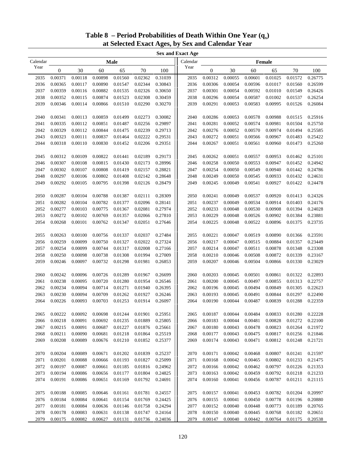| <b>Sex and Exact Age</b> |              |         |         |         |         |         |          |                  |         |         |         |         |         |
|--------------------------|--------------|---------|---------|---------|---------|---------|----------|------------------|---------|---------|---------|---------|---------|
| Calendar                 |              |         |         | Male    |         |         | Calendar |                  |         |         | Female  |         |         |
| Year                     | $\mathbf{0}$ | 30      | 60      | 65      | 70      | 100     | Year     | $\boldsymbol{0}$ | 30      | 60      | 65      | 70      | 100     |
| 2035                     | 0.00371      | 0.00118 | 0.00898 | 0.01560 | 0.02362 | 0.31039 | 2035     | 0.00312          | 0.00055 | 0.00601 | 0.01025 | 0.01572 | 0.26775 |
| 2036                     | 0.00365      | 0.00117 | 0.00890 | 0.01547 | 0.02344 | 0.30843 | 2036     | 0.00306          | 0.00054 | 0.00596 | 0.01017 | 0.01560 | 0.26599 |
| 2037                     | 0.00359      | 0.00116 | 0.00882 | 0.01535 | 0.02326 | 0.30650 | 2037     | 0.00301          | 0.00054 | 0.00592 | 0.01010 | 0.01549 | 0.26426 |
| 2038                     | 0.00352      | 0.00115 | 0.00874 | 0.01523 | 0.02308 | 0.30459 | 2038     | 0.00296          | 0.00054 | 0.00587 | 0.01002 | 0.01537 | 0.26254 |
| 2039                     | 0.00346      | 0.00114 | 0.00866 | 0.01510 | 0.02290 | 0.30270 | 2039     | 0.00291          | 0.00053 | 0.00583 | 0.00995 | 0.01526 | 0.26084 |
|                          |              |         |         |         |         |         |          |                  |         |         |         |         |         |
| 2040                     | 0.00341      | 0.00113 | 0.00859 | 0.01499 | 0.02273 | 0.30082 | 2040     | 0.00286          | 0.00053 | 0.00578 | 0.00988 | 0.01515 | 0.25916 |
| 2041                     | 0.00335      | 0.00112 | 0.00851 | 0.01487 | 0.02256 | 0.29897 | 2041     | 0.00281          | 0.00052 | 0.00574 | 0.00981 | 0.01504 | 0.25750 |
| 2042                     | 0.00329      | 0.00112 | 0.00844 | 0.01475 | 0.02239 | 0.29713 | 2042     | 0.00276          | 0.00052 | 0.00570 | 0.00974 | 0.01494 | 0.25585 |
| 2043                     | 0.00323      | 0.00111 | 0.00837 | 0.01464 | 0.02222 | 0.29531 | 2043     | 0.00272          | 0.00051 | 0.00566 | 0.00967 | 0.01483 | 0.25422 |
| 2044                     | 0.00318      | 0.00110 | 0.00830 | 0.01452 | 0.02206 | 0.29351 | 2044     | 0.00267          | 0.00051 | 0.00561 | 0.00960 | 0.01473 | 0.25260 |
|                          |              |         |         |         |         |         |          |                  |         |         |         |         |         |
| 2045                     | 0.00312      | 0.00109 | 0.00822 | 0.01441 | 0.02189 | 0.29173 | 2045     | 0.00262          | 0.00051 | 0.00557 | 0.00953 | 0.01462 | 0.25101 |
| 2046                     | 0.00307      | 0.00108 | 0.00815 | 0.01430 | 0.02173 | 0.28996 | 2046     | 0.00258          | 0.00050 | 0.00553 | 0.00947 | 0.01452 | 0.24942 |
| 2047                     | 0.00302      | 0.00107 | 0.00808 | 0.01419 | 0.02157 | 0.28821 | 2047     | 0.00254          | 0.00050 | 0.00549 | 0.00940 | 0.01442 | 0.24786 |
| 2048                     | 0.00297      | 0.00106 | 0.00802 | 0.01408 | 0.02142 | 0.28648 | 2048     | 0.00249          | 0.00050 | 0.00545 | 0.00933 | 0.01432 | 0.24631 |
| 2049                     | 0.00292      | 0.00105 | 0.00795 | 0.01398 | 0.02126 | 0.28479 | 2049     | 0.00245          | 0.00049 | 0.00541 | 0.00927 | 0.01422 | 0.24478 |
|                          |              |         |         |         |         |         |          |                  |         |         |         |         |         |
| 2050                     | 0.00287      | 0.00104 | 0.00788 | 0.01387 | 0.02111 | 0.28309 | 2050     | 0.00241          | 0.00049 | 0.00537 | 0.00920 | 0.01413 | 0.24326 |
| 2051                     | 0.00282      | 0.00104 | 0.00782 | 0.01377 | 0.02096 | 0.28141 | 2051     | 0.00237          | 0.00049 | 0.00534 | 0.00914 | 0.01403 | 0.24176 |
| 2052                     | 0.00277      | 0.00103 | 0.00775 | 0.01367 | 0.02081 | 0.27974 | 2052     | 0.00233          | 0.00048 | 0.00530 | 0.00908 | 0.01394 | 0.24028 |
| 2053                     | 0.00272      | 0.00102 | 0.00769 | 0.01357 | 0.02066 | 0.27810 | 2053     | 0.00229          | 0.00048 | 0.00526 | 0.00902 | 0.01384 | 0.23881 |
| 2054                     | 0.00268      | 0.00101 | 0.00762 | 0.01347 | 0.02051 | 0.27646 | 2054     | 0.00225          | 0.00048 | 0.00522 | 0.00896 | 0.01375 | 0.23735 |
|                          |              |         |         |         |         |         |          |                  |         |         |         |         |         |
| 2055                     | 0.00263      | 0.00100 | 0.00756 | 0.01337 | 0.02037 | 0.27484 | 2055     | 0.00221          | 0.00047 | 0.00519 | 0.00890 | 0.01366 | 0.23591 |
| 2056                     | 0.00259      | 0.00099 | 0.00750 | 0.01327 | 0.02022 | 0.27324 | 2056     | 0.00217          | 0.00047 | 0.00515 | 0.00884 | 0.01357 | 0.23449 |
| 2057                     | 0.00254      | 0.00099 | 0.00744 | 0.01317 | 0.02008 | 0.27166 | 2057     | 0.00214          | 0.00047 | 0.00511 | 0.00878 | 0.01348 | 0.23308 |
| 2058                     | 0.00250      | 0.00098 | 0.00738 | 0.01308 | 0.01994 | 0.27009 | 2058     | 0.00210          | 0.00046 | 0.00508 | 0.00872 | 0.01339 | 0.23167 |
| 2059                     | 0.00246      | 0.00097 | 0.00732 | 0.01298 | 0.01981 | 0.26853 | 2059     | 0.00207          | 0.00046 | 0.00504 | 0.00866 | 0.01330 | 0.23029 |
|                          |              |         |         |         |         |         |          |                  |         |         |         |         |         |
| 2060                     | 0.00242      | 0.00096 | 0.00726 | 0.01289 | 0.01967 | 0.26699 | 2060     | 0.00203          | 0.00045 | 0.00501 | 0.00861 | 0.01322 | 0.22893 |
| 2061                     | 0.00238      | 0.00095 | 0.00720 | 0.01280 | 0.01954 | 0.26546 | 2061     | 0.00200          | 0.00045 | 0.00497 | 0.00855 | 0.01313 | 0.22757 |
| 2062                     | 0.00234      | 0.00094 | 0.00714 | 0.01271 | 0.01940 | 0.26395 | 2062     | 0.00196          | 0.00045 | 0.00494 | 0.00849 | 0.01305 | 0.22623 |
| 2063                     | 0.00230      | 0.00094 | 0.00709 | 0.01262 | 0.01927 | 0.26246 | 2063     | 0.00193          | 0.00045 | 0.00491 | 0.00844 | 0.01297 | 0.22490 |
| 2064                     | 0.00226      | 0.00093 | 0.00703 | 0.01253 | 0.01914 | 0.26097 | 2064     | 0.00190          | 0.00044 | 0.00487 | 0.00839 | 0.01288 | 0.22359 |
|                          |              |         |         |         |         |         |          |                  |         |         |         |         |         |
| 2065                     | 0.00222      | 0.00092 | 0.00698 | 0.01244 | 0.01901 | 0.25951 | 2065     | 0.00187          | 0.00044 | 0.00484 | 0.00833 | 0.01280 | 0.22228 |
| 2066                     | 0.00218      | 0.00091 | 0.00692 | 0.01235 | 0.01889 | 0.25805 | 2066     | 0.00183          | 0.00044 | 0.00481 | 0.00828 | 0.01272 | 0.22100 |
| 2067                     | 0.00215      | 0.00091 | 0.00687 | 0.01227 | 0.01876 | 0.25661 | 2067     | 0.00180          | 0.00043 | 0.00478 | 0.00823 | 0.01264 | 0.21972 |
| 2068                     | 0.00211      | 0.00090 | 0.00681 | 0.01218 | 0.01864 | 0.25519 | 2068     | 0.00177          | 0.00043 | 0.00475 | 0.00817 | 0.01256 | 0.21846 |
| 2069                     | 0.00208      | 0.00089 | 0.00676 | 0.01210 | 0.01852 | 0.25377 | 2069     | 0.00174          | 0.00043 | 0.00471 | 0.00812 | 0.01248 | 0.21721 |
|                          |              |         |         |         |         |         |          |                  |         |         |         |         |         |
| 2070                     | 0.00204      | 0.00089 | 0.00671 | 0.01202 | 0.01839 | 0.25237 | 2070     | 0.00171          | 0.00042 | 0.00468 | 0.00807 | 0.01241 | 0.21597 |
| 2071                     | 0.00201      | 0.00088 | 0.00666 | 0.01193 | 0.01827 | 0.25099 | 2071     | 0.00168          | 0.00042 | 0.00465 | 0.00802 | 0.01233 | 0.21475 |
| 2072                     | 0.00197      | 0.00087 | 0.00661 | 0.01185 | 0.01816 | 0.24962 | 2072     | 0.00166          | 0.00042 | 0.00462 | 0.00797 | 0.01226 | 0.21353 |
| 2073                     | 0.00194      | 0.00086 | 0.00656 | 0.01177 | 0.01804 | 0.24825 | 2073     | 0.00163          | 0.00042 | 0.00459 | 0.00792 | 0.01218 | 0.21233 |
| 2074                     | 0.00191      | 0.00086 | 0.00651 | 0.01169 | 0.01792 | 0.24691 | 2074     | 0.00160          | 0.00041 | 0.00456 | 0.00787 | 0.01211 | 0.21115 |
|                          |              |         |         |         |         |         |          |                  |         |         |         |         |         |
| 2075                     | 0.00188      | 0.00085 | 0.00646 | 0.01161 | 0.01781 | 0.24557 | 2075     | 0.00157          | 0.00041 | 0.00453 | 0.00782 | 0.01204 | 0.20997 |
| 2076                     | 0.00184      | 0.00084 | 0.00641 | 0.01154 | 0.01769 | 0.24425 | 2076     | 0.00155          | 0.00041 | 0.00450 | 0.00778 | 0.01196 | 0.20880 |
| 2077                     | 0.00181      | 0.00084 | 0.00636 | 0.01146 | 0.01758 | 0.24294 | 2077     | 0.00152          | 0.00040 | 0.00448 | 0.00773 | 0.01189 | 0.20765 |
| 2078                     | 0.00178      | 0.00083 | 0.00631 | 0.01138 | 0.01747 | 0.24164 | 2078     | 0.00150          | 0.00040 | 0.00445 | 0.00768 | 0.01182 | 0.20651 |
| 2079                     | 0.00175      | 0.00082 | 0.00627 | 0.01131 | 0.01736 | 0.24036 | 2079     | 0.00147          | 0.00040 | 0.00442 | 0.00764 | 0.01175 | 0.20538 |

### Table **8** – Period Probabilities of Death Within One Year (q<sub>x</sub>) **at Selected Exact Ages, by Sex and Calendar Year**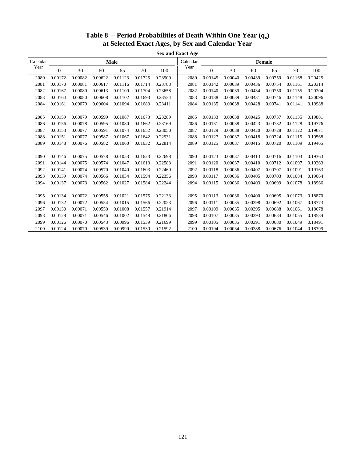| <b>Sex and Exact Age</b> |         |         |         |         |         |         |          |              |         |         |               |         |         |
|--------------------------|---------|---------|---------|---------|---------|---------|----------|--------------|---------|---------|---------------|---------|---------|
| Calendar                 |         |         |         | Male    |         |         | Calendar |              |         |         | <b>Female</b> |         |         |
| Year                     | 0       | 30      | 60      | 65      | 70      | 100     | Year     | $\mathbf{0}$ | 30      | 60      | 65            | 70      | 100     |
| 2080                     | 0.00172 | 0.00082 | 0.00622 | 0.01123 | 0.01725 | 0.23909 | 2080     | 0.00145      | 0.00040 | 0.00439 | 0.00759       | 0.01168 | 0.20425 |
| 2081                     | 0.00170 | 0.00081 | 0.00617 | 0.01116 | 0.01714 | 0.23783 | 2081     | 0.00142      | 0.00039 | 0.00436 | 0.00754       | 0.01161 | 0.20314 |
| 2082                     | 0.00167 | 0.00080 | 0.00613 | 0.01109 | 0.01704 | 0.23658 | 2082     | 0.00140      | 0.00039 | 0.00434 | 0.00750       | 0.01155 | 0.20204 |
| 2083                     | 0.00164 | 0.00080 | 0.00608 | 0.01102 | 0.01693 | 0.23534 | 2083     | 0.00138      | 0.00039 | 0.00431 | 0.00746       | 0.01148 | 0.20096 |
| 2084                     | 0.00161 | 0.00079 | 0.00604 | 0.01094 | 0.01683 | 0.23411 | 2084     | 0.00135      | 0.00038 | 0.00428 | 0.00741       | 0.01141 | 0.19988 |
|                          |         |         |         |         |         |         |          |              |         |         |               |         |         |
| 2085                     | 0.00159 | 0.00079 | 0.00599 | 0.01087 | 0.01673 | 0.23289 | 2085     | 0.00133      | 0.00038 | 0.00425 | 0.00737       | 0.01135 | 0.19881 |
| 2086                     | 0.00156 | 0.00078 | 0.00595 | 0.01080 | 0.01662 | 0.23169 | 2086     | 0.00131      | 0.00038 | 0.00423 | 0.00732       | 0.01128 | 0.19776 |
| 2087                     | 0.00153 | 0.00077 | 0.00591 | 0.01074 | 0.01652 | 0.23050 | 2087     | 0.00129      | 0.00038 | 0.00420 | 0.00728       | 0.01122 | 0.19671 |
| 2088                     | 0.00151 | 0.00077 | 0.00587 | 0.01067 | 0.01642 | 0.22931 | 2088     | 0.00127      | 0.00037 | 0.00418 | 0.00724       | 0.01115 | 0.19568 |
| 2089                     | 0.00148 | 0.00076 | 0.00582 | 0.01060 | 0.01632 | 0.22814 | 2089     | 0.00125      | 0.00037 | 0.00415 | 0.00720       | 0.01109 | 0.19465 |
|                          |         |         |         |         |         |         |          |              |         |         |               |         |         |
| 2090                     | 0.00146 | 0.00075 | 0.00578 | 0.01053 | 0.01623 | 0.22698 | 2090     | 0.00123      | 0.00037 | 0.00413 | 0.00716       | 0.01103 | 0.19363 |
| 2091                     | 0.00144 | 0.00075 | 0.00574 | 0.01047 | 0.01613 | 0.22583 | 2091     | 0.00120      | 0.00037 | 0.00410 | 0.00712       | 0.01097 | 0.19263 |
| 2092                     | 0.00141 | 0.00074 | 0.00570 | 0.01040 | 0.01603 | 0.22469 | 2092     | 0.00118      | 0.00036 | 0.00407 | 0.00707       | 0.01091 | 0.19163 |
| 2093                     | 0.00139 | 0.00074 | 0.00566 | 0.01034 | 0.01594 | 0.22356 | 2093     | 0.00117      | 0.00036 | 0.00405 | 0.00703       | 0.01084 | 0.19064 |
| 2094                     | 0.00137 | 0.00073 | 0.00562 | 0.01027 | 0.01584 | 0.22244 | 2094     | 0.00115      | 0.00036 | 0.00403 | 0.00699       | 0.01078 | 0.18966 |
|                          |         |         |         |         |         |         |          |              |         |         |               |         |         |
| 2095                     | 0.00134 | 0.00072 | 0.00558 | 0.01021 | 0.01575 | 0.22133 | 2095     | 0.00113      | 0.00036 | 0.00400 | 0.00695       | 0.01073 | 0.18870 |
| 2096                     | 0.00132 | 0.00072 | 0.00554 | 0.01015 | 0.01566 | 0.22023 | 2096     | 0.00111      | 0.00035 | 0.00398 | 0.00692       | 0.01067 | 0.18773 |
| 2097                     | 0.00130 | 0.00071 | 0.00550 | 0.01008 | 0.01557 | 0.21914 | 2097     | 0.00109      | 0.00035 | 0.00395 | 0.00688       | 0.01061 | 0.18678 |
| 2098                     | 0.00128 | 0.00071 | 0.00546 | 0.01002 | 0.01548 | 0.21806 | 2098     | 0.00107      | 0.00035 | 0.00393 | 0.00684       | 0.01055 | 0.18584 |
| 2099                     | 0.00126 | 0.00070 | 0.00543 | 0.00996 | 0.01539 | 0.21699 | 2099     | 0.00105      | 0.00035 | 0.00391 | 0.00680       | 0.01049 | 0.18491 |
| 2100                     | 0.00124 | 0.00070 | 0.00539 | 0.00990 | 0.01530 | 0.21592 | 2100     | 0.00104      | 0.00034 | 0.00388 | 0.00676       | 0.01044 | 0.18399 |

### Table **8** – Period Probabilities of Death Within One Year (q<sub>x</sub>) **at Selected Exact Ages, by Sex and Calendar Year**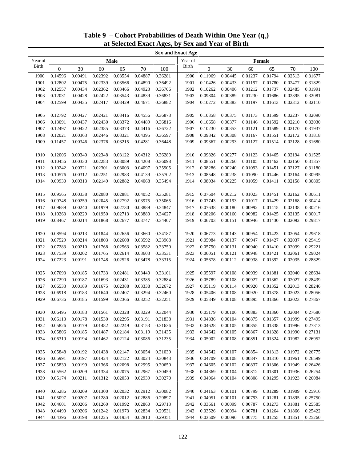|              | <b>Sex and Exact Age</b> |         |         |                                                 |         |         |         |                  |         |                                                                                 |         |         |         |
|--------------|--------------------------|---------|---------|-------------------------------------------------|---------|---------|---------|------------------|---------|---------------------------------------------------------------------------------|---------|---------|---------|
| Year of      |                          |         |         | <b>Male</b>                                     |         |         | Year of |                  |         |                                                                                 | Female  |         |         |
| <b>Birth</b> | $\boldsymbol{0}$         | 30      | 60      | 65                                              | 70      | 100     | Birth   | $\boldsymbol{0}$ | 30      | 60                                                                              | 65      | 70      | 100     |
| 1900         | 0.14596                  | 0.00491 | 0.02392 | 0.03554                                         | 0.04887 | 0.36281 | 1900    | 0.11969          | 0.00445 | 0.01237                                                                         | 0.01794 | 0.02513 | 0.31677 |
| 1901         | 0.12802                  | 0.00475 | 0.02339 | 0.03566                                         | 0.04890 | 0.36492 | 1901    | 0.10426          | 0.00433 | 0.01197                                                                         | 0.01780 | 0.02477 | 0.31829 |
| 1902         | 0.12557                  | 0.00434 | 0.02362 | 0.03466                                         | 0.04923 | 0.36706 | 1902    | 0.10262          | 0.00406 | 0.01212                                                                         | 0.01737 | 0.02485 | 0.31991 |
| 1903         | 0.12031                  | 0.00428 | 0.02422 | 0.03543                                         | 0.04839 | 0.36831 | 1903    | 0.09804          | 0.00389 | 0.01230                                                                         | 0.01686 | 0.02395 | 0.32081 |
| 1904         | 0.12599                  | 0.00435 | 0.02417 | 0.03429                                         | 0.04671 | 0.36882 | 1904    | 0.10272          | 0.00383 | 0.01197                                                                         | 0.01613 | 0.02312 | 0.32110 |
|              |                          |         |         |                                                 |         |         |         |                  |         |                                                                                 |         |         |         |
| 1905         | 0.12792                  | 0.00427 | 0.02421 | 0.03416                                         | 0.04556 | 0.36873 | 1905    | 0.10358          | 0.00375 | 0.01173                                                                         | 0.01599 | 0.02237 | 0.32090 |
| 1906         | 0.13091                  | 0.00437 | 0.02430 | 0.03372                                         | 0.04489 | 0.36816 | 1906    | 0.10658          | 0.00377 | 0.01146                                                                         | 0.01592 | 0.02210 | 0.32030 |
| 1907         | 0.12497                  | 0.00422 | 0.02385 | 0.03373                                         | 0.04416 | 0.36722 | 1907    | 0.10230          | 0.00353 | 0.01121                                                                         | 0.01589 | 0.02170 | 0.31937 |
| 1908         | 0.12021                  | 0.00363 | 0.02446 | 0.03321                                         | 0.04395 | 0.36597 | 1908    | 0.09842          | 0.00308 | 0.01167                                                                         | 0.01551 | 0.02172 | 0.31818 |
| 1909         | 0.11457                  | 0.00346 | 0.02376 | 0.03215                                         | 0.04281 | 0.36448 | 1909    | 0.09367          | 0.00293 | 0.01127                                                                         | 0.01514 | 0.02128 | 0.31680 |
|              |                          |         |         |                                                 |         |         |         |                  |         |                                                                                 |         |         |         |
| 1910         | 0.12006                  | 0.00340 | 0.02348 | 0.03122                                         | 0.04312 | 0.36280 | 1910    | 0.09826          | 0.00277 | 0.01123                                                                         | 0.01465 | 0.02194 | 0.31525 |
| 1911         | 0.10456                  | 0.00330 | 0.02283 | 0.03089                                         | 0.04208 | 0.36098 | 1911    | 0.08551          | 0.00260 | 0.01105                                                                         | 0.01462 | 0.02150 | 0.31357 |
| 1912         | 0.10242                  | 0.00321 | 0.02301 | 0.03003                                         | 0.04097 | 0.35905 | 1912    | 0.08286          | 0.00240 | 0.01093                                                                         | 0.01451 | 0.02127 | 0.31180 |
| 1913         | 0.10576                  | 0.00312 | 0.02251 | 0.02983                                         | 0.04139 | 0.35702 | 1913    | 0.08548          | 0.00238 | 0.01090                                                                         | 0.01446 | 0.02164 | 0.30995 |
| 1914         | 0.09930                  | 0.00313 | 0.02149 | 0.02882                                         | 0.04068 | 0.35494 | 1914    | 0.08034          | 0.00225 | 0.01059                                                                         | 0.01411 | 0.02158 | 0.30805 |
|              |                          |         |         |                                                 |         |         |         |                  |         |                                                                                 |         |         |         |
| 1915         | 0.09565                  | 0.00338 | 0.02080 | 0.02881                                         | 0.04052 | 0.35281 | 1915    | 0.07604          | 0.00212 | 0.01023                                                                         | 0.01451 | 0.02162 | 0.30611 |
| 1916         | 0.09748                  | 0.00259 | 0.02045 | 0.02792                                         | 0.03975 | 0.35065 | 1916    | 0.07743          | 0.00193 | 0.01017                                                                         | 0.01429 | 0.02168 | 0.30414 |
| 1917         | 0.09689                  | 0.00240 | 0.01979 | 0.02730                                         | 0.03889 | 0.34847 | 1917    | 0.07638          | 0.00180 | 0.00992                                                                         | 0.01415 | 0.02138 | 0.30216 |
| 1918         | 0.10263                  | 0.00229 | 0.01950 | 0.02713                                         | 0.03880 | 0.34627 | 1918    | 0.08206          | 0.00160 | 0.00982                                                                         | 0.01425 | 0.02135 | 0.30017 |
| 1919         | 0.08467                  | 0.00214 | 0.01868 | 0.02677                                         | 0.03747 | 0.34407 | 1919    | 0.06703          | 0.00151 | 0.00946                                                                         | 0.01430 | 0.02092 | 0.29817 |
|              |                          |         |         |                                                 |         |         |         |                  |         |                                                                                 |         |         |         |
| 1920         | 0.08594                  | 0.00213 | 0.01844 | 0.02656                                         | 0.03660 | 0.34187 | 1920    | 0.06773          | 0.00143 | 0.00954                                                                         | 0.01423 | 0.02054 | 0.29618 |
| 1921         | 0.07529                  | 0.00214 | 0.01803 | 0.02608                                         | 0.03592 | 0.33968 | 1921    | 0.05984          | 0.00137 | 0.00947                                                                         | 0.01427 | 0.02037 | 0.29419 |
| 1922         | 0.07283                  | 0.00210 | 0.01768 | 0.02563                                         | 0.03582 | 0.33750 | 1922    | 0.05750          | 0.00131 | 0.00940                                                                         | 0.01410 | 0.02039 | 0.29221 |
| 1923         | 0.07539                  | 0.00202 | 0.01765 | 0.02614                                         | 0.03603 | 0.33531 | 1923    | 0.06051          | 0.00121 | 0.00948                                                                         | 0.01421 | 0.02061 | 0.29024 |
| 1924         | 0.07223                  | 0.00191 | 0.01748 | 0.02526                                         | 0.03478 | 0.33315 | 1924    | 0.05678          | 0.00112 | 0.00938                                                                         | 0.01392 | 0.02035 | 0.28829 |
|              |                          |         |         |                                                 |         |         |         |                  |         |                                                                                 |         |         |         |
| 1925         | 0.07093                  | 0.00185 | 0.01733 | 0.02481                                         | 0.03440 | 0.33101 | 1925    | 0.05597          | 0.00108 | 0.00939                                                                         | 0.01381 | 0.02040 | 0.28634 |
| 1926         | 0.07290                  | 0.00187 | 0.01693 | 0.02431                                         | 0.03385 | 0.32884 | 1926    | 0.05789          | 0.00108 | 0.00927                                                                         | 0.01362 | 0.02027 | 0.28439 |
| 1927         | 0.06533                  | 0.00189 | 0.01675 | 0.02388                                         | 0.03338 | 0.32672 | 1927    | 0.05119          | 0.00114 | 0.00920                                                                         | 0.01352 | 0.02013 | 0.28246 |
| 1928         | 0.06918                  | 0.00183 | 0.01640 | 0.02407                                         | 0.03294 | 0.32460 | 1928    | 0.05406          | 0.00108 | 0.00920                                                                         | 0.01378 | 0.02023 | 0.28056 |
| 1929         | 0.06736                  | 0.00185 | 0.01599 | 0.02366                                         | 0.03252 | 0.32251 | 1929    | 0.05349          | 0.00108 | 0.00895                                                                         | 0.01366 | 0.02023 | 0.27867 |
|              |                          |         |         |                                                 |         |         |         |                  |         |                                                                                 |         |         |         |
| 1930         |                          |         |         | 0.06495 0.00183 0.01561 0.02328 0.03229 0.32044 |         |         | 1930    |                  |         | $0.05179 \quad 0.00106 \quad 0.00883 \quad 0.01360 \quad 0.02004 \quad 0.27680$ |         |         |         |
| 1931         | 0.06113                  | 0.00178 | 0.01530 | 0.02295                                         | 0.03191 | 0.31838 | 1931    | 0.04836          | 0.00104 | 0.00875                                                                         | 0.01357 | 0.01999 | 0.27495 |
| 1932         | 0.05826                  | 0.00179 | 0.01482 | 0.02249                                         | 0.03153 | 0.31636 | 1932    | 0.04628          | 0.00105 | 0.00855                                                                         | 0.01338 | 0.01996 | 0.27313 |
| 1933         | 0.05806                  | 0.00185 | 0.01487 | 0.02184                                         | 0.03119 | 0.31435 | 1933    | 0.04642          | 0.00105 | 0.00867                                                                         | 0.01328 | 0.01990 | 0.27131 |
| 1934         | 0.06319                  | 0.00194 | 0.01462 | 0.02124                                         | 0.03086 | 0.31235 | 1934    | 0.05002          | 0.00108 | 0.00851                                                                         | 0.01324 | 0.01982 | 0.26952 |
|              |                          |         |         |                                                 |         |         |         |                  |         |                                                                                 |         |         |         |
| 1935         | 0.05848                  | 0.00192 | 0.01438 | 0.02147                                         | 0.03054 | 0.31039 | 1935    | 0.04542          | 0.00107 | 0.00854                                                                         | 0.01313 | 0.01972 | 0.26775 |
| 1936         | 0.05991                  | 0.00197 | 0.01424 | 0.02122                                         | 0.03024 | 0.30843 | 1936    | 0.04709          | 0.00108 | 0.00847                                                                         | 0.01310 | 0.01961 | 0.26599 |
| 1937         | 0.05839                  | 0.00199 | 0.01366 | 0.02098                                         | 0.02995 | 0.30650 | 1937    | 0.04605          | 0.00102 | 0.00837                                                                         | 0.01306 | 0.01949 | 0.26426 |
| 1938         | 0.05562                  | 0.00209 | 0.01334 | 0.02075                                         | 0.02967 | 0.30459 | 1938    | 0.04369          | 0.00104 | 0.00812                                                                         | 0.01301 | 0.01936 | 0.26254 |
| 1939         | 0.05174                  | 0.00211 | 0.01312 | 0.02053                                         | 0.02939 | 0.30270 | 1939    | 0.04064          | 0.00104 | 0.00808                                                                         | 0.01295 | 0.01923 | 0.26084 |
|              |                          |         |         |                                                 |         |         |         |                  |         |                                                                                 |         |         |         |
| 1940         | 0.05286                  | 0.00209 | 0.01300 | 0.02032                                         | 0.02912 | 0.30082 | 1940    | 0.04163          | 0.00101 | 0.00799                                                                         | 0.01289 | 0.01909 | 0.25916 |
| 1941         | 0.05097                  | 0.00207 | 0.01280 | 0.02012                                         | 0.02886 | 0.29897 | 1941    | 0.04051          | 0.00101 | 0.00793                                                                         | 0.01281 | 0.01895 | 0.25750 |
| 1942         | 0.04601                  | 0.00206 | 0.01260 | 0.01992                                         | 0.02860 | 0.29713 | 1942    | 0.03661          | 0.00099 | 0.00787                                                                         | 0.01273 | 0.01881 | 0.25585 |
| 1943         | 0.04490                  | 0.00206 | 0.01242 | 0.01973                                         | 0.02834 | 0.29531 | 1943    | 0.03526          | 0.00094 | 0.00781                                                                         | 0.01264 | 0.01866 | 0.25422 |
| 1944         | 0.04396                  | 0.00198 | 0.01225 | 0.01954                                         | 0.02810 | 0.29351 | 1944    | 0.03509          | 0.00090 | 0.00775                                                                         | 0.01255 | 0.01851 | 0.25260 |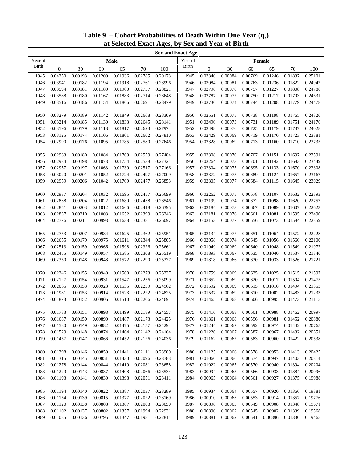|              | <b>Sex and Exact Age</b> |         |         |                                                                                 |         |         |         |                  |                                                                                 |         |         |         |         |
|--------------|--------------------------|---------|---------|---------------------------------------------------------------------------------|---------|---------|---------|------------------|---------------------------------------------------------------------------------|---------|---------|---------|---------|
| Year of      |                          |         |         | <b>Male</b>                                                                     |         |         | Year of |                  |                                                                                 |         | Female  |         |         |
| <b>Birth</b> | $\boldsymbol{0}$         | 30      | 60      | 65                                                                              | 70      | 100     | Birth   | $\boldsymbol{0}$ | 30                                                                              | 60      | 65      | 70      | 100     |
| 1945         | 0.04250                  | 0.00193 | 0.01209 | 0.01936                                                                         | 0.02785 | 0.29173 | 1945    | 0.03340          | 0.00084                                                                         | 0.00769 | 0.01246 | 0.01837 | 0.25101 |
| 1946         | 0.03941                  | 0.00182 | 0.01194 | 0.01918                                                                         | 0.02761 | 0.28996 | 1946    | 0.03084          | 0.00081                                                                         | 0.00763 | 0.01236 | 0.01822 | 0.24942 |
| 1947         | 0.03594                  | 0.00181 | 0.01180 | 0.01900                                                                         | 0.02737 | 0.28821 | 1947    | 0.02796          | 0.00078                                                                         | 0.00757 | 0.01227 | 0.01808 | 0.24786 |
| 1948         | 0.03588                  | 0.00180 | 0.01167 | 0.01883                                                                         | 0.02714 | 0.28648 | 1948    | 0.02787          | 0.00077                                                                         | 0.00750 | 0.01217 | 0.01793 | 0.24631 |
| 1949         | 0.03516                  | 0.00186 | 0.01154 | 0.01866                                                                         | 0.02691 | 0.28479 | 1949    | 0.02736          | 0.00074                                                                         | 0.00744 | 0.01208 | 0.01779 | 0.24478 |
|              |                          |         |         |                                                                                 |         |         |         |                  |                                                                                 |         |         |         |         |
| 1950         | 0.03279                  | 0.00189 | 0.01142 | 0.01849                                                                         | 0.02668 | 0.28309 | 1950    | 0.02551          | 0.00075                                                                         | 0.00738 | 0.01198 | 0.01765 | 0.24326 |
| 1951         | 0.03214                  | 0.00185 | 0.01130 | 0.01833                                                                         | 0.02645 | 0.28141 | 1951    | 0.02490          | 0.00073                                                                         | 0.00731 | 0.01189 | 0.01751 | 0.24176 |
| 1952         | 0.03196                  | 0.00179 | 0.01118 | 0.01817                                                                         | 0.02623 | 0.27974 | 1952    | 0.02498          | 0.00070                                                                         | 0.00725 | 0.01179 | 0.01737 | 0.24028 |
| 1953         | 0.03125                  | 0.00174 | 0.01106 | 0.01801                                                                         | 0.02602 | 0.27810 | 1953    | 0.02429          | 0.00069                                                                         | 0.00719 | 0.01170 | 0.01723 | 0.23881 |
| 1954         | 0.02990                  | 0.00176 | 0.01095 | 0.01785                                                                         | 0.02580 | 0.27646 | 1954    | 0.02328          | 0.00069                                                                         | 0.00713 | 0.01160 | 0.01710 | 0.23735 |
|              |                          |         |         |                                                                                 |         |         |         |                  |                                                                                 |         |         |         |         |
| 1955         | 0.02963                  | 0.00180 | 0.01084 | 0.01769                                                                         | 0.02559 | 0.27484 | 1955    | 0.02308          | 0.00070                                                                         | 0.00707 | 0.01151 | 0.01697 | 0.23591 |
| 1956         | 0.02934                  | 0.00198 | 0.01073 | 0.01754                                                                         | 0.02538 | 0.27324 | 1956    | 0.02264          | 0.00073                                                                         | 0.00701 | 0.01142 | 0.01683 | 0.23449 |
| 1957         | 0.02957                  | 0.00197 | 0.01063 | 0.01739                                                                         | 0.02517 | 0.27166 | 1957    | 0.02304          | 0.00075                                                                         | 0.00695 | 0.01133 | 0.01670 | 0.23308 |
| 1958         | 0.03020                  | 0.00201 | 0.01052 | 0.01724                                                                         | 0.02497 | 0.27009 | 1958    | 0.02372          | 0.00075                                                                         | 0.00689 | 0.01124 | 0.01657 | 0.23167 |
| 1959         | 0.02959                  | 0.00206 | 0.01042 | 0.01709                                                                         | 0.02477 | 0.26853 | 1959    | 0.02305          | 0.00077                                                                         | 0.00684 | 0.01115 | 0.01645 | 0.23029 |
|              |                          |         |         |                                                                                 |         |         |         |                  |                                                                                 |         |         |         |         |
| 1960         | 0.02937                  | 0.00204 | 0.01032 | 0.01695                                                                         | 0.02457 | 0.26699 | 1960    | 0.02262          | 0.00075                                                                         | 0.00678 | 0.01107 | 0.01632 | 0.22893 |
| 1961         | 0.02838                  | 0.00204 | 0.01022 | 0.01680                                                                         | 0.02438 | 0.26546 | 1961    | 0.02199          | 0.00074                                                                         | 0.00672 | 0.01098 | 0.01620 | 0.22757 |
| 1962         | 0.02851                  | 0.00203 | 0.01012 | 0.01666                                                                         | 0.02418 | 0.26395 | 1962    | 0.02184          | 0.00073                                                                         | 0.00667 | 0.01089 | 0.01607 | 0.22623 |
| 1963         | 0.02837                  | 0.00210 | 0.01003 | 0.01652                                                                         | 0.02399 | 0.26246 | 1963    | 0.02181          | 0.00076                                                                         | 0.00661 | 0.01081 | 0.01595 | 0.22490 |
| 1964         | 0.02776                  | 0.00211 | 0.00993 | 0.01638                                                                         | 0.02381 | 0.26097 | 1964    | 0.02153          | 0.00077                                                                         | 0.00656 | 0.01073 | 0.01584 | 0.22359 |
|              |                          |         |         |                                                                                 |         |         |         |                  |                                                                                 |         |         |         |         |
| 1965         | 0.02753                  | 0.00207 | 0.00984 | 0.01625                                                                         | 0.02362 | 0.25951 | 1965    | 0.02134          | 0.00077                                                                         | 0.00651 | 0.01064 | 0.01572 | 0.22228 |
| 1966         | 0.02655                  | 0.00179 | 0.00975 | 0.01611                                                                         | 0.02344 | 0.25805 | 1966    | 0.02058          | 0.00074                                                                         | 0.00645 | 0.01056 | 0.01560 | 0.22100 |
| 1967         | 0.02513                  | 0.00159 | 0.00966 | 0.01598                                                                         | 0.02326 | 0.25661 | 1967    | 0.01949          | 0.00069                                                                         | 0.00640 | 0.01048 | 0.01549 | 0.21972 |
| 1968         | 0.02455                  | 0.00149 | 0.00957 | 0.01585                                                                         | 0.02308 | 0.25519 | 1968    | 0.01893          | 0.00067                                                                         | 0.00635 | 0.01040 | 0.01537 | 0.21846 |
| 1969         | 0.02350                  | 0.00148 | 0.00948 | 0.01572                                                                         | 0.02290 | 0.25377 | 1969    | 0.01818          | 0.00066                                                                         | 0.00630 | 0.01033 | 0.01526 | 0.21721 |
|              |                          |         |         |                                                                                 |         |         |         |                  |                                                                                 |         |         |         |         |
| 1970         | 0.02246                  | 0.00155 | 0.00940 | 0.01560                                                                         | 0.02273 | 0.25237 | 1970    | 0.01759          | 0.00069                                                                         | 0.00625 | 0.01025 | 0.01515 | 0.21597 |
| 1971         | 0.02127                  | 0.00154 | 0.00931 | 0.01547                                                                         | 0.02256 | 0.25099 | 1971    | 0.01652          | 0.00069                                                                         | 0.00620 | 0.01017 | 0.01504 | 0.21475 |
| 1972         | 0.02065                  | 0.00153 | 0.00923 | 0.01535                                                                         | 0.02239 | 0.24962 | 1972    | 0.01592          | 0.00069                                                                         | 0.00615 | 0.01010 | 0.01494 | 0.21353 |
| 1973         | 0.01981                  | 0.00153 | 0.00914 | 0.01523                                                                         | 0.02222 | 0.24825 | 1973    | 0.01537          | 0.00069                                                                         | 0.00610 | 0.01002 | 0.01483 | 0.21233 |
| 1974         | 0.01873                  | 0.00152 | 0.00906 | 0.01510                                                                         | 0.02206 | 0.24691 | 1974    | 0.01465          | 0.00068                                                                         | 0.00606 | 0.00995 | 0.01473 | 0.21115 |
|              |                          |         |         |                                                                                 |         |         |         |                  |                                                                                 |         |         |         |         |
| 1975         |                          |         |         | $0.01783 \quad 0.00151 \quad 0.00898 \quad 0.01499 \quad 0.02189 \quad 0.24557$ |         |         | 1975    |                  | $0.01416 \quad 0.00068 \quad 0.00601 \quad 0.00988 \quad 0.01462 \quad 0.20997$ |         |         |         |         |
| 1976         | 0.01687                  | 0.00150 | 0.00890 | 0.01487                                                                         | 0.02173 | 0.24425 | 1976    | 0.01361          | 0.00068                                                                         | 0.00596 | 0.00981 | 0.01452 | 0.20880 |
| 1977         | 0.01580                  | 0.00149 | 0.00882 | 0.01475                                                                         | 0.02157 | 0.24294 | 1977    | 0.01244          | 0.00067                                                                         | 0.00592 | 0.00974 | 0.01442 | 0.20765 |
| 1978         | 0.01529                  | 0.00148 | 0.00874 | 0.01464                                                                         | 0.02142 | 0.24164 | 1978    | 0.01226          | 0.00067                                                                         | 0.00587 | 0.00967 | 0.01432 | 0.20651 |
| 1979         | 0.01457                  | 0.00147 | 0.00866 | 0.01452                                                                         | 0.02126 | 0.24036 | 1979    | 0.01162          | 0.00067                                                                         | 0.00583 | 0.00960 | 0.01422 | 0.20538 |
|              |                          |         |         |                                                                                 |         |         |         |                  |                                                                                 |         |         |         |         |
| 1980         | 0.01398                  | 0.00146 | 0.00859 | 0.01441                                                                         | 0.02111 | 0.23909 | 1980    | 0.01125          | 0.00066                                                                         | 0.00578 | 0.00953 | 0.01413 | 0.20425 |
| 1981         | 0.01315                  | 0.00145 | 0.00851 | 0.01430                                                                         | 0.02096 | 0.23783 | 1981    | 0.01066          | 0.00066                                                                         | 0.00574 | 0.00947 | 0.01403 | 0.20314 |
| 1982         | 0.01278                  | 0.00144 | 0.00844 | 0.01419                                                                         | 0.02081 | 0.23658 | 1982    | 0.01022          | 0.00065                                                                         | 0.00570 | 0.00940 | 0.01394 | 0.20204 |
| 1983         | 0.01229                  | 0.00143 | 0.00837 | 0.01408                                                                         | 0.02066 | 0.23534 | 1983    | 0.00994          | 0.00065                                                                         | 0.00566 | 0.00933 | 0.01384 | 0.20096 |
| 1984         | 0.01193                  | 0.00141 | 0.00830 | 0.01398                                                                         | 0.02051 | 0.23411 | 1984    | 0.00965          | 0.00064                                                                         | 0.00561 | 0.00927 | 0.01375 | 0.19988 |
|              |                          |         |         |                                                                                 |         |         |         |                  |                                                                                 |         |         |         |         |
| 1985         | 0.01194                  | 0.00140 | 0.00822 | 0.01387                                                                         | 0.02037 | 0.23289 | 1985    | 0.00934          | 0.00064                                                                         | 0.00557 | 0.00920 | 0.01366 | 0.19881 |
| 1986         | 0.01154                  | 0.00139 | 0.00815 | 0.01377                                                                         | 0.02022 | 0.23169 | 1986    | 0.00910          | 0.00063                                                                         | 0.00553 | 0.00914 | 0.01357 | 0.19776 |
| 1987         | 0.01120                  | 0.00138 | 0.00808 | 0.01367                                                                         | 0.02008 | 0.23050 | 1987    | 0.00896          | 0.00063                                                                         | 0.00549 | 0.00908 | 0.01348 | 0.19671 |
| 1988         | 0.01102                  | 0.00137 | 0.00802 | 0.01357                                                                         | 0.01994 | 0.22931 | 1988    | 0.00890          | 0.00062                                                                         | 0.00545 | 0.00902 | 0.01339 | 0.19568 |
| 1989         | 0.01085                  | 0.00136 | 0.00795 | 0.01347                                                                         | 0.01981 | 0.22814 | 1989    | 0.00881          | 0.00062                                                                         | 0.00541 | 0.00896 | 0.01330 | 0.19465 |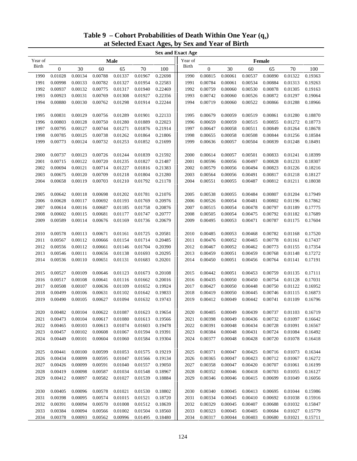|              | <b>Sex and Exact Age</b> |                                                                                 |         |             |         |         |         |                  |         |         |                                                                   |         |         |
|--------------|--------------------------|---------------------------------------------------------------------------------|---------|-------------|---------|---------|---------|------------------|---------|---------|-------------------------------------------------------------------|---------|---------|
| Year of      |                          |                                                                                 |         | <b>Male</b> |         |         | Year of |                  |         |         | Female                                                            |         |         |
| <b>Birth</b> | $\boldsymbol{0}$         | 30                                                                              | 60      | 65          | 70      | 100     | Birth   | $\boldsymbol{0}$ | 30      | 60      | 65                                                                | 70      | 100     |
| 1990         | 0.01028                  | 0.00134                                                                         | 0.00788 | 0.01337     | 0.01967 | 0.22698 | 1990    | 0.00815          | 0.00061 | 0.00537 | 0.00890                                                           | 0.01322 | 0.19363 |
| 1991         | 0.00998                  | 0.00133                                                                         | 0.00782 | 0.01327     | 0.01954 | 0.22583 | 1991    | 0.00784          | 0.00061 | 0.00534 | 0.00884                                                           | 0.01313 | 0.19263 |
| 1992         | 0.00937                  | 0.00132                                                                         | 0.00775 | 0.01317     | 0.01940 | 0.22469 | 1992    | 0.00759          | 0.00060 | 0.00530 | 0.00878                                                           | 0.01305 | 0.19163 |
| 1993         | 0.00923                  | 0.00131                                                                         | 0.00769 | 0.01308     | 0.01927 | 0.22356 | 1993    | 0.00742          | 0.00060 | 0.00526 | 0.00872                                                           | 0.01297 | 0.19064 |
| 1994         | 0.00880                  | 0.00130                                                                         | 0.00762 | 0.01298     | 0.01914 | 0.22244 | 1994    | 0.00719          | 0.00060 | 0.00522 | 0.00866                                                           | 0.01288 | 0.18966 |
|              |                          |                                                                                 |         |             |         |         |         |                  |         |         |                                                                   |         |         |
| 1995         | 0.00831                  | 0.00129                                                                         | 0.00756 | 0.01289     | 0.01901 | 0.22133 | 1995    | 0.00679          | 0.00059 | 0.00519 | 0.00861                                                           | 0.01280 | 0.18870 |
| 1996         | 0.00803                  | 0.00128                                                                         | 0.00750 | 0.01280     | 0.01889 | 0.22023 | 1996    | 0.00659          | 0.00059 | 0.00515 | 0.00855                                                           | 0.01272 | 0.18773 |
| 1997         | 0.00795                  | 0.00127                                                                         | 0.00744 | 0.01271     | 0.01876 | 0.21914 | 1997    | 0.00647          | 0.00058 | 0.00511 | 0.00849                                                           | 0.01264 | 0.18678 |
| 1998         | 0.00785                  | 0.00125                                                                         | 0.00738 | 0.01262     | 0.01864 | 0.21806 | 1998    | 0.00655          | 0.00058 | 0.00508 | 0.00844                                                           | 0.01256 | 0.18584 |
| 1999         | 0.00773                  | 0.00124                                                                         | 0.00732 | 0.01253     | 0.01852 | 0.21699 | 1999    | 0.00636          | 0.00057 | 0.00504 | 0.00839                                                           | 0.01248 | 0.18491 |
|              |                          |                                                                                 |         |             |         |         |         |                  |         |         |                                                                   |         |         |
| 2000         | 0.00737                  | 0.00123                                                                         | 0.00726 | 0.01244     | 0.01839 | 0.21592 | 2000    | 0.00614          | 0.00057 | 0.00501 | 0.00833                                                           | 0.01241 | 0.18399 |
| 2001         | 0.00715                  | 0.00122                                                                         | 0.00720 | 0.01235     | 0.01827 | 0.21487 | 2001    | 0.00596          | 0.00056 | 0.00497 | 0.00828                                                           | 0.01233 | 0.18307 |
| 2002         | 0.00694                  | 0.00121                                                                         | 0.00714 | 0.01227     | 0.01816 | 0.21383 | 2002    | 0.00579          | 0.00056 | 0.00494 | 0.00823                                                           | 0.01226 | 0.18216 |
| 2003         | 0.00675                  | 0.00120                                                                         | 0.00709 | 0.01218     | 0.01804 | 0.21280 | 2003    | 0.00564          | 0.00056 | 0.00491 | 0.00817                                                           | 0.01218 | 0.18127 |
| 2004         | 0.00658                  | 0.00119                                                                         | 0.00703 | 0.01210     | 0.01792 | 0.21178 | 2004    | 0.00551          | 0.00055 | 0.00487 | 0.00812                                                           | 0.01211 | 0.18038 |
|              |                          |                                                                                 |         |             |         |         |         |                  |         |         |                                                                   |         |         |
| 2005         | 0.00642                  | 0.00118                                                                         | 0.00698 | 0.01202     | 0.01781 | 0.21076 | 2005    | 0.00538          | 0.00055 | 0.00484 | 0.00807                                                           | 0.01204 | 0.17949 |
| 2006         | 0.00628                  | 0.00117                                                                         | 0.00692 | 0.01193     | 0.01769 | 0.20976 | 2006    | 0.00526          | 0.00054 | 0.00481 | 0.00802                                                           | 0.01196 | 0.17862 |
| 2007         | 0.00614                  | 0.00116                                                                         | 0.00687 | 0.01185     | 0.01758 | 0.20876 | 2007    | 0.00515          | 0.00054 | 0.00478 | 0.00797                                                           | 0.01189 | 0.17775 |
| 2008         | 0.00602                  | 0.00115                                                                         | 0.00681 | 0.01177     | 0.01747 | 0.20777 | 2008    | 0.00505          | 0.00054 | 0.00475 | 0.00792                                                           | 0.01182 | 0.17689 |
| 2009         | 0.00589                  | 0.00114                                                                         | 0.00676 | 0.01169     | 0.01736 | 0.20679 | 2009    | 0.00495          | 0.00053 | 0.00471 | 0.00787                                                           | 0.01175 | 0.17604 |
|              |                          |                                                                                 |         |             |         |         |         |                  |         |         |                                                                   |         |         |
| 2010         | 0.00578                  | 0.00113                                                                         | 0.00671 | 0.01161     | 0.01725 | 0.20581 | 2010    | 0.00485          | 0.00053 | 0.00468 | 0.00782                                                           | 0.01168 | 0.17520 |
| 2011         | 0.00567                  | 0.00112                                                                         | 0.00666 | 0.01154     | 0.01714 | 0.20485 | 2011    | 0.00476          | 0.00052 | 0.00465 | 0.00778                                                           | 0.01161 | 0.17437 |
| 2012         | 0.00556                  | 0.00112                                                                         | 0.00661 | 0.01146     | 0.01704 | 0.20390 | 2012    | 0.00467          | 0.00052 | 0.00462 | 0.00773                                                           | 0.01155 | 0.17354 |
| 2013         | 0.00546                  | 0.00111                                                                         | 0.00656 | 0.01138     | 0.01693 | 0.20295 | 2013    | 0.00459          | 0.00051 | 0.00459 | 0.00768                                                           | 0.01148 | 0.17272 |
| 2014         | 0.00536                  | 0.00110                                                                         | 0.00651 | 0.01131     | 0.01683 | 0.20201 | 2014    | 0.00450          | 0.00051 | 0.00456 | 0.00764                                                           | 0.01141 | 0.17191 |
|              |                          |                                                                                 |         |             |         |         |         |                  |         |         |                                                                   |         |         |
| 2015         | 0.00527                  | 0.00109                                                                         | 0.00646 | 0.01123     | 0.01673 | 0.20108 | 2015    | 0.00442          | 0.00051 | 0.00453 | 0.00759                                                           | 0.01135 | 0.17111 |
| 2016         | 0.00517                  | 0.00108                                                                         | 0.00641 | 0.01116     | 0.01662 | 0.20016 | 2016    | 0.00435          | 0.00050 | 0.00450 | 0.00754                                                           | 0.01128 | 0.17031 |
| 2017         | 0.00508                  | 0.00107                                                                         | 0.00636 | 0.01109     | 0.01652 | 0.19924 | 2017    | 0.00427          | 0.00050 | 0.00448 | 0.00750                                                           | 0.01122 | 0.16952 |
| 2018         | 0.00499                  | 0.00106                                                                         | 0.00631 | 0.01102     | 0.01642 | 0.19833 | 2018    | 0.00419          | 0.00050 | 0.00445 | 0.00746                                                           | 0.01115 | 0.16873 |
| 2019         | 0.00490                  | 0.00105                                                                         | 0.00627 | 0.01094     | 0.01632 | 0.19743 | 2019    | 0.00412          | 0.00049 | 0.00442 | 0.00741                                                           | 0.01109 | 0.16796 |
|              |                          |                                                                                 |         |             |         |         |         |                  |         |         |                                                                   |         |         |
| 2020         |                          | $0.00482 \quad 0.00104 \quad 0.00622 \quad 0.01087 \quad 0.01623 \quad 0.19654$ |         |             |         |         | 2020    |                  |         |         | $0.00405 \quad 0.00049 \quad 0.00439 \quad 0.00737 \quad 0.01103$ |         | 0.16719 |
| 2021         | 0.00473                  | 0.00104                                                                         | 0.00617 | 0.01080     | 0.01613 | 0.19566 | 2021    | 0.00398          | 0.00049 | 0.00436 | 0.00732                                                           | 0.01097 | 0.16642 |
| 2022         | 0.00465                  | 0.00103                                                                         | 0.00613 | 0.01074     | 0.01603 | 0.19478 | 2022    | 0.00391          | 0.00048 | 0.00434 | 0.00728                                                           | 0.01091 | 0.16567 |
| 2023         | 0.00457                  | 0.00102                                                                         | 0.00608 | 0.01067     | 0.01594 | 0.19391 | 2023    | 0.00384          | 0.00048 | 0.00431 | 0.00724                                                           | 0.01084 | 0.16492 |
| 2024         | 0.00449                  | 0.00101                                                                         | 0.00604 | 0.01060     | 0.01584 | 0.19304 | 2024    | 0.00377          | 0.00048 | 0.00428 | 0.00720                                                           | 0.01078 | 0.16418 |
|              |                          |                                                                                 |         |             |         |         |         |                  |         |         |                                                                   |         |         |
| 2025         | 0.00441                  | 0.00100                                                                         | 0.00599 | 0.01053     | 0.01575 | 0.19219 | 2025    | 0.00371          | 0.00047 | 0.00425 | 0.00716                                                           | 0.01073 | 0.16344 |
| 2026         | 0.00434                  | 0.00099                                                                         | 0.00595 | 0.01047     | 0.01566 | 0.19134 | 2026    | 0.00365          | 0.00047 | 0.00423 | 0.00712                                                           | 0.01067 | 0.16272 |
| 2027         | 0.00426                  | 0.00099                                                                         | 0.00591 | 0.01040     | 0.01557 | 0.19050 | 2027    | 0.00358          | 0.00047 | 0.00420 | 0.00707                                                           | 0.01061 | 0.16199 |
| 2028         | 0.00419                  | 0.00098                                                                         | 0.00587 | 0.01034     | 0.01548 | 0.18967 | 2028    | 0.00352          | 0.00046 | 0.00418 | 0.00703                                                           | 0.01055 | 0.16127 |
| 2029         | 0.00412                  | 0.00097                                                                         | 0.00582 | 0.01027     | 0.01539 | 0.18884 | 2029    | 0.00346          | 0.00046 | 0.00415 | 0.00699                                                           | 0.01049 | 0.16056 |
|              |                          |                                                                                 |         |             |         |         |         |                  |         |         |                                                                   |         |         |
| 2030         | 0.00405                  | 0.00096                                                                         | 0.00578 | 0.01021     | 0.01530 | 0.18802 | 2030    | 0.00340          | 0.00045 | 0.00413 | 0.00695                                                           | 0.01044 | 0.15986 |
| 2031         | 0.00398                  | 0.00095                                                                         | 0.00574 | 0.01015     | 0.01521 | 0.18720 | 2031    | 0.00334          | 0.00045 | 0.00410 | 0.00692                                                           | 0.01038 | 0.15916 |
| 2032         | 0.00391                  | 0.00094                                                                         | 0.00570 | 0.01008     | 0.01512 | 0.18639 | 2032    | 0.00329          | 0.00045 | 0.00407 | 0.00688                                                           | 0.01032 | 0.15847 |
| 2033         | 0.00384                  | 0.00094                                                                         | 0.00566 | 0.01002     | 0.01504 | 0.18560 | 2033    | 0.00323          | 0.00045 | 0.00405 | 0.00684                                                           | 0.01027 | 0.15779 |
| 2034         | 0.00378                  | 0.00093                                                                         | 0.00562 | 0.00996     | 0.01495 | 0.18480 | 2034    | 0.00317          | 0.00044 | 0.00403 | 0.00680                                                           | 0.01021 | 0.15711 |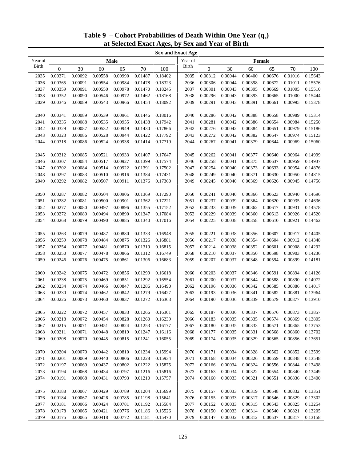|              |                  |         |         |             |         |         | <b>Sex and Exact Age</b> |                  |         |         |         |         |         |
|--------------|------------------|---------|---------|-------------|---------|---------|--------------------------|------------------|---------|---------|---------|---------|---------|
| Year of      |                  |         |         | <b>Male</b> |         |         | Year of                  |                  |         |         | Female  |         |         |
| <b>Birth</b> | $\boldsymbol{0}$ | 30      | 60      | 65          | 70      | 100     | Birth                    | $\boldsymbol{0}$ | 30      | 60      | 65      | 70      | 100     |
| 2035         | 0.00371          | 0.00092 | 0.00558 | 0.00990     | 0.01487 | 0.18402 | 2035                     | 0.00312          | 0.00044 | 0.00400 | 0.00676 | 0.01016 | 0.15643 |
| 2036         | 0.00365          | 0.00091 | 0.00554 | 0.00984     | 0.01478 | 0.18323 | 2036                     | 0.00306          | 0.00044 | 0.00398 | 0.00672 | 0.01011 | 0.15576 |
| 2037         | 0.00359          | 0.00091 | 0.00550 | 0.00978     | 0.01470 | 0.18245 | 2037                     | 0.00301          | 0.00043 | 0.00395 | 0.00669 | 0.01005 | 0.15510 |
| 2038         | 0.00352          | 0.00090 | 0.00546 | 0.00972     | 0.01462 | 0.18168 | 2038                     | 0.00296          | 0.00043 | 0.00393 | 0.00665 | 0.01000 | 0.15444 |
| 2039         | 0.00346          | 0.00089 | 0.00543 | 0.00966     | 0.01454 | 0.18092 | 2039                     | 0.00291          | 0.00043 | 0.00391 | 0.00661 | 0.00995 | 0.15378 |
|              |                  |         |         |             |         |         |                          |                  |         |         |         |         |         |
| 2040         | 0.00341          | 0.00089 | 0.00539 | 0.00961     | 0.01446 | 0.18016 | 2040                     | 0.00286          | 0.00042 | 0.00388 | 0.00658 | 0.00989 | 0.15314 |
| 2041         | 0.00335          | 0.00088 | 0.00535 | 0.00955     | 0.01438 | 0.17942 | 2041                     | 0.00281          | 0.00042 | 0.00386 | 0.00654 | 0.00984 | 0.15250 |
| 2042         | 0.00329          | 0.00087 | 0.00532 | 0.00949     | 0.01430 | 0.17866 | 2042                     | 0.00276          | 0.00042 | 0.00384 | 0.00651 | 0.00979 | 0.15186 |
| 2043         | 0.00323          | 0.00086 | 0.00528 | 0.00944     | 0.01422 | 0.17792 | 2043                     | 0.00272          | 0.00042 | 0.00382 | 0.00647 | 0.00974 | 0.15123 |
| 2044         | 0.00318          | 0.00086 | 0.00524 | 0.00938     | 0.01414 | 0.17719 | 2044                     | 0.00267          | 0.00041 | 0.00379 | 0.00644 | 0.00969 | 0.15060 |
|              |                  |         |         |             |         |         |                          |                  |         |         |         |         |         |
| 2045         | 0.00312          | 0.00085 | 0.00521 | 0.00933     | 0.01407 | 0.17647 | 2045                     | 0.00262          | 0.00041 | 0.00377 | 0.00640 | 0.00964 | 0.14999 |
| 2046         | 0.00307          | 0.00084 | 0.00517 | 0.00927     | 0.01399 | 0.17574 | 2046                     | 0.00258          | 0.00041 | 0.00375 | 0.00637 | 0.00959 | 0.14937 |
| 2047         | 0.00302          | 0.00084 | 0.00514 | 0.00922     | 0.01391 | 0.17502 | 2047                     | 0.00254          | 0.00040 | 0.00373 | 0.00633 | 0.00954 | 0.14876 |
| 2048         | 0.00297          | 0.00083 | 0.00510 | 0.00916     | 0.01384 | 0.17431 | 2048                     | 0.00249          | 0.00040 | 0.00371 | 0.00630 | 0.00950 | 0.14815 |
| 2049         | 0.00292          | 0.00082 | 0.00507 | 0.00911     | 0.01376 | 0.17360 | 2049                     | 0.00245          | 0.00040 | 0.00369 | 0.00626 | 0.00945 | 0.14756 |
|              |                  |         |         |             |         |         |                          |                  |         |         |         |         |         |
| 2050         | 0.00287          | 0.00082 | 0.00504 | 0.00906     | 0.01369 | 0.17290 | 2050                     | 0.00241          | 0.00040 | 0.00366 | 0.00623 | 0.00940 | 0.14696 |
| 2051         | 0.00282          | 0.00081 | 0.00500 | 0.00901     | 0.01362 | 0.17221 | 2051                     | 0.00237          | 0.00039 | 0.00364 | 0.00620 | 0.00935 | 0.14636 |
| 2052         | 0.00277          | 0.00080 | 0.00497 | 0.00896     | 0.01355 | 0.17152 | 2052                     | 0.00233          | 0.00039 | 0.00362 | 0.00617 | 0.00931 | 0.14578 |
| 2053         | 0.00272          | 0.00080 | 0.00494 |             | 0.01347 | 0.17084 | 2053                     | 0.00229          | 0.00039 | 0.00360 | 0.00613 | 0.00926 | 0.14520 |
|              |                  |         |         | 0.00890     |         |         |                          |                  |         |         |         |         |         |
| 2054         | 0.00268          | 0.00079 | 0.00490 | 0.00885     | 0.01340 | 0.17016 | 2054                     | 0.00225          | 0.00038 | 0.00358 | 0.00610 | 0.00921 | 0.14462 |
|              | 0.00263          | 0.00079 | 0.00487 | 0.00880     | 0.01333 | 0.16948 | 2055                     | 0.00221          | 0.00038 | 0.00356 | 0.00607 | 0.00917 | 0.14405 |
| 2055         |                  |         |         |             |         |         |                          |                  |         |         |         |         |         |
| 2056         | 0.00259          | 0.00078 | 0.00484 | 0.00875     | 0.01326 | 0.16881 | 2056                     | 0.00217          | 0.00038 | 0.00354 | 0.00604 | 0.00912 | 0.14348 |
| 2057         | 0.00254          | 0.00077 | 0.00481 | 0.00870     | 0.01319 | 0.16815 | 2057                     | 0.00214          | 0.00038 | 0.00352 | 0.00601 | 0.00908 | 0.14292 |
| 2058         | 0.00250          | 0.00077 | 0.00478 | 0.00866     | 0.01312 | 0.16749 | 2058                     | 0.00210          | 0.00037 | 0.00350 | 0.00598 | 0.00903 | 0.14236 |
| 2059         | 0.00246          | 0.00076 | 0.00475 | 0.00861     | 0.01306 | 0.16683 | 2059                     | 0.00207          | 0.00037 | 0.00348 | 0.00594 | 0.00899 | 0.14181 |
|              |                  |         |         |             |         |         |                          |                  |         |         |         |         |         |
| 2060         | 0.00242          | 0.00075 | 0.00472 | 0.00856     | 0.01299 | 0.16618 | 2060                     | 0.00203          | 0.00037 | 0.00346 | 0.00591 | 0.00894 | 0.14126 |
| 2061         | 0.00238          | 0.00075 | 0.00469 | 0.00851     | 0.01292 | 0.16554 | 2061                     | 0.00200          | 0.00037 | 0.00344 | 0.00588 | 0.00890 | 0.14072 |
| 2062         | 0.00234          | 0.00074 | 0.00466 | 0.00847     | 0.01286 | 0.16490 | 2062                     | 0.00196          | 0.00036 | 0.00342 | 0.00585 | 0.00886 | 0.14017 |
| 2063         | 0.00230          | 0.00074 | 0.00462 | 0.00842     | 0.01279 | 0.16427 | 2063                     | 0.00193          | 0.00036 | 0.00341 | 0.00582 | 0.00881 | 0.13964 |
| 2064         | 0.00226          | 0.00073 | 0.00460 | 0.00837     | 0.01272 | 0.16363 | 2064                     | 0.00190          | 0.00036 | 0.00339 | 0.00579 | 0.00877 | 0.13910 |
|              |                  |         |         |             |         |         |                          |                  |         |         |         |         |         |
| 2065         | 0.00222          | 0.00072 | 0.00457 | 0.00833     | 0.01266 | 0.16301 | 2065                     | 0.00187          | 0.00036 | 0.00337 | 0.00576 | 0.00873 | 0.13857 |
| 2066         | 0.00218          | 0.00072 | 0.00454 | 0.00828     | 0.01260 | 0.16239 | 2066                     | 0.00183          | 0.00035 | 0.00335 | 0.00574 | 0.00869 | 0.13805 |
| 2067         | 0.00215          | 0.00071 | 0.00451 | 0.00824     | 0.01253 | 0.16177 | 2067                     | 0.00180          | 0.00035 | 0.00333 | 0.00571 | 0.00865 | 0.13753 |
| 2068         | 0.00211          | 0.00071 | 0.00448 | 0.00819     | 0.01247 | 0.16116 | 2068                     | 0.00177          | 0.00035 | 0.00331 | 0.00568 | 0.00860 | 0.13702 |
| 2069         | 0.00208          | 0.00070 | 0.00445 | 0.00815     | 0.01241 | 0.16055 | 2069                     | 0.00174          | 0.00035 | 0.00329 | 0.00565 | 0.00856 | 0.13651 |
|              |                  |         |         |             |         |         |                          |                  |         |         |         |         |         |
| 2070         | 0.00204          | 0.00070 | 0.00442 | 0.00810     | 0.01234 | 0.15994 | 2070                     | 0.00171          | 0.00034 | 0.00328 | 0.00562 | 0.00852 | 0.13599 |
| 2071         | 0.00201          | 0.00069 | 0.00440 | 0.00806     | 0.01228 | 0.15934 | 2071                     | 0.00168          | 0.00034 | 0.00326 | 0.00559 | 0.00848 | 0.13548 |
| 2072         | 0.00197          | 0.00069 | 0.00437 | 0.00802     | 0.01222 | 0.15875 | 2072                     | 0.00166          | 0.00034 | 0.00324 | 0.00556 | 0.00844 | 0.13498 |
| 2073         | 0.00194          | 0.00068 | 0.00434 | 0.00797     | 0.01216 | 0.15816 | 2073                     | 0.00163          | 0.00034 | 0.00322 | 0.00554 | 0.00840 | 0.13449 |
| 2074         | 0.00191          | 0.00068 | 0.00431 | 0.00793     | 0.01210 | 0.15757 | 2074                     | 0.00160          | 0.00033 | 0.00321 | 0.00551 | 0.00836 | 0.13400 |
|              |                  |         |         |             |         |         |                          |                  |         |         |         |         |         |
| 2075         | 0.00188          | 0.00067 | 0.00429 | 0.00789     | 0.01204 | 0.15699 | 2075                     | 0.00157          | 0.00033 | 0.00319 | 0.00548 | 0.00832 | 0.13351 |
| 2076         | 0.00184          | 0.00067 | 0.00426 | 0.00785     | 0.01198 | 0.15641 | 2076                     | 0.00155          | 0.00033 | 0.00317 | 0.00546 | 0.00829 | 0.13302 |
| 2077         | 0.00181          | 0.00066 | 0.00424 | 0.00781     | 0.01192 | 0.15584 | 2077                     | 0.00152          | 0.00033 | 0.00315 | 0.00543 | 0.00825 | 0.13254 |
| 2078         | 0.00178          | 0.00065 | 0.00421 | 0.00776     | 0.01186 | 0.15526 | 2078                     | 0.00150          | 0.00033 | 0.00314 | 0.00540 | 0.00821 | 0.13205 |
| 2079         | 0.00175          | 0.00065 | 0.00418 | 0.00772     | 0.01181 | 0.15470 | 2079                     | 0.00147          | 0.00032 | 0.00312 | 0.00537 | 0.00817 | 0.13158 |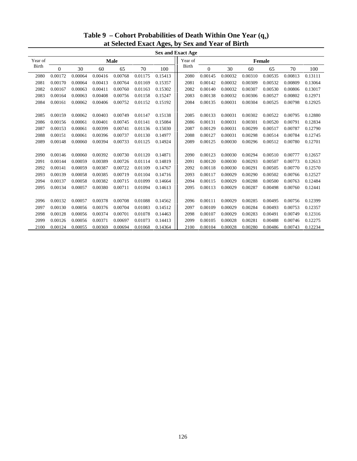|              |         |         |         |         |         |         | <b>Sex and Exact Age</b> |                  |         |         |         |         |         |
|--------------|---------|---------|---------|---------|---------|---------|--------------------------|------------------|---------|---------|---------|---------|---------|
| Year of      |         |         |         | Male    |         |         | Year of                  |                  |         |         | Female  |         |         |
| <b>Birth</b> | 0       | 30      | 60      | 65      | 70      | 100     | Birth                    | $\boldsymbol{0}$ | 30      | 60      | 65      | 70      | 100     |
| 2080         | 0.00172 | 0.00064 | 0.00416 | 0.00768 | 0.01175 | 0.15413 | 2080                     | 0.00145          | 0.00032 | 0.00310 | 0.00535 | 0.00813 | 0.13111 |
| 2081         | 0.00170 | 0.00064 | 0.00413 | 0.00764 | 0.01169 | 0.15357 | 2081                     | 0.00142          | 0.00032 | 0.00309 | 0.00532 | 0.00809 | 0.13064 |
| 2082         | 0.00167 | 0.00063 | 0.00411 | 0.00760 | 0.01163 | 0.15302 | 2082                     | 0.00140          | 0.00032 | 0.00307 | 0.00530 | 0.00806 | 0.13017 |
| 2083         | 0.00164 | 0.00063 | 0.00408 | 0.00756 | 0.01158 | 0.15247 | 2083                     | 0.00138          | 0.00032 | 0.00306 | 0.00527 | 0.00802 | 0.12971 |
| 2084         | 0.00161 | 0.00062 | 0.00406 | 0.00752 | 0.01152 | 0.15192 | 2084                     | 0.00135          | 0.00031 | 0.00304 | 0.00525 | 0.00798 | 0.12925 |
|              |         |         |         |         |         |         |                          |                  |         |         |         |         |         |
| 2085         | 0.00159 | 0.00062 | 0.00403 | 0.00749 | 0.01147 | 0.15138 | 2085                     | 0.00133          | 0.00031 | 0.00302 | 0.00522 | 0.00795 | 0.12880 |
| 2086         | 0.00156 | 0.00061 | 0.00401 | 0.00745 | 0.01141 | 0.15084 | 2086                     | 0.00131          | 0.00031 | 0.00301 | 0.00520 | 0.00791 | 0.12834 |
| 2087         | 0.00153 | 0.00061 | 0.00399 | 0.00741 | 0.01136 | 0.15030 | 2087                     | 0.00129          | 0.00031 | 0.00299 | 0.00517 | 0.00787 | 0.12790 |
| 2088         | 0.00151 | 0.00061 | 0.00396 | 0.00737 | 0.01130 | 0.14977 | 2088                     | 0.00127          | 0.00031 | 0.00298 | 0.00514 | 0.00784 | 0.12745 |
| 2089         | 0.00148 | 0.00060 | 0.00394 | 0.00733 | 0.01125 | 0.14924 | 2089                     | 0.00125          | 0.00030 | 0.00296 | 0.00512 | 0.00780 | 0.12701 |
|              |         |         |         |         |         |         |                          |                  |         |         |         |         |         |
| 2090         | 0.00146 | 0.00060 | 0.00392 | 0.00730 | 0.01120 | 0.14871 | 2090                     | 0.00123          | 0.00030 | 0.00294 | 0.00510 | 0.00777 | 0.12657 |
| 2091         | 0.00144 | 0.00059 | 0.00389 | 0.00726 | 0.01114 | 0.14819 | 2091                     | 0.00120          | 0.00030 | 0.00293 | 0.00507 | 0.00773 | 0.12613 |
| 2092         | 0.00141 | 0.00059 | 0.00387 | 0.00722 | 0.01109 | 0.14767 | 2092                     | 0.00118          | 0.00030 | 0.00291 | 0.00505 | 0.00770 | 0.12570 |
| 2093         | 0.00139 | 0.00058 | 0.00385 | 0.00719 | 0.01104 | 0.14716 | 2093                     | 0.00117          | 0.00029 | 0.00290 | 0.00502 | 0.00766 | 0.12527 |
| 2094         | 0.00137 | 0.00058 | 0.00382 | 0.00715 | 0.01099 | 0.14664 | 2094                     | 0.00115          | 0.00029 | 0.00288 | 0.00500 | 0.00763 | 0.12484 |
| 2095         | 0.00134 | 0.00057 | 0.00380 | 0.00711 | 0.01094 | 0.14613 | 2095                     | 0.00113          | 0.00029 | 0.00287 | 0.00498 | 0.00760 | 0.12441 |
|              |         |         |         |         |         |         |                          |                  |         |         |         |         |         |
| 2096         | 0.00132 | 0.00057 | 0.00378 | 0.00708 | 0.01088 | 0.14562 | 2096                     | 0.00111          | 0.00029 | 0.00285 | 0.00495 | 0.00756 | 0.12399 |
| 2097         | 0.00130 | 0.00056 | 0.00376 | 0.00704 | 0.01083 | 0.14512 | 2097                     | 0.00109          | 0.00029 | 0.00284 | 0.00493 | 0.00753 | 0.12357 |
| 2098         | 0.00128 | 0.00056 | 0.00374 | 0.00701 | 0.01078 | 0.14463 | 2098                     | 0.00107          | 0.00029 | 0.00283 | 0.00491 | 0.00749 | 0.12316 |
| 2099         | 0.00126 | 0.00056 | 0.00371 | 0.00697 | 0.01073 | 0.14413 | 2099                     | 0.00105          | 0.00028 | 0.00281 | 0.00488 | 0.00746 | 0.12275 |
| 2100         | 0.00124 | 0.00055 | 0.00369 | 0.00694 | 0.01068 | 0.14364 | 2100                     | 0.00104          | 0.00028 | 0.00280 | 0.00486 | 0.00743 | 0.12234 |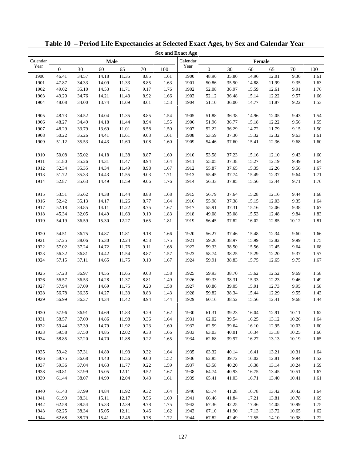|              |                  |       |                |                |      |      | <b>Sex and Exact Age</b> |                |       |                |                |                |      |
|--------------|------------------|-------|----------------|----------------|------|------|--------------------------|----------------|-------|----------------|----------------|----------------|------|
| Calendar     |                  |       | Male           |                |      |      | Calendar                 |                |       | Female         |                |                |      |
| Year         | $\boldsymbol{0}$ | 30    | 60             | 65             | 70   | 100  | Year                     | $\mathbf{0}$   | 30    | 60             | 65             | 70             | 100  |
| 1900         | 46.41            | 34.57 | 14.18          | 11.35          | 8.85 | 1.61 | 1900                     | 48.96          | 35.80 | 14.96          | 12.01          | 9.36           | 1.61 |
| 1901         | 47.87            | 34.33 | 14.09          | 11.33          | 8.85 | 1.63 | 1901                     | 50.86          | 35.90 | 14.88          | 11.99          | 9.35           | 1.63 |
| 1902         | 49.02            | 35.10 | 14.53          | 11.71          | 9.17 | 1.76 | 1902                     | 52.08          | 36.97 | 15.59          | 12.61          | 9.91           | 1.76 |
| 1903         | 49.20            | 34.76 | 14.21          | 11.43          | 8.92 | 1.66 | 1903                     | 52.12          | 36.48 | 15.14          | 12.22          | 9.57           | 1.66 |
| 1904         | 48.08            | 34.00 | 13.74          | 11.09          | 8.61 | 1.53 | 1904                     | 51.10          | 36.00 | 14.77          | 11.87          | 9.22           | 1.53 |
|              |                  |       |                |                |      |      |                          |                |       |                |                |                |      |
| 1905         | 48.73            | 34.52 | 14.04          | 11.35          | 8.85 | 1.54 | 1905                     | 51.88          | 36.38 | 14.96          | 12.05          | 9.43           | 1.54 |
| 1906         | 48.27            | 34.49 | 14.18          | 11.44          | 8.94 | 1.55 | 1906                     | 51.96          | 36.77 | 15.18          | 12.22          | 9.56           | 1.55 |
| 1907         | 48.29            | 33.79 | 13.69          | 11.01          | 8.58 | 1.50 | 1907                     | 52.22          | 36.29 | 14.72          | 11.79          | 9.15           | 1.50 |
| 1908         | 50.22            | 35.26 | 14.41          | 11.61          | 9.03 | 1.61 | 1908                     | 53.59          | 37.30 | 15.32          | 12.32          | 9.63           | 1.61 |
| 1909         | 51.12            | 35.53 | 14.43          | 11.60          | 9.08 | 1.60 | 1909                     | 54.46          | 37.60 | 15.41          | 12.36          | 9.68           | 1.60 |
|              |                  |       |                |                |      |      |                          |                |       |                |                |                |      |
| 1910         | 50.08            | 35.02 | 14.18          | 11.38          | 8.87 | 1.60 | 1910                     | 53.58          | 37.23 | 15.16          | 12.10          | 9.43           | 1.60 |
| 1911         | 51.80            | 35.26 | 14.31          | 11.47          | 8.94 | 1.64 | 1911                     | 55.05          | 37.38 | 15.27          | 12.19          | 9.49           | 1.64 |
| 1912         | 52.34            | 35.35 | 14.34          | 11.49          | 8.98 | 1.67 | 1912                     | 55.87          | 37.65 | 15.35          | 12.26          | 9.56           | 1.67 |
| 1913         | 51.72            | 35.33 | 14.43          | 11.55          | 9.03 | 1.71 | 1913                     | 55.45          | 37.74 | 15.49          | 12.37          | 9.64           | 1.71 |
| 1914         | 52.87            | 35.63 | 14.49          | 11.59          | 9.06 | 1.76 | 1914                     | 56.33          | 37.85 | 15.56          | 12.44          | 9.71           | 1.76 |
|              |                  |       |                |                |      |      |                          |                |       |                |                |                |      |
| 1915         | 53.51            | 35.62 | 14.38          | 11.44          | 8.88 | 1.68 | 1915                     | 56.79          | 37.64 | 15.28          | 12.16          | 9.44           | 1.68 |
| 1916         | 52.42            | 35.13 | 14.17          | 11.26          | 8.77 | 1.64 | 1916                     | 55.98          | 37.38 | 15.15          | 12.03          | 9.35           | 1.64 |
| 1917         | 52.18            | 34.85 | 14.11          | 11.22          | 8.75 | 1.67 | 1917                     | 55.91          | 37.31 | 15.16          | 12.06          | 9.38           | 1.67 |
| 1918         | 45.34            | 32.05 | 14.49          | 11.63          | 9.19 | 1.83 | 1918                     | 49.08          | 35.08 | 15.53          | 12.48          | 9.84           | 1.83 |
| 1919         | 54.19            | 36.59 | 15.30          | 12.27          | 9.65 | 1.81 | 1919                     | 56.45          | 37.82 | 16.02          | 12.85          | 10.12          | 1.81 |
|              |                  |       |                |                |      |      |                          |                |       |                |                |                |      |
| 1920         | 54.51            | 36.75 | 14.87          | 11.81          | 9.18 | 1.66 | 1920                     | 56.27          | 37.46 | 15.48          | 12.34          | 9.60           | 1.66 |
| 1921         | 57.25            | 38.06 | 15.30          | 12.24          | 9.53 | 1.75 | 1921                     | 59.26          | 38.97 | 15.99          | 12.82          | 9.99           | 1.75 |
| 1922         | 57.02            | 37.24 | 14.72          | 11.76          | 9.11 | 1.68 | 1922                     | 59.33          | 38.50 | 15.56          | 12.45          | 9.64           | 1.68 |
| 1923         | 56.32            | 36.81 | 14.42          | 11.54          | 8.87 | 1.57 | 1923                     | 58.74          | 38.25 | 15.29          | 12.20          | 9.37           | 1.57 |
| 1924         | 57.15            | 37.11 | 14.65          | 11.75          | 9.10 | 1.67 | 1924                     | 59.91          | 38.83 | 15.75          | 12.65          | 9.75           | 1.67 |
|              |                  |       |                |                |      |      |                          |                |       |                |                |                |      |
| 1925         | 57.23            | 36.97 | 14.55          | 11.65          | 9.03 | 1.58 | 1925                     | 59.93          | 38.70 | 15.62          | 12.52          | 9.69           | 1.58 |
| 1926         | 56.57            | 36.53 | 14.28          | 11.37          | 8.81 | 1.49 | 1926                     | 59.33          | 38.31 | 15.33          | 12.23          | 9.46           | 1.49 |
| 1927         | 57.94            | 37.09 | 14.69          | 11.75          | 9.20 | 1.58 | 1927                     | 60.86          | 39.05 | 15.91          | 12.73          | 9.95           | 1.58 |
| 1928         | 56.78            | 36.35 | 14.27          | 11.33          | 8.83 | 1.43 | 1928                     | 59.82          | 38.34 | 15.44          | 12.29          | 9.55           | 1.43 |
| 1929         | 56.99            | 36.37 | 14.34          | 11.42          | 8.94 | 1.44 | 1929                     | 60.16          | 38.52 | 15.56          | 12.41          | 9.68           | 1.44 |
|              |                  |       |                |                |      |      |                          |                |       |                |                |                |      |
| 1930         | 57.96            | 36.91 | 14.69          | 11.83          | 9.29 | 1.62 | 1930                     | 61.31          | 39.23 | 16.04          | 12.91          | 10.11          | 1.62 |
| 1931         | 58.57            | 37.09 | 14.86          | 11.98          | 9.36 | 1.64 | 1931                     | 62.02          | 39.54 | 16.25          | 13.12          | 10.26          | 1.64 |
| 1932         | 59.44            | 37.39 | 14.79          | 11.92          | 9.23 | 1.60 | 1932                     | 62.59          | 39.64 | 16.10          | 12.95          | 10.03          | 1.60 |
| 1933         | 59.58            | 37.50 | 14.85          | 12.02          | 9.33 | 1.66 | 1933                     | 63.03          | 40.01 | 16.34          | 13.18          | 10.25          | 1.66 |
| 1934         | 58.85            | 37.20 | 14.70          | 11.88          | 9.22 | 1.65 | 1934                     | 62.68          | 39.97 | 16.27          | 13.13          | 10.19          | 1.65 |
| 1935         |                  | 37.31 | 14.80          | 11.93          | 9.32 | 1.64 |                          |                | 40.14 |                |                | 10.31          |      |
|              | 59.42            | 36.68 |                |                |      | 1.52 | 1935                     | 63.32          | 39.72 | 16.41<br>16.02 | 13.21          | 9.94           | 1.64 |
| 1936<br>1937 | 58.75<br>59.36   | 37.04 | 14.40<br>14.63 | 11.56<br>11.77 | 9.00 | 1.59 | 1936<br>1937             | 62.85<br>63.58 | 40.20 | 16.38          | 12.81<br>13.14 |                | 1.52 |
| 1938         | 60.81            | 37.99 | 15.05          | 12.11          | 9.22 | 1.67 | 1938                     | 64.74          | 40.93 | 16.75          | 13.45          | 10.24<br>10.51 | 1.59 |
|              |                  |       |                |                | 9.52 |      |                          |                |       |                |                |                | 1.67 |
| 1939         | 61.44            | 38.07 | 14.99          | 12.04          | 9.43 | 1.61 | 1939                     | 65.41          | 41.03 | 16.71          | 13.40          | 10.41          | 1.61 |
| 1940         | 61.43            | 37.99 | 14.84          | 11.92          | 9.32 | 1.64 | 1940                     | 65.74          | 41.28 | 16.78          | 13.42          | 10.42          | 1.64 |
| 1941         | 61.90            | 38.31 | 15.11          | 12.17          | 9.56 | 1.69 | 1941                     | 66.46          | 41.84 | 17.21          | 13.81          | 10.78          | 1.69 |
| 1942         | 62.58            | 38.54 | 15.33          | 12.39          | 9.78 | 1.75 | 1942                     | 67.36          | 42.25 | 17.46          | 14.05          | 10.99          | 1.75 |
| 1943         | 62.25            | 38.34 | 15.05          | 12.11          | 9.46 | 1.62 | 1943                     | 67.10          | 41.90 | 17.13          | 13.72          | 10.65          | 1.62 |
| 1944         | 62.68            | 38.79 | 15.41          | 12.46          | 9.78 | 1.72 | 1944                     | 67.82          | 42.49 | 17.55          | 14.10          | 10.98          | 1.72 |
|              |                  |       |                |                |      |      |                          |                |       |                |                |                |      |

**Table 10 – Period Life Expectancies at Selected Exact Ages, by Sex and Calendar Year**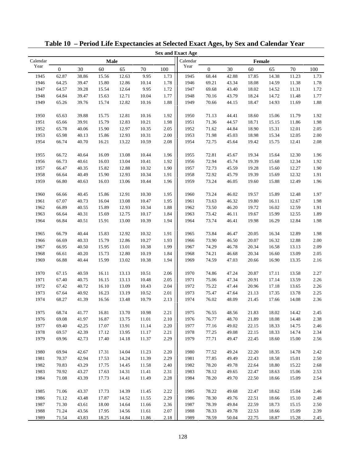|          |                  |       |       |       |       |          | <b>Sex and Exact Age</b> |                  |       |        |       |       |      |
|----------|------------------|-------|-------|-------|-------|----------|--------------------------|------------------|-------|--------|-------|-------|------|
| Calendar |                  |       | Male  |       |       |          | Calendar                 |                  |       | Female |       |       |      |
| Year     | $\boldsymbol{0}$ | 30    | 60    | 65    | 70    | 100      | Year                     | $\boldsymbol{0}$ | 30    | 60     | 65    | 70    | 100  |
| 1945     | 62.87            | 38.86 | 15.56 | 12.63 | 9.95  | 1.73     | 1945                     | 68.44            | 42.88 | 17.85  | 14.38 | 11.23 | 1.73 |
| 1946     | 64.25            | 39.47 | 15.80 | 12.86 | 10.14 | 1.78     | 1946                     | 69.21            | 43.34 | 18.08  | 14.59 | 11.38 | 1.78 |
| 1947     | 64.57            | 39.28 | 15.54 | 12.64 | 9.95  | 1.72     | 1947                     | 69.68            | 43.40 | 18.02  | 14.52 | 11.31 | 1.72 |
| 1948     | 64.84            | 39.47 | 15.63 | 12.71 | 10.04 | 1.77     | 1948                     | 70.16            | 43.79 | 18.24  | 14.72 | 11.48 | 1.77 |
| 1949     | 65.26            | 39.76 | 15.74 | 12.82 | 10.16 | 1.88     | 1949                     | 70.66            | 44.15 | 18.47  | 14.93 | 11.69 | 1.88 |
|          |                  |       |       |       |       |          |                          |                  |       |        |       |       |      |
| 1950     | 65.63            | 39.88 | 15.75 | 12.81 | 10.16 | 1.92     | 1950                     | 71.13            | 44.41 | 18.60  | 15.06 | 11.79 | 1.92 |
| 1951     | 65.66            | 39.91 | 15.79 | 12.83 | 10.21 | 1.98     | 1951                     | 71.36            | 44.57 | 18.71  | 15.15 | 11.86 | 1.98 |
| 1952     | 65.78            | 40.06 | 15.90 | 12.97 | 10.35 | 2.05     | 1952                     | 71.62            | 44.84 | 18.90  | 15.31 | 12.01 | 2.05 |
| 1953     | 65.98            | 40.13 | 15.86 | 12.93 | 10.31 | 2.00     | 1953                     | 71.98            | 45.03 | 18.98  | 15.34 | 12.05 | 2.00 |
| 1954     | 66.74            | 40.70 | 16.21 | 13.22 | 10.59 | 2.08     | 1954                     | 72.75            | 45.64 | 19.42  | 15.75 | 12.41 | 2.08 |
|          |                  |       |       |       |       |          |                          |                  |       |        |       |       |      |
| 1955     | 66.72            | 40.64 | 16.09 | 13.08 | 10.44 | 1.96     | 1955                     | 72.81            | 45.67 | 19.34  | 15.64 | 12.30 | 1.96 |
| 1956     | 66.73            | 40.61 | 16.03 | 13.04 | 10.41 | 1.92     | 1956                     | 72.94            | 45.74 | 19.39  | 15.68 | 12.34 | 1.92 |
| 1957     | 66.47            | 40.35 | 15.82 | 12.88 | 10.32 | 1.90     | 1957                     | 72.73            | 45.59 | 19.28  | 15.60 | 12.27 | 1.90 |
| 1958     | 66.64            | 40.49 | 15.90 | 12.93 | 10.34 | 1.91     | 1958                     | 72.92            | 45.79 | 19.39  | 15.69 | 12.32 | 1.91 |
| 1959     | 66.80            | 40.63 | 16.03 | 13.06 | 10.44 | 1.96     | 1959                     | 73.24            | 46.05 | 19.60  | 15.88 | 12.49 | 1.96 |
| 1960     | 66.66            | 40.45 | 15.86 | 12.91 | 10.30 | 1.95     | 1960                     | 73.24            | 46.02 | 19.57  | 15.89 | 12.48 | 1.97 |
| 1961     | 67.07            | 40.73 | 16.04 | 13.08 | 10.47 | 1.95     | 1961                     | 73.63            | 46.32 | 19.80  | 16.11 | 12.67 | 1.98 |
| 1962     | 66.89            | 40.55 | 15.89 | 12.93 | 10.34 | 1.88     | 1962                     | 73.50            | 46.20 | 19.72  | 16.02 | 12.59 | 1.91 |
| 1963     | 66.64            | 40.31 | 15.69 | 12.75 | 10.17 | 1.84     | 1963                     | 73.42            | 46.11 | 19.67  | 15.99 | 12.55 | 1.89 |
|          |                  |       |       |       |       |          |                          |                  |       |        |       |       |      |
| 1964     | 66.84            | 40.51 | 15.91 | 13.00 | 10.39 | 1.94     | 1964                     | 73.74            | 46.41 | 19.98  | 16.29 | 12.84 | 1.98 |
| 1965     | 66.79            | 40.44 | 15.83 | 12.92 | 10.32 | 1.91     | 1965                     | 73.84            | 46.47 | 20.05  | 16.34 | 12.89 | 1.98 |
| 1966     | 66.69            | 40.33 | 15.79 | 12.86 | 10.27 | 1.93     | 1966                     | 73.90            | 46.50 | 20.07  | 16.32 | 12.88 | 2.00 |
| 1967     | 66.95            | 40.50 | 15.95 | 13.01 | 10.38 | 1.99     | 1967                     | 74.29            | 46.78 | 20.34  | 16.58 | 13.13 | 2.09 |
| 1968     | 66.61            | 40.20 | 15.73 | 12.80 | 10.19 | 1.84     | 1968                     | 74.21            | 46.68 | 20.34  | 16.60 | 13.09 | 2.05 |
| 1969     | 66.88            | 40.44 | 15.99 | 13.02 | 10.38 | 1.94     | 1969                     | 74.59            | 47.03 | 20.66  | 16.90 | 13.35 | 2.16 |
|          |                  |       |       |       |       |          |                          |                  |       |        |       |       |      |
| 1970     | 67.15            | 40.59 | 16.11 | 13.13 | 10.51 | 2.06     | 1970                     | 74.86            | 47.24 | 20.87  | 17.11 | 13.58 | 2.27 |
| 1971     | 67.40            | 40.75 | 16.15 | 13.13 | 10.48 | 2.05     | 1971                     | 75.06            | 47.34 | 20.91  | 17.14 | 13.59 | 2.26 |
| 1972     | 67.42            | 40.72 | 16.10 | 13.09 | 10.43 | 2.04     | 1972                     | 75.22            | 47.44 | 20.96  | 17.18 | 13.65 | 2.26 |
| 1973     | 67.64            | 40.92 | 16.23 | 13.19 | 10.52 | 2.01     | 1973                     | 75.47            | 47.64 | 21.13  | 17.35 | 13.78 | 2.25 |
| 1974     | 68.27            | 41.39 | 16.56 | 13.48 | 10.79 | 2.13     | 1974                     | 76.02            | 48.09 | 21.45  | 17.66 | 14.08 | 2.36 |
|          |                  |       |       |       |       |          |                          |                  |       |        |       |       |      |
| 1975     | 68.74            | 41.77 | 16.81 | 13.70 | 10.98 | 2.21     | 1975                     | 76.55            | 48.56 | 21.83  | 18.02 | 14.42 | 2.45 |
| 1976     | 69.08            | 41.97 | 16.87 | 13.75 | 11.01 | 2.10     | 1976                     | 76.77            | 48.70 | 21.89  | 18.08 | 14.48 | 2.38 |
| 1977     | 69.40            | 42.25 | 17.07 | 13.91 | 11.14 | 2.20     | 1977                     | 77.16            | 49.02 | 22.15  | 18.33 | 14.75 | 2.46 |
| 1978     | 69.57            | 42.39 | 17.12 | 13.95 | 11.17 | 2.21     | 1978                     | 77.25            | 49.08 | 22.15  | 18.33 | 14.74 | 2.34 |
| 1979     | 69.96            | 42.73 | 17.40 | 14.18 | 11.37 | 2.29     | 1979                     | 77.71            | 49.47 | 22.45  | 18.60 | 15.00 | 2.56 |
| 1980     | 69.94            | 42.67 | 17.31 | 14.04 | 11.23 | 2.20     | 1980                     | 77.52            | 49.24 | 22.20  | 18.35 | 14.78 | 2.42 |
| 1981     | 70.37            | 42.94 | 17.53 | 14.24 | 11.39 | 2.29     | 1981                     | 77.85            | 49.49 | 22.43  | 18.58 | 15.01 | 2.50 |
| 1982     | 70.83            | 43.29 | 17.75 | 14.45 | 11.58 | 2.40     | 1982                     | 78.20            | 49.78 | 22.64  | 18.80 | 15.22 | 2.68 |
| 1983     | 70.92            | 43.27 |       |       | 11.41 | 2.31     | 1983                     |                  | 49.65 | 22.47  | 18.63 | 15.06 |      |
|          |                  |       | 17.63 | 14.31 |       |          |                          | 78.12            |       |        |       |       | 2.53 |
| 1984     | 71.08            | 43.39 | 17.73 | 14.41 | 11.49 | 2.28     | 1984                     | 78.20            | 49.70 | 22.50  | 18.66 | 15.09 | 2.54 |
| 1985     | 71.06            | 43.37 | 17.73 | 14.39 | 11.45 | 2.22     | 1985                     | 78.22            | 49.68 | 22.47  | 18.62 | 15.04 | 2.46 |
| 1986     | 71.12            | 43.48 | 17.87 | 14.52 | 11.55 | 2.29     | 1986                     | 78.30            | 49.76 | 22.51  | 18.66 | 15.10 | 2.48 |
| 1987     | 71.30            | 43.61 | 18.00 | 14.64 | 11.66 | 2.36     | 1987                     | 78.39            | 49.84 | 22.59  | 18.73 | 15.15 | 2.50 |
| 1988     | 71.24            | 43.56 | 17.95 | 14.56 | 11.61 | $2.07\,$ | 1988                     | 78.33            | 49.78 | 22.53  | 18.66 | 15.09 | 2.39 |
| 1989     | 71.54            | 43.83 | 18.25 | 14.84 | 11.86 | 2.18     | 1989                     | 78.59            | 50.04 | 22.75  | 18.87 | 15.28 | 2.45 |

**Table 10 – Period Life Expectancies at Selected Exact Ages, by Sex and Calendar Year**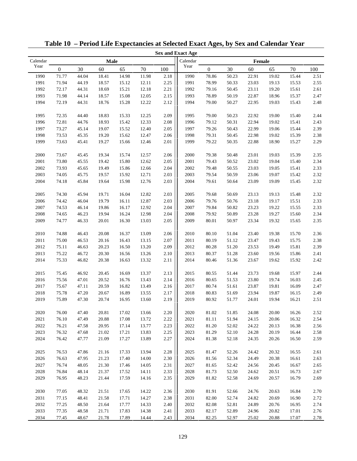|          |                  |       |       |       |       |      | <b>Sex and Exact Age</b> |              |       |        |       |       |      |
|----------|------------------|-------|-------|-------|-------|------|--------------------------|--------------|-------|--------|-------|-------|------|
| Calendar |                  |       | Male  |       |       |      | Calendar                 |              |       | Female |       |       |      |
| Year     | $\boldsymbol{0}$ | 30    | 60    | 65    | 70    | 100  | Year                     | $\mathbf{0}$ | 30    | 60     | 65    | 70    | 100  |
| 1990     | 71.77            | 44.04 | 18.41 | 14.98 | 11.98 | 2.18 | 1990                     | 78.86        | 50.23 | 22.91  | 19.02 | 15.44 | 2.51 |
| 1991     | 71.94            | 44.19 | 18.57 | 15.12 | 12.11 | 2.25 | 1991                     | 78.99        | 50.33 | 23.03  | 19.13 | 15.53 | 2.55 |
| 1992     | 72.17            | 44.31 | 18.69 | 15.21 | 12.18 | 2.21 | 1992                     | 79.16        | 50.45 | 23.11  | 19.20 | 15.61 | 2.61 |
| 1993     | 71.98            | 44.14 | 18.57 | 15.08 | 12.05 | 2.15 | 1993                     | 78.89        | 50.19 | 22.87  | 18.96 | 15.37 | 2.47 |
| 1994     | 72.19            | 44.31 | 18.76 | 15.28 | 12.22 | 2.12 | 1994                     | 79.00        | 50.27 | 22.95  | 19.03 | 15.43 | 2.48 |
|          |                  |       |       |       |       |      |                          |              |       |        |       |       |      |
| 1995     | 72.35            | 44.40 | 18.83 | 15.33 | 12.25 | 2.09 | 1995                     | 79.00        | 50.23 | 22.92  | 19.00 | 15.40 | 2.44 |
| 1996     | 72.81            | 44.76 | 18.93 | 15.42 | 12.33 | 2.08 | 1996                     | 79.12        | 50.31 | 22.94  | 19.02 | 15.41 | 2.43 |
| 1997     | 73.27            | 45.14 | 19.07 | 15.52 | 12.40 | 2.05 | 1997                     | 79.26        | 50.43 | 22.99  | 19.06 | 15.44 | 2.39 |
| 1998     | 73.53            | 45.35 | 19.20 | 15.62 | 12.47 | 2.06 | 1998                     | 79.31        | 50.45 | 22.98  | 19.02 | 15.39 | 2.38 |
| 1999     | 73.63            | 45.41 | 19.27 | 15.66 | 12.46 | 2.01 | 1999                     | 79.22        | 50.35 | 22.88  | 18.90 | 15.27 | 2.29 |
|          |                  |       |       |       |       |      |                          |              |       |        |       |       |      |
| 2000     | 73.67            | 45.45 | 19.34 | 15.74 | 12.57 | 2.06 | 2000                     | 79.38        | 50.48 | 23.01  | 19.03 | 15.39 | 2.35 |
| 2001     | 73.80            | 45.55 | 19.42 | 15.80 | 12.62 | 2.05 | 2001                     | 79.43        | 50.52 | 23.02  | 19.04 | 15.40 | 2.34 |
| 2002     | 73.93            | 45.65 | 19.49 | 15.86 | 12.66 | 2.04 | 2002                     | 79.48        | 50.55 | 23.03  | 19.05 | 15.41 | 2.33 |
| 2003     | 74.05            | 45.75 | 19.57 | 15.92 | 12.71 | 2.03 | 2003                     | 79.54        | 50.59 | 23.06  | 19.07 | 15.42 | 2.32 |
| 2004     | 74.18            | 45.84 | 19.64 | 15.98 | 12.76 | 2.03 | 2004                     | 79.61        | 50.64 | 23.09  | 19.09 | 15.45 | 2.32 |
| 2005     | 74.30            | 45.94 | 19.71 | 16.04 | 12.82 | 2.03 | 2005                     | 79.68        | 50.69 | 23.13  | 19.13 | 15.48 | 2.32 |
| 2006     | 74.42            | 46.04 | 19.79 | 16.11 | 12.87 | 2.03 | 2006                     | 79.76        | 50.76 | 23.18  | 19.17 | 15.51 | 2.33 |
| 2007     | 74.53            | 46.14 | 19.86 | 16.17 | 12.92 | 2.04 | 2007                     | 79.84        | 50.82 | 23.23  | 19.22 | 15.55 | 2.33 |
| 2008     | 74.65            | 46.23 | 19.94 | 16.24 | 12.98 | 2.04 | 2008                     | 79.92        | 50.89 | 23.28  | 19.27 | 15.60 | 2.34 |
| 2009     | 74.77            | 46.33 | 20.01 | 16.30 | 13.03 | 2.05 | 2009                     | 80.01        | 50.97 | 23.34  | 19.32 | 15.65 | 2.35 |
|          |                  |       |       |       |       |      |                          |              |       |        |       |       |      |
| 2010     | 74.88            | 46.43 | 20.08 | 16.37 | 13.09 | 2.06 | 2010                     | 80.10        | 51.04 | 23.40  | 19.38 | 15.70 | 2.36 |
| 2011     | 75.00            | 46.53 | 20.16 | 16.43 | 13.15 | 2.07 | 2011                     | 80.19        | 51.12 | 23.47  | 19.43 | 15.75 | 2.38 |
| 2012     | 75.11            | 46.63 | 20.23 | 16.50 | 13.20 | 2.09 | 2012                     | 80.28        | 51.20 | 23.53  | 19.49 | 15.81 | 2.39 |
| 2013     | 75.22            | 46.72 | 20.30 | 16.56 | 13.26 | 2.10 | 2013                     | 80.37        | 51.28 | 23.60  | 19.56 | 15.86 | 2.41 |
| 2014     | 75.33            | 46.82 | 20.38 | 16.63 | 13.32 | 2.11 | 2014                     | 80.46        | 51.36 | 23.67  | 19.62 | 15.92 | 2.42 |
|          |                  |       |       |       |       |      |                          |              |       |        |       |       |      |
| 2015     | 75.45            | 46.92 | 20.45 | 16.69 | 13.37 | 2.13 | 2015                     | 80.55        | 51.44 | 23.73  | 19.68 | 15.97 | 2.44 |
| 2016     | 75.56            | 47.01 | 20.52 | 16.76 | 13.43 | 2.14 | 2016                     | 80.65        | 51.53 | 23.80  | 19.74 | 16.03 | 2.45 |
| 2017     | 75.67            | 47.11 | 20.59 | 16.82 | 13.49 | 2.16 | 2017                     | 80.74        | 51.61 | 23.87  | 19.81 | 16.09 | 2.47 |
| 2018     | 75.78            | 47.20 | 20.67 | 16.89 | 13.55 | 2.17 | 2018                     | 80.83        | 51.69 | 23.94  | 19.87 | 16.15 | 2.49 |
| 2019     | 75.89            | 47.30 | 20.74 | 16.95 | 13.60 | 2.19 | 2019                     | 80.92        | 51.77 | 24.01  | 19.94 | 16.21 | 2.51 |
| $2020\,$ | 76.00            | 47.40 | 20.81 | 17.02 | 13.66 | 2.20 | $2020\,$                 | 81.02        | 51.85 | 24.08  | 20.00 | 16.26 | 2.52 |
| 2021     | 76.10            | 47.49 | 20.88 | 17.08 | 13.72 | 2.22 | 2021                     | 81.11        | 51.94 | 24.15  | 20.06 | 16.32 | 2.54 |
| 2022     | 76.21            | 47.58 | 20.95 | 17.14 | 13.77 | 2.23 | 2022                     | 81.20        | 52.02 | 24.22  | 20.13 | 16.38 | 2.56 |
| 2023     | 76.32            | 47.68 | 21.02 | 17.21 | 13.83 | 2.25 | 2023                     | 81.29        | 52.10 | 24.28  | 20.19 | 16.44 | 2.58 |
| 2024     | 76.42            | 47.77 | 21.09 | 17.27 | 13.89 | 2.27 | 2024                     | 81.38        | 52.18 | 24.35  | 20.26 | 16.50 | 2.59 |
| 2025     | 76.53            | 47.86 | 21.16 | 17.33 | 13.94 | 2.28 | 2025                     | 81.47        | 52.26 | 24.42  | 20.32 | 16.55 | 2.61 |
| 2026     | 76.63            | 47.95 | 21.23 | 17.40 | 14.00 | 2.30 | 2026                     | 81.56        | 52.34 | 24.49  | 20.38 | 16.61 | 2.63 |
| 2027     | 76.74            | 48.05 | 21.30 | 17.46 | 14.05 | 2.31 | 2027                     | 81.65        | 52.42 | 24.56  | 20.45 | 16.67 | 2.65 |
| 2028     | 76.84            | 48.14 | 21.37 | 17.52 | 14.11 | 2.33 | 2028                     | 81.73        | 52.50 | 24.62  | 20.51 | 16.73 | 2.67 |
| 2029     | 76.95            | 48.23 | 21.44 | 17.59 | 14.16 | 2.35 | 2029                     | 81.82        | 52.58 | 24.69  | 20.57 | 16.79 | 2.69 |
|          |                  |       |       |       |       |      |                          |              |       |        |       |       |      |
| 2030     | 77.05            | 48.32 | 21.51 | 17.65 | 14.22 | 2.36 | 2030                     | 81.91        | 52.66 | 24.76  | 20.63 | 16.84 | 2.70 |
| 2031     | 77.15            | 48.41 | 21.58 | 17.71 | 14.27 | 2.38 | 2031                     | 82.00        | 52.74 | 24.82  | 20.69 | 16.90 | 2.72 |
| 2032     | 77.25            | 48.50 | 21.64 | 17.77 | 14.33 | 2.40 | 2032                     | 82.08        | 52.81 | 24.89  | 20.76 | 16.95 | 2.74 |
| 2033     | 77.35            | 48.58 | 21.71 | 17.83 | 14.38 | 2.41 | 2033                     | 82.17        | 52.89 | 24.96  | 20.82 | 17.01 | 2.76 |
| 2034     | 77.45            | 48.67 | 21.78 | 17.89 | 14.44 | 2.43 | 2034                     | 82.25        | 52.97 | 25.02  | 20.88 | 17.07 | 2.78 |

**Table 10 – Period Life Expectancies at Selected Exact Ages, by Sex and Calendar Year**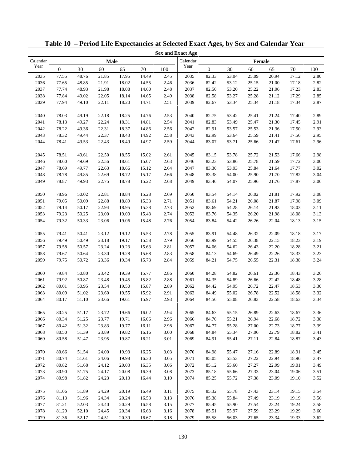| Calendar<br>Calendar<br>Male<br>Female<br>Year<br>Year<br>$\boldsymbol{0}$<br>30<br>60<br>65<br>70<br>100<br>$\mathbf{0}$<br>30<br>60<br>70<br>65<br>100<br>2035<br>2035<br>77.55<br>48.76<br>21.85<br>17.95<br>14.49<br>2.45<br>82.33<br>53.04<br>25.09<br>20.94<br>17.12<br>2.80<br>2036<br>2.46<br>2036<br>53.12<br>2.82<br>77.65<br>48.85<br>21.91<br>18.02<br>14.55<br>82.42<br>25.15<br>21.00<br>17.18<br>2037<br>77.74<br>2.48<br>2037<br>2.83<br>48.93<br>21.98<br>18.08<br>14.60<br>82.50<br>53.20<br>25.22<br>21.06<br>17.23<br>2038<br>77.84<br>22.05<br>2.49<br>53.27<br>25.28<br>17.29<br>2.85<br>49.02<br>18.14<br>14.65<br>2038<br>82.58<br>21.12<br>2.51<br>2.87<br>2039<br>77.94<br>49.10<br>22.11<br>18.20<br>14.71<br>82.67<br>53.34<br>25.34<br>21.18<br>17.34<br>2039<br>2.89<br>2040<br>2.53<br>2040<br>78.03<br>49.19<br>22.18<br>18.25<br>14.76<br>82.75<br>53.42<br>25.41<br>21.24<br>17.40<br>22.24<br>2.54<br>2.91<br>2041<br>78.13<br>49.27<br>18.31<br>14.81<br>2041<br>82.83<br>53.49<br>25.47<br>21.30<br>17.45<br>2.56<br>2.93<br>2042<br>78.22<br>49.36<br>22.31<br>18.37<br>14.86<br>2042<br>82.91<br>53.57<br>25.53<br>17.50<br>21.36<br>2.58<br>2.95<br>2043<br>78.32<br>49.44<br>22.37<br>18.43<br>14.92<br>2043<br>82.99<br>53.64<br>25.59<br>21.41<br>17.56<br>2.59<br>2.96<br>2044<br>78.41<br>49.53<br>22.43<br>18.49<br>14.97<br>2044<br>83.07<br>53.71<br>25.66<br>21.47<br>17.61<br>2.98<br>2045<br>78.51<br>49.61<br>22.50<br>18.55<br>15.02<br>2.61<br>2045<br>83.15<br>53.78<br>25.72<br>21.53<br>17.66<br>3.00<br>2046<br>49.69<br>22.56<br>15.07<br>2.63<br>2046<br>83.23<br>53.86<br>25.78<br>17.72<br>78.60<br>18.61<br>21.59<br>2047<br>3.02<br>2047<br>78.69<br>49.77<br>22.63<br>15.12<br>2.64<br>83.30<br>53.93<br>25.84<br>17.77<br>18.66<br>21.64<br>2048<br>2048<br>3.04<br>78.78<br>49.85<br>22.69<br>18.72<br>15.17<br>2.66<br>83.38<br>54.00<br>25.90<br>21.70<br>17.82<br>3.06<br>2049<br>78.87<br>49.93<br>22.75<br>18.78<br>15.22<br>2.68<br>2049<br>83.46<br>54.07<br>25.96<br>21.76<br>17.87<br>2.69<br>3.08<br>2050<br>78.96<br>50.02<br>22.81<br>18.84<br>15.28<br>2050<br>83.54<br>54.14<br>26.02<br>21.81<br>17.92<br>22.88<br>18.89<br>2.71<br>54.21<br>3.09<br>2051<br>79.05<br>50.09<br>15.33<br>2051<br>83.61<br>26.08<br>21.87<br>17.98<br>2.73<br>3.11<br>2052<br>79.14<br>50.17<br>22.94<br>18.95<br>15.38<br>2052<br>83.69<br>54.28<br>26.14<br>21.93<br>18.03<br>79.23<br>2.74<br>3.13<br>2053<br>50.25<br>23.00<br>19.00<br>15.43<br>2053<br>83.76<br>54.35<br>26.20<br>21.98<br>18.08<br>2.76<br>54.42<br>3.15<br>2054<br>79.32<br>50.33<br>23.06<br>19.06<br>15.48<br>2054<br>83.84<br>26.26<br>22.04<br>18.13<br>2.78<br>3.17<br>2055<br>79.41<br>50.41<br>23.12<br>19.12<br>15.53<br>2055<br>83.91<br>54.48<br>26.32<br>22.09<br>18.18<br>2.79<br>3.19<br>2056<br>79.49<br>50.49<br>23.18<br>19.17<br>15.58<br>2056<br>83.99<br>54.55<br>26.38<br>22.15<br>18.23<br>2.81<br>3.21<br>2057<br>79.58<br>50.57<br>23.24<br>19.23<br>15.63<br>2057<br>84.06<br>54.62<br>26.43<br>22.20<br>18.28<br>2.83<br>2058<br>23.30<br>19.28<br>15.68<br>2058<br>84.13<br>54.69<br>26.49<br>22.26<br>18.33<br>3.23<br>79.67<br>50.64<br>2.84<br>54.75<br>3.24<br>2059<br>79.75<br>50.72<br>23.36<br>19.34<br>15.73<br>2059<br>84.21<br>26.55<br>22.31<br>18.38<br>2060<br>2.86<br>3.26<br>79.84<br>50.80<br>23.42<br>19.39<br>15.77<br>2060<br>84.28<br>54.82<br>26.61<br>22.36<br>18.43<br>2.88<br>3.28<br>2061<br>79.92<br>50.87<br>23.48<br>15.82<br>2061<br>84.35<br>54.89<br>26.66<br>18.48<br>19.45<br>22.42<br>23.54<br>2.89<br>3.30<br>2062<br>80.01<br>50.95<br>19.50<br>15.87<br>2062<br>84.42<br>54.95<br>26.72<br>22.47<br>18.53<br>2.91<br>3.32<br>2063<br>80.09<br>51.02<br>23.60<br>19.55<br>15.92<br>84.49<br>55.02<br>26.78<br>22.52<br>2063<br>18.58<br>2064<br>51.10<br>15.97<br>2.93<br>55.08<br>3.34<br>80.17<br>23.66<br>19.61<br>2064<br>84.56<br>26.83<br>22.58<br>18.63<br>2065<br>80.25<br>$16.02\,$<br>2.94<br>2065<br>84.63<br>26.89<br>22.63<br>18.67<br>51.17<br>23.72<br>19.66<br>55.15<br>3.36<br>80.34<br>23.77<br>2.96<br>3.38<br>2066<br>51.25<br>19.71<br>16.06<br>2066<br>84.70<br>55.21<br>26.94<br>22.68<br>18.72<br>2067<br>80.42<br>51.32<br>23.83<br>2.98<br>2067<br>84.77<br>55.28<br>27.00<br>18.77<br>3.39<br>19.77<br>16.11<br>22.73<br>2068<br>80.50<br>51.39<br>23.89<br>19.82<br>16.16<br>3.00<br>2068<br>84.84<br>55.34<br>27.06<br>22.79<br>18.82<br>3.41<br>2069<br>80.58<br>51.47<br>23.95<br>19.87<br>16.21<br>3.01<br>2069<br>84.91<br>55.41<br>27.11<br>22.84<br>18.87<br>3.43<br>3.03<br>2070<br>51.54<br>24.00<br>16.25<br>2070<br>84.98<br>18.91<br>3.45<br>80.66<br>19.93<br>55.47<br>27.16<br>22.89<br>3.05<br>2071<br>80.74<br>51.61<br>24.06<br>16.30<br>2071<br>85.05<br>55.53<br>27.22<br>22.94<br>18.96<br>3.47<br>19.98<br>2072<br>3.06<br>2072<br>27.27<br>80.82<br>51.68<br>24.12<br>20.03<br>16.35<br>85.12<br>55.60<br>22.99<br>19.01<br>3.49<br>2073<br>3.08<br>27.33<br>80.90<br>51.75<br>24.17<br>20.08<br>16.39<br>2073<br>85.18<br>55.66<br>23.04<br>19.06<br>3.51<br>2074<br>3.52<br>80.98<br>51.82<br>24.23<br>20.13<br>3.10<br>2074<br>85.25<br>55.72<br>27.38<br>23.09<br>19.10<br>16.44<br>3.54<br>2075<br>81.06<br>51.89<br>24.29<br>20.19<br>16.49<br>3.11<br>2075<br>85.32<br>55.78<br>19.15<br>27.43<br>23.14<br>2076<br>81.13<br>51.96<br>24.34<br>20.24<br>16.53<br>3.13<br>2076<br>85.38<br>55.84<br>27.49<br>23.19<br>19.19<br>3.56<br>3.15<br>2077<br>81.21<br>52.03<br>24.40<br>20.29<br>16.58<br>2077<br>55.90<br>27.54<br>19.24<br>3.58<br>85.45<br>23.24<br>2078<br>81.29<br>3.16<br>52.10<br>24.45<br>20.34<br>16.63<br>2078<br>85.51<br>55.97<br>27.59<br>23.29<br>19.29<br>3.60<br>3.18<br>2079<br>2079<br>3.62<br>81.36<br>52.17<br>24.51<br>20.39<br>16.67<br>85.58<br>56.03<br>27.65<br>23.34<br>19.33 |  |  |  | <b>Sex and Exact Age</b> |  |  |  |
|--------------------------------------------------------------------------------------------------------------------------------------------------------------------------------------------------------------------------------------------------------------------------------------------------------------------------------------------------------------------------------------------------------------------------------------------------------------------------------------------------------------------------------------------------------------------------------------------------------------------------------------------------------------------------------------------------------------------------------------------------------------------------------------------------------------------------------------------------------------------------------------------------------------------------------------------------------------------------------------------------------------------------------------------------------------------------------------------------------------------------------------------------------------------------------------------------------------------------------------------------------------------------------------------------------------------------------------------------------------------------------------------------------------------------------------------------------------------------------------------------------------------------------------------------------------------------------------------------------------------------------------------------------------------------------------------------------------------------------------------------------------------------------------------------------------------------------------------------------------------------------------------------------------------------------------------------------------------------------------------------------------------------------------------------------------------------------------------------------------------------------------------------------------------------------------------------------------------------------------------------------------------------------------------------------------------------------------------------------------------------------------------------------------------------------------------------------------------------------------------------------------------------------------------------------------------------------------------------------------------------------------------------------------------------------------------------------------------------------------------------------------------------------------------------------------------------------------------------------------------------------------------------------------------------------------------------------------------------------------------------------------------------------------------------------------------------------------------------------------------------------------------------------------------------------------------------------------------------------------------------------------------------------------------------------------------------------------------------------------------------------------------------------------------------------------------------------------------------------------------------------------------------------------------------------------------------------------------------------------------------------------------------------------------------------------------------------------------------------------------------------------------------------------------------------------------------------------------------------------------------------------------------------------------------------------------------------------------------------------------------------------------------------------------------------------------------------------------------------------------------------------------------------------------------------------------------------------------------------------------------------------------------------------------------------------------------------------------------------------------------------------------------------------------------------------------------------------------------------------------------------------------------------------------------------------------------------------------------------------------------------------------------------------------------------------------------------------------------------------------------------------------------------------------------------------------------------------------------------------------------------------------------------------------------------------------------------------------------------------------------------------------------------------------------------------------------------------------------------------------------------------------------------------------------------------------------------------------------------------------------------------------------------------------------------------------------------------------------------------------------------------------------------------------------------------------------------------------------------------------------------------------------------------------------------------------------------------------------------------------------------------------------------------------------------------------------------------------------------------------------------------------------------------------------------------------------------------------------------------------------------|--|--|--|--------------------------|--|--|--|
|                                                                                                                                                                                                                                                                                                                                                                                                                                                                                                                                                                                                                                                                                                                                                                                                                                                                                                                                                                                                                                                                                                                                                                                                                                                                                                                                                                                                                                                                                                                                                                                                                                                                                                                                                                                                                                                                                                                                                                                                                                                                                                                                                                                                                                                                                                                                                                                                                                                                                                                                                                                                                                                                                                                                                                                                                                                                                                                                                                                                                                                                                                                                                                                                                                                                                                                                                                                                                                                                                                                                                                                                                                                                                                                                                                                                                                                                                                                                                                                                                                                                                                                                                                                                                                                                                                                                                                                                                                                                                                                                                                                                                                                                                                                                                                                                                                                                                                                                                                                                                                                                                                                                                                                                                                                                                                                                                                                                                                                                                                                                                                                                                                                                                                                                                                                                                                                                                |  |  |  |                          |  |  |  |
|                                                                                                                                                                                                                                                                                                                                                                                                                                                                                                                                                                                                                                                                                                                                                                                                                                                                                                                                                                                                                                                                                                                                                                                                                                                                                                                                                                                                                                                                                                                                                                                                                                                                                                                                                                                                                                                                                                                                                                                                                                                                                                                                                                                                                                                                                                                                                                                                                                                                                                                                                                                                                                                                                                                                                                                                                                                                                                                                                                                                                                                                                                                                                                                                                                                                                                                                                                                                                                                                                                                                                                                                                                                                                                                                                                                                                                                                                                                                                                                                                                                                                                                                                                                                                                                                                                                                                                                                                                                                                                                                                                                                                                                                                                                                                                                                                                                                                                                                                                                                                                                                                                                                                                                                                                                                                                                                                                                                                                                                                                                                                                                                                                                                                                                                                                                                                                                                                |  |  |  |                          |  |  |  |
|                                                                                                                                                                                                                                                                                                                                                                                                                                                                                                                                                                                                                                                                                                                                                                                                                                                                                                                                                                                                                                                                                                                                                                                                                                                                                                                                                                                                                                                                                                                                                                                                                                                                                                                                                                                                                                                                                                                                                                                                                                                                                                                                                                                                                                                                                                                                                                                                                                                                                                                                                                                                                                                                                                                                                                                                                                                                                                                                                                                                                                                                                                                                                                                                                                                                                                                                                                                                                                                                                                                                                                                                                                                                                                                                                                                                                                                                                                                                                                                                                                                                                                                                                                                                                                                                                                                                                                                                                                                                                                                                                                                                                                                                                                                                                                                                                                                                                                                                                                                                                                                                                                                                                                                                                                                                                                                                                                                                                                                                                                                                                                                                                                                                                                                                                                                                                                                                                |  |  |  |                          |  |  |  |
|                                                                                                                                                                                                                                                                                                                                                                                                                                                                                                                                                                                                                                                                                                                                                                                                                                                                                                                                                                                                                                                                                                                                                                                                                                                                                                                                                                                                                                                                                                                                                                                                                                                                                                                                                                                                                                                                                                                                                                                                                                                                                                                                                                                                                                                                                                                                                                                                                                                                                                                                                                                                                                                                                                                                                                                                                                                                                                                                                                                                                                                                                                                                                                                                                                                                                                                                                                                                                                                                                                                                                                                                                                                                                                                                                                                                                                                                                                                                                                                                                                                                                                                                                                                                                                                                                                                                                                                                                                                                                                                                                                                                                                                                                                                                                                                                                                                                                                                                                                                                                                                                                                                                                                                                                                                                                                                                                                                                                                                                                                                                                                                                                                                                                                                                                                                                                                                                                |  |  |  |                          |  |  |  |
|                                                                                                                                                                                                                                                                                                                                                                                                                                                                                                                                                                                                                                                                                                                                                                                                                                                                                                                                                                                                                                                                                                                                                                                                                                                                                                                                                                                                                                                                                                                                                                                                                                                                                                                                                                                                                                                                                                                                                                                                                                                                                                                                                                                                                                                                                                                                                                                                                                                                                                                                                                                                                                                                                                                                                                                                                                                                                                                                                                                                                                                                                                                                                                                                                                                                                                                                                                                                                                                                                                                                                                                                                                                                                                                                                                                                                                                                                                                                                                                                                                                                                                                                                                                                                                                                                                                                                                                                                                                                                                                                                                                                                                                                                                                                                                                                                                                                                                                                                                                                                                                                                                                                                                                                                                                                                                                                                                                                                                                                                                                                                                                                                                                                                                                                                                                                                                                                                |  |  |  |                          |  |  |  |
|                                                                                                                                                                                                                                                                                                                                                                                                                                                                                                                                                                                                                                                                                                                                                                                                                                                                                                                                                                                                                                                                                                                                                                                                                                                                                                                                                                                                                                                                                                                                                                                                                                                                                                                                                                                                                                                                                                                                                                                                                                                                                                                                                                                                                                                                                                                                                                                                                                                                                                                                                                                                                                                                                                                                                                                                                                                                                                                                                                                                                                                                                                                                                                                                                                                                                                                                                                                                                                                                                                                                                                                                                                                                                                                                                                                                                                                                                                                                                                                                                                                                                                                                                                                                                                                                                                                                                                                                                                                                                                                                                                                                                                                                                                                                                                                                                                                                                                                                                                                                                                                                                                                                                                                                                                                                                                                                                                                                                                                                                                                                                                                                                                                                                                                                                                                                                                                                                |  |  |  |                          |  |  |  |
|                                                                                                                                                                                                                                                                                                                                                                                                                                                                                                                                                                                                                                                                                                                                                                                                                                                                                                                                                                                                                                                                                                                                                                                                                                                                                                                                                                                                                                                                                                                                                                                                                                                                                                                                                                                                                                                                                                                                                                                                                                                                                                                                                                                                                                                                                                                                                                                                                                                                                                                                                                                                                                                                                                                                                                                                                                                                                                                                                                                                                                                                                                                                                                                                                                                                                                                                                                                                                                                                                                                                                                                                                                                                                                                                                                                                                                                                                                                                                                                                                                                                                                                                                                                                                                                                                                                                                                                                                                                                                                                                                                                                                                                                                                                                                                                                                                                                                                                                                                                                                                                                                                                                                                                                                                                                                                                                                                                                                                                                                                                                                                                                                                                                                                                                                                                                                                                                                |  |  |  |                          |  |  |  |
|                                                                                                                                                                                                                                                                                                                                                                                                                                                                                                                                                                                                                                                                                                                                                                                                                                                                                                                                                                                                                                                                                                                                                                                                                                                                                                                                                                                                                                                                                                                                                                                                                                                                                                                                                                                                                                                                                                                                                                                                                                                                                                                                                                                                                                                                                                                                                                                                                                                                                                                                                                                                                                                                                                                                                                                                                                                                                                                                                                                                                                                                                                                                                                                                                                                                                                                                                                                                                                                                                                                                                                                                                                                                                                                                                                                                                                                                                                                                                                                                                                                                                                                                                                                                                                                                                                                                                                                                                                                                                                                                                                                                                                                                                                                                                                                                                                                                                                                                                                                                                                                                                                                                                                                                                                                                                                                                                                                                                                                                                                                                                                                                                                                                                                                                                                                                                                                                                |  |  |  |                          |  |  |  |
|                                                                                                                                                                                                                                                                                                                                                                                                                                                                                                                                                                                                                                                                                                                                                                                                                                                                                                                                                                                                                                                                                                                                                                                                                                                                                                                                                                                                                                                                                                                                                                                                                                                                                                                                                                                                                                                                                                                                                                                                                                                                                                                                                                                                                                                                                                                                                                                                                                                                                                                                                                                                                                                                                                                                                                                                                                                                                                                                                                                                                                                                                                                                                                                                                                                                                                                                                                                                                                                                                                                                                                                                                                                                                                                                                                                                                                                                                                                                                                                                                                                                                                                                                                                                                                                                                                                                                                                                                                                                                                                                                                                                                                                                                                                                                                                                                                                                                                                                                                                                                                                                                                                                                                                                                                                                                                                                                                                                                                                                                                                                                                                                                                                                                                                                                                                                                                                                                |  |  |  |                          |  |  |  |
|                                                                                                                                                                                                                                                                                                                                                                                                                                                                                                                                                                                                                                                                                                                                                                                                                                                                                                                                                                                                                                                                                                                                                                                                                                                                                                                                                                                                                                                                                                                                                                                                                                                                                                                                                                                                                                                                                                                                                                                                                                                                                                                                                                                                                                                                                                                                                                                                                                                                                                                                                                                                                                                                                                                                                                                                                                                                                                                                                                                                                                                                                                                                                                                                                                                                                                                                                                                                                                                                                                                                                                                                                                                                                                                                                                                                                                                                                                                                                                                                                                                                                                                                                                                                                                                                                                                                                                                                                                                                                                                                                                                                                                                                                                                                                                                                                                                                                                                                                                                                                                                                                                                                                                                                                                                                                                                                                                                                                                                                                                                                                                                                                                                                                                                                                                                                                                                                                |  |  |  |                          |  |  |  |
|                                                                                                                                                                                                                                                                                                                                                                                                                                                                                                                                                                                                                                                                                                                                                                                                                                                                                                                                                                                                                                                                                                                                                                                                                                                                                                                                                                                                                                                                                                                                                                                                                                                                                                                                                                                                                                                                                                                                                                                                                                                                                                                                                                                                                                                                                                                                                                                                                                                                                                                                                                                                                                                                                                                                                                                                                                                                                                                                                                                                                                                                                                                                                                                                                                                                                                                                                                                                                                                                                                                                                                                                                                                                                                                                                                                                                                                                                                                                                                                                                                                                                                                                                                                                                                                                                                                                                                                                                                                                                                                                                                                                                                                                                                                                                                                                                                                                                                                                                                                                                                                                                                                                                                                                                                                                                                                                                                                                                                                                                                                                                                                                                                                                                                                                                                                                                                                                                |  |  |  |                          |  |  |  |
|                                                                                                                                                                                                                                                                                                                                                                                                                                                                                                                                                                                                                                                                                                                                                                                                                                                                                                                                                                                                                                                                                                                                                                                                                                                                                                                                                                                                                                                                                                                                                                                                                                                                                                                                                                                                                                                                                                                                                                                                                                                                                                                                                                                                                                                                                                                                                                                                                                                                                                                                                                                                                                                                                                                                                                                                                                                                                                                                                                                                                                                                                                                                                                                                                                                                                                                                                                                                                                                                                                                                                                                                                                                                                                                                                                                                                                                                                                                                                                                                                                                                                                                                                                                                                                                                                                                                                                                                                                                                                                                                                                                                                                                                                                                                                                                                                                                                                                                                                                                                                                                                                                                                                                                                                                                                                                                                                                                                                                                                                                                                                                                                                                                                                                                                                                                                                                                                                |  |  |  |                          |  |  |  |
|                                                                                                                                                                                                                                                                                                                                                                                                                                                                                                                                                                                                                                                                                                                                                                                                                                                                                                                                                                                                                                                                                                                                                                                                                                                                                                                                                                                                                                                                                                                                                                                                                                                                                                                                                                                                                                                                                                                                                                                                                                                                                                                                                                                                                                                                                                                                                                                                                                                                                                                                                                                                                                                                                                                                                                                                                                                                                                                                                                                                                                                                                                                                                                                                                                                                                                                                                                                                                                                                                                                                                                                                                                                                                                                                                                                                                                                                                                                                                                                                                                                                                                                                                                                                                                                                                                                                                                                                                                                                                                                                                                                                                                                                                                                                                                                                                                                                                                                                                                                                                                                                                                                                                                                                                                                                                                                                                                                                                                                                                                                                                                                                                                                                                                                                                                                                                                                                                |  |  |  |                          |  |  |  |
|                                                                                                                                                                                                                                                                                                                                                                                                                                                                                                                                                                                                                                                                                                                                                                                                                                                                                                                                                                                                                                                                                                                                                                                                                                                                                                                                                                                                                                                                                                                                                                                                                                                                                                                                                                                                                                                                                                                                                                                                                                                                                                                                                                                                                                                                                                                                                                                                                                                                                                                                                                                                                                                                                                                                                                                                                                                                                                                                                                                                                                                                                                                                                                                                                                                                                                                                                                                                                                                                                                                                                                                                                                                                                                                                                                                                                                                                                                                                                                                                                                                                                                                                                                                                                                                                                                                                                                                                                                                                                                                                                                                                                                                                                                                                                                                                                                                                                                                                                                                                                                                                                                                                                                                                                                                                                                                                                                                                                                                                                                                                                                                                                                                                                                                                                                                                                                                                                |  |  |  |                          |  |  |  |
|                                                                                                                                                                                                                                                                                                                                                                                                                                                                                                                                                                                                                                                                                                                                                                                                                                                                                                                                                                                                                                                                                                                                                                                                                                                                                                                                                                                                                                                                                                                                                                                                                                                                                                                                                                                                                                                                                                                                                                                                                                                                                                                                                                                                                                                                                                                                                                                                                                                                                                                                                                                                                                                                                                                                                                                                                                                                                                                                                                                                                                                                                                                                                                                                                                                                                                                                                                                                                                                                                                                                                                                                                                                                                                                                                                                                                                                                                                                                                                                                                                                                                                                                                                                                                                                                                                                                                                                                                                                                                                                                                                                                                                                                                                                                                                                                                                                                                                                                                                                                                                                                                                                                                                                                                                                                                                                                                                                                                                                                                                                                                                                                                                                                                                                                                                                                                                                                                |  |  |  |                          |  |  |  |
|                                                                                                                                                                                                                                                                                                                                                                                                                                                                                                                                                                                                                                                                                                                                                                                                                                                                                                                                                                                                                                                                                                                                                                                                                                                                                                                                                                                                                                                                                                                                                                                                                                                                                                                                                                                                                                                                                                                                                                                                                                                                                                                                                                                                                                                                                                                                                                                                                                                                                                                                                                                                                                                                                                                                                                                                                                                                                                                                                                                                                                                                                                                                                                                                                                                                                                                                                                                                                                                                                                                                                                                                                                                                                                                                                                                                                                                                                                                                                                                                                                                                                                                                                                                                                                                                                                                                                                                                                                                                                                                                                                                                                                                                                                                                                                                                                                                                                                                                                                                                                                                                                                                                                                                                                                                                                                                                                                                                                                                                                                                                                                                                                                                                                                                                                                                                                                                                                |  |  |  |                          |  |  |  |
|                                                                                                                                                                                                                                                                                                                                                                                                                                                                                                                                                                                                                                                                                                                                                                                                                                                                                                                                                                                                                                                                                                                                                                                                                                                                                                                                                                                                                                                                                                                                                                                                                                                                                                                                                                                                                                                                                                                                                                                                                                                                                                                                                                                                                                                                                                                                                                                                                                                                                                                                                                                                                                                                                                                                                                                                                                                                                                                                                                                                                                                                                                                                                                                                                                                                                                                                                                                                                                                                                                                                                                                                                                                                                                                                                                                                                                                                                                                                                                                                                                                                                                                                                                                                                                                                                                                                                                                                                                                                                                                                                                                                                                                                                                                                                                                                                                                                                                                                                                                                                                                                                                                                                                                                                                                                                                                                                                                                                                                                                                                                                                                                                                                                                                                                                                                                                                                                                |  |  |  |                          |  |  |  |
|                                                                                                                                                                                                                                                                                                                                                                                                                                                                                                                                                                                                                                                                                                                                                                                                                                                                                                                                                                                                                                                                                                                                                                                                                                                                                                                                                                                                                                                                                                                                                                                                                                                                                                                                                                                                                                                                                                                                                                                                                                                                                                                                                                                                                                                                                                                                                                                                                                                                                                                                                                                                                                                                                                                                                                                                                                                                                                                                                                                                                                                                                                                                                                                                                                                                                                                                                                                                                                                                                                                                                                                                                                                                                                                                                                                                                                                                                                                                                                                                                                                                                                                                                                                                                                                                                                                                                                                                                                                                                                                                                                                                                                                                                                                                                                                                                                                                                                                                                                                                                                                                                                                                                                                                                                                                                                                                                                                                                                                                                                                                                                                                                                                                                                                                                                                                                                                                                |  |  |  |                          |  |  |  |
|                                                                                                                                                                                                                                                                                                                                                                                                                                                                                                                                                                                                                                                                                                                                                                                                                                                                                                                                                                                                                                                                                                                                                                                                                                                                                                                                                                                                                                                                                                                                                                                                                                                                                                                                                                                                                                                                                                                                                                                                                                                                                                                                                                                                                                                                                                                                                                                                                                                                                                                                                                                                                                                                                                                                                                                                                                                                                                                                                                                                                                                                                                                                                                                                                                                                                                                                                                                                                                                                                                                                                                                                                                                                                                                                                                                                                                                                                                                                                                                                                                                                                                                                                                                                                                                                                                                                                                                                                                                                                                                                                                                                                                                                                                                                                                                                                                                                                                                                                                                                                                                                                                                                                                                                                                                                                                                                                                                                                                                                                                                                                                                                                                                                                                                                                                                                                                                                                |  |  |  |                          |  |  |  |
|                                                                                                                                                                                                                                                                                                                                                                                                                                                                                                                                                                                                                                                                                                                                                                                                                                                                                                                                                                                                                                                                                                                                                                                                                                                                                                                                                                                                                                                                                                                                                                                                                                                                                                                                                                                                                                                                                                                                                                                                                                                                                                                                                                                                                                                                                                                                                                                                                                                                                                                                                                                                                                                                                                                                                                                                                                                                                                                                                                                                                                                                                                                                                                                                                                                                                                                                                                                                                                                                                                                                                                                                                                                                                                                                                                                                                                                                                                                                                                                                                                                                                                                                                                                                                                                                                                                                                                                                                                                                                                                                                                                                                                                                                                                                                                                                                                                                                                                                                                                                                                                                                                                                                                                                                                                                                                                                                                                                                                                                                                                                                                                                                                                                                                                                                                                                                                                                                |  |  |  |                          |  |  |  |
|                                                                                                                                                                                                                                                                                                                                                                                                                                                                                                                                                                                                                                                                                                                                                                                                                                                                                                                                                                                                                                                                                                                                                                                                                                                                                                                                                                                                                                                                                                                                                                                                                                                                                                                                                                                                                                                                                                                                                                                                                                                                                                                                                                                                                                                                                                                                                                                                                                                                                                                                                                                                                                                                                                                                                                                                                                                                                                                                                                                                                                                                                                                                                                                                                                                                                                                                                                                                                                                                                                                                                                                                                                                                                                                                                                                                                                                                                                                                                                                                                                                                                                                                                                                                                                                                                                                                                                                                                                                                                                                                                                                                                                                                                                                                                                                                                                                                                                                                                                                                                                                                                                                                                                                                                                                                                                                                                                                                                                                                                                                                                                                                                                                                                                                                                                                                                                                                                |  |  |  |                          |  |  |  |
|                                                                                                                                                                                                                                                                                                                                                                                                                                                                                                                                                                                                                                                                                                                                                                                                                                                                                                                                                                                                                                                                                                                                                                                                                                                                                                                                                                                                                                                                                                                                                                                                                                                                                                                                                                                                                                                                                                                                                                                                                                                                                                                                                                                                                                                                                                                                                                                                                                                                                                                                                                                                                                                                                                                                                                                                                                                                                                                                                                                                                                                                                                                                                                                                                                                                                                                                                                                                                                                                                                                                                                                                                                                                                                                                                                                                                                                                                                                                                                                                                                                                                                                                                                                                                                                                                                                                                                                                                                                                                                                                                                                                                                                                                                                                                                                                                                                                                                                                                                                                                                                                                                                                                                                                                                                                                                                                                                                                                                                                                                                                                                                                                                                                                                                                                                                                                                                                                |  |  |  |                          |  |  |  |
|                                                                                                                                                                                                                                                                                                                                                                                                                                                                                                                                                                                                                                                                                                                                                                                                                                                                                                                                                                                                                                                                                                                                                                                                                                                                                                                                                                                                                                                                                                                                                                                                                                                                                                                                                                                                                                                                                                                                                                                                                                                                                                                                                                                                                                                                                                                                                                                                                                                                                                                                                                                                                                                                                                                                                                                                                                                                                                                                                                                                                                                                                                                                                                                                                                                                                                                                                                                                                                                                                                                                                                                                                                                                                                                                                                                                                                                                                                                                                                                                                                                                                                                                                                                                                                                                                                                                                                                                                                                                                                                                                                                                                                                                                                                                                                                                                                                                                                                                                                                                                                                                                                                                                                                                                                                                                                                                                                                                                                                                                                                                                                                                                                                                                                                                                                                                                                                                                |  |  |  |                          |  |  |  |
|                                                                                                                                                                                                                                                                                                                                                                                                                                                                                                                                                                                                                                                                                                                                                                                                                                                                                                                                                                                                                                                                                                                                                                                                                                                                                                                                                                                                                                                                                                                                                                                                                                                                                                                                                                                                                                                                                                                                                                                                                                                                                                                                                                                                                                                                                                                                                                                                                                                                                                                                                                                                                                                                                                                                                                                                                                                                                                                                                                                                                                                                                                                                                                                                                                                                                                                                                                                                                                                                                                                                                                                                                                                                                                                                                                                                                                                                                                                                                                                                                                                                                                                                                                                                                                                                                                                                                                                                                                                                                                                                                                                                                                                                                                                                                                                                                                                                                                                                                                                                                                                                                                                                                                                                                                                                                                                                                                                                                                                                                                                                                                                                                                                                                                                                                                                                                                                                                |  |  |  |                          |  |  |  |
|                                                                                                                                                                                                                                                                                                                                                                                                                                                                                                                                                                                                                                                                                                                                                                                                                                                                                                                                                                                                                                                                                                                                                                                                                                                                                                                                                                                                                                                                                                                                                                                                                                                                                                                                                                                                                                                                                                                                                                                                                                                                                                                                                                                                                                                                                                                                                                                                                                                                                                                                                                                                                                                                                                                                                                                                                                                                                                                                                                                                                                                                                                                                                                                                                                                                                                                                                                                                                                                                                                                                                                                                                                                                                                                                                                                                                                                                                                                                                                                                                                                                                                                                                                                                                                                                                                                                                                                                                                                                                                                                                                                                                                                                                                                                                                                                                                                                                                                                                                                                                                                                                                                                                                                                                                                                                                                                                                                                                                                                                                                                                                                                                                                                                                                                                                                                                                                                                |  |  |  |                          |  |  |  |
|                                                                                                                                                                                                                                                                                                                                                                                                                                                                                                                                                                                                                                                                                                                                                                                                                                                                                                                                                                                                                                                                                                                                                                                                                                                                                                                                                                                                                                                                                                                                                                                                                                                                                                                                                                                                                                                                                                                                                                                                                                                                                                                                                                                                                                                                                                                                                                                                                                                                                                                                                                                                                                                                                                                                                                                                                                                                                                                                                                                                                                                                                                                                                                                                                                                                                                                                                                                                                                                                                                                                                                                                                                                                                                                                                                                                                                                                                                                                                                                                                                                                                                                                                                                                                                                                                                                                                                                                                                                                                                                                                                                                                                                                                                                                                                                                                                                                                                                                                                                                                                                                                                                                                                                                                                                                                                                                                                                                                                                                                                                                                                                                                                                                                                                                                                                                                                                                                |  |  |  |                          |  |  |  |
|                                                                                                                                                                                                                                                                                                                                                                                                                                                                                                                                                                                                                                                                                                                                                                                                                                                                                                                                                                                                                                                                                                                                                                                                                                                                                                                                                                                                                                                                                                                                                                                                                                                                                                                                                                                                                                                                                                                                                                                                                                                                                                                                                                                                                                                                                                                                                                                                                                                                                                                                                                                                                                                                                                                                                                                                                                                                                                                                                                                                                                                                                                                                                                                                                                                                                                                                                                                                                                                                                                                                                                                                                                                                                                                                                                                                                                                                                                                                                                                                                                                                                                                                                                                                                                                                                                                                                                                                                                                                                                                                                                                                                                                                                                                                                                                                                                                                                                                                                                                                                                                                                                                                                                                                                                                                                                                                                                                                                                                                                                                                                                                                                                                                                                                                                                                                                                                                                |  |  |  |                          |  |  |  |
|                                                                                                                                                                                                                                                                                                                                                                                                                                                                                                                                                                                                                                                                                                                                                                                                                                                                                                                                                                                                                                                                                                                                                                                                                                                                                                                                                                                                                                                                                                                                                                                                                                                                                                                                                                                                                                                                                                                                                                                                                                                                                                                                                                                                                                                                                                                                                                                                                                                                                                                                                                                                                                                                                                                                                                                                                                                                                                                                                                                                                                                                                                                                                                                                                                                                                                                                                                                                                                                                                                                                                                                                                                                                                                                                                                                                                                                                                                                                                                                                                                                                                                                                                                                                                                                                                                                                                                                                                                                                                                                                                                                                                                                                                                                                                                                                                                                                                                                                                                                                                                                                                                                                                                                                                                                                                                                                                                                                                                                                                                                                                                                                                                                                                                                                                                                                                                                                                |  |  |  |                          |  |  |  |
|                                                                                                                                                                                                                                                                                                                                                                                                                                                                                                                                                                                                                                                                                                                                                                                                                                                                                                                                                                                                                                                                                                                                                                                                                                                                                                                                                                                                                                                                                                                                                                                                                                                                                                                                                                                                                                                                                                                                                                                                                                                                                                                                                                                                                                                                                                                                                                                                                                                                                                                                                                                                                                                                                                                                                                                                                                                                                                                                                                                                                                                                                                                                                                                                                                                                                                                                                                                                                                                                                                                                                                                                                                                                                                                                                                                                                                                                                                                                                                                                                                                                                                                                                                                                                                                                                                                                                                                                                                                                                                                                                                                                                                                                                                                                                                                                                                                                                                                                                                                                                                                                                                                                                                                                                                                                                                                                                                                                                                                                                                                                                                                                                                                                                                                                                                                                                                                                                |  |  |  |                          |  |  |  |
|                                                                                                                                                                                                                                                                                                                                                                                                                                                                                                                                                                                                                                                                                                                                                                                                                                                                                                                                                                                                                                                                                                                                                                                                                                                                                                                                                                                                                                                                                                                                                                                                                                                                                                                                                                                                                                                                                                                                                                                                                                                                                                                                                                                                                                                                                                                                                                                                                                                                                                                                                                                                                                                                                                                                                                                                                                                                                                                                                                                                                                                                                                                                                                                                                                                                                                                                                                                                                                                                                                                                                                                                                                                                                                                                                                                                                                                                                                                                                                                                                                                                                                                                                                                                                                                                                                                                                                                                                                                                                                                                                                                                                                                                                                                                                                                                                                                                                                                                                                                                                                                                                                                                                                                                                                                                                                                                                                                                                                                                                                                                                                                                                                                                                                                                                                                                                                                                                |  |  |  |                          |  |  |  |
|                                                                                                                                                                                                                                                                                                                                                                                                                                                                                                                                                                                                                                                                                                                                                                                                                                                                                                                                                                                                                                                                                                                                                                                                                                                                                                                                                                                                                                                                                                                                                                                                                                                                                                                                                                                                                                                                                                                                                                                                                                                                                                                                                                                                                                                                                                                                                                                                                                                                                                                                                                                                                                                                                                                                                                                                                                                                                                                                                                                                                                                                                                                                                                                                                                                                                                                                                                                                                                                                                                                                                                                                                                                                                                                                                                                                                                                                                                                                                                                                                                                                                                                                                                                                                                                                                                                                                                                                                                                                                                                                                                                                                                                                                                                                                                                                                                                                                                                                                                                                                                                                                                                                                                                                                                                                                                                                                                                                                                                                                                                                                                                                                                                                                                                                                                                                                                                                                |  |  |  |                          |  |  |  |
|                                                                                                                                                                                                                                                                                                                                                                                                                                                                                                                                                                                                                                                                                                                                                                                                                                                                                                                                                                                                                                                                                                                                                                                                                                                                                                                                                                                                                                                                                                                                                                                                                                                                                                                                                                                                                                                                                                                                                                                                                                                                                                                                                                                                                                                                                                                                                                                                                                                                                                                                                                                                                                                                                                                                                                                                                                                                                                                                                                                                                                                                                                                                                                                                                                                                                                                                                                                                                                                                                                                                                                                                                                                                                                                                                                                                                                                                                                                                                                                                                                                                                                                                                                                                                                                                                                                                                                                                                                                                                                                                                                                                                                                                                                                                                                                                                                                                                                                                                                                                                                                                                                                                                                                                                                                                                                                                                                                                                                                                                                                                                                                                                                                                                                                                                                                                                                                                                |  |  |  |                          |  |  |  |
|                                                                                                                                                                                                                                                                                                                                                                                                                                                                                                                                                                                                                                                                                                                                                                                                                                                                                                                                                                                                                                                                                                                                                                                                                                                                                                                                                                                                                                                                                                                                                                                                                                                                                                                                                                                                                                                                                                                                                                                                                                                                                                                                                                                                                                                                                                                                                                                                                                                                                                                                                                                                                                                                                                                                                                                                                                                                                                                                                                                                                                                                                                                                                                                                                                                                                                                                                                                                                                                                                                                                                                                                                                                                                                                                                                                                                                                                                                                                                                                                                                                                                                                                                                                                                                                                                                                                                                                                                                                                                                                                                                                                                                                                                                                                                                                                                                                                                                                                                                                                                                                                                                                                                                                                                                                                                                                                                                                                                                                                                                                                                                                                                                                                                                                                                                                                                                                                                |  |  |  |                          |  |  |  |
|                                                                                                                                                                                                                                                                                                                                                                                                                                                                                                                                                                                                                                                                                                                                                                                                                                                                                                                                                                                                                                                                                                                                                                                                                                                                                                                                                                                                                                                                                                                                                                                                                                                                                                                                                                                                                                                                                                                                                                                                                                                                                                                                                                                                                                                                                                                                                                                                                                                                                                                                                                                                                                                                                                                                                                                                                                                                                                                                                                                                                                                                                                                                                                                                                                                                                                                                                                                                                                                                                                                                                                                                                                                                                                                                                                                                                                                                                                                                                                                                                                                                                                                                                                                                                                                                                                                                                                                                                                                                                                                                                                                                                                                                                                                                                                                                                                                                                                                                                                                                                                                                                                                                                                                                                                                                                                                                                                                                                                                                                                                                                                                                                                                                                                                                                                                                                                                                                |  |  |  |                          |  |  |  |
|                                                                                                                                                                                                                                                                                                                                                                                                                                                                                                                                                                                                                                                                                                                                                                                                                                                                                                                                                                                                                                                                                                                                                                                                                                                                                                                                                                                                                                                                                                                                                                                                                                                                                                                                                                                                                                                                                                                                                                                                                                                                                                                                                                                                                                                                                                                                                                                                                                                                                                                                                                                                                                                                                                                                                                                                                                                                                                                                                                                                                                                                                                                                                                                                                                                                                                                                                                                                                                                                                                                                                                                                                                                                                                                                                                                                                                                                                                                                                                                                                                                                                                                                                                                                                                                                                                                                                                                                                                                                                                                                                                                                                                                                                                                                                                                                                                                                                                                                                                                                                                                                                                                                                                                                                                                                                                                                                                                                                                                                                                                                                                                                                                                                                                                                                                                                                                                                                |  |  |  |                          |  |  |  |
|                                                                                                                                                                                                                                                                                                                                                                                                                                                                                                                                                                                                                                                                                                                                                                                                                                                                                                                                                                                                                                                                                                                                                                                                                                                                                                                                                                                                                                                                                                                                                                                                                                                                                                                                                                                                                                                                                                                                                                                                                                                                                                                                                                                                                                                                                                                                                                                                                                                                                                                                                                                                                                                                                                                                                                                                                                                                                                                                                                                                                                                                                                                                                                                                                                                                                                                                                                                                                                                                                                                                                                                                                                                                                                                                                                                                                                                                                                                                                                                                                                                                                                                                                                                                                                                                                                                                                                                                                                                                                                                                                                                                                                                                                                                                                                                                                                                                                                                                                                                                                                                                                                                                                                                                                                                                                                                                                                                                                                                                                                                                                                                                                                                                                                                                                                                                                                                                                |  |  |  |                          |  |  |  |
|                                                                                                                                                                                                                                                                                                                                                                                                                                                                                                                                                                                                                                                                                                                                                                                                                                                                                                                                                                                                                                                                                                                                                                                                                                                                                                                                                                                                                                                                                                                                                                                                                                                                                                                                                                                                                                                                                                                                                                                                                                                                                                                                                                                                                                                                                                                                                                                                                                                                                                                                                                                                                                                                                                                                                                                                                                                                                                                                                                                                                                                                                                                                                                                                                                                                                                                                                                                                                                                                                                                                                                                                                                                                                                                                                                                                                                                                                                                                                                                                                                                                                                                                                                                                                                                                                                                                                                                                                                                                                                                                                                                                                                                                                                                                                                                                                                                                                                                                                                                                                                                                                                                                                                                                                                                                                                                                                                                                                                                                                                                                                                                                                                                                                                                                                                                                                                                                                |  |  |  |                          |  |  |  |
|                                                                                                                                                                                                                                                                                                                                                                                                                                                                                                                                                                                                                                                                                                                                                                                                                                                                                                                                                                                                                                                                                                                                                                                                                                                                                                                                                                                                                                                                                                                                                                                                                                                                                                                                                                                                                                                                                                                                                                                                                                                                                                                                                                                                                                                                                                                                                                                                                                                                                                                                                                                                                                                                                                                                                                                                                                                                                                                                                                                                                                                                                                                                                                                                                                                                                                                                                                                                                                                                                                                                                                                                                                                                                                                                                                                                                                                                                                                                                                                                                                                                                                                                                                                                                                                                                                                                                                                                                                                                                                                                                                                                                                                                                                                                                                                                                                                                                                                                                                                                                                                                                                                                                                                                                                                                                                                                                                                                                                                                                                                                                                                                                                                                                                                                                                                                                                                                                |  |  |  |                          |  |  |  |
|                                                                                                                                                                                                                                                                                                                                                                                                                                                                                                                                                                                                                                                                                                                                                                                                                                                                                                                                                                                                                                                                                                                                                                                                                                                                                                                                                                                                                                                                                                                                                                                                                                                                                                                                                                                                                                                                                                                                                                                                                                                                                                                                                                                                                                                                                                                                                                                                                                                                                                                                                                                                                                                                                                                                                                                                                                                                                                                                                                                                                                                                                                                                                                                                                                                                                                                                                                                                                                                                                                                                                                                                                                                                                                                                                                                                                                                                                                                                                                                                                                                                                                                                                                                                                                                                                                                                                                                                                                                                                                                                                                                                                                                                                                                                                                                                                                                                                                                                                                                                                                                                                                                                                                                                                                                                                                                                                                                                                                                                                                                                                                                                                                                                                                                                                                                                                                                                                |  |  |  |                          |  |  |  |
|                                                                                                                                                                                                                                                                                                                                                                                                                                                                                                                                                                                                                                                                                                                                                                                                                                                                                                                                                                                                                                                                                                                                                                                                                                                                                                                                                                                                                                                                                                                                                                                                                                                                                                                                                                                                                                                                                                                                                                                                                                                                                                                                                                                                                                                                                                                                                                                                                                                                                                                                                                                                                                                                                                                                                                                                                                                                                                                                                                                                                                                                                                                                                                                                                                                                                                                                                                                                                                                                                                                                                                                                                                                                                                                                                                                                                                                                                                                                                                                                                                                                                                                                                                                                                                                                                                                                                                                                                                                                                                                                                                                                                                                                                                                                                                                                                                                                                                                                                                                                                                                                                                                                                                                                                                                                                                                                                                                                                                                                                                                                                                                                                                                                                                                                                                                                                                                                                |  |  |  |                          |  |  |  |
|                                                                                                                                                                                                                                                                                                                                                                                                                                                                                                                                                                                                                                                                                                                                                                                                                                                                                                                                                                                                                                                                                                                                                                                                                                                                                                                                                                                                                                                                                                                                                                                                                                                                                                                                                                                                                                                                                                                                                                                                                                                                                                                                                                                                                                                                                                                                                                                                                                                                                                                                                                                                                                                                                                                                                                                                                                                                                                                                                                                                                                                                                                                                                                                                                                                                                                                                                                                                                                                                                                                                                                                                                                                                                                                                                                                                                                                                                                                                                                                                                                                                                                                                                                                                                                                                                                                                                                                                                                                                                                                                                                                                                                                                                                                                                                                                                                                                                                                                                                                                                                                                                                                                                                                                                                                                                                                                                                                                                                                                                                                                                                                                                                                                                                                                                                                                                                                                                |  |  |  |                          |  |  |  |
|                                                                                                                                                                                                                                                                                                                                                                                                                                                                                                                                                                                                                                                                                                                                                                                                                                                                                                                                                                                                                                                                                                                                                                                                                                                                                                                                                                                                                                                                                                                                                                                                                                                                                                                                                                                                                                                                                                                                                                                                                                                                                                                                                                                                                                                                                                                                                                                                                                                                                                                                                                                                                                                                                                                                                                                                                                                                                                                                                                                                                                                                                                                                                                                                                                                                                                                                                                                                                                                                                                                                                                                                                                                                                                                                                                                                                                                                                                                                                                                                                                                                                                                                                                                                                                                                                                                                                                                                                                                                                                                                                                                                                                                                                                                                                                                                                                                                                                                                                                                                                                                                                                                                                                                                                                                                                                                                                                                                                                                                                                                                                                                                                                                                                                                                                                                                                                                                                |  |  |  |                          |  |  |  |
|                                                                                                                                                                                                                                                                                                                                                                                                                                                                                                                                                                                                                                                                                                                                                                                                                                                                                                                                                                                                                                                                                                                                                                                                                                                                                                                                                                                                                                                                                                                                                                                                                                                                                                                                                                                                                                                                                                                                                                                                                                                                                                                                                                                                                                                                                                                                                                                                                                                                                                                                                                                                                                                                                                                                                                                                                                                                                                                                                                                                                                                                                                                                                                                                                                                                                                                                                                                                                                                                                                                                                                                                                                                                                                                                                                                                                                                                                                                                                                                                                                                                                                                                                                                                                                                                                                                                                                                                                                                                                                                                                                                                                                                                                                                                                                                                                                                                                                                                                                                                                                                                                                                                                                                                                                                                                                                                                                                                                                                                                                                                                                                                                                                                                                                                                                                                                                                                                |  |  |  |                          |  |  |  |
|                                                                                                                                                                                                                                                                                                                                                                                                                                                                                                                                                                                                                                                                                                                                                                                                                                                                                                                                                                                                                                                                                                                                                                                                                                                                                                                                                                                                                                                                                                                                                                                                                                                                                                                                                                                                                                                                                                                                                                                                                                                                                                                                                                                                                                                                                                                                                                                                                                                                                                                                                                                                                                                                                                                                                                                                                                                                                                                                                                                                                                                                                                                                                                                                                                                                                                                                                                                                                                                                                                                                                                                                                                                                                                                                                                                                                                                                                                                                                                                                                                                                                                                                                                                                                                                                                                                                                                                                                                                                                                                                                                                                                                                                                                                                                                                                                                                                                                                                                                                                                                                                                                                                                                                                                                                                                                                                                                                                                                                                                                                                                                                                                                                                                                                                                                                                                                                                                |  |  |  |                          |  |  |  |
|                                                                                                                                                                                                                                                                                                                                                                                                                                                                                                                                                                                                                                                                                                                                                                                                                                                                                                                                                                                                                                                                                                                                                                                                                                                                                                                                                                                                                                                                                                                                                                                                                                                                                                                                                                                                                                                                                                                                                                                                                                                                                                                                                                                                                                                                                                                                                                                                                                                                                                                                                                                                                                                                                                                                                                                                                                                                                                                                                                                                                                                                                                                                                                                                                                                                                                                                                                                                                                                                                                                                                                                                                                                                                                                                                                                                                                                                                                                                                                                                                                                                                                                                                                                                                                                                                                                                                                                                                                                                                                                                                                                                                                                                                                                                                                                                                                                                                                                                                                                                                                                                                                                                                                                                                                                                                                                                                                                                                                                                                                                                                                                                                                                                                                                                                                                                                                                                                |  |  |  |                          |  |  |  |
|                                                                                                                                                                                                                                                                                                                                                                                                                                                                                                                                                                                                                                                                                                                                                                                                                                                                                                                                                                                                                                                                                                                                                                                                                                                                                                                                                                                                                                                                                                                                                                                                                                                                                                                                                                                                                                                                                                                                                                                                                                                                                                                                                                                                                                                                                                                                                                                                                                                                                                                                                                                                                                                                                                                                                                                                                                                                                                                                                                                                                                                                                                                                                                                                                                                                                                                                                                                                                                                                                                                                                                                                                                                                                                                                                                                                                                                                                                                                                                                                                                                                                                                                                                                                                                                                                                                                                                                                                                                                                                                                                                                                                                                                                                                                                                                                                                                                                                                                                                                                                                                                                                                                                                                                                                                                                                                                                                                                                                                                                                                                                                                                                                                                                                                                                                                                                                                                                |  |  |  |                          |  |  |  |
|                                                                                                                                                                                                                                                                                                                                                                                                                                                                                                                                                                                                                                                                                                                                                                                                                                                                                                                                                                                                                                                                                                                                                                                                                                                                                                                                                                                                                                                                                                                                                                                                                                                                                                                                                                                                                                                                                                                                                                                                                                                                                                                                                                                                                                                                                                                                                                                                                                                                                                                                                                                                                                                                                                                                                                                                                                                                                                                                                                                                                                                                                                                                                                                                                                                                                                                                                                                                                                                                                                                                                                                                                                                                                                                                                                                                                                                                                                                                                                                                                                                                                                                                                                                                                                                                                                                                                                                                                                                                                                                                                                                                                                                                                                                                                                                                                                                                                                                                                                                                                                                                                                                                                                                                                                                                                                                                                                                                                                                                                                                                                                                                                                                                                                                                                                                                                                                                                |  |  |  |                          |  |  |  |
|                                                                                                                                                                                                                                                                                                                                                                                                                                                                                                                                                                                                                                                                                                                                                                                                                                                                                                                                                                                                                                                                                                                                                                                                                                                                                                                                                                                                                                                                                                                                                                                                                                                                                                                                                                                                                                                                                                                                                                                                                                                                                                                                                                                                                                                                                                                                                                                                                                                                                                                                                                                                                                                                                                                                                                                                                                                                                                                                                                                                                                                                                                                                                                                                                                                                                                                                                                                                                                                                                                                                                                                                                                                                                                                                                                                                                                                                                                                                                                                                                                                                                                                                                                                                                                                                                                                                                                                                                                                                                                                                                                                                                                                                                                                                                                                                                                                                                                                                                                                                                                                                                                                                                                                                                                                                                                                                                                                                                                                                                                                                                                                                                                                                                                                                                                                                                                                                                |  |  |  |                          |  |  |  |
|                                                                                                                                                                                                                                                                                                                                                                                                                                                                                                                                                                                                                                                                                                                                                                                                                                                                                                                                                                                                                                                                                                                                                                                                                                                                                                                                                                                                                                                                                                                                                                                                                                                                                                                                                                                                                                                                                                                                                                                                                                                                                                                                                                                                                                                                                                                                                                                                                                                                                                                                                                                                                                                                                                                                                                                                                                                                                                                                                                                                                                                                                                                                                                                                                                                                                                                                                                                                                                                                                                                                                                                                                                                                                                                                                                                                                                                                                                                                                                                                                                                                                                                                                                                                                                                                                                                                                                                                                                                                                                                                                                                                                                                                                                                                                                                                                                                                                                                                                                                                                                                                                                                                                                                                                                                                                                                                                                                                                                                                                                                                                                                                                                                                                                                                                                                                                                                                                |  |  |  |                          |  |  |  |
|                                                                                                                                                                                                                                                                                                                                                                                                                                                                                                                                                                                                                                                                                                                                                                                                                                                                                                                                                                                                                                                                                                                                                                                                                                                                                                                                                                                                                                                                                                                                                                                                                                                                                                                                                                                                                                                                                                                                                                                                                                                                                                                                                                                                                                                                                                                                                                                                                                                                                                                                                                                                                                                                                                                                                                                                                                                                                                                                                                                                                                                                                                                                                                                                                                                                                                                                                                                                                                                                                                                                                                                                                                                                                                                                                                                                                                                                                                                                                                                                                                                                                                                                                                                                                                                                                                                                                                                                                                                                                                                                                                                                                                                                                                                                                                                                                                                                                                                                                                                                                                                                                                                                                                                                                                                                                                                                                                                                                                                                                                                                                                                                                                                                                                                                                                                                                                                                                |  |  |  |                          |  |  |  |
|                                                                                                                                                                                                                                                                                                                                                                                                                                                                                                                                                                                                                                                                                                                                                                                                                                                                                                                                                                                                                                                                                                                                                                                                                                                                                                                                                                                                                                                                                                                                                                                                                                                                                                                                                                                                                                                                                                                                                                                                                                                                                                                                                                                                                                                                                                                                                                                                                                                                                                                                                                                                                                                                                                                                                                                                                                                                                                                                                                                                                                                                                                                                                                                                                                                                                                                                                                                                                                                                                                                                                                                                                                                                                                                                                                                                                                                                                                                                                                                                                                                                                                                                                                                                                                                                                                                                                                                                                                                                                                                                                                                                                                                                                                                                                                                                                                                                                                                                                                                                                                                                                                                                                                                                                                                                                                                                                                                                                                                                                                                                                                                                                                                                                                                                                                                                                                                                                |  |  |  |                          |  |  |  |
|                                                                                                                                                                                                                                                                                                                                                                                                                                                                                                                                                                                                                                                                                                                                                                                                                                                                                                                                                                                                                                                                                                                                                                                                                                                                                                                                                                                                                                                                                                                                                                                                                                                                                                                                                                                                                                                                                                                                                                                                                                                                                                                                                                                                                                                                                                                                                                                                                                                                                                                                                                                                                                                                                                                                                                                                                                                                                                                                                                                                                                                                                                                                                                                                                                                                                                                                                                                                                                                                                                                                                                                                                                                                                                                                                                                                                                                                                                                                                                                                                                                                                                                                                                                                                                                                                                                                                                                                                                                                                                                                                                                                                                                                                                                                                                                                                                                                                                                                                                                                                                                                                                                                                                                                                                                                                                                                                                                                                                                                                                                                                                                                                                                                                                                                                                                                                                                                                |  |  |  |                          |  |  |  |
|                                                                                                                                                                                                                                                                                                                                                                                                                                                                                                                                                                                                                                                                                                                                                                                                                                                                                                                                                                                                                                                                                                                                                                                                                                                                                                                                                                                                                                                                                                                                                                                                                                                                                                                                                                                                                                                                                                                                                                                                                                                                                                                                                                                                                                                                                                                                                                                                                                                                                                                                                                                                                                                                                                                                                                                                                                                                                                                                                                                                                                                                                                                                                                                                                                                                                                                                                                                                                                                                                                                                                                                                                                                                                                                                                                                                                                                                                                                                                                                                                                                                                                                                                                                                                                                                                                                                                                                                                                                                                                                                                                                                                                                                                                                                                                                                                                                                                                                                                                                                                                                                                                                                                                                                                                                                                                                                                                                                                                                                                                                                                                                                                                                                                                                                                                                                                                                                                |  |  |  |                          |  |  |  |

**Table 10 – Period Life Expectancies at Selected Exact Ages, by Sex and Calendar Year**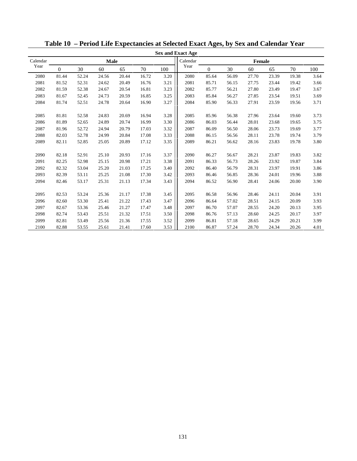|          |          |       |       |       |       |      | <b>Sex and Exact Age</b> |              |       |               |       |       |      |
|----------|----------|-------|-------|-------|-------|------|--------------------------|--------------|-------|---------------|-------|-------|------|
| Calendar |          |       | Male  |       |       |      | Calendar                 |              |       | <b>Female</b> |       |       |      |
| Year     | $\Omega$ | 30    | 60    | 65    | 70    | 100  | Year                     | $\mathbf{0}$ | 30    | 60            | 65    | 70    | 100  |
| 2080     | 81.44    | 52.24 | 24.56 | 20.44 | 16.72 | 3.20 | 2080                     | 85.64        | 56.09 | 27.70         | 23.39 | 19.38 | 3.64 |
| 2081     | 81.52    | 52.31 | 24.62 | 20.49 | 16.76 | 3.21 | 2081                     | 85.71        | 56.15 | 27.75         | 23.44 | 19.42 | 3.66 |
| 2082     | 81.59    | 52.38 | 24.67 | 20.54 | 16.81 | 3.23 | 2082                     | 85.77        | 56.21 | 27.80         | 23.49 | 19.47 | 3.67 |
| 2083     | 81.67    | 52.45 | 24.73 | 20.59 | 16.85 | 3.25 | 2083                     | 85.84        | 56.27 | 27.85         | 23.54 | 19.51 | 3.69 |
| 2084     | 81.74    | 52.51 | 24.78 | 20.64 | 16.90 | 3.27 | 2084                     | 85.90        | 56.33 | 27.91         | 23.59 | 19.56 | 3.71 |
|          |          |       |       |       |       |      |                          |              |       |               |       |       |      |
| 2085     | 81.81    | 52.58 | 24.83 | 20.69 | 16.94 | 3.28 | 2085                     | 85.96        | 56.38 | 27.96         | 23.64 | 19.60 | 3.73 |
| 2086     | 81.89    | 52.65 | 24.89 | 20.74 | 16.99 | 3.30 | 2086                     | 86.03        | 56.44 | 28.01         | 23.68 | 19.65 | 3.75 |
| 2087     | 81.96    | 52.72 | 24.94 | 20.79 | 17.03 | 3.32 | 2087                     | 86.09        | 56.50 | 28.06         | 23.73 | 19.69 | 3.77 |
| 2088     | 82.03    | 52.78 | 24.99 | 20.84 | 17.08 | 3.33 | 2088                     | 86.15        | 56.56 | 28.11         | 23.78 | 19.74 | 3.79 |
| 2089     | 82.11    | 52.85 | 25.05 | 20.89 | 17.12 | 3.35 | 2089                     | 86.21        | 56.62 | 28.16         | 23.83 | 19.78 | 3.80 |
|          |          |       |       |       |       |      |                          |              |       |               |       |       |      |
| 2090     | 82.18    | 52.91 | 25.10 | 20.93 | 17.16 | 3.37 | 2090                     | 86.27        | 56.67 | 28.21         | 23.87 | 19.83 | 3.82 |
| 2091     | 82.25    | 52.98 | 25.15 | 20.98 | 17.21 | 3.38 | 2091                     | 86.33        | 56.73 | 28.26         | 23.92 | 19.87 | 3.84 |
| 2092     | 82.32    | 53.04 | 25.20 | 21.03 | 17.25 | 3.40 | 2092                     | 86.40        | 56.79 | 28.31         | 23.97 | 19.91 | 3.86 |
| 2093     | 82.39    | 53.11 | 25.25 | 21.08 | 17.30 | 3.42 | 2093                     | 86.46        | 56.85 | 28.36         | 24.01 | 19.96 | 3.88 |
| 2094     | 82.46    | 53.17 | 25.31 | 21.13 | 17.34 | 3.43 | 2094                     | 86.52        | 56.90 | 28.41         | 24.06 | 20.00 | 3.90 |
|          |          |       |       |       |       |      |                          |              |       |               |       |       |      |
| 2095     | 82.53    | 53.24 | 25.36 | 21.17 | 17.38 | 3.45 | 2095                     | 86.58        | 56.96 | 28.46         | 24.11 | 20.04 | 3.91 |
| 2096     | 82.60    | 53.30 | 25.41 | 21.22 | 17.43 | 3.47 | 2096                     | 86.64        | 57.02 | 28.51         | 24.15 | 20.09 | 3.93 |
| 2097     | 82.67    | 53.36 | 25.46 | 21.27 | 17.47 | 3.48 | 2097                     | 86.70        | 57.07 | 28.55         | 24.20 | 20.13 | 3.95 |
| 2098     | 82.74    | 53.43 | 25.51 | 21.32 | 17.51 | 3.50 | 2098                     | 86.76        | 57.13 | 28.60         | 24.25 | 20.17 | 3.97 |
| 2099     | 82.81    | 53.49 | 25.56 | 21.36 | 17.55 | 3.52 | 2099                     | 86.81        | 57.18 | 28.65         | 24.29 | 20.21 | 3.99 |
| 2100     | 82.88    | 53.55 | 25.61 | 21.41 | 17.60 | 3.53 | 2100                     | 86.87        | 57.24 | 28.70         | 24.34 | 20.26 | 4.01 |

**Table 10 – Period Life Expectancies at Selected Exact Ages, by Sex and Calendar Year**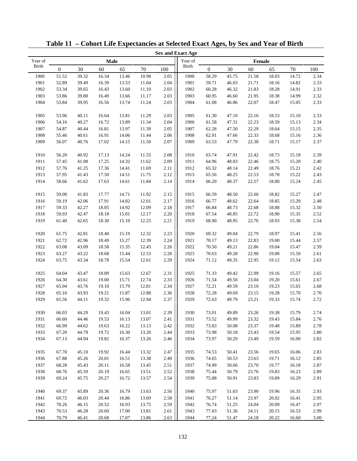|              |                  |       |       |       |       |      | <b>Sex and Exact Age</b> |                  |       |        |       |       |      |
|--------------|------------------|-------|-------|-------|-------|------|--------------------------|------------------|-------|--------|-------|-------|------|
| Year of      |                  |       | Male  |       |       |      | Year of                  |                  |       | Female |       |       |      |
| <b>Birth</b> | $\boldsymbol{0}$ | 30    | 60    | 65    | 70    | 100  | <b>Birth</b>             | $\boldsymbol{0}$ | 30    | 60     | 65    | 70    | 100  |
| 1900         | 51.52            | 39.32 | 16.34 | 13.46 | 10.98 | 2.05 | 1900                     | 58.29            | 45.75 | 21.58  | 18.03 | 14.72 | 2.34 |
| 1901         | 52.89            | 39.49 | 16.39 | 13.53 | 11.04 | 2.04 | 1901                     | 59.71            | 46.03 | 21.71  | 18.16 | 14.82 | 2.33 |
| 1902         | 53.34            | 39.65 | 16.43 | 13.60 | 11.10 | 2.03 | 1902                     | 60.28            | 46.32 | 21.83  | 18.28 | 14.91 | 2.33 |
| 1903         | 53.86            | 39.80 | 16.49 | 13.66 | 11.17 | 2.03 | 1903                     | 60.95            | 46.60 | 21.95  | 18.38 | 14.99 | 2.32 |
| 1904         | 53.84            | 39.95 | 16.56 | 13.74 | 11.24 | 2.03 | 1904                     | 61.08            | 46.86 | 22.07  | 18.47 | 15.05 | 2.33 |
|              |                  |       |       |       |       |      |                          |                  |       |        |       |       |      |
| 1905         | 53.96            | 40.11 | 16.64 | 13.81 | 11.29 | 2.03 | 1905                     | 61.30            | 47.10 | 22.16  | 18.53 | 15.10 | 2.33 |
| 1906         | 54.16            | 40.27 | 16.72 | 13.89 | 11.34 | 2.04 | 1906                     | 61.58            | 47.31 | 22.23  | 18.59 | 15.13 | 2.34 |
| 1907         | 54.87            | 40.44 | 16.81 | 13.97 | 11.39 | 2.05 | 1907                     | 62.28            | 47.50 | 22.29  | 18.64 | 15.15 | 2.35 |
| 1908         | 55.46            | 40.61 | 16.91 | 14.06 | 11.44 | 2.06 | 1908                     | 62.91            | 47.66 | 22.33  | 18.68 | 15.16 | 2.36 |
| 1909         | 56.07            | 40.76 | 17.02 | 14.15 | 11.50 | 2.07 | 1909                     | 63.53            | 47.79 | 22.38  | 18.71 | 15.17 | 2.37 |
|              |                  |       |       |       |       |      |                          |                  |       |        |       |       |      |
| 1910         | 56.20            | 40.92 | 17.13 | 14.24 | 11.55 | 2.08 | 1910                     | 63.74            | 47.91 | 22.42  | 18.73 | 15.18 | 2.39 |
| 1911         | 57.45            | 41.08 | 17.25 | 14.32 | 11.62 | 2.09 | 1911                     | 64.96            | 48.03 | 22.46  | 18.75 | 15.20 | 2.40 |
| 1912         | 57.76            | 41.25 | 17.36 | 14.41 | 11.69 | 2.11 | 1912                     | 65.32            | 48.14 | 22.49  | 18.76 | 15.21 | 2.42 |
| 1913         | 57.95            | 41.43 | 17.50 | 14.51 | 11.75 | 2.12 | 1913                     | 65.56            | 48.25 | 22.53  | 18.78 | 15.22 | 2.43 |
| 1914         | 58.66            | 41.62 | 17.63 | 14.61 | 11.84 | 2.14 | 1914                     | 66.20            | 48.37 | 22.57  | 18.80 | 15.24 | 2.45 |
|              |                  |       |       |       |       |      |                          |                  |       |        |       |       |      |
| 1915         | 59.00            | 41.83 | 17.77 | 14.71 | 11.92 | 2.15 | 1915                     | 66.59            | 48.50 | 22.60  | 18.82 | 15.27 | 2.47 |
| 1916         | 59.19            | 42.06 | 17.91 | 14.82 | 12.01 | 2.17 | 1916                     | 66.77            | 48.62 | 22.64  | 18.85 | 15.29 | 2.48 |
| 1917         | 59.33            | 42.27 | 18.05 | 14.92 | 12.09 | 2.18 | 1917                     | 66.84            | 48.73 | 22.68  | 18.88 | 15.32 | 2.50 |
| 1918         | 59.93            | 42.47 | 18.18 | 15.01 | 12.17 | 2.20 | 1918                     | 67.54            | 48.85 | 22.72  | 18.90 | 15.35 | 2.52 |
| 1919         | 61.40            | 42.65 | 18.30 | 15.10 | 12.25 | 2.21 | 1919                     | 68.90            | 48.95 | 22.76  | 18.93 | 15.38 | 2.54 |
|              |                  |       |       |       |       |      |                          |                  |       |        |       |       |      |
| 1920         | 61.75            | 42.81 | 18.40 | 15.19 | 12.32 | 2.23 | 1920                     | 69.32            | 49.04 | 22.79  | 18.97 | 15.41 | 2.56 |
| 1921         | 62.72            | 42.96 | 18.49 | 15.27 | 12.39 | 2.24 | 1921                     | 70.17            | 49.13 | 22.83  | 19.00 | 15.44 | 2.57 |
| 1922         | 63.08            | 43.09 | 18.58 | 15.35 | 12.45 | 2.26 | 1922                     | 70.50            | 49.21 | 22.86  | 19.04 | 15.47 | 2.59 |
| 1923         | 63.27            | 43.22 | 18.68 | 15.44 | 12.53 | 2.28 | 1923                     | 70.63            | 49.28 | 22.90  | 19.08 | 15.50 | 2.61 |
| 1924         | 63.75            | 43.34 | 18.78 | 15.54 | 12.61 | 2.29 | 1924                     | 71.12            | 49.35 | 22.95  | 19.12 | 15.54 | 2.63 |
|              |                  |       |       |       |       |      |                          |                  |       |        |       |       |      |
| 1925         | 64.04            | 43.47 | 18.89 | 15.63 | 12.67 | 2.31 | 1925                     | 71.33            | 49.42 | 22.99  | 19.16 | 15.57 | 2.65 |
| 1926         | 64.30            | 43.61 | 19.00 | 15.71 | 12.74 | 2.33 | 1926                     | 71.54            | 49.50 | 23.04  | 19.20 | 15.61 | 2.67 |
| 1927         | 65.04            | 43.76 | 19.10 | 15.79 | 12.81 | 2.34 | 1927                     | 72.21            | 49.59 | 23.10  | 19.23 | 15.65 | 2.68 |
| 1928         | 65.10            | 43.93 | 19.21 | 15.87 | 12.88 | 2.36 | 1928                     | 72.28            | 49.69 | 23.15  | 19.28 | 15.70 | 2.70 |
| 1929         | 65.56            | 44.11 | 19.32 | 15.96 | 12.94 | 2.37 | 1929                     | 72.63            | 49.79 | 23.21  | 19.33 | 15.74 | 2.72 |
|              |                  |       |       |       |       |      |                          |                  |       |        |       |       |      |
| 1930         | 66.03            | 44.29 | 19.43 | 16.04 | 13.01 | 2.39 | 1930                     | 73.01            | 49.89 | 23.26  | 19.38 | 15.79 | 2.74 |
| 1931         | 66.60            | 44.46 | 19.53 | 16.13 | 13.07 | 2.41 | 1931                     | 73.52            | 49.99 | 23.32  | 19.43 | 15.84 | 2.76 |
| 1932         | 66.99            | 44.62 | 19.63 | 16.22 | 13.13 | 2.42 | 1932                     | 73.83            | 50.08 | 23.37  | 19.48 | 15.89 | 2.78 |
| 1933         | 67.20            | 44.78 | 19.72 | 16.30 | 13.20 | 2.44 | 1933                     | 73.98            | 50.18 | 23.43  | 19.54 | 15.95 | 2.80 |
| 1934         | 67.13            | 44.94 | 19.82 | 16.37 | 13.26 | 2.46 | 1934                     | 73.97            | 50.29 | 23.49  | 19.59 | 16.00 | 2.82 |
|              |                  |       |       |       |       |      |                          |                  |       |        |       |       |      |
| 1935         | 67.70            | 45.10 | 19.92 | 16.44 | 13.32 | 2.47 | 1935                     | 74.53            | 50.41 | 23.56  | 19.65 | 16.06 | 2.83 |
| 1936         | 67.88            | 45.26 | 20.01 | 16.51 | 13.38 | 2.49 | 1936                     | 74.65            | 50.53 | 23.63  | 19.71 | 16.12 | 2.85 |
| 1937         | 68.28            | 45.43 | 20.11 | 16.58 | 13.45 | 2.51 | 1937                     | 74.99            | 50.66 | 23.70  | 19.77 | 16.18 | 2.87 |
| 1938         | 68.76            | 45.59 | 20.19 | 16.65 | 13.51 | 2.52 | 1938                     | 75.44            | 50.79 | 23.76  | 19.83 | 16.23 | 2.89 |
| 1939         | 69.24            | 45.75 | 20.27 | 16.72 | 13.57 | 2.54 | 1939                     | 75.88            | 50.91 | 23.83  | 19.89 | 16.29 | 2.91 |
|              |                  |       |       |       |       |      |                          |                  |       |        |       |       |      |
| 1940         | 69.37            | 45.89 | 20.36 | 16.79 | 13.63 | 2.56 | 1940                     | 75.97            | 51.03 | 23.90  | 19.96 | 16.35 | 2.93 |
| 1941         | 69.72            | 46.03 | 20.44 | 16.86 | 13.69 | 2.58 | 1941                     | 76.27            | 51.14 | 23.97  | 20.02 | 16.41 | 2.95 |
| 1942         | 70.26            | 46.15 | 20.52 | 16.93 | 13.75 | 2.59 | 1942                     | 76.74            | 51.25 | 24.04  | 20.09 | 16.47 | 2.97 |
| 1943         | 70.53            | 46.28 | 20.60 | 17.00 | 13.81 | 2.61 | 1943                     | 77.03            | 51.36 | 24.11  | 20.15 | 16.53 | 2.99 |
| 1944         | 70.79            | 46.41 | 20.68 | 17.07 | 13.86 | 2.63 | 1944                     | 77.24            | 51.47 | 24.18  | 20.22 | 16.60 | 3.00 |

**Table 11 – Cohort Life Expectancies at Selected Exact Ages, by Sex and Year of Birth**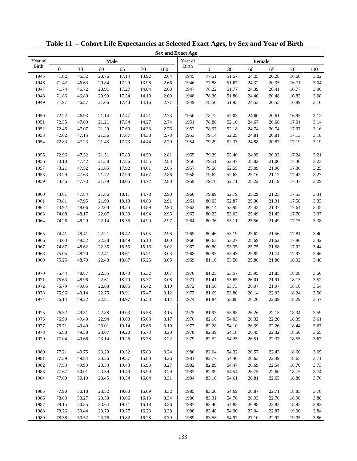|              |                  |       |       |       |       |      | <b>Sex and Exact Age</b> |              |       |        |       |       |      |
|--------------|------------------|-------|-------|-------|-------|------|--------------------------|--------------|-------|--------|-------|-------|------|
| Year of      |                  |       | Male  |       |       |      | Year of                  |              |       | Female |       |       |      |
| <b>Birth</b> | $\boldsymbol{0}$ | 30    | 60    | 65    | 70    | 100  | <b>Birth</b>             | $\mathbf{0}$ | 30    | 60     | 65    | 70    | 100  |
| 1945         | 71.02            | 46.52 | 20.76 | 17.14 | 13.92 | 2.64 | 1945                     | 77.51        | 51.57 | 24.25  | 20.28 | 16.66 | 3.02 |
| 1946         | 71.42            | 46.63 | 20.84 | 17.20 | 13.98 | 2.66 | 1946                     | 77.88        | 51.67 | 24.32  | 20.35 | 16.71 | 3.04 |
| 1947         | 71.74            | 46.72 | 20.91 | 17.27 | 14.04 | 2.68 | 1947                     | 78.22        | 51.77 | 24.39  | 20.41 | 16.77 | 3.06 |
| 1948         | 71.86            | 46.80 | 20.99 | 17.34 | 14.10 | 2.69 | 1948                     | 78.36        | 51.86 | 24.46  | 20.48 | 16.83 | 3.08 |
| 1949         | 71.97            | 46.87 | 21.06 | 17.40 | 14.16 | 2.71 | 1949                     | 78.50        | 51.95 | 24.53  | 20.55 | 16.89 | 3.10 |
|              |                  |       |       |       |       |      |                          |              |       |        |       |       |      |
| 1950         | 72.22            | 46.93 | 21.14 | 17.47 | 14.21 | 2.73 | 1950                     | 78.72        | 52.03 | 24.60  | 20.61 | 16.95 | 3.12 |
| 1951         | 72.35            | 47.00 | 21.21 | 17.54 | 14.27 | 2.74 | 1951                     | 78.88        | 52.10 | 24.67  | 20.68 | 17.01 | 3.14 |
| 1952         | 72.46            | 47.07 | 21.29 | 17.60 | 14.33 | 2.76 | 1952                     | 78.97        | 52.18 | 24.74  | 20.74 | 17.07 | 3.16 |
| 1953         | 72.62            | 47.15 | 21.36 | 17.67 | 14.38 | 2.78 | 1953                     | 79.14        | 52.25 | 24.81  | 20.81 | 17.13 | 3.18 |
| 1954         | 72.83            | 47.23 | 21.43 | 17.73 | 14.44 | 2.79 | 1954                     | 79.29        | 52.33 | 24.88  | 20.87 | 17.19 | 3.19 |
|              |                  |       |       |       |       |      |                          |              |       |        |       |       |      |
| 1955         | 72.96            | 47.32 | 21.51 | 17.80 | 14.50 | 2.81 | 1955                     | 79.39        | 52.40 | 24.95  | 20.93 | 17.24 | 3.21 |
| 1956         | 73.10            | 47.42 | 21.58 | 17.86 | 14.55 | 2.83 | 1956                     | 79.51        | 52.47 | 25.02  | 21.00 | 17.30 | 3.23 |
| 1957         | 73.21            | 47.52 | 21.65 | 17.92 | 14.61 | 2.85 | 1957                     | 79.58        | 52.55 | 25.09  | 21.06 | 17.36 | 3.25 |
| 1958         | 73.29            | 47.63 | 21.72 | 17.99 | 14.67 | 2.86 | 1958                     | 79.62        | 52.63 | 25.16  | 21.12 | 17.42 | 3.27 |
| 1959         | 73.46            | 47.73 | 21.79 | 18.05 | 14.72 | 2.88 | 1959                     | 79.76        | 52.71 | 25.22  | 21.19 | 17.47 | 3.29 |
|              |                  |       |       |       |       |      |                          |              |       |        |       |       |      |
| 1960         | 73.61            | 47.84 | 21.86 | 18.11 | 14.78 | 2.90 | 1960                     | 79.89        | 52.79 | 25.29  | 21.25 | 17.53 | 3.31 |
| 1961         | 73.81            | 47.95 | 21.93 | 18.18 | 14.83 | 2.91 | 1961                     | 80.03        | 52.87 | 25.36  | 21.31 | 17.58 | 3.33 |
| 1962         | 73.92            | 48.06 | 22.00 | 18.24 | 14.89 | 2.93 | 1962                     | 80.14        | 52.95 | 25.43  | 21.37 | 17.64 | 3.35 |
| 1963         | 74.08            | 48.17 | 22.07 | 18.30 | 14.94 | 2.95 | 1963                     | 80.23        | 53.03 | 25.49  | 21.43 | 17.70 | 3.37 |
| 1964         | 74.26            | 48.29 | 22.14 | 18.36 | 14.99 | 2.97 | 1964                     | 80.36        | 53.11 | 25.56  | 21.49 | 17.75 | 3.38 |
|              |                  |       |       |       |       |      |                          |              |       |        |       |       |      |
| 1965         | 74.41            | 48.41 | 22.21 | 18.42 | 15.05 | 2.98 | 1965                     | 80.46        | 53.19 | 25.62  | 21.56 | 17.81 | 3.40 |
| 1966         | 74.63            | 48.52 | 22.28 | 18.49 | 15.10 | 3.00 | 1966                     | 80.63        | 53.27 | 25.69  | 21.62 | 17.86 | 3.42 |
| 1967         | 74.87            | 48.62 | 22.35 | 18.55 | 15.16 | 3.02 | 1967                     | 80.80        | 53.35 | 25.75  | 21.68 | 17.92 | 3.44 |
| 1968         | 75.05            | 48.70 | 22.41 | 18.61 | 15.21 | 3.03 | 1968                     | 80.95        | 53.43 | 25.82  | 21.74 | 17.97 | 3.46 |
| 1969         | 75.25            | 48.79 | 22.48 | 18.67 | 15.26 | 3.05 | 1969                     | 81.10        | 53.50 | 25.88  | 21.80 | 18.02 | 3.48 |
|              |                  |       |       |       |       |      |                          |              |       |        |       |       |      |
| 1970         | 75.44            | 48.87 | 22.55 | 18.73 | 15.32 | 3.07 | 1970                     | 81.25        | 53.57 | 25.95  | 21.85 | 18.08 | 3.50 |
| 1971         | 75.63            | 48.96 | 22.61 | 18.79 | 15.37 | 3.08 | 1971                     | 81.41        | 53.65 | 26.01  | 21.91 | 18.13 | 3.52 |
| 1972         | 75.79            | 49.05 | 22.68 | 18.85 | 15.42 | 3.10 | 1972                     | 81.56        | 53.73 | 26.07  | 21.97 | 18.18 | 3.54 |
| 1973         | 75.96            | 49.14 | 22.75 | 18.91 | 15.47 | 3.12 | 1973                     | 81.69        | 53.80 | 26.14  | 22.03 | 18.24 | 3.56 |
| 1974         | 76.14            | 49.22 | 22.81 | 18.97 | 15.53 | 3.14 | 1974                     | 81.84        | 53.88 | 26.20  | 22.09 | 18.29 | 3.57 |
|              |                  |       |       |       |       |      |                          |              |       |        |       |       |      |
| 1975         | 76.32            | 49.31 | 22.88 | 19.03 | 15.58 | 3.15 | 1975                     | 81.97        | 53.95 | 26.26  | 22.15 | 18.34 | 3.59 |
| 1976         | 76.50            | 49.40 | 22.94 | 19.08 | 15.63 | 3.17 | 1976                     | 82.10        | 54.03 | 26.32  | 22.20 | 18.39 | 3.61 |
| 1977         | 76.71            | 49.49 | 23.01 | 19.14 | 15.68 | 3.19 | 1977                     | 82.28        | 54.10 | 26.39  | 22.26 | 18.44 | 3.63 |
| 1978         | 76.88            | 49.58 | 23.07 | 19.20 | 15.73 | 3.20 | 1978                     | 82.39        | 54.18 | 26.45  | 22.32 | 18.50 | 3.65 |
| 1979         | 77.04            | 49.66 | 23.14 | 19.26 | 15.78 | 3.22 | 1979                     | 82.52        | 54.25 | 26.51  | 22.37 | 18.55 | 3.67 |
|              |                  |       |       |       |       |      |                          |              |       |        |       |       |      |
| 1980         | 77.21            | 49.75 | 23.20 | 19.32 | 15.83 | 3.24 | 1980                     | 82.64        | 54.32 | 26.57  | 22.43 | 18.60 | 3.69 |
| 1981         | 77.39            | 49.84 | 23.26 | 19.37 | 15.88 | 3.26 | 1981                     | 82.77        | 54.40 | 26.63  | 22.49 | 18.65 | 3.71 |
| 1982         | 77.53            | 49.93 | 23.33 | 19.43 | 15.93 | 3.27 | 1982                     | 82.89        | 54.47 | 26.69  | 22.54 | 18.70 | 3.73 |
| 1983         | 77.67            | 50.01 | 23.39 | 19.49 | 15.99 | 3.29 | 1983                     | 82.99        | 54.54 | 26.75  | 22.60 | 18.75 | 3.74 |
| 1984         | 77.80            | 50.10 | 23.45 | 19.54 | 16.04 | 3.31 | 1984                     | 83.10        | 54.61 | 26.81  | 22.65 | 18.80 | 3.76 |
|              |                  |       |       |       |       |      |                          |              |       |        |       |       |      |
| 1985         | 77.90            | 50.18 | 23.52 | 19.60 | 16.09 | 3.32 | 1985                     | 83.20        | 54.69 | 26.87  | 22.71 | 18.85 | 3.78 |
| 1986         | 78.03            | 50.27 | 23.58 | 19.66 | 16.13 | 3.34 | 1986                     | 83.31        | 54.76 | 26.93  | 22.76 | 18.90 | 3.80 |
| 1987         | 78.15            | 50.35 | 23.64 | 19.71 | 16.18 | 3.36 | 1987                     | 83.40        | 54.83 | 26.98  | 22.82 | 18.95 | 3.82 |
| 1988         | 78.26            | 50.44 | 23.70 | 19.77 | 16.23 | 3.38 | 1988                     | 83.48        | 54.90 | 27.04  | 22.87 | 19.00 | 3.84 |
| 1989         | 78.38            | 50.52 | 23.76 | 19.82 | 16.28 | 3.39 | 1989                     | 83.56        | 54.97 | 27.10  | 22.92 | 19.05 | 3.86 |

**Table 11 – Cohort Life Expectancies at Selected Exact Ages, by Sex and Year of Birth**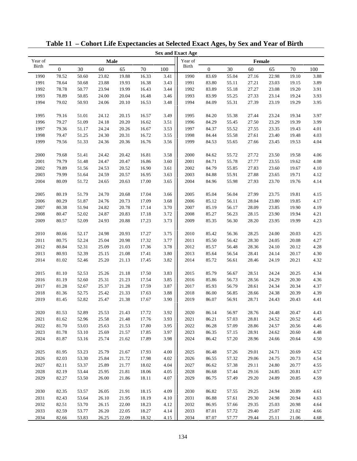|              |                  |       |       |                |       |      | <b>Sex and Exact Age</b> |                |       |        |                |       |              |
|--------------|------------------|-------|-------|----------------|-------|------|--------------------------|----------------|-------|--------|----------------|-------|--------------|
| Year of      |                  |       | Male  |                |       |      | Year of                  |                |       | Female |                |       |              |
| <b>Birth</b> | $\boldsymbol{0}$ | 30    | 60    | 65             | 70    | 100  | <b>Birth</b>             | $\mathbf{0}$   | 30    | 60     | 65             | 70    | 100          |
| 1990         | 78.52            | 50.60 | 23.82 | 19.88          | 16.33 | 3.41 | 1990                     | 83.69          | 55.04 | 27.16  | 22.98          | 19.10 | 3.88         |
| 1991         | 78.64            | 50.68 | 23.88 | 19.93          | 16.38 | 3.43 | 1991                     | 83.80          | 55.11 | 27.21  | 23.03          | 19.15 | 3.89         |
| 1992         | 78.78            | 50.77 | 23.94 | 19.99          | 16.43 | 3.44 | 1992                     | 83.89          | 55.18 | 27.27  | 23.08          | 19.20 | 3.91         |
| 1993         | 78.89            | 50.85 | 24.00 | 20.04          | 16.48 | 3.46 | 1993                     | 83.99          | 55.25 | 27.33  | 23.14          | 19.24 | 3.93         |
| 1994         | 79.02            | 50.93 | 24.06 | 20.10          | 16.53 | 3.48 | 1994                     | 84.09          | 55.31 | 27.39  | 23.19          | 19.29 | 3.95         |
|              |                  |       |       |                |       |      |                          |                |       |        |                |       |              |
| 1995         | 79.16            | 51.01 | 24.12 | 20.15          | 16.57 | 3.49 | 1995                     | 84.20          | 55.38 | 27.44  | 23.24          | 19.34 | 3.97         |
| 1996         | 79.27            | 51.09 | 24.18 | 20.20          | 16.62 | 3.51 | 1996                     | 84.29          | 55.45 | 27.50  | 23.29          | 19.39 | 3.99         |
| 1997         | 79.36            | 51.17 | 24.24 | 20.26          | 16.67 | 3.53 | 1997                     | 84.37          | 55.52 | 27.55  | 23.35          | 19.43 | 4.01         |
| 1998         | 79.47            | 51.25 | 24.30 | 20.31          | 16.72 | 3.55 | 1998                     | 84.44          | 55.58 | 27.61  | 23.40          | 19.48 | 4.03         |
| 1999         | 79.56            | 51.33 | 24.36 | 20.36          | 16.76 | 3.56 | 1999                     | 84.53          | 55.65 | 27.66  | 23.45          | 19.53 | 4.04         |
|              |                  |       |       |                |       |      |                          |                |       |        |                |       |              |
| 2000         | 79.68            | 51.41 | 24.42 | 20.42          | 16.81 | 3.58 | 2000                     | 84.62          | 55.72 | 27.72  | 23.50          | 19.58 | 4.06         |
| 2001         | 79.79            | 51.48 | 24.47 | 20.47          | 16.86 | 3.60 | 2001                     | 84.71          | 55.78 | 27.77  | 23.55          | 19.62 | 4.08         |
| 2002         | 79.89            | 51.56 | 24.53 | 20.52          | 16.90 | 3.61 | 2002                     | 84.79          | 55.85 | 27.83  | 23.60          | 19.67 | 4.10         |
| 2003         | 79.99            | 51.64 | 24.59 | 20.57          | 16.95 | 3.63 | 2003                     | 84.88          | 55.91 | 27.88  | 23.65          | 19.71 | 4.12         |
| 2004         | 80.09            | 51.72 | 24.65 | 20.63          | 17.00 | 3.65 | 2004                     | 84.96          | 55.98 | 27.93  | 23.70          | 19.76 | 4.14         |
|              |                  |       |       |                |       |      |                          |                |       |        |                |       |              |
| 2005         | 80.19            | 51.79 | 24.70 | 20.68          | 17.04 | 3.66 | 2005                     | 85.04          | 56.04 | 27.99  | 23.75          | 19.81 | 4.15         |
| 2006         | 80.29            | 51.87 | 24.76 | 20.73          | 17.09 | 3.68 | 2006                     | 85.12          | 56.11 | 28.04  | 23.80          | 19.85 | 4.17         |
| 2007         | 80.38            | 51.94 | 24.82 | 20.78          | 17.14 | 3.70 | 2007                     | 85.19          | 56.17 | 28.09  | 23.85          | 19.90 | 4.19         |
| 2008         | 80.47            | 52.02 | 24.87 | 20.83          | 17.18 | 3.72 | 2008                     | 85.27          | 56.23 | 28.15  | 23.90          | 19.94 | 4.21         |
| 2009         | 80.57            | 52.09 | 24.93 | 20.88          | 17.23 | 3.73 | 2009                     | 85.35          | 56.30 | 28.20  | 23.95          | 19.99 | 4.23         |
| 2010         | 80.66            | 52.17 | 24.98 | 20.93          | 17.27 | 3.75 | 2010                     | 85.42          | 56.36 | 28.25  | 24.00          | 20.03 | 4.25         |
| 2011         | 80.75            | 52.24 | 25.04 | 20.98          | 17.32 | 3.77 | 2011                     |                | 56.42 | 28.30  | 24.05          | 20.08 | 4.27         |
| 2012         | 80.84            | 52.31 | 25.09 | 21.03          | 17.36 | 3.78 | 2012                     | 85.50          | 56.48 | 28.36  | 24.10          | 20.12 | 4.28         |
| 2013         | 80.93            | 52.39 | 25.15 |                | 17.41 | 3.80 | 2013                     | 85.57<br>85.64 | 56.54 | 28.41  |                | 20.17 |              |
| 2014         | 81.02            | 52.46 | 25.20 | 21.08<br>21.13 | 17.45 | 3.82 | 2014                     | 85.72          | 56.61 | 28.46  | 24.14<br>24.19 | 20.21 | 4.30<br>4.32 |
|              |                  |       |       |                |       |      |                          |                |       |        |                |       |              |
| 2015         | 81.10            | 52.53 | 25.26 | 21.18          | 17.50 | 3.83 | 2015                     | 85.79          | 56.67 | 28.51  | 24.24          | 20.25 | 4.34         |
| 2016         | 81.19            | 52.60 | 25.31 | 21.23          | 17.54 | 3.85 | 2016                     | 85.86          | 56.73 | 28.56  | 24.29          | 20.30 | 4.36         |
| 2017         | 81.28            | 52.67 | 25.37 | 21.28          | 17.59 | 3.87 | 2017                     | 85.93          | 56.79 | 28.61  | 24.34          | 20.34 | 4.37         |
| 2018         | 81.36            | 52.75 | 25.42 | 21.33          | 17.63 | 3.88 | 2018                     | 86.00          | 56.85 | 28.66  | 24.38          | 20.39 | 4.39         |
| 2019         | 81.45            | 52.82 | 25.47 | 21.38          | 17.67 | 3.90 | 2019                     | 86.07          | 56.91 | 28.71  | 24.43          | 20.43 | 4.41         |
|              |                  |       |       |                |       |      |                          |                |       |        |                |       |              |
| $2020\,$     | 81.53            | 52.89 | 25.53 | 21.43          | 17.72 | 3.92 | $2020\,$                 | 86.14          | 56.97 | 28.76  | 24.48          | 20.47 | 4.43         |
| 2021         | 81.62            | 52.96 | 25.58 | 21.48          | 17.76 | 3.93 | 2021                     | 86.21          | 57.03 | 28.81  | 24.52          | 20.52 | 4.45         |
| 2022         | 81.70            | 53.03 | 25.63 | 21.53          | 17.80 | 3.95 | 2022                     | 86.28          | 57.09 | 28.86  | 24.57          | 20.56 | 4.46         |
| 2023         | 81.78            | 53.10 | 25.69 | 21.57          | 17.85 | 3.97 | 2023                     | 86.35          | 57.15 | 28.91  | 24.62          | 20.60 | 4.48         |
| 2024         | 81.87            | 53.16 | 25.74 | 21.62          | 17.89 | 3.98 | 2024                     | 86.42          | 57.20 | 28.96  | 24.66          | 20.64 | 4.50         |
|              |                  |       |       |                |       |      |                          |                |       |        |                |       |              |
| 2025         | 81.95            | 53.23 | 25.79 | 21.67          | 17.93 | 4.00 | 2025                     | 86.48          | 57.26 | 29.01  | 24.71          | 20.69 | 4.52         |
| 2026         | 82.03            | 53.30 | 25.84 | 21.72          | 17.98 | 4.02 | 2026                     | 86.55          | 57.32 | 29.06  | 24.75          | 20.73 | 4.54         |
| 2027         | 82.11            | 53.37 | 25.89 | 21.77          | 18.02 | 4.04 | 2027                     | 86.62          | 57.38 | 29.11  | 24.80          | 20.77 | 4.55         |
| 2028         | 82.19            | 53.44 | 25.95 | 21.81          | 18.06 | 4.05 | 2028                     | 86.68          | 57.44 | 29.16  | 24.85          | 20.81 | 4.57         |
| 2029         | 82.27            | 53.50 | 26.00 | 21.86          | 18.11 | 4.07 | 2029                     | 86.75          | 57.49 | 29.20  | 24.89          | 20.85 | 4.59         |
|              |                  |       |       |                |       |      |                          |                |       |        |                |       |              |
| 2030         | 82.35            | 53.57 | 26.05 | 21.91          | 18.15 | 4.09 | 2030                     | 86.82          | 57.55 | 29.25  | 24.94          | 20.89 | 4.61         |
| 2031         | 82.43            | 53.64 | 26.10 | 21.95          | 18.19 | 4.10 | 2031                     | 86.88          | 57.61 | 29.30  | 24.98          | 20.94 | 4.63         |
| 2032         | 82.51            | 53.70 | 26.15 | 22.00          | 18.23 | 4.12 | 2032                     | 86.95          | 57.66 | 29.35  | 25.03          | 20.98 | 4.64         |
| 2033         | 82.59            | 53.77 | 26.20 | 22.05          | 18.27 | 4.14 | 2033                     | 87.01          | 57.72 | 29.40  | 25.07          | 21.02 | 4.66         |
| 2034         | 82.66            | 53.83 | 26.25 | 22.09          | 18.32 | 4.15 | 2034                     | 87.07          | 57.77 | 29.44  | 25.11          | 21.06 | 4.68         |

**Table 11 – Cohort Life Expectancies at Selected Exact Ages, by Sex and Year of Birth**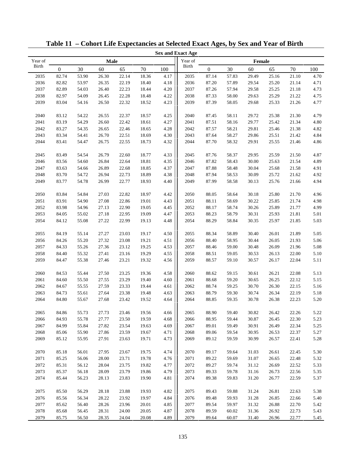|         |                  |       |       |       |       |      | <b>Sex and Exact Age</b> |                  |       |        |       |       |      |
|---------|------------------|-------|-------|-------|-------|------|--------------------------|------------------|-------|--------|-------|-------|------|
| Year of |                  |       | Male  |       |       |      | Year of                  |                  |       | Female |       |       |      |
| Birth   | $\boldsymbol{0}$ | 30    | 60    | 65    | 70    | 100  | Birth                    | $\boldsymbol{0}$ | 30    | 60     | 65    | 70    | 100  |
| 2035    | 82.74            | 53.90 | 26.30 | 22.14 | 18.36 | 4.17 | 2035                     | 87.14            | 57.83 | 29.49  | 25.16 | 21.10 | 4.70 |
| 2036    | 82.82            | 53.97 | 26.35 | 22.19 | 18.40 | 4.18 | 2036                     | 87.20            | 57.89 | 29.54  | 25.20 | 21.14 | 4.71 |
| 2037    | 82.89            | 54.03 | 26.40 | 22.23 | 18.44 | 4.20 | 2037                     | 87.26            | 57.94 | 29.58  | 25.25 | 21.18 | 4.73 |
| 2038    | 82.97            | 54.09 | 26.45 | 22.28 | 18.48 | 4.22 | 2038                     | 87.33            | 58.00 | 29.63  | 25.29 | 21.22 | 4.75 |
| 2039    | 83.04            | 54.16 | 26.50 | 22.32 | 18.52 | 4.23 | 2039                     | 87.39            | 58.05 | 29.68  | 25.33 | 21.26 | 4.77 |
|         |                  |       |       |       |       |      |                          |                  |       |        |       |       |      |
| 2040    | 83.12            | 54.22 | 26.55 | 22.37 | 18.57 | 4.25 | 2040                     | 87.45            | 58.11 | 29.72  | 25.38 | 21.30 | 4.79 |
| 2041    | 83.19            | 54.29 | 26.60 | 22.42 | 18.61 | 4.27 | 2041                     | 87.51            | 58.16 | 29.77  | 25.42 | 21.34 | 4.80 |
| 2042    | 83.27            | 54.35 | 26.65 | 22.46 | 18.65 | 4.28 | 2042                     | 87.57            | 58.21 | 29.81  | 25.46 | 21.38 | 4.82 |
| 2043    | 83.34            | 54.41 | 26.70 | 22.51 | 18.69 | 4.30 | 2043                     | 87.64            | 58.27 | 29.86  | 25.51 | 21.42 | 4.84 |
| 2044    | 83.41            | 54.47 | 26.75 | 22.55 | 18.73 | 4.32 | 2044                     | 87.70            | 58.32 | 29.91  | 25.55 | 21.46 | 4.86 |
|         |                  |       |       |       |       |      |                          |                  |       |        |       |       |      |
| 2045    | 83.49            | 54.54 | 26.79 | 22.60 | 18.77 | 4.33 | 2045                     | 87.76            | 58.37 | 29.95  | 25.59 | 21.50 | 4.87 |
| 2046    | 83.56            | 54.60 | 26.84 | 22.64 | 18.81 | 4.35 | 2046                     | 87.82            | 58.43 | 30.00  | 25.63 | 21.54 | 4.89 |
| 2047    | 83.63            | 54.66 | 26.89 | 22.68 | 18.85 | 4.37 | 2047                     | 87.88            | 58.48 | 30.04  | 25.68 | 21.58 | 4.91 |
| 2048    | 83.70            | 54.72 | 26.94 | 22.73 | 18.89 | 4.38 | 2048                     | 87.94            | 58.53 | 30.09  | 25.72 | 21.62 | 4.92 |
| 2049    | 83.77            | 54.78 | 26.99 | 22.77 | 18.93 | 4.40 | 2049                     | 87.99            | 58.58 | 30.13  | 25.76 | 21.66 | 4.94 |
|         |                  |       |       |       |       |      |                          |                  |       |        |       |       |      |
| 2050    | 83.84            | 54.84 | 27.03 | 22.82 | 18.97 | 4.42 | 2050                     | 88.05            | 58.64 | 30.18  | 25.80 | 21.70 | 4.96 |
| 2051    | 83.91            | 54.90 | 27.08 | 22.86 | 19.01 | 4.43 | 2051                     | 88.11            | 58.69 | 30.22  | 25.85 | 21.74 | 4.98 |
| 2052    | 83.98            | 54.96 | 27.13 | 22.90 | 19.05 | 4.45 | 2052                     | 88.17            | 58.74 | 30.26  | 25.89 | 21.77 | 4.99 |
| 2053    | 84.05            | 55.02 | 27.18 | 22.95 | 19.09 | 4.47 | 2053                     | 88.23            | 58.79 | 30.31  | 25.93 | 21.81 | 5.01 |
| 2054    | 84.12            | 55.08 | 27.22 | 22.99 | 19.13 | 4.48 | 2054                     | 88.29            | 58.84 | 30.35  | 25.97 | 21.85 | 5.03 |
|         |                  |       |       |       |       |      |                          |                  |       |        |       |       |      |
| 2055    | 84.19            | 55.14 | 27.27 | 23.03 | 19.17 | 4.50 | 2055                     | 88.34            | 58.89 | 30.40  | 26.01 | 21.89 | 5.05 |
| 2056    | 84.26            | 55.20 | 27.32 | 23.08 | 19.21 | 4.51 | 2056                     | 88.40            | 58.95 | 30.44  | 26.05 | 21.93 | 5.06 |
| 2057    | 84.33            | 55.26 | 27.36 | 23.12 | 19.25 | 4.53 | 2057                     | 88.46            | 59.00 | 30.48  | 26.09 | 21.96 | 5.08 |
| 2058    | 84.40            | 55.32 | 27.41 | 23.16 | 19.29 | 4.55 | 2058                     | 88.51            | 59.05 | 30.53  | 26.13 | 22.00 | 5.10 |
| 2059    | 84.47            | 55.38 | 27.46 | 23.21 | 19.32 | 4.56 | 2059                     | 88.57            | 59.10 | 30.57  | 26.17 | 22.04 | 5.11 |
|         |                  |       |       |       |       |      |                          |                  |       |        |       |       |      |
| 2060    | 84.53            | 55.44 | 27.50 | 23.25 | 19.36 | 4.58 | 2060                     | 88.62            | 59.15 | 30.61  | 26.21 | 22.08 | 5.13 |
| 2061    | 84.60            | 55.50 | 27.55 | 23.29 | 19.40 | 4.60 | 2061                     | 88.68            | 59.20 | 30.65  | 26.25 | 22.12 | 5.15 |
| 2062    | 84.67            | 55.55 | 27.59 | 23.33 | 19.44 | 4.61 | 2062                     | 88.74            | 59.25 | 30.70  | 26.30 | 22.15 | 5.16 |
| 2063    | 84.73            | 55.61 | 27.64 | 23.38 | 19.48 | 4.63 | 2063                     | 88.79            | 59.30 | 30.74  | 26.34 | 22.19 | 5.18 |
| 2064    | 84.80            | 55.67 | 27.68 | 23.42 | 19.52 | 4.64 | 2064                     | 88.85            | 59.35 | 30.78  | 26.38 | 22.23 | 5.20 |
|         |                  |       |       |       |       |      |                          |                  |       |        |       |       |      |
| 2065    | 84.86            | 55.73 | 27.73 | 23.46 | 19.56 | 4.66 | 2065                     | 88.90            | 59.40 | 30.82  | 26.42 | 22.26 | 5.22 |
| 2066    | 84.93            | 55.78 | 27.77 | 23.50 | 19.59 | 4.68 | 2066                     | 88.95            | 59.44 | 30.87  | 26.45 | 22.30 | 5.23 |
| 2067    | 84.99            | 55.84 | 27.82 | 23.54 | 19.63 | 4.69 | 2067                     | 89.01            | 59.49 | 30.91  | 26.49 | 22.34 | 5.25 |
| 2068    | 85.06            | 55.90 | 27.86 | 23.59 | 19.67 | 4.71 | 2068                     | 89.06            | 59.54 | 30.95  | 26.53 | 22.37 | 5.27 |
| 2069    | 85.12            | 55.95 | 27.91 | 23.63 | 19.71 | 4.73 | 2069                     | 89.12            | 59.59 | 30.99  | 26.57 | 22.41 | 5.28 |
| 2070    | 85.18            | 56.01 | 27.95 | 23.67 | 19.75 | 4.74 | 2070                     | 89.17            | 59.64 | 31.03  | 26.61 | 22.45 | 5.30 |
| 2071    | 85.25            | 56.06 | 28.00 | 23.71 | 19.78 | 4.76 | 2071                     | 89.22            | 59.69 | 31.07  | 26.65 | 22.48 | 5.32 |
| 2072    | 85.31            | 56.12 | 28.04 | 23.75 | 19.82 | 4.77 | 2072                     | 89.27            | 59.74 | 31.12  | 26.69 | 22.52 | 5.33 |
| 2073    | 85.37            | 56.18 | 28.09 | 23.79 | 19.86 | 4.79 | 2073                     | 89.33            | 59.78 | 31.16  | 26.73 | 22.56 | 5.35 |
| 2074    |                  | 56.23 |       | 23.83 | 19.90 | 4.81 | 2074                     |                  | 59.83 |        |       |       |      |
|         | 85.44            |       | 28.13 |       |       |      |                          | 89.38            |       | 31.20  | 26.77 | 22.59 | 5.37 |
| 2075    | 85.50            | 56.29 | 28.18 | 23.88 | 19.93 | 4.82 | 2075                     | 89.43            | 59.88 | 31.24  | 26.81 | 22.63 | 5.38 |
| 2076    | 85.56            | 56.34 | 28.22 | 23.92 | 19.97 | 4.84 | 2076                     | 89.48            | 59.93 | 31.28  | 26.85 | 22.66 | 5.40 |
| 2077    | 85.62            | 56.40 | 28.26 | 23.96 | 20.01 | 4.85 | 2077                     | 89.54            | 59.97 | 31.32  | 26.88 | 22.70 | 5.42 |
| 2078    | 85.68            | 56.45 | 28.31 | 24.00 | 20.05 | 4.87 | 2078                     | 89.59            | 60.02 | 31.36  | 26.92 | 22.73 | 5.43 |
| 2079    | 85.75            | 56.50 | 28.35 | 24.04 | 20.08 | 4.89 | 2079                     | 89.64            | 60.07 | 31.40  | 26.96 | 22.77 | 5.45 |
|         |                  |       |       |       |       |      |                          |                  |       |        |       |       |      |

**Table 11 – Cohort Life Expectancies at Selected Exact Ages, by Sex and Year of Birth**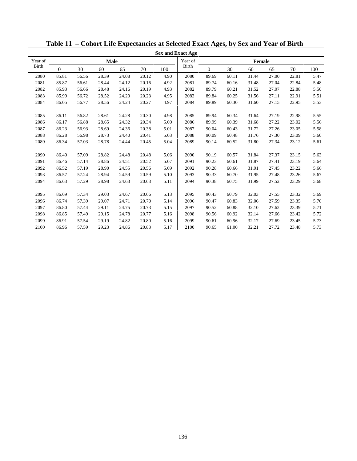|              |          |       |       |       |       |      | <b>Sex and Exact Age</b> |                |       |               |       |       |      |
|--------------|----------|-------|-------|-------|-------|------|--------------------------|----------------|-------|---------------|-------|-------|------|
| Year of      |          |       | Male  |       |       |      | Year of                  |                |       | <b>Female</b> |       |       |      |
| <b>Birth</b> | $\Omega$ | 30    | 60    | 65    | 70    | 100  | <b>Birth</b>             | $\overline{0}$ | 30    | 60            | 65    | 70    | 100  |
| 2080         | 85.81    | 56.56 | 28.39 | 24.08 | 20.12 | 4.90 | 2080                     | 89.69          | 60.11 | 31.44         | 27.00 | 22.81 | 5.47 |
| 2081         | 85.87    | 56.61 | 28.44 | 24.12 | 20.16 | 4.92 | 2081                     | 89.74          | 60.16 | 31.48         | 27.04 | 22.84 | 5.48 |
| 2082         | 85.93    | 56.66 | 28.48 | 24.16 | 20.19 | 4.93 | 2082                     | 89.79          | 60.21 | 31.52         | 27.07 | 22.88 | 5.50 |
| 2083         | 85.99    | 56.72 | 28.52 | 24.20 | 20.23 | 4.95 | 2083                     | 89.84          | 60.25 | 31.56         | 27.11 | 22.91 | 5.51 |
| 2084         | 86.05    | 56.77 | 28.56 | 24.24 | 20.27 | 4.97 | 2084                     | 89.89          | 60.30 | 31.60         | 27.15 | 22.95 | 5.53 |
|              |          |       |       |       |       |      |                          |                |       |               |       |       |      |
| 2085         | 86.11    | 56.82 | 28.61 | 24.28 | 20.30 | 4.98 | 2085                     | 89.94          | 60.34 | 31.64         | 27.19 | 22.98 | 5.55 |
| 2086         | 86.17    | 56.88 | 28.65 | 24.32 | 20.34 | 5.00 | 2086                     | 89.99          | 60.39 | 31.68         | 27.22 | 23.02 | 5.56 |
| 2087         | 86.23    | 56.93 | 28.69 | 24.36 | 20.38 | 5.01 | 2087                     | 90.04          | 60.43 | 31.72         | 27.26 | 23.05 | 5.58 |
| 2088         | 86.28    | 56.98 | 28.73 | 24.40 | 20.41 | 5.03 | 2088                     | 90.09          | 60.48 | 31.76         | 27.30 | 23.09 | 5.60 |
| 2089         | 86.34    | 57.03 | 28.78 | 24.44 | 20.45 | 5.04 | 2089                     | 90.14          | 60.52 | 31.80         | 27.34 | 23.12 | 5.61 |
|              |          |       |       |       |       |      |                          |                |       |               |       |       |      |
| 2090         | 86.40    | 57.09 | 28.82 | 24.48 | 20.48 | 5.06 | 2090                     | 90.19          | 60.57 | 31.84         | 27.37 | 23.15 | 5.63 |
| 2091         | 86.46    | 57.14 | 28.86 | 24.51 | 20.52 | 5.07 | 2091                     | 90.23          | 60.61 | 31.87         | 27.41 | 23.19 | 5.64 |
| 2092         | 86.52    | 57.19 | 28.90 | 24.55 | 20.56 | 5.09 | 2092                     | 90.28          | 60.66 | 31.91         | 27.45 | 23.22 | 5.66 |
| 2093         | 86.57    | 57.24 | 28.94 | 24.59 | 20.59 | 5.10 | 2093                     | 90.33          | 60.70 | 31.95         | 27.48 | 23.26 | 5.67 |
| 2094         | 86.63    | 57.29 | 28.98 | 24.63 | 20.63 | 5.11 | 2094                     | 90.38          | 60.75 | 31.99         | 27.52 | 23.29 | 5.68 |
|              |          |       |       |       |       |      |                          |                |       |               |       |       |      |
| 2095         | 86.69    | 57.34 | 29.03 | 24.67 | 20.66 | 5.13 | 2095                     | 90.43          | 60.79 | 32.03         | 27.55 | 23.32 | 5.69 |
| 2096         | 86.74    | 57.39 | 29.07 | 24.71 | 20.70 | 5.14 | 2096                     | 90.47          | 60.83 | 32.06         | 27.59 | 23.35 | 5.70 |
| 2097         | 86.80    | 57.44 | 29.11 | 24.75 | 20.73 | 5.15 | 2097                     | 90.52          | 60.88 | 32.10         | 27.62 | 23.39 | 5.71 |
| 2098         | 86.85    | 57.49 | 29.15 | 24.78 | 20.77 | 5.16 | 2098                     | 90.56          | 60.92 | 32.14         | 27.66 | 23.42 | 5.72 |
| 2099         | 86.91    | 57.54 | 29.19 | 24.82 | 20.80 | 5.16 | 2099                     | 90.61          | 60.96 | 32.17         | 27.69 | 23.45 | 5.73 |
| 2100         | 86.96    | 57.59 | 29.23 | 24.86 | 20.83 | 5.17 | 2100                     | 90.65          | 61.00 | 32.21         | 27.72 | 23.48 | 5.73 |

**Table 11 – Cohort Life Expectancies at Selected Exact Ages, by Sex and Year of Birth**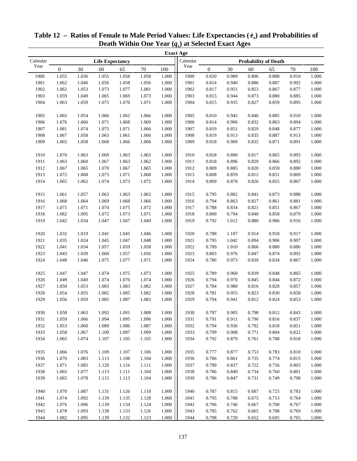| <b>Exact Age</b> |                        |       |       |       |        |           |          |                             |       |       |       |        |       |
|------------------|------------------------|-------|-------|-------|--------|-----------|----------|-----------------------------|-------|-------|-------|--------|-------|
| Calendar         | <b>Life Expectancy</b> |       |       |       |        |           | Calendar | <b>Probability of Death</b> |       |       |       |        |       |
| Year             | $\boldsymbol{0}$       | 30    | 60    | 65    | $70\,$ | 100       | Year     | $\boldsymbol{0}$            | 30    | 60    | 65    | $70\,$ | 100   |
| 1900             | 1.055                  | 1.036 | 1.055 | 1.058 | 1.058  | 1.000     | 1900     | 0.820                       | 0.989 | 0.896 | 0.888 | 0.910  | 1.000 |
| 1901             | 1.062                  | 1.046 | 1.056 | 1.058 | 1.056  | 1.000     | 1901     | 0.814                       | 0.940 | 0.886 | 0.887 | 0.902  | 1.000 |
| 1902             | 1.062                  | 1.053 | 1.073 | 1.077 | 1.081  | 1.000     | 1902     | 0.817                       | 0.951 | 0.853 | 0.867 | 0.877  | 1.000 |
| 1903             | 1.059                  | 1.049 | 1.065 | 1.069 | 1.073  | 1.000     | 1903     | 0.815                       | 0.944 | 0.873 | 0.880 | 0.885  | 1.000 |
| 1904             | 1.063                  | 1.059 | 1.075 | 1.070 | 1.071  | 1.000     | 1904     | 0.815                       | 0.935 | 0.827 | 0.859 | 0.895  | 1.000 |
| 1905             | 1.065                  | 1.054 | 1.066 | 1.062 | 1.066  | 1.000     | 1905     | 0.810                       | 0.945 | 0.846 | 0.885 | 0.910  | 1.000 |
|                  |                        |       |       |       |        |           |          |                             |       |       |       |        |       |
| 1906             | 1.076                  | 1.066 | 1.071 | 1.068 | 1.069  | 1.000     | 1906     | 0.814                       | 0.906 | 0.832 | 0.863 | 0.894  | 1.000 |
| 1907             | 1.081                  | 1.074 | 1.075 | 1.071 | 1.066  | 1.000     | 1907     | 0.819                       | 0.851 | 0.829 | 0.848 | 0.877  | 1.000 |
| 1908             | 1.067                  | 1.058 | 1.063 | 1.061 | 1.066  | 1.000     | 1908     | 0.819                       | 0.913 | 0.835 | 0.887 | 0.913  | 1.000 |
| 1909             | 1.065                  | 1.058 | 1.068 | 1.066 | 1.066  | 1.000     | 1909     | 0.818                       | 0.909 | 0.835 | 0.871 | 0.891  | 1.000 |
| 1910             | 1.070                  | 1.063 | 1.069 | 1.063 | 1.063  | 1.000     | 1910     | 0.818                       | 0.890 | 0.817 | 0.865 | 0.893  | 1.000 |
| 1911             | 1.063                  | 1.060 | 1.067 | 1.063 | 1.062  | 1.000     | 1911     | 0.818                       | 0.896 | 0.829 | 0.866 | 0.892  | 1.000 |
| 1912             | 1.067                  | 1.065 | 1.070 | 1.067 | 1.065  | 1.000     | 1912     | 0.809                       | 0.885 | 0.820 | 0.859 | 0.880  | 1.000 |
| 1913             | 1.072                  | 1.068 | 1.073 | 1.071 | 1.068  | 1.000     | 1913     | 0.808                       | 0.859 | 0.812 | 0.851 | 0.869  | 1.000 |
| 1914             | 1.065                  | 1.062 | 1.074 | 1.073 | 1.072  | 1.000     | 1914     | 0.809                       | 0.878 | 0.826 | 0.855 | 0.867  | 1.000 |
|                  |                        |       |       |       |        |           |          |                             |       |       |       |        |       |
| 1915             | 1.061                  | 1.057 | 1.063 | 1.063 | 1.063  | 1.000     | 1915     | 0.795                       | 0.882 | 0.841 | 0.873 | 0.888  | 1.000 |
| 1916             | 1.068                  | 1.064 | 1.069 | 1.068 | 1.066  | 1.000     | 1916     | 0.794                       | 0.863 | 0.827 | 0.861 | 0.881  | 1.000 |
| 1917             | 1.071                  | 1.071 | 1.074 | 1.075 | 1.072  | 1.000     | 1917     | 0.788                       | 0.834 | 0.821 | 0.851 | 0.867  | 1.000 |
| 1918             | 1.082                  | 1.095 | 1.072 | 1.073 | 1.071  | 1.000     | 1918     | 0.800                       | 0.794 | 0.840 | 0.858 | 0.879  | 1.000 |
| 1919             | 1.042                  | 1.034 | 1.047 | 1.047 | 1.049  | 1.000     | 1919     | 0.792                       | 1.012 | 0.880 | 0.906 | 0.916  | 1.000 |
| 1920             | 1.032                  | 1.019 | 1.041 | 1.045 | 1.046  | 1.000     | 1920     | 0.788                       | 1.107 | 0.914 | 0.918 | 0.917  | 1.000 |
| 1921             | 1.035                  | 1.024 | 1.045 | 1.047 | 1.048  | 1.000     | 1921     | 0.795                       | 1.042 | 0.894 | 0.906 | 0.907  | 1.000 |
| 1922             | 1.041                  | 1.034 | 1.057 | 1.059 | 1.058  | 1.000     | 1922     | 0.789                       | 1.010 | 0.866 | 0.880 | 0.886  | 1.000 |
| 1923             | 1.043                  | 1.039 | 1.060 | 1.057 | 1.056  | 1.000     | 1923     | 0.803                       | 0.976 | 0.847 | 0.874 | 0.892  | 1.000 |
| 1924             | 1.048                  | 1.046 | 1.075 | 1.077 | 1.071  | 1.000     | 1924     | 0.786                       | 0.973 | 0.839 | 0.834 | 0.867  | 1.000 |
|                  |                        |       |       |       |        |           |          |                             |       |       |       |        |       |
| 1925             | 1.047                  | 1.047 | 1.074 | 1.075 | 1.073  | 1.000     | 1925     | 0.789                       | 0.960 | 0.839 | 0.848 | 0.865  | 1.000 |
| 1926             | 1.049                  | 1.049 | 1.074 | 1.076 | 1.074  | 1.000     | 1926     | 0.794                       | 0.970 | 0.845 | 0.844 | 0.872  | 1.000 |
| 1927             | 1.050                  | 1.053 | 1.083 | 1.083 | 1.082  | 1.000     | 1927     | 0.784                       | 0.980 | 0.816 | 0.828 | 0.857  | 1.000 |
| 1928             | 1.054                  | 1.055 | 1.082 | 1.085 | 1.082  | 1.000     | 1928     | 0.781                       | 0.955 | 0.823 | 0.830 | 0.858  | 1.000 |
| 1929             | 1.056                  | 1.059 | 1.085 | 1.087 | 1.083  | 1.000     | 1929     | 0.794                       | 0.941 | 0.812 | 0.824 | 0.853  | 1.000 |
|                  |                        |       |       |       |        |           |          |                             |       |       |       |        |       |
| 1930             | 1.058                  | 1.063 | 1.092 | 1.091 | 1.088  | $1.000\,$ | 1930     | 0.797                       | 0.905 | 0.798 | 0.812 | 0.843  | 1.000 |
| 1931             | 1.059                  | 1.066 | 1.094 | 1.095 | 1.096  | 1.000     | 1931     | 0.791                       | 0.911 | 0.796 | 0.816 | 0.837  | 1.000 |
| 1932             | 1.053                  | 1.060 | 1.089 | 1.086 | 1.087  | 1.000     | 1932     | 0.794                       | 0.936 | 0.792 | 0.818 | 0.851  | 1.000 |
| 1933             | 1.058                  | 1.067 | 1.100 | 1.097 | 1.099  | 1.000     | 1933     | 0.799                       | 0.908 | 0.771 | 0.804 | 0.822  | 1.000 |
| 1934             | 1.065                  | 1.074 | 1.107 | 1.105 | 1.105  | 1.000     | 1934     | 0.792                       | 0.879 | 0.761 | 0.788 | 0.818  | 1.000 |
| 1935             | 1.066                  | 1.076 | 1.109 | 1.107 | 1.106  | 1.000     | 1935     | 0.777                       | 0.877 | 0.753 | 0.783 | 0.818  | 1.000 |
| 1936             | 1.070                  | 1.083 | 1.113 | 1.108 | 1.104  | 1.000     | 1936     | 0.786                       | 0.861 | 0.735 | 0.774 | 0.815  | 1.000 |
| 1937             | 1.071                  | 1.085 | 1.120 | 1.116 | 1.111  | 1.000     | 1937     | 0.789                       | 0.837 | 0.722 | 0.756 | 0.803  | 1.000 |
| 1938             | 1.065                  | 1.077 | 1.113 | 1.111 | 1.104  | 1.000     | 1938     | 0.786                       | 0.849 | 0.734 | 0.760 | 0.801  | 1.000 |
| 1939             | 1.065                  | 1.078 | 1.115 | 1.113 | 1.104  | 1.000     | 1939     | 0.786                       | 0.847 | 0.731 | 0.749 | 0.798  | 1.000 |
|                  |                        |       |       |       |        |           |          |                             |       |       |       |        |       |
| 1940             | 1.070                  | 1.087 | 1.131 | 1.126 | 1.118  | 1.000     | 1940     | 0.787                       | 0.815 | 0.687 | 0.725 | 0.783  | 1.000 |
| 1941             | 1.074                  | 1.092 | 1.139 | 1.135 | 1.128  | 1.000     | 1941     | 0.795                       | 0.788 | 0.675 | 0.713 | 0.764  | 1.000 |
| 1942             | 1.076                  | 1.096 | 1.139 | 1.134 | 1.124  | 1.000     | 1942     | 0.796                       | 0.746 | 0.667 | 0.700 | 0.767  | 1.000 |
| 1943             | 1.078                  | 1.093 | 1.138 | 1.133 | 1.126  | 1.000     | 1943     | 0.785                       | 0.762 | 0.665 | 0.708 | 0.769  | 1.000 |
| 1944             | 1.082                  | 1.095 | 1.139 | 1.132 | 1.123  | 1.000     | 1944     | 0.798                       | 0.720 | 0.652 | 0.695 | 0.765  | 1.000 |

# **Table 12 – Ratios of Female to Male Period Values: Life Expectancies ( ex) and Probabilities of Death Within One Year (***q***x) at Selected Exact Ages**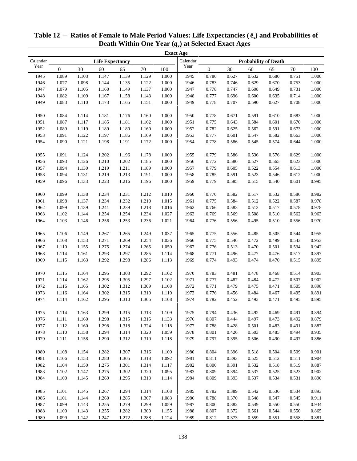|          |                  |       |                        |       |        |           | <b>Exact Age</b> |                             |       |       |       |        |           |  |
|----------|------------------|-------|------------------------|-------|--------|-----------|------------------|-----------------------------|-------|-------|-------|--------|-----------|--|
| Calendar |                  |       | <b>Life Expectancy</b> |       |        |           | Calendar         | <b>Probability of Death</b> |       |       |       |        |           |  |
| Year     | $\boldsymbol{0}$ | 30    | 60                     | 65    | $70\,$ | 100       | Year             | $\boldsymbol{0}$            | 30    | 60    | 65    | $70\,$ | 100       |  |
| 1945     | 1.089            | 1.103 | 1.147                  | 1.139 | 1.129  | 1.000     | 1945             | 0.786                       | 0.627 | 0.632 | 0.680 | 0.751  | 1.000     |  |
| 1946     | 1.077            | 1.098 | 1.144                  | 1.135 | 1.122  | 1.000     | 1946             | 0.783                       | 0.746 | 0.629 | 0.670 | 0.753  | 1.000     |  |
| 1947     | 1.079            | 1.105 | 1.160                  | 1.149 | 1.137  | 1.000     | 1947             | 0.778                       | 0.747 | 0.608 | 0.649 | 0.731  | 1.000     |  |
| 1948     | 1.082            | 1.109 | 1.167                  | 1.158 | 1.143  | 1.000     | 1948             | 0.777                       | 0.696 | 0.600 | 0.635 | 0.714  | 1.000     |  |
| 1949     | 1.083            | 1.110 | 1.173                  | 1.165 | 1.151  | 1.000     | 1949             | 0.778                       | 0.707 | 0.590 | 0.627 | 0.708  | $1.000\,$ |  |
|          |                  |       |                        |       |        |           |                  |                             |       |       |       |        |           |  |
| 1950     | 1.084            | 1.114 | 1.181                  | 1.176 | 1.160  | 1.000     | 1950             | 0.778                       | 0.671 | 0.591 | 0.610 | 0.683  | 1.000     |  |
| 1951     | 1.087            | 1.117 | 1.185                  | 1.181 | 1.162  | 1.000     | 1951             | 0.775                       | 0.643 | 0.584 | 0.601 | 0.670  | 1.000     |  |
| 1952     | 1.089            | 1.119 | 1.189                  | 1.180 | 1.160  | 1.000     | 1952             | 0.782                       | 0.625 | 0.562 | 0.591 | 0.673  | 1.000     |  |
| 1953     | 1.091            | 1.122 | 1.197                  | 1.186 | 1.169  | 1.000     | 1953             | 0.777                       | 0.601 | 0.547 | 0.582 | 0.663  | 1.000     |  |
| 1954     | 1.090            | 1.121 | 1.198                  | 1.191 | 1.172  | 1.000     | 1954             | 0.778                       | 0.586 | 0.545 | 0.574 | 0.644  | 1.000     |  |
|          |                  |       |                        |       |        |           |                  |                             |       |       |       |        |           |  |
| 1955     | 1.091            | 1.124 | 1.202                  | 1.196 | 1.178  | 1.000     | 1955             | 0.779                       | 0.586 | 0.536 | 0.576 | 0.629  | 1.000     |  |
| 1956     | 1.093            | 1.126 | 1.210                  | 1.202 | 1.185  | 1.000     | 1956             | 0.772                       | 0.580 | 0.527 | 0.565 | 0.623  | 1.000     |  |
| 1957     | 1.094            | 1.130 | 1.219                  | 1.211 | 1.189  | 1.000     | 1957             | 0.779                       | 0.605 | 0.522 | 0.554 | 0.613  | 1.000     |  |
| 1958     | 1.094            | 1.131 | 1.219                  | 1.213 | 1.191  | 1.000     | 1958             | 0.785                       | 0.591 | 0.523 | 0.546 | 0.612  | 1.000     |  |
| 1959     | 1.096            | 1.133 | 1.223                  | 1.216 | 1.196  | 1.000     | 1959             | 0.779                       | 0.585 | 0.515 | 0.540 | 0.601  | 0.995     |  |
|          |                  |       |                        |       |        |           |                  |                             |       |       |       |        |           |  |
| 1960     | 1.099            | 1.138 | 1.234                  | 1.231 | 1.212  | 1.010     | 1960             | 0.770                       | 0.582 | 0.517 | 0.532 | 0.586  | 0.982     |  |
| 1961     | 1.098            | 1.137 | 1.234                  | 1.232 | 1.210  | 1.015     | 1961             | 0.775                       | 0.584 | 0.512 | 0.522 | 0.587  | 0.978     |  |
| 1962     | 1.099            | 1.139 | 1.241                  | 1.239 | 1.218  | 1.016     | 1962             | 0.766                       | 0.583 | 0.513 | 0.517 | 0.578  | 0.978     |  |
| 1963     | 1.102            | 1.144 | 1.254                  | 1.254 | 1.234  | 1.027     | 1963             | 0.769                       | 0.569 | 0.508 | 0.510 | 0.562  | 0.963     |  |
| 1964     | 1.103            | 1.146 | 1.256                  | 1.253 | 1.236  | 1.021     | 1964             | 0.776                       | 0.556 | 0.495 | 0.510 | 0.556  | 0.970     |  |
| 1965     | 1.106            | 1.149 | 1.267                  | 1.265 | 1.249  | 1.037     | 1965             | 0.775                       | 0.556 | 0.485 | 0.505 | 0.544  | 0.955     |  |
| 1966     | 1.108            | 1.153 | 1.271                  | 1.269 | 1.254  | 1.036     | 1966             | 0.775                       | 0.546 | 0.472 | 0.499 | 0.543  | 0.953     |  |
| 1967     | 1.110            | 1.155 | 1.275                  | 1.274 | 1.265  | 1.050     | 1967             | 0.776                       | 0.513 | 0.470 | 0.501 | 0.534  | 0.942     |  |
| 1968     | 1.114            | 1.161 | 1.293                  | 1.297 | 1.285  | 1.114     | 1968             | 0.771                       | 0.496 | 0.477 | 0.476 | 0.517  | 0.897     |  |
| 1969     | 1.115            | 1.163 | 1.292                  | 1.298 | 1.286  | 1.113     | 1969             | 0.774                       | 0.493 | 0.474 | 0.470 | 0.515  | 0.895     |  |
|          |                  |       |                        |       |        |           |                  |                             |       |       |       |        |           |  |
| 1970     | 1.115            | 1.164 | 1.295                  | 1.303 | 1.292  | 1.102     | 1970             | 0.783                       | 0.481 | 0.478 | 0.468 | 0.514  | 0.903     |  |
| 1971     | 1.114            | 1.162 | 1.295                  | 1.305 | 1.297  | 1.102     | 1971             | 0.777                       | 0.487 | 0.484 | 0.472 | 0.507  | 0.902     |  |
| 1972     | 1.116            | 1.165 | 1.302                  | 1.312 | 1.309  | 1.108     | 1972             | 0.771                       | 0.479 | 0.475 | 0.471 | 0.505  | 0.898     |  |
| 1973     | 1.116            | 1.164 | 1.302                  | 1.315 | 1.310  | 1.119     | 1973             | 0.776                       | 0.456 | 0.484 | 0.467 | 0.495  | 0.891     |  |
| 1974     | 1.114            | 1.162 | 1.295                  | 1.310 | 1.305  | 1.108     | 1974             | 0.782                       | 0.452 | 0.493 | 0.471 | 0.495  | 0.895     |  |
|          |                  |       |                        |       |        |           |                  |                             |       |       |       |        |           |  |
| 1975     | 1.114            | 1.163 | 1.299                  | 1.315 | 1.313  | 1.109     | 1975             | 0.794                       | 0.436 | 0.492 | 0.469 | 0.491  | 0.894     |  |
| 1976     | 1.111            | 1.160 | 1.298                  | 1.315 | 1.315  | 1.133     | 1976             | 0.807                       | 0.444 | 0.497 | 0.473 | 0.492  | 0.879     |  |
| 1977     | 1.112            | 1.160 | 1.298                  | 1.318 | 1.324  | 1.118     | 1977             | 0.788                       | 0.428 | 0.501 | 0.483 | 0.491  | 0.887     |  |
| 1978     | 1.110            | 1.158 | 1.294                  | 1.314 | 1.320  | 1.059     | 1978             | 0.801                       | 0.426 | 0.503 | 0.485 | 0.494  | 0.935     |  |
| 1979     | 1.111            | 1.158 | 1.290                  | 1.312 | 1.319  | $1.118\,$ | 1979             | 0.797                       | 0.395 | 0.506 | 0.490 | 0.497  | 0.886     |  |
|          |                  |       |                        |       |        |           |                  |                             |       |       |       |        |           |  |
| 1980     | 1.108            | 1.154 | 1.282                  | 1.307 | 1.316  | 1.100     | 1980             | 0.804                       | 0.396 | 0.518 | 0.504 | 0.509  | 0.901     |  |
| 1981     | 1.106            | 1.153 | 1.280                  | 1.305 | 1.318  | 1.092     | 1981             | 0.811                       | 0.393 | 0.525 | 0.512 | 0.511  | 0.904     |  |
| 1982     | 1.104            | 1.150 | 1.275                  | 1.301 | 1.314  | 1.117     | 1982             | 0.800                       | 0.391 | 0.532 | 0.518 | 0.519  | 0.887     |  |
| 1983     | 1.102            | 1.147 | 1.275                  | 1.302 | 1.320  | 1.095     | 1983             | 0.809                       | 0.394 | 0.537 | 0.525 | 0.523  | 0.902     |  |
| 1984     | 1.100            | 1.145 | 1.269                  | 1.295 | 1.313  | 1.114     | 1984             | 0.809                       | 0.393 | 0.537 | 0.534 | 0.531  | 0.890     |  |
| 1985     | 1.101            | 1.145 | 1.267                  | 1.294 | 1.314  | 1.108     | 1985             | 0.782                       | 0.389 | 0.542 | 0.536 | 0.534  | 0.893     |  |
| 1986     | 1.101            | 1.144 | 1.260                  | 1.285 | 1.307  | 1.083     | 1986             | 0.788                       | 0.370 | 0.548 | 0.547 | 0.545  | 0.911     |  |
| 1987     | 1.099            | 1.143 | 1.255                  | 1.279 | 1.299  | 1.059     | 1987             | 0.800                       | 0.382 | 0.549 | 0.550 | 0.550  | 0.934     |  |
| 1988     | 1.100            | 1.143 | 1.255                  | 1.282 | 1.300  | 1.155     | 1988             | 0.807                       | 0.372 | 0.561 | 0.544 | 0.550  | 0.865     |  |
| 1989     | 1.099            |       |                        |       |        |           | 1989             | 0.812                       |       |       |       |        |           |  |
|          |                  | 1.142 | 1.247                  | 1.272 | 1.288  | 1.124     |                  |                             | 0.373 | 0.559 | 0.551 | 0.558  | 0.881     |  |

| Table 12 – Ratios of Female to Male Period Values: Life Expectancies $(\hat{e}_x)$ and Probabilities of |
|---------------------------------------------------------------------------------------------------------|
| Death Within One Year $(q_x)$ at Selected Exact Ages                                                    |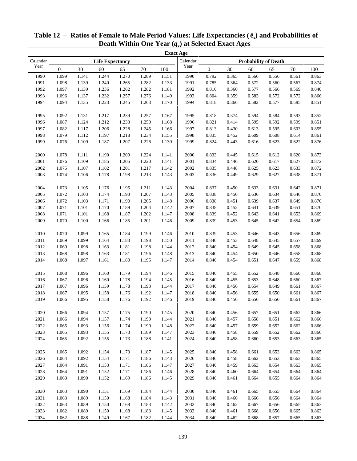|          |                  |       |                        |       |        |       | <b>Exact Age</b> |                             |        |       |       |        |       |  |
|----------|------------------|-------|------------------------|-------|--------|-------|------------------|-----------------------------|--------|-------|-------|--------|-------|--|
| Calendar |                  |       | <b>Life Expectancy</b> |       |        |       | Calendar         | <b>Probability of Death</b> |        |       |       |        |       |  |
| Year     | $\boldsymbol{0}$ | 30    | 60                     | 65    | $70\,$ | 100   | Year             | $\boldsymbol{0}$            | $30\,$ | 60    | 65    | $70\,$ | 100   |  |
| 1990     | 1.099            | 1.141 | 1.244                  | 1.270 | 1.289  | 1.151 | 1990             | 0.792                       | 0.365  | 0.566 | 0.556 | 0.561  | 0.863 |  |
| 1991     | 1.098            | 1.139 | 1.240                  | 1.265 | 1.282  | 1.133 | 1991             | 0.785                       | 0.364  | 0.572 | 0.560 | 0.567  | 0.874 |  |
| 1992     | 1.097            | 1.139 | 1.236                  | 1.262 | 1.282  | 1.181 | 1992             | 0.810                       | 0.360  | 0.577 | 0.566 | 0.569  | 0.840 |  |
| 1993     | 1.096            | 1.137 | 1.232                  | 1.257 | 1.276  | 1.149 | 1993             | 0.804                       | 0.359  | 0.583 | 0.572 | 0.572  | 0.866 |  |
| 1994     | 1.094            | 1.135 | 1.223                  | 1.245 | 1.263  | 1.170 | 1994             | 0.818                       | 0.366  | 0.582 | 0.577 | 0.585  | 0.851 |  |
|          |                  |       |                        |       |        |       |                  |                             |        |       |       |        |       |  |
| 1995     | 1.092            | 1.131 | 1.217                  | 1.239 | 1.257  | 1.167 | 1995             | 0.818                       | 0.374  | 0.594 | 0.584 | 0.593  | 0.852 |  |
| 1996     | 1.087            | 1.124 | 1.212                  | 1.233 | 1.250  | 1.168 | 1996             | 0.821                       | 0.414  | 0.595 | 0.592 | 0.599  | 0.851 |  |
| 1997     | 1.082            | 1.117 | 1.206                  | 1.228 | 1.245  | 1.166 | 1997             | 0.813                       | 0.430  | 0.613 | 0.595 | 0.603  | 0.855 |  |
| 1998     | 1.079            | 1.112 | 1.197                  | 1.218 | 1.234  | 1.155 | 1998             | 0.835                       | 0.452  | 0.609 | 0.608 | 0.614  | 0.861 |  |
| 1999     | 1.076            | 1.109 | 1.187                  | 1.207 | 1.226  | 1.139 | 1999             | 0.824                       | 0.443  | 0.616 | 0.623 | 0.622  | 0.876 |  |
|          |                  |       |                        |       |        |       |                  |                             |        |       |       |        |       |  |
| 2000     | 1.078            | 1.111 | 1.190                  | 1.209 | 1.224  | 1.141 | 2000             | 0.833                       | 0.445  | 0.615 | 0.612 | 0.620  | 0.873 |  |
| 2001     | 1.076            | 1.109 | 1.185                  | 1.205 | 1.220  | 1.141 | 2001             | 0.834                       | 0.446  | 0.620 | 0.617 | 0.627  | 0.872 |  |
| 2002     | 1.075            | 1.107 | 1.182                  | 1.201 | 1.217  | 1.142 | 2002             | 0.835                       | 0.448  | 0.625 | 0.623 | 0.633  | 0.872 |  |
| 2003     | 1.074            | 1.106 | 1.178                  | 1.198 | 1.213  | 1.143 | 2003             | 0.836                       | 0.449  | 0.629 | 0.627 | 0.638  | 0.871 |  |
|          |                  |       |                        |       |        |       |                  |                             |        |       |       |        |       |  |
| 2004     | 1.073            | 1.105 | 1.176                  | 1.195 | 1.211  | 1.143 | 2004             | 0.837                       | 0.450  | 0.633 | 0.631 | 0.642  | 0.871 |  |
| 2005     | 1.072            | 1.103 | 1.174                  | 1.193 | 1.207  | 1.143 | 2005             | 0.838                       | 0.450  | 0.636 | 0.634 | 0.646  | 0.870 |  |
| 2006     | 1.072            | 1.103 | 1.171                  | 1.190 | 1.205  | 1.148 | 2006             | 0.838                       | 0.451  | 0.639 | 0.637 | 0.649  | 0.870 |  |
| 2007     | 1.071            | 1.101 | 1.170                  | 1.189 | 1.204  | 1.142 | 2007             | 0.838                       | 0.452  | 0.641 | 0.639 | 0.651  | 0.870 |  |
| 2008     | 1.071            | 1.101 | 1.168                  | 1.187 | 1.202  | 1.147 | 2008             | 0.839                       | 0.452  | 0.643 | 0.641 | 0.653  | 0.869 |  |
| 2009     | 1.070            | 1.100 | 1.166                  | 1.185 | 1.201  | 1.146 | 2009             | 0.839                       | 0.453  | 0.645 | 0.642 | 0.654  | 0.869 |  |
|          |                  |       |                        |       |        |       |                  |                             |        |       |       |        |       |  |
| $2010\,$ | 1.070            | 1.099 | 1.165                  | 1.184 | 1.199  | 1.146 | 2010             | 0.839                       | 0.453  | 0.646 | 0.643 | 0.656  | 0.869 |  |
| 2011     | 1.069            | 1.099 | 1.164                  | 1.183 | 1.198  | 1.150 | 2011             | 0.840                       | 0.453  | 0.648 | 0.645 | 0.657  | 0.869 |  |
| 2012     | 1.069            | 1.098 | 1.163                  | 1.181 | 1.198  | 1.144 | 2012             | 0.840                       | 0.454  | 0.649 | 0.645 | 0.658  | 0.868 |  |
| 2013     | 1.068            | 1.098 | 1.163                  | 1.181 | 1.196  | 1.148 | 2013             | 0.840                       | 0.454  | 0.650 | 0.646 | 0.658  | 0.868 |  |
| 2014     | 1.068            | 1.097 | 1.161                  | 1.180 | 1.195  | 1.147 | 2014             | 0.840                       | 0.454  | 0.651 | 0.647 | 0.659  | 0.868 |  |
|          |                  |       |                        |       |        |       |                  |                             |        |       |       |        |       |  |
| 2015     | 1.068            | 1.096 | 1.160                  | 1.179 | 1.194  | 1.146 | 2015             | 0.840                       | 0.455  | 0.652 | 0.648 | 0.660  | 0.868 |  |
| 2016     | 1.067            | 1.096 | 1.160                  | 1.178 | 1.194  | 1.145 | 2016             | 0.840                       | 0.455  | 0.653 | 0.648 | 0.660  | 0.867 |  |
| 2017     | 1.067            | 1.096 | 1.159                  | 1.178 | 1.193  | 1.144 | 2017             | 0.840                       | 0.456  | 0.654 | 0.649 | 0.661  | 0.867 |  |
| 2018     | 1.067            | 1.095 | 1.158                  | 1.176 | 1.192  | 1.147 | 2018             | 0.840                       | 0.456  | 0.655 | 0.650 | 0.661  | 0.867 |  |
| 2019     | 1.066            | 1.095 | 1.158                  | 1.176 | 1.192  | 1.146 | 2019             | 0.840                       | 0.456  | 0.656 | 0.650 | 0.661  | 0.867 |  |
|          |                  |       |                        |       |        |       |                  |                             |        |       |       |        |       |  |
| 2020     | 1.066            | 1.094 | 1.157                  | 1.175 | 1.190  | 1.145 | 2020             | 0.840                       | 0.456  | 0.657 | 0.651 | 0.662  | 0.866 |  |
| 2021     | 1.066            | 1.094 | 1.157                  | 1.174 | 1.190  | 1.144 | 2021             | 0.840                       | 0.457  | 0.658 | 0.651 | 0.662  | 0.866 |  |
| 2022     | 1.065            | 1.093 | 1.156                  | 1.174 | 1.190  | 1.148 | 2022             | 0.840                       | 0.457  | 0.659 | 0.652 | 0.662  | 0.866 |  |
| 2023     | 1.065            | 1.093 | 1.155                  | 1.173 | 1.189  | 1.147 | 2023             | 0.840                       | 0.458  | 0.659 | 0.652 | 0.662  | 0.866 |  |
| 2024     | 1.065            | 1.092 | 1.155                  | 1.173 | 1.188  | 1.141 | 2024             | 0.840                       | 0.458  | 0.660 | 0.653 | 0.663  | 0.865 |  |
|          |                  |       |                        |       |        |       |                  |                             |        |       |       |        |       |  |
| 2025     | 1.065            | 1.092 | 1.154                  | 1.173 | 1.187  | 1.145 | 2025             | 0.840                       | 0.458  | 0.661 | 0.653 | 0.663  | 0.865 |  |
| 2026     | 1.064            | 1.092 | 1.154                  | 1.171 | 1.186  | 1.143 | 2026             | 0.840                       | 0.458  | 0.662 | 0.653 | 0.663  | 0.865 |  |
| 2027     | 1.064            | 1.091 | 1.153                  | 1.171 | 1.186  | 1.147 | 2027             | 0.840                       | 0.459  | 0.663 | 0.654 | 0.663  | 0.865 |  |
| 2028     | 1.064            | 1.091 | 1.152                  | 1.171 | 1.186  | 1.146 | 2028             | 0.840                       | 0.460  | 0.664 | 0.654 | 0.664  | 0.864 |  |
| 2029     | 1.063            | 1.090 | 1.152                  | 1.169 | 1.186  | 1.145 | 2029             | 0.840                       | 0.461  | 0.664 | 0.655 | 0.664  | 0.864 |  |
|          |                  |       |                        |       |        |       |                  |                             |        |       |       |        |       |  |
| 2030     | 1.063            | 1.090 | 1.151                  | 1.169 | 1.184  | 1.144 | 2030             | 0.840                       | 0.461  | 0.665 | 0.655 | 0.664  | 0.864 |  |
| 2031     | 1.063            | 1.089 | 1.150                  | 1.168 | 1.184  | 1.143 | 2031             | 0.840                       | 0.460  | 0.666 | 0.656 | 0.664  | 0.864 |  |
| 2032     | 1.063            | 1.089 | 1.150                  | 1.168 | 1.183  | 1.142 | 2032             | 0.840                       | 0.462  | 0.667 | 0.656 | 0.665  | 0.863 |  |
| 2033     | 1.062            | 1.089 | 1.150                  | 1.168 | 1.183  | 1.145 | 2033             | 0.840                       | 0.461  | 0.668 | 0.656 | 0.665  | 0.863 |  |
| 2034     | 1.062            | 1.088 | 1.149                  | 1.167 | 1.182  | 1.144 | 2034             | 0.840                       | 0.462  | 0.668 | 0.657 | 0.665  | 0.863 |  |

| Table 12 – Ratios of Female to Male Period Values: Life Expectancies $(\hat{e}_x)$ and Probabilities of |  |
|---------------------------------------------------------------------------------------------------------|--|
| Death Within One Year $(q_x)$ at Selected Exact Ages                                                    |  |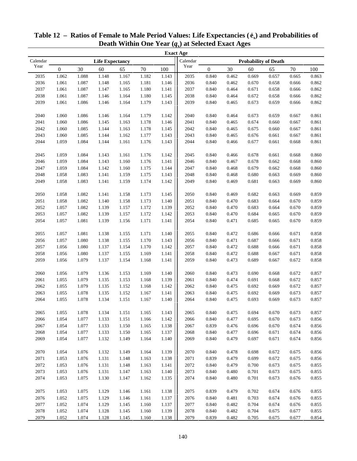|          |                  |       |                        |       |        |       | <b>Exact Age</b> |                             |       |       |       |        |       |  |
|----------|------------------|-------|------------------------|-------|--------|-------|------------------|-----------------------------|-------|-------|-------|--------|-------|--|
| Calendar |                  |       | <b>Life Expectancy</b> |       |        |       | Calendar         | <b>Probability of Death</b> |       |       |       |        |       |  |
| Year     | $\boldsymbol{0}$ | 30    | 60                     | 65    | $70\,$ | 100   | Year             | $\boldsymbol{0}$            | 30    | 60    | 65    | $70\,$ | 100   |  |
| 2035     | 1.062            | 1.088 | 1.148                  | 1.167 | 1.182  | 1.143 | 2035             | 0.840                       | 0.462 | 0.669 | 0.657 | 0.665  | 0.863 |  |
| 2036     | 1.061            | 1.087 | 1.148                  | 1.165 | 1.181  | 1.146 | 2036             | 0.840                       | 0.462 | 0.670 | 0.658 | 0.666  | 0.862 |  |
| 2037     | 1.061            | 1.087 | 1.147                  | 1.165 | 1.180  | 1.141 | 2037             | 0.840                       | 0.464 | 0.671 | 0.658 | 0.666  | 0.862 |  |
| 2038     | 1.061            | 1.087 | 1.146                  | 1.164 | 1.180  | 1.145 | 2038             | 0.840                       | 0.464 | 0.672 | 0.658 | 0.666  | 0.862 |  |
| 2039     | 1.061            | 1.086 | 1.146                  | 1.164 | 1.179  | 1.143 | 2039             | 0.840                       | 0.465 | 0.673 | 0.659 | 0.666  | 0.862 |  |
|          |                  |       |                        |       |        |       |                  |                             |       |       |       |        |       |  |
| 2040     | 1.060            | 1.086 | 1.146                  | 1.164 | 1.179  | 1.142 | 2040             | 0.840                       | 0.464 | 0.673 | 0.659 | 0.667  | 0.861 |  |
| 2041     | 1.060            | 1.086 | 1.145                  | 1.163 | 1.178  | 1.146 | 2041             | 0.840                       | 0.465 | 0.674 | 0.660 | 0.667  | 0.861 |  |
| 2042     | 1.060            | 1.085 | 1.144                  | 1.163 | 1.178  | 1.145 | 2042             | 0.840                       | 0.465 | 0.675 | 0.660 | 0.667  | 0.861 |  |
| 2043     | 1.060            | 1.085 | 1.144                  | 1.162 | 1.177  | 1.143 | 2043             | 0.840                       | 0.465 | 0.676 | 0.661 | 0.667  | 0.861 |  |
| 2044     | 1.059            | 1.084 | 1.144                  | 1.161 | 1.176  | 1.143 | 2044             | 0.840                       | 0.466 | 0.677 | 0.661 | 0.668  | 0.861 |  |
|          |                  |       |                        |       |        |       |                  |                             |       |       |       |        |       |  |
| 2045     | 1.059            | 1.084 | 1.143                  | 1.161 | 1.176  | 1.142 | 2045             | 0.840                       | 0.466 | 0.678 | 0.661 | 0.668  | 0.860 |  |
| 2046     | 1.059            | 1.084 | 1.143                  | 1.160 | 1.176  | 1.141 | 2046             | 0.840                       | 0.467 | 0.678 | 0.662 | 0.668  | 0.860 |  |
| 2047     | 1.059            | 1.084 | 1.142                  | 1.160 | 1.175  | 1.144 | 2047             | 0.840                       | 0.468 | 0.679 | 0.662 | 0.668  | 0.860 |  |
| 2048     | 1.058            | 1.083 | 1.141                  | 1.159 | 1.175  | 1.143 | 2048             | 0.840                       | 0.468 | 0.680 | 0.663 | 0.669  | 0.860 |  |
| 2049     | 1.058            | 1.083 | 1.141                  | 1.159 | 1.174  | 1.142 | 2049             | 0.840                       | 0.469 | 0.681 | 0.663 | 0.669  | 0.860 |  |
| 2050     | 1.058            | 1.082 | 1.141                  | 1.158 | 1.173  | 1.145 | 2050             | 0.840                       | 0.469 | 0.682 | 0.663 | 0.669  | 0.859 |  |
| 2051     | 1.058            | 1.082 | 1.140                  | 1.158 | 1.173  | 1.140 | 2051             | 0.840                       | 0.470 | 0.683 | 0.664 | 0.670  | 0.859 |  |
| 2052     | 1.057            | 1.082 | 1.139                  | 1.157 | 1.172  | 1.139 | 2052             | 0.840                       | 0.470 | 0.683 | 0.664 | 0.670  | 0.859 |  |
| 2053     | 1.057            | 1.082 | 1.139                  | 1.157 | 1.172  | 1.142 | 2053             | 0.840                       | 0.470 | 0.684 | 0.665 | 0.670  | 0.859 |  |
| 2054     | 1.057            | 1.081 | 1.139                  | 1.156 | 1.171  | 1.141 | 2054             | 0.840                       | 0.471 | 0.685 | 0.665 | 0.670  | 0.859 |  |
|          |                  |       |                        |       |        |       |                  |                             |       |       |       |        |       |  |
| 2055     | 1.057            | 1.081 | 1.138                  | 1.155 | 1.171  | 1.140 | 2055             | 0.840                       | 0.472 | 0.686 | 0.666 | 0.671  | 0.858 |  |
| 2056     | 1.057            | 1.080 | 1.138                  | 1.155 | 1.170  | 1.143 | 2056             | 0.840                       | 0.471 | 0.687 | 0.666 | 0.671  | 0.858 |  |
| 2057     | 1.056            | 1.080 | 1.137                  | 1.154 | 1.170  | 1.142 | 2057             | 0.840                       | 0.472 | 0.688 | 0.666 | 0.671  | 0.858 |  |
| 2058     | 1.056            | 1.080 | 1.137                  | 1.155 | 1.169  | 1.141 | 2058             | 0.840                       | 0.472 | 0.688 | 0.667 | 0.671  | 0.858 |  |
| 2059     | 1.056            | 1.079 | 1.137                  | 1.154 | 1.168  | 1.141 | 2059             | 0.840                       | 0.473 | 0.689 | 0.667 | 0.672  | 0.858 |  |
|          |                  |       |                        |       |        |       |                  |                             |       |       |       |        |       |  |
| 2060     | 1.056            | 1.079 | 1.136                  | 1.153 | 1.169  | 1.140 | 2060             | 0.840                       | 0.473 | 0.690 | 0.668 | 0.672  | 0.857 |  |
| 2061     | 1.055            | 1.079 | 1.135                  | 1.153 | 1.168  | 1.139 | 2061             | 0.840                       | 0.474 | 0.691 | 0.668 | 0.672  | 0.857 |  |
| 2062     | 1.055            | 1.079 | 1.135                  | 1.152 | 1.168  | 1.142 | 2062             | 0.840                       | 0.475 | 0.692 | 0.669 | 0.672  | 0.857 |  |
| 2063     | 1.055            | 1.078 | 1.135                  | 1.152 | 1.167  | 1.141 | 2063             | 0.840                       | 0.475 | 0.692 | 0.669 | 0.673  | 0.857 |  |
| 2064     | 1.055            | 1.078 | 1.134                  | 1.151 | 1.167  | 1.140 | 2064             | 0.840                       | 0.475 | 0.693 | 0.669 | 0.673  | 0.857 |  |
| 2065     | 1.055            | 1.078 | 1.134                  | 1.151 | 1.165  | 1.143 | 2065             | 0.840                       | 0.475 | 0.694 | 0.670 | 0.673  | 0.857 |  |
| 2066     | 1.054            | 1.077 | 1.133                  | 1.151 | 1.166  | 1.142 | 2066             | 0.840                       | 0.477 | 0.695 | 0.670 | 0.673  | 0.856 |  |
| 2067     | 1.054            | 1.077 | 1.133                  | 1.150 | 1.165  | 1.138 | 2067             | 0.839                       | 0.476 | 0.696 | 0.670 | 0.674  | 0.856 |  |
| 2068     | 1.054            | 1.077 | 1.133                  | 1.150 | 1.165  | 1.137 | 2068             | 0.840                       | 0.477 | 0.696 | 0.671 | 0.674  | 0.856 |  |
| 2069     | 1.054            | 1.077 | 1.132                  | 1.149 | 1.164  | 1.140 | 2069             | 0.840                       | 0.479 | 0.697 | 0.671 | 0.674  | 0.856 |  |
|          |                  |       |                        |       |        |       |                  |                             |       |       |       |        |       |  |
| 2070     | 1.054            | 1.076 | 1.132                  | 1.149 | 1.164  | 1.139 | 2070             | 0.840                       | 0.478 | 0.698 | 0.672 | 0.675  | 0.856 |  |
| 2071     | 1.053            | 1.076 | 1.131                  | 1.148 | 1.163  | 1.138 | 2071             | 0.839                       | 0.479 | 0.699 | 0.672 | 0.675  | 0.856 |  |
| 2072     | 1.053            | 1.076 | 1.131                  | 1.148 | 1.163  | 1.141 | 2072             | 0.840                       | 0.479 | 0.700 | 0.673 | 0.675  | 0.855 |  |
| 2073     | 1.053            | 1.076 | 1.131                  | 1.147 | 1.163  | 1.140 | 2073             | 0.840                       | 0.480 | 0.701 | 0.673 | 0.675  | 0.855 |  |
| 2074     | 1.053            | 1.075 | 1.130                  | 1.147 | 1.162  | 1.135 | 2074             | 0.840                       | 0.480 | 0.701 | 0.673 | 0.676  | 0.855 |  |
|          |                  |       |                        |       |        |       |                  |                             |       |       |       |        |       |  |
| 2075     | 1.053            | 1.075 | 1.129                  | 1.146 | 1.161  | 1.138 | 2075             | 0.839                       | 0.479 | 0.702 | 0.674 | 0.676  | 0.855 |  |
| 2076     | 1.052            | 1.075 | 1.129                  | 1.146 | 1.161  | 1.137 | 2076             | 0.840                       | 0.481 | 0.703 | 0.674 | 0.676  | 0.855 |  |
| 2077     | 1.052            | 1.074 | 1.129                  | 1.145 | 1.160  | 1.137 | 2077             | 0.840                       | 0.482 | 0.704 | 0.674 | 0.676  | 0.855 |  |
| 2078     | 1.052            | 1.074 | 1.128                  | 1.145 | 1.160  | 1.139 | 2078             | 0.840                       | 0.482 | 0.704 | 0.675 | 0.677  | 0.855 |  |
| 2079     | 1.052            | 1.074 | 1.128                  | 1.145 | 1.160  | 1.138 | 2079             | 0.839                       | 0.482 | 0.705 | 0.675 | 0.677  | 0.854 |  |

| Table 12 – Ratios of Female to Male Period Values: Life Expectancies $(\hat{e}_x)$ and Probabilities of |  |
|---------------------------------------------------------------------------------------------------------|--|
| Death Within One Year $(q_x)$ at Selected Exact Ages                                                    |  |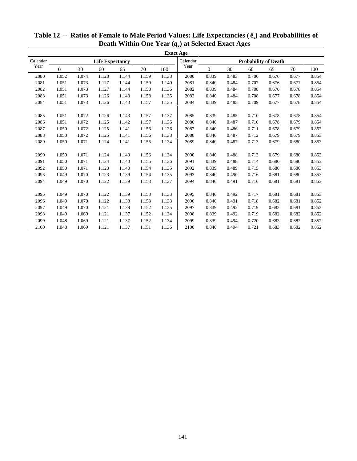|          |          |       |                        |       |       |       | <b>Exact Age</b> |                             |       |       |       |       |       |
|----------|----------|-------|------------------------|-------|-------|-------|------------------|-----------------------------|-------|-------|-------|-------|-------|
| Calendar |          |       | <b>Life Expectancy</b> |       |       |       | Calendar         | <b>Probability of Death</b> |       |       |       |       |       |
| Year     | $\Omega$ | 30    | 60                     | 65    | 70    | 100   | Year             | $\Omega$                    | 30    | 60    | 65    | 70    | 100   |
| 2080     | 1.052    | 1.074 | 1.128                  | 1.144 | 1.159 | 1.138 | 2080             | 0.839                       | 0.483 | 0.706 | 0.676 | 0.677 | 0.854 |
| 2081     | 1.051    | 1.073 | 1.127                  | 1.144 | 1.159 | 1.140 | 2081             | 0.840                       | 0.484 | 0.707 | 0.676 | 0.677 | 0.854 |
| 2082     | 1.051    | 1.073 | 1.127                  | 1.144 | 1.158 | 1.136 | 2082             | 0.839                       | 0.484 | 0.708 | 0.676 | 0.678 | 0.854 |
| 2083     | 1.051    | 1.073 | 1.126                  | 1.143 | 1.158 | 1.135 | 2083             | 0.840                       | 0.484 | 0.708 | 0.677 | 0.678 | 0.854 |
| 2084     | 1.051    | 1.073 | 1.126                  | 1.143 | 1.157 | 1.135 | 2084             | 0.839                       | 0.485 | 0.709 | 0.677 | 0.678 | 0.854 |
|          |          |       |                        |       |       |       |                  |                             |       |       |       |       |       |
| 2085     | 1.051    | 1.072 | 1.126                  | 1.143 | 1.157 | 1.137 | 2085             | 0.839                       | 0.485 | 0.710 | 0.678 | 0.678 | 0.854 |
| 2086     | 1.051    | 1.072 | 1.125                  | 1.142 | 1.157 | 1.136 | 2086             | 0.840                       | 0.487 | 0.710 | 0.678 | 0.679 | 0.854 |
| 2087     | 1.050    | 1.072 | 1.125                  | 1.141 | 1.156 | 1.136 | 2087             | 0.840                       | 0.486 | 0.711 | 0.678 | 0.679 | 0.853 |
| 2088     | 1.050    | 1.072 | 1.125                  | 1.141 | 1.156 | 1.138 | 2088             | 0.840                       | 0.487 | 0.712 | 0.679 | 0.679 | 0.853 |
| 2089     | 1.050    | 1.071 | 1.124                  | 1.141 | 1.155 | 1.134 | 2089             | 0.840                       | 0.487 | 0.713 | 0.679 | 0.680 | 0.853 |
|          |          |       |                        |       |       |       |                  |                             |       |       |       |       |       |
| 2090     | 1.050    | 1.071 | 1.124                  | 1.140 | 1.156 | 1.134 | 2090             | 0.840                       | 0.488 | 0.713 | 0.679 | 0.680 | 0.853 |
| 2091     | 1.050    | 1.071 | 1.124                  | 1.140 | 1.155 | 1.136 | 2091             | 0.839                       | 0.488 | 0.714 | 0.680 | 0.680 | 0.853 |
| 2092     | 1.050    | 1.071 | 1.123                  | 1.140 | 1.154 | 1.135 | 2092             | 0.839                       | 0.489 | 0.715 | 0.680 | 0.680 | 0.853 |
| 2093     | 1.049    | 1.070 | 1.123                  | 1.139 | 1.154 | 1.135 | 2093             | 0.840                       | 0.490 | 0.716 | 0.681 | 0.680 | 0.853 |
| 2094     | 1.049    | 1.070 | 1.122                  | 1.139 | 1.153 | 1.137 | 2094             | 0.840                       | 0.491 | 0.716 | 0.681 | 0.681 | 0.853 |
|          |          |       |                        |       |       |       |                  |                             |       |       |       |       |       |
| 2095     | 1.049    | 1.070 | 1.122                  | 1.139 | 1.153 | 1.133 | 2095             | 0.840                       | 0.492 | 0.717 | 0.681 | 0.681 | 0.853 |
| 2096     | 1.049    | 1.070 | 1.122                  | 1.138 | 1.153 | 1.133 | 2096             | 0.840                       | 0.491 | 0.718 | 0.682 | 0.681 | 0.852 |
| 2097     | 1.049    | 1.070 | 1.121                  | 1.138 | 1.152 | 1.135 | 2097             | 0.839                       | 0.492 | 0.719 | 0.682 | 0.681 | 0.852 |
| 2098     | 1.049    | 1.069 | 1.121                  | 1.137 | 1.152 | 1.134 | 2098             | 0.839                       | 0.492 | 0.719 | 0.682 | 0.682 | 0.852 |
| 2099     | 1.048    | 1.069 | 1.121                  | 1.137 | 1.152 | 1.134 | 2099             | 0.839                       | 0.494 | 0.720 | 0.683 | 0.682 | 0.852 |
| 2100     | 1.048    | 1.069 | 1.121                  | 1.137 | 1.151 | 1.136 | 2100             | 0.840                       | 0.494 | 0.721 | 0.683 | 0.682 | 0.852 |

# **Table 12 – Ratios of Female to Male Period Values: Life Expectancies ( ex) and Probabilities of Death Within One Year (***q***x) at Selected Exact Ages**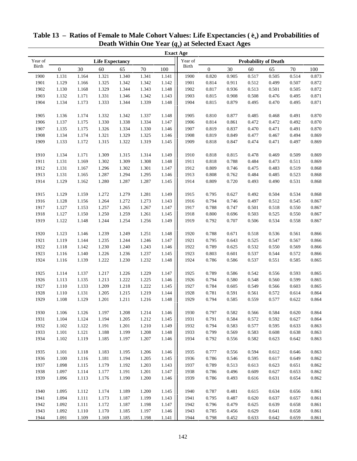|              |              |       |                        |       |        |       | <b>Exact Age</b> |                  |       |       |                             |        |       |
|--------------|--------------|-------|------------------------|-------|--------|-------|------------------|------------------|-------|-------|-----------------------------|--------|-------|
| Year of      |              |       | <b>Life Expectancy</b> |       |        |       | Year of          |                  |       |       | <b>Probability of Death</b> |        |       |
| <b>Birth</b> | $\mathbf{0}$ | 30    | 60                     | 65    | $70\,$ | 100   | Birth            | $\boldsymbol{0}$ | 30    | 60    | 65                          | $70\,$ | 100   |
| 1900         | 1.131        | 1.164 | 1.321                  | 1.340 | 1.341  | 1.141 | 1900             | 0.820            | 0.905 | 0.517 | 0.505                       | 0.514  | 0.873 |
| 1901         | 1.129        | 1.166 | 1.325                  | 1.342 | 1.342  | 1.142 | 1901             | 0.814            | 0.911 | 0.512 | 0.499                       | 0.507  | 0.872 |
| 1902         | 1.130        | 1.168 | 1.329                  | 1.344 | 1.343  | 1.148 | 1902             | 0.817            | 0.936 | 0.513 | 0.501                       | 0.505  | 0.872 |
| 1903         | 1.132        | 1.171 | 1.331                  | 1.346 | 1.342  | 1.143 | 1903             | 0.815            | 0.908 | 0.508 | 0.476                       | 0.495  | 0.871 |
| 1904         | 1.134        | 1.173 | 1.333                  | 1.344 | 1.339  | 1.148 | 1904             | 0.815            | 0.879 | 0.495 | 0.470                       | 0.495  | 0.871 |
|              |              |       |                        |       |        |       |                  |                  |       |       |                             |        |       |
| 1905         | 1.136        | 1.174 | 1.332                  | 1.342 | 1.337  | 1.148 | 1905             | 0.810            | 0.877 | 0.485 | 0.468                       | 0.491  | 0.870 |
| 1906         | 1.137        | 1.175 | 1.330                  | 1.338 | 1.334  | 1.147 | 1906             | 0.814            | 0.861 | 0.472 | 0.472                       | 0.492  | 0.870 |
| 1907         | 1.135        | 1.175 | 1.326                  | 1.334 | 1.330  | 1.146 | 1907             | 0.819            | 0.837 | 0.470 | 0.471                       | 0.491  | 0.870 |
| 1908         | 1.134        | 1.174 | 1.321                  | 1.329 | 1.325  | 1.146 | 1908             | 0.819            | 0.849 | 0.477 | 0.467                       | 0.494  | 0.869 |
| 1909         | 1.133        | 1.172 | 1.315                  | 1.322 | 1.319  | 1.145 | 1909             | 0.818            | 0.847 | 0.474 | 0.471                       | 0.497  | 0.869 |
|              |              |       |                        |       |        |       |                  |                  |       |       |                             |        |       |
| 1910         | 1.134        | 1.171 | 1.309                  | 1.315 | 1.314  | 1.149 | 1910             | 0.818            | 0.815 | 0.478 | 0.469                       | 0.509  | 0.869 |
| 1911         | 1.131        | 1.169 | 1.302                  | 1.309 | 1.308  | 1.148 | 1911             | 0.818            | 0.788 | 0.484 | 0.473                       | 0.511  | 0.869 |
| 1912         | 1.131        | 1.167 | 1.296                  | 1.302 | 1.301  | 1.147 | 1912             | 0.809            | 0.746 | 0.475 | 0.483                       | 0.519  | 0.868 |
| 1913         | 1.131        | 1.165 | 1.287                  | 1.294 | 1.295  | 1.146 | 1913             | 0.808            | 0.762 | 0.484 | 0.485                       | 0.523  | 0.868 |
| 1914         | 1.129        | 1.162 | 1.280                  | 1.287 | 1.287  | 1.145 | 1914             | 0.809            | 0.720 | 0.493 | 0.490                       | 0.531  | 0.868 |
|              |              |       |                        |       |        |       |                  |                  |       |       |                             |        |       |
| 1915         | 1.129        | 1.159 | 1.272                  | 1.279 | 1.281  | 1.149 | 1915             | 0.795            | 0.627 | 0.492 | 0.504                       | 0.534  | 0.868 |
| 1916         | 1.128        | 1.156 | 1.264                  | 1.272 | 1.273  | 1.143 | 1916             | 0.794            | 0.746 | 0.497 | 0.512                       | 0.545  | 0.867 |
| 1917         | 1.127        | 1.153 | 1.257                  | 1.265 | 1.267  | 1.147 | 1917             | 0.788            | 0.747 | 0.501 | 0.518                       | 0.550  | 0.867 |
| 1918         | 1.127        | 1.150 | 1.250                  | 1.259 | 1.261  | 1.145 | 1918             | 0.800            | 0.696 | 0.503 | 0.525                       | 0.550  | 0.867 |
| 1919         | 1.122        | 1.148 | 1.244                  | 1.254 | 1.256  | 1.149 | 1919             | 0.792            | 0.707 | 0.506 | 0.534                       | 0.558  | 0.867 |
|              |              |       |                        |       |        |       |                  |                  |       |       |                             |        |       |
| 1920         | 1.123        | 1.146 | 1.239                  | 1.249 | 1.251  | 1.148 | 1920             | 0.788            | 0.671 | 0.518 | 0.536                       | 0.561  | 0.866 |
| 1921         | 1.119        | 1.144 | 1.235                  | 1.244 | 1.246  | 1.147 | 1921             | 0.795            | 0.643 | 0.525 | 0.547                       | 0.567  | 0.866 |
| 1922         | 1.118        | 1.142 | 1.230                  | 1.240 | 1.243  | 1.146 | 1922             | 0.789            | 0.625 | 0.532 | 0.550                       | 0.569  | 0.866 |
| 1923         | 1.116        | 1.140 | 1.226                  | 1.236 | 1.237  | 1.145 | 1923             | 0.803            | 0.601 | 0.537 | 0.544                       | 0.572  | 0.866 |
| 1924         | 1.116        | 1.139 | 1.222                  | 1.230 | 1.232  | 1.148 | 1924             | 0.786            | 0.586 | 0.537 | 0.551                       | 0.585  | 0.865 |
| 1925         | 1.114        | 1.137 | 1.217                  | 1.226 | 1.229  | 1.147 | 1925             | 0.789            | 0.586 | 0.542 | 0.556                       | 0.593  | 0.865 |
| 1926         | 1.113        | 1.135 | 1.213                  | 1.222 | 1.225  | 1.146 | 1926             | 0.794            | 0.580 | 0.548 | 0.560                       | 0.599  | 0.865 |
| 1927         | 1.110        | 1.133 | 1.209                  | 1.218 | 1.222  | 1.145 | 1927             | 0.784            | 0.605 | 0.549 | 0.566                       | 0.603  | 0.865 |
| 1928         | 1.110        | 1.131 | 1.205                  | 1.215 | 1.219  | 1.144 | 1928             | 0.781            | 0.591 | 0.561 | 0.572                       | 0.614  | 0.864 |
| 1929         | 1.108        | 1.129 | 1.201                  | 1.211 | 1.216  | 1.148 | 1929             | 0.794            | 0.585 | 0.559 | 0.577                       | 0.622  | 0.864 |
|              |              |       |                        |       |        |       |                  |                  |       |       |                             |        |       |
| 1930         | 1.106        | 1.126 | 1.197                  | 1.208 | 1.214  | 1.146 | 1930             | 0.797            | 0.582 | 0.566 | 0.584                       | 0.620  | 0.864 |
| 1931         | 1.104        | 1.124 | 1.194                  | 1.205 | 1.212  | 1.145 | 1931             | 0.791            | 0.584 | 0.572 | 0.592                       | 0.627  | 0.864 |
| 1932         | 1.102        | 1.122 | 1.191                  | 1.201 | 1.210  | 1.149 | 1932             | 0.794            | 0.583 | 0.577 | 0.595                       | 0.633  | 0.863 |
| 1933         | 1.101        | 1.121 | 1.188                  | 1.199 | 1.208  | 1.148 | 1933             | 0.799            | 0.569 | 0.583 | 0.608                       | 0.638  | 0.863 |
| 1934         | 1.102        | 1.119 | 1.185                  | 1.197 | 1.207  | 1.146 | 1934             | 0.792            | 0.556 | 0.582 | 0.623                       | 0.642  | 0.863 |
|              |              |       |                        |       |        |       |                  |                  |       |       |                             |        |       |
| 1935         | 1.101        | 1.118 | 1.183                  | 1.195 | 1.206  | 1.146 | 1935             | 0.777            | 0.556 | 0.594 | 0.612                       | 0.646  | 0.863 |
| 1936         | 1.100        | 1.116 | 1.181                  | 1.194 | 1.205  | 1.145 | 1936             | 0.786            | 0.546 | 0.595 | 0.617                       | 0.649  | 0.862 |
| 1937         | 1.098        | 1.115 | 1.179                  | 1.192 | 1.203  | 1.143 | 1937             | 0.789            | 0.513 | 0.613 | 0.623                       | 0.651  | 0.862 |
| 1938         | 1.097        | 1.114 | 1.177                  | 1.191 | 1.201  | 1.147 | 1938             | 0.786            | 0.496 | 0.609 | 0.627                       | 0.653  | 0.862 |
| 1939         | 1.096        | 1.113 | 1.176                  | 1.190 | 1.200  | 1.146 | 1939             | 0.786            | 0.493 | 0.616 | 0.631                       | 0.654  | 0.862 |
|              |              |       |                        |       |        |       |                  |                  |       |       |                             |        |       |
| 1940         | 1.095        | 1.112 | 1.174                  | 1.189 | 1.200  | 1.145 | 1940             | 0.787            | 0.481 | 0.615 | 0.634                       | 0.656  | 0.861 |
| 1941         | 1.094        | 1.111 | 1.173                  | 1.187 | 1.199  | 1.143 | 1941             | 0.795            | 0.487 | 0.620 | 0.637                       | 0.657  | 0.861 |
| 1942         | 1.092        | 1.111 | 1.172                  | 1.187 | 1.198  | 1.147 | 1942             | 0.796            | 0.479 | 0.625 | 0.639                       | 0.658  | 0.861 |
| 1943         | 1.092        | 1.110 | 1.170                  | 1.185 | 1.197  | 1.146 | 1943             | 0.785            | 0.456 | 0.629 | 0.641                       | 0.658  | 0.861 |
| 1944         | 1.091        | 1.109 | 1.169                  | 1.185 | 1.198  | 1.141 | 1944             | 0.798            | 0.452 | 0.633 | 0.642                       | 0.659  | 0.861 |

### **Table 13 – Ratios of Female to Male Cohort Values: Life Expectancies ( e x) and Probabilities of Death Within One Year (***q***x) at Selected Exact Ages**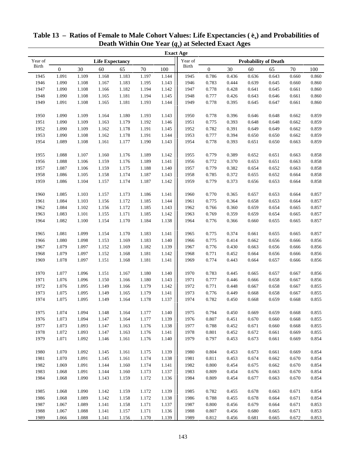|              |                  |       |                        |       |        |       | <b>Exact Age</b> |                  |        |       |                             |       |       |  |
|--------------|------------------|-------|------------------------|-------|--------|-------|------------------|------------------|--------|-------|-----------------------------|-------|-------|--|
| Year of      |                  |       | <b>Life Expectancy</b> |       |        |       | Year of          |                  |        |       | <b>Probability of Death</b> |       |       |  |
| <b>Birth</b> | $\boldsymbol{0}$ | 30    | 60                     | 65    | $70\,$ | 100   | Birth            | $\boldsymbol{0}$ | $30\,$ | 60    | 65                          | 70    | 100   |  |
| 1945         | 1.091            | 1.109 | 1.168                  | 1.183 | 1.197  | 1.144 | 1945             | 0.786            | 0.436  | 0.636 | 0.643                       | 0.660 | 0.860 |  |
| 1946         | 1.090            | 1.108 | 1.167                  | 1.183 | 1.195  | 1.143 | 1946             | 0.783            | 0.444  | 0.639 | 0.645                       | 0.660 | 0.860 |  |
| 1947         | 1.090            | 1.108 | 1.166                  | 1.182 | 1.194  | 1.142 | 1947             | 0.778            | 0.428  | 0.641 | 0.645                       | 0.661 | 0.860 |  |
| 1948         | 1.090            | 1.108 | 1.165                  | 1.181 | 1.194  | 1.145 | 1948             | 0.777            | 0.426  | 0.643 | 0.646                       | 0.661 | 0.860 |  |
| 1949         | 1.091            | 1.108 | 1.165                  | 1.181 | 1.193  | 1.144 | 1949             | 0.778            | 0.395  | 0.645 | 0.647                       | 0.661 | 0.860 |  |
|              |                  |       |                        |       |        |       |                  |                  |        |       |                             |       |       |  |
| 1950         | 1.090            | 1.109 | 1.164                  | 1.180 | 1.193  | 1.143 | 1950             | 0.778            | 0.396  | 0.646 | 0.648                       | 0.662 | 0.859 |  |
| 1951         | 1.090            | 1.109 | 1.163                  | 1.179 | 1.192  | 1.146 | 1951             | 0.775            | 0.393  | 0.648 | 0.648                       | 0.662 | 0.859 |  |
| 1952         | 1.090            | 1.109 | 1.162                  | 1.178 | 1.191  | 1.145 | 1952             | 0.782            | 0.391  | 0.649 | 0.649                       | 0.662 | 0.859 |  |
| 1953         | 1.090            | 1.108 | 1.162                  | 1.178 | 1.191  | 1.144 | 1953             | 0.777            | 0.394  | 0.650 | 0.650                       | 0.662 | 0.859 |  |
| 1954         | 1.089            | 1.108 | 1.161                  | 1.177 | 1.190  | 1.143 | 1954             | 0.778            | 0.393  | 0.651 | 0.650                       | 0.663 | 0.859 |  |
|              |                  |       |                        |       |        |       |                  |                  |        |       |                             |       |       |  |
| 1955         | 1.088            | 1.107 | 1.160                  | 1.176 | 1.189  | 1.142 | 1955             | 0.779            | 0.389  | 0.652 | 0.651                       | 0.663 | 0.858 |  |
| 1956         | 1.088            | 1.106 | 1.159                  | 1.176 | 1.189  | 1.141 | 1956             | 0.772            | 0.370  | 0.653 | 0.651                       | 0.663 | 0.858 |  |
| 1957         | 1.087            | 1.106 | 1.159                  | 1.175 | 1.188  | 1.140 | 1957             | 0.779            | 0.382  | 0.654 | 0.652                       | 0.663 | 0.858 |  |
| 1958         | 1.086            | 1.105 | 1.158                  | 1.174 | 1.187  | 1.143 | 1958             | 0.785            | 0.372  | 0.655 | 0.652                       | 0.664 | 0.858 |  |
| 1959         | 1.086            | 1.104 | 1.157                  | 1.174 | 1.187  | 1.142 | 1959             | 0.779            | 0.373  | 0.656 | 0.653                       | 0.664 | 0.858 |  |
|              |                  |       |                        |       |        |       |                  |                  |        |       |                             |       |       |  |
| 1960         | 1.085            | 1.103 | 1.157                  | 1.173 | 1.186  | 1.141 | 1960             | 0.770            | 0.365  | 0.657 | 0.653                       | 0.664 | 0.857 |  |
| 1961         | 1.084            | 1.103 | 1.156                  | 1.172 | 1.185  | 1.144 | 1961             | 0.775            | 0.364  | 0.658 | 0.653                       | 0.664 | 0.857 |  |
| 1962         | 1.084            | 1.102 | 1.156                  | 1.172 | 1.185  | 1.143 | 1962             | 0.766            | 0.360  | 0.659 | 0.654                       | 0.665 | 0.857 |  |
| 1963         | 1.083            | 1.101 | 1.155                  | 1.171 | 1.185  | 1.142 | 1963             | 0.769            | 0.359  | 0.659 | 0.654                       | 0.665 | 0.857 |  |
| 1964         | 1.082            | 1.100 | 1.154                  | 1.170 | 1.184  | 1.138 | 1964             | 0.776            | 0.366  | 0.660 | 0.655                       | 0.665 | 0.857 |  |
|              |                  |       |                        |       |        |       |                  |                  |        |       |                             |       |       |  |
| 1965         | 1.081            | 1.099 | 1.154                  | 1.170 | 1.183  | 1.141 | 1965             | 0.775            | 0.374  | 0.661 | 0.655                       | 0.665 | 0.857 |  |
| 1966         | 1.080            | 1.098 | 1.153                  | 1.169 | 1.183  | 1.140 | 1966             | 0.775            | 0.414  | 0.662 | 0.656                       | 0.666 | 0.856 |  |
| 1967         | 1.079            | 1.097 | 1.152                  | 1.169 | 1.182  | 1.139 | 1967             | 0.776            | 0.430  | 0.663 | 0.656                       | 0.666 | 0.856 |  |
| 1968         | 1.079            | 1.097 | 1.152                  | 1.168 | 1.181  | 1.142 | 1968             | 0.771            | 0.452  | 0.664 | 0.656                       | 0.666 | 0.856 |  |
| 1969         | 1.078            | 1.097 | 1.151                  | 1.168 | 1.181  | 1.141 | 1969             | 0.774            | 0.443  | 0.664 | 0.657                       | 0.666 | 0.856 |  |
| 1970         | 1.077            | 1.096 | 1.151                  | 1.167 | 1.180  | 1.140 | 1970             | 0.783            | 0.445  | 0.665 | 0.657                       | 0.667 | 0.856 |  |
| 1971         | 1.076            | 1.096 | 1.150                  | 1.166 | 1.180  | 1.143 | 1971             | 0.777            | 0.446  | 0.666 | 0.658                       | 0.667 | 0.856 |  |
| 1972         | 1.076            | 1.095 | 1.149                  | 1.166 | 1.179  | 1.142 | 1972             | 0.771            | 0.448  | 0.667 | 0.658                       | 0.667 | 0.855 |  |
| 1973         | 1.075            | 1.095 | 1.149                  | 1.165 | 1.179  | 1.141 | 1973             | 0.776            | 0.449  | 0.668 | 0.658                       | 0.667 | 0.855 |  |
| 1974         | 1.075            | 1.095 | 1.149                  | 1.164 | 1.178  | 1.137 | 1974             | 0.782            | 0.450  | 0.668 | 0.659                       | 0.668 | 0.855 |  |
|              |                  |       |                        |       |        |       |                  |                  |        |       |                             |       |       |  |
| 1975         | 1.074            | 1.094 | 1.148                  | 1.164 | 1.177  | 1.140 | 1975             | 0.794            | 0.450  | 0.669 | 0.659                       | 0.668 | 0.855 |  |
| 1976         | 1.073            | 1.094 | 1.147                  | 1.164 | 1.177  | 1.139 | 1976             | 0.807            | 0.451  | 0.670 | 0.660                       | 0.668 | 0.855 |  |
| 1977         | 1.073            | 1.093 | 1.147                  | 1.163 | 1.176  | 1.138 | 1977             | 0.788            | 0.452  | 0.671 | 0.660                       | 0.668 | 0.855 |  |
| 1978         | 1.072            | 1.093 | 1.147                  | 1.163 | 1.176  | 1.141 | 1978             | 0.801            | 0.452  | 0.672 | 0.661                       | 0.669 | 0.855 |  |
| 1979         | 1.071            | 1.092 | 1.146                  | 1.161 | 1.176  | 1.140 | 1979             | 0.797            | 0.453  | 0.673 | 0.661                       | 0.669 | 0.854 |  |
|              |                  |       |                        |       |        |       |                  |                  |        |       |                             |       |       |  |
| 1980         | 1.070            | 1.092 | 1.145                  | 1.161 | 1.175  | 1.139 | 1980             | 0.804            | 0.453  | 0.673 | 0.661                       | 0.669 | 0.854 |  |
| 1981         | 1.070            | 1.091 | 1.145                  | 1.161 | 1.174  | 1.138 | 1981             | 0.811            | 0.453  | 0.674 | 0.662                       | 0.670 | 0.854 |  |
| 1982         | 1.069            | 1.091 | 1.144                  | 1.160 | 1.174  | 1.141 | 1982             | 0.800            | 0.454  | 0.675 | 0.662                       | 0.670 | 0.854 |  |
| 1983         | 1.068            | 1.091 | 1.144                  | 1.160 | 1.173  | 1.137 | 1983             | 0.809            | 0.454  | 0.676 | 0.663                       | 0.670 | 0.854 |  |
| 1984         | 1.068            | 1.090 | 1.143                  | 1.159 | 1.172  | 1.136 | 1984             | 0.809            | 0.454  | 0.677 | 0.663                       | 0.670 | 0.854 |  |
|              |                  |       |                        |       |        |       |                  |                  |        |       |                             |       |       |  |
| 1985         | 1.068            | 1.090 | 1.142                  | 1.159 | 1.172  | 1.139 | 1985             | 0.782            | 0.455  | 0.678 | 0.663                       | 0.671 | 0.854 |  |
| 1986         | 1.068            | 1.089 | 1.142                  | 1.158 | 1.172  | 1.138 | 1986             | 0.788            | 0.455  | 0.678 | 0.664                       | 0.671 | 0.854 |  |
| 1987         | 1.067            | 1.089 | 1.141                  | 1.158 | 1.171  | 1.137 | 1987             | 0.800            | 0.456  | 0.679 | 0.664                       | 0.671 | 0.853 |  |
| 1988         | 1.067            | 1.088 | 1.141                  | 1.157 | 1.171  | 1.136 | 1988             | 0.807            | 0.456  | 0.680 | 0.665                       | 0.671 | 0.853 |  |
| 1989         | 1.066            | 1.088 | 1.141                  | 1.156 | 1.170  | 1.139 | 1989             | 0.812            | 0.456  | 0.681 | 0.665                       | 0.672 | 0.853 |  |

### **Table 13 – Ratios of Female to Male Cohort Values: Life Expectancies ( e x) and Probabilities of Death Within One Year (***q***x) at Selected Exact Ages**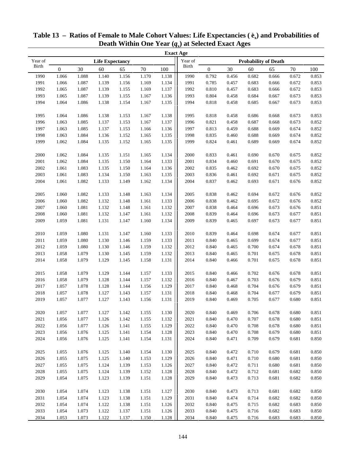|              |              |           |                        |       |        |       | <b>Exact Age</b> |                  |        |       |                             |        |       |
|--------------|--------------|-----------|------------------------|-------|--------|-------|------------------|------------------|--------|-------|-----------------------------|--------|-------|
| Year of      |              |           | <b>Life Expectancy</b> |       |        |       | Year of          |                  |        |       | <b>Probability of Death</b> |        |       |
| <b>Birth</b> | $\mathbf{0}$ | 30        | 60                     | 65    | $70\,$ | 100   | Birth            | $\boldsymbol{0}$ | $30\,$ | 60    | 65                          | $70\,$ | 100   |
| 1990         | 1.066        | 1.088     | 1.140                  | 1.156 | 1.170  | 1.138 | 1990             | 0.792            | 0.456  | 0.682 | 0.666                       | 0.672  | 0.853 |
| 1991         | 1.066        | 1.087     | 1.139                  | 1.156 | 1.169  | 1.134 | 1991             | 0.785            | 0.457  | 0.683 | 0.666                       | 0.672  | 0.853 |
| 1992         | 1.065        | 1.087     | 1.139                  | 1.155 | 1.169  | 1.137 | 1992             | 0.810            | 0.457  | 0.683 | 0.666                       | 0.672  | 0.853 |
| 1993         | 1.065        | 1.087     | 1.139                  | 1.155 | 1.167  | 1.136 | 1993             | 0.804            | 0.458  | 0.684 | 0.667                       | 0.673  | 0.853 |
| 1994         | 1.064        | 1.086     | 1.138                  | 1.154 | 1.167  | 1.135 | 1994             | 0.818            | 0.458  | 0.685 | 0.667                       | 0.673  | 0.853 |
|              |              |           |                        |       |        |       |                  |                  |        |       |                             |        |       |
| 1995         | 1.064        | 1.086     | 1.138                  | 1.153 | 1.167  | 1.138 | 1995             | 0.818            | 0.458  | 0.686 | 0.668                       | 0.673  | 0.853 |
| 1996         | 1.063        | 1.085     | 1.137                  | 1.153 | 1.167  | 1.137 | 1996             | 0.821            | 0.458  | 0.687 | 0.668                       | 0.673  | 0.852 |
| 1997         | 1.063        | 1.085     | 1.137                  | 1.153 | 1.166  | 1.136 | 1997             | 0.813            | 0.459  | 0.688 | 0.669                       | 0.674  | 0.852 |
| 1998         | 1.063        | 1.084     | 1.136                  | 1.152 | 1.165  | 1.135 | 1998             | 0.835            | 0.460  | 0.688 | 0.669                       | 0.674  | 0.852 |
| 1999         | 1.062        | 1.084     | 1.135                  | 1.152 | 1.165  | 1.135 | 1999             | 0.824            | 0.461  | 0.689 | 0.669                       | 0.674  | 0.852 |
|              |              |           |                        |       |        |       |                  |                  |        |       |                             |        |       |
| 2000         | 1.062        | 1.084     | 1.135                  | 1.151 | 1.165  | 1.134 | 2000             | 0.833            | 0.461  | 0.690 | 0.670                       | 0.675  | 0.852 |
| 2001         | 1.062        | 1.084     | 1.135                  | 1.150 | 1.164  | 1.133 | 2001             | 0.834            | 0.460  | 0.691 | 0.670                       | 0.675  | 0.852 |
| 2002         | 1.061        | 1.083     | 1.135                  | 1.150 | 1.164  | 1.136 | 2002             | 0.835            | 0.462  | 0.692 | 0.670                       | 0.675  | 0.852 |
| 2003         | 1.061        | 1.083     | 1.134                  | 1.150 | 1.163  | 1.135 | 2003             | 0.836            | 0.461  | 0.692 | 0.671                       | 0.675  | 0.852 |
| 2004         | 1.061        | 1.082     | 1.133                  | 1.149 | 1.162  | 1.134 | 2004             | 0.837            | 0.462  | 0.693 | 0.671                       | 0.676  | 0.852 |
|              |              |           |                        |       |        |       |                  |                  |        |       |                             |        |       |
| 2005         | 1.060        | 1.082     | 1.133                  | 1.148 | 1.163  | 1.134 | 2005             | 0.838            | 0.462  | 0.694 | 0.672                       | 0.676  | 0.852 |
| 2006         | 1.060        | 1.082     | 1.132                  | 1.148 | 1.161  | 1.133 | 2006             | 0.838            | 0.462  | 0.695 | 0.672                       | 0.676  | 0.852 |
| 2007         | 1.060        | 1.081     | 1.132                  | 1.148 | 1.161  | 1.132 | 2007             | 0.838            | 0.464  | 0.696 | 0.673                       | 0.676  | 0.851 |
| 2008         | 1.060        | 1.081     | 1.132                  | 1.147 | 1.161  | 1.132 | 2008             | 0.839            | 0.464  | 0.696 | 0.673                       | 0.677  | 0.851 |
| 2009         | 1.059        | 1.081     | 1.131                  | 1.147 | 1.160  | 1.134 | 2009             | 0.839            | 0.465  | 0.697 | 0.673                       | 0.677  | 0.851 |
|              |              |           |                        |       |        |       |                  |                  |        |       |                             |        |       |
| 2010         | 1.059        | 1.080     | 1.131                  | 1.147 | 1.160  | 1.133 | 2010             | 0.839            | 0.464  | 0.698 | 0.674                       | 0.677  | 0.851 |
| 2011         | 1.059        | 1.080     | 1.130                  | 1.146 | 1.159  | 1.133 | 2011             | 0.840            | 0.465  | 0.699 | 0.674                       | 0.677  | 0.851 |
| 2012         | 1.059        | 1.080     | 1.130                  | 1.146 | 1.159  | 1.132 | 2012             | 0.840            | 0.465  | 0.700 | 0.674                       | 0.678  | 0.851 |
| 2013         | 1.058        | 1.079     | 1.130                  | 1.145 | 1.159  | 1.132 | 2013             | 0.840            | 0.465  | 0.701 | 0.675                       | 0.678  | 0.851 |
| 2014         | 1.058        | 1.079     | 1.129                  | 1.145 | 1.158  | 1.131 | 2014             | 0.840            | 0.466  | 0.701 | 0.675                       | 0.678  | 0.851 |
|              |              |           |                        |       |        |       |                  |                  |        |       |                             |        |       |
| 2015         | 1.058        | 1.079     | 1.129                  | 1.144 | 1.157  | 1.133 | 2015             | 0.840            | 0.466  | 0.702 | 0.676                       | 0.678  | 0.851 |
| 2016         | 1.058        | 1.079     | 1.128                  | 1.144 | 1.157  | 1.132 | 2016             | 0.840            | 0.467  | 0.703 | 0.676                       | 0.679  | 0.851 |
| 2017         | 1.057        | 1.078     | 1.128                  | 1.144 | 1.156  | 1.129 | 2017             | 0.840            | 0.468  | 0.704 | 0.676                       | 0.679  | 0.851 |
| 2018         | 1.057        | 1.078     | 1.127                  | 1.143 | 1.157  | 1.131 | 2018             | 0.840            | 0.468  | 0.704 | 0.677                       | 0.679  | 0.851 |
| 2019         | 1.057        | 1.077     | 1.127                  | 1.143 | 1.156  | 1.131 | 2019             | 0.840            | 0.469  | 0.705 | 0.677                       | 0.680  | 0.851 |
|              |              |           |                        |       |        |       |                  |                  |        |       |                             |        |       |
| 2020         | 1.057        | $1.077\,$ | 1.127                  | 1.142 | 1.155  | 1.130 | 2020             | 0.840            | 0.469  | 0.706 | 0.678                       | 0.680  | 0.851 |
| 2021         | 1.056        | 1.077     | 1.126                  | 1.142 | 1.155  | 1.132 | 2021             | 0.840            | 0.470  | 0.707 | 0.678                       | 0.680  | 0.851 |
| 2022         | 1.056        | 1.077     | 1.126                  | 1.141 | 1.155  | 1.129 | 2022             | 0.840            | 0.470  | 0.708 | 0.678                       | 0.680  | 0.851 |
| 2023         | 1.056        | 1.076     | 1.125                  | 1.141 | 1.154  | 1.128 | 2023             | 0.840            | 0.470  | 0.708 | 0.679                       | 0.680  | 0.851 |
| 2024         | 1.056        | 1.076     | 1.125                  | 1.141 | 1.154  | 1.131 | 2024             | 0.840            | 0.471  | 0.709 | 0.679                       | 0.681  | 0.850 |
|              |              |           |                        |       |        |       |                  |                  |        |       |                             |        |       |
| 2025         | 1.055        | 1.076     | 1.125                  | 1.140 | 1.154  | 1.130 | 2025             | 0.840            | 0.472  | 0.710 | 0.679                       | 0.681  | 0.850 |
| 2026         | 1.055        | 1.075     | 1.125                  | 1.140 | 1.153  | 1.129 | 2026             | 0.840            | 0.471  | 0.710 | 0.680                       | 0.681  | 0.850 |
| 2027         | 1.055        | 1.075     | 1.124                  | 1.139 | 1.153  | 1.126 | 2027             | 0.840            | 0.472  | 0.711 | 0.680                       | 0.681  | 0.850 |
| 2028         | 1.055        | 1.075     | 1.124                  | 1.139 | 1.152  | 1.128 | 2028             | 0.840            | 0.472  | 0.712 | 0.681                       | 0.682  | 0.850 |
| 2029         | 1.054        | 1.075     | 1.123                  | 1.139 | 1.151  | 1.128 | 2029             | 0.840            | 0.473  | 0.713 | 0.681                       | 0.682  | 0.850 |
|              |              |           |                        |       |        |       |                  |                  |        |       |                             |        |       |
| 2030         | 1.054        | 1.074     | 1.123                  | 1.138 | 1.151  | 1.127 | 2030             | 0.840            | 0.473  | 0.713 | 0.681                       | 0.682  | 0.850 |
| 2031         | 1.054        | 1.074     | 1.123                  | 1.138 | 1.151  | 1.129 | 2031             | 0.840            | 0.474  | 0.714 | 0.682                       | 0.682  | 0.850 |
| 2032         | 1.054        | 1.074     | 1.122                  | 1.138 | 1.151  | 1.126 | 2032             | 0.840            | 0.475  | 0.715 | 0.682                       | 0.683  | 0.850 |
| 2033         | 1.054        | 1.073     | 1.122                  | 1.137 | 1.151  | 1.126 | 2033             | 0.840            | 0.475  | 0.716 | 0.682                       | 0.683  | 0.850 |
| 2034         | 1.053        | 1.073     | 1.122                  | 1.137 | 1.150  | 1.128 | 2034             | 0.840            | 0.475  | 0.716 | 0.683                       | 0.683  | 0.850 |

### **Table 13 – Ratios of Female to Male Cohort Values: Life Expectancies ( e x) and Probabilities of Death Within One Year (***q***x) at Selected Exact Ages**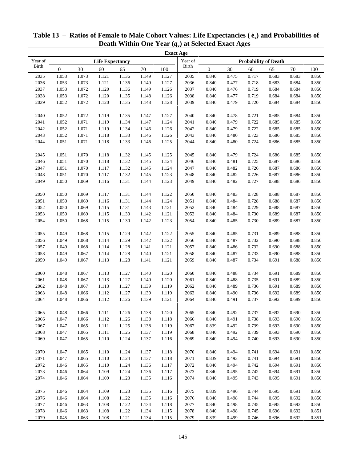|         |                  |       |                        |       |        |           | <b>Exact Age</b> |                             |        |       |       |        |       |
|---------|------------------|-------|------------------------|-------|--------|-----------|------------------|-----------------------------|--------|-------|-------|--------|-------|
| Year of |                  |       | <b>Life Expectancy</b> |       |        |           | Year of          | <b>Probability of Death</b> |        |       |       |        |       |
| Birth   | $\boldsymbol{0}$ | 30    | 60                     | 65    | $70\,$ | 100       | <b>Birth</b>     | $\boldsymbol{0}$            | $30\,$ | 60    | 65    | $70\,$ | 100   |
| 2035    | 1.053            | 1.073 | 1.121                  | 1.136 | 1.149  | 1.127     | 2035             | 0.840                       | 0.475  | 0.717 | 0.683 | 0.683  | 0.850 |
| 2036    | 1.053            | 1.073 | 1.121                  | 1.136 | 1.149  | 1.127     | 2036             | 0.840                       | 0.477  | 0.718 | 0.683 | 0.684  | 0.850 |
| 2037    | 1.053            | 1.072 | 1.120                  | 1.136 | 1.149  | 1.126     | 2037             | 0.840                       | 0.476  | 0.719 | 0.684 | 0.684  | 0.850 |
| 2038    | 1.053            | 1.072 | 1.120                  | 1.135 | 1.148  | 1.126     | 2038             | 0.840                       | 0.477  | 0.719 | 0.684 | 0.684  | 0.850 |
| 2039    | 1.052            | 1.072 | 1.120                  | 1.135 | 1.148  | 1.128     | 2039             | 0.840                       | 0.479  | 0.720 | 0.684 | 0.684  | 0.850 |
|         |                  |       |                        |       |        |           |                  |                             |        |       |       |        |       |
| 2040    | 1.052            | 1.072 | 1.119                  | 1.135 | 1.147  | 1.127     | 2040             | 0.840                       | 0.478  | 0.721 | 0.685 | 0.684  | 0.850 |
| 2041    | 1.052            | 1.071 | 1.119                  | 1.134 | 1.147  | 1.124     | 2041             | 0.840                       | 0.479  | 0.722 | 0.685 | 0.685  | 0.850 |
| 2042    | 1.052            | 1.071 | 1.119                  | 1.134 | 1.146  | 1.126     | 2042             | 0.840                       | 0.479  | 0.722 | 0.685 | 0.685  | 0.850 |
| 2043    | 1.052            | 1.071 | 1.118                  | 1.133 | 1.146  | 1.126     | 2043             | 0.840                       | 0.480  | 0.723 | 0.686 | 0.685  | 0.850 |
| 2044    | 1.051            | 1.071 | 1.118                  | 1.133 | 1.146  | 1.125     | 2044             | 0.840                       | 0.480  | 0.724 | 0.686 | 0.685  | 0.850 |
|         |                  |       |                        |       |        |           |                  |                             |        |       |       |        |       |
| 2045    | 1.051            | 1.070 | 1.118                  | 1.132 | 1.145  | 1.125     | 2045             | 0.840                       | 0.479  | 0.724 | 0.686 | 0.685  | 0.850 |
| 2046    | 1.051            | 1.070 | 1.118                  | 1.132 | 1.145  | 1.124     | 2046             | 0.840                       | 0.481  | 0.725 | 0.687 | 0.686  | 0.850 |
| 2047    | 1.051            | 1.070 | 1.117                  | 1.132 | 1.145  | 1.124     | 2047             | 0.840                       | 0.482  | 0.726 | 0.687 | 0.686  | 0.850 |
| 2048    | 1.051            | 1.070 | 1.117                  | 1.132 | 1.145  | 1.123     | 2048             | 0.840                       | 0.482  | 0.726 | 0.687 | 0.686  | 0.850 |
| 2049    | 1.050            | 1.069 | 1.116                  | 1.131 | 1.144  | 1.123     | 2049             | 0.840                       | 0.482  | 0.727 | 0.688 | 0.686  | 0.850 |
|         |                  |       |                        |       |        |           |                  |                             |        |       |       |        |       |
| 2050    | 1.050            | 1.069 | 1.117                  | 1.131 | 1.144  | 1.122     | 2050             | 0.840                       | 0.483  | 0.728 | 0.688 | 0.687  | 0.850 |
| 2051    | 1.050            | 1.069 | 1.116                  | 1.131 | 1.144  | 1.124     | 2051             | 0.840                       | 0.484  | 0.728 | 0.688 | 0.687  | 0.850 |
| 2052    | 1.050            | 1.069 | 1.115                  | 1.131 | 1.143  | 1.121     | 2052             | 0.840                       | 0.484  | 0.729 | 0.688 | 0.687  | 0.850 |
| 2053    | 1.050            | 1.069 | 1.115                  | 1.130 | 1.142  | 1.121     | 2053             | 0.840                       | 0.484  | 0.730 | 0.689 | 0.687  | 0.850 |
| 2054    | 1.050            | 1.068 | 1.115                  | 1.130 | 1.142  | 1.123     | 2054             | 0.840                       | 0.485  | 0.730 | 0.689 | 0.687  | 0.850 |
|         |                  |       |                        |       |        |           |                  |                             |        |       |       |        |       |
| 2055    | 1.049            | 1.068 | 1.115                  | 1.129 | 1.142  | 1.122     | 2055             | 0.840                       | 0.485  | 0.731 | 0.689 | 0.688  | 0.850 |
| 2056    | 1.049            | 1.068 | 1.114                  | 1.129 | 1.142  | 1.122     | 2056             | 0.840                       | 0.487  | 0.732 | 0.690 | 0.688  | 0.850 |
| 2057    | 1.049            | 1.068 | 1.114                  | 1.128 | 1.141  | 1.121     | 2057             | 0.840                       | 0.486  | 0.732 | 0.690 | 0.688  | 0.850 |
| 2058    | 1.049            | 1.067 | 1.114                  | 1.128 | 1.140  | 1.121     | 2058             | 0.840                       | 0.487  | 0.733 | 0.690 | 0.688  | 0.850 |
| 2059    | 1.049            | 1.067 | 1.113                  | 1.128 | 1.141  | 1.121     | 2059             | 0.840                       | 0.487  | 0.734 | 0.691 | 0.688  | 0.850 |
|         |                  |       |                        |       |        |           |                  |                             |        |       |       |        |       |
| 2060    | 1.048            | 1.067 | 1.113                  | 1.127 | 1.140  | 1.120     | 2060             | 0.840                       | 0.488  | 0.734 | 0.691 | 0.689  | 0.850 |
| 2061    | 1.048            | 1.067 | 1.113                  | 1.127 | 1.140  | 1.120     | 2061             | 0.840                       | 0.488  | 0.735 | 0.691 | 0.689  | 0.850 |
| 2062    | 1.048            | 1.067 | 1.113                  | 1.127 | 1.139  | 1.119     | 2062             | 0.840                       | 0.489  | 0.736 | 0.691 | 0.689  | 0.850 |
| 2063    | 1.048            | 1.066 | 1.112                  | 1.127 | 1.139  | 1.119     | 2063             | 0.840                       | 0.490  | 0.736 | 0.692 | 0.689  | 0.850 |
| 2064    | 1.048            | 1.066 | 1.112                  | 1.126 | 1.139  | 1.121     | 2064             | 0.840                       | 0.491  | 0.737 | 0.692 | 0.689  | 0.850 |
| 2065    | 1.048            | 1.066 | $1.111\,$              | 1.126 | 1.138  | $1.120\,$ | 2065             | 0.840                       | 0.492  | 0.737 | 0.692 | 0.690  | 0.850 |
| 2066    | 1.047            | 1.066 | 1.112                  | 1.126 | 1.138  | 1.118     | 2066             | 0.840                       | 0.491  | 0.738 | 0.693 | 0.690  | 0.850 |
| 2067    | 1.047            | 1.065 | 1.111                  | 1.125 | 1.138  | 1.119     | 2067             | 0.839                       | 0.492  | 0.739 | 0.693 | 0.690  | 0.850 |
| 2068    | 1.047            | 1.065 | 1.111                  | 1.125 | 1.137  | 1.119     | 2068             | 0.840                       | 0.492  | 0.739 | 0.693 | 0.690  | 0.850 |
| 2069    | 1.047            | 1.065 | 1.110                  | 1.124 | 1.137  | 1.116     | 2069             | 0.840                       | 0.494  | 0.740 | 0.693 | 0.690  | 0.850 |
|         |                  |       |                        |       |        |           |                  |                             |        |       |       |        |       |
| 2070    | 1.047            | 1.065 | 1.110                  | 1.124 | 1.137  | 1.118     | 2070             | 0.840                       | 0.494  | 0.741 | 0.694 | 0.691  | 0.850 |
| 2071    | 1.047            | 1.065 | 1.110                  | 1.124 | 1.137  | 1.118     | 2071             | 0.839                       | 0.493  | 0.741 | 0.694 | 0.691  | 0.850 |
| 2072    | 1.046            | 1.065 | 1.110                  | 1.124 | 1.136  | 1.117     | 2072             | 0.840                       | 0.494  | 0.742 | 0.694 | 0.691  | 0.850 |
| 2073    | 1.046            | 1.064 | 1.109                  | 1.124 | 1.136  | 1.117     | 2073             | 0.840                       | 0.495  | 0.742 | 0.694 | 0.691  | 0.850 |
| 2074    | 1.046            | 1.064 | 1.109                  | 1.123 | 1.135  | 1.116     | 2074             | 0.840                       | 0.495  | 0.743 | 0.695 | 0.691  | 0.850 |
|         |                  |       |                        |       |        |           |                  |                             |        |       |       |        |       |
| 2075    | 1.046            | 1.064 | 1.109                  | 1.123 | 1.135  | 1.116     | 2075             | 0.839                       | 0.496  | 0.744 | 0.695 | 0.691  | 0.850 |
| 2076    | 1.046            | 1.064 | 1.108                  | 1.122 | 1.135  | 1.116     | 2076             | 0.840                       | 0.498  | 0.744 | 0.695 | 0.692  | 0.850 |
| 2077    | 1.046            | 1.063 | 1.108                  | 1.122 | 1.134  | 1.118     | 2077             | 0.840                       | 0.498  | 0.745 | 0.695 | 0.692  | 0.850 |
| 2078    | 1.046            | 1.063 | 1.108                  | 1.122 | 1.134  | 1.115     | 2078             | 0.840                       | 0.498  | 0.745 | 0.696 | 0.692  | 0.851 |
| 2079    | 1.045            | 1.063 | 1.108                  | 1.121 | 1.134  | 1.115     | 2079             | 0.839                       | 0.499  | 0.746 | 0.696 | 0.692  | 0.851 |

| Table 13 – Ratios of Female to Male Cohort Values: Life Expectancies $(\hat{e}_x)$ and Probabilities of |  |
|---------------------------------------------------------------------------------------------------------|--|
| Death Within One Year $(q_x)$ at Selected Exact Ages                                                    |  |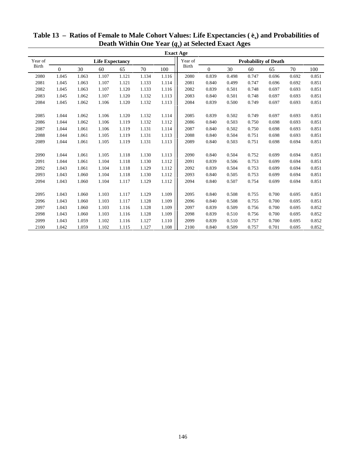| <b>Exact Age</b> |          |                        |       |       |       |       |       |          |                             |       |       |       |       |
|------------------|----------|------------------------|-------|-------|-------|-------|-------|----------|-----------------------------|-------|-------|-------|-------|
| Year of          |          | <b>Life Expectancy</b> |       |       |       |       |       |          | <b>Probability of Death</b> |       |       |       |       |
| Birth            | $\Omega$ | 30                     | 60    | 65    | 70    | 100   | Birth | $\Omega$ | 30                          | 60    | 65    | 70    | 100   |
| 2080             | 1.045    | 1.063                  | 1.107 | 1.121 | 1.134 | 1.116 | 2080  | 0.839    | 0.498                       | 0.747 | 0.696 | 0.692 | 0.851 |
| 2081             | 1.045    | 1.063                  | 1.107 | 1.121 | 1.133 | 1.114 | 2081  | 0.840    | 0.499                       | 0.747 | 0.696 | 0.692 | 0.851 |
| 2082             | 1.045    | 1.063                  | 1.107 | 1.120 | 1.133 | 1.116 | 2082  | 0.839    | 0.501                       | 0.748 | 0.697 | 0.693 | 0.851 |
| 2083             | 1.045    | 1.062                  | 1.107 | 1.120 | 1.132 | 1.113 | 2083  | 0.840    | 0.501                       | 0.748 | 0.697 | 0.693 | 0.851 |
| 2084             | 1.045    | 1.062                  | 1.106 | 1.120 | 1.132 | 1.113 | 2084  | 0.839    | 0.500                       | 0.749 | 0.697 | 0.693 | 0.851 |
|                  |          |                        |       |       |       |       |       |          |                             |       |       |       |       |
| 2085             | 1.044    | 1.062                  | 1.106 | 1.120 | 1.132 | 1.114 | 2085  | 0.839    | 0.502                       | 0.749 | 0.697 | 0.693 | 0.851 |
| 2086             | 1.044    | 1.062                  | 1.106 | 1.119 | 1.132 | 1.112 | 2086  | 0.840    | 0.503                       | 0.750 | 0.698 | 0.693 | 0.851 |
| 2087             | 1.044    | 1.061                  | 1.106 | 1.119 | 1.131 | 1.114 | 2087  | 0.840    | 0.502                       | 0.750 | 0.698 | 0.693 | 0.851 |
| 2088             | 1.044    | 1.061                  | 1.105 | 1.119 | 1.131 | 1.113 | 2088  | 0.840    | 0.504                       | 0.751 | 0.698 | 0.693 | 0.851 |
| 2089             | 1.044    | 1.061                  | 1.105 | 1.119 | 1.131 | 1.113 | 2089  | 0.840    | 0.503                       | 0.751 | 0.698 | 0.694 | 0.851 |
|                  |          |                        |       |       |       |       |       |          |                             |       |       |       |       |
| 2090             | 1.044    | 1.061                  | 1.105 | 1.118 | 1.130 | 1.113 | 2090  | 0.840    | 0.504                       | 0.752 | 0.699 | 0.694 | 0.851 |
| 2091             | 1.044    | 1.061                  | 1.104 | 1.118 | 1.130 | 1.112 | 2091  | 0.839    | 0.506                       | 0.753 | 0.699 | 0.694 | 0.851 |
| 2092             | 1.043    | 1.061                  | 1.104 | 1.118 | 1.129 | 1.112 | 2092  | 0.839    | 0.504                       | 0.753 | 0.699 | 0.694 | 0.851 |
| 2093             | 1.043    | 1.060                  | 1.104 | 1.118 | 1.130 | 1.112 | 2093  | 0.840    | 0.505                       | 0.753 | 0.699 | 0.694 | 0.851 |
| 2094             | 1.043    | 1.060                  | 1.104 | 1.117 | 1.129 | 1.112 | 2094  | 0.840    | 0.507                       | 0.754 | 0.699 | 0.694 | 0.851 |
|                  |          |                        |       |       |       |       |       |          |                             |       |       |       |       |
| 2095             | 1.043    | 1.060                  | 1.103 | 1.117 | 1.129 | 1.109 | 2095  | 0.840    | 0.508                       | 0.755 | 0.700 | 0.695 | 0.851 |
| 2096             | 1.043    | 1.060                  | 1.103 | 1.117 | 1.128 | 1.109 | 2096  | 0.840    | 0.508                       | 0.755 | 0.700 | 0.695 | 0.851 |
| 2097             | 1.043    | 1.060                  | 1.103 | 1.116 | 1.128 | 1.109 | 2097  | 0.839    | 0.509                       | 0.756 | 0.700 | 0.695 | 0.852 |
| 2098             | 1.043    | 1.060                  | 1.103 | 1.116 | 1.128 | 1.109 | 2098  | 0.839    | 0.510                       | 0.756 | 0.700 | 0.695 | 0.852 |
| 2099             | 1.043    | 1.059                  | 1.102 | 1.116 | 1.127 | 1.110 | 2099  | 0.839    | 0.510                       | 0.757 | 0.700 | 0.695 | 0.852 |
| 2100             | 1.042    | 1.059                  | 1.102 | 1.115 | 1.127 | 1.108 | 2100  | 0.840    | 0.509                       | 0.757 | 0.701 | 0.695 | 0.852 |

# Table 13 – Ratios of Female to Male Cohort Values: Life Expectancies ( $\hat{\mathbf{e}}_x$ ) and Probabilities of **Death Within One Year (***q***x) at Selected Exact Ages**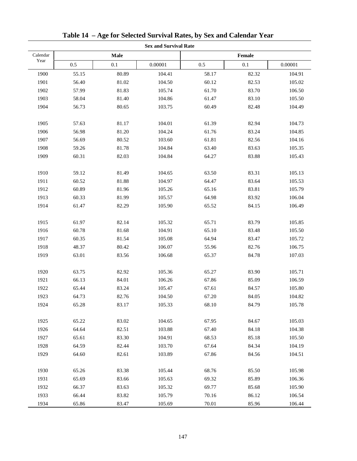|          | <b>Sex and Survival Rate</b> |       |         |        |       |         |  |
|----------|------------------------------|-------|---------|--------|-------|---------|--|
| Calendar |                              | Male  |         | Female |       |         |  |
| Year     | 0.5                          | 0.1   | 0.00001 | 0.5    | 0.1   | 0.00001 |  |
| 1900     | 55.15                        | 80.89 | 104.41  | 58.17  | 82.32 | 104.91  |  |
| 1901     | 56.40                        | 81.02 | 104.50  | 60.12  | 82.53 | 105.02  |  |
| 1902     | 57.99                        | 81.83 | 105.74  | 61.70  | 83.70 | 106.50  |  |
| 1903     | 58.04                        | 81.40 | 104.86  | 61.47  | 83.10 | 105.50  |  |
| 1904     | 56.73                        | 80.65 | 103.75  | 60.49  | 82.48 | 104.49  |  |
| 1905     | 57.63                        | 81.17 | 104.01  | 61.39  | 82.94 | 104.73  |  |
| 1906     | 56.98                        | 81.20 | 104.24  | 61.76  | 83.24 | 104.85  |  |
| 1907     | 56.69                        | 80.52 | 103.60  | 61.81  | 82.56 | 104.16  |  |
| 1908     | 59.26                        | 81.78 | 104.84  | 63.40  | 83.63 | 105.35  |  |
| 1909     | 60.31                        | 82.03 | 104.84  | 64.27  | 83.88 | 105.43  |  |
| 1910     | 59.12                        | 81.49 | 104.65  | 63.50  | 83.31 | 105.13  |  |
| 1911     | 60.52                        | 81.88 | 104.97  | 64.47  | 83.64 | 105.53  |  |
| 1912     | 60.89                        | 81.96 | 105.26  | 65.16  | 83.81 | 105.79  |  |
| 1913     | 60.33                        | 81.99 | 105.57  | 64.98  | 83.92 | 106.04  |  |
| 1914     | 61.47                        | 82.29 | 105.90  | 65.52  | 84.15 | 106.49  |  |
| 1915     | 61.97                        | 82.14 | 105.32  | 65.71  | 83.79 | 105.85  |  |
| 1916     | 60.78                        | 81.68 | 104.91  | 65.10  | 83.48 | 105.50  |  |
| 1917     | 60.35                        | 81.54 | 105.08  | 64.94  | 83.47 | 105.72  |  |
| 1918     | 48.37                        | 80.42 | 106.07  | 55.96  | 82.76 | 106.75  |  |
| 1919     | 63.01                        | 83.56 | 106.68  | 65.37  | 84.78 | 107.03  |  |
| 1920     | 63.75                        | 82.92 | 105.36  | 65.27  | 83.90 | 105.71  |  |
| 1921     | 66.13                        | 84.01 | 106.26  | 67.86  | 85.09 | 106.59  |  |
| 1922     | 65.44                        | 83.24 | 105.47  | 67.61  | 84.57 | 105.80  |  |
| 1923     | 64.73                        | 82.76 | 104.50  | 67.20  | 84.05 | 104.82  |  |
| 1924     | 65.28                        | 83.17 | 105.33  | 68.10  | 84.79 | 105.78  |  |
| 1925     | 65.22                        | 83.02 | 104.65  | 67.95  | 84.67 | 105.03  |  |
| 1926     | 64.64                        | 82.51 | 103.88  | 67.40  | 84.18 | 104.38  |  |
| 1927     | 65.61                        | 83.30 | 104.91  | 68.53  | 85.18 | 105.50  |  |
| 1928     | 64.59                        | 82.44 | 103.70  | 67.64  | 84.34 | 104.19  |  |
| 1929     | 64.60                        | 82.61 | 103.89  | 67.86  | 84.56 | 104.51  |  |
| 1930     | 65.26                        | 83.38 | 105.44  | 68.76  | 85.50 | 105.98  |  |
| 1931     | 65.69                        | 83.66 | 105.63  | 69.32  | 85.89 | 106.36  |  |
| 1932     | 66.37                        | 83.63 | 105.32  | 69.77  | 85.68 | 105.90  |  |
| 1933     | 66.44                        | 83.82 | 105.79  | 70.16  | 86.12 | 106.54  |  |
| 1934     | 65.86                        | 83.47 | 105.69  | 70.01  | 85.96 | 106.44  |  |

**Table 14 – Age for Selected Survival Rates, by Sex and Calendar Year**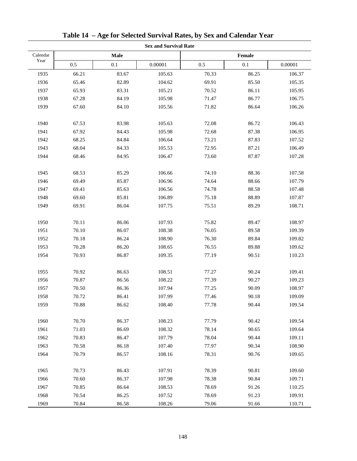|          | <b>Sex and Survival Rate</b> |       |         |        |       |         |  |
|----------|------------------------------|-------|---------|--------|-------|---------|--|
| Calendar |                              | Male  |         | Female |       |         |  |
| Year     | 0.5                          | 0.1   | 0.00001 | 0.5    | 0.1   | 0.00001 |  |
| 1935     | 66.21                        | 83.67 | 105.63  | 70.33  | 86.25 | 106.37  |  |
| 1936     | 65.46                        | 82.89 | 104.62  | 69.91  | 85.50 | 105.35  |  |
| 1937     | 65.93                        | 83.31 | 105.21  | 70.52  | 86.11 | 105.95  |  |
| 1938     | 67.28                        | 84.19 | 105.98  | 71.47  | 86.77 | 106.75  |  |
| 1939     | 67.60                        | 84.10 | 105.56  | 71.82  | 86.64 | 106.26  |  |
| 1940     | 67.53                        | 83.98 | 105.63  | 72.08  | 86.72 | 106.43  |  |
| 1941     | 67.92                        | 84.43 | 105.98  | 72.68  | 87.38 | 106.95  |  |
| 1942     | 68.25                        | 84.84 | 106.64  | 73.21  | 87.83 | 107.52  |  |
| 1943     | 68.04                        | 84.33 | 105.53  | 72.95  | 87.21 | 106.49  |  |
| 1944     | 68.46                        | 84.95 | 106.47  | 73.60  | 87.87 | 107.28  |  |
| 1945     | 68.53                        | 85.29 | 106.66  | 74.10  | 88.36 | 107.58  |  |
| 1946     | 69.49                        | 85.87 | 106.96  | 74.64  | 88.66 | 107.79  |  |
| 1947     | 69.41                        | 85.63 | 106.56  | 74.78  | 88.58 | 107.48  |  |
| 1948     | 69.60                        | 85.81 | 106.89  | 75.18  | 88.89 | 107.87  |  |
| 1949     | 69.91                        | 86.04 | 107.75  | 75.51  | 89.29 | 108.71  |  |
| 1950     | 70.11                        | 86.06 | 107.93  | 75.82  | 89.47 | 108.97  |  |
| 1951     | 70.10                        | 86.07 | 108.38  | 76.05  | 89.58 | 109.39  |  |
| 1952     | 70.18                        | 86.24 | 108.90  | 76.30  | 89.84 | 109.82  |  |
| 1953     | 70.28                        | 86.20 | 108.65  | 76.55  | 89.88 | 109.62  |  |
| 1954     | 70.93                        | 86.87 | 109.35  | 77.19  | 90.51 | 110.23  |  |
| 1955     | 70.92                        | 86.63 | 108.51  | 77.27  | 90.24 | 109.41  |  |
| 1956     | 70.87                        | 86.56 | 108.22  | 77.39  | 90.27 | 109.23  |  |
| 1957     | 70.50                        | 86.36 | 107.94  | 77.25  | 90.09 | 108.97  |  |
| 1958     | 70.72                        | 86.41 | 107.99  | 77.46  | 90.18 | 109.09  |  |
| 1959     | 70.88                        | 86.62 | 108.40  | 77.78  | 90.44 | 109.54  |  |
| 1960     | 70.70                        | 86.37 | 108.23  | 77.79  | 90.42 | 109.54  |  |
| 1961     | 71.03                        | 86.69 | 108.32  | 78.14  | 90.65 | 109.64  |  |
| 1962     | 70.83                        | 86.47 | 107.79  | 78.04  | 90.44 | 109.11  |  |
| 1963     | 70.58                        | 86.18 | 107.40  | 77.97  | 90.34 | 108.90  |  |
| 1964     | 70.79                        | 86.57 | 108.16  | 78.31  | 90.76 | 109.65  |  |
| 1965     | 70.73                        | 86.43 | 107.91  | 78.39  | 90.81 | 109.60  |  |
| 1966     | 70.60                        | 86.37 | 107.98  | 78.38  | 90.84 | 109.71  |  |
| 1967     | 70.85                        | 86.64 | 108.53  | 78.69  | 91.26 | 110.25  |  |
| 1968     | 70.54                        | 86.25 | 107.52  | 78.69  | 91.23 | 109.91  |  |
| 1969     | 70.84                        | 86.58 | 108.26  | 79.06  | 91.66 | 110.71  |  |

**Table 14 – Age for Selected Survival Rates, by Sex and Calendar Year**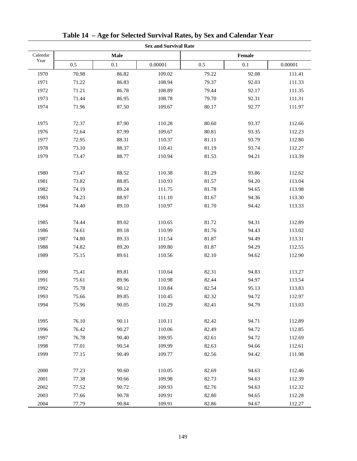|          | <b>Sex and Survival Rate</b> |       |         |       |        |         |  |  |
|----------|------------------------------|-------|---------|-------|--------|---------|--|--|
| Calendar |                              | Male  |         |       | Female |         |  |  |
| Year     | 0.5                          | 0.1   | 0.00001 | 0.5   | 0.1    | 0.00001 |  |  |
| 1970     | 70.98                        | 86.82 | 109.02  | 79.22 | 92.08  | 111.41  |  |  |
| 1971     | 71.22                        | 86.83 | 108.94  | 79.37 | 92.03  | 111.33  |  |  |
| 1972     | 71.21                        | 86.78 | 108.89  | 79.44 | 92.17  | 111.35  |  |  |
| 1973     | 71.44                        | 86.95 | 108.78  | 79.70 | 92.31  | 111.31  |  |  |
| 1974     | 71.96                        | 87.50 | 109.67  | 80.17 | 92.77  | 111.97  |  |  |
| 1975     | 72.37                        | 87.90 | 110.28  | 80.60 | 93.37  | 112.66  |  |  |
| 1976     | 72.64                        | 87.99 | 109.67  | 80.81 | 93.35  | 112.23  |  |  |
| 1977     | 72.95                        | 88.31 | 110.37  | 81.11 | 93.79  | 112.80  |  |  |
| 1978     | 73.10                        | 88.37 | 110.41  | 81.19 | 93.74  | 112.27  |  |  |
| 1979     | 73.47                        | 88.77 | 110.94  | 81.53 | 94.21  | 113.39  |  |  |
| 1980     | 73.47                        | 88.52 | 110.38  | 81.29 | 93.86  | 112.62  |  |  |
| 1981     | 73.82                        | 88.85 | 110.93  | 81.57 | 94.20  | 113.04  |  |  |
| 1982     | 74.19                        | 89.24 | 111.75  | 81.78 | 94.65  | 113.98  |  |  |
| 1983     | 74.23                        | 88.97 | 111.10  | 81.67 | 94.36  | 113.30  |  |  |
| 1984     | 74.40                        | 89.10 | 110.97  | 81.70 | 94.42  | 113.33  |  |  |
| 1985     | 74.44                        | 89.02 | 110.65  | 81.72 | 94.31  | 112.89  |  |  |
| 1986     | 74.61                        | 89.18 | 110.99  | 81.76 | 94.43  | 113.02  |  |  |
| 1987     | 74.80                        | 89.33 | 111.54  | 81.87 | 94.49  | 113.31  |  |  |
| 1988     | 74.82                        | 89.20 | 109.80  | 81.87 | 94.29  | 112.55  |  |  |
| 1989     | 75.15                        | 89.61 | 110.56  | 82.10 | 94.62  | 112.90  |  |  |
| 1990     | 75.41                        | 89.81 | 110.64  | 82.31 | 94.83  | 113.27  |  |  |
| 1991     | 75.61                        | 89.96 | 110.98  | 82.44 | 94.97  | 113.54  |  |  |
| 1992     | 75.78                        | 90.12 | 110.84  | 82.54 | 95.13  | 113.83  |  |  |
| 1993     | 75.66                        | 89.85 | 110.45  | 82.32 | 94.72  | 112.97  |  |  |
| 1994     | 75.96                        | 90.05 | 110.29  | 82.41 | 94.79  | 113.03  |  |  |
| 1995     | 76.10                        | 90.11 | 110.11  | 82.42 | 94.71  | 112.89  |  |  |
| 1996     | 76.42                        | 90.27 | 110.06  | 82.49 | 94.72  | 112.85  |  |  |
| 1997     | 76.78                        | 90.40 | 109.95  | 82.61 | 94.72  | 112.69  |  |  |
| 1998     | 77.01                        | 90.54 | 109.99  | 82.63 | 94.66  | 112.61  |  |  |
| 1999     | 77.15                        | 90.49 | 109.77  | 82.56 | 94.42  | 111.98  |  |  |
| 2000     | 77.23                        | 90.60 | 110.05  | 82.69 | 94.63  | 112.46  |  |  |
| 2001     | 77.38                        | 90.66 | 109.98  | 82.73 | 94.63  | 112.39  |  |  |
| 2002     | 77.52                        | 90.72 | 109.93  | 82.76 | 94.63  | 112.32  |  |  |
| 2003     | 77.66                        | 90.78 | 109.91  | 82.80 | 94.65  | 112.28  |  |  |
| 2004     | 77.79                        | 90.84 | 109.91  | 82.86 | 94.67  | 112.27  |  |  |

|  |  |  |  |  | Table 14 - Age for Selected Survival Rates, by Sex and Calendar Year |  |
|--|--|--|--|--|----------------------------------------------------------------------|--|
|--|--|--|--|--|----------------------------------------------------------------------|--|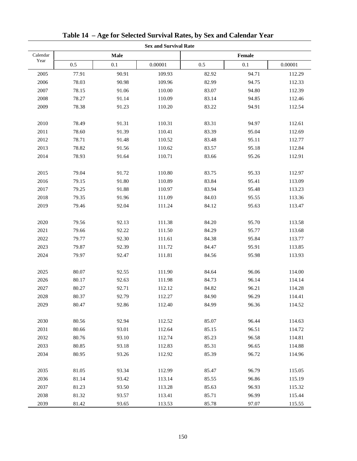|          | <b>Sex and Survival Rate</b> |       |         |        |       |         |  |
|----------|------------------------------|-------|---------|--------|-------|---------|--|
| Calendar |                              | Male  |         | Female |       |         |  |
| Year     | 0.5                          | 0.1   | 0.00001 | 0.5    | 0.1   | 0.00001 |  |
| 2005     | 77.91                        | 90.91 | 109.93  | 82.92  | 94.71 | 112.29  |  |
| 2006     | 78.03                        | 90.98 | 109.96  | 82.99  | 94.75 | 112.33  |  |
| 2007     | 78.15                        | 91.06 | 110.00  | 83.07  | 94.80 | 112.39  |  |
| 2008     | 78.27                        | 91.14 | 110.09  | 83.14  | 94.85 | 112.46  |  |
| 2009     | 78.38                        | 91.23 | 110.20  | 83.22  | 94.91 | 112.54  |  |
| 2010     | 78.49                        | 91.31 | 110.31  | 83.31  | 94.97 | 112.61  |  |
| 2011     | 78.60                        | 91.39 | 110.41  | 83.39  | 95.04 | 112.69  |  |
| 2012     | 78.71                        | 91.48 | 110.52  | 83.48  | 95.11 | 112.77  |  |
| 2013     | 78.82                        | 91.56 | 110.62  | 83.57  | 95.18 | 112.84  |  |
| 2014     | 78.93                        | 91.64 | 110.71  | 83.66  | 95.26 | 112.91  |  |
| 2015     | 79.04                        | 91.72 | 110.80  | 83.75  | 95.33 | 112.97  |  |
| 2016     | 79.15                        | 91.80 | 110.89  | 83.84  | 95.41 | 113.09  |  |
| 2017     | 79.25                        | 91.88 | 110.97  | 83.94  | 95.48 | 113.23  |  |
| 2018     | 79.35                        | 91.96 | 111.09  | 84.03  | 95.55 | 113.36  |  |
| 2019     | 79.46                        | 92.04 | 111.24  | 84.12  | 95.63 | 113.47  |  |
| 2020     | 79.56                        | 92.13 | 111.38  | 84.20  | 95.70 | 113.58  |  |
| 2021     | 79.66                        | 92.22 | 111.50  | 84.29  | 95.77 | 113.68  |  |
| 2022     | 79.77                        | 92.30 | 111.61  | 84.38  | 95.84 | 113.77  |  |
| 2023     | 79.87                        | 92.39 | 111.72  | 84.47  | 95.91 | 113.85  |  |
| 2024     | 79.97                        | 92.47 | 111.81  | 84.56  | 95.98 | 113.93  |  |
| 2025     | 80.07                        | 92.55 | 111.90  | 84.64  | 96.06 | 114.00  |  |
| 2026     | 80.17                        | 92.63 | 111.98  | 84.73  | 96.14 | 114.14  |  |
| 2027     | 80.27                        | 92.71 | 112.12  | 84.82  | 96.21 | 114.28  |  |
| 2028     | 80.37                        | 92.79 | 112.27  | 84.90  | 96.29 | 114.41  |  |
| 2029     | 80.47                        | 92.86 | 112.40  | 84.99  | 96.36 | 114.52  |  |
| 2030     | 80.56                        | 92.94 | 112.52  | 85.07  | 96.44 | 114.63  |  |
| 2031     | 80.66                        | 93.01 | 112.64  | 85.15  | 96.51 | 114.72  |  |
| 2032     | 80.76                        | 93.10 | 112.74  | 85.23  | 96.58 | 114.81  |  |
| 2033     | 80.85                        | 93.18 | 112.83  | 85.31  | 96.65 | 114.88  |  |
| 2034     | 80.95                        | 93.26 | 112.92  | 85.39  | 96.72 | 114.96  |  |
| 2035     | 81.05                        | 93.34 | 112.99  | 85.47  | 96.79 | 115.05  |  |
| 2036     | 81.14                        | 93.42 | 113.14  | 85.55  | 96.86 | 115.19  |  |
| 2037     | 81.23                        | 93.50 | 113.28  | 85.63  | 96.93 | 115.32  |  |
| 2038     | 81.32                        | 93.57 | 113.41  | 85.71  | 96.99 | 115.44  |  |
| 2039     | 81.42                        | 93.65 | 113.53  | 85.78  | 97.07 | 115.55  |  |

**Table 14 – Age for Selected Survival Rates, by Sex and Calendar Year**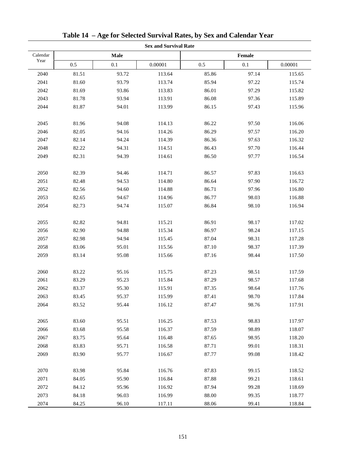|          |       |       | <b>Sex and Survival Rate</b> |        |         |         |  |
|----------|-------|-------|------------------------------|--------|---------|---------|--|
| Calendar |       | Male  |                              | Female |         |         |  |
| Year     | 0.5   | 0.1   | 0.00001                      | 0.5    | $0.1\,$ | 0.00001 |  |
| 2040     | 81.51 | 93.72 | 113.64                       | 85.86  | 97.14   | 115.65  |  |
| 2041     | 81.60 | 93.79 | 113.74                       | 85.94  | 97.22   | 115.74  |  |
| 2042     | 81.69 | 93.86 | 113.83                       | 86.01  | 97.29   | 115.82  |  |
| 2043     | 81.78 | 93.94 | 113.91                       | 86.08  | 97.36   | 115.89  |  |
| 2044     | 81.87 | 94.01 | 113.99                       | 86.15  | 97.43   | 115.96  |  |
| 2045     | 81.96 | 94.08 | 114.13                       | 86.22  | 97.50   | 116.06  |  |
| 2046     | 82.05 | 94.16 | 114.26                       | 86.29  | 97.57   | 116.20  |  |
| 2047     | 82.14 | 94.24 | 114.39                       | 86.36  | 97.63   | 116.32  |  |
| 2048     | 82.22 | 94.31 | 114.51                       | 86.43  | 97.70   | 116.44  |  |
| 2049     | 82.31 | 94.39 | 114.61                       | 86.50  | 97.77   | 116.54  |  |
| 2050     | 82.39 | 94.46 | 114.71                       | 86.57  | 97.83   | 116.63  |  |
| 2051     | 82.48 | 94.53 | 114.80                       | 86.64  | 97.90   | 116.72  |  |
| 2052     | 82.56 | 94.60 | 114.88                       | 86.71  | 97.96   | 116.80  |  |
| 2053     | 82.65 | 94.67 | 114.96                       | 86.77  | 98.03   | 116.88  |  |
| 2054     | 82.73 | 94.74 | 115.07                       | 86.84  | 98.10   | 116.94  |  |
| 2055     | 82.82 | 94.81 | 115.21                       | 86.91  | 98.17   | 117.02  |  |
| 2056     | 82.90 | 94.88 | 115.34                       | 86.97  | 98.24   | 117.15  |  |
| 2057     | 82.98 | 94.94 | 115.45                       | 87.04  | 98.31   | 117.28  |  |
| 2058     | 83.06 | 95.01 | 115.56                       | 87.10  | 98.37   | 117.39  |  |
| 2059     | 83.14 | 95.08 | 115.66                       | 87.16  | 98.44   | 117.50  |  |
| 2060     | 83.22 | 95.16 | 115.75                       | 87.23  | 98.51   | 117.59  |  |
| 2061     | 83.29 | 95.23 | 115.84                       | 87.29  | 98.57   | 117.68  |  |
| 2062     | 83.37 | 95.30 | 115.91                       | 87.35  | 98.64   | 117.76  |  |
| 2063     | 83.45 | 95.37 | 115.99                       | 87.41  | 98.70   | 117.84  |  |
| 2064     | 83.52 | 95.44 | 116.12                       | 87.47  | 98.76   | 117.91  |  |
| 2065     | 83.60 | 95.51 | 116.25                       | 87.53  | 98.83   | 117.97  |  |
| 2066     | 83.68 | 95.58 | 116.37                       | 87.59  | 98.89   | 118.07  |  |
| 2067     | 83.75 | 95.64 | 116.48                       | 87.65  | 98.95   | 118.20  |  |
| 2068     | 83.83 | 95.71 | 116.58                       | 87.71  | 99.01   | 118.31  |  |
| 2069     | 83.90 | 95.77 | 116.67                       | 87.77  | 99.08   | 118.42  |  |
| 2070     | 83.98 | 95.84 | 116.76                       | 87.83  | 99.15   | 118.52  |  |
| 2071     | 84.05 | 95.90 | 116.84                       | 87.88  | 99.21   | 118.61  |  |
| 2072     | 84.12 | 95.96 | 116.92                       | 87.94  | 99.28   | 118.69  |  |
| 2073     | 84.18 | 96.03 | 116.99                       | 88.00  | 99.35   | 118.77  |  |
| 2074     | 84.25 | 96.10 | 117.11                       | 88.06  | 99.41   | 118.84  |  |

**Table 14 – Age for Selected Survival Rates, by Sex and Calendar Year**